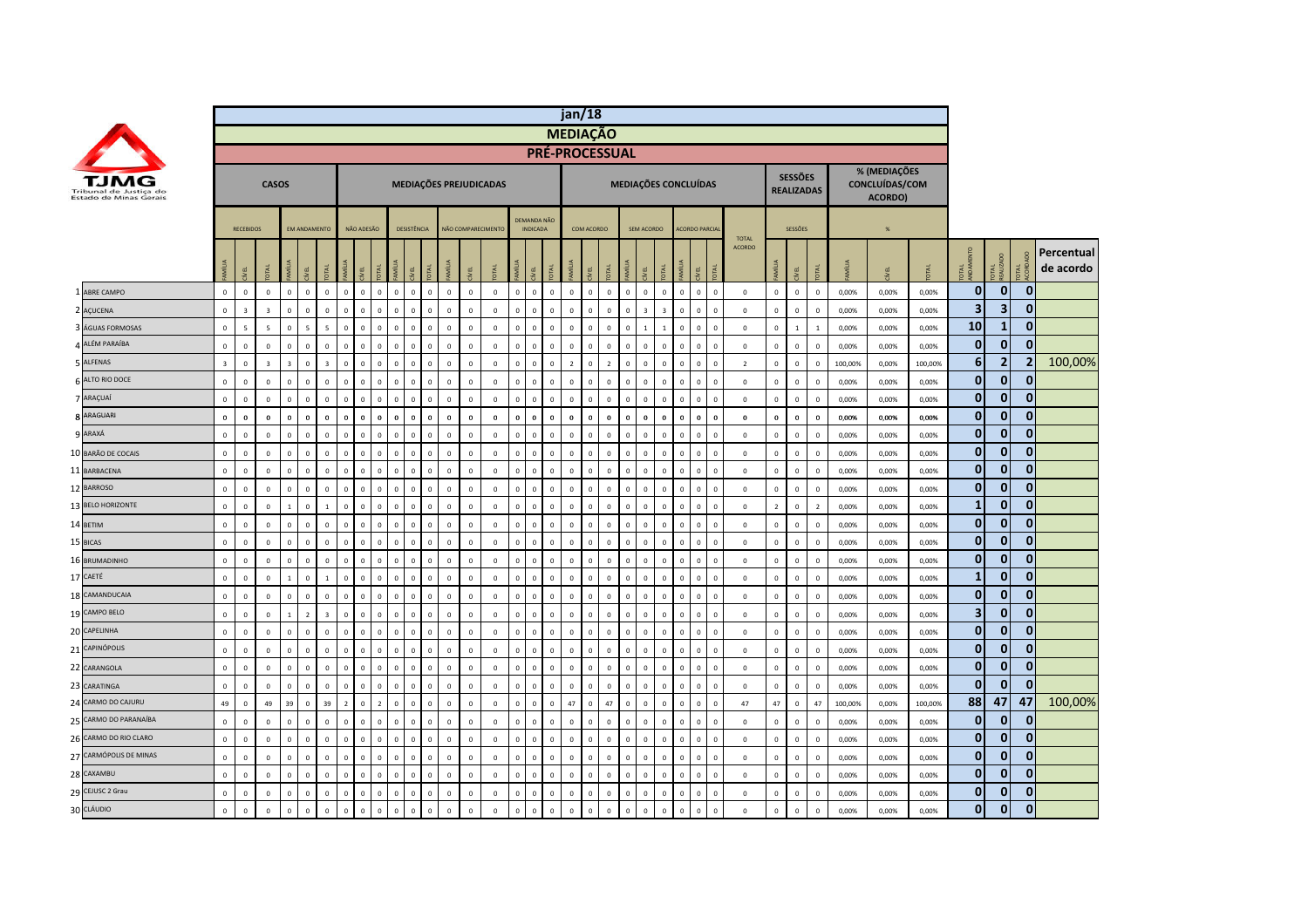|    |                        |                         |                         |                         |                         |                            |                         |                |              |                |              |                |              |                    |              |                        |                |                                |              | jan/18          |              |                |                               |                                |             |                                |                            |                |                |                                     |                         |                |                                           |                |                         |     |                                  |                         |
|----|------------------------|-------------------------|-------------------------|-------------------------|-------------------------|----------------------------|-------------------------|----------------|--------------|----------------|--------------|----------------|--------------|--------------------|--------------|------------------------|----------------|--------------------------------|--------------|-----------------|--------------|----------------|-------------------------------|--------------------------------|-------------|--------------------------------|----------------------------|----------------|----------------|-------------------------------------|-------------------------|----------------|-------------------------------------------|----------------|-------------------------|-----|----------------------------------|-------------------------|
|    |                        |                         |                         |                         |                         |                            |                         |                |              |                |              |                |              |                    |              |                        |                |                                |              | <b>MEDIAÇÃO</b> |              |                |                               |                                |             |                                |                            |                |                |                                     |                         |                |                                           |                |                         |     |                                  |                         |
|    |                        |                         |                         |                         |                         |                            |                         |                |              |                |              |                |              |                    |              |                        |                |                                |              |                 |              | PRÉ-PROCESSUAL |                               |                                |             |                                |                            |                |                |                                     |                         |                |                                           |                |                         |     |                                  |                         |
|    | Estado de Minas Gerais |                         |                         |                         | <b>CASOS</b>            |                            |                         |                |              |                |              |                |              |                    |              | MEDIAÇÕES PREJUDICADAS |                |                                |              |                 |              |                |                               |                                |             | <b>MEDIAÇÕES CONCLUÍDAS</b>    |                            |                |                | <b>SESSÕES</b><br><b>REALIZADAS</b> |                         |                | % (MEDIAÇÕES<br>CONCLUÍDAS/COM<br>ACORDO) |                |                         |     |                                  |                         |
|    |                        |                         | <b>RECEBIDOS</b>        |                         |                         |                            | <b>FM ANDAMENTO</b>     |                | NÃO ADESÃO   |                |              | DESISTÊNCIA    |              | NÃO COMPARECIMENTO |              |                        |                | DEMANDA NÃO<br><b>INDICADA</b> |              |                 | COM ACORDO   |                |                               | SEM ACORDO                     |             | <b>ACORDO PARCIA</b>           |                            | <b>TOTAL</b>   |                | SESSÕES                             |                         |                | $\frac{9}{6}$                             |                |                         |     |                                  |                         |
|    |                        |                         |                         | <b>JKI</b>              | <b>MÍLIA</b>            | EL                         | 론                       | MÍL            | ΥË,          |                |              |                | <b>R</b>     | <b>İ</b>           | EL           |                        |                |                                |              |                 |              |                | <b>MIL</b><br>ğ.              | 론                              | <b>MILL</b> | ξL.                            |                            | <b>ACORDO</b>  | MÍLIA          | ξĹ.                                 | <b>DTAL</b>             |                |                                           |                | ಕ ತೆ                    | 로 몇 | $\vec{a}$                        | Percentual<br>de acordo |
|    | 1 ABRE CAMPO           | $\mathbf{0}$            | $\mathbf{0}$            | $\mathbf 0$             | $\overline{0}$          | $\Omega$                   | $\mathbf{0}$            | $\mathbf{0}$   | $\mathbf{0}$ | $\overline{0}$ | $\mathbf{0}$ | $\mathbf{0}$   | $\mathbf{0}$ | $\mathbf{0}$       | $\mathbf{0}$ | $\mathbf{0}$           | $\mathbf{0}$   | $\mathbf{0}$                   | $\mathbf{0}$ | $\mathbf{0}$    | $\mathbf{0}$ | $\overline{0}$ | $\mathbf{0}$                  | $\mathbf{0}$<br>$\mathbf{0}$   |             | $\mathbf{0}$<br>$\mathbf{0}$   | $\mathbf 0$                | $\mathbf{0}$   | $\mathbf{0}$   | $\mathbf{0}$                        | $\overline{0}$          | 0,00%          | 0.00%                                     | 0.00%          | $\mathbf 0$             |     | $\mathbf 0$<br>$\mathbf{0}$      |                         |
|    | 2 AÇUCENA              | $\mathbf 0$             | $\overline{\mathbf{3}}$ | $\overline{\mathbf{3}}$ | $\mathbf 0$             | $\mathbf 0$                | $\overline{0}$          | $\mathbf 0$    | $\mathbf 0$  | $\overline{0}$ | $\mathbf 0$  | $\mathsf 0$    | $\Omega$     | $\mathbb O$        | $\mathbf 0$  | $\mathsf 0$            | $\mathbf 0$    | $\Omega$                       | $\mathbf 0$  | $\mathsf 0$     | $\Omega$     | $\mathbf 0$    | $\mathbf 0$<br>$\overline{3}$ | $\overline{\mathbf{3}}$        |             | $\mathbf 0$<br>$\mathbf 0$     | $\mathbb O$                | $\mathbf 0$    | $\mathsf 0$    | $\circ$                             | $\mathbf 0$             | 0,00%          | 0,00%                                     | 0,00%          | 3                       |     | 3<br>$\mathbf{0}$                |                         |
|    | 3 ÁGUAS FORMOSAS       | $\mathbf 0$             | 5                       | 5                       | $\overline{0}$          | 5                          | 5                       | $\mathbf 0$    | $\mathbf 0$  | $\overline{0}$ | $\Omega$     | $\overline{0}$ | $\Omega$     | $\mathbb O$        | $\mathsf 0$  | $\mathsf 0$            | $\mathbf 0$    | $\Omega$                       | $\mathbf 0$  | $\mathbf 0$     |              | $\,$ 0         | $\mathbf 0$                   | $\overline{1}$<br>$\mathbf{1}$ |             | $\mathbf 0$<br>$\mathbf 0$     | $\Omega$                   | $\mathbf 0$    | $\mathsf 0$    | $\mathbf{1}$                        | $\overline{1}$          | 0,00%          | 0,00%                                     | 0,00%          | 10                      |     | $\bf{0}$<br>1                    |                         |
|    | 4 ALÉM PARAÍBA         | $\mathbf 0$             | $\mathbf 0$             | $\mathbf 0$             | $\overline{0}$          | $\mathbf 0$                | $\,$ 0                  | $\Omega$       | $\mathbf 0$  | $\overline{0}$ | $\Omega$     | $\overline{0}$ | $\Omega$     | $\mathbf 0$        | $\,0\,$      | $\mathbf 0$            | $\mathbf 0$    | $\Omega$                       | $\mathbf 0$  | $\mathbf 0$     | $\Omega$     | $\,$ 0         | $\mathbf 0$                   | $\mathbf 0$<br>$\Omega$        |             | $\mathbf 0$<br>$\mathbf 0$     | $\mathbf 0$                | $\mathbf 0$    | $\mathbf 0$    | $\mathbf{0}$                        | $\,$ 0                  | 0,00%          | 0,00%                                     | 0,00%          | $\mathbf 0$             |     | $\mathbf{0}$<br>$\mathbf{0}$     |                         |
|    | 5 ALFENAS              | $\overline{\mathbf{3}}$ | $\mathsf 0$             | $\overline{\mathbf{3}}$ | $\overline{\mathbf{3}}$ | $\mathbf 0$                | $\overline{\mathbf{3}}$ | $\mathbf 0$    | $\mathbf 0$  | $\mathbf 0$    | $\mathsf 0$  | $\mathsf 0$    | $\mathbf 0$  | $\mathbf 0$        | $\mathbf 0$  | $\mathsf 0$            | $\mathbf 0$    | $\mathbf 0$                    | $\mathbf 0$  | $\overline{2}$  | $\Omega$     | $\overline{2}$ | $\mathbf 0$                   | $\mathbf 0$<br>$\mathbf 0$     |             | $\mathbf{0}$<br>$\mathbf 0$    | $\mathbb O$                | $\overline{2}$ | $\mathbf 0$    | $\circ$                             | $\mathbf 0$             | 100,00%        | 0,00%                                     | 100,00%        | $\bf 6$                 |     | $\overline{2}$<br>$\overline{2}$ | 100,00%                 |
|    | 6 ALTO RIO DOCE        | $\mathbf{0}$            | $\mathbf 0$             | $\mathbf 0$             | $\overline{0}$          |                            | $\,$ 0                  | $\Omega$       | $\mathbf 0$  | $\,$ 0         | $\mathbf 0$  | $\mathbf 0$    | $\Omega$     | $\mathbb O$        | $\mathbf 0$  | $\mathbf 0$            | $\mathbf 0$    | $\Omega$                       | $\mathbf 0$  | $\mathbf 0$     | $\Omega$     | $\,$ 0         | $\mathbf 0$<br>$\Omega$       | $\,$ 0                         |             | $\mathbf 0$<br>$\mathbf 0$     |                            | $\mathbf 0$    | $\mathbf 0$    | $\circ$                             | $\,$ 0                  |                |                                           |                | $\mathbf{0}$            |     | $\mathbf{0}$<br>$\bf{0}$         |                         |
|    | 7 ARAÇUAÍ              | $\mathbf 0$             | $\mathsf 0$             | $\mathbf 0$             | $\Omega$                | $\mathbf 0$<br>$\mathbf 0$ | $\overline{0}$          | $\Omega$       | $\mathbf 0$  | $\overline{0}$ | $\mathbf{0}$ | $\overline{0}$ | $\Omega$     | $\mathbf 0$        | $\mathbf 0$  | $\mathbf 0$            | $\mathbf 0$    | $\Omega$                       | $\mathbf 0$  | $\mathbf 0$     | $\Omega$     | $\mathbf 0$    | $\mathbf 0$                   | $\mathbf 0$<br>$\mathbf{0}$    |             | $\mathbf 0$<br>$\mathbf 0$     | $\mathbb O$<br>$\mathbb O$ | $\mathbf 0$    | $\mathbf 0$    | $\overline{0}$                      | $\mathbf 0$             | 0,00%<br>0,00% | 0,00%<br>0,00%                            | 0,00%<br>0,00% | $\mathbf{0}$            |     | $\mathbf{0}$<br>$\Omega$         |                         |
|    | <b>8 ARAGUARI</b>      | $\bf{0}$                | $\mathbf 0$             | $\bf{0}$                | $\mathbf{0}$            | $\bf{0}$                   | $\mathbf 0$             | $\Omega$       | $\mathbf 0$  | $\bf{0}$       | $\mathbf{0}$ | $\mathbf 0$    | $\mathbf{0}$ | $\mathbf 0$        | $\pmb{0}$    | $\mathbf 0$            | $\mathbf 0$    | $\mathbf{0}$                   | $\bf{0}$     | $\mathbf 0$     | $\Omega$     | $\bf{0}$       | $\mathbf 0$                   | $\mathbf 0$<br>$\mathbf{0}$    |             | $\bf{0}$<br>$\mathbf 0$        | $\mathbf{0}$               | $\mathbf 0$    | $\mathbf 0$    | $\mathbf 0$                         | $\mathbf 0$             | 0,00%          | 0,00%                                     | 0,00%          | $\mathbf{0}$            |     | $\mathbf 0$<br>$\bf{0}$          |                         |
|    | <b>9 ARAXÁ</b>         | $\Omega$                | $\mathsf 0$             | $\overline{0}$          | $\mathbf 0$             | $\mathbf 0$                | $\overline{0}$          | $\mathbf 0$    | $\mathbf 0$  | $\overline{0}$ | $\Omega$     | $\Omega$       | $\Omega$     | $\mathbf 0$        | $\mathsf 0$  | $\mathsf 0$            | $\mathbf 0$    | $\Omega$                       | $\mathbf 0$  | $\mathbf 0$     | $\Omega$     | $\mathbf 0$    | $\mathbf 0$<br>$\Omega$       | $\mathbf 0$                    |             | $\mathbf 0$<br>$\mathbf 0$     | $\Omega$                   | $\mathbf 0$    | $\mathbf 0$    | $\circ$                             | $\mathbf 0$             | 0,00%          | 0,00%                                     | 0,00%          | $\mathbf 0$             |     | $\bf{0}$<br>$\bf{0}$             |                         |
| 10 | <b>BARÃO DE COCAIS</b> | $\mathbf 0$             | $\mathbf 0$             | $\pmb{0}$               | $\mathbf 0$             | $\mathbf 0$                | $\mathbf 0$             | $\mathbf 0$    | $\mathbf 0$  | $\,$ 0         | $\mathsf 0$  | $\mathbf 0$    | $\mathbf{0}$ | $\mathbf 0$        | $\mathbf 0$  | $\mathbf 0$            | $\mathbf 0$    | $\mathsf 0$                    | $\mathbf 0$  | $\mathbf 0$     | $\Omega$     | $\,$ 0         | $\mathbf 0$                   | $\mathbf 0$<br>$\Omega$        |             | $\mathbf 0$<br>$\mathbf 0$     | $\mathbf{0}$               | $\mathbf 0$    | $\mathbf 0$    | $\overline{0}$                      | $\mathbf 0$             |                |                                           |                | $\bf{0}$                |     | $\bf{0}$<br>$\bf{0}$             |                         |
|    | 11 BARBACENA           | $\mathbf 0$             | $\mathbf 0$             | $\mathbf 0$             | $\overline{0}$          | $\mathbf 0$                | $\mathbf 0$             | $\mathbf 0$    | $\mathbf 0$  | $\overline{0}$ | $\mathbf{0}$ | $\overline{0}$ | $\mathbf 0$  | $\mathbf 0$        | $\mathbf 0$  | $\mathbf 0$            | $\overline{0}$ | $\mathbf 0$                    | $\mathbf 0$  | $\mathsf 0$     |              | $\overline{0}$ | $\mathbf 0$<br>$\mathbf 0$    | $\mathbf 0$                    |             | $\mathbf 0$<br>$\mathbf{0}$    | $\mathbf 0$                | $\mathbf 0$    | $\mathsf 0$    | $\mathbf 0$                         | $\overline{0}$          | 0,00%<br>0,00% | 0,00%<br>0,00%                            | 0,00%<br>0,00% | $\mathbf 0$             |     | $\bf{0}$<br>$\Omega$             |                         |
|    | 12 BARROSO             | $\Omega$                | $\mathsf 0$             | $\mathbf 0$             | $\overline{0}$          | $\Omega$                   | $\mathbf 0$             | $\mathbf 0$    | $\mathbf 0$  | $\overline{0}$ | $\Omega$     | $\mathbf 0$    | $\Omega$     | $\mathbf 0$        | $\mathbf 0$  | $\mathsf 0$            | $\mathbf 0$    | $\Omega$                       | $\mathbf{0}$ | $\mathbf 0$     | $\Omega$     | $\mathbf 0$    | $\mathbf 0$<br>$\Omega$       | $\mathbf 0$                    |             | $\mathbf{0}$<br>$\mathbf 0$    | $\mathbf 0$                | $\mathbf 0$    | $\mathbf 0$    | $\mathbf 0$                         | $\overline{\mathbf{0}}$ | 0,00%          | 0,00%                                     | 0,00%          | $\mathbf{0}$            |     | $\mathbf{0}$<br>$\mathbf{0}$     |                         |
|    | 13 BELO HORIZONTE      | $\Omega$                | $\mathsf 0$             | $\overline{0}$          | $\overline{1}$          | $\Omega$                   | $\overline{1}$          | $\Omega$       | $\mathbf 0$  | $\Omega$       | $\Omega$     | $\Omega$       | $\Omega$     | $\mathbf 0$        | $\mathsf 0$  | $\mathsf 0$            | $\mathbf 0$    | $\Omega$                       | $\Omega$     | $\mathbf 0$     | $\Omega$     | $\mathbf 0$    | $\mathbf 0$<br>$\Omega$       | $\mathbf 0$                    |             | $\mathbf 0$<br>$\Omega$        | $\Omega$                   | $\mathbf 0$    | $\overline{2}$ | $\circ$                             | $\overline{2}$          | 0,00%          | 0,00%                                     | 0,00%          | $\mathbf{1}$            |     | $\mathbf{0}$<br>$\mathbf{0}$     |                         |
|    | 14 BETIM               | $\Omega$                | $\mathbf 0$             | $\Omega$                | $\Omega$                | $\Omega$                   | $\overline{0}$          | $\Omega$       | $\mathbf 0$  | $\overline{0}$ | $\Omega$     | $\mathbf 0$    | $\Omega$     | $\circ$            | $\mathsf 0$  | $\mathsf 0$            | $\mathbf 0$    | $\Omega$                       | $\Omega$     | $\Omega$        | $\Omega$     | $\,$ 0         | $\mathbf 0$                   | $\mathbf{0}$<br>$\Omega$       |             | $\mathbf 0$<br>$\mathbf 0$     | $\Omega$                   | $\Omega$       | $\mathbf 0$    | $\overline{0}$                      | $\mathbf 0$             | 0,00%          | 0,00%                                     | 0,00%          | $\mathbf{0}$            |     | $\mathbf{0}$<br>$\bf{0}$         |                         |
|    | 15 BICAS               | $\mathbf 0$             | $\mathsf 0$             | $\mathbf 0$             | $\overline{0}$          | $\mathbf 0$                | $\mathbf 0$             | $\mathbf 0$    | $\mathbf 0$  | $\overline{0}$ | $\mathbf 0$  | $\mathbf 0$    | $\mathbf 0$  | $\mathbf 0$        | $\mathsf 0$  | $\mathbf 0$            | $\mathbf 0$    | $\mathbf 0$                    | $\mathbf 0$  | $\mathsf 0$     | $\mathbf 0$  | $\mathbf 0$    | $\mathbf 0$                   | $\mathbf 0$<br>$\mathsf 0$     |             | $\mathbf 0$<br>$\mathbf 0$     | $\mathbf 0$                | $\mathbf 0$    | $\mathbf 0$    | $\mathbf 0$                         | $\,$ 0                  | 0,00%          | 0,00%                                     | 0,00%          | $\mathbf{0}$            |     | $\mathbf{0}$<br>$\Omega$         |                         |
|    | 16 BRUMADINHO          | $\Omega$                | $\mathbf 0$             | $\mathbf 0$             | $\overline{0}$          | $\Omega$                   | $\mathbf 0$             | $\Omega$       | $\mathbf 0$  | $\mathbf 0$    | $\mathbf{0}$ | $\mathbf 0$    | $\Omega$     | $\mathbf 0$        | $\mathbf 0$  | $\mathbf 0$            | $\mathbf 0$    | $\Omega$                       | $\mathbf 0$  | $\mathbf 0$     | $\Omega$     | $\mathbf 0$    | $\mathbf 0$                   | $\mathbf{0}$<br>$\mathbf 0$    |             | $\mathbb O$<br>$\mathbf 0$     | $\mathbf 0$                | $\mathbf 0$    | $\mathbf 0$    | $\circ$                             | $\mathbf 0$             | 0,00%          | 0,00%                                     | 0,00%          | $\mathbf{0}$            |     | $\mathbf{0}$<br>$\mathbf{0}$     |                         |
|    | 17 CAETÉ               | $\mathbf 0$             | $\mathbf 0$             | $\mathbf 0$             | $\mathbf{1}$            | $\mathbf 0$                | $\mathbf{1}$            | $\mathbf 0$    | $\mathbf 0$  | $\overline{0}$ | $\mathbf 0$  | $\overline{0}$ | $\mathbf 0$  | $\mathbb O$        | $\mathbf 0$  | $\mathbf 0$            | $\mathbf 0$    | $\mathbf 0$                    | $\mathbf 0$  | $\mathbf 0$     |              | $\,$ 0         | $\mathbf 0$                   | $\mathbf 0$<br>$\mathsf 0$     |             | $\mathbf{0}$<br>$\mathbf 0$    | $\mathbf 0$                | $\mathbf 0$    | $\mathbf 0$    | $\mathbf 0$                         | $\,0\,$                 | 0,00%          | 0,00%                                     | 0,00%          | $\mathbf{1}$            |     | $\bf{0}$<br>$\mathbf{0}$         |                         |
|    | 18 CAMANDUCAIA         | $\Omega$                | $\mathbf 0$             | $\Omega$                | $\Omega$                | $\Omega$                   | $\Omega$                | $\mathbf 0$    | $\Omega$     | $\Omega$       | $\Omega$     | $\Omega$       | $\Omega$     | $\mathbf{0}$       | $\mathbf{0}$ | $\mathbf{0}$           | $\mathbf 0$    | $\Omega$                       | $\Omega$     | $\Omega$        |              | $\overline{0}$ | $\mathbf{0}$                  | $\mathbf{0}$<br>$\mathbf{0}$   |             | $\mathbf{0}$<br>$\Omega$       | $\Omega$                   | $\Omega$       | $\mathbf{0}$   | $\overline{0}$                      | $\mathbf{0}$            | 0.00%          | 0.00%                                     | 0.00%          | $\mathbf 0$             |     | $\mathbf{0}$<br>$\bf{0}$         |                         |
|    | 19 CAMPO BELO          | $\mathbf 0$             | $\mathsf 0$             | $\mathbf 0$             |                         | $\overline{z}$             | $\overline{\mathbf{3}}$ | $\Omega$       | $\mathbf 0$  | $\Omega$       | $\Omega$     | $\overline{0}$ | $\Omega$     | $\mathbf 0$        | $\mathsf 0$  | $\mathsf 0$            | $\Omega$       | $\Omega$                       | $\mathbf 0$  | $\mathbf 0$     |              | $\mathbf 0$    | $\mathbf 0$<br>$\Omega$       | $\mathbf 0$                    |             | $\mathbf 0$<br>$\Omega$        | $\Omega$                   | $\mathbf 0$    | $\mathbf 0$    | $\mathbf 0$                         | $\overline{\mathbf{0}}$ | 0,00%          | 0,00%                                     | 0,00%          | $\overline{\mathbf{3}}$ |     | $\mathbf{0}$<br>$\Omega$         |                         |
| 20 | CAPELINHA              | $\Omega$                | $\mathbf 0$             | $\Omega$                | $\overline{0}$          | $\Omega$                   | $\mathbf 0$             | $\mathbf 0$    | $\mathbf{0}$ | $\overline{0}$ | $\Omega$     | $\mathbf 0$    | $\Omega$     | $\mathbf 0$        | $\mathbf 0$  | $\mathbf{0}$           | $\mathbf 0$    | $\Omega$                       | $\mathbf 0$  | $\Omega$        | $\Omega$     | $\overline{0}$ | $\mathbf 0$                   | $\mathbf 0$<br>$\Omega$        |             | $\overline{0}$<br>$\mathbf{0}$ | $\Omega$                   | $\mathbf 0$    | $\mathbf 0$    | $\circ$                             | $\overline{\mathbf{0}}$ | 0,00%          | 0,00%                                     | 0,00%          | $\mathbf{0}$            |     | $\mathbf{0}$<br>$\mathbf{0}$     |                         |
|    | 21 CAPINÓPOLIS         | $\mathbf 0$             | $\mathsf 0$             | $\overline{0}$          |                         | $\mathbf 0$<br>$\mathbf 0$ | $\mathbf 0$             | $\,0\,$        | $\mathbf 0$  | $\overline{0}$ | $\mathbf 0$  | $\mathsf 0$    | $\mathbf 0$  | $\mathbb O$        | $\mathbf 0$  | $\mathsf 0$            | $\mathbf 0$    | $\mathbf 0$                    | $\mathbf 0$  | $\mathbf 0$     | $\Omega$     | $\mathbf 0$    | $\,0\,$                       | $\mathbf 0$<br>$\mathsf 0$     |             | $\mathbf 0$<br>$\mathbf 0$     | $\mathbf 0$                | $\mathbf 0$    | $\mathbf 0$    | $\mathbf 0$                         | $\mathbf 0$             | 0,00%          | 0,00%                                     | 0,00%          | $\mathbf{0}$            |     | $\mathbf{0}$<br>$\mathbf{0}$     |                         |
|    | 22 CARANGOLA           | $\mathbf 0$             | $\mathbf 0$             | $\mathbf 0$             | $\overline{0}$          | $\mathbf 0$                | $\mathbf 0$             | $\mathbf 0$    | $\mathbf 0$  | $\overline{0}$ | $\mathbf 0$  | $\overline{0}$ | $\mathbf 0$  | $\mathbb O$        | $\mathbf 0$  | $\mathsf 0$            | $\mathbf 0$    | $\mathsf 0$                    | $\mathbf 0$  | $\mathbf 0$     | $\Omega$     | $\mathbf 0$    | $\mathbf 0$                   | $\mathbf 0$<br>$\mathbf 0$     |             | $\mathbf 0$<br>$\mathbf 0$     | $\mathbf 0$                | $\mathbf 0$    | $\mathsf 0$    | $\overline{0}$                      | $\mathbf 0$             | 0,00%          | 0,00%                                     | 0,00%          | $\mathbf{0}$            |     | $\bf{0}$<br>$\mathbf{0}$         |                         |
|    | 23 CARATINGA           | $\Omega$                | $\mathbf 0$             | $\mathbf 0$             | $\overline{0}$          | $\Omega$                   | $\mathbf 0$             | $\Omega$       | $\mathbf 0$  | $\Omega$       | $\mathbf{0}$ | $\Omega$       | $\Omega$     | $\mathbf 0$        | $\mathbf 0$  | $\mathsf 0$            | $\mathbf 0$    | $\mathbf{0}$                   | $\Omega$     | $\mathbf 0$     | $\Omega$     | $\mathbf 0$    | $\mathbf 0$                   | $\mathbf{0}$<br>$\mathbf{0}$   |             | $\mathbf{0}$<br>$\mathbf 0$    | $\mathbf 0$                | $\mathbf 0$    | $\mathsf 0$    | $\mathbf 0$                         | $\mathbf 0$             | 0,00%          | 0,00%                                     | 0,00%          | $\mathbf{0}$            |     | $\mathbf{0}$<br>$\Omega$         |                         |
| 24 | CARMO DO CAJURU        | 49                      | $\mathbf{0}$            | 49                      |                         | 39<br>$\mathbf{0}$         | 39                      | $\overline{2}$ | $\mathbf{0}$ | $\overline{2}$ | $\mathbf{0}$ | $\overline{0}$ | $\mathbf{0}$ | $\mathbf 0$        | $\mathbf{0}$ | $\mathbf 0$            | $\mathbf{0}$   | $\mathbf{0}$                   | $\mathbf{0}$ | 47              | $\Omega$     | 47             | $\mathbf{0}$                  | $\mathbf 0$<br>$\mathbf{0}$    |             | $\mathbf{0}$<br>$\overline{0}$ | $\mathbf 0$                | 47             | 47             | $\mathbf{0}$                        | 47                      | 100.00%        | 0.00%                                     | 100.00%        | 88                      | 47  | 47                               | 100,00%                 |
| 25 | CARMO DO PARANAÍBA     | $\mathbf 0$             | $\mathsf 0$             | $\mathbf 0$             | $\mathbf 0$             | $\Omega$                   | $\overline{0}$          | $\Omega$       | $\mathbf 0$  | $\,$ 0         | $\mathsf 0$  | $\mathbf 0$    | $\mathbf 0$  | $\mathbb O$        | $\mathbf 0$  | $\mathbf 0$            | $\mathbf 0$    | $\Omega$                       | $\mathbf 0$  | $\mathsf 0$     | $\Omega$     | $\mathbf 0$    | $\mathbf 0$                   | $\,$ 0<br>$\mathbf{0}$         |             | $\mathbf 0$<br>$\mathbf 0$     | $\mathbf 0$                | $\mathbf 0$    | $\mathbf 0$    | $\overline{0}$                      | $\,0\,$                 | 0,00%          | 0,00%                                     | 0,00%          | $\bf{0}$                |     | $\bf{0}$<br>0                    |                         |
|    | 26 CARMO DO RIO CLARO  | $\mathbf 0$             | $\mathsf 0$             | $\mathbf 0$             | $\overline{0}$          | $\mathbf 0$                | $\overline{0}$          | $\mathbf 0$    | $\mathbf 0$  | $\overline{0}$ | $\Omega$     | $\mathbf 0$    | $\Omega$     | $\mathbb O$        | $\mathsf 0$  | $\mathsf 0$            | $\mathbf 0$    | $\Omega$                       | $\mathbf 0$  | $\mathbf 0$     |              | $\overline{0}$ | $\mathbf 0$                   | $\mathbf{0}$<br>$\Omega$       |             | $\mathbf 0$<br>$\mathbf 0$     | $\mathbf 0$                | $\mathbf 0$    | $\mathsf 0$    | $\overline{0}$                      | $\mathbf 0$             | 0,00%          | 0,00%                                     | 0,00%          | $\mathbf 0$             |     | $\mathbf{0}$<br>$\bf{0}$         |                         |
| 27 | CARMÓPOLIS DE MINAS    | $\mathbf 0$             | $\mathbf 0$             | $\mathbf 0$             | $\overline{0}$          | $\mathbf 0$                | $\mathbf 0$             | $\Omega$       | $\mathbf 0$  | $\overline{0}$ | $\Omega$     | $\overline{0}$ | $\Omega$     | $\mathbf 0$        | $\mathbf 0$  | $\mathbf 0$            | $\mathbf 0$    | $\Omega$                       | $\mathbf 0$  | $\mathbf 0$     | $\Omega$     | $\,$ 0         | $\mathbf 0$<br>$\Omega$       | $\mathbf 0$                    |             | $\mathbf 0$<br>$\mathbf{0}$    | $\mathbb O$                | $\mathbf 0$    | $\mathbf 0$    | $\mathbf 0$                         | $\,$ 0                  | 0,00%          | 0,00%                                     | 0,00%          | $\mathbf{0}$            |     | $\mathbf{0}$<br>$\mathbf{0}$     |                         |
|    | 28 CAXAMBU             | $\mathbf 0$             | $\mathsf 0$             | $\mathbf 0$             | $\mathbf 0$             | $\mathbf 0$                | $\mathbf 0$             | $\mathbf 0$    | $\mathbf 0$  | $\mathbf 0$    | $\mathbf 0$  | $\mathsf 0$    | $\mathbf 0$  | $\mathbf 0$        | $\mathbf 0$  | $\mathsf 0$            | $\mathbf 0$    | $\mathbf 0$                    | $\mathbf 0$  | $\mathbf 0$     | $\Omega$     | $\mathbf 0$    | $\mathbf 0$                   | $\mathbf 0$<br>$\mathbf 0$     |             | $\mathbf{0}$<br>$\mathbf 0$    | $\mathbb O$                | $\mathbf 0$    | $\mathbf 0$    | $\mathbf 0$                         | $\mathbf 0$             | 0,00%          | 0,00%                                     | 0,00%          | $\mathbf{0}$            |     | $\mathbf{0}$<br>$\mathbf{0}$     |                         |
|    | 29 CEJUSC 2 Grau       | $\Omega$                | $\Omega$                | $\Omega$                | $\overline{0}$          | $\Omega$                   | $\mathbf 0$             | $\Omega$       | $\mathbf 0$  | $\,$ 0         | $\mathbf 0$  | $\mathbf 0$    | $\circ$      | $\mathbb O$        | $\mathsf 0$  | $\mathsf 0$            | $\mathbf 0$    | $\Omega$                       | $\mathbf 0$  | $\mathsf 0$     | $\Omega$     | $\mathbf 0$    | $\mathbf 0$<br>$\Omega$       | $\mathbf 0$                    |             | $\mathbf 0$<br>$\mathbf 0$     | $\mathbf 0$                | $\mathbf 0$    | $\mathsf 0$    | $\overline{0}$                      | $\mathbf 0$             | 0,00%          | 0,00%                                     | 0,00%          | $\mathbf 0$             |     | $\mathbf{0}$<br>$\bf{0}$         |                         |
|    | 30 CLÁUDIO             | $\mathbf 0$             | $\mathsf 0$             | $\mathbf 0$             | $\overline{0}$          | $\mathbf 0$                | $\mathbf 0$             | $\mathbf 0$    | $\mathbf 0$  | $\mathbf 0$    | $\mathbf 0$  | $\mathsf 0$    | $\mathbf 0$  | $\mathbf 0$        | $\mathbf 0$  | $\mathsf 0$            | $\mathbf 0$    | $\Omega$                       | $\mathbf 0$  | $\mathbf 0$     | $\Omega$     | $\mathbf 0$    | $\mathbf 0$                   | $\mathbf 0$<br>$\mathsf 0$     |             | $\mathbf 0$<br>$\mathbf{0}$    | $\mathbb O$                | $\mathbf 0$    | $\mathbf 0$    | $\mathbf 0$                         | $\mathbf{0}$            | 0,00%          | 0,00%                                     | 0,00%          | $\mathbf{0}$            |     | $\mathbf{0}$<br>$\mathbf{0}$     |                         |
|    |                        |                         |                         |                         |                         |                            |                         |                |              |                |              |                |              |                    |              |                        |                |                                |              |                 |              |                |                               |                                |             |                                |                            |                |                |                                     |                         |                |                                           |                |                         |     |                                  |                         |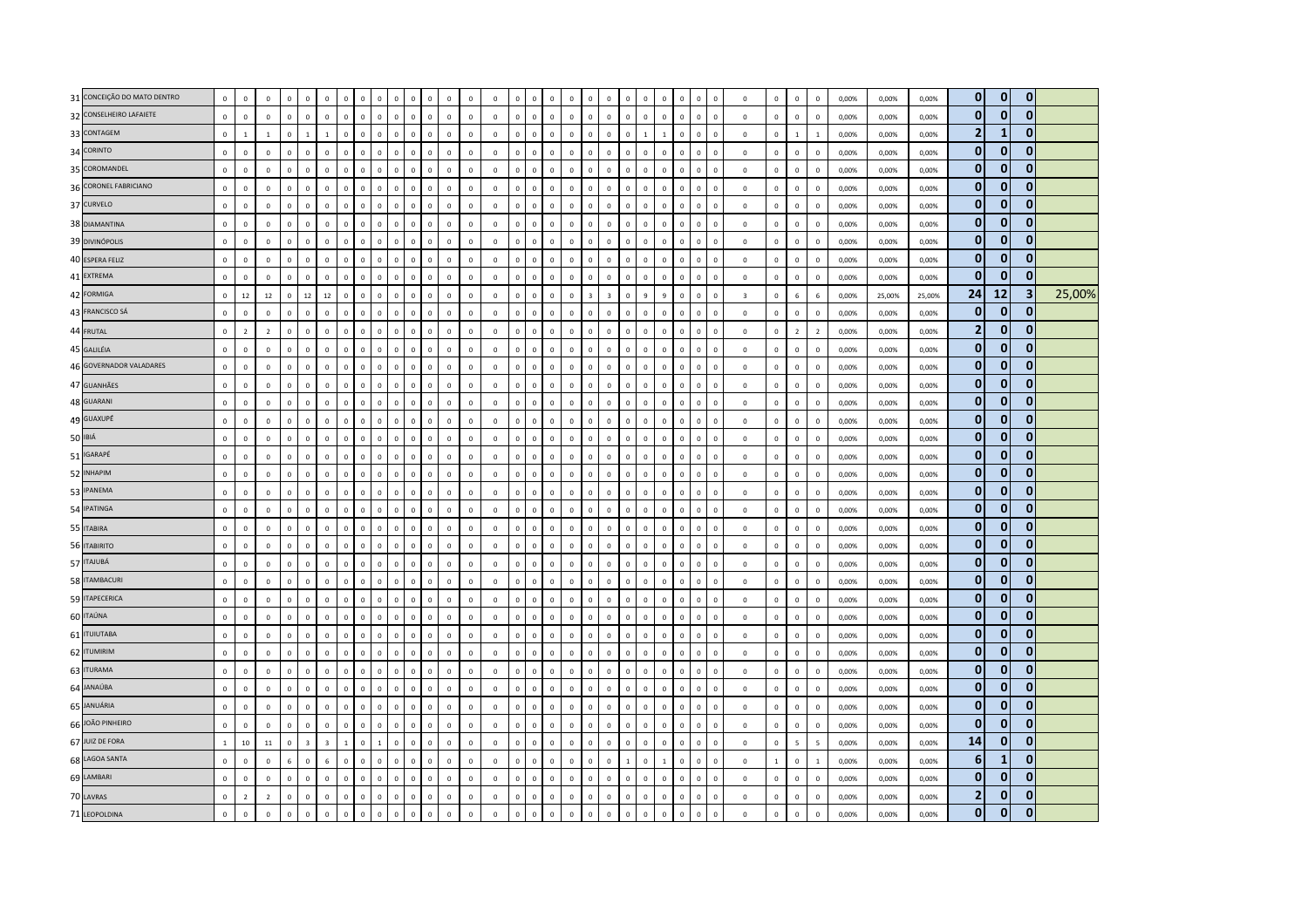| 31 CONCEIÇÃO DO MATO DENTRO | $\mathbf 0$  | $\Omega$       | $\Omega$       | $\Omega$     | $\Omega$     | $\Omega$                | $\Omega$       | $\Omega$     | $\Omega$<br>$\Omega$          | $\mathbf{0}$                 | $\mathbb O$    | $\mathbf 0$  | $\overline{\mathbf{0}}$ | $\mathsf 0$  | $\Omega$       | $\Omega$     | $\Omega$       | $\mathbf{0}$<br>$\Omega$                | $\mathbf{0}$   | $\mathbf{0}$   | $\mathbf 0$  | $\Omega$       | $\mathbf{0}$ | $\mathbf{0}$<br>$\Omega$       | $\mathbb O$             | $\mathbf{0}$   | $\mathbf 0$              | $\,$ 0                  | 0,00% | 0,00%  | 0,00%  | $\mathbf{0}$   | $\mathbf{0}$ | $\mathbf{0}$            |        |
|-----------------------------|--------------|----------------|----------------|--------------|--------------|-------------------------|----------------|--------------|-------------------------------|------------------------------|----------------|--------------|-------------------------|--------------|----------------|--------------|----------------|-----------------------------------------|----------------|----------------|--------------|----------------|--------------|--------------------------------|-------------------------|----------------|--------------------------|-------------------------|-------|--------|--------|----------------|--------------|-------------------------|--------|
| 32 CONSELHEIRO LAFAIETE     | $\mathbb O$  | $^{\circ}$     | $\mathbf 0$    | $\mathbf 0$  | $\mathbf 0$  | $\mathbf 0$             | $\mathbf 0$    | $\mathbb O$  | $\mathbf 0$                   | $\mathbf 0$<br>$\mathsf 0$   | $\mathbb O$    | $\,$ 0       | $\mathbf 0$             | $\mathbf 0$  | $\mathbb O$    | $\mathbf 0$  | $\mathbf 0$    | $\mathbf 0$<br>$\mathbf 0$              | $\mathbf 0$    | $\mathbb O$    | $\mathbf 0$  | $\Omega$       | $\mathbf 0$  | $\mathbf 0$<br>$\mathbf 0$     | $\mathbb O$             | $\mathbf 0$    | $\,0\,$                  | $\,$ 0                  | 0,00% | 0,00%  | 0,00%  | $\bf{0}$       | $\mathbf{0}$ | $\bf{0}$                |        |
| 33 CONTAGEM                 | $\mathbf 0$  | $\overline{1}$ | $\mathbf{1}$   | $\mathbf 0$  |              | $\overline{1}$          | $\mathbf 0$    | $\mathbf 0$  | $\Omega$<br>$\mathsf 0$       | $\mathbf 0$                  | $\mathbf 0$    | $\mathbf 0$  | $\,$ 0                  | $\mathsf 0$  | $\mathbb O$    | $\mathbf 0$  | $\mathbb O$    | $\mathbf 0$<br>$\mathbf 0$              | $\mathbf 0$    | $\mathbb O$    | $\mathbf{1}$ |                | $\mathbf 0$  | $\mathbb O$<br>$\mathbf 0$     | $\mathbb O$             | $\mathbf 0$    | $\mathbf{1}$             | $\mathbf{1}$            | 0,00% | 0,00%  | 0,00%  | $\overline{2}$ | $\mathbf{1}$ | $\Omega$                |        |
| 34 CORINTO                  | $\mathbf 0$  | $\mathbf 0$    | $\mathbf 0$    | $\mathbf 0$  | $\mathbf 0$  | $\mathbf 0$             | $\mathbf 0$    | $\Omega$     | $\mathbf 0$                   | $\mathbf 0$<br>$\mathbf 0$   | $\mathbf 0$    | $\mathbf 0$  | $\,$ 0                  | $\mathbf 0$  | $\mathbf 0$    | $\mathbf 0$  | $\mathbf 0$    | $\mathbf 0$<br>$\mathbf 0$              | $\mathbf 0$    | $\mathbb O$    | $\mathbf 0$  | $\mathsf 0$    | $\mathbf 0$  | $\mathbf 0$<br>$\mathbf 0$     | $\mathbb O$             | $\mathsf 0$    | $\mathbf 0$              | $\mathbf 0$             | 0,00% | 0,00%  | 0,00%  | $\mathbf{0}$   | $\mathbf{0}$ | $\mathbf{0}$            |        |
| 35 COROMANDEL               | $\mathbf 0$  | $\mathbf 0$    | $\mathbf 0$    | $\mathbf 0$  | $\mathbf 0$  | $\Omega$                | $\Omega$       | $\Omega$     | $\Omega$<br>$\mathbf{0}$      | $\mathsf 0$                  | $\mathbf 0$    | $\mathbf 0$  | $\mathbf 0$             | $\mathbf 0$  | $\mathbb O$    | $\Omega$     | $\,0\,$        | $\mathbf 0$<br>$\Omega$                 | $\Omega$       | $\Omega$       | $\mathbf 0$  | $\Omega$       | $\mathbf 0$  | $\mathbb O$<br>$\mathbf 0$     | $\mathbb O$             | $\mathbf 0$    | $\mathbf 0$              | $\,$ 0                  | 0.00% | 0.00%  | 0.00%  | $\mathbf 0$    | $\bf{0}$     | $\bf{0}$                |        |
| 36 CORONEL FABRICIANO       | $\mathbf 0$  | $\Omega$       | $\mathbf 0$    | $\mathbf{0}$ | $\mathbf{0}$ | $\mathbf{0}$            | $\mathbf 0$    | $\Omega$     | $\Omega$<br>$\Omega$          | $\mathbf{0}$                 | $\mathbf{0}$   | $\mathbf 0$  | $\,$ 0                  | $\circ$      | $\mathbf 0$    | $\Omega$     | $\mathbf 0$    | $\mathbf{0}$<br>$\mathbf{0}$            | $\circ$        | $\mathbf{0}$   | $\mathbf 0$  | $\Omega$       | $\mathbf 0$  | $\mathbf 0$<br>$\Omega$        | $\mathbb O$             | $\mathsf 0$    | $\,0\,$                  | $\,$ 0                  | 0,00% | 0,00%  | 0,00%  | $\mathbf{0}$   | $\mathbf{0}$ | $\mathbf{0}$            |        |
| 37 CURVELO                  | $\mathbf 0$  | $\mathbf 0$    | $\mathbf 0$    | $\mathbf 0$  | $\mathbf 0$  | $\mathbf 0$             | $\mathbf 0$    | $\mathbf 0$  | $\mathbf{0}$                  | $\mathbf 0$<br>$\mathsf 0$   | $\mathbb O$    | $\mathbf 0$  | $\mathfrak o$           | $\mathbf 0$  | $\mathbb O$    | $\mathbf 0$  | $\mathbb O$    | $\mathbf 0$<br>$\mathbf 0$              | $\mathbf 0$    | $\mathbb O$    | $\mathbf 0$  | $\mathbf 0$    | $\mathbf 0$  | $\mathbf 0$<br>$\mathbf 0$     | $\mathbb O$             | $\overline{0}$ | $\mathbf 0$              | $\,$ 0                  | 0,00% | 0,00%  | 0,00%  | $\mathbf{0}$   | $\mathbf{0}$ | $\mathbf{0}$            |        |
| 38 DIAMANTINA               | $\mathbf 0$  | $\mathbb O$    | $\mathbf 0$    | $\mathbf 0$  | $\mathbf 0$  | $\mathbf 0$             | $\mathbf 0$    | $\Omega$     | $\Omega$<br>$\mathsf 0$       | $\mathbf 0$                  | $\mathbf 0$    | $\mathbf 0$  | $\mathbf 0$             | $\mathbf 0$  | $\overline{0}$ | $\mathsf 0$  | $\mathbb O$    | $\mathbf 0$<br>$\mathbf 0$              | $\mathbf 0$    | $\overline{0}$ | $\mathbf 0$  | $\mathsf 0$    | $\mathbf 0$  | $\mathbf 0$<br>$\mathbf 0$     | $\mathbf 0$             | $\mathsf 0$    | $\mathbf 0$              | $\,0\,$                 | 0,00% | 0,00%  | 0,00%  | $\bf{0}$       | $\mathbf{0}$ | $\mathbf{0}$            |        |
| 39 DIVINÓPOLIS              | $\mathbf 0$  | $\mathbf 0$    | $\mathbf 0$    | $\Omega$     | $\mathbf 0$  | $\Omega$                | $\Omega$       | $\Omega$     | $\Omega$<br>$\Omega$          | $\mathbf{0}$                 | $\mathbf 0$    | $\mathbf 0$  | $\,0\,$                 | $\Omega$     | $\mathbf 0$    | $\mathbf{0}$ | $\mathbf 0$    | $\mathbf 0$<br>$\mathbf{0}$             | $\circ$        | $\mathbf 0$    | $\mathbf 0$  | $\Omega$       | $\mathbf 0$  | $\mathbf 0$<br>$\mathbf 0$     | $\mathbb O$             | $\mathsf 0$    | $\mathbf 0$              | $\,0\,$                 | 0,00% | 0,00%  | 0,00%  | $\mathbf{0}$   | $\mathbf{0}$ | $\mathbf{0}$            |        |
| 40 ESPERA FELIZ             | $\mathbf 0$  | $\mathbf 0$    | $\mathbf 0$    | $\mathbf 0$  | $\mathbf 0$  | $\mathbf 0$             | $\mathbf 0$    | $\Omega$     | $\mathbf 0$                   | $\mathbf 0$<br>$\mathsf 0$   | $\mathbb O$    | $\,$ 0       | $\mathbf 0$             | $\mathbf 0$  | $\mathbf 0$    | $\mathbf 0$  | $\mathbf 0$    | $\mathbf 0$<br>$\mathbf 0$              | $\mathbf 0$    | $\mathbb O$    | $\mathbf 0$  | $\Omega$       | $\mathbf 0$  | $\mathbf 0$<br>$\mathsf 0$     | $\mathbf 0$             | $\mathbf 0$    | $\mathbf 0$              | $\,$ 0                  | 0,00% | 0,00%  | 0,00%  | $\bf{0}$       | $\mathbf{0}$ | $\mathbf{0}$            |        |
| 41 EXTREMA                  | $\mathbf 0$  | $\mathbf{0}$   | $\mathbf 0$    | $\mathbf 0$  | $\mathbf 0$  | $\mathbf 0$             | $\overline{0}$ | $\mathbf 0$  | $\mathbf 0$<br>$\overline{0}$ | $\mathbf 0$                  | $\mathbf 0$    | $\mathbf 0$  | $\overline{0}$          | $\mathbf 0$  | $\mathbf 0$    | $\mathbf 0$  | $\mathbf 0$    | $\mathbf 0$<br>$\mathbf 0$              | $\mathbf 0$    | $\overline{0}$ | $\mathbf{0}$ | $\overline{0}$ | $\mathbf 0$  | $\mathbf 0$<br>$\mathbf 0$     | $\mathbb O$             | $\mathbf 0$    | $\mathbf 0$              | $\,$ 0                  | 0,00% | 0,00%  | 0,00%  | $\bf{0}$       | $\bf{0}$     | $\mathbf{0}$            |        |
| 42 FORMIGA                  | $\mathbf{0}$ | 12             | 12             | $\mathbf{0}$ | 12           | 12                      | $\mathbf 0$    | $\Omega$     | $\Omega$                      | $\circ$<br>$\mathbf{0}$      | $\mathbf{0}$   | $\mathbf 0$  | $\mathbf{0}$            | $\mathbf 0$  | $\mathbf 0$    | $\mathbf{0}$ | $\mathbf{0}$   | $\mathbf{0}$<br>$\overline{\mathbf{z}}$ | $\overline{3}$ | $\mathbf 0$    | $\mathsf{q}$ | $\overline{a}$ | $\mathbf{0}$ | $\mathbf 0$<br>$\Omega$        | $\overline{\mathbf{3}}$ | $\Omega$       | 6                        | 6                       | 0.00% | 25.00% | 25.00% | 24             | <b>12</b>    | $\overline{\mathbf{3}}$ | 25,00% |
| 43 FRANCISCO SÁ             | $\mathbf 0$  | $\Omega$       | $\mathbf 0$    | $\Omega$     | $\mathbf 0$  | $\Omega$                | $\Omega$       | $\Omega$     | $\Omega$<br>$\mathsf 0$       | $\mathsf 0$                  | $\mathbf 0$    | $\mathbf 0$  | $\mathbf 0$             | $\mathbf 0$  | $\mathbb O$    | $\Omega$     | $\mathbf 0$    | $\Omega$<br>$\Omega$                    | $\mathbf{0}$   | $\Omega$       | $\mathsf 0$  | $\Omega$       | $\mathbf 0$  | $\mathbb O$<br>$\mathbf 0$     | $\mathbb O$             | $\mathsf 0$    | $\mathbf 0$              | $\,0\,$                 | 0,00% | 0.00%  | 0,00%  | $\mathbf{0}$   | $\mathbf 0$  | $\bf{0}$                |        |
| 44 FRUTAL                   | $\mathbf 0$  | $\overline{2}$ | $\overline{2}$ | $\mathbf 0$  | $\mathbf 0$  | $\mathbf 0$             | $\mathbf 0$    | $\mathbf 0$  | $\mathbf 0$<br>$\mathbf 0$    | $\mathbf 0$                  | $\mathbb O$    | $\,$ 0       | $\,$ 0                  | $\,0\,$      | $\mathbf 0$    | $\mathbf 0$  | $\mathbf 0$    | $\mathbf 0$<br>$\mathbf 0$              | $\mathbf 0$    | $\mathbb O$    | $\mathbf 0$  | $\mathbf 0$    | $\mathbf 0$  | $\mathbb O$<br>$\mathbf 0$     | $\mathbb O$             | $\mathbf 0$    | $\overline{2}$           | $\overline{2}$          | 0,00% | 0,00%  | 0,00%  | $\overline{2}$ | $\mathbf{0}$ | $\bf{0}$                |        |
| 45 GALILÉIA                 | $\mathbf{0}$ | $\mathbf{0}$   | $\mathbf 0$    | $\mathbf 0$  | $\mathbf 0$  | $\mathbf 0$             | $\mathbf 0$    | $\mathbf{0}$ | $\Omega$                      | $\mathsf 0$<br>$\mathbf 0$   | $\mathbf 0$    | $\mathbf 0$  | $\,$ 0                  | $\mathbf 0$  | $\mathbb O$    | $\mathbf{0}$ | $\mathbf 0$    | $\mathbf 0$<br>$\mathbf{0}$             | $\mathbf 0$    | $\mathbb O$    | $\mathbf{0}$ | $\Omega$       | $\mathbf 0$  | $\mathbf{0}$<br>$\mathbf 0$    | $\mathbb O$             | $\mathsf 0$    | $\mathbf 0$              | $\,0\,$                 | 0,00% | 0,00%  | 0,00%  | $\mathbf{0}$   | $\mathbf{0}$ | $\mathbf{0}$            |        |
| 46 GOVERNADOR VALADARES     | $\mathbf{0}$ | $\Omega$       | $\Omega$       | $\Omega$     | $\mathbf{0}$ | $\mathbf{0}$            | $\Omega$       | $\Omega$     | $\Omega$<br>$\Omega$          | $\mathbf{0}$                 | $\Omega$       | $\mathbf{0}$ | $\mathbf{0}$            | $\Omega$     | $\Omega$       | $\mathbf{0}$ | $\mathbf 0$    | $\mathbf{0}$<br>$\mathbf{0}$            | $\Omega$       | $\Omega$       | $\mathbf{0}$ | $\Omega$       | $\mathbf{0}$ | $\mathbf{0}$<br>$\Omega$       | $\mathbf{0}$            | $\mathsf 0$    | $\mathbf 0$              | $\,$ 0                  | 0.00% | 0.00%  | 0.00%  | $\mathbf{0}$   | $\bf{0}$     | $\bf{0}$                |        |
| 47 GUANHÃES                 | $\mathbf 0$  | $\mathbf 0$    | $\mathbf 0$    | $\Omega$     | $\mathbf 0$  | $\Omega$                | $\mathbf{0}$   | $\Omega$     | $\Omega$<br>$\mathsf 0$       | $\mathbf 0$                  | $\mathbf 0$    | $\mathbf 0$  | $\,$ 0                  | $\mathsf 0$  | $\mathbb O$    | $\Omega$     | $\mathbf 0$    | $\mathbf 0$<br>$\Omega$                 | $\mathbf 0$    | $\mathbb O$    | $\mathbf 0$  | $\Omega$       | $\mathbf 0$  | $\mathbb O$<br>$\Omega$        | $\mathbb O$             | $\mathsf 0$    | $\,0\,$                  | $\,$ 0                  | 0,00% | 0,00%  | 0,00%  | $\mathbf{0}$   | $\mathbf{0}$ | $\Omega$                |        |
| 48 GUARANI                  | $\mathbf 0$  | $\mathbf 0$    | $\mathbf 0$    | $\mathbf 0$  | $\mathbf 0$  | $\mathbf 0$             | $\mathbf 0$    | $\mathbf 0$  | $\mathbf 0$                   | $\mathsf 0$<br>$\circ$       | $\mathbf 0$    | $\mathbf 0$  | $\mathsf 0$             | $\mathsf 0$  | $\mathbb O$    | $\mathbf 0$  | $\mathbf 0$    | $\mathbf 0$<br>$\circ$                  | $\mathbf 0$    | $\mathbb O$    | $\mathbf 0$  | $\mathbf 0$    | $\mathbf 0$  | $\mathbf{0}$<br>$\mathbf 0$    | $\mathbb O$             | $\mathbf 0$    | $\mathbf 0$              | $\,0\,$                 | 0,00% | 0,00%  | 0,00%  | $\mathbf{0}$   | $\mathbf{0}$ | $\mathbf{0}$            |        |
| 49 GUAXUPÉ                  | $\mathbf 0$  | $\mathbf 0$    | $\mathbf 0$    | $\mathbf 0$  | $\mathbf 0$  | $\mathbf 0$             | $\overline{0}$ | $\mathbf{0}$ | $\Omega$<br>$\mathsf 0$       | $\mathsf 0$                  | $\mathbf 0$    | $\mathbf 0$  | $\mathbf 0$             | $\mathsf 0$  | $\Omega$       | $\mathbf{0}$ | $\mathbb O$    | $\mathsf 0$<br>$\mathbf 0$              | $\mathbf 0$    | $\Omega$       | $\mathsf 0$  | $\mathsf 0$    | $\mathbf 0$  | $\mathbf 0$<br>$\mathbf{0}$    | $\mathbf 0$             | $\mathsf 0$    | $\mathbf 0$              | $\mathbf 0$             | 0,00% | 0,00%  | 0,00%  | $\mathbf{0}$   | $\mathbf{0}$ | $\mathbf{0}$            |        |
| 50 IBIÁ                     | $\mathbf 0$  | $\mathbf 0$    | $\mathbf 0$    | $\mathbf 0$  | $\mathbf 0$  | $\Omega$                | $\mathbf 0$    | $\Omega$     | $\Omega$                      | $\mathbf 0$<br>$\mathsf 0$   | $\mathbf 0$    | $\,$ 0       | $\,$ 0                  | $\mathsf 0$  | $\mathbb O$    | $\Omega$     | $\mathbf 0$    | $\mathbf 0$<br>$\Omega$                 | $\mathbf 0$    | $\mathbb O$    | $\mathbf 0$  | $\Omega$       | $\mathbf 0$  | $\mathbb O$<br>$\mathbf 0$     | $\mathbb O$             | $\mathsf 0$    | $\mathbf 0$              | $\,$ 0                  | 0,00% | 0,00%  | 0,00%  | $\bf{0}$       | $\mathbf{0}$ | $\mathbf{0}$            |        |
| 51 IGARAPÉ                  | $\mathbf 0$  | $\mathbf 0$    | $\Omega$       | $\Omega$     | $\mathbf 0$  | $\mathbf{0}$            | $\mathbf 0$    | $\mathbf{0}$ | $\Omega$                      | $\mathsf 0$<br>$\circ$       | $\mathbf 0$    | $\mathbf 0$  | $\mathsf 0$             | $\mathbf{0}$ | $\mathbb O$    | $\mathbf 0$  | $\mathbf 0$    | $\mathbf{0}$<br>$\Omega$                | $\mathbf{0}$   | $\mathbb O$    | $\mathsf 0$  | $\Omega$       | $\mathbf 0$  | $\mathbf{0}$<br>$\mathbf 0$    | $\mathbf 0$             | $\mathsf 0$    | $\,0\,$                  | $\,0\,$                 | 0,00% | 0,00%  | 0,00%  | $\mathbf{0}$   | 0            | $\mathbf{0}$            |        |
| 52 INHAPIM                  | $\mathbf 0$  | $\mathbf 0$    | $\mathbf 0$    | $\mathbf 0$  | $\mathbf 0$  | $\mathbf 0$             | $\overline{0}$ | $\Omega$     | $\Omega$<br>$\overline{0}$    | $\mathbf 0$                  | $\mathbf{0}$   | $\mathbf 0$  | $\mathbf 0$             | $\mathbf 0$  | $\overline{0}$ | $\Omega$     | $\mathbf 0$    | $\mathbf{0}$<br>$\mathbf 0$             | $\mathbf 0$    | $\mathbf 0$    | $\mathbf 0$  | $\mathbf 0$    | $\mathbf 0$  | $\mathbf{0}$<br>$\mathbf 0$    | $\mathbb O$             | $\overline{0}$ | $\mathbf{0}$             | $\,$ 0                  | 0,00% | 0,00%  | 0,00%  | $\mathbf{0}$   | $\Omega$     | $\Omega$                |        |
| 53 IPANEMA                  | $\mathbf 0$  | $\Omega$       | $\mathbf 0$    | $\mathbf 0$  | $\mathbf{0}$ | $\mathbf 0$             | $\mathbf 0$    | $\Omega$     | $\Omega$                      | $\mathbf 0$<br>$\mathsf 0$   | $\mathbf 0$    | $\mathbf 0$  | $\mathbf 0$             | $\mathbf 0$  | $\mathbf 0$    | $\Omega$     | $\mathbf 0$    | $\mathbf 0$<br>$\mathbf 0$              | $\mathbf 0$    | $\mathbb O$    | $\mathbf 0$  | $\mathbf 0$    | $\mathbf 0$  | $\mathbb O$<br>$\mathbf 0$     | $\mathbb O$             | $\overline{0}$ | $\mathbf{0}$             | $\,$ 0                  | 0,00% | 0,00%  | 0,00%  | $\bf{0}$       | $\mathbf{0}$ | $\overline{0}$          |        |
| 54 IPATINGA                 | $\mathbf{0}$ | $\mathbf{0}$   | $\mathbf{0}$   | $\mathbf{0}$ | $\mathbf 0$  | $\mathbf{0}$            | $\mathbf 0$    | $\mathbf 0$  | $\Omega$<br>$\Omega$          | $\mathbf{0}$                 | $\mathbf 0$    | $\mathbf 0$  | $\mathbf{0}$            | $\mathbf{0}$ | $\Omega$       | $\mathbf{0}$ | $\mathbf 0$    | $\mathbf{0}$<br>$\mathbf{0}$            | $\mathbf{0}$   | $\mathbf 0$    | $\mathbf{0}$ | $\Omega$       | $\mathbf 0$  | $\mathbf 0$<br>$\Omega$        | $\mathbf{0}$            | $\mathbf 0$    | $\mathbf 0$              | $\overline{0}$          | 0.00% | 0.00%  | 0.00%  | $\mathbf{0}$   | $\mathbf{0}$ | $\mathbf{0}$            |        |
| 55 ITABIRA                  | $\mathbf 0$  | $\,0\,$        | $\mathbf 0$    | $\mathbf 0$  | $\mathbf 0$  | $\Omega$                | $\mathbf 0$    | $\mathbf{0}$ | $\mathbf 0$<br>$\mathsf 0$    | $\mathbf 0$                  | $\mathbb O$    | $\,$ 0       | $\,$ 0                  | $\mathsf 0$  | $\mathbb O$    | $\mathbf{0}$ | $\mathbf 0$    | $\mathbf 0$<br>$\mathbf{0}$             | $\mathbf 0$    | $\mathbb O$    | $\mathbf 0$  | $\Omega$       | $\mathbf 0$  | $\mathbb O$<br>$\mathbf 0$     | $\mathbf 0$             | $\mathbf 0$    | $\mathbf 0$              | $\,$ 0                  | 0,00% | 0,00%  | 0,00%  | $\mathbf{0}$   | $\mathbf{0}$ | $\mathbf{0}$            |        |
| 56 ITABIRITO                | $\mathbf 0$  | $\mathbf 0$    | $\mathbf 0$    | $\mathbf 0$  | $\mathbf 0$  | $\mathbf 0$             | $\mathbf 0$    | $\mathbf 0$  | $\mathbf 0$                   | $\mathbf 0$<br>$\mathsf 0$   | $\mathbb O$    | $\,$ 0       | $\mathbf 0$             | $\mathbf 0$  | $\mathbb O$    | $\mathbf 0$  | $\mathbf 0$    | $\mathbf 0$<br>$\mathbf 0$              | $\mathbf 0$    | $\mathbb O$    | $\mathbf 0$  | $\mathsf 0$    | $\mathbf 0$  | $\mathbf 0$<br>$\mathbf 0$     | $\mathbb O$             | $\mathsf 0$    | $\mathbf 0$              | $\,$ 0                  | 0,00% | 0,00%  | 0,00%  | $\bf{0}$       | $\mathbf{0}$ | $\mathbf{0}$            |        |
| 57 ITAJUBÁ                  | $\mathbf{0}$ | $\mathbf{0}$   | $\mathbf{0}$   | $\mathbf{0}$ | $\mathbf{0}$ | $\mathbf{0}$            | $\Omega$       | $\Omega$     | $\Omega$<br>$\Omega$          | $\mathbf{0}$                 | $\Omega$       | $\mathbf 0$  | $\mathbf{0}$            | $\Omega$     | $\Omega$       | $\mathbf{0}$ | $\mathbf 0$    | $\mathbf{0}$<br>$\mathbf{0}$            | $\Omega$       | $\Omega$       | $\Omega$     | $\Omega$       | $\mathbf{0}$ | $\mathbf{0}$<br>$\Omega$       | $\mathbf 0$             | $\mathbf 0$    | $\mathbf{0}$             | $\overline{0}$          | 0.00% | 0.00%  | 0.00%  | $\mathbf{0}$   | $\bf{0}$     | $\mathbf{0}$            |        |
| 58 ITAMBACURI               | $\mathbf{0}$ | $\Omega$       | $\mathbf{0}$   | $\Omega$     | $\mathbf{0}$ | $\mathbf{0}$            | $\mathbf{0}$   | $\mathbf{0}$ | $\Omega$                      | $\mathbf{0}$<br>$\mathbf{0}$ | $\mathbf{0}$   | $\mathbf 0$  | $\,$ 0                  | $\mathsf 0$  | $\mathbf{0}$   | $\Omega$     | $\mathbf 0$    | $\mathbf{0}$<br>$\mathbf{0}$            | $\mathbf{0}$   | $\mathbf{0}$   | $\mathbf{0}$ | $\Omega$       | $\mathbf 0$  | $\mathbf{0}$<br>$\Omega$       | $\mathbf{0}$            | $\mathbf{0}$   | $\mathbf 0$              | $\,$ 0                  | 0,00% | 0.00%  | 0,00%  | $\mathbf{0}$   | $\mathbf{0}$ | $\Omega$                |        |
| 59 ITAPECERICA              | $\mathbf 0$  | $\mathbf 0$    | $\mathbf 0$    | $\mathbf 0$  | $\mathbf 0$  | $\mathbf 0$             | $\,0\,$        | $\mathbf 0$  | $\mathbf 0$                   | $\mathbf 0$<br>$\mathbf 0$   | $\mathbb O$    | $\,$ 0       | $\mathsf 0$             | $\mathbf 0$  | $\mathbb O$    | $\mathbf 0$  | $\mathbf 0$    | $\mathbf 0$<br>$\circ$                  | $\mathbf 0$    | $\mathbf 0$    | $\mathbf 0$  | $\mathbf 0$    | $\mathbf 0$  | $\mathbf 0$<br>$\mathbf 0$     | $\mathbf 0$             | $\mathbf 0$    | $\,0\,$                  | $\,$ 0                  | 0,00% | 0,00%  | 0,00%  | $\bf{0}$       | $\mathbf{0}$ | $\mathbf{0}$            |        |
| 60 ITAÚNA                   | $\mathbf 0$  | $\mathbf 0$    | $\mathbf 0$    | $\mathbf 0$  | $\mathbf 0$  | $\Omega$                | $\Omega$       | $\mathbf 0$  | $\Omega$<br>$\Omega$          | $\mathbf 0$                  | $\mathbf 0$    | $\,0\,$      | $\,$ 0                  | $\mathbf 0$  | $\Omega$       | $\mathbf{0}$ | $\overline{0}$ | $\mathbf 0$<br>$\mathbf{0}$             | $\mathbf 0$    | $\Omega$       | $\mathbf 0$  | $\Omega$       | $\mathbf 0$  | $\mathbf 0$<br>$\mathbf 0$     | $\mathbb O$             | $\overline{0}$ | $\mathbf 0$              | $\,$ 0                  | 0,00% | 0,00%  | 0,00%  | $\mathbf 0$    | $\bf{0}$     | $\mathbf{0}$            |        |
| 61 <b>ITUIUTABA</b>         | $\mathbf 0$  | $\Omega$       | $\mathbf 0$    | $\mathbf{0}$ | $\mathbf 0$  | $\mathbf{0}$            | $\mathbf 0$    | $\Omega$     | $\mathbf 0$                   | $\circ$<br>$\mathbf{0}$      | $\overline{0}$ | $\mathbf 0$  | $\,0\,$                 | $\circ$      | $\mathbf{0}$   | $\mathbf{0}$ | $\mathbf 0$    | $\mathbf{0}$<br>$\mathbf{0}$            | $\circ$        | $\mathbf 0$    | $\mathbf{0}$ | $\Omega$       | $\mathbf 0$  | $\overline{0}$<br>$\mathbf{0}$ | $\mathbb O$             | $\mathsf 0$    | $\mathbf 0$              | $\overline{\mathbf{0}}$ | 0,00% | 0,00%  | 0,00%  | $\mathbf{0}$   | $\mathbf{0}$ | $\mathbf{0}$            |        |
| 62 ITUMIRIM                 | $\mathbf 0$  | $^{\circ}$     | $\mathbf 0$    | $\mathbf 0$  | $\mathbf 0$  | $\Omega$                | $\Omega$       | $\Omega$     | $\Omega$<br>$\mathsf 0$       | $\mathsf 0$                  | $\mathbf 0$    | $\,$ 0       | $\,$ 0                  | $\mathbf 0$  | $\mathbb O$    | $\mathbf 0$  | $\mathbf 0$    | $\mathbf 0$<br>$\mathbf 0$              | $\mathbf 0$    | $\mathbb O$    | $\mathbf 0$  | $\Omega$       | $\mathbf 0$  | $\mathbb O$<br>$\mathbf 0$     | $\mathbb O$             | $\mathbf 0$    | $\,0\,$                  | $\,$ 0                  | 0.00% | 0,00%  | 0.00%  | $\bf{0}$       | $\bf{0}$     | $\bf{0}$                |        |
| 63 ITURAMA                  | $\mathbf 0$  | $\mathbf 0$    | $\mathbf 0$    | $\mathbf 0$  | $\mathbf 0$  | $\mathbf 0$             | $\Omega$       | $\mathbf 0$  | $\Omega$<br>$\overline{0}$    | $\mathbf 0$                  | $\mathbf 0$    | $\,$ 0       | $\,$ 0                  | $\,0\,$      | $\mathbf 0$    | $\Omega$     | $\mathbb O$    | $\mathbf{0}$<br>$\mathbf 0$             | $\mathbf 0$    | $\mathbf{0}$   | $\mathbf 0$  | $\Omega$       | $\mathbf 0$  | $\mathbb O$<br>$\mathbf 0$     | $\mathbb O$             | $\,0\,$        | $\,$ 0                   | $\,$ 0                  | 0,00% | 0,00%  | 0,00%  | $\mathbf{0}$   | $\Omega$     | $\Omega$                |        |
| 64 JANAÚBA                  | $\mathbf 0$  | $\mathbf{0}$   | $\mathbf 0$    | $\mathbf 0$  | $\mathbf{0}$ | $\mathbf 0$             | $\mathbf 0$    | $\Omega$     | $\Omega$<br>$\mathbf 0$       | $\mathsf 0$                  | $\mathbf 0$    | $\mathbf 0$  | $\mathbf 0$             | $\mathbf 0$  | $\mathbb O$    | $\mathbf{0}$ | $\mathbb O$    | $\mathbf 0$<br>$\mathbf{0}$             | $\mathbf 0$    | $\mathbb O$    | $\mathbf 0$  | $\Omega$       | $\mathbf 0$  | $\mathbf{0}$<br>$\mathbf 0$    | $\mathbb O$             | $\mathbf 0$    | $\mathbf 0$              | $\,0\,$                 | 0,00% | 0,00%  | 0,00%  | $\mathbf{0}$   | $\mathbf{0}$ | $\mathbf{0}$            |        |
| 65 JANUÁRIA                 | $\mathbf 0$  | $\mathbf 0$    | $\mathbf 0$    | $\mathbf 0$  | $\mathbf 0$  | $\mathbf 0$             | $\overline{0}$ | $\Omega$     | $\Omega$<br>$\mathsf 0$       | $\mathsf 0$                  | $\mathbf 0$    | $\mathbf 0$  | $\mathbf 0$             | $\mathbf 0$  | $\mathbf 0$    | $\mathbf 0$  | $\mathbb O$    | $\mathbf 0$<br>$\mathbf 0$              | $\mathbf 0$    | $\overline{0}$ | $\mathbf 0$  | $\mathsf 0$    | $\mathbf 0$  | $\mathbb O$<br>$\mathbf 0$     | $\mathbb O$             | $\mathsf 0$    | $\mathbf 0$              | $\,0\,$                 | 0,00% | 0,00%  | 0,00%  | $\bf{0}$       | $\mathbf{0}$ | $\mathbf{0}$            |        |
| 66 JOÃO PINHEIRO            | $\mathbf 0$  | $\mathbf 0$    | $\mathbf 0$    | $\mathbf{0}$ | $\mathbf 0$  | $\mathbf{0}$            | $\mathbf 0$    | $\mathbf{0}$ | $\Omega$                      | $\mathbf{0}$<br>$\circ$      | $\,0\,$        | $\,0\,$      | $\,$ 0                  | $\mathbf 0$  | $\mathbf 0$    | $\mathbf{0}$ | $\mathbf 0$    | $\mathbf 0$<br>$\mathbf{0}$             | $\circ$        | $\mathbf 0$    | $\mathbf 0$  | $\Omega$       | $\mathbf 0$  | $\mathbf{0}$<br>$\mathbf 0$    | $\mathbb O$             | $\,0\,$        | $\mathbf 0$              | $\,$ 0                  | 0,00% | 0,00%  | 0,00%  | $\mathbf 0$    | $\mathbf{0}$ | $\mathbf{0}$            |        |
| 67 JUIZ DE FORA             | $\mathbf{1}$ | $10\,$         | $11\,$         | $\mathbf 0$  | $\mathbf{3}$ | $\overline{\mathbf{3}}$ | $\overline{1}$ | $\mathbf 0$  | $\mathbf{1}$                  | $\mathbf 0$<br>$\circ$       | $\mathbf 0$    | $\mathbf 0$  | $\mathfrak o$           | $\mathbf 0$  | $\mathbf 0$    | $\mathbf 0$  | $\mathbf 0$    | $\mathbf 0$<br>$\circ$                  | $\mathbf 0$    | $\mathbf 0$    | $\mathsf 0$  | $\mathbf 0$    | $\mathbf 0$  | $\mathbf{0}$<br>$\mathbf 0$    | $\mathbb O$             | $\mathsf 0$    | $\overline{\phantom{a}}$ | 5                       | 0,00% | 0,00%  | 0,00%  | 14             | $\mathbf{0}$ | $\bf{0}$                |        |
| 68 LAGOA SANTA              | $\mathbf 0$  | $\mathbf 0$    | $\mathbf 0$    | 6            | $\mathbf 0$  | $6\phantom{.}$          | $\Omega$       | $\Omega$     | $\Omega$<br>$\mathsf 0$       | $\mathbf 0$                  | $\mathbf 0$    | $\mathbf 0$  | $\mathbf 0$             | $\mathbf 0$  | $\Omega$       | $\mathbf{0}$ | $\mathbb O$    | $\mathbf 0$<br>$\mathbf 0$              | $\mathbf 0$    |                | $\mathbf{0}$ |                | $\mathbf 0$  | $\mathbf 0$<br>$\mathbf 0$     | $\mathbb O$             | $\mathbf{1}$   | $\mathbf 0$              | $\mathbf{1}$            | 0,00% | 0,00%  | 0,00%  | 6              | 1            | $\mathbf{0}$            |        |
| 69 LAMBARI                  | $\mathbf 0$  | $\mathbf{0}$   | $\mathbf{0}$   | $\mathbf{0}$ | $\mathbf{0}$ | $\mathbf{0}$            | $\mathbf 0$    | $\mathbf{0}$ | $\Omega$                      | $\mathbf{0}$<br>$\circ$      | $\mathbf{0}$   | $\mathbf 0$  | $\mathbf{0}$            | $\circ$      | $\mathbf 0$    | $\mathbf{0}$ | $\mathbf{0}$   | $\mathbf{0}$<br>$\mathbf{0}$            | $\circ$        | $\mathbf 0$    | $\mathbf{0}$ | $\mathbf{0}$   | $\mathbf{0}$ | $\overline{0}$<br>$\Omega$     | $\mathbf 0$             | $\mathbf{0}$   | $\mathbf{0}$             | $\overline{0}$          | 0.00% | 0.00%  | 0.00%  | $\mathbf{0}$   | $\mathbf{0}$ | $\mathbf{0}$            |        |
| 70 LAVRAS                   | $\mathbf 0$  | $\overline{2}$ | $\overline{2}$ | $\mathbf 0$  | $\mathbf 0$  | $\circ$                 | $\mathbf 0$    | $\mathbf{0}$ | $\mathbf 0$                   | $\mathbf 0$<br>$\mathbf 0$   | $\mathbf{0}$   | $\,0\,$      | $\mathsf 0$             | $\mathbf 0$  | $\mathbf 0$    | $\mathbf 0$  | $\,0\,$        | $\mathbf 0$<br>$\mathbf{0}$             | $\mathbf{0}$   | $\,0\,$        | $\mathbf 0$  | $\mathbf{0}$   | $\mathbf 0$  | $\mathbb O$<br>0               | $\mathbb O$             | $\,0\,$        | $\mathbf 0$              | $\,0\,$                 | 0,00% | 0,00%  | 0,00%  | $\overline{2}$ | $\mathbf{0}$ | $\mathbf{0}$            |        |
| 71 LEOPOLDINA               | $\mathbf 0$  | $\mathbf 0$    | $\mathbf 0$    | $\mathbf 0$  | $\mathbf 0$  | $\mathbf 0$             | $\overline{0}$ | $\mathbf 0$  | $\mathbf 0$                   | $\mathbf 0$<br>$\mathbf 0$   | $\mathbf 0$    | $\,$ 0       | $\overline{0}$          | $\mathbf 0$  |                | $\mathsf 0$  | $\overline{0}$ | $\mathbf 0$<br>$\mathbf 0$              | $\overline{0}$ | $\overline{0}$ | $\mathsf 0$  | $\overline{0}$ | $\mathbf 0$  | $\mathbf 0$<br>$\mathbf 0$     | $\mathbf 0$             | $\mathbf 0$    | $\mathbf 0$              | $\overline{0}$          | 0,00% | 0,00%  | 0,00%  | $\mathbf{0}$   | $\mathbf{0}$ | $\Omega$                |        |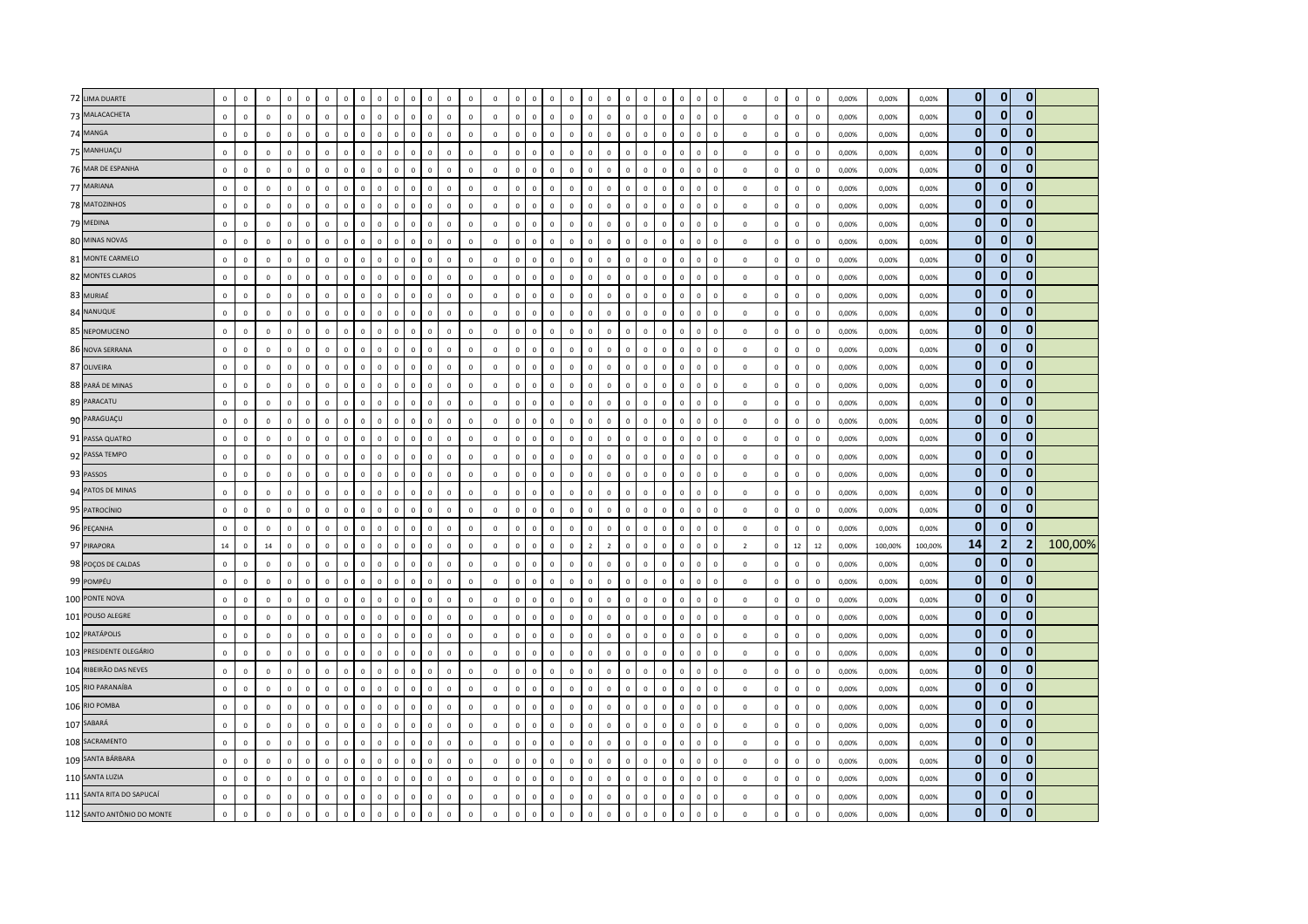| 72 LIMA DUARTE             | $\mathbf 0$  | $\mathsf 0$  | $\mathbf 0$  | $\Omega$     | $\mathbf 0$  | $\Omega$     | $\Omega$       |              | $\Omega$                    | $^{\circ}$   | $\Omega$     | $\mathbf 0$  | $\Omega$     | $\mathsf 0$  | $\mathbf 0$    | $\Omega$       | $\mathbf 0$    | $\Omega$                      | $\Omega$       | $\Omega$       | $\mathbf 0$  | $\Omega$     | $\mathbf 0$<br>$\Omega$     | $\mathbf 0$  | $\,$ 0         | $\mathsf 0$    | $\mathbf 0$ | $\,0\,$                 | 0,00% | 0,00%   | 0,00%   | $\mathbf{0}$   | $\mathbf{0}$ | $\mathbf{0}$   |         |
|----------------------------|--------------|--------------|--------------|--------------|--------------|--------------|----------------|--------------|-----------------------------|--------------|--------------|--------------|--------------|--------------|----------------|----------------|----------------|-------------------------------|----------------|----------------|--------------|--------------|-----------------------------|--------------|----------------|----------------|-------------|-------------------------|-------|---------|---------|----------------|--------------|----------------|---------|
| 73 MALACACHETA             | $\mathbf 0$  | $\mathsf 0$  | $\mathbf 0$  | $\mathbf 0$  | $\mathbf 0$  | $\mathbf 0$  | $\,$ 0         | $\mathbf 0$  | $\mathbf 0$<br>$\mathbf 0$  | $\mathbf 0$  | $\mathbf 0$  | $\,$ 0       | $\circ$      | $\mathsf 0$  | $\mathbf 0$    | $\mathbf 0$    | $\mathbf 0$    | $\mathsf 0$<br>$\mathbf 0$    | $\mathbf 0$    | $\mathbf 0$    | $\mathbf 0$  | $\mathbf 0$  | $\mathbf 0$<br>$\mathbf 0$  | $\mathbf 0$  | $\mathbf 0$    | $\mathbf 0$    | $\mathbf 0$ | $\,0\,$                 | 0,00% | 0,00%   | 0,00%   | $\mathbf 0$    | $\mathbf{0}$ | $\mathbf{0}$   |         |
| 74 MANGA                   | $\mathbf 0$  | $\mathbf 0$  | $\mathbf 0$  | $\Omega$     | $\mathbf 0$  | $\mathbf 0$  | $\overline{0}$ | $\Omega$     | $\Omega$                    | $\mathbf 0$  | $\Omega$     | $\mathbf{0}$ | $\mathbf{0}$ | $\mathbf 0$  | $\mathbf 0$    | $\circ$        | $\mathbf 0$    | $\Omega$<br>$\Omega$          | $\Omega$       | $\Omega$       | $\Omega$     | $\Omega$     | $\Omega$<br>$\mathbf 0$     | $\mathbf 0$  | $\mathbf 0$    | $\mathbf 0$    | $\mathbf 0$ | $\,$ 0                  | 0,00% | 0,00%   | 0,00%   | $\mathbf{0}$   | $\mathbf{0}$ | $\Omega$       |         |
| 75 MANHUAÇU                | $\mathbf{0}$ | $\mathbf 0$  | $\mathbf{0}$ | $\mathbf 0$  | $\mathbf 0$  | $\circ$      | $\overline{0}$ | $\Omega$     | $\mathbf 0$<br>$\Omega$     | $\circ$      | $\Omega$     | $\mathbf 0$  | $\circ$      | $\Omega$     | $\mathbf 0$    | $\mathbf{0}$   | $\mathbf 0$    | $\mathbf 0$<br>$\Omega$       | $\Omega$       | $\mathbf 0$    | $\circ$      | $\Omega$     | $\Omega$<br>$\mathbf{0}$    | $\mathbf 0$  | $\mathbf 0$    | $\mathbf{0}$   | $\mathbf 0$ | $\mathbf 0$             | 0,00% | 0,00%   | 0,00%   | $\mathbf{0}$   | $\mathbf{0}$ | $\mathbf{0}$   |         |
| 76 MAR DE ESPANHA          | $\mathbf 0$  | $\mathsf 0$  | $\mathbf 0$  | $\mathbf 0$  | $\mathbf 0$  | $\mathbf 0$  | $\mathbf 0$    | $\mathbf 0$  | $\mathbf 0$<br>$\Omega$     | $\mathbf 0$  | $\mathbf 0$  | $\mathbf 0$  | $\mathbf 0$  | $\mathbf 0$  | $\mathbf 0$    | $\mathbf{0}$   | $\mathbf 0$    | $\mathsf 0$<br>$\Omega$       | $\mathbf 0$    | $\mathbf 0$    | $\mathsf 0$  | $\mathbf{0}$ | $\mathbf 0$<br>$\mathbf 0$  | $\mathbf 0$  | $\mathbf 0$    | $\mathsf 0$    | $\mathbf 0$ | $\,$ 0                  | 0,00% | 0,00%   | 0,00%   | $\bf{0}$       | $\mathbf{0}$ | 0              |         |
| 77 MARIANA                 | $\mathbf 0$  | $\mathbf 0$  | $\mathbf 0$  | $\mathbf 0$  | $\,0\,$      | $\mathbf 0$  | $\mathbf 0$    | $\Omega$     | $\Omega$<br>$\Omega$        | $\mathbf 0$  | $\Omega$     | $\mathbf 0$  | $\mathbf 0$  | $\mathbf 0$  | $\mathbf 0$    | $\mathbf 0$    | $\mathbf 0$    | $\mathbf 0$<br>$\Omega$       | $\Omega$       | $\Omega$       | $\mathbf 0$  | $\Omega$     | $\Omega$<br>$\mathbf 0$     | $\mathbf 0$  | $\,0\,$        | $\,0\,$        | $\,0\,$     | $\,$ 0                  | 0,00% | 0,00%   | 0,00%   | $\bf{0}$       | $\Omega$     | $\Omega$       |         |
| 78 MATOZINHOS              | $\mathbf 0$  | $\mathsf 0$  | $\mathbf 0$  | $\mathbf 0$  | $\mathbf{0}$ | $\mathbf 0$  | $\mathbf 0$    | $\Omega$     | $\mathbf 0$<br>$\Omega$     | $\mathsf 0$  | $\mathbf 0$  | $\mathbf 0$  | $\mathsf 0$  | $\mathsf 0$  | $\overline{0}$ | $\mathbf{0}$   | $\mathbf 0$    | $\mathsf 0$<br>$\Omega$       | $\mathbf 0$    | $\mathbf 0$    | $\mathsf 0$  | $\mathbf 0$  | $\mathbf 0$<br>$\mathbf{0}$ | $\mathbf 0$  | $\mathbf 0$    | $\mathsf 0$    | $\mathbf 0$ | $\mathbf 0$             | 0,00% | 0,00%   | 0,00%   | $\mathbf{0}$   | $\mathbf{0}$ | $\mathbf{0}$   |         |
| 79 MEDINA                  | $\mathbf 0$  | $\mathsf 0$  | $\Omega$     | $\Omega$     | $\mathbf 0$  | $\Omega$     | $\Omega$       | $\Omega$     | $\Omega$<br>$\Omega$        | $\mathsf 0$  | $\Omega$     | $\mathbf 0$  | $\mathbf{0}$ | $\mathsf 0$  | $\mathbf 0$    | $\mathbf{0}$   | $\mathbf 0$    | $\Omega$<br>$\Omega$          | $\Omega$       | $\Omega$       | $\mathsf 0$  | $\Omega$     | $\Omega$<br>$\mathbf 0$     | $\mathbf 0$  | $\mathbf{0}$   | $\mathsf 0$    | $\,0\,$     | $\mathbf 0$             | 0,00% | 0,00%   | 0.00%   | $\bf{0}$       | $\mathbf{0}$ | $\mathbf{0}$   |         |
| 80 MINAS NOVAS             | $\mathbf 0$  | $\,0\,$      | $\mathbf 0$  | $\mathbf 0$  | $\,$ 0       | $\mathbf 0$  | $\mathbf 0$    | $\mathbf 0$  | $\overline{0}$<br>$\Omega$  | $\mathbf 0$  | $\mathbf 0$  | $\mathbf 0$  | $\,0\,$      | $\mathbf 0$  | $\mathbf 0$    | $\mathbf 0$    | $\mathbf 0$    | $\mathbf 0$<br>$\mathbb O$    | $\mathbf 0$    | $\mathbf 0$    | $\mathbf 0$  | $\mathbf{0}$ | $\mathbf 0$<br>$\mathbf 0$  | $\mathbf 0$  | $\mathbf 0$    | $\,0\,$        | $\mathbf 0$ | $\,$ 0                  | 0,00% | 0,00%   | 0,00%   | $\bf{0}$       | $\mathbf{0}$ | $\mathbf{0}$   |         |
| 81 MONTE CARMELO           | $\mathbf{0}$ | $\mathsf 0$  | $\mathbf 0$  | $\mathbf 0$  | $\mathbf 0$  | $\mathbf 0$  | $\mathbf 0$    | $\mathbf 0$  | $\mathbf 0$<br>$\Omega$     | $\mathsf 0$  | $\mathbf 0$  | $\mathbf 0$  | $\mathbf 0$  | $\mathbf{0}$ | $\mathbf 0$    | $\mathbf{0}$   | $\mathbf 0$    | $\mathsf 0$<br>$\mathbf 0$    | $\mathbf{0}$   | $\mathbf 0$    | $\mathsf 0$  | $\mathbf 0$  | $\mathbf 0$<br>$\mathbf{0}$ | $\mathbf 0$  | $\mathbf 0$    | $\mathbf 0$    | $\mathbb O$ | $\overline{\mathbf{0}}$ | 0,00% | 0,00%   | 0,00%   | $\mathbf{0}$   | $\mathbf{0}$ | $\mathbf{0}$   |         |
| 82 MONTES CLAROS           | $\mathbf 0$  | $\mathsf 0$  | $\mathbf 0$  | $\mathbf 0$  | $\mathbf 0$  | $\mathbf 0$  | $\mathbf 0$    | $\Omega$     | $\Omega$<br>$\Omega$        | $\mathsf 0$  | $\mathbf 0$  | $\mathbf 0$  | $\mathbf 0$  | $\mathsf 0$  | $\mathbf 0$    | $\mathsf 0$    | $\mathbf 0$    | $\mathsf 0$<br>$\Omega$       | $\mathbf 0$    | $\Omega$       | $\mathbf{0}$ | $\mathbf 0$  | $\Omega$<br>$\mathbf 0$     | $\mathbf 0$  | $\mathbf 0$    | $\mathsf 0$    | $\mathbf 0$ | $\overline{\mathbf{0}}$ | 0,00% | 0,00%   | 0,00%   | $\mathbf{0}$   | $\bf{0}$     | $\mathbf{0}$   |         |
| 83 MURIAÉ                  | $\mathbf 0$  | $\mathbf 0$  | $\mathbf 0$  | $\mathbf 0$  | $\mathbf 0$  | $\Omega$     | $\mathbf 0$    | $\Omega$     | $\Omega$<br>$\Omega$        | $\mathsf 0$  | $\Omega$     | $\,$ 0 $\,$  | $\mathsf 0$  | $\mathsf 0$  | $\mathbf 0$    | $\mathbf{0}$   | $\mathbf 0$    | $\mathsf 0$<br>$\Omega$       | $\Omega$       | $\Omega$       | $\mathbf 0$  | $\Omega$     | $\Omega$<br>$\mathbf 0$     | $\mathbf 0$  | $\mathbf 0$    | $\mathsf 0$    | $\mathbf 0$ | $\,$ 0                  | 0,00% | 0,00%   | 0,00%   | $\bf{0}$       | $\mathbf{0}$ | $\mathbf{0}$   |         |
| 84 NANUQUE                 | $\mathbf 0$  | $\mathsf 0$  | $\mathbf 0$  | $\mathbf 0$  | $\circ$      | $\Omega$     | $\mathbf 0$    | $\Omega$     | $\mathbf 0$<br>$\Omega$     | $\circ$      | $\Omega$     | $\mathbf 0$  | $\mathbf{0}$ | $\mathbf{0}$ | $\overline{0}$ | $\mathbf{0}$   | $\mathbf 0$    | $\mathsf 0$<br>$\Omega$       | $\Omega$       | $\mathbf 0$    | $\mathsf 0$  | $\Omega$     | $\Omega$<br>$\mathbf{0}$    | $\mathbf 0$  | $\mathbf 0$    | $\overline{0}$ | $\,0\,$     | $\,$ 0                  | 0,00% | 0,00%   | 0,00%   | $\mathbf{0}$   | $\mathbf{0}$ | $\mathbf{0}$   |         |
| 85 NEPOMUCENO              | $\mathbf 0$  | $\mathbf 0$  | $\mathbf 0$  | $\mathbf 0$  | $\mathbf 0$  | $\mathbf 0$  | $\mathbf 0$    | $\mathbf 0$  | $\overline{0}$<br>$\Omega$  | $\mathsf 0$  | $\mathbf 0$  | $\mathbf 0$  | $\mathsf 0$  | $\mathsf 0$  | $\mathbf 0$    | $\mathbf 0$    | $\mathbf 0$    | $\mathbf{0}$<br>$\mathsf 0$   | $\mathbf 0$    | $\mathbf 0$    | $\mathsf 0$  | $\mathsf 0$  | $\mathbf{0}$<br>$\mathbf 0$ | $\mathbf 0$  | $\mathbf 0$    | $\mathsf 0$    | $\mathbf 0$ | $\overline{\mathbf{0}}$ | 0,00% | 0,00%   | 0,00%   | $\mathbf{0}$   | $\mathbf{0}$ | $\Omega$       |         |
| 86 NOVA SERRANA            | $\mathbf 0$  | $\mathbf 0$  | $\mathbf 0$  | $\mathbf 0$  | $\mathbf 0$  | $\mathbf 0$  | $\mathbf 0$    | $\mathbb O$  | $\mathbf 0$<br>$\Omega$     | $\mathbf 0$  | $\mathbf 0$  | $\,$ 0 $\,$  | $\mathbf 0$  | $\mathsf 0$  | $\mathbf 0$    | $\mathbf{0}$   | $\mathbf 0$    | $\mathsf 0$<br>$\mathbb O$    | $\mathbf 0$    | $\mathbf 0$    | $\mathbf 0$  | $\mathbf 0$  | $\mathbf 0$<br>$\mathbf{0}$ | $\mathbf 0$  | $\mathbf 0$    | $\mathbf 0$    | $\mathbb O$ | $\,0\,$                 | 0,00% | 0,00%   | 0,00%   | $\bf{0}$       | $\mathbf{0}$ | $\mathbf{0}$   |         |
| 87 OLIVEIRA                | $\mathbf 0$  | $\mathsf 0$  | $\Omega$     | $\mathbf 0$  | $\mathbf 0$  | $\mathbf 0$  | $\mathbf 0$    | $\Omega$     | $\mathbf 0$<br>$\Omega$     | $\mathbf 0$  | $\Omega$     | $\mathbf 0$  | $\mathsf 0$  | $\Omega$     | $\mathbf 0$    | $\mathbf 0$    | $\mathbf 0$    | $\mathsf 0$<br>$\Omega$       | $\Omega$       | $\Omega$       | $\mathsf 0$  | $\Omega$     | $\Omega$<br>$\mathbf 0$     | $\mathbf 0$  | $\mathbf 0$    | $\mathbf 0$    | $\mathbf 0$ | $\,$ 0                  | 0,00% | 0,00%   | 0,00%   | $\bf{0}$       | 0            | 0              |         |
| 88 PARÁ DE MINAS           | $\mathbf 0$  | $\mathbf 0$  | $\mathbf 0$  | $\mathbf 0$  | $\mathbf 0$  | $\mathbf 0$  | $\mathbf 0$    | $\Omega$     | $\mathbf 0$<br>$\Omega$     | $\mathsf 0$  | $\Omega$     | $\mathbf 0$  | $\circ$      | $\mathsf 0$  | $\mathbf 0$    | $\Omega$       | $\mathbf 0$    | $\mathbf 0$<br>$\Omega$       | $\Omega$       | $\mathbf 0$    | $\circ$      | $\Omega$     | $\Omega$<br>$\mathbf{0}$    | $\mathbf 0$  | $\mathbf 0$    | $\mathsf 0$    | $\mathbf 0$ | $\,0\,$                 | 0,00% | 0,00%   | 0,00%   | $\mathbf{0}$   | $\mathbf{0}$ | $\mathbf{0}$   |         |
| 89 PARACATU                | $\mathbf 0$  | $\mathsf 0$  | $\mathbf 0$  | $\mathbf 0$  | $\mathbf 0$  | $\mathbf 0$  | $\mathbf 0$    | $\mathbf 0$  | $\mathbf 0$<br>$\mathsf 0$  | $\mathbf 0$  | $\mathbf 0$  | $\mathbf 0$  | $\mathsf 0$  | $\mathsf 0$  | $\mathbf 0$    | $\mathsf 0$    | $\mathbf 0$    | $\mathsf 0$<br>$\mathbb O$    | $\mathbf 0$    | $\mathbf 0$    | $\mathsf 0$  | $\mathbf 0$  | $\mathbf 0$<br>$\mathbf{0}$ | $\mathbf 0$  | $\mathbf 0$    | $\mathsf 0$    | $\mathbf 0$ | $\overline{\mathbf{0}}$ | 0,00% | 0,00%   | 0,00%   | $\bf{0}$       | $\mathbf{0}$ | $\mathbf{0}$   |         |
| 90 PARAGUAÇU               | $\mathbf 0$  | $\mathsf 0$  | $\mathbf 0$  | $\mathbf 0$  | $\mathbf 0$  | $\mathbf 0$  | $\mathbf 0$    | $\mathbf 0$  | $\mathbf{0}$<br>$\Omega$    | $\mathsf 0$  | $^{\circ}$   | $\mathbf 0$  | $\mathsf 0$  | $\mathbf 0$  | $\mathbf 0$    | $\mathbf{0}$   | $\mathbf 0$    | $\mathsf 0$<br>$\mathbf 0$    | $\mathbf 0$    | $\mathbf 0$    | $\mathsf 0$  | $\mathbf{0}$ | $\mathbf 0$<br>$\mathbf 0$  | $\mathbf 0$  | $\circ$        | $\mathsf 0$    | $\mathbf 0$ | $\overline{\mathbf{0}}$ | 0,00% | 0,00%   | 0,00%   | $\bf{0}$       | $\mathbf{0}$ | $\overline{0}$ |         |
| 91 PASSA QUATRO            | $\mathbf 0$  | $\mathbf 0$  | $\mathbf 0$  | $\mathbf 0$  | $\mathbf 0$  | $\Omega$     | $\overline{0}$ | $\Omega$     | $\Omega$<br>$\Omega$        | $\mathbf 0$  | $\Omega$     | $\mathbf 0$  | $\mathbf{0}$ | $\Omega$     | $\mathbf 0$    | $\mathsf 0$    | $\mathbf 0$    | $\mathbf 0$<br>$\Omega$       | $\Omega$       | $\mathbf 0$    | $\circ$      | $\Omega$     | $\Omega$<br>$\mathbf{0}$    | $\mathbf 0$  | $\mathbf 0$    | $\mathbf 0$    | $\mathbf 0$ | $\,0\,$                 | 0,00% | 0,00%   | 0,00%   | $\mathbf{0}$   | $\mathbf{0}$ | $\mathbf{0}$   |         |
| 92 PASSA TEMPO             | $\mathbf 0$  | $\mathsf 0$  | $\mathbf 0$  | $\mathbf 0$  | $\mathbf 0$  | $\mathbf 0$  | $\mathbf 0$    | $\mathbf 0$  | $\mathbf 0$<br>$\mathbf 0$  | $\mathbf 0$  | $\mathbf 0$  | $\mathbb O$  | $\mathbf 0$  | $\mathbf 0$  | $\,0\,$        | $\mathbf{0}$   | $\mathbf 0$    | $\mathsf 0$<br>$\mathbb O$    | $\mathbf 0$    | $\mathbf 0$    | $\mathsf 0$  | $\mathbf{0}$ | $\mathbf 0$<br>$\mathbf 0$  | $\mathbf 0$  | $\mathbf 0$    | $\mathbf 0$    | $\mathbf 0$ | $\,0\,$                 | 0,00% | 0,00%   | 0,00%   | $\bf{0}$       | $\mathbf{0}$ | $\mathbf{0}$   |         |
| 93 PASSOS                  | $\mathbf 0$  | $\mathsf 0$  | $\mathbf 0$  | $\mathbf 0$  | $\mathbf 0$  | $\mathbf 0$  | $\mathbf 0$    |              | $\overline{0}$              | $\mathsf 0$  | $\mathbf 0$  | $\mathbf 0$  | $\mathbf 0$  | $\mathsf 0$  | $\mathbf 0$    | $\mathbf 0$    | $\overline{0}$ | $\mathbf 0$<br>$\Omega$       | $\mathbf 0$    | $\overline{0}$ | $\mathbf 0$  | $\mathbf 0$  | $\mathbf 0$<br>$\mathbf 0$  | $\mathsf 0$  | $\mathbf 0$    | $\mathsf 0$    | $\mathbf 0$ | $\,$ 0                  | 0,00% | 0,00%   | 0,00%   | $\bf{0}$       | $\bf{0}$     | $\mathbf{0}$   |         |
| 94 PATOS DE MINAS          | $\mathbf{0}$ | $\mathbf 0$  | $\Omega$     | $\circ$      | $\mathbf 0$  | $\mathbf 0$  | $\overline{0}$ | $\Omega$     | $\Omega$<br>$\Omega$        | $\mathbf 0$  | $\Omega$     | $\mathbf{0}$ | $\circ$      | $\Omega$     | $\overline{0}$ | $\mathbf{0}$   | $\mathbf 0$    | $\mathbf 0$<br>$\Omega$       | $\Omega$       | $\mathbf 0$    | $\Omega$     | $\mathbf{0}$ | $\Omega$<br>$\mathbf{0}$    | $\Omega$     | $\mathbf 0$    | $\mathbf 0$    | $\mathbf 0$ | $\overline{0}$          | 0.00% | 0,00%   | 0,00%   | $\mathbf{0}$   | $\mathbf{0}$ | $\Omega$       |         |
| 95 PATROCÍNIO              | $\mathbf 0$  | $\mathbf 0$  | $\mathbf 0$  | $\Omega$     | $\mathbf 0$  | $\Omega$     | $\Omega$       | $\Omega$     | $\Omega$<br>$\Omega$        | $\mathsf 0$  | $\Omega$     | $\,$ 0       | $\mathbf{0}$ | $\mathsf 0$  | $\mathbf 0$    | $\Omega$       | $\mathbf 0$    | $\Omega$<br>$\Omega$          | $\Omega$       | $\Omega$       | $\mathsf 0$  | $\Omega$     | $\mathbf 0$<br>$\Omega$     | $\mathbf 0$  | $\mathbf 0$    | $\mathsf 0$    | $\mathbf 0$ | $\overline{\mathbf{0}}$ | 0,00% | 0,00%   | 0,00%   | $\bf{0}$       | $\mathbf{0}$ | $\mathbf{0}$   |         |
| 96 PEÇANHA                 | $\mathbf 0$  | $\mathbf 0$  | $\mathbf 0$  | $\mathbf 0$  | $\,$ 0       | $\mathbf 0$  | $\mathbf 0$    | $\mathbf 0$  | $\mathbf 0$<br>$\Omega$     | $\mathbf 0$  | $\mathbf 0$  | $\mathbf 0$  | $\mathbf 0$  | $\mathbf 0$  | $\mathbf 0$    | $\mathbf 0$    | $\mathbf 0$    | $\mathbb O$<br>$\mathbf 0$    | $\mathbf 0$    | $\mathbf 0$    | $\mathbf 0$  | $\mathbf{0}$ | $\mathbf 0$<br>$\mathbf 0$  | $\mathbf 0$  | $\mathbf 0$    | $\mathbf 0$    | $\mathbf 0$ | $\,$ 0                  | 0,00% | 0,00%   | 0,00%   | $\mathbf{0}$   | $\mathbf{0}$ | $\mathbf{0}$   |         |
| 97 PIRAPORA                | 14           | $\mathbf 0$  | 14           | $\mathbf 0$  | $\mathbf{0}$ | $\circ$      | $\mathbf 0$    | $\mathbf{0}$ | $\mathbf 0$<br>$\mathbf{0}$ | $\mathsf 0$  | $\mathbf 0$  | $\mathbf 0$  | $\mathsf 0$  | $\mathsf 0$  | $\mathbf 0$    | $\mathbf{0}$   | $\mathbf 0$    | $\mathsf 0$<br>$\overline{z}$ | $\overline{2}$ | $\mathbf 0$    | $\circ$      | $\mathbf 0$  | $\mathbf 0$<br>$\mathbf{0}$ | $\mathbf 0$  | $\overline{2}$ | $\mathbf 0$    | 12          | 12                      | 0,00% | 100,00% | 100,00% | 14             | 2            | $\overline{2}$ | 100,00% |
| 98 POÇOS DE CALDAS         | $\mathbf{0}$ | $\Omega$     | $\Omega$     | $\Omega$     | $\mathbf{0}$ | $\mathbf{0}$ | $\overline{0}$ | $\Omega$     | $\Omega$<br>$\Omega$        | $\mathsf 0$  | $\Omega$     | $\mathbf{0}$ | $\Omega$     | $\Omega$     | $\mathbf 0$    | $\Omega$       | $\mathbf 0$    | $\Omega$<br>$\Omega$          | $\Omega$       | $\Omega$       | $\Omega$     | $\Omega$     | $\mathbf{0}$<br>$\Omega$    | $\mathbf{0}$ | $\mathbf{0}$   | $\Omega$       | $\mathbf 0$ | $\overline{\mathbf{0}}$ | 0.00% | 0.00%   | 0,00%   | $\mathbf{0}$   | $\mathbf{0}$ | $\mathbf{0}$   |         |
| 99 POMPÉU                  | $\mathbf 0$  | $\mathbf 0$  | $\mathbf 0$  | $\Omega$     | $\mathbf 0$  | $\Omega$     | $\overline{0}$ | $\Omega$     | $\Omega$<br>$\Omega$        | $\mathsf 0$  | $\Omega$     | $\mathbf 0$  | $\Omega$     | $\mathsf 0$  | $\mathbf 0$    | $\Omega$       | $\mathbf 0$    | $\Omega$<br>$\Omega$          | $\Omega$       | $\Omega$       | $\mathbf{0}$ | $\Omega$     | $\Omega$<br>$\mathbf{0}$    | $\mathbf 0$  | $\mathbf 0$    | $\mathsf 0$    | $\mathbf 0$ | $\,0\,$                 | 0,00% | 0,00%   | 0,00%   | $\mathbf{0}$   | $\mathbf{0}$ | $\mathbf{0}$   |         |
| 100 PONTE NOVA             | $\mathbf 0$  | $\mathbf 0$  | $\mathbf 0$  | $\mathbf 0$  | $\,0\,$      | $\mathbf 0$  | $\,0\,$        | $\Omega$     | $\,0\,$<br>$\Omega$         | $\mathbf 0$  | $\mathbf 0$  | $\mathbf 0$  | $\mathbf 0$  | $\mathbf 0$  | $\mathbf 0$    | $\mathbf 0$    | $\mathbf 0$    | $\mathbf 0$<br>$\mathbb O$    | $\mathbf 0$    | $\,$ 0         | $\mathbf 0$  | $\mathbf{0}$ | $\pmb{0}$<br>$\mathbf 0$    | $\mathbf 0$  | $\mathbf 0$    | $\,0\,$        | $\,0\,$     | $\,$ 0                  | 0,00% | 0,00%   | 0,00%   | $\bf{0}$       | $\mathbf{0}$ | $\mathbf{0}$   |         |
| 101 POUSO ALEGRE           | $\mathbf 0$  | $\mathsf 0$  | $\mathbf 0$  | $\mathbf 0$  | $\mathbf 0$  | $\circ$      | $\mathbf 0$    | $\Omega$     | $\Omega$<br>$\Omega$        | $\mathsf 0$  | $\mathbf 0$  | $\mathbf 0$  | $\mathsf 0$  | $\mathsf 0$  | $\mathbf 0$    | $\circ$        | $\mathbf 0$    | $\Omega$<br>$\mathsf 0$       | $\mathbf 0$    | $\Omega$       | $\mathbf 0$  | $\mathbf 0$  | $\Omega$<br>$\mathbf 0$     | $\mathbf 0$  | $\mathbf 0$    | $\mathsf 0$    | $\mathbf 0$ | $\overline{0}$          | 0,00% | 0,00%   | 0,00%   | $\mathbf{0}$   | $\mathbf{0}$ | $\mathbf{0}$   |         |
| 102 PRATÁPOLIS             | $\mathbf 0$  | $\mathbf 0$  | $\mathbf 0$  | $\mathbf{0}$ | $\mathbf 0$  | $\Omega$     | $\overline{0}$ | $\Omega$     | $\Omega$<br>$\Omega$        | $\mathsf 0$  | $\Omega$     | $\mathbf 0$  | $\mathbf 0$  | $\mathsf 0$  | $\mathbf 0$    | $\mathbf 0$    | $\mathbf 0$    | $\mathsf 0$<br>$\Omega$       | $\Omega$       | $\Omega$       | $\Omega$     | $\Omega$     | $\Omega$<br>$\mathbf{0}$    | $\mathbf 0$  | $\mathbf 0$    | $\mathbf 0$    | $\mathbf 0$ | $\,0\,$                 | 0,00% | 0,00%   | 0,00%   | $\bf{0}$       | $\mathbf{0}$ | $\mathbf{0}$   |         |
| 103 PRESIDENTE OLEGÁRIO    | $\mathbf 0$  | $\mathbf 0$  | $\mathbf 0$  | $\mathbf 0$  | $\mathbf 0$  | $\mathbf 0$  | $\mathbf 0$    | $\mathbf 0$  | $\mathbf 0$<br>$\Omega$     | $\mathbf 0$  | $\mathbf 0$  | $\mathbf 0$  | $\mathbf 0$  | $\mathbf{0}$ | $\mathbf 0$    | $\mathbf 0$    | $\mathbf 0$    | $\mathsf 0$<br>$\mathbf 0$    | $\mathbf 0$    | $\mathbf 0$    | $\mathsf 0$  | $\mathbf{0}$ | $\mathbf 0$<br>$\mathbf 0$  | $\mathbf 0$  | $\mathbf 0$    | $\mathbf 0$    | $\,0\,$     | $\,0\,$                 | 0,00% | 0,00%   | 0,00%   | $\bf{0}$       | $\mathbf{0}$ | 0              |         |
| 104 RIBEIRÃO DAS NEVES     | $\mathbf 0$  | $\mathsf 0$  | $\mathbf 0$  | $\mathbf 0$  | $\mathbf 0$  | $\mathbf 0$  | $\mathbf 0$    | $\Omega$     | $\Omega$<br>$\Omega$        | $\mathsf 0$  | $\Omega$     | $\mathbf 0$  | $\mathsf 0$  | $\mathsf 0$  | $\mathbf 0$    | $\mathbf 0$    | $\mathbf 0$    | $\mathsf 0$<br>$\Omega$       | $\mathbf 0$    | $\Omega$       | $\mathbf 0$  | $\Omega$     | $\Omega$<br>$\mathbf 0$     | $\mathbf 0$  | $\mathbf 0$    | $\mathsf 0$    | $\mathbf 0$ | $\overline{\mathbf{0}}$ | 0,00% | 0,00%   | 0,00%   | $\mathbf{0}$   | $\Omega$     | $\mathbf{0}$   |         |
| 105 RIO PARANAÍBA          | $\mathbf 0$  | $\mathbf{0}$ | $\mathbf 0$  | $\mathbf 0$  | $\mathbf{0}$ | $\mathbf 0$  | $\mathbf 0$    | $\Omega$     | $\Omega$<br>$\Omega$        | $\mathbf 0$  | $\mathbf 0$  | $\mathbf 0$  | $\mathbf 0$  | $\mathsf 0$  | $\mathbf 0$    | $\mathbf{0}$   | $\mathbf 0$    | $\mathsf 0$<br>$\Omega$       | $\mathbf 0$    | $\mathbf{0}$   | $\mathbf{0}$ | $\Omega$     | $\Omega$<br>$\mathbf 0$     | $\mathbf 0$  | $\mathbf 0$    | $\mathsf 0$    | $\mathbf 0$ | $\overline{\mathbf{0}}$ | 0,00% | 0,00%   | 0,00%   | $\bf{0}$       | $\mathbf{0}$ | $\mathbf{0}$   |         |
| 106 RIO POMBA              | $\mathbf 0$  | $\mathsf 0$  | $\mathbf 0$  | $\mathbf 0$  | $\mathbf 0$  | $\mathbf 0$  | $\mathbf 0$    | $\mathbf 0$  | $\overline{0}$<br>$\Omega$  | $\mathsf 0$  | $\mathbf{0}$ | $\mathbf 0$  | $\mathsf 0$  | $\mathbf 0$  | $\mathbf 0$    | $\mathbf{0}$   | $\mathbf 0$    | $\mathsf 0$<br>$\mathbf 0$    | $\mathbf{0}$   | $\overline{0}$ | $\mathsf 0$  | $\mathbf{0}$ | $\mathbf 0$<br>$\mathbf 0$  | $\mathbf 0$  | $\mathbf 0$    | $\mathsf 0$    | $\mathbf 0$ | $\overline{\mathbf{0}}$ | 0,00% | 0,00%   | 0,00%   | $\bf{0}$       | $\mathbf{0}$ | $\mathbf{0}$   |         |
| 107 SABARÁ                 | $\mathbf 0$  | $\mathbf 0$  | $\mathbf 0$  | $\circ$      | $\mathbf 0$  | $\circ$      | $\overline{0}$ | $\Omega$     | $\mathbf{0}$<br>$\Omega$    | $\mathbf{0}$ | $\Omega$     | $\mathbf 0$  | $\mathbf{0}$ | $\Omega$     | $\mathbf 0$    | $\mathbf{0}$   | $\mathbf 0$    | $\mathbf 0$<br>$\Omega$       | $\Omega$       | $\mathbf 0$    | $\mathbf{0}$ | $\Omega$     | $\Omega$<br>$\mathbf{0}$    | $\mathbf 0$  | $\mathbf 0$    | $\mathbf 0$    | $\mathbf 0$ | $\,0\,$                 | 0,00% | 0,00%   | 0,00%   | $\mathbf{0}$   | $\mathbf{0}$ | $\Omega$       |         |
| 108 SACRAMENTO             | $\mathbf 0$  | $\mathsf 0$  | $\mathbf 0$  | $\mathbf 0$  | $\mathbf 0$  | $\mathbf 0$  | $\mathbf 0$    | $\mathbf 0$  | $\mathbf 0$<br>$\mathbf 0$  | $\mathbf 0$  | $\mathbf 0$  | $\mathbf 0$  | $\mathsf 0$  | $\mathbf 0$  | $\mathbf 0$    | $\mathbf 0$    | $\mathbf 0$    | $\mathsf 0$<br>$\mathbf{0}$   | $\mathbf 0$    | $\mathbf 0$    | $\mathbf 0$  | $\mathbf 0$  | $\mathbf 0$<br>$\mathbf 0$  | $\mathbf 0$  | $\mathbf 0$    | $\mathbf 0$    | $\mathbb O$ | $\overline{\mathbf{0}}$ | 0,00% | 0,00%   | 0,00%   | $\mathbf{0}$   | $\mathbf{0}$ | $\mathbf{0}$   |         |
| 109 SANTA BÁRBARA          | $\mathbf 0$  | $\mathsf 0$  | $\mathbf 0$  | $\mathbf 0$  | $\mathbf 0$  | $\mathbf{0}$ | $\mathbf 0$    | $\Omega$     | $\Omega$<br>$\Omega$        | $\mathsf 0$  | $\Omega$     | $\mathbf 0$  | $\mathbf 0$  | $\mathsf 0$  | $\mathbf 0$    | $\mathsf 0$    | $\mathbf 0$    | $\mathsf 0$<br>$\Omega$       | $\Omega$       | $\Omega$       | $\mathbf 0$  | $\mathbf 0$  | $\mathbf 0$<br>$\mathbf 0$  | $\mathbf 0$  | $\mathbf 0$    | $\mathbf 0$    | $\mathbf 0$ | $\overline{\mathbf{0}}$ | 0,00% | 0,00%   | 0,00%   | $\mathbf{0}$   | $\mathbf{0}$ | $\mathbf{0}$   |         |
| 110 SANTA LUZIA            | $\mathbf{0}$ | $\mathbf 0$  | $\mathbf{0}$ | $\circ$      | $\mathbf{0}$ | $\circ$      | $\overline{0}$ | $\mathbf 0$  | $\mathbf 0$<br>$\mathbf{0}$ | $\circ$      | $\mathbf{0}$ | $\mathbf{0}$ | $\mathbf{0}$ | $\mathbf{0}$ | $\overline{0}$ | $\mathbf{0}$   | $\mathbf 0$    | $\mathbf 0$<br>$\mathbf 0$    | $\overline{0}$ | $\mathbf 0$    | $\circ$      | $\mathbf{0}$ | $\Omega$<br>$\mathbf{0}$    | $\mathbf{0}$ | $\mathbf{0}$   | $\mathbf 0$    | $\mathbf 0$ | $\overline{0}$          | 0,00% | 0,00%   | 0,00%   | $\mathbf{0}$   | $\mathbf{0}$ | $\Omega$       |         |
| 111 SANTA RITA DO SAPUCAÍ  | $\mathbf 0$  | $\mathsf 0$  | $\mathbf 0$  | $\mathbf 0$  | $\mathbf 0$  | $\mathbf 0$  | $\,0\,$        | $\mathbf 0$  | $\mathbf 0$<br>$\mathbf{0}$ | $\mathbf 0$  | $\circ$      | $\mathbf 0$  | $\mathbf 0$  | $\mathbf{0}$ | $\mathbf 0$    | $\overline{0}$ | $\mathbf 0$    | $\,0\,$<br>$\circ$            | $\mathbf{0}$   | $\mathbf 0$    | $\mathbf 0$  | $\mathbf{0}$ | $\pmb{0}$<br>$\mathbf{0}$   | $\mathbf 0$  | $\mathbf 0$    | $\mathsf 0$    | $\mathbf 0$ | $\,$ 0                  | 0,00% | 0,00%   | 0,00%   | $\mathbf{0}$   | $\bf{0}$     | $\mathbf{0}$   |         |
| 112 SANTO ANTÔNIO DO MONTE | $\mathbf 0$  | $\mathbf 0$  | $\mathbf 0$  | $\pmb{0}$    | $\mathbf 0$  | $\mathbf 0$  | $\pmb{0}$      | $\mathbf 0$  | $\mathbf 0$<br>$\mathsf 0$  | $\mathbf 0$  | $\mathbf 0$  | $\,$ 0       | $\mathbf{0}$ | $\mathbf 0$  | $\mathbf 0$    | $\mathsf 0$    | $\overline{0}$ | $\mathbf 0$<br>$\mathbf{0}$   | $\mathbf 0$    | $\overline{0}$ | $\mathbf 0$  | $\mathbf 0$  | $\mathbf 0$<br>$\mathbf 0$  | $\pmb{0}$    | $\mathbf 0$    | $\mathbf 0$    | $\mathbf 0$ | $\overline{0}$          | 0,00% | 0,00%   | 0,00%   | $\overline{0}$ | $\mathbf{0}$ | $\mathbf{0}$   |         |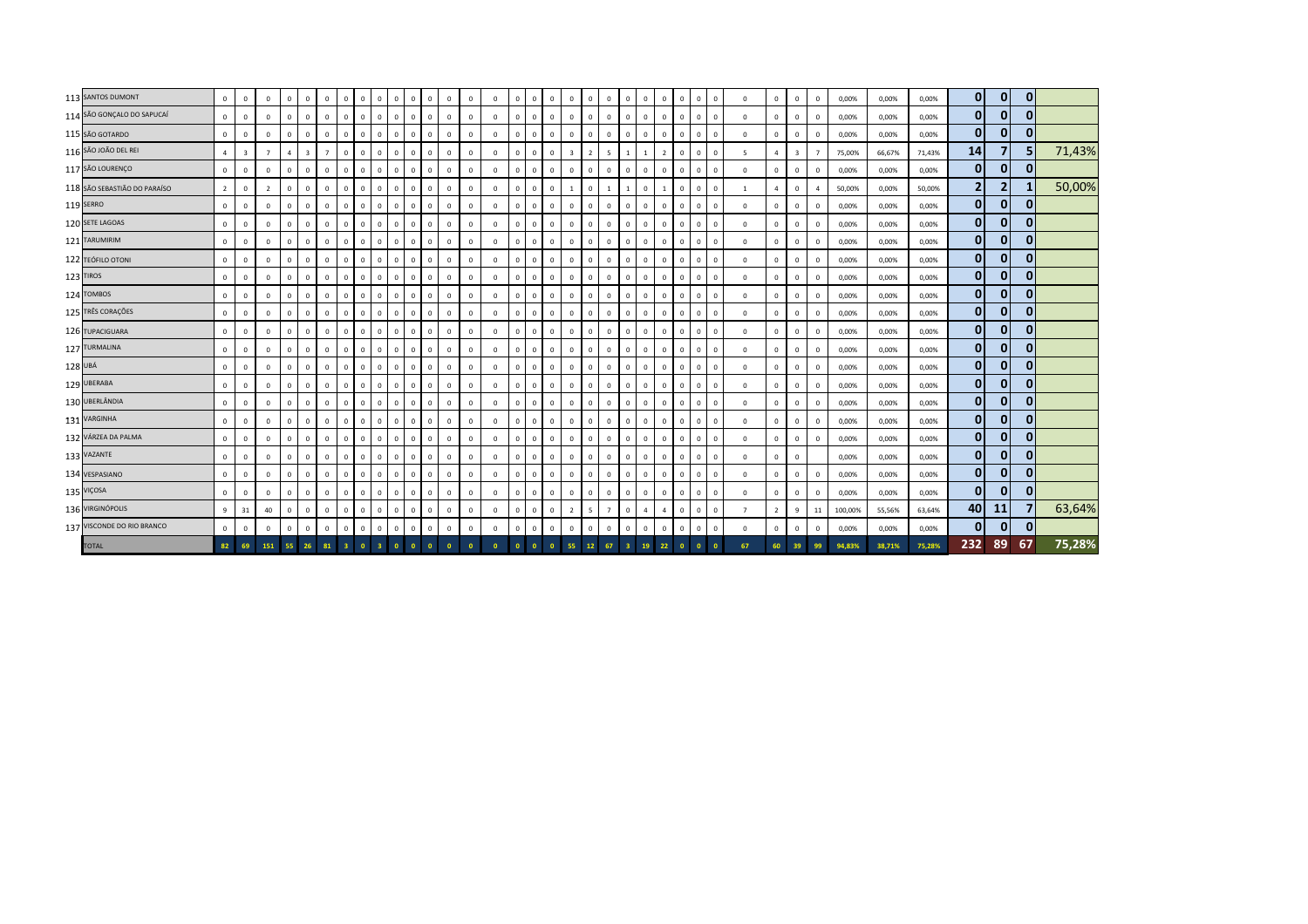|         | 113 SANTOS DUMONT            | $\mathbf 0$    | $\Omega$       | $\mathbf{0}$   | $\overline{0}$           | $\Omega$                | $\overline{0}$ | $\Omega$       | $\mathbf{0}$ | $\overline{0}$                 | $\overline{0}$<br>$\mathbf{0}$            | $\mathbf{0}$ | $\mathbf{0}$ | $\mathbf{0}$ | $\mathbf{0}$ | $\overline{0}$          | $\mathbf{0}$ | $\overline{0}$ | $\Omega$       | $\mathbf{0}$   | $\Omega$               | $\Omega$                | $\mathbf{0}$<br>$\Omega$     | $\mathbf 0$  | $\overline{0}$    | $\overline{0}$ | $\Omega$       | $\mathbf{0}$   | $\overline{0}$ | $\mathbf{0}$   | 0,00%   | 0,00%  | 0,00%  | $\mathbf{0}$   | $\mathbf{0}$ | $\mathbf{0}$ |        |
|---------|------------------------------|----------------|----------------|----------------|--------------------------|-------------------------|----------------|----------------|--------------|--------------------------------|-------------------------------------------|--------------|--------------|--------------|--------------|-------------------------|--------------|----------------|----------------|----------------|------------------------|-------------------------|------------------------------|--------------|-------------------|----------------|----------------|----------------|----------------|----------------|---------|--------|--------|----------------|--------------|--------------|--------|
|         | 114 SÃO GONÇALO DO SAPUCAÍ   | $\mathbf{0}$   | $\mathbf 0$    | $\circ$        | $\mathbf{0}$             | $\mathbf{0}$            | $\mathbf{0}$   |                | $\,0\,$      | $\overline{0}$                 | $\mathbf{0}$<br>$\mathbf{0}$              | $\mathbf{0}$ | $\mathbf{0}$ | $\mathbf{0}$ | $\mathbf 0$  | $\overline{0}$          | $\mathbf{0}$ | $\mathbf 0$    | $\Omega$       | $\mathbf{0}$   | $^{\circ}$             | $\mathbf{0}$            | $\mathbf{0}$<br>$^{\circ}$   | $\mathbf{0}$ | $\mathbf{0}$      | $^{\circ}$     | $\mathbf{0}$   | $\mathbf 0$    | $\mathbf{0}$   | $^{\circ}$     | 0,00%   | 0,00%  | 0,00%  | $\mathbf{0}$   | $\bf{0}$     | $\mathbf 0$  |        |
|         | 115 SÃO GOTARDO              | $\Omega$       | $\Omega$       | $\Omega$       | $\mathbf{0}$             | $\mathbf{0}$            | $\circ$        | $\Omega$       | $\mathbf 0$  | $\Omega$                       | $\mathbf{0}$<br>$\mathbf{0}$              | $\mathbf{0}$ | $\Omega$     | $\mathbf{0}$ | $^{\circ}$   | $\Omega$                | $\mathbf{0}$ | $\mathbf 0$    | $\Omega$       | $\Omega$       | $^{\circ}$             | $\Omega$                | $\mathbf{0}$<br>$\Omega$     | $\,0\,$      | $\mathbf{0}$      | $\Omega$       | $\Omega$       | $\mathbf{0}$   | $\Omega$       | $\Omega$       | 0,00%   | 0,00%  | 0,00%  | $\mathbf{0}$   | $\mathbf 0$  | $\bf{0}$     |        |
|         | 116 SÃO JOÃO DEL REI         | $\Delta$       | $\overline{3}$ | $\overline{7}$ | $\overline{a}$           | $\overline{\mathbf{3}}$ | $\overline{7}$ | $\Omega$       | $\mathbf 0$  | $\mathbf{0}$                   | $\mathbf 0$<br>$\mathbf{0}$               | $\mathbf{0}$ | $\mathbf{0}$ | $\mathbf{0}$ | $\mathbf{0}$ | $\Omega$                | $\mathbf{0}$ | $\mathbf 0$    | $\overline{3}$ | $\overline{2}$ | 5<br>$\overline{1}$    |                         | 1<br>$\overline{2}$          | $\mathbf 0$  | $\overline{0}$    | $\Omega$       | 5              | $\overline{4}$ | $\overline{3}$ | $\overline{7}$ | 75,00%  | 66,67% | 71,43% | 14             |              | 5            | 71,43% |
|         | 117 SÃO LOURENÇO             | $\Omega$       | $\Omega$       | $^{\circ}$     | $\overline{0}$           | $\mathbf{0}$            | $\circ$        | $\mathbf{0}$   | $\mathbf 0$  | $\mathbf{0}$                   | $\mathbf 0$<br>$\mathbf{0}$               | $\mathbf{0}$ | $\mathbf{0}$ | $\mathbf 0$  | $\mathbf{0}$ | $\mathbf 0$             | $\circ$      | $\mathbf 0$    | $\Omega$       | $\mathbf 0$    | $\mathbf{0}$           | $\mathbf{0}$            | $\mathbf{0}$<br>$^{\circ}$   | $\mathbf 0$  | $\mathbf{0}$      | $\overline{0}$ | $\mathbf{0}$   | $\mathsf 0$    | $\overline{0}$ | $^{\circ}$     | 0,00%   | 0,00%  | 0,00%  | $\mathbf{0}$   | $\mathbf 0$  | $\bf{0}$     |        |
|         | 118 SÃO SEBASTIÃO DO PARAÍSO | $\overline{2}$ | $\mathbf 0$    | $\overline{2}$ | $\overline{0}$           | $\mathbf{0}$            | $\mathbf{0}$   |                | $\mathbf 0$  | $\overline{0}$                 | $\mathbf{0}$<br>$\,0\,$                   | $\mathbf{0}$ | $\mathbf{0}$ | $\mathbf{0}$ | $\mathsf 0$  | $\overline{0}$          | $\mathbf{0}$ | $\mathbf 0$    | $\overline{1}$ | $\mathbf 0$    | $\mathbf{1}$           |                         | $\circ$<br>$\overline{1}$    | $\mathbf{0}$ | $\mathbf{0}$      | $\overline{0}$ | <sup>1</sup>   | $\overline{4}$ | $\mathbf{0}$   | $\overline{a}$ | 50,00%  | 0,00%  | 50,00% | $\overline{2}$ | 2            | 1            | 50,00% |
|         | 119 SERRO                    | $\mathbf 0$    | $^{\circ}$     | $\Omega$       | $\mathbf{0}$             | $\mathbf 0$             | $\mathbf 0$    | $\Omega$       | $\mathbf 0$  | $^{\circ}$                     | $\mathbf{0}$<br>$\mathbf 0$               | $\mathbf{0}$ | $\mathbf 0$  | $\mathbf 0$  | $\mathbf 0$  | $\Omega$                | $\mathbf{0}$ | $\mathbf 0$    | $\Omega$       | $\Omega$       | $\Omega$<br>$^{\circ}$ |                         | $\mathbf{0}$<br>$\Omega$     | $\mathbf 0$  | $\cdot$ 0 $\cdot$ | $\Omega$       | $\mathbf 0$    | $\mathbf 0$    | $\mathbf{0}$   | $\Omega$       | 0,00%   | 0,00%  | 0,00%  | $\mathbf{0}$   | $\mathbf{0}$ | $\mathbf{0}$ |        |
|         | 120 SETE LAGOAS              | $\mathbf{0}$   | $\Omega$       | $\mathbf{0}$   | $\mathbf{0}$             | $\mathbf{0}$            | $\mathbf{0}$   | $\mathbf{0}$   | $\mathbf 0$  | $\mathbf{0}$                   | $\mathbf{0}$<br>$\,0\,$                   | $\mathbf{0}$ | $\circ$      | $\mathbf{0}$ | $\mathbf{0}$ | $\Omega$                | $\mathbf{0}$ | $\mathbf 0$    | $\Omega$       | $\mathbf{0}$   | $^{\circ}$             | $\Omega$                | $\mathbf{0}$<br>$^{\circ}$   | $\mathbf 0$  | $\mathbf{0}$      | $\overline{0}$ | $\mathbf{0}$   | $\circ$        | $\mathbf{0}$   | $\mathbf{0}$   | 0,00%   | 0,00%  | 0,00%  | $\mathbf{0}$   | $\mathbf 0$  | $\bf{0}$     |        |
|         | 121 TARUMIRIM                | $\mathbf 0$    | $^{\circ}$     | $\circ$        | $\overline{0}$           | $\mathbf 0$             | $\mathbf 0$    | $\mathbf{0}$   | $\mathbf 0$  | $\mathbf{0}$                   | $\,0\,$<br>$\mathbf 0$                    | $\mathbf{0}$ | $\mathbf 0$  | $\mathbf 0$  | $\mathbf 0$  | $\overline{0}$          | $\mathbf{0}$ | $\mathbf 0$    | $\Omega$       | $\mathbf 0$    | $\mathbf{0}$           | $\mathbf{0}$            | $\mathbf 0$<br>$^{\circ}$    | $\mathbf 0$  | $\circ$           | $^{\circ}$     | $\Omega$       | $\mathbf 0$    | $\mathbf 0$    | $\mathbf 0$    | 0,00%   | 0,00%  | 0,00%  | $\mathbf{0}$   | 0            | $\bf{0}$     |        |
|         | 122 TEÓFILO OTONI            | $\Omega$       | $\Omega$       | $\mathbf{0}$   | $\mathbf{0}$             | $\mathbf{0}$            | $\circ$        | $\Omega$       | $\mathbf 0$  | $\mathbf{0}$                   | $\mathbf{0}$<br>$\mathbf{0}$              | $\mathbf{0}$ | $\Omega$     | $\mathbf{0}$ | $\mathbf 0$  | $\Omega$                | $\mathbf{0}$ | $\mathbf 0$    | $\Omega$       | $\mathbf{0}$   | $^{\circ}$             | $\Omega$                | $\mathbf{0}$<br>$\Omega$     | $\,0\,$      | $\mathbf{0}$      | $\Omega$       | $\mathbf{0}$   | $\mathbf{0}$   | $\Omega$       | $\Omega$       | 0,00%   | 0,00%  | 0,00%  | $\mathbf{0}$   | $\mathbf 0$  | $\mathbf 0$  |        |
|         | 123 TIROS                    | $\Omega$       | $\Omega$       | $\mathbf{0}$   | $\mathbf{0}$             | $\mathbf{0}$            | $\mathbf{0}$   | $\Omega$       | $\mathbf 0$  | $\overline{0}$                 | $\mathbf{0}$<br>$\mathbf{0}$              | $\mathbf{0}$ | $\mathbf{0}$ | $\mathbf{0}$ | $\mathbf{0}$ | $\Omega$                | $\mathbf{0}$ | $\mathbf 0$    | $\Omega$       | $\mathbf{0}$   | $^{\circ}$             | $\mathbf{0}$            | $\mathbf{0}$<br>$\Omega$     | $\,0\,$      | $\mathbf{0}$      | $\Omega$       | $\mathbf{0}$   | $\circ$        | $\overline{0}$ | $\mathbf{0}$   | 0,00%   | 0,00%  | 0,00%  | $\mathbf{0}$   | $\mathbf 0$  | $\mathbf 0$  |        |
|         | 124 TOMBOS                   | $\Omega$       | $\Omega$       | $\mathbf{0}$   | $\overline{\phantom{a}}$ | $\Omega$                | $\circ$        | $\mathbf{0}$   | $\mathbf 0$  | $\mathbf{0}$                   | $\mathbf{0}$<br>$\,0\,$                   | $\mathbf{0}$ | $\mathbf 0$  | $\mathbf 0$  | $\mathbf{0}$ | $\overline{\mathbf{0}}$ | $\mathbf{0}$ | $\mathbf 0$    | $\Omega$       | $\mathbf{0}$   | $\mathbf{0}$           | $\mathbf{0}$            | $\mathbf{0}$<br>$\mathbf{0}$ | $\,0\,$      | $\mathbf{0}$      | $\mathbf{0}$   | $\Omega$       | $\mathsf 0$    | $\overline{0}$ | $\mathbf{0}$   | 0,00%   | 0,00%  | 0,00%  | $\mathbf{0}$   | $\mathbf 0$  | $\bf{0}$     |        |
|         | 125 TRÊS CORAÇÕES            | $\mathbf{0}$   | $\Omega$       | $\mathbf{0}$   | $\mathbf 0$              | $\mathbf{0}$            | $\mathbf{0}$   | $\Omega$       | $\,0\,$      | $\Omega$                       | $\mathbf{0}$<br>$\,0\,$                   | $\mathbf{0}$ | $\mathbf 0$  | $\mathbf{0}$ | $\mathbf 0$  | $\overline{0}$          | $\mathbf{0}$ | $\mathbf 0$    | $\Omega$       | $\Omega$       | $^{\circ}$             | $\mathbf{0}$            | $\mathbf{0}$<br>$^{\circ}$   | $\,0\,$      | $\mathbf{0}$      | $\Omega$       | $\mathbf{0}$   | $\mathbf 0$    | $\mathbf{0}$   | $^{\circ}$     | 0,00%   | 0,00%  | 0,00%  | $\mathbf{0}$   | $\mathbf{0}$ | $\mathbf{0}$ |        |
|         | 126 TUPACIGUARA              | $\Omega$       | $\Omega$       | $\mathbf{0}$   | $\mathbf{0}$             | $\mathbf 0$             | $\mathbf 0$    | $\Omega$       | $\,0\,$      | $\mathbf{0}$                   | $\mathbf{0}$<br>$\mathbf 0$               | $\mathbf{0}$ | $\mathbf 0$  | $\mathbf 0$  | $\mathbf 0$  | $\Omega$                | $\mathbf{0}$ | $\mathbf 0$    | $\Omega$       | $\Omega$       | $^{\circ}$             | $\mathbf{0}$            | $\mathbf{0}$<br>$\Omega$     | $\mathbf 0$  | $\mathbf{0}$      | $\Omega$       | $\mathbf 0$    | $\mathbf 0$    | $\mathbf{0}$   | $\Omega$       | 0,00%   | 0,00%  | 0,00%  | $\mathbf{0}$   | 0            | $\mathbf{0}$ |        |
|         | 127 TURMALINA                | $\mathbf{0}$   | $\Omega$       | $\mathbf{0}$   | $\mathbf{0}$             | $\mathbf{0}$            | $\mathbf{0}$   | $\mathbf{0}$   | $\,0\,$      | $\overline{0}$                 | $\mathbf{0}$<br>$\,0\,$                   | $\mathbf{0}$ | $\circ$      | $\mathbf 0$  | $\mathbf{0}$ | $\overline{0}$          | $\mathbf{0}$ | $\mathbf 0$    | $\Omega$       | $\mathbf 0$    | $^{\circ}$             | $\mathbf{0}$            | $\mathbf{0}$<br>$^{\circ}$   | $\,0\,$      | $\overline{0}$    | $\overline{0}$ | $\mathbf{0}$   | $\circ$        | $\circ$        | $\mathbf 0$    | 0,00%   | 0,00%  | 0,00%  | $\mathbf{0}$   | $\mathbf 0$  | $\mathbf 0$  |        |
| 128 UBÁ |                              | $\mathbf 0$    | $\mathbf{0}$   | $\mathbf{0}$   | $\overline{0}$           | $\mathbf{0}$            | $\mathbf 0$    | $\mathbf{0}$   | $\,0\,$      | $\overline{0}$<br>$\mathbf{0}$ | $\,0\,$                                   | $\mathbf{0}$ | $\mathbf{0}$ | $\mathbf 0$  | $\mathbf 0$  | $\overline{\mathbf{0}}$ | $\mathbf{0}$ | $\mathbf 0$    | $\mathbf{0}$   | $^{\circ}$     | $^{\circ}$             | $\mathbf{0}$            | $\mathbf{0}$<br>$^{\circ}$   | $\,0\,$      | $\mathbf{0}$      | $^{\circ}$     | $\mathbf{0}$   | $\circ$        | $\overline{0}$ | $\mathbf{0}$   | 0,00%   | 0,00%  | 0,00%  | $\mathbf{0}$   | 0            | $\mathbf 0$  |        |
|         | 129 UBERABA                  | $\Omega$       | $\Omega$       | $\mathbf 0$    | $\mathbf{0}$             | $\mathbf{0}$            | $\circ$        | $\Omega$       | $\mathbf 0$  | $\cdot$ 0 $\cdot$              | $\overline{\mathbf{0}}$<br>$\overline{0}$ | $\mathbf{0}$ | $\mathbf 0$  | $\mathbf 0$  | $\mathbf{0}$ | $\overline{\mathbf{0}}$ | $\mathbf{0}$ | $\mathbf 0$    | $\Omega$       | $^{\circ}$     | $^{\circ}$             | $\mathbf{0}$            | $\mathbf{0}$<br>$\Omega$     | $\,0\,$      | $\mathbf{0}$      | $\Omega$       | $\mathbf{0}$   | $\mathbf 0$    | $^{\circ}$     | $\Omega$       | 0,00%   | 0,00%  | 0,00%  | $\mathbf{0}$   | $\mathbf 0$  | $\mathbf 0$  |        |
|         | 130 UBERLÂNDIA               | $\Omega$       | $\Omega$       | $\mathbf 0$    | $\mathbf{0}$             | $\mathbf 0$             | $\mathbf{0}$   | $\mathbf{0}$   | $\circ$      | $\mathbf{0}$                   | 0<br>$\overline{0}$                       | $\mathbf{0}$ | $\mathbf 0$  | $\mathbf 0$  | $\mathbf{0}$ | $\Omega$                | $\mathbf{0}$ | $\mathbf 0$    | $\Omega$       | $\mathbf 0$    | $^{\circ}$             | $\mathbf{0}$            | $\mathbf{0}$<br>$^{\circ}$   | $\circ$      | $\mathbf{0}$      | $\Omega$       | $\mathbf{0}$   | $\circ$        | $\overline{0}$ | $^{\circ}$     | 0,00%   | 0,00%  | 0,00%  | $\mathbf{0}$   | $\mathbf 0$  | $\mathbf 0$  |        |
|         | 131 VARGINHA                 | $\Omega$       | $\Omega$       | $\mathbf{0}$   | $\mathbf{0}$             | $\mathbf{0}$            | $\mathbf{0}$   | $\mathbf{0}$   | $\mathbf{0}$ | $\mathbf{0}$                   | 0<br>$\mathbf{0}$                         | $\mathbf{0}$ | $\mathbf{0}$ | $^{\circ}$   | $\mathbf{0}$ | $\overline{0}$          | $\mathbf{0}$ | $\circ$        | $\Omega$       | $\mathbf{0}$   | $\mathbf{0}$           | $\mathbf{0}$            | $\mathbf{0}$<br>$\mathbf{0}$ | $\mathbf{0}$ | $\mathbf{0}$      | $\Omega$       | $\Omega$       | $\mathbf{0}$   | $\mathbf{0}$   | $\mathbf{0}$   | 0,00%   | 0,00%  | 0,00%  | $\mathbf{0}$   | $\mathbf{0}$ | $\bf{0}$     |        |
|         | 132 VÁRZEA DA PALMA          | $\Omega$       | $\mathbf 0$    | $\mathbf{0}$   | $\mathbf{0}$             | $\mathbf{0}$            | $\mathbf{0}$   | $\mathbf{0}$   | $\mathbf{0}$ | $\Omega$                       | $\mathbf{0}$<br>$\mathbf{0}$              | $\mathbf{0}$ | $\mathbf{0}$ | $\mathbf{0}$ | $\mathbf{0}$ | $\Omega$                | $\mathbf{0}$ | $\mathbf 0$    | $\Omega$       | $\Omega$       | $\mathbf{0}$           | $\mathbf{0}$            | $\circ$<br>$\Omega$          | $\mathbf{0}$ | $\mathbf{0}$      | $\Omega$       | $\mathbf{0}$   | $\mathbf{0}$   | $\mathbf{0}$   | $\mathbf{0}$   | 0,00%   | 0,00%  | 0,00%  | $\overline{0}$ | $\mathbf 0$  | $\mathbf{0}$ |        |
|         | 133 VAZANTE                  | $^{\circ}$     | $^{\circ}$     | $\mathbf 0$    | $\mathbf 0$              | $\mathbf 0$             | $\mathbf 0$    | $\Omega$       | $\mathbf 0$  | $^{\circ}$                     | $\mathbf 0$<br>$\mathbf 0$                | $\mathbf{0}$ | $\mathbf 0$  | $\mathbf 0$  | $\mathbf 0$  | $\overline{0}$          | $\mathbf{0}$ | $\mathbf 0$    | $\Omega$       | $\Omega$       | $\mathbf 0$            | $\mathbf{0}$            | $\mathbf{0}$<br>$\Omega$     | $\mathbf 0$  | $^{\circ}$        | $\Omega$       | $\mathbf 0$    | $\mathbf 0$    | $\mathbf{0}$   |                | 0,00%   | 0,00%  | 0,00%  | $\mathbf{0}$   | $\mathbf{0}$ | $\mathbf{0}$ |        |
|         | 134 VESPASIANO               | $\Omega$       | $\Omega$       | $\mathbf{0}$   | $\mathbf{0}$             | $\mathbf{0}$            | $\mathbf{0}$   | $\mathbf{0}$   | $\,0\,$      | $\mathbf{0}$                   | $\mathbf 0$<br>$\,0\,$                    | $\mathbf{0}$ | $\circ$      | $\mathbf 0$  | $\mathbf{0}$ | $\overline{0}$          | $\mathbf{0}$ | $\circ$        | $\Omega$       | $\mathbf{0}$   | $\mathbf{0}$           | $\mathbf{0}$            | $\mathbf{0}$<br>$^{\circ}$   | $\,0\,$      | $\overline{0}$    | $\overline{0}$ | $\mathbf{0}$   | $\circ$        | $\circ$        | $\mathbf{0}$   | 0,00%   | 0,00%  | 0,00%  | $\mathbf{0}$   | $\mathbf{0}$ | $\mathbf{0}$ |        |
|         | 135 VIÇOSA                   | $\mathbf 0$    | $^{\circ}$     | $\mathbf{0}$   | $\overline{0}$           | $\mathbf{0}$            | $\mathbf 0$    | $^{\circ}$     | $\,0\,$      | $\overline{0}$                 | $\overline{0}$<br>$\,0\,$                 | $\mathbf{0}$ | $^{\circ}$   | $\mathbf{0}$ | $\mathbf{0}$ | $\overline{\mathbf{0}}$ | $\mathbf{0}$ | $\mathbf 0$    | $^{\circ}$     | $\mathbf{0}$   | $^{\circ}$             | $\mathbf{0}$            | $\mathbf{0}$<br>$^{\circ}$   | $\mathbf 0$  | $\mathbf{0}$      | $^{\circ}$     | $\mathbf 0$    | $\circ$        | $\overline{0}$ | $\mathbf{0}$   | 0,00%   | 0,00%  | 0,00%  | $\overline{0}$ | 0            | $\mathbf{0}$ |        |
|         | 136 VIRGINÓPOLIS             | $\mathbf{q}$   | 31             | 40             | $\mathbf{0}$             | $\mathbf{0}$            | $\circ$        | $\Omega$       | $\mathbf 0$  | $\mathbf{0}$<br>$\overline{0}$ | $\mathbf 0$                               | $\mathbf{0}$ | $\mathbf 0$  | $\mathbf 0$  | $\mathbf 0$  | $\overline{\mathbf{0}}$ | $\mathbf{0}$ | $\mathbf 0$    | 2              | 5              | $\overline{7}$         | $\mathbf{0}$            | $\overline{4}$<br>$\Delta$   | $\mathbf 0$  | $\mathbf{0}$      | $\Omega$       | $\overline{7}$ | $\overline{2}$ | 9              | 11             | 100,00% | 55,56% | 63,64% | 40             | 11           | 7            | 63,64% |
|         | 137 VISCONDE DO RIO BRANCO   | $\Omega$       | $\Omega$       | $\circ$        | $\mathbf{0}$             | $\mathbf 0$             | $\circ$        | $\mathbf{0}$   | $\mathbf 0$  | $\mathbf{0}$                   | $\mathbf 0$<br>$\mathbf 0$                | $\mathbf{0}$ | $\mathbf 0$  | $\mathbf 0$  | $\mathsf 0$  | $\overline{0}$          | $\mathbf{0}$ | $\mathbf 0$    | $\Omega$       | $\mathbf 0$    | $\mathbf 0$            | $\mathbf{0}$            | $\mathbf{0}$<br>$\mathbf 0$  | $\mathbf 0$  | $\mathbf{0}$      | $\mathbf 0$    | $\circ$        | $\mathbf 0$    | $\mathbf 0$    | $\mathbf{0}$   | 0,00%   | 0,00%  | 0,00%  | $\mathbf{0}$   | $\mathbf 0$  | $\mathbf 0$  |        |
|         | <b>TOTAL</b>                 | 82             | 69             |                | 151 55                   | 26                      | 81             | 3 <sup>1</sup> | $\bullet$    | $\overline{\mathbf{3}}$        | $\mathbf{0}$<br>$\mathbf{0}$              |              | $\bullet$    | $\Omega$     |              |                         |              | $\overline{0}$ | 55             | $12$           | 67                     | $\overline{\mathbf{3}}$ | 19 <sup>°</sup><br>22        | $\mathbf{0}$ | $\overline{0}$    |                | 67             | 60             | 39             | 99             | 94,83%  | 38,71% | 75,28% | 232            | 89           | 67           | 75,28% |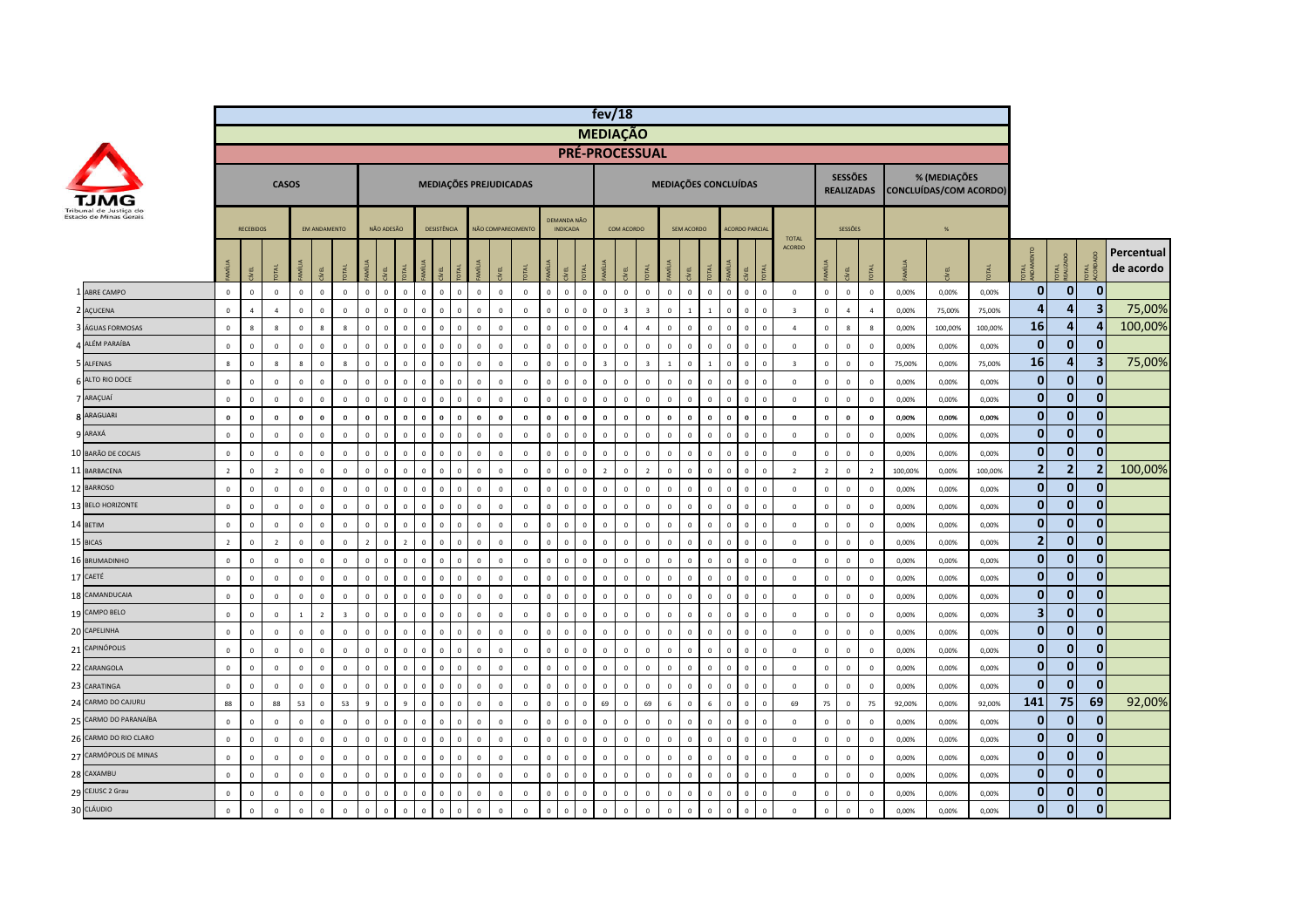|                        |                |                  |                |                |                |                         |                |              |                |                |                |                               |                    |                |              |                         |                                | fev/18                  |                         |                      |              |                |                |                      |             |                         |                |                                     |                         |          |                                               |         |                         |                |                         |                         |
|------------------------|----------------|------------------|----------------|----------------|----------------|-------------------------|----------------|--------------|----------------|----------------|----------------|-------------------------------|--------------------|----------------|--------------|-------------------------|--------------------------------|-------------------------|-------------------------|----------------------|--------------|----------------|----------------|----------------------|-------------|-------------------------|----------------|-------------------------------------|-------------------------|----------|-----------------------------------------------|---------|-------------------------|----------------|-------------------------|-------------------------|
|                        |                |                  |                |                |                |                         |                |              |                |                |                |                               |                    |                |              |                         |                                | <b>MEDIAÇÃO</b>         |                         |                      |              |                |                |                      |             |                         |                |                                     |                         |          |                                               |         |                         |                |                         |                         |
|                        |                |                  |                |                |                |                         |                |              |                |                |                |                               |                    |                |              |                         |                                | PRÉ-PROCESSUAL          |                         |                      |              |                |                |                      |             |                         |                |                                     |                         |          |                                               |         |                         |                |                         |                         |
|                        |                |                  |                | <b>CASOS</b>   |                |                         |                |              |                |                |                | MEDIAÇÕES PREJUDICADAS        |                    |                |              |                         |                                |                         |                         | MEDIAÇÕES CONCLUÍDAS |              |                |                |                      |             |                         |                | <b>SESSÕES</b><br><b>REALIZADAS</b> |                         |          | % (MEDIAÇÕES<br><b>CONCLUÍDAS/COM ACORDO)</b> |         |                         |                |                         |                         |
| Estado de Minas Gerais |                | <b>RECEBIDOS</b> |                |                | EM ANDAMENTO   |                         |                | NÃO ADESÃO   |                |                | DESISTÊNCIA    |                               | NÃO COMPARECIMENTO |                |              | DEMANDA NÃO<br>INDICADA |                                | COM ACORDO              |                         |                      | SEM ACORDO   |                |                | <b>ACORDO PARCIA</b> |             | <b>TOTAL</b>            |                | SESSÕES                             |                         |          |                                               |         |                         |                |                         |                         |
|                        |                | EL               |                |                | EL             |                         |                | E            |                |                | EL             | MÍLIA                         | EL                 |                |              | EL                      | MÍLIA                          | ΛEL                     |                         |                      |              | <b>R4</b>      |                |                      | <b>TAL</b>  | <b>ACORDO</b>           |                | ΛEL                                 | <b>TAL</b>              |          |                                               |         | <b>DTAL</b>             | <b>TAL</b>     | E e                     | Percentual<br>de acordo |
| 1 ABRE CAMPO           | $\circ$        | $\,0\,$          | $\mathbf 0$    | $\,$ 0         | $\mathbb O$    | $\mathbb O$             | $\mathbf 0$    | $\mathbf 0$  | $\overline{0}$ | $\mathbf 0$    | $\,$ 0         | $\circ$<br>$\overline{0}$     | $\mathbf 0$        | $\mathbf 0$    | $\mathbf 0$  | $\mathbf 0$             | $\circ$<br>$\overline{0}$      | $\mathbf 0$             | $\mathbf 0$             | $\mathsf 0$          | $\mathbf 0$  | $\mathbf{0}$   | $\mathbf 0$    | $\mathbf 0$          | $\mathbf 0$ | $\mathbf 0$             | $\,$ 0         | $\,$ 0 $\,$                         | $\,$ 0                  | $0,00\%$ | 0,00%                                         | 0,00%   | $\mathbf 0$             | $\mathbf{0}$   | $\mathbf{0}$            |                         |
| 2 AÇUCENA              | $\mathbf 0$    | $\Lambda$        | $\overline{a}$ | $\,$ 0         | $\Omega$       | $\mathbf 0$             | $\mathbf 0$    | $\Omega$     | $\Omega$       | $\mathbf 0$    | $\,$ 0         | $\mathbf 0$<br>$\mathbf 0$    | $\mathbf 0$        | $\mathbf 0$    | $\Omega$     | $\mathbf 0$             | $\mathbf 0$<br>$\circ$         | $\overline{\mathbf{3}}$ | $\overline{\mathbf{z}}$ | $\Omega$             | $\mathbf{1}$ |                | $\mathbb O$    |                      | $\pmb{0}$   | $\overline{\mathbf{3}}$ | $\mathsf 0$    | $\overline{4}$                      | $\overline{4}$          | 0,00%    | 75,00%                                        | 75,00%  | $\overline{a}$          | $\overline{4}$ | $\overline{\mathbf{3}}$ | 75,00%                  |
| 3 ÁGUAS FORMOSAS       | $\mathbf{0}$   | $\mathbf{R}$     | 8              | $\mathbf{0}$   | $\mathbf{R}$   | $\mathbf{g}$            | $\Omega$       | $\Omega$     | $\Omega$       | $\Omega$       | $\Omega$       | $\Omega$<br>$\Omega$          | $\overline{0}$     | $\overline{0}$ | $\Omega$     | $\mathbf 0$             | $\Omega$<br>$\mathbf{0}$       | $\overline{a}$          | $\Delta$                | $\Omega$             | $\Omega$     | $\Omega$       | $\mathbf 0$    |                      | $\Omega$    | $\overline{a}$          | $\Omega$       | $_{\rm 8}$                          | $\mathbf{z}$            | 0.00%    | 100.00%                                       | 100.00% | 16                      | 4              | $\overline{a}$          | 100,00%                 |
| 4 ALÉM PARAÍBA         | $\mathbf{0}$   | $\mathbf 0$      | $\mathbf 0$    | $\mathbf 0$    | $\mathbf 0$    | $\mathbf 0$             | $\Omega$       | $\mathbf 0$  | $\overline{0}$ | $\mathbf 0$    | $\Omega$       | $\mathbf{0}$<br>$\mathbf{0}$  | $\mathbf 0$        | $\overline{0}$ | $\Omega$     | $\mathbb O$             | $\mathbf 0$<br>$\circ$         | $\mathbf 0$             | $\mathbf{0}$            | $\Omega$             | $\mathbf{0}$ | $\Omega$       | $\mathbf 0$    |                      | $\mathbf 0$ | $\mathbf 0$             | $\overline{0}$ | $\mathsf 0$                         | $\overline{\mathbf{0}}$ | 0,00%    | 0,00%                                         | 0,00%   | $\mathbf 0$             | $\mathbf{0}$   | $\mathbf{0}$            |                         |
| 5 ALFENAS              | 8              | $\Omega$         | 8              | 8              | $\mathbf{0}$   | 8                       | $\mathbf{0}$   | $\mathbf{0}$ | $\Omega$       | $\Omega$       | $\overline{0}$ | $\mathbf 0$<br>$\Omega$       | $\overline{0}$     | $\overline{0}$ | $\mathbf{0}$ | $\overline{0}$          | $\mathbf{0}$<br>$\overline{3}$ | $\mathbf 0$             | $\overline{3}$          | $\overline{1}$       | $\Omega$     | $\overline{1}$ | $\mathbf 0$    | $\Omega$             | $\Omega$    | $\overline{\mathbf{3}}$ | $\Omega$       | $\,0\,$                             | $\overline{0}$          | 75,00%   | 0,00%                                         | 75,00%  | 16                      | $\overline{a}$ | $\overline{\mathbf{3}}$ | 75,00%                  |
| 6 ALTO RIO DOCE        | $\circ$        | $\mathbf 0$      | $\mathbf 0$    | $\mathbf 0$    | $\mathbf 0$    | $\overline{0}$          | $\,$ 0         | $\mathbf 0$  | $\overline{0}$ | $\mathbf 0$    | $\,0\,$        | $\mathbb O$<br>$\mathbf 0$    | $\mathbf 0$        | $\mathbb O$    | 0            | $\overline{0}$          | $\mathbf 0$<br>$\circ$         | $\mathbb O$             | $\mathbf 0$             | $\mathbf 0$          | $\mathbf 0$  | $\Omega$       | $\mathbb O$    | $\Omega$             | $\mathbf 0$ | $\mathbf 0$             | $\overline{0}$ | $\,0\,$                             | $\overline{\mathbf{0}}$ | 0,00%    | 0,00%                                         | 0,00%   | $\bf{0}$                | $\mathbf 0$    | $\mathbf 0$             |                         |
| 7 ARAÇUAÍ              | $\mathbf 0$    | $\mathbf 0$      | $\mathbf 0$    | $\mathbf 0$    | $\mathbf 0$    | $\mathbf 0$             | $\overline{0}$ | $\mathbf{0}$ | $\overline{0}$ | $\mathbf 0$    | $\overline{0}$ | $\mathbf 0$<br>$\mathbf 0$    | $\mathbf 0$        | $\mathbb O$    | 0            | $\mathbb O$             | $\mathbf 0$<br>$\mathbf{0}$    | $\mathbf 0$             | $\Omega$                | $\Omega$             | $\mathbf{0}$ | $\Omega$       | $\mathbb O$    | $\Omega$             | $\mathbf 0$ | $\mathbf 0$             | $\overline{0}$ | $\mathsf 0$                         | $\mathbf 0$             | 0,00%    | 0,00%                                         | 0,00%   | $\pmb{\mathsf{0}}$      | $\mathbf{0}$   | $\mathbf 0$             |                         |
| 8 ARAGUARI             | $\mathbf 0$    | $\mathbf 0$      | $\mathbf 0$    | $\mathbf 0$    | $\mathbf{0}$   | $\mathbf 0$             | $\mathbf 0$    | $\mathbf 0$  | $\overline{0}$ | $\mathbf 0$    | $\bf{0}$       | $\bf{0}$<br>$\mathbf 0$       | $\mathbf 0$        | $\mathbf 0$    | $\mathbf 0$  | $\mathbf 0$             | $\mathbf 0$<br>$\mathbf 0$     | $\mathbf 0$             | $\mathbf 0$             | $\mathbf{0}$         | $\pmb{0}$    | $\Omega$       | $\mathbf 0$    | $\Omega$             | $\pmb{0}$   | $\mathbf 0$             | $\bf{0}$       | $\mathbf 0$                         | $\bf{0}$                | 0,00%    | 0,00%                                         | 0,00%   | $\bf{0}$                | $\mathbf{0}$   | $\mathbf 0$             |                         |
| 9 ARAXÁ                | $\mathbf{0}$   | $\mathbf{0}$     | $\mathbf{0}$   | $\overline{0}$ | $\Omega$       | $\mathbf{0}$            | $\mathbf{0}$   | $\mathbf{0}$ | $\Omega$       | $\mathbf{0}$   | $\mathbf{0}$   | $\mathbf{0}$<br>$\mathbf{0}$  | $\overline{0}$     | $\overline{0}$ | $\Omega$     | $\overline{0}$          | $\mathbf{0}$<br>$\mathbf{0}$   | $\mathbf{0}$            | $\Omega$                | $\Omega$             | $\Omega$     | $\Omega$       | $\mathbf{0}$   | $\Omega$             | $\Omega$    | $\mathbf{0}$            | $\Omega$       | $\mathsf 0$                         | $\overline{0}$          | 0,00%    | 0.00%                                         | 0.00%   | $\mathbf{0}$            | $\mathbf{0}$   | $\mathbf{0}$            |                         |
| 10 BARÃO DE COCAIS     | $\circ$        | $\mathbf 0$      | $\mathbf 0$    | $\mathbf{0}$   | $\mathbf 0$    | $\mathbb O$             | $\mathbf 0$    | $\mathbf 0$  | $\overline{0}$ | $\mathbf 0$    | $\,$ 0         | $\mathbf 0$<br>$\mathbf{0}$   | $\mathbf 0$        | $\mathbb O$    | 0            | $\mathbf 0$             | $\mathbf 0$<br>$\circ$         | $\mathbf 0$             | $\mathbf 0$             | $\Omega$             | $\mathbf{0}$ | $\mathbf{0}$   | $\mathbb O$    | $\Omega$             | $\mathbf 0$ | $\mathbf 0$             | $\mathsf 0$    | $\mathsf 0$                         | $\overline{0}$          | 0,00%    | 0,00%                                         | 0,00%   | $\bf{0}$                | $\mathbf{0}$   | $\mathbf{0}$            |                         |
| 11 BARBACENA           | $\overline{2}$ | $\mathbf 0$      | $\overline{2}$ | $\overline{0}$ | $\mathbf 0$    | $\overline{0}$          | $\Omega$       | $\mathbf 0$  | $\mathbf 0$    | $\mathbf 0$    | $\overline{0}$ | $\mathbf{0}$<br>$\Omega$      | $\mathbf 0$        | $\mathbb O$    | 0            | $\overline{0}$          | $\overline{2}$<br>$\circ$      | $\mathbf 0$             | $\overline{z}$          | $\Omega$             | $\mathbf{0}$ | $\Omega$       | $\Omega$       |                      | $\mathbf 0$ | $\overline{2}$          | $\overline{2}$ | $\mathsf 0$                         | $\overline{2}$          | 100,00%  | 0,00%                                         | 100,00% | $\overline{2}$          | $\overline{2}$ | $\overline{2}$          | 100,00%                 |
| 12 BARROSO             | $\mathbf{0}$   | $\mathbf 0$      | $\mathbf 0$    | $\,$ 0         | $\mathbf 0$    | $\mathbf 0$             | $\Omega$       | $\mathbf 0$  | $\overline{0}$ | $\mathbf 0$    | $\Omega$       | $\mathbf 0$<br>$\Omega$       | $\mathbf 0$        | $\,0\,$        | $\Omega$     | $\mathbf 0$             | $\circ$<br>$\mathbf 0$         | $\mathbf 0$             | $\mathbf 0$             | $\mathbf{0}$         | $\mathbf 0$  | $\Omega$       | $\mathbf 0$    | $\Omega$             | $\mathbf 0$ | $\mathbf 0$             | $\overline{0}$ | $\,0\,$                             | $\overline{0}$          | 0,00%    | 0,00%                                         | 0,00%   | $\mathbf{0}$            | $\mathbf{0}$   | $\mathbf{0}$            |                         |
| 13 BELO HORIZONTE      | $\circ$        | $\mathbf 0$      | $\mathbf 0$    | $\mathbf 0$    | $\mathbf 0$    | $\mathbf 0$             | $\mathbf 0$    | $\mathbf 0$  | $\overline{0}$ | $\mathbf 0$    | $\,$ 0         | $\mathbf 0$<br>$\mathbf 0$    | $\mathbf 0$        | $\mathbf 0$    | $\mathbf{0}$ | $\mathbf 0$             | $\mathbf{0}$<br>$\mathbf 0$    | $\mathbf 0$             | $\overline{0}$          | $\mathsf 0$          | $\mathbf{0}$ | $\Omega$       | $\mathbb O$    | $\Omega$             | $\mathbf 0$ | $\mathbf 0$             | $\overline{0}$ | $\mathsf 0$                         | $\overline{\mathbf{0}}$ | 0,00%    | 0,00%                                         | 0,00%   | $\pmb{\mathsf{0}}$      | $\mathbf{0}$   | $\mathbf 0$             |                         |
| 14 BETIM               | $\circ$        | $\mathbf 0$      | $\mathbf 0$    | $\mathbb O$    | $\mathbf 0$    | $\mathbf 0$             | $\mathbf 0$    | $\mathbf 0$  | $\overline{0}$ | $\mathbf 0$    | $\,$ 0         | $\mathbf 0$<br>$\mathbf{0}$   | $\mathbf 0$        | $\,0\,$        | 0            | $\mathbf 0$             | $\mathbf 0$<br>$\mathbf{0}$    | $\mathbf 0$             | $\mathbf 0$             | $\Omega$             | $\mathbf{0}$ | $\Omega$       | $\mathbb O$    | $\Omega$             | $\mathbf 0$ | $\mathbf 0$             | $\overline{0}$ | $\mathbb O$                         | $\,$ 0                  | 0,00%    | 0,00%                                         | 0,00%   | $\mathbf{0}$            | $\mathbf{0}$   | $\mathbf 0$             |                         |
| 15 BICAS               | $\overline{2}$ | $\mathbf 0$      | $\overline{2}$ | $\mathbf 0$    | $\Omega$       | $\overline{0}$          | $\overline{z}$ | $\mathbf 0$  | $\overline{z}$ | $\mathbf 0$    | $\Omega$       | $\mathbf 0$<br>$\mathbf{0}$   | $\mathbf 0$        | $\mathbb O$    | 0            | $\mathbf 0$             | $\mathbf 0$<br>$\mathbf{0}$    | $\mathbf{0}$            | $\Omega$                | $\Omega$             | $\mathbf{0}$ | $\Omega$       | $\mathbf{0}$   |                      | $\mathbf 0$ | $\mathbf 0$             | $\overline{0}$ | $\mathsf 0$                         | $\,$ 0                  | 0,00%    | 0,00%                                         | 0,00%   | $\overline{\mathbf{2}}$ | $\mathbf{0}$   | $\mathbf{0}$            |                         |
| 16 BRUMADINHO          | $\mathbf{0}$   | $\mathbf 0$      | $\mathbf 0$    | $\mathbf 0$    | $\,$ 0 $\,$    | $\mathbf 0$             | $\mathbf{0}$   | $\mathbf 0$  | $\overline{0}$ | $\mathbf 0$    | $\,$ 0         | $\mathbf 0$<br>$\mathbf{0}$   | $\mathbf 0$        | $\mathbf 0$    | $\mathbf{0}$ | $\mathbf 0$             | $\overline{0}$<br>$\mathbf{0}$ | $\mathbf 0$             | $\mathbf 0$             | $\mathbf{0}$         | $\mathbf{0}$ | $\Omega$       | $\mathbb O$    | $\Omega$             | $\mathbf 0$ | $\mathbf 0$             | $\overline{0}$ | $\mathsf 0$                         | $\overline{\mathbf{0}}$ | 0,00%    | 0,00%                                         | 0,00%   | $\mathbf 0$             | $\mathbf 0$    | $\mathbf{0}$            |                         |
| 17 CAETÉ               | $\mathbf 0$    | $\mathbf{0}$     | $\mathbf 0$    | $\mathbf 0$    | $\Omega$       | $\mathbf 0$             | $\mathbf{0}$   | $\mathbf{0}$ | $\overline{0}$ | $\mathbf 0$    | $\,$ 0         | $\mathbf{0}$<br>$\mathbf{0}$  | $\mathbf 0$        | $\mathbb O$    | $\Omega$     | $\mathbb O$             | $\mathbf 0$<br>$\mathbf{0}$    | $\mathbf{0}$            | $\Omega$                | $\Omega$             | $\Omega$     | $\mathbf{0}$   | $\mathbf 0$    |                      | $\mathbf 0$ | $\mathbf 0$             | $\overline{0}$ | $\mathsf 0$                         | $\,$ 0                  | 0,00%    | 0,00%                                         | 0,00%   | $\mathbf 0$             | $\mathbf{0}$   | $\mathbf 0$             |                         |
| 18 CAMANDUCAIA         | $\mathbf{0}$   | $\Omega$         | $\mathbf 0$    | $\mathbf 0$    | $\mathbf{0}$   | $\mathbf 0$             | $\Omega$       | $\Omega$     | $\Omega$       | $\Omega$       | $\overline{0}$ | $\circ$<br>$\Omega$           | $\mathbf 0$        | $\mathbf 0$    | $\Omega$     | $\overline{0}$          | $\circ$<br>$\Omega$            | $\overline{0}$          | $\Omega$                | $\Omega$             | $\Omega$     | $\Omega$       | $\mathbf 0$    | $\Omega$             | $\mathbf 0$ | $\mathbf{0}$            | $\Omega$       | $\mathsf 0$                         | $\overline{0}$          | 0,00%    | 0,00%                                         | 0.00%   | $\mathbf 0$             | $\mathbf{0}$   | $\mathbf{0}$            |                         |
| 19 CAMPO BELO          | $\mathbf{0}$   | $\mathbf 0$      | $\mathbf 0$    | $\mathbf{1}$   | $\overline{2}$ | $\overline{\mathbf{3}}$ | $\Omega$       | $\mathbf 0$  | $\mathbf 0$    | $\mathbf{0}$   | $\overline{0}$ | $\overline{0}$<br>$\mathbf 0$ | $\mathbf 0$        | $\,0\,$        | 0            | $\mathbb O$             | $\mathbf 0$<br>$\circ$         | $\mathbf 0$             | $\mathbf 0$             | $\mathbf{0}$         | $\mathbf 0$  |                | $\overline{0}$ |                      | $\mathbf 0$ | $\mathbf 0$             | $\mathbf 0$    | $\mathfrak o$                       | $\overline{\mathbf{0}}$ | 0,00%    | 0,00%                                         | 0,00%   | $\overline{\mathbf{3}}$ | $\mathbf{0}$   | $\mathbf{0}$            |                         |
| 20 CAPELINHA           | $\circ$        | $\Omega$         | $\mathbf 0$    | $\mathbf 0$    | $\mathbf{0}$   | $\mathbf 0$             | $\Omega$       | $\Omega$     | $\Omega$       | $\Omega$       | $\mathbf{0}$   | $\mathbf 0$<br>$\Omega$       | $\mathbf 0$        | $\mathbf 0$    | $\Omega$     | $\overline{0}$          | $\mathbf 0$<br>$\Omega$        | $\mathbf 0$             | $\Omega$                | $\Omega$             | $\Omega$     | $\Omega$       | $\mathbf{0}$   | $\Omega$             | $\Omega$    | $\Omega$                | $\overline{0}$ | $\,0\,$                             | $\overline{\mathbf{0}}$ | 0,00%    | 0,00%                                         | 0,00%   | $\mathbf{0}$            | $\mathbf{0}$   | $\mathbf{0}$            |                         |
| 21 CAPINÓPOLIS         | $\mathbf 0$    | $\mathbf 0$      | $\mathbf 0$    | $\mathbb O$    | $\mathbf 0$    | $\mathbf 0$             | $\mathbf 0$    | $\mathbf 0$  | $\overline{0}$ | $\mathbf 0$    | $\,$ 0         | $\mathbf 0$<br>$\mathbf 0$    | $\mathbf 0$        | $\mathbb O$    | 0            | $\mathbf 0$             | $\mathbf 0$<br>$\mathbf{0}$    | $\mathbb O$             | $\mathbf 0$             | $\mathbf{0}$         | $\mathbf 0$  | $\Omega$       | $\mathbf 0$    |                      | $\mathbf 0$ | $\mathbf 0$             | $\overline{0}$ | $\,$ 0 $\,$                         | $\overline{0}$          | 0,00%    | 0,00%                                         | 0,00%   | $\bf{0}$                | $\mathbf{0}$   | $\mathbf 0$             |                         |
| 22 CARANGOLA           | $\mathbf{0}$   | $\mathbf{0}$     | $\mathbf{0}$   | $\overline{0}$ | $\Omega$       | $\mathbf{0}$            | $\Omega$       | $\Omega$     | $\Omega$       | $\Omega$       | $\Omega$       | $\mathbf{0}$<br>$\mathbf{0}$  | $\overline{0}$     | $\overline{0}$ | $\Omega$     | $\mathbf{0}$            | $\mathbf{0}$<br>$\mathbf{0}$   | $\mathbf{0}$            | $\Omega$                | $\Omega$             | $\Omega$     | $\Omega$       | $\mathbf{0}$   | $\Omega$             | $\Omega$    | $\mathbf{0}$            | $\Omega$       | $\mathsf 0$                         | $\mathbf{0}$            | 0.00%    | 0.00%                                         | 0.00%   | $\mathbf 0$             | $\mathbf{0}$   | $\mathbf{0}$            |                         |
| 23 CARATINGA           | $\mathbf{0}$   | $\mathbf 0$      | $\mathbf 0$    | $\mathbf 0$    | $\mathbf 0$    | $\mathbf 0$             | $\mathbf{0}$   | $\mathbf 0$  | $\Omega$       | $\mathbf 0$    | $\,$ 0         | $\mathbf{0}$<br>$\mathbb O$   | $\mathbf 0$        | $\mathbf 0$    | 0            | $\mathbf 0$             | $\mathbb O$<br>$\circ$         | $\mathbf 0$             | $\mathbf{0}$            | $\mathbf{0}$         | $\mathbf{0}$ | $\Omega$       | $\mathbb O$    | $\Omega$             | $\mathbf 0$ | $\mathbf 0$             | $\overline{0}$ | $\mathsf 0$                         | $\overline{\mathbf{0}}$ | 0,00%    | 0,00%                                         | 0,00%   | $\mathbf 0$             | $\mathbf{0}$   | $\mathbf{0}$            |                         |
| 24 CARMO DO CAJURU     | 88             | $\mathbf{0}$     | 88             | 53             | $\mathbf{0}$   | 53                      | $\overline{9}$ | $\mathbf{0}$ | $\mathbf{q}$   | $\mathbf{0}$   | $\mathbf{0}$   | $\mathbf{0}$<br>$\mathbf{0}$  | $\mathbf 0$        | $\overline{0}$ | $\Omega$     | $\overline{0}$          | 69<br>$\mathbf{0}$             | $\mathbf 0$             | 69                      | 6                    | $\Omega$     | 6              | $\mathbf{0}$   | $\Omega$             | $\Omega$    | 69                      | 75             | $\,0\,$                             | 75                      | 92,00%   | 0,00%                                         | 92,00%  | 141                     | 75             | 69                      | 92,00%                  |
| 25 CARMO DO PARANAÍBA  | $\circ$        | $\mathbf 0$      | $\mathbf 0$    | $\mathbf 0$    | $\mathbf 0$    | $\mathbb O$             | $\,0\,$        | $\mathbf 0$  | $\overline{0}$ | $\mathbf 0$    | $\,$ 0         | $\mathbf 0$<br>$\mathbf{0}$   | $\mathbf 0$        | $\mathbb O$    | 0            | $\mathbf 0$             | $\mathbf 0$<br>$\mathbf{0}$    | $\mathbf 0$             | $\mathbf 0$             | $\Omega$             | $\mathbf{0}$ | $\Omega$       | $\mathbf 0$    | $\Omega$             | $\mathbf 0$ | $\mathbf 0$             | $\mathbf 0$    | $\,0\,$                             | $\,0\,$                 | 0,00%    | 0,00%                                         | 0,00%   | $\bf{0}$                | $\mathbf{0}$   | $\mathbf 0$             |                         |
| 26 CARMO DO RIO CLARO  | $\mathbf 0$    | $\mathbf 0$      | $\mathbf 0$    | $\mathbb O$    | $\mathbf 0$    | $\mathbf 0$             | $\overline{0}$ | $\mathbf{0}$ | $\overline{0}$ | $\mathbf{0}$   | $\overline{0}$ | $\mathbf{0}$<br>0             | $\mathbf 0$        | $\mathbf 0$    | 0            | $\mathbf 0$             | $\mathbf 0$<br>$\mathbf 0$     | $\mathbf 0$             | $\mathbf 0$             | $\Omega$             | $\mathbf 0$  | $\Omega$       | $\mathbb O$    |                      | $\mathbf 0$ | $\mathbf 0$             | $\overline{0}$ | $\mathsf 0$                         | $\mathbf 0$             | 0,00%    | 0,00%                                         | 0,00%   | $\mathbf 0$             | $\mathbf{0}$   | $\mathbf{0}$            |                         |
| 27 CARMÓPOLIS DE MINAS | $\mathbf 0$    | $\mathbf 0$      | $\mathbf 0$    | $\,$ 0         | $\mathbf 0$    | $\mathbf 0$             | $\Omega$       | $\mathbf{0}$ | $\overline{0}$ | $\mathsf{o}\,$ | $\overline{0}$ | $\mathbf 0$<br>$\mathbf 0$    | $\mathbf 0$        | $\mathbf 0$    | $\mathbf 0$  | $\mathbb O$             | $\mathbf 0$<br>$\mathbf 0$     | $\mathbf 0$             | $\mathbf 0$             | $\mathsf 0$          | $\mathbf 0$  | $\Omega$       | $\mathbb O$    |                      | $\mathbf 0$ | $\mathbf 0$             | $\overline{0}$ | $\,$ 0 $\,$                         | $\overline{0}$          | 0,00%    | 0,00%                                         | 0,00%   | $\bf{0}$                | $\mathbf{0}$   | $\mathbf{0}$            |                         |
| 28 CAXAMBU             | $\circ$        | $\mathbf 0$      | $\mathbf 0$    | $\mathbf 0$    | $\mathbb O$    | $\mathbf 0$             | $\mathbf 0$    | $\mathbf 0$  | $\Omega$       | $\mathbf 0$    | $\,$ 0         | $\mathbf 0$<br>$\mathbf{0}$   | $\mathbf 0$        | $\mathbf 0$    | $\mathbf 0$  | $\mathbf 0$             | $\circ$<br>$\mathbb O$         | $\mathbb O$             | $\mathbf 0$             | $\mathsf 0$          | $\mathbf 0$  | $\mathbf 0$    | $\mathbf 0$    | $\Omega$             | $\mathbf 0$ | $\mathbf 0$             | $\Omega$       | $\mathsf 0$                         | $\overline{\mathbf{0}}$ | 0,00%    | 0,00%                                         | 0,00%   | $\mathbf{0}$            | $\mathbf{0}$   | $\mathbf{0}$            |                         |
| 29 CEJUSC 2 Grau       | $\mathbf{0}$   | $\mathbf 0$      | $\mathbf 0$    | $\mathbf 0$    | $\mathbf 0$    | $\mathbf 0$             | $\mathbf 0$    | $\mathbf 0$  | $\mathbf 0$    | $\mathbf 0$    | $\,$ 0         | $\circ$<br>$\mathbf{0}$       | $\mathbf 0$        | $\mathbf 0$    | $\mathbf 0$  | $\mathbf 0$             | $\mathbf 0$<br>$\mathbf{0}$    | $\mathbf 0$             | $\Omega$                | $\Omega$             | $\mathbf{0}$ | $\Omega$       | $\mathbb O$    | $\Omega$             | $\mathbf 0$ | $\mathbf 0$             | $\overline{0}$ | $\,0\,$                             | $\overline{0}$          | 0,00%    | 0,00%                                         | 0,00%   | $\mathbf 0$             | $\bf{0}$       | $\mathbf{0}$            |                         |
| 30 CLÁUDIO             | $\mathbf 0$    | $\mathbf 0$      | $\mathbf 0$    | $\overline{0}$ | $\mathbf 0$    | $\overline{0}$          | $\mathbf 0$    | $\mathbf 0$  | $\overline{0}$ | $\mathbf 0$    | $\,$ 0         | $\overline{0}$<br>$\mathbf 0$ | $\mathbf 0$        | $\mathbb O$    | 0            | $\mathbb O$             | $\mathbf 0$<br>$\mathbf{0}$    | $\mathbf 0$             | $\mathbf 0$             | $\mathbf{0}$         | $\mathbf 0$  | $\mathbf 0$    | $\mathbb O$    |                      | $\mathbf 0$ | $\mathbf 0$             | $\mathbf 0$    | $\,0\,$                             | $\mathbf 0$             | 0,00%    | 0,00%                                         | 0,00%   | $\mathbf 0$             | $\mathbf{0}$   | $\Omega$                |                         |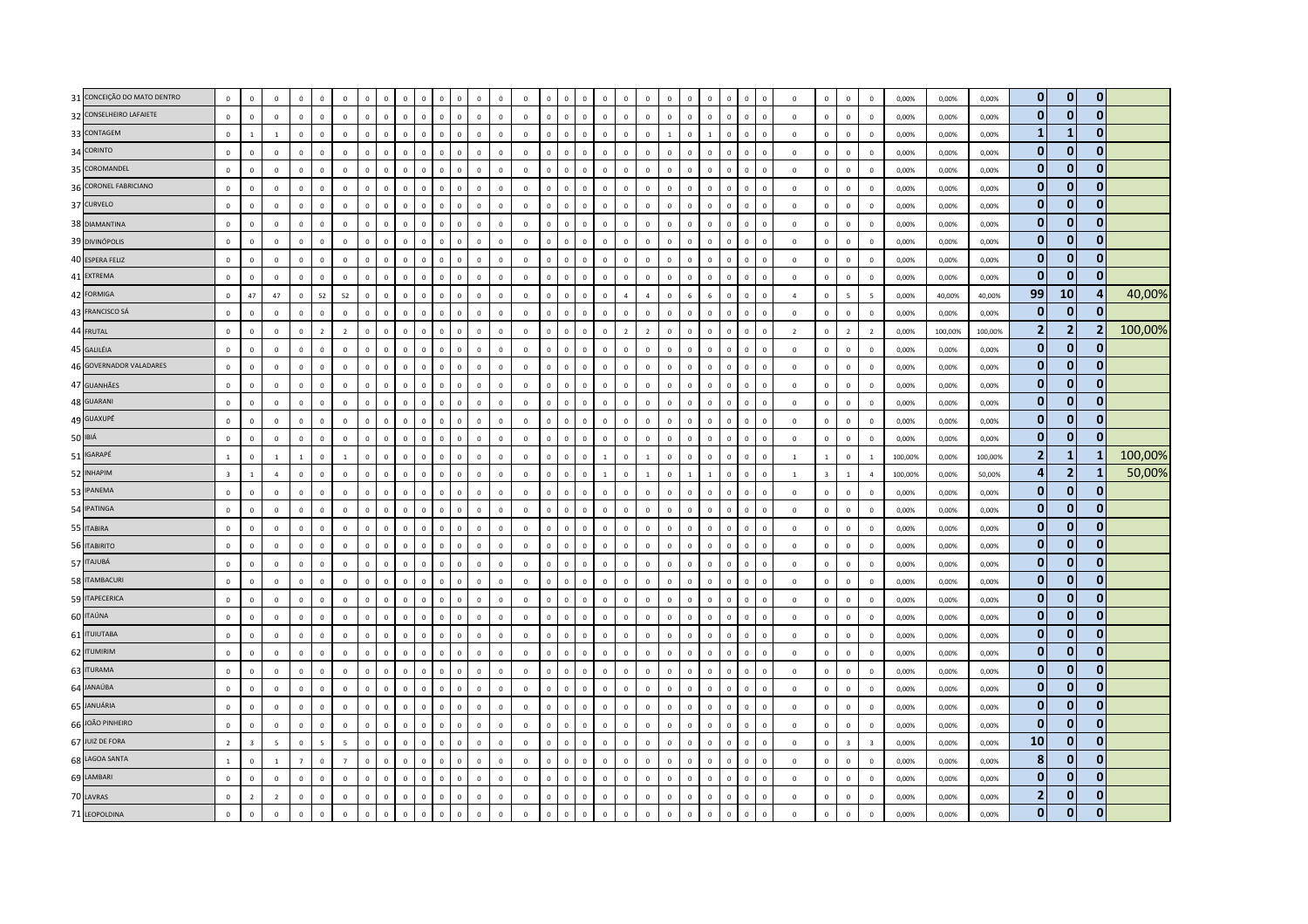| $\mathbf{0}$<br>$\mathbf 0$<br>$\mathbf{0}$<br>31 CONCEIÇÃO DO MATO DENTRO<br>$\mathbf 0$<br>$\mathsf 0$<br>$\overline{0}$<br>$\Omega$<br>$\mathbf 0$<br>$\Omega$<br>$\mathbf{0}$<br>$\mathbf 0$<br>$\mathbf 0$<br>$\mathbf 0$<br>0,00%<br>0,00%<br>0,00%<br>$\mathbf 0$<br>$^{\circ}$<br>$\Omega$<br>$\Omega$<br>$\mathbf 0$<br>$\mathbf{0}$<br>$\mathbf{0}$<br>$\mathbf{0}$<br>32 CONSELHEIRO LAFAIETE<br>$\mathbf 0$<br>$\mathsf 0$<br>$\mathbf 0$<br>$\mathbf 0$<br>$\mathsf 0$<br>$\Omega$<br>$\mathbf 0$<br>$\mathbb O$<br>$\mathbf 0$<br>$\mathbb O$<br>$\mathbf 0$<br>$\mathbb O$<br>$\mathbf 0$<br>$\mathbf{0}$<br>$\overline{0}$<br>$\mathbb O$<br>$\mathbf 0$<br>$\mathbf{0}$<br>$\mathbb O$<br>$\mathbf 0$<br>$\mathbf 0$<br>$\mathbf 0$<br>$\overline{0}$<br>$\mathbf 0$<br>$\mathbf 0$<br>$\Omega$<br>$\mathbf 0$<br>$\Omega$<br>$\Omega$<br>$\mathbf 0$<br>0,00%<br>0,00%<br>0,00%<br>$\mathbf{0}$<br>$\mathbf{1}$<br>$\mathbf{1}$<br>33 CONTAGEM<br>$\mathbf 0$<br>$\mathbf{1}$<br>$\mathbb O$<br>$\Omega$<br>$\Omega$<br>$\Omega$<br>$\mathbf 0$<br>$\mathbb O$<br>$\mathbf 0$<br>$\mathbf 0$<br>$\mathbf 0$<br>$\mathbf 0$<br>$\Omega$<br>$\Omega$<br>$\mathbf 0$<br>0,00%<br>$\Omega$<br>$\Omega$<br>$\Omega$<br>$\circ$<br>$\mathbf{0}$<br>$\Omega$<br>$\Omega$<br>$\overline{1}$<br>$\Omega$<br>$\Omega$<br>$\mathbf 0$<br>$\mathbf 0$<br>$\overline{0}$<br>0,00%<br>0,00%<br>$\overline{1}$<br>$\overline{1}$<br>$\mathbf{0}$<br>$\mathbf{0}$<br>$\mathbf 0$<br>34 CORINTO<br>$\circ$<br>$\mathsf 0$<br>$\mathbf{0}$<br>$\mathbf{0}$<br>$\mathbf{0}$<br>$\mathbf{0}$<br>$\mathbf{0}$<br>$\mathbf{0}$<br>$\mathbf{0}$<br>$\mathbb O$<br>$\overline{0}$<br>$\circ$<br>$\mathbf{0}$<br>$\mathbf 0$<br>$\mathbf{0}$<br>$\mathbf{0}$<br>$\mathbf{0}$<br>$\mathbf{0}$<br>$\Omega$<br>$\Omega$<br>$\Omega$<br>$\Omega$<br>$\Omega$<br>$\Omega$<br>$\Omega$<br>$\Omega$<br>$\Omega$<br>$\Omega$<br>$\Omega$<br>$\Omega$<br>0,00%<br>0,00%<br>0,00%<br>$\Omega$<br>$\mathbf{0}$<br>$\mathbf 0$<br>$\bf{0}$<br>35 COROMANDEL<br>$\mathbf 0$<br>$\mathbf 0$<br>$\mathsf 0$<br>$\mathbb O$<br>$\mathbf 0$<br>$\mathbb O$<br>$\mathbf 0$<br>$\overline{0}$<br>$\mathbf 0$<br>$\,0\,$<br>$\mathbf{0}$<br>$\mathbf 0$<br>$\mathbf 0$<br>$\mathbf 0$<br>$\Omega$<br>$\mathbf 0$<br>$\Omega$<br>$\mathbb O$<br>$\mathbf 0$<br>$\mathbf{0}$<br>$\mathbf 0$<br>$\mathbf 0$<br>$\mathbb O$<br>$\Omega$<br>$\Omega$<br>$\mathbf 0$<br>$\overline{0}$<br>$\,0\,$<br>$\mathbf 0$<br>$\mathbf 0$<br>0,00%<br>0,00%<br>0,00%<br>$\mathbf{0}$<br>$\mathbf{0}$<br>$\mathbf{0}$<br>36 CORONEL FABRICIANO<br>$\mathbb O$<br>$\mathsf 0$<br>$\mathbf 0$<br>$\mathbf{0}$<br>$\mathbf 0$<br>$\mathbb O$<br>$\mathbf 0$<br>$\overline{0}$<br>$\circ$<br>$\overline{0}$<br>$\mathbf 0$<br>$\mathbf 0$<br>$\mathbf 0$<br>$\mathbb O$<br>$\mathbf 0$<br>$\mathbf 0$<br>$\Omega$<br>$\mathbf 0$<br>$\mathbf 0$<br>$\mathbf 0$<br>$\Omega$<br>$\Omega$<br>$\mathbf 0$<br>$\Omega$<br>$\Omega$<br>$\Omega$<br>$\Omega$<br>$\Omega$<br>$\overline{0}$<br>$\overline{0}$<br>0,00%<br>0,00%<br>0,00%<br>$\mathbf{0}$<br>$\mathbf{0}$<br>$\mathbf 0$<br>37 CURVELO<br>$\mathbf 0$<br>$\mathbf 0$<br>$\mathbf 0$<br>$\mathbf 0$<br>$\mathbf{0}$<br>$\mathbf 0$<br>$\mathbf{0}$<br>$\mathbb O$<br>$\mathbf 0$<br>$\mathbb O$<br>$\circ$<br>$\mathsf 0$<br>$\mathbb O$<br>$\overline{0}$<br>$\mathbf{0}$<br>$\mathbf 0$<br>$\,0\,$<br>$\Omega$<br>$\mathbf 0$<br>$\mathbf 0$<br>$\mathbf 0$<br>$\mathbf 0$<br>$\mathbb O$<br>$\mathbb O$<br>$\Omega$<br>$\Omega$<br>$\Omega$<br>$\Omega$<br>$\mathbf 0$<br>$\overline{0}$<br>0,00%<br>0,00%<br>0,00%<br>$\mathbf{0}$<br>$\mathbf{0}$<br>$\bf{0}$<br>38 DIAMANTINA<br>$\mathbf 0$<br>$\mathbf 0$<br>$\mathsf 0$<br>$\Omega$<br>$\Omega$<br>$\mathbb O$<br>$\mathbf 0$<br>$\mathbb O$<br>$\mathbf 0$<br>$\overline{0}$<br>$\mathbf 0$<br>$\Omega$<br>$\mathbf{0}$<br>$\mathbf{0}$<br>$\Omega$<br>$\Omega$<br>$\overline{0}$<br>$\mathbf{0}$<br>$\overline{0}$<br>$\mathbf 0$<br>$\mathbf 0$<br>$\Omega$<br>$\mathbf 0$<br>$\overline{0}$<br>$\mathbf{0}$<br>$\mathbf 0$<br>$\overline{0}$<br>0.00%<br>0,00%<br>0,00%<br>$\Omega$<br>$\Omega$<br>$\Omega$<br>$\Omega$<br>$\pmb{0}$<br>$\mathbf{0}$<br>$\mathbf 0$<br>$\,$ 0<br>$\mathbf 0$<br>$\mathsf 0$<br>$\mathbf 0$<br>$\mathbf 0$<br>$\Omega$<br>$\mathbf 0$<br>$\mathbf 0$<br>$\mathbf 0$<br>$\mathbf 0$<br>$\overline{0}$<br>$\mathbf 0$<br>$\mathbf 0$<br>$\Omega$<br>$\Omega$<br>$\mathbf 0$<br>39 DIVINÓPOLIS<br>$\mathbf 0$<br>$\Omega$<br>$\mathbb O$<br>$\mathbf{0}$<br>$\mathbf 0$<br>$\mathbf 0$<br>$\mathbf 0$<br>$\,0\,$<br>0,00%<br>$\Omega$<br>$\Omega$<br>$\Omega$<br>$\Omega$<br>$\Omega$<br>$\Omega$<br>0,00%<br>0,00%<br>$\bf{0}$<br>$\mathbf 0$<br>$\bf{0}$<br>$\mathbf 0$<br>$\mathfrak o$<br>$\mathbf 0$<br>$\mathsf 0$<br>$\mathbf 0$<br>$\mathbf 0$<br>$\mathbf 0$<br>$\mathbf 0$<br>$\mathsf 0$<br>40 ESPERA FELIZ<br>$\mathbf 0$<br>$\mathbb O$<br>$\mathbb O$<br>$\mathbf 0$<br>$\mathbb O$<br>$\mathbf 0$<br>$\mathbb O$<br>$\mathbb O$<br>$\mathbf 0$<br>$\circ$<br>$\mathbb O$<br>$\overline{0}$<br>$\mathbb O$<br>$\mathbf{0}$<br>$\mathbf 0$<br>$\mathbf 0$<br>$\mathbf 0$<br>$\mathbf 0$<br>$\Omega$<br>$\mathbb O$<br>$\mathbf 0$<br>0,00%<br>0,00%<br>0,00%<br>$\Omega$<br>$\bf{0}$<br>$\mathbf 0$<br>$\mathbf{0}$<br>41 EXTREMA<br>$\mathbb O$<br>$\mathbf 0$<br>$\mathbb O$<br>$\mathbf 0$<br>$\mathbf 0$<br>$\mathbf 0$<br>$\mathbf{0}$<br>$\mathbf{0}$<br>$\mathsf 0$<br>$\mathbf{0}$<br>$\mathbf 0$<br>$\mathbf 0$<br>$\mathbf 0$<br>$\overline{0}$<br>$\mathbf 0$<br>$\mathbb O$<br>$\mathbf 0$<br>$\mathbb O$<br>$\Omega$<br>$\mathbf{0}$<br>$\mathbf 0$<br>$\mathbf 0$<br>$\mathsf 0$<br>$\mathbf 0$<br>0,00%<br>0,00%<br>0,00%<br>$\mathbf 0$<br>$\mathbf 0$<br>$\mathbf{0}$<br>$\Omega$<br>0<br>$\mathbf 0$<br>99<br>10<br>42 FORMIGA<br>4<br>47<br>52<br>$\circ$<br>47<br>52<br>$\mathbf{0}$<br>$\mathbf 0$<br>$\mathbf{0}$<br>$\Omega$<br>$\Lambda$<br>$\Lambda$<br>$\overline{\phantom{a}}$<br>$\Omega$<br>$\Omega$<br>$\Omega$<br>$\Omega$<br>$\Omega$<br>$\Omega$<br>$\Omega$<br>$\Omega$<br>$\Omega$<br>$\Delta$<br>6<br>$\Omega$<br>$\Omega$<br>$\overline{5}$<br>0,00%<br>40,00%<br>40,00%<br>$\Omega$<br>$\Omega$<br>$\mathbf{0}$<br>$\mathbf 0$<br>$\mathbf{0}$<br>43 FRANCISCO SÁ<br>$\mathbf 0$<br>$\mathsf 0$<br>$\mathbf 0$<br>$\,0\,$<br>$\mathsf 0$<br>$\mathbf 0$<br>$\mathbf{0}$<br>$\mathbf 0$<br>$\Omega$<br>$\mathbf 0$<br>$\mathbf 0$<br>$\mathbb O$<br>$\mathbf 0$<br>$\mathbb O$<br>$\mathbf 0$<br>$\mathbf{0}$<br>$\mathbf{0}$<br>$\mathbf 0$<br>$\mathbf 0$<br>$\circ$<br>$\mathsf 0$<br>$\mathbf{0}$<br>$\mathbf 0$<br>$\mathbf 0$<br>$\mathbf 0$<br>$\,0\,$<br>$\Omega$<br>$\Omega$<br>$\Omega$<br>$\mathbf{0}$<br>$\mathbf{0}$<br>0,00%<br>0,00%<br>0,00%<br>$\overline{2}$<br>$\overline{2}$<br>$\overline{2}$<br>$\overline{2}$<br>$\mathsf 0$<br>$\overline{2}$<br>$\mathbf 0$<br>$\mathbf 0$<br>$\mathbf 0$<br>$\overline{2}$<br>$\mathbf{0}$<br>$\mathbb O$<br>$\mathbf 0$<br>$\mathbb O$<br>$\overline{0}$<br>$\overline{2}$<br>$\overline{2}$<br>$\overline{0}$<br>$\mathbf{0}$<br>44 FRUTAL<br>$\mathbf 0$<br>$\mathbf 0$<br>$\mathbf 0$<br>$\mathbf 0$<br>$\mathbf 0$<br>$\mathbf 0$<br>$\mathbf 0$<br>$\mathbf 0$<br>$\mathbf{0}$<br>$\overline{2}$<br>$\mathbf 0$<br>$\overline{2}$<br>0,00%<br>100,00%<br>100,00%<br>$\mathbf 0$<br>$\mathbf 0$<br>$\mathbf{0}$<br>$\mathbf 0$<br>$\bf{0}$<br>$\circ$<br>$\mathbf 0$<br>$\mathbf{0}$<br>$\mathbf{0}$<br>$\mathbf{0}$<br>$\overline{0}$<br>$\overline{0}$<br>$\mathbf{0}$<br>$\mathbf{0}$<br>45 GALILÉIA<br>$\mathbf{0}$<br>$\mathbf{0}$<br>$\overline{0}$<br>$\mathbf{0}$<br>$\mathbf{0}$<br>$\mathbf 0$<br>$\mathbf 0$<br>$\mathbf{0}$<br>$\circ$<br>$\mathbf{0}$<br>$\mathbf 0$<br>$\mathbf{0}$<br>$\overline{0}$<br>$\Omega$<br>$\mathbf{0}$<br>$\overline{0}$<br>$\circ$<br>$\overline{0}$<br>$\mathbf{0}$<br>$\mathbf{0}$<br>$\overline{0}$<br>0.00%<br>0,00%<br>0.00%<br>$\Omega$<br>$\bf{0}$<br>$\mathbf 0$<br>46 GOVERNADOR VALADARES<br>$\bf{0}$<br>$\mathbf 0$<br>$\mathbf 0$<br>$\mathsf 0$<br>$\mathbf 0$<br>$\Omega$<br>$\mathbf{0}$<br>$\mathbb O$<br>$\mathbf 0$<br>$\mathbb O$<br>$\mathbf 0$<br>$\overline{0}$<br>$\mathbf{0}$<br>$\mathbf 0$<br>$\,0\,$<br>$\mathsf 0$<br>$\Omega$<br>$\Omega$<br>$\Omega$<br>$\mathbf{0}$<br>$\mathbf{0}$<br>$\mathbf{0}$<br>$\mathbf 0$<br>$\Omega$<br>$\Omega$<br>$\mathbf 0$<br>$\Omega$<br>$\overline{0}$<br>$\mathbf 0$<br>$\mathbf 0$<br>$\overline{0}$<br>0,00%<br>$\Omega$<br>0,00%<br>0,00%<br>$\mathbf{0}$<br>$\mathbf{0}$<br>$\bf{0}$<br>47 GUANHÃES<br>$\mathbf 0$<br>$\mathbf 0$<br>$\mathbf 0$<br>$\mathbf 0$<br>$\mathbf{0}$<br>$\mathbf 0$<br>$\mathbf 0$<br>$\mathbf 0$<br>$\overline{0}$<br>$\mathbf 0$<br>$\circ$<br>$\mathbf 0$<br>$\mathbf 0$<br>$\mathbf 0$<br>$\mathbf 0$<br>$\mathbb O$<br>$\Omega$<br>$\overline{0}$<br>$\Omega$<br>$\mathbf 0$<br>$\mathbf 0$<br>$\,0\,$<br>$\overline{0}$<br>$\Omega$<br>$\mathbb O$<br>$\Omega$<br>$\Omega$<br>$\Omega$<br>$\mathbf 0$<br>0,00%<br>0,00%<br>0,00%<br>$\mathbf{0}$<br>$\mathbf{0}$<br>$\bf{0}$<br>48 GUARANI<br>$\mathbf 0$<br>$\,0\,$<br>$\mathbf{0}$<br>$\mathbb O$<br>$\,0\,$<br>$\mathbb O$<br>$\mathbf{0}$<br>$\mathbf 0$<br>$\mathbf{0}$<br>$\mathbb O$<br>$\mathbf 0$<br>$\mathbb O$<br>$\mathbf{0}$<br>$\mathbb O$<br>$\mathbf 0$<br>$\Omega$<br>$\mathbf 0$<br>$\mathbf{0}$<br>$\,0\,$<br>$\Omega$<br>$\Omega$<br>$\mathbf{0}$<br>$\overline{0}$<br>$\mathbf 0$<br>$\mathbf 0$<br>$\,0\,$<br>0,00%<br>$\Omega$<br>$\Omega$<br>$\Omega$<br>$\Omega$<br>0,00%<br>0,00%<br>$\mathbf{0}$<br>$\mathbf{0}$<br>$\mathbf{0}$<br>49 GUAXUPÉ<br>$\mathbf 0$<br>$\mathsf 0$<br>$\mathbf{0}$<br>$\Omega$<br>$\mathbf{0}$<br>$\mathbf{0}$<br>$\mathbf{0}$<br>$\Omega$<br>$\Omega$<br>0,00%<br>$\Omega$<br>$\Omega$<br>$\Omega$<br>$\Omega$<br>$\Omega$<br>$\Omega$<br>$\Omega$<br>$\Omega$<br>$\Omega$<br>$\Omega$<br>$\Omega$<br>$\Omega$<br>$\Omega$<br>$\Omega$<br>$\Omega$<br>$\mathbf 0$<br>$\mathbf{0}$<br>0,00%<br>0,00%<br>$\Omega$<br>$\Omega$<br>$\Omega$<br>$\Omega$<br>$\Omega$<br>$\mathbf{0}$<br>$\mathbf{0}$<br>50 IBIÁ<br>$\mathbf 0$<br>$\mathbf 0$<br>$\mathbf 0$<br>$\mathbf 0$<br>$\mathsf 0$<br>$\overline{0}$<br>$\mathbf 0$<br>$\mathbf 0$<br>$\circ$<br>$\mathbb O$<br>$\mathbf 0$<br>$\mathbf 0$<br>$\mathbb O$<br>$\mathbf 0$<br>$\mathbf{0}$<br>$\Omega$<br>$\mathbf 0$<br>$\mathbb O$<br>$\mathbf 0$<br>$\Omega$<br>$\mathbf 0$<br>$\mathbf 0$<br>$\mathbf 0$<br>$\,0\,$<br>0,00%<br>$\mathbf 0$<br>$\mathbf 0$<br>$\mathbf{0}$<br>$\Omega$<br>$\Omega$<br>0<br>$\Omega$<br>0,00%<br>0,00%<br>$\Omega$<br>$\mathbf 2$<br>$\mathbf{1}$<br>51 IGARAPÉ<br>-1<br>$\,$ 1 $\,$<br>$\mathbf 0$<br>$\,0\,$<br>$\,0\,$<br>$\,0\,$<br>$\overline{1}$<br>$\mathbf 0$<br>$\mathbf{0}$<br>$\mathbb O$<br>$\mathbf 0$<br>$\mathbb O$<br>$\mathbf 0$<br>$\Omega$<br>$\mathbf{0}$<br>$\,$ 0<br>$\mathbf 0$<br>$\overline{1}$<br>$\mathbf{1}$<br>$\mathbf{1}$<br>$\mathbf{0}$<br>$\Omega$<br>$\circ$<br>$\mathbf{0}$<br>$\mathbb O$<br>$\overline{1}$<br>$\mathbf{1}$<br>$\Omega$<br>$\Omega$<br>$\mathbf{1}$<br>$\mathbf{1}$<br>100,00%<br>0,00%<br>100,00%<br>$\Omega$<br>$\overline{\mathbf{4}}$<br>$\overline{2}$<br>52 INHAPIM<br>$\overline{\mathbf{3}}$<br>$\mathbf 0$<br>$\mathbb O$<br>$\Omega$<br>$\mathbf{0}$<br>$\Omega$<br>$\mathbf 0$<br>$\mathbb O$<br>$\mathbf 0$<br>$\mathbb O$<br>$\mathbf 1$<br>$\mathbf{1}$<br>$\Omega$<br>$\Omega$<br>$\Omega$<br>$\mathbf 0$<br>$\Omega$<br>$\mathbf 0$<br>$\mathbf{1}$<br>$\mathbf{1}$<br>$\Omega$<br>$\overline{1}$<br>$\Omega$<br>$\overline{\mathbf{3}}$<br>$\overline{4}$<br>100,00%<br>0,00%<br>50,00%<br>$\overline{a}$<br>$\overline{1}$<br>$\Omega$<br>$\Omega$<br>-1<br>$\bf{0}$<br>$\mathbf 0$<br>$\mathbf 0$<br>53 IPANEMA<br>$\mathbb O$<br>$\mathsf 0$<br>$\mathbf 0$<br>$\mathbf{0}$<br>$\mathsf 0$<br>$\overline{0}$<br>$\mathbf{0}$<br>$\Omega$<br>$\Omega$<br>$\Omega$<br>$\Omega$<br>$\Omega$<br>$\Omega$<br>$\mathbb O$<br>$\Omega$<br>$\Omega$<br>$\Omega$<br>$\Omega$<br>$\Omega$<br>$\Omega$<br>$\Omega$<br>$\mathbf 0$<br>0,00%<br>0,00%<br>$\Omega$<br>$\Omega$<br>$\Omega$<br>$\Omega$<br>$\Omega$<br>$\Omega$<br>$\overline{0}$<br>0,00%<br>$\Omega$<br>$\pmb{0}$<br>$\bf{0}$<br>$\bf{0}$<br>54 IPATINGA<br>$\mathbf{0}$<br>$\mathbf 0$<br>$\,0\,$<br>$\mathbf 0$<br>$\Omega$<br>$\mathbf 0$<br>$\mathbf 0$<br>$\mathbb O$<br>$\mathbf{0}$<br>$\,0\,$<br>$\mathbf 0$<br>$\mathbf{0}$<br>$\overline{0}$<br>$\Omega$<br>$\Omega$<br>$\Omega$<br>$\Omega$<br>$\Omega$<br>$\circ$<br>$\Omega$<br>$\Omega$<br>$\overline{0}$<br>$\Omega$<br>$\Omega$<br>$\Omega$<br>$\Omega$<br>$\mathbf 0$<br>$\overline{0}$<br>0,00%<br>0,00%<br>$\Omega$<br>$\Omega$<br>$\Omega$<br>0,00%<br>$\mathbf{0}$<br>$\mathbf{0}$<br>$\mathbf{0}$<br>55 ITABIRA<br>$\mathbf 0$<br>$\mathbf 0$<br>$\mathsf 0$<br>$\mathbf 0$<br>$\mathsf 0$<br>$\mathbf 0$<br>$\mathbf 0$<br>$\mathbf{0}$<br>$\mathbf 0$<br>$\mathbb O$<br>$\mathbb O$<br>$\mathbf 0$<br>$\overline{0}$<br>$\mathbb O$<br>$\mathbf 0$<br>$\overline{0}$<br>$\Omega$<br>$\mathbf 0$<br>$\mathbf 0$<br>$\mathbf 0$<br>$\mathbf 0$<br>$\mathbf 0$<br>$\Omega$<br>$\Omega$<br>$\Omega$<br>0<br>$\Omega$<br>$\mathbf 0$<br>$\mathbf 0$<br>$\mathbf 0$<br>0,00%<br>0,00%<br>0,00%<br>$\bf{0}$<br>$\mathbf 0$<br>$\mathbf 0$<br>$\mathbb O$<br>$\mathsf 0$<br>$\mathbf 0$<br>$\mathbf 0$<br>$\mathbf 0$<br>$\mathbf 0$<br>$\mathbf 0$<br>$\mathbf 0$<br>$\mathbf 0$<br>$\mathbf 0$<br>$\mathbb O$<br>$\mathsf 0$<br>$\mathbf{0}$<br>$\mathbb O$<br>$\mathbf 0$<br>$\mathbb O$<br>$\mathbf 0$<br>$\,$ 0<br>$\mathbf{0}$<br>$\mathsf 0$<br>$\mathbf 0$<br>56 ITABIRITO<br>$\mathbf{0}$<br>$\mathbf{0}$<br>$\mathbf{0}$<br>$\Omega$<br>$\mathbf 0$<br>$\mathbb O$<br>$\mathbf 0$<br>$\mathbf{0}$<br>$\overline{0}$<br>0,00%<br>0,00%<br>0,00%<br>$\Omega$<br>$\bf{0}$<br>$\bf{0}$<br>$\bf{0}$<br>57 ITAJUBÁ<br>$\mathbb O$<br>$\mathbf 0$<br>$\mathbf 0$<br>$\Omega$<br>$\mathbf 0$<br>$\mathsf 0$<br>$\mathbf 0$<br>$\Omega$<br>$\Omega$<br>$\Omega$<br>$\Omega$<br>$\mathbb O$<br>$\mathbf 0$<br>$\Omega$<br>$\Omega$<br>$\mathbb O$<br>$\mathbf 0$<br>$\Omega$<br>$\Omega$<br>$\Omega$<br>$\mathbf 0$<br>$\,0\,$<br>$\Omega$<br>$\Omega$<br>$\Omega$<br>$\Omega$<br>$\Omega$<br>$\Omega$<br>$\Omega$<br>$\Omega$<br>0,00%<br>0,00%<br>0,00%<br>$\mathbf{0}$<br>$\mathbf{0}$<br>$\mathbf{0}$<br>58 ITAMBACURI<br>$\mathbf 0$<br>$\mathsf 0$<br>$\mathbf 0$<br>$\mathbf 0$<br>$\overline{0}$<br>$\mathbf{0}$<br>$\mathbf{0}$<br>$\mathbb O$<br>$\mathbb O$<br>$\mathbf 0$<br>$\mathbf 0$<br>$\mathbb O$<br>$\overline{0}$<br>$\mathbb O$<br>$\mathbf 0$<br>$\Omega$<br>$\Omega$<br>$\mathbf 0$<br>$\Omega$<br>$\mathbf 0$<br>$\Omega$<br>$\mathbf 0$<br>$\Omega$<br>$\Omega$<br>$\Omega$<br>$\Omega$<br>$\overline{0}$<br>$\mathbf 0$<br>$\overline{0}$<br>0,00%<br>0,00%<br>$\Omega$<br>$\Omega$<br>0,00%<br>$\mathbf{0}$<br>$\mathbf 0$<br>$\mathbf 0$<br>59 ITAPECERICA<br>$\mathbf 0$<br>$\mathsf 0$<br>$\mathbf 0$<br>$\mathbf 0$<br>$\mathbb O$<br>$\mathbf 0$<br>$\mathsf 0$<br>$\,0\,$<br>$\mathbf 0$<br>$\mathbb O$<br>$\mathbb O$<br>$\mathbf 0$<br>$\mathbf 0$<br>$\mathbb O$<br>$\mathbf 0$<br>$\mathbb O$<br>$\mathbf 0$<br>$\mathbf 0$<br>$\mathbf 0$<br>$\mathbb O$<br>$\mathbf 0$<br>$\mathsf 0$<br>$\mathbf 0$<br>$\mathbf 0$<br>$\mathbf{0}$<br>$\mathbf 0$<br>$\mathbf 0$<br>$\mathbf 0$<br>$\mathbf 0$<br>$\mathbf 0$<br>0,00%<br>0,00%<br>0,00%<br>$\mathbf{0}$<br>$\mathbf{0}$<br>$\mathbf{0}$<br>60 ITAÚNA<br>$\mathbf 0$<br>$\mathbf 0$<br>$\mathsf 0$<br>$\mathbf{0}$<br>$\mathbb O$<br>$\Omega$<br>$\mathbb O$<br>$\mathbf 0$<br>$\mathbb O$<br>$\mathbf 0$<br>$\Omega$<br>$\Omega$<br>$\mathbb O$<br>$\mathbf 0$<br>$\Omega$<br>$\mathbf 0$<br>$\mathsf 0$<br>0,00%<br>0,00%<br>0,00%<br>$\Omega$<br>$\Omega$<br>$\Omega$<br>$\Omega$<br>$\Omega$<br>$\Omega$<br>$\Omega$<br>$\Omega$<br>$\Omega$<br>$\Omega$<br>$\Omega$<br>$\Omega$<br>$\Omega$<br>$\Omega$<br>$\bf{0}$<br>$\mathbf 0$<br>$\mathbf 0$<br>61 <b>ITUIUTABA</b><br>$\mathbf 0$<br>$\mathbf 0$<br>$\mathsf 0$<br>$\mathbf 0$<br>$\Omega$<br>$\Omega$<br>$\Omega$<br>$\mathbf 0$<br>$\mathbb O$<br>$\mathbf 0$<br>$\Omega$<br>$\overline{0}$<br>$\mathbf 0$<br>$\mathbf 0$<br>$\mathsf 0$<br>$\Omega$<br>$\mathbf 0$<br>$\Omega$<br>$\Omega$<br>$\mathbf 0$<br>$\Omega$<br>$\Omega$<br>$\Omega$<br>$\Omega$<br>$\Omega$<br>$\overline{0}$<br>$\mathbf 0$<br>$\mathbf 0$<br>0,00%<br>0,00%<br>0,00%<br>$\Omega$<br>$\Omega$<br>$\bf{0}$<br>$\mathbf 0$<br>$\bf{0}$<br>62 ITUMIRIM<br>$\mathbf 0$<br>$\mathbf 0$<br>$\mathsf 0$<br>$\mathsf 0$<br>$\mathbf 0$<br>$\mathbb O$<br>$\mathbb O$<br>$\mathbf 0$<br>$\mathbf 0$<br>$\mathbb O$<br>$\mathbf 0$<br>$\mathbf 0$<br>$\mathbb O$<br>$\overline{0}$<br>$\mathbb O$<br>$\mathbf 0$<br>$\mathbf{0}$<br>$\mathbf{0}$<br>$\mathsf 0$<br>$\mathbf 0$<br>$\,0\,$<br>$\mathbf 0$<br>$\mathbf 0$<br>$\mathbf{0}$<br>$\mathbf{0}$<br>$\mathbb O$<br>$\mathbf 0$<br>$\mathbb O$<br>$\mathbf 0$<br>$\mathbf{0}$<br>0,00%<br>0,00%<br>0,00%<br>$\Omega$<br>$\bf{0}$<br>$\bf{0}$<br>$\bf{0}$<br>63 ITURAMA<br>$\mathbf 0$<br>$\mathbf 0$<br>$\mathbf 0$<br>$\mathbf 0$<br>$\mathbb O$<br>$\Omega$<br>$\Omega$<br>$\mathbf 0$<br>$\mathbb O$<br>$\Omega$<br>$\mathbf 0$<br>$\Omega$<br>$\mathbf 0$<br>$\mathbb O$<br>$\mathbf 0$<br>$\Omega$<br>$\Omega$<br>$\mathsf 0$<br>$\,0\,$<br>$\Omega$<br>$\Omega$<br>$\Omega$<br>$\Omega$<br>$\Omega$<br>$\Omega$<br>$\Omega$<br>$\,0\,$<br>0,00%<br>0,00%<br>0,00%<br>$\mathbf{0}$<br>$\mathbf{0}$<br>$\mathbf{0}$<br>64 JANAÚBA<br>$\circ$<br>$\mathbf{0}$<br>$\mathbf 0$<br>$\overline{0}$<br>$\mathbf{0}$<br>$\mathbf 0$<br>$\mathbf{0}$<br>$\mathbf 0$<br>$\mathbf 0$<br>$\overline{0}$<br>$\mathbf 0$<br>$\Omega$<br>$\mathbf 0$<br>$\mathbf{0}$<br>$\Omega$<br>$\mathbf{0}$<br>$\Omega$<br>$\Omega$<br>$\Omega$<br>$\Omega$<br>$\Omega$<br>$\Omega$<br>$\Omega$<br>$\Omega$<br>$\Omega$<br>$\Omega$<br>$\Omega$<br>$\Omega$<br>0.00%<br>0,00%<br>0,00%<br>$\Omega$<br>$\Omega$<br>$\bf{0}$<br>$\mathbf{0}$<br>$\bf{0}$<br>65 JANUÁRIA<br>$\mathbf 0$<br>$\mathsf 0$<br>$\mathbf 0$<br>$\mathsf 0$<br>$\Omega$<br>$\Omega$<br>$\mathbb O$<br>$\mathbf 0$<br>$\mathbb O$<br>$\overline{0}$<br>$\Omega$<br>$\mathbf 0$<br>$\Omega$<br>$\mathbf{0}$<br>0,00%<br>$\Omega$<br>$\Omega$<br>$\Omega$<br>$\Omega$<br>$\Omega$<br>$\mathbf{0}$<br>$\Omega$<br>$\mathbf 0$<br>$\Omega$<br>$\Omega$<br>$\Omega$<br>$\mathbf{0}$<br>$\mathbf 0$<br>$\overline{0}$<br>0,00%<br>0,00%<br>$\Omega$<br>$\Omega$<br>$\Omega$<br>$\bf{0}$<br>$\mathbf{0}$<br>$\bf{0}$<br>66 JOÃO PINHEIRO<br>$\mathsf 0$<br>$\,$ 0<br>$\mathsf 0$<br>$\mathbf 0$<br>$\mathbb O$<br>$\Omega$<br>$\Omega$<br>$\mathbf 0$<br>$\mathbf 0$<br>$\mathbf 0$<br>$\overline{\mathbf{0}}$<br>$\mathbb O$<br>$\mathbf 0$<br>$\Omega$<br>$\Omega$<br>$\mathbf 0$<br>$\mathbb O$<br>$\Omega$<br>$\mathbf 0$<br>$\Omega$<br>$\Omega$<br>$\Omega$<br>$\,0\,$<br>$\mathbf 0$<br>$\mathbf 0$<br>0,00%<br>$\Omega$<br>$\Omega$<br>$\mathbb O$<br>$\Omega$<br>$\Omega$<br>0,00%<br>0,00%<br>10<br>$\mathbf 0$<br>$\bf{0}$<br>67 JUIZ DE FORA<br>$\mathsf 0$<br>$\overline{2}$<br>$\overline{\mathbf{3}}$<br>$\circ$<br>$5\overline{5}$<br>$\overline{5}$<br>$\mathbf 0$<br>$\mathbf 0$<br>$\mathbf{0}$<br>$\mathbb O$<br>$\mathbf 0$<br>$\mathbb O$<br>$\mathbf{0}$<br>$\mathbf{0}$<br>$\mathbb O$<br>$\mathbf 0$<br>$\mathbf 0$<br>$\mathsf 0$<br>$\mathbf{0}$<br>$\mathbf 0$<br>$\Omega$<br>$\Omega$<br>$\mathbf 0$<br>$\mathbf 0$<br>$\mathbf 0$<br>$\overline{\mathbf{3}}$<br>0,00%<br>5<br>$\Omega$<br>$\mathbf{0}$<br>$\Omega$<br>$\overline{\mathbf{3}}$<br>0,00%<br>0,00%<br>8<br>$\mathbf 0$<br>$\bf{0}$<br>68 LAGOA SANTA<br>$\overline{7}$<br>$\mathbb O$<br>$\overline{7}$<br>$\mathbf{0}$<br>$\mathbf 0$<br>$\mathbf 0$<br>$\mathbf{1}$<br>$\mathsf 0$<br>$\Omega$<br>$\Omega$<br>$\mathbb O$<br>$\Omega$<br>$\mathbf 0$<br>$\Omega$<br>$\Omega$<br>$\Omega$<br>$\Omega$<br>$\mathbf 0$<br>$\overline{0}$<br>0.00%<br>0,00%<br>$\overline{1}$<br>$\Omega$<br>$\Omega$<br>$\Omega$<br>$\mathbf{0}$<br>$\Omega$<br>$\Omega$<br>$\Omega$<br>$\Omega$<br>$\Omega$<br>$\mathbf{0}$<br>0.00%<br>$\Omega$<br>$\mathbf{0}$<br>$\mathbf{0}$<br>$\bf{0}$<br>69 LAMBARI<br>$\mathbb O$<br>$\mathbf 0$<br>$\mathsf 0$<br>$\overline{0}$<br>$\mathbb O$<br>$\mathbf 0$<br>$\mathbb O$<br>$\Omega$<br>$\mathbf 0$<br>$\Omega$<br>$\Omega$<br>$\mathbf 0$<br>$\Omega$<br>$\mathbf 0$<br>$\Omega$<br>$\Omega$<br>$\Omega$<br>$\Omega$<br>$\Omega$<br>$\Omega$<br>$\Omega$<br>$\Omega$<br>$\Omega$<br>$\Omega$<br>$\Omega$<br>$\Omega$<br>$\overline{0}$<br>0,00%<br>0,00%<br>$\Omega$<br>$\Omega$<br>$\Omega$<br>0,00%<br>$\overline{2}$<br>$\mathbf{0}$<br>$\mathbf 0$<br>$\mathbf 0$<br>$\mathbf 0$<br>$\,0\,$<br>70 LAVRAS<br>$\overline{2}$<br>$\mathbb O$<br>$\mathbb O$<br>$\mathbf 0$<br>$\mathbb O$<br>$\mathbf 0$<br>$\mathbb O$<br>$\Omega$<br>$\mathbb O$<br>$\mathbf 0$<br>$\overline{0}$<br>$\mathbb O$<br>$\mathbf 0$<br>$\mathbf{0}$<br>$\mathbf 0$<br>$\mathbf 0$<br>$\overline{2}$<br>$\mathbf 0$<br>$\Omega$<br>$\Omega$<br>$\mathbf 0$<br>$\Omega$<br>$\Omega$<br>$\Omega$<br>$\mathbf 0$<br>$\mathbf 0$<br>$\overline{0}$<br>0,00%<br>0,00%<br>0,00%<br>$\mathbf{0}$<br>$\mathbf{0}$<br>$\mathbf{0}$<br>71 LEOPOLDINA<br>$\mathbf 0$<br>$\mathbf{0}$<br>$\overline{0}$<br>0,00%<br>$\mathbf 0$<br>$\mathbf 0$<br>$\mathbf 0$<br>$\Omega$<br>$\mathbf 0$<br>$\mathbf 0$<br>$\mathbf 0$<br>$\mathbf 0$<br>$\mathbf 0$<br>$\Omega$<br>$\Omega$<br>$\mathbf 0$<br>$\overline{0}$<br>0,00%<br>0,00%<br>$\Omega$<br>$\mathbf 0$ |  |  |  |  |  |  |  |  |  |  |  |  |  |  |  |  |  |  |  |         |
|------------------------------------------------------------------------------------------------------------------------------------------------------------------------------------------------------------------------------------------------------------------------------------------------------------------------------------------------------------------------------------------------------------------------------------------------------------------------------------------------------------------------------------------------------------------------------------------------------------------------------------------------------------------------------------------------------------------------------------------------------------------------------------------------------------------------------------------------------------------------------------------------------------------------------------------------------------------------------------------------------------------------------------------------------------------------------------------------------------------------------------------------------------------------------------------------------------------------------------------------------------------------------------------------------------------------------------------------------------------------------------------------------------------------------------------------------------------------------------------------------------------------------------------------------------------------------------------------------------------------------------------------------------------------------------------------------------------------------------------------------------------------------------------------------------------------------------------------------------------------------------------------------------------------------------------------------------------------------------------------------------------------------------------------------------------------------------------------------------------------------------------------------------------------------------------------------------------------------------------------------------------------------------------------------------------------------------------------------------------------------------------------------------------------------------------------------------------------------------------------------------------------------------------------------------------------------------------------------------------------------------------------------------------------------------------------------------------------------------------------------------------------------------------------------------------------------------------------------------------------------------------------------------------------------------------------------------------------------------------------------------------------------------------------------------------------------------------------------------------------------------------------------------------------------------------------------------------------------------------------------------------------------------------------------------------------------------------------------------------------------------------------------------------------------------------------------------------------------------------------------------------------------------------------------------------------------------------------------------------------------------------------------------------------------------------------------------------------------------------------------------------------------------------------------------------------------------------------------------------------------------------------------------------------------------------------------------------------------------------------------------------------------------------------------------------------------------------------------------------------------------------------------------------------------------------------------------------------------------------------------------------------------------------------------------------------------------------------------------------------------------------------------------------------------------------------------------------------------------------------------------------------------------------------------------------------------------------------------------------------------------------------------------------------------------------------------------------------------------------------------------------------------------------------------------------------------------------------------------------------------------------------------------------------------------------------------------------------------------------------------------------------------------------------------------------------------------------------------------------------------------------------------------------------------------------------------------------------------------------------------------------------------------------------------------------------------------------------------------------------------------------------------------------------------------------------------------------------------------------------------------------------------------------------------------------------------------------------------------------------------------------------------------------------------------------------------------------------------------------------------------------------------------------------------------------------------------------------------------------------------------------------------------------------------------------------------------------------------------------------------------------------------------------------------------------------------------------------------------------------------------------------------------------------------------------------------------------------------------------------------------------------------------------------------------------------------------------------------------------------------------------------------------------------------------------------------------------------------------------------------------------------------------------------------------------------------------------------------------------------------------------------------------------------------------------------------------------------------------------------------------------------------------------------------------------------------------------------------------------------------------------------------------------------------------------------------------------------------------------------------------------------------------------------------------------------------------------------------------------------------------------------------------------------------------------------------------------------------------------------------------------------------------------------------------------------------------------------------------------------------------------------------------------------------------------------------------------------------------------------------------------------------------------------------------------------------------------------------------------------------------------------------------------------------------------------------------------------------------------------------------------------------------------------------------------------------------------------------------------------------------------------------------------------------------------------------------------------------------------------------------------------------------------------------------------------------------------------------------------------------------------------------------------------------------------------------------------------------------------------------------------------------------------------------------------------------------------------------------------------------------------------------------------------------------------------------------------------------------------------------------------------------------------------------------------------------------------------------------------------------------------------------------------------------------------------------------------------------------------------------------------------------------------------------------------------------------------------------------------------------------------------------------------------------------------------------------------------------------------------------------------------------------------------------------------------------------------------------------------------------------------------------------------------------------------------------------------------------------------------------------------------------------------------------------------------------------------------------------------------------------------------------------------------------------------------------------------------------------------------------------------------------------------------------------------------------------------------------------------------------------------------------------------------------------------------------------------------------------------------------------------------------------------------------------------------------------------------------------------------------------------------------------------------------------------------------------------------------------------------------------------------------------------------------------------------------------------------------------------------------------------------------------------------------------------------------------------------------------------------------------------------------------------------------------------------------------------------------------------------------------------------------------------------------------------------------------------------------------------------------------------------------------------------------------------------------------------------------------------------------------------------------------------------------------------------------------------------------------------------------------------------------------------------------------------------------------------------------------------------------------------------------------------------------------------------------------------------------------------------------------------------------------------------------------------------------------------------------------------------------------------------------------------------------------------------------------------------------------------------------------------------------------------------------------------------------------------------------------------------------------------------------------------------------------------------------------------------------------------------------------------------------------------------------------------------------------------------------------------------------------------------------------------------------------------------------------------------------------------------------------------------------------------------------------------------------------------------------------------------------------------------------------------------------------------------------------------------------------------------------------------------------------------------------------------------------------------------------------------------------------------------------------------------------------------------------------------------------------------------------------------------------------------------------------------------------------------------------------------------------------------------------------------------------------------------------------------------------------------------------------------------------------------------------------------------------------------------------------------------------------------------------------------------------------------------------------------------------------------------------------------------------------------------------------------------------------------------------------------------------------------------------------------------------------------------------------------------------------------------------------------------------------------------------------------------------------------------------------------------------------------------------------------------------------------------------------------------------------------------------------------------------------------------------------------------------------------------------------------------------------------------------------------------------------------------------------------------------------------------------------------------------------------------------------------------------------------------------------------------------------------------------------------------------------------------------------------------------------------------------------------------------------------------------------------------------------------------------------------------------------------------------------------------------------------------------------------------------------------------------------------------------------------------------------------------------------------------------------------------------------------------------------------------------------------------------------------------------------------------------------------------------------------------------------------------------------------------------------------------------------------------------------------------------------------------------------------------------------------------------------------------------------------------------------------------------------------------------------------------------------------------------------------------------------------------------------------------------------------------------------------------------------------------------------------------------------------------------------------------------------------------------------------------------------------------------------------------------------------------------------------------------------------------------------------------------------------------------------------------------------------------------------------------------------------------------------------------------------------------------------------------------------------------------------------------------------------------------------------------------------------------------------------------------------------------------------------------------------------------------------------------------------------------------------------------------------------------------------------------------------------------------------------------------------------------------------------------------------------------------------------------------------------------------------------------------------------------------------------------------------------------------------------------------------------------------------------------------------------------------------------------------------------------------------------------------------------------------------------------------------------------------------------------------------------------------------------------------------------------------------------------------------------------------------------------------------------------------------------------------------------------------------------------------------------------------------------------------------------------------------------------------------------------------------------------------------------------------------------------------------------------------------------------------------------------------------------------------------------------------------------------------------------------------------------------------------------------------------------------------------------------------------------------------------------------------------------------------------------------------------------------------------------------------------------------------------------------------------------------------------------------------------------------------------------------------------------------------------------------------------------------------------------------------------------------------------------------------------------------------------------------------------------------------------------------------------------------------------------------------------------------------------------------------------------------------------------------------------------------------------------------------------------------------------------------------------------------------------------------------------------------------------------------------------------------------------------------------------------------------------------------------------------------------------------------------------------------------------------------------------------------------------------------------------------------------------------------------------------------------------------------------------------------------------------------------------------------------------------------------------------------------------------------------------------------------------------------------------------------------------------------------------------------------------------------------------------------------------------------------------------------------------------------------------------------------------------------------------------------------------------------------------------------------------------------------------------------------------------------------------------------------------------------------------------------------------------------------------------------------------------------------------------------------------------------------------------------------------------------------------------------------------------------------------------------------------------------------------------------------------------------------------------------------------------------------------------------------------------------------------------------------------------------------------------------------------------------------------------------------------------------------------------------------------------------------------------------------------------------------------------------------------------------------------------------------------------------------------------------------------------------------------------------------------------------------------------------------------------------------------------------------------------------------------------------------------------------------------------------------------------------------------------------------------------------------------------------------------------------------------------------------------------------------------------------------------------------------------------------------------------------------------------------------------------------------------------------------------------------------------------------------------------------------------------------------------------------------------------------------------------------------------------------------------------------------------------------------------------------------------------------------------------------------------------------------------------------------------------------------------------------------------------------------------------------------------------------------------------------------------------------------------------------------------------------------------------------------------------------------------------------------------------------------------------------------------------------------------------------------------------------------------------------------------------------------------------------------------------------------------------------------------------------------------------------------------------------------------------------------------------------------------------------------------------------------------------------------------------------------------------------------------------------------------------------------------------------------------------------------------------------------------------------------------------------------------------------------------------------------------------------------------------------------------------------------------------------------------|--|--|--|--|--|--|--|--|--|--|--|--|--|--|--|--|--|--|--|---------|
|                                                                                                                                                                                                                                                                                                                                                                                                                                                                                                                                                                                                                                                                                                                                                                                                                                                                                                                                                                                                                                                                                                                                                                                                                                                                                                                                                                                                                                                                                                                                                                                                                                                                                                                                                                                                                                                                                                                                                                                                                                                                                                                                                                                                                                                                                                                                                                                                                                                                                                                                                                                                                                                                                                                                                                                                                                                                                                                                                                                                                                                                                                                                                                                                                                                                                                                                                                                                                                                                                                                                                                                                                                                                                                                                                                                                                                                                                                                                                                                                                                                                                                                                                                                                                                                                                                                                                                                                                                                                                                                                                                                                                                                                                                                                                                                                                                                                                                                                                                                                                                                                                                                                                                                                                                                                                                                                                                                                                                                                                                                                                                                                                                                                                                                                                                                                                                                                                                                                                                                                                                                                                                                                                                                                                                                                                                                                                                                                                                                                                                                                                                                                                                                                                                                                                                                                                                                                                                                                                                                                                                                                                                                                                                                                                                                                                                                                                                                                                                                                                                                                                                                                                                                                                                                                                                                                                                                                                                                                                                                                                                                                                                                                                                                                                                                                                                                                                                                                                                                                                                                                                                                                                                                                                                                                                                                                                                                                                                                                                                                                                                                                                                                                                                                                                                                                                                                                                                                                                                                                                                                                                                                                                                                                                                                                                                                                                                                                                                                                                                                                                                                                                                                                                                                                                                                                                                                                                                                                                                                                                                                                                                                                                                                                                                                                                                                                                                                                                                                                                                                                                                                                                                                                                                                                                                                                                                                                                                                                                                                                                                                                                                                                                                                                                                                                                                                                                                                                                                                                                                                                                                                                                                                                                                                                                                                                                                                                                                                                                                                                                                                                                                                                                                                                                                                                                                                                                                                                                                                                                                                                                                                                                                                                                                                                                                                                                                                                                                                                                                                                                                                                                                                                                                                                                                                                                                                                                                                                                                                                                                                                                                                                                                                                                                                                                                                                                                                                                                                                                                                                                                                                                                                                                                                                                                                                                                                                                                                                                                                                                                                                                                                                                                                                                                                                                                                                                                                                                                                                                                                                                                                                                                                                                                                                                                                                                                                                                                                                                                                                                                                                                                                                                                                                                                                                                                                                                                                                                                                                                                                                                                                                                                                                                                                                                                                                                                                                                                                                                                                                                                                                                                                                                                                                                                                                                                                                                                                                                                                                                                                                                                                                                                                                                                                                                                                                                                                                                                                                                                                                                                                                                                                                                                                                                                                                                                                                                                                                                                                                                                                                                                                                                                                                                                                                                                                                                                                                                                                                                                                                                                                                                                                                                                                                                                                                                                                                                                                                                                                                                                                                                                                                                                                                                                                                                                                                                                                                                                                                                                                                                                                                                                                                                                                                                                                                                                                                                                                                                                                                                                                                                                                                                                                                                                                                                                                                                                                                                                                                                                                                                                                                                                                                                                                                                                                                                                                                                                                                                                                                                                                                                                                                                                                                                                                                                                                                    |  |  |  |  |  |  |  |  |  |  |  |  |  |  |  |  |  |  |  |         |
|                                                                                                                                                                                                                                                                                                                                                                                                                                                                                                                                                                                                                                                                                                                                                                                                                                                                                                                                                                                                                                                                                                                                                                                                                                                                                                                                                                                                                                                                                                                                                                                                                                                                                                                                                                                                                                                                                                                                                                                                                                                                                                                                                                                                                                                                                                                                                                                                                                                                                                                                                                                                                                                                                                                                                                                                                                                                                                                                                                                                                                                                                                                                                                                                                                                                                                                                                                                                                                                                                                                                                                                                                                                                                                                                                                                                                                                                                                                                                                                                                                                                                                                                                                                                                                                                                                                                                                                                                                                                                                                                                                                                                                                                                                                                                                                                                                                                                                                                                                                                                                                                                                                                                                                                                                                                                                                                                                                                                                                                                                                                                                                                                                                                                                                                                                                                                                                                                                                                                                                                                                                                                                                                                                                                                                                                                                                                                                                                                                                                                                                                                                                                                                                                                                                                                                                                                                                                                                                                                                                                                                                                                                                                                                                                                                                                                                                                                                                                                                                                                                                                                                                                                                                                                                                                                                                                                                                                                                                                                                                                                                                                                                                                                                                                                                                                                                                                                                                                                                                                                                                                                                                                                                                                                                                                                                                                                                                                                                                                                                                                                                                                                                                                                                                                                                                                                                                                                                                                                                                                                                                                                                                                                                                                                                                                                                                                                                                                                                                                                                                                                                                                                                                                                                                                                                                                                                                                                                                                                                                                                                                                                                                                                                                                                                                                                                                                                                                                                                                                                                                                                                                                                                                                                                                                                                                                                                                                                                                                                                                                                                                                                                                                                                                                                                                                                                                                                                                                                                                                                                                                                                                                                                                                                                                                                                                                                                                                                                                                                                                                                                                                                                                                                                                                                                                                                                                                                                                                                                                                                                                                                                                                                                                                                                                                                                                                                                                                                                                                                                                                                                                                                                                                                                                                                                                                                                                                                                                                                                                                                                                                                                                                                                                                                                                                                                                                                                                                                                                                                                                                                                                                                                                                                                                                                                                                                                                                                                                                                                                                                                                                                                                                                                                                                                                                                                                                                                                                                                                                                                                                                                                                                                                                                                                                                                                                                                                                                                                                                                                                                                                                                                                                                                                                                                                                                                                                                                                                                                                                                                                                                                                                                                                                                                                                                                                                                                                                                                                                                                                                                                                                                                                                                                                                                                                                                                                                                                                                                                                                                                                                                                                                                                                                                                                                                                                                                                                                                                                                                                                                                                                                                                                                                                                                                                                                                                                                                                                                                                                                                                                                                                                                                                                                                                                                                                                                                                                                                                                                                                                                                                                                                                                                                                                                                                                                                                                                                                                                                                                                                                                                                                                                                                                                                                                                                                                                                                                                                                                                                                                                                                                                                                                                                                                                                                                                                                                                                                                                                                                                                                                                                                                                                                                                                                                                                                                                                                                                                                                                                                                                                                                                                                                                                                                                                                                                                                                                                                                                                                                                                                                                                                                                                                                                                                                                                                                                    |  |  |  |  |  |  |  |  |  |  |  |  |  |  |  |  |  |  |  |         |
|                                                                                                                                                                                                                                                                                                                                                                                                                                                                                                                                                                                                                                                                                                                                                                                                                                                                                                                                                                                                                                                                                                                                                                                                                                                                                                                                                                                                                                                                                                                                                                                                                                                                                                                                                                                                                                                                                                                                                                                                                                                                                                                                                                                                                                                                                                                                                                                                                                                                                                                                                                                                                                                                                                                                                                                                                                                                                                                                                                                                                                                                                                                                                                                                                                                                                                                                                                                                                                                                                                                                                                                                                                                                                                                                                                                                                                                                                                                                                                                                                                                                                                                                                                                                                                                                                                                                                                                                                                                                                                                                                                                                                                                                                                                                                                                                                                                                                                                                                                                                                                                                                                                                                                                                                                                                                                                                                                                                                                                                                                                                                                                                                                                                                                                                                                                                                                                                                                                                                                                                                                                                                                                                                                                                                                                                                                                                                                                                                                                                                                                                                                                                                                                                                                                                                                                                                                                                                                                                                                                                                                                                                                                                                                                                                                                                                                                                                                                                                                                                                                                                                                                                                                                                                                                                                                                                                                                                                                                                                                                                                                                                                                                                                                                                                                                                                                                                                                                                                                                                                                                                                                                                                                                                                                                                                                                                                                                                                                                                                                                                                                                                                                                                                                                                                                                                                                                                                                                                                                                                                                                                                                                                                                                                                                                                                                                                                                                                                                                                                                                                                                                                                                                                                                                                                                                                                                                                                                                                                                                                                                                                                                                                                                                                                                                                                                                                                                                                                                                                                                                                                                                                                                                                                                                                                                                                                                                                                                                                                                                                                                                                                                                                                                                                                                                                                                                                                                                                                                                                                                                                                                                                                                                                                                                                                                                                                                                                                                                                                                                                                                                                                                                                                                                                                                                                                                                                                                                                                                                                                                                                                                                                                                                                                                                                                                                                                                                                                                                                                                                                                                                                                                                                                                                                                                                                                                                                                                                                                                                                                                                                                                                                                                                                                                                                                                                                                                                                                                                                                                                                                                                                                                                                                                                                                                                                                                                                                                                                                                                                                                                                                                                                                                                                                                                                                                                                                                                                                                                                                                                                                                                                                                                                                                                                                                                                                                                                                                                                                                                                                                                                                                                                                                                                                                                                                                                                                                                                                                                                                                                                                                                                                                                                                                                                                                                                                                                                                                                                                                                                                                                                                                                                                                                                                                                                                                                                                                                                                                                                                                                                                                                                                                                                                                                                                                                                                                                                                                                                                                                                                                                                                                                                                                                                                                                                                                                                                                                                                                                                                                                                                                                                                                                                                                                                                                                                                                                                                                                                                                                                                                                                                                                                                                                                                                                                                                                                                                                                                                                                                                                                                                                                                                                                                                                                                                                                                                                                                                                                                                                                                                                                                                                                                                                                                                                                                                                                                                                                                                                                                                                                                                                                                                                                                                                                                                                                                                                                                                                                                                                                                                                                                                                                                                                                                                                                                                                                                                                                                                                                                                                                                                                                                                                                                                                                                                                                    |  |  |  |  |  |  |  |  |  |  |  |  |  |  |  |  |  |  |  |         |
|                                                                                                                                                                                                                                                                                                                                                                                                                                                                                                                                                                                                                                                                                                                                                                                                                                                                                                                                                                                                                                                                                                                                                                                                                                                                                                                                                                                                                                                                                                                                                                                                                                                                                                                                                                                                                                                                                                                                                                                                                                                                                                                                                                                                                                                                                                                                                                                                                                                                                                                                                                                                                                                                                                                                                                                                                                                                                                                                                                                                                                                                                                                                                                                                                                                                                                                                                                                                                                                                                                                                                                                                                                                                                                                                                                                                                                                                                                                                                                                                                                                                                                                                                                                                                                                                                                                                                                                                                                                                                                                                                                                                                                                                                                                                                                                                                                                                                                                                                                                                                                                                                                                                                                                                                                                                                                                                                                                                                                                                                                                                                                                                                                                                                                                                                                                                                                                                                                                                                                                                                                                                                                                                                                                                                                                                                                                                                                                                                                                                                                                                                                                                                                                                                                                                                                                                                                                                                                                                                                                                                                                                                                                                                                                                                                                                                                                                                                                                                                                                                                                                                                                                                                                                                                                                                                                                                                                                                                                                                                                                                                                                                                                                                                                                                                                                                                                                                                                                                                                                                                                                                                                                                                                                                                                                                                                                                                                                                                                                                                                                                                                                                                                                                                                                                                                                                                                                                                                                                                                                                                                                                                                                                                                                                                                                                                                                                                                                                                                                                                                                                                                                                                                                                                                                                                                                                                                                                                                                                                                                                                                                                                                                                                                                                                                                                                                                                                                                                                                                                                                                                                                                                                                                                                                                                                                                                                                                                                                                                                                                                                                                                                                                                                                                                                                                                                                                                                                                                                                                                                                                                                                                                                                                                                                                                                                                                                                                                                                                                                                                                                                                                                                                                                                                                                                                                                                                                                                                                                                                                                                                                                                                                                                                                                                                                                                                                                                                                                                                                                                                                                                                                                                                                                                                                                                                                                                                                                                                                                                                                                                                                                                                                                                                                                                                                                                                                                                                                                                                                                                                                                                                                                                                                                                                                                                                                                                                                                                                                                                                                                                                                                                                                                                                                                                                                                                                                                                                                                                                                                                                                                                                                                                                                                                                                                                                                                                                                                                                                                                                                                                                                                                                                                                                                                                                                                                                                                                                                                                                                                                                                                                                                                                                                                                                                                                                                                                                                                                                                                                                                                                                                                                                                                                                                                                                                                                                                                                                                                                                                                                                                                                                                                                                                                                                                                                                                                                                                                                                                                                                                                                                                                                                                                                                                                                                                                                                                                                                                                                                                                                                                                                                                                                                                                                                                                                                                                                                                                                                                                                                                                                                                                                                                                                                                                                                                                                                                                                                                                                                                                                                                                                                                                                                                                                                                                                                                                                                                                                                                                                                                                                                                                                                                                                                                                                                                                                                                                                                                                                                                                                                                                                                                                                                                                                                                                                                                                                                                                                                                                                                                                                                                                                                                                                                                                                                                                                                                                                                                                                                                                                                                                                                                                                                                                                                                                                                    |  |  |  |  |  |  |  |  |  |  |  |  |  |  |  |  |  |  |  |         |
|                                                                                                                                                                                                                                                                                                                                                                                                                                                                                                                                                                                                                                                                                                                                                                                                                                                                                                                                                                                                                                                                                                                                                                                                                                                                                                                                                                                                                                                                                                                                                                                                                                                                                                                                                                                                                                                                                                                                                                                                                                                                                                                                                                                                                                                                                                                                                                                                                                                                                                                                                                                                                                                                                                                                                                                                                                                                                                                                                                                                                                                                                                                                                                                                                                                                                                                                                                                                                                                                                                                                                                                                                                                                                                                                                                                                                                                                                                                                                                                                                                                                                                                                                                                                                                                                                                                                                                                                                                                                                                                                                                                                                                                                                                                                                                                                                                                                                                                                                                                                                                                                                                                                                                                                                                                                                                                                                                                                                                                                                                                                                                                                                                                                                                                                                                                                                                                                                                                                                                                                                                                                                                                                                                                                                                                                                                                                                                                                                                                                                                                                                                                                                                                                                                                                                                                                                                                                                                                                                                                                                                                                                                                                                                                                                                                                                                                                                                                                                                                                                                                                                                                                                                                                                                                                                                                                                                                                                                                                                                                                                                                                                                                                                                                                                                                                                                                                                                                                                                                                                                                                                                                                                                                                                                                                                                                                                                                                                                                                                                                                                                                                                                                                                                                                                                                                                                                                                                                                                                                                                                                                                                                                                                                                                                                                                                                                                                                                                                                                                                                                                                                                                                                                                                                                                                                                                                                                                                                                                                                                                                                                                                                                                                                                                                                                                                                                                                                                                                                                                                                                                                                                                                                                                                                                                                                                                                                                                                                                                                                                                                                                                                                                                                                                                                                                                                                                                                                                                                                                                                                                                                                                                                                                                                                                                                                                                                                                                                                                                                                                                                                                                                                                                                                                                                                                                                                                                                                                                                                                                                                                                                                                                                                                                                                                                                                                                                                                                                                                                                                                                                                                                                                                                                                                                                                                                                                                                                                                                                                                                                                                                                                                                                                                                                                                                                                                                                                                                                                                                                                                                                                                                                                                                                                                                                                                                                                                                                                                                                                                                                                                                                                                                                                                                                                                                                                                                                                                                                                                                                                                                                                                                                                                                                                                                                                                                                                                                                                                                                                                                                                                                                                                                                                                                                                                                                                                                                                                                                                                                                                                                                                                                                                                                                                                                                                                                                                                                                                                                                                                                                                                                                                                                                                                                                                                                                                                                                                                                                                                                                                                                                                                                                                                                                                                                                                                                                                                                                                                                                                                                                                                                                                                                                                                                                                                                                                                                                                                                                                                                                                                                                                                                                                                                                                                                                                                                                                                                                                                                                                                                                                                                                                                                                                                                                                                                                                                                                                                                                                                                                                                                                                                                                                                                                                                                                                                                                                                                                                                                                                                                                                                                                                                                                                                                                                                                                                                                                                                                                                                                                                                                                                                                                                                                                                                                                                                                                                                                                                                                                                                                                                                                                                                                                                                                                                                                                                                                                                                                                                                                                                                                                                                                                                                                                                                                                                                    |  |  |  |  |  |  |  |  |  |  |  |  |  |  |  |  |  |  |  |         |
|                                                                                                                                                                                                                                                                                                                                                                                                                                                                                                                                                                                                                                                                                                                                                                                                                                                                                                                                                                                                                                                                                                                                                                                                                                                                                                                                                                                                                                                                                                                                                                                                                                                                                                                                                                                                                                                                                                                                                                                                                                                                                                                                                                                                                                                                                                                                                                                                                                                                                                                                                                                                                                                                                                                                                                                                                                                                                                                                                                                                                                                                                                                                                                                                                                                                                                                                                                                                                                                                                                                                                                                                                                                                                                                                                                                                                                                                                                                                                                                                                                                                                                                                                                                                                                                                                                                                                                                                                                                                                                                                                                                                                                                                                                                                                                                                                                                                                                                                                                                                                                                                                                                                                                                                                                                                                                                                                                                                                                                                                                                                                                                                                                                                                                                                                                                                                                                                                                                                                                                                                                                                                                                                                                                                                                                                                                                                                                                                                                                                                                                                                                                                                                                                                                                                                                                                                                                                                                                                                                                                                                                                                                                                                                                                                                                                                                                                                                                                                                                                                                                                                                                                                                                                                                                                                                                                                                                                                                                                                                                                                                                                                                                                                                                                                                                                                                                                                                                                                                                                                                                                                                                                                                                                                                                                                                                                                                                                                                                                                                                                                                                                                                                                                                                                                                                                                                                                                                                                                                                                                                                                                                                                                                                                                                                                                                                                                                                                                                                                                                                                                                                                                                                                                                                                                                                                                                                                                                                                                                                                                                                                                                                                                                                                                                                                                                                                                                                                                                                                                                                                                                                                                                                                                                                                                                                                                                                                                                                                                                                                                                                                                                                                                                                                                                                                                                                                                                                                                                                                                                                                                                                                                                                                                                                                                                                                                                                                                                                                                                                                                                                                                                                                                                                                                                                                                                                                                                                                                                                                                                                                                                                                                                                                                                                                                                                                                                                                                                                                                                                                                                                                                                                                                                                                                                                                                                                                                                                                                                                                                                                                                                                                                                                                                                                                                                                                                                                                                                                                                                                                                                                                                                                                                                                                                                                                                                                                                                                                                                                                                                                                                                                                                                                                                                                                                                                                                                                                                                                                                                                                                                                                                                                                                                                                                                                                                                                                                                                                                                                                                                                                                                                                                                                                                                                                                                                                                                                                                                                                                                                                                                                                                                                                                                                                                                                                                                                                                                                                                                                                                                                                                                                                                                                                                                                                                                                                                                                                                                                                                                                                                                                                                                                                                                                                                                                                                                                                                                                                                                                                                                                                                                                                                                                                                                                                                                                                                                                                                                                                                                                                                                                                                                                                                                                                                                                                                                                                                                                                                                                                                                                                                                                                                                                                                                                                                                                                                                                                                                                                                                                                                                                                                                                                                                                                                                                                                                                                                                                                                                                                                                                                                                                                                                                                                                                                                                                                                                                                                                                                                                                                                                                                                                                                                                                                                                                                                                                                                                                                                                                                                                                                                                                                                                                                                                                                                                                                                                                                                                                                                                                                                                                                                                                                                                                                                                                                    |  |  |  |  |  |  |  |  |  |  |  |  |  |  |  |  |  |  |  |         |
|                                                                                                                                                                                                                                                                                                                                                                                                                                                                                                                                                                                                                                                                                                                                                                                                                                                                                                                                                                                                                                                                                                                                                                                                                                                                                                                                                                                                                                                                                                                                                                                                                                                                                                                                                                                                                                                                                                                                                                                                                                                                                                                                                                                                                                                                                                                                                                                                                                                                                                                                                                                                                                                                                                                                                                                                                                                                                                                                                                                                                                                                                                                                                                                                                                                                                                                                                                                                                                                                                                                                                                                                                                                                                                                                                                                                                                                                                                                                                                                                                                                                                                                                                                                                                                                                                                                                                                                                                                                                                                                                                                                                                                                                                                                                                                                                                                                                                                                                                                                                                                                                                                                                                                                                                                                                                                                                                                                                                                                                                                                                                                                                                                                                                                                                                                                                                                                                                                                                                                                                                                                                                                                                                                                                                                                                                                                                                                                                                                                                                                                                                                                                                                                                                                                                                                                                                                                                                                                                                                                                                                                                                                                                                                                                                                                                                                                                                                                                                                                                                                                                                                                                                                                                                                                                                                                                                                                                                                                                                                                                                                                                                                                                                                                                                                                                                                                                                                                                                                                                                                                                                                                                                                                                                                                                                                                                                                                                                                                                                                                                                                                                                                                                                                                                                                                                                                                                                                                                                                                                                                                                                                                                                                                                                                                                                                                                                                                                                                                                                                                                                                                                                                                                                                                                                                                                                                                                                                                                                                                                                                                                                                                                                                                                                                                                                                                                                                                                                                                                                                                                                                                                                                                                                                                                                                                                                                                                                                                                                                                                                                                                                                                                                                                                                                                                                                                                                                                                                                                                                                                                                                                                                                                                                                                                                                                                                                                                                                                                                                                                                                                                                                                                                                                                                                                                                                                                                                                                                                                                                                                                                                                                                                                                                                                                                                                                                                                                                                                                                                                                                                                                                                                                                                                                                                                                                                                                                                                                                                                                                                                                                                                                                                                                                                                                                                                                                                                                                                                                                                                                                                                                                                                                                                                                                                                                                                                                                                                                                                                                                                                                                                                                                                                                                                                                                                                                                                                                                                                                                                                                                                                                                                                                                                                                                                                                                                                                                                                                                                                                                                                                                                                                                                                                                                                                                                                                                                                                                                                                                                                                                                                                                                                                                                                                                                                                                                                                                                                                                                                                                                                                                                                                                                                                                                                                                                                                                                                                                                                                                                                                                                                                                                                                                                                                                                                                                                                                                                                                                                                                                                                                                                                                                                                                                                                                                                                                                                                                                                                                                                                                                                                                                                                                                                                                                                                                                                                                                                                                                                                                                                                                                                                                                                                                                                                                                                                                                                                                                                                                                                                                                                                                                                                                                                                                                                                                                                                                                                                                                                                                                                                                                                                                                                                                                                                                                                                                                                                                                                                                                                                                                                                                                                                                                                                                                                                                                                                                                                                                                                                                                                                                                                                                                                                                                                                                                                                                                                                                                                                                                                                                                                                                                                                                                                                                                                                                    |  |  |  |  |  |  |  |  |  |  |  |  |  |  |  |  |  |  |  |         |
|                                                                                                                                                                                                                                                                                                                                                                                                                                                                                                                                                                                                                                                                                                                                                                                                                                                                                                                                                                                                                                                                                                                                                                                                                                                                                                                                                                                                                                                                                                                                                                                                                                                                                                                                                                                                                                                                                                                                                                                                                                                                                                                                                                                                                                                                                                                                                                                                                                                                                                                                                                                                                                                                                                                                                                                                                                                                                                                                                                                                                                                                                                                                                                                                                                                                                                                                                                                                                                                                                                                                                                                                                                                                                                                                                                                                                                                                                                                                                                                                                                                                                                                                                                                                                                                                                                                                                                                                                                                                                                                                                                                                                                                                                                                                                                                                                                                                                                                                                                                                                                                                                                                                                                                                                                                                                                                                                                                                                                                                                                                                                                                                                                                                                                                                                                                                                                                                                                                                                                                                                                                                                                                                                                                                                                                                                                                                                                                                                                                                                                                                                                                                                                                                                                                                                                                                                                                                                                                                                                                                                                                                                                                                                                                                                                                                                                                                                                                                                                                                                                                                                                                                                                                                                                                                                                                                                                                                                                                                                                                                                                                                                                                                                                                                                                                                                                                                                                                                                                                                                                                                                                                                                                                                                                                                                                                                                                                                                                                                                                                                                                                                                                                                                                                                                                                                                                                                                                                                                                                                                                                                                                                                                                                                                                                                                                                                                                                                                                                                                                                                                                                                                                                                                                                                                                                                                                                                                                                                                                                                                                                                                                                                                                                                                                                                                                                                                                                                                                                                                                                                                                                                                                                                                                                                                                                                                                                                                                                                                                                                                                                                                                                                                                                                                                                                                                                                                                                                                                                                                                                                                                                                                                                                                                                                                                                                                                                                                                                                                                                                                                                                                                                                                                                                                                                                                                                                                                                                                                                                                                                                                                                                                                                                                                                                                                                                                                                                                                                                                                                                                                                                                                                                                                                                                                                                                                                                                                                                                                                                                                                                                                                                                                                                                                                                                                                                                                                                                                                                                                                                                                                                                                                                                                                                                                                                                                                                                                                                                                                                                                                                                                                                                                                                                                                                                                                                                                                                                                                                                                                                                                                                                                                                                                                                                                                                                                                                                                                                                                                                                                                                                                                                                                                                                                                                                                                                                                                                                                                                                                                                                                                                                                                                                                                                                                                                                                                                                                                                                                                                                                                                                                                                                                                                                                                                                                                                                                                                                                                                                                                                                                                                                                                                                                                                                                                                                                                                                                                                                                                                                                                                                                                                                                                                                                                                                                                                                                                                                                                                                                                                                                                                                                                                                                                                                                                                                                                                                                                                                                                                                                                                                                                                                                                                                                                                                                                                                                                                                                                                                                                                                                                                                                                                                                                                                                                                                                                                                                                                                                                                                                                                                                                                                                                                                                                                                                                                                                                                                                                                                                                                                                                                                                                                                                                                                                                                                                                                                                                                                                                                                                                                                                                                                                                                                                                                                                                                                                                                                                                                                                                                                                                                                                                                                                                                                                                                    |  |  |  |  |  |  |  |  |  |  |  |  |  |  |  |  |  |  |  |         |
|                                                                                                                                                                                                                                                                                                                                                                                                                                                                                                                                                                                                                                                                                                                                                                                                                                                                                                                                                                                                                                                                                                                                                                                                                                                                                                                                                                                                                                                                                                                                                                                                                                                                                                                                                                                                                                                                                                                                                                                                                                                                                                                                                                                                                                                                                                                                                                                                                                                                                                                                                                                                                                                                                                                                                                                                                                                                                                                                                                                                                                                                                                                                                                                                                                                                                                                                                                                                                                                                                                                                                                                                                                                                                                                                                                                                                                                                                                                                                                                                                                                                                                                                                                                                                                                                                                                                                                                                                                                                                                                                                                                                                                                                                                                                                                                                                                                                                                                                                                                                                                                                                                                                                                                                                                                                                                                                                                                                                                                                                                                                                                                                                                                                                                                                                                                                                                                                                                                                                                                                                                                                                                                                                                                                                                                                                                                                                                                                                                                                                                                                                                                                                                                                                                                                                                                                                                                                                                                                                                                                                                                                                                                                                                                                                                                                                                                                                                                                                                                                                                                                                                                                                                                                                                                                                                                                                                                                                                                                                                                                                                                                                                                                                                                                                                                                                                                                                                                                                                                                                                                                                                                                                                                                                                                                                                                                                                                                                                                                                                                                                                                                                                                                                                                                                                                                                                                                                                                                                                                                                                                                                                                                                                                                                                                                                                                                                                                                                                                                                                                                                                                                                                                                                                                                                                                                                                                                                                                                                                                                                                                                                                                                                                                                                                                                                                                                                                                                                                                                                                                                                                                                                                                                                                                                                                                                                                                                                                                                                                                                                                                                                                                                                                                                                                                                                                                                                                                                                                                                                                                                                                                                                                                                                                                                                                                                                                                                                                                                                                                                                                                                                                                                                                                                                                                                                                                                                                                                                                                                                                                                                                                                                                                                                                                                                                                                                                                                                                                                                                                                                                                                                                                                                                                                                                                                                                                                                                                                                                                                                                                                                                                                                                                                                                                                                                                                                                                                                                                                                                                                                                                                                                                                                                                                                                                                                                                                                                                                                                                                                                                                                                                                                                                                                                                                                                                                                                                                                                                                                                                                                                                                                                                                                                                                                                                                                                                                                                                                                                                                                                                                                                                                                                                                                                                                                                                                                                                                                                                                                                                                                                                                                                                                                                                                                                                                                                                                                                                                                                                                                                                                                                                                                                                                                                                                                                                                                                                                                                                                                                                                                                                                                                                                                                                                                                                                                                                                                                                                                                                                                                                                                                                                                                                                                                                                                                                                                                                                                                                                                                                                                                                                                                                                                                                                                                                                                                                                                                                                                                                                                                                                                                                                                                                                                                                                                                                                                                                                                                                                                                                                                                                                                                                                                                                                                                                                                                                                                                                                                                                                                                                                                                                                                                                                                                                                                                                                                                                                                                                                                                                                                                                                                                                                                                                                                                                                                                                                                                                                                                                                                                                                                                                                                                                                                                                                                                                                                                                                                                                                                                                                                                                                                                                                                                                                                                                                    |  |  |  |  |  |  |  |  |  |  |  |  |  |  |  |  |  |  |  |         |
|                                                                                                                                                                                                                                                                                                                                                                                                                                                                                                                                                                                                                                                                                                                                                                                                                                                                                                                                                                                                                                                                                                                                                                                                                                                                                                                                                                                                                                                                                                                                                                                                                                                                                                                                                                                                                                                                                                                                                                                                                                                                                                                                                                                                                                                                                                                                                                                                                                                                                                                                                                                                                                                                                                                                                                                                                                                                                                                                                                                                                                                                                                                                                                                                                                                                                                                                                                                                                                                                                                                                                                                                                                                                                                                                                                                                                                                                                                                                                                                                                                                                                                                                                                                                                                                                                                                                                                                                                                                                                                                                                                                                                                                                                                                                                                                                                                                                                                                                                                                                                                                                                                                                                                                                                                                                                                                                                                                                                                                                                                                                                                                                                                                                                                                                                                                                                                                                                                                                                                                                                                                                                                                                                                                                                                                                                                                                                                                                                                                                                                                                                                                                                                                                                                                                                                                                                                                                                                                                                                                                                                                                                                                                                                                                                                                                                                                                                                                                                                                                                                                                                                                                                                                                                                                                                                                                                                                                                                                                                                                                                                                                                                                                                                                                                                                                                                                                                                                                                                                                                                                                                                                                                                                                                                                                                                                                                                                                                                                                                                                                                                                                                                                                                                                                                                                                                                                                                                                                                                                                                                                                                                                                                                                                                                                                                                                                                                                                                                                                                                                                                                                                                                                                                                                                                                                                                                                                                                                                                                                                                                                                                                                                                                                                                                                                                                                                                                                                                                                                                                                                                                                                                                                                                                                                                                                                                                                                                                                                                                                                                                                                                                                                                                                                                                                                                                                                                                                                                                                                                                                                                                                                                                                                                                                                                                                                                                                                                                                                                                                                                                                                                                                                                                                                                                                                                                                                                                                                                                                                                                                                                                                                                                                                                                                                                                                                                                                                                                                                                                                                                                                                                                                                                                                                                                                                                                                                                                                                                                                                                                                                                                                                                                                                                                                                                                                                                                                                                                                                                                                                                                                                                                                                                                                                                                                                                                                                                                                                                                                                                                                                                                                                                                                                                                                                                                                                                                                                                                                                                                                                                                                                                                                                                                                                                                                                                                                                                                                                                                                                                                                                                                                                                                                                                                                                                                                                                                                                                                                                                                                                                                                                                                                                                                                                                                                                                                                                                                                                                                                                                                                                                                                                                                                                                                                                                                                                                                                                                                                                                                                                                                                                                                                                                                                                                                                                                                                                                                                                                                                                                                                                                                                                                                                                                                                                                                                                                                                                                                                                                                                                                                                                                                                                                                                                                                                                                                                                                                                                                                                                                                                                                                                                                                                                                                                                                                                                                                                                                                                                                                                                                                                                                                                                                                                                                                                                                                                                                                                                                                                                                                                                                                                                                                                                                                                                                                                                                                                                                                                                                                                                                                                                                                                                                                                                                                                                                                                                                                                                                                                                                                                                                                                                                                                                                                                                                                                                                                                                                                                                                                                                                                                                                                                                                                                                                                                                    |  |  |  |  |  |  |  |  |  |  |  |  |  |  |  |  |  |  |  |         |
|                                                                                                                                                                                                                                                                                                                                                                                                                                                                                                                                                                                                                                                                                                                                                                                                                                                                                                                                                                                                                                                                                                                                                                                                                                                                                                                                                                                                                                                                                                                                                                                                                                                                                                                                                                                                                                                                                                                                                                                                                                                                                                                                                                                                                                                                                                                                                                                                                                                                                                                                                                                                                                                                                                                                                                                                                                                                                                                                                                                                                                                                                                                                                                                                                                                                                                                                                                                                                                                                                                                                                                                                                                                                                                                                                                                                                                                                                                                                                                                                                                                                                                                                                                                                                                                                                                                                                                                                                                                                                                                                                                                                                                                                                                                                                                                                                                                                                                                                                                                                                                                                                                                                                                                                                                                                                                                                                                                                                                                                                                                                                                                                                                                                                                                                                                                                                                                                                                                                                                                                                                                                                                                                                                                                                                                                                                                                                                                                                                                                                                                                                                                                                                                                                                                                                                                                                                                                                                                                                                                                                                                                                                                                                                                                                                                                                                                                                                                                                                                                                                                                                                                                                                                                                                                                                                                                                                                                                                                                                                                                                                                                                                                                                                                                                                                                                                                                                                                                                                                                                                                                                                                                                                                                                                                                                                                                                                                                                                                                                                                                                                                                                                                                                                                                                                                                                                                                                                                                                                                                                                                                                                                                                                                                                                                                                                                                                                                                                                                                                                                                                                                                                                                                                                                                                                                                                                                                                                                                                                                                                                                                                                                                                                                                                                                                                                                                                                                                                                                                                                                                                                                                                                                                                                                                                                                                                                                                                                                                                                                                                                                                                                                                                                                                                                                                                                                                                                                                                                                                                                                                                                                                                                                                                                                                                                                                                                                                                                                                                                                                                                                                                                                                                                                                                                                                                                                                                                                                                                                                                                                                                                                                                                                                                                                                                                                                                                                                                                                                                                                                                                                                                                                                                                                                                                                                                                                                                                                                                                                                                                                                                                                                                                                                                                                                                                                                                                                                                                                                                                                                                                                                                                                                                                                                                                                                                                                                                                                                                                                                                                                                                                                                                                                                                                                                                                                                                                                                                                                                                                                                                                                                                                                                                                                                                                                                                                                                                                                                                                                                                                                                                                                                                                                                                                                                                                                                                                                                                                                                                                                                                                                                                                                                                                                                                                                                                                                                                                                                                                                                                                                                                                                                                                                                                                                                                                                                                                                                                                                                                                                                                                                                                                                                                                                                                                                                                                                                                                                                                                                                                                                                                                                                                                                                                                                                                                                                                                                                                                                                                                                                                                                                                                                                                                                                                                                                                                                                                                                                                                                                                                                                                                                                                                                                                                                                                                                                                                                                                                                                                                                                                                                                                                                                                                                                                                                                                                                                                                                                                                                                                                                                                                                                                                                                                                                                                                                                                                                                                                                                                                                                                                                                                                                                                                                                                                                                                                                                                                                                                                                                                                                                                                                                                                                                                                                                                                                                                                                                                                                                                                                                                                                                                                                                                                                                                                                                    |  |  |  |  |  |  |  |  |  |  |  |  |  |  |  |  |  |  |  |         |
|                                                                                                                                                                                                                                                                                                                                                                                                                                                                                                                                                                                                                                                                                                                                                                                                                                                                                                                                                                                                                                                                                                                                                                                                                                                                                                                                                                                                                                                                                                                                                                                                                                                                                                                                                                                                                                                                                                                                                                                                                                                                                                                                                                                                                                                                                                                                                                                                                                                                                                                                                                                                                                                                                                                                                                                                                                                                                                                                                                                                                                                                                                                                                                                                                                                                                                                                                                                                                                                                                                                                                                                                                                                                                                                                                                                                                                                                                                                                                                                                                                                                                                                                                                                                                                                                                                                                                                                                                                                                                                                                                                                                                                                                                                                                                                                                                                                                                                                                                                                                                                                                                                                                                                                                                                                                                                                                                                                                                                                                                                                                                                                                                                                                                                                                                                                                                                                                                                                                                                                                                                                                                                                                                                                                                                                                                                                                                                                                                                                                                                                                                                                                                                                                                                                                                                                                                                                                                                                                                                                                                                                                                                                                                                                                                                                                                                                                                                                                                                                                                                                                                                                                                                                                                                                                                                                                                                                                                                                                                                                                                                                                                                                                                                                                                                                                                                                                                                                                                                                                                                                                                                                                                                                                                                                                                                                                                                                                                                                                                                                                                                                                                                                                                                                                                                                                                                                                                                                                                                                                                                                                                                                                                                                                                                                                                                                                                                                                                                                                                                                                                                                                                                                                                                                                                                                                                                                                                                                                                                                                                                                                                                                                                                                                                                                                                                                                                                                                                                                                                                                                                                                                                                                                                                                                                                                                                                                                                                                                                                                                                                                                                                                                                                                                                                                                                                                                                                                                                                                                                                                                                                                                                                                                                                                                                                                                                                                                                                                                                                                                                                                                                                                                                                                                                                                                                                                                                                                                                                                                                                                                                                                                                                                                                                                                                                                                                                                                                                                                                                                                                                                                                                                                                                                                                                                                                                                                                                                                                                                                                                                                                                                                                                                                                                                                                                                                                                                                                                                                                                                                                                                                                                                                                                                                                                                                                                                                                                                                                                                                                                                                                                                                                                                                                                                                                                                                                                                                                                                                                                                                                                                                                                                                                                                                                                                                                                                                                                                                                                                                                                                                                                                                                                                                                                                                                                                                                                                                                                                                                                                                                                                                                                                                                                                                                                                                                                                                                                                                                                                                                                                                                                                                                                                                                                                                                                                                                                                                                                                                                                                                                                                                                                                                                                                                                                                                                                                                                                                                                                                                                                                                                                                                                                                                                                                                                                                                                                                                                                                                                                                                                                                                                                                                                                                                                                                                                                                                                                                                                                                                                                                                                                                                                                                                                                                                                                                                                                                                                                                                                                                                                                                                                                                                                                                                                                                                                                                                                                                                                                                                                                                                                                                                                                                                                                                                                                                                                                                                                                                                                                                                                                                                                                                                                                                                                                                                                                                                                                                                                                                                                                                                                                                                                                                                                                                                                                                                                                                                                                                                                                                                                                                                                                                                                                                                                                                                    |  |  |  |  |  |  |  |  |  |  |  |  |  |  |  |  |  |  |  | 40,00%  |
|                                                                                                                                                                                                                                                                                                                                                                                                                                                                                                                                                                                                                                                                                                                                                                                                                                                                                                                                                                                                                                                                                                                                                                                                                                                                                                                                                                                                                                                                                                                                                                                                                                                                                                                                                                                                                                                                                                                                                                                                                                                                                                                                                                                                                                                                                                                                                                                                                                                                                                                                                                                                                                                                                                                                                                                                                                                                                                                                                                                                                                                                                                                                                                                                                                                                                                                                                                                                                                                                                                                                                                                                                                                                                                                                                                                                                                                                                                                                                                                                                                                                                                                                                                                                                                                                                                                                                                                                                                                                                                                                                                                                                                                                                                                                                                                                                                                                                                                                                                                                                                                                                                                                                                                                                                                                                                                                                                                                                                                                                                                                                                                                                                                                                                                                                                                                                                                                                                                                                                                                                                                                                                                                                                                                                                                                                                                                                                                                                                                                                                                                                                                                                                                                                                                                                                                                                                                                                                                                                                                                                                                                                                                                                                                                                                                                                                                                                                                                                                                                                                                                                                                                                                                                                                                                                                                                                                                                                                                                                                                                                                                                                                                                                                                                                                                                                                                                                                                                                                                                                                                                                                                                                                                                                                                                                                                                                                                                                                                                                                                                                                                                                                                                                                                                                                                                                                                                                                                                                                                                                                                                                                                                                                                                                                                                                                                                                                                                                                                                                                                                                                                                                                                                                                                                                                                                                                                                                                                                                                                                                                                                                                                                                                                                                                                                                                                                                                                                                                                                                                                                                                                                                                                                                                                                                                                                                                                                                                                                                                                                                                                                                                                                                                                                                                                                                                                                                                                                                                                                                                                                                                                                                                                                                                                                                                                                                                                                                                                                                                                                                                                                                                                                                                                                                                                                                                                                                                                                                                                                                                                                                                                                                                                                                                                                                                                                                                                                                                                                                                                                                                                                                                                                                                                                                                                                                                                                                                                                                                                                                                                                                                                                                                                                                                                                                                                                                                                                                                                                                                                                                                                                                                                                                                                                                                                                                                                                                                                                                                                                                                                                                                                                                                                                                                                                                                                                                                                                                                                                                                                                                                                                                                                                                                                                                                                                                                                                                                                                                                                                                                                                                                                                                                                                                                                                                                                                                                                                                                                                                                                                                                                                                                                                                                                                                                                                                                                                                                                                                                                                                                                                                                                                                                                                                                                                                                                                                                                                                                                                                                                                                                                                                                                                                                                                                                                                                                                                                                                                                                                                                                                                                                                                                                                                                                                                                                                                                                                                                                                                                                                                                                                                                                                                                                                                                                                                                                                                                                                                                                                                                                                                                                                                                                                                                                                                                                                                                                                                                                                                                                                                                                                                                                                                                                                                                                                                                                                                                                                                                                                                                                                                                                                                                                                                                                                                                                                                                                                                                                                                                                                                                                                                                                                                                                                                                                                                                                                                                                                                                                                                                                                                                                                                                                                                                                                                                                                                                                                                                                                                                                                                                                                                                                                                                                                                                                                                    |  |  |  |  |  |  |  |  |  |  |  |  |  |  |  |  |  |  |  |         |
|                                                                                                                                                                                                                                                                                                                                                                                                                                                                                                                                                                                                                                                                                                                                                                                                                                                                                                                                                                                                                                                                                                                                                                                                                                                                                                                                                                                                                                                                                                                                                                                                                                                                                                                                                                                                                                                                                                                                                                                                                                                                                                                                                                                                                                                                                                                                                                                                                                                                                                                                                                                                                                                                                                                                                                                                                                                                                                                                                                                                                                                                                                                                                                                                                                                                                                                                                                                                                                                                                                                                                                                                                                                                                                                                                                                                                                                                                                                                                                                                                                                                                                                                                                                                                                                                                                                                                                                                                                                                                                                                                                                                                                                                                                                                                                                                                                                                                                                                                                                                                                                                                                                                                                                                                                                                                                                                                                                                                                                                                                                                                                                                                                                                                                                                                                                                                                                                                                                                                                                                                                                                                                                                                                                                                                                                                                                                                                                                                                                                                                                                                                                                                                                                                                                                                                                                                                                                                                                                                                                                                                                                                                                                                                                                                                                                                                                                                                                                                                                                                                                                                                                                                                                                                                                                                                                                                                                                                                                                                                                                                                                                                                                                                                                                                                                                                                                                                                                                                                                                                                                                                                                                                                                                                                                                                                                                                                                                                                                                                                                                                                                                                                                                                                                                                                                                                                                                                                                                                                                                                                                                                                                                                                                                                                                                                                                                                                                                                                                                                                                                                                                                                                                                                                                                                                                                                                                                                                                                                                                                                                                                                                                                                                                                                                                                                                                                                                                                                                                                                                                                                                                                                                                                                                                                                                                                                                                                                                                                                                                                                                                                                                                                                                                                                                                                                                                                                                                                                                                                                                                                                                                                                                                                                                                                                                                                                                                                                                                                                                                                                                                                                                                                                                                                                                                                                                                                                                                                                                                                                                                                                                                                                                                                                                                                                                                                                                                                                                                                                                                                                                                                                                                                                                                                                                                                                                                                                                                                                                                                                                                                                                                                                                                                                                                                                                                                                                                                                                                                                                                                                                                                                                                                                                                                                                                                                                                                                                                                                                                                                                                                                                                                                                                                                                                                                                                                                                                                                                                                                                                                                                                                                                                                                                                                                                                                                                                                                                                                                                                                                                                                                                                                                                                                                                                                                                                                                                                                                                                                                                                                                                                                                                                                                                                                                                                                                                                                                                                                                                                                                                                                                                                                                                                                                                                                                                                                                                                                                                                                                                                                                                                                                                                                                                                                                                                                                                                                                                                                                                                                                                                                                                                                                                                                                                                                                                                                                                                                                                                                                                                                                                                                                                                                                                                                                                                                                                                                                                                                                                                                                                                                                                                                                                                                                                                                                                                                                                                                                                                                                                                                                                                                                                                                                                                                                                                                                                                                                                                                                                                                                                                                                                                                                                                                                                                                                                                                                                                                                                                                                                                                                                                                                                                                                                                                                                                                                                                                                                                                                                                                                                                                                                                                                                                                                                                                                                                                                                                                                                                                                                                                                                                                                                                                                                                                                                                                    |  |  |  |  |  |  |  |  |  |  |  |  |  |  |  |  |  |  |  | 100,00% |
|                                                                                                                                                                                                                                                                                                                                                                                                                                                                                                                                                                                                                                                                                                                                                                                                                                                                                                                                                                                                                                                                                                                                                                                                                                                                                                                                                                                                                                                                                                                                                                                                                                                                                                                                                                                                                                                                                                                                                                                                                                                                                                                                                                                                                                                                                                                                                                                                                                                                                                                                                                                                                                                                                                                                                                                                                                                                                                                                                                                                                                                                                                                                                                                                                                                                                                                                                                                                                                                                                                                                                                                                                                                                                                                                                                                                                                                                                                                                                                                                                                                                                                                                                                                                                                                                                                                                                                                                                                                                                                                                                                                                                                                                                                                                                                                                                                                                                                                                                                                                                                                                                                                                                                                                                                                                                                                                                                                                                                                                                                                                                                                                                                                                                                                                                                                                                                                                                                                                                                                                                                                                                                                                                                                                                                                                                                                                                                                                                                                                                                                                                                                                                                                                                                                                                                                                                                                                                                                                                                                                                                                                                                                                                                                                                                                                                                                                                                                                                                                                                                                                                                                                                                                                                                                                                                                                                                                                                                                                                                                                                                                                                                                                                                                                                                                                                                                                                                                                                                                                                                                                                                                                                                                                                                                                                                                                                                                                                                                                                                                                                                                                                                                                                                                                                                                                                                                                                                                                                                                                                                                                                                                                                                                                                                                                                                                                                                                                                                                                                                                                                                                                                                                                                                                                                                                                                                                                                                                                                                                                                                                                                                                                                                                                                                                                                                                                                                                                                                                                                                                                                                                                                                                                                                                                                                                                                                                                                                                                                                                                                                                                                                                                                                                                                                                                                                                                                                                                                                                                                                                                                                                                                                                                                                                                                                                                                                                                                                                                                                                                                                                                                                                                                                                                                                                                                                                                                                                                                                                                                                                                                                                                                                                                                                                                                                                                                                                                                                                                                                                                                                                                                                                                                                                                                                                                                                                                                                                                                                                                                                                                                                                                                                                                                                                                                                                                                                                                                                                                                                                                                                                                                                                                                                                                                                                                                                                                                                                                                                                                                                                                                                                                                                                                                                                                                                                                                                                                                                                                                                                                                                                                                                                                                                                                                                                                                                                                                                                                                                                                                                                                                                                                                                                                                                                                                                                                                                                                                                                                                                                                                                                                                                                                                                                                                                                                                                                                                                                                                                                                                                                                                                                                                                                                                                                                                                                                                                                                                                                                                                                                                                                                                                                                                                                                                                                                                                                                                                                                                                                                                                                                                                                                                                                                                                                                                                                                                                                                                                                                                                                                                                                                                                                                                                                                                                                                                                                                                                                                                                                                                                                                                                                                                                                                                                                                                                                                                                                                                                                                                                                                                                                                                                                                                                                                                                                                                                                                                                                                                                                                                                                                                                                                                                                                                                                                                                                                                                                                                                                                                                                                                                                                                                                                                                                                                                                                                                                                                                                                                                                                                                                                                                                                                                                                                                                                                                                                                                                                                                                                                                                                                                                                                                                                                                                                                                                                    |  |  |  |  |  |  |  |  |  |  |  |  |  |  |  |  |  |  |  |         |
|                                                                                                                                                                                                                                                                                                                                                                                                                                                                                                                                                                                                                                                                                                                                                                                                                                                                                                                                                                                                                                                                                                                                                                                                                                                                                                                                                                                                                                                                                                                                                                                                                                                                                                                                                                                                                                                                                                                                                                                                                                                                                                                                                                                                                                                                                                                                                                                                                                                                                                                                                                                                                                                                                                                                                                                                                                                                                                                                                                                                                                                                                                                                                                                                                                                                                                                                                                                                                                                                                                                                                                                                                                                                                                                                                                                                                                                                                                                                                                                                                                                                                                                                                                                                                                                                                                                                                                                                                                                                                                                                                                                                                                                                                                                                                                                                                                                                                                                                                                                                                                                                                                                                                                                                                                                                                                                                                                                                                                                                                                                                                                                                                                                                                                                                                                                                                                                                                                                                                                                                                                                                                                                                                                                                                                                                                                                                                                                                                                                                                                                                                                                                                                                                                                                                                                                                                                                                                                                                                                                                                                                                                                                                                                                                                                                                                                                                                                                                                                                                                                                                                                                                                                                                                                                                                                                                                                                                                                                                                                                                                                                                                                                                                                                                                                                                                                                                                                                                                                                                                                                                                                                                                                                                                                                                                                                                                                                                                                                                                                                                                                                                                                                                                                                                                                                                                                                                                                                                                                                                                                                                                                                                                                                                                                                                                                                                                                                                                                                                                                                                                                                                                                                                                                                                                                                                                                                                                                                                                                                                                                                                                                                                                                                                                                                                                                                                                                                                                                                                                                                                                                                                                                                                                                                                                                                                                                                                                                                                                                                                                                                                                                                                                                                                                                                                                                                                                                                                                                                                                                                                                                                                                                                                                                                                                                                                                                                                                                                                                                                                                                                                                                                                                                                                                                                                                                                                                                                                                                                                                                                                                                                                                                                                                                                                                                                                                                                                                                                                                                                                                                                                                                                                                                                                                                                                                                                                                                                                                                                                                                                                                                                                                                                                                                                                                                                                                                                                                                                                                                                                                                                                                                                                                                                                                                                                                                                                                                                                                                                                                                                                                                                                                                                                                                                                                                                                                                                                                                                                                                                                                                                                                                                                                                                                                                                                                                                                                                                                                                                                                                                                                                                                                                                                                                                                                                                                                                                                                                                                                                                                                                                                                                                                                                                                                                                                                                                                                                                                                                                                                                                                                                                                                                                                                                                                                                                                                                                                                                                                                                                                                                                                                                                                                                                                                                                                                                                                                                                                                                                                                                                                                                                                                                                                                                                                                                                                                                                                                                                                                                                                                                                                                                                                                                                                                                                                                                                                                                                                                                                                                                                                                                                                                                                                                                                                                                                                                                                                                                                                                                                                                                                                                                                                                                                                                                                                                                                                                                                                                                                                                                                                                                                                                                                                                                                                                                                                                                                                                                                                                                                                                                                                                                                                                                                                                                                                                                                                                                                                                                                                                                                                                                                                                                                                                                                                                                                                                                                                                                                                                                                                                                                                                                                                                                                                                                                                    |  |  |  |  |  |  |  |  |  |  |  |  |  |  |  |  |  |  |  |         |
|                                                                                                                                                                                                                                                                                                                                                                                                                                                                                                                                                                                                                                                                                                                                                                                                                                                                                                                                                                                                                                                                                                                                                                                                                                                                                                                                                                                                                                                                                                                                                                                                                                                                                                                                                                                                                                                                                                                                                                                                                                                                                                                                                                                                                                                                                                                                                                                                                                                                                                                                                                                                                                                                                                                                                                                                                                                                                                                                                                                                                                                                                                                                                                                                                                                                                                                                                                                                                                                                                                                                                                                                                                                                                                                                                                                                                                                                                                                                                                                                                                                                                                                                                                                                                                                                                                                                                                                                                                                                                                                                                                                                                                                                                                                                                                                                                                                                                                                                                                                                                                                                                                                                                                                                                                                                                                                                                                                                                                                                                                                                                                                                                                                                                                                                                                                                                                                                                                                                                                                                                                                                                                                                                                                                                                                                                                                                                                                                                                                                                                                                                                                                                                                                                                                                                                                                                                                                                                                                                                                                                                                                                                                                                                                                                                                                                                                                                                                                                                                                                                                                                                                                                                                                                                                                                                                                                                                                                                                                                                                                                                                                                                                                                                                                                                                                                                                                                                                                                                                                                                                                                                                                                                                                                                                                                                                                                                                                                                                                                                                                                                                                                                                                                                                                                                                                                                                                                                                                                                                                                                                                                                                                                                                                                                                                                                                                                                                                                                                                                                                                                                                                                                                                                                                                                                                                                                                                                                                                                                                                                                                                                                                                                                                                                                                                                                                                                                                                                                                                                                                                                                                                                                                                                                                                                                                                                                                                                                                                                                                                                                                                                                                                                                                                                                                                                                                                                                                                                                                                                                                                                                                                                                                                                                                                                                                                                                                                                                                                                                                                                                                                                                                                                                                                                                                                                                                                                                                                                                                                                                                                                                                                                                                                                                                                                                                                                                                                                                                                                                                                                                                                                                                                                                                                                                                                                                                                                                                                                                                                                                                                                                                                                                                                                                                                                                                                                                                                                                                                                                                                                                                                                                                                                                                                                                                                                                                                                                                                                                                                                                                                                                                                                                                                                                                                                                                                                                                                                                                                                                                                                                                                                                                                                                                                                                                                                                                                                                                                                                                                                                                                                                                                                                                                                                                                                                                                                                                                                                                                                                                                                                                                                                                                                                                                                                                                                                                                                                                                                                                                                                                                                                                                                                                                                                                                                                                                                                                                                                                                                                                                                                                                                                                                                                                                                                                                                                                                                                                                                                                                                                                                                                                                                                                                                                                                                                                                                                                                                                                                                                                                                                                                                                                                                                                                                                                                                                                                                                                                                                                                                                                                                                                                                                                                                                                                                                                                                                                                                                                                                                                                                                                                                                                                                                                                                                                                                                                                                                                                                                                                                                                                                                                                                                                                                                                                                                                                                                                                                                                                                                                                                                                                                                                                                                                                                                                                                                                                                                                                                                                                                                                                                                                                                                                                                                                                                                                                                                                                                                                                                                                                                                                                                                                                                                                                                                                                    |  |  |  |  |  |  |  |  |  |  |  |  |  |  |  |  |  |  |  |         |
|                                                                                                                                                                                                                                                                                                                                                                                                                                                                                                                                                                                                                                                                                                                                                                                                                                                                                                                                                                                                                                                                                                                                                                                                                                                                                                                                                                                                                                                                                                                                                                                                                                                                                                                                                                                                                                                                                                                                                                                                                                                                                                                                                                                                                                                                                                                                                                                                                                                                                                                                                                                                                                                                                                                                                                                                                                                                                                                                                                                                                                                                                                                                                                                                                                                                                                                                                                                                                                                                                                                                                                                                                                                                                                                                                                                                                                                                                                                                                                                                                                                                                                                                                                                                                                                                                                                                                                                                                                                                                                                                                                                                                                                                                                                                                                                                                                                                                                                                                                                                                                                                                                                                                                                                                                                                                                                                                                                                                                                                                                                                                                                                                                                                                                                                                                                                                                                                                                                                                                                                                                                                                                                                                                                                                                                                                                                                                                                                                                                                                                                                                                                                                                                                                                                                                                                                                                                                                                                                                                                                                                                                                                                                                                                                                                                                                                                                                                                                                                                                                                                                                                                                                                                                                                                                                                                                                                                                                                                                                                                                                                                                                                                                                                                                                                                                                                                                                                                                                                                                                                                                                                                                                                                                                                                                                                                                                                                                                                                                                                                                                                                                                                                                                                                                                                                                                                                                                                                                                                                                                                                                                                                                                                                                                                                                                                                                                                                                                                                                                                                                                                                                                                                                                                                                                                                                                                                                                                                                                                                                                                                                                                                                                                                                                                                                                                                                                                                                                                                                                                                                                                                                                                                                                                                                                                                                                                                                                                                                                                                                                                                                                                                                                                                                                                                                                                                                                                                                                                                                                                                                                                                                                                                                                                                                                                                                                                                                                                                                                                                                                                                                                                                                                                                                                                                                                                                                                                                                                                                                                                                                                                                                                                                                                                                                                                                                                                                                                                                                                                                                                                                                                                                                                                                                                                                                                                                                                                                                                                                                                                                                                                                                                                                                                                                                                                                                                                                                                                                                                                                                                                                                                                                                                                                                                                                                                                                                                                                                                                                                                                                                                                                                                                                                                                                                                                                                                                                                                                                                                                                                                                                                                                                                                                                                                                                                                                                                                                                                                                                                                                                                                                                                                                                                                                                                                                                                                                                                                                                                                                                                                                                                                                                                                                                                                                                                                                                                                                                                                                                                                                                                                                                                                                                                                                                                                                                                                                                                                                                                                                                                                                                                                                                                                                                                                                                                                                                                                                                                                                                                                                                                                                                                                                                                                                                                                                                                                                                                                                                                                                                                                                                                                                                                                                                                                                                                                                                                                                                                                                                                                                                                                                                                                                                                                                                                                                                                                                                                                                                                                                                                                                                                                                                                                                                                                                                                                                                                                                                                                                                                                                                                                                                                                                                                                                                                                                                                                                                                                                                                                                                                                                                                                                                                                                                                                                                                                                                                                                                                                                                                                                                                                                                                                                                                                                                                                                                                                                                                                                                                                                                                                                                                                                                                                                                                                                                                    |  |  |  |  |  |  |  |  |  |  |  |  |  |  |  |  |  |  |  |         |
|                                                                                                                                                                                                                                                                                                                                                                                                                                                                                                                                                                                                                                                                                                                                                                                                                                                                                                                                                                                                                                                                                                                                                                                                                                                                                                                                                                                                                                                                                                                                                                                                                                                                                                                                                                                                                                                                                                                                                                                                                                                                                                                                                                                                                                                                                                                                                                                                                                                                                                                                                                                                                                                                                                                                                                                                                                                                                                                                                                                                                                                                                                                                                                                                                                                                                                                                                                                                                                                                                                                                                                                                                                                                                                                                                                                                                                                                                                                                                                                                                                                                                                                                                                                                                                                                                                                                                                                                                                                                                                                                                                                                                                                                                                                                                                                                                                                                                                                                                                                                                                                                                                                                                                                                                                                                                                                                                                                                                                                                                                                                                                                                                                                                                                                                                                                                                                                                                                                                                                                                                                                                                                                                                                                                                                                                                                                                                                                                                                                                                                                                                                                                                                                                                                                                                                                                                                                                                                                                                                                                                                                                                                                                                                                                                                                                                                                                                                                                                                                                                                                                                                                                                                                                                                                                                                                                                                                                                                                                                                                                                                                                                                                                                                                                                                                                                                                                                                                                                                                                                                                                                                                                                                                                                                                                                                                                                                                                                                                                                                                                                                                                                                                                                                                                                                                                                                                                                                                                                                                                                                                                                                                                                                                                                                                                                                                                                                                                                                                                                                                                                                                                                                                                                                                                                                                                                                                                                                                                                                                                                                                                                                                                                                                                                                                                                                                                                                                                                                                                                                                                                                                                                                                                                                                                                                                                                                                                                                                                                                                                                                                                                                                                                                                                                                                                                                                                                                                                                                                                                                                                                                                                                                                                                                                                                                                                                                                                                                                                                                                                                                                                                                                                                                                                                                                                                                                                                                                                                                                                                                                                                                                                                                                                                                                                                                                                                                                                                                                                                                                                                                                                                                                                                                                                                                                                                                                                                                                                                                                                                                                                                                                                                                                                                                                                                                                                                                                                                                                                                                                                                                                                                                                                                                                                                                                                                                                                                                                                                                                                                                                                                                                                                                                                                                                                                                                                                                                                                                                                                                                                                                                                                                                                                                                                                                                                                                                                                                                                                                                                                                                                                                                                                                                                                                                                                                                                                                                                                                                                                                                                                                                                                                                                                                                                                                                                                                                                                                                                                                                                                                                                                                                                                                                                                                                                                                                                                                                                                                                                                                                                                                                                                                                                                                                                                                                                                                                                                                                                                                                                                                                                                                                                                                                                                                                                                                                                                                                                                                                                                                                                                                                                                                                                                                                                                                                                                                                                                                                                                                                                                                                                                                                                                                                                                                                                                                                                                                                                                                                                                                                                                                                                                                                                                                                                                                                                                                                                                                                                                                                                                                                                                                                                                                                                                                                                                                                                                                                                                                                                                                                                                                                                                                                                                                                                                                                                                                                                                                                                                                                                                                                                                                                                                                                                                                                                                                                                                                                                                                                                                                                                                                                                                                                                                                                                                                                                    |  |  |  |  |  |  |  |  |  |  |  |  |  |  |  |  |  |  |  |         |
|                                                                                                                                                                                                                                                                                                                                                                                                                                                                                                                                                                                                                                                                                                                                                                                                                                                                                                                                                                                                                                                                                                                                                                                                                                                                                                                                                                                                                                                                                                                                                                                                                                                                                                                                                                                                                                                                                                                                                                                                                                                                                                                                                                                                                                                                                                                                                                                                                                                                                                                                                                                                                                                                                                                                                                                                                                                                                                                                                                                                                                                                                                                                                                                                                                                                                                                                                                                                                                                                                                                                                                                                                                                                                                                                                                                                                                                                                                                                                                                                                                                                                                                                                                                                                                                                                                                                                                                                                                                                                                                                                                                                                                                                                                                                                                                                                                                                                                                                                                                                                                                                                                                                                                                                                                                                                                                                                                                                                                                                                                                                                                                                                                                                                                                                                                                                                                                                                                                                                                                                                                                                                                                                                                                                                                                                                                                                                                                                                                                                                                                                                                                                                                                                                                                                                                                                                                                                                                                                                                                                                                                                                                                                                                                                                                                                                                                                                                                                                                                                                                                                                                                                                                                                                                                                                                                                                                                                                                                                                                                                                                                                                                                                                                                                                                                                                                                                                                                                                                                                                                                                                                                                                                                                                                                                                                                                                                                                                                                                                                                                                                                                                                                                                                                                                                                                                                                                                                                                                                                                                                                                                                                                                                                                                                                                                                                                                                                                                                                                                                                                                                                                                                                                                                                                                                                                                                                                                                                                                                                                                                                                                                                                                                                                                                                                                                                                                                                                                                                                                                                                                                                                                                                                                                                                                                                                                                                                                                                                                                                                                                                                                                                                                                                                                                                                                                                                                                                                                                                                                                                                                                                                                                                                                                                                                                                                                                                                                                                                                                                                                                                                                                                                                                                                                                                                                                                                                                                                                                                                                                                                                                                                                                                                                                                                                                                                                                                                                                                                                                                                                                                                                                                                                                                                                                                                                                                                                                                                                                                                                                                                                                                                                                                                                                                                                                                                                                                                                                                                                                                                                                                                                                                                                                                                                                                                                                                                                                                                                                                                                                                                                                                                                                                                                                                                                                                                                                                                                                                                                                                                                                                                                                                                                                                                                                                                                                                                                                                                                                                                                                                                                                                                                                                                                                                                                                                                                                                                                                                                                                                                                                                                                                                                                                                                                                                                                                                                                                                                                                                                                                                                                                                                                                                                                                                                                                                                                                                                                                                                                                                                                                                                                                                                                                                                                                                                                                                                                                                                                                                                                                                                                                                                                                                                                                                                                                                                                                                                                                                                                                                                                                                                                                                                                                                                                                                                                                                                                                                                                                                                                                                                                                                                                                                                                                                                                                                                                                                                                                                                                                                                                                                                                                                                                                                                                                                                                                                                                                                                                                                                                                                                                                                                                                                                                                                                                                                                                                                                                                                                                                                                                                                                                                                                                                                                                                                                                                                                                                                                                                                                                                                                                                                                                                                                                                                                                                                                                                                                                                                                                                                                                                                                                                                                                                                                                                                                    |  |  |  |  |  |  |  |  |  |  |  |  |  |  |  |  |  |  |  |         |
|                                                                                                                                                                                                                                                                                                                                                                                                                                                                                                                                                                                                                                                                                                                                                                                                                                                                                                                                                                                                                                                                                                                                                                                                                                                                                                                                                                                                                                                                                                                                                                                                                                                                                                                                                                                                                                                                                                                                                                                                                                                                                                                                                                                                                                                                                                                                                                                                                                                                                                                                                                                                                                                                                                                                                                                                                                                                                                                                                                                                                                                                                                                                                                                                                                                                                                                                                                                                                                                                                                                                                                                                                                                                                                                                                                                                                                                                                                                                                                                                                                                                                                                                                                                                                                                                                                                                                                                                                                                                                                                                                                                                                                                                                                                                                                                                                                                                                                                                                                                                                                                                                                                                                                                                                                                                                                                                                                                                                                                                                                                                                                                                                                                                                                                                                                                                                                                                                                                                                                                                                                                                                                                                                                                                                                                                                                                                                                                                                                                                                                                                                                                                                                                                                                                                                                                                                                                                                                                                                                                                                                                                                                                                                                                                                                                                                                                                                                                                                                                                                                                                                                                                                                                                                                                                                                                                                                                                                                                                                                                                                                                                                                                                                                                                                                                                                                                                                                                                                                                                                                                                                                                                                                                                                                                                                                                                                                                                                                                                                                                                                                                                                                                                                                                                                                                                                                                                                                                                                                                                                                                                                                                                                                                                                                                                                                                                                                                                                                                                                                                                                                                                                                                                                                                                                                                                                                                                                                                                                                                                                                                                                                                                                                                                                                                                                                                                                                                                                                                                                                                                                                                                                                                                                                                                                                                                                                                                                                                                                                                                                                                                                                                                                                                                                                                                                                                                                                                                                                                                                                                                                                                                                                                                                                                                                                                                                                                                                                                                                                                                                                                                                                                                                                                                                                                                                                                                                                                                                                                                                                                                                                                                                                                                                                                                                                                                                                                                                                                                                                                                                                                                                                                                                                                                                                                                                                                                                                                                                                                                                                                                                                                                                                                                                                                                                                                                                                                                                                                                                                                                                                                                                                                                                                                                                                                                                                                                                                                                                                                                                                                                                                                                                                                                                                                                                                                                                                                                                                                                                                                                                                                                                                                                                                                                                                                                                                                                                                                                                                                                                                                                                                                                                                                                                                                                                                                                                                                                                                                                                                                                                                                                                                                                                                                                                                                                                                                                                                                                                                                                                                                                                                                                                                                                                                                                                                                                                                                                                                                                                                                                                                                                                                                                                                                                                                                                                                                                                                                                                                                                                                                                                                                                                                                                                                                                                                                                                                                                                                                                                                                                                                                                                                                                                                                                                                                                                                                                                                                                                                                                                                                                                                                                                                                                                                                                                                                                                                                                                                                                                                                                                                                                                                                                                                                                                                                                                                                                                                                                                                                                                                                                                                                                                                                                                                                                                                                                                                                                                                                                                                                                                                                                                                                                                                                                                                                                                                                                                                                                                                                                                                                                                                                                                                                                                                                                                                                                                                                                                                                                                                                                                                                                                                                                                                                                                                                                    |  |  |  |  |  |  |  |  |  |  |  |  |  |  |  |  |  |  |  | 100,00% |
|                                                                                                                                                                                                                                                                                                                                                                                                                                                                                                                                                                                                                                                                                                                                                                                                                                                                                                                                                                                                                                                                                                                                                                                                                                                                                                                                                                                                                                                                                                                                                                                                                                                                                                                                                                                                                                                                                                                                                                                                                                                                                                                                                                                                                                                                                                                                                                                                                                                                                                                                                                                                                                                                                                                                                                                                                                                                                                                                                                                                                                                                                                                                                                                                                                                                                                                                                                                                                                                                                                                                                                                                                                                                                                                                                                                                                                                                                                                                                                                                                                                                                                                                                                                                                                                                                                                                                                                                                                                                                                                                                                                                                                                                                                                                                                                                                                                                                                                                                                                                                                                                                                                                                                                                                                                                                                                                                                                                                                                                                                                                                                                                                                                                                                                                                                                                                                                                                                                                                                                                                                                                                                                                                                                                                                                                                                                                                                                                                                                                                                                                                                                                                                                                                                                                                                                                                                                                                                                                                                                                                                                                                                                                                                                                                                                                                                                                                                                                                                                                                                                                                                                                                                                                                                                                                                                                                                                                                                                                                                                                                                                                                                                                                                                                                                                                                                                                                                                                                                                                                                                                                                                                                                                                                                                                                                                                                                                                                                                                                                                                                                                                                                                                                                                                                                                                                                                                                                                                                                                                                                                                                                                                                                                                                                                                                                                                                                                                                                                                                                                                                                                                                                                                                                                                                                                                                                                                                                                                                                                                                                                                                                                                                                                                                                                                                                                                                                                                                                                                                                                                                                                                                                                                                                                                                                                                                                                                                                                                                                                                                                                                                                                                                                                                                                                                                                                                                                                                                                                                                                                                                                                                                                                                                                                                                                                                                                                                                                                                                                                                                                                                                                                                                                                                                                                                                                                                                                                                                                                                                                                                                                                                                                                                                                                                                                                                                                                                                                                                                                                                                                                                                                                                                                                                                                                                                                                                                                                                                                                                                                                                                                                                                                                                                                                                                                                                                                                                                                                                                                                                                                                                                                                                                                                                                                                                                                                                                                                                                                                                                                                                                                                                                                                                                                                                                                                                                                                                                                                                                                                                                                                                                                                                                                                                                                                                                                                                                                                                                                                                                                                                                                                                                                                                                                                                                                                                                                                                                                                                                                                                                                                                                                                                                                                                                                                                                                                                                                                                                                                                                                                                                                                                                                                                                                                                                                                                                                                                                                                                                                                                                                                                                                                                                                                                                                                                                                                                                                                                                                                                                                                                                                                                                                                                                                                                                                                                                                                                                                                                                                                                                                                                                                                                                                                                                                                                                                                                                                                                                                                                                                                                                                                                                                                                                                                                                                                                                                                                                                                                                                                                                                                                                                                                                                                                                                                                                                                                                                                                                                                                                                                                                                                                                                                                                                                                                                                                                                                                                                                                                                                                                                                                                                                                                                                                                                                                                                                                                                                                                                                                                                                                                                                                                                                                                                                                                                                                                                                                                                                                                                                                                                                                                                                                                                                                                                                                    |  |  |  |  |  |  |  |  |  |  |  |  |  |  |  |  |  |  |  | 50,00%  |
|                                                                                                                                                                                                                                                                                                                                                                                                                                                                                                                                                                                                                                                                                                                                                                                                                                                                                                                                                                                                                                                                                                                                                                                                                                                                                                                                                                                                                                                                                                                                                                                                                                                                                                                                                                                                                                                                                                                                                                                                                                                                                                                                                                                                                                                                                                                                                                                                                                                                                                                                                                                                                                                                                                                                                                                                                                                                                                                                                                                                                                                                                                                                                                                                                                                                                                                                                                                                                                                                                                                                                                                                                                                                                                                                                                                                                                                                                                                                                                                                                                                                                                                                                                                                                                                                                                                                                                                                                                                                                                                                                                                                                                                                                                                                                                                                                                                                                                                                                                                                                                                                                                                                                                                                                                                                                                                                                                                                                                                                                                                                                                                                                                                                                                                                                                                                                                                                                                                                                                                                                                                                                                                                                                                                                                                                                                                                                                                                                                                                                                                                                                                                                                                                                                                                                                                                                                                                                                                                                                                                                                                                                                                                                                                                                                                                                                                                                                                                                                                                                                                                                                                                                                                                                                                                                                                                                                                                                                                                                                                                                                                                                                                                                                                                                                                                                                                                                                                                                                                                                                                                                                                                                                                                                                                                                                                                                                                                                                                                                                                                                                                                                                                                                                                                                                                                                                                                                                                                                                                                                                                                                                                                                                                                                                                                                                                                                                                                                                                                                                                                                                                                                                                                                                                                                                                                                                                                                                                                                                                                                                                                                                                                                                                                                                                                                                                                                                                                                                                                                                                                                                                                                                                                                                                                                                                                                                                                                                                                                                                                                                                                                                                                                                                                                                                                                                                                                                                                                                                                                                                                                                                                                                                                                                                                                                                                                                                                                                                                                                                                                                                                                                                                                                                                                                                                                                                                                                                                                                                                                                                                                                                                                                                                                                                                                                                                                                                                                                                                                                                                                                                                                                                                                                                                                                                                                                                                                                                                                                                                                                                                                                                                                                                                                                                                                                                                                                                                                                                                                                                                                                                                                                                                                                                                                                                                                                                                                                                                                                                                                                                                                                                                                                                                                                                                                                                                                                                                                                                                                                                                                                                                                                                                                                                                                                                                                                                                                                                                                                                                                                                                                                                                                                                                                                                                                                                                                                                                                                                                                                                                                                                                                                                                                                                                                                                                                                                                                                                                                                                                                                                                                                                                                                                                                                                                                                                                                                                                                                                                                                                                                                                                                                                                                                                                                                                                                                                                                                                                                                                                                                                                                                                                                                                                                                                                                                                                                                                                                                                                                                                                                                                                                                                                                                                                                                                                                                                                                                                                                                                                                                                                                                                                                                                                                                                                                                                                                                                                                                                                                                                                                                                                                                                                                                                                                                                                                                                                                                                                                                                                                                                                                                                                                                                                                                                                                                                                                                                                                                                                                                                                                                                                                                                                                                                                                                                                                                                                                                                                                                                                                                                                                                                                                                                                                                                                                                                                                                                                                                                                                                                                                                                                                                                                                                                                                                                                    |  |  |  |  |  |  |  |  |  |  |  |  |  |  |  |  |  |  |  |         |
|                                                                                                                                                                                                                                                                                                                                                                                                                                                                                                                                                                                                                                                                                                                                                                                                                                                                                                                                                                                                                                                                                                                                                                                                                                                                                                                                                                                                                                                                                                                                                                                                                                                                                                                                                                                                                                                                                                                                                                                                                                                                                                                                                                                                                                                                                                                                                                                                                                                                                                                                                                                                                                                                                                                                                                                                                                                                                                                                                                                                                                                                                                                                                                                                                                                                                                                                                                                                                                                                                                                                                                                                                                                                                                                                                                                                                                                                                                                                                                                                                                                                                                                                                                                                                                                                                                                                                                                                                                                                                                                                                                                                                                                                                                                                                                                                                                                                                                                                                                                                                                                                                                                                                                                                                                                                                                                                                                                                                                                                                                                                                                                                                                                                                                                                                                                                                                                                                                                                                                                                                                                                                                                                                                                                                                                                                                                                                                                                                                                                                                                                                                                                                                                                                                                                                                                                                                                                                                                                                                                                                                                                                                                                                                                                                                                                                                                                                                                                                                                                                                                                                                                                                                                                                                                                                                                                                                                                                                                                                                                                                                                                                                                                                                                                                                                                                                                                                                                                                                                                                                                                                                                                                                                                                                                                                                                                                                                                                                                                                                                                                                                                                                                                                                                                                                                                                                                                                                                                                                                                                                                                                                                                                                                                                                                                                                                                                                                                                                                                                                                                                                                                                                                                                                                                                                                                                                                                                                                                                                                                                                                                                                                                                                                                                                                                                                                                                                                                                                                                                                                                                                                                                                                                                                                                                                                                                                                                                                                                                                                                                                                                                                                                                                                                                                                                                                                                                                                                                                                                                                                                                                                                                                                                                                                                                                                                                                                                                                                                                                                                                                                                                                                                                                                                                                                                                                                                                                                                                                                                                                                                                                                                                                                                                                                                                                                                                                                                                                                                                                                                                                                                                                                                                                                                                                                                                                                                                                                                                                                                                                                                                                                                                                                                                                                                                                                                                                                                                                                                                                                                                                                                                                                                                                                                                                                                                                                                                                                                                                                                                                                                                                                                                                                                                                                                                                                                                                                                                                                                                                                                                                                                                                                                                                                                                                                                                                                                                                                                                                                                                                                                                                                                                                                                                                                                                                                                                                                                                                                                                                                                                                                                                                                                                                                                                                                                                                                                                                                                                                                                                                                                                                                                                                                                                                                                                                                                                                                                                                                                                                                                                                                                                                                                                                                                                                                                                                                                                                                                                                                                                                                                                                                                                                                                                                                                                                                                                                                                                                                                                                                                                                                                                                                                                                                                                                                                                                                                                                                                                                                                                                                                                                                                                                                                                                                                                                                                                                                                                                                                                                                                                                                                                                                                                                                                                                                                                                                                                                                                                                                                                                                                                                                                                                                                                                                                                                                                                                                                                                                                                                                                                                                                                                                                                                                                                                                                                                                                                                                                                                                                                                                                                                                                                                                                                                                                                                                                                                                                                                                                                                                                                                                                                                                                                                                                                                                                    |  |  |  |  |  |  |  |  |  |  |  |  |  |  |  |  |  |  |  |         |
|                                                                                                                                                                                                                                                                                                                                                                                                                                                                                                                                                                                                                                                                                                                                                                                                                                                                                                                                                                                                                                                                                                                                                                                                                                                                                                                                                                                                                                                                                                                                                                                                                                                                                                                                                                                                                                                                                                                                                                                                                                                                                                                                                                                                                                                                                                                                                                                                                                                                                                                                                                                                                                                                                                                                                                                                                                                                                                                                                                                                                                                                                                                                                                                                                                                                                                                                                                                                                                                                                                                                                                                                                                                                                                                                                                                                                                                                                                                                                                                                                                                                                                                                                                                                                                                                                                                                                                                                                                                                                                                                                                                                                                                                                                                                                                                                                                                                                                                                                                                                                                                                                                                                                                                                                                                                                                                                                                                                                                                                                                                                                                                                                                                                                                                                                                                                                                                                                                                                                                                                                                                                                                                                                                                                                                                                                                                                                                                                                                                                                                                                                                                                                                                                                                                                                                                                                                                                                                                                                                                                                                                                                                                                                                                                                                                                                                                                                                                                                                                                                                                                                                                                                                                                                                                                                                                                                                                                                                                                                                                                                                                                                                                                                                                                                                                                                                                                                                                                                                                                                                                                                                                                                                                                                                                                                                                                                                                                                                                                                                                                                                                                                                                                                                                                                                                                                                                                                                                                                                                                                                                                                                                                                                                                                                                                                                                                                                                                                                                                                                                                                                                                                                                                                                                                                                                                                                                                                                                                                                                                                                                                                                                                                                                                                                                                                                                                                                                                                                                                                                                                                                                                                                                                                                                                                                                                                                                                                                                                                                                                                                                                                                                                                                                                                                                                                                                                                                                                                                                                                                                                                                                                                                                                                                                                                                                                                                                                                                                                                                                                                                                                                                                                                                                                                                                                                                                                                                                                                                                                                                                                                                                                                                                                                                                                                                                                                                                                                                                                                                                                                                                                                                                                                                                                                                                                                                                                                                                                                                                                                                                                                                                                                                                                                                                                                                                                                                                                                                                                                                                                                                                                                                                                                                                                                                                                                                                                                                                                                                                                                                                                                                                                                                                                                                                                                                                                                                                                                                                                                                                                                                                                                                                                                                                                                                                                                                                                                                                                                                                                                                                                                                                                                                                                                                                                                                                                                                                                                                                                                                                                                                                                                                                                                                                                                                                                                                                                                                                                                                                                                                                                                                                                                                                                                                                                                                                                                                                                                                                                                                                                                                                                                                                                                                                                                                                                                                                                                                                                                                                                                                                                                                                                                                                                                                                                                                                                                                                                                                                                                                                                                                                                                                                                                                                                                                                                                                                                                                                                                                                                                                                                                                                                                                                                                                                                                                                                                                                                                                                                                                                                                                                                                                                                                                                                                                                                                                                                                                                                                                                                                                                                                                                                                                                                                                                                                                                                                                                                                                                                                                                                                                                                                                                                                                                                                                                                                                                                                                                                                                                                                                                                                                                                                                                                                                                                                                                                                                                                                                                                                                                                                                                                                                                                                                                                                                                                    |  |  |  |  |  |  |  |  |  |  |  |  |  |  |  |  |  |  |  |         |
|                                                                                                                                                                                                                                                                                                                                                                                                                                                                                                                                                                                                                                                                                                                                                                                                                                                                                                                                                                                                                                                                                                                                                                                                                                                                                                                                                                                                                                                                                                                                                                                                                                                                                                                                                                                                                                                                                                                                                                                                                                                                                                                                                                                                                                                                                                                                                                                                                                                                                                                                                                                                                                                                                                                                                                                                                                                                                                                                                                                                                                                                                                                                                                                                                                                                                                                                                                                                                                                                                                                                                                                                                                                                                                                                                                                                                                                                                                                                                                                                                                                                                                                                                                                                                                                                                                                                                                                                                                                                                                                                                                                                                                                                                                                                                                                                                                                                                                                                                                                                                                                                                                                                                                                                                                                                                                                                                                                                                                                                                                                                                                                                                                                                                                                                                                                                                                                                                                                                                                                                                                                                                                                                                                                                                                                                                                                                                                                                                                                                                                                                                                                                                                                                                                                                                                                                                                                                                                                                                                                                                                                                                                                                                                                                                                                                                                                                                                                                                                                                                                                                                                                                                                                                                                                                                                                                                                                                                                                                                                                                                                                                                                                                                                                                                                                                                                                                                                                                                                                                                                                                                                                                                                                                                                                                                                                                                                                                                                                                                                                                                                                                                                                                                                                                                                                                                                                                                                                                                                                                                                                                                                                                                                                                                                                                                                                                                                                                                                                                                                                                                                                                                                                                                                                                                                                                                                                                                                                                                                                                                                                                                                                                                                                                                                                                                                                                                                                                                                                                                                                                                                                                                                                                                                                                                                                                                                                                                                                                                                                                                                                                                                                                                                                                                                                                                                                                                                                                                                                                                                                                                                                                                                                                                                                                                                                                                                                                                                                                                                                                                                                                                                                                                                                                                                                                                                                                                                                                                                                                                                                                                                                                                                                                                                                                                                                                                                                                                                                                                                                                                                                                                                                                                                                                                                                                                                                                                                                                                                                                                                                                                                                                                                                                                                                                                                                                                                                                                                                                                                                                                                                                                                                                                                                                                                                                                                                                                                                                                                                                                                                                                                                                                                                                                                                                                                                                                                                                                                                                                                                                                                                                                                                                                                                                                                                                                                                                                                                                                                                                                                                                                                                                                                                                                                                                                                                                                                                                                                                                                                                                                                                                                                                                                                                                                                                                                                                                                                                                                                                                                                                                                                                                                                                                                                                                                                                                                                                                                                                                                                                                                                                                                                                                                                                                                                                                                                                                                                                                                                                                                                                                                                                                                                                                                                                                                                                                                                                                                                                                                                                                                                                                                                                                                                                                                                                                                                                                                                                                                                                                                                                                                                                                                                                                                                                                                                                                                                                                                                                                                                                                                                                                                                                                                                                                                                                                                                                                                                                                                                                                                                                                                                                                                                                                                                                                                                                                                                                                                                                                                                                                                                                                                                                                                                                                                                                                                                                                                                                                                                                                                                                                                                                                                                                                                                                                                                                                                                                                                                                                                                                                                                                                                                                                                                                                                                                                    |  |  |  |  |  |  |  |  |  |  |  |  |  |  |  |  |  |  |  |         |
|                                                                                                                                                                                                                                                                                                                                                                                                                                                                                                                                                                                                                                                                                                                                                                                                                                                                                                                                                                                                                                                                                                                                                                                                                                                                                                                                                                                                                                                                                                                                                                                                                                                                                                                                                                                                                                                                                                                                                                                                                                                                                                                                                                                                                                                                                                                                                                                                                                                                                                                                                                                                                                                                                                                                                                                                                                                                                                                                                                                                                                                                                                                                                                                                                                                                                                                                                                                                                                                                                                                                                                                                                                                                                                                                                                                                                                                                                                                                                                                                                                                                                                                                                                                                                                                                                                                                                                                                                                                                                                                                                                                                                                                                                                                                                                                                                                                                                                                                                                                                                                                                                                                                                                                                                                                                                                                                                                                                                                                                                                                                                                                                                                                                                                                                                                                                                                                                                                                                                                                                                                                                                                                                                                                                                                                                                                                                                                                                                                                                                                                                                                                                                                                                                                                                                                                                                                                                                                                                                                                                                                                                                                                                                                                                                                                                                                                                                                                                                                                                                                                                                                                                                                                                                                                                                                                                                                                                                                                                                                                                                                                                                                                                                                                                                                                                                                                                                                                                                                                                                                                                                                                                                                                                                                                                                                                                                                                                                                                                                                                                                                                                                                                                                                                                                                                                                                                                                                                                                                                                                                                                                                                                                                                                                                                                                                                                                                                                                                                                                                                                                                                                                                                                                                                                                                                                                                                                                                                                                                                                                                                                                                                                                                                                                                                                                                                                                                                                                                                                                                                                                                                                                                                                                                                                                                                                                                                                                                                                                                                                                                                                                                                                                                                                                                                                                                                                                                                                                                                                                                                                                                                                                                                                                                                                                                                                                                                                                                                                                                                                                                                                                                                                                                                                                                                                                                                                                                                                                                                                                                                                                                                                                                                                                                                                                                                                                                                                                                                                                                                                                                                                                                                                                                                                                                                                                                                                                                                                                                                                                                                                                                                                                                                                                                                                                                                                                                                                                                                                                                                                                                                                                                                                                                                                                                                                                                                                                                                                                                                                                                                                                                                                                                                                                                                                                                                                                                                                                                                                                                                                                                                                                                                                                                                                                                                                                                                                                                                                                                                                                                                                                                                                                                                                                                                                                                                                                                                                                                                                                                                                                                                                                                                                                                                                                                                                                                                                                                                                                                                                                                                                                                                                                                                                                                                                                                                                                                                                                                                                                                                                                                                                                                                                                                                                                                                                                                                                                                                                                                                                                                                                                                                                                                                                                                                                                                                                                                                                                                                                                                                                                                                                                                                                                                                                                                                                                                                                                                                                                                                                                                                                                                                                                                                                                                                                                                                                                                                                                                                                                                                                                                                                                                                                                                                                                                                                                                                                                                                                                                                                                                                                                                                                                                                                                                                                                                                                                                                                                                                                                                                                                                                                                                                                                                                                                                                                                                                                                                                                                                                                                                                                                                                                                                                                                                                                                                                                                                                                                                                                                                                                                                                                                                                                                                                                                                                                    |  |  |  |  |  |  |  |  |  |  |  |  |  |  |  |  |  |  |  |         |
|                                                                                                                                                                                                                                                                                                                                                                                                                                                                                                                                                                                                                                                                                                                                                                                                                                                                                                                                                                                                                                                                                                                                                                                                                                                                                                                                                                                                                                                                                                                                                                                                                                                                                                                                                                                                                                                                                                                                                                                                                                                                                                                                                                                                                                                                                                                                                                                                                                                                                                                                                                                                                                                                                                                                                                                                                                                                                                                                                                                                                                                                                                                                                                                                                                                                                                                                                                                                                                                                                                                                                                                                                                                                                                                                                                                                                                                                                                                                                                                                                                                                                                                                                                                                                                                                                                                                                                                                                                                                                                                                                                                                                                                                                                                                                                                                                                                                                                                                                                                                                                                                                                                                                                                                                                                                                                                                                                                                                                                                                                                                                                                                                                                                                                                                                                                                                                                                                                                                                                                                                                                                                                                                                                                                                                                                                                                                                                                                                                                                                                                                                                                                                                                                                                                                                                                                                                                                                                                                                                                                                                                                                                                                                                                                                                                                                                                                                                                                                                                                                                                                                                                                                                                                                                                                                                                                                                                                                                                                                                                                                                                                                                                                                                                                                                                                                                                                                                                                                                                                                                                                                                                                                                                                                                                                                                                                                                                                                                                                                                                                                                                                                                                                                                                                                                                                                                                                                                                                                                                                                                                                                                                                                                                                                                                                                                                                                                                                                                                                                                                                                                                                                                                                                                                                                                                                                                                                                                                                                                                                                                                                                                                                                                                                                                                                                                                                                                                                                                                                                                                                                                                                                                                                                                                                                                                                                                                                                                                                                                                                                                                                                                                                                                                                                                                                                                                                                                                                                                                                                                                                                                                                                                                                                                                                                                                                                                                                                                                                                                                                                                                                                                                                                                                                                                                                                                                                                                                                                                                                                                                                                                                                                                                                                                                                                                                                                                                                                                                                                                                                                                                                                                                                                                                                                                                                                                                                                                                                                                                                                                                                                                                                                                                                                                                                                                                                                                                                                                                                                                                                                                                                                                                                                                                                                                                                                                                                                                                                                                                                                                                                                                                                                                                                                                                                                                                                                                                                                                                                                                                                                                                                                                                                                                                                                                                                                                                                                                                                                                                                                                                                                                                                                                                                                                                                                                                                                                                                                                                                                                                                                                                                                                                                                                                                                                                                                                                                                                                                                                                                                                                                                                                                                                                                                                                                                                                                                                                                                                                                                                                                                                                                                                                                                                                                                                                                                                                                                                                                                                                                                                                                                                                                                                                                                                                                                                                                                                                                                                                                                                                                                                                                                                                                                                                                                                                                                                                                                                                                                                                                                                                                                                                                                                                                                                                                                                                                                                                                                                                                                                                                                                                                                                                                                                                                                                                                                                                                                                                                                                                                                                                                                                                                                                                                                                                                                                                                                                                                                                                                                                                                                                                                                                                                                                                                                                                                                                                                                                                                                                                                                                                                                                                                                                                                                                                                                                                                                                                                                                                                                                                                                                                                                                                                                                                                                                                                    |  |  |  |  |  |  |  |  |  |  |  |  |  |  |  |  |  |  |  |         |
|                                                                                                                                                                                                                                                                                                                                                                                                                                                                                                                                                                                                                                                                                                                                                                                                                                                                                                                                                                                                                                                                                                                                                                                                                                                                                                                                                                                                                                                                                                                                                                                                                                                                                                                                                                                                                                                                                                                                                                                                                                                                                                                                                                                                                                                                                                                                                                                                                                                                                                                                                                                                                                                                                                                                                                                                                                                                                                                                                                                                                                                                                                                                                                                                                                                                                                                                                                                                                                                                                                                                                                                                                                                                                                                                                                                                                                                                                                                                                                                                                                                                                                                                                                                                                                                                                                                                                                                                                                                                                                                                                                                                                                                                                                                                                                                                                                                                                                                                                                                                                                                                                                                                                                                                                                                                                                                                                                                                                                                                                                                                                                                                                                                                                                                                                                                                                                                                                                                                                                                                                                                                                                                                                                                                                                                                                                                                                                                                                                                                                                                                                                                                                                                                                                                                                                                                                                                                                                                                                                                                                                                                                                                                                                                                                                                                                                                                                                                                                                                                                                                                                                                                                                                                                                                                                                                                                                                                                                                                                                                                                                                                                                                                                                                                                                                                                                                                                                                                                                                                                                                                                                                                                                                                                                                                                                                                                                                                                                                                                                                                                                                                                                                                                                                                                                                                                                                                                                                                                                                                                                                                                                                                                                                                                                                                                                                                                                                                                                                                                                                                                                                                                                                                                                                                                                                                                                                                                                                                                                                                                                                                                                                                                                                                                                                                                                                                                                                                                                                                                                                                                                                                                                                                                                                                                                                                                                                                                                                                                                                                                                                                                                                                                                                                                                                                                                                                                                                                                                                                                                                                                                                                                                                                                                                                                                                                                                                                                                                                                                                                                                                                                                                                                                                                                                                                                                                                                                                                                                                                                                                                                                                                                                                                                                                                                                                                                                                                                                                                                                                                                                                                                                                                                                                                                                                                                                                                                                                                                                                                                                                                                                                                                                                                                                                                                                                                                                                                                                                                                                                                                                                                                                                                                                                                                                                                                                                                                                                                                                                                                                                                                                                                                                                                                                                                                                                                                                                                                                                                                                                                                                                                                                                                                                                                                                                                                                                                                                                                                                                                                                                                                                                                                                                                                                                                                                                                                                                                                                                                                                                                                                                                                                                                                                                                                                                                                                                                                                                                                                                                                                                                                                                                                                                                                                                                                                                                                                                                                                                                                                                                                                                                                                                                                                                                                                                                                                                                                                                                                                                                                                                                                                                                                                                                                                                                                                                                                                                                                                                                                                                                                                                                                                                                                                                                                                                                                                                                                                                                                                                                                                                                                                                                                                                                                                                                                                                                                                                                                                                                                                                                                                                                                                                                                                                                                                                                                                                                                                                                                                                                                                                                                                                                                                                                                                                                                                                                                                                                                                                                                                                                                                                                                                                                                                                                                                                                                                                                                                                                                                                                                                                                                                                                                                                                                                                                                                                                                                                                                                                                                                                                                                                                                                                                                                                                                                                                    |  |  |  |  |  |  |  |  |  |  |  |  |  |  |  |  |  |  |  |         |
|                                                                                                                                                                                                                                                                                                                                                                                                                                                                                                                                                                                                                                                                                                                                                                                                                                                                                                                                                                                                                                                                                                                                                                                                                                                                                                                                                                                                                                                                                                                                                                                                                                                                                                                                                                                                                                                                                                                                                                                                                                                                                                                                                                                                                                                                                                                                                                                                                                                                                                                                                                                                                                                                                                                                                                                                                                                                                                                                                                                                                                                                                                                                                                                                                                                                                                                                                                                                                                                                                                                                                                                                                                                                                                                                                                                                                                                                                                                                                                                                                                                                                                                                                                                                                                                                                                                                                                                                                                                                                                                                                                                                                                                                                                                                                                                                                                                                                                                                                                                                                                                                                                                                                                                                                                                                                                                                                                                                                                                                                                                                                                                                                                                                                                                                                                                                                                                                                                                                                                                                                                                                                                                                                                                                                                                                                                                                                                                                                                                                                                                                                                                                                                                                                                                                                                                                                                                                                                                                                                                                                                                                                                                                                                                                                                                                                                                                                                                                                                                                                                                                                                                                                                                                                                                                                                                                                                                                                                                                                                                                                                                                                                                                                                                                                                                                                                                                                                                                                                                                                                                                                                                                                                                                                                                                                                                                                                                                                                                                                                                                                                                                                                                                                                                                                                                                                                                                                                                                                                                                                                                                                                                                                                                                                                                                                                                                                                                                                                                                                                                                                                                                                                                                                                                                                                                                                                                                                                                                                                                                                                                                                                                                                                                                                                                                                                                                                                                                                                                                                                                                                                                                                                                                                                                                                                                                                                                                                                                                                                                                                                                                                                                                                                                                                                                                                                                                                                                                                                                                                                                                                                                                                                                                                                                                                                                                                                                                                                                                                                                                                                                                                                                                                                                                                                                                                                                                                                                                                                                                                                                                                                                                                                                                                                                                                                                                                                                                                                                                                                                                                                                                                                                                                                                                                                                                                                                                                                                                                                                                                                                                                                                                                                                                                                                                                                                                                                                                                                                                                                                                                                                                                                                                                                                                                                                                                                                                                                                                                                                                                                                                                                                                                                                                                                                                                                                                                                                                                                                                                                                                                                                                                                                                                                                                                                                                                                                                                                                                                                                                                                                                                                                                                                                                                                                                                                                                                                                                                                                                                                                                                                                                                                                                                                                                                                                                                                                                                                                                                                                                                                                                                                                                                                                                                                                                                                                                                                                                                                                                                                                                                                                                                                                                                                                                                                                                                                                                                                                                                                                                                                                                                                                                                                                                                                                                                                                                                                                                                                                                                                                                                                                                                                                                                                                                                                                                                                                                                                                                                                                                                                                                                                                                                                                                                                                                                                                                                                                                                                                                                                                                                                                                                                                                                                                                                                                                                                                                                                                                                                                                                                                                                                                                                                                                                                                                                                                                                                                                                                                                                                                                                                                                                                                                                                                                                                                                                                                                                                                                                                                                                                                                                                                                                                                                                                                                                                                                                                                                                                                                                                                                                                                                                                                                                                                                                                                                    |  |  |  |  |  |  |  |  |  |  |  |  |  |  |  |  |  |  |  |         |
|                                                                                                                                                                                                                                                                                                                                                                                                                                                                                                                                                                                                                                                                                                                                                                                                                                                                                                                                                                                                                                                                                                                                                                                                                                                                                                                                                                                                                                                                                                                                                                                                                                                                                                                                                                                                                                                                                                                                                                                                                                                                                                                                                                                                                                                                                                                                                                                                                                                                                                                                                                                                                                                                                                                                                                                                                                                                                                                                                                                                                                                                                                                                                                                                                                                                                                                                                                                                                                                                                                                                                                                                                                                                                                                                                                                                                                                                                                                                                                                                                                                                                                                                                                                                                                                                                                                                                                                                                                                                                                                                                                                                                                                                                                                                                                                                                                                                                                                                                                                                                                                                                                                                                                                                                                                                                                                                                                                                                                                                                                                                                                                                                                                                                                                                                                                                                                                                                                                                                                                                                                                                                                                                                                                                                                                                                                                                                                                                                                                                                                                                                                                                                                                                                                                                                                                                                                                                                                                                                                                                                                                                                                                                                                                                                                                                                                                                                                                                                                                                                                                                                                                                                                                                                                                                                                                                                                                                                                                                                                                                                                                                                                                                                                                                                                                                                                                                                                                                                                                                                                                                                                                                                                                                                                                                                                                                                                                                                                                                                                                                                                                                                                                                                                                                                                                                                                                                                                                                                                                                                                                                                                                                                                                                                                                                                                                                                                                                                                                                                                                                                                                                                                                                                                                                                                                                                                                                                                                                                                                                                                                                                                                                                                                                                                                                                                                                                                                                                                                                                                                                                                                                                                                                                                                                                                                                                                                                                                                                                                                                                                                                                                                                                                                                                                                                                                                                                                                                                                                                                                                                                                                                                                                                                                                                                                                                                                                                                                                                                                                                                                                                                                                                                                                                                                                                                                                                                                                                                                                                                                                                                                                                                                                                                                                                                                                                                                                                                                                                                                                                                                                                                                                                                                                                                                                                                                                                                                                                                                                                                                                                                                                                                                                                                                                                                                                                                                                                                                                                                                                                                                                                                                                                                                                                                                                                                                                                                                                                                                                                                                                                                                                                                                                                                                                                                                                                                                                                                                                                                                                                                                                                                                                                                                                                                                                                                                                                                                                                                                                                                                                                                                                                                                                                                                                                                                                                                                                                                                                                                                                                                                                                                                                                                                                                                                                                                                                                                                                                                                                                                                                                                                                                                                                                                                                                                                                                                                                                                                                                                                                                                                                                                                                                                                                                                                                                                                                                                                                                                                                                                                                                                                                                                                                                                                                                                                                                                                                                                                                                                                                                                                                                                                                                                                                                                                                                                                                                                                                                                                                                                                                                                                                                                                                                                                                                                                                                                                                                                                                                                                                                                                                                                                                                                                                                                                                                                                                                                                                                                                                                                                                                                                                                                                                                                                                                                                                                                                                                                                                                                                                                                                                                                                                                                                                                                                                                                                                                                                                                                                                                                                                                                                                                                                                                                                                                                                                                                                                                                                                                                                                                                                                                                                                                                                                                                                                                    |  |  |  |  |  |  |  |  |  |  |  |  |  |  |  |  |  |  |  |         |
|                                                                                                                                                                                                                                                                                                                                                                                                                                                                                                                                                                                                                                                                                                                                                                                                                                                                                                                                                                                                                                                                                                                                                                                                                                                                                                                                                                                                                                                                                                                                                                                                                                                                                                                                                                                                                                                                                                                                                                                                                                                                                                                                                                                                                                                                                                                                                                                                                                                                                                                                                                                                                                                                                                                                                                                                                                                                                                                                                                                                                                                                                                                                                                                                                                                                                                                                                                                                                                                                                                                                                                                                                                                                                                                                                                                                                                                                                                                                                                                                                                                                                                                                                                                                                                                                                                                                                                                                                                                                                                                                                                                                                                                                                                                                                                                                                                                                                                                                                                                                                                                                                                                                                                                                                                                                                                                                                                                                                                                                                                                                                                                                                                                                                                                                                                                                                                                                                                                                                                                                                                                                                                                                                                                                                                                                                                                                                                                                                                                                                                                                                                                                                                                                                                                                                                                                                                                                                                                                                                                                                                                                                                                                                                                                                                                                                                                                                                                                                                                                                                                                                                                                                                                                                                                                                                                                                                                                                                                                                                                                                                                                                                                                                                                                                                                                                                                                                                                                                                                                                                                                                                                                                                                                                                                                                                                                                                                                                                                                                                                                                                                                                                                                                                                                                                                                                                                                                                                                                                                                                                                                                                                                                                                                                                                                                                                                                                                                                                                                                                                                                                                                                                                                                                                                                                                                                                                                                                                                                                                                                                                                                                                                                                                                                                                                                                                                                                                                                                                                                                                                                                                                                                                                                                                                                                                                                                                                                                                                                                                                                                                                                                                                                                                                                                                                                                                                                                                                                                                                                                                                                                                                                                                                                                                                                                                                                                                                                                                                                                                                                                                                                                                                                                                                                                                                                                                                                                                                                                                                                                                                                                                                                                                                                                                                                                                                                                                                                                                                                                                                                                                                                                                                                                                                                                                                                                                                                                                                                                                                                                                                                                                                                                                                                                                                                                                                                                                                                                                                                                                                                                                                                                                                                                                                                                                                                                                                                                                                                                                                                                                                                                                                                                                                                                                                                                                                                                                                                                                                                                                                                                                                                                                                                                                                                                                                                                                                                                                                                                                                                                                                                                                                                                                                                                                                                                                                                                                                                                                                                                                                                                                                                                                                                                                                                                                                                                                                                                                                                                                                                                                                                                                                                                                                                                                                                                                                                                                                                                                                                                                                                                                                                                                                                                                                                                                                                                                                                                                                                                                                                                                                                                                                                                                                                                                                                                                                                                                                                                                                                                                                                                                                                                                                                                                                                                                                                                                                                                                                                                                                                                                                                                                                                                                                                                                                                                                                                                                                                                                                                                                                                                                                                                                                                                                                                                                                                                                                                                                                                                                                                                                                                                                                                                                                                                                                                                                                                                                                                                                                                                                                                                                                                                                                                                                                                                                                                                                                                                                                                                                                                                                                                                                                                                                                                                                                                                                                                                                                                                                                                                                                                                                                                                                                                                                                                                                                    |  |  |  |  |  |  |  |  |  |  |  |  |  |  |  |  |  |  |  |         |
|                                                                                                                                                                                                                                                                                                                                                                                                                                                                                                                                                                                                                                                                                                                                                                                                                                                                                                                                                                                                                                                                                                                                                                                                                                                                                                                                                                                                                                                                                                                                                                                                                                                                                                                                                                                                                                                                                                                                                                                                                                                                                                                                                                                                                                                                                                                                                                                                                                                                                                                                                                                                                                                                                                                                                                                                                                                                                                                                                                                                                                                                                                                                                                                                                                                                                                                                                                                                                                                                                                                                                                                                                                                                                                                                                                                                                                                                                                                                                                                                                                                                                                                                                                                                                                                                                                                                                                                                                                                                                                                                                                                                                                                                                                                                                                                                                                                                                                                                                                                                                                                                                                                                                                                                                                                                                                                                                                                                                                                                                                                                                                                                                                                                                                                                                                                                                                                                                                                                                                                                                                                                                                                                                                                                                                                                                                                                                                                                                                                                                                                                                                                                                                                                                                                                                                                                                                                                                                                                                                                                                                                                                                                                                                                                                                                                                                                                                                                                                                                                                                                                                                                                                                                                                                                                                                                                                                                                                                                                                                                                                                                                                                                                                                                                                                                                                                                                                                                                                                                                                                                                                                                                                                                                                                                                                                                                                                                                                                                                                                                                                                                                                                                                                                                                                                                                                                                                                                                                                                                                                                                                                                                                                                                                                                                                                                                                                                                                                                                                                                                                                                                                                                                                                                                                                                                                                                                                                                                                                                                                                                                                                                                                                                                                                                                                                                                                                                                                                                                                                                                                                                                                                                                                                                                                                                                                                                                                                                                                                                                                                                                                                                                                                                                                                                                                                                                                                                                                                                                                                                                                                                                                                                                                                                                                                                                                                                                                                                                                                                                                                                                                                                                                                                                                                                                                                                                                                                                                                                                                                                                                                                                                                                                                                                                                                                                                                                                                                                                                                                                                                                                                                                                                                                                                                                                                                                                                                                                                                                                                                                                                                                                                                                                                                                                                                                                                                                                                                                                                                                                                                                                                                                                                                                                                                                                                                                                                                                                                                                                                                                                                                                                                                                                                                                                                                                                                                                                                                                                                                                                                                                                                                                                                                                                                                                                                                                                                                                                                                                                                                                                                                                                                                                                                                                                                                                                                                                                                                                                                                                                                                                                                                                                                                                                                                                                                                                                                                                                                                                                                                                                                                                                                                                                                                                                                                                                                                                                                                                                                                                                                                                                                                                                                                                                                                                                                                                                                                                                                                                                                                                                                                                                                                                                                                                                                                                                                                                                                                                                                                                                                                                                                                                                                                                                                                                                                                                                                                                                                                                                                                                                                                                                                                                                                                                                                                                                                                                                                                                                                                                                                                                                                                                                                                                                                                                                                                                                                                                                                                                                                                                                                                                                                                                                                                                                                                                                                                                                                                                                                                                                                                                                                                                                                                                                                                                                                                                                                                                                                                                                                                                                                                                                                                                                                                                                                                                                                                                                                                                                                                                                                                                                                                                                                                                                                                                                                    |  |  |  |  |  |  |  |  |  |  |  |  |  |  |  |  |  |  |  |         |
|                                                                                                                                                                                                                                                                                                                                                                                                                                                                                                                                                                                                                                                                                                                                                                                                                                                                                                                                                                                                                                                                                                                                                                                                                                                                                                                                                                                                                                                                                                                                                                                                                                                                                                                                                                                                                                                                                                                                                                                                                                                                                                                                                                                                                                                                                                                                                                                                                                                                                                                                                                                                                                                                                                                                                                                                                                                                                                                                                                                                                                                                                                                                                                                                                                                                                                                                                                                                                                                                                                                                                                                                                                                                                                                                                                                                                                                                                                                                                                                                                                                                                                                                                                                                                                                                                                                                                                                                                                                                                                                                                                                                                                                                                                                                                                                                                                                                                                                                                                                                                                                                                                                                                                                                                                                                                                                                                                                                                                                                                                                                                                                                                                                                                                                                                                                                                                                                                                                                                                                                                                                                                                                                                                                                                                                                                                                                                                                                                                                                                                                                                                                                                                                                                                                                                                                                                                                                                                                                                                                                                                                                                                                                                                                                                                                                                                                                                                                                                                                                                                                                                                                                                                                                                                                                                                                                                                                                                                                                                                                                                                                                                                                                                                                                                                                                                                                                                                                                                                                                                                                                                                                                                                                                                                                                                                                                                                                                                                                                                                                                                                                                                                                                                                                                                                                                                                                                                                                                                                                                                                                                                                                                                                                                                                                                                                                                                                                                                                                                                                                                                                                                                                                                                                                                                                                                                                                                                                                                                                                                                                                                                                                                                                                                                                                                                                                                                                                                                                                                                                                                                                                                                                                                                                                                                                                                                                                                                                                                                                                                                                                                                                                                                                                                                                                                                                                                                                                                                                                                                                                                                                                                                                                                                                                                                                                                                                                                                                                                                                                                                                                                                                                                                                                                                                                                                                                                                                                                                                                                                                                                                                                                                                                                                                                                                                                                                                                                                                                                                                                                                                                                                                                                                                                                                                                                                                                                                                                                                                                                                                                                                                                                                                                                                                                                                                                                                                                                                                                                                                                                                                                                                                                                                                                                                                                                                                                                                                                                                                                                                                                                                                                                                                                                                                                                                                                                                                                                                                                                                                                                                                                                                                                                                                                                                                                                                                                                                                                                                                                                                                                                                                                                                                                                                                                                                                                                                                                                                                                                                                                                                                                                                                                                                                                                                                                                                                                                                                                                                                                                                                                                                                                                                                                                                                                                                                                                                                                                                                                                                                                                                                                                                                                                                                                                                                                                                                                                                                                                                                                                                                                                                                                                                                                                                                                                                                                                                                                                                                                                                                                                                                                                                                                                                                                                                                                                                                                                                                                                                                                                                                                                                                                                                                                                                                                                                                                                                                                                                                                                                                                                                                                                                                                                                                                                                                                                                                                                                                                                                                                                                                                                                                                                                                                                                                                                                                                                                                                                                                                                                                                                                                                                                                                                                                                                                                                                                                                                                                                                                                                                                                                                                                                                                                                                                                                                                                                                                                                                                                                                                                                                                                                                                                                                                                                                                                                                    |  |  |  |  |  |  |  |  |  |  |  |  |  |  |  |  |  |  |  |         |
|                                                                                                                                                                                                                                                                                                                                                                                                                                                                                                                                                                                                                                                                                                                                                                                                                                                                                                                                                                                                                                                                                                                                                                                                                                                                                                                                                                                                                                                                                                                                                                                                                                                                                                                                                                                                                                                                                                                                                                                                                                                                                                                                                                                                                                                                                                                                                                                                                                                                                                                                                                                                                                                                                                                                                                                                                                                                                                                                                                                                                                                                                                                                                                                                                                                                                                                                                                                                                                                                                                                                                                                                                                                                                                                                                                                                                                                                                                                                                                                                                                                                                                                                                                                                                                                                                                                                                                                                                                                                                                                                                                                                                                                                                                                                                                                                                                                                                                                                                                                                                                                                                                                                                                                                                                                                                                                                                                                                                                                                                                                                                                                                                                                                                                                                                                                                                                                                                                                                                                                                                                                                                                                                                                                                                                                                                                                                                                                                                                                                                                                                                                                                                                                                                                                                                                                                                                                                                                                                                                                                                                                                                                                                                                                                                                                                                                                                                                                                                                                                                                                                                                                                                                                                                                                                                                                                                                                                                                                                                                                                                                                                                                                                                                                                                                                                                                                                                                                                                                                                                                                                                                                                                                                                                                                                                                                                                                                                                                                                                                                                                                                                                                                                                                                                                                                                                                                                                                                                                                                                                                                                                                                                                                                                                                                                                                                                                                                                                                                                                                                                                                                                                                                                                                                                                                                                                                                                                                                                                                                                                                                                                                                                                                                                                                                                                                                                                                                                                                                                                                                                                                                                                                                                                                                                                                                                                                                                                                                                                                                                                                                                                                                                                                                                                                                                                                                                                                                                                                                                                                                                                                                                                                                                                                                                                                                                                                                                                                                                                                                                                                                                                                                                                                                                                                                                                                                                                                                                                                                                                                                                                                                                                                                                                                                                                                                                                                                                                                                                                                                                                                                                                                                                                                                                                                                                                                                                                                                                                                                                                                                                                                                                                                                                                                                                                                                                                                                                                                                                                                                                                                                                                                                                                                                                                                                                                                                                                                                                                                                                                                                                                                                                                                                                                                                                                                                                                                                                                                                                                                                                                                                                                                                                                                                                                                                                                                                                                                                                                                                                                                                                                                                                                                                                                                                                                                                                                                                                                                                                                                                                                                                                                                                                                                                                                                                                                                                                                                                                                                                                                                                                                                                                                                                                                                                                                                                                                                                                                                                                                                                                                                                                                                                                                                                                                                                                                                                                                                                                                                                                                                                                                                                                                                                                                                                                                                                                                                                                                                                                                                                                                                                                                                                                                                                                                                                                                                                                                                                                                                                                                                                                                                                                                                                                                                                                                                                                                                                                                                                                                                                                                                                                                                                                                                                                                                                                                                                                                                                                                                                                                                                                                                                                                                                                                                                                                                                                                                                                                                                                                                                                                                                                                                                                                                                                                                                                                                                                                                                                                                                                                                                                                                                                                                                                                                                                                                                                                                                                                                                                                                                                                                                                                                                                                                                                                                                                    |  |  |  |  |  |  |  |  |  |  |  |  |  |  |  |  |  |  |  |         |
|                                                                                                                                                                                                                                                                                                                                                                                                                                                                                                                                                                                                                                                                                                                                                                                                                                                                                                                                                                                                                                                                                                                                                                                                                                                                                                                                                                                                                                                                                                                                                                                                                                                                                                                                                                                                                                                                                                                                                                                                                                                                                                                                                                                                                                                                                                                                                                                                                                                                                                                                                                                                                                                                                                                                                                                                                                                                                                                                                                                                                                                                                                                                                                                                                                                                                                                                                                                                                                                                                                                                                                                                                                                                                                                                                                                                                                                                                                                                                                                                                                                                                                                                                                                                                                                                                                                                                                                                                                                                                                                                                                                                                                                                                                                                                                                                                                                                                                                                                                                                                                                                                                                                                                                                                                                                                                                                                                                                                                                                                                                                                                                                                                                                                                                                                                                                                                                                                                                                                                                                                                                                                                                                                                                                                                                                                                                                                                                                                                                                                                                                                                                                                                                                                                                                                                                                                                                                                                                                                                                                                                                                                                                                                                                                                                                                                                                                                                                                                                                                                                                                                                                                                                                                                                                                                                                                                                                                                                                                                                                                                                                                                                                                                                                                                                                                                                                                                                                                                                                                                                                                                                                                                                                                                                                                                                                                                                                                                                                                                                                                                                                                                                                                                                                                                                                                                                                                                                                                                                                                                                                                                                                                                                                                                                                                                                                                                                                                                                                                                                                                                                                                                                                                                                                                                                                                                                                                                                                                                                                                                                                                                                                                                                                                                                                                                                                                                                                                                                                                                                                                                                                                                                                                                                                                                                                                                                                                                                                                                                                                                                                                                                                                                                                                                                                                                                                                                                                                                                                                                                                                                                                                                                                                                                                                                                                                                                                                                                                                                                                                                                                                                                                                                                                                                                                                                                                                                                                                                                                                                                                                                                                                                                                                                                                                                                                                                                                                                                                                                                                                                                                                                                                                                                                                                                                                                                                                                                                                                                                                                                                                                                                                                                                                                                                                                                                                                                                                                                                                                                                                                                                                                                                                                                                                                                                                                                                                                                                                                                                                                                                                                                                                                                                                                                                                                                                                                                                                                                                                                                                                                                                                                                                                                                                                                                                                                                                                                                                                                                                                                                                                                                                                                                                                                                                                                                                                                                                                                                                                                                                                                                                                                                                                                                                                                                                                                                                                                                                                                                                                                                                                                                                                                                                                                                                                                                                                                                                                                                                                                                                                                                                                                                                                                                                                                                                                                                                                                                                                                                                                                                                                                                                                                                                                                                                                                                                                                                                                                                                                                                                                                                                                                                                                                                                                                                                                                                                                                                                                                                                                                                                                                                                                                                                                                                                                                                                                                                                                                                                                                                                                                                                                                                                                                                                                                                                                                                                                                                                                                                                                                                                                                                                                                                                                                                                                                                                                                                                                                                                                                                                                                                                                                                                                                                                                                                                                                                                                                                                                                                                                                                                                                                                                                                                                                                                                                                                                                                                                                                                                                                                                                                                                                                                                                                                                                                                                    |  |  |  |  |  |  |  |  |  |  |  |  |  |  |  |  |  |  |  |         |
|                                                                                                                                                                                                                                                                                                                                                                                                                                                                                                                                                                                                                                                                                                                                                                                                                                                                                                                                                                                                                                                                                                                                                                                                                                                                                                                                                                                                                                                                                                                                                                                                                                                                                                                                                                                                                                                                                                                                                                                                                                                                                                                                                                                                                                                                                                                                                                                                                                                                                                                                                                                                                                                                                                                                                                                                                                                                                                                                                                                                                                                                                                                                                                                                                                                                                                                                                                                                                                                                                                                                                                                                                                                                                                                                                                                                                                                                                                                                                                                                                                                                                                                                                                                                                                                                                                                                                                                                                                                                                                                                                                                                                                                                                                                                                                                                                                                                                                                                                                                                                                                                                                                                                                                                                                                                                                                                                                                                                                                                                                                                                                                                                                                                                                                                                                                                                                                                                                                                                                                                                                                                                                                                                                                                                                                                                                                                                                                                                                                                                                                                                                                                                                                                                                                                                                                                                                                                                                                                                                                                                                                                                                                                                                                                                                                                                                                                                                                                                                                                                                                                                                                                                                                                                                                                                                                                                                                                                                                                                                                                                                                                                                                                                                                                                                                                                                                                                                                                                                                                                                                                                                                                                                                                                                                                                                                                                                                                                                                                                                                                                                                                                                                                                                                                                                                                                                                                                                                                                                                                                                                                                                                                                                                                                                                                                                                                                                                                                                                                                                                                                                                                                                                                                                                                                                                                                                                                                                                                                                                                                                                                                                                                                                                                                                                                                                                                                                                                                                                                                                                                                                                                                                                                                                                                                                                                                                                                                                                                                                                                                                                                                                                                                                                                                                                                                                                                                                                                                                                                                                                                                                                                                                                                                                                                                                                                                                                                                                                                                                                                                                                                                                                                                                                                                                                                                                                                                                                                                                                                                                                                                                                                                                                                                                                                                                                                                                                                                                                                                                                                                                                                                                                                                                                                                                                                                                                                                                                                                                                                                                                                                                                                                                                                                                                                                                                                                                                                                                                                                                                                                                                                                                                                                                                                                                                                                                                                                                                                                                                                                                                                                                                                                                                                                                                                                                                                                                                                                                                                                                                                                                                                                                                                                                                                                                                                                                                                                                                                                                                                                                                                                                                                                                                                                                                                                                                                                                                                                                                                                                                                                                                                                                                                                                                                                                                                                                                                                                                                                                                                                                                                                                                                                                                                                                                                                                                                                                                                                                                                                                                                                                                                                                                                                                                                                                                                                                                                                                                                                                                                                                                                                                                                                                                                                                                                                                                                                                                                                                                                                                                                                                                                                                                                                                                                                                                                                                                                                                                                                                                                                                                                                                                                                                                                                                                                                                                                                                                                                                                                                                                                                                                                                                                                                                                                                                                                                                                                                                                                                                                                                                                                                                                                                                                                                                                                                                                                                                                                                                                                                                                                                                                                                                                                                                                                                                                                                                                                                                                                                                                                                                                                                                                                                                                                                                                                                                                                                                                                                                                                                                                                                                                                                                                                                                                                                                                                    |  |  |  |  |  |  |  |  |  |  |  |  |  |  |  |  |  |  |  |         |
|                                                                                                                                                                                                                                                                                                                                                                                                                                                                                                                                                                                                                                                                                                                                                                                                                                                                                                                                                                                                                                                                                                                                                                                                                                                                                                                                                                                                                                                                                                                                                                                                                                                                                                                                                                                                                                                                                                                                                                                                                                                                                                                                                                                                                                                                                                                                                                                                                                                                                                                                                                                                                                                                                                                                                                                                                                                                                                                                                                                                                                                                                                                                                                                                                                                                                                                                                                                                                                                                                                                                                                                                                                                                                                                                                                                                                                                                                                                                                                                                                                                                                                                                                                                                                                                                                                                                                                                                                                                                                                                                                                                                                                                                                                                                                                                                                                                                                                                                                                                                                                                                                                                                                                                                                                                                                                                                                                                                                                                                                                                                                                                                                                                                                                                                                                                                                                                                                                                                                                                                                                                                                                                                                                                                                                                                                                                                                                                                                                                                                                                                                                                                                                                                                                                                                                                                                                                                                                                                                                                                                                                                                                                                                                                                                                                                                                                                                                                                                                                                                                                                                                                                                                                                                                                                                                                                                                                                                                                                                                                                                                                                                                                                                                                                                                                                                                                                                                                                                                                                                                                                                                                                                                                                                                                                                                                                                                                                                                                                                                                                                                                                                                                                                                                                                                                                                                                                                                                                                                                                                                                                                                                                                                                                                                                                                                                                                                                                                                                                                                                                                                                                                                                                                                                                                                                                                                                                                                                                                                                                                                                                                                                                                                                                                                                                                                                                                                                                                                                                                                                                                                                                                                                                                                                                                                                                                                                                                                                                                                                                                                                                                                                                                                                                                                                                                                                                                                                                                                                                                                                                                                                                                                                                                                                                                                                                                                                                                                                                                                                                                                                                                                                                                                                                                                                                                                                                                                                                                                                                                                                                                                                                                                                                                                                                                                                                                                                                                                                                                                                                                                                                                                                                                                                                                                                                                                                                                                                                                                                                                                                                                                                                                                                                                                                                                                                                                                                                                                                                                                                                                                                                                                                                                                                                                                                                                                                                                                                                                                                                                                                                                                                                                                                                                                                                                                                                                                                                                                                                                                                                                                                                                                                                                                                                                                                                                                                                                                                                                                                                                                                                                                                                                                                                                                                                                                                                                                                                                                                                                                                                                                                                                                                                                                                                                                                                                                                                                                                                                                                                                                                                                                                                                                                                                                                                                                                                                                                                                                                                                                                                                                                                                                                                                                                                                                                                                                                                                                                                                                                                                                                                                                                                                                                                                                                                                                                                                                                                                                                                                                                                                                                                                                                                                                                                                                                                                                                                                                                                                                                                                                                                                                                                                                                                                                                                                                                                                                                                                                                                                                                                                                                                                                                                                                                                                                                                                                                                                                                                                                                                                                                                                                                                                                                                                                                                                                                                                                                                                                                                                                                                                                                                                                                                                                                                                                                                                                                                                                                                                                                                                                                                                                                                                                                                                                                                                                                                                                                                                                                                                                                                                                                                                                                                                                                                                                                                    |  |  |  |  |  |  |  |  |  |  |  |  |  |  |  |  |  |  |  |         |
|                                                                                                                                                                                                                                                                                                                                                                                                                                                                                                                                                                                                                                                                                                                                                                                                                                                                                                                                                                                                                                                                                                                                                                                                                                                                                                                                                                                                                                                                                                                                                                                                                                                                                                                                                                                                                                                                                                                                                                                                                                                                                                                                                                                                                                                                                                                                                                                                                                                                                                                                                                                                                                                                                                                                                                                                                                                                                                                                                                                                                                                                                                                                                                                                                                                                                                                                                                                                                                                                                                                                                                                                                                                                                                                                                                                                                                                                                                                                                                                                                                                                                                                                                                                                                                                                                                                                                                                                                                                                                                                                                                                                                                                                                                                                                                                                                                                                                                                                                                                                                                                                                                                                                                                                                                                                                                                                                                                                                                                                                                                                                                                                                                                                                                                                                                                                                                                                                                                                                                                                                                                                                                                                                                                                                                                                                                                                                                                                                                                                                                                                                                                                                                                                                                                                                                                                                                                                                                                                                                                                                                                                                                                                                                                                                                                                                                                                                                                                                                                                                                                                                                                                                                                                                                                                                                                                                                                                                                                                                                                                                                                                                                                                                                                                                                                                                                                                                                                                                                                                                                                                                                                                                                                                                                                                                                                                                                                                                                                                                                                                                                                                                                                                                                                                                                                                                                                                                                                                                                                                                                                                                                                                                                                                                                                                                                                                                                                                                                                                                                                                                                                                                                                                                                                                                                                                                                                                                                                                                                                                                                                                                                                                                                                                                                                                                                                                                                                                                                                                                                                                                                                                                                                                                                                                                                                                                                                                                                                                                                                                                                                                                                                                                                                                                                                                                                                                                                                                                                                                                                                                                                                                                                                                                                                                                                                                                                                                                                                                                                                                                                                                                                                                                                                                                                                                                                                                                                                                                                                                                                                                                                                                                                                                                                                                                                                                                                                                                                                                                                                                                                                                                                                                                                                                                                                                                                                                                                                                                                                                                                                                                                                                                                                                                                                                                                                                                                                                                                                                                                                                                                                                                                                                                                                                                                                                                                                                                                                                                                                                                                                                                                                                                                                                                                                                                                                                                                                                                                                                                                                                                                                                                                                                                                                                                                                                                                                                                                                                                                                                                                                                                                                                                                                                                                                                                                                                                                                                                                                                                                                                                                                                                                                                                                                                                                                                                                                                                                                                                                                                                                                                                                                                                                                                                                                                                                                                                                                                                                                                                                                                                                                                                                                                                                                                                                                                                                                                                                                                                                                                                                                                                                                                                                                                                                                                                                                                                                                                                                                                                                                                                                                                                                                                                                                                                                                                                                                                                                                                                                                                                                                                                                                                                                                                                                                                                                                                                                                                                                                                                                                                                                                                                                                                                                                                                                                                                                                                                                                                                                                                                                                                                                                                                                                                                                                                                                                                                                                                                                                                                                                                                                                                                                                                                                                                                                                                                                                                                                                                                                                                                                                                                                                                                                                                                                                                                                                                                                                                                                                                                                                                                                                                                                                                                                                                                                                                    |  |  |  |  |  |  |  |  |  |  |  |  |  |  |  |  |  |  |  |         |
|                                                                                                                                                                                                                                                                                                                                                                                                                                                                                                                                                                                                                                                                                                                                                                                                                                                                                                                                                                                                                                                                                                                                                                                                                                                                                                                                                                                                                                                                                                                                                                                                                                                                                                                                                                                                                                                                                                                                                                                                                                                                                                                                                                                                                                                                                                                                                                                                                                                                                                                                                                                                                                                                                                                                                                                                                                                                                                                                                                                                                                                                                                                                                                                                                                                                                                                                                                                                                                                                                                                                                                                                                                                                                                                                                                                                                                                                                                                                                                                                                                                                                                                                                                                                                                                                                                                                                                                                                                                                                                                                                                                                                                                                                                                                                                                                                                                                                                                                                                                                                                                                                                                                                                                                                                                                                                                                                                                                                                                                                                                                                                                                                                                                                                                                                                                                                                                                                                                                                                                                                                                                                                                                                                                                                                                                                                                                                                                                                                                                                                                                                                                                                                                                                                                                                                                                                                                                                                                                                                                                                                                                                                                                                                                                                                                                                                                                                                                                                                                                                                                                                                                                                                                                                                                                                                                                                                                                                                                                                                                                                                                                                                                                                                                                                                                                                                                                                                                                                                                                                                                                                                                                                                                                                                                                                                                                                                                                                                                                                                                                                                                                                                                                                                                                                                                                                                                                                                                                                                                                                                                                                                                                                                                                                                                                                                                                                                                                                                                                                                                                                                                                                                                                                                                                                                                                                                                                                                                                                                                                                                                                                                                                                                                                                                                                                                                                                                                                                                                                                                                                                                                                                                                                                                                                                                                                                                                                                                                                                                                                                                                                                                                                                                                                                                                                                                                                                                                                                                                                                                                                                                                                                                                                                                                                                                                                                                                                                                                                                                                                                                                                                                                                                                                                                                                                                                                                                                                                                                                                                                                                                                                                                                                                                                                                                                                                                                                                                                                                                                                                                                                                                                                                                                                                                                                                                                                                                                                                                                                                                                                                                                                                                                                                                                                                                                                                                                                                                                                                                                                                                                                                                                                                                                                                                                                                                                                                                                                                                                                                                                                                                                                                                                                                                                                                                                                                                                                                                                                                                                                                                                                                                                                                                                                                                                                                                                                                                                                                                                                                                                                                                                                                                                                                                                                                                                                                                                                                                                                                                                                                                                                                                                                                                                                                                                                                                                                                                                                                                                                                                                                                                                                                                                                                                                                                                                                                                                                                                                                                                                                                                                                                                                                                                                                                                                                                                                                                                                                                                                                                                                                                                                                                                                                                                                                                                                                                                                                                                                                                                                                                                                                                                                                                                                                                                                                                                                                                                                                                                                                                                                                                                                                                                                                                                                                                                                                                                                                                                                                                                                                                                                                                                                                                                                                                                                                                                                                                                                                                                                                                                                                                                                                                                                                                                                                                                                                                                                                                                                                                                                                                                                                                                                                                                                                                                                                                                                                                                                                                                                                                                                                                                                                                                                                                                                                                                                                                                                                                                                                                                                                                                                                                                                                                                                                                                                                                    |  |  |  |  |  |  |  |  |  |  |  |  |  |  |  |  |  |  |  |         |
|                                                                                                                                                                                                                                                                                                                                                                                                                                                                                                                                                                                                                                                                                                                                                                                                                                                                                                                                                                                                                                                                                                                                                                                                                                                                                                                                                                                                                                                                                                                                                                                                                                                                                                                                                                                                                                                                                                                                                                                                                                                                                                                                                                                                                                                                                                                                                                                                                                                                                                                                                                                                                                                                                                                                                                                                                                                                                                                                                                                                                                                                                                                                                                                                                                                                                                                                                                                                                                                                                                                                                                                                                                                                                                                                                                                                                                                                                                                                                                                                                                                                                                                                                                                                                                                                                                                                                                                                                                                                                                                                                                                                                                                                                                                                                                                                                                                                                                                                                                                                                                                                                                                                                                                                                                                                                                                                                                                                                                                                                                                                                                                                                                                                                                                                                                                                                                                                                                                                                                                                                                                                                                                                                                                                                                                                                                                                                                                                                                                                                                                                                                                                                                                                                                                                                                                                                                                                                                                                                                                                                                                                                                                                                                                                                                                                                                                                                                                                                                                                                                                                                                                                                                                                                                                                                                                                                                                                                                                                                                                                                                                                                                                                                                                                                                                                                                                                                                                                                                                                                                                                                                                                                                                                                                                                                                                                                                                                                                                                                                                                                                                                                                                                                                                                                                                                                                                                                                                                                                                                                                                                                                                                                                                                                                                                                                                                                                                                                                                                                                                                                                                                                                                                                                                                                                                                                                                                                                                                                                                                                                                                                                                                                                                                                                                                                                                                                                                                                                                                                                                                                                                                                                                                                                                                                                                                                                                                                                                                                                                                                                                                                                                                                                                                                                                                                                                                                                                                                                                                                                                                                                                                                                                                                                                                                                                                                                                                                                                                                                                                                                                                                                                                                                                                                                                                                                                                                                                                                                                                                                                                                                                                                                                                                                                                                                                                                                                                                                                                                                                                                                                                                                                                                                                                                                                                                                                                                                                                                                                                                                                                                                                                                                                                                                                                                                                                                                                                                                                                                                                                                                                                                                                                                                                                                                                                                                                                                                                                                                                                                                                                                                                                                                                                                                                                                                                                                                                                                                                                                                                                                                                                                                                                                                                                                                                                                                                                                                                                                                                                                                                                                                                                                                                                                                                                                                                                                                                                                                                                                                                                                                                                                                                                                                                                                                                                                                                                                                                                                                                                                                                                                                                                                                                                                                                                                                                                                                                                                                                                                                                                                                                                                                                                                                                                                                                                                                                                                                                                                                                                                                                                                                                                                                                                                                                                                                                                                                                                                                                                                                                                                                                                                                                                                                                                                                                                                                                                                                                                                                                                                                                                                                                                                                                                                                                                                                                                                                                                                                                                                                                                                                                                                                                                                                                                                                                                                                                                                                                                                                                                                                                                                                                                                                                                                                                                                                                                                                                                                                                                                                                                                                                                                                                                                                                                                                                                                                                                                                                                                                                                                                                                                                                                                                                                                                                                                                                                                                                                                                                                                                                                                                                                                                                                                                                                                                                                    |  |  |  |  |  |  |  |  |  |  |  |  |  |  |  |  |  |  |  |         |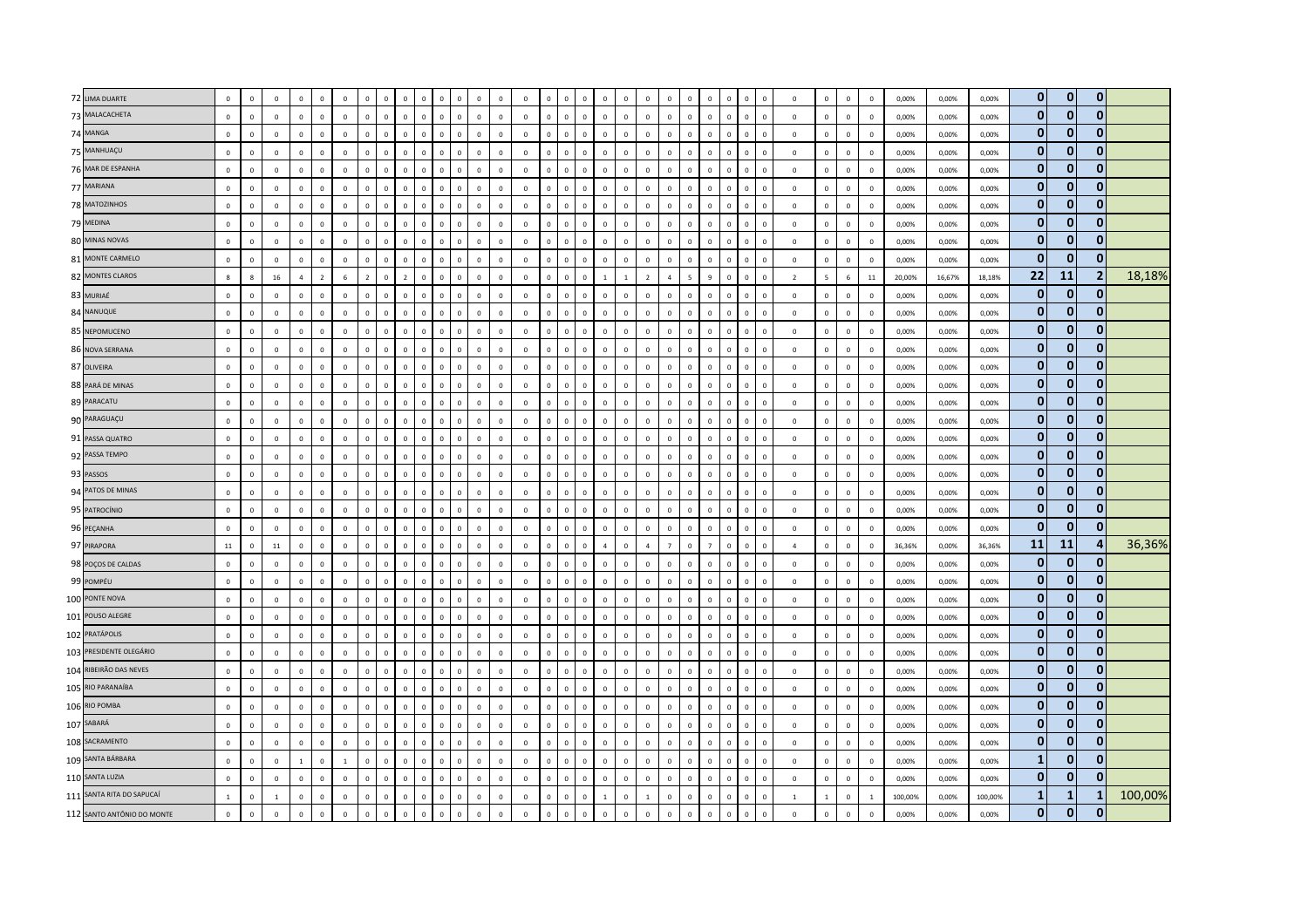| 72 LIMA DUARTE             | $\mathbf 0$  | $\Omega$     | $\mathbf 0$    | $\mathbf 0$    |                | $\mathbf 0$    |                | $\Omega$       | $\Omega$       | $\Omega$     | $\Omega$     | $\Omega$       | $\Omega$       | $\mathbf 0$             | $\overline{0}$ |                |                |                | $\Omega$       | $\Omega$     | $\overline{0}$ | $\mathbf{0}$   | $\Omega$                 | $\overline{0}$ | $\Omega$       | $\Omega$                   |              | $\mathbf{0}$   | $\Omega$     | $\Omega$     | $\mathbf 0$    | 0,00%   | 0,00%  | 0,00%   | $\mathbf{0}$ | $\mathbf 0$  | $\mathbf{0}$   |         |
|----------------------------|--------------|--------------|----------------|----------------|----------------|----------------|----------------|----------------|----------------|--------------|--------------|----------------|----------------|-------------------------|----------------|----------------|----------------|----------------|----------------|--------------|----------------|----------------|--------------------------|----------------|----------------|----------------------------|--------------|----------------|--------------|--------------|----------------|---------|--------|---------|--------------|--------------|----------------|---------|
| 73 MALACACHETA             | $\mathbf 0$  | $\mathbf 0$  | $\mathbf 0$    | $\mathbb O$    | $\Omega$       | $\mathbb O$    | $\mathbf 0$    | $\,$ 0         | $\mathbf 0$    | $\mathbb O$  | $\mathbf 0$  | $\mathbf 0$    | $\mathbf 0$    | $\mathbf 0$             | $\mathbf 0$    | $\mathsf 0$    | $\mathbf{0}$   | $\mathbf 0$    | $\mathbb O$    | $\mathbf 0$  | $\,$ 0         | $\mathbf 0$    | $\mathbf 0$              | $\,$ 0         | $\mathsf{o}\,$ | $\mathsf 0$                | $\mathbb O$  | $\,0\,$        | $\mathbf 0$  | $\mathbf 0$  | $\mathbf 0$    | 0,00%   | 0,00%  | 0,00%   | $\mathbf{0}$ | $\mathbf{0}$ | $\mathbf{0}$   |         |
| 74 MANGA                   | $\mathbf 0$  | $\mathbf 0$  | $\mathbb O$    | $\mathbf 0$    | $\Omega$       | $\mathbf 0$    | $\Omega$       | $\,$ 0         | $\mathbf 0$    | $\Omega$     | $\mathbf 0$  | $\mathbf 0$    | $\mathbf 0$    | $\mathbf 0$             | $\Omega$       | $\Omega$       | $\mathbf 0$    | $\Omega$       | $\mathbb O$    | $\mathbf 0$  | $\mathbf{0}$   | $\mathbf 0$    | $\mathbf{0}$             | $\overline{0}$ | $\mathbf 0$    | $\overline{0}$             | $\Omega$     | $\mathbf{0}$   | $\mathbf{0}$ | $\mathbf 0$  | $\mathbf 0$    | 0,00%   | 0,00%  | 0,00%   | $\mathbf 0$  | $\bf{0}$     | $\bf{0}$       |         |
| 75 MANHUAÇU                | $\Omega$     | $\mathbf{0}$ | $\overline{0}$ | $\mathbf{0}$   | $\Omega$       | $\mathbf 0$    | $\mathbf{0}$   | $\overline{0}$ | $\circ$        | $\mathbf{0}$ | $\circ$      | $\mathbf 0$    | $\Omega$       | $\Omega$                | $\mathbf 0$    | $\overline{0}$ | $\overline{0}$ | $\mathbf{0}$   | $\mathbf 0$    | $\Omega$     | $\overline{0}$ | $\mathbf{0}$   | $\mathbf{0}$             | $\mathbf{0}$   | $\mathbf{0}$   | $\overline{0}$             | $\Omega$     | $\Omega$       | $\Omega$     | $\Omega$     | $\Omega$       | 0,00%   | 0,00%  | 0,00%   | $\mathbf{0}$ | $\bf{0}$     | $\mathbf{0}$   |         |
| 76 MAR DE ESPANHA          | $\mathbf 0$  | $\mathbf 0$  | $\mathbb O$    | $\mathbf{0}$   | $\Omega$       | $\mathbf 0$    | $\Omega$       | $\,$ 0         | $\mathbf 0$    | $\mathbf 0$  | $\mathbf 0$  | $\mathbf 0$    | $\mathbf 0$    | $\mathbf 0$             | $\mathbf 0$    | $\Omega$       | $\mathbf 0$    | $\,$ 0 $\,$    | $\mathbb O$    | $\mathbf 0$  | $\mathbf 0$    | $\mathbf 0$    | $\Omega$                 | $\mathbf 0$    | $\mathsf{o}\,$ | $\,$ 0                     | $\mathbf 0$  | $\,$ 0         | $\mathbf{0}$ | $\mathbf 0$  | $\mathbf 0$    | 0,00%   | 0,00%  | 0,00%   | $\bf{0}$     | $\bf{0}$     | $\bf{0}$       |         |
| 77 MARIANA                 | $\mathbf 0$  | $\mathbf 0$  | $\mathbb O$    | $\mathbb O$    |                | $\mathbf 0$    | $\Omega$       | $\mathbf 0$    | $\mathbf 0$    | $\mathbb O$  | $\mathbf 0$  | $\mathbf 0$    | $\mathbf 0$    | $\mathbf 0$             | $\mathbf 0$    | $\Omega$       | $\Omega$       | $\mathbf 0$    | $\mathbb O$    | $\pmb{0}$    | $\,$ 0         | $\mathsf 0$    | $\mathbf 0$              | $\mathbf 0$    | $\mathsf{o}\,$ | $\,$ 0                     | $\mathbf 0$  | $\,$ 0         | $\mathbf 0$  | $\mathbf 0$  | $\,0\,$        | 0,00%   | 0,00%  | 0,00%   | $\bf{0}$     | $\bf{0}$     | $\bf{0}$       |         |
| 78 MATOZINHOS              | $\mathbf 0$  | $\mathbf 0$  | $\overline{0}$ | $\mathbf{0}$   | $\mathbf{0}$   | $\mathbf 0$    | $\mathbf{0}$   | $\,$ 0         | $\mathbf{0}$   | $\mathbf{0}$ | $\mathsf 0$  | $\mathbb O$    | $\mathbf 0$    | $\mathbf 0$             | $\mathbf 0$    | $\mathbf{0}$   | $\circ$        | $\mathbf 0$    | $\mathbb O$    | $\mathbf 0$  | $\mathsf 0$    | $\mathbf{0}$   | $\mathbf{0}$             | $\mathbf 0$    | $\mathbf 0$    | $\mathbf 0$                | $\mathbf{0}$ | $\,$ 0         | $\mathbf 0$  | $\mathbf 0$  | $\mathbf 0$    | 0,00%   | 0,00%  | 0,00%   | $\mathbf{0}$ | $\mathbf 0$  | $\mathbf 0$    |         |
| 79 MEDINA                  | $\mathbf 0$  | $\Omega$     | $\Omega$       | $\Omega$       | $\Omega$       | $\mathbf 0$    | $\Omega$       | $\overline{0}$ | $\Omega$       | $\Omega$     | $\Omega$     | $\mathbf{0}$   | $\Omega$       | $\Omega$                | $\circ$        | $\Omega$       | $\Omega$       | $\Omega$       | $\Omega$       | $\Omega$     | $\Omega$       | $\mathbf{0}$   | $\Omega$                 | $\Omega$       | $\Omega$       | $\,$ 0<br>$\Omega$         |              | $\Omega$       | $\Omega$     | $\Omega$     | $\mathbf 0$    | 0,00%   | 0.00%  | 0,00%   | $\mathbf{0}$ | $\bf{0}$     | $\bf{0}$       |         |
| 80 MINAS NOVAS             | $\mathbf 0$  | $\mathbf 0$  | $\mathbb O$    | $\mathbb O$    | $\mathbf 0$    | $\mathbf 0$    | $\mathbf 0$    | $\,$ 0         | $\mathbf 0$    | $\circ$      | $\mathbf 0$  | $\mathbf 0$    | $\mathbf 0$    | $\overline{\mathbf{0}}$ | $\mathbf 0$    | $\overline{0}$ | $\mathbf 0$    | $\mathbf 0$    | $\mathbb O$    | $\pmb{0}$    | $\,$ 0         | $\,0\,$        | $\mathbf 0$              | $\mathbf 0$    | $\mathsf{o}\,$ | $\,$ 0                     | $\mathbf 0$  | $\,$ 0         | $\mathbf 0$  | $\mathbf 0$  | $\,0\,$        | 0,00%   | 0,00%  | 0,00%   | $\bf{0}$     | $\bf{0}$     | $\bf{0}$       |         |
| 81 MONTE CARMELO           | $\mathbf 0$  | $\mathbf 0$  | $\mathbb O$    | $\circ$        | $\Omega$       | $\mathbf 0$    | $\mathbf{0}$   | $\mathbf 0$    | $\mathbf 0$    | $\mathbf{0}$ | $\mathbf{0}$ | $\overline{0}$ | $\mathbf 0$    | $\overline{0}$          | $\mathbf 0$    | $\mathbf{0}$   | $\mathbf{0}$   | $\mathbf 0$    | $\mathbb O$    | $\mathbf 0$  | $\mathsf 0$    | $\mathbf 0$    | $\Omega$                 | $\mathbf 0$    | $\mathbf{0}$   | $\,$ 0                     | $\mathbf 0$  | $\,$ 0         | $\mathbf 0$  | $\mathbf 0$  | $\mathbf 0$    | 0,00%   | 0,00%  | 0,00%   | $\mathbf{0}$ | $\mathbf 0$  | $\bf{0}$       |         |
| 82 MONTES CLAROS           | 8            | 8            | 16             | $\overline{4}$ | $\overline{z}$ | $6\phantom{a}$ | $\overline{z}$ | $\mathbf 0$    | $\overline{2}$ | $\Omega$     | $\mathbf{0}$ | $\mathbf 0$    | $\mathbf 0$    | $\overline{0}$          | $\mathbf 0$    | $\Omega$       | $\mathbf 0$    | $\overline{0}$ | $\mathbf{1}$   | $\mathbf{1}$ | $\overline{2}$ | $\overline{a}$ | $\overline{\phantom{a}}$ | $\overline{q}$ | $\mathbf 0$    | $\mathbf{0}$               | $\Omega$     | $\overline{2}$ | 5            | 6            | $11\,$         | 20,00%  | 16,67% | 18,18%  | 22           | 11           | $\overline{2}$ | 18,18%  |
| 83 MURIAÉ                  | $\mathbf 0$  | $\Omega$     | $\Omega$       | $\mathbf 0$    | $\Omega$       | $\mathbf 0$    | $\Omega$       | $\mathbf 0$    | $\Omega$       | $\Omega$     | $\Omega$     | $\mathbf 0$    | $\mathbf 0$    | $\mathbf 0$             | $\mathbf{0}$   | $\Omega$       | $\Omega$       | $\Omega$       | $\mathbb O$    | $\mathbf 0$  | $\,$ 0         | $\mathbf 0$    | $\Omega$                 | $\mathbf 0$    | $\Omega$       | $\,0\,$<br>$\Omega$        |              | $\,0\,$        | $\mathbf{0}$ | $\Omega$     | $\,0\,$        | 0,00%   | 0,00%  | 0,00%   | $\bf{0}$     | $\bf{0}$     | $\mathbf{0}$   |         |
| 84 NANUQUE                 | $\mathbf 0$  | $\Omega$     | $\overline{0}$ | $\mathbf 0$    | $\Omega$       | $\mathbf 0$    | $\mathbf{0}$   | $\mathbf 0$    | $\circ$        | $\mathbf{0}$ | $\mathsf 0$  | $\mathbf{0}$   | $\circ$        | $\Omega$                | $\mathbf{0}$   | $\Omega$       | $\circ$        | $\mathbf 0$    | $\Omega$       | $\Omega$     | $\overline{0}$ | $\mathbf 0$    | $\Omega$                 | $\Omega$       | $\mathbf 0$    | $\,0\,$<br>$\Omega$        |              | $\Omega$       | $\Omega$     | $\Omega$     | $\mathbf 0$    | 0,00%   | 0,00%  | 0,00%   | $\mathbf{0}$ | $\mathbf{0}$ | $\mathbf{0}$   |         |
| 85 NEPOMUCENO              | $\mathbf 0$  | $\mathbf 0$  | $\mathbb O$    | $\mathbb O$    | $\Omega$       | $\mathbb O$    | $\mathbf 0$    | $\mathbf 0$    | $\mathbf 0$    | $\mathbf{0}$ | $\mathbf 0$  | $\mathbf 0$    | $\mathbf 0$    | $\mathbf 0$             | $\mathbf 0$    | $\Omega$       | $\mathbf{0}$   | $\mathbf 0$    | $\mathbb O$    | $\mathbf 0$  | $\,$ 0         | $\circ$        | $\mathbf 0$              | $\mathbf 0$    | $\mathbf 0$    | $\,$ 0                     | $\mathbf 0$  | $\,0\,$        | $\mathbf{0}$ | $\mathbf 0$  | $\mathbf 0$    | 0,00%   | 0,00%  | 0,00%   | $\mathbf 0$  | $\bf{0}$     | $\mathbf{0}$   |         |
| 86 NOVA SERRANA            | $\mathbf 0$  | $\mathbf 0$  | $\mathbf 0$    | $\circ$        | $\mathbf 0$    | $\mathbb O$    | $\mathbf 0$    | $\,$ 0         | $\mathbf 0$    | $\mathbf 0$  | $\mathbf 0$  | $\mathbf 0$    | $\mathbf 0$    | $\mathbf 0$             | $\mathbf 0$    | $\mathsf 0$    | $\circ$        | $\mathbf 0$    | $\mathbb O$    | $\mathbf 0$  | $\,$ 0         | $\mathbf 0$    | $\mathbf 0$              | $\mathbf 0$    | $\mathbf 0$    | $\mathsf 0$                | $\mathbf 0$  | $\,0\,$        | $\mathbf 0$  | $\mathbf 0$  | $\mathbf 0$    | 0,00%   | 0,00%  | 0,00%   | $\mathbf{0}$ | $\bf{0}$     | $\bf{0}$       |         |
| 87 OLIVEIRA                | $\mathbf 0$  | $\Omega$     | $\mathbb O$    | $\mathbf 0$    | $\Omega$       | $\mathbb O$    | $\Omega$       | $\,$ 0         | $\Omega$       | $\Omega$     | $\mathsf 0$  | $\mathbf 0$    | $\Omega$       | $\Omega$                | $\Omega$       | $\Omega$       | $\mathbf 0$    | $\mathbf 0$    | $\mathbb O$    | $\Omega$     | $\,0\,$        | $\mathbf 0$    | $\Omega$                 | $\Omega$       | $\mathbf 0$    | $\,$ 0                     | $\Omega$     | $\,0\,$        | $\Omega$     | $\Omega$     | $\mathbf 0$    | 0,00%   | 0,00%  | 0,00%   | $\bf{0}$     | $\bf{0}$     | $\bf{0}$       |         |
| 88 PARÁ DE MINAS           | $\mathbf 0$  | $\mathbf{0}$ | $\overline{0}$ | $\mathbf 0$    | $\Omega$       | $\mathbf 0$    | $\mathbf{0}$   | $\mathbf 0$    | $\mathbf 0$    | $\mathbf 0$  | $\mathsf 0$  | $\mathbf 0$    | $\overline{0}$ | $\mathbf 0$             | $\mathbf 0$    | $\Omega$       | $\mathbf{0}$   | $\mathbf{0}$   | $\mathbb O$    | $\mathbf 0$  | $\,$ 0         | $\mathbf 0$    | $\mathbf{0}$             | $\mathbf 0$    | $\mathbf 0$    | $\mathbf 0$                | $\mathbf{0}$ | $\,$ 0         | $\mathbf{0}$ | $\mathbf 0$  | $\mathbf 0$    | 0,00%   | 0,00%  | 0,00%   | $\mathbf{0}$ | $\mathbf{0}$ | $\mathbf{0}$   |         |
| 89 PARACATU                | $\mathbf 0$  | $\mathbf 0$  | $\mathbb O$    | $\mathbb O$    | $\mathbf 0$    | $\mathbb O$    | $\mathbf 0$    | $\,$ 0         | $\mathbf 0$    | $\mathbb O$  | $\mathsf 0$  | $\mathbf 0$    | $\mathbf 0$    | $\mathbf 0$             | $\mathbf 0$    | $\mathbf{0}$   | $\mathbf{0}$   | $\mathbf 0$    | $\mathbb O$    | $\mathbf 0$  | $\mathsf 0$    | $\mathbf 0$    | $\mathbf 0$              | $\mathbf 0$    | $\mathbf 0$    | $\,$ 0                     | $\mathbf 0$  | $\,0\,$        | $\mathbf 0$  | $\mathbf 0$  | $\,0\,$        | 0,00%   | 0,00%  | 0,00%   | $\mathbf{0}$ | $\mathbf 0$  | $\bf{0}$       |         |
| 90 PARAGUAÇU               | $\mathbf{0}$ | $\mathsf 0$  | $\mathbf{0}$   | $\mathbf{0}$   | $\mathbf{0}$   | $\mathbf{0}$   | $\mathbf 0$    | $\mathbf 0$    | $\mathbf 0$    | $\mathbf 0$  | $\mathbf 0$  | $\mathbf 0$    | $\mathbf 0$    | $\mathbf 0$             | $\mathbf{0}$   | $\Omega$       | $\mathbf{0}$   | $\mathbf 0$    | $\mathbb O$    | $\mathbf 0$  | $\mathsf 0$    | $\mathbf{0}$   | $\mathbf 0$              | $\mathbf{0}$   | $\mathbf 0$    | $\mathbf 0$                | $\mathbf 0$  | $\mathbf 0$    | $\mathbf{0}$ | $\mathsf 0$  | $\mathbf 0$    | 0,00%   | 0,00%  | 0,00%   | $\bf{0}$     | $\mathbf 0$  | $\mathbf 0$    |         |
| 91 PASSA QUATRO            | $\mathbf 0$  | $\mathbf{0}$ | $\mathbb O$    | $\mathbf 0$    | $\Omega$       | $\mathbf 0$    | $\mathbf{0}$   | $\mathbf 0$    | $\Omega$       | $\mathbf{0}$ | $\mathsf 0$  | $\mathbf 0$    | $\mathbf 0$    | $\overline{0}$          | $\mathbf 0$    | $\Omega$       | $\circ$        | $\Omega$       | $\mathbb O$    | $\Omega$     | $\overline{0}$ | $\mathbf 0$    | $\Omega$                 | $\mathbf 0$    | $\mathbf 0$    | $\overline{0}$<br>$\Omega$ |              | $\,$ 0         | $\Omega$     | $\Omega$     | $\mathbf 0$    | 0,00%   | 0,00%  | 0,00%   | $\mathbf{0}$ | $\bf{0}$     | $\bf{0}$       |         |
| 92 PASSA TEMPO             | $\mathbf 0$  | $\mathbf 0$  | $\mathbb O$    | $\circ$        | $\mathbf 0$    | $\mathbf 0$    | $\mathbf 0$    | $\,$ 0         | $\mathbf 0$    | $\mathbb O$  | $\mathbf 0$  | $\mathbf 0$    | $\mathbf 0$    | $\mathbf 0$             | $\mathbb O$    | $\circ$        | $\mathbf{0}$   | $\mathbf 0$    | $\mathbf 0$    | $\mathbf 0$  | $\mathbf 0$    | $\mathbf 0$    | $\Omega$                 | $\mathbf 0$    | $\mathsf{o}\,$ | $\mathbf 0$                | $\mathbf 0$  | $\,0\,$        | $\mathbf 0$  | $\mathbf 0$  | $\mathbf 0$    | 0,00%   | 0,00%  | 0,00%   | $\bf{0}$     | $\bf{0}$     | $\bf{0}$       |         |
| 93 PASSOS                  | $\mathbf 0$  | $\mathbf 0$  | $\mathbb O$    | $\mathbf 0$    |                | $\mathbf 0$    | $\mathbf{0}$   | $\mathbf 0$    | $\mathbf 0$    | $\mathbf 0$  | $\mathbf{0}$ | $\mathbf 0$    | $\mathbf 0$    | $\mathbf 0$             | $\overline{0}$ | $\overline{0}$ | $\mathbf 0$    | $\overline{0}$ | $\mathbf 0$    | $\mathbf 0$  | $\mathbf 0$    | $\mathbf 0$    | $\mathbf 0$              | $\overline{0}$ | $\mathbf 0$    | $\overline{0}$             | $\mathbf 0$  | $\mathbf{0}$   | $\mathbf{0}$ | $\mathbf 0$  | $\,0\,$        | 0,00%   | 0,00%  | 0,00%   | $\bf{0}$     | $\bf{0}$     | $\mathbf 0$    |         |
| 94 PATOS DE MINAS          | $\mathbf{0}$ | $\mathbf{0}$ | $\Omega$       | $\mathbf{0}$   | $\Omega$       | $\mathbf 0$    | $\mathbf{0}$   | $\overline{0}$ | $\mathbf{0}$   | $\mathbf{0}$ | $\Omega$     | $\mathbf{0}$   | $\Omega$       | $\Omega$                | $\mathbf{0}$   | $\Omega$       | $\circ$        | $\mathbf{0}$   | $\mathbf 0$    | $\Omega$     | $\mathbf{0}$   | $\mathbf{0}$   | $\mathbf{0}$             | $\mathbf{0}$   | $\mathbf{0}$   | $\mathbf{0}$<br>$\Omega$   |              | $\overline{0}$ | $\mathbf{0}$ | $\mathbf{0}$ | $\mathbf 0$    | 0.00%   | 0,00%  | 0.00%   | $\mathbf{0}$ | $\mathbf{0}$ | $\mathbf{0}$   |         |
| 95 PATROCÍNIO              | $\mathbf 0$  | $\Omega$     | $\mathbf{0}$   | $\mathbb O$    | $\Omega$       | $\mathbb O$    | $\Omega$       | $\overline{0}$ | $\Omega$       | $\mathbf{0}$ | $\Omega$     | $\mathbf{0}$   | $\Omega$       | $\Omega$                | $\circ$        | $\Omega$       | $\Omega$       | $\mathbf{0}$   | $\Omega$       | $\Omega$     | $\mathsf 0$    | $\mathbf{0}$   | $\Omega$                 | $\Omega$       | $\mathbf 0$    | $\,$ 0<br>$\Omega$         |              | $\Omega$       | $\Omega$     | $\Omega$     | $\mathbf 0$    | 0,00%   | 0,00%  | 0,00%   | $\mathbf 0$  | $\bf{0}$     | $\bf{0}$       |         |
| 96 PEÇANHA                 | $\mathbf 0$  | $\mathbf 0$  | $\,0\,$        | $\mathbb O$    | $\Omega$       | $\mathbf 0$    | $\mathbf 0$    | $\mathbf 0$    | $\mathbf 0$    | $\mathbf{0}$ | $\mathbf 0$  | $\,$ 0         | $\mathbf 0$    | $\,0\,$                 | $\mathbf 0$    | $\mathbf{0}$   | $\mathbf 0$    | $\mathbf 0$    | $\mathbb O$    | $\mathbf 0$  | $\,$ 0         | $\mathbf 0$    | $\mathbf 0$              | $\mathbf 0$    | $\mathbf 0$    | $\,$ 0                     | $\mathbf 0$  | $\,$ 0         | $\mathbf 0$  | $\mathbf 0$  | $\,0\,$        | 0,00%   | 0,00%  | 0,00%   | $\bf{0}$     | $\bf{0}$     | $\mathbf 0$    |         |
| 97 PIRAPORA                | $11\,$       | $\mathbf 0$  | $11\,$         | $\mathbf{0}$   | $\mathbf{0}$   | $\mathbf{0}$   | $\mathbf{0}$   | $\mathbf 0$    | $\mathbf{0}$   | $\mathbf{0}$ | $\mathbf{0}$ | $\mathbb O$    | $\mathbf 0$    | $\overline{0}$          | $\Omega$       | $\mathbf{0}$   | $\mathbf{0}$   | $\mathbf 0$    | $\overline{4}$ | $\Omega$     | $\overline{4}$ | $\overline{7}$ | $\mathbf{0}$             | $\overline{7}$ | $\mathbf{0}$   | $\mathbf 0$                | $\mathbf{0}$ | $\overline{4}$ | $\mathbf 0$  | $\mathbf 0$  | $\mathbf 0$    | 36,36%  | 0,00%  | 36,36%  | 11           | 11           | 4              | 36,36%  |
| 98 POÇOS DE CALDAS         | $\mathbf 0$  | $\Omega$     | $\mathbf{0}$   | $\mathbf{0}$   | $\Omega$       | $\mathbf 0$    | $\Omega$       | $\mathbf{0}$   | $\Omega$       | $\theta$     | $\Omega$     | $\mathbf{0}$   | $\Omega$       | $\theta$                | $\Omega$       | $\Omega$       | $\Omega$       | $\Omega$       | $\mathbf{0}$   | $\Omega$     | $\mathbf{0}$   | $\mathbf{0}$   | $\mathbf{0}$             | $\Omega$       | $\mathbf{0}$   | $\mathbf{0}$               | $\Omega$     | $\mathbf{0}$   | $\Omega$     | $\Omega$     | $\mathbf 0$    | 0.00%   | 0,00%  | 0.00%   | $\mathbf{0}$ | $\bf{0}$     | $\mathbf 0$    |         |
| 99 POMPÉU                  | $\mathbf 0$  | $\Omega$     | $\overline{0}$ | $\mathbb O$    | $\Omega$       | $\mathbf 0$    | $\Omega$       | $\mathbf 0$    | $\mathbf{0}$   | $\Omega$     | $\Omega$     | $\mathbf 0$    | $\mathbf 0$    | $\mathbf 0$             | $\mathbf 0$    | $\Omega$       | $\Omega$       | $\mathbf{0}$   | $\Omega$       | $\mathbf 0$  | $\,$ 0         | $\circ$        | $\Omega$                 | $\,$ 0 $\,$    | $\mathbf{0}$   | $\,$ 0<br>$\Omega$         |              | $\,0\,$        | $\Omega$     | $\mathbf 0$  | $\,0\,$        | 0,00%   | 0,00%  | 0,00%   | $\mathbf{0}$ | $\mathbf 0$  | $\mathbf{0}$   |         |
| 100 PONTE NOVA             | $\mathbf 0$  | $\mathbf 0$  | $\mathbf 0$    | $\,0\,$        | $\Omega$       | $\mathbf 0$    | $\Omega$       | $\,$ 0         | $\mathbf 0$    | $\mathbf{0}$ | $\mathbf 0$  | $\mathbf 0$    | $\mathbf 0$    | $\mathbf 0$             | $\mathbf 0$    | $\mathbf 0$    | $\mathbf{0}$   | $\,0\,$        | $\mathbb O$    | $\mathsf 0$  | $\,0\,$        | $\mathbf 0$    | $\Omega$                 | $\,0\,$        | $\mathbf 0$    | $\,$ 0                     | $\mathbf 0$  | $\,0\,$        | $\mathbf 0$  | $\mathbf 0$  | $\,0\,$        | 0,00%   | 0,00%  | 0,00%   | $\bf{0}$     | $\bf{0}$     | $\bf{0}$       |         |
| 101 POUSO ALEGRE           | $\mathbf 0$  | $\mathbf 0$  | $\mathbb O$    | $\mathbf 0$    | $\Omega$       | $\mathbf 0$    | $\Omega$       | $\,$ 0         | $\mathbf 0$    | $\Omega$     | $\mathbf 0$  | $\mathbf 0$    | $\mathbf 0$    | $\overline{0}$          | $\mathbf 0$    | $\Omega$       | $\mathbf 0$    | $\mathbf 0$    | $\mathbb O$    | $\mathbf 0$  | $\mathsf 0$    | $\mathbf{0}$   | $\Omega$                 | $\overline{0}$ | $\mathbf 0$    | $\overline{0}$             | $\Omega$     | $\,$ 0         | $\mathbf{0}$ | $\mathbf 0$  | $\mathbf 0$    | 0,00%   | 0,00%  | 0,00%   | $\mathbf{0}$ | $\mathbf{0}$ | $\mathbf{0}$   |         |
| 102 PRATÁPOLIS             | $\mathbf 0$  | $\mathbf{0}$ | $\Omega$       | $\mathbb O$    | $\Omega$       | $\mathbf 0$    | $\Omega$       | $\mathbf 0$    | $\mathbf{0}$   | $\mathbf{0}$ | $\mathbf 0$  | $\mathbf 0$    | $\mathbf 0$    | $\mathbf 0$             | $\mathbf 0$    | $\Omega$       | $\mathbf{0}$   | $\mathbf{0}$   | $\mathbb O$    | $\Omega$     | $\,$ 0         | $\mathbf{0}$   | $\Omega$                 | $\mathbf 0$    | $\mathbf{0}$   | $\mathbf{0}$<br>$\Omega$   |              | $\,0\,$        | $\Omega$     | $\mathbf 0$  | $\mathbf 0$    | 0,00%   | 0,00%  | 0,00%   | $\mathbf 0$  | $\bf{0}$     | $\bf{0}$       |         |
| 103 PRESIDENTE OLEGÁRIO    | $\mathbf 0$  | $\mathbf{0}$ | $\mathbb O$    | $\mathbf 0$    | $\mathbf{0}$   | $\mathbf 0$    | $\mathbf 0$    | $\,$ 0         | $\mathbf{0}$   | $\mathbf 0$  | $\mathbf 0$  | $\mathbf 0$    | $\overline{0}$ | $\mathbf 0$             | $\mathbf 0$    | $\overline{0}$ | $\mathbf 0$    | $\,0\,$        | $\mathbb O$    | $\mathbf 0$  | $\,0\,$        | $\mathbf{0}$   | $\mathbf{0}$             | $\mathbf 0$    | $\mathbf 0$    | $\,$ 0                     | $\mathbf 0$  | $\overline{0}$ | $\mathbf{0}$ | $\mathbf{0}$ | $\mathbf 0$    | 0,00%   | 0,00%  | 0,00%   | $\bf{0}$     | $\bf{0}$     | $\bf{0}$       |         |
| 104 RIBEIRÃO DAS NEVES     | $\mathbf 0$  | $\mathbf 0$  | $\mathbb O$    | $\mathbf 0$    |                | $\mathbf 0$    | $\Omega$       | $\mathbf 0$    | $\mathbf 0$    | $\Omega$     | $\mathbf 0$  | $\mathbf 0$    | $\mathbf 0$    | $\overline{0}$          | $\mathbf 0$    | $\Omega$       | $\Omega$       | $\Omega$       | $\mathbb O$    | $\mathbf 0$  | $\overline{0}$ | $\mathsf 0$    | $\mathbf{0}$             | $\mathbf 0$    | $\mathbf 0$    | $\overline{0}$             | $\Omega$     | $\,$ 0         | $\mathbf{0}$ | $\mathbf 0$  | $\mathbf 0$    | 0,00%   | 0,00%  | 0,00%   | $\mathbf{0}$ | $\bf{0}$     | $\mathbf{0}$   |         |
| 105 RIO PARANAÍBA          | $\mathbf{0}$ | $\mathbf 0$  | $\mathbf 0$    | $\mathbb O$    | $\Omega$       | $\mathbf 0$    | $\Omega$       | $\mathbf 0$    | $\mathbf 0$    | $\mathbf 0$  | $\mathbf 0$  | $\mathbf 0$    | $\mathbf 0$    | $\overline{0}$          | $\mathbf 0$    | $\mathbf{0}$   | $\mathbf{0}$   | $\,$ 0         | $\mathbb O$    | $\mathbf 0$  | $\overline{0}$ | $\mathsf 0$    | $\mathbf{0}$             | $\,$ 0         | $\mathbf 0$    | $\,$ 0<br>$\Omega$         |              | $\,0\,$        | $\mathsf 0$  | $\mathbf 0$  | $\mathbf 0$    | 0,00%   | 0,00%  | 0,00%   | $\bf{0}$     | $\mathbf 0$  | $\mathbf{0}$   |         |
| 106 RIO POMBA              | $\mathbf 0$  | $\mathbf 0$  | $\mathbf{0}$   | $\mathbf 0$    | $\Omega$       | $\mathbf{0}$   | $\mathbf 0$    | $\mathbf 0$    | $\mathbf 0$    | $\mathbf 0$  | $\mathbf 0$  | $\mathbf 0$    | $\mathbf 0$    | $\mathbf 0$             | $\mathbf{0}$   | $\Omega$       | $\mathbf{0}$   | $\mathbf 0$    | $\mathbb O$    | $\mathbf 0$  | $\mathsf 0$    | $\mathbf{0}$   | $\mathbf 0$              | $\overline{0}$ | $\mathbf 0$    | $\,$ 0                     | $\mathbf 0$  | $\mathbf{0}$   | $\mathbf{0}$ | $\mathbf 0$  | $\mathbf 0$    | 0,00%   | 0,00%  | 0,00%   | $\bf{0}$     | $\mathbf{0}$ | $\mathbf{0}$   |         |
| 107 SABARÁ                 | $\mathbf 0$  | $\mathbf 0$  | $\overline{0}$ | $\mathbf 0$    | $\Omega$       | $\mathbf{0}$   | $\mathbf{0}$   | $\mathbf 0$    | $\circ$        | $\mathbf{0}$ | $\mathbf{0}$ | $\mathbf 0$    | $\mathbf{0}$   | $\mathbf 0$             | $\mathbf 0$    | $\Omega$       | $\circ$        | $\mathbf{0}$   | $\mathbb O$    | $\mathbf 0$  | $\overline{0}$ | $\mathbf{0}$   | $\mathbf{0}$             | $\mathbf 0$    | $\circ$        | $\,$ 0                     | $\mathbf{0}$ | $\,$ 0         | $\mathbf{0}$ | $\mathbf{0}$ | $\mathbf 0$    | 0,00%   | 0,00%  | 0,00%   | $\mathbf{0}$ | $\bf{0}$     | $\mathbf{0}$   |         |
| 108 SACRAMENTO             | $\mathbf 0$  | $\mathbf 0$  | $\mathbb O$    | $\mathbf 0$    | $\Omega$       | $\mathbf 0$    | $\mathbf{0}$   | $\mathbf 0$    | $\mathbf 0$    | $\mathbb O$  | $\mathbf 0$  | $\mathbf 0$    | $\mathbf 0$    | $\overline{0}$          | $\mathbf 0$    | $\circ$        | $\mathbf 0$    | $\mathbf 0$    | $\mathbb O$    | $\mathbf 0$  | $\mathsf 0$    | $\mathbf 0$    | $\mathbf 0$              | $\mathbf 0$    | $\mathbf 0$    | $\mathbf 0$                | $\mathbf 0$  | $\,0\,$        | $\mathbf 0$  | $\mathbf 0$  | $\mathbf 0$    | 0,00%   | 0,00%  | 0,00%   | $\bf{0}$     | $\bf{0}$     | $\bf{0}$       |         |
| 109 SANTA BÁRBARA          | $\mathbf 0$  | $\mathbf 0$  | $\mathbf 0$    | $\mathbf{1}$   | $\Omega$       | $1\,$          | $\Omega$       | $\overline{0}$ | $\mathbf 0$    | $\Omega$     | $\mathbf{0}$ | $\mathbf 0$    | $\mathbf 0$    | $\mathbf 0$             | $\overline{0}$ | $\Omega$       | $\mathbf 0$    | $\Omega$       | $\mathbb O$    | $\mathbf 0$  | $\mathbf{0}$   | $\mathbf 0$    | $\Omega$                 | $\overline{0}$ | $\mathbf 0$    | $\mathbf{0}$               | $\mathbf 0$  | $\,0\,$        | $\mathbf 0$  | $\mathbf 0$  | $\mathbf 0$    | 0,00%   | 0,00%  | 0,00%   | $\mathbf{1}$ | $\mathbf 0$  | $\mathbf 0$    |         |
| 110 SANTA LUZIA            | $\mathbf{0}$ | $\mathbf{0}$ | $\overline{0}$ | $\mathbf{0}$   | $\Omega$       | $\mathbf{0}$   | $\mathbf{0}$   | $\overline{0}$ | $\mathbf{0}$   | $\mathbf{0}$ | $\Omega$     | $\mathbf{0}$   | $\Omega$       | $\Omega$                | $\mathbf{0}$   | $\Omega$       | $\mathbf{0}$   | $\mathbf{0}$   | $\mathbf 0$    | $\Omega$     | $\mathbf{0}$   | $\mathbf{0}$   | $\mathbf{0}$             | $\mathbf{0}$   | $\mathbf{0}$   | $\mathbf{0}$               | $\mathbf{0}$ | $\overline{0}$ | $\Omega$     | $\mathbf{0}$ | $\mathbf 0$    | 0.00%   | 0,00%  | 0.00%   | $\mathbf{0}$ | $\mathbf 0$  | $\mathbf{0}$   |         |
| 111 SANTA RITA DO SAPUCAÍ  | $\mathbf{1}$ | $\mathbf 0$  | $\overline{1}$ | $\mathbf 0$    | $\Omega$       | $\mathbf 0$    | $\mathbf 0$    | $\,$ 0         | $\circ$        | $\mathbb O$  | $\mathbf 0$  | $\mathbf 0$    | $\mathbf 0$    | $\mathbf 0$             | $\mathbb O$    | $\Omega$       | $\circ$        | $\,$ 0         | $\mathbf{1}$   | $\mathbf 0$  | <sup>1</sup>   | $\mathbf 0$    | $\Omega$                 | $\mathbb O$    | $\mathbf 0$    | $\,$ 0                     | $\mathbf{0}$ | $\overline{1}$ | 1            | $\mathbf 0$  | 1              | 100,00% | 0,00%  | 100,00% | $\mathbf{1}$ | $\mathbf{1}$ | 1              | 100,00% |
| 112 SANTO ANTÔNIO DO MONTE | $\mathbf 0$  | $\mathbf 0$  | $\mathbf 0$    | $\mathbf{0}$   |                | $\mathbf 0$    | $\mathbf{0}$   | $\overline{0}$ | $\mathbf 0$    | $\mathbf 0$  | $\mathbf{0}$ | $\overline{0}$ | $\overline{0}$ | $\overline{0}$          | $\mathbf 0$    |                | $\mathbf 0$    |                | $\mathbf 0$    | $\mathbf 0$  | $\overline{0}$ | $\mathsf 0$    | $\Omega$                 | $\overline{0}$ | $\mathsf{o}\,$ | $\mathbf{0}$               | $\mathbf 0$  | $\overline{0}$ | $\mathbf 0$  | $\mathbf 0$  | $\overline{0}$ | 0,00%   | 0,00%  | 0,00%   | $\mathbf{0}$ | $\mathbf 0$  | $\mathbf{0}$   |         |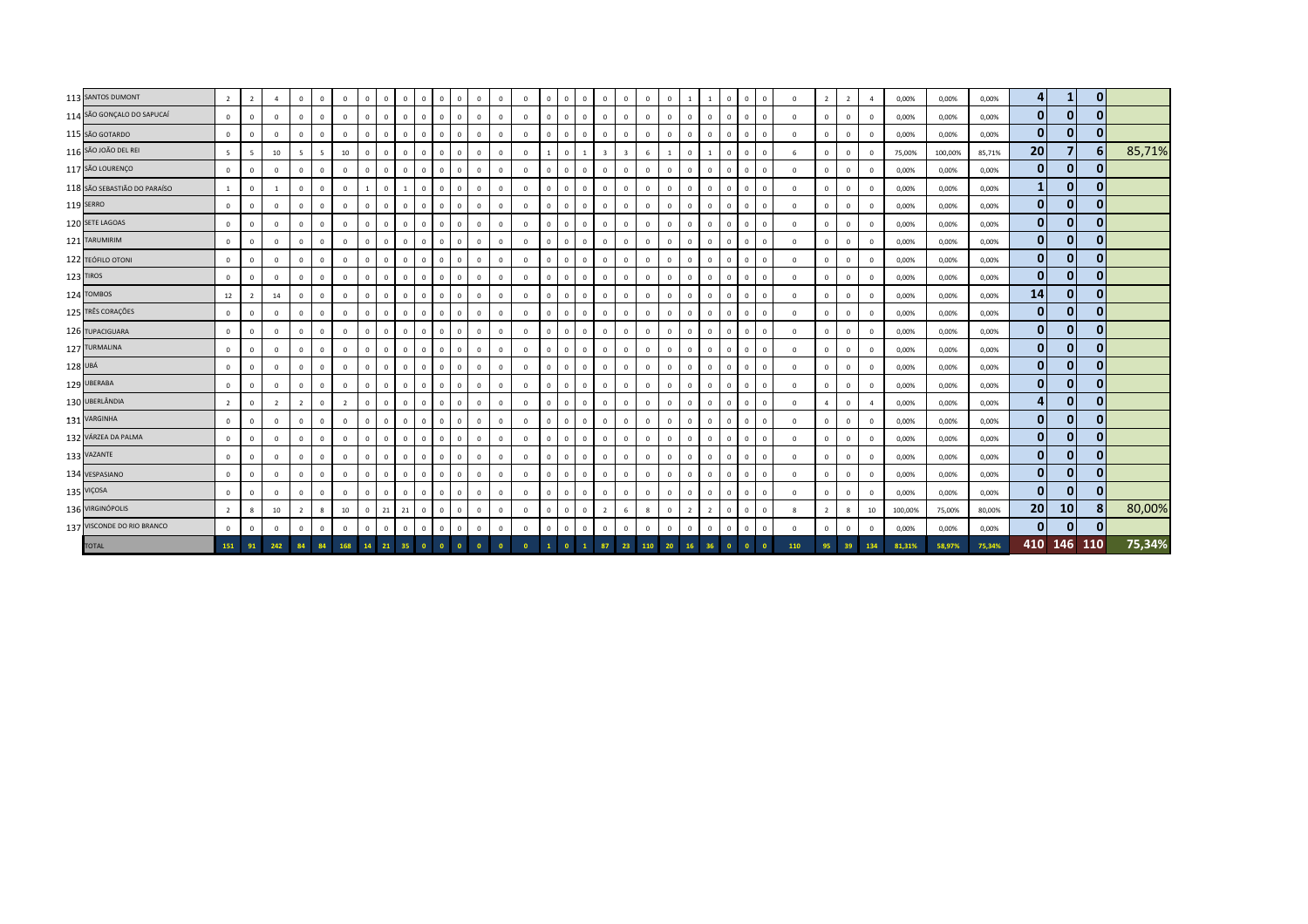| 113 SANTOS DUMONT            | $\overline{2}$ | $\overline{2}$ | 4              | $\overline{0}$ | $\mathbf{0}$   | $\mathbf{0}$   | $\mathbf{0}$ | $\mathbf{0}$   | $\mathbf{0}$   | $\overline{0}$ | $\overline{0}$<br>$\mathbf{0}$            | $\mathbf{0}$   | $\mathbf{0}$ | $\overline{0}$ | $\mathbf{0}$   | $\circ$        | $\mathbf{0}$   | $\overline{0}$ | $\Omega$     | $\mathbf{0}$ | $\overline{0}$ | <sup>1</sup>   | $\overline{1}$ | $\circ$<br>$\circ$                  | $\mathbf{0}$   | $\Omega$    | $\overline{\phantom{a}}$ | $\overline{2}$ | $\overline{a}$ | 0,00%   | 0,00%   | 0,00%  |                 | 1            | $\mathbf{0}$ |        |
|------------------------------|----------------|----------------|----------------|----------------|----------------|----------------|--------------|----------------|----------------|----------------|-------------------------------------------|----------------|--------------|----------------|----------------|----------------|----------------|----------------|--------------|--------------|----------------|----------------|----------------|-------------------------------------|----------------|-------------|--------------------------|----------------|----------------|---------|---------|--------|-----------------|--------------|--------------|--------|
| 114 SÃO GONÇALO DO SAPUCAÍ   | $\mathbf 0$    | $\mathbf{0}$   | $\Omega$       | $\mathbf 0$    | $\mathbf{0}$   | $\mathbf{0}$   | $^{\circ}$   | $\overline{0}$ | $\mathbf{0}$   | $\mathbf{0}$   | $\overline{0}$                            | $\mathbf 0$    | $^{\circ}$   | $\mathbf 0$    | $\mathbf{0}$   | $\mathbf{0}$   | $\mathbf 0$    | $\mathbf{0}$   | $\Omega$     | $\mathbf{0}$ | $\overline{0}$ | $\overline{0}$ | $\mathbf{0}$   | $\mathbf 0$<br>$\mathbf{0}$         | $\mathbf{0}$   | $\mathbf 0$ | $^{\circ}$               | $\mathbf{0}$   | $\mathbf 0$    | 0,00%   | 0,00%   | 0,00%  | 0               | $\mathbf{0}$ | $\mathbf{0}$ |        |
| 115 SÃO GOTARDO              | $\mathbf{0}$   | $\mathbf 0$    | $\mathbf{0}$   | $\mathbf 0$    | $\mathbf{0}$   | $\mathbf{0}$   | $\mathbf{0}$ | $\overline{0}$ | $\mathbf{0}$   | $\overline{0}$ | $\overline{0}$<br>$\mathbf{0}$            | $\mathbf 0$    | $\mathbf{0}$ | $\overline{0}$ | $\mathbf{0}$   | $\circ$        | $\overline{0}$ | $\overline{0}$ | $\Omega$     | $\mathbf{0}$ | $\mathbf{0}$   | $\overline{0}$ | $\mathbf{0}$   | $\circ$<br>$\circ$                  | $\mathbf{0}$   | $\mathbf 0$ | $^{\circ}$               | $\mathbf{0}$   | $\mathbf 0$    | 0,00%   | 0,00%   | 0,00%  | 0               | $\mathbf{0}$ | $\mathbf{0}$ |        |
| 116 SÃO JOÃO DEL REI         | 5              | 5              | 10             | $\overline{5}$ | $\overline{5}$ | 10             | $\Omega$     | $\mathbf 0$    | $\mathbf{0}$   | $\Omega$       | $\Omega$                                  | $\mathbf 0$    | $^{\circ}$   | $\Omega$       |                | $^{\circ}$     |                | $\overline{3}$ |              | 6            | $\mathbf{1}$   | $\overline{0}$ | $\overline{1}$ | $\Omega$<br>$\Omega$                | $\mathbf{0}$   | 6           | $^{\circ}$               | $\mathbf 0$    | $\mathbf 0$    | 75,00%  | 100,00% | 85,71% | 20 <sup>1</sup> |              | 6            | 85,71% |
| 117 SÃO LOURENÇO             | $\mathbf 0$    | $\mathbf 0$    | $\Omega$       | $\mathbf 0$    | $\mathbf{0}$   | $\mathbf{0}$   | $^{\circ}$   | $\mathbf 0$    | $\mathbf{0}$   | $\overline{0}$ | $\overline{\mathbf{0}}$                   | $\mathbf 0$    | $\mathbf{0}$ | $\overline{0}$ | $\mathbf{0}$   | $\mathbf{0}$   | $\mathbf{0}$   | $\mathbf{0}$   | $\Omega$     | $\mathbf{0}$ | $\overline{0}$ | $\overline{0}$ | $\mathbf{0}$   | $\overline{0}$<br>$^{\circ}$        | $\mathbf{0}$   | $^{\circ}$  | $^{\circ}$               | $\mathbf 0$    | $\mathbf 0$    | 0,00%   | 0,00%   | 0,00%  | $\mathbf{0}$    | $\mathbf{0}$ | $\mathbf{0}$ |        |
| 118 SÃO SEBASTIÃO DO PARAÍSO | 1              | $\mathbf{0}$   | $\overline{1}$ | $\mathbf{0}$   | $\mathbf{0}$   | $\mathbf{0}$   |              | $\overline{0}$ | $\mathbf{1}$   | $\overline{0}$ | $\Omega$<br>$\Omega$                      | $\mathbf 0$    | $^{\circ}$   | $\mathbf 0$    | $\mathbf{0}$   | $\circ$        | $\mathbf{0}$   | $\mathbf{0}$   | $\Omega$     | $\mathbf{0}$ | $\mathbf{0}$   | $\overline{0}$ | $\circ$        | $\circ$<br>$\overline{0}$           | $\mathbf 0$    | $\Omega$    | $^{\circ}$               | $\mathbf 0$    | $\mathbf{0}$   | 0,00%   | 0,00%   | 0,00%  |                 | $\mathbf{0}$ | $\mathbf{0}$ |        |
| 119 SERRO                    | $\mathbf 0$    | $\mathbf 0$    | $\mathbf{0}$   | $\mathbf{0}$   | $\mathbf 0$    | $\mathbf{0}$   | $^{\circ}$   | $\circ$        | $\mathbf{0}$   | $\overline{0}$ | $\overline{0}$<br>$\mathbf{0}$            | $\mathbf 0$    | $^{\circ}$   | $\mathbf 0$    | $\mathbf{0}$   | $\circ$        | $\mathbf 0$    | $\mathbf{0}$   | $^{\circ}$   | $\mathbf 0$  | $\mathbf{0}$   | $\overline{0}$ | $\mathbf 0$    | $\mathbf{0}$<br>$\circ$             | $\mathbf{0}$   | $\mathbf 0$ | $^{\circ}$               | $\mathbf 0$    | $\mathbf 0$    | 0,00%   | 0,00%   | 0,00%  | $\bf{0}$        | $\mathbf{0}$ | $\mathbf{0}$ |        |
| 120 SETE LAGOAS              | $\circ$        | $\mathbf{0}$   | $\Omega$       | $\overline{0}$ | $\circ$        | $\mathbf{0}$   | $\Omega$     | $\overline{0}$ | $\mathbf{0}$   | $\mathbf 0$    | $\overline{\mathbf{0}}$<br>$\Omega$       | $\overline{0}$ | $\circ$      | $\mathbf 0$    | $\mathbf 0$    | $\mathbf{0}$   | $\overline{0}$ | $\mathbf{0}$   | $\Omega$     | $\mathbf{0}$ | $\overline{0}$ | $\overline{0}$ | $\circ$        | $\mathbf 0$<br>$\mathbf{0}$         | $\mathbf{0}$   | $\mathbf 0$ | $\circ$                  | $\mathbf{0}$   | $\mathbf 0$    | 0,00%   | 0,00%   | 0,00%  | 0               | $\mathbf{0}$ | 0            |        |
| 121 TARUMIRIM                | $\mathbf{0}$   | $^{\circ}$     | $\mathbf{0}$   | $\mathbf 0$    | $\mathbf{0}$   | $\mathbf{0}$   | $\mathbf{0}$ | $\overline{0}$ | $\mathbf{0}$   | $\overline{0}$ | $\overline{0}$<br>$\Omega$                | $\mathbf 0$    | $^{\circ}$   | $\mathbf 0$    | $\mathbf{0}$   | $\circ$        | $\overline{0}$ | $\mathbf{0}$   | $\Omega$     | $\mathbf{0}$ | $\overline{0}$ | $\overline{0}$ | $\mathbf{0}$   | $\mathbf{0}$<br>$\circ$             | $\mathbf{0}$   | $\mathbf 0$ | $^{\circ}$               | $\mathbf{0}$   | $\mathbf 0$    | 0,00%   | 0,00%   | 0,00%  | $\mathbf{0}$    | $\mathbf{0}$ | $\mathbf{0}$ |        |
| 122 TEÓFILO OTONI            | $\circ$        | $\mathbf 0$    | $\mathbf{0}$   | $\mathbf 0$    | $\circ$        | $\mathbf{0}$   | $\mathbf{0}$ | $\overline{0}$ | $\mathbf{0}$   | $\mathbf{0}$   | $\overline{\mathbf{0}}$<br>$\mathbf{0}$   | $\mathbf 0$    | $\mathbf 0$  | $\mathbf{0}$   | $\mathbf 0$    | $\circ$        | $\mathbf 0$    | $\overline{0}$ | $\Omega$     | $\mathbf{0}$ | $\mathbf{0}$   | $\overline{0}$ | $\circ$        | $\mathbf{0}$<br>$\mathbf{0}$        | $\mathbf{0}$   | $^{\circ}$  | $^{\circ}$               | $\mathbf{0}$   | $\mathbf{0}$   | 0,00%   | 0,00%   | 0,00%  | $\mathbf{0}$    | $\mathbf{0}$ | $\mathbf{0}$ |        |
| 123 TIROS                    | $\circ$        | $\mathbf{0}$   | $\mathbf{0}$   | $\mathbf 0$    | $\mathbf{0}$   | $\mathbf{0}$   | $^{\circ}$   | $\mathbf 0$    | $\mathbf{0}$   | $\overline{0}$ | $\overline{\mathbf{0}}$                   | $\mathbf 0$    | $\circ$      | $\mathbf 0$    | $\mathbf{0}$   | $\overline{0}$ | $\mathbf 0$    | $\mathbf{0}$   | $\mathbf{0}$ | $\mathbf{0}$ | $\mathbf{0}$   | $\overline{0}$ | $\mathbf 0$    | $\overline{0}$<br>$\Omega$          | $\mathbf{0}$   | $\mathbf 0$ | $^{\circ}$               | $\mathbf 0$    | $\mathbf{0}$   | 0,00%   | 0,00%   | 0,00%  | $\mathbf{0}$    | $\mathbf{0}$ | $\mathbf{0}$ |        |
| 124 TOMBOS                   | 12             | $\overline{2}$ | 14             | $\mathbf 0$    | $\mathbf 0$    | $\mathbf 0$    | $\Omega$     | $\circ$        | $\mathbf 0$    | $\mathbf 0$    | $\Omega$                                  | $\mathbf 0$    | $\mathbf 0$  | $\circ$        | $\mathbf{0}$   | $\circ$        | $\mathbf{0}$   | $\mathbf{0}$   | $\Omega$     | $\mathbf{0}$ | $\mathbf{0}$   | $\overline{0}$ | $\mathbf 0$    | $\circ$<br>$\circ$                  | $\mathbf{0}$   | $\mathbf 0$ | $\Omega$                 | $\mathbf{0}$   | $\mathbf 0$    | 0,00%   | 0,00%   | 0,00%  | 14              | $\mathbf{0}$ | $\mathbf{0}$ |        |
| 125 TRÊS CORAÇÕES            | $\circ$        | $\mathbf 0$    | $\mathbf{0}$   | $\mathbf{0}$   | $\mathbf{0}$   | $\mathbf{0}$   | $\mathbf{0}$ | $\overline{0}$ | $\mathbf{0}$   | $\overline{0}$ | $\overline{0}$                            | $\overline{0}$ | $\mathbf{0}$ | $\mathbf{0}$   | $\mathbf{0}$   | $\circ$        | $\overline{0}$ | $\overline{0}$ | $\mathbf{0}$ | $\mathbf{0}$ | $\overline{0}$ | $\overline{0}$ | $\mathbf{0}$   | $\sim$ 0 $\sim$<br>$\circ$          | $\mathbf{0}$   | $\mathbf 0$ | $^{\circ}$               | $\mathbf{0}$   | $\mathbf 0$    | 0,00%   | 0,00%   | 0,00%  | $\mathbf{0}$    | $\mathbf{0}$ | 0            |        |
| 126 TUPACIGUARA              | $\circ$        | $^{\circ}$     | $\Omega$       | $\mathbf 0$    | $\mathbf 0$    | $\mathbf 0$    | $^{\circ}$   | $\overline{0}$ | $\mathbf 0$    | $\mathbf{0}$   | $\overline{\mathbf{0}}$                   | $\mathbf 0$    | $\mathbf 0$  | $\mathbf{0}$   | $\mathbf{0}$   | $^{\circ}$     | $\mathbf 0$    | $\mathbf{0}$   | $\Omega$     | $\mathbf{0}$ | $\mathbf{0}$   | $\mathbf{0}$   | $\mathbf{0}$   | $\Omega$<br>$\circ$                 | $\mathbf{0}$   | $\mathbf 0$ | $\mathbf{0}$             | $\mathbf{0}$   | $\mathbf{0}$   | 0,00%   | 0,00%   | 0,00%  | $\mathbf{0}$    | $\mathbf{0}$ | $\mathbf{0}$ |        |
| 127 TURMALINA                | $\mathbf 0$    | $\mathbf 0$    | $\Omega$       | $\mathbf{0}$   | $\mathbf{0}$   | $\mathbf{0}$   | $\mathbf 0$  | $\overline{0}$ | $\mathbf{0}$   | $\mathbf{0}$   | $\overline{0}$<br>$\mathbf{0}$            | $\mathbf 0$    | $\mathbf{0}$ | $\overline{0}$ | $\overline{0}$ | $\overline{0}$ | $\mathbf{0}$   | $\overline{0}$ | $\Omega$     | $\mathbf{0}$ | $\overline{0}$ | $\mathbf{0}$   | $\mathbf{0}$   | $\circ$<br>$\mathbf{0}$             | $\mathbf{0}$   | $\mathbf 0$ | $\mathbf{0}$             | $\mathbf 0$    | $\mathbf 0$    | 0,00%   | 0,00%   | 0,00%  | $\mathbf{0}$    | $\mathbf{0}$ | $\mathbf{0}$ |        |
| 128 UBÁ                      | $\circ$        | $\Omega$       | $\mathbf{0}$   | $\mathbf 0$    | $\Omega$       | $\mathbf{0}$   | $^{\circ}$   | $\mathbf 0$    | $\mathbf{0}$   | $\Omega$       | $\overline{0}$<br>$\mathbf{0}$            | $\mathbf 0$    | $\circ$      | $\mathbf 0$    | $\mathbf{0}$   | $\mathbf{0}$   | $\mathbf 0$    | $\mathbf{0}$   | $\Omega$     | $\mathbf{0}$ | $\mathbf{0}$   | $\overline{0}$ | $\mathbf 0$    | $\mathbf 0$<br>$^{\circ}$           | $\mathbf{0}$   | $\mathbf 0$ | $^{\circ}$               | $\mathbf 0$    | $\mathbf 0$    | 0,00%   | 0,00%   | 0,00%  | $\mathbf{0}$    | $\mathbf{0}$ | $\bf{0}$     |        |
| 129 UBERABA                  | $\mathbf 0$    | $^{\circ}$     | $^{\circ}$     | $\circ$        | $\mathbf{0}$   | $\mathbf 0$    | $\Omega$     | $\circ$        | $\mathbf{0}$   | $\mathbf{0}$   | $\overline{\mathbf{0}}$<br>$\mathbf{0}$   | $\mathbf 0$    | $\mathbf 0$  | $\mathbf 0$    | $\mathbf{0}$   | $\circ$        | $\mathbf{0}$   | $\mathbf{0}$   | $\mathbf 0$  | $\mathbf{0}$ | $\mathbf{0}$   | $\overline{0}$ | $\mathbf{0}$   | $\mathbf{0}$<br>$\circ$             | $\mathbf{0}$   | $^{\circ}$  | $^{\circ}$               | $\mathbf 0$    | $\mathbf 0$    | 0,00%   | 0,00%   | 0,00%  | $\mathbf{0}$    | $\mathbf{0}$ | $\mathbf{0}$ |        |
| 130 UBERLÂNDIA               | $\overline{2}$ | $^{\circ}$     | $\overline{z}$ | $\overline{2}$ | $\mathbf 0$    | $\overline{2}$ | $\Omega$     | $\mathbf 0$    | $\mathbf{0}$   | $\overline{0}$ | $\Omega$                                  | $\mathbf 0$    | $\circ$      | $\mathbf 0$    | $\mathbf{0}$   | $\mathbf{0}$   | $\Omega$       | $\mathbf{0}$   |              | $\mathbf{0}$ | $\mathbf{0}$   | $\overline{0}$ | $\mathbf 0$    | $\overline{0}$<br>$\mathbf{0}$      | $\mathbf{0}$   | $\Omega$    | 4                        | $\mathbf 0$    | $\overline{a}$ | 0,00%   | 0,00%   | 0,00%  |                 | $\mathbf{0}$ | 0            |        |
| 131 VARGINHA                 | $\mathbf 0$    | $^{\circ}$     | $\mathbf{0}$   | $\overline{0}$ | $\mathbf{0}$   | $\mathbf{0}$   | $\mathbf{0}$ | $\overline{0}$ | $\mathbf{0}$   | $\mathbf{0}$   | $\overline{\mathbf{0}}$<br>$\mathbf{0}$   | $\mathbf 0$    | $^{\circ}$   | $\mathbf{0}$   | $\mathbf 0$    | $\circ$        | $\circ$        | $\overline{0}$ | $\mathbf{0}$ | $\mathbf{0}$ | $\circ$        | $\overline{0}$ | $\circ$        | $\circ$<br>$\circ$                  | $\mathbf{0}$   | $\mathbf 0$ | $^{\circ}$               | $\mathbf{0}$   | $\mathbf{0}$   | 0,00%   | 0,00%   | 0,00%  | 0               | $\mathbf{0}$ | $\mathbf{0}$ |        |
| 132 VÁRZEA DA PALMA          | $\mathbf{0}$   | $^{\circ}$     | $\Omega$       | $\mathbf{0}$   | $\mathbf{0}$   | $\mathbf{0}$   | $\Omega$     | $\overline{0}$ | $\overline{0}$ | $\overline{0}$ | $\overline{0}$                            | $\mathbf 0$    | $\mathbf{0}$ | $\mathbf 0$    | $\mathbf{0}$   | $\overline{0}$ | $\mathbf 0$    | $\mathbf{0}$   | $\Omega$     | $\mathbf{0}$ | $\mathbf{0}$   | $\overline{0}$ | $\mathbf{0}$   | $\mathbf 0$<br>$\mathbf{0}$         | $\mathbf{0}$   | $\mathbf 0$ | $^{\circ}$               | $\mathbf 0$    | $\mathbf{0}$   | 0,00%   | 0,00%   | 0,00%  | $\mathbf{0}$    | $\mathbf{0}$ | $\mathbf{0}$ |        |
| 133 VAZANTE                  | $\mathbf 0$    | $^{\circ}$     | $\Omega$       | $\mathbf 0$    | $\mathbf{0}$   | $\mathbf{0}$   | $\mathbf{0}$ | $\mathbf 0$    | $\overline{0}$ | $\Omega$       | $\overline{0}$                            | $\mathbf{0}$   | $\mathbf{0}$ | $\mathbf 0$    | $\mathbf{0}$   | $\mathbf{0}$   | $\mathbf 0$    | $\mathbf{0}$   | $\Omega$     | $\mathbf{0}$ | $\mathbf{0}$   | $\overline{0}$ | $\mathbf 0$    | $\mathbf 0$<br>$\circ$              | $\mathbf{0}$   | $\mathbf 0$ | $\mathbf{0}$             | $\mathbf 0$    | $\mathbf 0$    | 0,00%   | 0,00%   | 0,00%  | $\mathbf{0}$    | $\mathbf{0}$ | $\mathbf{0}$ |        |
| 134 VESPASIANO               | $\circ$        | $^{\circ}$     | $\Omega$       | $\circ$        | $\mathbf{0}$   | $\mathbf{0}$   | $^{\circ}$   | $\circ$        | $\circ$        | $\overline{0}$ | $\overline{\mathbf{0}}$                   | $\mathbf 0$    | $\circ$      | $\mathbf 0$    | $\mathbf{0}$   | $\mathbf{0}$   | $\circ$        | $\overline{0}$ | $\Omega$     | $\mathbf{0}$ | $\mathbf{0}$   | $\overline{0}$ | $\circ$        | $\mathbf 0$<br>$^{\circ}$           | $\mathbf{0}$   | $\mathbf 0$ | $\mathbf 0$              | $\mathbf 0$    | $\mathbf 0$    | 0,00%   | 0,00%   | 0,00%  | $\mathbf{0}$    | $\mathbf{0}$ | $\mathbf{0}$ |        |
| 135 VIÇOSA                   | $\circ$        | $\Omega$       | $\Omega$       | $\mathbf 0$    | $\mathbf{0}$   | $\mathbf 0$    | $\Omega$     | $\mathbf 0$    | $\overline{0}$ | $\overline{0}$ | $\overline{0}$<br>$\Omega$                | $\mathbf 0$    | $\mathbf 0$  | $\mathbf 0$    | $\mathbf{0}$   | $\mathbf{0}$   | $\mathbf{0}$   | $\mathbf{0}$   | $\Omega$     | $\mathbf{0}$ | $\mathbf{0}$   | $\overline{0}$ | $\circ$        | $\Omega$<br>$\Omega$                | $\mathbf 0$    | $\Omega$    | $^{\circ}$               | $\mathbf{0}$   | $\mathbf{0}$   | 0,00%   | 0,00%   | 0,00%  | $\mathbf{0}$    | 0            | $\mathbf{0}$ |        |
| 136 VIRGINÓPOLIS             | $\overline{2}$ | 8              | 10             | $\overline{2}$ | 8              | 10             | $\mathbf{0}$ | 21             | 21             | $\overline{0}$ | $\overline{0}$<br>$\mathbf{0}$            | $\mathbf 0$    | $\circ$      | $\mathbf 0$    | $\mathbf 0$    | $\mathbf{0}$   | $\mathbf 0$    | $\overline{2}$ | - 6          | 8            | $\overline{0}$ | $\overline{2}$ | $\overline{2}$ | $\overline{0}$<br>$\mathbf{0}$      | $\mathbf{0}$   | 8           | $\overline{2}$           | 8              | 10             | 100,00% | 75,00%  | 80,00% | 20 <sup>1</sup> | 10           | 81           | 80,00% |
| 137 VISCONDE DO RIO BRANCO   | $\mathbf 0$    | $\mathbf 0$    | $\mathbf 0$    | $\mathbf 0$    | $\mathbf{0}$   | $\mathbf{0}$   | $\Omega$     | $\mathbf 0$    | $\mathbf{0}$   | $\mathbf 0$    | $\overline{0}$                            | $\,0\,$        | $\circ$      | $\mathbf 0$    | $\mathbf{0}$   | $\overline{0}$ | $\mathbf 0$    | $\mathbf 0$    |              | $\mathbf 0$  | $\mathsf 0$    | $\overline{0}$ | $\mathbf 0$    | $\overline{0}$<br>$^{\circ}$        | $\mathbf 0$    | $\mathbf 0$ | $\mathbf{0}$             | $\mathbf 0$    | $\mathbf 0$    | 0,00%   | 0,00%   | 0,00%  | $\mathbf{0}$    | $\mathbf{0}$ | $\mathbf{0}$ |        |
| <b>TOTAL</b>                 | 151            | 91             | 242            | 84             | 84             | 168            |              |                | 14 21 35       | $\bullet$      | $\overline{\mathbf{0}}$<br>$\overline{0}$ | $\overline{0}$ | $\bullet$    | $\bullet$      | $\mathbf{1}$   | $\Omega$       | $\mathbf{1}$   | 87             | 23           | 110          | 20             | 16             | 36             | $\overline{\mathbf{0}}$<br>$\Omega$ | $\overline{0}$ | 110         | 95                       | 39             | 134            | 81,31%  | 58,97%  | 75,34% |                 | 410 146 110  |              | 75,34% |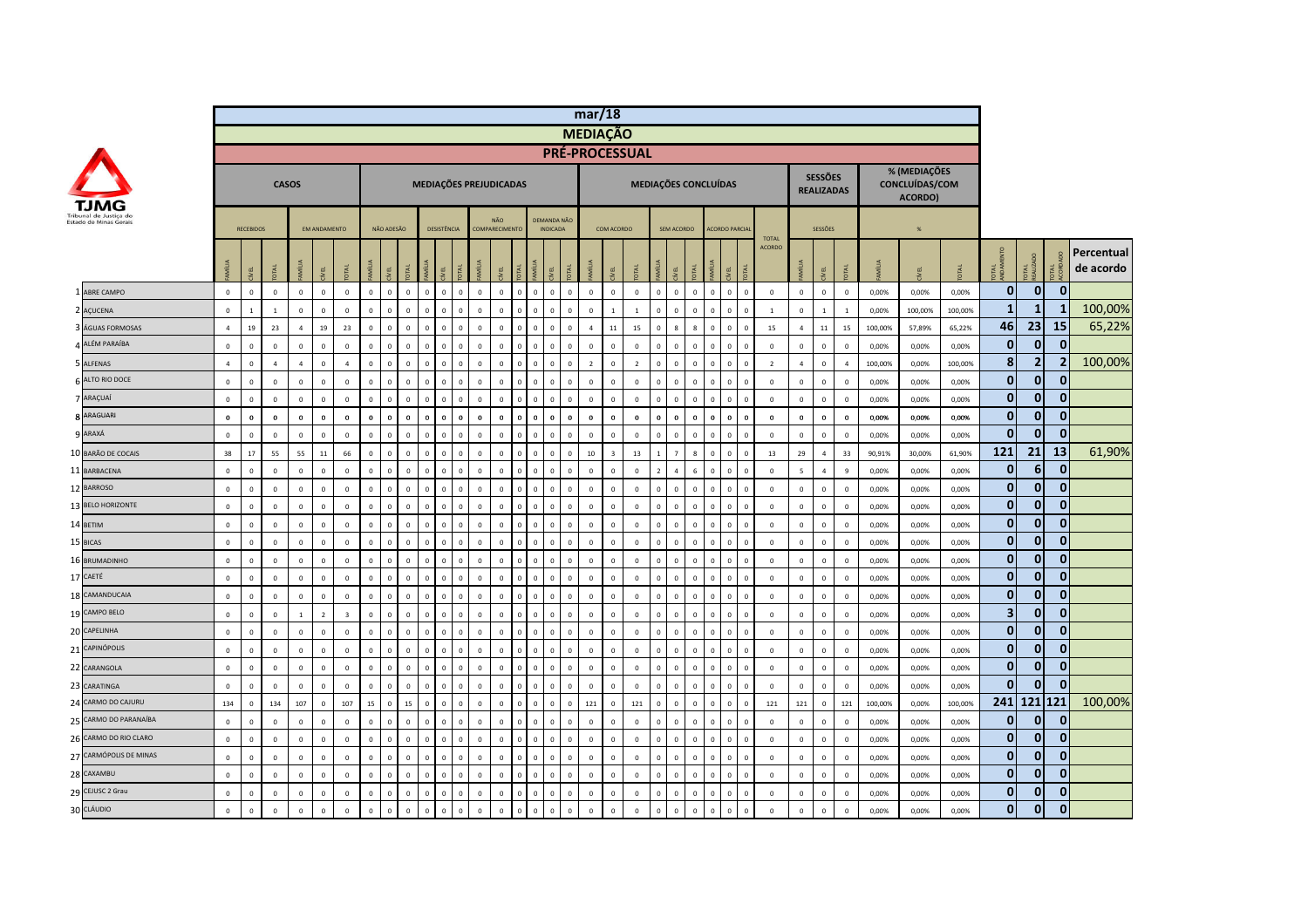|    |                        |                |                  |                |                |                     |                         |              |                |              |                                |                             |              |                        |                |                |                                | mar/18                |                         |                |              |                      |                         |                |                      |              |                |                          |                                     |                |         |                                           |         |                         |                  |                |                         |
|----|------------------------|----------------|------------------|----------------|----------------|---------------------|-------------------------|--------------|----------------|--------------|--------------------------------|-----------------------------|--------------|------------------------|----------------|----------------|--------------------------------|-----------------------|-------------------------|----------------|--------------|----------------------|-------------------------|----------------|----------------------|--------------|----------------|--------------------------|-------------------------------------|----------------|---------|-------------------------------------------|---------|-------------------------|------------------|----------------|-------------------------|
|    |                        |                |                  |                |                |                     |                         |              |                |              |                                |                             |              |                        |                |                |                                | <b>MEDIAÇÃO</b>       |                         |                |              |                      |                         |                |                      |              |                |                          |                                     |                |         |                                           |         |                         |                  |                |                         |
|    |                        |                |                  |                |                |                     |                         |              |                |              |                                |                             |              |                        |                |                |                                | <b>PRÉ-PROCESSUAL</b> |                         |                |              |                      |                         |                |                      |              |                |                          |                                     |                |         |                                           |         |                         |                  |                |                         |
|    |                        |                |                  |                | <b>CASOS</b>   |                     |                         |              |                |              |                                |                             |              | MEDIAÇÕES PREJUDICADAS |                |                |                                |                       |                         |                |              | MEDIAÇÕES CONCLUÍDAS |                         |                |                      |              |                |                          | <b>SESSÕES</b><br><b>REALIZADAS</b> |                |         | % (MEDIAÇÕES<br>CONCLUÍDAS/COM<br>ACORDO) |         |                         |                  |                |                         |
|    | Estado de Minas Gerais |                | <b>RECEBIDOS</b> |                |                | <b>FM ANDAMENTO</b> |                         |              | NÃO ADESÃO     |              | <b>DESISTÊNCIA</b>             |                             |              | NÃO<br>COMPARECIMENTO  |                |                | DEMANDA NÃO<br><b>INDICADA</b> |                       | COM ACORDO              |                |              | SEM ACORDO           |                         |                | <b>ACORDO PARCIA</b> |              | <b>TOTAL</b>   |                          | SESSÕES                             |                |         | $\frac{96}{26}$                           |         |                         |                  |                |                         |
|    |                        |                | Æι               |                | MÍLIA          | yEL.                |                         | MÍLIA        |                |              |                                |                             |              | EL                     |                | will           | ΨĒ                             |                       | EL.                     | 론              |              | EL                   |                         |                | Μ                    |              | <b>ACORDO</b>  | <b>S</b>                 | ξL                                  | <b>DTAL</b>    | MÍLIA   |                                           |         | 로                       | <b>JTAL</b>      |                | Percentual<br>de acordo |
|    | <b>LABRE CAMPO</b>     | $\mathbf{0}$   | $\Omega$         | $\mathbf{0}$   | $\mathbf 0$    | $\mathbf{0}$        | $\mathbf{0}$            | $\mathbf{0}$ | $\mathbf 0$    | $\circ$      | $\Omega$                       | $\mathbf{0}$<br>$\mathbf 0$ | $\mathbb O$  | $\mathbb O$            | $\mathbf{0}$   | $\mathbf{0}$   | $\mathbf 0$<br>$\mathbf{0}$    | $\mathbf 0$           | $\overline{0}$          | $\mathbf{0}$   | $\mathbf{0}$ | $\mathbf{0}$         | $\mathbf{0}$            | $\mathbf{0}$   | $\mathbf{0}$         | $\mathbf{0}$ | $\mathbf{0}$   | $\mathbf{0}$             | $\circ$                             | $\circ$        | 0,00%   | 0,00%                                     | 0.00%   | $\mathbf{0}$            | $\overline{0}$   | $\mathbf{0}$   |                         |
|    | AÇUCENA                | $\mathbf 0$    | $\mathbf{1}$     | $\mathbf{1}$   | $\mathbf 0$    | $\mathbf 0$         | $\mathbf 0$             | $\mathbf{0}$ | $\overline{0}$ | $\mathbf{0}$ | $\overline{0}$<br>$\mathbf 0$  | $\mathbf 0$                 | $\mathbf{0}$ | $\mathbf{0}$           | $\mathbf 0$    | $\mathbf 0$    | $\mathbf 0$<br>$\mathbf 0$     | $\mathbf 0$           | $\overline{1}$          | $1\,$          | $\circ$      | $\mathbf{0}$         | $\mathbf{0}$            | $\mathbf 0$    | $\circ$              | $\mathbf 0$  | $\mathbf{1}$   | $\mathbf 0$              | $\mathbf{1}$                        | $\mathbf{1}$   | 0,00%   | 100,00%                                   | 100,00% | $\mathbf{1}$            | 1                | 1              | 100,00%                 |
|    | ÁGUAS FORMOSAS         | $\overline{4}$ | 19               | 23             | $\overline{4}$ | 19                  | 23                      | $\mathbf 0$  | $\Omega$       | $\mathbf 0$  | $\Omega$<br>$\mathbf 0$        | $\mathbf 0$                 | $\mathbf 0$  | $\mathbf 0$            | $\Omega$       | $\mathbf{0}$   | $\mathbf 0$<br>$\,0\,$         | $\overline{4}$        | 11                      | 15             | $\mathbf 0$  | $\mathbf{g}$         | $\overline{\mathbf{g}}$ | $\overline{0}$ | $\mathbf{0}$         | $\mathbf 0$  | 15             | $\overline{a}$           | $11\,$                              | 15             | 100,00% | 57,89%                                    | 65,22%  | 46                      | 23               | 15             | 65,22%                  |
|    | ALÉM PARAÍBA           | $\mathbf 0$    | $\mathbf 0$      | $\mathbf 0$    | $\mathbb O$    | $\mathbf 0$         | $\mathbf 0$             | $\Omega$     | $\Omega$       | $\mathbf 0$  | $\Omega$<br>$\mathbf{0}$       | $\mathbf 0$                 | $\mathbf 0$  | $\mathbf 0$            | $\,$ 0         | $\mathbf 0$    | $\mathbf 0$<br>$\mathbf 0$     | $\mathbf 0$           | $\,$ 0                  | $\mathbf 0$    | $\mathbf 0$  | $\mathbf{0}$         | $\mathbf 0$             | $\mathbf 0$    | $\mathbf{0}$         | $\mathbf 0$  | $\mathbf{0}$   | $\mathbb O$              | $\mathbf 0$                         | $\mathbf 0$    | 0,00%   | 0,00%                                     | 0,00%   | $\mathbf{0}$            | $\mathbf{0}$     | $\mathbf{0}$   |                         |
|    | 5 ALFENAS              | $\overline{4}$ | $\mathbf 0$      | $\overline{a}$ | $\overline{4}$ | $\mathbf 0$         | $\overline{4}$          | $\mathbf{0}$ | $\mathbf 0$    | $\mathbf 0$  | $\overline{0}$                 | $\circ$<br>$\mathbb O$      | $\mathbf{0}$ | $\mathbf 0$            | $\mathbf 0$    | $\mathbf{0}$   | $\mathbf{0}$<br>$\,$ 0         | $\overline{2}$        | $\mathbf 0$             | $\overline{2}$ | $\mathbf{0}$ | $\mathbf 0$          | $\mathbf 0$             | $\mathbf 0$    | $\mathbf{0}$         | $\mathbf 0$  | $\overline{2}$ | $\overline{4}$           | $\mathbb O$                         | $\overline{4}$ | 100,00% | 0,00%                                     | 100,00% | 8                       | $\overline{2}$   | $\overline{2}$ | 100,00%                 |
|    | <b>ALTO RIO DOCE</b>   | $\mathbf 0$    | $\mathbf 0$      | $\,0\,$        | $\mathbf 0$    | $\mathbf 0$         | $\mathbb O$             | $\circ$      | $\mathbb O$    | $\mathbb O$  | $\overline{0}$                 | $\mathbf{0}$<br>$\mathbb O$ | $\,0\,$      | $\mathbf 0$            | $\,0\,$        | $\overline{0}$ | $\,0\,$<br>$\mathbf 0$         | $\mathbf 0$           | $\,$ 0                  | $\mathbf 0$    | $\mathbf 0$  | $\mathbf 0$          | $\mathbf 0$             | $\,0\,$        | $\mathbf 0$          | $\mathbf 0$  | $\,0\,$        | $\mathbb O$              | $\,0\,$                             | $\mathbf 0$    | 0,00%   | 0,00%                                     | 0,00%   | $\mathbf{0}$            | $\mathbf{0}$     | $\mathbf 0$    |                         |
|    | <b>ARAÇUAÍ</b>         | $\mathbf 0$    | $\mathbf 0$      | $\mathsf 0$    | $\mathbf 0$    | $\mathbf 0$         | $\,$ 0 $\,$             | $\mathbf{0}$ | $\Omega$       | $\mathbf 0$  | $\mathbb O$<br>$\Omega$        | $\Omega$                    | $\mathbf{0}$ | $\mathbf 0$            | $\Omega$       | $\mathbf 0$    | $\mathbf 0$<br>$\mathbf 0$     | $\mathbf 0$           | $\mathbf 0$             | $\mathbf 0$    | $\mathbf{0}$ | $\Omega$             | $\mathbf 0$             | $\overline{0}$ | $\mathbf{0}$         | $\mathbf 0$  | $\mathsf 0$    | $\mathbf 0$              | $\mathbf 0$                         | $\mathbb O$    | 0,00%   | 0,00%                                     | 0,00%   | $\mathbf{0}$            | $\mathbf{0}$     | $\mathbf{0}$   |                         |
|    | <b>R</b> ARAGUARI      | $\bf{0}$       | $\bf{0}$         | $\pmb{0}$      | $\mathbf 0$    | $\mathbf 0$         | $\mathbf 0$             | $\mathbf{0}$ | $\Omega$       | $\mathbf 0$  | $\bf{0}$<br>$\Omega$           | $\mathbf 0$                 | $\mathbf 0$  | $\mathbf 0$            | $\bf{0}$       | $\mathbf{0}$   | $\mathbf 0$<br>$\bf{0}$        | $\mathbf 0$           | $\bf{0}$                | $\mathbf 0$    | $\mathbf{0}$ | $\Omega$             | $\mathbf 0$             | $\mathbf{0}$   | $\mathbf{0}$         | $\mathbf 0$  | $\mathbf 0$    | $\mathbf 0$              | $\mathbf 0$                         | $\mathbf 0$    | 0,00%   | 0,00%                                     | 0,00%   | $\mathbf{0}$            | $\mathbf{0}$     | $\mathbf{0}$   |                         |
|    | <b>ARAXÁ</b>           | $\mathbf 0$    | $\mathbf 0$      | $\Omega$       | $\mathbf 0$    | $\mathbf 0$         | $\mathbf 0$             | $\mathbf{0}$ | $\Omega$       | $\mathbf 0$  | $\overline{0}$                 | $\mathbf{0}$<br>$\Omega$    | $\mathbf 0$  | $\mathbf 0$            | $\mathbf 0$    | $\mathbf 0$    | $\,$ 0<br>$\mathbf 0$          | $\mathbf 0$           | $\mathbf 0$             | $\mathbf 0$    | $\mathbf{0}$ | $\Omega$             | $\Omega$                | $\mathbf 0$    | $\mathbf{0}$         | $\mathbf 0$  | $\mathbf 0$    | $\Omega$                 | $\mathbf 0$                         | $\mathbf 0$    | 0,00%   | 0,00%                                     | 0,00%   | $\mathbf{0}$            | $\mathbf{0}$     | $\mathbf{0}$   |                         |
|    | 10 BARÃO DE COCAIS     | 38             | $17\,$           | 55             | 55             | $11\,$              | 66                      | $\mathbf{0}$ | $\overline{0}$ | $\mathbf{0}$ | $\overline{0}$<br>$\mathbf 0$  | $\mathbf 0$                 | $\mathbf 0$  | $\mathbf 0$            | $\mathbf 0$    | $\mathbf 0$    | $\,$ 0<br>$\pmb{0}$            | $10\,$                | $\overline{\mathbf{3}}$ | 13             |              | $\overline{7}$       | 8                       | $\mathbf 0$    | $\mathbf 0$          | $\pmb{0}$    | $13\,$         | 29                       | $\sqrt{4}$                          | 33             | 90,91%  | 30,00%                                    | 61,90%  | 121                     | 21               | 13             | 61,90%                  |
|    | 11 BARBACENA           | $\mathbf 0$    | $\mathbf 0$      | $\mathsf 0$    | $\mathbb O$    | $\mathbf 0$         | $\mathbf 0$             | $\mathbf 0$  | $\overline{0}$ | $\mathbf{0}$ | $\overline{0}$<br>$\mathbf 0$  | $\mathbf 0$                 | $\mathbf 0$  | $\mathbf 0$            | $\overline{0}$ | $\mathbf{0}$   | $\mathbf 0$<br>$\mathbf 0$     | $\mathbf 0$           | $\mathbf 0$             | $\mathbf 0$    |              | $\overline{a}$       | $\overline{6}$          | $\overline{0}$ | $\mathbf 0$          | $\pmb{0}$    | $\mathbf 0$    | $\overline{\phantom{a}}$ | $\sqrt{4}$                          | $\overline{9}$ | 0,00%   | 0,00%                                     | 0,00%   | $\mathbf 0$             | $6 \overline{6}$ | $\mathbf{0}$   |                         |
|    | 12 BARROSO             | $\mathbf 0$    | $\mathbf 0$      | $\mathsf 0$    | $\mathbb O$    | $\mathbf 0$         | $\mathbf 0$             | $\circ$      | $\overline{0}$ | $\mathbb O$  | $\Omega$<br>$\Omega$           | $\mathbf{0}$                | $\mathbf{0}$ | $\mathbf 0$            | $\mathbf{0}$   | $\mathbf{0}$   | $\mathbf{0}$<br>$\,$ 0         | $\mathbf{0}$          | $\mathbf 0$             | $\mathbf 0$    | $\mathbf{0}$ | $\overline{0}$       | $\mathbf{0}$            | $\mathbf{0}$   | $\circ$              | $\mathbf 0$  | $\mathbf{0}$   | $\mathbf 0$              | $\mathbf 0$                         | $\overline{0}$ | 0,00%   | 0,00%                                     | 0,00%   | $\mathbf{0}$            | $\mathbf{0}$     | $\mathbf{0}$   |                         |
|    | 13 BELO HORIZONTE      | $\mathbf 0$    | $\mathbf 0$      | $\Omega$       | $\mathbf 0$    | $\mathbf 0$         | $\mathbf{0}$            | $\mathbf{0}$ | $\Omega$       | $\Omega$     | $\Omega$                       | $\mathbf{0}$<br>$\Omega$    | $\Omega$     | $\Omega$               | $\mathbf 0$    | $\mathbf{0}$   | $\,$ 0<br>$\Omega$             | $\mathbf 0$           | $\overline{0}$          | $\mathbf 0$    | $\mathbf{0}$ | $\mathbf{0}$         | $\Omega$                | $\mathbf 0$    | $\mathbf{0}$         | $\mathbf 0$  | $\mathbf 0$    | $\Omega$                 | $\mathbf 0$                         | $\mathbf 0$    | 0,00%   | 0,00%                                     | 0,00%   | $\mathbf{0}$            | $\mathbf{0}$     | $\mathbf{0}$   |                         |
|    | 14 BETIM               | $\mathbf 0$    | $\mathbf 0$      | $\mathbf{0}$   | $\mathbf 0$    | $\mathbf 0$         | $\mathbf 0$             | $\Omega$     | $\Omega$       | $\mathbf 0$  | $\Omega$<br>$\mathbf{0}$       | $\Omega$                    | $\mathbf 0$  | $\mathbf 0$            | $\mathbf{0}$   | $\mathbf{0}$   | $\,$ 0<br>$\mathbf 0$          | $\mathbf 0$           | $\overline{0}$          | $\mathbf 0$    | $\Omega$     | $\Omega$             | $\Omega$                | $\mathbf 0$    | $\circ$              | $\Omega$     | $\mathbf{0}$   | $\Omega$                 | $\mathbf 0$                         | $\mathbf 0$    | 0,00%   | 0,00%                                     | 0,00%   | $\mathbf{0}$            | $\mathbf{0}$     | $\mathbf{0}$   |                         |
|    | 15 BICAS               | $\mathbf 0$    | $\pmb{0}$        | $\mathbf 0$    | $\mathbf 0$    | $\mathbf 0$         | $\mathbf 0$             | $\mathbf 0$  | $\Omega$       | $\mathbb O$  | $\overline{0}$<br>$\mathbf{0}$ | $\mathbf 0$                 | $\mathbf{0}$ | $\mathbf{0}$           | $\overline{0}$ | $\mathbf 0$    | $\,$ 0<br>$\mathbf 0$          | $\mathbf 0$           | $\mathbf 0$             | $\mathbf 0$    | $\mathbf 0$  | $\mathbf{0}$         | $\mathbf 0$             | $\mathbf 0$    | $\mathbf{0}$         | $\mathbf 0$  | $\mathbf 0$    | $\mathbf 0$              | $\mathbf 0$                         | $\mathbb O$    | 0,00%   | 0,00%                                     | 0,00%   | $\mathbf{0}$            | $\mathbf{0}$     | $\mathbf{0}$   |                         |
|    | 16 BRUMADINHO          | $\mathbf 0$    | $\mathbf 0$      | $\mathsf 0$    | $\mathbf{0}$   | $\mathbf 0$         | $\mathbf 0$             | $\mathbf{0}$ | $\Omega$       | $\mathbf 0$  | $\overline{0}$<br>$\mathbf{0}$ | $\mathbb O$                 | $\,$ 0       | $\mathbb O$            | $\mathbf{0}$   | $\mathbf{0}$   | $\mathbf 0$<br>$\mathbf 0$     | $\mathbf 0$           | $\mathbf 0$             | $\mathbf 0$    | $\mathbf{0}$ | $\mathbf{0}$         | $\mathbf 0$             | $\mathbf 0$    | $\mathbf{0}$         | $\mathbf 0$  | $\mathbf 0$    | $\mathbb O$              | $\mathbf 0$                         | $\mathbf 0$    | 0,00%   | 0,00%                                     | 0,00%   | $\mathbf{0}$            | $\mathbf{0}$     | $\mathbf{0}$   |                         |
|    | 17 CAETÉ               | $\mathbf 0$    | $\mathbf 0$      | $\mathsf 0$    | $\mathbf 0$    | $\mathbf 0$         | $\mathbf{0}$            | $\mathbf 0$  | $\overline{0}$ | $\mathbf 0$  | $\overline{0}$                 | $\mathbf 0$<br>$\mathbf 0$  | $\mathbf{0}$ | $\mathbf{0}$           | $\mathbf 0$    | $\mathbf 0$    | $\,$ 0<br>$\mathbf 0$          | $\mathbf{0}$          | $\overline{0}$          | $\mathbf 0$    | $\mathbf 0$  | $\mathbf{0}$         | $\mathbf 0$             | $\mathbf 0$    | $\mathbf 0$          | $\mathbf 0$  | $\mathbf 0$    | $\mathbf 0$              | $\mathbf 0$                         | $\pmb{0}$      | 0,00%   | 0,00%                                     | 0,00%   | $\bf{0}$                | $\mathbf{0}$     | $\mathbf{0}$   |                         |
|    | 18 CAMANDUCAIA         | $\mathbf{0}$   | $\Omega$         | $\mathbf{0}$   | $\mathbf 0$    | $\Omega$            | $\mathbf{0}$            | $\Omega$     | $\Omega$       | $\Omega$     | $\Omega$<br>$\mathbf{0}$       | $\Omega$                    | $\Omega$     | $\Omega$               | $\Omega$       | $\Omega$       | $\mathbf{0}$<br>$\Omega$       | $\Omega$              | $\Omega$                | $\mathbf{0}$   | $\Omega$     | $\Omega$             | $\Omega$                | $\Omega$       | $\circ$              | $\Omega$     | $\Omega$       | $\mathbf{0}$             | $\mathbf{0}$                        | $\Omega$       | 0.00%   | 0.00%                                     | 0.00%   | $\mathbf{0}$            | $\bf{0}$         | $\mathbf{0}$   |                         |
|    | 19 CAMPO BELO          | $\mathbf 0$    | $\mathbf 0$      | $\mathsf 0$    | $\mathbf{1}$   | $\overline{2}$      | $\overline{\mathbf{3}}$ | $\Omega$     | $\Omega$       | $\mathbf 0$  | $\Omega$<br>$\mathbf{0}$       | $\Omega$                    | $\mathbf{0}$ | $\mathbf{0}$           | $\Omega$       | $\mathbf 0$    | $\,$ 0<br>$\mathbf 0$          | $\mathbf 0$           | $\overline{0}$          | $\mathbf 0$    | $\mathbf{0}$ | $\mathbf{0}$         | $\mathbf 0$             | $\Omega$       | $\circ$              | $\mathbf 0$  | $\mathbf 0$    | $\mathbb O$              | $\mathbf 0$                         | $\overline{0}$ | 0,00%   | 0,00%                                     | 0,00%   | $\overline{\mathbf{3}}$ | $\mathbf{0}$     | $\mathbf{0}$   |                         |
|    | 20 CAPELINHA           | $\mathbf 0$    | $\Omega$         | $\mathbf{0}$   | $\mathbf 0$    | $\mathbf 0$         | $\mathbf{0}$            | $\circ$      | $\mathbf{0}$   | $\mathbf{0}$ | $\Omega$<br>$\mathbf{0}$       | $\mathbf 0$                 | $\mathbf{0}$ | $\mathbf 0$            | $\mathbf{0}$   | $\overline{0}$ | $\,$ 0<br>$\Omega$             | $\mathbf 0$           | $\mathbf 0$             | $\mathbf{0}$   | $\mathbf{0}$ | $\mathbf{0}$         | $\mathbf{0}$            | $\overline{0}$ | $\mathbf{0}$         | $\Omega$     | $\mathbf{0}$   | $\mathbf{0}$             | $\mathbf 0$                         | $\mathbb O$    | 0,00%   | 0,00%                                     | 0,00%   | $\mathbf{0}$            | $\mathbf{0}$     | $\mathbf{0}$   |                         |
|    | 21 CAPINÓPOLIS         | $\mathbf 0$    | $\mathbf 0$      | $\mathbf 0$    | $\mathbf 0$    | $\mathbf 0$         | $\mathbf 0$             | $\mathbf{0}$ | $\overline{0}$ | $\mathbf 0$  | $\overline{0}$<br>$\mathbb O$  | $\mathbf 0$                 | $\mathbf 0$  | $\mathbf 0$            | $\,$ 0         | $\mathbf{0}$   | $\mathsf 0$<br>$\mathbf 0$     | $\mathbf 0$           | $\overline{0}$          | $\mathbf 0$    | $\mathbf 0$  | $\mathbf 0$          | $\mathbf 0$             | $\mathbf 0$    | $\mathbf 0$          | $\mathbf 0$  | $\mathbf 0$    | $\mathbf 0$              | $\mathbf 0$                         | $\mathbf 0$    | 0,00%   | 0,00%                                     | 0,00%   | $\mathbf{0}$            | $\mathbf{0}$     | $\mathbf{0}$   |                         |
|    | 22 CARANGOLA           | $\mathbf 0$    | $\mathbf 0$      | $\mathsf 0$    | $\mathbf 0$    | $\mathbf{0}$        | $\mathbf 0$             | $\mathbf{0}$ | $\Omega$       | $\mathbf 0$  | $\overline{0}$                 | $\circ$<br>$\mathbf 0$      | $\mathbf{0}$ | $\mathbf 0$            | $\mathbf 0$    | $\mathbf{0}$   | $\mathbf 0$<br>$\mathbf 0$     | $\mathbb O$           | $\overline{0}$          | $\mathbf 0$    | $\mathbf 0$  | $\mathbf{0}$         | $\mathbf 0$             | $\overline{0}$ | $\mathbf 0$          | $\mathbf 0$  | $\mathbf 0$    | $\mathbf 0$              | $\mathbf 0$                         | $\mathbf 0$    | 0,00%   | 0,00%                                     | 0,00%   | $\mathbf{0}$            | $\mathbf{0}$     | $\mathbf{0}$   |                         |
|    | 23 CARATINGA           | $\mathbf 0$    | $\mathbf 0$      | $\mathsf 0$    | $\mathbf 0$    | $\mathbf 0$         | $\mathbf 0$             | $\mathbf 0$  | $\Omega$       | $\mathbf 0$  | $\Omega$                       | $\mathbf{0}$<br>$\Omega$    | $\mathbf 0$  | $\mathbb O$            | $\mathbf{0}$   | $\mathbf{0}$   | $\mathbf 0$<br>$\mathbf 0$     | $\mathbf 0$           | $\mathbf 0$             | $\mathbf 0$    | $\mathbf{0}$ | $\Omega$             | $\mathbf 0$             | $\mathbf{0}$   | $\circ$              | $\mathbf 0$  | $\mathbf 0$    | $\Omega$                 | $\mathbf 0$                         | $\mathbb O$    | 0,00%   | 0,00%                                     | 0,00%   | $\Omega$                | $\Omega$         | $\mathbf{0}$   |                         |
| 24 | CARMO DO CAJURU        | 134            | $\mathbf 0$      | 134            | 107            | $\mathbf{0}$        | 107                     | 15           | $\mathbf{0}$   | 15           | $\Omega$                       | $\mathbf{0}$<br>$\mathbf 0$ | $\mathbf{0}$ | $\mathbf 0$            | $\mathbf{0}$   | $\overline{0}$ | $\mathbf 0$<br>$\mathbf{0}$    | 121                   | $\mathbf 0$             | 121            | $\mathbf{0}$ | $\mathbf{0}$         | $\mathbf{0}$            | $\overline{0}$ | $\overline{0}$       | $\Omega$     | 121            | 121                      | $\mathbb O$                         | 121            | 100.00% | 0,00%                                     | 100.00% | 241                     | 121              | 121            | 100,00%                 |
|    | 25 CARMO DO PARANAÍBA  | $\mathbf 0$    | $\mathbf 0$      | $\mathsf 0$    | $\mathbf 0$    | $\mathbf 0$         | $\mathbf 0$             | $\mathbf{0}$ | $\mathbb O$    | $\mathbb O$  | $\overline{0}$<br>$\mathbf{0}$ | $\mathbf 0$                 | $\mathbf 0$  | $\mathbf 0$            | $\mathbf 0$    | $\mathbf{0}$   | $\,$ 0<br>$\mathbf 0$          | $\mathbf 0$           | $\mathbf 0$             | $\mathbf 0$    | $\mathbf 0$  | $\mathbf 0$          | $\mathbf 0$             | $\mathbf 0$    | $\circ$              | $\mathbf 0$  | $\mathbf 0$    | $\circ$                  | $\,0\,$                             | $\mathbf 0$    | 0,00%   | 0,00%                                     | 0,00%   | $\mathbf{0}$            | $\mathbf{0}$     | 0              |                         |
|    | 26 CARMO DO RIO CLARO  | $\mathbf 0$    | $\mathbf 0$      | $\mathbf 0$    | $\mathbf 0$    | $\mathbf 0$         | $\mathbf 0$             | $\mathbf 0$  | $\Omega$       | $\mathbf 0$  | $\overline{0}$<br>$\mathbf 0$  | $\mathbf 0$                 | $\mathbf 0$  | $\mathbf 0$            | $\overline{0}$ | $\mathbf{0}$   | $\,0\,$<br>$\mathbf 0$         | $\mathbf 0$           | $\overline{0}$          | $\mathbf 0$    | $\Omega$     | $\mathbf{0}$         | $\mathbf{0}$            | $\overline{0}$ | $\mathbf{0}$         | $\mathbf 0$  | $\mathbf 0$    | $\mathbf 0$              | $\mathbf 0$                         | $\mathbf 0$    | 0,00%   | 0,00%                                     | 0,00%   | $\mathbf 0$             | $\mathbf{0}$     | $\mathbf{0}$   |                         |
|    | 27 CARMÓPOLIS DE MINAS | $\mathbf 0$    | $\pmb{0}$        | $\mathsf 0$    | $\mathbf 0$    | $\mathbf 0$         | $\mathbf 0$             | $\Omega$     | $\Omega$       | $\mathbb O$  | $\mathbf 0$<br>$\Omega$        | $\mathbf 0$                 | $\mathbf 0$  | $\mathbf 0$            | $\mathbf 0$    | $\mathbf 0$    | $\mathbf 0$<br>$\mathbf 0$     | $\mathbf 0$           | $\,$ 0                  | $\mathbf 0$    | $\mathbf 0$  | $\mathbf{0}$         | $\mathbf{0}$            | $\Omega$       | $\Omega$             | $\mathsf 0$  | $\mathbf 0$    | $\mathbb O$              | $\mathbf 0$                         | $\mathbf 0$    | 0,00%   | 0,00%                                     | 0,00%   | $\mathbf{0}$            | $\mathbf{0}$     | $\mathbf{0}$   |                         |
|    | 28 CAXAMBU             | $\mathbf 0$    | $\mathbf 0$      | $\mathsf 0$    | $\mathbf 0$    | $\mathbf 0$         | $\mathbf 0$             | $\mathbf{0}$ | $\overline{0}$ | $\mathbb O$  | $\overline{0}$<br>$\mathbb O$  | $\mathbb O$                 | $\mathbf{0}$ | $\mathbf 0$            | $\mathbf 0$    | $\mathbf{0}$   | $\mathbf 0$<br>$\,$ 0          | $\mathbf 0$           | $\mathbf 0$             | $\mathbf 0$    | $\circ$      | $\mathbf 0$          | $\mathbf{0}$            | $\mathbf 0$    | $\mathbf 0$          | $\mathbf{0}$ | $\mathbf 0$    | $\mathbb O$              | $\mathbf 0$                         | $\mathbf 0$    | 0,00%   | 0,00%                                     | 0,00%   | $\mathbf 0$             | $\mathbf{0}$     | $\mathbf{0}$   |                         |
|    | 29 CEJUSC 2 Grau       | $\circ$        | $\mathbf 0$      | $\mathsf 0$    | $\mathbf 0$    | $\mathbf 0$         | $\mathbf 0$             | $\Omega$     | $\Omega$       | $\mathbf 0$  | $\overline{0}$<br>$\mathbf{0}$ | $\mathbb O$                 | $\mathbf 0$  | $\mathbf 0$            | $\mathbf 0$    | $\mathbf{0}$   | $\,$ 0<br>$\mathbf 0$          | $\mathbb O$           | $\mathbf 0$             | $\mathbf 0$    | $\circ$      | $\mathbf 0$          | $\mathbf{0}$            | $\mathbf 0$    | $\circ$              | $\mathbf 0$  | $\mathbf 0$    | $\mathbf 0$              | $\mathbf 0$                         | $\mathbf 0$    | 0,00%   | 0,00%                                     | 0,00%   | $\bf{0}$                | $\mathbf{0}$     | $\mathbf 0$    |                         |
|    | 30 CLÁUDIO             | $\mathbf 0$    | $\mathbf 0$      | $\mathbf 0$    | $\mathbb O$    | $\mathbf 0$         | $\mathbf{0}$            | $\mathbf 0$  | $\Omega$       | $\mathbf{0}$ | $\overline{0}$<br>$\mathbb O$  | $\mathbf 0$                 | $\mathbf{0}$ | $\mathbf 0$            | $\mathbf 0$    | $\mathbf 0$    | $\mathbf 0$<br>$\mathbf 0$     | $\mathbf{0}$          | $\overline{0}$          | $\mathbf 0$    | $\mathbf 0$  | $\mathbf{0}$         | $\mathbf 0$             | $\mathbf 0$    | $\mathbf{0}$         | $\mathbf 0$  | $\mathbf 0$    | $\mathbf 0$              | $\mathbf 0$                         | $\mathbf 0$    | 0,00%   | 0,00%                                     | 0,00%   | $\Omega$                | $\mathbf{0}$     | $\mathbf{0}$   |                         |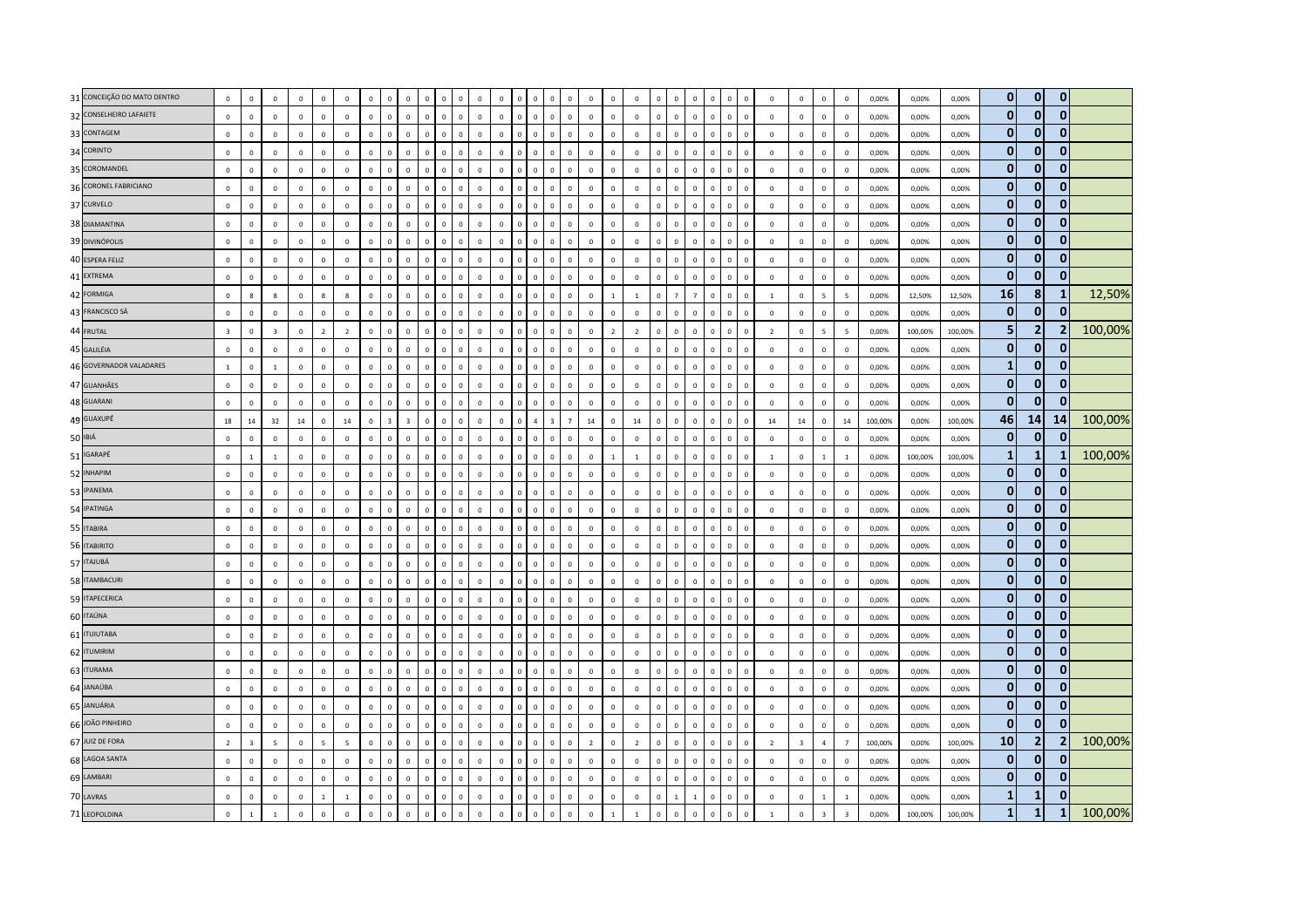|         | 31 CONCEIÇÃO DO MATO DENTRO | $\mathbf 0$             | $\mathbf 0$             | $\mathbf 0$             | $\mathbb O$  | $\mathbf 0$             | $\overline{0}$ | $\mathbf 0$  | $\mathbf 0$    | $\mathbf 0$             | $\overline{0}$          | $\mathbf 0$<br>$\mathbf 0$   | $\overline{0}$ | $\mathbf 0$    |                | $\mathbf 0$                 |                | $\mathbf 0$             | $\mathbf 0$    | $\mathbf 0$    | $\mathbf 0$  | $\overline{0}$          | $\mathbf 0$    | $\Omega$<br>$\mathbf 0$                | $\mathbf{0}$ | $\,0\,$                 | $\mathbf 0$             | $\mathbf 0$             | $\mathbf 0$             | 0,00%   | 0,00%   | 0,00%   | $\bf{0}$     | $\mathbf{0}$   | $\mathbf{0}$ |         |
|---------|-----------------------------|-------------------------|-------------------------|-------------------------|--------------|-------------------------|----------------|--------------|----------------|-------------------------|-------------------------|------------------------------|----------------|----------------|----------------|-----------------------------|----------------|-------------------------|----------------|----------------|--------------|-------------------------|----------------|----------------------------------------|--------------|-------------------------|-------------------------|-------------------------|-------------------------|---------|---------|---------|--------------|----------------|--------------|---------|
|         | 32 CONSELHEIRO LAFAIETE     | $\mathbf 0$             | $\mathbf 0$             | $\mathsf 0$             | $\mathbb O$  | $\mathbf 0$             | $\mathbb O$    | $\mathbf 0$  | $\mathbf 0$    | $\mathbf 0$             | $\,$ 0                  | $\mathbf 0$<br>$\mathbf{0}$  | $\overline{0}$ | $\overline{0}$ | $\mathbf 0$    | $\mathbf 0$<br>$\mathbf 0$  | $\mathbf 0$    | $\mathbf 0$             | $\mathbf 0$    | $\overline{0}$ | $\mathbf 0$  | $\circ$                 | $\mathbf 0$    | $\mathbf 0$<br>$\mathbf 0$             | $\mathbf{0}$ | $\mathbf 0$             | $\mathbf 0$             | $\mathbf 0$             | $\mathbf 0$             | 0,00%   | 0,00%   | 0,00%   | $\mathbf 0$  | $\mathbf{0}$   | $\bf{0}$     |         |
|         | 33 CONTAGEM                 | $\mathbf 0$             | $\mathbf 0$             | $\mathsf 0$             | $\mathbb O$  | $\mathbf 0$             | $\mathbb O$    | $\mathbf 0$  | $\mathbf 0$    | $\mathbb O$             | $\overline{0}$          | $\mathbf 0$<br>$\mathbf 0$   | $\overline{0}$ | $\mathbf 0$    | $\Omega$       | $\mathbf 0$<br>$\Omega$     | $\Omega$       | $\mathbf 0$             | $\mathbf 0$    | $\mathsf 0$    | $\mathbf 0$  | $\overline{0}$          | $\mathbf 0$    | $\mathbf 0$<br>$\overline{0}$          | $\Omega$     | $\mathbf 0$             | $\mathbf 0$             | $\mathbf 0$             | $\mathbf 0$             | 0,00%   | 0,00%   | 0,00%   | $\mathbf 0$  | $\mathbf{0}$   | $\Omega$     |         |
|         | 34 CORINTO                  | $\mathbb O$             | $\mathbf 0$             | $\mathsf 0$             | $\mathbb O$  | $\mathsf 0$             | $\mathbb O$    | $\mathbf{0}$ | $\mathbf{0}$   | $\mathbb O$             | $\Omega$                | $\mathbf 0$<br>$\mathbf{0}$  | $\mathbf 0$    | $\mathbb O$    | $\Omega$       | $\mathbf 0$<br>$\Omega$     | $\Omega$       | $\mathbf 0$             | $\mathbf{0}$   | $\mathbf 0$    | $\mathbf 0$  | $\,$ 0                  | $\Omega$       | $\mathbf{0}$<br>$\Omega$               | $\Omega$     | $\mathbf 0$             | $\mathbf 0$             | $\mathbb O$             | $\mathbf 0$             | 0,00%   | 0,00%   | 0,00%   | $\mathbf 0$  | $\mathbf{0}$   | $\Omega$     |         |
|         | 35 COROMANDEL               | $\mathbf 0$             | $\mathbf 0$             | $\mathsf 0$             | $\mathbb O$  | $\mathbf 0$             | $\mathbb O$    | $\mathbf 0$  | $\mathbf{0}$   | $\mathbf 0$             | $\overline{0}$          | $\mathbf 0$<br>$\mathbf{0}$  | $\overline{0}$ | $\overline{0}$ | $\overline{0}$ | $\mathbf 0$<br>$\mathbf 0$  | $\mathbf 0$    | $\mathbf 0$             | $\mathbf 0$    | $\mathbf 0$    | $\mathbf 0$  | $\mathbf 0$             | $\mathbf 0$    | $\mathbf 0$<br>$\mathbf 0$             | $\mathbf{0}$ | $\mathbf 0$             | $\mathbf 0$             | $\mathbf 0$             | $\mathbf 0$             | 0,00%   | 0,00%   | 0,00%   | $\bf{0}$     | $\mathbf 0$    | $\Omega$     |         |
|         | 36 CORONEL FABRICIANO       | $\mathbf 0$             | $\mathbf 0$             | $\mathsf 0$             | $\mathbb O$  | $\mathbf 0$             | $\mathbb O$    | $\mathbf 0$  | $\mathbf{0}$   | $\mathbb O$             | $\overline{0}$          | $\mathbf 0$<br>$\mathbf 0$   | $\overline{0}$ | $\overline{0}$ | $\Omega$       | $\mathbf 0$                 | $\overline{0}$ | $\overline{0}$          | $\mathbf 0$    | $\mathbf 0$    | $\mathbf{0}$ | $\mathbf 0$             | $\mathbf 0$    | $\mathbf 0$<br>$\overline{0}$          | $\mathbf{0}$ | $\mathbf 0$             | $\mathbf 0$             | $\mathbf 0$             | $\,0\,$                 | 0,00%   | 0,00%   | 0,00%   | $\bf{0}$     | $\mathbf{0}$   | $\bf{0}$     |         |
|         | 37 CURVELO                  | $\mathbf 0$             | $\Omega$                | $\mathbf{0}$            | $\mathbf 0$  | $\Omega$                | $\mathbf 0$    | $\mathbf{0}$ | $\Omega$       | $\circ$                 | $\Omega$                | $\mathbf{0}$<br>$\Omega$     | $\mathbf{0}$   | $\Omega$       | $\Omega$       | $\Omega$<br>$\Omega$        | $\Omega$       | $\Omega$                | $\mathbf{0}$   | $\Omega$       | $\Omega$     | $\overline{0}$          | $\Omega$       | $\mathbf{0}$<br>$\Omega$               | $\Omega$     | $\mathbf{0}$            | $\Omega$                | $\circ$                 | $\mathbf{0}$            | 0.00%   | 0,00%   | 0,00%   | $\mathbf 0$  | $\mathbf{0}$   | $\mathbf{0}$ |         |
|         | 38 DIAMANTINA               | $\mathbf 0$             | $\mathbf 0$             | $\mathbf 0$             | $\mathbb O$  | $\mathsf 0$             | $\mathbf 0$    | $\Omega$     | $\mathbf 0$    | $\mathbf 0$             | $\overline{\mathbf{0}}$ | $\circ$<br>$\mathbf 0$       | $\overline{0}$ | $\overline{0}$ | $\Omega$       | $\mathbf 0$<br>$\Omega$     | $\circ$        | $\mathbf 0$             | $\Omega$       | $\overline{0}$ | $\mathbf 0$  | $\overline{0}$          | $^{\circ}$     | $\overline{\mathbf{0}}$<br>$\mathbf 0$ | $\mathbf{0}$ | $\,0\,$                 | $\mathbf 0$             | $\mathbf 0$             | $\,0\,$                 | 0,00%   | 0,00%   | 0,00%   | $\bf{0}$     | $\mathbf{0}$   | $\mathbf{0}$ |         |
|         | 39 DIVINÓPOLIS              | $\mathbf 0$             | $\mathbf 0$             | $\mathsf 0$             | $\mathbf 0$  | $\mathbf 0$             | $\overline{0}$ | $\mathbf 0$  | $\mathbf{0}$   | $\mathbb O$             | $\overline{0}$          | $\mathbf 0$<br>$\mathbf 0$   | $\overline{0}$ | $\mathbf 0$    | $\overline{0}$ | $\mathbf 0$                 | $\overline{0}$ | $\overline{0}$          | $\mathbf 0$    | $\mathbf 0$    | $\mathbf 0$  | $\overline{0}$          | $\mathbf 0$    | $\mathbf 0$<br>$\overline{0}$          | $\mathbf{0}$ | $\mathbf 0$             | $\mathbf 0$             | $\mathbf 0$             | $\mathbf 0$             | 0,00%   | 0,00%   | 0,00%   | $\mathbf 0$  | $\mathbf{0}$   | $\Omega$     |         |
|         | 40 ESPERA FELIZ             | $\mathbf 0$             | $\mathbf 0$             | $\mathsf 0$             | $\mathbb O$  | $\mathbf 0$             | $\mathbb O$    | $\mathbf 0$  | $\mathbf 0$    | $\mathbf 0$             | $\overline{\mathbf{0}}$ | $\circ$<br>$\mathbf 0$       | $\overline{0}$ | $\mathbf 0$    | $\overline{0}$ | $\mathbf 0$<br>$\mathbf{0}$ | $\mathbf 0$    | $\mathbf 0$             | $\mathbf 0$    | $\mathbf 0$    | $\mathbf 0$  | $\mathbf 0$             | $\mathsf 0$    | $\overline{0}$<br>$\mathbf 0$          | $\mathbf{0}$ | $\mathbf 0$             | $\mathbf 0$             | $\mathbf 0$             | $\mathbf 0$             | 0,00%   | 0,00%   | 0,00%   | $\bf{0}$     | $\mathbf{0}$   | $\Omega$     |         |
|         | 41 EXTREMA                  | $\mathbf{0}$            | $\mathbf{0}$            | $\mathbf{0}$            | $\mathbf 0$  | $\Omega$                | $\mathbf 0$    | $\Omega$     | $\Omega$       | $\mathbf{0}$            | $\Omega$                | $\mathbf{0}$<br>$\Omega$     | $\Omega$       | $\Omega$       | $\Omega$       | $\Omega$<br>$\Omega$        | $\Omega$       | $\Omega$                | $\Omega$       | $\Omega$       | $\Omega$     | $\Omega$                | $\Omega$       | $\Omega$<br>$\Omega$                   | $\Omega$     | $\mathbf{0}$            | $\Omega$                | $\mathbf 0$             | $\mathbf{0}$            | 0.00%   | 0.00%   | 0.00%   | $\mathbf{0}$ | $\mathbf{0}$   | $\Omega$     |         |
|         | 42 FORMIGA                  | $\mathbf 0$             | $\boldsymbol{8}$        | $\mathbf{g}$            | $\mathbf 0$  | 8                       | $\mathbf{g}$   | $\Omega$     | $\Omega$       | $\mathbf 0$             | $\overline{0}$          | $\Omega$<br>$\Omega$         | $\mathbf 0$    | $\overline{0}$ | $\Omega$       | $\mathbf 0$<br>$\Omega$     | $\Omega$       | $\overline{0}$          | $\overline{1}$ | $\overline{1}$ | $\mathbf 0$  | $\overline{7}$          | $\overline{7}$ | $\Omega$<br>$\Omega$                   | $\Omega$     | $\overline{1}$          | $\mathbf 0$             | $\overline{\mathbf{5}}$ | $\overline{5}$          | 0,00%   | 12,50%  | 12,50%  | 16           | 8              | 1            | 12,50%  |
|         | 43 FRANCISCO SÁ             | $\mathbf 0$             | $\,0\,$                 | $\mathsf 0$             | $\mathbb O$  | $\mathbf 0$             | $\mathbb O$    | $\mathbf 0$  | $\mathbf 0$    | $\mathbf 0$             | $\,$ 0                  | $\circ$<br>$\mathbf 0$       | $\,0\,$        | $\overline{0}$ | $\mathbf 0$    | $\mathbf 0$<br>$\mathbf 0$  | $\mathsf 0$    | $\mathbf 0$             | $\mathbf 0$    | $\mathsf 0$    | $\mathbf 0$  | $\mathbf 0$             | $\mathbf 0$    | $\,$ 0<br>$\mathbf 0$                  | $\mathbf 0$  | $\mathbf 0$             | $\mathbf 0$             | $\mathbb O$             | $\mathbf 0$             | 0,00%   | 0,00%   | 0,00%   | $\mathbf 0$  | $\mathbf{0}$   |              |         |
|         | 44 FRUTAL                   | $\overline{\mathbf{3}}$ | $\mathbf 0$             | $\overline{\mathbf{3}}$ | $\mathbb O$  | $\overline{2}$          | $\overline{2}$ | $\mathbf{0}$ | $\Omega$       | $\mathbb O$             | $\Omega$                | $\mathbf{0}$<br>$\Omega$     | $\overline{0}$ | $\mathbf 0$    | $\Omega$       | $\mathbf 0$<br>$\Omega$     | $\Omega$       | $\Omega$                | $\overline{2}$ | $\overline{2}$ | $\mathbf 0$  | $\mathbf{0}$            | $\Omega$       | $\Omega$<br>$\Omega$                   | $\Omega$     | $\overline{2}$          | $\mathbf 0$             | $\overline{5}$          | $\overline{5}$          | 0,00%   | 100,00% | 100,00% | 5            | $\mathbf 2$    |              | 100,00% |
|         | 45 GALILÉIA                 | $\mathbf{0}$            | $\mathbf{0}$            | $\mathbf{0}$            | $\mathbb O$  | $\Omega$                | $\mathbf 0$    | $\mathbf{0}$ | $\Omega$       | $\mathbf{0}$            | $\Omega$                | $\mathbf{0}$<br>$\mathbf 0$  | $\mathbf 0$    | $\mathbf 0$    | $\Omega$       | $\mathbf{0}$<br>$\Omega$    | $\Omega$       | $\mathbf 0$             | $\mathbf{0}$   | $\mathbf 0$    | $\mathbf{0}$ | $\overline{0}$          | $\Omega$       | $\overline{0}$<br>$\circ$              | $\Omega$     | $\mathbf{0}$            | $\mathbf 0$             | $\mathbf 0$             | $\,$ 0                  | 0,00%   | 0,00%   | 0,00%   | $\mathbf 0$  | $\mathbf{0}$   | $\Omega$     |         |
|         | 46 GOVERNADOR VALADARES     | $\mathbf{1}$            | $\mathbf 0$             | $\overline{1}$          | $\mathbf 0$  | $\mathbf 0$             | $\mathbb O$    | $\mathbf 0$  | $\mathbf{0}$   | $\mathbf 0$             | $\overline{0}$          | $\mathbf 0$<br>$\mathbf 0$   | $\overline{0}$ | $\overline{0}$ | $\overline{0}$ | $\mathbf 0$<br>$\Omega$     | $\Omega$       | $\mathbf 0$             | $\Omega$       | $\mathbf 0$    | $\mathbf 0$  | $\mathbf 0$             | $\mathbf 0$    | $\overline{0}$<br>$\mathbf 0$          | $\mathbf{0}$ | $\mathbf 0$             | $\mathbf 0$             | $\mathbb O$             | $\,$ 0                  | 0,00%   | 0,00%   | 0,00%   | $\mathbf{1}$ | $\mathbf{0}$   | $\Omega$     |         |
|         | 47 GUANHÃES                 | $\mathbf 0$             | $\mathbf 0$             | $\,0\,$                 | $\mathbf 0$  | $\mathbf 0$             | $\mathbb O$    | $\mathbf 0$  | $\mathbf{0}$   | $\mathbb O$             | $\overline{0}$          | $\Omega$<br>$\mathbf 0$      | $\mathbf 0$    | $\mathbf 0$    | $\Omega$       | $\mathbf 0$                 | $\mathbf 0$    | $\mathbf 0$             | $\mathbf 0$    | $\mathbf 0$    | $\mathbf 0$  | $\mathbf 0$             | $\mathbf 0$    | $\mathbbmss{0}$ .<br>$\overline{0}$    | $\mathbf{0}$ | $\,$ 0                  | $\mathbf 0$             | $\mathbb O$             | $\mathbf 0$             | 0,00%   | 0,00%   | 0,00%   | $\mathbf 0$  | $\mathbf 0$    | $\Omega$     |         |
|         | 48 GUARANI                  | $\mathbf 0$             | $\mathbf 0$             | $\mathsf 0$             | $\mathbb O$  | $\mathbf 0$             | $\mathbf 0$    | $\mathbf 0$  | $\mathbf 0$    | $\mathbf 0$             | $\mathbf 0$             | $\mathbf{0}$<br>$\mathbf 0$  | $\overline{0}$ | $\mathbf 0$    | $\Omega$       | $\mathbf 0$<br>$\Omega$     | $\Omega$       | $\mathbf 0$             | $\mathbf{0}$   | $\mathbf 0$    | $\mathbf 0$  | $\overline{0}$          | $\mathbf 0$    | $\Omega$<br>$\mathbf{0}$               | $\mathbf{0}$ | $\mathbf 0$             | $\mathbf 0$             | $\mathbf 0$             | $\mathbf 0$             | 0,00%   | 0,00%   | 0,00%   | $\mathbf 0$  | $\mathbf{0}$   |              |         |
|         | 49 GUAXUPÉ                  | 18                      | 14                      | 32                      | 14           | $\mathbf 0$             | 14             | $\Omega$     | $\overline{3}$ | $\overline{\mathbf{3}}$ | $\Omega$                | $\Omega$<br>$\Omega$         | $\mathbf{0}$   | $\Omega$       | $\Omega$       | $\overline{3}$              | $\overline{7}$ | 14                      | $\Omega$       | $14\,$         | $\Omega$     | $\Omega$                | $\Omega$       | $\Omega$<br>$\Omega$                   | $\Omega$     | 14                      | 14                      | $\mathbb O$             | 14                      | 100,00% | 0.00%   | 100,00% | 46           | 14             | 14           | 100,00% |
| 50 IBIÁ |                             | $\mathbf 0$             | $\mathbf 0$             | $\,0\,$                 | $\mathbf 0$  | $\,0\,$                 | $\mathbb O$    | $\mathbf 0$  | $\mathbf{0}$   | $\mathbb O$             | $\overline{0}$          | $\mathbf 0$<br>$\mathbf 0$   | $\mathbf 0$    | $\mathbf 0$    | $\overline{0}$ | $\mathbf 0$<br>$\Omega$     | $\Omega$       | $\overline{0}$          | $\mathbf 0$    | $\mathbf 0$    | $\mathbf 0$  | $\,$ 0                  | $\mathbf 0$    | $\mathbf 0$<br>$\overline{0}$          | $\mathbf{0}$ | $\,$ 0                  | $\mathbf 0$             | $\mathbb O$             | $\mathbf 0$             | 0,00%   | 0,00%   | 0,00%   | $\bf{0}$     | $\mathbf{0}$   | $\Omega$     |         |
|         | 51 IGARAPÉ                  | $\mathbf 0$             | $\mathbf{1}$            | $\,$ 1 $\,$             | $\mathbb O$  | $\mathbf 0$             | $\mathbb O$    | $\mathbf 0$  | $\mathbb O$    | $\,0\,$                 | $\,$ 0                  | $\mathbf 0$<br>$\,0\,$       | $\overline{0}$ | $\overline{0}$ | $\Omega$       | $\mathbf 0$<br>$\Omega$     | $\mathbf{0}$   | $\mathbf 0$             | $\overline{1}$ | $\overline{1}$ | $\mathbf 0$  | $\mathbf 0$             | $\mathbf 0$    | $\,$ 0<br>$\mathbf{0}$                 | $\mathbf{0}$ | $\,$ 1                  | $\mathbf 0$             | $\mathbf{1}$            | $\,$ 1                  | 0,00%   | 100,00% | 100,00% | $\mathbf{1}$ | $\mathbf{1}$   |              | 100,00% |
|         | 52 INHAPIM                  | $\mathbf 0$             | $\mathbf 0$             | $\mathbf 0$             | $\mathbb O$  | $\mathbf 0$             | $\mathbf 0$    | $\mathbf{0}$ | $\Omega$       | $\mathbf 0$             | $\Omega$                | $\Omega$<br>$\Omega$         | $\overline{0}$ | $\mathbf 0$    | $\Omega$       | $\mathbf 0$                 | $\Omega$       | $\mathbf 0$             | $\mathbf 0$    | $\mathbf 0$    | $\mathbf{0}$ | $\overline{0}$          | $\mathbf 0$    | $\Omega$<br>$\Omega$                   | $\Omega$     | $\mathbf 0$             | $\mathbf 0$             | $\mathbb O$             | $\mathbf 0$             | 0,00%   | 0,00%   | 0,00%   | $\mathbf 0$  | $\mathbf{0}$   | $\Omega$     |         |
|         | 53 IPANEMA                  | $\mathbb O$             | $\mathbf 0$             | $\Omega$                | $\mathbb O$  | $\mathbf 0$             | $\Omega$       | $\Omega$     | $\mathbf{0}$   | $\mathbb O$             | $\Omega$                | $\mathbf{0}$<br>$\mathbf{0}$ | $\mathbf 0$    | $\overline{0}$ | $\Omega$       | $\mathbf{0}$<br>$\Omega$    | $\Omega$       | $\Omega$                | $\Omega$       | $\overline{0}$ | $\mathbf{0}$ | $\overline{0}$          | $\Omega$       | $\Omega$<br>$\Omega$                   | $\Omega$     | $\mathbf 0$             | $\mathbf 0$             | $\mathbb O$             | $\mathbf 0$             | 0,00%   | 0,00%   | 0,00%   | $\mathbf 0$  | $\mathbf{0}$   | $\mathbf{0}$ |         |
|         | 54 IPATINGA                 | $\mathbf 0$             | $\mathbf 0$             | $\mathbf{0}$            | $\mathbb O$  | $\mathbf 0$             | $\mathbb O$    | $\Omega$     | $\mathbf 0$    | $\mathbf 0$             | $\overline{\mathbf{0}}$ | $\circ$<br>$\mathbf 0$       | $\,0\,$        | $\mathbf 0$    | $\overline{0}$ | $\mathbf 0$<br>$^{\circ}$   | $\mathbf{0}$   | $\mathbf 0$             | $\Omega$       | $\mathsf 0$    | $\mathbf 0$  | $\overline{0}$          | $\mathbf 0$    | $\overline{\mathbf{0}}$<br>0           | $\mathbf{0}$ | $\mathbf 0$             | $\mathsf 0$             | $\mathbb O$             | $\,0\,$                 | 0,00%   | 0,00%   | 0,00%   | $\mathbf 0$  | $\mathbf{0}$   | 0            |         |
|         | 55 ITABIRA                  | $\mathbb O$             | $\mathbf 0$             | $\mathsf 0$             | $\mathbf 0$  | $\mathbf 0$             | $\mathbb O$    | $\mathbf 0$  | $\mathbf{0}$   | $\mathbb O$             | $\overline{0}$          | $\mathbf 0$<br>$\mathbf 0$   | $\mathbf 0$    | $\overline{0}$ | $\Omega$       | $\mathbf 0$                 | $\Omega$       | $\mathbf 0$             | $\mathbf 0$    | $\overline{0}$ | $\mathbf 0$  | $\,$ 0                  | $\mathbf 0$    | $\mathbf 0$<br>$\overline{0}$          | $\mathbf{0}$ | $\mathbf 0$             | $\mathbf 0$             | $\mathbb O$             | $\mathbf 0$             | 0,00%   | 0,00%   | 0,00%   | $\mathbf 0$  | $\mathbf{0}$   | $\Omega$     |         |
|         | 56 ITABIRITO                | $\mathbf 0$             | $\mathbf 0$             | $\mathsf 0$             | $\mathbb O$  | $\mathbf{0}$            | $\mathbb O$    | $\mathbf 0$  | $\mathbf 0$    | $\mathbf 0$             | $\overline{0}$          | $\mathbf 0$<br>$\mathbf 0$   | $\mathbf 0$    | $\overline{0}$ | $\overline{0}$ | $\mathbf 0$<br>$\Omega$     | $\mathbf 0$    | $\mathbf 0$             | $\mathbf 0$    | $\overline{0}$ | $\mathbf 0$  | $\mathbf 0$             | $\mathbf 0$    | $\mathbf 0$<br>$\mathbf{0}$            | $\mathbf{0}$ | $\mathbf 0$             | $\mathbf 0$             | $\mathbf 0$             | $\mathbf 0$             | 0,00%   | 0,00%   | 0,00%   | $\bf{0}$     | $\mathbf{0}$   | $\bf{0}$     |         |
|         | 57 ITAJUBÁ                  | $\mathbf 0$             | $\mathbf 0$             | $\Omega$                | $\mathbb O$  | $\mathbf 0$             | $\mathbb O$    | $\Omega$     | $\Omega$       | $\mathbb O$             | $\Omega$                | $\Omega$<br>$\Omega$         | $\overline{0}$ | $\mathbf 0$    | $\Omega$       | $\mathbf 0$<br>$\Omega$     | $\Omega$       | $\Omega$                | $\Omega$       | $\Omega$       | $\mathbf 0$  | $\mathbf{0}$            | $\Omega$       | $\Omega$<br>$\Omega$                   | $\Omega$     | $\mathbf 0$             | $\mathbf 0$             | $\mathbb O$             | $\mathbf 0$             | 0,00%   | 0.00%   | 0.00%   | $\bf{0}$     | $\mathbf 0$    | $\Omega$     |         |
|         | 58 ITAMBACURI               | $\mathbf 0$             | $\mathbf{0}$            | $\Omega$                | $\mathbb O$  | $\mathbf 0$             | $\mathbf 0$    | $\Omega$     | $\mathbf{0}$   | $\mathbb O$             | $\Omega$                | $\Omega$<br>$\Omega$         | $\,0\,$        | $\Omega$       | $\Omega$       | $\Omega$<br>$\Omega$        | $\Omega$       | $\Omega$                | $\Omega$       | $\mathbf 0$    | $\mathbf{0}$ | $\overline{0}$          | $\Omega$       | $\Omega$<br>$\Omega$                   | $\Omega$     | $\mathbf{0}$            | $\mathbf 0$             | $\mathbb O$             | $\,0\,$                 | 0,00%   | 0,00%   | 0,00%   | $\mathbf 0$  | $\mathbf{0}$   | $\mathbf{0}$ |         |
|         | 59 ITAPECERICA              | $\mathbf 0$             | $\mathbf 0$             | $\mathbf 0$             | $\mathbf 0$  | $\mathbf 0$             | $\mathbb O$    | $\mathbf 0$  | $\mathbf 0$    | $\mathbf 0$             | $\,$ 0                  | $\mathbf 0$<br>$\mathbf 0$   | $\overline{0}$ | $\mathbf 0$    | $\Omega$       | $\mathbf 0$<br>$\Omega$     | $\mathsf 0$    | $\mathbf 0$             | $\mathbf 0$    | $\mathbf 0$    | $\mathbf 0$  | $\mathbf 0$             | $\mathsf 0$    | $\mathbf 0$<br>$\mathbf 0$             | $\mathbf{0}$ | $\mathbf 0$             | $\mathbf 0$             | $\mathbb O$             | $\mathbf 0$             | 0,00%   | 0,00%   | 0,00%   | $\mathbf 0$  | $\mathbf{0}$   | $\mathbf{0}$ |         |
|         | 60 ITAÚNA                   | $\mathbf 0$             | $\mathbf 0$             | $\mathsf 0$             | $\mathbb O$  | $\mathbf 0$             | $\mathbb O$    | $\mathbf 0$  | $\Omega$       | $\mathbf 0$             | $\overline{0}$          | $\mathbf 0$<br>$\mathbf 0$   | $\overline{0}$ | $\mathbf 0$    | $\Omega$       | $\mathbf 0$<br>$\Omega$     | $\Omega$       | $\mathbf 0$             | $\mathbf 0$    | $\mathbf 0$    | $\mathbf{0}$ | $\overline{0}$          | $\mathbf 0$    | $\mathbf 0$<br>$\overline{0}$          | $\Omega$     | $\mathbf 0$             | $\mathbf 0$             | $\mathbf 0$             | $\mathbf 0$             | 0,00%   | 0,00%   | 0,00%   | $\mathbf 0$  | $\mathbf{0}$   | $\mathbf{0}$ |         |
|         | 61 <b>ITUIUTABA</b>         | $\mathbf 0$             | $\mathbf 0$             | $\mathsf 0$             | $\mathbb O$  | $\mathbf 0$             | $\mathbb O$    | $\Omega$     | $\mathbf 0$    | $\mathbb O$             | $\Omega$                | $\mathbf 0$<br>$\mathbf 0$   | $\mathbf 0$    | $\mathbb O$    | $\Omega$       | $\mathbf 0$<br>$\Omega$     | $\Omega$       | $\overline{0}$          | $\Omega$       | $\mathbf 0$    | $\mathbf 0$  | $\overline{\mathbf{0}}$ | $\mathbf 0$    | $\overline{0}$<br>$\mathbf 0$          | $\Omega$     | $\mathbf 0$             | $\mathbf 0$             | $\mathbb O$             | $\mathbf 0$             | 0,00%   | 0,00%   | 0,00%   | $\bf{0}$     | $\bf{0}$       | $\mathbf{0}$ |         |
|         | 62 ITUMIRIM                 | $\mathbf 0$             | $\mathbf 0$             | $\mathbf 0$             | $\mathbb O$  | $\mathsf 0$             | $\mathbb O$    | $\Omega$     | $\Omega$       | $\mathbf 0$             | $\Omega$                | $\mathbf{0}$<br>$\mathbf 0$  | $\overline{0}$ | $\mathbb O$    | $\Omega$       | $\mathbf 0$<br>$\Omega$     | $\Omega$       | $\mathbf 0$             | $\Omega$       | $\mathsf 0$    | $\mathbf 0$  | $\overline{0}$          | $\mathsf 0$    | $\,$ 0<br>$\mathbf 0$                  | $\mathbf{0}$ | $\mathbf 0$             | $\mathbf 0$             | $\mathbf 0$             | $\mathbf 0$             | 0,00%   | 0,00%   | 0,00%   | $\bf{0}$     | $\mathbf 0$    | $\mathbf{0}$ |         |
|         | 63 ITURAMA                  | $\mathbf 0$             | $\mathbf 0$             | $\mathsf 0$             | $\mathbb O$  | $\mathbf 0$             | $\mathbb O$    | $\mathbf 0$  | $\Omega$       | $\mathbf 0$             | $\overline{0}$          | $\Omega$<br>$\Omega$         | $\overline{0}$ | $\mathbf 0$    |                | $\mathbf 0$                 | $\Omega$       | $\overline{0}$          | $\mathbf 0$    | $\overline{0}$ | $\mathbf{0}$ | $\overline{\mathbf{0}}$ | $\mathbf 0$    | $\Omega$<br>$\overline{0}$             | $\Omega$     | $\mathbf 0$             | $\mathbf 0$             | $\mathbf 0$             | $\mathbf 0$             | 0,00%   | 0,00%   | 0,00%   | $\mathbf 0$  | $\mathbf{0}$   | $\Omega$     |         |
|         | 64 JANAÚBA                  | $\mathbb O$             | $\mathbf 0$             | $\mathsf 0$             | $\mathbb O$  | $\mathbf{0}$            | $\Omega$       | $\mathbf 0$  | $\mathbf{0}$   | $\mathbf 0$             | $\mathbf 0$             | $\mathbf{0}$<br>$\mathbf 0$  | $\mathbf 0$    | $\overline{0}$ | $\Omega$       | $\mathbf 0$<br>$\Omega$     | $\Omega$       | $\overline{0}$          | $\mathbf 0$    | $\overline{0}$ | $\mathbf 0$  | $\,$ 0                  | $\mathbf 0$    | $\overline{0}$<br>$\mathbf{0}$         | $\mathbf{0}$ | $\mathbf 0$             | $\mathbf 0$             | $\mathbf 0$             | $\mathbf 0$             | 0,00%   | 0,00%   | 0,00%   | $\bf{0}$     | $\mathbf{0}$   | $\mathbf{0}$ |         |
|         | 65 JANUÁRIA                 | $\mathbf{0}$            | $\mathbf{0}$            | $\mathbf{0}$            | $\mathbf 0$  | $\Omega$                | $\mathbf 0$    | $\mathbf{0}$ | $\Omega$       | $\mathbf{0}$            | $\Omega$                | $\mathbf{0}$<br>$\Omega$     | $\Omega$       | $\Omega$       | $\Omega$       | $\Omega$<br>$\Omega$        | $\Omega$       | $\Omega$                | $\mathbf{0}$   | $\Omega$       | $\Omega$     | $\mathbf{0}$            | $\Omega$       | $\Omega$<br>$\Omega$                   | $\Omega$     | $\mathbf{0}$            | $\Omega$                | $\mathbf 0$             | $\mathbf{0}$            | 0.00%   | 0.00%   | 0.00%   | $\mathbf 0$  | $\mathbf{0}$   | $\Omega$     |         |
|         | 66 JOÃO PINHEIRO            | $\mathbb O$             | $\mathbf 0$             | $\mathsf 0$             | $\,0\,$      | $\mathsf 0$             | $\mathbb O$    | $\mathbf{0}$ | $\mathbf 0$    | $\mathbf 0$             | $\overline{\mathbf{0}}$ | $\mathbf{0}$<br>$\mathbf 0$  | $\mathbf 0$    | $\mathbf 0$    | $\Omega$       | $\mathbf 0$<br>$\Omega$     | $\Omega$       | $\overline{\mathbf{0}}$ | $\mathbf{0}$   | $\mathsf 0$    | $\mathbf 0$  | $\overline{0}$          | $\mathbf{0}$   | $\mathbf{0}$<br>$\Omega$               | $\,0\,$      | $\overline{\mathbf{0}}$ | $\mathbf 0$             | $\mathbb O$             | $\,0\,$                 | 0,00%   | 0,00%   | 0,00%   | $\bf{0}$     | $\mathbf{0}$   | $\Omega$     |         |
|         | 67 JUIZ DE FORA             | $\overline{2}$          | $\overline{\mathbf{3}}$ | $\overline{5}$          | $\mathbb O$  | $\overline{\mathbf{5}}$ | $\overline{5}$ | $\mathbf 0$  | $\mathbf 0$    | $\mathbf 0$             | $\overline{\mathbf{0}}$ | $\mathbf 0$<br>$\mathbf{0}$  | $\overline{0}$ | $\overline{0}$ | $\overline{0}$ | $\mathbf 0$<br>$\mathbf 0$  | $\mathbf 0$    | $\overline{2}$          | $\mathbf 0$    | $\overline{2}$ | $\mathbf 0$  | $\circ$                 | $\mathbf 0$    | $\mathbf 0$<br>$\mathbf 0$             | $\mathbf{0}$ | $\overline{2}$          | $\overline{\mathbf{3}}$ | $\overline{4}$          | $\overline{7}$          | 100,00% | 0,00%   | 100,00% | 10           | $\overline{2}$ |              | 100,00% |
|         | 68 LAGOA SANTA              | $\mathbf 0$             | $\mathbf 0$             | $\mathsf 0$             | $\mathbb O$  | $\mathbf 0$             | $\mathbb O$    | $\mathbf 0$  | $\Omega$       | $\mathbf 0$             | $\overline{0}$          | $\mathbf 0$<br>$\mathbf 0$   | $\overline{0}$ | $\mathbf 0$    | $\Omega$       | $\mathbf 0$                 | $\Omega$       | $\mathbf 0$             | $\mathbf 0$    | $\mathbf{0}$   | $\mathbf{0}$ | $\overline{0}$          | $\mathbf 0$    | $\overline{0}$<br>$\mathbf 0$          | $\Omega$     | $\mathbf 0$             | $\mathbf 0$             | $\mathbb O$             | $\,$ 0 $\,$             | 0,00%   | 0,00%   | 0,00%   | $\mathbf 0$  | $\mathbf 0$    | 0            |         |
|         | 69 LAMBARI                  | $\mathbf{0}$            | $\mathbf{0}$            | $\mathbf{0}$            | $\mathbf 0$  | $\mathbf{0}$            | $\mathbf 0$    | $\mathbf{0}$ | $\mathbf{0}$   | $\mathbf{0}$            | $\Omega$                | $\mathbf{0}$<br>$\mathbf 0$  | $\mathbf{0}$   | $\mathbf 0$    | $\Omega$       | $\mathbf{0}$<br>$\Omega$    | $\Omega$       | $\mathbf{0}$            | $\mathbf{0}$   | $\Omega$       | $\mathbf{0}$ | $\overline{0}$          | $\mathbf{0}$   | $\mathbf{0}$<br>$\Omega$               | $\Omega$     | $\mathbf{0}$            | $\Omega$                | $\mathbf 0$             | $\mathbf{0}$            | 0.00%   | 0,00%   | 0.00%   | $\mathbf 0$  | $\mathbf{0}$   | $\mathbf{0}$ |         |
|         | 70 LAVRAS                   | $\mathbf 0$             | $\mathbf 0$             | $\mathsf 0$             | $\mathbb O$  | $\mathbf{1}$            | $\overline{1}$ | $\Omega$     | $\mathbf 0$    | $\,0\,$                 | $\,$ 0                  | $\mathbf 0$<br>$\mathbf 0$   | $\,0\,$        | $\overline{0}$ | $\overline{0}$ | $\mathbf 0$<br>$^{\circ}$   | $\mathsf 0$    | $\mathbf 0$             | $\Omega$       | $\overline{0}$ | $\mathbf 0$  | $\overline{1}$          | $\mathbf{1}$   | $\mathbf 0$<br>$\mathbf 0$             | $\mathbf{0}$ | $\mathbf 0$             | $\mathbf 0$             | $\overline{1}$          | 1                       | 0,00%   | 0,00%   | 0,00%   | $\mathbf{1}$ | $\mathbf{1}$   | $\mathbf{0}$ |         |
|         | 71 LEOPOLDINA               | $\mathbf{0}$            | $\,1\,$                 |                         | $\mathbf{0}$ | $\mathbf 0$             | $\mathbf 0$    |              |                | $\pmb{0}$               | $\overline{0}$          | $\mathbf 0$                  | $\mathbf 0$    | $\mathbf 0$    |                | $\mathbf{0}$                |                | $\overline{0}$          |                |                | $\mathbf{0}$ | $\overline{0}$          | $\mathbf 0$    | $\mathbf 0$<br>$\overline{0}$          | $\mathbf{0}$ |                         | $\mathbf 0$             |                         | $\overline{\mathbf{3}}$ | 0,00%   | 100,00% | 100,00% | $\mathbf{1}$ | $\mathbf{1}$   | 1            | 100,00% |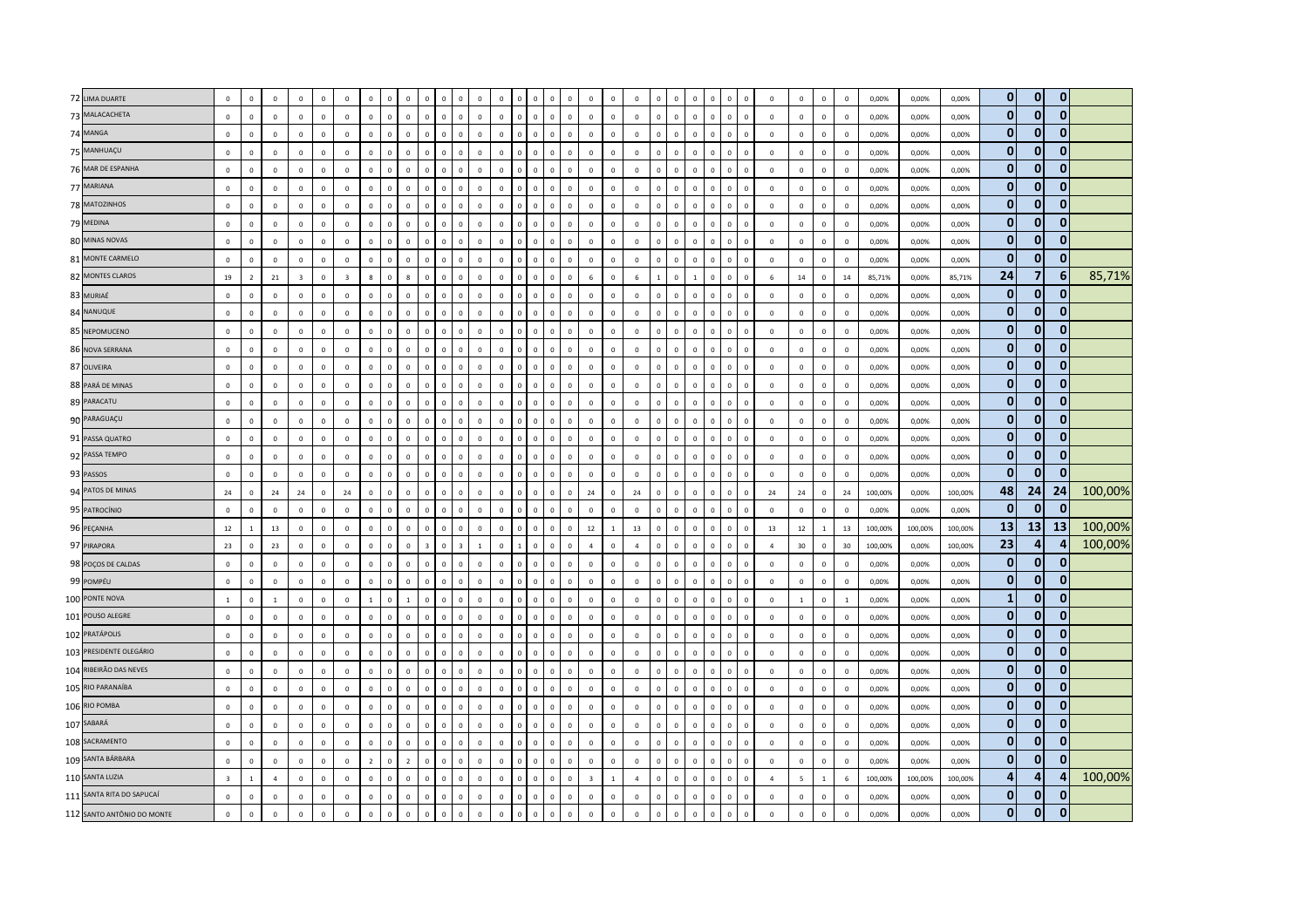| 72 LIMA DUARTE             | $\circ$                 | $\mathbb O$    | $\mathbf 0$  | $\mathbf 0$    | $\mathbf 0$  | $\mathbf 0$             | $\circ$        | $\overline{0}$<br>$\mathbf 0$   |                               | $\Omega$     | $\Omega$                | $\overline{0}$ | $\mathbf 0$                   |                               | $\mathbf 0$  | $\mathbf{0}$   | $\mathbf 0$             | $\mathbf 0$    | $\mathbf{0}$   | $\mathbf 0$    | $\overline{0}$<br>$\mathbf 0$  | $\mathbf{0}$   | $\mathbf 0$  | $\mathbf 0$             | $\mathbf 0$    | $\mathbf 0$    | $\mathbb O$    | $\overline{\mathbf{0}}$ | 0,00%   | 0,00%   | 0,00%   | $\mathbf 0$    | $\mathbf{0}$   | $\mathbf{0}$   |         |
|----------------------------|-------------------------|----------------|--------------|----------------|--------------|-------------------------|----------------|---------------------------------|-------------------------------|--------------|-------------------------|----------------|-------------------------------|-------------------------------|--------------|----------------|-------------------------|----------------|----------------|----------------|--------------------------------|----------------|--------------|-------------------------|----------------|----------------|----------------|-------------------------|---------|---------|---------|----------------|----------------|----------------|---------|
| 73 MALACACHETA             | $\mathbf 0$             | $\mathbb O$    | $\mathbf 0$  | $\mathbf 0$    | $\mathsf 0$  | $\mathbb O$             | $\mathbf 0$    | $\mathbf 0$                     | $\mathbf 0$<br>$\mathsf 0$    | $\mathbb O$  | $\mathbf 0$             | $\mathbf 0$    | $\mathbf 0$                   | $\mathbf 0$<br>$\mathsf 0$    | $\mathbf 0$  | $\mathbf 0$    | $\mathbf 0$             | $\mathbf 0$    | $\mathbf 0$    | $\mathbf 0$    | $\mathbf 0$<br>$\mathbf 0$     | $\overline{0}$ | $\mathbf 0$  | $\mathbf 0$             | $\mathsf 0$    | $\mathbf 0$    | $\mathbf 0$    | $\mathbf 0$             | 0,00%   | 0,00%   | 0,00%   | $\mathbf 0$    | $\mathbf{0}$   | $\mathbf{0}$   |         |
| 74 MANGA                   | $\mathbf 0$             | $\mathbf{0}$   | $\mathbf{0}$ | $\mathbf{0}$   | $\mathbf 0$  | $\mathbb O$             | $\mathbf{0}$   | $\mathbf 0$<br>$\circ$          | $\Omega$                      | $\mathbf 0$  | $\overline{0}$          | $\mathbf 0$    | $\mathbf 0$<br>$\Omega$       | $\Omega$                      | $\mathbf 0$  | $\mathbf{0}$   | $\mathbf 0$             | $\mathbf 0$    | $\mathsf 0$    | $\mathbf 0$    | $\mathbf 0$<br>$\mathsf 0$     | $\circ$        | $\mathbf 0$  | $\mathbf 0$             | $\mathsf 0$    | $\mathbf 0$    | $\mathbb O$    | $\mathbf 0$             | 0,00%   | 0,00%   | 0,00%   | $\bf{0}$       | $\mathbf{0}$   | $\overline{0}$ |         |
| 75 MANHUAÇU                | $\mathbf 0$             | $\mathbb O$    | $\mathbf 0$  | $\mathbf 0$    | $\mathbf 0$  | $\mathbb O$             | $\Omega$       | $\mathbf 0$<br>$\mathbf{0}$     | $\mathbf{0}$                  | $\mathbf{0}$ | $\mathbf 0$             | $\mathbf 0$    | $\mathbf 0$<br>$\Omega$       | $\Omega$                      | $\mathbf 0$  | $\Omega$       | $\circ$                 | $\circ$        | $\mathbf 0$    | $\mathbf{0}$   | $\overline{0}$<br>$\mathbf{0}$ | $\mathbf{0}$   | $\mathbf 0$  | $\mathbf 0$             | $\overline{0}$ | $\mathbf 0$    | $\mathbf 0$    | $\overline{\mathbf{0}}$ | 0,00%   | 0,00%   | 0,00%   | $\bf{0}$       | $\mathbf 0$    | $\mathbf{0}$   |         |
| 76 MAR DE ESPANHA          | $\mathbf 0$             | $\mathbb O$    | $\mathsf 0$  | $\mathbf 0$    | $\mathbf{0}$ | $\mathbb O$             | $\circ$        | $\mathbf 0$                     | $\mathbb O$<br>$\mathbf{0}$   | $\circ$      | $\mathbb O$             | $\mathbf 0$    | $\mathbf 0$                   | $\mathbf 0$<br>$\mathsf 0$    | $\mathbf 0$  | $\mathbf{0}$   | $\mathbf 0$             | $\mathbf 0$    | $\mathbf 0$    | $\mathbf 0$    | $\overline{0}$<br>$\mathbf 0$  | $\mathbf{0}$   | $\mathbf 0$  | $\mathbf 0$             | $\mathsf 0$    | $\mathbf 0$    | $\mathbf 0$    | $\,0\,$                 | 0,00%   | 0,00%   | 0,00%   | $\bf{0}$       | $\bf{0}$       | $\mathbf{0}$   |         |
| 77 MARIANA                 | $\mathbf 0$             | $\mathbf 0$    | $\mathbf 0$  | $\,0\,$        | $\mathbf 0$  | $\mathbb O$             | $\mathbf 0$    | $\mathbf 0$<br>$\circ$          | $\mathbf 0$                   | $\mathbf 0$  | $\overline{0}$          | $\mathbf 0$    | $\mathbf 0$                   | $\mathbf 0$                   | $\mathbf 0$  | $\overline{0}$ | $\mathbf 0$             | $\mathbf 0$    | $\mathbf 0$    | $\mathbf 0$    | $\mathsf 0$<br>$\mathsf 0$     | $\mathbf 0$    | $\mathbf 0$  | $\mathbf 0$             | $\overline{0}$ | $\mathbf 0$    | $\mathbf 0$    | $\,0\,$                 | 0,00%   | 0,00%   | 0,00%   | $\mathbf 0$    | $\bf{0}$       | $\mathbf{0}$   |         |
| 78 MATOZINHOS              | $\mathbf{0}$            | $\mathbf 0$    | $\Omega$     | $\mathbf 0$    | $\mathbf{0}$ | $\mathbf 0$             | $\circ$        | $\mathbf{0}$<br>$\mathbf{0}$    | $\mathbf{0}$                  | $\Omega$     | $\mathbf 0$             | $\Omega$       | $\mathbf{0}$<br>$\Omega$      | $\Omega$                      | $\mathbf{0}$ | $\mathbf{0}$   | $\circ$                 | $\circ$        | $\mathbf{0}$   | $\mathbf{0}$   | $\mathbf{0}$<br>$\mathbf{0}$   | $\mathbf{0}$   | $\mathbf{0}$ | $\overline{0}$          | $\mathbf{0}$   | $\mathbf{0}$   | $\mathbf 0$    | $\overline{0}$          | 0.00%   | 0,00%   | 0,00%   | $\mathbf{0}$   | $\mathbf{0}$   | $\mathbf{0}$   |         |
| 79 MEDINA                  | $\mathbf 0$             | $\mathbf{0}$   | $\mathbf 0$  | $\mathbf{0}$   | $\circ$      | $\mathbf 0$             | $\circ$        | $\mathbf 0$<br>$\mathbf 0$      | $\Omega$                      | $\mathbf 0$  | $\mathbb O$             | $\circ$        | $\mathbf 0$<br>$\Omega$       | $\Omega$                      | $\mathbf 0$  | $\Omega$       | $\mathbf 0$             | $\circ$        | $\mathbf{0}$   | $\mathbf 0$    | $\mathbf 0$<br>$\mathbf{0}$    | $\mathbf{0}$   | $\mathbf 0$  | $\mathbf 0$             | $\overline{0}$ | $\mathbf 0$    | $\mathbf 0$    | $\mathbf 0$             | 0,00%   | 0,00%   | 0,00%   | $\bf{0}$       | $\mathbf{0}$   | $\mathbf{0}$   |         |
| 80 MINAS NOVAS             | $\mathbf 0$             | $\mathbb O$    | $\mathbf 0$  | $\mathbf 0$    | $\mathbf 0$  | $\mathbb O$             | $\mathbf 0$    | $\mathbf 0$<br>$\mathbb O$      | $\mathbf 0$                   | $\mathbf 0$  | $\overline{0}$          | $\overline{0}$ | $\mathbf 0$                   | $\mathbf 0$                   | $\mathbf 0$  | $\overline{0}$ | $\mathbf 0$             | $\mathbf 0$    | $\mathbf 0$    | $\mathbf 0$    | $\mathsf 0$<br>$\mathbf 0$     | $\mathbf{0}$   | $\mathbf 0$  | $\mathbf 0$             | $\mathsf 0$    | $\mathbf 0$    | $\mathbb O$    | $\,$ 0                  | 0,00%   | 0,00%   | 0,00%   | $\mathbf 0$    | $\mathbf{0}$   | $\mathbf{0}$   |         |
| 81 MONTE CARMELO           | $\mathbf 0$             | $\mathbf 0$    | $\mathsf 0$  | $\mathbf 0$    | $\mathbf 0$  | $\mathbb O$             | $\mathbf 0$    | $\,0\,$                         | $\mathbf{0}$<br>$\mathbf{0}$  | $\mathbb O$  | $\mathbb O$             | $\mathbf 0$    | $\mathbf 0$<br>$\mathbf 0$    | $\mathsf 0$                   | $\mathbf 0$  | $\mathbf{0}$   | $\mathbf 0$             | $\mathbf 0$    | $\mathbf 0$    | $\mathbf 0$    | $\overline{0}$<br>$\mathbf 0$  | $\mathbf{0}$   | $\mathbf 0$  | $\mathbf 0$             | $\,0\,$        | $\mathbf 0$    | $\mathbf 0$    | $\,$ 0                  | 0,00%   | 0,00%   | 0,00%   | $\bf{0}$       | $\mathbf{0}$   | $\Omega$       |         |
| 82 MONTES CLAROS           | 19                      | $\overline{z}$ | 21           | $\overline{3}$ | $\Omega$     | $\overline{\mathbf{3}}$ | $\mathbf{R}$   | $\mathbf 0$<br>$\mathbf{R}$     | $\Omega$                      | $\Omega$     | $\Omega$                | $\Omega$       | $\Omega$<br>$\Omega$          | $\Omega$                      | $\mathbf{0}$ | $\Omega$       | $6\overline{6}$         | $\Omega$       | 6              | $\overline{1}$ | $\mathbf{0}$<br>$\mathbf{1}$   | $\Omega$       | $\Omega$     | $\mathbf{0}$            | 6              | 14             | $\mathbb O$    | 14                      | 85,71%  | 0,00%   | 85,71%  | 24             | $\overline{7}$ | 6              | 85,71%  |
| 83 MURIAÉ                  | $\mathbf 0$             | $\overline{0}$ | $\mathbf 0$  | $\mathbf 0$    | $\mathbf 0$  | $\mathbb O$             | $\Omega$       | $\mathbf 0$<br>$\mathbb O$      | $\Omega$                      | $\Omega$     | $\Omega$                | $\mathbf 0$    | $\overline{0}$                | $\Omega$                      | $\mathbf 0$  | $\Omega$       | $\mathbf 0$             | $\Omega$       | $\mathbf 0$    | $\mathbf 0$    | $\mathsf 0$<br>$\mathsf 0$     | $\Omega$       | $\mathbf 0$  | $\mathbf{0}$            | $\mathsf 0$    | $\mathbf 0$    | $\mathbf 0$    | $\overline{\mathbf{0}}$ | 0,00%   | 0,00%   | 0,00%   | $\mathbf 0$    | $\mathbf 0$    | $\mathbf{0}$   |         |
| 84 NANUQUE                 | $\mathbf 0$             | $\mathbb O$    | $\mathbf{0}$ | $\,0\,$        | $\mathbf 0$  | $\mathbb O$             | $\mathbf{0}$   | $\,0\,$<br>$\circ$              | $\mathbf{0}$                  | $\circ$      | $\mathbf 0$             | $\mathbf 0$    | $\mathbf 0$                   | $\circ$<br>$\overline{0}$     | $\mathbf 0$  | $\Omega$       | $\mathbf 0$             | $\mathbf{0}$   | $\mathbf 0$    | $\mathbf 0$    | $\mathbf 0$<br>$\mathbf 0$     | $\mathbf{0}$   | $\mathbf 0$  | $\,$ 0                  | $\mathsf 0$    | $\mathbf 0$    | $\mathbf 0$    | $\,$ 0                  | 0,00%   | 0,00%   | 0,00%   | $\mathbf 0$    | $\mathbf{0}$   | $\mathbf{0}$   |         |
| 85 NEPOMUCENO              | $\mathbf 0$             | $\mathbf 0$    | $\,0\,$      | $\,0\,$        | $\mathbf 0$  | $\mathbb O$             | $\Omega$       | $\mathbf 0$<br>$\mathbf 0$      | $\Omega$                      | $\Omega$     | $\Omega$                | $\mathbf 0$    | $\mathbf 0$<br>$\Omega$       | $\Omega$                      | $\mathbf 0$  | $\Omega$       | $\mathbf 0$             | $\mathbf 0$    | $\mathbf 0$    | $\mathbf 0$    | $\mathbf 0$<br>$\Omega$        | $\mathbf{0}$   | $\mathbf 0$  | $\overline{0}$          | $\Omega$       | $\mathbf 0$    | $\mathbf 0$    | $\,0\,$                 | 0,00%   | 0,00%   | 0,00%   | $\mathbf 0$    | $\mathbf{0}$   | $\mathbf{0}$   |         |
| 86 NOVA SERRANA            | $\Omega$                | $\mathbf 0$    | $\Omega$     | $\mathbf 0$    | $\mathbf{0}$ | $\mathbf 0$             | $\mathbf{0}$   | $\overline{0}$<br>$\mathbf{0}$  | $\mathbf{0}$                  | $\mathbf{0}$ | $\mathbf 0$             | $\Omega$       | $\mathbf 0$<br>$\Omega$       | $\Omega$                      | $\mathbf{0}$ | $\Omega$       | $\overline{0}$          | $\circ$        | $\mathbf{0}$   | $\mathbf{0}$   | $\overline{0}$<br>$\mathbf{0}$ | $\mathbf{0}$   | $\circ$      | $\mathbf{0}$            | $\overline{0}$ | $\mathbf{0}$   | $\overline{0}$ | $\overline{0}$          | 0,00%   | 0,00%   | 0,00%   | $\mathbf{0}$   | $\mathbf{0}$   | $\mathbf{0}$   |         |
| 87 OLIVEIRA                | $\mathbf 0$             | $\mathbb O$    | $\mathbf 0$  | $\mathbf 0$    | $\mathbf 0$  | $\mathbb O$             | $\mathbf 0$    | $\mathbf 0$<br>$\mathbf 0$      | $\Omega$                      | $\circ$      | $\mathbb O$             | $\mathbf 0$    | $\mathbf 0$<br>$\Omega$       | $\Omega$                      | $\mathbf 0$  | $\Omega$       | $\mathbf 0$             | $\mathbf 0$    | $\mathbf 0$    | $\mathbf 0$    | $\mathbf 0$<br>$\mathbf 0$     | $\mathbf 0$    | $\mathbf 0$  | $\mathbf 0$             | $\mathsf 0$    | $\mathbf 0$    | $\mathbf 0$    | $\mathbb O$             | 0,00%   | 0,00%   | 0,00%   | $\bf{0}$       | 0              | $\mathbf{0}$   |         |
| 88 PARÁ DE MINAS           | $\mathbf 0$             | $\mathbb O$    | $\mathbf 0$  | $\,0\,$        | $\mathbf 0$  | $\mathbb O$             | $\mathbf{0}$   | $\mathbf 0$<br>$\mathbf 0$      | $\overline{0}$                | $\mathbf 0$  | $\overline{0}$          | $\,0\,$        | $\mathbf 0$<br>$\sqrt{2}$     | $\Omega$                      | $\mathbf 0$  | $\mathbf{0}$   | $\mathbf 0$             | $\mathbf 0$    | $\mathbf 0$    | $\mathbf 0$    | $\,0\,$<br>$\,0\,$             | $\Omega$       | $\mathbf 0$  | $\mathbf 0$             | $\,0\,$        | $\mathbf 0$    | $\mathbf 0$    | $\,$ 0                  | 0,00%   | 0,00%   | 0,00%   | $\mathbf 0$    | $\bf{0}$       | $\Omega$       |         |
| 89 PARACATU                | $\mathbf 0$             | $\mathbf 0$    | $\Omega$     | $\mathbf 0$    | $\mathbf 0$  | $\mathbb O$             | $\mathbf{0}$   | $\mathbf 0$<br>$\circ$          | $\mathbf{0}$                  | $\mathbf{0}$ | $\mathbf 0$             | $\mathbf 0$    | $\mathbf 0$<br>$\Omega$       | $\circ$                       | $\mathbf 0$  | $\Omega$       | $\mathbf 0$             | $\circ$        | $\mathbf 0$    | $\mathbf{0}$   | $\mathbf 0$<br>$\mathbf 0$     | $\mathbf{0}$   | $\mathbf 0$  | $\mathbf 0$             | $\mathsf 0$    | $\mathbf 0$    | $\mathbf 0$    | $\,$ 0                  | 0,00%   | 0,00%   | 0,00%   | $\mathbf{0}$   | $\mathbf{0}$   | $\mathbf{0}$   |         |
| 90 PARAGUAÇU               | $\Omega$                | $\Omega$       | $\Omega$     | $\Omega$       | $\Omega$     | $\mathbf{0}$            | $\Omega$       | $\mathbf{0}$<br>$\mathbf{0}$    | $\Omega$                      | $\Omega$     | $\Omega$                | $\Omega$       | $\Omega$<br>$\Omega$          | $\Omega$                      | $\mathbf{0}$ | $\Omega$       | $\mathbf{0}$            | $\Omega$       | $\Omega$       | $\mathbf 0$    | $\Omega$<br>$\Omega$           | $\Omega$       | $\Omega$     | $\mathbf{0}$            | $\mathbf{0}$   | $\Omega$       | $\mathbf 0$    | $\Omega$                | 0,00%   | 0,00%   | 0,00%   | $\mathbf 0$    | $\mathbf{0}$   | $\mathbf{0}$   |         |
| 91 PASSA QUATRO            | $\mathbf 0$             | $\mathbf 0$    | $\,0\,$      | $\mathbf 0$    | $\mathbf 0$  | $\mathbb O$             | $\mathbf 0$    | $\,0\,$<br>$\circ$              | $\mathbf 0$                   | $\mathbb O$  | $\mathbb O$             | $\,0\,$        | $\mathbf 0$<br>$\Omega$       | $\Omega$                      | $\mathbf 0$  | $\mathbf{0}$   | $\mathbf 0$             | $\mathbf 0$    | $\mathbf 0$    | $\mathbf 0$    | $\mathbf 0$<br>$\mathbf 0$     | $\circ$        | $\mathbf 0$  | $\mathbf 0$             | $\,$ 0 $\,$    | $\mathbf 0$    | $\mathbb O$    | $\,$ 0                  | 0,00%   | 0,00%   | 0,00%   | $\bf{0}$       | $\bf{0}$       | $\mathbf{0}$   |         |
| 92 PASSA TEMPO             | $\mathbf 0$             | $\mathbf 0$    | $\mathbf 0$  | $\,0\,$        | $\mathbf 0$  | $\mathbf 0$             | $\mathbf 0$    | $\,0\,$                         | $\mathbf{0}$<br>$\mathbf{0}$  | $\mathbf 0$  | $\,0\,$                 | $\mathbf 0$    | $\mathbf 0$                   | $\overline{0}$<br>$\mathbf 0$ | $\mathbf 0$  | $\Omega$       | $\mathbf 0$             | $\mathbf 0$    | $\circ$        | $\mathbf 0$    | $\overline{0}$<br>$\mathbf 0$  | $\Omega$       | $\mathbf 0$  | $\,$ 0                  | $\,$ 0         | $\mathbf 0$    | $\mathbb O$    | $\,0\,$                 | 0,00%   | 0,00%   | 0,00%   | $\bf{0}$       | $\mathbf{0}$   | $\mathbf{0}$   |         |
| 93 PASSOS                  | $\mathbf 0$             | $\mathbf 0$    | $\mathbf 0$  | $\mathbf 0$    | $\mathbf 0$  | $\mathbf 0$             | $\Omega$       | $\mathbb O$<br>$\mathbf 0$      | $\Omega$                      | $\Omega$     | $\Omega$                | $\mathbf 0$    | $\mathbf 0$                   | $\Omega$                      | $\mathbf 0$  | $\Omega$       | $\mathbf 0$             | $\mathbf 0$    | $\mathbf 0$    | $\mathbf 0$    | $\mathbf 0$<br>$\mathbf 0$     | $\Omega$       | $\mathbf 0$  | $\overline{0}$          | $\mathbf{0}$   | $\mathbf 0$    | $\mathbb O$    | $\mathbf 0$             | 0,00%   | 0,00%   | 0,00%   | $\mathbf 0$    | $\mathbf{0}$   | $\mathbf{0}$   |         |
| 94 PATOS DE MINAS          | 24                      | $\mathbb O$    | 24           | ${\bf 24}$     | $\mathbf{0}$ | 24                      | $\Omega$       | $\mathbf{0}$<br>$\mathbf 0$     | $\Omega$                      | $\Omega$     | $\Omega$                | $\mathbf 0$    | $\mathbf 0$<br>$\Omega$       | $\Omega$                      | $\mathbf{0}$ | $\Omega$       | 24                      | $\Omega$       | 24             | $\mathbf{0}$   | $\Omega$<br>$\mathsf 0$        | $\circ$        | $\Omega$     | $\mathbf 0$             | 24             | 24             | $\mathbf 0$    | 24                      | 100,00% | 0,00%   | 100,00% | 48             | 24             | 24             | 100,00% |
| 95 PATROCÍNIO              | $\mathbf 0$             | $\mathbb O$    | $\mathbf 0$  | $\mathbf 0$    | $\mathbf 0$  | $\mathbb O$             | $\mathbf{0}$   | $\,0\,$<br>$\mathbf{0}$         | $\Omega$                      | $\circ$      | $\mathbb O$             | $\mathbf{0}$   | $\mathbf 0$                   | $\Omega$<br>$\overline{0}$    | $\mathbf 0$  | $\Omega$       | $\mathbf 0$             | $\mathbf{0}$   | $\mathbf 0$    | $\mathbf 0$    | $\mathbf{0}$<br>$\mathbf{0}$   | $\mathbf{0}$   | $\mathbf 0$  | $\mathbf 0$             | $\overline{0}$ | $\mathbf 0$    | $\mathbf 0$    | $\overline{0}$          | 0,00%   | 0,00%   | 0,00%   | $\bf{0}$       | $\mathbf{0}$   | $\Omega$       |         |
| 96 PEÇANHA                 | 12                      | $\mathbf{1}$   | 13           | $\mathbf 0$    | $\mathsf 0$  | $\mathbb O$             | $\circ$        | $\mathbf 0$<br>$\circ$          | $\mathbf{0}$                  | $\circ$      | $\mathbb O$             | $\mathbf 0$    | $\mathbf 0$<br>$\Omega$       | $\Omega$                      | $\mathbf 0$  | $\Omega$       | 12                      | $\overline{1}$ | 13             | $\mathbf 0$    | $\mathbf 0$<br>$\mathsf 0$     | $\mathbf{0}$   | $\mathbf 0$  | $\mathbf 0$             | 13             | 12             | $\,$ 1 $\,$    | 13                      | 100,00% | 100,00% | 100,00% | 13             | 13             | 13             | 100,00% |
| 97 PIRAPORA                | 23                      | $\mathbb O$    | 23           | $\mathbb O$    | $\mathbf 0$  | $\mathbb O$             | $\circ$        | $\mathbf 0$                     | $\mathbb O$<br>3 <sup>1</sup> | $\circ$      | $\overline{\mathbf{3}}$ | $\mathbf{1}$   | $\mathbf 0$                   | $\overline{1}$<br>$\Omega$    | $\mathbf 0$  | $\mathbb O$    | $\overline{4}$          | $\mathbf 0$    | $\overline{4}$ | $\mathbf 0$    | $\overline{0}$<br>$\mathbf 0$  | $\overline{0}$ | $\mathbf 0$  | $\overline{\mathbf{0}}$ | $\overline{4}$ | 30             | $\mathbf 0$    | 30                      | 100,00% | 0,00%   | 100,00% | 23             | 4              | 4              | 100,00% |
| 98 POÇOS DE CALDAS         | $\mathbf 0$             | $\mathbf 0$    | $\mathbf{0}$ | $\mathbf{0}$   | $\mathsf 0$  | $\mathbf 0$             | $\mathbf{0}$   | $\mathbf 0$                     | $\mathbf{0}$<br>$\Omega$      | $\mathbf 0$  | $\mathbb O$             | $\mathbf 0$    | $\mathbf 0$<br>$\Omega$       | $\Omega$                      | $\mathbf 0$  | $\Omega$       | $\Omega$                | $\mathbf{0}$   | $\mathbf{0}$   | $\mathbf 0$    | $\Omega$<br>$\mathbf 0$        | $\circ$        | $\mathbf{0}$ | $\mathbf 0$             | $\mathbb O$    | $\mathbf 0$    | $\mathbf 0$    | $\mathbf 0$             | 0,00%   | 0,00%   | 0,00%   | $\bf{0}$       | $\mathbf 0$    | 0              |         |
| 99 POMPÉU                  | $\mathbf 0$             | $\mathbb O$    | $\Omega$     | $\,0\,$        | $\mathbf 0$  | $\mathbb O$             | $\Omega$       | $\mathbf{0}$<br>$\mathbf 0$     | $\Omega$                      | $\Omega$     | $\Omega$                | $\mathbf 0$    | $\mathbf 0$<br>$\Omega$       | $\Omega$                      | $\mathbf{0}$ | $\Omega$       | $\Omega$                | $\Omega$       | $\mathbf 0$    | $\mathbf{0}$   | $\mathbf{0}$<br>$\Omega$       | $\Omega$       | $\mathbf{0}$ | $\mathbf{0}$            | $\Omega$       | $\mathbf 0$    | $\mathbb O$    | $\overline{\mathbf{0}}$ | 0,00%   | 0,00%   | 0,00%   | $\mathbf{0}$   | $\mathbf 0$    | $\mathbf{0}$   |         |
| 100 PONTE NOVA             | $1\,$                   | $\mathbb O$    | $\mathbf{1}$ | $\mathbf 0$    | $\mathsf 0$  | $\mathbb O$             | $\overline{1}$ | $\mathbf 0$<br>$\mathbf{1}$     | $\mathbf{0}$                  | $\circ$      | $\mathbb O$             | $\mathbf 0$    | $\mathbf 0$                   | $\Omega$<br>$\mathbf 0$       | $\mathbf 0$  | $\mathbf 0$    | $\mathbf 0$             | $\circ$        | $\mathsf 0$    | $\mathbf{0}$   | $\mathbf 0$<br>$\mathbf{0}$    | $\mathbf{0}$   | $\mathbf 0$  | $\,$ 0                  | $\overline{0}$ | $\mathbf{1}$   | $\mathbf 0$    | <sup>1</sup>            | 0,00%   | 0,00%   | 0,00%   | $\mathbf{1}$   | $\mathbf{0}$   | $\mathbf{0}$   |         |
| 101 POUSO ALEGRE           | $\mathbf 0$             | $\mathbb O$    | $\mathbf 0$  | $\mathbf 0$    | $\mathbf 0$  | $\mathbb O$             | $\mathbf 0$    | $\mathbb O$<br>$\mathbf 0$      | $\Omega$                      | $\mathbf 0$  | $\overline{0}$          | $\mathbf 0$    | $\mathbf 0$<br>$\Omega$       | $\Omega$                      | $\mathbf 0$  | $\mathbf{0}$   | $\mathbf 0$             | $\mathbf 0$    | $\mathbf 0$    | $\mathbf 0$    | $\mathbf 0$<br>$\mathbf 0$     | $\circ$        | $\mathbf 0$  | $\mathbf 0$             | $\mathsf 0$    | $\mathbf 0$    | $\mathbb O$    | $\,$ 0                  | 0,00%   | 0,00%   | 0,00%   | $\bf{0}$       | $\mathbf{0}$   | $\overline{0}$ |         |
| 102 PRATÁPOLIS             | $\mathbf 0$             | $\mathbb O$    | $\mathbf 0$  | $\,0\,$        | $\mathbf 0$  | $\mathbb O$             | $\Omega$       | $\mathbf 0$<br>$\circ$          | $\Omega$                      | $\circ$      | $\mathbb O$             | $\mathbf 0$    | $\mathbf 0$<br>$\Omega$       | $\Omega$                      | $\mathbf 0$  | $\Omega$       | $\mathbf 0$             | $\mathbf{0}$   | $\mathbf 0$    | $\mathbf 0$    | $\mathbf 0$<br>$\mathsf 0$     | $\mathbf{0}$   | $\mathbf 0$  | $\mathbf 0$             | $\overline{0}$ | $\mathbf 0$    | $\mathbb O$    | $\overline{\mathbf{0}}$ | 0,00%   | 0,00%   | 0,00%   | $\bf{0}$       | $\bf{0}$       | $\overline{0}$ |         |
| 103 PRESIDENTE OLEGÁRIO    | $\mathbf 0$             | $\mathbf{0}$   | $\mathbf 0$  | $\mathbf 0$    | $\circ$      | $\mathbf 0$             | $\mathbf{0}$   | $\mathbf 0$<br>$\circ$          | $\Omega$                      | $\mathbf 0$  | $\mathbb O$             | $\Omega$       | $\mathbf 0$<br>$\Omega$       | $\Omega$                      | $\mathbf 0$  | $\Omega$       | $\mathbf 0$             | $\circ$        | $\circ$        | $\mathbf{0}$   | $\mathbf{0}$<br>$\Omega$       | $\mathbf{0}$   | $\mathbf 0$  | $\mathbf 0$             | $\overline{0}$ | $\circ$        | $\mathbf 0$    | $\overline{0}$          | 0,00%   | 0,00%   | 0.00%   | $\bf{0}$       | $\mathbf 0$    | $\mathbf{0}$   |         |
| 104 RIBEIRÃO DAS NEVES     | $\mathbf 0$             | $\mathbb O$    | $\mathbf 0$  | $\mathbf 0$    | $\mathbf{0}$ | $\mathbb O$             | $\mathbb O$    | $\mathbf 0$<br>$\mathbf 0$      | $\Omega$                      | $\Omega$     | $\Omega$                | $\overline{0}$ | $\mathbf 0$                   |                               | $\mathbf 0$  | $\mathbf 0$    | $\mathbf 0$             | $\mathbf 0$    | $\mathbf{0}$   | $\mathbf 0$    | $\mathbf{0}$<br>$\mathsf 0$    | $\Omega$       | $\mathbf{0}$ | $\mathbf 0$             | $\mathbf 0$    | $\mathbf 0$    | $\mathbb O$    | $\mathbf 0$             | 0,00%   | 0,00%   | 0,00%   | $\mathbf 0$    | $\mathbf{0}$   | $\mathbf{0}$   |         |
| 105 RIO PARANAÍBA          | $\mathbf 0$             | $\mathbb O$    | $\mathsf 0$  | $\mathbf 0$    | $\mathbf 0$  | $\mathbb O$             | $\mathbf 0$    | $\mathbf 0$<br>$\mathbf 0$      | $\mathbf{0}$                  | $\mathbf{0}$ | $\mathbf{0}$            | $\mathbf{0}$   | $\mathbf 0$<br>$\Omega$       | $\Omega$                      | $\mathbf 0$  | $\mathbf{0}$   | $\mathbf 0$             | $\mathbf 0$    | $\mathsf 0$    | $\mathbb O$    | $\mathbf 0$<br>$\mathbf 0$     | $\overline{0}$ | $\mathbf 0$  | $\overline{\mathbf{0}}$ | $\mathsf 0$    | $\mathbf 0$    | $\mathbf 0$    | $\,$ 0                  | 0,00%   | 0,00%   | 0,00%   | $\bf{0}$       | $\mathbf{0}$   | $\overline{0}$ |         |
| 106 RIO POMBA              | $\mathbf{0}$            | $\circ$        | $\Omega$     | $\mathbf 0$    | $\Omega$     | $\mathbf 0$             | $\Omega$       | $\overline{0}$<br>$\mathbf{0}$  | $\Omega$                      | $\Omega$     | $\Omega$                | $\Omega$       | $\Omega$<br>$\Omega$          | $\Omega$                      | $\mathbf{0}$ | $\Omega$       | $\circ$                 | $\Omega$       | $\mathbf{0}$   | $\mathbf{0}$   | $\mathbf{0}$<br>$\Omega$       | $\mathbf{0}$   | $\Omega$     | $\mathbf{0}$            | $\mathbf{0}$   | $\Omega$       | $\mathbb O$    | $\Omega$                | 0.00%   | 0.00%   | 0.00%   | $\mathbf 0$    | $\mathbf{0}$   | $\mathbf{0}$   |         |
| 107 SABARÁ                 | $\circ$                 | $\mathbf 0$    | $\mathbf 0$  | $\,0\,$        | $\mathbf 0$  | $\mathbf 0$             | $\circ$        | $\mathbf 0$<br>$\mathbf{0}$     | $\Omega$                      | $\circ$      | $\mathbf 0$             | $\mathbf 0$    | $\mathbf 0$<br>$\Omega$       | $\Omega$                      | $\mathbf 0$  | $\Omega$       | $\mathbf 0$             | $\circ$        | $\mathbf{0}$   | $\mathbf{0}$   | $\overline{0}$<br>$\mathbf{0}$ | $\mathbf{0}$   | $\mathbf 0$  | $\overline{\mathbf{0}}$ | $\overline{0}$ | $\mathbf 0$    | $\mathbb O$    | $\overline{\mathbf{0}}$ | 0,00%   | 0,00%   | 0,00%   | $\bf{0}$       | $\bf{0}$       | $\mathbf{0}$   |         |
| 108 SACRAMENTO             | $\mathbf 0$             | $\mathbf 0$    | $\mathbf 0$  | $\mathbf 0$    | $\mathsf 0$  | $\mathbb O$             | $\mathbf 0$    | $\mathbf 0$                     | $\mathbb O$<br>$\overline{0}$ | $\circ$      | $\mathbb O$             | $\mathbf{0}$   | $\mathbf 0$<br>$\overline{0}$ | $\mathsf 0$                   | $\mathbf 0$  | $\mathsf 0$    | $\mathbf 0$             | $\mathbf 0$    | $\mathbf 0$    | $\mathbf 0$    | $\overline{0}$<br>$\mathbf 0$  | $\mathbf{0}$   | $\mathbf 0$  | $\mathbf 0$             | $\mathsf 0$    | $\mathbf 0$    | $\mathbf 0$    | $\mathbf 0$             | 0,00%   | 0,00%   | 0,00%   | $\bf{0}$       | $\mathbf{0}$   | $\mathbf{0}$   |         |
| 109 SANTA BÁRBARA          | $\mathbf 0$             | $\mathbf 0$    | $\mathbf 0$  | $\mathbf 0$    | $\mathbf 0$  | $\mathbb O$             | $\overline{2}$ | $\mathbb O$<br>$\overline{2}$   | $\Omega$                      | $\Omega$     | $\Omega$                | $\mathbf 0$    | $\mathbf 0$                   | $\Omega$                      | $\mathbf 0$  | $\mathbf{0}$   | $\mathbf 0$             | $\mathbf 0$    | $\mathbf 0$    | $\mathbf 0$    | $\mathbf 0$<br>$\mathbf 0$     | $\mathbf 0$    | $\mathbf 0$  | $\mathbf 0$             | $\mathbf{0}$   | $\mathbf 0$    | $\mathbf 0$    | $\mathbf 0$             | 0,00%   | 0.00%   | 0,00%   | $\bf{0}$       | $\mathbf 0$    | 0              |         |
| 110 SANTA LUZIA            | $\overline{\mathbf{3}}$ | $\mathbf{1}$   | $\Delta$     | $\mathbf 0$    | $\mathbf{0}$ | $\mathbf 0$             | $\circ$        | $\overline{0}$<br>$\mathbf{0}$  | $\mathbf{0}$                  | $\Omega$     | $\mathbf 0$             | $\Omega$       | $\mathbf{0}$<br>$\Omega$      | $\circ$                       | $\mathbf{0}$ | $\mathbf{0}$   | $\overline{\mathbf{3}}$ | $\overline{1}$ | $\overline{4}$ | $\mathbf{0}$   | $\mathbf{0}$<br>$\mathbf{0}$   | $\mathbf{0}$   | $\mathbf{0}$ | $\overline{0}$          | $\overline{4}$ | $\overline{5}$ | $\mathbf{1}$   | -6                      | 100.00% | 100,00% | 100,00% | $\overline{4}$ | $\overline{4}$ | $\mathbf{a}$   | 100,00% |
| 111 SANTA RITA DO SAPUCAÍ  | $\mathbf 0$             | $\mathbf{0}$   | $\mathbf 0$  | $\mathbf 0$    | $\mathbf 0$  | $\mathbb O$             | $\mathbf 0$    | $\,0\,$<br>$\mathbf 0$          | $\mathbf{0}$                  | $\circ$      | $\mathbf 0$             | $\mathbf 0$    | $\mathbf 0$                   | $\mathsf 0$<br>$\Omega$       | $\mathbf 0$  | $\mathbf 0$    | $\mathbf 0$             | $\Omega$       | $\mathsf 0$    | $\mathbf 0$    | $\mathsf 0$<br>$\mathbf 0$     | $\circ$        | $\mathbf 0$  | $\,$ 0                  | $\mathbf 0$    | $^{\circ}$     | $\mathbf 0$    | $\mathbf 0$             | 0,00%   | 0,00%   | 0,00%   | $\bf{0}$       | $\mathbf 0$    | $\mathbf{0}$   |         |
| 112 SANTO ANTÔNIO DO MONTE | $\mathbf 0$             | $\mathbf 0$    | $\mathbf 0$  | $\mathbf 0$    | $\mathbf 0$  | $\pmb{0}$               | $\mathbf 0$    | $\mathfrak o$<br>$\overline{0}$ | $\mathbf 0$                   | $\mathbf 0$  | $\overline{0}$          | $\mathbf 0$    | $\mathbf 0$                   |                               | $\mathbf 0$  | $\overline{0}$ | $\mathbf 0$             |                | $\mathbf 0$    | $\mathbf 0$    | $\mathbf 0$<br>$\mathbf 0$     | $\mathbf 0$    | $\mathbf 0$  | $\overline{0}$          | $\mathbf 0$    | $\mathbf 0$    | $\mathbf 0$    | $\overline{0}$          | 0,00%   | 0,00%   | 0,00%   | $\mathbf 0$    | $\mathbf{0}$   |                |         |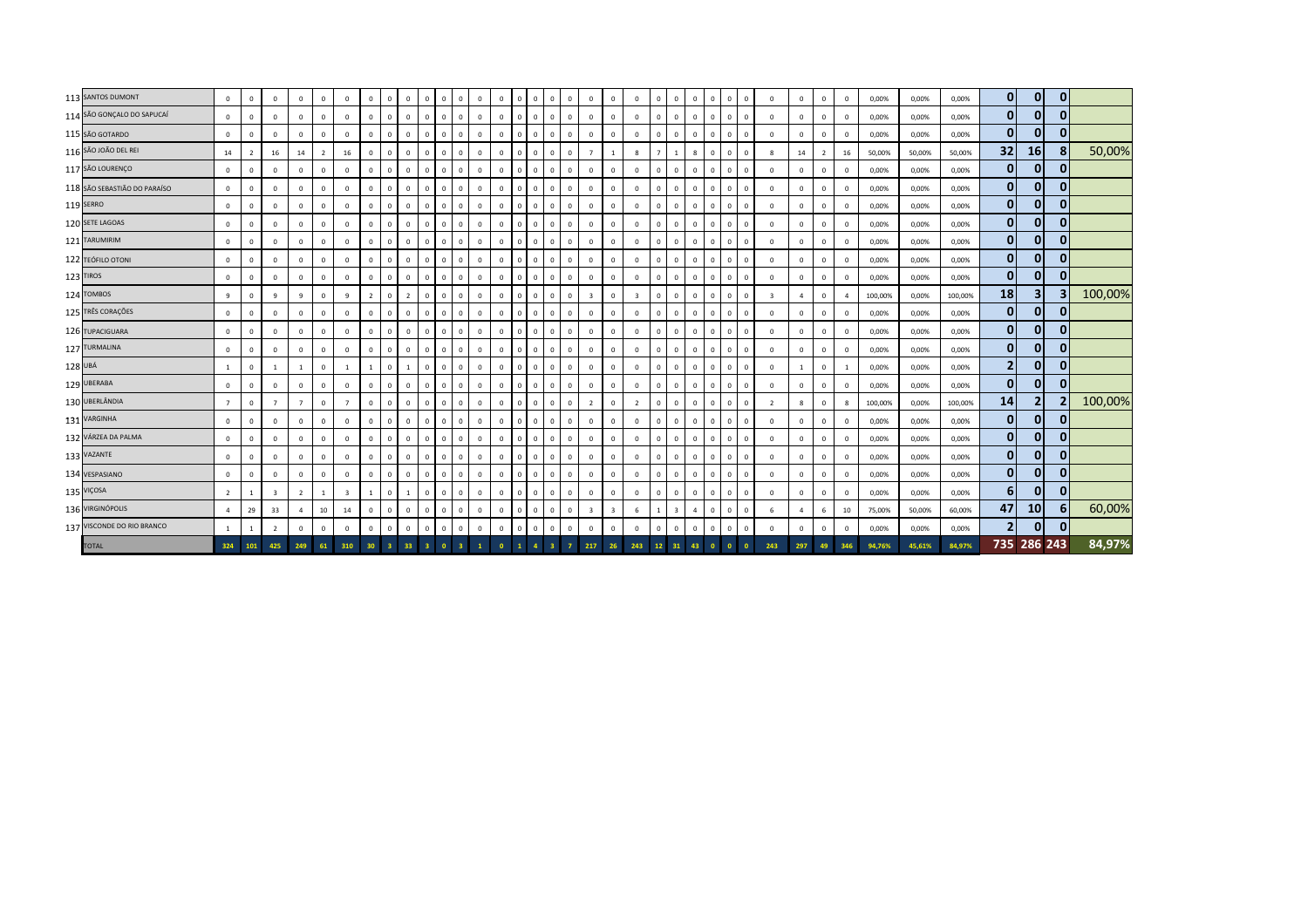|         | 113 SANTOS DUMONT            | $\mathbf{0}$   | $\Omega$       | $\mathbf{0}$   | $^{\circ}$     | $\mathbf{0}$   | $\mathbf{0}$   | $\mathbf 0$     | $\overline{0}$    | $\Omega$       | $\mathbf 0$<br>$^{\circ}$    | $\Omega$       | $^{\circ}$   | $\Omega$    | $\Omega$     | $^{\circ}$   | $\Omega$                                  | $\mathbf{0}$<br>$\mathbf{0}$            | $\mathbf 0$             | $^{\circ}$              | $\mathbf 0$    | $\mathbf{0}$   | $\Omega$     | $\Omega$ | $\mathbf{0}$ | $\overline{0}$ | $^{\circ}$              | $\mathbf{0}$   | $\Omega$       | $\mathbf{0}$   | 0,00%   | 0,00%  | 0,00%   | $\mathbf{0}$            | $\mathbf{0}$            | $\bf{0}$ |         |
|---------|------------------------------|----------------|----------------|----------------|----------------|----------------|----------------|-----------------|-------------------|----------------|------------------------------|----------------|--------------|-------------|--------------|--------------|-------------------------------------------|-----------------------------------------|-------------------------|-------------------------|----------------|----------------|--------------|----------|--------------|----------------|-------------------------|----------------|----------------|----------------|---------|--------|---------|-------------------------|-------------------------|----------|---------|
|         | 114 SÃO GONÇALO DO SAPUCAÍ   | $\mathbf{0}$   | $\overline{0}$ | $^{\circ}$     | $\mathbf{0}$   | $\mathbf{0}$   | $\mathbf{0}$   | $\mathbf 0$     | $\mathbf{0}$      | $\mathbf{0}$   | $\mathbf{0}$<br>$\mathbf{0}$ | $\overline{0}$ | $\mathbf{0}$ | $\Omega$    | $\Omega$     | $\mathbf{0}$ | $\Omega$<br>$\mathbf{0}$                  | $\mathbf{0}$                            | $\overline{0}$          | $\mathbf{0}$            | $\mathbf 0$    | $\mathbf{0}$   | $\Omega$     |          | $\mathbf{0}$ | $\overline{0}$ | $\mathbf{0}$            | $\mathbf 0$    | $\mathbf 0$    | $\overline{0}$ | 0,00%   | 0,00%  | 0,00%   | $\mathbf{0}$            | $\mathbf{0}$            |          |         |
|         | 115 SÃO GOTARDO              | $\circ$        | $\Omega$       | $^{\circ}$     | $\mathbf 0$    | $\mathbf{0}$   | $\mathbf{0}$   | $\mathbf 0$     | $\mathbf{0}$      | $\mathbf 0$    | $\mathbf{0}$<br>$\Omega$     | $\Omega$       | $\mathbf{0}$ | $\Omega$    | $\Omega$     | $\mathbf{0}$ | $\overline{0}$<br>$\mathbf{0}$            | $\overline{0}$                          | $\overline{0}$          | $^{\circ}$              | $\mathbf 0$    | $\mathbf{0}$   | $\Omega$     |          | $\mathbf{0}$ | $\overline{0}$ | $\Omega$                | $\mathbf 0$    | $\Omega$       | $\Omega$       | 0,00%   | 0,00%  | 0,00%   | $\mathbf{0}$            | $\mathbf{0}$            |          |         |
|         | 116 SÃO JOÃO DEL REI         | 14             | $\overline{2}$ | 16             | 14             | $\overline{2}$ | 16             | $\overline{0}$  | $\mathbf{0}$      | $\mathbf{0}$   | $\mathbf{0}$<br>$\mathbf{0}$ | $\Omega$       | $\mathbf{0}$ | $\Omega$    | $\mathbf{0}$ | $\mathbf{0}$ | $\overline{0}$                            | $\mathbf{0}$<br>$\overline{7}$          | $\mathbf{1}$            | 8                       | $\overline{7}$ | 1              | $\mathbf{g}$ | $\Omega$ | $\mathbf{0}$ | $\overline{0}$ | 8                       | 14             | 2              | 16             | 50,00%  | 50,00% | 50,00%  | 32                      | 16                      |          | 50,00%  |
|         | 117 SÃO LOURENÇO             | $\mathbb O$    | $\Omega$       | $\Omega$       | $\Omega$       | $\mathbf 0$    | $\mathbf{0}$   | $\mathbb O$     | $\mathbf{0}$      | $\Omega$       | $\mathbf 0$<br>$^{\circ}$    | $\Omega$       | $\mathbf 0$  | $\Omega$    | $\Omega$     | $\mathbf{0}$ | $\Omega$                                  | $\mathbf{0}$<br>$\mathbf{0}$            | $\overline{0}$          | $\mathbf 0$             | $\mathbf 0$    | $\mathbf{0}$   | $\Omega$     |          | $\mathbf{0}$ | $\overline{0}$ | $\Omega$                | $\mathbf 0$    | $\Omega$       | $\Omega$       | 0,00%   | 0,00%  | 0,00%   | $\mathbf{0}$            | $\mathbf{0}$            |          |         |
|         | 118 SÃO SEBASTIÃO DO PARAÍSO | $\circ$        | $\Omega$       | $^{\circ}$     | $\mathbf{0}$   | $\overline{0}$ | $\mathbf{0}$   | $\mathbf{0}$    | $\mathbf{0}$      | $\Omega$       | $\mathbf{0}$<br>$\Omega$     | $\Omega$       | $\mathbf{0}$ | $\Omega$    | $\Omega$     | $\mathbf 0$  | $\Omega$<br>$\mathbf{0}$                  | $\mathbf{0}$                            | $\overline{0}$          | $^{\circ}$              | $\mathbf{0}$   | $\mathbf{0}$   | $\Omega$     |          | $\mathbf{0}$ | $\overline{0}$ | $\overline{0}$          | $\mathbf{0}$   | $\Omega$       | $\overline{0}$ | 0,00%   | 0,00%  | 0,00%   | $\overline{0}$          | $\mathbf{0}$            | ŋ        |         |
|         | 119 SERRO                    | $\mathbf 0$    | $\Omega$       | $^{\circ}$     | $\mathbf 0$    | $\mathbf{0}$   | $\mathbf{0}$   | $\overline{0}$  | $\mathbf{0}$      | $^{\circ}$     | $\circ$<br>$^{\circ}$        | $\Omega$       | $^{\circ}$   | $\mathbf 0$ | $^{\circ}$   | $\mathbf{0}$ | $\Omega$<br>$^{\circ}$                    | $\mathbf 0$                             | $\mathbf 0$             | $\mathbf{0}$            | $^{\circ}$     | $\mathbf{0}$   | $^{\circ}$   |          | $\mathbf{0}$ | $\overline{0}$ | $\overline{0}$          | $\mathbf{0}$   | $^{\circ}$     | $^{\circ}$     | 0,00%   | 0,00%  | 0,00%   | $\mathbf{0}$            | $\mathbf{0}$            |          |         |
|         | 120 SETE LAGOAS              | $\mathbf 0$    | $\Omega$       | $^{\circ}$     | $\mathbf{0}$   | $\mathbf{0}$   | $\mathbf{0}$   | $\overline{0}$  | $\mathbf{0}$      | $\mathbf 0$    | $\mathbf 0$<br>$^{\circ}$    | $\Omega$       | $\mathbf{0}$ | $\Omega$    | $^{\circ}$   | $\mathbf{0}$ | $\Omega$                                  | $\mathbf{0}$<br>$\mathbf{0}$            | $\mathbf 0$             | $^{\circ}$              | $^{\circ}$     | $\mathbf{0}$   | $\Omega$     |          | $\mathbf 0$  | $\overline{0}$ | $\mathbf{0}$            | $\mathbf 0$    | $\mathbf 0$    | $\overline{0}$ | 0,00%   | 0,00%  | 0,00%   | $\mathbf{0}$            | $\mathbf{0}$            | 0        |         |
|         | 121 TARUMIRIM                | $\mathbf 0$    | $\overline{0}$ | $^{\circ}$     | $\mathbf 0$    | $\mathbf 0$    | $\mathbf{0}$   | $\mathbb O$     | $\mathbf{0}$      | $\mathbf 0$    | $\mathbf 0$<br>$\mathbf{0}$  | $\overline{0}$ | $\mathbf{0}$ | $^{\circ}$  | $\mathbf{0}$ | $\mathbf 0$  | $\overline{0}$<br>$\mathbf{0}$            | $\mathbf{0}$                            | $\overline{0}$          | $\mathbf 0$             | $\mathbf 0$    | $\overline{0}$ | $\mathbf{0}$ |          | $\mathbf{0}$ | $\overline{0}$ | $\overline{0}$          | $\mathbf 0$    | $\mathbf 0$    | $\overline{0}$ | 0,00%   | 0,00%  | 0,00%   | $\bf{0}$                | $\mathbf{0}$            | 0        |         |
|         | 122 TEÓFILO OTONI            | $\mathbf{0}$   | $\Omega$       | $\mathbf 0$    | $\mathbf{0}$   | $\mathbf{0}$   | $\mathbf{0}$   | $\mathbf 0$     | $\mathbf{0}$      | $\Omega$       | $\mathbf{0}$<br>$\Omega$     | $\Omega$       | $\mathbf{0}$ | $\Omega$    | $\Omega$     | $\mathbf{0}$ | $\overline{0}$                            | $\mathbf{0}$<br>$\mathbf{0}$            | $\overline{0}$          | $^{\circ}$              | $\mathbf{0}$   | $\mathbf{0}$   | $\Omega$     |          | $\mathbf{0}$ | $\overline{0}$ | $\overline{0}$          | $\mathbf 0$    | $\Omega$       | $\Omega$       | 0,00%   | 0,00%  | 0,00%   | $\mathbf{0}$            | $\mathbf{0}$            |          |         |
|         | 123 TIROS                    | $\circ$        | $\Omega$       | $\mathbf{0}$   | $\mathbf{0}$   | $\mathbf{0}$   | $\mathbf{0}$   | $\overline{0}$  | $\mathbf{0}$      | $\mathbf{0}$   | $\mathbf{0}$<br>$\mathbf{0}$ | $\Omega$       | $\mathbf{0}$ | $\Omega$    | $\Omega$     | $\mathbf{0}$ | $\overline{0}$                            | $\mathbf{0}$<br>$\mathbf{0}$            | $\overline{0}$          | $\mathbf{0}$            | $\mathbf{0}$   | $\mathbf{0}$   | $\Omega$     | $\Omega$ | $\mathbf{0}$ | $\overline{0}$ | $\mathbf{0}$            | $\mathbf{0}$   | $\Omega$       | $\Omega$       | 0,00%   | 0,00%  | 0,00%   | $\mathbf{0}$            | $\mathbf{0}$            | ŋ        |         |
|         | 124 TOMBOS                   | 9              | $\Omega$       | 9              | 9              | $\mathbf{0}$   | 9              | $\overline{2}$  | $\mathbf{0}$      | $\overline{2}$ | $\mathbf 0$<br>$^{\circ}$    | $\Omega$       | $\mathbf 0$  | $\Omega$    | $\Omega$     | $\mathbf{0}$ | $\Omega$                                  | $\mathbf{0}$<br>$\overline{\mathbf{3}}$ | $\overline{0}$          | $\overline{\mathbf{3}}$ | $\mathbf{0}$   | $\mathbf{0}$   | $\Omega$     |          | $\mathbf{0}$ | $\overline{0}$ | $\overline{\mathbf{3}}$ | $\overline{4}$ | $\Omega$       | $\Delta$       | 100,00% | 0,00%  | 100,00% | 18                      | $\overline{\mathbf{3}}$ |          | 100,00% |
|         | 125 TRÊS CORAÇÕES            | $\mathbf 0$    | $\Omega$       | $\Omega$       | $\mathbf 0$    | $\Omega$       | $\mathbf{0}$   | $\mathbf 0$     | $\Omega$          | $\Omega$       | $\mathbf 0$<br>$\Omega$      | $\Omega$       | $^{\circ}$   | $\Omega$    | $\Omega$     | $^{\circ}$   | $\Omega$<br>$^{\circ}$                    | $\overline{0}$                          | $\mathbf 0$             | $\mathbf 0$             | $\mathbf 0$    | $^{\circ}$     | $\Omega$     |          | $\mathbf{0}$ | $\overline{0}$ | $\overline{0}$          | $\mathbf 0$    | $\Omega$       | $\overline{0}$ | 0,00%   | 0,00%  | 0,00%   | $\mathbf{0}$            | $\mathbf{0}$            |          |         |
|         | 126 TUPACIGUARA              | $\mathbf 0$    | $\Omega$       | $^{\circ}$     | $\mathbf 0$    | $\Omega$       | $\mathbf 0$    | $\overline{0}$  | $\mathbf{0}$      | $^{\circ}$     | $\circ$<br>$^{\circ}$        | $\Omega$       | $\mathbf 0$  | $\Omega$    | $\Omega$     | $\mathbf 0$  | $\Omega$                                  | $\mathbf{0}$<br>$\mathbf{0}$            | $\mathbf 0$             | $\mathbf 0$             | $^{\circ}$     | $\mathbf{0}$   | $\Omega$     |          | $\mathbf{0}$ | $\overline{0}$ | $\overline{0}$          | $\mathbf 0$    | $\Omega$       | $\overline{0}$ | 0,00%   | 0,00%  | 0,00%   | $\mathbf{0}$            | $\mathbf{0}$            |          |         |
|         | 127 TURMALINA                | $\mathbf 0$    | $\Omega$       | $\Omega$       | $\mathbf{0}$   | $\mathbf{0}$   | $\mathbf{0}$   | $\overline{0}$  | $\mathbf{0}$      | $\mathbf 0$    | $\mathbf{0}$<br>$\mathbf{0}$ | $\Omega$       | $\mathbf{0}$ | $\Omega$    | $\Omega$     | $\mathbf{0}$ | $\Omega$                                  | $\mathbf{0}$<br>$\mathbf{0}$            | $\overline{0}$          | $\mathbf{0}$            | $^{\circ}$     | $\mathbf{0}$   | $\Omega$     | $\Omega$ | $\mathbf{0}$ | $\overline{0}$ | $\mathbf{0}$            | $\mathbf{0}$   | $\Omega$       | $\overline{0}$ | 0,00%   | 0,00%  | 0,00%   | $\overline{0}$          | $\mathbf{0}$            | 0        |         |
| 128 UBÁ |                              | 1              | $\overline{0}$ |                |                | $\mathbf{0}$   |                |                 | $\mathbf{0}$      |                | $\mathbf{0}$<br>$\Omega$     | $\Omega$       | $\mathbf 0$  | $\Omega$    | $\Omega$     | $\mathbf{0}$ | $\Omega$<br>$\mathbf{0}$                  | $\overline{0}$                          | $\overline{0}$          | $\mathbf 0$             | $\mathbf 0$    | $\mathbf{0}$   | $\Omega$     |          | $\mathbf{0}$ | $\overline{0}$ | $\overline{0}$          | 1              | $\overline{0}$ |                | 0,00%   | 0,00%  | 0,00%   | $\overline{\mathbf{c}}$ | $\mathbf{0}$            | 0        |         |
|         | 129 UBERABA                  | $\mathbb O$    | $\Omega$       | $\Omega$       | $\Omega$       | $\mathsf 0$    | $\mathbf{0}$   | $\mathbb O$     | $\mathbf{0}$      | $\Omega$       | $\mathbf 0$<br>$\Omega$      | $\Omega$       | $\mathbf 0$  | $\Omega$    | $\Omega$     | $\mathbf{0}$ | $\overline{0}$                            | $\mathbf{0}$<br>$\mathbf{0}$            | $\mathbf 0$             | $\mathbf 0$             | $\mathbf 0$    | $\mathbf{0}$   | $\Omega$     |          | $\mathbf{0}$ | $\overline{0}$ | $\mathbf{0}$            | $\mathbf 0$    | $\Omega$       | $\Omega$       | 0,00%   | 0,00%  | 0,00%   | $\mathbf{0}$            | $\mathbf{0}$            |          |         |
|         | 130 UBERLÂNDIA               | $\overline{7}$ | $\Omega$       | $\overline{7}$ | $\overline{7}$ | $\mathbf{0}$   | $7^{\circ}$    | $\mathbf 0$     | $\mathbf{0}$      | $^{\circ}$     | $\mathbf 0$<br>$^{\circ}$    | $\Omega$       | $\mathbf{0}$ | $\Omega$    | $\Omega$     | $\mathbf{0}$ | $\overline{0}$                            | $\overline{2}$<br>$\mathbf{0}$          | $\mathbf 0$             | $\overline{2}$          | $\mathbf 0$    | $\mathbf{0}$   | $\Omega$     | $\Omega$ | $\mathbf{0}$ | $\overline{0}$ | $\overline{2}$          | 8              | $\Omega$       | $\mathbf{g}$   | 100,00% | 0,00%  | 100,00% | 14                      | $\overline{2}$          |          | 100,00% |
|         | 131 VARGINHA                 | $\mathbf 0$    | $\Omega$       | $\Omega$       | $\mathbf 0$    | $\mathbf 0$    | $\mathbf{0}$   | $\mathbf 0$     | $\mathbf{0}$      | $\Omega$       | $\mathbf 0$<br>$^{\circ}$    | $\Omega$       | $\Omega$     | $\Omega$    | $\Omega$     | $\mathbf 0$  | $\Omega$                                  | $\mathbf{0}$<br>$\mathbf{0}$            | $\mathbb O$             | $\mathbf 0$             | $\mathbf 0$    | $\mathbf{0}$   | $\Omega$     |          | $\mathbf 0$  | $\overline{0}$ | $\Omega$                | $\mathbf 0$    | $\Omega$       | $\Omega$       | 0,00%   | 0,00%  | 0,00%   | $\mathbf{0}$            | $\mathbf{0}$            |          |         |
|         | 132 VÁRZEA DA PALMA          | $\mathbf 0$    | $\Omega$       | $\mathbf 0$    | $\mathbf{0}$   | $\mathbf{0}$   | $\mathbf{0}$   | $\mathbf{0}$    | $\mathbf{0}$      | $\Omega$       | $\mathbf{0}$<br>$\Omega$     | $\Omega$       | $\mathbf{0}$ | $\Omega$    | $\Omega$     | $\mathbf 0$  | $\Omega$<br>$\mathbf{0}$                  | $\mathbf{0}$                            | $\overline{0}$          | $\mathbf{0}$            | $\mathbf{0}$   | $\mathbf{0}$   | $\Omega$     |          | $\mathbf{0}$ | $\overline{0}$ | $\overline{0}$          | $\mathbf{0}$   | $\Omega$       | $\overline{0}$ | 0,00%   | 0,00%  | 0,00%   | $\overline{0}$          | $\mathbf{0}$            | $\Omega$ |         |
|         | 133 VAZANTE                  | $\mathbf 0$    |                | $\Omega$       | $\mathbf 0$    | $\Omega$       | $\mathbf{0}$   | $\mathbf 0$     | $\cdot$ 0 $\cdot$ | $\Omega$       | $\mathbf 0$<br>$^{\circ}$    | $\Omega$       | $\Omega$     | $\Omega$    | $\Omega$     | $\mathbf{0}$ | $\mathbf{0}$<br>$\Omega$                  | $\overline{0}$                          | $\mathbf 0$             | $\mathbf 0$             | $^{\circ}$     | $\mathbf{0}$   | $\Omega$     |          | $\mathbf{0}$ | $\overline{0}$ | $\mathbf 0$             | $\mathbf 0$    | $\Omega$       | $\Omega$       | 0,00%   | 0,00%  | 0,00%   | $\mathbf{0}$            | $\mathbf{0}$            | ŋ        |         |
|         | 134 VESPASIANO               | $\mathbf 0$    | $\Omega$       | $\Omega$       | $\mathbf{0}$   | $\mathbf{0}$   | $\mathbf{0}$   | $\overline{0}$  | $\mathbf{0}$      | $\Omega$       | $\mathbf 0$<br>$^{\circ}$    | $\Omega$       | $\mathbf{0}$ | $\Omega$    | $\Omega$     | $\mathbf{0}$ | $\Omega$                                  | $\mathbf{0}$<br>$\mathbf{0}$            | $\mathbf 0$             | $^{\circ}$              | $^{\circ}$     | $\mathbf{0}$   | $\Omega$     | $\Omega$ | $\mathbf{0}$ | $\overline{0}$ | $\mathbf{0}$            | $\mathbf 0$    | $\Omega$       | $\Omega$       | 0,00%   | 0,00%  | 0,00%   | $\mathbf{0}$            | $\mathbf{0}$            | 0        |         |
|         | 135 VIÇOSA                   | $\overline{2}$ | $\overline{1}$ | $\overline{3}$ | $\overline{2}$ |                | $\overline{3}$ |                 | $\mathbf{0}$      |                | $\mathbf 0$<br>$\Omega$      | $\Omega$       | $\Omega$     | $\Omega$    | $\Omega$     | $\Omega$     | $\Omega$<br>$^{\circ}$                    | $\mathbf{0}$                            | $\overline{0}$          | $\mathbf 0$             | $\mathbf 0$    | $\mathbf{0}$   | $\Omega$     |          | $\mathbf{0}$ | $\overline{0}$ | $\overline{0}$          | $\mathbf 0$    | $\Omega$       | $\Omega$       | 0,00%   | 0,00%  | 0,00%   | 6                       | $\mathbf{0}$            |          |         |
|         | 136 VIRGINÓPOLIS             | $\overline{4}$ | 29             | 33             | $\overline{a}$ | 10             | 14             | $\overline{0}$  | $\mathbf{0}$      | $\mathbf 0$    | $\mathbf 0$<br>$\mathbf{0}$  | $\Omega$       | $\mathbf 0$  | $\mathbf 0$ | $\mathbf{0}$ | $\mathbf{0}$ | $\overline{0}$                            | $\circ$<br>$\overline{\mathbf{3}}$      | $\overline{\mathbf{3}}$ | 6                       | $\mathbf{1}$   | $\overline{3}$ | $\Delta$     |          | $\mathbf{0}$ | $\overline{0}$ | 6                       | $\overline{4}$ | -6             | 10             | 75,00%  | 50,00% | 60,00%  | 47                      | 10                      |          | 60,00%  |
|         | 137 VISCONDE DO RIO BRANCO   | <sup>1</sup>   | $\overline{1}$ | $\overline{z}$ | $\Omega$       | $\mathbf{0}$   | $\mathbf{0}$   | $\overline{0}$  | $\mathbf{0}$      | $\Omega$       | $\mathbf 0$<br>$\mathbf{0}$  | $\Omega$       | $\mathbf 0$  | $\Omega$    | $\mathbf{0}$ | $\mathbf 0$  | $\Omega$                                  | $\mathbf{0}$<br>$\mathbf 0$             | $\overline{0}$          | $\mathbf{0}$            | $\mathbf 0$    | $\mathbf{0}$   | $\Omega$     | $\Omega$ | $\mathbf 0$  | $\overline{0}$ | $\mathbf 0$             | $\mathbf 0$    | $\Omega$       | $\mathbf{0}$   | 0,00%   | 0,00%  | 0,00%   | $\mathbf{2}$            | $\mathbf{0}$            |          |         |
|         | <b>TOTAL</b>                 | 324            | 101            | 425            | 249            | 61             | 310            | 30 <sub>2</sub> | - 3               | 33             | $\bullet$<br>3 <sup>1</sup>  |                |              | $\Omega$    |              | $\Delta$     | $\overline{\mathbf{3}}$<br>$\overline{7}$ | 217                                     | 26                      | 243                     | 12             |                | 43           |          | $\bullet$    |                | 243                     | 297            |                | 346            | 94.76%  | 45.61% | 84,97%  |                         | 735 286 243             |          | 84,97%  |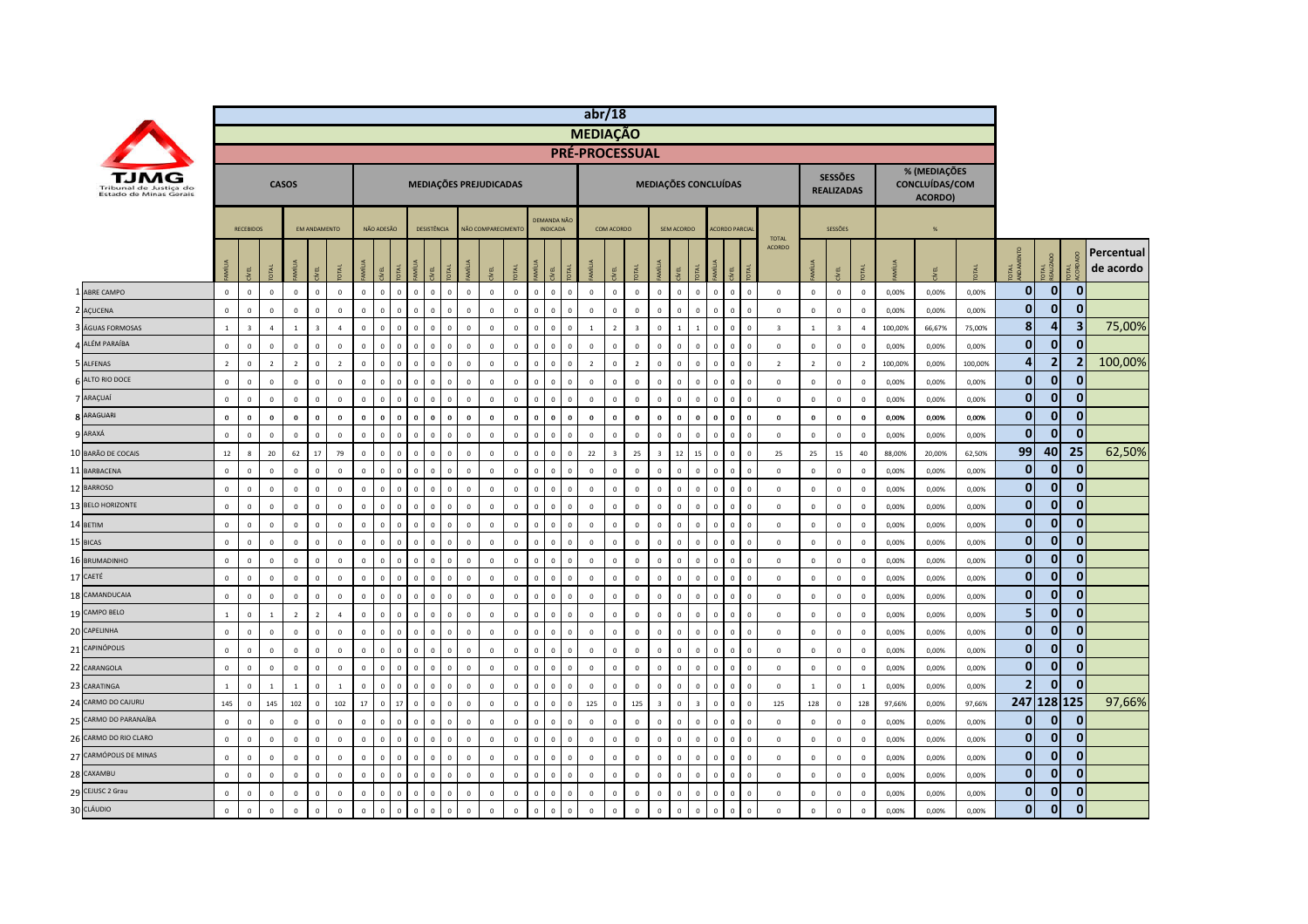|    |                                                  |                |                         |                |                |                          |                |                |              |                |              |                |                |                  |                        |                |                |                                |              | abr/18          |                |                         |                         |              |                |              |                          |              |                               |                |                                     |                         |         |                                           |         |                |                     |                |                         |
|----|--------------------------------------------------|----------------|-------------------------|----------------|----------------|--------------------------|----------------|----------------|--------------|----------------|--------------|----------------|----------------|------------------|------------------------|----------------|----------------|--------------------------------|--------------|-----------------|----------------|-------------------------|-------------------------|--------------|----------------|--------------|--------------------------|--------------|-------------------------------|----------------|-------------------------------------|-------------------------|---------|-------------------------------------------|---------|----------------|---------------------|----------------|-------------------------|
|    |                                                  |                |                         |                |                |                          |                |                |              |                |              |                |                |                  |                        |                |                |                                |              | <b>MEDIAÇÃO</b> |                |                         |                         |              |                |              |                          |              |                               |                |                                     |                         |         |                                           |         |                |                     |                |                         |
|    |                                                  |                |                         |                |                |                          |                |                |              |                |              |                |                |                  |                        |                |                |                                |              | PRÉ-PROCESSUAL  |                |                         |                         |              |                |              |                          |              |                               |                |                                     |                         |         |                                           |         |                |                     |                |                         |
|    | Tribunal de Justica do<br>Estado de Minas Gerais |                |                         |                | <b>CASOS</b>   |                          |                |                |              |                |              |                |                |                  | MEDIAÇÕES PREJUDICADAS |                |                |                                |              |                 |                |                         | MEDIAÇÕES CONCLUÍDAS    |              |                |              |                          |              |                               |                | <b>SESSÕES</b><br><b>REALIZADAS</b> |                         |         | % (MEDIAÇÕES<br>CONCLUÍDAS/COM<br>ACORDO) |         |                |                     |                |                         |
|    |                                                  |                | <b>RECEBIDOS</b>        |                |                | <b>FM ANDAMENTO</b>      |                |                | NÃO ADESÃO   |                |              | DESISTÊNCIA    |                |                  | NÃO COMPARECIMENT      |                |                | DEMANDA NÃO<br><b>INDICADA</b> |              |                 | COM ACORDO     |                         |                         | SEM ACORDO   |                |              | <b>ACORDO PARCIA</b>     |              |                               |                | SESSÕES                             |                         |         | %                                         |         |                |                     |                |                         |
|    |                                                  |                | 린                       |                | MÍLIA          | <b>JBV</b>               |                |                | EL           |                |              |                |                |                  |                        |                |                |                                |              | <b>E</b>        |                |                         |                         | <b>LET</b>   | <b>TAL</b>     | ANILL        | DTAL<br>ğ.               |              | <b>TOTAL</b><br><b>ACORDO</b> |                | EL                                  |                         |         | EL                                        |         | ್ದ ಕ           | <b>TAL</b><br>ALIZA |                | Percentual<br>de acordo |
|    | <b>ABRE CAMPO</b>                                | $\overline{0}$ | $\mathbf{0}$            | $\mathbf{0}$   | $\mathbf{0}$   | $\mathbf{0}$             | $\mathbf 0$    | $\mathbf{0}$   | $\mathbf{0}$ | $\mathbf{0}$   | $\mathbf{0}$ | $\mathbf{0}$   | $\overline{0}$ | $\Omega$         | $\mathbf 0$            | $\mathbf{0}$   | $\mathbf{0}$   | $\mathbf{0}$                   | $\mathbf{0}$ | $\mathbf 0$     | $\mathbf 0$    | $\mathbf{0}$            | $\mathbf{0}$            | $\mathbf{0}$ | $\mathbf{0}$   | $\mathbf 0$  | $\mathbf{0}$             | $\mathbf{0}$ | $\mathbf{0}$                  | $\mathbf{0}$   | $\mathbf 0$                         | $\mathbf 0$             | 0.00%   | 0,00%                                     | 0.00%   | $\mathbf{0}$   | $\mathbf{0}$        | $\mathbf 0$    |                         |
|    | 2 AÇUCENA                                        | $\mathbf 0$    | $\mathbf{0}$            | $\mathbf 0$    | $\mathbf 0$    | $\mathbf 0$              | $\mathbb O$    | $\overline{0}$ | $\mathbf 0$  | $\mathbf 0$    | $\Omega$     | $\mathbf 0$    | $\mathbf 0$    | $\mathbf 0$      | $\mathbb O$            | $\mathbb O$    | $\mathbb O$    | $\mathbf 0$                    | $\mathbf 0$  | $\overline{0}$  | $\mathbb O$    | $\mathbf 0$             | $\mathsf 0$             | $\mathbf 0$  | $\mathbf 0$    | $\mathbf 0$  | $\mathbf 0$              | $\Omega$     | $\mathbf 0$                   | $\mathbf 0$    | $\mathbf 0$                         | $\mathbf 0$             | 0,00%   | 0,00%                                     | 0,00%   | $\mathbf{0}$   | $\overline{0}$      | $\mathbf 0$    |                         |
|    | ÁGUAS FORMOSAS                                   | $\mathbf{1}$   | $\overline{\mathbf{3}}$ | $\overline{4}$ | $\mathbf{1}$   | $\overline{\mathbf{3}}$  | $\overline{a}$ | $\overline{0}$ | $\mathbf 0$  | $\Omega$       | $\Omega$     | $\overline{0}$ | $\mathbb O$    | $\mathbf 0$      | $\mathbf 0$            | $\mathbf 0$    | $\overline{0}$ | $^{\circ}$                     | $\mathbf 0$  | $\mathbf{1}$    | $\overline{2}$ | $\overline{\mathbf{3}}$ | $\mathbf 0$             | $\mathbf{1}$ |                | $\mathbf 0$  | $\mathbf 0$              | $\Omega$     | $\overline{\mathbf{3}}$       | $\mathbf{1}$   | $\overline{\mathbf{3}}$             | $\overline{a}$          | 100,00% | 66,67%                                    | 75,00%  | 8              | 4                   | 3              | 75,00%                  |
|    | ALÉM PARAÍBA                                     | $\overline{0}$ | $^{\circ}$              | $\mathbf 0$    | $\mathbf 0$    | $\mathbf 0$              | $\mathbf 0$    | $\overline{0}$ | $\mathbf 0$  | $\Omega$       | $\Omega$     | $\mathbf 0$    | $\overline{0}$ | $\mathbf 0$      | $\mathbf 0$            | $\,$ 0         | $\mathbb O$    | $\Omega$                       | $\mathbf 0$  | $\,$ 0          | $\mathbf{0}$   | $\mathbf 0$             | $\mathbf 0$             | $\mathbf 0$  | $\Omega$       | $\mathbf 0$  | $\Omega$                 | $\Omega$     | $\mathbf{0}$                  | $\mathbf 0$    | $\mathbf 0$                         | $\overline{\mathbf{0}}$ | 0,00%   | 0,00%                                     | 0,00%   | $\mathbf{0}$   | $\mathbf{0}$        | $\mathbf{0}$   |                         |
|    | 5 ALFENAS                                        | $\overline{2}$ | $\mathbf 0$             | $\overline{2}$ | $\overline{2}$ | $\mathbf 0$              | $\overline{2}$ | $\,$ 0         | $\mathbf 0$  | $\mathbf 0$    | $\mathbf 0$  | $\mathbf 0$    | $\mathbb O$    | $\mathbf{0}$     | $\mathbb O$            | $\,$ 0         | $\mathbf 0$    | $\mathbf 0$                    | $\mathsf 0$  | $\overline{2}$  | $\mathbb O$    | $\overline{2}$          | $\mathbf 0$             | $\mathbf 0$  | $\mathbf{0}$   | $\mathbf 0$  | $\mathbf 0$              | $\mathbf 0$  | $\overline{2}$                | $\overline{2}$ | $\mathbf 0$                         | $\overline{2}$          | 100,00% | 0,00%                                     | 100,00% | 4              | $\overline{2}$      | $\overline{2}$ | 100,00%                 |
|    | ALTO RIO DOCE                                    | $\,0\,$        | $\Omega$                | $\mathbf 0$    | $\mathbf 0$    | $\mathbf 0$              | $\mathbb O$    | $\overline{0}$ | $\mathbf 0$  | $\,0\,$        | $\Omega$     | $\mathbf 0$    | $\mathbf 0$    | $\mathbf 0$      | $\mathbb O$            | $\,0\,$        | $\,0\,$        | $\mathbf 0$                    | $\mathbf 0$  | $\,$ 0          | $\mathbb O$    | $\mathbf 0$             | $\mathbf 0$             | $\mathbf 0$  | $\Omega$       | $\mathbf 0$  | $\,0\,$                  | $\Omega$     | $\mathbf{0}$                  | $\mathbf 0$    | $\mathbf 0$                         | $\mathbf 0$             | 0,00%   | 0,00%                                     | 0,00%   | $\mathbf{0}$   | $\bf{0}$            | $\mathbf{0}$   |                         |
|    | 7 ARAÇUAÍ                                        | $\mathsf 0$    | $\mathbf 0$             | $\mathbf 0$    | $\mathbf 0$    | $\mathbf 0$              | $\mathbb O$    | $\overline{0}$ | $\mathbf 0$  | $\Omega$       | $\Omega$     | $\mathbf{0}$   | $\mathbb O$    | $\mathbf 0$      | $\mathbb O$            | $\mathbf 0$    | $\overline{0}$ | $\overline{0}$                 | $\mathbf 0$  | $\mathbf 0$     | $\mathbb O$    | $\mathbb O$             | $\mathbf 0$             | $\mathbf{0}$ | $\Omega$       | $\mathbf 0$  | $\mathbf 0$              | $\Omega$     | $\mathbf 0$                   | $\mathbf 0$    | $\mathbf 0$                         | $\mathbf 0$             | 0,00%   | 0,00%                                     | 0,00%   | $\mathbf{0}$   | $\mathbf{0}$        | $\mathbf{0}$   |                         |
|    | <b>8 ARAGUARI</b>                                | $\bf{0}$       | $\bf{0}$                | $\bf{0}$       | $\mathbf 0$    | $\bf{0}$                 | $\bf{0}$       | $\bf{0}$       | $\mathbf 0$  | $\Omega$       | $\mathbf{0}$ | $\mathbf{o}$   | $\mathbf 0$    | $\boldsymbol{0}$ | $\mathbf 0$            | $\mathbf 0$    | $\bf{0}$       | $\Omega$                       | $\bf{0}$     | $\mathbf 0$     | $\mathbf 0$    | $\mathbf 0$             | $\bf{0}$                | $\mathbf 0$  | $\Omega$       | $\mathbf 0$  | $\bf{0}$                 | $\mathbf{0}$ | $\bf{0}$                      | $\mathbf 0$    | $\pmb{0}$                           | $\bf{0}$                | 0,00%   | 0,00%                                     | 0,00%   | $\bf{0}$       | $\mathbf{0}$        | $\mathbf{0}$   |                         |
|    | ARAXÁ                                            | $\mathbf 0$    | $\Omega$                | $\mathbf 0$    | $\mathbf 0$    | $\mathbf 0$              | $\mathbf 0$    | $\overline{0}$ | $\mathbf 0$  | $\mathbf 0$    | $\Omega$     | $\mathbf 0$    | $\mathbb O$    | $\mathbf 0$      | $\mathbb O$            | $\mathbf 0$    | $\mathbb O$    | $\overline{0}$                 | $\Omega$     | $\overline{0}$  | $\mathbb O$    | $\mathbf 0$             | $\mathbf{0}$            | $\mathbf 0$  | $\Omega$       | $\mathbf 0$  | $\mathbf 0$              |              | $\mathbf 0$                   | $\mathbf 0$    | $\mathbf 0$                         | $\overline{0}$          | 0,00%   | 0,00%                                     | 0,00%   | $\bf{0}$       | $\mathbf{0}$        | $\mathbf{0}$   |                         |
|    | 10 BARÃO DE COCAIS                               | 12             | 8                       | $20\,$         | 62             | $17\,$                   | 79             | $\mathbf 0$    | $\mathbf 0$  | $\mathbf 0$    | $\Omega$     | $\mathbf 0$    | $\mathbf 0$    | $\pmb{0}$        | $\mathbb O$            | $\mathbf{0}$   | $\mathbf 0$    | $\overline{0}$                 | $\Omega$     | 22              | $\overline{3}$ | 25                      | $\overline{\mathbf{3}}$ | 12           | 15             | $\mathbf 0$  | $\mathbf 0$<br>$\Omega$  |              | 25                            | 25             | $15\,$                              | 40                      | 88,00%  | 20,00%                                    | 62,50%  | 99             | 40                  | 25             | 62,50%                  |
|    | 11 BARBACENA                                     | $\,0\,$        | $\mathbf 0$             | $\mathbf 0$    | $\mathbf 0$    | $\mathbf 0$              | $\mathbb O$    | $\overline{0}$ | $\mathbf 0$  | $\overline{0}$ | $\Omega$     | $\mathbf{0}$   | $\overline{0}$ | $\pmb{0}$        | $\mathbb O$            | $\overline{0}$ | $\overline{0}$ | $\overline{0}$                 | $\mathbf 0$  | $\mathbf 0$     | $\mathbf 0$    | $\mathbf 0$             | $\mathbf 0$             | $\mathbf 0$  | $\overline{0}$ | $\mathbf 0$  | $\overline{0}$           |              | $\mathbf 0$                   | $\mathsf 0$    | $\mathbf 0$                         | $\mathbf 0$             | 0,00%   | 0,00%                                     | 0,00%   | $\mathbf 0$    | $\mathbf{0}$        | $\mathbf 0$    |                         |
|    | 12 BARROSO                                       | $\mathsf 0$    | $\Omega$                | $\mathbf 0$    | $\mathbf 0$    | $\mathbf{0}$             | $\mathbb O$    | $\overline{0}$ | $\mathbf{0}$ | $\mathbf 0$    | $\Omega$     | $\Omega$       | $\overline{0}$ | $\mathbb O$      | $\mathbb O$            | $\overline{0}$ | $\mathbf 0$    | $\Omega$                       | $\mathbf{0}$ | $\,$ 0          | $\Omega$       | $\mathbb O$             | $\mathbf{0}$            | $\Omega$     | $\Omega$       | $\mathbf 0$  | $\mathbf{0}$             | $\Omega$     | $\mathbf{0}$                  | $\mathbf 0$    | $\mathbf 0$                         | $\mathbf 0$             | 0,00%   | 0,00%                                     | 0,00%   | $\mathbf{0}$   | $\mathbf{0}$        | $\mathbf{0}$   |                         |
|    | 13 BELO HORIZONTE                                | $\mathbf 0$    | $\Omega$                | $\mathbf 0$    | $\mathbf 0$    | $\mathbf 0$              | $\Omega$       | $\overline{0}$ | $\mathbf 0$  | $\mathbf 0$    | $\Omega$     | $\Omega$       | $\mathbb O$    | $\mathbf 0$      | $\mathbb O$            | $\mathbf{0}$   | $\mathbb O$    | $\Omega$                       | $\Omega$     | $\overline{0}$  | $\mathbb O$    | $\mathbf 0$             | $\mathbf 0$             | $\mathbf 0$  | $\Omega$       | $\mathbf 0$  | $\mathbf 0$              | $\Omega$     | $\mathbf{0}$                  | $\mathbf 0$    | $\mathbf 0$                         | $\mathbf 0$             | 0,00%   | 0,00%                                     | 0,00%   | $\bf{0}$       | $\mathbf{0}$        | $\mathbf{0}$   |                         |
|    | 14 BETIM                                         | $\circ$        | $\Omega$                | $\mathbf{0}$   | $\mathbf{0}$   | $\Omega$                 | $\mathbf 0$    | $\Omega$       | $\mathbf 0$  | $\mathbf 0$    | $\Omega$     | $\Omega$       | $\mathbf 0$    | $\Omega$         | $\mathbf 0$            | $\Omega$       | $\mathbf 0$    | $\Omega$                       | $\Omega$     | $\,$ 0          | $\Omega$       | $\Omega$                | $\mathbf{0}$            | $\Omega$     | $\Omega$       | $\mathbf 0$  | $\mathbf 0$              | $\Omega$     | $\mathbf{0}$                  | $\Omega$       | $\mathsf 0$                         | $\Omega$                | 0,00%   | 0,00%                                     | 0,00%   | $\mathbf 0$    | $\mathbf{0}$        | $\mathbf{0}$   |                         |
|    | 15 BICAS                                         | $\mathbf 0$    | $\mathbf 0$             | $\mathbf 0$    | $\mathbf 0$    | $\mathbf 0$              | $\mathbb O$    | $\overline{0}$ | $\mathbf 0$  | $\Omega$       | $\Omega$     | $\mathbf{0}$   | $\mathbf 0$    | $\mathbf 0$      | $\mathbb O$            | $\,$ 0 $\,$    | $\mathbb O$    | $\mathbf 0$                    | $\mathbf 0$  | $\,$ 0          | $\mathbf 0$    | $\mathbf 0$             | $\mathbf 0$             | $\mathbf{0}$ | $\overline{0}$ | $\mathbf 0$  | $\overline{0}$           | $\Omega$     | $\mathbf 0$                   | $\mathbf 0$    | $\mathbf 0$                         | $\mathbf 0$             | 0,00%   | 0,00%                                     | 0,00%   | $\mathbf 0$    | $\mathbf{0}$        | $\mathbf 0$    |                         |
|    | 16 BRUMADINHO                                    | $\mathsf 0$    | $\mathbf 0$             | $\mathbf 0$    | $\mathbf 0$    | $\mathbf 0$              | $\mathbb O$    | $\,$ 0         | $\mathbf 0$  | $\mathbf{0}$   | $\mathbf{0}$ | $\mathbf 0$    | $\mathbf 0$    | $\mathbf 0$      | $\mathbb O$            | $\,$ 0 $\,$    | $\mathbf 0$    | $\mathbf{0}$                   | $\mathbf 0$  | $\,$ 0          | $\mathbb O$    | $\mathbb O$             | $\mathbf 0$             | $\mathbf{0}$ | $\Omega$       | $\mathbf 0$  | $\mathbf{0}$             | $\Omega$     | $\mathbf 0$                   | $\mathbf 0$    | $\mathbf 0$                         | $\overline{0}$          | 0,00%   | 0,00%                                     | 0,00%   | $\mathbf 0$    | $\mathbf{0}$        | $\mathbf 0$    |                         |
|    | 17 CAETÉ                                         | $\mathbf 0$    | $\mathbf 0$             | $\mathbf 0$    | $\mathbf 0$    | $\mathbf 0$              | $\mathbb O$    | $\overline{0}$ | $\mathbf 0$  | $\mathbf 0$    | $\mathbf 0$  | $\mathbf{0}$   | $\mathbf 0$    | $\mathbf 0$      | $\mathbb O$            | $\mathbf{0}$   | $\mathbf 0$    | $\mathbf 0$                    | $\mathbf 0$  | $\mathbf 0$     | $\mathbf 0$    | $\mathbf 0$             | $\mathbf 0$             | $\mathbf 0$  | $\mathbf 0$    | $\mathbf 0$  | $\mathbf 0$              |              | $\mathbf 0$                   | $\mathbf 0$    | $\mathbf 0$                         | $\pmb{0}$               | 0,00%   | 0,00%                                     | 0,00%   | $\mathbf 0$    | $\mathbf{0}$        | $\mathbf{0}$   |                         |
|    | 18 CAMANDUCAIA                                   | $\mathbf{0}$   | $\Omega$                | $\mathbf{0}$   | $\mathbf{0}$   | $\Omega$                 | $\mathbf 0$    | $\Omega$       | $\Omega$     | $\mathbf 0$    | $\Omega$     | $\Omega$       | $\mathbf 0$    | $\Omega$         | $\mathbf 0$            | $\Omega$       | $\mathbf 0$    | $\Omega$                       | $\Omega$     | $\Omega$        | $\mathbf 0$    | $\mathbf 0$             | $\mathbf{0}$            | $\Omega$     | $\Omega$       | $\mathbf{0}$ | $\mathbf{0}$<br>$\Omega$ |              | $\mathbf{0}$                  | $\mathbf{0}$   | $\mathbf{0}$                        | $\mathbf{0}$            | 0.00%   | 0.00%                                     | 0.00%   | $\mathbf{0}$   | $\Omega$            | $\mathbf{0}$   |                         |
|    | 19 CAMPO BELO                                    | $1\,$          | $\mathbf 0$             | $\mathbf{1}$   | $\overline{2}$ | $\overline{\phantom{a}}$ | $\overline{a}$ | $\overline{0}$ | $\mathbf 0$  | $\Omega$       | $\Omega$     | $\mathbf{0}$   | $\mathbb O$    | $\mathbf 0$      | $\mathbb O$            | $\,$ 0         | $\mathbb O$    | $\overline{0}$                 | $\Omega$     | $\mathbf 0$     | $\mathbf 0$    | $\mathbf 0$             | $\mathbf 0$             | $\mathbf 0$  | $\Omega$       | $\mathbf 0$  | $\Omega$<br>$\Omega$     |              | $\mathbf 0$                   | $\mathbf 0$    | $\mathbf 0$                         | $\mathbf 0$             | 0,00%   | 0,00%                                     | 0,00%   | 5              | $\mathbf{0}$        | $\mathbf{0}$   |                         |
|    | 20 CAPELINHA                                     | $\mathbf 0$    | $\Omega$                | $\mathbf{0}$   | $\mathbf{0}$   | $\mathbf{0}$             | $\mathbf 0$    | $\overline{0}$ | $\mathbf{0}$ | $\mathbf 0$    | $\mathbf{0}$ | $\Omega$       | $\overline{0}$ | $\Omega$         | $\mathbf 0$            | $\mathbf{0}$   | $\overline{0}$ | $\mathbf{0}$                   | $\mathbf{0}$ | $\mathbf 0$     | $\mathbf 0$    | $\circ$                 | $\mathbf{0}$            | $\Omega$     | $\Omega$       | $\mathbf{0}$ | $\mathbf 0$              | $\Omega$     | $\mathbf{0}$                  | $\mathbf{0}$   | $\mathsf 0$                         | $\mathbf 0$             | 0,00%   | 0,00%                                     | 0,00%   | $\pmb{0}$      | $\mathbf{0}$        | $\mathbf{0}$   |                         |
|    | 21 CAPINÓPOLIS                                   | $\mathsf 0$    | $\mathbf 0$             | $\mathbf 0$    | $\mathbf 0$    | $\mathbf 0$              | $\mathbf 0$    | $\overline{0}$ | $\mathbf 0$  | $\mathbf 0$    | $\mathbf 0$  | $\mathbf{0}$   | $\mathbb O$    | $\mathbf 0$      | $\mathbf 0$            | $\mathbf 0$    | $\mathbf 0$    | $\mathbf 0$                    | $\mathbf 0$  | $\mathbf 0$     | $\mathbf 0$    | $\mathbf 0$             | $\mathsf 0$             | $\mathbf 0$  | $\overline{0}$ | $\mathbf 0$  | $\mathbf 0$              | $\Omega$     | $\mathbf 0$                   | $\mathsf 0$    | $\mathbf 0$                         | $\mathbf 0$             | 0,00%   | 0,00%                                     | 0,00%   | $\bf{0}$       | $\mathbf{0}$        | $\mathbf{0}$   |                         |
|    | 22 CARANGOLA                                     | $\mathbf 0$    | $\mathbf 0$             | $\mathsf 0$    | $\mathbf 0$    | $\mathbf 0$              | $\mathbb O$    | $\overline{0}$ | $\mathbf 0$  | $\mathbf 0$    | $\mathbf 0$  | $\mathbf{0}$   | $\mathbb O$    | $\mathbf 0$      | $\mathbb O$            | $\mathbf 0$    | $\mathbb O$    | $\mathbf 0$                    | $\mathbf 0$  | $\mathbf 0$     | $\mathbb O$    | $\mathbb O$             | $\mathsf 0$             | $\mathbf{0}$ | $\mathbf{0}$   | $\mathbf 0$  | $\mathbf 0$              | $\mathbf 0$  | $\mathbf 0$                   | $\mathbf{0}$   | $\mathbf 0$                         | $\mathbf 0$             | 0,00%   | 0,00%                                     | 0,00%   | $\mathbf 0$    | $\mathbf{0}$        | $\mathbf{0}$   |                         |
|    | 23 CARATINGA                                     | $\mathbf{1}$   | $\Omega$                | $\,$ 1 $\,$    | $\overline{1}$ | $\mathbf 0$              | $\mathbf{1}$   | $\overline{0}$ | $\mathbf 0$  | $\sqrt{2}$     | $\mathbf{0}$ | $\mathbf{0}$   | $\mathbf 0$    | $\mathbb O$      | $\mathbb O$            | $\,$ 0 $\,$    | $\mathbf 0$    | $\Omega$                       | $\Omega$     | $\mathbf 0$     | $\mathbb O$    | $\mathbb O$             | $\mathbf{0}$            | $\mathbf{0}$ | $\Omega$       | $\mathbf 0$  | $\mathbf{0}$             | $\Omega$     | $\mathbf 0$                   | $\mathbf{1}$   | $\mathbf 0$                         | $\overline{1}$          | 0,00%   | 0,00%                                     | 0,00%   | $\overline{2}$ | $\Omega$            | $\Omega$       |                         |
| 24 | CARMO DO CAJURU                                  | 145            | $\mathbf{0}$            | 145            | 102            | $\mathbf{0}$             | 102            | 17             | $\mathbf{0}$ | 17             | $\mathbf{0}$ | $\Omega$       | $\overline{0}$ | $\mathbf{0}$     | $\mathbf{0}$           | $\mathbf{0}$   | $\mathbf{0}$   | $\mathbf{0}$                   | $\circ$      | 125             | $\mathbf 0$    | 125                     | $\overline{\mathbf{3}}$ | $\Omega$     | $\overline{3}$ | $\mathbf{0}$ | $\mathbf{0}$             | $\Omega$     | 125                           | 128            | $\mathbf 0$                         | 128                     | 97,66%  | 0,00%                                     | 97,66%  | 247            | 128 125             |                | 97,66%                  |
| 25 | CARMO DO PARANAÍBA                               | $\mathbf 0$    | $\mathbf{0}$            | $\mathbf 0$    | $\mathbf 0$    | $\mathbf 0$              | $\mathbf 0$    | $\overline{0}$ | $\mathbf 0$  | $\mathbf 0$    | $\Omega$     | $\mathsf 0$    | $\mathbf 0$    | $\mathbf 0$      | $\mathbf 0$            | $\mathbf 0$    | $\mathbf 0$    | $\mathbf 0$                    | $\mathbf 0$  | $\,$ 0          | $\mathbf 0$    | $\mathbf 0$             | $\mathbf 0$             | $\mathsf 0$  | $\mathbf 0$    | $\mathbf 0$  | $\mathbf 0$              | $\Omega$     | $\mathbf 0$                   | $\mathbf 0$    | $\mathbf 0$                         | $\mathbf 0$             | 0,00%   | 0,00%                                     | 0,00%   | $\mathbf 0$    | 0                   | $\mathbf{0}$   |                         |
|    | 26 CARMO DO RIO CLARO                            | $\mathsf 0$    | $\mathbf 0$             | $\mathbf 0$    | $\mathbf 0$    | $\mathbf 0$              | $\mathbf 0$    | $\overline{0}$ | $\mathbf 0$  | $\Omega$       | $\Omega$     | $\mathbf 0$    | $\mathbb O$    | $\mathbf 0$      | $\mathbf 0$            | $\mathbf 0$    | $\overline{0}$ | $^{\circ}$                     | $\mathbf 0$  | $\overline{0}$  | $\mathbf 0$    | $\mathbf 0$             | $\mathbf 0$             | $\mathbf 0$  | $\Omega$       | $\mathbf 0$  | $\mathbf 0$              | $\Omega$     | $\mathbf 0$                   | $\mathbf 0$    | $\mathbf 0$                         | $\mathbf 0$             | 0,00%   | 0,00%                                     | 0,00%   | $\mathbf 0$    | $\mathbf{0}$        | $\mathbf{0}$   |                         |
|    | 27 CARMÓPOLIS DE MINAS                           | $\,0\,$        | $\Omega$                | $\mathbf 0$    | $\mathbf 0$    | $\mathbf 0$              | $\mathbb O$    | $\overline{0}$ | $\mathbf 0$  | $\Omega$       | $\Omega$     | $\mathbf{0}$   | $\mathbf 0$    | $\mathbf 0$      | $\mathbb O$            | $\,$ 0         | $\mathbb O$    | $\Omega$                       | $\mathbf 0$  | $\,$ 0          | $\mathbf{0}$   | $\mathbb O$             | $\mathbf 0$             | $\mathbf 0$  | $\Omega$       | $\mathbf 0$  | $\Omega$                 | $\Omega$     | $\mathbf 0$                   | $\mathbf 0$    | $\mathbf 0$                         | $\,0\,$                 | 0,00%   | 0,00%                                     | 0,00%   | $\mathbf 0$    | $\mathbf{0}$        | $\mathbf{0}$   |                         |
|    | 28 CAXAMBU                                       | $\mathsf 0$    | $\mathsf 0$             | $\mathbf 0$    | $\mathbf 0$    | $\mathbf 0$              | $\mathbb O$    | $\,$ 0         | $\mathbf 0$  | $\mathbf 0$    | $\mathsf 0$  | $\mathbf{0}$   | $\mathbb O$    | $\mathbf{0}$     | $\mathbb O$            | $\mathbb O$    | $\mathbf 0$    | $\mathbf 0$                    | $\mathbf 0$  | $\mathbf 0$     | $\mathbb O$    | $\mathbb O$             | $\mathbf 0$             | $\mathbf{0}$ | $\mathbf 0$    | $\mathbf 0$  | $\mathbf 0$              | $\mathbf 0$  | $\mathbf 0$                   | $\mathbf{0}$   | $\mathsf 0$                         | $\mathbf 0$             | 0,00%   | 0,00%                                     | 0,00%   | $\mathbf 0$    | $\mathbf{0}$        | $\mathbf{0}$   |                         |
|    | 29 CEJUSC 2 Grau                                 | $\circ$        | $^{\circ}$              | $\mathbf 0$    | $\mathbf 0$    | $\mathbf 0$              | $\mathbf 0$    | $\overline{0}$ | $\mathbf 0$  | $\mathbf 0$    | $\mathbf{0}$ | $\mathbf 0$    | $\mathbf 0$    | $\mathbf 0$      | $\mathbf 0$            | $\mathbf 0$    | $\,0\,$        | $\mathbf 0$                    | $\mathbf 0$  | $\,$ 0          | $\mathbf 0$    | $\mathbf 0$             | $\mathbf 0$             | $\mathbf 0$  | $\Omega$       | $\mathbf 0$  | $\mathbf 0$<br>$\Omega$  |              | $\mathbf 0$                   | $\mathbf 0$    | $\mathbf 0$                         | $\mathbf 0$             | 0,00%   | 0,00%                                     | 0,00%   | $\mathbf{0}$   | $\Omega$            | $\mathbf{0}$   |                         |
|    | 30 CLÁUDIO                                       | $\mathsf 0$    | $\mathbf 0$             | $\mathbf 0$    | $\mathbf 0$    | $\mathbf 0$              | $\mathbb O$    | $\overline{0}$ | $\mathbf 0$  | $\mathbf 0$    | $\mathsf 0$  | $\mathbf{0}$   | $\mathbf 0$    | $\mathbf 0$      | $\mathbb O$            | $\mathbf{0}$   | $\mathbb O$    | $\overline{0}$                 | $\mathbf{0}$ | $\mathbf 0$     | $\mathbf 0$    | $\mathbf 0$             | $\mathbf 0$             | $\mathbf{0}$ | $\mathbf 0$    | $\mathbf 0$  | $\mathbf 0$              | $\Omega$     | $\Omega$                      | $\mathbf 0$    | $\mathbf 0$                         | $\mathbf 0$             | 0,00%   | 0,00%                                     | 0,00%   | 0              | $\Omega$            | $\mathbf{0}$   |                         |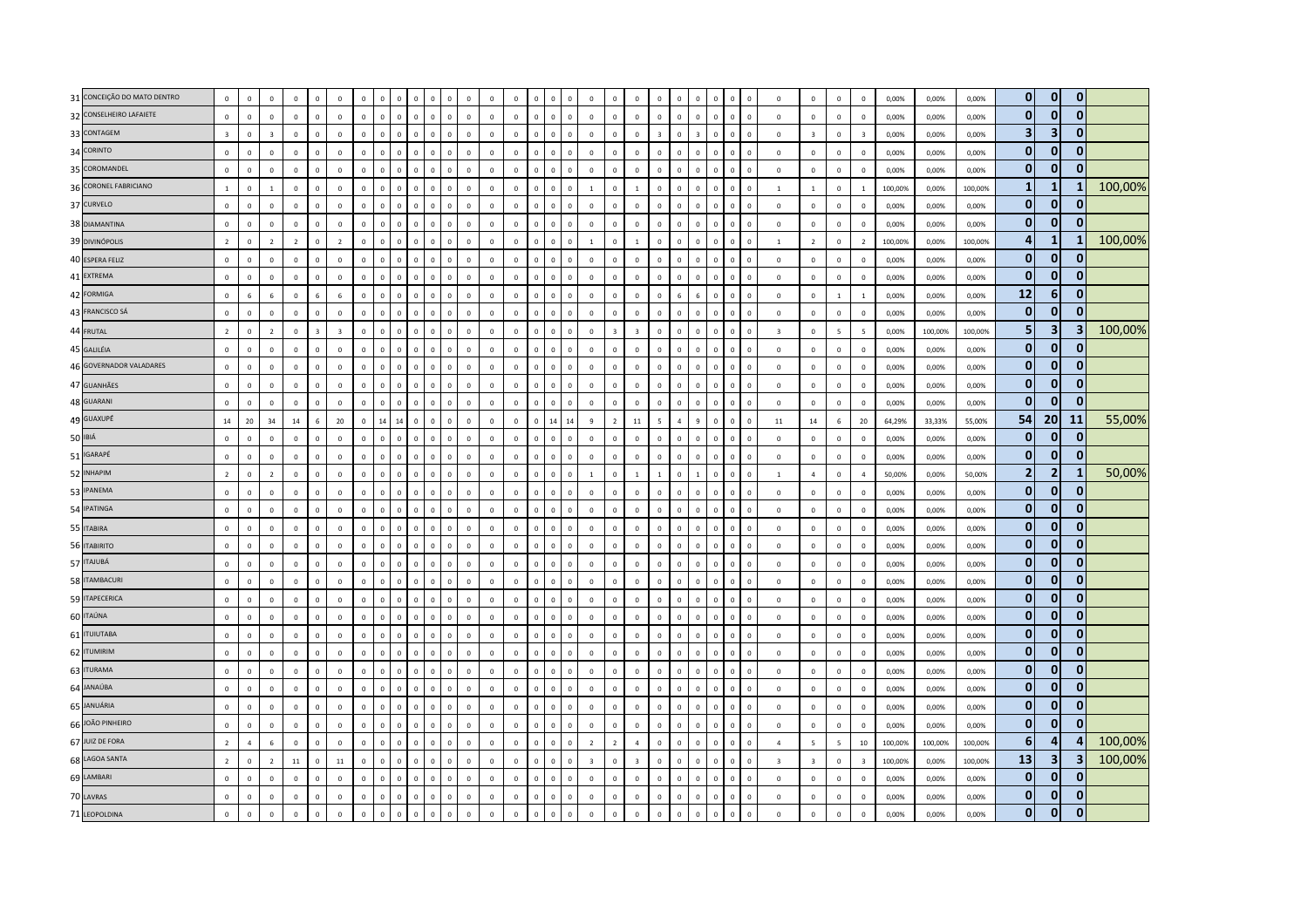| 31 CONCEIÇÃO DO MATO DENTRO | $\mathbf 0$             | $\mathbf 0$     | $\mathbf{0}$   | $\mathbf 0$    | $\mathbf 0$    | $\mathbf 0$             | $\mathbf 0$    |              |                | $\Omega$       | $\Omega$     | 0<br>$\Omega$ |              | $\mathbb O$ | $\mathbf 0$  | $\mathbf 0$  | $\overline{0}$<br>$\mathbf{0}$   | $\mathbf 0$             | $\mathbf 0$              | $\mathbb O$             | $\mathbf 0$             | $\mathbf 0$    | $\overline{0}$          | $\Omega$     | $\mathbb O$<br>$\overline{0}$          | $\mathbf 0$             | $\mathbf 0$              | $\mathbf 0$              | $\mathbf 0$             | 0,00%   | 0,00%   | 0,00%   | $\mathbf 0$     | $\mathbf{0}$            | $\mathbf 0$  |         |
|-----------------------------|-------------------------|-----------------|----------------|----------------|----------------|-------------------------|----------------|--------------|----------------|----------------|--------------|---------------|--------------|-------------|--------------|--------------|----------------------------------|-------------------------|--------------------------|-------------------------|-------------------------|----------------|-------------------------|--------------|----------------------------------------|-------------------------|--------------------------|--------------------------|-------------------------|---------|---------|---------|-----------------|-------------------------|--------------|---------|
| 32 CONSELHEIRO LAFAIETE     | $\mathbf 0$             | $\mathbf 0$     | $\mathbf 0$    | $\mathbf 0$    | $\mathbf 0$    | $\mathbf 0$             | $\mathbf 0$    | $\circ$      | $\mathbf 0$    | $\mathbf 0$    | $\mathbf 0$  | $\mathbf{0}$  | $\mathbf 0$  | $\mathbf 0$ | $\mathbf 0$  | $\mathbf 0$  | $\mathbf 0$<br>$\mathsf 0$       | $\mathbb O$             | $\circ$                  | $\mathbf 0$             | $\mathbf 0$             | $\mathbf 0$    | $\mathsf 0$             | $\mathbf{0}$ | $\mathbf 0$<br>$\overline{\mathbf{0}}$ | $\circ$                 | $\mathsf 0$              | $\mathbf 0$              | $\mathbf 0$             | 0,00%   | 0,00%   | 0,00%   | $\mathbf{0}$    | $\mathbf{0}$            | $\mathbf{0}$ |         |
| 33 CONTAGEM                 | $\overline{\mathbf{3}}$ | $\mathbf 0$     | $\overline{z}$ | $\mathbf 0$    | $\Omega$       | $\mathbf 0$             | $\mathbf 0$    | $\mathbf 0$  | n              | $\Omega$       | $\mathbf 0$  | $\mathbf 0$   | $\mathbf 0$  | $\mathbb O$ | $\mathbb O$  | $\mathbf 0$  | $\overline{0}$<br>$\mathbf{0}$   | $\mathbb O$             | $\mathbf 0$              | $\mathbb O$             | $\overline{\mathbf{3}}$ | $\mathbf 0$    | $\overline{\mathbf{z}}$ | $\mathbf{0}$ | $\mathbb O$<br>$\overline{0}$          | $\mathbf 0$             | $\overline{\mathbf{3}}$  | $\mathbf 0$              | $\overline{\mathbf{3}}$ | 0,00%   | 0.00%   | 0,00%   | 3               | 3                       | $\mathbf{0}$ |         |
| 34 CORINTO                  | $\mathbf 0$             | $\mathsf 0$     | $\mathbf{0}$   | $\Omega$       | $\Omega$       | $\mathbf 0$             | $\mathbf{0}$   | $\Omega$     | $\Omega$       | $\Omega$       | $\Omega$     | $\mathbf 0$   | $\mathbf{0}$ | $\mathbf 0$ | $\mathbf 0$  | $\circ$      | $\mathbf 0$<br>$\mathbf 0$       | $\mathbb O$             | $\mathbf{0}$             | $\overline{0}$          | $\mathbf 0$             | $\mathbf 0$    | $\mathbf{0}$            | $\Omega$     | $\mathbf 0$<br>$\overline{0}$          | $\mathbf 0$             | $\mathsf 0$              | $\,0\,$                  | $\mathbf 0$             | 0,00%   | 0,00%   | 0,00%   | $\mathbf{0}$    | $\mathbf{0}$            | $\mathbf{0}$ |         |
| 35 COROMANDEL               | $\mathsf 0$             | $\mathbf{0}$    | $\mathsf 0$    | $\mathbf 0$    | $\mathbf 0$    | $\mathbf 0$             | $\mathbf{0}$   | $\mathbf{0}$ | $\Omega$       | $\overline{0}$ | $\mathbf{0}$ | $\mathbf 0$   | $\mathbf 0$  | $\mathbb O$ | $\mathbf 0$  | $\mathbf 0$  | $\mathbf 0$<br>$\mathbf 0$       | $\mathbb O$             | $\mathbf 0$              | $\mathbb O$             | $\mathbf{0}$            | $\mathbf 0$    | $\mathsf 0$             | $\mathbf 0$  | $\mathbf 0$<br>$\overline{0}$          | $\mathbf 0$             | $\mathsf 0$              | $\mathbf 0$              | $\mathbf 0$             | 0,00%   | 0,00%   | 0,00%   | $\mathbf{0}$    | $\mathbf{0}$            | $\mathbf{0}$ |         |
| 36 CORONEL FABRICIANO       | $\mathbf{1}$            | $\mathbf 0$     |                | $\mathbf 0$    | $\mathbf 0$    | $\mathbb O$             | $\mathbf{0}$   |              | $\mathbf 0$    | $\overline{0}$ | $\mathbf 0$  | $\mathbf 0$   | $\mathbf 0$  | $\mathbb O$ | $\mathbf 0$  | $\mathbf 0$  | $\mathbf 0$<br>$\overline{0}$    | $\mathbf{1}$            | $\mathbf 0$              | $\mathbf{1}$            | $\mathbf 0$             | $\mathbf 0$    | $\overline{0}$          | $\mathbf 0$  | $\mathbf 0$<br>$\overline{0}$          | $\mathbf{1}$            | $\mathbf{1}$             | $\mathbf 0$              | $\mathbf{1}$            | 100,00% | 0,00%   | 100,00% | $\mathbf{1}$    | $\mathbf{1}$            |              | 100,00% |
| 37 CURVELO                  | $\mathbf{0}$            | $\mathbf{0}$    | $\mathbf{0}$   | $\mathbf{0}$   | $\mathbf{0}$   | $\mathbf{0}$            | $\Omega$       | $\mathbf{0}$ | $\Omega$       | $\Omega$       | $\mathbf{0}$ | $\Omega$      | $\mathbf{0}$ | $\mathbf 0$ | $\mathbf 0$  | $\Omega$     | $\Omega$<br>$\mathbf{0}$         | $\mathbf 0$             | $\mathbf{0}$             | $\overline{0}$          | $\Omega$                | $\circ$        | $\mathbf{0}$            | $\mathbf{0}$ | $\mathbf{0}$<br>$\Omega$               | $\mathbf{0}$            | $\mathbf{0}$             | $\circ$                  | $\mathbf{0}$            | 0.00%   | 0,00%   | 0,00%   | $\mathbf{0}$    | $\mathbf{0}$            | $\mathbf{0}$ |         |
| 38 DIAMANTINA               | $\mathbf 0$             | $\mathbf 0$     | $\mathbf 0$    | $\mathbf 0$    | $\Omega$       | $\mathbf 0$             | $\mathbf 0$    | $\Omega$     | $\Omega$       | $\mathbf 0$    | $\mathbf{0}$ | $\mathbf 0$   | $\mathbf 0$  | $\mathbb O$ | $\circ$      | $\mathbf 0$  | $\overline{0}$<br>$\mathbf 0$    | $\mathbf 0$             | $\mathbf{0}$             | $\mathbb O$             | $\mathbf 0$             | $\circ$        | $\mathsf 0$             | $\mathbf{0}$ | $\mathbf 0$<br>$\overline{\mathbf{0}}$ | $\circ$                 | $\mathsf 0$              | $\mathbf 0$              | $\,0\,$                 | 0,00%   | 0,00%   | 0,00%   | $\mathbf{0}$    | $\mathbf{0}$            | $\mathbf{0}$ |         |
| 39 DIVINÓPOLIS              | $\overline{2}$          | $\mathbf 0$     | $\overline{2}$ | $\overline{2}$ | $\overline{0}$ | $\overline{2}$          | $\mathbf{0}$   | $\Omega$     | $\overline{0}$ | $\overline{0}$ | $\mathbf 0$  | $\mathbf 0$   | $\mathbf 0$  | $\mathbf 0$ | $\mathbf 0$  | $\mathbf 0$  | $\mathbf 0$<br>$\mathbf{0}$      | $\mathbf{1}$            | $\mathbf 0$              | $\mathbf{1}$            | $\mathbf{0}$            | $\mathbf 0$    | $\overline{0}$          | $\mathbf 0$  | $\mathbf 0$<br>$\overline{0}$          | $\mathbf{1}$            | $\overline{2}$           | $\mathbf 0$              | $\overline{2}$          | 100,00% | 0,00%   | 100,00% | 4               | $\mathbf{1}$            | 1            | 100,00% |
| 40 ESPERA FELIZ             | $\mathbf 0$             | $\mathsf 0$     | $\mathbf 0$    | $\mathbf 0$    | $\mathbf 0$    | $\mathbb O$             | $\mathbf{0}$   | $\circ$      | $\mathbf 0$    | $\mathbf 0$    | $\mathbf{0}$ | $\mathsf 0$   | $\mathbf 0$  | $\mathbb O$ | $\mathbf 0$  | $\mathbb O$  | $\,0\,$<br>$\mathbf 0$           | $\mathbb O$             | $\mathbf 0$              | $\mathbb O$             | $\mathbf 0$             | $\mathbf 0$    | $\mathsf 0$             | $\mathbf{0}$ | $\mathbf 0$<br>$\,$ 0                  | $\mathbf 0$             | $\,0\,$                  | $\mathbf 0$              | $\,0\,$                 | 0,00%   | 0,00%   | 0,00%   | $\bf{0}$        | $\mathbf 0$             | $\bf{0}$     |         |
| 41 EXTREMA                  | $\Omega$                | $\Omega$        | $\Omega$       | $\mathbf{0}$   | $\Omega$       | $\mathbf{0}$            | $\Omega$       | $\Omega$     | n              | $\Omega$       | $\mathbf{0}$ | $\Omega$      | $\Omega$     | $\mathbf 0$ | $\Omega$     | $\Omega$     | $\Omega$<br>$\mathbf{0}$         | $\mathbf 0$             | $\mathbf{0}$             | $\mathbf 0$             | $\Omega$                | $\Omega$       | $\Omega$                | $\Omega$     | $\mathbb O$<br>$\Omega$                | $\mathbf{0}$            | $\mathbf{0}$             | $\mathbf 0$              | $\mathbf{0}$            | 0.00%   | 0.00%   | 0.00%   | $\mathbf{0}$    | $\Omega$                | $\mathbf{0}$ |         |
| 42 FORMIGA                  | $\mathbf 0$             | $6\overline{6}$ | 6              | $\mathbf 0$    |                | 6                       | $\mathbf{0}$   | $\Omega$     | $\Omega$       | $\Omega$       | $\Omega$     | $\Omega$      | $\Omega$     | $\mathbf 0$ | $\mathbb O$  | $\mathbf 0$  | $\mathbf 0$<br>$\Omega$          | $\mathbb O$             | $\mathbf{0}$             | $\mathbf 0$             | $\Omega$                |                | 6                       | $\Omega$     | $\mathbb O$<br>$\overline{0}$          | $\circ$                 | $\mathsf 0$              | $\mathbf{1}$             | $\overline{1}$          | 0,00%   | 0,00%   | 0,00%   | 12              | 6                       | $\mathbf{0}$ |         |
| 43 FRANCISCO SÁ             | $\mathbf 0$             | $\mathbf 0$     | $\mathbf 0$    | $\mathbf 0$    | $\mathbf 0$    | $\mathbf 0$             | $\mathsf 0$    | $\mathbf{0}$ | $\Omega$       | $\mathbf 0$    | $\mathbf{0}$ | $\mathbf 0$   | $\mathbf 0$  | $\mathbb O$ | $\circ$      | $\mathbf 0$  | $\,0\,$<br>$\mathbf 0$           | $\,0\,$                 | $\mathbf 0$              | $\,0\,$                 | $\mathbf 0$             | $\mathbf 0$    | $\mathsf 0$             | $\circ$      | $\mathbf 0$<br>$\overline{0}$          | $\mathbf 0$             | $\,0\,$                  | $\mathbf 0$              | $\mathbf 0$             | 0,00%   | 0,00%   | 0,00%   | $\bf{0}$        | $\mathbf{0}$            | $\mathbf{0}$ |         |
| 44 FRUTAL                   | $\overline{2}$          | $\mathbf 0$     | $\overline{z}$ | $\mathbf 0$    | $\overline{3}$ | $\overline{\mathbf{3}}$ | $\mathbf 0$    | $\Omega$     | $\Omega$       | $\Omega$       | $\mathbf{0}$ | $\mathbf 0$   | $\Omega$     | $\mathbb O$ | $\mathbf 0$  | $\mathbf 0$  | $\overline{0}$<br>$\mathbf 0$    | $\mathbb O$             | $\overline{\mathbf{3}}$  | $\overline{\mathbf{3}}$ | $\mathbf 0$             | $\Omega$       | $\Omega$                | $\mathbf{0}$ | $\mathbf 0$<br>$\mathbf 0$             | $\overline{\mathbf{3}}$ | $\,0\,$                  | $\overline{\phantom{a}}$ | $\overline{5}$          | 0,00%   | 100,00% | 100,00% | 5               | $\overline{\mathbf{3}}$ | 3            | 100,00% |
| 45 GALILÉIA                 | $\mathbf 0$             | $\mathbf{0}$    | $\mathbf{0}$   | $\mathbf{0}$   | $\mathbf{0}$   | $\overline{0}$          | $\Omega$       | $\circ$      | $\Omega$       | $\Omega$       | $\mathbf{0}$ | $\mathbf{0}$  | $\mathbf{0}$ | $\mathbb O$ | $\mathbf 0$  | $\mathbf{0}$ | $\overline{0}$<br>$\overline{0}$ | $\overline{0}$          | $\mathbf{0}$             | $\overline{0}$          | $\Omega$                | $\circ$        | $\mathbf{0}$            | $\mathbf{0}$ | $\mathbf 0$<br>$\overline{0}$          | $\mathbf{0}$            | $\mathbf{0}$             | $\mathbf 0$              | $\mathbf 0$             | 0,00%   | 0,00%   | 0,00%   | $\mathbf{0}$    | $\mathbf{0}$            | $\mathbf 0$  |         |
| 46 GOVERNADOR VALADARES     | $\mathbf 0$             | $\mathbf 0$     | $\mathbf 0$    | $\mathbf 0$    | $\overline{0}$ | $\mathbf 0$             | $\mathbf{0}$   | $\Omega$     | $\Omega$       | $\mathbf 0$    | $\mathbf 0$  | $\mathbf 0$   | $\mathbf 0$  | $\mathbf 0$ | $\mathbb O$  | $\mathbf 0$  | $\mathbf 0$<br>$\mathsf 0$       | $\mathbb O$             | $\mathbf 0$              | $\mathbf 0$             | $\mathbf 0$             | $\mathbf 0$    | $\overline{0}$          | $\Omega$     | $\mathbf 0$<br>$\overline{0}$          | $\mathbf 0$             | $\mathbf 0$              | $\mathbf 0$              | $\mathbf 0$             | 0,00%   | 0,00%   | 0,00%   | $\bf{0}$        | $\bf{0}$                | $\mathbf{0}$ |         |
| 47 GUANHÃES                 | $\mathbf 0$             | $\,0\,$         | $\mathbf 0$    | $\mathbf 0$    | $\mathbf 0$    | $\,0\,$                 | $\mathbf 0$    | $\Omega$     | $\mathbf 0$    | $\mathbf 0$    | $\mathbf 0$  | $\mathbf 0$   | $\mathbf 0$  | $\mathbf 0$ | $\mathbb O$  | $\mathbf 0$  | $\,$ 0<br>$\mathbb O$            | $\mathbb O$             | $\,0\,$                  | $\mathbf 0$             | $\mathsf 0$             | $\mathbf 0$    | $\overline{0}$          | $\mathbb O$  | $\mathbf 0$<br>$\overline{0}$          | $\mathbf 0$             | $\,0\,$                  | $\,0\,$                  | $\,0\,$                 | 0,00%   | 0,00%   | 0,00%   | $\bf{0}$        | $\mathbf{0}$            | $\mathbf{0}$ |         |
| 48 GUARANI                  | $\mathbf 0$             | $\mathsf 0$     | $\mathbf{0}$   | $\mathbf 0$    | $\mathbf{0}$   | $\overline{0}$          | $\mathbf 0$    | $\Omega$     | $\Omega$       | $\mathbf{0}$   | $\mathbf{0}$ | $\mathbf 0$   | $\mathbf 0$  | $\mathbb O$ | $\mathbf 0$  | $\mathbf 0$  | $\mathbb O$<br>$\mathbf 0$       | $\mathbb O$             | $\mathbf{0}$             | $\mathbb O$             | $\mathbf 0$             | $\mathbf{0}$   | $\mathsf 0$             | $\mathbf{0}$ | $\mathbf 0$<br>$\overline{0}$          | $\mathbb O$             | $\mathsf 0$              | $\mathsf 0$              | $\mathbf 0$             | 0,00%   | 0,00%   | 0,00%   | $\mathbf{0}$    | $\mathbf{0}$            | $\mathbf{0}$ |         |
| 49 GUAXUPÉ                  | 14                      | 20              | 34             | 14             | -6             | 20                      | $\Omega$       | 14           | 14             | $\Omega$       | $\mathbf{0}$ | $\Omega$      | $\Omega$     | $\mathbb O$ | $\Omega$     | $\Omega$     | 14<br>14                         | $\overline{9}$          | $\overline{\phantom{a}}$ | $11\,$                  | 5                       | $\overline{4}$ | $\mathbf{q}$            | $\Omega$     | $\mathbb O$<br>$\Omega$                | 11                      | 14                       | $\,6\,$                  | 20                      | 64,29%  | 33,33%  | 55,00%  | 54              | 20                      | 11           | 55,00%  |
| 50 IBIÁ                     | $\mathbf 0$             | $\mathsf 0$     | $\mathbf 0$    | $\mathbf 0$    | $\overline{0}$ | $\,0\,$                 | $\mathbf 0$    | $\Omega$     | $\mathbf 0$    | $\overline{0}$ | $\mathbf{0}$ | $\mathbf 0$   | $\mathbf 0$  | $\mathbf 0$ | $\mathbb O$  | $\mathbb O$  | $\mathbf 0$<br>$\mathbf{0}$      | $\mathbf 0$             | $\mathbf 0$              | $\mathbf 0$             | $\mathbf 0$             | $\mathbf 0$    | $\overline{0}$          | $\Omega$     | $\mathbf 0$<br>$\overline{0}$          | $\mathbf 0$             | $\,0\,$                  | $\,0\,$                  | $\,0\,$                 | 0,00%   | 0,00%   | 0,00%   | $\bf{0}$        | $\mathbf{0}$            | $\mathbf 0$  |         |
| 51 IGARAPÉ                  | $\mathbf 0$             | $\,0\,$         | $\mathbf{0}$   | $\mathbf 0$    | $\mathbf 0$    | $\,0\,$                 | $\mathbf 0$    | $\Omega$     | $\Omega$       | $\mathbf 0$    | $\mathbf{0}$ | $\mathbf 0$   | $\mathbf 0$  | $\mathbb O$ | $\mathbf{0}$ | $\mathbf 0$  | $\mathbf 0$<br>$\mathbf 0$       | $\mathbb O$             | $\mathbf{0}$             | $\mathbf 0$             | $\Omega$                | $\Omega$       | $\mathbf 0$             | $\mathbf{0}$ | $\mathbf 0$<br>$\,$ 0                  | $\mathbf{0}$            | $\,0\,$                  | $\mathbf 0$              | $\,0\,$                 | 0,00%   | 0,00%   | 0,00%   | $\mathbf{0}$    | $\mathbf{0}$            | $\mathbf{0}$ |         |
| 52 INHAPIM                  | $\overline{2}$          | $\mathbf 0$     | $\overline{z}$ | $\mathbf 0$    | $\Omega$       | $\mathbb O$             | $\mathbf 0$    | $\Omega$     |                |                | $\Omega$     | $\mathbf 0$   | $\mathbf 0$  | $\mathbb O$ | $\mathbf 0$  | $\mathbf 0$  | $\overline{0}$<br>$\overline{0}$ | $\overline{1}$          | $\mathbf 0$              | $\mathbf{1}$            | $\mathbf{1}$            | $\Omega$       |                         | $\Omega$     | $\mathbf 0$<br>$\overline{0}$          | $\mathbf{1}$            | $\overline{4}$           | $\mathbf 0$              | $\overline{a}$          | 50,00%  | 0,00%   | 50,00%  | $\overline{2}$  | $\overline{2}$          | 1            | 50,00%  |
| 53 IPANEMA                  | $\Omega$                | $\Omega$        | $\Omega$       | $\Omega$       | $\Omega$       | $\Omega$                | $\Omega$       | $\Omega$     | $\Omega$       | $\Omega$       | $\Omega$     | $\Omega$      | $\Omega$     | $\mathbb O$ | $\Omega$     | $\Omega$     | $\overline{0}$<br>$\mathbf{0}$   | $\mathbf{0}$            | $\mathbf{0}$             | $\mathbb O$             | $\Omega$                | $\Omega$       | $\Omega$                | $\Omega$     | $\mathbf{0}$<br>$\Omega$               | $\Omega$                | $\mathsf 0$              | $\mathbf 0$              | $\mathbf 0$             | 0,00%   | 0,00%   | 0,00%   | $\mathbf{0}$    | $\mathbf{0}$            | $\mathbf{0}$ |         |
| 54 IPATINGA                 | $\mathbf 0$             | $\mathbf{0}$    | $\mathbf 0$    | $\mathbf 0$    | $\Omega$       | $\mathbf 0$             | $\mathbf 0$    | $\Omega$     | $\Omega$       | $\overline{0}$ | $\mathbf{0}$ | $\mathbf 0$   | $\mathbf 0$  | $\mathbb O$ | $\circ$      | $\mathbf 0$  | $\,0\,$<br>$\mathbf 0$           | $\mathbb O$             | $\mathbf{0}$             | $\mathbb O$             | $\mathbf 0$             | $\mathbf{0}$   | $\Omega$                | $\mathbf{0}$ | $\mathbf 0$<br>$\overline{0}$          | $\circ$                 | $\,0\,$                  | $\mathbf 0$              | $\,0\,$                 | 0,00%   | 0,00%   | 0,00%   | $\bf{0}$        | $\mathbf 0$             | $\mathbf 0$  |         |
| 55 ITABIRA                  | $\mathbf 0$             | $\mathbf 0$     | $\mathbf{0}$   | $\mathbf 0$    | $\Omega$       | $\mathbf 0$             | $\mathbf{0}$   | $\Omega$     | $\Omega$       | $\Omega$       | $\mathbf{0}$ | $\mathbf 0$   | $\mathbf 0$  | $\mathbb O$ | $\mathbb O$  | $\mathbb O$  | $\mathbf 0$<br>$\mathbb O$       | $\mathbf 0$             | $\mathbf{0}$             | $\overline{0}$          | $\mathbf 0$             | $\mathbf 0$    | $\mathbf{0}$            | $\mathbf{0}$ | $\mathbb O$<br>$\overline{0}$          | $\circ$                 | $\mathsf 0$              | $\mathbf 0$              | $\mathbf 0$             | 0,00%   | 0,00%   | 0,00%   | $\mathbf{0}$    | $\Omega$                | $\mathbf{0}$ |         |
| 56 ITABIRITO                | $\mathbf 0$             | $\mathsf 0$     | $\Omega$       | $\mathbf 0$    | $\mathbf 0$    | $\mathbf 0$             | $\mathbf 0$    | $\circ$      | $\mathbf{0}$   | $\mathbf{0}$   | $\mathbf 0$  | $\mathbf 0$   | $\mathbf 0$  | $\mathbb O$ | $\mathbb O$  | $\mathbb O$  | $\mathbf 0$<br>$\mathbf 0$       | $\mathbb O$             | $\mathbf 0$              | $\mathbf 0$             | $\mathbf{0}$            | $\mathbf 0$    | $\mathsf 0$             | $\circ$      | $\mathbf 0$<br>$\overline{\mathbf{0}}$ | $\mathbf 0$             | $\mathsf 0$              | $\mathbf 0$              | $\mathbf 0$             | 0,00%   | 0,00%   | 0,00%   | $\mathbf{0}$    | $\mathbf 0$             | $\mathbf{0}$ |         |
| 57 ITAJUBÁ                  | $\mathbf 0$             | $\Omega$        | $\Omega$       | $\Omega$       | $\Omega$       | $\Omega$                | $\Omega$       | $\Omega$     | $\Omega$       | $\Omega$       | $\Omega$     | $\mathbf 0$   | $\mathbf 0$  | $\mathbb O$ | $\Omega$     | $\Omega$     | $\mathbf 0$<br>$\Omega$          | $\Omega$                | $\mathbf 0$              | $\mathbf 0$             | $\Omega$                | $\mathbf 0$    | $\Omega$                | $\Omega$     | $\mathbf 0$<br>$\overline{0}$          | $\Omega$                | $\mathsf 0$              | $\mathbf 0$              | $\mathbf 0$             | 0,00%   | 0,00%   | 0,00%   | $\bf{0}$        | $\mathbf 0$             | $\mathbf{0}$ |         |
| 58 ITAMBACURI               | $\mathbf 0$             | $\mathbf{0}$    | $\Omega$       | $\Omega$       | $\Omega$       | $\mathbf{0}$            | $\Omega$       | $\Omega$     | $\Omega$       | $\Omega$       | $\Omega$     | $\Omega$      | $\Omega$     | $\mathbb O$ | $\mathbf 0$  | $\mathbf{0}$ | $\overline{0}$<br>$\Omega$       | $\mathbf 0$             | $\mathbf{0}$             | $\,0\,$                 | $\Omega$                | $\Omega$       | $\sqrt{2}$              | $\Omega$     | $\mathbf{0}$<br>$\Omega$               | $\mathbf{0}$            | $\,0\,$                  | $\overline{0}$           | $\,0\,$                 | 0,00%   | 0,00%   | 0,00%   | $\mathbf{0}$    | $\mathbf{0}$            | $\bf{0}$     |         |
| 59 ITAPECERICA              | $\mathbf 0$             | $\mathbf 0$     | $\mathbf 0$    | $\mathbf 0$    | $\mathbf 0$    | $\mathbf 0$             | $\mathbf 0$    | $\mathbf{0}$ | $\Omega$       | $\overline{0}$ | $\mathbf{0}$ | $\mathbf 0$   | $\mathbf 0$  | $\mathbb O$ | $\mathbf 0$  | $\mathbf 0$  | $\mathbb O$<br>$\mathbf 0$       | $\mathbb O$             | $\mathbf 0$              | $\mathbb O$             | $\mathbf 0$             | $\Omega$       | $\mathsf 0$             | $\mathbf{0}$ | $\mathbf{0}$<br>$\overline{0}$         | $\mathbf 0$             | $\mathsf 0$              | $\mathbf 0$              | $\mathbf 0$             | 0,00%   | 0,00%   | 0,00%   | $\mathbf{0}$    | $\mathbf{0}$            | $\mathbf{0}$ |         |
| 60 ITAÚNA                   | $\mathbf 0$             | $\mathbf 0$     | $\mathbf 0$    | $\mathbf 0$    | $\mathbf 0$    | $\mathbf 0$             | $\mathbf{0}$   | $\Omega$     | $\Omega$       | $\Omega$       | $\mathbf 0$  | $\mathbf 0$   | $\mathbf 0$  | $\mathbb O$ | $\mathbb O$  | $\mathbf 0$  | $\mathbf 0$<br>$\mathbf{0}$      | $\mathbb O$             | $\mathbf 0$              | $\mathbb O$             | $\mathbf 0$             | $\mathbf 0$    | $\Omega$                | $\Omega$     | $\mathbb O$<br>$\mathbf 0$             | $\mathbf 0$             | $\mathsf 0$              | $\mathbf 0$              | $\mathbf 0$             | 0,00%   | 0,00%   | 0,00%   | $\bf{0}$        | $\mathbf{0}$            | $\mathbf 0$  |         |
| 61 <b>ITUIUTABA</b>         | $\mathbf 0$             | $\mathsf 0$     | $\Omega$       | $\mathbf 0$    | $\Omega$       | $\mathbf 0$             | $\mathbf 0$    | $\Omega$     | $\Omega$       | $\Omega$       | $\Omega$     | $\mathbf 0$   | $\Omega$     | $\mathbf 0$ | $\mathbb O$  | $\mathbf 0$  | $\mathbf 0$<br>$\mathsf 0$       | $\mathbb O$             | $\mathbf 0$              | $\mathbf 0$             | $\mathbf 0$             | $\mathbf 0$    | $\Omega$                | $\Omega$     | $\mathbf 0$<br>$\overline{0}$          | $\circ$                 | $\mathsf 0$              | $\,0\,$                  | $\mathbf 0$             | 0,00%   | 0,00%   | 0,00%   | $\bf{0}$        | $\mathbf 0$             | $\mathbf 0$  |         |
| 62 <b>ITUMIRIM</b>          | $\mathbf{0}$            | $\mathbf 0$     | $\mathbf{0}$   | $\mathbf 0$    | $\Omega$       | $\mathbf 0$             | $\mathbf 0$    | $\Omega$     | $\Omega$       | $\Omega$       | $\mathbf{0}$ | $\mathbf 0$   | $\mathbf 0$  | $\mathbb O$ | $\mathbf{0}$ | $\mathbf 0$  | $\mathbf 0$<br>$\mathbf 0$       | $\mathbf 0$             | $\mathbf 0$              | $\mathbb O$             | $\Omega$                | $\circ$        | $\mathbf{0}$            | $\Omega$     | $\mathbf 0$<br>$\overline{0}$          | $\mathbf 0$             | $\mathsf 0$              | $\mathbf 0$              | $\mathbf 0$             | 0,00%   | 0,00%   | 0,00%   | $\mathbf{0}$    | $\mathbf{0}$            | $\bf{0}$     |         |
| 63 ITURAMA                  | $\mathsf 0$             | $\mathbf 0$     | $\mathbf{0}$   | $\mathbf 0$    | $\Omega$       | $\mathbf 0$             | $\mathbf{0}$   |              |                | $\Omega$       | $\Omega$     | $\mathbf 0$   | $\mathbf 0$  | $\mathbb O$ | $\mathbb O$  | $\mathbf{0}$ | $\mathbf 0$<br>$\mathbf{0}$      | $\mathbb O$             | $\mathbf 0$              | $\mathbf 0$             | $\mathbf{0}$            | $\Omega$       | $\Omega$                | $\mathbf{0}$ | $\mathbf 0$<br>$\overline{0}$          | $\circ$                 | $\mathsf 0$              | $\mathbf 0$              | $\mathbf 0$             | 0,00%   | 0,00%   | 0,00%   | $\mathbf{0}$    | $\Omega$                | $\mathbf{0}$ |         |
| 64 JANAÚBA                  | $\mathsf 0$             | $\mathsf 0$     | $\Omega$       | $\mathbf 0$    | $\mathbf 0$    | $\mathbf 0$             | $\mathbf{0}$   | $\Omega$     | $\Omega$       | $\Omega$       | $\mathbf{0}$ | $\Omega$      | $\mathbf 0$  | $\mathbb O$ | $\mathbb O$  | $\mathbf 0$  | $\mathbf 0$<br>$\mathbf 0$       | $\mathbb O$             | $\mathbf{0}$             | $\mathbb O$             | $\mathbf{0}$            | $\Omega$       | $\overline{0}$          | $\Omega$     | $\mathbf 0$<br>$\overline{0}$          | $\mathbb O$             | $\mathsf 0$              | $\mathsf 0$              | $\mathbf 0$             | 0,00%   | 0,00%   | 0,00%   | $\bf{0}$        | $\mathbf{0}$            | $\mathbf{0}$ |         |
| 65 JANUÁRIA                 | $\Omega$                | $\Omega$        | $\mathbf{0}$   | $\mathbf{0}$   | $\Omega$       | $\mathbf{0}$            | $\Omega$       | $\Omega$     | n              | $\Omega$       | $\mathbf{0}$ | $\Omega$      | $\mathbf{0}$ | $\mathbf 0$ | $\mathbf 0$  | $\Omega$     | $\mathbf 0$<br>$\mathbf{0}$      | $\mathbf 0$             | $\mathbf{0}$             | $\mathbf 0$             | $\Omega$                | $\Omega$       | $\Omega$                | $\Omega$     | $\mathbf 0$<br>$\Omega$                | $\mathbf{0}$            | $\mathbf{0}$             | $\Omega$                 | $\mathbf{0}$            | 0.00%   | 0.00%   | 0.00%   | $\mathbf{0}$    | $\mathbf{0}$            | $\mathbf{0}$ |         |
| 66 JOÃO PINHEIRO            | $\mathbf 0$             | $\mathsf 0$     | $\mathbf 0$    | $\mathbf 0$    | $\Omega$       | $\mathbf 0$             | $\mathbf{0}$   | $\Omega$     | $\Omega$       | $\Omega$       | $\mathbf{0}$ | $\mathbf 0$   | $\mathbf{0}$ | $\mathbf 0$ | $\mathbb O$  | $\circ$      | $\mathbf 0$<br>$\mathsf 0$       | $\mathbb O$             | $\circ$                  | $\,0\,$                 | $\mathbf 0$             | $\mathbf 0$    | $\mathbf{0}$            | $\mathbf{0}$ | $\mathbf 0$<br>$\overline{0}$          | $\mathbf 0$             | $\mathsf 0$              | $\,0\,$                  | $\mathbf 0$             | 0,00%   | 0,00%   | 0,00%   | $\mathbf{0}$    | $\mathbf{0}$            | $\mathbf{0}$ |         |
| 67 JUIZ DE FORA             | $\overline{2}$          | $\overline{4}$  | $\mathbf{6}$   | $\mathbf 0$    | $\mathbf 0$    | $\mathbf 0$             | $\mathbf{0}$   | $\mathbf{0}$ | $\Omega$       | $\mathbf 0$    | $\mathbf{0}$ | $\mathbf{0}$  | $\mathbf 0$  | $\mathbb O$ | $\mathbf 0$  | $\mathbf 0$  | $\mathbf 0$<br>$\mathbf 0$       | $\overline{2}$          | $\overline{2}$           | $\overline{4}$          | $\mathbf{0}$            | $\mathbf 0$    | $\mathsf 0$             | $\mathbf{0}$ | $\mathbf 0$<br>$\overline{\mathbf{0}}$ | $\overline{4}$          | $\overline{\phantom{a}}$ | 5 <sup>1</sup>           | 10                      | 100,00% | 100,00% | 100,00% | $6\phantom{1}6$ | 4                       |              | 100,00% |
| 68 LAGOA SANTA              | $\overline{2}$          | $\mathbf 0$     | $\overline{z}$ | $11\,$         | $\mathbf 0$    | $11\,$                  | $\mathbf 0$    | $\Omega$     | $\mathbf 0$    | $\Omega$       | $\mathbf 0$  | $\mathbf 0$   | $\mathbf 0$  | $\mathbb O$ | $\mathbf 0$  | $\mathbf 0$  | $\mathbf 0$<br>$\mathbf{0}$      | $\overline{\mathbf{3}}$ | $\mathbf 0$              | $\overline{\mathbf{3}}$ | $\mathbf 0$             | $\mathbf 0$    | $\Omega$                | $\Omega$     | $\mathbb O$<br>$\overline{0}$          | $\overline{\mathbf{3}}$ | $\overline{\mathbf{3}}$  | $\mathsf 0$              | $\overline{\mathbf{3}}$ | 100,00% | 0,00%   | 100,00% | 13              | 3                       | 3            | 100,00% |
| 69 LAMBARI                  | $\mathbf{0}$            | $\mathbf{0}$    | $\mathbf{0}$   | $\mathbf{0}$   | $\mathbf{0}$   | $\mathbf{0}$            | $\Omega$       | $\mathbf{0}$ | $\Omega$       | $\Omega$       | $\mathbf{0}$ | $\Omega$      | $\mathbf{0}$ | $\mathbf 0$ | $\mathbf 0$  | $\Omega$     | $\overline{0}$<br>$\mathbf{0}$   | $\mathbf 0$             | $\mathbf{0}$             | $\overline{0}$          | $\mathbf{0}$            | $\circ$        | $\mathbf{0}$            | $\mathbf{0}$ | $\mathbf{0}$<br>$\Omega$               | $\mathbf{0}$            | $\mathbf{0}$             | $\circ$                  | $\mathbf{0}$            | 0.00%   | 0.00%   | 0,00%   | $\mathbf{0}$    | $\mathbf{0}$            | $\mathbf{0}$ |         |
| 70 LAVRAS                   | $\mathbf 0$             | $\mathsf 0$     | $\mathbf 0$    | $\mathbf 0$    | $\Omega$       | $\mathbf 0$             | $\mathbf 0$    | $\mathbf{0}$ | $\mathbf 0$    | $\mathbf 0$    | $\mathbf 0$  | $\mathbf 0$   | $\mathbf 0$  | $\mathbf 0$ | $\mathbb O$  | $\mathbf 0$  | $\,0\,$<br>$\mathbf 0$           | $\mathbb O$             | $\mathbf 0$              | $\mathbb O$             | $\mathbf 0$             | $\mathbf 0$    | $\mathsf 0$             | $\circ$      | $\mathbf 0$<br>$\overline{0}$          | $\circ$                 | $\,0\,$                  | $\mathbf 0$              | $\mathbf 0$             | 0,00%   | 0,00%   | 0,00%   | $\mathbf{0}$    | $\bf{0}$                | $\bf{0}$     |         |
| 71 LEOPOLDINA               | $\mathbf 0$             | $\mathbf 0$     | $\mathbf{0}$   | $\mathbf 0$    | $\theta$       | $\overline{0}$          | $\overline{0}$ |              |                |                | $\Omega$     | $\mathbf 0$   | $\mathbf 0$  | $\mathbf 0$ | $\mathbf 0$  | $\mathsf 0$  | $\overline{0}$<br>$\overline{0}$ | $\mathbf 0$             | $\mathbf 0$              | $\mathbf 0$             | $\mathbf{0}$            | $\mathbf 0$    | $\Omega$                | $\mathbf 0$  | $\mathbf 0$<br>$\overline{0}$          | $\mathbf 0$             | $\overline{0}$           | $\mathbf{0}$             | $\mathbf 0$             | 0,00%   | 0,00%   | 0,00%   | 0               | O                       | $\mathbf{0}$ |         |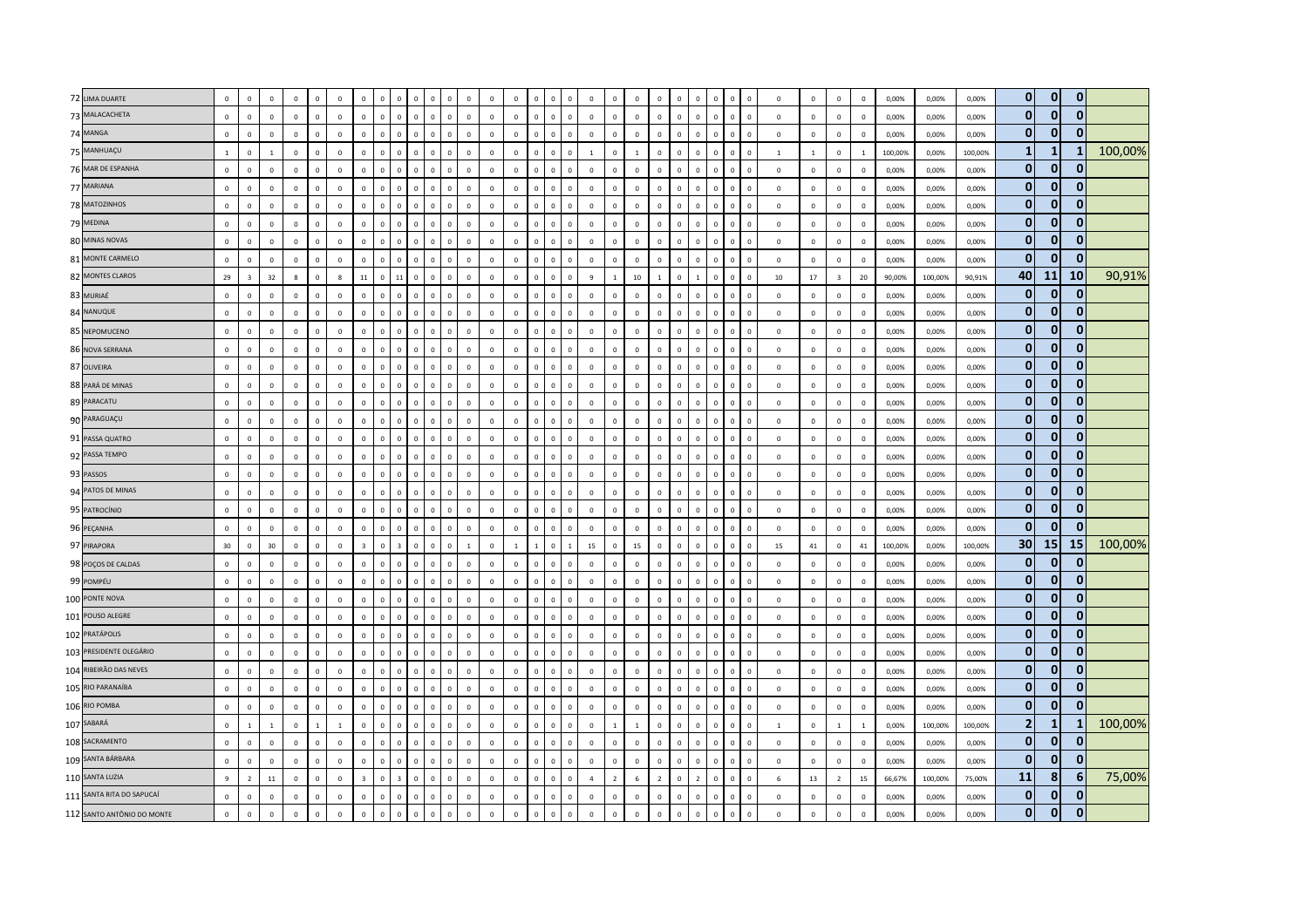| 72 LIMA DUARTE             | $\mathbf{0}$ | $\mathbf 0$    | $\mathbf 0$    | $\mathbf 0$  |              | $\overline{0}$ | $\mathbf 0$             |              | $\circ$                 | $\overline{0}$          | $\mathbf 0$                   | $\mathbf 0$    | $\overline{0}$          |              | $\mathbf 0$  | $\overline{0}$ | $\circ$      | $\mathbf 0$    | $\mathbf{0}$   | $\mathbf 0$    | $\mathbf 0$    | $\mathbf 0$  | $\,0\,$                 | $\Omega$     | $\mathbf 0$<br>$\overline{0}$          | $\circ$      | $\overline{0}$ | $\,0\,$        | $\mathbf 0$    | 0,00%   | 0,00%   | 0,00%   | $\overline{0}$  | $\overline{0}$ | $\mathbf 0$  |         |
|----------------------------|--------------|----------------|----------------|--------------|--------------|----------------|-------------------------|--------------|-------------------------|-------------------------|-------------------------------|----------------|-------------------------|--------------|--------------|----------------|--------------|----------------|----------------|----------------|----------------|--------------|-------------------------|--------------|----------------------------------------|--------------|----------------|----------------|----------------|---------|---------|---------|-----------------|----------------|--------------|---------|
| 73 MALACACHETA             | $\mathbf 0$  | $\mathsf 0$    | $\mathsf 0$    | $\mathbf 0$  | $\Omega$     | $\mathbf 0$    | $\mathbf 0$             | $\mathbf 0$  | $\mathbf 0$             | $\mathbf 0$             | $\mathbf 0$<br>$\mathbf 0$    | $\mathbf 0$    | $\mathbf 0$             | $\mathbf 0$  | $\mathbf{0}$ | $\mathbf 0$    | $\mathbf 0$  | $\mathbf 0$    | $\mathbf 0$    | $\mathbb O$    | $\mathbf 0$    | $\mathbf 0$  | $\overline{\mathbf{0}}$ | $\circ$      | $\mathbf 0$<br>$\overline{\mathbf{0}}$ | $\mathbf 0$  | $\,0\,$        | $\mathsf 0$    | $\mathbf 0$    | 0,00%   | 0,00%   | 0,00%   | $\mathbf{0}$    | $\mathbf{0}$   | $\mathbf{0}$ |         |
| 74 MANGA                   | $\mathbf{0}$ | $\mathbf 0$    | $\mathsf 0$    | $\mathbf{0}$ | $\Omega$     | $\mathbb O$    | $\mathsf 0$             | $\Omega$     | $\mathbf 0$             | $\mathsf 0$             | $\mathbf 0$<br>$\Omega$       | $\circ$        | $\mathbf 0$             | $\mathbf 0$  | $\mathbf 0$  | $\mathbf 0$    | $\mathsf 0$  | $\mathbb O$    | $\mathbf{0}$   | $\mathbf{0}$   | $\mathsf 0$    | $\mathbf 0$  | $\,$ 0                  | $\mathbf 0$  | $\mathbf 0$<br>$\overline{0}$          | $\mathbf 0$  | $\mathbf 0$    | $\mathbf{0}$   | $\mathbf 0$    | 0,00%   | 0.00%   | 0,00%   | $\mathbf{0}$    | $\mathbf{0}$   | $\mathbf{0}$ |         |
| 75 MANHUAÇU                | $\mathbf{1}$ | $\mathsf 0$    | $\blacksquare$ | $\Omega$     | $\Omega$     | $\overline{0}$ | $\mathbf 0$             | $\circ$      | $\mathbf{0}$            | $\,$ 0                  | $\mathbf 0$<br>$\mathbf{0}$   | $\circ$        | $\overline{0}$          | $\mathbf{0}$ | $\circ$      | $\overline{0}$ | $\mathsf 0$  | $\overline{1}$ | $\mathbf{0}$   | $\mathbf{1}$   | $\mathbf 0$    | $\mathbf 0$  | $\,$ 0                  | $\mathbf{0}$ | $\mathbf 0$<br>$\overline{\mathbf{0}}$ | $\mathbf{1}$ | $\overline{1}$ | $\mathbf 0$    | $\overline{1}$ | 100,00% | 0,00%   | 100,00% | $\mathbf{1}$    | 1              | 1            | 100,00% |
| 76 MAR DE ESPANHA          | $\mathbf{0}$ | $\mathsf 0$    | $\mathsf 0$    | $\mathbf{0}$ | $\Omega$     | $\mathbb O$    | $\mathbf 0$             | $\mathbf 0$  | $\mathbf 0$             | $\mathbf 0$             | $\mathbf 0$<br>$\mathbf 0$    | $\mathbf 0$    | $\mathbf 0$             | $\mathbf 0$  | $\mathbf 0$  | $\mathbf 0$    | $\mathbf 0$  | $\mathbb O$    | $\mathbf{0}$   | $\mathbb O$    | $\mathsf 0$    | $\mathbf 0$  | $\,$ 0                  | $\circ$      | $\mathbf 0$<br>$\overline{\mathbf{0}}$ | $\mathbf 0$  | $\mathbf 0$    | $\mathbf 0$    | $\mathbf 0$    | 0,00%   | 0,00%   | 0,00%   | $\mathbf{0}$    | $\mathbf{0}$   | $\mathbf 0$  |         |
| 77 MARIANA                 | $\mathbf 0$  | $\mathbf 0$    | $\mathbf 0$    | $\mathbf 0$  |              | $\mathbb O$    | $\mathbf 0$             | $\Omega$     | $\mathbf 0$             | $\mathsf 0$             | $\mathbf{0}$                  | $\mathbb O$    | $\mathbf 0$             | $\mathbf 0$  | $\mathbf 0$  | $\mathbf 0$    | $\mathbf 0$  | $\mathbb O$    | $\mathbf 0$    | $\mathbf 0$    | $\mathbf 0$    | $\mathbf 0$  | $\,$ 0                  | $\mathbf 0$  | $\mathbf 0$<br>$\overline{0}$          | $\mathbf 0$  | $\mathbf{0}$   | $\mathbf 0$    | $\mathbf 0$    | 0,00%   | 0,00%   | 0,00%   | $\bf{0}$        | $\bf{0}$       | $\mathbf{0}$ |         |
| 78 MATOZINHOS              | $\mathbf{0}$ | $\overline{0}$ | $\mathbf{0}$   | $\Omega$     | $\Omega$     | $\mathbf 0$    | $\mathbf{0}$            | $\Omega$     | $\mathbf{0}$            | $\overline{0}$          | $\Omega$<br>$\mathbf{0}$      | $\mathbf{0}$   | $\mathbf 0$             | $\mathbf{0}$ | $\mathbf{0}$ | $\mathbf{0}$   | $\circ$      | $\mathbf 0$    | $\circ$        | $\overline{0}$ | $\mathbf{0}$   | $\mathbf{0}$ | $\mathbf{0}$            | $\mathbf{0}$ | $\mathbf{0}$<br>$\Omega$               | $\mathbf{0}$ | $\overline{0}$ | $\mathbf{0}$   | $\mathbf 0$    | 0.00%   | 0,00%   | 0,00%   | $\mathbf{0}$    | $\mathbf{0}$   | $\mathbf{0}$ |         |
| 79 MEDINA                  | $\mathbf 0$  | $\mathbf 0$    | $\Omega$       | $\Omega$     | $\Omega$     | $\mathbf 0$    | $\mathbf 0$             | $\Omega$     | $\circ$                 | $\overline{0}$          | $\mathbf 0$<br>$\mathbf{0}$   | $\mathbf 0$    | $\mathbf 0$             | $\Omega$     | $\mathbf 0$  | $\mathbf 0$    | $\mathsf 0$  | $\mathbf 0$    | $\mathbf{0}$   | $\mathbf{0}$   | $\mathbf 0$    | $\mathbf{0}$ | $\,$ 0                  | $\Omega$     | $\mathbf 0$<br>$\overline{\mathbf{0}}$ | $\mathbf{0}$ | $\overline{0}$ | $\overline{0}$ | $\mathbf 0$    | 0,00%   | 0,00%   | 0,00%   | $\mathbf{0}$    | $\mathbf{0}$   | $\mathbf{0}$ |         |
| 80 MINAS NOVAS             | $\mathbf 0$  | $\mathsf 0$    | $\mathsf 0$    | $\mathbf 0$  |              | $\mathbf 0$    | $\mathbf 0$             | $\Omega$     | $\mathbf 0$             | $\mathbf 0$             | $\mathbf 0$<br>$\mathsf 0$    | $\mathbb O$    | $\mathbf 0$             | $\mathbf 0$  | $\mathbf 0$  | $\mathbf 0$    | $\mathbf 0$  | $\mathbb O$    | $\mathbf 0$    | $\mathbf 0$    | $\mathbf 0$    | $\mathbf 0$  | $\mathbf 0$             | $\mathbf 0$  | $\mathbf 0$<br>$\overline{0}$          | $\mathbf 0$  | $\mathbf 0$    | $\mathbf 0$    | $\mathbf 0$    | 0,00%   | 0,00%   | 0,00%   | $\bf{0}$        | $\mathbf{0}$   | $\mathbf 0$  |         |
| 81 MONTE CARMELO           | $\mathbf 0$  | $\mathbf 0$    | $\mathsf 0$    | $\mathbf{0}$ | $\circ$      | $\mathbb O$    | $\mathbf 0$             | $\mathbf 0$  | $\mathbf 0$             | $\,$ 0                  | $\mathbf 0$<br>$\mathbf 0$    | $\mathbb O$    | $\mathbf 0$             | $\mathbf 0$  | $\mathbf 0$  | $\mathbf 0$    | $\mathsf 0$  | $\mathbb O$    | $\mathbf 0$    | $\mathbf 0$    | $\mathsf 0$    | $\mathbf 0$  | $\,$ 0                  | $\mathbf{0}$ | $\mathbf 0$<br>$\overline{\mathbf{0}}$ | $\mathbf 0$  | $\mathbf 0$    | $\mathbf 0$    | $\mathbf 0$    | 0,00%   | 0,00%   | 0,00%   | $\bf{0}$        | $\mathbf{0}$   | $\mathbf 0$  |         |
| 82 MONTES CLAROS           | 29           | $\overline{3}$ | 32             | $\mathbf{g}$ | $\Omega$     | $\mathbf{8}$   | 11                      | $\Omega$     | $11\,$                  | $\overline{0}$          | $\Omega$<br>$\Omega$          | $\mathbf{0}$   | $\mathbf{0}$            | $\mathbf{0}$ | $\Omega$     | $\mathbf 0$    | $\mathbf 0$  | $\overline{9}$ | $\mathbf{1}$   | 10             | $\mathbf{1}$   | $\Omega$     |                         | $\Omega$     | $\mathbf{0}$<br>$\Omega$               | 10           | 17             | $\overline{3}$ | 20             | 90.00%  | 100.00% | 90,91%  | 40              | <b>11</b>      | 10           | 90,91%  |
| 83 MURIAÉ                  | $\mathbf 0$  | $\mathsf 0$    | $\mathsf 0$    | $\mathbf 0$  | $\Omega$     | $\,0\,$        | $\mathbf 0$             | $\Omega$     | $\mathbf 0$             | $\overline{0}$          | $\mathbf{0}$<br>$\Omega$      | $\mathbb O$    | $\,$ 0                  | $\Omega$     | $\mathbf{0}$ | $\mathbf{0}$   | $\mathbf 0$  | $\mathbb O$    | $\mathbf 0$    | $\mathbb O$    | $\mathbf 0$    | $\mathsf 0$  | $\mathbf 0$             | $\Omega$     | $\mathbf 0$<br>$\Omega$                | $\mathbf 0$  | $\mathbf 0$    | $\mathbf 0$    | $\,0\,$        | 0,00%   | 0,00%   | 0,00%   | $\bf{0}$        | $\mathbf{0}$   | $\mathbf 0$  |         |
| 84 NANUQUE                 | $\mathbf 0$  | $\mathbf 0$    | $\mathsf 0$    | $\mathbf{0}$ | $\Omega$     | $\overline{0}$ | $\mathbf 0$             | $\mathbf{0}$ | $\mathbf 0$             | $\,0\,$                 | $\mathbf 0$<br>$\mathbf{0}$   | $\circ$        | $\mathbf 0$             | $\Omega$     | $\mathbf 0$  | $\mathbf 0$    | $\mathbf 0$  | $\mathbb O$    | $\mathbf 0$    | $\mathbf 0$    | $\mathbf 0$    | $\mathbf{0}$ | $\,$ 0                  | $\mathbf{0}$ | $\mathbf 0$<br>$\,$ 0                  | $\mathbf 0$  | $\,0\,$        | $\mathbf{0}$   | $\,0\,$        | 0,00%   | 0,00%   | 0,00%   | $\bf{0}$        | $\mathbf{0}$   | $\mathbf 0$  |         |
| 85 NEPOMUCENO              | $\mathbf 0$  | $\mathbf{0}$   | $\mathbf{0}$   | $\Omega$     |              | $\mathbf 0$    | $\mathbf 0$             | $\Omega$     | $\mathbf 0$             | $\overline{0}$          | $\mathbf{0}$<br>$\mathbf{0}$  | $\mathbf{0}$   | $\,0\,$                 | $\mathbf{0}$ | $\mathbf 0$  | $\mathbf 0$    | $\circ$      | $\mathbf 0$    | $\mathbf 0$    | $\mathbf 0$    | $\mathbf 0$    | $\mathbf{0}$ | $\mathbf{0}$            | $\mathbf{0}$ | $\mathbf 0$<br>$\overline{0}$          | $\mathbf 0$  | $\mathbf{0}$   | $\mathbf{0}$   | $\,0\,$        | 0,00%   | 0,00%   | 0,00%   | $\mathbf{0}$    | 0              | $\bf{0}$     |         |
| 86 NOVA SERRANA            | $\Omega$     | $\overline{0}$ | $\mathbf{0}$   | $\Omega$     | $\Omega$     | $\overline{0}$ | $\mathbf{0}$            | $\Omega$     | $\mathbf{0}$            | $\overline{0}$          | $\mathbf{0}$<br>$\mathbf{0}$  | $\overline{0}$ | $\overline{\mathbf{0}}$ | $\mathbf{0}$ | $\mathbf{0}$ | $\mathbf{0}$   | $\mathbf{0}$ | $\overline{0}$ | $\circ$        | $\mathbf 0$    | $\mathbf{0}$   | $\mathbf{0}$ | $\overline{0}$          | $\mathbf{0}$ | $\mathbf 0$<br>$\overline{0}$          | $\mathbf{0}$ | $\overline{0}$ | $\mathbf 0$    | $\Omega$       | 0,00%   | 0,00%   | 0,00%   | $\mathbf{0}$    | $\mathbf{0}$   | $\mathbf{0}$ |         |
| 87 OLIVEIRA                | $\mathbf{0}$ | $\mathbf 0$    | $\mathsf 0$    | $\mathbf 0$  | $\Omega$     | $\mathbb O$    | $\mathbf 0$             | $\Omega$     | $\mathbf 0$             | $\,$ 0                  | $\mathsf{o}\,$<br>$\Omega$    | $\mathbb O$    | $\mathbf 0$             | $\Omega$     | $\mathbf 0$  | $\mathbf 0$    | $\mathbf 0$  | $\mathbb O$    | $\mathbf 0$    | $\mathbb O$    | $\mathbf{0}$   | $\mathbf 0$  | $\mathbf 0$             | $\Omega$     | $\mathbf 0$<br>$\overline{\mathbf{0}}$ | $\mathbf 0$  | $\mathsf 0$    | $\mathbf 0$    | $\mathbf 0$    | 0,00%   | 0,00%   | 0,00%   | $\bf{0}$        | $\mathbf{0}$   | $\mathbf{0}$ |         |
| 88 PARÁ DE MINAS           | $\mathbf 0$  | $\mathbf 0$    | $\,0\,$        | $\mathbf{0}$ | $\Omega$     | $\,0\,$        | $\mathbf 0$             | $\Omega$     | $\mathbf 0$             | $\,$ 0                  | $\mathbf 0$<br>$\Omega$       | $\mathbb O$    | $\,$ 0                  | $\mathbf 0$  | $\mathbf 0$  | $\mathbf 0$    | $\mathbf 0$  | $\mathbb O$    | $\mathbf 0$    | $\mathbf 0$    | $\mathbf 0$    | $\,0\,$      | $\,$ 0                  | $\mathbf 0$  | $\mathbf 0$<br>$\overline{0}$          | $\mathbf 0$  | $\,0\,$        | $\mathbf{0}$   | $\,0\,$        | 0,00%   | 0,00%   | 0,00%   | $\bf{0}$        | $\mathbf{0}$   | $\Omega$     |         |
| 89 PARACATU                | $\mathbf 0$  | $\mathsf 0$    | $\mathbf{0}$   | $\Omega$     | $\Omega$     | $\mathbb O$    | $\mathbf 0$             | $\Omega$     | $\mathbf 0$             | $\,$ 0                  | $\mathbf{0}$<br>$\mathbf{0}$  | $\circ$        | $\mathbf 0$             | $\mathbf{0}$ | $\mathbf{0}$ | $\mathbf 0$    | $\mathbf{0}$ | $\overline{0}$ | $\circ$        | $\mathbf 0$    | $\mathbf 0$    | $\mathbf{0}$ | $\,0\,$                 | $\mathbf{0}$ | $\mathbf 0$<br>$\overline{\mathbf{0}}$ | $\mathbf 0$  | $\mathbf 0$    | $\mathbf 0$    | $\mathbf 0$    | 0,00%   | 0,00%   | 0,00%   | $\mathbf{0}$    | $\mathbf{0}$   | $\mathbf{0}$ |         |
| 90 PARAGUAÇU               | $\Omega$     | $\mathbf{0}$   | $\Omega$       | $\Omega$     | $\Omega$     | $\Omega$       | $\Omega$                | $\Omega$     | $\mathbf 0$             | $\overline{0}$          | $\Omega$<br>$\Omega$          | $\Omega$       | $\mathbf 0$             | $\Omega$     | $\Omega$     | $\mathbf{0}$   | $\mathbf{0}$ | $\Omega$       | $\mathbf{0}$   | $\mathbf{0}$   | $\Omega$       | $\Omega$     | $\mathbf{0}$            | $\Omega$     | $\mathbf 0$<br>$\Omega$                | $\Omega$     | $\mathbf 0$    | $\mathsf 0$    | $\mathbf 0$    | 0,00%   | 0,00%   | 0,00%   | $\mathbf{0}$    | $\mathbf{0}$   | $\mathbf{0}$ |         |
| 91 PASSA QUATRO            | $\mathbf 0$  | $\,0\,$        | $\,0\,$        | $\mathbf{0}$ | $\Omega$     | $\,0\,$        | $\mathbf 0$             | $\Omega$     | $\mathbf 0$             | $\,$ 0                  | $\mathbf 0$<br>$\Omega$       | $\mathbb O$    | $\,$ 0                  | $\mathbf 0$  | $\mathbf 0$  | $\mathbf 0$    | $\mathbf 0$  | $\mathbb O$    | $\mathbf 0$    | $\mathbb O$    | $\mathbf 0$    | $\mathsf 0$  | $\,$ 0                  | $\mathbf{0}$ | $\mathbf 0$<br>$\overline{0}$          | $\mathbf 0$  | $\,0\,$        | $\mathbf 0$    | $\,0\,$        | 0,00%   | 0,00%   | 0,00%   | $\bf{0}$        | $\mathbf{0}$   | $\mathbf 0$  |         |
| 92 PASSA TEMPO             | $\mathbf 0$  | $\,0\,$        | $\mathbf 0$    | $\mathbf{0}$ | $\Omega$     | $\mathbb O$    | $\mathbf 0$             | $\Omega$     | $\mathbf 0$             | $\,$ 0                  | $\mathbf 0$<br>$\Omega$       | $\mathbb O$    | $\mathbf 0$             | $\mathbf{0}$ | $\mathbf 0$  | $\mathbf 0$    | $\mathbf 0$  | $\mathbb O$    | $\mathbf 0$    | $\mathbf 0$    | $\mathbf 0$    | $\mathbf 0$  | $\,$ 0                  | $\mathbf{0}$ | $\mathbf 0$<br>$\,$ 0                  | $\mathbf 0$  | $\,0\,$        | $\mathbf 0$    | $\mathbf 0$    | 0,00%   | 0,00%   | 0,00%   | $\mathbf{0}$    | $\mathbf{0}$   | $\mathbf{0}$ |         |
| 93 PASSOS                  | $\mathbf{0}$ | $\Omega$       | $\mathsf 0$    | $\mathbf 0$  | $\Omega$     | $\mathbb O$    | $\mathbf 0$             |              | $\mathbf 0$             | $\mathsf 0$             | $\mathbf 0$                   | $\circ$        | $\mathbf 0$             | $\mathbf{0}$ | $\mathbf 0$  | $\Omega$       | $\mathbf 0$  | $\mathbf 0$    | $\mathbf 0$    | $\mathbf 0$    | $\mathbf 0$    | $\mathbf{0}$ | $\,0\,$                 | $\Omega$     | $\mathbf{0}$<br>$\Omega$               | $\mathbf 0$  | $\mathbf 0$    | $\mathbf{0}$   | $\mathbf 0$    | 0,00%   | 0,00%   | 0,00%   | $\mathbf{0}$    | $\mathbf{0}$   | $\mathbf{0}$ |         |
| 94 PATOS DE MINAS          | $\Omega$     | $\overline{0}$ | $\Omega$       | $\Omega$     | $\Omega$     | $\overline{0}$ | $\mathbf 0$             | $\Omega$     | $\mathbf{0}$            | $\,$ 0                  | $\Omega$<br>$\Omega$          | $\Omega$       | $\overline{0}$          | $\mathbf{0}$ | $\mathbf{0}$ | $\overline{0}$ | $\mathbf{0}$ | $\mathbf 0$    | $\mathbf 0$    | $\circ$        | $\mathbf 0$    | $\Omega$     | $\,$ 0                  | $\mathbf{0}$ | $\mathbf 0$<br>$\Omega$                | $\mathbf 0$  | $\mathbf 0$    | $\mathbf 0$    | $\mathbf 0$    | 0,00%   | 0,00%   | 0,00%   | $\bf{0}$        | $\mathbf{0}$   | $\mathbf 0$  |         |
| 95 PATROCÍNIO              | $\mathbf{0}$ | $\mathbf 0$    | $\mathbf 0$    | $\mathbf{0}$ | $\Omega$     | $\overline{0}$ | $\mathbf 0$             | $\mathbf{0}$ | $\mathbf 0$             | $\overline{0}$          | $\mathbf 0$<br>$\mathbf{0}$   | $\mathbf{0}$   | $\,0\,$                 | $\mathbf{0}$ | $\mathbf 0$  | $\mathbf 0$    | $\circ$      | $\,0\,$        | $\mathbf{0}$   | $\overline{0}$ | $\mathbf 0$    | $\mathbf{0}$ | $\,0\,$                 | $\mathbf{0}$ | $\mathbf 0$<br>$\,$ 0                  | $\mathbf{0}$ | $\,0\,$        | $\mathbf{0}$   | $\,0\,$        | 0,00%   | 0,00%   | 0,00%   | $\mathbf{0}$    | $\mathbf{0}$   | $\mathbf{0}$ |         |
| 96 PEÇANHA                 | $\mathbf 0$  | $\mathbf 0$    | $\mathsf 0$    | $\Omega$     | $\Omega$     | $\overline{0}$ | $\mathbf 0$             | $\Omega$     | $\mathbf 0$             | $\mathbf 0$             | $\mathbf 0$<br>$\Omega$       | $\mathbf 0$    | $\mathbf 0$             | $\mathbf 0$  | $\mathbf{0}$ | $\mathbf 0$    | $\mathbf{0}$ | $\mathbb O$    | $\overline{0}$ | $\mathbf 0$    | $\mathbf 0$    | $\mathbf 0$  | $\mathbf 0$             | $\mathbf{0}$ | $\mathbf 0$<br>$\overline{0}$          | $\circ$      | $\mathbf 0$    | $\overline{0}$ | $\mathbf 0$    | 0,00%   | 0,00%   | 0,00%   | $\mathbf{0}$    | $\Omega$       | $\mathbf{0}$ |         |
| 97 PIRAPORA                | 30           | $\mathsf 0$    | 30             | $\mathbf{0}$ | $\Omega$     | $\mathbf 0$    | $\overline{\mathbf{3}}$ | $\Omega$     | $\overline{\mathbf{3}}$ | $\mathbf 0$             | $\mathbf 0$<br>$\mathbf 0$    | $\mathbf{1}$   | $\overline{0}$          | $\mathbf{1}$ | $1\,$        | $\mathbf 0$    | $\mathbf{1}$ | 15             | $\mathbf{0}$   | 15             | $\mathbf 0$    | $\circ$      | $\mathbf 0$             | $\circ$      | $\mathbf 0$<br>$\overline{\mathbf{0}}$ | 15           | 41             | $\mathbf 0$    | 41             | 100,00% | 0,00%   | 100,00% | 30 <sup>1</sup> | 15             | 15           | 100,00% |
| 98 POÇOS DE CALDAS         | $\mathbf{0}$ | $\mathbf 0$    | $\Omega$       | $\Omega$     | $\mathbf{0}$ | $\mathbf 0$    | $\mathbf 0$             | $\Omega$     | $\mathbf 0$             | $\,$ 0                  | $\mathbf 0$<br>$\Omega$       | $\circ$        | $\mathbb O$             | $\Omega$     | $\mathbf 0$  | $\mathbf 0$    | $\Omega$     | $\mathbf 0$    | $\mathbf 0$    | $\mathbf 0$    | $\Omega$       | $\mathbf 0$  | $\,$ 0                  | $\Omega$     | $\mathbf 0$<br>$\Omega$                | $\Omega$     | $\mathbf 0$    | $\mathbf{0}$   | $\mathbf 0$    | 0,00%   | 0.00%   | 0,00%   | $\bf{0}$        | $\mathbf{0}$   | 0            |         |
| 99 POMPÉU                  | $\mathbf 0$  | $\overline{0}$ | $\Omega$       | $\Omega$     | $\Omega$     | $\overline{0}$ | $\Omega$                | $\Omega$     | $\mathbf{0}$            | $\overline{0}$          | $\Omega$<br>$\Omega$          | $\Omega$       | $\,0\,$                 | $\Omega$     | $\Omega$     | $\mathbf 0$    | $\mathbf{0}$ | $\mathbb O$    | $\mathbf 0$    | $\overline{0}$ | $\Omega$       | $\mathbf{0}$ | $\mathbf{0}$            | $\Omega$     | $\mathbf 0$<br>$\Omega$                | $\Omega$     | $\,$ 0         | $\mathbf 0$    | $\mathbf 0$    | 0,00%   | 0,00%   | 0,00%   | $\mathbf{0}$    | $\mathbf{0}$   | $\bf{0}$     |         |
| 100 PONTE NOVA             | $\mathbf 0$  | $\mathsf 0$    | $\mathsf 0$    | $\Omega$     | $\Omega$     | $\mathbb O$    | $\mathbf 0$             | $\Omega$     | $\mathbf 0$             | $\mathbf 0$             | $\mathbf 0$<br>$\Omega$       | $\mathbb O$    | $\mathbf 0$             | $\mathbf{0}$ | $\mathbf 0$  | $\mathbf 0$    | $\mathsf 0$  | $\mathbb O$    | $\mathbf{0}$   | $\mathbf{0}$   | $\mathbf 0$    | $\mathbf{0}$ | $\mathbf 0$             | $\mathbf{0}$ | $\mathbf 0$<br>$\overline{\mathbf{0}}$ | $\circ$      | $\mathbf 0$    | $\mathbf{0}$   | $\mathbf 0$    | 0,00%   | 0,00%   | 0,00%   | $\mathbf{0}$    | $\mathbf{0}$   | $\mathbf{0}$ |         |
| 101 POUSO ALEGRE           | $\mathbf 0$  | $\mathbf 0$    | $\mathsf 0$    | $\mathbf 0$  | $\Omega$     | $\mathbf 0$    | $\mathbf 0$             | $\Omega$     | $\mathbf 0$             | $\mathsf 0$             | $\mathbf 0$<br>$\mathbf 0$    | $\circ$        | $\mathbb O$             | $\mathbf 0$  | $\mathbf 0$  | $\mathbf 0$    | $\mathbf 0$  | $\mathbf{0}$   | $\mathbf 0$    | $\mathbf 0$    | $\mathbf 0$    | $\mathbf 0$  | $\,$ 0                  | $\mathbf{0}$ | $\mathbf 0$<br>$\overline{0}$          | $\mathbf{0}$ | $\mathbf 0$    | $\mathbf 0$    | $\mathbf 0$    | 0,00%   | 0,00%   | 0,00%   | $\overline{0}$  | $\mathbf{0}$   | $\mathbf{0}$ |         |
| 102 PRATÁPOLIS             | $\mathbf{0}$ | $\,0\,$        | $\mathsf 0$    | $\Omega$     | $\Omega$     | $\,0\,$        | $\mathsf 0$             | $\Omega$     | $\mathbf 0$             | $\overline{\mathbf{0}}$ | $\mathbf{0}$<br>$\mathbf 0$   | $\mathbf{0}$   | $\mathbf 0$             | $\mathbf 0$  | $\Omega$     | $\Omega$       | $\mathsf 0$  | $\mathbb O$    | $\mathbf{0}$   | $\mathbf 0$    | $\mathsf 0$    | $\mathbf 0$  | $\,$ 0                  | $\Omega$     | $\mathbf 0$<br>$\Omega$                | $\mathbf 0$  | $\mathbf 0$    | $\mathbf 0$    | $\mathbf 0$    | 0,00%   | 0,00%   | 0,00%   | $\bf{0}$        | $\mathbf 0$    | $\mathbf 0$  |         |
| 103 PRESIDENTE OLEGÁRIO    | $\mathbf{0}$ | $\mathbf 0$    | $\mathbf{0}$   | $\mathbf{0}$ | $\Omega$     | $\overline{0}$ | $\mathbf{0}$            | $\Omega$     | $\mathbf 0$             | $\,$ 0                  | $\mathbf 0$<br>$\Omega$       | $\circ$        | $\mathbf 0$             | $\mathbf{0}$ | $\mathbf 0$  | $\mathbf 0$    | $\mathsf 0$  | $\mathbf 0$    | $\mathbf{0}$   | $\mathbf 0$    | $\mathbf{0}$   | $\mathbf{0}$ | $\,$ 0                  | $\mathbf{0}$ | $\mathbf 0$<br>$\overline{0}$          | $\mathbf{0}$ | $\mathsf 0$    | $\mathbf{0}$   | $\mathbf 0$    | 0,00%   | 0,00%   | 0,00%   | $\bf{0}$        | $\mathbf{0}$   | $\bf{0}$     |         |
| 104 RIBEIRÃO DAS NEVES     | $\mathbf 0$  | $\mathbf{0}$   | $\mathsf 0$    | $\mathbf 0$  |              | $\mathbf 0$    | $\mathbf 0$             | $\Omega$     | $\mathbf 0$             | $\mathbf 0$             | $\mathbf{0}$                  | $\mathbb O$    | $\mathbf 0$             | $\mathbf 0$  | $\mathbf 0$  | $\mathbf 0$    | $\mathbf 0$  | $\mathbb O$    | $\mathbf 0$    | $\mathbf 0$    | $\mathbf 0$    | $\mathsf 0$  | $\mathbf 0$             | $\mathbf{0}$ | $\mathbf 0$<br>$\overline{0}$          | $\mathbf 0$  | $\,0\,$        | $\,0\,$        | $\mathbf 0$    | 0,00%   | 0,00%   | 0,00%   | $\mathbf{0}$    | $\bf{0}$       | $\mathbf{0}$ |         |
| 105 RIO PARANAÍBA          | $\mathbf 0$  | $\mathbf 0$    | $\mathsf 0$    | $\Omega$     | $\Omega$     | $\mathbb O$    | $\mathbf 0$             | $\Omega$     | $\mathbf 0$             | $\mathbf 0$             | $\mathbf 0$<br>$\Omega$       | $\mathbb O$    | $\mathbf 0$             | $\mathbf{0}$ | $\mathbf 0$  | $\mathbf 0$    | $\mathbf 0$  | $\mathbb O$    | $\mathbf 0$    | $\mathbb O$    | $\mathbf 0$    | $\mathbf 0$  | $\,$ 0                  | $\mathbf{0}$ | $\mathbf 0$<br>$\overline{0}$          | $\mathbf 0$  | $\mathbf 0$    | $\mathbf 0$    | $\mathbf 0$    | 0,00%   | 0,00%   | 0,00%   | $\bf{0}$        | $\mathbf{0}$   | $\mathbf 0$  |         |
| 106 RIO POMBA              | $\Omega$     | $\mathbf{0}$   | $\mathbf{0}$   | $\Omega$     | $\Omega$     | $\mathbf 0$    | $\mathbf{0}$            | $\Omega$     | $\mathbf{0}$            | $\overline{0}$          | $\Omega$<br>$\Omega$          | $\mathbf{0}$   | $\mathbf 0$             | $\Omega$     | $\mathbf{0}$ | $\mathbf 0$    | $\circ$      | $\mathbf 0$    | $\circ$        | $\Omega$       | $\mathbf{0}$   | $\Omega$     | $\overline{0}$          | $\mathbf{0}$ | $\mathbf 0$<br>$\Omega$                | $\mathbf{0}$ | $\overline{0}$ | $\Omega$       | $\mathbf 0$    | 0.00%   | 0.00%   | 0.00%   | $\overline{0}$  | $\mathbf{0}$   | $\mathbf{0}$ |         |
| 107 SABARÁ                 | $\mathbf 0$  | $\mathbf{1}$   | $\blacksquare$ | $\Omega$     |              | $\overline{1}$ | $\mathsf 0$             | $\Omega$     | $\mathbf{0}$            | $\,$ 0                  | $\mathbf{0}$<br>$\mathbf{0}$  | $\circ$        | $\overline{0}$          | $\mathbf{0}$ | $\mathbf{0}$ | $\overline{0}$ | $\mathsf 0$  | $\mathbf 0$    | $\overline{1}$ | <sup>1</sup>   | $\mathsf 0$    | $\mathbf 0$  | $\,$ 0                  | $\mathbf{0}$ | $\mathbf 0$<br>$\overline{\mathbf{0}}$ | $\mathbf{1}$ | $\overline{0}$ | $\,$ $\,$      | $\overline{1}$ | 0,00%   | 100,00% | 100,00% | $\overline{2}$  | $\mathbf{1}$   | 1            | 100,00% |
| 108 SACRAMENTO             | $\mathbf 0$  | $\mathsf 0$    | $\mathsf 0$    | $\mathbf 0$  | $\Omega$     | $\mathbf 0$    | $\mathbf 0$             | $\mathbf 0$  | $\mathbf{0}$            | $\mathbf 0$             | $\mathbf 0$<br>$\mathbf 0$    | $\mathbb O$    | $\mathbf 0$             | $\mathbf 0$  | $\circ$      | $\mathbf 0$    | $\mathbf 0$  | $\mathbb O$    | $\mathbf{0}$   | $\mathbb O$    | $\mathsf 0$    | $\mathbf 0$  | $\mathbf 0$             | $\circ$      | $\mathbf 0$<br>$\overline{\mathbf{0}}$ | $\mathbf 0$  | $\,0\,$        | $\mathbf 0$    | $\mathbf 0$    | 0,00%   | 0,00%   | 0,00%   | $\bf{0}$        | $\mathbf{0}$   | $\mathbf 0$  |         |
| 109 SANTA BÁRBARA          | $\mathbf{0}$ | $\mathbf{0}$   | $\mathbf 0$    | $\mathbf 0$  |              | $\mathbb O$    | $\mathsf 0$             | $\Omega$     | $\mathbf 0$             | $\mathsf 0$             | $\mathbf{0}$<br>$\Omega$      | $\circ$        | $\mathbb O$             | $\mathbf 0$  | $\mathbf 0$  | $\overline{0}$ | $\mathbf 0$  | $\mathbb O$    | $\mathbf 0$    | $\mathbf 0$    | $\mathbf 0$    | $\mathsf 0$  | $\,$ 0                  | $\Omega$     | $\mathbf{0}$<br>$\Omega$               | $\mathbf 0$  | $\mathbf 0$    | $\mathbf 0$    | $\mathbf 0$    | 0,00%   | 0,00%   | 0,00%   | $\mathbf{0}$    | $\bf{0}$       | $\bf{0}$     |         |
| 110 SANTA LUZIA            | 9            | $\overline{2}$ | 11             | $\Omega$     | $\Omega$     | $\mathbf 0$    | $\overline{3}$          | $\Omega$     | $\overline{3}$          | $\overline{0}$          | $\Omega$<br>$\mathbf{0}$      | $\mathbf{0}$   | $\mathbf 0$             | $\mathbf{0}$ | $\mathbf{0}$ | $\mathbf{0}$   | $\circ$      | $\overline{4}$ | $\overline{2}$ | 6 <sup>1</sup> | $\overline{2}$ | $\mathbf{0}$ | $\overline{2}$          | $\mathbf{0}$ | $\mathbf{0}$<br>$\Omega$               | 6            | 13             | $\overline{z}$ | 15             | 66,67%  | 100,00% | 75,00%  | 11              | 8              | 6            | 75,00%  |
| 111 SANTA RITA DO SAPUCAÍ  | $\mathbf 0$  | $\mathsf 0$    | $\mathsf 0$    | $\mathbf 0$  | $\Omega$     | $\mathbf 0$    | $\mathsf 0$             | $\mathbf{0}$ | $\mathbf 0$             | $\,0\,$                 | $\mathbf 0$<br>$\overline{0}$ | $\circ$        | $\,0\,$                 | $\mathbf 0$  | $\mathbf 0$  | $\mathbf 0$    | $\mathbf 0$  | $\overline{0}$ | $\mathbf 0$    | $\mathbf 0$    | $\mathbf 0$    | $\mathbf 0$  | $\,$ 0                  | $\circ$      | $\mathbf 0$<br>$\overline{\mathbf{0}}$ | $\mathbf 0$  | $\,0\,$        | $\,0\,$        | $\mathbf 0$    | 0,00%   | 0,00%   | 0,00%   | $\bf{0}$        | $\mathbf{0}$   | $\mathbf{0}$ |         |
| 112 SANTO ANTÔNIO DO MONTE | $\mathbf 0$  | $\mathbf 0$    | $\mathbf{0}$   | $\mathbf 0$  |              | $\mathbf 0$    | $\mathbf{0}$            |              | $\mathbf 0$             | $\mathbf 0$             | $\mathbf 0$                   | $\mathbb O$    | $\mathbf 0$             |              | $\mathbf{0}$ | $\Omega$       | $\Omega$     | $\mathbf 0$    | $\mathbf 0$    | $\pmb{0}$      | $\mathbf 0$    | $\mathbf{0}$ | $\overline{0}$          | $\mathbf 0$  | $\mathbf 0$<br>$\overline{0}$          | $\mathbf 0$  | $\mathbf{0}$   | $\mathbf{0}$   | $\mathbf 0$    | 0,00%   | 0,00%   | 0,00%   | $\mathbf 0$     | $\bf{0}$       | $\mathbf{0}$ |         |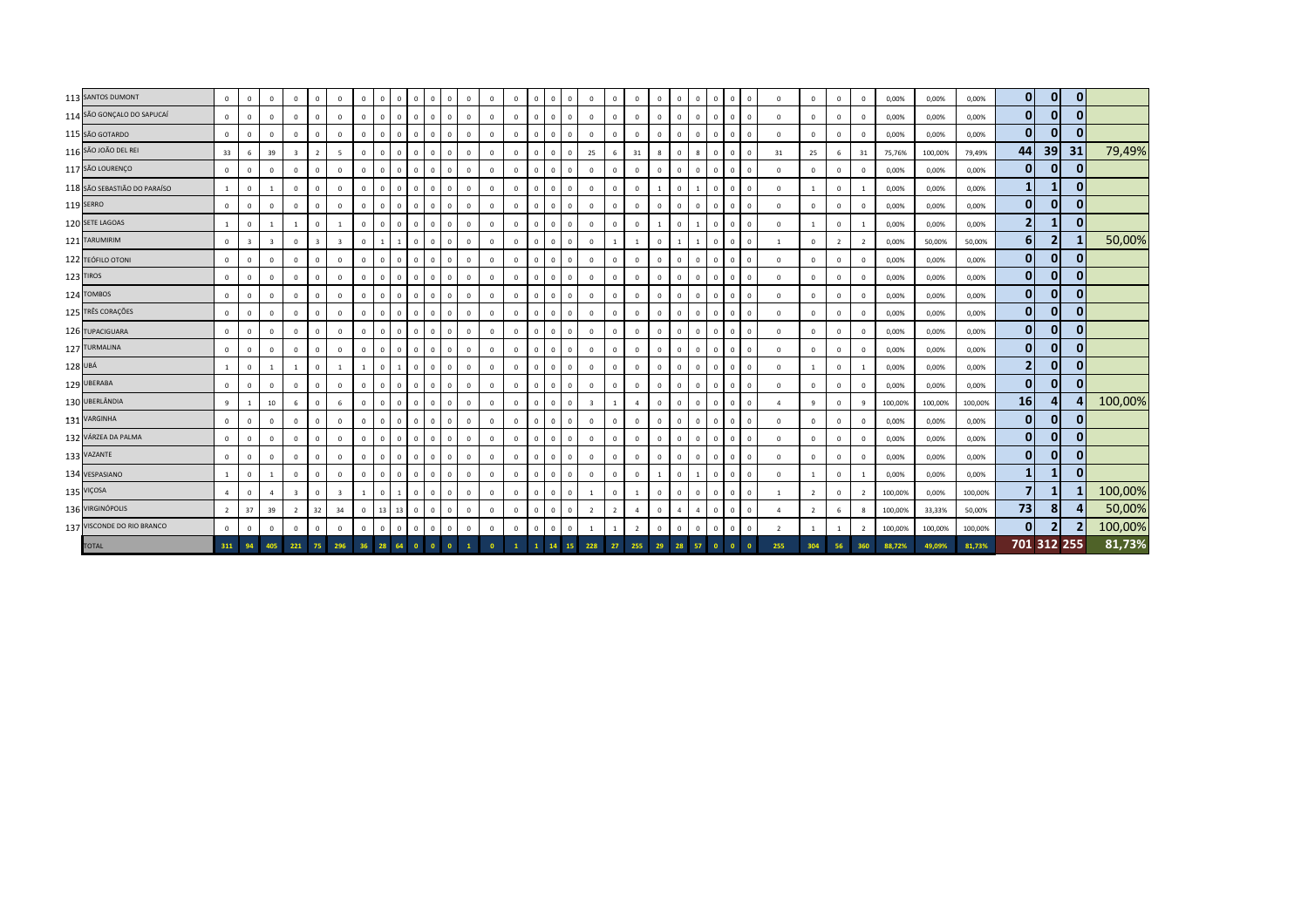| 113 SANTOS DUMONT            | $\overline{0}$ | $\mathbf{0}$   | $\mathbf{0}$            | $\mathbf{0}$            | $\mathbf{0}$            | $\mathbf{0}$            | $\mathbf 0$    | $\mathbf{0}$ | $\mathbf{0}$   | $\overline{0}$              | $\Omega$<br>$\Omega$           | $\circ$        | $\mathbf{0}$   | $\mathbf{0}$   | $\overline{0}$ | $\overline{\mathbf{0}}$ | $\circ$      | $\mathbf{0}$            | $\Omega$       | $\mathbf{0}$   | $\Omega$    | $\mathbf{0}$   | $\circ$        | $\overline{0}$ | $\overline{0}$<br>$\mathbf{0}$   | $\mathbf{0}$   | $\overline{0}$ | $\mathbf{0}$   | $\mathbf{0}$   | 0,00%   | 0,00%   | 0,00%   | $\overline{0}$          | $\overline{0}$ | $\mathbf{0}$ |         |
|------------------------------|----------------|----------------|-------------------------|-------------------------|-------------------------|-------------------------|----------------|--------------|----------------|-----------------------------|--------------------------------|----------------|----------------|----------------|----------------|-------------------------|--------------|-------------------------|----------------|----------------|-------------|----------------|----------------|----------------|----------------------------------|----------------|----------------|----------------|----------------|---------|---------|---------|-------------------------|----------------|--------------|---------|
| 114 SÃO GONÇALO DO SAPUCAÍ   | $\overline{0}$ | $^{\circ}$     | $\mathbf 0$             | $\mathbf{0}$            | $\mathbf{0}$            | $\mathbf{0}$            | $\overline{0}$ | $\circ$      | $\overline{0}$ | $\mathbf{0}$<br>$\mathbf 0$ | $\Omega$                       | $\circ$        | $\mathbf{0}$   | $\mathbf 0$    | $\overline{0}$ | $\overline{0}$          | $\mathbf{0}$ | $\mathbf{0}$            | $\mathbf{0}$   | $\mathbf 0$    | $^{\circ}$  | $\mathbf{0}$   | $\overline{0}$ | $\circ$        | $\overline{0}$<br>$\mathbf{0}$   | $\mathbf{0}$   | $\mathbf{0}$   | $\mathbf 0$    | $\mathbf 0$    | 0,00%   | 0,00%   | 0,00%   | $\mathbf{0}$            | $\mathbf{0}$   | $\mathbf{0}$ |         |
| 115 SÃO GOTARDO              | $\overline{0}$ | $^{\circ}$     | $\mathbf 0$             | $\mathbf 0$             | $\mathbf{0}$            | $\mathbf{0}$            | $\,0\,$        | $\mathbf{0}$ | $\mathbf{0}$   | $\mathbf{0}$                | $\mathbf 0$<br>$\mathbf 0$     | $\circ$        | $\mathbf 0$    | $\mathbf 0$    | $\overline{0}$ | $\overline{\mathbf{0}}$ | $\mathbf{0}$ | $\mathbf{0}$            | $\mathbf 0$    | $\mathbf 0$    | $\Omega$    | $\circ$        | $\overline{0}$ | $\circ$        | $\overline{0}$<br>$\mathbf 0$    | $\mathbf{0}$   | $\mathbf{0}$   | $\mathbf 0$    | $\mathbf 0$    | 0,00%   | 0,00%   | 0,00%   | $\overline{0}$          | $\overline{0}$ | $\mathbf{0}$ |         |
| 116 SÃO JOÃO DEL REI         | 33             | 6              | 39                      | $\overline{\mathbf{3}}$ | $\overline{2}$          | 5                       | $\,0\,$        | $\mathbf{0}$ | $\mathbf{0}$   | $\overline{0}$              | $\mathbf 0$<br>$\mathbf 0$     | $\mathbf 0$    | $\mathbf 0$    | $\mathbb O$    | $\overline{0}$ | $\overline{0}$          | $\mathbf{0}$ | 25                      | 6              | 31             | 8           | $\mathbf{0}$   | 8              | $\mathbf{0}$   | $\overline{0}$<br>$\mathbf 0$    | 31             | 25             | 6              | $31\,$         | 75,76%  | 100,00% | 79,49%  | 44                      | 39             | 31           | 79,49%  |
| 117 SÃO LOURENÇO             | $\overline{0}$ | $^{\circ}$     | $\Omega$                | $\Omega$                | $\Omega$                | $\mathbf 0$             | $\,0\,$        | $\circ$      | $\mathbf{0}$   | $\mathbf{0}$<br>$\Omega$    | $\Omega$                       | $\mathbf 0$    | $\mathbf 0$    | $\mathbb O$    | $\Omega$       | $\overline{0}$          | $^{\circ}$   | $\mathbf 0$             | $\Omega$       | $\mathbf 0$    | $\Omega$    | $\mathsf 0$    | $\overline{0}$ | $\circ$        | $\overline{0}$<br>$\Omega$       | $\mathbf{0}$   | $\mathbf 0$    | $^{\circ}$     | $\Omega$       | 0,00%   | 0,00%   | 0,00%   | $\overline{0}$          | $\mathbf{0}$   | $\mathbf{0}$ |         |
| 118 SÃO SEBASTIÃO DO PARAÍSO | $\mathbf{1}$   | $^{\circ}$     | $\mathbf{1}$            | $\mathbf 0$             | $\mathbf{0}$            | $\mathbf{0}$            | $\,0\,$        | $\mathbf{0}$ | $\overline{0}$ | $\mathbf{0}$<br>$\mathbf 0$ | $\Omega$                       | $\circ$        | $\mathbf{0}$   | $\mathbf 0$    | $\mathbf 0$    | $\overline{0}$          | $\mathbf{0}$ | $\mathbf 0$             | $^{\circ}$     | $\mathbf{0}$   |             | $\mathbf{0}$   |                | $\mathbf{0}$   | $\overline{0}$<br>$\mathbf 0$    | $\mathbf{0}$   | 1              | $\mathbf 0$    |                | 0,00%   | 0,00%   | 0,00%   | $\mathbf{1}$            | 1              | $\mathbf{0}$ |         |
| 119 SERRO                    | $\overline{0}$ | $^{\circ}$     | $\mathbf 0$             | $\mathbf 0$             | $\mathbf{0}$            | $\mathbf 0$             | $\,0\,$        | $\mathbf{0}$ | $\overline{0}$ | $\mathbf{0}$                | $\mathbf 0$<br>$\mathbf 0$     | $\mathbf 0$    | $\mathbf 0$    | $\overline{0}$ | $\mathbf 0$    | $\overline{0}$          | $^{\circ}$   | $\mathbf 0$             | $^{\circ}$     | $\mathbf 0$    | $\Omega$    | $\mathbf{0}$   | $\Omega$       | $\mathbf{0}$   | $\overline{0}$<br>$\Omega$       | $\mathbf{0}$   | $\mathbf{0}$   | $\mathbf{0}$   | $\mathbf 0$    | 0,00%   | 0,00%   | 0,00%   | $\mathbf{0}$            | $\mathbf{0}$   | $\mathbf{0}$ |         |
| 120 SETE LAGOAS              | $\mathbf{1}$   | $\mathbf{0}$   | $\mathbf{1}$            | $\overline{1}$          | $\mathbf{0}$            | $\overline{1}$          | $\mathbf{0}$   | $\mathbf{0}$ | $\overline{0}$ | $\mathbf{0}$                | $\mathbf 0$<br>$\Omega$        | $\circ$        | $\mathbf 0$    | $\mathbf 0$    | $\mathbf 0$    | $\overline{0}$          | $\mathbf{0}$ | $\mathbf 0$             | $\mathbf 0$    | $\mathbf 0$    |             | $\mathbf{0}$   |                | $\mathbf{0}$   | $\overline{0}$<br>$\mathbf 0$    | $\mathbf{0}$   | 1              | $\mathbf 0$    |                | 0,00%   | 0,00%   | 0,00%   | $\mathbf{2}$            | 1              | $\mathbf{0}$ |         |
| 121 TARUMIRIM                | $\mathbf 0$    | $\overline{3}$ | $\overline{\mathbf{3}}$ | $\overline{0}$          | $\overline{\mathbf{3}}$ | $\overline{\mathbf{3}}$ | $\,0\,$        | $\mathbf{1}$ |                | $\mathbf{0}$<br>$\mathbf 0$ | $\Omega$                       | $\,0\,$        | $\mathbf{0}$   | $\mathbb O$    | $\mathbf 0$    | $\overline{0}$          | $\mathbf{0}$ | $\mathbf 0$             |                | -1             | $^{\circ}$  | $\mathbf{1}$   |                | $\mathbf 0$    | $\mathbf 0$<br>$\mathbf{0}$      | 1              | $\mathbf{0}$   | $\overline{2}$ | $\overline{2}$ | 0,00%   | 50,00%  | 50,00%  | 6                       | $\mathbf{2}$   |              | 50,00%  |
| 122 TEÓFILO OTONI            | $\overline{0}$ | $\mathbf{0}$   | $\mathbf 0$             | $\overline{0}$          | $\mathbf{0}$            | $\mathbf{0}$            | $\,0\,$        | $\mathbf{0}$ | $\overline{0}$ | $\overline{0}$              | $\Omega$<br>$\mathbf{0}$       | $\mathbf 0$    | $\mathbf 0$    | $\mathbf 0$    | $\overline{0}$ | $\overline{\mathbf{0}}$ | $\mathbf{0}$ | $\mathbf 0$             | $\mathbf 0$    | $\mathbf 0$    | $\Omega$    | $\mathbf{0}$   | $\Omega$       | $\circ$        | $\overline{0}$<br>$\Omega$       | $\mathbf{0}$   | $\mathbf{0}$   | $\mathbf 0$    | $\mathbf 0$    | 0,00%   | 0,00%   | 0,00%   | $\overline{0}$          | $\overline{0}$ | $\mathbf{0}$ |         |
| 123 TIROS                    | $\overline{0}$ | $\mathbf{0}$   | $\mathbf{0}$            | $\mathbf{0}$            | $\mathbf{0}$            | $\mathbf{0}$            | $\mathbf{0}$   | $\mathbf{0}$ | $\overline{0}$ | $\mathbf{0}$                | $\Omega$<br>$\mathbf 0$        | $\circ$        | $\mathbf{0}$   | $\mathbf 0$    | $\overline{0}$ | $\overline{0}$          | $\mathbf{0}$ | $\mathbf{0}$            | $\mathbf 0$    | $\mathbf{0}$   | $\Omega$    | $\mathbf{0}$   | $\overline{0}$ | $\circ$        | $\overline{0}$<br>$\mathbf 0$    | $\mathbf{0}$   | $\mathbf{0}$   | $\mathbf 0$    | $\overline{0}$ | 0,00%   | 0,00%   | 0,00%   | $\mathbf{0}$            | $\mathbf{0}$   | $\mathbf{0}$ |         |
| 124 TOMBOS                   | $\overline{0}$ | $^{\circ}$     | $\mathbf 0$             | $\overline{0}$          | $\mathbf{0}$            | $\mathbf{0}$            | $\,0\,$        | $\circ$      | $\overline{0}$ | $\mathbf{0}$<br>$\mathbf 0$ | $\Omega$                       | $\circ$        | $\mathbf{0}$   | $\mathbb O$    | $\overline{0}$ | $\overline{0}$          | $\mathbf{0}$ | $\mathbf 0$             | $\mathbf 0$    | $\mathbf{0}$   | $\Omega$    | $\mathsf 0$    | $\overline{0}$ | $\circ$        | $\overline{0}$<br>$\mathbf 0$    | $\mathbf{0}$   | $\mathbf 0$    | $\mathbf 0$    | $\mathbf 0$    | 0,00%   | 0,00%   | 0,00%   | $\overline{0}$          | $\mathbf{0}$   | $\mathbf{0}$ |         |
| 125 TRÊS CORAÇÕES            | $\overline{0}$ | $\Omega$       | $\Omega$                | $\Omega$                | $\mathbf{0}$            | $\mathbf 0$             | $\,0\,$        | $\mathbf{0}$ | $\overline{0}$ | $^{\circ}$<br>$\mathbf 0$   | $\Omega$                       | $\circ$        | $\mathbf 0$    | $\overline{0}$ | $\circ$        | $\overline{\mathbf{0}}$ | $^{\circ}$   | $\mathbf 0$             | $^{\circ}$     | $\mathbf 0$    | $\Omega$    | $\mathbf{0}$   | $\Omega$       | $\mathbf{0}$   | $\overline{0}$<br>$\Omega$       | $\mathbf 0$    | $\mathbf{0}$   | $\mathbf{0}$   | $\mathbf 0$    | 0,00%   | 0,00%   | 0,00%   | $\overline{0}$          | $\overline{0}$ | $\mathbf{0}$ |         |
| 126 TUPACIGUARA              | $\mathbf{0}$   | $\Omega$       | $\mathbf{0}$            | $\mathbf 0$             | $\mathbf{0}$            | $\mathbf 0$             | $\mathbf 0$    | $\mathbf{0}$ | $\mathbf 0$    | $\mathbf{0}$                | $\mathbf 0$<br>$\Omega$        | $\,$ 0         | $\mathbf 0$    | $\overline{0}$ | $\mathbf 0$    | $\overline{0}$          | $\mathbf{0}$ | $\mathbf 0$             | $^{\circ}$     | $\mathbf 0$    | $\Omega$    | $\mathbf{0}$   | $\Omega$       | $\mathbf{0}$   | $\overline{0}$<br>$\Omega$       | $\mathbf{0}$   | $\mathbf{0}$   | $\mathbf 0$    | $\Omega$       | 0,00%   | 0,00%   | 0,00%   | $\mathbf{0}$            | $\mathbf{0}$   | $\mathbf{0}$ |         |
| 127 TURMALINA                | $\mathbf{0}$   | $\mathbf{0}$   | $\mathbf{0}$            | $\overline{0}$          | $\mathbf{0}$            | $\mathbf{0}$            | $\mathbf{0}$   | $\circ$      | $\overline{0}$ | $\mathbf{0}$                | $\Omega$<br>$\mathbf 0$        | $\circ$        | $\mathbf{0}$   | $\mathbf{0}$   | $\overline{0}$ | $\overline{0}$          | $\mathbf{0}$ | $\mathbf{0}$            | $\Omega$       | $\mathbf{0}$   | $\Omega$    | $\mathbf{0}$   | $\Omega$       | $\mathbf{0}$   | $\overline{0}$<br>$\mathbf{0}$   | $\mathbf{0}$   | $\mathbf{0}$   | $\mathbf{0}$   | $\mathbf 0$    | 0,00%   | 0,00%   | 0,00%   | $\overline{0}$          | $\overline{0}$ | $\mathbf{0}$ |         |
| 128 UBÁ                      | $\mathbf{1}$   | $\mathbf{0}$   | $\mathbf{1}$            | 1                       | $\mathbf{0}$            | 1                       | 1              | $\mathbf{0}$ | $\overline{1}$ | $\mathbf{0}$<br>$\mathbf 0$ | $\Omega$                       | $\circ$        | $\mathbf{0}$   | $\mathbf 0$    | $\overline{0}$ | $\overline{0}$          | $\mathbf{0}$ | $\mathbf{0}$            | $\mathbf 0$    | $\mathbf 0$    | $^{\circ}$  | $\mathbf{0}$   | $\overline{0}$ | $\mathbf 0$    | $\overline{0}$<br>$\mathbf 0$    | $\mathbf{0}$   | -1             | $\mathbf 0$    | -1             | 0,00%   | 0,00%   | 0,00%   | 2                       | $\overline{0}$ | $\mathbf{0}$ |         |
| 129 UBERABA                  | $\mathbf{0}$   | $^{\circ}$     | $\mathbf 0$             | $\overline{0}$          | $\mathbf 0$             | $\mathbf 0$             | $\,0\,$        | $\mathbf{0}$ | $\overline{0}$ | $\overline{0}$              | $\mathbf{0}$<br>$\mathbf{0}$   | $\mathbf 0$    | $\mathbf 0$    | $\mathbb O$    | $\circ$        | $\overline{\mathbf{0}}$ | $\circ$      | $\mathbf{0}$            | $\mathbf 0$    | $\mathbf 0$    | $\Omega$    | $\mathbf{0}$   | $\overline{0}$ | $\mathbf{0}$   | $\overline{0}$<br>$\Omega$       | $\mathbf 0$    | $\mathbf{0}$   | $\mathbf 0$    | $\mathbf 0$    | 0,00%   | 0,00%   | 0,00%   | $\mathbf{0}$            | $\mathbf{0}$   | $\mathbf{0}$ |         |
| 130 UBERLÂNDIA               | 9              | $\overline{1}$ | 10                      | 6                       | $\mathbf{0}$            | 6                       | $\,0\,$        | $\mathbf{0}$ | $\mathbf{0}$   | $\mathbf{0}$                | $\Omega$<br>$\Omega$           | $\circ$        | $\mathbf 0$    | $\mathbb O$    | $\overline{0}$ | $\overline{0}$          | $\circ$      | $\overline{\mathbf{3}}$ | $\overline{1}$ | $\overline{a}$ | $\Omega$    | $\mathbf{0}$   | $\overline{0}$ | $\mathbf{0}$   | $\overline{0}$<br>$\Omega$       | $\overline{4}$ | $\mathbf{q}$   | $\mathbf 0$    | $\mathbf{q}$   | 100,00% | 100,00% | 100,00% | 16                      | 41             | Δ            | 100,00% |
| 131 VARGINHA                 | $\mathbf{0}$   | $\Omega$       | $\Omega$                | $\mathbf{0}$            | $\circ$                 | $\mathbf 0$             | $\mathbf 0$    | $\mathbf{0}$ | $\mathbf 0$    | $\mathbf{0}$<br>$\mathbf 0$ | $\Omega$                       | $\mathbb O$    | $\mathbf 0$    | $\mathbb O$    | $\mathbf 0$    | $\overline{\mathbf{0}}$ | $\mathbf{0}$ | $\mathbf 0$             | $\Omega$       | $\mathbf 0$    | $\Omega$    | $\mathsf 0$    | $\overline{0}$ | $\circ$        | $\overline{0}$<br>$\overline{0}$ | $\mathbf{0}$   | $\mathbf{0}$   | $\mathbf 0$    | $\mathbf{0}$   | 0,00%   | 0,00%   | 0,00%   | 0                       | $\mathbf{0}$   | $\mathbf{0}$ |         |
| 132 VÁRZEA DA PALMA          | $\overline{0}$ | $\mathbf{0}$   | $\Omega$                | $\mathbf{0}$            | $\mathbf{0}$            | $\mathbf{0}$            | $\overline{0}$ | $\circ$      | $\overline{0}$ | $\mathbf{0}$<br>$\mathbf 0$ | $\Omega$                       | $\overline{0}$ | $\mathbf{0}$   | $\overline{0}$ | $\overline{0}$ | $\overline{0}$          | $\mathbf{0}$ | $\overline{0}$          | $\Omega$       | $\mathbf{0}$   | $\Omega$    | $\mathbf{0}$   | $\Omega$       | $\mathbf{0}$   | $\overline{0}$<br>$\Omega$       | $\mathbf{0}$   | $\mathbf{0}$   | $\mathbf 0$    | $\overline{0}$ | 0,00%   | 0,00%   | 0,00%   | $\mathbf{0}$            | $\overline{0}$ | $\mathbf{0}$ |         |
| 133 VAZANTE                  | $\overline{0}$ | $\Omega$       | $\mathbf{0}$            | $\overline{0}$          | $\mathbf{0}$            | $\mathbf 0$             | $\,$ 0         | $\mathbf{0}$ | $\circ$        | $\mathbf{0}$                | $\Omega$<br>$\Omega$           | $\,$ 0         | $\mathbf 0$    | $\mathbf 0$    | $\mathbf 0$    | $\overline{0}$          | $\mathbf 0$  | $\mathbf 0$             | $^{\circ}$     | $\mathbf 0$    | $\Omega$    | $\mathbf{0}$   | $\Omega$       | $\mathbf{0}$   | $\overline{0}$<br>$\Omega$       | $^{\circ}$     | $\mathbf{0}$   | $\mathbf{0}$   | $\Omega$       | 0,00%   | 0,00%   | 0,00%   | $\overline{0}$          | $\overline{0}$ | 0            |         |
| 134 VESPASIANO               | $\mathbf{1}$   | $^{\circ}$     | $\mathbf{1}$            | $\mathbf{0}$            | $\mathbf{0}$            | $\mathbf 0$             | $\,0\,$        | $\mathbf{0}$ | $\mathbf 0$    | $\mathbf{0}$                | $\Omega$<br>$\Omega$           | $\circ$        | $\mathbf{0}$   | $\circ$        | $\overline{0}$ | $\overline{0}$          | $\mathbf 0$  | $\mathbf{0}$            | $\Omega$       | $\mathbf 0$    |             | $\mathsf 0$    |                | $\mathbf{0}$   | $\overline{0}$<br>$^{\circ}$     | $\mathbf{0}$   | $\overline{1}$ | $\mathbf 0$    | $\overline{1}$ | 0,00%   | 0,00%   | 0,00%   | $\mathbf{1}$            | $\mathbf{1}$   | $\mathbf{0}$ |         |
| 135 VIÇOSA                   | $\overline{4}$ | $\mathbf{0}$   | $\overline{a}$          | $\overline{\mathbf{3}}$ | $\mathbf{0}$            | $\overline{\mathbf{3}}$ | 1              | $\mathbf{0}$ | $\overline{1}$ | $\mathbf{0}$<br>$\Omega$    | $\Omega$                       | $\circ$        | $\mathbf{0}$   | $\mathbb O$    | $\mathbf 0$    | $\overline{\mathbf{0}}$ | $\mathbf{0}$ | 1                       | $\mathbf 0$    | <sup>1</sup>   | $\Omega$    | $\mathbf{0}$   | $\Omega$       | $\mathbf{0}$   | $\mathbf 0$<br>$\overline{0}$    | $\overline{1}$ | $\overline{2}$ | $\mathbf 0$    | $\overline{2}$ | 100,00% | 0,00%   | 100,00% | $\overline{\mathbf{z}}$ | 1              |              | 100,00% |
| 136 VIRGINÓPOLIS             | 2              | 37             | 39                      | $\overline{2}$          | 32                      | 34                      | $\,0\,$        | 13           | 13             | $\overline{0}$              | $\mathbf{0}$<br>$\mathbf{0}$   | $\,0\,$        | $\mathbf 0$    | $\mathbb O$    | $\mathbf 0$    | $\overline{\mathbf{0}}$ | $\mathbf{0}$ | $\overline{2}$          | $\overline{2}$ | $\overline{4}$ | $\mathbf 0$ | $\overline{4}$ | $\overline{a}$ | $\mathbf{0}$   | $\overline{0}$<br>$\mathbf 0$    | $\overline{4}$ | $\overline{2}$ | 6              | 8              | 100,00% | 33,33%  | 50,00%  | 73                      | 81             | 4            | 50,00%  |
| 137 VISCONDE DO RIO BRANCO   | $\overline{0}$ | $\mathbf{0}$   | $\mathbf 0$             | $\mathbb O$             | $\mathbf 0$             | $\mathbf{0}$            | $\,0\,$        | $\mathbf{0}$ | $\overline{0}$ | $\mathbf{0}$<br>$\Omega$    | $\Omega$                       | $\mathbf 0$    | $\mathbf 0$    | $\mathbb O$    | $\overline{0}$ | $\overline{0}$          | $\mathbf{0}$ | 1                       |                | $\overline{2}$ | $\Omega$    | $\mathbf{0}$   | $\,$ 0         | $\circ$        | $\overline{0}$<br>$\Omega$       | $\overline{2}$ | $\overline{1}$ | $\overline{1}$ | $\overline{2}$ | 100,00% | 100,00% | 100,00% | $\overline{0}$          | 2 <sup>1</sup> | 2            | 100,00% |
| <b>TOTAL</b>                 | 311            |                | 405                     | 221                     | 75                      | 296                     | 36             | 28           | 64             | $\bullet$                   | $\mathbf{0}$<br>$\overline{0}$ |                | $\overline{0}$ |                | $\mathbf{1}$   | 14                      | 15           | 228                     | 27             | 255            | 29          | 28             | 57             | $\bullet$      | $\overline{0}$                   | 255            | 304            | 56             | 360            | 88,72%  | 49,09%  | 81,73%  |                         | 701 312 255    |              | 81,73%  |
|                              |                |                |                         |                         |                         |                         |                |              |                |                             |                                |                |                |                |                |                         |              |                         |                |                |             |                |                |                |                                  |                |                |                |                |         |         |         |                         |                |              |         |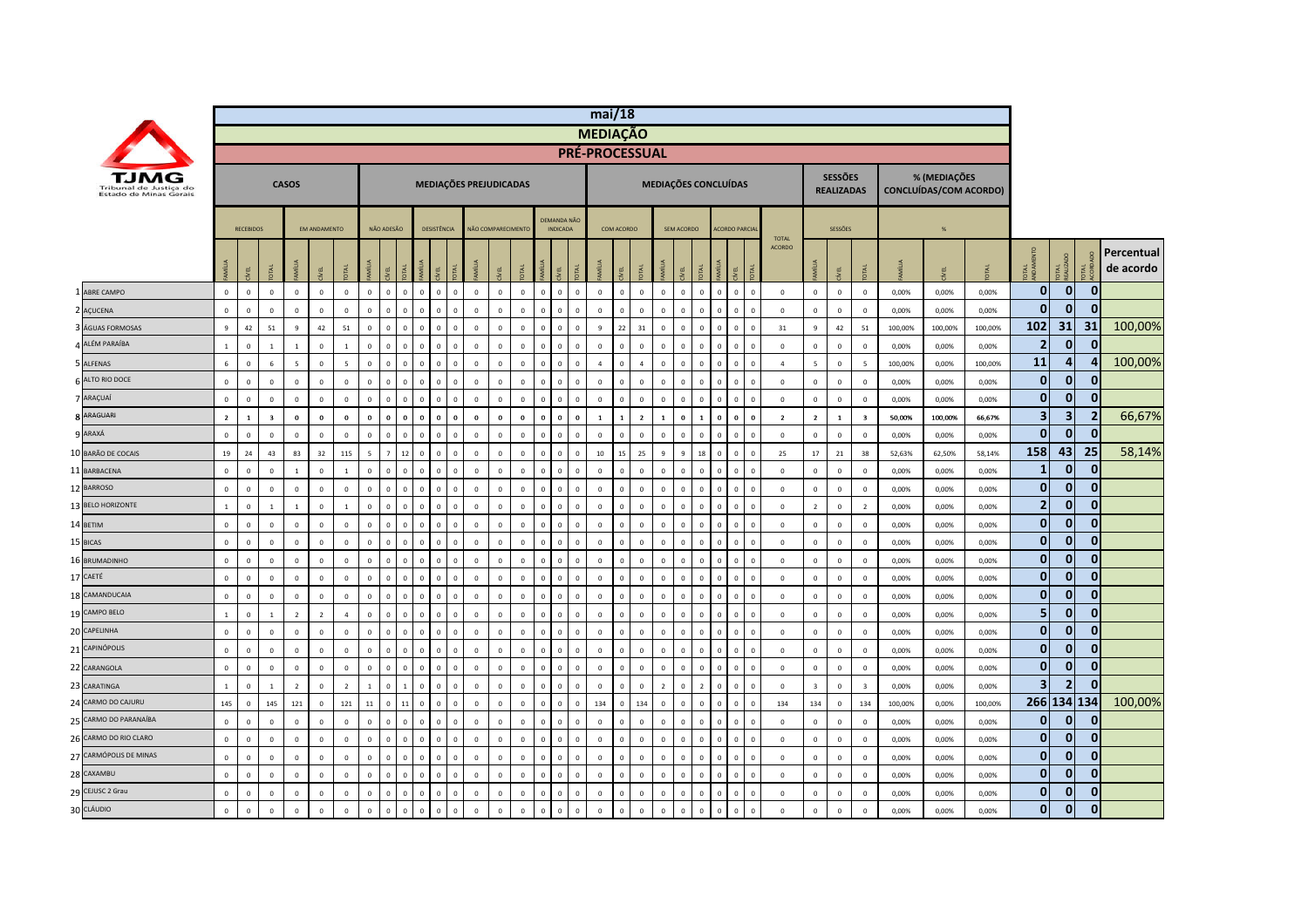|    |                                                  |                |                  |                         |                  |                     |                |              |                |                         |                             |              |                        |                         |              |                |                                       |              | mi/18                 |              |                |                |                |                |                                  |                              |                        |                         |                                     |                         |         |                 |                        |                         |                    |                |                         |
|----|--------------------------------------------------|----------------|------------------|-------------------------|------------------|---------------------|----------------|--------------|----------------|-------------------------|-----------------------------|--------------|------------------------|-------------------------|--------------|----------------|---------------------------------------|--------------|-----------------------|--------------|----------------|----------------|----------------|----------------|----------------------------------|------------------------------|------------------------|-------------------------|-------------------------------------|-------------------------|---------|-----------------|------------------------|-------------------------|--------------------|----------------|-------------------------|
|    |                                                  |                |                  |                         |                  |                     |                |              |                |                         |                             |              |                        |                         |              |                |                                       |              | <b>MEDIAÇÃO</b>       |              |                |                |                |                |                                  |                              |                        |                         |                                     |                         |         |                 |                        |                         |                    |                |                         |
|    |                                                  |                |                  |                         |                  |                     |                |              |                |                         |                             |              |                        |                         |              |                |                                       |              | <b>PRÉ-PROCESSUAL</b> |              |                |                |                |                |                                  |                              |                        |                         |                                     |                         |         |                 |                        |                         |                    |                |                         |
|    | Tribunal de Justica do<br>Estado de Minas Gerais |                |                  |                         | <b>CASOS</b>     |                     |                |              |                |                         |                             |              | MEDIAÇÕES PREJUDICADAS |                         |              |                |                                       |              |                       |              |                |                |                |                | <b>MEDIAÇÕES CONCLUÍDAS</b>      |                              |                        |                         | <b>SESSÕES</b><br><b>REALIZADAS</b> |                         |         | % (MEDIAÇÕES    | CONCLUÍDAS/COM ACORDO) |                         |                    |                |                         |
|    |                                                  |                | <b>RECEBIDOS</b> |                         |                  | <b>FM ANDAMENTO</b> |                |              | NÃO ADESÃO     |                         | <b>DESISTÊNCIA</b>          |              |                        | NÃO COMPARECIMENTO      |              |                | <b>DEMANDA NÃO</b><br><b>INDICADA</b> |              |                       | COM ACORDO   |                |                | SEM ACORDO     |                | <b>ACORDO PARCIA</b>             |                              |                        |                         | SESSÕES                             |                         |         | $\frac{96}{26}$ |                        |                         |                    |                |                         |
|    |                                                  |                |                  |                         |                  |                     |                | <b>SEP</b>   |                |                         |                             |              |                        |                         |              |                |                                       |              |                       |              |                |                | 핀              |                | EL                               |                              | <b>TOTAL</b><br>ACORDO |                         | 린                                   |                         |         |                 |                        | E a                     | <b>TAL</b><br>AUZA |                | Percentual<br>de acordo |
|    | <b>ABRE CAMPO</b>                                | $\circ$        | $\circ$          | $\mathbf{0}$            | $\mathbf 0$      | $\mathbf{0}$        | $\mathbf{0}$   | $\circ$      | $\circ$        | $\Omega$                | $\mathbf 0$<br>$\mathbf{0}$ | $\mathbf{0}$ | $\mathbf{0}$           | $\mathbf 0$             | $\mathbf{0}$ | $\overline{0}$ | $\mathbf{0}$                          | $\mathbf{0}$ | $\mathbf 0$           | $\mathbf{0}$ | $\circ$        | $\mathbf{0}$   | $\mathbf{0}$   | $\mathbf{0}$   | $\overline{0}$                   | $\mathbf{0}$<br>$\mathbf{0}$ | $\,0\,$                | $\mathbf{0}$            | $\circ$                             | $\mathbf{0}$            | 0,00%   | 0,00%           | 0,00%                  | $\mathbf 0$             | $\overline{0}$     | $\mathbf{0}$   |                         |
|    | 2 AÇUCENA                                        | $\mathbf 0$    | $\mathbf 0$      | $\mathsf 0$             | $\mathbb O$      | $\mathbf 0$         | $\mathbf 0$    | $\Omega$     | $\mathbf 0$    | $\overline{0}$          | $\mathbf 0$<br>$\Omega$     | $\mathbf 0$  | $\mathbf 0$            | $\mathbf 0$             | $\mathbf 0$  | $\mathbf 0$    | $\mathbf 0$                           | $\mathbf 0$  | $\mathbf 0$           | $\mathbf 0$  | $\mathbf{0}$   | $\Omega$       | $\Omega$       | $\mathbf 0$    | $\mathsf 0$                      | $\mathbf{0}$<br>$\mathbf 0$  | $\mathbf 0$            | $\mathbb O$             | $\mathbf 0$                         | $\mathbf 0$             | 0,00%   | 0,00%           | 0,00%                  | $\mathbf 0$             | $\overline{0}$     | $\mathbf 0$    |                         |
|    | ÁGUAS FORMOSAS                                   | 9              | 42               | 51                      | $\overline{9}$   | 42                  | 51             | $\mathbf 0$  | $\Omega$       | $\Omega$                | $\mathbf 0$                 | $\mathbf{0}$ | $\mathbf 0$            | $\overline{0}$          | $\mathbf 0$  | $\overline{0}$ | $\mathbf 0$                           | $\mathbf 0$  | $\overline{9}$        | 22           | 31             | $\Omega$       | $\Omega$       | $\mathbf 0$    | $\overline{0}$<br>$\overline{0}$ | $\mathbf 0$                  | 31                     | $\overline{9}$          | 42                                  | 51                      | 100,00% | 100,00%         | 100,00%                | 102                     | 31                 | 31             | 100,00%                 |
|    | ALÉM PARAÍBA                                     | $\overline{1}$ | $\mathbf 0$      | $\mathbf{1}$            | 1                | $\mathbf 0$         | $\overline{1}$ | $\Omega$     | $\Omega$       | $\Omega$                | $\mathbf 0$<br>$\Omega$     | $\Omega$     | $\mathbf 0$            | $\overline{\mathbf{0}}$ | $\mathbf 0$  | $\overline{0}$ | $\overline{0}$                        | $\mathbf 0$  | $\mathsf 0$           | $\mathbf 0$  | $\mathbf 0$    | $\Omega$       | $\Omega$       | $\mathbf 0$    | $\mathsf 0$<br>$\Omega$          | $\mathbf 0$                  | $\mathbf 0$            | $\,0\,$                 | $\mathbf{0}$                        | $\mathbf 0$             | 0,00%   | 0,00%           | 0,00%                  | $\overline{2}$          | $\overline{0}$     | $\mathbf{0}$   |                         |
|    | 5 ALFENAS                                        | $6\phantom{.}$ | $\mathbf 0$      | $6\overline{6}$         | $\overline{5}$   | $\mathbf 0$         | 5              | $\mathbf 0$  | $\mathbf 0$    | $\overline{0}$          | $\mathbf 0$<br>$\Omega$     | $\mathbf 0$  | $\mathbf 0$            | $\overline{0}$          | $\mathsf 0$  | $\mathbf 0$    | $\mathsf 0$                           | $\mathbf 0$  | $\overline{4}$        | $\mathbf 0$  | $\overline{a}$ | $\Omega$       | $\mathbf 0$    | $\mathbf 0$    | $\mathsf 0$                      | $\mathbf 0$<br>$\mathbf 0$   | $\overline{4}$         | $\overline{5}$          | $\mathbf 0$                         | $5\phantom{.0}$         | 100,00% | 0,00%           | 100,00%                | 11                      | $\overline{4}$     | 4              | 100,00%                 |
|    | ALTO RIO DOCE                                    | $\Omega$       | $\mathbf 0$      | $\mathbf 0$             | $\mathbb O$      | $\mathbf 0$         | $\mathbb O$    | $\Omega$     | $\mathbf 0$    | $\overline{\mathbf{0}}$ | $\mathbf 0$<br>$\Omega$     | $\,0\,$      | $\mathbf 0$            | $\overline{0}$          | $\mathbf 0$  | $\mathbf 0$    | $\mathbf 0$                           | $\mathbf 0$  | $\mathbf 0$           | $\mathbf 0$  | $\mathbf{0}$   | $\Omega$       | $\Omega$       | $\mathbf 0$    | $\,0\,$                          | $\mathbf 0$<br>$\mathbf 0$   | $\,$ 0                 | $\mathbb O$             | $\mathbf{0}$                        | $\,0\,$                 | 0,00%   | 0,00%           | 0,00%                  | $\mathbf 0$             | $\overline{0}$     | $\mathbf{0}$   |                         |
|    | 7 ARAÇUAÍ                                        | $\mathbf{0}$   | $\mathbf 0$      | $\mathsf 0$             | $\mathbb O$      | $\mathbf 0$         | $\mathbf 0$    | $\Omega$     | $\Omega$       | $\overline{0}$          | $\mathbf 0$<br>$\Omega$     | $\mathbf{0}$ | $\mathbf 0$            | $\overline{0}$          | $\mathbf 0$  | $\overline{0}$ | $\overline{0}$                        | $\mathbf 0$  | $\mathbf 0$           | $\mathbf{0}$ | $\mathbf 0$    | $\Omega$       | $\Omega$       | $\mathbf 0$    | $\overline{0}$<br>$\mathbf 0$    | $\mathbf 0$                  | $\mathbf{0}$           | $\mathbf{0}$            | $\mathbf 0$                         | $\mathbf 0$             | 0,00%   | 0,00%           | 0,00%                  | $\mathbf 0$             | $\overline{0}$     | $\mathbf{0}$   |                         |
|    | <b>8 ARAGUARI</b>                                | $\overline{2}$ | $\mathbf{1}$     | $\overline{\mathbf{3}}$ | $\boldsymbol{0}$ | $\pmb{0}$           | $\bf{0}$       | $\Omega$     | $\mathbf{0}$   | $\Omega$                | $\mathbf 0$<br>$\Omega$     | $\bf{0}$     | $\bf{0}$               | $\bf{0}$                | $\bf{0}$     | $\bf{0}$       | $\mathbf{0}$                          | $\bf{0}$     | $\mathbf{1}$          | $\mathbf{1}$ | $\overline{2}$ |                | $\Omega$       | $\mathbf{1}$   | $\pmb{0}$                        | $\mathbf{0}$<br>$\bf{0}$     | $\overline{2}$         | $\overline{2}$          | $\mathbf{1}$                        | $\overline{\mathbf{3}}$ | 50,00%  | 100,00%         | 66,67%                 | $\overline{\mathbf{3}}$ | 3 <sup>1</sup>     | $\overline{2}$ | 66,67%                  |
|    | <b>Q</b> ARAXÁ                                   | $\mathbf 0$    | $\Omega$         | $\mathbf{0}$            | $\mathbf 0$      | $\mathbf 0$         | $\mathbf 0$    | $\Omega$     | $\mathbf{0}$   | $\Omega$                | $\mathbf 0$                 | $\mathbf{0}$ | $\mathbf{0}$           | $\overline{0}$          | $\mathbf 0$  | $\overline{0}$ | $\mathbf{0}$                          | $\Omega$     | $\mathbf 0$           | $\mathbf 0$  | $\Omega$       | $\Omega$       | $\Omega$       | $\Omega$       | $\Omega$                         | $\Omega$<br>$\Omega$         | $\mathbf{0}$           | $\mathbf 0$             | $\mathbf 0$                         | $\mathbf 0$             | 0,00%   | 0,00%           | 0,00%                  | $\mathbf 0$             | $\overline{0}$     | $\mathbf{0}$   |                         |
|    | 10 BARÃO DE COCAIS                               | $19\,$         | 24               | 43                      | 83               | 32                  | 115            | 5.           | $\overline{7}$ | 12                      | $\mathbf 0$<br>$\Omega$     | $\mathbf 0$  | $\mathbf 0$            | $\mathbf 0$             | $\mathbf 0$  | $\mathbf 0$    | $\,0\,$                               | $\mathbf 0$  | $10\,$                | $15\,$       | 25             | $\mathbf{Q}$   | $\overline{q}$ | $18\,$         | $\,$ 0                           | $\mathbf 0$<br>$\mathbf 0$   | 25                     | 17                      | $21\,$                              | 38                      | 52,63%  | 62,50%          | 58,14%                 | 158                     | 43                 | 25             | 58,14%                  |
|    | 11 BARBACENA                                     | $\mathbf 0$    | $\mathbf 0$      | $\mathbf{0}$            | $\mathbf{1}$     | $\mathbf 0$         | $\mathbf{1}$   | $\mathbf 0$  | $\Omega$       | $\mathbf 0$             | $\mathbf 0$                 | $\,$ 0       | $\mathbf 0$            | $\mathbf 0$             | $\mathbf 0$  | $\overline{0}$ | $\overline{0}$                        | $\mathbf 0$  | $\mathbf 0$           | $\mathbf{0}$ | $\mathbf 0$    |                | $\overline{0}$ | $\mathbf 0$    | $\overline{0}$<br>$\overline{0}$ | $\mathbf 0$                  | $\mathbf 0$            | $\mathbf 0$             | $\mathbf 0$                         | $\,0\,$                 | 0,00%   | 0,00%           | 0,00%                  | $\mathbf{1}$            | $\overline{0}$     | $\mathbf{0}$   |                         |
|    | 12 BARROSO                                       | $\circ$        | $\Omega$         | $\mathsf 0$             | $\overline{0}$   | $\mathbf 0$         | $\Omega$       | $\Omega$     | $\mathbf{0}$   | $\Omega$                | $\mathbf{0}$<br>$\Omega$    | $\mathbf{0}$ | $\overline{0}$         | $\overline{0}$          | $\mathbf{0}$ | $\mathbf{0}$   | $\Omega$                              | $\Omega$     | $\mathbf 0$           | $\Omega$     | $\mathbf 0$    | $\Omega$       | $\mathbf 0$    | $\Omega$       | $\,$ 0                           | $\mathbf{0}$<br>$\mathbf{0}$ | $\,$ 0                 | $\,$ 0                  | $\mathbf 0$                         | $\mathbf 0$             | 0,00%   | 0,00%           | 0,00%                  | $\mathbf 0$             | $\overline{0}$     | $\mathbf{0}$   |                         |
|    | 13 BELO HORIZONTE                                |                | $\Omega$         | $\mathbf{1}$            |                  | $\mathbf 0$         |                | $\Omega$     | $\Omega$       | $\Omega$                | $\mathbf 0$                 | $\mathbf{0}$ | $\mathbf{0}$           | $\overline{0}$          | $\mathbf 0$  | $\Omega$       | $\overline{0}$                        | $\Omega$     | $\mathbf 0$           | $\mathbf 0$  | $\Omega$       |                | $\Omega$       | $\Omega$       | $\Omega$                         | $\mathbf{0}$<br>$\Omega$     | $\mathbf{0}$           | $\overline{2}$          | $\mathbf{0}$                        | $\overline{2}$          | 0,00%   | 0,00%           | 0,00%                  | $\overline{2}$          | $\overline{0}$     | $\mathbf{0}$   |                         |
|    | 14 BETIM                                         | $\Omega$       | $\Omega$         | $\mathbf{0}$            | $\mathbf 0$      | $\mathbf 0$         | $\Omega$       | $\Omega$     | $\Omega$       | $\Omega$                | $\mathbf 0$<br>$\Omega$     | $\mathbf{0}$ | $\mathbf 0$            | $\overline{0}$          | $\mathbf{0}$ | $\Omega$       | $\mathsf 0$                           | $\Omega$     | $\mathbf 0$           | $\mathbf 0$  | $\mathbf{0}$   | $\Omega$       | $\Omega$       | $\Omega$       | $\mathbf{0}$                     | $\mathbf 0$<br>$\mathbf 0$   | $\,0\,$                | $\mathbf 0$             | $\mathbf 0$                         | $\mathbf 0$             | 0,00%   | 0,00%           | 0,00%                  | $\bf{0}$                | $\overline{0}$     | $\mathbf{0}$   |                         |
|    | 15 BICAS                                         | $\mathbf{0}$   | $\mathbf 0$      | $\mathsf 0$             | $\mathbb O$      | $\mathbf 0$         | $\mathbf 0$    | $^{\circ}$   | $\Omega$       | $\overline{0}$          | $\mathbf 0$<br>$\Omega$     | $\mathbf 0$  | $\mathbf 0$            | $\overline{0}$          | $\mathbb O$  | $\overline{0}$ | $\overline{0}$                        | $\mathbf 0$  | $\mathsf 0$           | $\mathbf 0$  | $\mathbf 0$    | $\Omega$       | $\Omega$       | $\mathbf 0$    | $\overline{0}$                   | $\mathbf 0$<br>$\mathbf 0$   | $\,0\,$                | $\,$ 0 $\,$             | $\mathbf{0}$                        | $\mathbf 0$             | 0,00%   | 0,00%           | 0,00%                  | $\mathbf 0$             | $\overline{0}$     | $\mathbf 0$    |                         |
|    | 16 BRUMADINHO                                    | $\mathbf 0$    | $\mathbf 0$      | $\mathsf 0$             | $\overline{0}$   | $\mathbf 0$         | $\overline{0}$ | $\Omega$     | $\circ$        | $\Omega$                | $\mathbf 0$<br>$\Omega$     | $\mathbf{0}$ | $\mathbf 0$            | $\overline{0}$          | $\mathbf 0$  | $\mathsf 0$    | $\mathsf 0$                           | $\circ$      | $\mathbf 0$           | $\mathbf 0$  | $\mathbf{0}$   | $\Omega$       | $\Omega$       | $\mathbb O$    | $\mathsf 0$                      | $\mathbf 0$<br>$\Omega$      | $\,$ 0                 | $\mathbf 0$             | $\mathbb O$                         | $\mathbf 0$             | 0,00%   | 0,00%           | 0,00%                  | $\bf{0}$                | $\overline{0}$     | $\mathbf 0$    |                         |
|    | 17 CAETÉ                                         | $\mathbf 0$    | $\mathbf 0$      | $\mathbf{0}$            | $\mathbb O$      | $\mathbf 0$         | $\mathbf 0$    | $\mathbf 0$  | $\mathbf 0$    | $\overline{0}$          | $\mathbf 0$                 | $\mathbf 0$  | $\mathbf 0$            | $\overline{\mathbf{0}}$ | $\mathbf 0$  | $\overline{0}$ | $\mathbf 0$                           | $\mathbf 0$  | $\mathbf 0$           | $\mathbf 0$  | $\mathbf 0$    | $\Omega$       | $\overline{0}$ | $\mathbf 0$    | $\overline{0}$                   | $\mathbf 0$<br>$\mathbf 0$   | $\mathbf{0}$           | $\mathbb O$             | $\mathbf 0$                         | $\,0\,$                 | 0,00%   | 0,00%           | 0,00%                  | $\bf{0}$                | $\overline{0}$     | $\mathbf 0$    |                         |
|    | 18 CAMANDUCAIA                                   | $\circ$        | $\Omega$         | $\mathbf{0}$            | $\mathbf 0$      | $\mathbf{0}$        | $\Omega$       | $\Omega$     | $\Omega$       | $\Omega$                | $\mathbf{0}$                | $\mathbf{0}$ | $\mathbf{0}$           | $\Omega$                | $\mathbf{0}$ | $\Omega$       | $\Omega$                              | $\Omega$     | $\Omega$              | $\Omega$     | $\mathbf{0}$   | $\Omega$       | $\Omega$       | $\Omega$       | $\Omega$<br>$\Omega$             | $\Omega$                     | $\Omega$               | $\mathbf{0}$            | $\mathbf{0}$                        | $\mathbf 0$             | 0.00%   | 0,00%           | 0.00%                  | $\mathbf 0$             | $\overline{0}$     | $\mathbf{0}$   |                         |
|    | 19 CAMPO BELO                                    | $1\,$          | $\mathbf 0$      | $\overline{1}$          | $\overline{2}$   | $\overline{2}$      | $\overline{a}$ | $\Omega$     | $\Omega$       | $\Omega$                | $\mathbf 0$                 | $\mathbf{0}$ | $\mathbf 0$            | $\overline{0}$          | $\mathbb O$  | $\Omega$       | $\overline{0}$                        | $\mathbf 0$  | $\mathbf 0$           | $\mathbf{0}$ | $\mathbf{0}$   | $\Omega$       | $\Omega$       | $\Omega$       | $\overline{0}$                   | $\Omega$<br>$\mathbf 0$      | $\mathbf{0}$           | $\mathbf 0$             | $\mathbf{0}$                        | $\mathbf 0$             | 0,00%   | 0,00%           | 0,00%                  | 5                       | $\overline{0}$     | $\mathbf{0}$   |                         |
|    | 20 CAPELINHA                                     | $\circ$        | $\Omega$         | $\mathbf{0}$            | $\Omega$         | $\mathbf{0}$        | $\Omega$       | $\Omega$     | $\Omega$       | $\Omega$                | $\mathbf{0}$                | $\mathbf{0}$ | $\Omega$               | $\overline{0}$          | $\circ$      | $\Omega$       | $\Omega$                              | $\Omega$     | $\mathbf 0$           | $\Omega$     | $\mathbf{0}$   | $\Omega$       | $\Omega$       | $\Omega$       | $\mathbf{0}$                     | $\mathbf{0}$<br>$\Omega$     | $\mathbf{0}$           | $\mathbf 0$             | $\mathbf{0}$                        | $\mathbf 0$             | 0,00%   | 0,00%           | 0,00%                  | $\bf{0}$                | $\overline{0}$     | $\mathbf{0}$   |                         |
|    | 21 CAPINÓPOLIS                                   | $\mathbf 0$    | $\mathbf 0$      | $\mathsf 0$             | $\mathbf 0$      | $\mathbf 0$         | $\mathbf 0$    | $^{\circ}$   | $\mathbf 0$    | $\overline{0}$          | $\circ$<br>$\Omega$         | $\,$ 0       | $\mathbf 0$            | $\overline{0}$          | $\mathbf 0$  | $\mathbf 0$    | $\circ$                               | $\mathbf 0$  | $\mathbf 0$           | $\mathbf{0}$ | $\mathbf 0$    | $\Omega$       | $\overline{0}$ | $\mathbf 0$    | $\mathbf 0$                      | $\mathbf{0}$<br>$\mathbf 0$  | $\mathbf{0}$           | $\mathbb O$             | $\mathbf 0$                         | $\mathbf 0$             | 0,00%   | 0,00%           | 0,00%                  | $\bf{0}$                | $\overline{0}$     | $\mathbf 0$    |                         |
|    | 22 CARANGOLA                                     | $\mathbb O$    | $\mathbf 0$      | $\mathsf 0$             | $\mathbb O$      | $\mathbf 0$         | $\mathbf 0$    | $\mathbf{0}$ | $\mathbf 0$    | $\mathbf 0$             | $\mathbf 0$<br>$\Omega$     | $\,$ 0       | $\mathbf 0$            | $\overline{0}$          | $\mathbf 0$  | $\overline{0}$ | $\mathbf{0}$                          | $\mathbf 0$  | $\mathbf 0$           | $\mathbf{0}$ | $\mathbf 0$    | $\Omega$       | $\Omega$       | $\mathbf 0$    | $\mathsf 0$                      | $\mathbf 0$<br>$\mathbf 0$   | $\mathbf{0}$           | $\mathbb O$             | $\mathbf 0$                         | $\mathbf 0$             | 0,00%   | 0,00%           | 0,00%                  | $\bf{0}$                | $\overline{0}$     | $\mathbf{0}$   |                         |
|    | 23 CARATINGA                                     | $\mathbf{1}$   | $\mathbf 0$      | $\mathbf{1}$            | $\overline{2}$   | $\mathbf 0$         | $\overline{z}$ |              | $\Omega$       | $\overline{1}$          | $\mathbf 0$<br>$\Omega$     | $\mathbf{0}$ | $\mathbf 0$            | $\mathbf 0$             | $\circ$      | $\Omega$       | $\mathbf{0}$                          | $\Omega$     | $\mathsf 0$           | $\mathbf 0$  | $\circ$        | $\overline{z}$ | $\sqrt{2}$     | $\overline{2}$ | $\mathsf 0$                      | $\mathbf 0$<br>$\mathbf 0$   | $\,0\,$                | $\overline{\mathbf{3}}$ | $\mathbf 0$                         | $\overline{\mathbf{3}}$ | 0,00%   | 0,00%           | 0,00%                  | $\overline{\mathbf{3}}$ | $\overline{2}$     | $\Omega$       |                         |
|    | 24 CARMO DO CAJURU                               | 145            | $\mathbf 0$      | 145                     | 121              | $\mathbf{0}$        | 121            | 11           | $\circ$        | 11                      | $\mathbf{0}$<br>$\Omega$    | $\mathbf{0}$ | $\Omega$               | $\overline{0}$          | $\mathbf{0}$ | $\mathbf{0}$   | $\mathbf{0}$                          | $\circ$      | 134                   | $\Omega$     | 134            | $\mathbf{0}$   | $\mathbf 0$    | $\mathbf{0}$   | $\mathbf{0}$                     | $\mathbf{0}$<br>$\mathbf{0}$ | 134                    | 134                     | $\mathbf{0}$                        | 134                     | 100.00% | 0,00%           | 100.00%                | 266                     | 134 134            |                | 100,00%                 |
| 25 | CARMO DO PARANAÍBA                               | $\mathbf{0}$   | $\mathbf 0$      | $\mathsf 0$             | $\mathbf 0$      | $\mathbf 0$         | $\mathbb O$    | $\mathbf 0$  | $\mathbf 0$    | $\overline{\mathbf{0}}$ | $\mathbf 0$<br>$\Omega$     | $\mathbf 0$  | $\mathbf 0$            | $\mathbf 0$             | $\mathbf{0}$ | $\mathbf 0$    | $\mathbf 0$                           | $\mathbf 0$  | $\mathsf 0$           | $\mathbf 0$  | $\mathbf{0}$   | $\Omega$       | $\mathbf 0$    | $\mathbf 0$    | $\mathsf 0$                      | $\mathbf{0}$<br>$\mathbf 0$  | $\mathbf{0}$           | $\,0\,$                 | $\mathbf{0}$                        | $\mathbf 0$             | 0,00%   | 0,00%           | 0,00%                  | $\mathbf 0$             | $\overline{0}$     | $\mathbf 0$    |                         |
|    | 26 CARMO DO RIO CLARO                            | $\mathbf 0$    | $\mathbf 0$      | $\mathsf 0$             | $\mathbf 0$      | $\mathbf 0$         | $\mathbf 0$    | $^{\circ}$   | $\Omega$       | $\Omega$                | $\mathbf 0$                 | $\mathbf 0$  | $\mathbf 0$            | $\overline{0}$          | $\mathbf 0$  | $\mathbf 0$    | $\overline{0}$                        | $\mathbf 0$  | $\mathbf 0$           | $\mathbf 0$  | $\mathbf 0$    | $\Omega$       | $\Omega$       | $\mathbf 0$    | $\overline{0}$<br>$\overline{0}$ | $\mathbf 0$                  | $\mathbf{0}$           | $\mathbf 0$             | $\mathbf 0$                         | $\mathbf{0}$            | 0,00%   | 0,00%           | 0,00%                  | $\mathbf 0$             | $\overline{0}$     | $\mathbf{0}$   |                         |
|    | 27 CARMÓPOLIS DE MINAS                           | $\mathbb O$    | $\mathbf 0$      | $\,0\,$                 | $\mathbb O$      | $\mathbf 0$         | $\mathbf 0$    | $\Omega$     | $\Omega$       | $\Omega$                | $\mathbf 0$<br>$\Omega$     | $\Omega$     | $\mathbf 0$            | $\overline{\mathbf{0}}$ | $\mathbf{0}$ | $\overline{0}$ | $\overline{0}$                        | $\mathbf 0$  | $\mathsf 0$           | $\mathbf 0$  | $\mathbf 0$    | $\Omega$       | $\Omega$       | $\mathbf 0$    | $\mathsf 0$                      | $\mathbf 0$<br>$\mathbf 0$   | $\,$ 0                 | $\mathbf 0$             | $\mathbf 0$                         | $\,0\,$                 | 0,00%   | 0,00%           | 0,00%                  | $\bf{0}$                | $\overline{0}$     | $\mathbf{0}$   |                         |
|    | 28 CAXAMBU                                       | $\mathbf{0}$   | $\mathbb O$      | $\mathsf 0$             | $\mathbb O$      | $\mathbf 0$         | $\mathbf 0$    | $\mathsf 0$  | $\mathbf 0$    | $\overline{0}$          | $\mathbf 0$<br>$\Omega$     | $\mathbb O$  | $\mathbf 0$            | $\overline{0}$          | $\mathbf 0$  | $\mathsf 0$    | $\mathbf{0}$                          | $\mathbf 0$  | $\mathbf{0}$          | $\mathbf 0$  | $\mathbf 0$    | $\Omega$       | $\mathbf 0$    | $\mathbf 0$    | $\mathsf 0$                      | $\mathbf 0$<br>$\mathbf 0$   | $\mathbf{0}$           | $\,$ 0                  | $\mathbf{0}$                        | $\mathbf 0$             | 0,00%   | 0,00%           | 0,00%                  | $\bf{0}$                | $\overline{0}$     | $\bf{0}$       |                         |
|    | 29 CEJUSC 2 Grau                                 | $\Omega$       | $\Omega$         | $\mathbf{0}$            | $\mathbf 0$      | $\Omega$            | $\mathbb O$    | $\Omega$     | $\mathbf 0$    | $\overline{\mathbf{0}}$ | $\mathbf 0$<br>$\Omega$     | $\mathbf{0}$ | $\mathbf 0$            | $\overline{0}$          | $\mathbf{0}$ | $\mathbf 0$    | $\mathsf 0$                           | $\mathbf 0$  | $\mathbf 0$           | $\mathbf 0$  | $\mathbf 0$    | $\Omega$       | $\mathbf 0$    | $\mathbf 0$    | $\mathsf 0$                      | $\mathbf{0}$<br>$\mathbf 0$  | $\,0\,$                | $\mathbf 0$             | $\mathbf{0}$                        | $\mathbf 0$             | 0,00%   | 0,00%           | 0,00%                  | $\mathbf 0$             | $\mathbf{0}$       | $\mathbf 0$    |                         |
|    | 30 CLÁUDIO                                       | $\mathbf{0}$   | $\mathbf 0$      | $\mathbf{0}$            | $\mathbb O$      | $\mathbf 0$         | $\mathbf 0$    | $\mathbf 0$  | $\mathbf 0$    | $\overline{0}$          | $\mathbf 0$<br>$\mathbf 0$  | $\,$ 0       | $\mathbf 0$            | $\overline{0}$          | $\mathbf{0}$ | $\overline{0}$ | $\mathbf{0}$                          | $\mathbf 0$  | $\mathbf 0$           | $\mathbf 0$  | $\mathbf 0$    | $\circ$        | $\Omega$       | $\mathbf 0$    | $\mathsf 0$<br>$\mathbf 0$       | $\mathbf 0$                  | $\mathbf 0$            | $\mathbf 0$             | $\mathbf 0$                         | $\mathbf 0$             | 0,00%   | 0,00%           | 0,00%                  | $\mathbf 0$             | $\overline{0}$     | $\mathbf{0}$   |                         |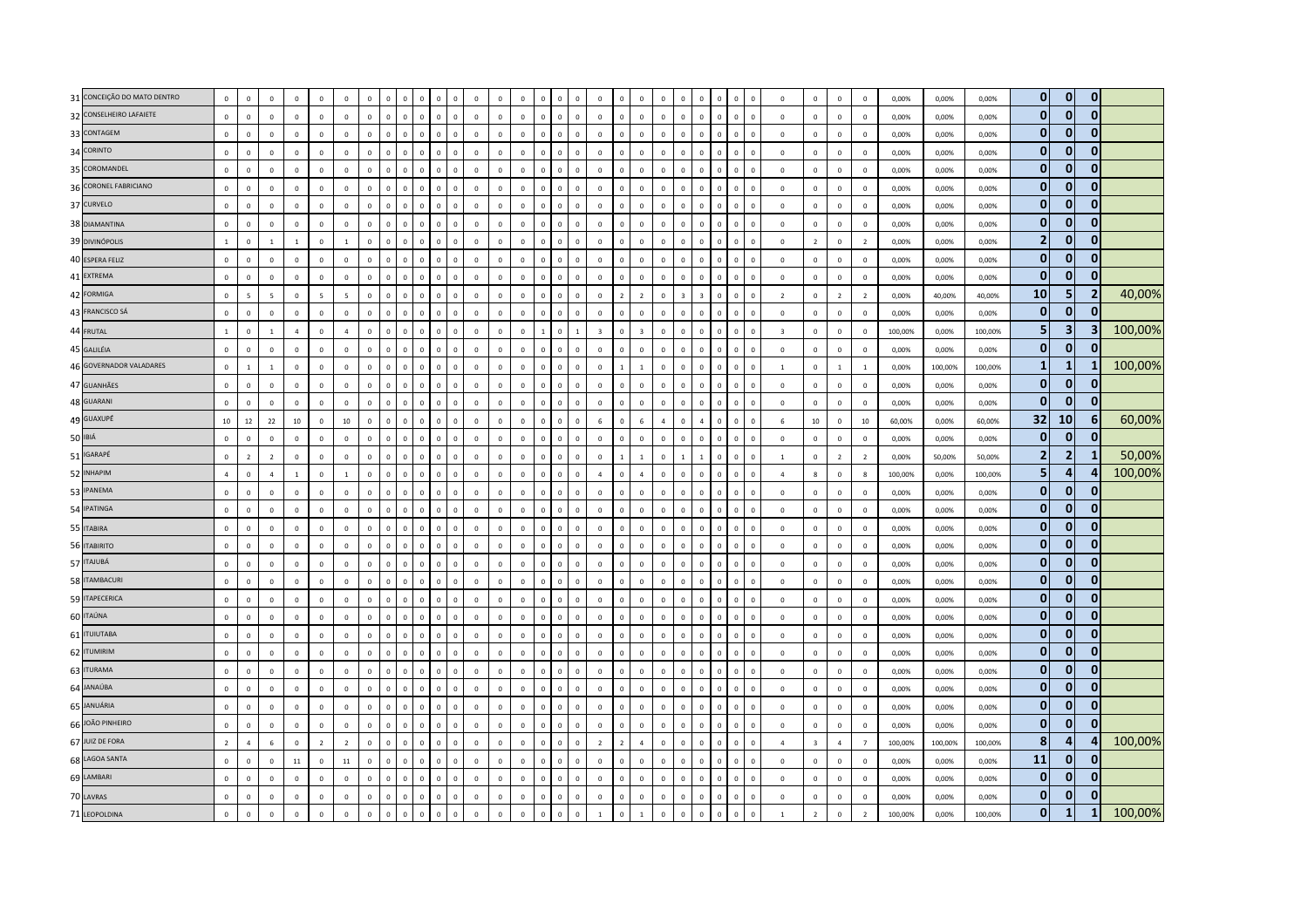| 31 CONCEIÇÃO DO MATO DENTRO | $\mathbf{0}$   | $\mathbf 0$    | $\mathbf 0$              | $\overline{0}$ | $\mathbf{0}$   | $\mathbf 0$             | $\mathbf 0$  |              | $\mathbf 0$  | $\overline{0}$       | $\Omega$<br>$\Omega$         | $\overline{0}$ | $\mathbf 0$  | $\mathbf 0$  | $\Omega$       | $\mathbf 0$<br>$\Omega$        | $\mathbf 0$             | $\Omega$       | $\mathbf 0$    | $\overline{0}$ | $\Omega$                | $\Omega$                |             |                                        |                | $\overline{0}$          | $\mathbf 0$             | $\mathbf 0$    | $\,$ 0                   | 0,00%   | 0,00%   | 0,00%   | $\mathbf{0}$            | $\overline{0}$ | $\mathbf 0$             |         |
|-----------------------------|----------------|----------------|--------------------------|----------------|----------------|-------------------------|--------------|--------------|--------------|----------------------|------------------------------|----------------|--------------|--------------|----------------|--------------------------------|-------------------------|----------------|----------------|----------------|-------------------------|-------------------------|-------------|----------------------------------------|----------------|-------------------------|-------------------------|----------------|--------------------------|---------|---------|---------|-------------------------|----------------|-------------------------|---------|
| 32 CONSELHEIRO LAFAIETE     | $\mathbf{0}$   | $\mathbf 0$    | $\mathsf 0$              | $\mathbb O$    | $\mathbb O$    | $\mathbf 0$             | $\mathbf 0$  | $\mathbf{0}$ | $\mathbf 0$  | $\,$ 0               | $\mathbf{0}$<br>$\mathbf{0}$ | $\mathbb O$    | $\mathbf 0$  | $\mathbf 0$  | $\circ$        | $\mathbf 0$<br>$\mathbf{0}$    | $\mathbf 0$             | $\mathbf 0$    | $\mathbf 0$    | $\mathbb O$    | $\mathbf 0$             | $\circ$                 | $\mathbf 0$ | $\mathbf 0$<br>$\overline{\mathbf{0}}$ |                | $\mathbf 0$             | $\mathbf 0$             | $\mathbf 0$    | $\mathbf 0$              | 0,00%   | 0,00%   | 0,00%   | $\mathbf{0}$            | $\overline{0}$ | $\mathbf{0}$            |         |
| 33 CONTAGEM                 | $\mathbf{0}$   | $\Omega$       | $\mathbf 0$              | $\mathbb O$    | $\mathbf 0$    | $\Omega$                | $\Omega$     |              | $\Omega$     | $\mathsf 0$          | $\Omega$<br>$\Omega$         | $\mathbb O$    | $\Omega$     | $\Omega$     | $\Omega$       | $\Omega$<br>$\Omega$           | $\mathbf 0$             | $\Omega$       | $\mathbf 0$    | $\Omega$       | $\Omega$                | $\Omega$                | $\Omega$    | $\Omega$                               | $\sqrt{2}$     | $\mathbf 0$             | $\Omega$                | $\mathbf 0$    | $\Omega$                 | 0,00%   | 0.00%   | 0,00%   | $\bf{0}$                | $\mathbf{0}$   | $\mathbf{0}$            |         |
| 34 CORINTO                  | $\circ$        | $\mathbf 0$    | $\,0\,$                  | $\mathbb O$    | $\mathbf{0}$   | $\mathbf{0}$            | $\mathbf 0$  |              | $\mathbf 0$  | $\overline{0}$       | $\mathbf 0$<br>$\Omega$      | $\mathbb O$    | $\mathbb O$  | $\circ$      | $\Omega$       | $\mathbf 0$<br>$\Omega$        | $\mathbf 0$             | $\Omega$       | $\mathbf 0$    | $\mathbb O$    | $\mathbf{0}$            | $\Omega$                | $\mathbf 0$ | $\mathbf{0}$                           | $\overline{0}$ | $\,$ 0                  | $\mathbf 0$             | $\mathbf 0$    | $\,$ 0                   | 0,00%   | 0,00%   | 0,00%   | $\mathbf{0}$            | $\mathbf{0}$   | $\mathbf{0}$            |         |
| 35 COROMANDEL               | $\mathbf 0$    | $\mathbf 0$    | $\mathbf 0$              | $\mathbb O$    | $\mathbf 0$    | $\mathbf 0$             | $\mathbf 0$  |              | $\mathbf 0$  | $\mathsf 0$          | $\mathbf{0}$<br>$\mathbf 0$  | $\mathbb O$    | $\mathbf 0$  | $\mathbf 0$  | $\mathbf{0}$   | $\mathbf 0$<br>$\mathbf 0$     | $\mathbf 0$             | $\Omega$       | $\mathbf 0$    | $\mathbb O$    | $\mathbf 0$             | $\mathbf 0$             | $\mathbf 0$ | $\mathbf 0$                            | $\overline{0}$ | $\mathbf 0$             | $\mathbf 0$             | $\mathbf 0$    | $\mathbf 0$              | 0,00%   | 0,00%   | 0,00%   | $\mathbf{0}$            | $\mathbf{0}$   | $\mathbf{0}$            |         |
| 36 CORONEL FABRICIANO       | $\mathbf{0}$   | $\mathbf 0$    | $\mathbf 0$              | $\overline{0}$ | $\mathbf 0$    | $\mathbf 0$             | $\mathbf 0$  |              | $\mathbf 0$  | $\overline{0}$       | $\mathbf 0$<br>$\mathbf 0$   | $\mathbb O$    | $\mathbf 0$  | $\mathbf 0$  | $\mathbf 0$    | $\mathbf{0}$<br>$\overline{0}$ | $\mathbf 0$             | $\mathbf 0$    | $\mathbf 0$    | $\overline{0}$ | $\mathbf 0$             | $\mathbf 0$             | 0           |                                        | $\mathbf C$    | $\mathbf 0$             | $\mathbf 0$             | $\,0\,$        | $\,0\,$                  | 0,00%   | 0,00%   | 0,00%   | $\bf{0}$                | $\Omega$       | $\mathbf{0}$            |         |
| 37 CURVELO                  | $\circ$        | $\Omega$       | $\mathbf{0}$             | $\mathbf 0$    | $\mathbf{0}$   | $\circ$                 | $\Omega$     | $\Omega$     | $\mathbf{0}$ | $\overline{0}$       | $\mathbf{0}$<br>$\Omega$     | $\mathbf 0$    | $\Omega$     | $\circ$      | $\mathbf{0}$   | $\mathbf{0}$<br>$\mathbf{0}$   | $\mathbf{0}$            | $\mathbf{0}$   | $\mathbf{0}$   | $\Omega$       | $\Omega$                | $\Omega$                | $\Omega$    | $\Omega$                               | $\Omega$       | $\Omega$                | $\mathbf{0}$            | $\mathbf 0$    | $\overline{0}$           | 0,00%   | 0,00%   | 0,00%   | $\mathbf{0}$            | $\overline{0}$ | $\mathbf{0}$            |         |
| 38 DIAMANTINA               | $\mathbf{0}$   | $\mathbf{0}$   | $\mathbf 0$              | $\mathbb O$    | $\mathbb O$    | $\mathbf{0}$            | $\mathbf 0$  | $\Omega$     | $\mathbf 0$  | $\mathsf 0$          | $\Omega$<br>$\Omega$         | $\mathbb O$    | $\mathbf 0$  | $\mathbf 0$  | $\Omega$       | $\mathbf 0$<br>$\Omega$        | $\mathbf 0$             | $\Omega$       | $\mathbf 0$    | $\overline{0}$ | $\mathbf 0$             | $\Omega$                | $\Omega$    | $\Omega$                               | $\overline{0}$ | $\mathbf 0$             | $\mathbf 0$             | $\mathbf 0$    | $\,0\,$                  | 0,00%   | 0,00%   | 0,00%   | $\mathbf{0}$            | $\overline{0}$ | $\mathbf 0$             |         |
| 39 DIVINÓPOLIS              | $\mathbf{1}$   | $\mathbf{0}$   | $\mathbf{1}$             | $\mathbf{1}$   | $\mathbf 0$    | $\mathbf{1}$            | $\mathbf 0$  |              | $\mathbf 0$  | $\overline{0}$       | $\mathbf 0$<br>$\mathbf 0$   | $\mathbb O$    | $\mathbf 0$  | $\mathbf 0$  | $\mathbf 0$    | $\mathbf{0}$<br>$\overline{0}$ | $\mathbf 0$             |                | $\mathbf 0$    | $\overline{0}$ | $\mathbf 0$             | $\mathbf 0$             | 0           |                                        | $\mathbf C$    | $\overline{0}$          | $\overline{2}$          | $\mathbf 0$    | $\overline{2}$           | 0,00%   | 0,00%   | 0,00%   | $\overline{2}$          | $\overline{0}$ | $\mathbf 0$             |         |
| 40 ESPERA FELIZ             | $\circ$        | $\Omega$       | $\mathbf 0$              | $\mathbb O$    | $\mathbf 0$    | $\mathbf{0}$            | $\mathsf 0$  | $\Omega$     | $\mathbf 0$  | $\mathbf{0}$         | $\Omega$<br>$\Omega$         | $\mathbf 0$    | $\mathbf 0$  | $\mathsf 0$  | $\overline{0}$ | $\mathbf 0$<br>$\mathbf{0}$    | $\mathbf 0$             | $\mathbf{0}$   | $\mathbf 0$    | $\mathbb O$    | $\mathbf{0}$            | $\circ$                 | $\Omega$    | $\Omega$<br>$\overline{\mathbf{0}}$    |                | $\mathbf 0$             | $\mathbf 0$             | $\mathbf 0$    | $\overline{\mathbf{0}}$  | 0,00%   | 0,00%   | 0,00%   | $\mathbf{0}$            | $\overline{0}$ | $\mathbf{0}$            |         |
| 41 EXTREMA                  | $\mathbf{0}$   | $\Omega$       | $\mathbf{0}$             | $\mathbf{0}$   | $\Omega$       | $\Omega$                | $\Omega$     |              | $\Omega$     | $\mathbf{0}$         | $\Omega$<br>$\Omega$         | $\Omega$       | $\Omega$     | $\Omega$     | $\Omega$       | $\Omega$<br>$\Omega$           | $\Omega$                | $\Omega$       | $\mathbf{0}$   | $\Omega$       | $\Omega$                | $\Omega$                | o           | $\Omega$                               | $\Omega$       | $\Omega$                | $\Omega$                | $\mathbf{0}$   | $\mathbf 0$              | 0,00%   | 0,00%   | 0.00%   | $\mathbf{0}$            | $\mathbf{0}$   | $\mathbf{0}$            |         |
| 42 FORMIGA                  | $\mathbb O$    | $\overline{a}$ | $\overline{\phantom{a}}$ | $\mathbb O$    | $\overline{5}$ | $\overline{\mathbf{5}}$ | $\Omega$     |              | $\mathbf 0$  | $\Omega$             | $\Omega$<br>$\Omega$         | $\mathbb O$    | $\mathbf 0$  | $\mathbf 0$  | $\Omega$       | $\mathbf{0}$<br>$\mathbf 0$    | $\mathbf 0$             | $\overline{z}$ | $\overline{2}$ | $\Omega$       | $\overline{\mathbf{z}}$ | $\overline{\mathbf{z}}$ | $\Omega$    | $\Omega$                               | $\mathbf 0$    | $\overline{2}$          | $\mathbf 0$             | $\overline{2}$ | $\overline{2}$           | 0,00%   | 40,00%  | 40,00%  | 10                      | 5 <sub>1</sub> | $\overline{2}$          | 40,00%  |
| 43 FRANCISCO SÁ             | $\circ$        | $\Omega$       | $\mathbf 0$              | $\mathbb O$    | $\mathbf{0}$   | $\mathbf{0}$            | $\Omega$     |              | $\mathbf 0$  | $\mathsf 0$          | $\Omega$<br>$\Omega$         | $\mathbb O$    | $\mathbf 0$  | $\mathbf 0$  | $\Omega$       | $\mathbf 0$<br>$\Omega$        | $\mathbf{0}$            | $\Omega$       | $\mathbf 0$    | $\mathbf 0$    | $\mathbf{0}$            | $\circ$                 | $\Omega$    | $\Omega$                               | $\overline{0}$ | $\overline{0}$          | $\mathbf 0$             | $\mathbf 0$    | $\mathbf 0$              | 0,00%   | 0,00%   | 0,00%   | $\mathbf{0}$            | $\mathbf{0}$   | $\mathbf{0}$            |         |
| 44 FRUTAL                   | $\overline{1}$ | $\mathbf 0$    | $\mathbf{1}$             | $\overline{a}$ | $\circ$        | $\overline{4}$          | $\Omega$     |              | $\mathbf 0$  | $\overline{0}$       | $\mathbf{0}$<br>$\Omega$     | $\mathbb O$    | $\mathbf 0$  | $\circ$      |                | $\mathbf{0}$<br>$\overline{1}$ | $\overline{\mathbf{3}}$ | $\Omega$       | $\overline{3}$ | $\Omega$       | $\Omega$                | $\Omega$                | $\Omega$    | $\Omega$                               | $\Omega$       | $\overline{\mathbf{3}}$ | $\mathbf 0$             | $\mathbf 0$    | $\mathbf 0$              | 100,00% | 0,00%   | 100,00% | 5                       | 3 <sup>1</sup> | $\overline{\mathbf{3}}$ | 100,00% |
| 45 GALILÉIA                 | $\Omega$       | $\Omega$       | $\mathbf 0$              | $\mathbf 0$    | $\circ$        | $\mathbf{0}$            | $\mathbf{0}$ | $\Omega$     | $\mathbf{0}$ | $\overline{0}$       | $\Omega$<br>$\Omega$         | $\mathbf 0$    | $\mathbf{0}$ | $\Omega$     | $\Omega$       | $\mathbf{0}$<br>$\mathbf{0}$   | $\mathbf{0}$            | $\Omega$       | $\mathbf 0$    | $\mathbf{0}$   | $\Omega$                | $\Omega$                | $\Omega$    | $\Omega$<br>$\Omega$                   |                | $\,0\,$                 | $\mathbf 0$             | $\mathbf 0$    | $\overline{0}$           | 0,00%   | 0,00%   | 0,00%   | $\mathbf{0}$            | $\overline{0}$ | $\mathbf{0}$            |         |
| 46 GOVERNADOR VALADARES     | $\mathbf 0$    |                | $\mathbf{1}$             | $\mathbf 0$    | $\mathbf 0$    | $\mathbf 0$             | $\mathbf 0$  |              | $\mathbf 0$  | $\mathsf 0$          | $\mathbf{0}$<br>$\mathbf 0$  | $\mathbb O$    | $\mathbf 0$  | $\mathbf 0$  | $\Omega$       | $\mathbf 0$<br>$\mathbf 0$     | $\mathbf 0$             |                | $\overline{1}$ | $\mathbb O$    | $\mathbf 0$             | $\mathbb O$             | $\mathbf 0$ | $\mathbf 0$<br>$\overline{\mathbf{0}}$ |                | $\mathbf{1}$            | $\mathbf 0$             | $\,$ 1 $\,$    | $\,$ 1                   | 0,00%   | 100,00% | 100,00% | $\mathbf{1}$            | $\mathbf{1}$   |                         | 100,00% |
| 47 GUANHÃES                 | $\mathbf{0}$   | $\mathbf 0$    | $\mathsf 0$              | $\mathbb O$    | $\mathbf{0}$   | $\mathbb O$             | $\mathbf 0$  |              | $\mathbf 0$  | $\mathsf 0$          | $\mathbf 0$<br>$\Omega$      | $\mathbb O$    | $\mathbf 0$  | $\mathbf 0$  | $\Omega$       | $\mathbf{0}$<br>$\overline{0}$ | $\mathbf 0$             | $\Omega$       | $\mathbf 0$    | $\overline{0}$ | $\Omega$                | $\Omega$                | $\Omega$    | $\Omega$                               | $\mathbf C$    | $\mathbf 0$             | $\mathbf 0$             | $\mathbf 0$    | $\overline{0}$           | 0,00%   | 0,00%   | 0,00%   | $\mathbf{0}$            | $\overline{0}$ | $\mathbf{0}$            |         |
| 48 GUARANI                  | $\mathbb O$    | $\Omega$       | $\mathsf 0$              | $\mathbb O$    | $\mathbf 0$    | $\mathbb O$             | $\mathbf 0$  | $\Omega$     | $\mathbf 0$  | $\,$ 0               | $\Omega$<br>$\Omega$         | $\mathbb O$    | $\mathbf 0$  | $\mathbf 0$  | $\overline{0}$ | $\mathbf 0$<br>$\mathbf 0$     | $\mathbf 0$             | $\Omega$       | $\mathbf 0$    | $\overline{0}$ | $\Omega$                | $\Omega$                | $\Omega$    | $\Omega$<br>$\overline{\mathbf{0}}$    |                | $\overline{0}$          | $\mathbf 0$             | $\mathbf 0$    | $\mathbf 0$              | 0,00%   | 0,00%   | 0,00%   | $\mathbf{0}$            | 0              | $\mathbf{0}$            |         |
| 49 GUAXUPÉ                  | 10             | 12             | 22                       | 10             | $\mathbf{0}$   | 10                      | $\mathbf 0$  | $\Omega$     | $\mathbf 0$  | $\mathsf 0$          | $\Omega$<br>$\mathbf 0$      | $\mathbf{0}$   | $\mathbf 0$  | $\mathbf{0}$ | $\Omega$       | $\mathbf 0$<br>$\Omega$        | 6                       | $\Omega$       | $6\phantom{1}$ | $\overline{a}$ | $\Omega$                | $\overline{a}$          | $\Omega$    | $\mathbf 0$                            | $\overline{0}$ | 6                       | 10                      | $\mathbf 0$    | $10\,$                   | 60,00%  | 0,00%   | 60,00%  | 32                      | 10             | 6                       | 60,00%  |
| 50 IBIÁ                     | $\mathbf 0$    | $\mathbf 0$    | $\mathsf 0$              | $\overline{0}$ | $\mathbf{0}$   | $\mathbb O$             | $\mathbf 0$  |              | $\mathbf 0$  | $\overline{0}$       | $\mathbf 0$<br>$\Omega$      | $\mathbb O$    | $\mathbf 0$  | $\circ$      | $\Omega$       | $\mathbf 0$<br>$\overline{0}$  | $\mathbf 0$             | $\Omega$       | $\mathbf 0$    | $\overline{0}$ | $\Omega$                | $\Omega$                | $\mathbf 0$ | $\Omega$                               | $\mathbf 0$    | $\overline{0}$          | $\mathbf 0$             | $\mathbf 0$    | $\overline{0}$           | 0,00%   | 0,00%   | 0,00%   | $\mathbf{0}$            | $\overline{0}$ | $\mathbf{0}$            |         |
| 51 IGARAPÉ                  | $\mathbf 0$    | $\overline{2}$ | $\overline{2}$           | $\mathbb O$    | $\mathbb O$    | $\mathbf 0$             | $\mathsf 0$  | $\mathbb O$  | $\mathbf 0$  | $\mathsf 0$          | $\mathbf{0}$<br>$\mathbf 0$  | $\mathbb O$    | $\mathbf 0$  | $\mathbf 0$  | $\overline{0}$ | $\mathbf 0$<br>$\mathbf{0}$    | $\mathbf 0$             |                | $\mathbf{1}$   | $\mathbb O$    | $\mathbf{1}$            |                         | $\mathbf 0$ | $\mathbf 0$                            | $\overline{0}$ | $\overline{1}$          | $\mathbf 0$             | $\overline{2}$ | $\overline{2}$           | 0,00%   | 50,00%  | 50,00%  | $\overline{\mathbf{2}}$ | $\overline{2}$ | $\mathbf{1}$            | 50,00%  |
| 52 INHAPIM                  | $\overline{a}$ | $\mathbf{0}$   | $\overline{4}$           | $\mathbf{1}$   | $\mathbf 0$    | $\mathbf{1}$            | $\mathbf 0$  |              | $\mathbf 0$  | $\mathsf 0$          | $\mathbf 0$<br>$\Omega$      | $\mathbb O$    | $\mathbf 0$  | $\mathbf 0$  | $\Omega$       | $\mathbf{0}$<br>$\mathbf 0$    | $\overline{a}$          | $\Omega$       | $\overline{a}$ | $\overline{0}$ | $\mathbf 0$             | $\Omega$                | $\Omega$    | $\Omega$                               | $\mathbf 0$    | $\overline{4}$          | 8                       | $\mathbf 0$    | $\boldsymbol{8}$         | 100,00% | 0,00%   | 100,00% | 5                       | $\overline{4}$ | 4                       | 100,00% |
| 53 IPANEMA                  | $\mathbf 0$    | $\Omega$       | $\mathsf 0$              | $\mathbf 0$    | $\mathbf{0}$   | $\Omega$                | $\Omega$     |              | $\Omega$     | $\Omega$             | $\Omega$<br>$\Omega$         | $\Omega$       | $\Omega$     | $\Omega$     | $\Omega$       | $\Omega$<br>$\Omega$           | $\mathbf{0}$            | $\Omega$       | $\mathbf 0$    | $\Omega$       | $\Omega$                | $\Omega$                | n           | $\Omega$                               | $\sqrt{2}$     | $\Omega$                | $\mathbf 0$             | $\mathbf 0$    | $\,$ 0                   | 0,00%   | 0,00%   | 0,00%   | $\mathbf{0}$            | $\mathbf{0}$   | $\mathbf{0}$            |         |
| 54 IPATINGA                 | $\mathbf 0$    | $\mathbf 0$    | $\mathbf 0$              | $\mathbb O$    | $\mathbf 0$    | $\mathbf{0}$            | $\mathbf 0$  | $\Omega$     | $\mathbf 0$  | $\mathsf 0$          | $\Omega$<br>$\Omega$         | $\mathbb O$    | $\mathbf 0$  | $\mathbf 0$  | $\Omega$       | $\mathbf 0$<br>$\Omega$        | $\mathbf{0}$            | $\Omega$       | $\mathbf 0$    | $\mathbb O$    | $\Omega$                | $\Omega$                | $\Omega$    | $\Omega$                               | $\overline{0}$ | $\mathbf 0$             | $\mathbf 0$             | $\mathbf 0$    | $\mathbf 0$              | 0,00%   | 0,00%   | 0,00%   | $\mathbf{0}$            | $\overline{0}$ | $\mathbf{0}$            |         |
| 55 ITABIRA                  | $\mathbb O$    | $\mathbf{0}$   | $\mathbf 0$              | $\overline{0}$ | $\mathbf 0$    | $\mathbf 0$             | $\mathbf 0$  |              | $\mathbf 0$  | $\overline{0}$       | $\mathbf{0}$<br>$\mathbf 0$  | $\mathbb O$    | $\mathbf 0$  | $\mathbf 0$  | $\mathbf{0}$   | $\mathbf{0}$<br>$\overline{0}$ | $\mathbf 0$             | $\mathbf 0$    | $\mathbf 0$    | $\overline{0}$ | $\mathbf 0$             | $\mathbf 0$             | 0           | $\Omega$                               | $\mathbf C$    | $\overline{0}$          | $\mathbf 0$             | $\mathbf 0$    | $\,0\,$                  | 0,00%   | 0,00%   | 0,00%   | $\bf{0}$                | $\overline{0}$ | $\mathbf{0}$            |         |
| 56 ITABIRITO                | $\circ$        | $\circ$        | $\mathbf{0}$             | $\overline{0}$ | $\mathbf{0}$   | $\circ$                 | $\mathbf{0}$ | $\Omega$     | $\mathbf{0}$ | $\overline{0}$       | $\mathbf{0}$<br>$\mathbf{0}$ | $\mathbf 0$    | $\mathbf 0$  | $\circ$      | $\overline{0}$ | $\mathbf{0}$<br>$\mathbf{0}$   | $\mathbf{0}$            | $\mathbf{0}$   | $\mathbf{0}$   | $\mathbf{0}$   | $\mathbf{0}$            | $\Omega$                | $\Omega$    | $\mathbf{0}$<br>$\Omega$               |                | $\overline{0}$          | $\mathbf{0}$            | $\mathbf{0}$   | $\overline{0}$           | 0.00%   | 0.00%   | 0.00%   | $\mathbf{0}$            | $\mathbf{0}$   | $\mathbf{0}$            |         |
| 57 ITAJUBÁ                  | $\circ$        | $\Omega$       | $\mathbf 0$              | $\mathbf{0}$   | $\circ$        | $\Omega$                | $\Omega$     |              | $\mathbf 0$  | $\Omega$             | $\mathbf 0$<br>$\Omega$      | $\mathbf 0$    | $\Omega$     | $\Omega$     | $\Omega$       | $\Omega$<br>$\Omega$           | $\mathbf{0}$            | $\Omega$       | $\mathbf{0}$   | $\Omega$       | $\Omega$                | $\Omega$                | $\Omega$    | $\Omega$                               | $\Omega$       | $\Omega$                | $\Omega$                | $\mathbf 0$    | $\mathbf 0$              | 0,00%   | 0.00%   | 0,00%   | $\mathbf{0}$            | $\bf{0}$       | $\mathbf{0}$            |         |
| 58 ITAMBACURI               | $\mathbf 0$    | $\mathbb O$    | $\,0\,$                  | $\mathbb O$    | $\mathbb O$    | $\mathbb O$             | $\mathbf 0$  |              | $\mathbf 0$  | $\,$ 0               | $\mathbf{0}$<br>$\Omega$     | $\mathbb O$    | $\mathbf 0$  | $\mathbf 0$  | $\Omega$       | $\mathbf 0$<br>$\mathbf 0$     | $\mathbf 0$             | $\Omega$       | $\mathbf 0$    | $\mathbb O$    | $\Omega$                | $\Omega$                | $\Omega$    | $\Omega$                               | $\overline{0}$ | $\overline{0}$          | $\mathbf 0$             | $\mathbf 0$    | $\,$ 0                   | 0,00%   | 0,00%   | 0,00%   | $\mathbf{0}$            | $\mathbf{0}$   | $\mathbf{0}$            |         |
| 59 ITAPECERICA              | $\mathbb O$    | $\mathbf 0$    | $\mathbf{0}$             | $\mathbb O$    | $\mathbf 0$    | $\mathbf 0$             | $\mathbf 0$  | $\mathbf 0$  | $\mathbf 0$  | $\mathsf 0$          | $\mathbf{0}$<br>$\mathbf 0$  | $\mathbb O$    | $\mathbf 0$  | $\mathbf 0$  | $\overline{0}$ | $\mathbf 0$<br>$\mathbf 0$     | $\mathbf 0$             | $\mathbf 0$    | $\mathbf 0$    | $\mathbb O$    | $\mathbf 0$             | $\mathbf{0}$            | $\mathbf 0$ | $\mathbf 0$                            | $\overline{0}$ | $\mathbf 0$             | $\mathbf 0$             | $\mathbf 0$    | $\,0\,$                  | 0,00%   | 0,00%   | 0,00%   | $\bf{0}$                | $\overline{0}$ | $\mathbf{0}$            |         |
| 60 ITAÚNA                   | $\Omega$       | $\Omega$       | $\Omega$                 | $\Omega$       | $\circ$        | $\Omega$                | $\Omega$     |              | $\Omega$     | $\mathbf{0}$         | $\Omega$<br>$\Omega$         | $\Omega$       | $\Omega$     | $\Omega$     | $\Omega$       | $\mathbf{0}$<br>$\Omega$       | $\mathbf{0}$            | $\Omega$       | $\mathbf 0$    | $\Omega$       | $\Omega$                | $\Omega$                | $\Omega$    | $\Omega$                               | $\Omega$       | $\Omega$                | $\Omega$                | $\mathbf 0$    | $\mathbf 0$              | 0.00%   | 0,00%   | 0,00%   | $\mathbf{0}$            | $\overline{0}$ | $\mathbf{0}$            |         |
| 61 <b>ITUIUTABA</b>         | $\Omega$       | $\mathbf 0$    | $\mathbf 0$              | $\mathbb O$    | $\mathbb O$    | $\mathbf{0}$            | $\Omega$     |              | $\mathbf 0$  | $\Omega$             | $\mathbf 0$<br>$\Omega$      | $\mathbb O$    | $\mathbf 0$  | $\mathbf 0$  | $\Omega$       | $\mathbf 0$<br>$\Omega$        | $\mathbf 0$             | $\Omega$       | $\mathbf 0$    | $\overline{0}$ | $\Omega$                | $\Omega$                | $\mathbf 0$ | $\Omega$                               | $\mathbf 0$    | $\mathbf 0$             | $\mathbf 0$             | $\mathbf 0$    | $\,$ 0                   | 0,00%   | 0,00%   | 0,00%   | $\mathbf{0}$            | $\overline{0}$ | $\mathbf{0}$            |         |
| 62 ITUMIRIM                 | $\mathbf 0$    | $\mathbf{0}$   | $\mathbf 0$              | $\mathbb O$    | $\mathbf 0$    | $\mathbf 0$             | $\,0\,$      | $\mathbf{0}$ | $\mathbf 0$  | $\,$ 0               | $\mathbf 0$<br>$\mathbf{0}$  | $\mathbb O$    | $\mathbf 0$  | $\mathbf 0$  | $\overline{0}$ | $\mathbf 0$<br>$\mathbf 0$     | $\mathbf 0$             | $\mathbf{0}$   | $\mathbf 0$    | $\mathbf 0$    | $\mathbf 0$             | $\mathbf{0}$            | $\mathbf 0$ | $\overline{\mathbf{0}}$<br>$\mathbf 0$ |                | $\mathbf 0$             | $\mathbf 0$             | $\mathbf 0$    | $\,$ 0                   | 0,00%   | 0,00%   | 0,00%   | $\bf{0}$                | $\mathbf{0}$   | $\mathbf{0}$            |         |
| 63 ITURAMA                  | $\mathbf{0}$   | $^{\circ}$     | $\mathsf 0$              | $\mathbf 0$    | $\mathbf 0$    | $\mathbf 0$             | $\Omega$     |              | $\mathbf 0$  | $\Omega$<br>$\Omega$ | $\Omega$                     | $\Omega$       | $\mathbf 0$  | $\mathbf 0$  | $\Omega$       | $\Omega$<br>$\Omega$           | $\mathbf{0}$            | $\Omega$       | $\mathbf 0$    | $\Omega$       | $\Omega$                | $\Omega$                | $\Omega$    |                                        | $\sqrt{2}$     | $\Omega$                | $\mathbf 0$             | $\mathbf 0$    | $\mathbf 0$              | 0,00%   | 0,00%   | 0,00%   | $\mathbf{0}$            | $\mathbf{0}$   | $\mathbf{0}$            |         |
| 64 JANAÚBA                  | $\mathbf{0}$   | $\Omega$       | $\mathsf 0$              | $\overline{0}$ | $\circ$        | $\Omega$                | $\mathbf{0}$ | $\Omega$     | $\mathbf{0}$ | $\overline{0}$       | $\Omega$<br>$\Omega$         | $\Omega$       | $\mathbf{0}$ | $\mathbf{0}$ | $\mathbf{0}$   | $\mathbf{0}$<br>$\circ$        | $\mathbf{0}$            | $\Omega$       | $\mathbf{0}$   | $\mathbf{0}$   | $\mathbf{0}$            | $\Omega$                | $\Omega$    | $\Omega$                               | $\Omega$       | $\Omega$                | $\mathbf{0}$            | $\mathbf 0$    | $\mathbf 0$              | 0,00%   | 0,00%   | 0,00%   | $\mathbf{0}$            | $\overline{0}$ | $\mathbf{0}$            |         |
| 65 JANUÁRIA                 | $\mathbf{0}$   | $\mathbf{0}$   | $\mathbf 0$              | $\mathbb O$    | $\Omega$       | $\mathbf{0}$            | $\Omega$     | $\Omega$     | $\mathbf{0}$ | $\mathsf 0$          | $\Omega$<br>$\mathbf 0$      | $\mathbb O$    | $\Omega$     | $\mathbf 0$  | $\Omega$       | $\mathbf 0$<br>$\Omega$        | $\Omega$                | $\Omega$       | $\mathbf 0$    | $\Omega$       | $\Omega$                | $\Omega$                | $\Omega$    | $\Omega$                               | $\Omega$       | $\mathbf 0$             | $\mathbf 0$             | $\mathbf 0$    | $\mathbf 0$              | 0,00%   | 0,00%   | 0.00%   | $\mathbf{0}$            | $\overline{0}$ | $\mathbf{0}$            |         |
| 66 JOÃO PINHEIRO            | $\mathbf 0$    | $\Omega$       | $\mathsf 0$              | $\mathbb O$    | $\mathbf 0$    | $\mathbb O$             | $\Omega$     |              | $\mathbf 0$  | $\Omega$             | $\mathbf 0$<br>$\Omega$      | $\mathbb O$    | $\mathbf 0$  | $\circ$      | $\Omega$       | $\mathbf 0$<br>$\Omega$        | $\mathbf 0$             | $\Omega$       | $\mathbf 0$    | $\Omega$       | $\mathbf{0}$            | $\Omega$                | $\Omega$    | $\Omega$                               | $\Omega$       | $\overline{0}$          | $\mathbf 0$             | $\mathbf 0$    | $\overline{0}$           | 0,00%   | 0,00%   | 0,00%   | $\mathbf{0}$            | $\Omega$       | $\mathbf{0}$            |         |
| 67 JUIZ DE FORA             | $\overline{2}$ | $\overline{a}$ | $6\overline{6}$          | $\mathbb O$    | $\overline{2}$ | $\overline{2}$          | $\mathsf 0$  | $\Omega$     | $\mathbf 0$  | $\,$ 0               | $\mathbf 0$<br>$\Omega$      | $\mathbb O$    | $\mathbb O$  | $\mathbf 0$  | $\circ$        | $\mathbf 0$<br>$\mathbb O$     | $\overline{2}$          | $\overline{2}$ | $\overline{4}$ | $\mathbb O$    | $\mathbf{0}$            | $\mathbf{0}$            | $\mathbf 0$ | $\mathbf 0$<br>$\overline{\mathbf{0}}$ |                | $\overline{4}$          | $\overline{\mathbf{3}}$ | $\overline{4}$ | $\overline{7}$           | 100,00% | 100,00% | 100,00% | 8                       | $\overline{4}$ | 4                       | 100,00% |
| 68 LAGOA SANTA              | $\mathbf 0$    | $\mathbf{0}$   | $\mathbf{0}$             | $11\,$         | $\Omega$       | 11                      | $\Omega$     | $\Omega$     | $\mathbf 0$  | $\mathbf{0}$         | $\Omega$<br>$\Omega$         | $\Omega$       | $\Omega$     | $\Omega$     | $\Omega$       | $\mathbf{0}$<br>$\Omega$       | $\Omega$                | $\Omega$       | $\mathbf{0}$   | $\Omega$       | $\Omega$                | $\Omega$                | $\Omega$    | $\Omega$                               | $\Omega$       | $\Omega$                | $\Omega$                | $\mathbf 0$    | $\mathbf 0$              | 0,00%   | 0,00%   | 0,00%   | 11                      | $\overline{0}$ | 0                       |         |
| 69 LAMBARI                  | $\circ$        | $\Omega$       | $\,0\,$                  | $\mathbb O$    | $\mathbf{0}$   | $\mathbf 0$             | $\Omega$     |              | $\mathbf{0}$ | $\overline{0}$       | $\Omega$<br>$\Omega$         | $\mathbb O$    | $\Omega$     | $\circ$      | $\Omega$       | $\mathbf{0}$<br>$\Omega$       | $\mathbf 0$             | $\Omega$       | $\mathbf{0}$   | $\mathbf 0$    | $\Omega$                | $\Omega$                | $\Omega$    | $\Omega$                               | $\Omega$       | $\Omega$                | $\mathbf 0$             | $\,0\,$        | $\,$ 0                   | 0,00%   | 0,00%   | 0,00%   | $\mathbf{0}$            | $\overline{0}$ | $\mathbf{0}$            |         |
| 70 LAVRAS                   | $\mathbf 0$    | $\Omega$       | $\mathsf 0$              | $\mathbb O$    | $\mathbf 0$    | $\circ$                 | $\mathbf 0$  |              | $\mathbf 0$  | $\overline{0}$       | $\mathbf 0$<br>$\mathbf{0}$  | $\mathbb O$    | $\mathbf 0$  | $\mathsf 0$  | $\overline{0}$ | $\mathbf 0$<br>$\mathbf{0}$    | $\mathbf 0$             | $\Omega$       | $\mathbf 0$    | $\mathbb O$    | $\mathbf 0$             | $\mathbf 0$             | $\Omega$    | $\Omega$                               | $\overline{0}$ | $\overline{0}$          | $\mathbf 0$             | $\mathbf 0$    | $\mathbf 0$              | 0,00%   | 0,00%   | 0,00%   | $\mathbf{0}$            | $\mathbf{0}$   | $\mathbf{0}$            |         |
| 71 LEOPOLDINA               | $\mathbf 0$    | $\mathbf 0$    | $\mathbf 0$              | $\mathbf 0$    | $\mathbf 0$    | $\mathbf{0}$            | $\mathbf 0$  |              | $\mathbf 0$  | $\Omega$             | $\Omega$                     | $\Omega$       | $\Omega$     | $\mathbf 0$  |                |                                |                         |                |                |                | $\Omega$                |                         |             |                                        |                |                         | $\overline{2}$          | $\mathbf{0}$   | $\overline{\phantom{a}}$ | 100,00% | 0,00%   | 100,00% | $\mathbf{0}$            | 1              | $\mathbf{1}$            | 100,00% |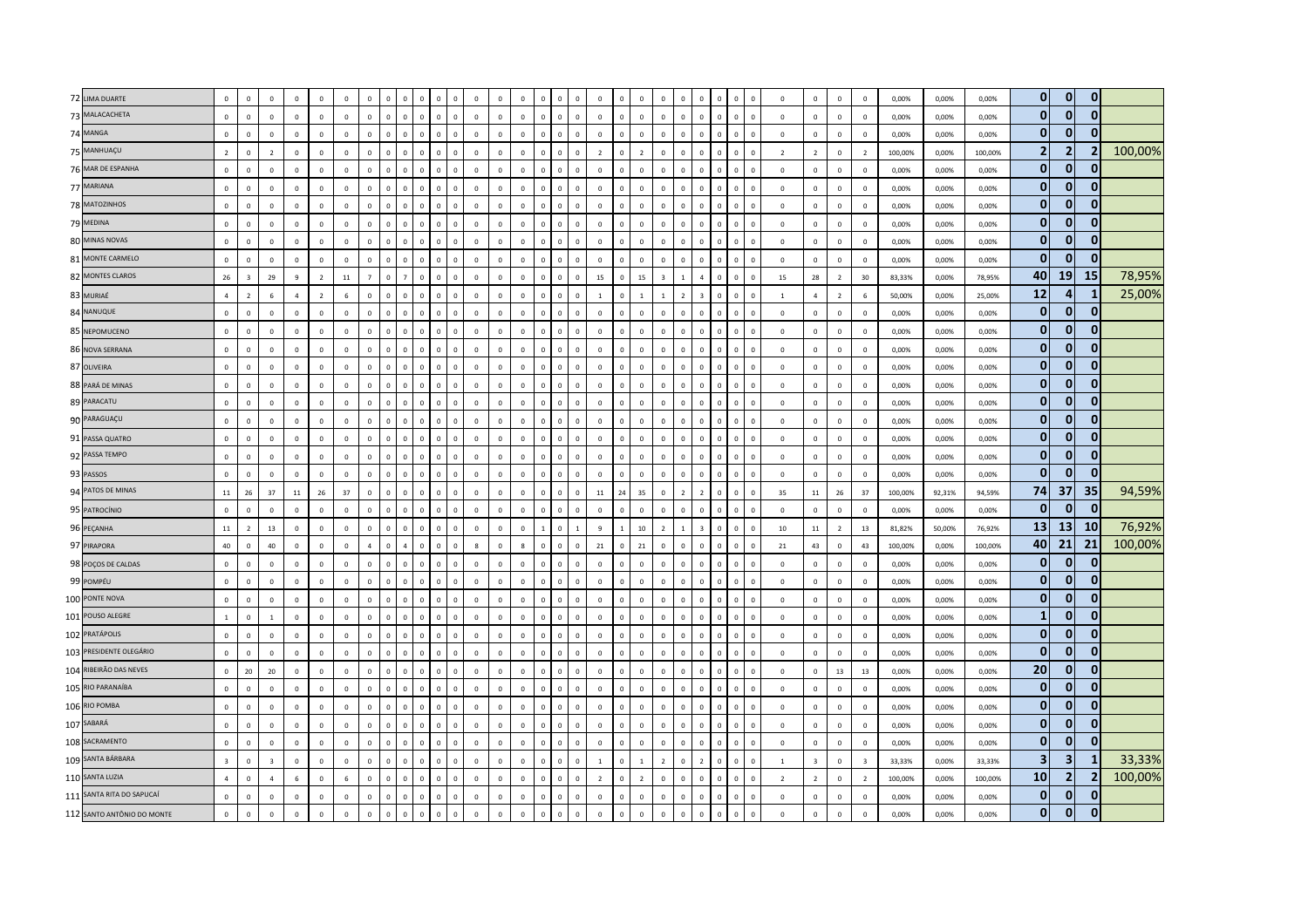|    | 72 LIMA DUARTE             | $\mathbb O$             | $\mathbf 0$             | $\mathbf 0$    | $\mathbf 0$    | $\mathbf 0$    | $\mathbf 0$  | $\mathsf 0$    |              | $\mathbf 0$    | $\Omega$                                | $\mathbf 0$    | $\mathbf 0$  | $\circ$      | $\mathbf 0$  | $\mathbf 0$  |                             |                | $\mathbf 0$             | $\mathbf 0$    | $\,$ 0 $\,$    | $\mathbf 0$    | $\Omega$                | $\Omega$     | $\overline{0}$ | $\Omega$       | $\mathbf{0}$   | $\mathbf 0$    | $\mathbf 0$    | $\overline{0}$          | 0,00%   | 0,00%  | 0,00%   | $\overline{0}$          | $\mathbf{0}$            | $\mathbf 0$    |         |
|----|----------------------------|-------------------------|-------------------------|----------------|----------------|----------------|--------------|----------------|--------------|----------------|-----------------------------------------|----------------|--------------|--------------|--------------|--------------|-----------------------------|----------------|-------------------------|----------------|----------------|----------------|-------------------------|--------------|----------------|----------------|----------------|----------------|----------------|-------------------------|---------|--------|---------|-------------------------|-------------------------|----------------|---------|
|    | 73 MALACACHETA             | $\mathbf 0$             | $\mathbf 0$             | $\mathbf 0$    | $\mathbf 0$    | $\mathbf 0$    | $\mathbf 0$  | $\mathsf 0$    | $\mathbf{0}$ | $\mathbf 0$    | $\,$ 0<br>$\Omega$                      | $\mathbf 0$    | $\mathbb O$  | $\mathbf 0$  | $\mathbf 0$  | $\mathbf 0$  | $\mathbf 0$<br>$\mathbf 0$  |                | $\mathbf 0$<br>$\Omega$ | $\mathbf 0$    | $\mathbf 0$    | $\mathbf 0$    | $\mathbf 0$             | $\mathsf 0$  | $\mathbb O$    | $\mathbf 0$    | $\mathsf 0$    | $\mathbf{0}$   | $\mathbf 0$    | $\mathbf 0$             | 0,00%   | 0,00%  | 0,00%   | $\mathbf{0}$            | $\mathbf{0}$            | $\mathbf{0}$   |         |
|    | 74 MANGA                   | $\mathbb O$             | $\mathbf 0$             | $\mathsf 0$    | $\mathbb O$    | $\Omega$       | $\mathbf{0}$ | $\mathbf 0$    | $\Omega$     | $\mathbf 0$    | $\Omega$                                | $\Omega$       | $\mathbf 0$  | $\Omega$     | $\mathbf 0$  | $\Omega$     | $\Omega$<br>$\Omega$        |                | $\Omega$                | $\mathbf{0}$   | $\mathbf 0$    | $\Omega$       | $\Omega$                | $\Omega$     | $\Omega$       | $\Omega$       | $\mathsf 0$    | $\Omega$       | $\mathbb O$    | $\mathbf 0$             | 0.00%   | 0,00%  | 0.00%   | $\bf{0}$                | $\mathbf{0}$            | $\mathbf{0}$   |         |
|    | 75 MANHUAÇU                | $\overline{2}$          | $\mathbf 0$             | $\overline{2}$ | $\overline{0}$ | $\mathbf{0}$   | $\mathbf{0}$ | $\mathsf 0$    | $\mathbf{0}$ | $\mathbf 0$    | $\overline{\mathbf{0}}$<br>$\Omega$     | $\mathbf 0$    | $\mathbf 0$  | $\circ$      | $\mathbf 0$  | $\mathbf{0}$ | $\overline{0}$<br>$\Omega$  | $\overline{2}$ | $\Omega$                | $\overline{2}$ | $\,$ 0 $\,$    | $\mathbf 0$    | $\Omega$                | $\mathsf 0$  | $\mathbf 0$    | $\Omega$       | $\overline{2}$ | $\overline{2}$ | $\,0\,$        | $\overline{2}$          | 100,00% | 0,00%  | 100,00% | $\overline{2}$          | 2 <sup>1</sup>          | $\overline{2}$ | 100,00% |
|    | 76 MAR DE ESPANHA          | $\mathbf 0$             | $\mathbf 0$             | $\mathbf 0$    | $\mathbf 0$    | $\mathbf 0$    | $\mathbf 0$  | $\mathsf 0$    | $\circ$      | $\mathbf 0$    | $\mathbf 0$<br>$\Omega$                 | $\mathsf{o}\,$ | $\mathbf 0$  | $\mathbf 0$  | $\mathbf 0$  | $\mathbf 0$  | $\mathbf{0}$<br>$\mathbb O$ |                | $\mathbf 0$<br>$\Omega$ | $\mathbf 0$    | $\mathbf 0$    | $\mathbf 0$    | $\mathbf 0$             | $\mathbf 0$  | $\mathbf 0$    | $\mathbf 0$    | $\mathbf{0}$   | $\mathbf 0$    | $\mathbf 0$    | $\,$ 0                  | 0,00%   | 0,00%  | 0,00%   | $\mathbf{0}$            | $\mathbf{0}$            | $\mathbf{0}$   |         |
|    | 77 MARIANA                 | $\mathbf 0$             | $\mathbf 0$             | $\mathbf 0$    | $\overline{0}$ | $\mathbf 0$    | $\mathbb O$  | $\mathbf 0$    | $\mathbf 0$  | $\mathbf 0$    | $\overline{0}$                          | $\mathbf{0}$   | $\mathbf 0$  | $\mathbf 0$  | $\mathbf 0$  | $\mathbf 0$  | $\mathbf 0$                 |                | $\mathbf 0$             | $\mathbf 0$    | $\,$ 0 $\,$    | $\mathbf 0$    | $^{\circ}$              | $\mathbf 0$  | $\overline{0}$ | $\theta$       | $\mathbf{0}$   | $\mathbf 0$    | $\overline{0}$ | $\mathbf 0$             | 0,00%   | 0,00%  | 0,00%   | $\bf{0}$                | $\Omega$                | $\mathbf{0}$   |         |
|    | 78 MATOZINHOS              | $\mathbf 0$             | $\mathbf{0}$            | $\circ$        | $\overline{0}$ | $\Omega$       | $\circ$      | $\mathbf{0}$   | $\circ$      | $\mathbf{0}$   | $\overline{0}$<br>$\Omega$              | $\Omega$       | $\mathbf{0}$ | $\circ$      | $\mathbf{0}$ | $\Omega$     | $\Omega$<br>$\Omega$        | $\overline{0}$ | $\Omega$                | $\overline{0}$ | $\mathbf{0}$   | $\mathbf{0}$   | $\Omega$                | $\Omega$     | $\mathbf 0$    | $\Omega$       | $\Omega$       | $\mathbf{0}$   | $\overline{0}$ | $\overline{0}$          | 0,00%   | 0,00%  | 0,00%   | $\mathbf{0}$            | $\mathbf{0}$            | $\mathbf{0}$   |         |
|    | 79 MEDINA                  | $\mathbf 0$             | $\mathbb O$             | $\mathsf 0$    | $\mathbf 0$    | $\mathbf 0$    | $\mathbb O$  | $\mathbf 0$    | $\mathbf{0}$ | $\mathbf 0$    | $\overline{\mathbf{0}}$<br>$\Omega$     | $\mathbf 0$    | $\mathbb O$  | $\mathbf{0}$ | $\mathbf 0$  | $\mathsf 0$  | $\mathbf{0}$<br>$\mathbf 0$ | $\mathbf 0$    | $\Omega$                | $\mathbf 0$    | $\mathbf 0$    | $\mathbf 0$    | $\Omega$                | $\mathbf 0$  | $\mathbb O$    | $\mathbf 0$    | $\mathbf{0}$   | $\mathbf 0$    | $\mathbf 0$    | $\,$ 0                  | 0,00%   | 0,00%  | 0,00%   | $\mathbf{0}$            | $\mathbf{0}$            | $\mathbf{0}$   |         |
|    | 80 MINAS NOVAS             | $\mathbb O$             | $\mathbf 0$             | $\mathbf 0$    | $\overline{0}$ | $\mathbf 0$    | $\mathbb O$  | $\mathbf 0$    | $\mathbf 0$  | $\mathbf 0$    | $\mathbf 0$                             | $\mathbf 0$    | $\mathbf 0$  | $\mathbf 0$  | $\mathbf 0$  | $\mathbf 0$  | $\mathbf{0}$<br>$\mathbf 0$ |                | $\mathbf 0$             | $\mathbf 0$    | $\mathbf 0$    | $\mathbf 0$    | $^{\circ}$              | $\mathbf 0$  | $\overline{0}$ | $\mathbf 0$    | $\mathbf 0$    | $\mathbf 0$    | $\mathbf 0$    | $\mathbf 0$             | 0,00%   | 0,00%  | 0,00%   | $\bf{0}$                | $\overline{0}$          | $\mathbf{0}$   |         |
|    | 81 MONTE CARMELO           | $\mathbf{0}$            | $\overline{0}$          | $\mathbf 0$    | $\mathbf 0$    | $\mathbf{0}$   | $\mathbf{0}$ | $\mathbf 0$    | $\mathbf{0}$ | $\mathbf{0}$   | $\overline{0}$<br>$\Omega$              | $\mathbf 0$    | $\mathbf 0$  | $\mathbf 0$  | $\mathbf{0}$ | $\Omega$     | $\mathbf{0}$<br>$\mathbf 0$ | $\mathbf 0$    | $\mathbf{0}$            | $\mathbf 0$    | $\mathbb O$    | $\mathbf{0}$   | $\mathbf{0}$            | $\mathbf{0}$ | $\mathbf 0$    | $\Omega$       | $\mathbf{0}$   | $\mathbf 0$    | $\mathbf 0$    | $\overline{0}$          | 0,00%   | 0,00%  | 0,00%   | $\mathbf{0}$            | $\mathbf{0}$            | $\mathbf{0}$   |         |
| 82 | <b>MONTES CLAROS</b>       | 26                      | $\overline{\mathbf{3}}$ | 29             | $\mathbf{q}$   | $\overline{2}$ | $11\,$       | $\overline{7}$ | $\Omega$     | $\overline{7}$ | $\Omega$                                | $\mathbf 0$    | $\Omega$     | $\Omega$     | $\Omega$     | $\Omega$     | $\Omega$<br>$\Omega$        | 15             | $\Omega$                | 15             | $\overline{3}$ | $\mathbf{1}$   | $\overline{4}$          | $\Omega$     | $\mathbb O$    | $\Omega$       | 15             | 28             | $\overline{2}$ | 30                      | 83,33%  | 0,00%  | 78,95%  | 40                      | 19                      | <b>15</b>      | 78,95%  |
|    | 83 MURIAÉ                  | $\overline{4}$          | $\overline{2}$          | 6              | $\overline{a}$ | $\overline{2}$ | $\,6\,$      | $\mathsf 0$    | $\Omega$     | $\mathbf 0$    | $\Omega$                                | $\mathbf 0$    | $\mathbf 0$  | $\mathbf{0}$ | $\mathbf 0$  | $\mathbf 0$  | $\Omega$<br>$\mathbf 0$     | $\overline{1}$ |                         | $\overline{1}$ | $\overline{1}$ | $\overline{z}$ | $\overline{3}$          | $\Omega$     | $\overline{0}$ | $\Omega$       | $\mathbf{1}$   | $\overline{4}$ | $\overline{2}$ | $6\phantom{1}6$         | 50,00%  | 0,00%  | 25,00%  | 12                      | $\mathbf{A}$            | $\mathbf{1}$   | 25,00%  |
|    | 84 NANUQUE                 | $\mathbb O$             | $\mathbf 0$             | $\mathsf 0$    | $\overline{0}$ | $\Omega$       | $\mathbf 0$  | $\mathbf 0$    | $\Omega$     | $\mathbf{0}$   | $\overline{\mathbf{0}}$<br>$\Omega$     | $\mathbf 0$    | $\mathbf 0$  | $\circ$      | $\mathbf{0}$ | $\Omega$     | $\Omega$<br>$\Omega$        |                | $\mathbf 0$<br>$\Omega$ | $\mathbf 0$    | $\mathbf 0$    | $\mathbf{0}$   | $\Omega$                | $\mathbf 0$  | $\mathbb O$    | $\Omega$       | $\circ$        | $\mathbf 0$    | $\mathbf 0$    | $\overline{0}$          | 0,00%   | 0,00%  | 0,00%   | $\mathbf{0}$            | $\mathbf{0}$            | $\mathbf{0}$   |         |
|    | 85 NEPOMUCENO              | $\mathbf 0$             | $\mathbf 0$             | $\mathbf 0$    | $\mathbb O$    | $\circ$        | $\mathbf 0$  | $\mathsf 0$    | $\Omega$     | $\mathbf 0$    | $\Omega$                                | $\mathbf 0$    | $\mathbf 0$  | $\circ$      | $\mathbf{0}$ | $\Omega$     | $\Omega$<br>$\Omega$        |                | $\mathbf 0$             | $\mathbb O$    | $\mathbf{0}$   | $\mathbf 0$    | $\Omega$                | $\Omega$     | $\overline{0}$ | $\Omega$       | $\circ$        | $\mathbf 0$    | $\mathbf 0$    | $\mathbf 0$             | 0,00%   | 0,00%  | 0,00%   | $\mathbf{0}$            | $\mathbf{0}$            | $\mathbf{0}$   |         |
|    | 86 NOVA SERRANA            | $\mathbb O$             | $\mathbf 0$             | $\mathbf 0$    | $\mathbf 0$    | $\mathbf{0}$   | $\mathbf{0}$ | $\mathsf 0$    | $\Omega$     | $\mathbf 0$    | $\overline{\mathbf{0}}$<br>$\Omega$     | $\mathbf 0$    | $\mathbb O$  | $\mathbf 0$  | $\mathbf 0$  | $\mathsf 0$  | $\Omega$<br>$\Omega$        | $\mathbf 0$    | $\Omega$                | $\mathbf 0$    | $\mathbf 0$    | $\mathbf 0$    | $\Omega$                | $\Omega$     | $\mathbf 0$    | $\Omega$       | $\mathbf 0$    | $\mathbf 0$    | $\mathbf 0$    | $\mathbf 0$             | 0,00%   | 0,00%  | 0,00%   | $\mathbf{0}$            | $\mathbf{0}$            | $\mathbf{0}$   |         |
|    | 87 OLIVEIRA                | $\mathbf 0$             | $\,0\,$                 | $\mathbf 0$    | $\mathbf 0$    | $\overline{0}$ | $\mathbf 0$  | $\mathbf 0$    | $\mathbf{0}$ | $\mathbf 0$    | $\,$ 0<br>$\Omega$                      | $\mathbf 0$    | $\mathbb O$  | $\mathbf 0$  | $\mathbf 0$  | $\mathbf 0$  | $\,$ 0<br>$\mathbb O$       | $\,0\,$        | $\Omega$                | $\mathbf 0$    | $\mathbb O$    | $\mathbf 0$    | $\overline{0}$          | $\mathbf 0$  | $\mathbb O$    | $\overline{0}$ | $\mathbf 0$    | $\mathbf 0$    | $\mathbf 0$    | $\,$ 0                  | 0,00%   | 0,00%  | 0,00%   | $\bf{0}$                | $\Omega$                | $\mathbf{0}$   |         |
|    | 88 PARÁ DE MINAS           | $\mathbb O$             | $\mathbf 0$             | $\mathbf 0$    | $\mathbf 0$    | $\mathbf{0}$   | $\mathbf 0$  | $\mathbf 0$    | $\Omega$     | $\mathbf{0}$   | $\Omega$                                | $\mathbf 0$    | $\mathbf 0$  | $\circ$      | $\Omega$     | $\Omega$     | $\Omega$<br>$\Omega$        | $\overline{0}$ |                         | $\mathbf 0$    | $\mathbf 0$    | $\Omega$       | $\Omega$                | $\Omega$     | $\overline{0}$ | $\Omega$       | $\circ$        | $\mathbf 0$    | $\mathbf 0$    | $\overline{0}$          | 0,00%   | 0,00%  | 0,00%   | $\mathbf{0}$            | $\Omega$                | $\mathbf{0}$   |         |
|    | 89 PARACATU                | $\mathbf 0$             | $\mathbf 0$             | $\mathbf 0$    | $\mathbf 0$    | $\mathbf 0$    | $\mathbb O$  | $\mathbf 0$    | $\mathbf{0}$ | $\mathbf 0$    | $\mathbf 0$<br>$\Omega$                 | $\mathbf 0$    | $\mathbb O$  | $\mathbf 0$  | $\mathbf 0$  | $\mathbf 0$  | $\Omega$<br>$\Omega$        | $\mathsf 0$    | $\Omega$                | $\mathbf 0$    | $\mathbf 0$    | $\mathbf 0$    | $\mathbf 0$             | $\mathbf 0$  | $\mathbf 0$    | $\Omega$       | $\mathsf 0$    | $\mathbf 0$    | $\mathbf 0$    | $\overline{0}$          | 0,00%   | 0,00%  | 0,00%   | $\bf{0}$                | $\mathbf{0}$            | $\mathbf{0}$   |         |
|    | 90 PARAGUAÇU               | $\mathbb O$             | $\mathbf 0$             | $\mathsf 0$    | $\mathbf 0$    | $\mathbf{0}$   | $\mathbb O$  | $\mathsf 0$    | $\Omega$     | $\mathbf 0$    | $\mathbf 0$<br>$\Omega$                 | $\mathbf 0$    | $\mathbf 0$  | $\Omega$     | $\Omega$     | $\mathbf 0$  | $\Omega$<br>$\Omega$        | $\mathbf 0$    | $\Omega$                | $\mathbf 0$    | $\mathbf 0$    | $\Omega$       | $\Omega$                | $\Omega$     | $\mathbb O$    | $\Omega$       | $\Omega$       | $\mathbf{0}$   | $\mathbf 0$    | $\mathbf 0$             | 0,00%   | 0,00%  | 0,00%   | $\mathbf{0}$            | $\mathbf{0}$            | $\mathbf{0}$   |         |
|    | 91 PASSA QUATRO            | $\mathbb O$             | $\overline{0}$          | $\mathbf{0}$   | $\overline{0}$ | $\mathbf 0$    | $\mathbb O$  | $\mathsf 0$    | $\circ$      | $\mathbf 0$    | $\overline{0}$                          | $\mathbf 0$    | $\mathbf 0$  | $\circ$      | $\mathbf 0$  | $\mathbf 0$  | $\Omega$<br>$\mathbf 0$     | $\mathbf 0$    | $\sqrt{2}$              | $\mathbf 0$    | $\mathbf 0$    | $\mathbf 0$    | $\Omega$                | $\mathbf 0$  | $\mathbb O$    | $\overline{0}$ | $\mathbf{0}$   | $\mathbf 0$    | $\mathbf 0$    | $\overline{0}$          | 0,00%   | 0,00%  | 0,00%   | $\mathbf{0}$            | $\mathbf{0}$            | $\mathbf 0$    |         |
|    | 92 PASSA TEMPO             | $\mathbf 0$             | $\mathbf 0$             | $\mathbf 0$    | $\mathbf 0$    | $\mathbf 0$    | $\mathbf 0$  | $\mathsf 0$    | $\circ$      | $\mathbf 0$    | $\overline{\mathbf{0}}$<br>$\Omega$     | $\mathbf 0$    | $\mathbf 0$  | $\mathbf 0$  | $\mathbf 0$  | $\mathbf 0$  | $\mathsf 0$<br>$\mathbb O$  |                | $\mathbf 0$<br>$\Omega$ | $\mathbf 0$    | $\mathbf 0$    | $\mathbf 0$    | $\mathbf 0$             | $\mathbf 0$  | $\mathbf 0$    | $\mathbf 0$    | $\mathsf 0$    | $\mathbf{0}$   | $\mathbf 0$    | $\mathbf 0$             | 0,00%   | 0,00%  | 0,00%   | $\bf{0}$                | $\overline{0}$          | $\mathbf{0}$   |         |
|    | 93 PASSOS                  | $\mathbf{0}$            | $\mathbf 0$             | $\mathbf 0$    | $\mathbb O$    | $\mathbf 0$    | $\mathbf{0}$ | $\mathsf 0$    | $\Omega$     | $\mathbf 0$    | $\overline{0}$                          | $\mathbf 0$    | $\mathbf 0$  | $\mathbf 0$  | $\mathbf 0$  | $\Omega$     | $\Omega$<br>$\mathbf 0$     |                | $\mathbf 0$             | $\circ$        | $\mathbf 0$    | $\mathbf 0$    | $\Omega$                | $\Omega$     | $\overline{0}$ | $\overline{0}$ | $\mathbf{0}$   | $\mathbf 0$    | $\mathbb O$    | $\overline{0}$          | 0,00%   | 0,00%  | 0,00%   | $\bf{0}$                | $\mathbf{0}$            | $\mathbf{0}$   |         |
|    | 94 PATOS DE MINAS          | $11\,$                  | ${\bf 26}$              | 37             | 11             | 26             | 37           | $\mathbf 0$    | $\Omega$     | $\circ$        | $\Omega$                                | $\Omega$       | $\Omega$     | $\Omega$     | $\Omega$     | $\Omega$     | $\Omega$<br>$\Omega$        | 11             | 24                      | $35\,$         | $\mathbf 0$    | $\overline{z}$ | $\overline{z}$          | $\Omega$     | $\Omega$       | $\Omega$       | 35             | 11             | 26             | 37                      | 100,00% | 92,31% | 94,59%  | 74                      | 37                      | 35             | 94,59%  |
|    | 95 PATROCÍNIO              | $\mathbb O$             | $\mathbf 0$             | $\mathbf 0$    | $\mathbf 0$    | $\mathbf 0$    | $\mathbf{0}$ | $\mathbf 0$    | $^{\circ}$   | $\mathbf 0$    | $\overline{0}$<br>$\Omega$              | $\mathbf 0$    | $\mathbb O$  | $^{\circ}$   | $\mathbf 0$  | $\mathbf{0}$ | $\mathbf{0}$<br>$\mathbf 0$ | $\mathbf 0$    | $\Omega$                | $\mathbf 0$    | $\mathbb O$    | $\mathbf 0$    | $\Omega$                | $\mathbf 0$  | $\mathbb O$    | $\mathbf 0$    | $^{\circ}$     | $\mathbf 0$    | $\mathbf 0$    | $\,$ 0                  | 0,00%   | 0,00%  | 0,00%   | $\mathbf{0}$            | $\mathbf{0}$            | $\mathbf{0}$   |         |
|    | 96 PEÇANHA                 | $11\,$                  | $\overline{2}$          | 13             | $\mathbf 0$    | $\mathbf 0$    | $\mathbb O$  | $\mathsf 0$    | $\mathbf 0$  | $\mathbf{0}$   | $\mathbf 0$                             | $\mathbf 0$    | $\mathbf 0$  | $\mathbf 0$  | $\mathbf 0$  | $\mathbf{1}$ | $\mathbf{0}$                | 9              |                         | $10\,$         | $\overline{2}$ | $\mathbf{1}$   | $\overline{\mathbf{3}}$ | $\mathbf 0$  | $\overline{0}$ | $\overline{0}$ | 10             | $11\,$         | $\overline{2}$ | 13                      | 81,82%  | 50,00% | 76,92%  | 13                      | 13 <sup>1</sup>         | 10             | 76,92%  |
|    | 97 PIRAPORA                | 40                      | $\mathbf{0}$            | 40             | $\overline{0}$ | $\mathbf{0}$   | $\circ$      | $\overline{4}$ | $\circ$      | $\overline{4}$ | $\overline{0}$<br>$\Omega$              | $\mathbf{0}$   | 8            | $\circ$      | 8            | $\Omega$     | $\overline{0}$<br>$\circ$   |                | 21<br>$\Omega$          | 21             | $\mathbf{0}$   | $\mathbf{0}$   | $\mathbf{0}$            | $\Omega$     | $\overline{0}$ | $\Omega$       | 21             | 43             | $\overline{0}$ | 43                      | 100,00% | 0,00%  | 100,00% | 40                      | 21                      | 21             | 100,00% |
|    | 98 POÇOS DE CALDAS         | $\mathbf{0}$            | $\mathbf 0$             | $\circ$        | $\overline{0}$ | $\mathbf{0}$   | $\mathbf{0}$ | $\mathbf 0$    | $\Omega$     | $\mathbf{0}$   | $\Omega$<br>$\Omega$                    | $\mathbf 0$    | $\mathbf 0$  | $\Omega$     | $\Omega$     | $\mathbf 0$  | $\mathbf{0}$<br>$\Omega$    | $\overline{0}$ | $\Omega$                | $\mathbf 0$    | $\mathbf 0$    | $\Omega$       | $\Omega$                | $\Omega$     | $\mathbb O$    | $\Omega$       | $\Omega$       | $\mathbf 0$    | $\overline{0}$ | $\mathbf 0$             | 0,00%   | 0,00%  | 0,00%   | $\mathbf{0}$            | $\mathbf{0}$            | $\mathbf{0}$   |         |
|    | 99 POMPÉU                  | $\mathbf 0$             | $\mathbf 0$             | $\mathbf 0$    | $\mathbf 0$    | $\overline{0}$ | $\mathbb O$  | $\mathbf 0$    | $\Omega$     | $\mathbf 0$    | $\Omega$                                | $\mathbf 0$    | $\mathbf 0$  | $\mathbf 0$  | $\mathbf 0$  | $\mathbf 0$  | $\Omega$<br>$\mathbf 0$     | $\mathbf 0$    |                         | $\mathbf 0$    | $\mathbf 0$    | $\mathbf 0$    | $\Omega$                | $\Omega$     | $\mathbb O$    | $\Omega$       | $\mathbf{0}$   | $\mathbf 0$    | $\mathbf 0$    | $\,$ 0                  | 0,00%   | 0,00%  | 0,00%   | $\mathbf{0}$            | $\mathbf{0}$            | $\mathbf{0}$   |         |
|    | 100 PONTE NOVA             | $\mathbf 0$             | $\mathbf 0$             | $\mathbf 0$    | $\mathbf 0$    | $\mathbf 0$    | $\mathbb O$  | $\mathbf 0$    | $\mathbf{0}$ | $\mathbf 0$    | $\overline{\mathbf{0}}$<br>$\mathbf{0}$ | $\mathbf 0$    | $\,0\,$      | $\mathbf 0$  | $\mathbf 0$  | $\mathbf 0$  | $\mathbf 0$<br>$\mathbf 0$  | $\mathbf 0$    | $\mathbf 0$             | $\mathbf 0$    | $\mathbf 0$    | $\mathbf 0$    | $\mathbf 0$             | $\mathbf 0$  | $\mathbf 0$    | $\mathbf 0$    | $\mathbf{0}$   | $\mathbf 0$    | $\mathbf 0$    | $\mathbf 0$             | 0,00%   | 0,00%  | 0,00%   | $\bf{0}$                | $\mathbf{0}$            | $\mathbf{0}$   |         |
|    | 101 POUSO ALEGRE           | $\overline{1}$          | $\mathbf{0}$            | $\overline{1}$ | $\mathbf 0$    | $\Omega$       | $\circ$      | $\mathbf{0}$   | $\Omega$     | $\mathbf{0}$   | $\Omega$<br>$\Omega$                    | $\Omega$       | $\mathbf{0}$ | $\Omega$     | $\Omega$     | $\Omega$     | $\Omega$<br>$\Omega$        | $\overline{0}$ | $\Omega$                | $\overline{0}$ | $\mathbf{0}$   | $\mathbf{0}$   | $\Omega$                | $\Omega$     | $\Omega$       | $\Omega$       | $\circ$        | $\Omega$       | $\mathbf 0$    | $\overline{0}$          | 0,00%   | 0,00%  | 0,00%   | $\mathbf{1}$            | $\mathbf{0}$            | $\mathbf{0}$   |         |
|    | 102 PRATÁPOLIS             | $\mathbb O$             | $\mathbf 0$             | $\mathbf 0$    | $\mathbf 0$    | $\mathbf 0$    | $\mathbf{0}$ | $\mathbf 0$    | $\Omega$     | $\mathbf 0$    | $\overline{0}$<br>$\Omega$              | $\mathbf 0$    | $\mathbf 0$  | $\mathbf 0$  | $\mathbf 0$  | $\mathbf 0$  | $\Omega$<br>$\mathbf 0$     | $\mathbf 0$    | $\Omega$                | $\mathbf 0$    | $\mathbf 0$    | $\mathbf 0$    | $\Omega$                | $\mathbf 0$  | $\mathbb O$    | $\Omega$       | $\mathbf 0$    | $\mathbf 0$    | $\mathbf 0$    | $\,$ 0                  | 0,00%   | 0,00%  | 0,00%   | $\bf{0}$                | $\mathbf{0}$            | $\mathbf{0}$   |         |
|    | 103 PRESIDENTE OLEGÁRIO    | $\mathbf 0$             | $\,0\,$                 | $\mathbf 0$    | $\,0\,$        | $\mathbf{0}$   | $\mathbf 0$  | $\mathbf 0$    | $\mathbf{0}$ | $\mathbf 0$    | $\,$ 0<br>$\Omega$                      | $\mathbf 0$    | $\mathbf 0$  | $\mathbf 0$  | $\mathbf 0$  | $\mathbf 0$  | $\,0\,$<br>$\mathbb O$      | $\,0\,$        | $\Omega$                | $\mathbf 0$    | $\mathbb O$    | $\mathbf 0$    | $\mathbf{0}$            | $\mathbf 0$  | $\mathbb O$    | $\overline{0}$ | $\mathbf 0$    | $\bf{0}$       | $\mathbf 0$    | $\,$ 0                  | 0,00%   | 0,00%  | 0,00%   | $\bf{0}$                | $\overline{0}$          | $\mathbf{0}$   |         |
|    | 104 RIBEIRÃO DAS NEVES     | $\mathbf{0}$            | 20                      | 20             | $\mathbb O$    | $\circ$        | $\mathbb O$  | $\mathbf 0$    | $\Omega$     | $\Omega$       | $\Omega$                                | $\mathbf 0$    | $\mathbf 0$  | $\circ$      | $\Omega$     | $\Omega$     | $\Omega$<br>$\Omega$        |                | $\mathbf 0$             | $\mathbb O$    | $\mathbf{0}$   | $\Omega$       | $\Omega$                | $\Omega$     | $\Omega$       | $\Omega$       | $\Omega$       | $\mathbf 0$    | 13             | 13                      | 0,00%   | 0,00%  | 0,00%   | 20                      | $\mathbf{0}$            | $\mathbf{0}$   |         |
|    | 105 RIO PARANAÍBA          | $\mathbb O$             | $\mathbf{0}$            | $\mathbf{0}$   | $\overline{0}$ | $\Omega$       | $\mathbf{0}$ | $\mathsf 0$    | $\Omega$     | $\mathbf{0}$   | $\overline{0}$<br>$\Omega$              | $\Omega$       | $\mathbb O$  | $\Omega$     | $\circ$      | $\Omega$     | $\Omega$<br>$\Omega$        | $\overline{0}$ | $\Omega$                | $\mathbf 0$    | $\,$ 0 $\,$    | $\mathbf{0}$   | $\Omega$                | $\Omega$     | $\overline{0}$ | $\Omega$       | $\Omega$       | $\Omega$       | $\mathbf 0$    | $\mathbf 0$             | 0,00%   | 0,00%  | 0,00%   | $\bf{0}$                | $\mathbf{0}$            | $\mathbf{0}$   |         |
|    | 106 RIO POMBA              | $\mathbf 0$             | $\mathbf 0$             | $\mathsf 0$    | $\overline{0}$ | $\mathbf 0$    | $\mathbf{0}$ | $\mathsf 0$    | $\mathbf{0}$ | $\mathbf 0$    | $\overline{\mathbf{0}}$<br>$\Omega$     | $\mathbf 0$    | $\mathbf 0$  | $\Omega$     | $\mathbf 0$  | $\Omega$     | $\Omega$<br>$\Omega$        | $\mathbf 0$    | $\Omega$                | $\circ$        | $\mathbf 0$    | $\mathbf 0$    | $\Omega$                | $\Omega$     | $\mathbf{0}$   | $\Omega$       | $\mathbf{0}$   | $\mathbf{0}$   | $\mathbf 0$    | $\mathbf 0$             | 0,00%   | 0,00%  | 0,00%   | $\mathbf{0}$            | $\mathbf{0}$            | $\mathbf{0}$   |         |
|    | 107 SABARÁ                 | $\mathbb O$             | $\mathbf 0$             | $\mathsf 0$    | $\overline{0}$ | $\mathbf 0$    | $\mathbb O$  | $\mathsf 0$    | $\circ$      | $\mathbf 0$    | $\Omega$                                | $\mathbf 0$    | $\mathbf 0$  | $\circ$      | $\Omega$     | $\mathbf 0$  | $\Omega$<br>$\Omega$        | $\mathbf 0$    |                         | $\mathbf 0$    | $\,$ 0 $\,$    | $\mathbf{0}$   | $\Omega$                | $\mathsf 0$  | $\mathbf 0$    | $\Omega$       | $\mathbf{0}$   | $\mathbf 0$    | $\mathbf 0$    | $\overline{0}$          | 0,00%   | 0,00%  | 0,00%   | $\mathbf{0}$            | $\mathbf{0}$            | $\mathbf{0}$   |         |
|    | 108 SACRAMENTO             | $\mathbf 0$             | $\mathbb O$             | $\mathbf 0$    | $\mathbf 0$    | $\mathbb O$    | $\mathbf 0$  | $\mathbf 0$    | $\mathbf{0}$ | $\mathbf 0$    | $\overline{\mathbf{0}}$<br>$\Omega$     | $\mathbf 0$    | $\mathbb O$  | $\circ$      | $\mathbf 0$  | $\mathbf 0$  | $\mathsf 0$<br>$\mathbf{0}$ | $\mathsf 0$    | $\Omega$                | $\mathbf 0$    | $\mathbf 0$    | $\mathbf 0$    | $\mathbb O$             | $\mathbf 0$  | $\mathbf 0$    | $\Omega$       | $\circ$        | $\mathbf 0$    | $\mathbf 0$    | $\mathbf 0$             | 0,00%   | 0,00%  | 0,00%   | $\mathbf{0}$            | $\mathbf{0}$            | $\mathbf{0}$   |         |
|    | 109 SANTA BÁRBARA          | $\overline{\mathbf{3}}$ | $\mathbf 0$             | $\overline{3}$ | $\Omega$       | $\Omega$       | $\mathbf{0}$ | $\mathbf 0$    | $\Omega$     | $\mathbf 0$    | $\Omega$                                | $\mathbf 0$    | $\mathbf 0$  | $\Omega$     | $\Omega$     | $\Omega$     | $\Omega$<br>$\Omega$        | $\overline{1}$ | $\Omega$                | $\overline{1}$ | $\overline{2}$ | $\Omega$       | $\overline{z}$          | $\Omega$     | $\mathbb O$    | $\Omega$       | $\overline{1}$ | $\overline{3}$ | $\mathbb O$    | $\overline{\mathbf{3}}$ | 33,33%  | 0.00%  | 33.33%  | $\overline{\mathbf{3}}$ | $\overline{\mathbf{3}}$ | 1              | 33,33%  |
|    | 110 SANTA LUZIA            | $\overline{4}$          | $\mathbf{0}$            | $\overline{a}$ | 6              | $\Omega$       | 6            | $\mathbf 0$    | $\Omega$     | $\mathbf{0}$   | $\overline{0}$<br>$\sqrt{2}$            | $\Omega$       | $\,0\,$      | $\Omega$     | $\Omega$     | $\Omega$     | $\Omega$<br>$\Omega$        | $\overline{2}$ | $\Omega$                | $\overline{2}$ | $\mathbf 0$    | $\mathbf{0}$   | $\Omega$                | $\Omega$     | $\mathbf 0$    | $\Omega$       | $\overline{2}$ | $\overline{2}$ | $\,0\,$        | $\overline{2}$          | 100,00% | 0,00%  | 100,00% | 10                      | 2 <sup>1</sup>          | $\overline{2}$ | 100,00% |
|    | 111 SANTA RITA DO SAPUCAÍ  | $\mathbf 0$             | $\mathbf 0$             | $\mathsf 0$    | $\mathbf 0$    | $\mathbf{0}$   | $\mathbb O$  | $\mathbf 0$    | $\mathbf{0}$ | $\mathbf 0$    | $\overline{0}$<br>$\Omega$              | $\mathbf 0$    | $\mathbf 0$  | $\circ$      | $\mathbf 0$  | $\mathbf 0$  | $\mathbf{0}$<br>$\mathbf 0$ | $\mathbf 0$    | $\Omega$                | $\mathbf 0$    | $\mathbf 0$    | $\mathbf{0}$   | $\mathbf 0$             | $\mathbf 0$  | $\mathbb O$    | $\mathbf 0$    | $\circ$        | $\mathbf 0$    | $\mathbf 0$    | $\mathbf 0$             | 0,00%   | 0,00%  | 0,00%   | $\mathbf{0}$            | $\mathbf{0}$            | $\mathbf{0}$   |         |
|    | 112 SANTO ANTÔNIO DO MONTE | $\mathbf 0$             | $\mathbf 0$             | $\mathbf{0}$   | $\mathbf{0}$   | $\Omega$       | $\mathbf 0$  | $\mathbf 0$    | $\mathbf 0$  | $\Omega$       |                                         | $\theta$       | $\mathbf 0$  |              |              |              |                             |                | $\Omega$                | $\mathbf{0}$   | $\mathbf{0}$   | $\mathbf 0$    | $\Omega$                | $\mathbf 0$  |                |                | $\mathbf{0}$   | $\mathbf 0$    | $\mathbf{0}$   | $\mathbf 0$             | 0,00%   | 0,00%  | 0,00%   | $\mathbf{0}$            | $\overline{0}$          | $\mathbf{0}$   |         |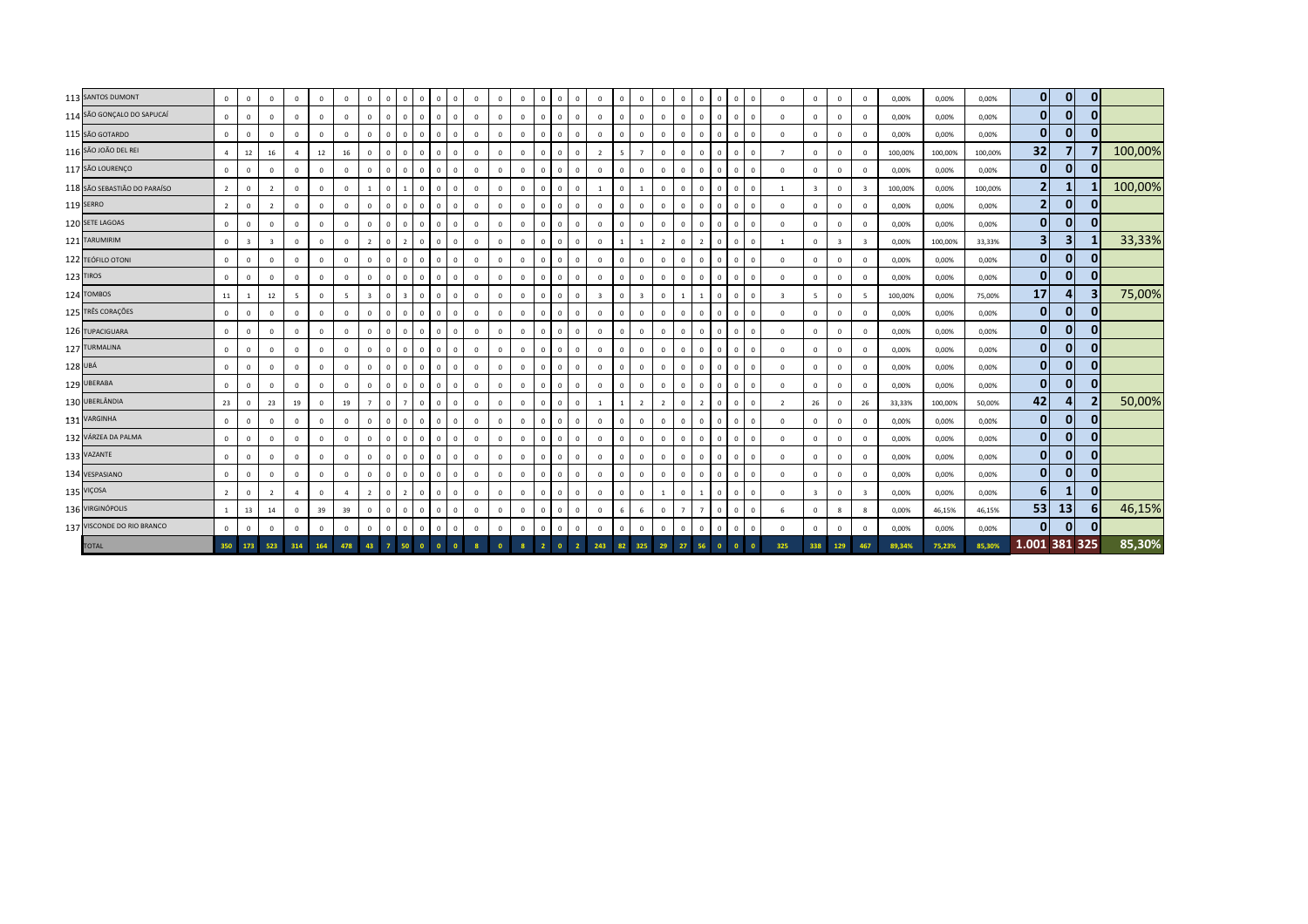|         | 113 SANTOS DUMONT            | $\mathbf{0}$   | $\mathbf{0}$ | $\Omega$                | $\Omega$       | $\mathbf 0$    | $\Omega$                | $\Omega$       | $\mathbf{0}$   | $\Omega$       |          | $\mathbf 0$<br>$\overline{0}$  | $\mathbf 0$  | $\mathbf 0$    | $\Omega$       | $^{\circ}$     | $\Omega$       | $\mathbf{0}$ | $\mathbf 0$             | $\Omega$     | $\mathbf{0}$   | $\Omega$       | $\Omega$       | $\mathbf{0}$   | $^{\circ}$<br>$\Omega$         | $\Omega$   | $\Omega$                 | $\mathbf 0$              | $\mathbf{0}$            | $\mathbf 0$             | 0,00%   | 0,00%   | 0,00%   | $\mathbf{0}$   | $\overline{0}$ | $\overline{0}$          |         |
|---------|------------------------------|----------------|--------------|-------------------------|----------------|----------------|-------------------------|----------------|----------------|----------------|----------|--------------------------------|--------------|----------------|----------------|----------------|----------------|--------------|-------------------------|--------------|----------------|----------------|----------------|----------------|--------------------------------|------------|--------------------------|--------------------------|-------------------------|-------------------------|---------|---------|---------|----------------|----------------|-------------------------|---------|
|         | 114 SÃO GONÇALO DO SAPUCAÍ   | $\mathbf{0}$   | $\Omega$     | $\Omega$                | $\Omega$       | $\Omega$       | $\Omega$                | $\mathbf{0}$   | $\mathbf{0}$   | $\Omega$       |          | $\mathbf 0$<br>$\mathbf{0}$    | $\Omega$     | $\mathbf 0$    | $\Omega$       |                | $\Omega$       | $\mathbf 0$  | $\mathbf 0$             | $\Omega$     | $\mathbf{0}$   | $\mathbf{0}$   | $\Omega$       | $\mathbf{0}$   | $\Omega$<br>$\Omega$           | $\Omega$   | $\Omega$                 | $\Omega$                 | $\mathbf 0$             | $\mathbf 0$             | 0,00%   | 0,00%   | 0,00%   | $\bf{0}$       | $\overline{0}$ | $\mathbf{0}$            |         |
|         | 115 SÃO GOTARDO              | $\mathbf{0}$   | $\mathbf{0}$ | $\Omega$                | $\Omega$       | $\mathbf 0$    | $\mathbf 0$             | $\overline{0}$ | $\mathbf 0$    | $\overline{0}$ |          | $\mathbf 0$<br>$\mathbf 0$     | $\mathbf 0$  | $\mathbf 0$    | $\overline{0}$ | $\Omega$       | $\Omega$       | $\mathbf 0$  | $\overline{0}$          | $\mathbf 0$  | $\mathbf 0$    | $\mathbf{0}$   | $\Omega$       | $\mathbf{0}$   | $\Omega$<br>$\overline{0}$     | $\Omega$   |                          | $\Omega$                 | $\mathbf 0$             | $\mathbf 0$             | 0,00%   | 0,00%   | 0,00%   | $\bf{0}$       | $\mathbf{0}$   | $\overline{0}$          |         |
|         | 116 SÃO JOÃO DEL REI         | $\overline{a}$ | 12           | 16                      |                | 12             | 16                      | $\mathbf{0}$   | $\mathbf{0}$   | $\Omega$       |          | $\mathbf 0$<br>$\overline{0}$  | $\mathbf 0$  | $\mathbf 0$    | $\overline{0}$ | $\Omega$       | $\Omega$       | $\mathbf 0$  | $\overline{2}$          | 5            | $\overline{7}$ | $\mathbf{0}$   | $\mathbf{0}$   | $\Omega$       | $\Omega$<br>$\Omega$           | $^{\circ}$ | $\overline{7}$           | $\overline{0}$           | $\mathbf 0$             | $\mathbf 0$             | 100,00% | 100,00% | 100,00% | 32             |                |                         | 100,00% |
|         | 117 SÃO LOURENÇO             | $\mathbf{0}$   | $\Omega$     | $\Omega$                | $\Omega$       | $\Omega$       | $\Omega$                | $\mathbf{0}$   | $\mathbf{0}$   | $\overline{0}$ |          | $\mathbf 0$<br>$\overline{0}$  | $\mathbf 0$  | $\overline{0}$ | $\Omega$       | $\Omega$       | $\Omega$       | $\mathbf{0}$ | $\mathbf 0$             | $\mathbf{0}$ | $\mathbf{0}$   | $\mathbf{0}$   | $\Omega$       | $\mathbf{0}$   | $\mathbf{0}$<br>$\Omega$       | $^{\circ}$ | $\Omega$                 | $\Omega$                 | $\mathbf{0}$            | $\Omega$                | 0,00%   | 0,00%   | 0,00%   | $\mathbf{0}$   | $\overline{0}$ | $\mathbf{0}$            |         |
|         | 118 SÃO SEBASTIÃO DO PARAÍSO | $\overline{2}$ | $\mathbf 0$  | $\overline{2}$          | $\mathbf{0}$   | $\mathbf 0$    | $\mathbf 0$             | $\overline{1}$ | $\mathbf{0}$   |                |          | $\mathbf 0$<br>$\mathbf 0$     | $\mathbf 0$  | $\mathbf 0$    | $\overline{0}$ | $\mathbf{0}$   | $\overline{0}$ | $\mathbf 0$  |                         | $\mathbf 0$  | $\mathbf{1}$   | $\mathbf{0}$   | $\Omega$       | $\mathbf{0}$   | $\mathbf{0}$<br>$\overline{0}$ | $^{\circ}$ |                          | $\mathbf{R}$             | $\mathbf 0$             | $\overline{\mathbf{3}}$ | 100,00% | 0,00%   | 100,00% | $\overline{2}$ |                |                         | 100,00% |
|         | 119 SERRO                    | $2^{\circ}$    | $\mathbf{0}$ | $\overline{2}$          | $\Omega$       | $\mathbf 0$    | $\overline{0}$          | $^{\circ}$     | $\mathbf{0}$   | $\overline{0}$ |          | $\mathbf{0}$<br>$\overline{0}$ | $\mathbf 0$  | $\mathbf 0$    | $\overline{0}$ | $\mathbf{0}$   | $\overline{0}$ | $\circ$      | $\mathbf{0}$            | $\mathbf 0$  | $\mathbf{0}$   | $\mathbf{0}$   | $\Omega$       | $\mathbf{0}$   | $\mathbf{0}$<br>$\overline{0}$ | $^{\circ}$ | $\mathbf{0}$             | $\overline{0}$           | $\mathbf 0$             | $\mathbf 0$             | 0,00%   | 0,00%   | 0,00%   | $\overline{2}$ | $\mathbf{0}$   | $\overline{0}$          |         |
|         | 120 SETE LAGOAS              | $\mathbf{0}$   | $^{\circ}$   | $\mathbf 0$             | $\mathbf{0}$   | $\mathbf 0$    | $\mathbf 0$             | $^{\circ}$     | $\mathbf{0}$   | $\overline{0}$ |          | $\mathbf{0}$<br>$\overline{0}$ | $\mathbf 0$  | $\mathbf 0$    | $\overline{0}$ | $\mathbf{0}$   | $\Omega$       | $\mathbf 0$  | $\mathbf 0$             | $\mathbf{0}$ | $\mathbf 0$    | $\mathbf{0}$   | $\mathbf 0$    | $\Omega$       | $\overline{0}$<br>$\mathbf{0}$ | $^{\circ}$ | $\overline{0}$           | $\mathbf 0$              | $\mathbf 0$             | $\mathbf 0$             | 0,00%   | 0,00%   | 0,00%   | $\mathbf{0}$   | $\mathbf{0}$   | $\overline{0}$          |         |
|         | 121 TARUMIRIM                | $\circ$        | 3            | $\overline{\mathbf{3}}$ | $\Omega$       | $\mathbf 0$    | $\mathbf 0$             | $\overline{2}$ | $\mathbf{0}$   |                |          | $\mathbf 0$<br>$\mathbf{0}$    | $^{\circ}$   | $\mathbf 0$    | $\mathbf 0$    | $\Omega$       | $\Omega$       | $\mathbf 0$  | $\mathbf 0$             |              |                | $\overline{2}$ | $\Omega$       |                | $\Omega$<br>$\Omega$           | $^{\circ}$ |                          | $\Omega$                 | $\overline{\mathbf{3}}$ | $\overline{\mathbf{3}}$ | 0,00%   | 100,00% | 33,33%  | 3              | 3 <sup>1</sup> | 11                      | 33,33%  |
|         | 122 TEÓFILO OTONI            | $\mathbf{0}$   | $\mathbf 0$  | $\mathbf 0$             | $\Omega$       | $\mathbf 0$    | $\mathbf 0$             | $\mathbf{0}$   | $\mathbf{0}$   | $\overline{0}$ |          | $\mathbf 0$<br>$\mathbf 0$     | $\mathbf 0$  | $\mathbf 0$    | $\mathbf 0$    | $\Omega$       | $\overline{0}$ | $\mathbf 0$  | $\overline{0}$          | $\mathbf 0$  | $\mathbf{0}$   | $\mathbf{0}$   | $\mathbf{0}$   | $\Omega$       | $\Omega$<br>$\overline{0}$     |            | $\Omega$                 | $\overline{0}$           | $\mathbf 0$             | $\mathbf 0$             | 0,00%   | 0,00%   | 0,00%   | $\bf{0}$       | 0              | $\mathbf{0}$            |         |
|         | 123 TIROS                    | $\mathbf{0}$   | $\mathbf 0$  | $\mathbf 0$             | $\Omega$       | $\mathbf 0$    | $\mathbf 0$             | $\mathbf{0}$   | $\mathbf{0}$   | $\Omega$       |          | $\mathbf 0$<br>$\overline{0}$  | $\mathbf 0$  | $\mathbf 0$    | $\overline{0}$ | $\mathbf{0}$   | $\Omega$       | $\mathbf 0$  | $\mathbf 0$             | $\mathbf 0$  | $\mathbf{0}$   | $\mathbf{0}$   | $\mathbf{0}$   | $\mathbf{0}$   | $\mathbf{0}$<br>$\Omega$       | $^{\circ}$ | $\Omega$                 | $\overline{0}$           | $\Omega$                | $\mathbf 0$             | 0,00%   | 0,00%   | 0,00%   | $\mathbf 0$    | $\overline{0}$ | $\overline{0}$          |         |
|         | 124 TOMBOS                   | 11             |              | 12                      | -5             | $\Omega$       | $\overline{\mathbf{5}}$ | $\overline{3}$ | $\mathbf{0}$   |                |          | $\mathbf 0$<br>$\overline{0}$  | $\mathbf{0}$ | $\mathbf 0$    | $\Omega$       | $\Omega$       | $\Omega$       | $\mathbf 0$  | $\overline{\mathbf{3}}$ | $\mathbf 0$  | $\overline{3}$ | $\mathbf{0}$   |                |                | $\Omega$<br>$\Omega$           | $\Omega$   |                          | $\overline{\phantom{a}}$ | $\mathbf{0}$            | $\overline{5}$          | 100,00% | 0,00%   | 75,00%  | 17             |                | $\overline{\mathbf{3}}$ | 75,00%  |
|         | 125 TRÊS CORAÇÕES            | $\circ$        | $\mathbf 0$  | $\mathbf{0}$            | $\Omega$       | $\mathbf 0$    | $\mathbf 0$             | $^{\circ}$     | $\mathbf{0}$   | $\overline{0}$ |          | $\mathbf{0}$<br>$\mathbf 0$    | $\mathbf{0}$ | $\mathbf 0$    | $\overline{0}$ | $\mathbf{0}$   | $\overline{0}$ | $\mathbf 0$  | $\mathbf{0}$            | $\mathbf 0$  | $\mathbf{0}$   | $\mathbf{0}$   | $\Omega$       | $\mathbf{0}$   | $\overline{0}$<br>$\mathbf{0}$ | $^{\circ}$ | $\mathbf{0}$             | $\mathbf{0}$             | $\overline{0}$          | $\mathbf 0$             | 0,00%   | 0,00%   | 0,00%   | $\pmb{0}$      | $\mathbf{0}$   | $\mathbf{0}$            |         |
|         | 126 TUPACIGUARA              | $\mathbf 0$    | $^{\circ}$   | $\mathbf 0$             | $\Omega$       | $^{\circ}$     | $\mathbf 0$             | $^{\circ}$     | $\mathbf{0}$   | $\Omega$       |          | $\mathbf{0}$<br>$\mathbf{0}$   | $\mathbf 0$  | $\mathbf 0$    | $\overline{0}$ | $\mathbf{0}$   | $\Omega$       | $\circ$      | $\mathbf 0$             | $\mathbf{0}$ | $\mathbf{0}$   | $\mathbf{0}$   | $\Omega$       | $\mathbf{0}$   | $\Omega$<br>$\Omega$           | $\Omega$   | $\mathbf{0}$             | $\overline{0}$           | $\mathbf 0$             | $\mathbf 0$             | 0,00%   | 0,00%   | 0,00%   | $\mathbf 0$    | $\overline{0}$ | $\overline{0}$          |         |
|         | 127 TURMALINA                | $\mathbf{0}$   | $\mathbf{0}$ | $\mathbf{0}$            | $\mathbf{0}$   | $\mathbf 0$    | $\mathbf 0$             | $\mathbf{0}$   | $\circ$        | $\overline{0}$ | $\Omega$ | $\mathbf{0}$<br>$\overline{0}$ | $\mathbf 0$  | $\mathbf 0$    | $\overline{0}$ | $\Omega$       | $\Omega$       | $\mathbf 0$  | $\mathbf{0}$            | $\mathbf{0}$ | $\mathbf{0}$   | $\mathbf{0}$   | $\Omega$       | $\mathbf{0}$   | $\Omega$<br>$\Omega$           | $^{\circ}$ | $\mathbf{0}$             | $\mathbf 0$              | $\mathbf{0}$            | $\mathbf 0$             | 0,00%   | 0,00%   | 0,00%   | $\mathbf 0$    | $\mathbf{0}$   | $\mathbf{0}$            |         |
| 128 UBÁ |                              | $\mathbb O$    | $\mathbf{0}$ | $\mathbf{0}$            | $\Omega$       | $\overline{0}$ | $\mathbf{0}$            | $\mathbf{0}$   | $\mathbf{0}$   | $\overline{0}$ |          | $\mathbf 0$<br>$\mathbf{0}$    | $\mathbf 0$  | $\mathbf 0$    | $\mathbf 0$    | $\mathbf{0}$   | $\overline{0}$ | $\mathbf 0$  | $\overline{0}$          | $\mathbf{0}$ | $\mathbf{0}$   | $\mathbf{0}$   | $\mathbf{0}$   | $\mathbf{0}$   | $\overline{0}$<br>$^{\circ}$   | $^{\circ}$ | $\Omega$                 | $\overline{0}$           | $\mathbf{0}$            | $\mathbf{0}$            | 0,00%   | 0,00%   | 0,00%   | $\bf{0}$       | $\mathbf{0}$   | $\overline{0}$          |         |
|         | 129 UBERABA                  | $\mathbf{0}$   | $\Omega$     | $\Omega$                | $\Omega$       | $\mathbf 0$    | $\Omega$                | $\mathbf{0}$   | $\mathbf 0$    | $\overline{0}$ |          | $\mathbf 0$<br>$\overline{0}$  | $\mathbf 0$  | $\mathbf 0$    | $\overline{0}$ | $\Omega$       | $\Omega$       | $\mathbf 0$  | $\Omega$                | $\mathbf 0$  | $\mathbf{0}$   | $\mathbf{0}$   | $\mathbf{0}$   | $\Omega$       | $\Omega$<br>$\Omega$           | $^{\circ}$ | $\Omega$                 | $\Omega$                 | $\Omega$                | $\Omega$                | 0,00%   | 0,00%   | 0,00%   | $\mathbf{0}$   | $\mathbf{0}$   | $\overline{0}$          |         |
|         | 130 UBERLÂNDIA               | 23             | $\Omega$     | 23                      | 19             | $\mathbf 0$    | 19                      | $\overline{7}$ | $\circ$        | - 7            |          | $\mathbf 0$<br>$\overline{0}$  | $\mathbf 0$  | $\mathbf 0$    | $\Omega$       | $\Omega$       | $\Omega$       | $\mathbf 0$  |                         | $\mathbf{1}$ | $\overline{2}$ | $\overline{2}$ | $\Omega$       | $\overline{2}$ | $\Omega$<br>$\Omega$           | $^{\circ}$ | $\overline{\phantom{a}}$ | 26                       | $\mathbf{0}$            | 26                      | 33,33%  | 100,00% | 50,00%  | 42             |                | $\overline{2}$          | 50,00%  |
|         | 131 VARGINHA                 | $\circ$        | $\Omega$     | $\Omega$                | $\Omega$       | $\Omega$       | $\Omega$                | $^{\circ}$     | $\mathbf{0}$   | $\overline{0}$ | $\Omega$ | $\mathsf 0$<br>$\mathbb O$     | $^{\circ}$   | $\mathbf{0}$   | $\Omega$       | $\Omega$       | $\Omega$       | $\mathbf 0$  | $\Omega$                | $\mathbf{0}$ | $\mathbf{0}$   | $\mathbf{0}$   | $\Omega$       | $\mathbf{0}$   | $\Omega$<br>$\Omega$           | $^{\circ}$ | $\Omega$                 | $^{\circ}$               | $\mathbf{0}$            | $\Omega$                | 0,00%   | 0,00%   | 0,00%   | $\mathbf 0$    | $\Omega$       | $\mathbf{0}$            |         |
|         | 132 VÁRZEA DA PALMA          | $\mathbf{0}$   | $\Omega$     | $\mathbf 0$             | $\Omega$       | $\Omega$       | $\mathbf 0$             | $^{\circ}$     | $\mathbf{0}$   | $\Omega$       |          | $\mathbf 0$<br>$\mathbf 0$     | $\mathbf 0$  | $\mathbf 0$    | $\overline{0}$ | $\Omega$       | $\Omega$       | $\mathbf 0$  | $\overline{0}$          | $\Omega$     | $\mathbf 0$    | $\mathbf{0}$   | $\Omega$       | $\Omega$       | $\Omega$<br>$\mathbf{0}$       | $^{\circ}$ | $\Omega$                 | $\Omega$                 | $\mathbf{0}$            | $\mathbf 0$             | 0,00%   | 0,00%   | 0,00%   | $\mathbf 0$    | $\overline{0}$ | $\overline{0}$          |         |
|         | 133 VAZANTE                  | $\mathbf 0$    | $^{\circ}$   | $\mathbf 0$             | $\Omega$       | $\mathbf 0$    | $\Omega$                | $^{\circ}$     | $\mathbf{0}$   | $\overline{0}$ |          | $\mathbf{0}$<br>$\mathbf{0}$   | $^{\circ}$   | $\mathbf 0$    | $\Omega$       | $\mathbf{0}$   | $\Omega$       | $\mathbf 0$  | $\mathbf 0$             | $\mathbf{0}$ | $\mathbf{0}$   | $\mathbf{0}$   | $\Omega$       | $\Omega$       | $\Omega$<br>$^{\circ}$         | $\Omega$   | $\overline{0}$           | $^{\circ}$               | $\mathbf 0$             | $\mathbf 0$             | 0,00%   | 0,00%   | 0,00%   | $\mathbf 0$    | $\mathbf{0}$   | $\overline{0}$          |         |
|         | 134 VESPASIANO               | $\mathbf{0}$   | $\mathbf{0}$ | $\mathbf{0}$            | $\mathbf{0}$   | $\overline{0}$ | $\mathbf 0$             | $\mathbf{0}$   | $\mathbf{0}$   | $\overline{0}$ |          | $\mathbf{0}$<br>$\overline{0}$ | $\mathbf{0}$ | $\mathbf 0$    | $\overline{0}$ | $\Omega$       | $\Omega$       | $\circ$      | $\mathbf{0}$            | $\mathbf{0}$ | $\mathbf{0}$   | $\mathbf{0}$   | $\Omega$       | $\mathbf{0}$   | $\Omega$<br>$\Omega$           | $^{\circ}$ | $\mathbf{0}$             | $\Omega$                 | $\mathbf{0}$            | $\mathbf 0$             | 0,00%   | 0,00%   | 0,00%   | $\bf{0}$       | $\mathbf{0}$   | $\overline{0}$          |         |
|         | 135 VIÇOSA                   | $\overline{2}$ | $\mathbf 0$  | $\overline{2}$          | $\overline{a}$ | $\mathbf 0$    | 4                       | $\overline{2}$ | $\mathbf{0}$   | $\overline{2}$ |          | $\mathbf 0$<br>$\mathbf{0}$    | $^{\circ}$   | $\mathbf 0$    | $\overline{0}$ | $\mathbf{0}$   | $\overline{0}$ | $\mathbf{0}$ | $\overline{0}$          | $\mathbf{0}$ | $\mathbf{0}$   | 1              | $\mathbf{0}$   |                | $\mathbf{0}$<br>$\overline{0}$ | $\Omega$   | $\Omega$                 | $\mathbf{R}$             | $\mathbf 0$             | $\overline{\mathbf{3}}$ | 0,00%   | 0,00%   | 0,00%   | 6              | 1              | $\overline{0}$          |         |
|         | 136 VIRGINÓPOLIS             | $\mathbf{1}$   | 13           | 14                      | $\Omega$       | 39             | 39                      | $^{\circ}$     | $\mathbf{0}$   | $\overline{0}$ |          | $\mathbf 0$<br>$\overline{0}$  | $\mathbf 0$  | $\mathbf 0$    | $\Omega$       | $\mathbf 0$    | $\Omega$       | $\mathbf{0}$ | $\mathbf 0$             | 6            | 6              | $\mathbf{0}$   | $\overline{7}$ | $\overline{7}$ | $\Omega$<br>$\Omega$           | $^{\circ}$ | 6                        | $\Omega$                 | 8                       | 8                       | 0,00%   | 46,15%  | 46,15%  | 53             | 13             | 6                       | 46,15%  |
|         | 137 VISCONDE DO RIO BRANCO   | $\circ$        | $\Omega$     | $\mathbf{0}$            | $\mathbf{0}$   | $\mathbf 0$    | $\mathbf 0$             | $\mathbf 0$    | $\mathbf{0}$   | $\Omega$       |          | $\mathbf 0$<br>$\mathbf{0}$    | $\mathbf 0$  | $\mathbf 0$    | $\overline{0}$ | $\Omega$       | $\Omega$       | $\mathbf 0$  | $\mathbf 0$             | $\mathbf 0$  | $\mathbf{0}$   | $\mathbf{0}$   | $\Omega$       | $\Omega$       | $\Omega$<br>$\Omega$           | $\Omega$   | $\Omega$                 | $\Omega$                 | $\mathbf 0$             | $\mathbf 0$             | 0,00%   | 0,00%   | 0,00%   | $\mathbf{0}$   | $\mathbf{0}$   | $\mathbf{0}$            |         |
|         | <b>TOTAL</b>                 |                | 350 173      | 523                     | 314            | 164            | 478                     | 43             | $\overline{7}$ | 50             |          |                                |              |                |                | $\overline{2}$ |                |              | 243                     | 82           | 325            | 29             | 27             |                |                                |            | 325                      | 338                      | 129                     | 467                     | 89.34%  | 75,23%  | 85,30%  | 1.001 381 325  |                |                         | 85,30%  |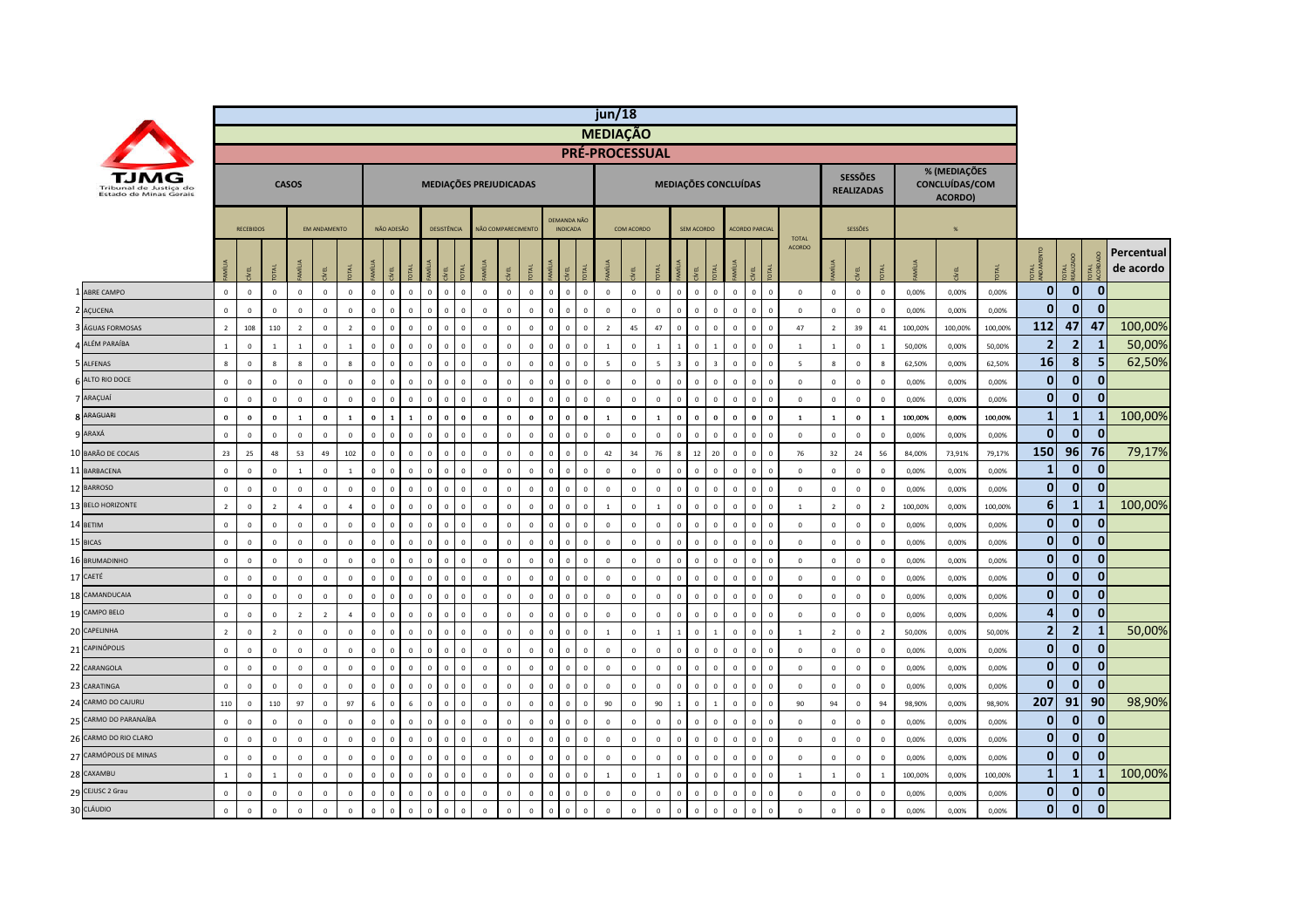|                                                  |                |                  |                |                |                     |                |              |              |                |                |                             |                        |                    |              |                         |                                |              | jun/18                |              |                |              |                |                |                               |          |                          |                |                                     |                |         |                                           |         |                |                       |                |                         |  |
|--------------------------------------------------|----------------|------------------|----------------|----------------|---------------------|----------------|--------------|--------------|----------------|----------------|-----------------------------|------------------------|--------------------|--------------|-------------------------|--------------------------------|--------------|-----------------------|--------------|----------------|--------------|----------------|----------------|-------------------------------|----------|--------------------------|----------------|-------------------------------------|----------------|---------|-------------------------------------------|---------|----------------|-----------------------|----------------|-------------------------|--|
|                                                  |                |                  |                |                |                     |                |              |              |                |                |                             |                        |                    |              |                         |                                |              | <b>MEDIAÇÃO</b>       |              |                |              |                |                |                               |          |                          |                |                                     |                |         |                                           |         |                |                       |                |                         |  |
|                                                  |                |                  |                |                |                     |                |              |              |                |                |                             |                        |                    |              |                         |                                |              | <b>PRÉ-PROCESSUAL</b> |              |                |              |                |                |                               |          |                          |                |                                     |                |         |                                           |         |                |                       |                |                         |  |
| Tribunal de Justica do<br>Estado de Minas Gerais |                |                  |                | <b>CASOS</b>   |                     |                |              |              |                |                |                             | MEDIAÇÕES PREJUDICADAS |                    |              |                         |                                |              |                       |              |                |              |                |                | MEDIAÇÕES CONCLUÍDAS          |          |                          |                | <b>SESSÕES</b><br><b>REALIZADAS</b> |                |         | % (MEDIAÇÕES<br>CONCLUÍDAS/COM<br>ACORDO) |         |                |                       |                |                         |  |
|                                                  |                | <b>RECEBIDOS</b> |                |                | <b>EM ANDAMENTO</b> |                |              | NÃO ADESÃO   |                |                | DESISTÊNCIA                 |                        | NÃO COMPARECIMENTO |              |                         | DEMANDA NÃO<br><b>INDICADA</b> |              |                       | COM ACORDO   |                |              | SEM ACORDO     |                | <b>ACORDO PARCIAL</b>         |          |                          |                | SESSÕES                             |                |         | $\frac{96}{25}$                           |         |                |                       |                |                         |  |
|                                                  |                | g                |                |                | yEL                 |                |              | ξi           |                |                |                             |                        |                    |              |                         |                                |              |                       | ΨĒ.          |                |              |                |                |                               |          | <b>TOTAL</b><br>ACORDO   |                | ξĒ                                  |                |         |                                           |         | <b>DEA</b>     | <b>DTAL</b><br>EALIZA |                | Percentual<br>de acordo |  |
| ABRE CAMPO                                       | $\mathbf 0$    | $\mathbf 0$      | $\mathbf 0$    | $\mathsf 0$    | $\mathbf 0$         | $\mathbf 0$    | $\mathbf{0}$ | $\mathbf 0$  | $\,0\,$        | $\mathbf{0}$   | $\mathbf 0$<br>$\mathbf 0$  | $\mathbf 0$            | $\mathbf 0$        | $\mathbf 0$  | $\overline{0}$          | $\mathbf{0}$                   | $\mathbf{0}$ | $\mathbb O$           | $\mathbf 0$  | $\mathbb O$    | $\mathbf{0}$ | $\mathbf{0}$   | $\mathbf{0}$   | $\overline{0}$<br>$\mathbf 0$ | $\Omega$ | $\mathbf 0$              | $\mathbf 0$    | $\mathbf 0$                         | $\mathbf 0$    | 0,00%   | 0,00%                                     | 0,00%   | $\mathbf 0$    | 0                     | $\mathbf{0}$   |                         |  |
| 2 AÇUCENA                                        | $\mathbf 0$    | $\mathbf 0$      | $\mathbf 0$    | $\Omega$       | $\mathbf{0}$        | $\Omega$       | $\Omega$     | $\mathbf 0$  | $\Omega$       | $\Omega$       | $\Omega$<br>$\mathbf 0$     | $\Omega$               | $\Omega$           | $\Omega$     | $\Omega$                |                                | $\mathbf 0$  | $\Omega$              | $\Omega$     | $\Omega$       | $\Omega$     | $\Omega$       | $\Omega$       | $\Omega$<br>$\Omega$          |          | $\mathbf 0$              | $\mathbf 0$    | $\mathbf 0$                         | $\mathbf 0$    | 0,00%   | 0,00%                                     | 0,00%   | $\mathbf{0}$   | 0                     | $\mathbf{0}$   |                         |  |
| ÁGUAS FORMOSAS                                   | $\overline{2}$ | 108              | 110            | $\overline{2}$ | $\mathbf 0$         | $\overline{2}$ | $\Omega$     | $\mathbf 0$  | $\overline{0}$ | $\mathbf{0}$   | $\mathbf{0}$<br>$\mathbf 0$ | $\mathbf 0$            | $\mathbf 0$        | $\mathbf 0$  | $\sqrt{2}$              |                                | $\mathbf{0}$ | $\overline{2}$        | 45           | 47             | $\mathbf{0}$ | $\mathbf 0$    | $\mathbf 0$    | $\mathbf 0$<br>$\overline{0}$ |          | 47                       | $\overline{2}$ | 39                                  | 41             | 100,00% | 100,00%                                   | 100,00% | 112            | 47                    | 47             | 100,00%                 |  |
| 4 ALÉM PARAÍBA                                   | $\mathbf{1}$   | $\overline{0}$   | $\mathbf{1}$   | $\mathbf{1}$   | $\Omega$            | $\overline{1}$ | $\Omega$     | $\mathbf{0}$ | $\Omega$       | $\Omega$       | $\Omega$<br>$\Omega$        | $\Omega$               | $\mathbf{0}$       | $\Omega$     | $\Omega$                | $\Omega$                       | $\Omega$     | $\overline{1}$        | $\mathbf{0}$ |                | $\mathbf{1}$ | $\Omega$       | $\overline{1}$ | $\mathbf{0}$<br>$\Omega$      |          | $\overline{1}$           | $\mathbf{1}$   | $\overline{0}$                      | $\overline{1}$ | 50,00%  | 0.00%                                     | 50,00%  | $\overline{2}$ | $\overline{2}$        | $\mathbf{1}$   | 50,00%                  |  |
| 5 ALFENAS                                        | $\,$ 8 $\,$    | $\overline{0}$   | 8              | $\mathbf{g}$   | $\mathbf 0$         | $\mathbf{g}$   | $\Omega$     | $\mathbf 0$  | $\Omega$       | $\mathbf 0$    | $\mathbf{0}$<br>$\mathbf 0$ | $\mathbf 0$            | $\circ$            | $\mathbf 0$  | $\Omega$                | $\Omega$                       | $\Omega$     | $\overline{5}$        | $\mathbf 0$  | 5              | $\mathbf{R}$ | $\Omega$       | $\overline{3}$ | $\overline{0}$<br>$\circ$     |          | $\overline{\phantom{a}}$ | 8              | $\mathbf 0$                         | 8              | 62,50%  | 0,00%                                     | 62,50%  | 16             | 8                     | 5              | 62,50%                  |  |
| ALTO RIO DOCE                                    | $\mathbf{0}$   | $\overline{0}$   | $\Omega$       | $\Omega$       | $\mathbf{0}$        | $\mathbf{0}$   | $\Omega$     | $\Omega$     | $\Omega$       | $\Omega$       | $\Omega$<br>$\Omega$        | $\Omega$               | $\mathbf{0}$       | $\Omega$     | $\Omega$                | $\Omega$                       | $\Omega$     | $\Omega$              | $\Omega$     | $\mathbf{0}$   | $\Omega$     | $\Omega$       | $\Omega$       | $\Omega$<br>$\Omega$          |          | $\Omega$                 | $\mathbf{0}$   | $\overline{0}$                      | $\Omega$       | 0,00%   | 0.00%                                     | 0,00%   | $\mathbf{0}$   | $\bf{0}$              | $\mathbf{0}$   |                         |  |
| 7 ARAÇUAÍ                                        | $\mathbf 0$    | $\mathbf 0$      | $\,$ 0         | $\mathsf 0$    | $\mathbf 0$         | $\mathbf{0}$   | $\Omega$     | $\mathbf 0$  | $\Omega$       | $\overline{0}$ | $\mathbf{0}$<br>$\circ$     | $\overline{0}$         | $\mathbf 0$        | $\mathbf{0}$ | $\Omega$                | $\Omega$                       | $\mathbf{0}$ | $\mathbb O$           | $\mathbf 0$  | $\circ$        | $\mathbf{0}$ | $\Omega$       | $\circ$        | $\mathbf 0$<br>$\Omega$       | $\Omega$ | $\mathbf 0$              | $\mathbf 0$    | $\mathbf 0$                         | $\mathbf 0$    | 0,00%   | 0,00%                                     | 0,00%   | $\mathbf{0}$   | $\mathbf{0}$          | $\mathbf{0}$   |                         |  |
| <b>8</b> ARAGUARI                                | $\bf{0}$       | $\mathbf 0$      | $\mathbf{0}$   | $\mathbf{1}$   | $\mathbf{0}$        | $\mathbf{1}$   | $\mathbf{0}$ | $\mathbf{1}$ |                | $\mathbf{0}$   | $\mathbf{0}$<br>$\bf{0}$    | $\mathbf{0}$           | $\bf{0}$           | $\Omega$     | $\Omega$                | $\mathbf{0}$                   | $\Omega$     | $\mathbf{1}$          | $\mathbf 0$  | $\mathbf{1}$   | $\bf{0}$     | $\mathbf{0}$   | $\bf{0}$       | $\bf{0}$<br>$\overline{0}$    | $\Omega$ | $\mathbf{1}$             | $\mathbf{1}$   | $\mathbf 0$                         | $\mathbf{1}$   | 100,00% | 0,00%                                     | 100,00% | $\mathbf{1}$   | 1                     | $\mathbf{1}$   | 100,00%                 |  |
| <b>9 ARAXÁ</b>                                   | $\mathbf 0$    | $\mathbf 0$      | $\overline{0}$ | $\mathbf 0$    | $\mathbf 0$         | $\mathbf{0}$   | $\Omega$     | $\mathbf 0$  | $\Omega$       | $\Omega$       | $\Omega$<br>$\Omega$        | $\overline{0}$         | $\mathbf 0$        | $\Omega$     | $\Omega$                |                                | $\Omega$     | $\Omega$              | $\Omega$     | $\Omega$       | $\Omega$     | $\Omega$       | $\Omega$       | $\Omega$<br>$\Omega$          |          | $\mathbf 0$              | $\mathbf 0$    | $\overline{0}$                      | $\mathbf 0$    | 0,00%   | 0,00%                                     | 0,00%   | $\mathbf{0}$   | 0                     | $\mathbf{0}$   |                         |  |
| 10 BARÃO DE COCAIS                               | 23             | 25               | 48             | 53             | 49                  | 102            | $\mathbf{0}$ | $\mathbf 0$  | $\Omega$       | $\Omega$       | $\Omega$<br>$\Omega$        | $\overline{0}$         | $\mathbf 0$        | $\mathbf 0$  |                         |                                | $\Omega$     | 42                    | 34           | 76             | $\mathbf{g}$ | 12             | 20             | $\overline{0}$                |          | 76                       | 32             | 24                                  | 56             | 84,00%  | 73,91%                                    | 79,17%  | 150            | 96                    | 76             | 79,17%                  |  |
| 11 BARBACENA                                     | $\mathbf 0$    | $\overline{0}$   | $\mathbf 0$    | $\mathbf{1}$   | $\mathbf{0}$        | $\overline{1}$ | $\mathbf{0}$ | $\mathbf{0}$ | $\Omega$       | $\overline{0}$ | $\mathbf{0}$<br>$\circ$     | $\overline{0}$         | $\mathbf{0}$       | $\Omega$     | $\Omega$                | $\Omega$                       | $\Omega$     | $\mathbf 0$           | $\mathbf{0}$ | $\mathbf{0}$   | $\mathbf{0}$ | $\overline{0}$ | $\circ$        | $\circ$<br>$\Omega$           | $\Omega$ | $\overline{0}$           | $\mathbf{0}$   | $\mathbf 0$                         | $\mathbf 0$    | 0,00%   | 0,00%                                     | 0,00%   | $\mathbf{1}$   | $\mathbf{0}$          | $\overline{0}$ |                         |  |
| 12 BARROSO                                       | $\mathbf 0$    | $\overline{0}$   | $\overline{0}$ | $\mathsf 0$    | $\mathbf 0$         | $\mathbf{0}$   | $\Omega$     | $\mathbf 0$  | $\overline{0}$ | $\mathbf 0$    | $\mathbf 0$<br>$\mathbf 0$  | $\mathbf 0$            | $\circ$            | $\mathbf 0$  | $\overline{0}$          | $\Omega$                       | $\mathbf 0$  | $\mathbf 0$           | $\mathbf 0$  | $\mathbf{0}$   | $\mathbf 0$  | $\mathbf 0$    | $\mathbf 0$    | $\overline{0}$<br>$\circ$     |          | $\mathbf 0$              | $\mathbf 0$    | $\overline{0}$                      | $\mathbf 0$    | 0,00%   | 0,00%                                     | 0,00%   | $\mathbf{0}$   | $\mathbf{0}$          | $\mathbf{0}$   |                         |  |
| 13 BELO HORIZONTE                                | $\overline{2}$ | $\overline{0}$   | $\overline{z}$ | $\overline{4}$ | $\mathbf{0}$        | $\overline{a}$ | $\Omega$     | $\mathbf{0}$ | $\Omega$       | $\Omega$       | $\mathbf{0}$<br>$\Omega$    | $\Omega$               | $\mathbf{0}$       | $\Omega$     | $\Omega$                | $\Omega$                       | $\Omega$     | $\overline{1}$        | $\mathbf{0}$ | $\overline{1}$ | $\Omega$     | $\Omega$       | $\Omega$       | $\Omega$<br>$\Omega$          | $\Omega$ | $\overline{1}$           | $\overline{2}$ | $\mathbf 0$                         | $\overline{2}$ | 100,00% | 0,00%                                     | 100,00% | 6              | $\mathbf{1}$          | $\mathbf{1}$   | 100,00%                 |  |
| 14 BETIM                                         | $\mathbf 0$    | $\,0\,$          | $\mathbf 0$    | $\mathbf 0$    | $\mathbf 0$         | $\mathbf 0$    | $\Omega$     | $\mathbf 0$  | $\overline{0}$ | $\mathbf{0}$   | $\mathbf 0$<br>$\mathbf{0}$ | $\overline{0}$         | $\mathbf 0$        | $\mathbf 0$  | $\Omega$                | $\Omega$                       | $\mathbf 0$  | $\,0\,$               | $\mathbf 0$  | $\mathbf{0}$   | $\mathbf{0}$ | $\mathbf{0}$   | $\circ$        | $\mathbf 0$<br>$\Omega$       | $\Omega$ | $\mathbf 0$              | $\mathbf 0$    | $\mathbf 0$                         | $\mathbf 0$    | 0,00%   | 0,00%                                     | 0,00%   | $\mathbf{0}$   | $\mathbf{0}$          | $\mathbf{0}$   |                         |  |
| 15 BICAS                                         | $\mathbf 0$    | $\mathbf 0$      | $\mathbf{0}$   | $\mathsf 0$    | $\mathbf 0$         | $\mathbf 0$    | $\Omega$     | $\mathbf 0$  | $\overline{0}$ | $\mathbf{0}$   | $\mathbf{0}$<br>$\mathbf 0$ | $\mathbf 0$            | $\mathbf 0$        | $\mathbf 0$  | $\Omega$                | $\Omega$                       | $\mathbf{0}$ | $\mathbb O$           | $\mathbf 0$  | $\mathbb O$    | $\mathbf{0}$ | $\Omega$       | $\mathbf 0$    | $\mathbf 0$<br>$\overline{0}$ |          | $\mathbf 0$              | $\mathsf 0$    | $\mathbf 0$                         | $\mathbf 0$    | 0,00%   | 0,00%                                     | 0,00%   | $\mathbf{0}$   | 0                     | $\mathbf{0}$   |                         |  |
| 16 BRUMADINHO                                    | $\mathbf 0$    | $\mathbf 0$      | $\mathbf 0$    | $\mathsf 0$    | $\mathbf{0}$        | $\mathbf 0$    | $\circ$      | $\mathbf 0$  | $\overline{0}$ | $\mathbf{0}$   | $\mathbf 0$<br>$\mathbf{0}$ | $\mathbf 0$            | $\mathbf 0$        | $\mathbf{0}$ | $\Omega$                | $\Omega$                       | $\mathbf{0}$ | $\mathbb O$           | $\mathbf 0$  | $\mathbb O$    | $\mathbf 0$  | $\mathbf 0$    | $\mathbf 0$    | $\mathbf 0$<br>$\overline{0}$ | $\Omega$ | $\mathbf 0$              | $\mathbf 0$    | $\mathbb O$                         | $\mathbf 0$    | 0,00%   | 0,00%                                     | 0,00%   | $\mathbf 0$    | 0                     | $\mathbf{0}$   |                         |  |
| 17 CAETÉ                                         | $\mathbf 0$    | $\mathbf{0}$     | $\mathbf 0$    | $\mathbf{0}$   | $\mathbf 0$         | $\mathbf 0$    | $\Omega$     | $\mathbf 0$  | $\Omega$       | $\overline{0}$ | $\mathbf{0}$<br>$\mathbf 0$ | $\overline{0}$         | $\mathbf 0$        | $\mathbf 0$  |                         |                                | $\Omega$     | $\mathbf 0$           | $\mathbf 0$  | $\Omega$       | $\mathbf{0}$ | $\Omega$       | $\overline{0}$ | $\overline{0}$                |          | $\mathbf{0}$             | $\mathbf 0$    | $\mathbb O$                         | $\mathbf 0$    | 0,00%   | 0,00%                                     | 0,00%   | $\mathbf{0}$   | 0                     | $\overline{0}$ |                         |  |
| 18 CAMANDUCAIA                                   | $\mathbb O$    | $\mathbf 0$      | $\overline{0}$ | $\mathsf 0$    | $\mathbf 0$         | $\Omega$       | $\Omega$     | $\mathbf{0}$ | $\Omega$       | $\overline{0}$ | $\mathbf{0}$<br>$\Omega$    | $\overline{0}$         | $\mathbf{0}$       | $\mathbf 0$  |                         |                                | $\Omega$     | $\mathbb O$           | $\mathbf{0}$ | $\circ$        | $\mathbf{0}$ | $\Omega$       | $\Omega$       | $\mathbf{0}$<br>$\Omega$      |          | $\mathbf 0$              | $\mathbf{0}$   | $\mathbf 0$                         | $\mathbf 0$    | 0,00%   | 0,00%                                     | 0,00%   | $\mathbf{0}$   | $\mathbf{0}$          | $\mathbf{0}$   |                         |  |
| 19 CAMPO BELO                                    | $\mathbf 0$    | $\overline{0}$   | $\mathbf 0$    | $\overline{2}$ | $\overline{2}$      | $\overline{4}$ | $\mathbf 0$  | $\mathbf 0$  | $\overline{0}$ | $\overline{0}$ | $\mathbf 0$<br>$\mathsf 0$  | $\mathbf 0$            | $\mathbf 0$        | $\mathbf 0$  | $\overline{0}$          | $\mathbf 0$                    | $\mathbf 0$  | $\mathbf 0$           | $\mathbf 0$  | $\mathbb O$    | $\mathbf 0$  | $\mathbf 0$    | $\mathbf{0}$   | $\overline{0}$<br>$\mathbf 0$ |          | $\mathbf 0$              | $\mathsf 0$    | $\overline{0}$                      | $\mathbf 0$    | 0,00%   | 0,00%                                     | 0,00%   | $\overline{a}$ | $\mathbf{0}$          | $\mathbf{0}$   |                         |  |
| 20 CAPELINHA                                     | $\overline{2}$ | $\mathbf 0$      | $\overline{2}$ | $\Omega$       | $\Omega$            | $\Omega$       | $\Omega$     | $\mathbf 0$  | $\Omega$       | $\Omega$       | $\Omega$<br>$\Omega$        | $\Omega$               | $\mathbf 0$        | $\mathbf 0$  | $\Omega$                |                                | $\Omega$     |                       | $\Omega$     |                |              | $\Omega$       |                | $\Omega$<br>$\Omega$          |          | $\mathbf{1}$             | $\overline{2}$ | $\overline{0}$                      | $\overline{2}$ | 50,00%  | 0,00%                                     | 50,00%  | $\overline{2}$ | $\overline{2}$        | $\mathbf{1}$   | 50,00%                  |  |
| CAPINÓPOLIS<br>21                                | $\mathbf 0$    | $\,0\,$          | $\mathbf 0$    | $\mathbf{0}$   | $\mathbf{0}$        | $\mathbf 0$    | $\mathbf 0$  | $\mathbf 0$  | $\overline{0}$ | $\mathbf{0}$   | $\mathbf 0$<br>$\mathbf{0}$ | $\mathbf 0$            | $\mathbf 0$        | $\mathsf 0$  | $\overline{0}$          |                                | $\mathbf 0$  | $\,0\,$               | $\mathbf 0$  | $\mathbb O$    | $\mathbf{0}$ | $\mathbf{0}$   | $\mathbf{0}$   | $\mathbf 0$<br>$\overline{0}$ |          | $\overline{0}$           | $\mathbf 0$    | $\overline{0}$                      | $\mathbf 0$    | 0,00%   | 0,00%                                     | 0,00%   | $\mathbf 0$    | $\mathbf{0}$          | $\mathbf{0}$   |                         |  |
| 22 CARANGOLA                                     | $\circ$        | $\overline{0}$   | $\mathbf{0}$   | $\overline{0}$ | $\mathbf{0}$        | $\mathbf{0}$   | $\mathbf{0}$ | $\mathbf{0}$ | $\Omega$       | $\overline{0}$ | $\mathbf{0}$<br>$\circ$     | $\Omega$               | $\mathbf{0}$       | $\Omega$     | $\Omega$                | $\Omega$                       | $\Omega$     | $\mathbf{0}$          | $\mathbf{0}$ | $\circ$        | $\mathbf{0}$ | $\Omega$       | $\mathbf{0}$   | $\mathbf{0}$<br>$\Omega$      | $\Omega$ | $\mathbf{0}$             | $\mathbf{0}$   | $\overline{0}$                      | $\mathbf{0}$   | 0,00%   | 0.00%                                     | 0,00%   | $\mathbf{0}$   | $\mathbf{0}$          | $\mathbf{0}$   |                         |  |
| 23<br>CARATINGA                                  | $\mathbb O$    | $\mathbf 0$      | $\overline{0}$ | $\mathsf 0$    | $\mathbf 0$         | $\mathbf 0$    | $\mathbf{0}$ | $\mathbf 0$  | $\Omega$       | $\mathbf{0}$   | $\mathbf 0$<br>$\mathbf{0}$ | $\mathbf 0$            | $\circ$            | $\mathbf{0}$ | $\Omega$                | $\Omega$                       | $\mathbf 0$  | $\mathbf 0$           | $\mathbf 0$  | $\circ$        | $\mathbf{0}$ | $\Omega$       | $\mathbf 0$    | $\overline{0}$<br>$\circ$     |          | $\mathbf 0$              | $\mathbf 0$    | $\mathbf 0$                         | $\mathbf 0$    | 0,00%   | 0,00%                                     | 0,00%   | $\mathbf{0}$   | 0                     | $\mathbf{0}$   |                         |  |
| CARMO DO CAJURU<br>24                            | 110            | $\overline{0}$   | 110            | 97             | $\mathbf{0}$        | 97             | 6            | $\mathbf{0}$ | 6              | $\Omega$       | $\Omega$<br>$\Omega$        | $\Omega$               | $\mathbf{0}$       | $\Omega$     | $\Omega$                |                                | $\Omega$     | 90                    | $\mathbf{0}$ | 90             |              | $\Omega$       | $\overline{1}$ | $\Omega$<br>$\Omega$          |          | 90                       | 94             | $\mathbf{0}$                        | 94             | 98.90%  | 0.00%                                     | 98.90%  | 207            | 91                    | 90             | 98,90%                  |  |
| 25 CARMO DO PARANAÍBA                            | $\mathbf 0$    | $\,0\,$          | $\mathbf 0$    | $\mathsf 0$    | $\circ$             | $\mathbf 0$    | $\mathbf{0}$ | $\mathsf 0$  | $\Omega$       | $\overline{0}$ | $\circ$<br>$\circ$          | $\overline{0}$         | $\mathbf{0}$       | $\mathbf 0$  | $\Omega$                | $\sqrt{2}$                     | $\Omega$     | $\mathbf 0$           | $\mathbf{0}$ | $\mathbf{0}$   | $\mathbf{0}$ | $\overline{0}$ | $\circ$        | $\mathbf 0$<br>$\Omega$       |          | $\mathbf 0$              | $\mathbf 0$    | $\mathbf 0$                         | $\mathbf 0$    | 0,00%   | 0,00%                                     | 0,00%   | $\mathbf{0}$   | $\mathbf{0}$          | $\mathbf{0}$   |                         |  |
| 26 CARMO DO RIO CLARO                            | $\mathbf 0$    | $\overline{0}$   | $\overline{0}$ | $\mathbf{0}$   | $\mathbf 0$         | $\mathbf{0}$   | $\mathbf{0}$ | $\mathbf 0$  | $\Omega$       | $\mathbf 0$    | $\Omega$<br>$\Omega$        | $\mathbf 0$            | $\mathbf 0$        | $\mathbf 0$  | $\Omega$                | $\Omega$                       | $\Omega$     | $\mathbf 0$           | $\mathbf 0$  | $\mathbf{0}$   | $\mathbf 0$  | $\Omega$       | $\mathsf 0$    | $\circ$<br>$\overline{0}$     |          | $\overline{0}$           | $\mathbf 0$    | $\overline{0}$                      | $\mathbf 0$    | 0,00%   | 0,00%                                     | 0,00%   | $\mathbf 0$    | $\mathbf{0}$          | $\mathbf{0}$   |                         |  |
| 27 CARMÓPOLIS DE MINAS                           | $\mathbf 0$    | $\overline{0}$   | $\mathbf 0$    | $\mathsf 0$    | $\mathbf 0$         | $\mathbf 0$    | $\mathbf 0$  | $\mathbf 0$  | $\Omega$       | $\overline{0}$ | $\mathbf 0$<br>$\mathbf{0}$ | $\mathbf 0$            | $\circ$            | $\mathbf 0$  | $\overline{\mathbf{0}}$ | $\Omega$                       | $\mathbf 0$  | $\mathbf 0$           | $\mathbf{0}$ | $\mathbf{0}$   | $\mathbf 0$  | $\mathbf 0$    | $\mathsf 0$    | $\overline{0}$<br>$\circ$     | $\Omega$ | $\mathbf 0$              | $\circ$        | $\mathbf 0$                         | $\mathbf 0$    | 0,00%   | 0,00%                                     | 0,00%   | $\mathbf 0$    | $\bf{0}$              | $\mathbf{0}$   |                         |  |
| 28 CAXAMBU                                       | $\mathbf{1}$   | $\mathbf 0$      | $\overline{1}$ | $\Omega$       | $\mathbf 0$         | $\Omega$       | $\Omega$     | $\mathbf 0$  | $\Omega$       | $\mathbf{0}$   | $\Omega$<br>$\mathbf 0$     | $\overline{0}$         | $\mathbf 0$        | $\mathbf 0$  | $\Omega$                |                                | $\Omega$     | $\mathbf{1}$          | $\mathbf 0$  |                | $\mathbf{0}$ | $\Omega$       | $\Omega$       | $\overline{0}$<br>$\Omega$    |          | $\overline{1}$           | $\mathbf{1}$   | $\overline{0}$                      | $\mathbf{1}$   | 100,00% | 0,00%                                     | 100,00% | $\mathbf{1}$   | $\mathbf{1}$          | $\mathbf{1}$   | 100,00%                 |  |
| 29 CEJUSC 2 Grau                                 | $\mathbf{0}$   | $\overline{0}$   | $\Omega$       | $\overline{0}$ | $\mathbf{0}$        | $\Omega$       | $\Omega$     | $\mathbf{0}$ | $\Omega$       | $\overline{0}$ | $\circ$<br>$\overline{0}$   | $\Omega$               | $\mathbf{0}$       | $\Omega$     | $\Omega$                | $\Omega$                       | $\Omega$     | $\mathbf{0}$          | $\mathbf{0}$ | $\mathbf{0}$   | $\mathbf{0}$ | $\Omega$       | $\Omega$       | $\mathbf{0}$<br>$\Omega$      | $\Omega$ | $\mathbf 0$              | $\mathbf{0}$   | $\mathbf 0$                         | $\Omega$       | 0,00%   | 0,00%                                     | 0,00%   | $\mathbf 0$    | 0                     | $\mathbf{0}$   |                         |  |
| 30 CLÁUDIO                                       | $\mathbf 0$    | $\mathbf 0$      | $\mathbf{0}$   | $\mathbf{0}$   | $\mathbf 0$         | $\Omega$       | $\mathbf{0}$ | $\mathbf 0$  | $\Omega$       | $\mathbf{0}$   | $\mathbf{0}$<br>$\mathbf 0$ | $\mathbf 0$            | $\mathbf 0$        | $\Omega$     |                         |                                | $\Omega$     | $\Omega$              | $\Omega$     | $\Omega$       | $\Omega$     |                | $\Omega$       | $\Omega$<br>$\Omega$          |          | $\Omega$                 | $\mathbf 0$    | $\overline{0}$                      | $\Omega$       | 0,00%   | 0,00%                                     | 0,00%   | $\mathbf{0}$   | $\mathbf{0}$          | $\mathbf{0}$   |                         |  |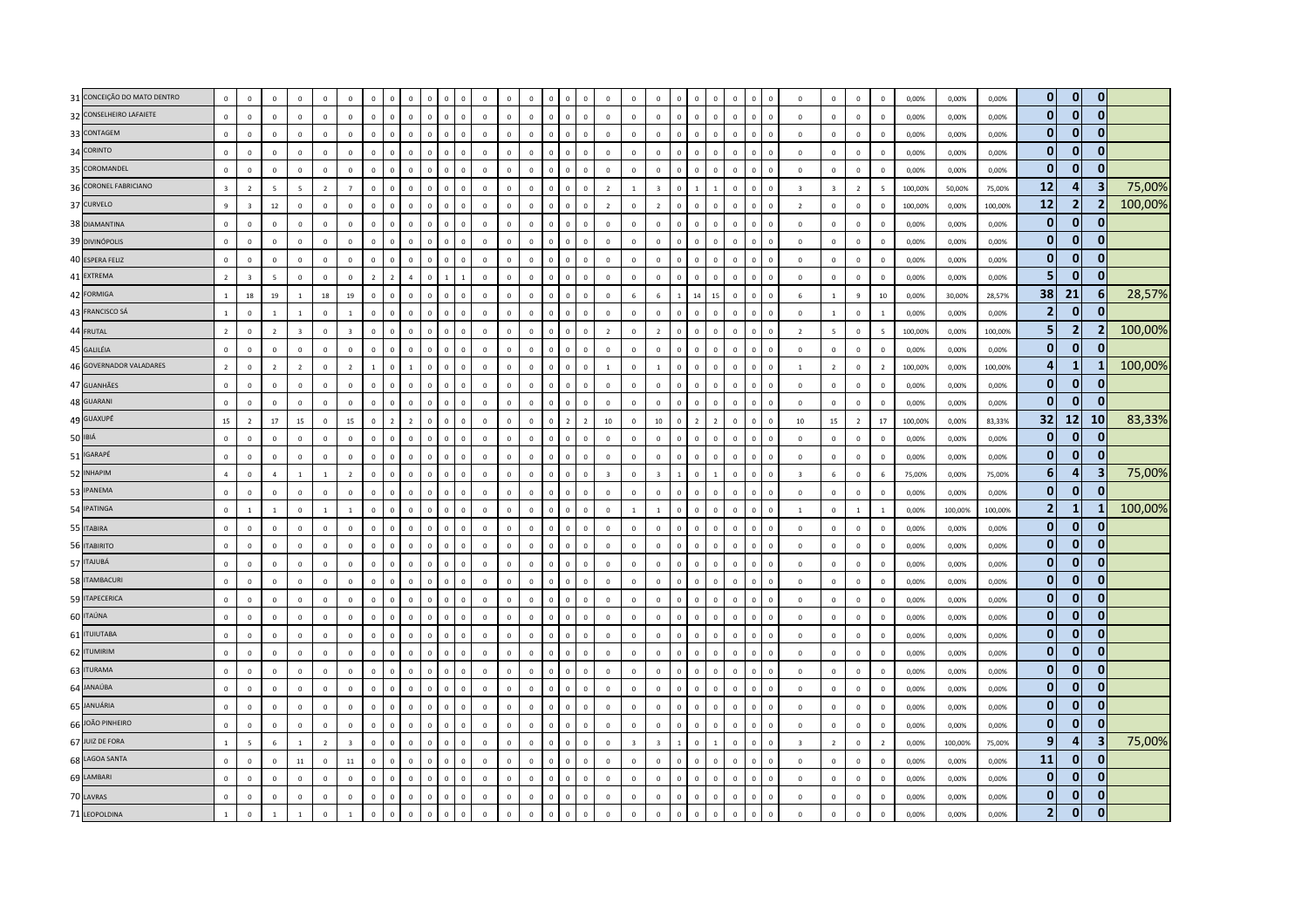| 31 CONCEIÇÃO DO MATO DENTRO | $\mathbb O$                   | $\mathbf 0$                | $\mathbf 0$                | $\mathbf 0$                   | $\mathbf 0$                | $\mathsf 0$             | $\mathbf 0$                 | $\Omega$                 | $\mathbf{0}$<br>$\Omega$                   |              | $\Omega$       | $\mathbb O$                | $\mathbf 0$                | $\mathbf 0$                 | $\Omega$                   |                | $\mathsf 0$                | $\mathbf 0$                | $\mathbf 0$                | $\mathbf 0$                | $\overline{0}$            | $\Omega$<br>$\Omega$                   | $\Omega$                   | $\Omega$                   | $\mathbf 0$                               | $\Omega$                   | $\mathbf 0$                | $\Omega$                   | 0,00%          | 0,00%          | 0,00%          | $\mathbf{0}$               | $\overline{0}$               | $\bf{0}$                |         |
|-----------------------------|-------------------------------|----------------------------|----------------------------|-------------------------------|----------------------------|-------------------------|-----------------------------|--------------------------|--------------------------------------------|--------------|----------------|----------------------------|----------------------------|-----------------------------|----------------------------|----------------|----------------------------|----------------------------|----------------------------|----------------------------|---------------------------|----------------------------------------|----------------------------|----------------------------|-------------------------------------------|----------------------------|----------------------------|----------------------------|----------------|----------------|----------------|----------------------------|------------------------------|-------------------------|---------|
| 32 CONSELHEIRO LAFAIETE     | $\mathbf 0$                   | $\mathbf 0$                | $\mathbf 0$                | $\mathbf 0$                   | $\mathbf 0$                | $\mathbf 0$             | $\mathbf 0$                 | $\Omega$                 | $\mathbf 0$<br>$\Omega$                    |              | $\Omega$       | $\mathbb O$                | $\mathbf 0$                | $\mathbf{0}$                | $\overline{0}$             | $\Omega$       | $\mathbf 0$                | $\mathbf 0$                | $\,0\,$                    | $\mathbf{0}$               | $\mathbf 0$               | $\Omega$<br>$\Omega$                   | $\mathbf{0}$               | $\mathsf 0$<br>$\Omega$    | $\mathbf 0$                               | $\mathbf 0$                | $\mathbf 0$                | $\mathbf 0$                | 0,00%          | 0,00%          | 0,00%          | $\mathbf{0}$               | 0                            | $\mathbf{0}$            |         |
| 33 CONTAGEM                 | $\Omega$                      | $\mathbf 0$                | $\Omega$                   | $\Omega$                      | $\Omega$                   | $\Omega$                | $\Omega$                    | $\Omega$                 | $\Omega$<br>$\Omega$                       |              | $\Omega$       | $\Omega$                   | $\Omega$                   | $\Omega$                    | $\Omega$                   |                | $\Omega$                   | $\Omega$                   | $\Omega$                   | $\Omega$                   | $\overline{0}$            | $\Omega$<br>$\Omega$                   | $\Omega$                   | $\Omega$                   | $\Omega$                                  | $\Omega$                   | $\mathbf 0$                | $\Omega$                   | 0.00%          | 0.00%          | 0.00%          | $\mathbf 0$                | 0                            | 0                       |         |
| 34 CORINTO                  | $\mathbb O$                   | $\mathbf 0$                | $\mathbf{0}$               | $\mathbf 0$                   | $\,0\,$                    | $\mathsf 0$             | $\mathbf{0}$                | $\Omega$                 | $\Omega$<br>$\Omega$                       |              | $\Omega$       | $\mathbf 0$                | $\mathbf 0$                | $\,0\,$                     | $\Omega$                   |                | $\mathsf 0$                | $\mathbf 0$                | $\mathbf 0$                | $\mathbb O$                | $\mathbf 0$               | $\Omega$<br>$\Omega$                   | $\mathbf 0$                | $\Omega$<br>$\Omega$       | $\mathbf 0$                               | $\mathbf 0$                | $\mathbb O$                | $\mathbf 0$                | 0,00%          | 0,00%          | 0,00%          | $\mathbf{0}$               | $\mathbf{0}$                 | $\mathbf{0}$            |         |
| 35 COROMANDEL               | $\mathbf 0$                   | $\mathbf 0$                | $\mathbf 0$                | $\circ$                       | $\mathbf 0$                | $\mathsf 0$             | $\mathbf 0$                 | $\Omega$                 | $\mathsf 0$<br>$\mathbf 0$                 |              | $\Omega$       | $\mathbf 0$                | $\mathbf 0$                | $\mathbf{0}$                | $\overline{0}$             |                | $\mathsf 0$                | $\mathbf 0$                | $\mathbf 0$                | $\mathbf 0$                | $\mathbf 0$               | $\Omega$<br>$\Omega$                   | $\mathbf 0$                | $\overline{0}$             | $\mathbf 0$                               | $\mathbf 0$                | $\mathbf 0$                | $\mathbf 0$                | 0,00%          | 0,00%          | 0,00%          | $\mathbf{0}$               | $\mathbf{0}$                 | $\mathbf{0}$            |         |
| 36 CORONEL FABRICIANO       | $\overline{\mathbf{3}}$       | $\overline{2}$             | 5                          | $\overline{5}$                | $\overline{2}$             | $\overline{7}$          | $\mathbf 0$                 | $\Omega$                 | $\mathbf{0}$<br>$\Omega$                   |              |                | $\mathbf 0$                | $\mathbf 0$                | $\mathbf 0$                 | $\overline{0}$             |                | $\mathbf{0}$               | $\overline{2}$             | $\mathbf{1}$               | $\overline{\mathbf{3}}$    | $\mathbf 0$               | $\mathbf{1}$                           | $\mathbf 0$                |                            | $\overline{\mathbf{3}}$                   | $\overline{\mathbf{3}}$    | $\overline{2}$             | -5                         | 100,00%        | 50,00%         | 75,00%         | 12                         | $\boldsymbol{4}$             | $\overline{\mathbf{3}}$ | 75,00%  |
| 37 CURVELO                  | 9                             | $\overline{\mathbf{3}}$    | $12\,$                     | $\mathbf 0$                   | $\mathbf 0$                | $\mathsf 0$             | $\mathbf 0$                 | $\Omega$                 | $\mathsf 0$<br>$\mathbf 0$                 | $\Omega$     | $\Omega$       | $\mathbf 0$                | $\mathbf 0$                | $\mathbf{0}$                | $\overline{0}$             | $\Omega$       | $\mathbf 0$                | $\overline{2}$             | $\,0\,$                    | $\overline{2}$             | $\mathbf 0$               | $\Omega$<br>$\Omega$                   | $\Omega$                   | $\mathsf 0$<br>$\Omega$    | $\overline{2}$                            | $\mathbf 0$                | $\circ$                    | $\mathbf 0$                | 100,00%        | 0,00%          | 100,00%        | <b>12</b>                  | $\overline{2}$               | $\overline{2}$          | 100,00% |
| 38 DIAMANTINA               | $\Omega$                      | $\Omega$                   | $\Omega$                   | $\Omega$                      | $\Omega$                   | $\Omega$                | $\Omega$                    | $\Omega$                 | $\Omega$<br>$\Omega$                       |              | $\Omega$       | $\Omega$                   | $\Omega$                   | $\Omega$                    | $\Omega$                   | $\Omega$       | $\Omega$                   | $\Omega$                   | $\Omega$                   | $\Omega$                   | $\overline{0}$            | $\Omega$<br>$\Omega$                   | $\Omega$                   | $\overline{0}$<br>$\Omega$ | $\Omega$                                  | $\Omega$                   | $\mathbf{0}$               | $\Omega$                   | 0.00%          | 0.00%          | 0.00%          | $\mathbf{0}$               | $\bf{0}$                     | 0                       |         |
| 39 DIVINÓPOLIS              | $\mathbb O$                   | $\mathbf 0$                | $\Omega$                   | $\Omega$                      | $\mathbf 0$                | $\mathsf 0$             | $\Omega$                    | $\Omega$                 | $\Omega$<br>$\Omega$                       |              |                | $\mathbf 0$                | $\Omega$                   | $\overline{0}$              | $\Omega$                   |                | $\Omega$                   | $\mathbf 0$                | $\mathbf 0$                | $\Omega$                   | $\overline{0}$            | $\Omega$<br>$\Omega$                   | $\Omega$                   | $\Omega$                   | $\mathbf 0$                               | $\mathbf 0$                | $\mathbf 0$                | $\Omega$                   | 0,00%          | 0,00%          | 0,00%          | $\mathbf{0}$               | $\mathbf{0}$                 | $\mathbf{0}$            |         |
| 40 ESPERA FELIZ             | $\mathbb O$                   | $\mathbf 0$                | $\mathbf{0}$               | $\circ$                       | $\mathbf 0$                | $\mathsf 0$             | $\mathbf 0$                 | $\Omega$                 | $\mathsf 0$<br>$\mathbf 0$                 | $\Omega$     | $\Omega$       | $\mathsf 0$                | $\mathbf 0$                | $\mathbf 0$                 | $\Omega$                   |                | $\mathsf 0$                | $\mathbf 0$                | $\mathbf 0$                | $\mathbf 0$                | $\mathbf 0$               | $\Omega$<br>$\Omega$                   | $\mathbf 0$                | $\overline{0}$             | $\mathbf 0$<br>$\Omega$                   | $\mathsf 0$                | $\mathbf{0}$               | $\mathbf 0$                | 0,00%          | 0,00%          | 0,00%          | $\mathbf{0}$               | $\mathbf{0}$                 | $\mathbf{0}$            |         |
| 41 EXTREMA                  | $\overline{2}$                | $\overline{\mathbf{3}}$    | 5                          | $\mathbf 0$                   | $\mathbf 0$                | $\mathsf 0$             | $\overline{2}$              | $\overline{z}$           | $\overline{4}$<br>$\mathbf 0$              |              |                | $\mathbf 0$                | $\mathbf 0$                | $\mathbf 0$                 | $\Omega$                   |                | $\mathbf{0}$               | $\mathbf 0$                | $\mathbf 0$                | $\mathbf 0$                | $\overline{0}$            | $\Omega$<br>$\Omega$                   | $\mathbf 0$                |                            | $\mathbf 0$                               | $\mathbf 0$                | $\mathbf 0$                | $\mathbf 0$                | 0,00%          | 0,00%          | 0,00%          | 5                          | $\Omega$                     | $\mathbf{0}$            |         |
| 42 FORMIGA                  | $\overline{1}$                | 18                         | 19                         | $\overline{1}$                | 18                         | 19                      | $\mathbf 0$                 | $\Omega$                 | $\mathbf{0}$<br>$\Omega$                   |              |                | $\mathbf{0}$               | $\Omega$                   | $\mathbf 0$                 | $\Omega$                   |                | $\mathbf 0$                | $\mathbf 0$                | $6\phantom{1}$             | 6                          | $\overline{1}$            | 14<br>15                               | $\Omega$                   | $\Omega$                   | 6                                         | $\overline{1}$             | $9\,$                      | 10                         | 0,00%          | 30,00%         | 28,57%         | 38                         | 21                           | 6                       | 28,57%  |
| 43 FRANCISCO SÁ             | $\mathbf{1}$                  | $\mathbf 0$                | $\mathbf{1}$               | $\mathbf{1}$                  | $\mathbf 0$                | $\mathbf{1}$            | $\mathbf 0$                 | $\Omega$                 | $\mathbf{0}$<br>$\Omega$                   |              |                | $\mathbf 0$                | $\mathbf 0$                | $\mathbf 0$                 | $\overline{0}$             |                | $\mathsf 0$                | $\mathbf 0$                | $\mathbf{0}$               | $\circ$                    | $\overline{0}$            | $\Omega$<br>$\Omega$                   | $\Omega$                   | $\Omega$                   | $\mathbf 0$                               | $\mathbf{1}$               | $\mathbf{0}$               | 1                          | 0,00%          | 0,00%          | 0,00%          | $\overline{2}$             | $\mathbf{0}$                 | 0                       |         |
| 44 FRUTAL                   | $\overline{z}$                | $\mathbf 0$                | $\overline{z}$             | $\overline{3}$                | $\mathbf 0$                | $\overline{3}$          | $\Omega$                    | $\Omega$                 | $\Omega$<br>$\Omega$                       |              | $\Omega$       | $\mathbf 0$                | $\Omega$                   | $\Omega$                    | $\Omega$                   |                | $\Omega$                   | $\overline{z}$             | $\Omega$                   | $\overline{z}$             | $\overline{0}$            | $\Omega$<br>$\Omega$                   | $\Omega$                   | $\Omega$                   | $\overline{z}$                            | $\overline{5}$             | $\mathbf 0$                | -5                         | 100,00%        | 0.00%          | 100.00%        | 5                          | $\overline{2}$               | $\mathbf{2}$            | 100,00% |
| 45 GALILÉIA                 | $\mathbf 0$                   | $\mathbf 0$                | $\mathbf{0}$               | $\circ$                       | $\mathbf 0$                | $\mathsf 0$             | $\circ$                     | $\mathbf{0}$             | $\mathbf{0}$<br>$\overline{0}$             | $\Omega$     | $\Omega$       | $\mathbf 0$                | $\mathbf 0$                | $\mathbf 0$                 | $\overline{0}$             | $\Omega$       | $\mathbf{0}$               | $\mathbf 0$                | $\mathbf 0$                | $\mathbf 0$                | $\,0\,$                   | $\mathbf{0}$<br>$\overline{0}$         | $\mathbf 0$                | $\mathbf 0$<br>$\Omega$    | $\mathbf 0$                               | $\mathbf 0$                | $\mathbf{0}$               | $\mathbf 0$                | 0,00%          | 0,00%          | 0,00%          | $\mathbf{0}$               | $\mathbf{0}$                 | $\bf{0}$                |         |
| 46 GOVERNADOR VALADARES     | $\overline{2}$                | $\mathbf 0$                | $\overline{2}$             | $\overline{2}$                | $\mathbf 0$                | $\overline{2}$          | $\mathbf{1}$                | $\mathbf 0$              | $\mathbf{1}$<br>$\mathbf 0$                |              |                | $\mathbf 0$                | $\mathbf 0$                | $\mathbf 0$                 | $\overline{0}$             |                | $\mathbf{0}$               | $\mathbf{1}$               | $\mathbf 0$                | $\mathbf{1}$               | $\mathbf 0$               | $\mathsf 0$<br>$\mathbf{0}$            | $\mathbf 0$                |                            | $\mathbf{1}$                              | $\overline{2}$             | $\mathbf 0$                | $\overline{2}$             | 100,00%        | 0,00%          | 100,00%        | 4                          | -1                           | 1                       | 100,00% |
| 47 GUANHÃES                 | $\mathbf{0}$                  | $\mathbf 0$                | $\mathbf 0$                | $\mathbf{0}$                  | $\mathbf 0$                | $\mathsf 0$             | $\mathbf 0$                 | $\mathbf{0}$             | $\mathsf 0$<br>$\mathbf 0$                 | $\Omega$     | $\mathbf 0$    | $\mathbf 0$                | $\mathbf 0$                | $\mathbf{0}$                | $\overline{0}$             | $\Omega$       | $\mathsf 0$                | $\mathbf 0$                | $\mathbf 0$                | $\circ$                    | $\mathbf 0$               | $\mathbf{0}$<br>$\mathbf 0$            | $\mathbf 0$                | $\mathbf 0$<br>$\mathbf 0$ | $\mathbf 0$                               | $\mathbf{0}$               | $\mathbf 0$                | $\mathbf 0$                | 0,00%          | 0,00%          | 0,00%          | $\mathbf 0$                | $\mathbf{0}$                 | $\mathbf 0$             |         |
| 48 GUARANI                  | $\mathbf{0}$                  | $\mathbf 0$                | $\mathbf 0$                | $\mathbf 0$                   | $\mathbf 0$                | $\mathsf 0$             | $\mathbf 0$                 | $\Omega$                 | $\mathbf{0}$<br>$\Omega$                   |              | $\Omega$       | $\mathbf 0$                | $\mathbf 0$                | $\mathbf{0}$                | $\Omega$                   |                | $\mathsf 0$                | $\mathbf 0$                | $\mathbf{0}$               | $\mathbf 0$                | $\overline{0}$            | $\Omega$<br>$\Omega$                   | $\mathbf 0$                | $\overline{0}$             | $\mathbf 0$                               | $\mathbf 0$                | $\mathbf{0}$               | $\mathbf 0$                | 0,00%          | 0,00%          | 0,00%          | $\mathbf{0}$               | $\bf{0}$                     | 0                       |         |
| 49 GUAXUPÉ                  | 15                            | $\overline{z}$             | 17                         | 15                            | $\mathbf 0$                | 15                      | $\circ$                     | $\overline{\phantom{a}}$ | $\overline{\phantom{a}}$<br>$\Omega$       |              | $\Omega$       | $\mathbf 0$                | $\Omega$                   | $\Omega$                    | $\Omega$                   |                | $\overline{z}$             | 10                         | $\Omega$                   | 10                         | $\overline{0}$            | $\overline{z}$<br>$\overline{z}$       | $\Omega$                   | $\Omega$<br>$\Omega$       | 10                                        | 15                         | $\overline{2}$             | 17                         | 100,00%        | 0.00%          | 83.33%         | 32                         | 12                           | <b>10</b>               | 83,33%  |
| 50 IBIÁ                     | $\mathbf 0$                   | $\mathbf 0$                | $\Omega$                   | $\overline{0}$                | $\Omega$                   | $\Omega$                | $\Omega$                    | $\Omega$                 | $\Omega$<br>$\Omega$                       |              | $\Omega$       | $\Omega$                   | $\Omega$                   | $\Omega$                    | $\Omega$                   |                | $\mathbf{0}$               | $\mathbf 0$                | $\Omega$                   | $\Omega$                   | $\mathbf 0$               | $\Omega$<br>$\Omega$                   | $\Omega$                   | $\mathbf 0$<br>$\Omega$    | $\mathbf 0$                               | $\Omega$                   | $\mathbf 0$                | $\Omega$                   | 0,00%          | 0,00%          | 0,00%          | $\mathbf{0}$               | $\mathbf{0}$                 | $\mathbf{0}$            |         |
| 51 IGARAPÉ                  | $\mathbf 0$                   | $\mathbf 0$                | $\mathbf{0}$               | $\,0\,$                       | $\,0\,$                    | $\mathbf 0$             | $\mathbf 0$                 | $\Omega$                 | $\mathbf 0$<br>$\Omega$                    |              | $\Omega$       | $\,0\,$                    | $\mathbf 0$                | $\mathbf 0$                 | $\Omega$                   |                | $\mathbf{0}$               | $\mathbf 0$                | $\overline{0}$             | $\mathbf 0$                | $\mathbf 0$               | $\Omega$<br>$\mathbf{0}$               | $\mathbf{0}$               | $\Omega$<br>$\Omega$       | $\,0\,$                                   | $\mathbf 0$                | $\mathbf 0$                | $\mathbf 0$                | 0,00%          | 0,00%          | 0,00%          | $\mathbf{0}$               | $\mathbf{0}$                 | $\mathbf{0}$            |         |
| 52 INHAPIM                  | $\overline{a}$                | $\mathbf 0$                | $\overline{4}$             | $\mathbf{1}$                  | $\mathbf{1}$               | $\overline{2}$          | $\mathbf 0$                 | $\mathbf 0$              | $\mathsf 0$<br>$\mathbf 0$                 |              | $\mathbf 0$    | $\mathbf 0$                | $\mathbf 0$                | $\mathbf 0$                 | $\overline{0}$             |                | $\mathsf 0$                | $\overline{\mathbf{3}}$    | $\mathbf{0}$               | $\overline{\mathbf{3}}$    | $\overline{1}$            | $\mathbf{1}$<br>$\mathbf 0$            | $\mathbf 0$                | $\mathbf 0$                | $\overline{\mathbf{3}}$<br>$\mathbf 0$    | 6                          | $\mathbf 0$                | 6                          | 75,00%         | 0,00%          | 75,00%         | $6 \overline{6}$           | 4                            | 3                       | 75,00%  |
| 53 IPANEMA                  | $\mathbf 0$                   | $\mathbf 0$                | $\mathbf 0$                | $\mathbf 0$                   | $\mathbf 0$                | $\mathsf 0$             | $\mathbf 0$                 |                          | $\mathbf 0$                                |              | $\Omega$       | $\mathbf 0$                | $\mathbf 0$                | $\mathbf 0$                 | $\Omega$                   |                | $\mathsf 0$                | $\mathbf 0$                | $\mathbf{0}$               | $\mathbf 0$                | $\overline{0}$            | $\Omega$                               | $\Omega$                   | $\Omega$                   | $\mathbf 0$                               | $\mathbf 0$                | $\mathbf 0$                | $\mathbf 0$                | 0,00%          | 0,00%          | 0,00%          | $\mathbf{0}$               | $\mathbf{0}$                 | $\bf{0}$                |         |
| 54 IPATINGA                 | $\mathbf 0$                   | $\mathbf{1}$               | $\mathbf{1}$               | $\overline{0}$                | $\mathbf{1}$               | $\mathbf{1}$            | $\mathbf 0$                 | $\mathbf{0}$             | $\mathsf 0$<br>$\mathbf{0}$                | $\Omega$     | $\Omega$       | $\mathbf 0$                | $\mathbf 0$                | $\mathbf{0}$                | $\mathbf 0$                | $\Omega$       | $\mathbf 0$                | $\mathbf 0$                | $\mathbf{1}$               | $\mathbf{1}$               | $\mathbf 0$               | $\mathbf 0$<br>$\Omega$                | $\circ$                    | $\mathsf 0$<br>$\Omega$    | $\mathbf{1}$                              | $\mathbf 0$                | $\mathbf{1}$               | <sup>1</sup>               | 0.00%          | 100.00%        | 100,00%        | $\overline{2}$             | -1                           | -1                      | 100,00% |
| 55 ITABIRA                  | $\mathbf 0$                   | $\mathbf 0$                | $\Omega$                   | $\Omega$                      | $\Omega$                   | $\Omega$                | $\Omega$                    | $\Omega$                 | $\Omega$<br>$\Omega$                       |              | $\Omega$       | $\mathbf 0$                | $\Omega$                   | $\Omega$                    | $\Omega$                   | $\Omega$       | $\Omega$                   | $\mathbf 0$                | $\Omega$                   | $\Omega$                   | $\mathbf 0$               | $\Omega$<br>$\Omega$                   | $\Omega$                   | $\overline{0}$             | $\mathbf 0$<br>$\Omega$                   | $\overline{0}$             | $\mathbf{0}$               | $\Omega$                   | 0.00%          | 0.00%          | 0.00%          | $\mathbf{0}$               | $\mathbf{0}$                 | о                       |         |
| 56 ITABIRITO                | $\,0\,$                       | $\mathbf 0$                | $\mathbf 0$                | $\overline{0}$                | $\mathbf 0$                | $\mathbf 0$             | $\mathbf 0$                 | $\Omega$                 | $\mathbf{0}$<br>$\Omega$                   |              | $\mathbf 0$    | $\,0\,$                    | $\mathbf 0$                | $\,0\,$                     | $\overline{0}$             | $\Omega$       | $\mathsf 0$                | $\mathbf 0$                | $\mathbf 0$                | $\mathbf 0$                | $\mathbf 0$               | $\mathbf{0}$<br>$\overline{0}$         | $\mathbf 0$                | $\,0\,$<br>$\Omega$        | $\,0\,$                                   | $\,0\,$                    | $\overline{0}$             | $\mathbf{0}$               | 0,00%          | 0,00%          | 0,00%          | $\mathbf 0$                | $\mathbf{0}$                 | $\mathbf{0}$            |         |
| 57 ITAJUBÁ                  | $\mathbf{0}$                  | $\mathbf 0$                | $\mathbf 0$                | $\mathbf{0}$                  | $\mathbf 0$                | $\mathsf 0$             | $\mathbf 0$                 | $\mathbf 0$              | $\mathsf 0$<br>$\mathbf 0$                 | $\Omega$     | $\mathbf 0$    | $\mathbf 0$                | $\mathbf 0$                | $\mathbf{0}$                | $\overline{0}$             | $\mathbf 0$    | $\mathsf 0$                | $\mathbf 0$                | $\mathsf 0$                | $\circ$                    | $\mathbf 0$               | $\mathbf{0}$<br>$\mathbf{0}$           | $\mathbf 0$                | $\mathbf 0$<br>$\mathbf 0$ | $\mathbf 0$                               | $\mathbf{0}$               | $\mathbf 0$                | $\mathbf 0$                | 0,00%          | 0,00%          | 0,00%          | $\mathbf 0$                | 0                            | $\mathbf 0$             |         |
| 58 ITAMBACURI               | $\mathbf 0$                   | $\mathbf 0$                | $\mathbf{0}$               | $\overline{0}$                | $\mathbf 0$                | $\mathsf 0$             | $\mathbf 0$                 |                          | $\mathbf 0$<br>$\Omega$                    |              |                | $\mathbf 0$                | $\mathbf 0$                | $\mathbf 0$                 | $\overline{0}$             |                | $\mathbf 0$                | $\mathbf 0$                | $\mathbf 0$                | $\mathbf 0$                | $\overline{0}$            | $\mathbf{0}$                           | $\mathbf 0$                |                            | $\mathbf 0$                               | $\mathbf 0$                | $\mathbf 0$                | $\mathbf 0$                | 0,00%          | 0,00%          | 0,00%          | $\mathbf 0$                | $\bf{0}$                     | $\bf{0}$                |         |
| 59 ITAPECERICA              | $\mathbf 0$                   | $\mathbf 0$                | $\mathbf 0$                | $\mathbf 0$                   | $\mathbf 0$                | $\mathsf 0$             | $\mathbf 0$                 | $\Omega$                 | $\mathsf 0$<br>$\mathbf 0$                 |              | $\Omega$       | $\mathbf 0$                | $\mathbf 0$                | $\mathbf{0}$                | $\Omega$                   |                | $\mathsf 0$                | $\mathbf 0$                | $\mathbf 0$                | $\mathbf 0$                | $\mathbf 0$               | $\Omega$<br>$\Omega$                   | $\Omega$                   | $\Omega$<br>$\Omega$       | $\mathbf 0$                               | $\mathbf 0$                | $\circ$                    | $\mathbf 0$                | 0,00%          | 0,00%          | 0,00%          | $\mathbf{0}$               | $\mathbf{0}$                 | $\mathbf 0$             |         |
| 60 ITAÚNA                   | $\mathbf{0}$                  | $\mathbf 0$                | $\Omega$                   | $\Omega$                      | $\overline{0}$             | $\mathbf{0}$            | $\Omega$                    | $\Omega$                 | $\Omega$<br>$\Omega$                       |              | $\Omega$       | $\mathbf 0$                | $\Omega$                   | $\mathbf 0$                 | $\Omega$                   |                | $\Omega$                   | $\mathbf 0$                | $\Omega$                   | $\Omega$                   | $\mathbf 0$               | $\Omega$<br>$\Omega$                   | $\Omega$                   | $\Omega$<br>$\Omega$       | $\mathbf 0$                               | $\mathbf{0}$               | $\mathbf 0$                | $\Omega$                   | 0,00%          | 0.00%          | 0.00%          | $\mathbf{0}$               | $\mathbf 0$                  | $\bf{0}$                |         |
| 61 <b>ITUIUTABA</b>         | $\mathbf 0$                   | $\mathbf 0$                | $\mathbf{0}$               | $\mathbf 0$                   | $\,0\,$                    | $\mathsf 0$             | $\mathbf 0$                 | $\Omega$                 | $^{\circ}$<br>$\Omega$                     |              | $\Omega$       | $\,0\,$                    | $\mathbf 0$                | $\mathbf 0$                 | $\Omega$                   |                | $^{\circ}$                 | $\mathbf 0$                | $\overline{0}$             | $\mathbf 0$                | $\mathbf 0$               | $\Omega$<br>$\Omega$                   | $\mathbf{0}$               | $\Omega$<br>$\Omega$       | $\,0\,$                                   | $\mathbf 0$                | $\mathbf 0$                | $\mathbf 0$                | 0,00%          | 0,00%          | 0,00%          | $\mathbf 0$                | $\bf{0}$                     | $\mathbf 0$             |         |
| 62 ITUMIRIM                 | $\mathbf{0}$                  | $\mathbf 0$                | $\mathbf{0}$               | $\mathbf{0}$                  | $\mathbf 0$                | $\mathbf{0}$            | $\mathbf 0$                 | $\mathbf{0}$             | $\mathsf 0$<br>$\mathbf 0$                 | $\mathbf{0}$ | $\mathbf 0$    | $\mathbf 0$                | $\mathbf 0$                | $\mathbf 0$                 | $\mathbf 0$                | $\overline{0}$ | $\mathbf 0$                | $\mathbf 0$                | $\,0\,$                    | $\mathbf{0}$               | $\,0\,$                   | $\mathbf{0}$<br>$\overline{0}$         | $\mathbf 0$                | $\,0\,$<br>$\overline{0}$  | $\,0\,$                                   | $\mathbf 0$                | $\mathbf 0$                | $\,0\,$                    | 0,00%          | 0,00%          | 0,00%          | $\mathbf 0$                | 0<br>$\mathbf{0}$            | $\mathbf 0$<br>$\bf{0}$ |         |
| 63 ITURAMA                  | $\mathbf 0$                   | $\mathbf 0$                | $\mathbf 0$                | $\mathbf 0$                   | $\mathbf 0$                | $\mathbf 0$             | $\mathbf 0$                 |                          | $\mathbf 0$                                |              | $\overline{0}$ | $\mathbf 0$                | $\mathbf 0$                | $\mathbf 0$                 | $\overline{0}$             |                | $\mathbf 0$                | $\mathbf 0$                | $\mathbf 0$                | $\mathbf 0$                | $\overline{0}$            | $\Omega$<br>$^{\circ}$                 | $\mathbf 0$                | $\mathbf 0$                | $\mathbf 0$                               | $\mathbf 0$                | $\mathbf 0$                | $\mathbf 0$                | 0,00%          | 0,00%          | 0,00%          | $\mathbf 0$                |                              |                         |         |
| 64 JANAÚBA<br>65 JANUÁRIA   | $\mathbf 0$                   | $\mathbf 0$                | $\mathbf 0$                | $\mathbf 0$                   | $\mathbf 0$                | $\mathsf 0$             | $\mathbf 0$                 | $\mathbf{0}$             | $\mathsf 0$<br>$\mathbf 0$                 |              | $\Omega$       | $\mathbf 0$                | $\mathbf 0$                | $\mathbf{0}$                | $\overline{0}$             | $\Omega$       | $\mathsf 0$                | $\mathbf 0$                | $\mathbf 0$                | $\mathbf{0}$               | $\mathbf 0$               | $\Omega$<br>$\mathbf 0$                | $\mathbf 0$                | $\mathbf 0$                | $\mathbf 0$<br>$\Omega$                   | $\mathbf 0$                | $\mathbf{0}$               | $\mathbf 0$                | 0.00%          | 0.00%          | 0,00%          | $\mathbf 0$<br>$\mathbf 0$ | $\mathbf{0}$<br>$\mathbf{0}$ | 0<br>$\Omega$           |         |
| 66 JOÃO PINHEIRO            | $\mathbf 0$                   | $\mathbf 0$                | $\mathbf{0}$               | $\mathbf 0$                   | $\mathbf 0$                | $\mathbf{0}$            | $\mathbf 0$<br>$\mathbf{0}$ | $\Omega$                 | $^{\circ}$<br>$\Omega$                     |              |                | $\mathbf 0$                | $\mathbf 0$<br>$\Omega$    | $\mathbf 0$                 | $\overline{0}$<br>$\Omega$ | $\sqrt{2}$     | $\mathsf 0$                | $\mathbf 0$                | $\mathbf{0}$<br>$\Omega$   | $\mathbf 0$<br>$\circ$     | $\mathbf 0$               | $\Omega$<br>$\Omega$<br>$\Omega$       | $\mathbf{0}$<br>$\Omega$   | $\Omega$<br>$\Omega$       | $\mathbf 0$                               | $\mathbf 0$                | $\mathbf 0$                | $\Omega$                   | 0,00%          | 0,00%          | 0,00%          | $\mathbf{0}$               | 0                            | $\bf{0}$                |         |
| 67 JUIZ DE FORA             | $\mathbf 0$<br>$\overline{1}$ | $\mathbf 0$                | $\mathbf{0}$               | $\mathbf 0$<br>$\overline{1}$ | $\mathbf 0$                | $\mathsf 0$             |                             | $\Omega$                 | $\Omega$<br>$\Omega$                       | $\sqrt{2}$   | $\Omega$       | $\mathbf 0$                |                            | $\mathbf 0$<br>$\mathbf{0}$ | $\overline{0}$             |                | $\mathsf 0$                | $\mathbf 0$                |                            | $\overline{3}$             | $\mathbf 0$               | $\Omega$                               |                            |                            | $\mathbf 0$<br>$\Omega$                   | $\mathbf 0$                | $\mathbf 0$                | $\mathbf 0$                | 0,00%          | 0,00%          | 0,00%          | 9                          | 4                            | $\overline{\mathbf{3}}$ | 75,00%  |
| 68 LAGOA SANTA              |                               | $\overline{\phantom{a}}$   | 6                          |                               | $\overline{2}$             | $\overline{\mathbf{3}}$ | $\mathbf 0$                 | $\Omega$                 | $\mathsf 0$<br>$\mathbf 0$                 |              | $\Omega$       | $\mathbf 0$                | $\mathbf 0$                |                             |                            | $\Omega$       | $\mathbf 0$                | $\mathbf 0$                | $\overline{\mathbf{3}}$    |                            | $\overline{1}$            | $\mathbf{0}$<br>$\mathbf{1}$           | $\mathbf 0$                | $\mathbf 0$<br>$\Omega$    | $\overline{\mathbf{3}}$                   | $\overline{2}$             | $\mathbf 0$                | $\overline{2}$             | 0,00%          | 100,00%        | 75,00%         | <b>11</b>                  | $\mathbf{0}$                 | $\Omega$                |         |
| 69 LAMBARI                  | $\mathbf 0$<br>$\mathbf 0$    | $\mathbf 0$<br>$\mathbf 0$ | $\mathbf 0$<br>$\mathbf 0$ | $11\,$<br>$\mathbf 0$         | $\mathbf 0$<br>$\mathbf 0$ | $11\,$<br>$\mathsf 0$   | $\mathbf 0$<br>$\mathbf 0$  | $\mathbf 0$              | $\mathbf 0$<br>$\mathsf 0$<br>$\mathbf{0}$ | $\mathbf 0$  | $\mathbf 0$    | $\mathbf 0$<br>$\mathbf 0$ | $\mathbf 0$<br>$\mathbf 0$ | $\mathbf 0$<br>$\mathbf 0$  | $\mathbf 0$<br>$\mathbf 0$ | $\mathbf{0}$   | $\mathbf 0$                | $\mathbf 0$<br>$\mathbf 0$ | $\mathbf 0$<br>$\mathbf 0$ | $\mathbf 0$<br>$\mathbf 0$ | $\overline{0}$<br>$\,0\,$ | $\Omega$<br>$\mathbf 0$<br>$\mathbf 0$ | $\mathbf 0$<br>$\mathbf 0$ | $\mathbf 0$                | $\mathbf 0$<br>$\mathbf 0$<br>$\mathbf 0$ | $\mathbf 0$<br>$\mathbf 0$ | $\mathbf 0$                | $\mathbf 0$<br>$\mathbf 0$ | 0,00%          | 0,00%          | 0,00%          | $\mathbf 0$                | $\mathbf{0}$                 | $\mathbf{0}$            |         |
| 70 LAVRAS                   | $\mathbf{0}$                  | $\mathbf 0$                | $\mathbf{0}$               | $\mathbf 0$                   | $\mathbf{0}$               | $\mathbf{0}$            | $\mathbf 0$                 |                          | $\mathbf{0}$                               |              | $\Omega$       | $\mathbf 0$                | $\mathbf 0$                | $\mathbf 0$                 | $\overline{0}$             | $\Omega$       | $\mathbf 0$<br>$\mathsf 0$ | $\mathbf 0$                | $\mathbf 0$                | $\circ$                    | $\mathbf 0$               | $\mathbf 0$                            | $\mathbf 0$                | $\mathbf{0}$               | $\mathbf 0$<br>n                          | $\mathbf{0}$               | $\mathbf 0$<br>$\mathbf 0$ | $\mathbf 0$                | 0,00%<br>0,00% | 0,00%<br>0.00% | 0,00%<br>0,00% | $\mathbf 0$                | $\mathbf 0$                  | $\mathbf 0$             |         |
|                             |                               |                            | $\overline{1}$             | $\overline{1}$                |                            | $\overline{1}$          |                             | $^{\circ}$               | $\mathbf 0$                                |              | $\Omega$       |                            |                            | $\mathbf 0$                 | $\Omega$                   |                |                            |                            | $\Omega$                   |                            |                           | $^{\circ}$<br>$\Omega$<br>$\Omega$     | $\Omega$                   | $\Omega$                   |                                           |                            |                            |                            |                |                |                | $\overline{2}$             | $\mathbf 0$                  | $\overline{0}$          |         |
| 71 LEOPOLDINA               | $\mathbf{1}$                  | $\mathbb O$                |                            |                               | $\mathbf{0}$               |                         | $\mathbf 0$                 |                          | $\mathbf 0$<br>$\Omega$                    |              |                | $\mathbf 0$                | $\mathbf 0$                |                             |                            |                | $\mathbf{0}$               | $\mathbf 0$                |                            | $\mathbf 0$                | $\mathbf 0$               |                                        |                            |                            | $\mathbf 0$                               | $\mathbf 0$                | $\mathbf 0$                | $\mathbf 0$                | 0,00%          | 0,00%          | 0,00%          |                            |                              |                         |         |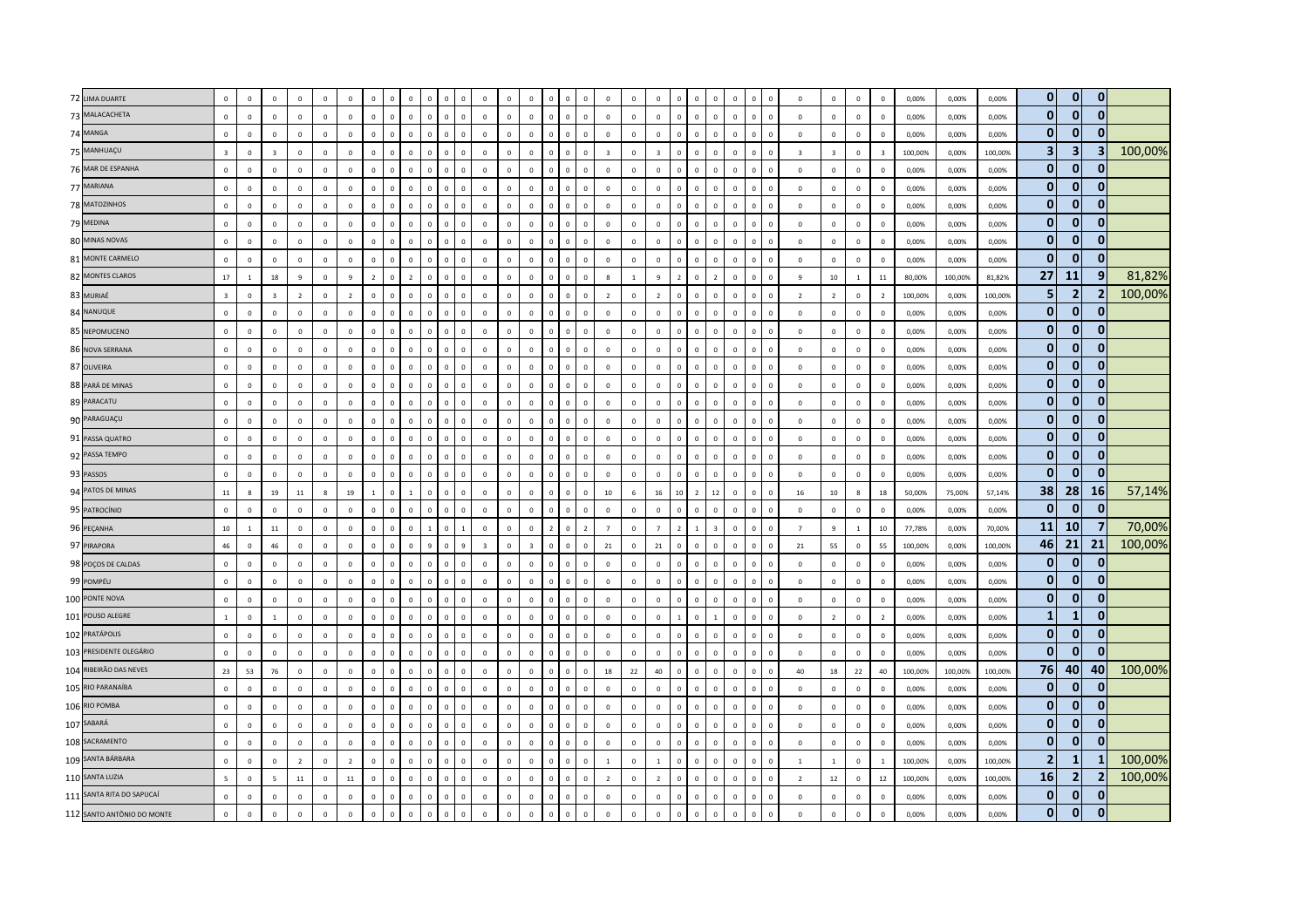| 72 LIMA DUARTE                      | $\,$ 0                  | $\mathbf 0$    | $\Omega$        | $\mathbf{0}$   | $\mathbf 0$    | $\Omega$       | $\Omega$       |              | $\Omega$                    | $\mathbf 0$  | $\mathsf 0$  | $\mathbf 0$             | $\mathbf 0$  | $\mathbf{0}$            | $\Omega$       | $\mathbf 0$    | $\Omega$       | $\mathbf 0$             | $\mathbf 0$     | $\mathbb O$             | $\Omega$                | $\Omega$<br>$\Omega$           | $\mathbf{0}$                  | $\Omega$       | $\Omega$                | $\mathbf 0$             | $\mathbf 0$             | $\mathbf 0$    | $\overline{0}$ | 0,00%   | 0,00%   | 0,00%   | $\mathbf 0$                 | $\mathbf{0}$       | 0                 |         |
|-------------------------------------|-------------------------|----------------|-----------------|----------------|----------------|----------------|----------------|--------------|-----------------------------|--------------|--------------|-------------------------|--------------|-------------------------|----------------|----------------|----------------|-------------------------|-----------------|-------------------------|-------------------------|--------------------------------|-------------------------------|----------------|-------------------------|-------------------------|-------------------------|----------------|----------------|---------|---------|---------|-----------------------------|--------------------|-------------------|---------|
| 73 MALACACHETA                      | $\mathbf 0$             | $\mathbf 0$    | $\mathbf 0$     | $\mathsf 0$    | $\mathbf 0$    | $\Omega$       | $\mathbf 0$    | $\Omega$     | $\Omega$<br>$\Omega$        | $\mathbf 0$  | $\mathbf 0$  | $\mathbf 0$             | $\mathbf 0$  | $\mathbf{0}$            | $\mathbf{0}$   | $\mathbf{0}$   | $\mathbf{0}$   | $\mathbf 0$             | $\mathsf 0$     | $\mathbf 0$             | $\Omega$                | $\mathbf{0}$<br>$\,0\,$        | $\mathbf 0$                   | $\mathbf 0$    | $\overline{0}$          | $\mathbf 0$             | $\mathbf 0$             | $\mathbf 0$    | $\mathbf 0$    | 0,00%   | 0,00%   | 0,00%   | $\mathbf{0}$                | $\mathbf{0}$       | $\mathbf{0}$      |         |
| 74 MANGA                            | $\Omega$                | $\mathbf 0$    | $\Omega$        | $\Omega$       | $\Omega$       | $\Omega$       | $\Omega$       |              | $\Omega$                    | $\Omega$     | $\mathbf 0$  | $\Omega$                | $\Omega$     | $\Omega$                | $\Omega$       | $\Omega$       | $\Omega$       | $\Omega$                | $\Omega$        | $\Omega$                | $\Omega$                | $\Omega$<br>$\Omega$           | $\Omega$                      | $\Omega$       | $\Omega$                | $\overline{0}$          | $\Omega$                | $\mathbf 0$    | $\Omega$       | 0.00%   | 0.00%   | 0.00%   | $\mathbf 0$                 | 0                  | 0                 |         |
| 75 MANHUAÇU                         | $\overline{\mathbf{3}}$ | $\mathbf 0$    | $\overline{3}$  | $\mathbf{0}$   | $\mathbf{0}$   | $\Omega$       | $\mathbf 0$    |              | $\Omega$                    | $\mathbf{0}$ | $\mathbf 0$  | $\mathbf 0$             | $\Omega$     | $\mathbf{0}$            | $\Omega$       | $\Omega$       | $\mathbf 0$    | $\overline{\mathbf{3}}$ | $\mathbf 0$     | $\overline{\mathbf{3}}$ | $\Omega$                | $\mathbf{0}$<br>$\Omega$       | $\mathbf 0$                   | $\mathbf{0}$   | $\overline{0}$          | $\overline{\mathbf{3}}$ | $\overline{\mathbf{3}}$ | $\mathbf 0$    | $\overline{3}$ | 100,00% | 0,00%   | 100,00% | $\overline{\mathbf{3}}$     | 3                  | $\vert$ 3         | 100,00% |
| 76 MAR DE ESPANHA                   | $\mathbf 0$             | $\mathbf{0}$   | $\mathbf 0$     | $\mathbf{0}$   | $\mathbf 0$    | $\Omega$       | $\mathbf 0$    |              | $\Omega$                    | $\mathbf 0$  | $\mathbf 0$  | $\mathbf 0$             | $\mathbf 0$  | $\mathbf{0}$            | $\mathbf{0}$   | $\mathbf{0}$   | $\mathbf{0}$   | $\mathbf 0$             | $\mathbf{0}$    | $\mathbb O$             | $\overline{0}$          | $\mathsf 0$<br>$\overline{0}$  | $\mathbf 0$                   | $\mathbf 0$    | $\overline{0}$          | $\mathbf 0$             | $\mathbf 0$             | $\mathbf 0$    | $\mathbf 0$    | 0,00%   | 0,00%   | 0,00%   | $\mathbf 0$                 | $\mathbf{0}$       | $\mathbf{0}$      |         |
| 77 MARIANA                          | $\mathbf 0$             | $\mathbf 0$    | $\overline{0}$  | $\mathbf 0$    | $\mathbf 0$    | $\mathbf{0}$   | $\mathbf{0}$   |              |                             | $\mathbf 0$  | $\mathbf 0$  | $\mathbf 0$             | $\mathbf{0}$ | $\mathbf{0}$            | $\Omega$       | $\mathbf 0$    | $\mathbf{0}$   | $\mathbf 0$             | $\mathbf 0$     | $\mathbb O$             |                         | $\mathbf{0}$<br>$\overline{0}$ | $\mathbf 0$                   | $\overline{0}$ | $\overline{0}$          | $\mathbf 0$             | $\mathbf{0}$            | $\mathbf 0$    | $\overline{0}$ | 0,00%   | 0,00%   | 0,00%   | $\mathbf{0}$                | $\mathbf{0}$       | $\Omega$          |         |
| 78 MATOZINHOS                       | $\mathbf 0$             | $\circ$        | $\mathbf 0$     | $\mathbf{0}$   | $\mathbf 0$    | $\Omega$       | $\mathbf 0$    | $\Omega$     | $\Omega$<br>$\Omega$        | $\mathbf 0$  | $\mathbf 0$  | $\mathbf 0$             | $\mathbf 0$  | $\mathbf 0$             | $\mathbf{0}$   | $\mathbf{0}$   | $\mathbf{0}$   | $\mathbf 0$             | $\mathsf 0$     | $\mathbf 0$             | $\Omega$                | $\mathbf{0}$<br>$\mathbf 0$    | $\mathbf{0}$                  | $\mathsf 0$    | $\overline{\mathbf{0}}$ | $\mathbf 0$             | $\mathbf 0$             | $\mathbf 0$    | $\mathbf 0$    | 0,00%   | 0,00%   | 0,00%   | $\mathbf{0}$                | $\mathbf{0}$       | 0                 |         |
| 79 MEDINA                           | $\Omega$                | $\mathbf 0$    | $\Omega$        | $\Omega$       | $\Omega$       | $\Omega$       | $\Omega$       |              | $\Omega$                    | $\Omega$     | $\mathsf 0$  | $\mathbf 0$             | $\Omega$     | $\Omega$                | $\Omega$       | $\Omega$       | $\Omega$       | $\Omega$                | $\Omega$        | $\mathbf{0}$            | $\Omega$                | $\Omega$<br>$\Omega$           | $\mathbf 0$                   | $\Omega$       | $\Omega$                | $\Omega$                | $\Omega$                | $\Omega$       | $\Omega$       | 0.00%   | 0.00%   | 0.00%   | $\mathbf 0$                 | 0                  | 0                 |         |
| 80 MINAS NOVAS                      | $\mathbf 0$             | $\mathbf 0$    | $\Omega$        | $\Omega$       | $\mathbf 0$    | $\Omega$       | $\Omega$       |              |                             | $\Omega$     | $\Omega$     | $\mathbf 0$             | $\Omega$     | $\mathbf{0}$            |                |                | $\Omega$       | $\mathbf 0$             | $\Omega$        | $\mathbb O$             |                         | $\Omega$<br>$\Omega$           | $\Omega$                      | $\sqrt{2}$     | $\sqrt{2}$              | $\mathbf 0$             | $\mathbf 0$             | $\mathbf 0$    | $\mathbf 0$    | 0,00%   | 0,00%   | 0,00%   | $\mathbf{0}$                | $\mathbf{0}$       | $\mathbf{0}$      |         |
| 81 MONTE CARMELO                    | $\mathbf 0$             | $\mathbf{0}$   | $\mathbf 0$     | $\mathbf{0}$   | $\mathbf{0}$   | $\Omega$       | $\mathbf 0$    |              | $\Omega$<br>$\Omega$        | $\mathbf 0$  | $\mathbf 0$  | $\mathbf 0$             | $\mathbf{0}$ | $\mathsf 0$             | $\mathbf{0}$   | $\mathbf{0}$   | $\mathbf{0}$   | $\mathbf 0$             | $\mathbf{0}$    | $\mathbb O$             | $\overline{0}$          | $\Omega$<br>$\overline{0}$     | $\circ$                       | $\mathbf 0$    | $\overline{\mathbf{0}}$ | $\mathbf 0$             | $\mathbf 0$             | $\circ$        | $\mathbf 0$    | 0,00%   | 0,00%   | 0,00%   | $\mathbf{0}$                | $\mathbf{0}$       | $\mathbf{0}$      |         |
| 82 MONTES CLAROS                    | 17                      | $\mathbf{1}$   | 18              | 9              | $\mathbf 0$    | $\mathbf{q}$   | $\overline{2}$ |              | $\overline{2}$              | $\mathbf 0$  | $\mathbf 0$  | $\mathbf 0$             | $\mathbf 0$  | $\mathbf{0}$            | $\Omega$       | $\mathbf 0$    | $\mathbf{0}$   | 8                       | $\mathbf{1}$    | $\overline{9}$          |                         | $\mathbf 0$<br>$\overline{2}$  | $\mathbf 0$                   | $\overline{0}$ | $\epsilon$              | $\overline{9}$          | $10\,$                  | $\mathbf{1}$   | $11\,$         | 80,00%  | 100,00% | 81,82%  | 27                          | <b>11</b>          | 9                 | 81,82%  |
| 83 MURIAÉ                           | $\overline{\mathbf{3}}$ | $\mathbf{0}$   | $\overline{3}$  | $\overline{2}$ | $\mathbf 0$    | $\overline{2}$ | $\mathbf 0$    |              | $\mathbf 0$<br>$\Omega$     | $\mathbf 0$  | $\mathbf 0$  | $\mathbf 0$             | $\mathbf 0$  | $\mathbf{0}$            | $\mathbf{0}$   | $\mathbf{0}$   | $\mathbf{0}$   | $\overline{2}$          | $\mathsf 0$     | $\overline{2}$          | $\Omega$                | $\mathbf{0}$                   | $\mathbf 0$<br>$\overline{0}$ | $\mathbf 0$    | $\overline{0}$          | $\overline{2}$          | $\overline{2}$          | $\mathbf 0$    | $\overline{2}$ | 100,00% | 0,00%   | 100,00% | 5                           | $\overline{2}$     | $\overline{2}$    | 100,00% |
| 84 NANUQUE                          | $\overline{0}$          | $\mathbf 0$    | $\mathbf 0$     | $\mathbf{0}$   | $\mathbf 0$    | $\Omega$       | $\mathbf 0$    |              | $\Omega$                    | $\mathbf 0$  | $\mathbf 0$  | $\mathbf 0$             | $\mathbf 0$  | $\mathbf{0}$            | $\Omega$       | $\mathbf{0}$   | $\Omega$       | $\mathbf 0$             | $\mathbf 0$     | $\mathbb O$             | $\Omega$                | $\Omega$<br>$\Omega$           | $\mathbf 0$                   | $\Omega$       | $\,$ 0                  | $\overline{0}$          | $\mathbf 0$             | $\mathbf 0$    | $\mathbf 0$    | 0,00%   | 0,00%   | 0,00%   | $\mathbf{0}$                | $\mathbf{0}$       | 0                 |         |
| 85 NEPOMUCENO                       | $\Omega$                | $\Omega$       | $\Omega$        | $\Omega$       | $\mathbf 0$    | $\Omega$       | $\Omega$       |              | $\Omega$                    | $\Omega$     | $\mathbf{0}$ | $\mathbf 0$             | $\Omega$     | $\mathbf{0}$            | $\Omega$       | $\Omega$       | $\Omega$       | $\Omega$                | $\Omega$        | $\Omega$                |                         | $\Omega$<br>$\Omega$           | $\Omega$                      | $\Omega$       | $\Omega$                | $\Omega$                | $\Omega$                | $\mathbf 0$    | $\Omega$       | 0,00%   | 0.00%   | 0.00%   | $\mathbf{0}$                | $\mathbf{0}$       | 0                 |         |
| 86 NOVA SERRANA                     | $\,$ 0                  | $\mathbf 0$    | $\mathbf 0$     | $\mathbf{0}$   | $\mathbf 0$    | $\Omega$       | $\mathbf 0$    |              | $\Omega$<br>$\Omega$        | $\mathbf 0$  | $\mathsf 0$  | $\mathbf 0$             | $\mathbf{0}$ | $\mathbf 0$             | $\Omega$       | $\mathbf{0}$   | $\mathbf 0$    | $\mathbf{0}$            | $\mathbf{0}$    | $\mathbb O$             | $\overline{0}$          | $\Omega$                       | $\mathbf 0$<br>$\mathbf{0}$   | $\mathbf 0$    | $\overline{0}$          | $\mathbf 0$             | $\mathbf 0$             | $\mathbf 0$    | $\mathbf 0$    | 0,00%   | 0,00%   | 0,00%   | $\mathbf 0$                 | $\mathbf{0}$       | $\mathbf{0}$      |         |
| 87 OLIVEIRA                         | $\,$ 0                  | $\mathbf 0$    | $\overline{0}$  | $\mathbf{0}$   | $\mathbf{0}$   | $\mathbf{0}$   | $\mathbf 0$    |              |                             | $\mathbf 0$  | $\mathbf 0$  | $\mathbf 0$             | $\mathbf 0$  | $\mathbf{0}$            | $\Omega$       | $\mathbf 0$    | $\mathbf{0}$   | $\mathbf 0$             | $\mathbf 0$     | $\mathbb O$             | $\theta$                | $\mathbf 0$<br>$\overline{0}$  | $\mathbf 0$                   | $\overline{0}$ | $\overline{0}$          | $\mathbf 0$             | $\mathbf 0$             | $\mathbf 0$    | $\overline{0}$ | 0,00%   | 0,00%   | 0,00%   | $\mathbf{0}$                | $\mathbf{0}$       | $\bf{0}$          |         |
| 88 PARÁ DE MINAS                    | $\overline{0}$          | $\mathbf{0}$   | $\mathbf 0$     | $\mathbf{0}$   | $\circ$        | $\mathsf 0$    | $\mathbf 0$    | $\Omega$     | $\mathbf{0}$<br>$\Omega$    | $\mathbf 0$  | $\mathsf 0$  | $\mathbf 0$             | $\mathbf 0$  | $\mathbf{0}$            | $\mathbf{0}$   | $\mathbf{0}$   | $\mathbf{0}$   | $\mathbf 0$             | $\mathbf 0$     | $\mathbf 0$             | $\overline{0}$          | $\mathbf{0}$                   | $\mathbf 0$<br>$\mathbf 0$    | $\mathbf 0$    | $\overline{\mathbf{0}}$ | $\mathbf 0$             | $\mathsf 0$             | $\mathbf 0$    | $\mathbf 0$    | 0,00%   | 0,00%   | 0,00%   | $\mathbf 0$                 | $\mathbf{0}$       | $\bf{0}$          |         |
| 89 PARACATU                         | $\overline{0}$          | $\mathbf 0$    | $\mathbf 0$     | $\mathbf{0}$   | $\mathbf 0$    | $\Omega$       | $\mathbf 0$    |              | $\Omega$                    | $\mathbf 0$  | $\mathsf 0$  | $\mathbf 0$             | $\mathbf 0$  | $\mathbf{0}$            | $\Omega$       | 0              | $\mathbf{0}$   | $\mathbf 0$             | $\mathbf 0$     | $\mathbf{0}$            | $\Omega$                | $\Omega$<br>$\Omega$           | $\mathbf 0$                   | $\overline{0}$ | $\overline{0}$          | $\mathbf 0$             | $\mathbf 0$             | $\mathbf 0$    | $\mathbf 0$    | 0,00%   | 0,00%   | 0,00%   | $\mathbf{0}$                | $\mathbf{0}$       | 0                 |         |
| 90 PARAGUAÇU                        | $\Omega$                | $\mathbf{0}$   | $\Omega$        | $\Omega$       | $\mathbf 0$    | $\Omega$       | $\Omega$       |              | $\Omega$                    | $\Omega$     | $\Omega$     | $\mathbf 0$             | $\Omega$     | $\mathbf{0}$            | $\Omega$       | $\Omega$       | $\Omega$       | $\Omega$                | $\Omega$        | $\mathbb O$             |                         | $\Omega$<br>$\Omega$           | $\Omega$                      | $\Omega$       | $\Omega$                | $\Omega$                | $\Omega$                | $\circ$        | $\mathbf{0}$   | 0,00%   | 0.00%   | 0.00%   | $\mathbf{0}$                | $\mathbf{0}$       | $\mathbf{0}$      |         |
| 91 PASSA QUATRO                     | $\,$ 0                  | $\mathbf 0$    | $\mathbf 0$     | $\Omega$       | $\mathbf 0$    | $\Omega$       | $\Omega$       |              | $\Omega$                    | $\Omega$     | $\mathbf 0$  | $\mathbf 0$             | $\Omega$     | $^{\circ}$              | $\Omega$       | $\Omega$       | $\Omega$       | $\mathbf{0}$            | $\Omega$        | $\Omega$                | $\Omega$                | $\Omega$<br>$\Omega$           | $\mathbf 0$                   | $\Omega$       | $\overline{0}$          | $\mathbf 0$             | $\mathbf 0$             | $\mathbf 0$    | $\overline{0}$ | 0,00%   | 0,00%   | 0,00%   | $\mathbf{0}$                | $\mathbf{0}$       | $\mathbf{0}$      |         |
| 92 PASSA TEMPO                      | $\,$ 0                  | $\mathbf{0}$   | $\,0\,$         | $\mathbf{0}$   | $\mathbf 0$    | $\mathbf 0$    | $\mathbf 0$    | $\Omega$     | $\mathbf{0}$<br>$\Omega$    | $\mathbf 0$  | $\mathbf 0$  | $\,0\,$                 | $\mathbf 0$  | $\mathbf 0$             | $\Omega$       | $\mathbf{0}$   | $\mathbf 0$    | $\mathbf 0$             | $\overline{0}$  | $\,0\,$                 | $\overline{0}$          | $\mathbf{0}$<br>$\mathbf 0$    | $\mathbf 0$                   | $\mathsf 0$    | $\overline{0}$          | $\mathbf 0$             | $\mathbf 0$             | $\mathbf 0$    | $\mathbf 0$    | 0,00%   | 0,00%   | 0,00%   | $\mathbf{0}$                | $\mathbf{0}$       | $\mathbf{0}$      |         |
| 93 PASSOS                           | $\overline{0}$          | $\mathbf{0}$   | $\mathbf 0$     | $\mathbf{0}$   | $\mathsf 0$    | $\mathsf 0$    | $\mathbf 0$    | $\mathbf{0}$ | $\mathbf 0$<br>$\mathbf 0$  | $\mathbf{0}$ | $\mathsf 0$  | $\mathbf 0$             | $\mathbf 0$  | $\mathsf 0$             | $\mathbf{0}$   | $\mathbf{0}$   | $\mathbf{0}$   | $\mathbf 0$             | $\mathbf{0}$    | $\mathbf{0}$            | $\overline{0}$          | $\mathbf{0}$                   | $\mathbf 0$<br>$\mathbf 0$    | $\mathbf 0$    | $\overline{0}$          | $\mathbf 0$             | $\mathsf 0$             | $\mathbf 0$    | $\mathbf 0$    | 0,00%   | 0,00%   | 0,00%   | $\mathbf{0}$                | $\Omega$           | $\Omega$          |         |
| 94 PATOS DE MINAS                   | $11\,$                  | 8              | 19              | 11             | 8              | 19             | $\mathbf{1}$   |              | $\overline{1}$              | $\mathbf 0$  | $\mathbf 0$  | $\mathbf 0$             | $\mathbf 0$  | $\mathbf{0}$            | $\Omega$       | $\mathbf 0$    | $\mathbf{0}$   | $10\,$                  | $6\overline{6}$ | $16\,$                  | 10                      | $\overline{z}$                 | 12<br>$\mathbf{0}$            | $\Omega$       | $\Omega$                | 16                      | 10 <sup>10</sup>        | 8              | 18             | 50,00%  | 75,00%  | 57,14%  | 38                          | 28                 | <b>16</b>         | 57,14%  |
| 95 PATROCÍNIO                       | $\overline{0}$          | $\mathbf 0$    | $\mathbf 0$     | $\mathbf{0}$   | $\mathbf 0$    | $\mathbf 0$    | $\mathbf 0$    |              | $\Omega$                    | $\mathbf 0$  | $\mathbf 0$  | $\mathbf 0$             | $\mathbf 0$  | $\mathbf{0}$            | $\Omega$       | $\mathbf 0$    | $\mathbf{0}$   | $\mathbf 0$             | $\mathbf 0$     | $\mathbb O$             | $\overline{0}$          | $\mathbf{0}$                   | $\mathbf 0$<br>$\mathbf 0$    | $\mathbf 0$    | $\overline{0}$          | $\overline{0}$          | $\mathbf 0$             | $\mathbf 0$    | $\mathbf 0$    | 0,00%   | 0,00%   | 0,00%   | $\mathbf{0}$                | 0                  | $\mathbf{0}$      |         |
| 96 PEÇANHA                          | $10\,$                  | -1             | $11\,$          | $\Omega$       | $\overline{0}$ | $\Omega$       | $\Omega$       |              | $\Omega$                    | $\Omega$     | $\mathbf{1}$ | $\mathbf 0$             | $\Omega$     | $\mathbf 0$             | $\overline{2}$ | $\mathbf{0}$   | $\overline{2}$ | $\overline{7}$          | $\Omega$        | $\overline{7}$          | $\overline{2}$          | $\overline{3}$                 | $\mathbf{0}$                  | $\Omega$       | $\overline{\mathbf{0}}$ | $\overline{7}$          | $\mathbf{q}$            | $\overline{1}$ | 10             | 77,78%  | 0,00%   | 70,00%  | 11                          | 10                 |                   | 70,00%  |
| 97 PIRAPORA                         | 46                      | $\mathbf 0$    | 46              | $\mathbf 0$    | $\mathbf 0$    | $\mathbf 0$    | $\mathbf{0}$   |              | $\Omega$                    | $\mathbf 0$  | 9            | $\overline{\mathbf{3}}$ | $\mathbf 0$  | $\overline{\mathbf{3}}$ | $\Omega$       | $\mathbf{0}$   | $\mathbf{0}$   | 21                      | $\overline{0}$  | 21                      | $\overline{0}$          | $\mathbf 0$                    | $\mathbf 0$<br>$\mathbf 0$    | $\mathbf 0$    | $\overline{0}$          | 21                      | 55                      | $\mathbf{0}$   | 55             | 100,00% | 0,00%   | 100,00% | 46                          | 21                 | 21                | 100,00% |
| 98 POÇOS DE CALDAS                  | $\mathbf 0$             | $\mathbf 0$    | $\mathbf 0$     | $\mathbf{0}$   | $\mathbf{0}$   | $\mathsf 0$    | $\mathbf 0$    |              | $\mathbf{0}$                | $\mathbf 0$  | $\mathsf 0$  | $\mathbf 0$             | $\mathbf 0$  | $\mathbf{0}$            | $\mathbf{0}$   | $\mathbf{0}$   | $\mathbf{0}$   | $\mathbf 0$             | $\mathbf 0$     | $\mathbf{0}$            | $\overline{0}$          | $\mathbf 0$                    | $\mathbf 0$<br>$\mathbf{0}$   | $\mathbf 0$    | $\overline{0}$          | $\mathbf 0$             | $\mathsf 0$             | $\mathbf 0$    | $\mathbf 0$    | 0,00%   | 0,00%   | 0,00%   | $\mathbf 0$                 | $\mathbf{0}$       | 0                 |         |
| 99 POMPÉU                           | $\mathbf 0$             | $\mathbf 0$    | $\mathbf 0$     | $\mathbf{0}$   | $\mathbf 0$    | $\mathbf{0}$   | $\mathbf 0$    |              | $\mathbf{0}$                | $\mathbf 0$  | $\mathbf 0$  | $\mathbf 0$             | $\mathbf{0}$ | $\mathbf{0}$            |                | $\mathbf{0}$   | $\mathbf{0}$   | $\mathbf 0$             | $\mathbf 0$     | $\mathbb O$             | $\Omega$                | $\mathbf{0}$<br>$\overline{0}$ | $\mathbf 0$                   | $\overline{0}$ | $\overline{0}$          | $\mathbf 0$             | $\mathbf 0$             | $\mathbf 0$    | $\mathbf 0$    | 0,00%   | 0,00%   | 0,00%   | $\mathbf{0}$                | $\mathbf{0}$       | 0                 |         |
| 100 PONTE NOVA                      | $\mathbf 0$             | $\mathbf{0}$   | $\mathbf 0$     | $\mathbf{0}$   | $\mathbf 0$    | $\mathbf 0$    | $\mathbf 0$    | $\Omega$     | $\mathbf{0}$<br>$\Omega$    | $\mathbf 0$  | $\mathbf 0$  | $\mathbf 0$             | $\mathbf 0$  | $\mathbf{0}$            | $\mathbf{0}$   | $\mathbf{0}$   | $\mathbf 0$    | $\mathbf 0$             | $\mathbf 0$     | $\mathbb O$             | $\Omega$                | $\Omega$<br>$\overline{0}$     | $\mathbf 0$                   | $\mathsf 0$    | $\overline{0}$          | $\mathbf 0$             | $\mathbf 0$             | $\circ$        | $\mathbf 0$    | 0,00%   | 0,00%   | 0,00%   | $\mathbf 0$                 | $\mathbf{0}$       | 0                 |         |
| 101 POUSO ALEGRE                    | <sup>1</sup>            | $\mathbf{0}$   | $\overline{1}$  | $\Omega$       | $\mathbf 0$    | $\Omega$       | $\mathbf 0$    |              | $\Omega$<br>$\Omega$        | $\Omega$     | $\mathbf{0}$ | $\Omega$                | $\Omega$     | $\mathbf 0$             | $\Omega$       | $\Omega$       | $\mathbf 0$    | $\Omega$                | $\Omega$        | $\mathbf{0}$            | $\overline{1}$          | $\Omega$<br>$\overline{1}$     | $\mathbf{0}$                  | $\Omega$       | $\overline{\mathbf{0}}$ | $\mathbf 0$             | $\overline{2}$          | $\mathbf{0}$   | $\overline{2}$ | 0,00%   | 0.00%   | 0.00%   | $\mathbf{1}$                | -1                 | 0                 |         |
| 102 PRATÁPOLIS                      | $\,$ 0                  | $\overline{0}$ | $\mathbf{0}$    | $\mathbf{0}$   | $\mathbf 0$    | $\mathbf 0$    | $\mathbf 0$    |              | $\Omega$                    | $\Omega$     | $\mathbf 0$  | $\mathbf 0$             | $\mathbf{0}$ | $\mathbf 0$             | $\Omega$       | $\mathbf 0$    | $\Omega$       | $\mathbf 0$             | $\mathbf 0$     | $\mathbb O$             | $\Omega$                | $\mathsf 0$<br>$\overline{0}$  | $\mathbf 0$                   | $\Omega$       | $\overline{\mathbf{0}}$ | $\mathbf 0$             | $\mathbf 0$             | $\mathbf 0$    | $\mathbf 0$    | 0,00%   | 0,00%   | 0,00%   | $\mathbf 0$                 | $\Omega$           | $\bf{0}$          |         |
| 103 PRESIDENTE OLEGÁRIO             | $\mathbf 0$             | $\mathbf{0}$   | $\mathbf 0$     | $\mathsf 0$    | $\mathbf{0}$   | $\mathbf 0$    | $\,0\,$        | $\mathbf{0}$ | $\mathbf 0$<br>$\mathbf{0}$ | $\mathbf 0$  | $\mathbf 0$  | $\mathbf 0$             | $\mathbf{0}$ | $\mathbf 0$             | $\mathbf{0}$   | $\overline{0}$ | $\mathbf 0$    | $\mathbf 0$             | $\mathbf{0}$    | $\mathbf 0$             | $\overline{\mathbf{0}}$ | $\mathbf{0}$                   | $\mathbf 0$<br>$\mathbf 0$    | $\mathbf 0$    | $\overline{\mathbf{0}}$ | $\mathbf 0$             | $\mathbf 0$             | $\mathbf 0$    | $\mathbf 0$    | 0,00%   | 0,00%   | 0,00%   | $\mathbf{0}$                | $\mathbf{0}$       | $\bf{0}$          |         |
| 104 RIBEIRÃO DAS NEVES              | 23                      | 53             | 76              | $\mathbf{0}$   | $\mathbf 0$    | $\mathbf{0}$   | $\mathbf 0$    |              | $\mathbf 0$                 | $\mathbf 0$  | $\mathbf 0$  | $\mathbf 0$             | $\mathbf 0$  | $\mathbf{0}$            |                | $\mathbf{0}$   | $\mathbf{0}$   | $18\,$                  | 22              | 40                      | $\theta$                | $\mathbf{0}$<br>$\overline{0}$ | $\mathbf 0$                   | $\overline{0}$ | $\mathsf{C}$            | 40                      | 18                      | 22             | 40             | 100,00% | 100,00% | 100,00% | 76                          | 40                 | 40                | 100,00% |
| 105 RIO PARANAÍBA                   | $\,$ 0                  | $\mathbf 0$    | $\mathbf 0$     | $\mathbf{0}$   | $\mathbf 0$    | $\mathbf 0$    | $\mathbf 0$    |              | $\mathbf{0}$<br>$\Omega$    | $\mathbf 0$  | $\mathbf 0$  | $\mathbf 0$             | $\mathbf 0$  | $\mathbf{0}$            | $\mathbf{0}$   | $\mathbf{0}$   | $\mathbf 0$    | $\mathbf 0$             | $\mathbf{0}$    | $\overline{0}$          | $\Omega$                | $\mathbf{0}$<br>$\mathbf 0$    | $\mathbf 0$                   | $\mathbf 0$    | $\overline{0}$          | $\mathbf 0$             | $\mathbf 0$             | $\mathbf 0$    | $\overline{0}$ | 0,00%   | 0.00%   | 0,00%   | $\mathbf 0$                 | 0 <br>$\mathbf{0}$ | 0<br>n            |         |
| 106 RIO POMBA                       | $\,$ 0                  | $\mathbf 0$    | $\mathbf 0$     | $\mathbf{0}$   | $\mathbf 0$    | $^{\circ}$     | $\mathbf 0$    |              | $\Omega$                    | $\mathbf 0$  | $\mathbf 0$  | $\mathbf 0$             | $\mathbf 0$  | $\mathbf{0}$            | $\mathbf{0}$   | $\mathbf 0$    | $^{\circ}$     | $\mathbf{0}$            | $\mathbf 0$     | $\mathbb O$             | $\Omega$                | $\mathbf 0$<br>$\mathbf 0$     | $\mathbf 0$                   | $\overline{0}$ | $\overline{0}$          | $\mathbf 0$             | $\mathbf{0}$            | $\mathbf 0$    | $\overline{0}$ | 0,00%   | 0,00%   | 0,00%   | $\mathbf 0$<br>$\mathbf{0}$ |                    | 0                 |         |
| 107 SABARÁ                          | $\,$ 0                  | $\mathbf 0$    | $\mathbf{0}$    | $\Omega$       | $\mathbf 0$    | $\Omega$       | $\Omega$       |              | $\Omega$<br>$\Omega$        | $\Omega$     | $\mathsf 0$  | $\mathbf 0$             | $\Omega$     | $\mathbf 0$             | $\Omega$       | $\Omega$       | $\Omega$       | $\mathbf 0$             | $\Omega$        | $\mathbb O$             | $\Omega$                | $\Omega$<br>$\Omega$           | $\circ$                       | $\Omega$       | $\overline{0}$          | $\mathbf 0$             | $\mathbf 0$             | $\circ$        | $\mathbf{0}$   | 0,00%   | 0,00%   | 0,00%   | $\mathbf 0$                 | $\mathbf{0}$       | $\bf{0}$          |         |
| 108 SACRAMENTO<br>109 SANTA BÁRBARA | $\overline{0}$          | $\mathbf 0$    | $\mathbf 0$     | $\mathbf{0}$   | $\circ$        | $\Omega$       | $\mathbf 0$    |              | $\mathbf{0}$<br>$\Omega$    | $\mathbf 0$  | $\mathbf 0$  | $\mathbf 0$             | $\mathbf{0}$ | $\mathbf 0$             | $\mathbf{0}$   | $\mathbf{0}$   | $\mathbf 0$    | $\mathbf 0$             | $\mathbf{0}$    | $\mathbf 0$             | $\overline{0}$          | $\mathsf 0$<br>$\mathbf 0$     | $\mathbf 0$                   | $\mathbf 0$    | $\overline{\mathbf{0}}$ | $\mathbf 0$             | $\mathbf 0$             | $\mathbf 0$    | $\mathbf 0$    | 0,00%   | 0,00%   | 0,00%   | $\overline{2}$              | $\mathbf{0}$<br>-1 |                   |         |
|                                     | $\mathbf 0$             | $\mathbf 0$    | $\overline{0}$  | $\overline{2}$ | $\mathbf 0$    | $\overline{2}$ | $\mathbf 0$    |              |                             | $\mathbf 0$  | $\mathbf 0$  | $\mathbf 0$             | $\mathbf 0$  | $\overline{0}$          |                | 0              | $\mathbf{0}$   | $\mathbf{1}$            | $\mathbf 0$     | $\mathbf{1}$            |                         | 0                              | $\mathbf 0$<br>$\Omega$       | $\overline{0}$ | $\mathsf{C}$            | $\mathbf{1}$            | $\mathbf{1}$            | $\mathbf 0$    |                | 100,00% | 0,00%   | 100,00% | 16                          | $\overline{2}$     |                   | 100,00% |
| 110 SANTA LUZIA                     | 5                       | $\mathbf 0$    | $5\overline{5}$ | 11             | $\mathbf 0$    | $11\,$         | $\mathbf 0$    | $\mathbf 0$  | $\mathbf{0}$                | $\mathbf 0$  | $\mathsf 0$  | $\mathbf 0$             | $\mathbf 0$  | $\mathbf 0$             | $\mathbf{0}$   | $\mathbf{0}$   | $\mathbf{0}$   | $\overline{2}$          | $\mathbf{0}$    | $\overline{2}$          | $\overline{0}$          | $\mathbf 0$                    | $\mathbf 0$<br>$\mathbf 0$    | $\mathbf 0$    | $\overline{0}$          | $\overline{2}$          | 12                      | $\mathbf 0$    | 12             | 100,00% | 0,00%   | 100,00% | $\mathbf 0$                 | $\mathbf{0}$       | $\mathbf{2}$<br>ŋ | 100,00% |
| 111 SANTA RITA DO SAPUCAÍ           | $\overline{0}$          | $\mathbf{0}$   | $\mathbf{0}$    | $\mathbf{0}$   | $\mathbf 0$    | $\mathbf 0$    | $\mathbf 0$    | $^{\circ}$   | $\mathbf 0$<br>$\Omega$     | $\mathbf 0$  | $\mathsf 0$  | $\mathbf 0$             | $\mathbf{0}$ | $\mathbf 0$             | $\mathbf{0}$   | $\mathbf{0}$   | $\mathbf 0$    | $\mathbf 0$             | $\mathbf{0}$    | $\mathbf{0}$            | $\mathbf 0$             | $\mathbf{0}$<br>$\overline{0}$ | $\circ$                       | $\mathbf 0$    | $\overline{\mathbf{0}}$ | $\mathbf 0$             | $\mathbf{0}$            | $\mathbf{0}$   | $\mathbf{0}$   | 0,00%   | 0.00%   | 0,00%   | $\mathbf{0}$                |                    |                   |         |
| 112 SANTO ANTÔNIO DO MONTE          | $\circ$                 | $\mathbb O$    | $\mathbf 0$     | $\mathbf 0$    | $\mathbf 0$    | $\mathbf{0}$   | $\mathbf{0}$   |              | $\Omega$                    | $\mathbf 0$  | $\mathsf 0$  | $\pmb{0}$               | $\mathbf 0$  | $\mathbf 0$             | $\Omega$       | $\mathbf{0}$   | $\mathbf 0$    | $\mathbf 0$             | $\mathbf 0$     | $\mathbb O$             | $\Omega$                | $\mathbf{0}$                   | $\mathbf 0$<br>$\mathbf 0$    | $\sqrt{2}$     | $\sqrt{ }$              | $\overline{0}$          | $\mathbf{0}$            | $\mathbf 0$    | $\mathbf 0$    | 0,00%   | 0,00%   | 0,00%   |                             | $\mathbf{0}$       | $\mathbf{0}$      |         |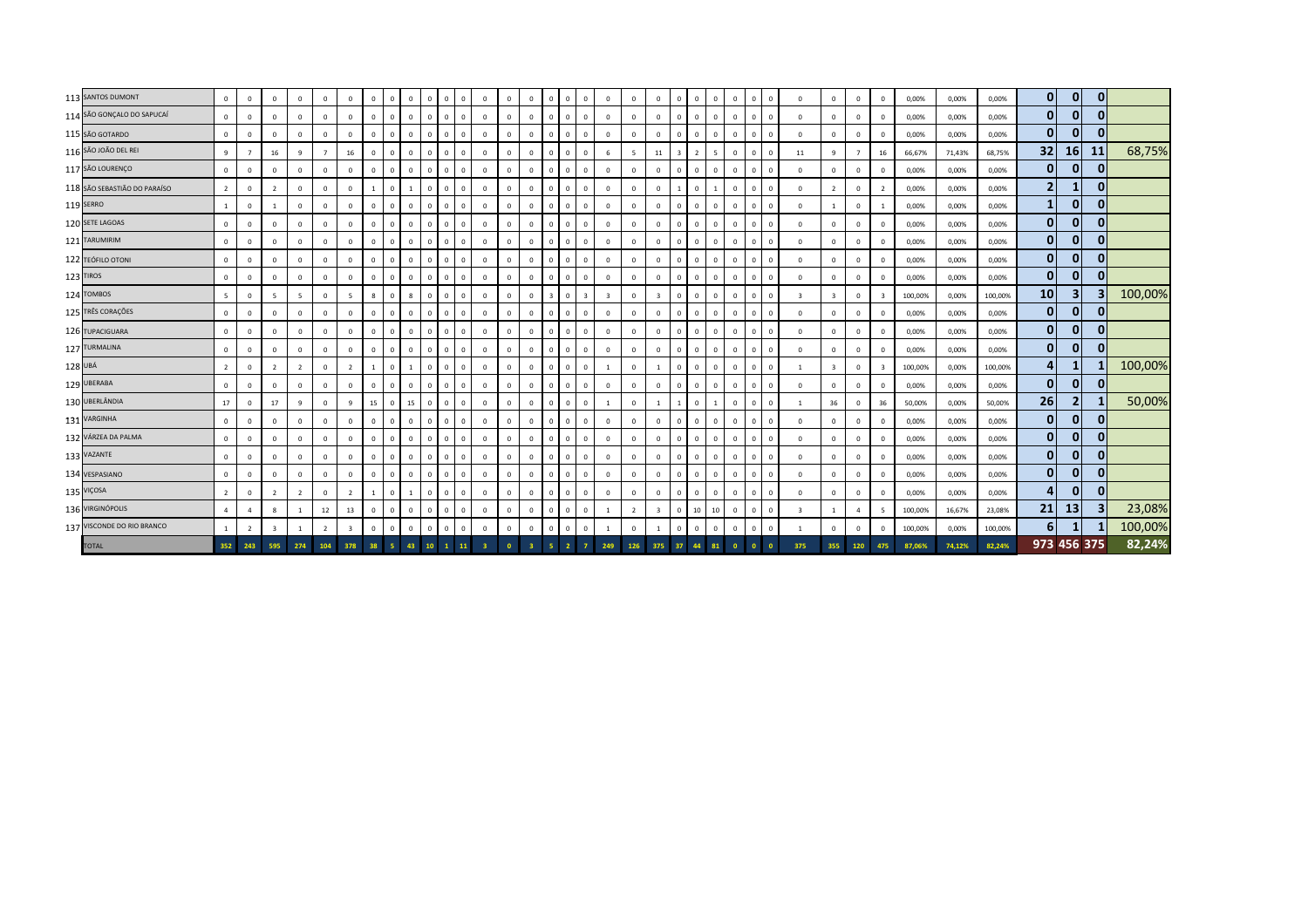| 113 SANTOS DUMONT            | $\mathbf{0}$   | $\overline{0}$ | $\mathbf{0}$   | $\mathbf 0$    | $\mathbf{0}$   | $\mathbf{0}$   | $\mathbf{0}$ | $\overline{0}$ | $\mathbf{0}$   | $\mathbf{0}$<br>$\overline{0}$  | $\Omega$       | $\mathbf{0}$ | $\Omega$       | $\mathbf{0}$            | $\overline{0}$ | $\Omega$       | $\mathbf{0}$            | $\overline{0}$          | $\mathbf{0}$   | $\Omega$                | $\mathbf{0}$                                        | $\overline{0}$ | $\mathbf{0}$<br>$\overline{0}$ |           | $\mathbf{0}$ | $\Omega$                | $^{\circ}$              | $\Omega$       | $\overline{0}$ | 0,00%   | 0,00%  | 0,00%   | $\overline{0}$<br>$\mathbf{0}$ | $\mathbf{0}$   |         |
|------------------------------|----------------|----------------|----------------|----------------|----------------|----------------|--------------|----------------|----------------|---------------------------------|----------------|--------------|----------------|-------------------------|----------------|----------------|-------------------------|-------------------------|----------------|-------------------------|-----------------------------------------------------|----------------|--------------------------------|-----------|--------------|-------------------------|-------------------------|----------------|----------------|---------|--------|---------|--------------------------------|----------------|---------|
| 114 SÃO GONÇALO DO SAPUCAÍ   | $\circ$        | $\overline{0}$ | $\mathbf{0}$   | $\mathbf 0$    | $^{\circ}$     | $\mathbf 0$    | $\mathbf{0}$ | $\mathbf{0}$   | $\mathbf{0}$   | $\Omega$<br>$\mathbf{0}$        | $\Omega$       | $\circ$      | $\Omega$       | $\circ$                 | $\Omega$       | $\Omega$       | $\mathsf 0$             | $\Omega$                | $\mathbf 0$    | $\Omega$                | $\mathbf{0}$                                        | $\overline{0}$ | $\mathbf{0}$<br>$\mathbf 0$    |           | $\mathbf{0}$ | $\Omega$                | $^{\circ}$              | $\mathbf{0}$   | $\circ$        | 0,00%   | 0,00%  | 0,00%   | $\mathbf{0}$<br>$\mathbf{0}$   | 0              |         |
| 115 SÃO GOTARDO              | $\mathbf 0$    | $\overline{0}$ | $\mathbf{0}$   | $\mathbf{0}$   | $^{\circ}$     | $\mathbf 0$    | $\Omega$     | $\circ$        | $\overline{0}$ | $\mathbf 0$<br>$\mathbf 0$      | $\Omega$       | $\mathbf{0}$ | $\Omega$       | $\circ$                 | $\Omega$       | $\Omega$       | $\mathsf 0$             | $\overline{0}$          | $\mathbf 0$    | $\overline{\mathbf{0}}$ | $\mathbf 0$                                         | $\overline{0}$ | $\mathbf 0$<br>$\mathbf{0}$    |           | $\mathbf 0$  | $\overline{0}$          | $\mathbf 0$             | $\Omega$       | $\mathbf 0$    | 0,00%   | 0,00%  | 0,00%   | 0 <br>$\mathbf{0}$             | $\mathbf{0}$   |         |
| 116 SÃO JOÃO DEL REI         | 9              | $\overline{7}$ | 16             | $\mathbf{q}$   | $\overline{7}$ | 16             | $\Omega$     | $\overline{0}$ | $\mathbf{0}$   | $\mathbf{0}$<br>$^{\circ}$      | $\overline{0}$ | $\mathbf{0}$ | $\Omega$       | $\mathbf{0}$            | $\Omega$       | $\Omega$       | $\mathsf 0$             | 6                       | -5             | 11                      | $\overline{\mathbf{3}}$<br>$\overline{\phantom{a}}$ |                | $\mathbf 0$<br>$5 -$           |           | $\mathbf{0}$ | 11                      | 9                       | $\overline{7}$ | 16             | 66,67%  | 71,43% | 68,75%  | 32<br>16 <sup>1</sup>          | 11             | 68,75%  |
| 117 SÃO LOURENÇO             | $\circ$        | $\overline{0}$ | $\Omega$       | $\mathbf{0}$   | $\mathbf{0}$   | $\mathbf 0$    | $\mathbf{0}$ | $\overline{0}$ | $\overline{0}$ | $\circ$<br>$\mathbf{0}$         | $\overline{0}$ | $\circ$      | $\Omega$       | $\mathbf{0}$            | $\overline{0}$ | $\Omega$       | $\mathbf 0$             | $\mathbf 0$             | $\mathbf 0$    | $\mathbf 0$             | $\mathbf{0}$                                        | $\overline{0}$ | $\overline{0}$<br>$\mathbf 0$  |           | $\mathbf{0}$ | $\overline{0}$          | $\mathbf 0$             | $\mathbf{0}$   | $\overline{0}$ | 0,00%   | 0,00%  | 0,00%   | $\mathbf{0}$<br>$\mathbf{0}$   | $\bf{0}$       |         |
| 118 SÃO SEBASTIÃO DO PARAÍSO | $\overline{2}$ | $\overline{0}$ | $\overline{2}$ | $\mathbf 0$    | $\mathbf{0}$   | $\mathbf 0$    |              | $\mathbf 0$    | $\overline{1}$ | $\mathbf 0$<br>$\mathbf{0}$     | $\Omega$       | $\mathbf{0}$ | $\Omega$       | $\mathbf{0}$            | $\Omega$       |                | $\mathsf 0$             | $\overline{0}$          | $\mathbf{0}$   | $\overline{\mathbf{0}}$ | $\mathbf{1}$                                        | $\overline{0}$ | $\overline{0}$                 |           | $\mathbf 0$  | $\Omega$                | $\overline{2}$          | $\mathbf{0}$   | $\overline{2}$ | 0,00%   | 0,00%  | 0,00%   | $\overline{2}$<br>$\mathbf{1}$ | $\mathbf{0}$   |         |
| 119 SERRO                    | <sup>1</sup>   | $\overline{0}$ |                | $\mathbf 0$    | $\mathbf{0}$   | $\mathbf 0$    | $\Omega$     | $\overline{0}$ | $^{\circ}$     | $\mathbf 0$<br>$\overline{0}$   | $\Omega$       | $\mathbf 0$  | $\Omega$       | $\mathbf{0}$            | $\sqrt{2}$     |                | $\mathsf 0$             | $\overline{0}$          | $\mathbf{0}$   | $\overline{0}$          | $\mathbf{0}$                                        | $\overline{0}$ | $\mathbf{0}$<br>$\circ$        |           | $\mathbf 0$  | $\mathbf{0}$            |                         | $\mathbf 0$    |                | 0,00%   | 0,00%  | 0,00%   | $\mathbf{1}$<br>$\mathbf{0}$   | $\mathbf{0}$   |         |
| 120 SETE LAGOAS              | $\circ$        | $\overline{0}$ | $\mathbf{0}$   | $\mathbf{0}$   | $\mathbf{0}$   | $\mathbf 0$    | $^{\circ}$   | $\overline{0}$ | $\mathbf{0}$   | $\mathbf{0}$<br>$\overline{0}$  | $\Omega$       | $\mathbf{0}$ | $\Omega$       | $\mathbf{0}$            | $\overline{0}$ | $\Omega$       | $\circ$                 | $\mathbf 0$             | $\mathbf{0}$   | $\mathbf 0$             | $\mathbf{0}$                                        | $\overline{0}$ | $\mathbf{0}$<br>$\overline{0}$ |           | $\mathbf{0}$ | $\overline{0}$          | $\mathbf 0$             | $\mathbf{0}$   | $\circ$        | 0,00%   | 0,00%  | 0,00%   | $\mathbf{0}$<br>$\mathbf{0}$   | $\mathbf{0}$   |         |
| 121 TARUMIRIM                | $\mathbf 0$    | $\overline{0}$ | $\mathbf{0}$   | $\mathbf{0}$   | $\mathbf{0}$   | $\mathbf 0$    | $^{\circ}$   | $^{\circ}$     | $\mathbf{0}$   | $^{\circ}$<br>$\mathbf{0}$      | $\Omega$       | $\circ$      | $\Omega$       | $\circ$                 | $\Omega$       | $\Omega$       | $\circ$                 | $\mathbf 0$             | $\mathbf{0}$   | $\overline{0}$          | $\mathbf{0}$                                        | $\overline{0}$ | $\mathbf{0}$<br>$\overline{0}$ |           | $\mathbf{0}$ | $\Omega$                | $^{\circ}$              | $\mathbf 0$    | $\mathbf 0$    | 0,00%   | 0,00%  | 0,00%   | $\mathbf{0}$<br> 0             | $\mathbf{0}$   |         |
| 122 TEÓFILO OTONI            | $\mathbf 0$    | $\overline{0}$ | $\mathbf{0}$   | $^{\circ}$     | $^{\circ}$     | $\mathbf 0$    | $\Omega$     | $\circ$        | $\overline{0}$ | $\mathbf 0$<br>$\mathbf{0}$     | $\Omega$       | $\mathbf{0}$ | $\Omega$       | $\circ$                 | $\Omega$       | $\Omega$       | $\mathsf 0$             | $\overline{0}$          | $^{\circ}$     | $\overline{\mathbf{0}}$ | $\circ$                                             | $\overline{0}$ | $\mathbf{0}$<br>$\circ$        |           | 0            | $\Omega$                | $\overline{0}$          | $\Omega$       | $\Omega$       | 0,00%   | 0,00%  | 0,00%   | $\mathbf{0}$<br> 0             | $\mathbf{0}$   |         |
| 123 TIROS                    | $\circ$        | $\overline{0}$ | $\mathbf{0}$   | $\mathbf 0$    | $\mathbf{0}$   | $\mathbf{0}$   | $\mathbf{0}$ | $\overline{0}$ | $\mathbf{0}$   | $\overline{0}$<br>$\Omega$      | $\Omega$       | $\mathbf{0}$ | $\Omega$       | $\mathbf{0}$            | $\overline{0}$ | $\Omega$       | $\circ$                 | $\mathbf 0$             | $\mathbf{0}$   | $\overline{0}$          | $\mathbf{0}$                                        | $\overline{0}$ | $\mathbf{0}$<br>$\overline{0}$ |           | $\mathbf{0}$ | $\overline{0}$          | $^{\circ}$              | $\Omega$       | $\overline{0}$ | 0,00%   | 0,00%  | 0,00%   | $\overline{0}$<br>$\mathbf{0}$ | $\mathbf{0}$   |         |
| 124 TOMBOS                   | 5 <sup>5</sup> | $\overline{0}$ | 5              | $\overline{5}$ | $\mathbf{0}$   | 5 <sup>5</sup> | 8            | $\overline{0}$ | 8              | $\mathbf 0$<br>$\overline{0}$   | $\Omega$       | $\mathbf{0}$ | $\Omega$       | $\mathbf{0}$            | $\overline{3}$ | $\mathbf{0}$   | $\overline{\mathbf{3}}$ | $\overline{\mathbf{3}}$ | $\mathbf{0}$   | $\overline{\mathbf{3}}$ | $\mathbf{0}$                                        | $\overline{0}$ | $\overline{0}$<br>$\mathbf{0}$ |           | $\mathbf{0}$ | $\overline{\mathbf{3}}$ | $\overline{\mathbf{3}}$ | $\mathbf{0}$   | $\mathbf{R}$   | 100,00% | 0,00%  | 100,00% | 10<br>$\vert$ 3                | 3              | 100,00% |
| 125 TRÊS CORAÇÕES            | $\circ$        | $\overline{0}$ | $\Omega$       | $\mathbf 0$    | $\mathbf{0}$   | $\mathbf 0$    | $\Omega$     | $\mathbf{0}$   | $^{\circ}$     | $\Omega$<br>$\Omega$            | $\Omega$       | $\mathbf{0}$ | $\Omega$       | $\circ$                 | $\Omega$       |                | $\mathsf 0$             | $\mathbf 0$             | $\mathbf 0$    | $\overline{\mathbf{0}}$ | $\circ$                                             | $\overline{0}$ | $\circ$<br>$^{\circ}$          |           | $\mathbf 0$  | $\mathbf{0}$            | $\mathbf 0$             | $\mathbf{0}$   | $\circ$        | 0,00%   | 0,00%  | 0,00%   | $\mathbf{0}$<br> 0             | $\mathbf{0}$   |         |
| 126 TUPACIGUARA              | $\circ$        | $\overline{0}$ | $\overline{0}$ | $\mathbf 0$    | $\Omega$       | $\mathbf 0$    | $\Omega$     | $\mathbf{0}$   | $^{\circ}$     | $\Omega$<br>$\mathbf 0$         | $\Omega$       | $\mathbf 0$  | $\Omega$       | $\mathbf 0$             | $\Omega$       |                | $\mathsf 0$             | $\mathbf 0$             | $\Omega$       | $\Omega$                | $\circ$                                             | $\Omega$       | $\mathbf{0}$<br>$\circ$        |           | $\mathbf 0$  | $\mathbf{0}$            | $\overline{0}$          | $\Omega$       | $\mathbf{0}$   | 0,00%   | 0,00%  | 0,00%   | 0 <br> 0                       | $\mathbf{0}$   |         |
| 127 TURMALINA                | $\circ$        | $\overline{0}$ | $\Omega$       | $\Omega$       | $\mathbf{0}$   | $\mathbf 0$    | $^{\circ}$   | $\overline{0}$ | $\mathbf{0}$   | $\Omega$<br>$^{\circ}$          | $\Omega$       | $\mathbf{0}$ | $\Omega$       | $\mathbf{0}$            | $\overline{0}$ | $\Omega$       | $\mathsf 0$             | $\circ$                 | $\mathbf{0}$   | $\Omega$                | $\mathbf{0}$                                        | $\overline{0}$ | $\mathbf{0}$<br>$\circ$        |           | $\mathbf{0}$ | $\mathbf{0}$            | $^{\circ}$              | $\mathbf{0}$   | $\circ$        | 0,00%   | 0,00%  | 0,00%   | $\mathbf{0}$<br> 0             | $\mathbf{0}$   |         |
| 128 UBÁ                      | $\overline{2}$ | $\mathbf 0$    | $\overline{2}$ | $\overline{2}$ | $\mathbf 0$    | $\overline{2}$ |              | $\Omega$       | $\overline{1}$ | $^{\circ}$<br>$\mathbf 0$       | $\Omega$       | $\circ$      | $\Omega$       | $\circ$                 | $\Omega$       | $\Omega$       | $\mathsf 0$             | $\mathbf{1}$            | $\mathbf 0$    |                         | $\circ$                                             | $\overline{0}$ | $\mathbf{0}$<br>$\circ$        |           | $\mathbf{0}$ | 1                       | 3                       | $\mathbf 0$    | 3              | 100,00% | 0,00%  | 100,00% | $\boldsymbol{4}$<br>1          |                | 100,00% |
| 129 UBERABA                  | $\mathbf{0}$   | $\mathbf 0$    | $\mathbf{0}$   | $\mathbf 0$    | $\mathbf{0}$   | $\mathbf{0}$   | $\mathbf{0}$ | $\overline{0}$ | $\mathbf{0}$   | $\Omega$<br>$\overline{0}$      | $\Omega$       | $\mathbf{0}$ | $\Omega$       | $\mathbf{0}$            | $\Omega$       | $\Omega$       | $\mathsf 0$             | $\overline{0}$          | $^{\circ}$     | $\overline{0}$          | $\mathbf{0}$                                        | $\overline{0}$ | $\overline{0}$<br>$\mathbf{0}$ |           | $\mathbf 0$  | $\overline{0}$          | $\mathbf 0$             | $\Omega$       | $\Omega$       | 0,00%   | 0,00%  | 0,00%   | $\mathbf{0}$<br>$\overline{0}$ | $\overline{0}$ |         |
| 130 UBERLÂNDIA               | 17             | $\overline{0}$ | 17             | 9              | $\mathbf{0}$   | 9              | 15           | $\overline{0}$ | 15             | $\mathbf{0}$<br>$\overline{0}$  | $\overline{0}$ | $\mathbf{0}$ | $\Omega$       | $\mathbf{0}$            | $^{\circ}$     | $\Omega$       | $\circ$                 | 1                       | $\mathbf{0}$   | $\overline{1}$          | $\mathbf{1}$                                        | $\overline{0}$ | $\overline{0}$<br>1            |           | $\mathbf{0}$ | $\overline{1}$          | 36                      | $\mathbf 0$    | 36             | 50,00%  | 0,00%  | 50,00%  | 26<br>$\mathbf{2}$             |                | 50,00%  |
| 131 VARGINHA                 | $\circ$        | $\overline{0}$ | $\mathbf{0}$   | $\mathbf{0}$   | $\mathbf{0}$   | $\mathsf 0$    | $^{\circ}$   | $\mathbf{0}$   | $\mathbf{0}$   | $\mathbf 0$<br>$\mathbf{0}$     | $\Omega$       | $\circ$      | $\Omega$       | $\circ$                 | $\mathbf{0}$   | $^{\circ}$     | $\mathsf 0$             | $\mathbf{0}$            | $\circ$        | $\mathbf 0$             | $\circ$                                             | $\overline{0}$ | $\mathbf{0}$<br>$\mathbf 0$    |           | $\mathbf 0$  | $\mathbf 0$             | $\mathbf 0$             | $\mathbf 0$    | $\mathbf{0}$   | 0,00%   | 0,00%  | 0,00%   | 0 <br>$\mathbf{0}$             | $\mathbf{0}$   |         |
| 132 VÁRZEA DA PALMA          | $\mathbf{0}$   | $\overline{0}$ | $\mathbf{0}$   | $\mathbf{0}$   | $\mathbf{0}$   | $\mathbf{0}$   |              | $\Omega$       | $\mathbf{0}$   | $\Omega$<br>$\mathbf{0}$        | $\sqrt{2}$     | $\mathbf{0}$ |                | $\mathbf{0}$            | $\Omega$       |                | $\circ$                 | $\overline{0}$          | $\mathbf 0$    | $\overline{0}$          | $\mathbf{0}$<br>$\Omega$                            |                | $\Omega$<br>$\overline{0}$     |           | $\mathbf 0$  | $\Omega$                | $\mathbf 0$             | $\mathbf{0}$   | $\overline{0}$ | 0,00%   | 0,00%  | 0,00%   | $\mathbf{0}$<br>$\mathbf{0}$   | $\mathbf{0}$   |         |
| 133 VAZANTE                  | $\circ$        | $\overline{0}$ | $\mathbf{0}$   | $\mathbf 0$    | $\circ$        | $\mathbf 0$    | $\Omega$     | $\circ$        | $\mathbf{0}$   | $\mathbf{0}$<br>0               | $\Omega$       | $\mathbf 0$  |                | $\,0\,$                 | $\overline{0}$ | $\Omega$       | $\mathsf 0$             | $\mathbf 0$             | $\mathbf{0}$   | $\overline{0}$          | $\circ$                                             | $\overline{0}$ | $\circ$<br>$\mathbf{0}$        |           | $\mathbf 0$  | $\mathbf{0}$            | $\overline{0}$          | $\Omega$       | $\overline{0}$ | 0,00%   | 0,00%  | 0,00%   | $\mathbf{0}$<br> 0             | $\mathbf{0}$   |         |
| 134 VESPASIANO               | $\mathbf 0$    | $\overline{0}$ | $\mathbf 0$    | $\mathbf 0$    | $\circ$        | $\mathbf 0$    | $\mathbf{0}$ | $\mathbf 0$    | $\mathbf{0}$   | $\mathbf 0$<br>$\mathbf{0}$     | $\sqrt{2}$     | $\circ$      | $\Omega$       | $\circ$                 | $\overline{0}$ | $\Omega$       | $\mathbf 0$             | $\mathbf 0$             | $\mathbf 0$    | $\overline{0}$          | $\mathbf{0}$                                        | $\overline{0}$ | $\mathbf{0}$<br>$\circ$        |           | $\mathbf{0}$ | $\Omega$                | $\mathbf 0$             | $\circ$        | $\circ$        | 0,00%   | 0,00%  | 0,00%   | $\mathbf{0}$<br>$\mathbf{0}$   | $\mathbf{0}$   |         |
| 135 VIÇOSA                   | $\overline{2}$ | $\mathbf 0$    | $\overline{2}$ | $\overline{2}$ | $\mathbf 0$    | $\overline{2}$ |              | $\mathbf 0$    | $\overline{1}$ | $\mathbf 0$<br>$\mathbf{0}$     | $\Omega$       | $\circ$      | $\Omega$       | $\circ$                 | $\overline{0}$ |                | $\mathsf 0$             | $\overline{0}$          | $\mathbf{0}$   | $\overline{\mathbf{0}}$ | $\mathbf{0}$                                        | $\overline{0}$ | $\mathbf{0}$<br>$\circ$        |           | $\mathbf{0}$ | $\overline{0}$          | $\mathbf 0$             | $\Omega$       | $\mathbf 0$    | 0,00%   | 0,00%  | 0,00%   | $\mathbf{0}$<br>4              | $\mathbf{0}$   |         |
| 136 VIRGINÓPOLIS             | $\overline{4}$ | $\overline{a}$ | 8              |                | 12             | 13             | $\mathbf{0}$ | $\overline{0}$ | $\mathbf{0}$   | $\circ$<br>$\circ$              | $\overline{0}$ | $\circ$      | $\Omega$       | $\circ$                 | $\Omega$       | $\Omega$       | $\mathsf 0$             | 1                       | $\overline{2}$ | $\overline{\mathbf{3}}$ | $\mathbf{0}$                                        | 10             | 10<br>$\mathbf 0$              |           | $\mathbf{0}$ | $\overline{\mathbf{3}}$ |                         | $\overline{a}$ | 5              | 100,00% | 16,67% | 23,08%  | 21<br>13                       | 3              | 23,08%  |
| 137 VISCONDE DO RIO BRANCO   | $\mathbf{1}$   | $\overline{2}$ | $\overline{3}$ |                | $\overline{2}$ | $\overline{3}$ | $\mathbf{0}$ | $\mathbf{0}$   | $\overline{0}$ | $\mathbf 0$<br>$\mathbf{0}$     | $\Omega$       | $\circ$      | $\Omega$       | $\mathbf{0}$            | $\overline{0}$ | $\Omega$       | $\mathsf 0$             | 1                       | $\mathbf 0$    | $\overline{1}$          | $\mathbf 0$                                         | $\overline{0}$ | $\overline{0}$<br>$\mathbf 0$  |           | $\mathbf 0$  | 1                       | $\mathbf 0$             | $\mathbf{0}$   | $\circ$        | 100,00% | 0,00%  | 100,00% | 6 <sup>1</sup><br>$\mathbf{1}$ |                | 100,00% |
| <b>TOTAL</b>                 | 352            | 243            | 595            | 274            | 104            | 378            | 38           | -5 -           | 43             | 10 <sup>°</sup><br>$\mathbf{1}$ | 11             | 3            | $\overline{0}$ | $\overline{\mathbf{3}}$ | 5 <sup>1</sup> | $\overline{2}$ | $\overline{7}$          | 249                     | 126            | 375                     | 37                                                  | 44             | 81<br>$\overline{\mathbf{0}}$  | $\bullet$ | $\Omega$     | 375                     | 355                     | 120            | 475            | 87.06%  | 74,12% | 82,24%  | 973 456 375                    |                | 82,24%  |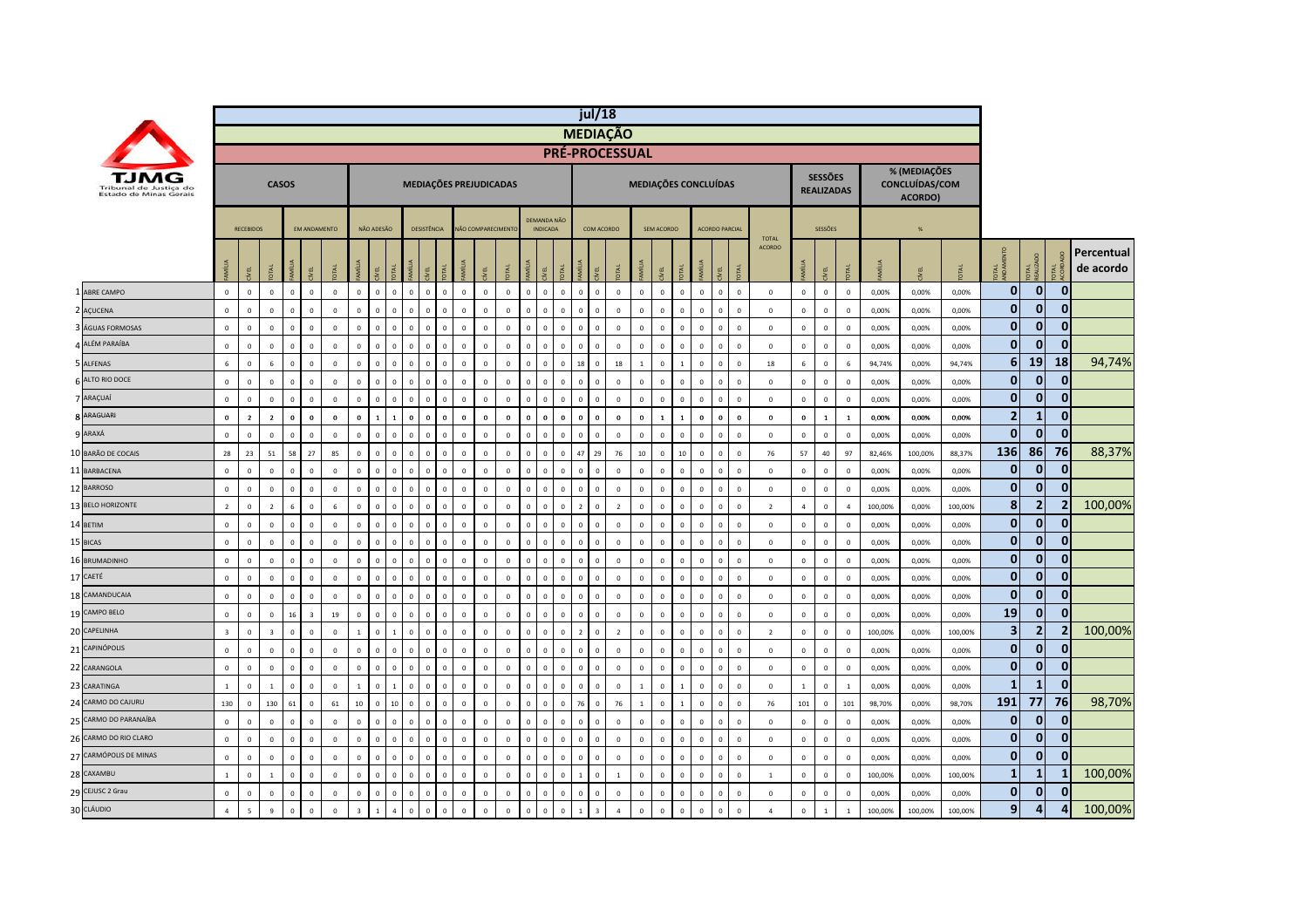|                          |                                                  |                         |                  |                |              |                         |              |                         |                |                |                               |                             |                        |                   |                |                |                                |                               | jul/18         |                       |                             |              |                |                |                               |                               |              |                |                                     |                |         |                                           |         |                         |                         |                         |                         |
|--------------------------|--------------------------------------------------|-------------------------|------------------|----------------|--------------|-------------------------|--------------|-------------------------|----------------|----------------|-------------------------------|-----------------------------|------------------------|-------------------|----------------|----------------|--------------------------------|-------------------------------|----------------|-----------------------|-----------------------------|--------------|----------------|----------------|-------------------------------|-------------------------------|--------------|----------------|-------------------------------------|----------------|---------|-------------------------------------------|---------|-------------------------|-------------------------|-------------------------|-------------------------|
|                          |                                                  |                         |                  |                |              |                         |              |                         |                |                |                               |                             |                        |                   |                |                |                                |                               |                | <b>MEDIAÇÃO</b>       |                             |              |                |                |                               |                               |              |                |                                     |                |         |                                           |         |                         |                         |                         |                         |
|                          |                                                  |                         |                  |                |              |                         |              |                         |                |                |                               |                             |                        |                   |                |                |                                |                               |                | <b>PRÉ-PROCESSUAL</b> |                             |              |                |                |                               |                               |              |                |                                     |                |         |                                           |         |                         |                         |                         |                         |
|                          | Tribunal de Justica do<br>Estado de Minas Gerais |                         |                  |                | <b>CASOS</b> |                         |              |                         |                |                |                               |                             | MEDIAÇÕES PREJUDICADAS |                   |                |                |                                |                               |                |                       | <b>MEDIAÇÕES CONCLUÍDAS</b> |              |                |                |                               |                               |              |                | <b>SESSÕES</b><br><b>REALIZADAS</b> |                |         | % (MEDIAÇÕES<br>CONCLUÍDAS/COM<br>ACORDO) |         |                         |                         |                         |                         |
|                          |                                                  |                         | <b>RECEBIDOS</b> |                |              | <b>FM ANDAMENTO</b>     |              |                         | NÃO ADESÃO     |                |                               | DESISTÊNCIA                 |                        | NÃO COMPARECIMENT |                |                | DEMANDA NÃO<br><b>INDICADA</b> |                               | COM ACORDO     |                       |                             | SEM ACORDO   |                |                | <b>ACORDO PARCIA</b>          |                               |              |                | SESSÕES                             |                |         | $\frac{9}{6}$                             |         |                         |                         |                         |                         |
|                          |                                                  |                         | 린                | <b>DTAL</b>    |              | ÆL                      |              | M  u                    |                |                | 린                             |                             |                        |                   |                |                | <b>TAL</b>                     | MÍLIA                         | ίE             |                       |                             | EL           |                | AMÍLIA         | ive L<br>E                    | <b>TOTAL</b><br><b>ACORDO</b> |              | Ĭ              | Ψ                                   | <b>OTAL</b>    | MÍLIA   |                                           |         | iTAL<br>JDAN            | <b>JTAL</b>             | $\vec{E}$               | Percentual<br>de acordo |
| 1 ABRE CAMPO             |                                                  | $\Omega$                | $\overline{0}$   | $\overline{0}$ | $\mathbf{0}$ | $\mathbf 0$             | $\mathbf{0}$ | $\mathbf{0}$            | $\overline{0}$ | $\mathbf{0}$   | $\Omega$<br>$\overline{0}$    | $\mathbf{0}$                | $\mathbf 0$            | $\mathbf{0}$      | $\mathbf{0}$   | $\overline{0}$ | $\mathbf{0}$                   | $\mathbf{0}$<br>$\mathbf{0}$  | $\mathbf{0}$   | $\mathbb O$           | $\mathbf 0$                 | $\Omega$     | $\mathbf{0}$   | $\overline{0}$ | $\mathbf 0$<br>$\mathbf{0}$   |                               | $\mathbf{0}$ | $\mathbf{0}$   | $\circ$                             | $\mathbf 0$    | 0,00%   | 0,00%                                     | 0,00%   | $\mathbf{0}$            | $\mathbf{0}$            | $\mathbf{0}$            |                         |
| $\mathcal{L}$<br>AÇUCENA |                                                  | $\mathsf 0$             | $\mathsf 0$      | $\mathsf 0$    | $\mathbf 0$  | $\mathbf 0$             | $\mathsf 0$  | $\Omega$                | $\mathbf{0}$   | $\mathbf 0$    | $\mathbf 0$                   | $\mathbb O$<br>$\mathbf 0$  | $\mathbf 0$            | $\mathbf 0$       | $\mathbb O$    | $\mathsf 0$    | $\mathsf 0$                    | $\mathbb O$<br>$\mathbf 0$    | $\mathbf 0$    | $\mathbf 0$           | $\mathbf 0$                 | $\mathbf 0$  | $\mathbf{0}$   | $\overline{0}$ | $\mathbf 0$<br>$\mathsf 0$    |                               | $\mathbf 0$  | $\mathbf 0$    | $\mathbb O$                         | $\mathbf 0$    | 0,00%   | 0,00%                                     | 0,00%   | $\mathbf{0}$            | 0                       | $\bf{0}$                |                         |
|                          | ÁGUAS FORMOSAS                                   | $\mathbf 0$             | $\mathbf 0$      | $\mathbf{0}$   | $\mathbf 0$  | $\mathbf 0$             | $\mathbf{0}$ | $\Omega$                | $\Omega$       | $\mathbf{0}$   | $\mathbf 0$<br>$\overline{0}$ | $\Omega$                    | $\mathbf 0$            | $\mathbf 0$       | $\mathbf 0$    | $\Omega$       | $\overline{0}$<br>$\Omega$     | $\overline{0}$                | $\mathbf 0$    | $\mathbf 0$           | $\mathbf 0$                 | $\mathbf 0$  | $\mathbf{0}$   | $\overline{0}$ | $\mathbf 0$<br>$\mathbf 0$    | $\mathbf{0}$                  |              | $\mathbf 0$    | $\mathbb O$                         | $\mathbf 0$    | 0,00%   | 0,00%                                     | 0,00%   | $\mathbf{0}$            | $\mathbf 0$             | $\mathbf{0}$            |                         |
| ALÉM PARAÍBA             |                                                  | $\mathsf 0$             | $\,$ 0           | $\overline{0}$ | $\mathbf 0$  | $\mathbf 0$             | $\mathbf 0$  | $\Omega$                | $\Omega$       | $\Omega$       | $\mathbf 0$                   | $\mathbb O$<br>$\Omega$     | $\mathbf 0$            | $\mathbf 0$       | $\overline{0}$ | $\Omega$       | $\Omega$                       | $\mathbf 0$<br>$\mathbf 0$    | $\mathbf 0$    | $\,0\,$               | $\mathbf 0$                 | $\mathbf 0$  | $\mathbf{0}$   | $\,$ 0         | $\mathbf 0$<br>$\Omega$       |                               | $\mathbf 0$  | $\mathbf 0$    | $\mathbb O$                         | $\mathbf 0$    | 0,00%   | 0,00%                                     | 0,00%   | $\overline{0}$          | $\mathbf 0$             | $\overline{0}$          |                         |
| 5 ALFENAS                |                                                  | $\,$ 6 $\,$             | $\,$ 0           | $6\phantom{1}$ | $\mathbf 0$  | $\mathbf 0$             | $\mathsf 0$  | $\circ$                 | $\mathbf 0$    | $\mathbf 0$    | $\mathbf{0}$<br>$\mathbf 0$   | $\mathbf{0}$                | $\mathbf 0$            | $\mathbf 0$       | $\mathbf 0$    | $\mathsf 0$    | $\mathbf{0}$                   | $\mathbb O$<br>18             | $\mathbf 0$    | 18                    | $\mathbf{1}$                | $\mathbf 0$  | $\overline{1}$ | $\overline{0}$ | $\mathbf 0$<br>$\circ$        |                               | 18           | $6\phantom{1}$ | $\mathbf 0$                         | 6              | 94,74%  | 0,00%                                     | 94,74%  | 6                       | 19                      | 18                      | 94,74%                  |
| ALTO RIO DOCE<br>6       |                                                  | $\mathbf 0$             | $\,$ 0           | $\mathbf 0$    | $\,0\,$      | $\mathbf 0$             | $\mathbf 0$  | $\Omega$                | $\mathbf{0}$   | $\mathbf 0$    | $\mathbf 0$                   | $\mathbb O$<br>$\circ$      | $\mathbf 0$            | $\mathbf 0$       | $\mathbb O$    | $\,0\,$        | $\mathbf 0$                    | $\mathbf 0$<br>$\mathbb O$    | $\mathbf 0$    | $\,0\,$               | $\mathbf 0$                 | $\mathbf{0}$ | $\mathbf 0$    | $\overline{0}$ | $\mathbf 0$<br>$\mathbb O$    |                               | $\mathbf 0$  | $\mathbf 0$    | $\,0\,$                             | $\mathbf 0$    | 0,00%   | 0,00%                                     | 0,00%   | $\mathbf{0}$            | $\mathbf{0}$            | $\mathbf{0}$            |                         |
| 7 ARAÇUAÍ                |                                                  | $\Omega$                | $\,$ 0           | $\mathbf 0$    | $\mathbf 0$  | $\mathbf 0$             | $\mathbf{0}$ | $\Omega$                | $\Omega$       | $\mathbf 0$    | $\mathbf 0$                   | $\mathbb O$<br>$\Omega$     | $\mathbf 0$            | $\mathbf{0}$      | $\Omega$       | $\Omega$       | $\overline{0}$<br>$\Omega$     | $\mathbf 0$                   | $\mathbf 0$    | $\mathbf 0$           | $\mathbf 0$                 | $\mathbf 0$  | $\mathbf{0}$   | $\overline{0}$ | $\mathbf 0$<br>$\circ$        |                               | $\mathbf 0$  | $\mathbf 0$    | $\circ$                             | $\mathbf 0$    | 0,00%   | 0,00%                                     | 0,00%   | $\overline{0}$          | $\mathbf{0}$            | $\mathbf{0}$            |                         |
| 8 ARAGUARI               |                                                  | $\pmb{0}$               | $\overline{2}$   | $\overline{2}$ | $\mathbf 0$  | $\mathbf 0$             | $\pmb{0}$    | $\Omega$                | $\mathbf{1}$   | $\mathbf{1}$   | $\bf{0}$<br>$\bf{0}$          | $\Omega$                    | $\mathbf 0$            | $\mathbf{0}$      | $\Omega$       | $\mathbf{0}$   | $\mathbf{0}$                   | $\mathbf 0$<br>$\mathbf{0}$   | $\bf{0}$       | $\mathbf 0$           | $\mathbf 0$                 | $\mathbf{1}$ | $\mathbf{1}$   | $\bf{0}$       | $\mathbf 0$<br>$\mathbf 0$    |                               | $\mathbf 0$  | $\mathbf 0$    | $\mathbf{1}$                        | $\mathbf{1}$   | 0,00%   | 0,00%                                     | 0,00%   | $\overline{2}$          | $\mathbf{1}$            | $\mathbf{0}$            |                         |
| 9 ARAXÁ                  |                                                  | $\mathbf{0}$            | $\,$ 0           | $\mathbf 0$    | $\mathbf 0$  | $\mathbf 0$             | $\Omega$     | $\Omega$                | $\Omega$       | $\Omega$       | $\Omega$                      | $\mathbf 0$<br>$\Omega$     | $\mathbf 0$            | $\mathbf 0$       | $\Omega$       | $\mathbf{0}$   | $\Omega$                       | $\mathbb O$<br>$\mathbf 0$    | $\Omega$       | $\mathbf 0$           | $\mathbf 0$                 | $\mathbf 0$  | $\mathbf{0}$   | $\overline{0}$ | $\mathbf 0$<br>$\Omega$       | $\mathbf{0}$                  |              | $\mathbf 0$    | $\mathbb O$                         | $\mathbf 0$    | 0,00%   | 0,00%                                     | 0,00%   | $\overline{0}$          | $\mathbf{0}$            | $\mathbf{0}$            |                         |
| 10 BARÃO DE COCAIS       |                                                  | 28                      | 23               | 51             | 58           | 27                      | 85           | $\Omega$                | $\mathbf{0}$   | $\mathbf 0$    | $\mathbf 0$                   | $\mathbb O$<br>$^{\circ}$   | $\mathbf 0$            | $\mathbf 0$       | $\overline{0}$ | $\mathbf 0$    | $\mathbf 0$                    | 47<br>$\mathbb O$             | 29             | ${\bf 76}$            | $10\,$                      | $\mathbf 0$  | $10\,$         | $\,$ 0         | $\mathbf 0$<br>$\overline{0}$ | 76                            |              | 57             | 40                                  | 97             | 82,46%  | 100,00%                                   | 88,37%  | 136                     | 86                      | 76                      | 88,37%                  |
| 11 BARBACENA             |                                                  | $\mathbf 0$             | $\,$ 0           | $\mathbf 0$    | $\mathbf 0$  | $\mathbf 0$             | $\mathbf{0}$ | $\mathbf 0$             | $\mathbf{0}$   | $\mathbf{0}$   | $\overline{0}$<br>$\mathbf 0$ |                             | $\mathbf 0$            | $\mathbf 0$       | $\mathbf 0$    | $\overline{0}$ | $\mathbf 0$                    | $\mathbb O$<br>$\overline{0}$ | $\mathbf 0$    | $\mathbf 0$           | $\mathbf 0$                 | $\pmb{0}$    | $\mathbf 0$    | $\overline{0}$ | $\mathbf 0$<br>$\mathbf 0$    |                               | $\mathbf 0$  | $\mathbf 0$    | $\mathbb O$                         | $\pmb{0}$      | 0,00%   | 0,00%                                     | 0,00%   | $\mathbf{0}$            | $\bf{0}$                | $\mathbf{0}$            |                         |
| 12 BARROSO               |                                                  | $\mathbf{0}$            | $\,$ 0           | $\,$ 0         | $\,$ 0 $\,$  | $\mathbf 0$             | $\mathbf{0}$ | $\Omega$                | $\overline{0}$ | $\mathbf{0}$   | $\Omega$<br>$\overline{0}$    | $\Omega$                    | $\mathbf 0$            | $\mathbf{0}$      | $\mathbf 0$    | $\mathbf{0}$   | $\Omega$                       | $\mathbb O$<br>$\mathbf{0}$   | $\Omega$       | $\mathbf 0$           | $\mathbf 0$                 | $\mathbf{0}$ | $\mathbf{0}$   | $\mathbf 0$    | $\mathbf 0$<br>$\mathbf 0$    |                               | $\mathbf{0}$ | $\mathbf 0$    | $\mathbf 0$                         | $\mathbb O$    | 0,00%   | 0,00%                                     | 0,00%   | $\overline{0}$          | $\mathbf{0}$            | $\mathbf{0}$            |                         |
| 13 BELO HORIZONTE        |                                                  | $\overline{2}$          | $\,$ 0           | $\overline{2}$ | 6            | $\mathbf 0$             | $\mathbf{6}$ | $\Omega$                | $\Omega$       | $\mathbf{0}$   | $\Omega$                      | $\mathbf 0$<br>$\Omega$     | $\mathbf 0$            | $\mathbf{0}$      | $\Omega$       | $\Omega$       | $\Omega$                       | $\mathbb O$<br>$\overline{2}$ | $\Omega$       | $\overline{2}$        | $\mathbf 0$                 | $\Omega$     | $\mathbf{0}$   | $\overline{0}$ | $\mathbf 0$<br>$\mathbf 0$    | $\overline{2}$                |              | $\overline{4}$ | $\mathbb O$                         | $\overline{4}$ | 100,00% | 0,00%                                     | 100,00% | 8                       | $\overline{2}$          | $\overline{\mathbf{z}}$ | 100,00%                 |
| 14 BETIM                 |                                                  | $\mathbf{0}$            | $\,0\,$          | $\mathbf{0}$   | $\mathbf{0}$ | $\mathbf 0$             | $\mathsf 0$  | $\Omega$                | $\Omega$       | $\mathbf{0}$   | $\Omega$                      | $\mathbf 0$<br>$\Omega$     | $\mathbf 0$            | $\mathbf 0$       | $\Omega$       | $\Omega$       | $\Omega$                       | $\mathbf 0$<br>$\mathbf 0$    | $\mathbf 0$    | $\mathbf 0$           | $\mathbf 0$                 | $\Omega$     | $\mathbf{0}$   | $\Omega$       | $\mathbf 0$<br>$\Omega$       |                               | $\mathbf{0}$ | $\mathbf 0$    | $\,0\,$                             | $\mathbf 0$    | 0,00%   | 0,00%                                     | 0,00%   | $\mathbf{0}$            | $\mathbf{0}$            | $\mathbf{0}$            |                         |
| 15 BICAS                 |                                                  | $\mathbf{0}$            | $\,$ 0           | $\mathbf 0$    | $\mathbf 0$  | $\mathbb O$             | $\mathsf 0$  | $^{\circ}$              | $\mathbf{0}$   | $\mathbf 0$    | $\mathbf 0$                   | $\mathbb O$<br>$\mathbf 0$  | $\mathbf 0$            | $\mathbf 0$       | $\overline{0}$ | $\overline{0}$ | $\Omega$                       | $\mathbb O$<br>$\mathbf 0$    | $\mathbf 0$    | $\,0\,$               | $\mathbf 0$                 | $\mathbf 0$  | $\mathbf 0$    | $\overline{0}$ | $\mathbf 0$<br>$\mathbf 0$    |                               | $\mathbf 0$  | $\mathbf 0$    | $\mathbb O$                         | $\mathbf 0$    | 0,00%   | 0,00%                                     | 0,00%   | $\mathbf{0}$            | $\mathbf{0}$            | $\mathbf{0}$            |                         |
| 16 BRUMADINHO            |                                                  | $\mathbf{0}$            | $\,$ 0           | $\mathbf 0$    | $\mathbf 0$  | $\mathbb O$             | $\mathsf 0$  | $\Omega$                | $\overline{0}$ | $\Omega$       | $\mathbf 0$<br>$\mathbf 0$    | $\Omega$                    | $\mathbf 0$            | $\mathbf 0$       | $\mathbf{0}$   | $\mathbf{0}$   | $\mathbf{0}$                   | $\mathbb O$<br>$\mathbf 0$    | $\mathbf{0}$   | $\mathbf 0$           | $\mathbf 0$                 | $\mathbf{0}$ | $\mathbf{0}$   | $\mathbf 0$    | $\mathbf 0$<br>$\Omega$       |                               | $\mathbf 0$  | $\mathbf 0$    | $\,0\,$                             | $\mathbf 0$    | 0,00%   | 0,00%                                     | 0,00%   | $\mathbf{0}$            | $\mathbf 0$             | $\overline{0}$          |                         |
| 17 CAETÉ                 |                                                  | $\mathbf 0$             | $\,$ 0           | $\mathbf 0$    | $\mathbf 0$  | $\mathbf 0$             | $\mathbf{0}$ | $\mathbf 0$             | $\mathbf{0}$   | $\mathbf 0$    | $\mathbf 0$                   | $\mathbb O$<br>$\mathbf 0$  | $\mathbf 0$            | $\mathbf 0$       | $\mathbf 0$    | $\mathsf 0$    | $\mathbf 0$                    | $\mathbb O$<br>$\mathbf 0$    | $\mathbf 0$    | $\mathbf{0}$          | $\mathbf 0$                 | $\mathbf 0$  | $\mathbf 0$    | $\mathbf 0$    | $\mathbf 0$<br>$\mathbb O$    | $\mathbf{0}$                  |              | $\mathbf 0$    | $\mathbb O$                         | $\mathbf 0$    | 0,00%   | 0,00%                                     | 0,00%   | $\mathbf{0}$            | $\bf{0}$                | $\mathbf{0}$            |                         |
| 18 CAMANDUCAIA           |                                                  | $\mathbf{0}$            | $\Omega$         | $\Omega$       | $\mathbf{0}$ | $\Omega$                | $\mathbf{0}$ | $\Omega$                | $\Omega$       | $\Omega$       | $\Omega$                      | $\mathbf 0$<br>$\Omega$     | $\mathbf 0$            | $\mathbf 0$       | $\Omega$       | $\Omega$       | $\mathbf{0}$<br>$\Omega$       | $\Omega$                      | $\Omega$       | $\Omega$              | $\Omega$                    | $\Omega$     | $\mathbf{0}$   | $\Omega$       | $\mathbf 0$<br>$\Omega$       |                               | $\mathbf{0}$ | $\mathbf{0}$   | $\mathbb O$                         | $\Omega$       | 0.00%   | 0.00%                                     | 0,00%   | $\mathbf{0}$            | $\mathbf{0}$            | $\Omega$                |                         |
| 19 CAMPO BELO            |                                                  | $\mathbf 0$             | $\,$ 0           | $\mathsf 0$    | 16           | $\overline{\mathbf{3}}$ | 19           | $\Omega$                | $\Omega$       | $\mathbf{0}$   | $\Omega$                      | $\mathbb O$<br>$\Omega$     | $\mathbf 0$            | $\mathbf 0$       | $\overline{0}$ | $\Omega$       | $\Omega$                       | $\mathbb O$<br>$\mathbf 0$    | $\Omega$       | $\mathbf 0$           | $\mathbf 0$                 | $\mathbf 0$  | $\Omega$       | $\overline{0}$ | $\mathbf 0$<br>$\Omega$       |                               | $\mathbf 0$  | $\mathbf 0$    | $\mathbb O$                         | $\mathbf 0$    | 0,00%   | 0,00%                                     | 0,00%   | 19                      | $\mathbf{0}$            | $\Omega$                |                         |
| 20 CAPELINHA             |                                                  | $\overline{\mathbf{3}}$ | $\,0\,$          | $\overline{3}$ | $\mathbf 0$  | $\mathbf{0}$            | $\mathbf{0}$ |                         | $\mathbf{0}$   | $\overline{1}$ | $\overline{0}$<br>$\Omega$    | $\Omega$                    | $\mathbf 0$            | $\mathbf 0$       | $\Omega$       | $\mathbf{0}$   | $\Omega$                       | $\mathbf 0$<br>$\overline{2}$ | $\Omega$       | $\overline{2}$        | $\mathbf 0$                 | $\Omega$     | $\mathbf{0}$   | $\Omega$       | $\mathbf{0}$<br>$\mathbf{0}$  | $\overline{z}$                |              | $\mathbf{0}$   | $\mathbf 0$                         | $\mathbf 0$    | 100,00% | 0,00%                                     | 100,00% | $\overline{\mathbf{3}}$ | $\overline{2}$          | $\mathbf{2}$            | 100,00%                 |
| 21 CAPINÓPOLIS           |                                                  | $\mathbf 0$             | $\,$ 0           | $\mathbf 0$    | $\mathbf 0$  | $\mathbf 0$             | $\mathbf{0}$ | $\Omega$                | $\mathbf 0$    | $\mathbf 0$    | $\mathbf 0$                   | $\mathbb O$<br>$\mathbf 0$  | $\mathbf 0$            | $\mathbf 0$       | $\mathbf 0$    | $\mathsf 0$    | $\mathbf 0$                    | $\mathbf 0$<br>$\mathbf 0$    | $\mathbf 0$    | $\mathbf 0$           | $\mathbf 0$                 | $\mathbf 0$  | $\mathbf 0$    | $\overline{0}$ | $\mathbf 0$<br>$\mathbf 0$    |                               | $\mathbf 0$  | $\mathbf 0$    | $\mathbf 0$                         | $\mathbf 0$    | 0,00%   | 0,00%                                     | 0,00%   | $\mathbf{0}$            | $\mathbf{0}$            | $\mathbf{0}$            |                         |
| 22 CARANGOLA             |                                                  | $\mathbf 0$             | $\,$ 0           | $\mathbf 0$    | $\,$ 0 $\,$  | $\mathbf 0$             | $\mathsf 0$  | $\mathbf 0$             | $\mathbf{0}$   | $\mathbf 0$    | $\mathbf 0$                   | $\mathbb O$<br>$\mathbb O$  | $\mathbf 0$            | $\mathbf 0$       | $\overline{0}$ | $\overline{0}$ | $\mathbf 0$                    | $\mathbf 0$<br>$\mathbb O$    | $\mathbf 0$    | $\mathbf 0$           | $\mathbf 0$                 | $\mathbf 0$  | $\mathbf 0$    | $\overline{0}$ | $\mathbf 0$<br>$\mathbf 0$    |                               | $\mathbf 0$  | $\mathbf 0$    | $\circ$                             | $\mathbf 0$    | 0,00%   | 0,00%                                     | 0,00%   | $\mathbf{0}$            | $\mathbf{0}$            | $\overline{0}$          |                         |
| 23 CARATINGA             |                                                  | $\overline{1}$          | $\mathbf 0$      | $\overline{1}$ | $\,$ 0 $\,$  | $\mathbf 0$             | $\mathsf 0$  |                         | $\Omega$       | $\overline{1}$ | $\mathbf 0$                   | $\mathbf{0}$<br>$\Omega$    | $\mathbf 0$            | $\mathbf 0$       | $\Omega$       | $\Omega$       | $\Omega$                       | $\mathbb O$<br>$\mathbf 0$    | $\mathbf 0$    | $\mathbb O$           | $\overline{1}$              | $\mathbf 0$  |                | $\overline{0}$ | $\mathbf 0$<br>$\mathbf{0}$   |                               | $\mathbf 0$  | $\overline{1}$ | $\mathbb O$                         | $\mathbf{1}$   | 0,00%   | 0,00%                                     | 0,00%   | $\mathbf{1}$            | $\mathbf{1}$            | $\Omega$                |                         |
| 24 CARMO DO CAJURU       |                                                  | 130                     | $\mathsf 0$      | 130            | 61           | $\mathbf{0}$            | 61           | 10 <sup>10</sup>        | $\overline{0}$ | 10             | $\overline{0}$<br>$\Omega$    | $\mathbf 0$                 | $\mathbf 0$            | $\mathbf 0$       | $\Omega$       | $\mathbf{0}$   | $\circ$                        | $\mathbf{0}$<br>76            | $\Omega$       | 76                    | $\overline{1}$              | $\Omega$     | $\overline{1}$ | $\Omega$       | $\mathbf{0}$<br>$\mathbf{0}$  | 76                            |              | 101            | $\circ$                             | 101            | 98,70%  | 0,00%                                     | 98,70%  | 191                     | 77                      | 76                      | 98,70%                  |
| 25                       | CARMO DO PARANAÍBA                               | $\mathbf 0$             | $\,$ 0           | $\mathbf 0$    | $\,0\,$      | $\mathbf 0$             | $\mathsf 0$  | $\Omega$                | $\mathbf{0}$   | $\mathbf 0$    | $\mathbf 0$                   | $\mathbb O$<br>$\Omega$     | $\mathbf 0$            | $\mathbf 0$       | $\mathbb O$    | $\mathsf 0$    | $\circ$                        | $\mathbf 0$<br>$\mathbf 0$    | $\mathbf 0$    | $\,0\,$               | $\mathbf 0$                 | $\mathbf 0$  | $\mathbf{0}$   | $\mathbf 0$    | $\mathbf 0$<br>$\mathbf 0$    |                               | $\mathbf 0$  | $\mathbf 0$    | $\mathbb O$                         | $\mathbf 0$    | 0,00%   | 0,00%                                     | 0,00%   | $\mathbf{0}$            | $\mathbf 0$             | $\mathbf 0$             |                         |
|                          | 26 CARMO DO RIO CLARO                            | $\mathbf 0$             | $\mathbf 0$      | $\mathbf 0$    | $\mathbf 0$  | $\mathbf 0$             | $\mathbf{0}$ | $\Omega$                | $\Omega$       | $\mathbf{0}$   | $\mathbf 0$                   | $\mathbb O$<br>$\mathbf 0$  | $\mathbf 0$            | $\mathbf 0$       | $\overline{0}$ | $\overline{0}$ | $\overline{0}$<br>$\Omega$     | $\overline{0}$                | $\mathbf 0$    | $\mathbf 0$           | $\mathbf 0$                 | $\mathbf 0$  | $\Omega$       | $\overline{0}$ | $\mathbf 0$<br>$\mathbf 0$    |                               | $\mathbf 0$  | $\mathbf 0$    | $\mathbb O$                         | $\mathbf 0$    | 0,00%   | 0,00%                                     | 0,00%   | $\mathbf{0}$            | $\mathbf 0$             | $\mathbf{0}$            |                         |
|                          | 27 CARMÓPOLIS DE MINAS                           | $\mathbf{0}$            | $\,$ 0           | $\,0\,$        | $\,$ 0 $\,$  | $\mathbf 0$             | $\,0\,$      | $\Omega$                | $\Omega$       | $\mathbf 0$    | $\mathbf 0$                   | $\mathbb O$<br>$\Omega$     | $\mathbf 0$            | $\mathbf 0$       | $\overline{0}$ | $\Omega$       | $\Omega$                       | $\mathbb O$<br>$\mathbf 0$    | $\mathbf 0$    | $\mathbf 0$           | $\mathbf 0$                 | $\pmb{0}$    | $\mathbf 0$    | $\overline{0}$ | $\mathbf 0$<br>$\mathbf 0$    |                               | $\mathbf 0$  | $\mathbf 0$    | $\mathbf 0$                         | $\mathbf 0$    | 0,00%   | 0,00%                                     | 0,00%   | $\overline{0}$          | $\mathbf{0}$            | $\mathbf{0}$            |                         |
| 28 CAXAMBU               |                                                  | $\mathbf{1}$            | $\,$ 0           | $\mathbf{1}$   | $\mathbf 0$  | $\mathbf 0$             | $\mathsf 0$  | $\circ$                 | $\mathbf 0$    | $\mathbf 0$    | $\mathbf 0$<br>$\mathbf 0$    | $\mathbf{0}$                | $\mathbf 0$            | $\mathbf 0$       | $\mathbf 0$    | $\mathsf 0$    | $\mathbf 0$                    | $\mathbb O$<br>$\mathbf{1}$   | $\mathbf 0$    | $\mathbf{1}$          | $\mathbf 0$                 | $\mathbf 0$  | $\mathbf 0$    | $\mathbf 0$    | $\mathbf 0$<br>$\circ$        | $\mathbf{1}$                  |              | $\mathbf 0$    | $\mathbb O$                         | $\mathbf 0$    | 100,00% | 0,00%                                     | 100,00% | $\mathbf{1}$            | -1                      | -1                      | 100,00%                 |
| 29 CEJUSC 2 Grau         |                                                  | $\mathbf 0$             | $\mathbf 0$      | $\mathbf 0$    | $\mathbf 0$  | $\mathbf 0$             | $\mathsf 0$  | $\Omega$                | $\mathbf 0$    | $\mathsf 0$    | $\mathbf 0$<br>$\mathbf 0$    | $\mathbf{0}$                | $\mathbf 0$            | $\mathbf 0$       | $\mathbb O$    | $\mathsf 0$    | $\circ$                        | $\mathbb O$<br>$\mathbb O$    | $\mathbf 0$    | $\,0\,$               | $\mathbf 0$                 | $\mathbf 0$  | $\mathbf{0}$   | $\overline{0}$ | $\mathbf 0$<br>$\mathbf 0$    |                               | $\mathbf 0$  | $\mathbf 0$    | $\,0\,$                             | $\mathbf 0$    | 0,00%   | 0,00%                                     | 0,00%   | $\mathbf{0}$            | $\mathbf{0}$            | $\mathbf{0}$            |                         |
| 30 CLÁUDIO               |                                                  | $\overline{4}$          | $\overline{5}$   | 9              | $\mathbf 0$  | $\mathbf 0$             | $\mathbf{0}$ | $\overline{\mathbf{3}}$ | $\overline{1}$ | $\overline{4}$ | $\mathbf{0}$                  | $\mathbf 0$<br>$\mathbf{0}$ | $\mathbf 0$            | $\mathbf 0$       | $\overline{0}$ | $\mathsf 0$    | $\mathbf 0$                    | $\mathbb O$<br>$\overline{1}$ | $\overline{3}$ | $\overline{4}$        | $\mathbf 0$                 | $\mathbf 0$  | $\mathbf 0$    | $\overline{0}$ | $\mathbf 0$<br>$\mathbf 0$    | $\overline{a}$                |              | $\mathbf 0$    | $\mathbf{1}$                        | $\mathbf{1}$   | 100,00% | 100,00%                                   | 100,00% | $\overline{9}$          | $\overline{\mathbf{r}}$ | 4                       | 100,00%                 |
|                          |                                                  |                         |                  |                |              |                         |              |                         |                |                |                               |                             |                        |                   |                |                |                                |                               |                |                       |                             |              |                |                |                               |                               |              |                |                                     |                |         |                                           |         |                         |                         |                         |                         |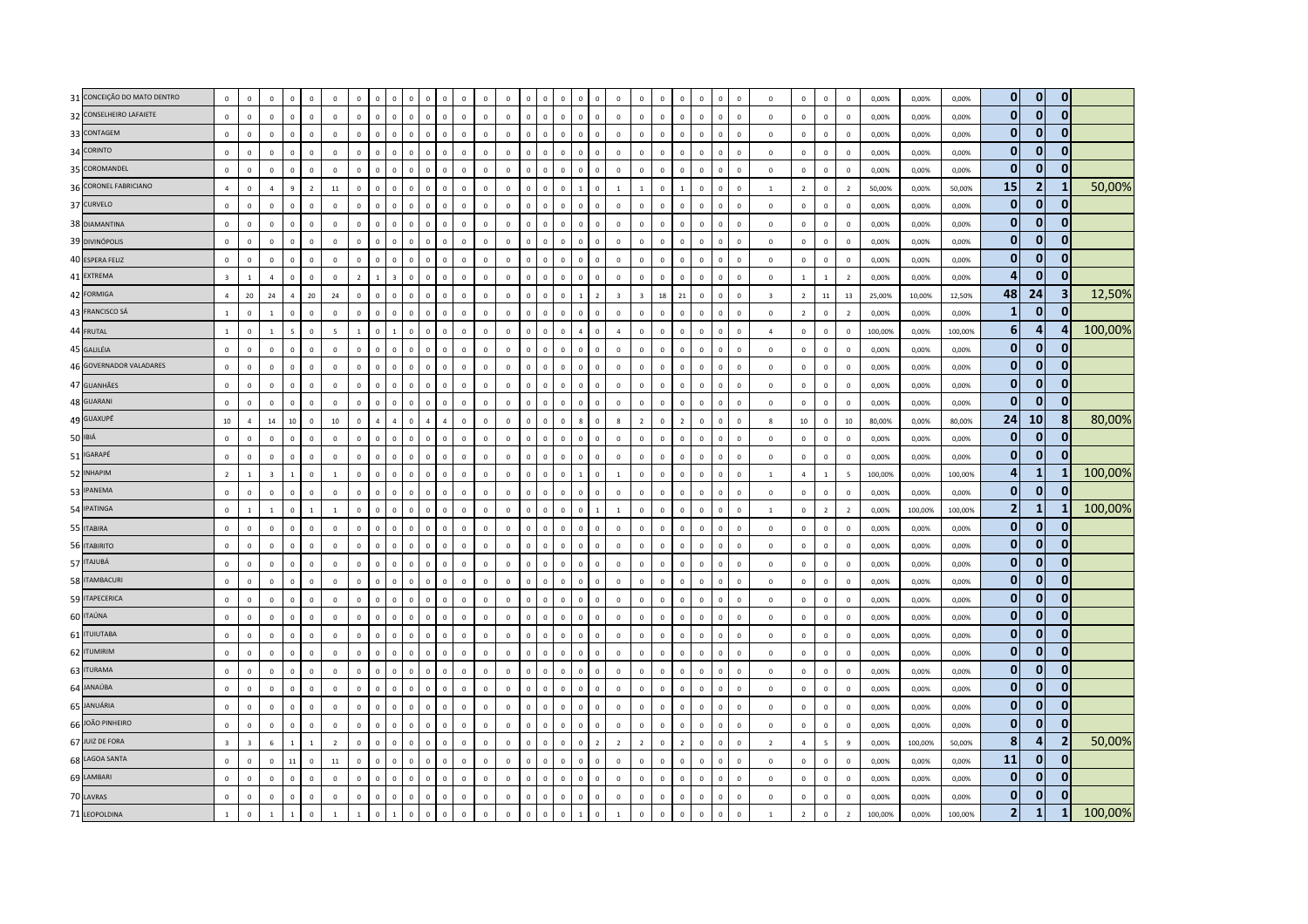| 31 CONCEIÇÃO DO MATO DENTRO | $\mathbf 0$    | $\overline{0}$          | $\mathbf 0$             | $\Omega$       | $\mathbf 0$    | $\overline{0}$ | $\mathbf 0$    |                |                | $\mathbf 0$  |                | $\overline{0}$                | $\mathbf 0$  | $\overline{0}$ | $\Omega$     | $\mathbf 0$  | $\Omega$       | $\mathbf 0$    | $\mathbf 0$    | $\overline{0}$ | $\mathbf 0$    | $\overline{0}$ | $\Omega$       | $\mathbf 0$    | $\mathbf 0$  |              | $\mathbf 0$             | $\mathbf 0$    | $\mathbf 0$    | $\overline{0}$  | 0,00%   | 0,00%   | 0,00%   | $\overline{0}$ | $\overline{0}$ | $\overline{0}$ |         |
|-----------------------------|----------------|-------------------------|-------------------------|----------------|----------------|----------------|----------------|----------------|----------------|--------------|----------------|-------------------------------|--------------|----------------|--------------|--------------|----------------|----------------|----------------|----------------|----------------|----------------|----------------|----------------|--------------|--------------|-------------------------|----------------|----------------|-----------------|---------|---------|---------|----------------|----------------|----------------|---------|
| 32 CONSELHEIRO LAFAIETE     | $\mathbf 0$    | $\overline{0}$          | $\mathbf 0$             | $\mathbf{0}$   | $\mathbb O$    | $\mathsf 0$    | $\mathbf 0$    | $\overline{0}$ | $\mathbf 0$    | $\mathbf 0$  | $\overline{0}$ | $\mathbf{0}$<br>$\mathbf 0$   | $\mathbf 0$  | $\mathbb O$    | $\mathbf 0$  | $\mathsf 0$  | $\mathbf 0$    | $\mathbf{0}$   | $\mathbf 0$    | $\mathbb O$    | $\circ$        | $\mathbf 0$    | $\mathbf 0$    | $\mathbf 0$    | $\mathbb O$  | $\mathbf 0$  | $\mathbf 0$             | $\mathbb O$    | $\mathbf 0$    | $\mathbb O$     | 0,00%   | 0,00%   | 0,00%   | $\mathbf{0}$   | $\mathbf{0}$   | $\bf{0}$       |         |
| 33 CONTAGEM                 | $\mathbf 0$    | $\mathsf 0$             | $\mathbf 0$             | $\Omega$       | $\Omega$       | $\mathsf 0$    | $\mathbf 0$    | $\Omega$       | $\Omega$       | $\Omega$     | $\Omega$       | $\mathbf 0$<br>$\Omega$       | $\mathbf 0$  | $\mathbb O$    | $\mathsf 0$  | $\Omega$     | $\Omega$       | $\Omega$       | $\mathbb O$    | $\mathbb O$    | $\mathbf 0$    | $\mathsf 0$    | $\Omega$       | $\Omega$       | $\mathbf 0$  | $\Omega$     | $\mathbf 0$             | $\mathbb O$    | $\circ$        | $\Omega$        | 0,00%   | 0,00%   | 0,00%   | $\mathbf{0}$   | $\bf{0}$       | 0              |         |
| 34 CORINTO                  | $\Omega$       | $\overline{\mathbf{0}}$ | $\overline{0}$          | $\mathbf 0$    | $\mathbf 0$    | $\overline{0}$ | $\mathbb O$    | $\Omega$       | $\mathbf{0}$   | $\mathbf{0}$ | $\Omega$       | $\circ$<br>$\Omega$           | $\mathbf{0}$ | $\overline{0}$ | $\circ$      | $\mathbf 0$  | $\mathbf 0$    | $\mathbf{0}$   | $\mathbf 0$    | $\mathbb O$    | $\circ$        | $\,0\,$        | $\mathbf{0}$   | $\mathbf 0$    | $\mathbf{0}$ | $\mathbb O$  | $\mathbf 0$             | $\mathbb O$    | $\mathbf 0$    | $\overline{0}$  | 0,00%   | 0,00%   | 0,00%   | $\mathbf{0}$   | $\mathbf 0$    | $\mathbf{0}$   |         |
| 35 COROMANDEL               | $\mathbf 0$    | $\mathsf 0$             | $\mathbf 0$             | $\mathbf 0$    | $\mathbb O$    | $\mathbf{0}$   | $\mathbb O$    | $\overline{0}$ | $\mathbf{0}$   | $\mathbf 0$  | $\overline{0}$ | $\mathbf{0}$<br>$\mathbf 0$   | $\mathbf 0$  | $\mathbb O$    | $\mathsf 0$  | $\mathsf 0$  | $\mathbf 0$    | $\mathbf 0$    | $\mathbb O$    | $\mathbb O$    | $\mathbf{0}$   | $\mathbf 0$    | $\mathbf 0$    | $\mathbf 0$    | $\mathbb O$  | $\mathbf{0}$ | $\mathbf 0$             | $\mathbb O$    | $\mathbf 0$    | $\mathbf 0$     | 0,00%   | 0,00%   | 0,00%   | $\mathbf 0$    | $\bf{0}$       | 0              |         |
| 36 CORONEL FABRICIANO       | $\Lambda$      | $\mathbf 0$             | $\overline{4}$          | $\overline{9}$ | $\overline{2}$ | $11\,$         | $\mathbf 0$    | $\overline{0}$ | $\mathbf 0$    | $\mathbf 0$  | $\mathbf 0$    | $\mathbf 0$<br>$\mathbf 0$    | $\mathbf 0$  | $\mathbb O$    | $\mathbf 0$  | $\mathbf 0$  | $\overline{0}$ | $\mathbf{1}$   | $\mathbb O$    | $\overline{1}$ |                | $\overline{0}$ | $\mathbf{1}$   | $\mathbf 0$    | $\mathbf 0$  | $\mathbf 0$  | $\mathbf{1}$            | $\overline{2}$ | $\,0\,$        | $\overline{2}$  | 50,00%  | 0,00%   | 50,00%  | 15             | $\overline{2}$ |                | 50,00%  |
| 37 CURVELO                  | $\mathbf{0}$   | $\Omega$                | $\mathbf{0}$            | $\mathbf 0$    | $\mathbf 0$    | $\Omega$       | $\mathbf 0$    | $\Omega$       | $\mathbf{0}$   | $\mathbf 0$  | $\Omega$       | $\circ$<br>$\mathbf{0}$       | $\mathbf{0}$ | $\overline{0}$ | $\circ$      | $\Omega$     | $\overline{0}$ | $\Omega$       | $\mathbf 0$    | $\mathbf 0$    | $\mathbf{0}$   | $\overline{0}$ | $\mathbf{0}$   | $\Omega$       | $\mathbf{0}$ | $\mathbf 0$  | $\Omega$                | $\mathbf 0$    | $\mathbf 0$    | $\overline{0}$  | 0.00%   | 0,00%   | 0.00%   | $\mathbf{0}$   | $\mathbf{0}$   | $\mathbf{0}$   |         |
| 38 DIAMANTINA               | $\mathbb O$    | $\mathsf 0$             | $\mathbf 0$             | $\circ$        | $\mathbb O$    | $\mathsf 0$    | $\mathbf 0$    | $\overline{0}$ | $\mathbf{0}$   | $\mathbf 0$  | $\Omega$       | $\mathbf{0}$<br>$\mathbf 0$   | $\mathbf 0$  | $\mathbb O$    | $\mathsf 0$  | $\mathbf 0$  | $\mathbf 0$    | $\mathbf 0$    | $\mathbb O$    | $\mathbb O$    | $\mathbf{0}$   | $\,0\,$        | $\Omega$       | $\mathbf 0$    | $\mathbf{0}$ | $\mathbf{0}$ | $\mathbf 0$             | $\mathbb O$    | $\mathbf 0$    | $\overline{0}$  | 0,00%   | 0,00%   | 0,00%   | $\mathbf{0}$   | $\mathbf{0}$   | $\bf{0}$       |         |
| 39 DIVINÓPOLIS              | $\mathbf{0}$   | $\overline{0}$          | $\mathbf 0$             | $\overline{0}$ | $\mathbf 0$    | $\mathbf 0$    | $\mathbf 0$    | $\Omega$       | $\mathbf 0$    | $\mathbf 0$  | $\Omega$       | $\mathbf 0$<br>$\mathbf 0$    | $\mathbf 0$  | $\mathbb O$    | $\mathbf 0$  | $\mathbf 0$  | $\overline{0}$ | $\mathbf 0$    | $\mathbb O$    | $\overline{0}$ | $\mathbf 0$    | $\overline{0}$ | $\mathbf{0}$   | $\mathbf 0$    | $\mathbf 0$  | $\mathbf 0$  | $\mathbf 0$             | $\mathbb O$    | $\mathbf 0$    | $\mathbf 0$     | 0,00%   | 0,00%   | 0,00%   | $\mathbf{0}$   | $\mathbf{0}$   | $\mathbf{0}$   |         |
| 40 ESPERA FELIZ             | $\mathbf{0}$   | $\mathbf 0$             | $\mathbf{0}$            | $\mathbf{0}$   | $\mathbb O$    | $\mathsf 0$    | $\mathbf 0$    | $\overline{0}$ | $\mathbf{0}$   | $\mathbf{0}$ | $\mathbf 0$    | $\circ$<br>$\mathbf 0$        | $\mathbf 0$  | $\mathbf 0$    | $\circ$      | $\mathsf 0$  | $\overline{0}$ | $\mathbf{0}$   | $\mathbb O$    | $\mathbf 0$    | $\mathbf{0}$   | $\mathbf 0$    | $\mathbf{0}$   | $\mathbf 0$    | $\mathbf{0}$ | $\mathbb O$  | $\mathbf 0$             | $\mathbb O$    | $\circ$        | $\overline{0}$  | 0,00%   | 0,00%   | 0,00%   | $\mathbf{0}$   | $\mathbf 0$    | $\mathbf{0}$   |         |
| 41 EXTREMA                  | $\overline{3}$ | $\overline{1}$          | $\overline{4}$          | $\Omega$       | $\Omega$       | $\Omega$       | $\overline{z}$ |                |                | $\Omega$     | $\Omega$       | $\Omega$<br>$\Omega$          | $\Omega$     | $\mathbf{0}$   | $\Omega$     | $\Omega$     | $\Omega$       | $\Omega$       | $\mathbf{0}$   | $\Omega$       | $\mathbf{0}$   | $\mathbf{0}$   | $\Omega$       | $\Omega$       | $\mathbf{0}$ | $\Omega$     | $\Omega$                | $\overline{1}$ | $\overline{1}$ | $\overline{2}$  | 0.00%   | 0.00%   | 0.00%   | Δ              | $\bf{0}$       | 0              |         |
| 42 FORMIGA                  | $\overline{4}$ | 20                      | 24                      | $\overline{a}$ | $20\,$         | 24             | $\mathbb O$    | $\Omega$       | $\Omega$       | $\mathbf 0$  | $\Omega$       | $\mathbf 0$<br>$\Omega$       | $\mathbf 0$  | $\,0\,$        | $\Omega$     | $\mathbf{0}$ | $\mathbf 0$    | $\mathbf{1}$   | $\overline{z}$ | $\overline{3}$ | $\overline{3}$ | $18\,$         | 21             | $\mathbf 0$    | $\mathbf 0$  | $\mathbf{0}$ | $\overline{\mathbf{3}}$ | $\overline{2}$ | ${\bf 11}$     | 13              | 25,00%  | 10,00%  | 12,50%  | 48             | 24             | 3              | 12,50%  |
| 43 FRANCISCO SÁ             | $\overline{1}$ | $\overline{0}$          | $\mathbf{1}$            | $\circ$        | $\mathbf 0$    | $\mathsf 0$    | $\mathbb O$    | $\overline{0}$ | $\Omega$       | $\mathbf 0$  | $\Omega$       | $\Omega$<br>$\mathbf 0$       | $\mathbf 0$  | $\mathbf 0$    | $\mathsf 0$  | $\mathsf 0$  | $\mathbf 0$    | $\mathbf{0}$   | $\mathbf 0$    | $\mathbb O$    | $\circ$        | $\,0\,$        | $\mathbf{0}$   | $\Omega$       | $\mathbf{0}$ | $\mathbf 0$  | $\mathbf 0$             | $\overline{2}$ | $\mathbf 0$    | $\overline{2}$  | 0,00%   | 0,00%   | 0,00%   | $\mathbf{1}$   | $\bf{0}$       | $\Omega$       |         |
| 44 FRUTAL                   | $\mathbf{1}$   | $\overline{0}$          | $\mathbf{1}$            | $\overline{5}$ | $\mathbf 0$    | $\overline{5}$ | $\mathbf{1}$   | $\Omega$       | $\mathbf{1}$   | $\mathbf 0$  | $\Omega$       | $\mathbf 0$<br>$\mathbf 0$    | $\mathbf 0$  | $\mathbf 0$    | $\mathbf{0}$ | $\mathbf 0$  | $\overline{0}$ | $\overline{4}$ | $\mathbb O$    | $\overline{4}$ | $\mathbf 0$    | $\overline{0}$ | $\Omega$       | $\mathbf 0$    | $\mathbf 0$  | $\Omega$     | $\overline{a}$          | $\mathbf 0$    | $\mathbf 0$    | $\circ$         | 100,00% | 0,00%   | 100,00% | $6\phantom{1}$ | $\overline{4}$ |                | 100,00% |
| 45 GALILÉIA                 | $\Omega$       | $\,0\,$                 | $\Omega$                | $\Omega$       | $\Omega$       | $\overline{0}$ | $\mathbb O$    | $\Omega$       | $\Omega$       | $\Omega$     | $\Omega$       | $\Omega$<br>$\mathbf 0$       | $\Omega$     | $\overline{0}$ | $\Omega$     | $\mathsf 0$  | $\mathbf 0$    | $\mathbf 0$    | $\mathbf 0$    | $\mathbb O$    | $\Omega$       | $\,0\,$        | $\Omega$       | $\mathbf 0$    | $\mathbb O$  | $\Omega$     | $\mathbf 0$             | $\mathbb O$    | $\mathbf 0$    | $\overline{0}$  | 0,00%   | 0,00%   | 0,00%   | $\mathbf{0}$   | $\mathbf 0$    | 0              |         |
| 46 GOVERNADOR VALADARES     | $\mathbf 0$    | $\mathbf 0$             | $\mathbf 0$             | $\circ$        | $\mathbb O$    | $\mathbf 0$    | $\mathbb O$    | $\overline{0}$ | $\mathbf{0}$   | $\mathsf 0$  | $\overline{0}$ | $\mathbf{0}$<br>$\mathbf 0$   | $\mathbf 0$  | $\mathbf 0$    | $\mathsf 0$  | $\mathsf 0$  | $\mathbf 0$    | $\mathbf 0$    | $\mathbf 0$    | $\mathbb O$    | $\mathbf 0$    | $\,0\,$        | $\mathbf 0$    | $\mathbf 0$    | $\circ$      | $\mathbb O$  | $\mathbf 0$             | $\mathbf 0$    | $\mathbf 0$    | $\mathbf 0$     | 0,00%   | 0,00%   | 0,00%   | $\mathbf 0$    | $\bf{0}$       | 0              |         |
| 47 GUANHÃES                 | $\mathbf 0$    | $\overline{0}$          | $\mathbf 0$             | $\Omega$       | $\mathbf 0$    | $\mathsf 0$    | $\mathbf 0$    | $\Omega$       | $\Omega$       | $\mathbf 0$  | $\Omega$       | $\Omega$<br>$\mathbf 0$       | $\mathbf 0$  | $\overline{0}$ | $\Omega$     | $\mathbf 0$  | $\overline{0}$ | $\mathbf 0$    | $\mathbb O$    | $\mathbf 0$    | $\mathbf 0$    | $\,0\,$        | $\Omega$       | $\overline{0}$ | $\mathbf 0$  | $\mathbf{0}$ | $\mathbf 0$             | $\mathbf 0$    | $\mathbf 0$    | $\overline{0}$  | 0,00%   | 0,00%   | 0,00%   | $\mathbf{0}$   | $\mathbf{0}$   | $\bf{0}$       |         |
| 48 GUARANI                  | $\Omega$       | $\overline{0}$          | $\mathsf 0$             | $\mathbf 0$    | $\mathbb O$    | $\overline{0}$ | $\mathbf{0}$   | $\,0\,$        | $\Omega$       | $\mathbf 0$  | $\Omega$       | $\mathbf{0}$<br>$\mathbf 0$   | $\mathbf 0$  | $\mathbb O$    | $\mathbf 0$  | $\mathbf{0}$ | $\mathbf 0$    | $\mathbf{0}$   | $\mathbb O$    | $\Omega$       | $\mathbf 0$    | $\,0\,$        | $\mathbf 0$    | $\mathbf 0$    | $\mathbf 0$  | $\mathbf 0$  | $\mathbf 0$             | $\mathbb O$    | $\mathbf 0$    | $\mathbf 0$     | 0,00%   | 0,00%   | 0,00%   | $\mathbf 0$    | $\mathbf 0$    | $\mathbf{0}$   |         |
| 49 GUAXUPÉ                  | $10\,$         | $\overline{4}$          | 14                      | 10             | $\mathbf 0$    | 10             | $\mathbf 0$    | $\overline{4}$ | $\overline{a}$ | $\mathbf 0$  | $\overline{4}$ | $\mathbf 0$<br>$\overline{a}$ | $\Omega$     | $\mathbf 0$    | $\Omega$     | $\mathbf 0$  | $\mathbf 0$    | 8              | $\mathbb O$    | $\mathbf{g}$   | $\overline{2}$ | $\mathbf 0$    | $\overline{2}$ | $\mathbf 0$    | $\circ$      | $\mathbf{0}$ | $\mathbf{g}$            | $10\,$         | $\mathbf 0$    | 10              | 80,00%  | 0,00%   | 80,00%  | 24             | 10             | 8              | 80,00%  |
| 50 IBIÁ                     | $\mathbf 0$    | $\overline{\mathbf{0}}$ | $\mathbf{0}$            | $\mathbf 0$    | $\mathbf 0$    | $\overline{0}$ | $\mathbb O$    | $\Omega$       | $\Omega$       | $\Omega$     | $\Omega$       | $\mathbf 0$<br>$\mathbf 0$    | $\mathbf 0$  | $\mathbb O$    | $\mathsf 0$  | $\mathbf{0}$ | $\mathbf 0$    | $\mathbf{0}$   | $\mathbb O$    | $\overline{0}$ | $\mathbf{0}$   | $\,$ 0         | $\Omega$       | $\overline{0}$ | $\mathbf{0}$ | $\mathbf 0$  | $\mathbf 0$             | $\mathbb O$    | $\mathbf 0$    | $\overline{0}$  | 0,00%   | 0,00%   | 0,00%   | $\mathbf{0}$   | $\mathbf{0}$   | $\mathbf{0}$   |         |
| 51 IGARAPÉ                  | $\mathbf 0$    | $\mathsf 0$             | $\mathbf 0$             | $\mathbf 0$    | $\mathbb O$    | $\mathsf 0$    | $\mathbb O$    | $\,$ 0         | $\mathbf{0}$   | $\mathbf 0$  | $\mathbb O$    | $\mathbf{0}$<br>$\mathbf 0$   | $\mathbf 0$  | $\mathbb O$    | $\mathsf 0$  | $\mathbf 0$  | $\mathbf 0$    | $\mathbf 0$    | $\mathbf 0$    | $\mathbb O$    | $\circ$        | $\mathbf 0$    | $\mathbf 0$    | $\mathbf 0$    | $\mathbb O$  | $\mathbb O$  | $\mathbf 0$             | $\mathbb O$    | $\mathbf 0$    | $\mathbf 0$     | 0,00%   | 0,00%   | 0,00%   | $\mathbf 0$    | $\mathbf 0$    | $\bf{0}$       |         |
| 52 INHAPIM                  | $\overline{2}$ | $\overline{1}$          | $\overline{\mathbf{3}}$ | $\overline{1}$ | $\mathbb O$    | $\overline{1}$ | $\mathbf 0$    | $\Omega$       | $\Omega$       | $\mathbf 0$  | $\Omega$       | $\mathbf 0$<br>$\Omega$       | $\mathbf 0$  | $\mathbb O$    | $\mathbf 0$  | $\mathbf 0$  | $\overline{0}$ | $\mathbf{1}$   | $\mathbb O$    | <sup>1</sup>   | $\mathbf{0}$   | $\,0\,$        | $\Omega$       | $\mathbf 0$    | $\mathbf 0$  | $\mathbf 0$  | $\mathbf{1}$            | $\overline{4}$ | $\mathbf{1}$   | $5\overline{5}$ | 100,00% | 0,00%   | 100,00% | $\overline{a}$ | $\mathbf{1}$   |                | 100,00% |
| 53 IPANEMA                  | $\Omega$       | $\Omega$                | $\Omega$                | $\Omega$       | $\Omega$       | $\Omega$       | $\Omega$       | $\Omega$       | $\Omega$       | $\Omega$     | $\Omega$       | $\Omega$                      | $\Omega$     | $\mathbf 0$    | $\Omega$     | $\Omega$     | $\Omega$       | $\Omega$       | $\Omega$       | $\Omega$       | $\mathbf 0$    | $\overline{0}$ | $\Omega$       | $\Omega$       | $\mathbf{0}$ | $\Omega$     | $\Omega$                | $\Omega$       | $\mathbf 0$    | $\Omega$        | 0,00%   | 0,00%   | 0,00%   | $\mathbf{0}$   | $\mathbf{0}$   | $\Omega$       |         |
| 54 IPATINGA                 | $\mathbf 0$    | $\overline{1}$          | $\mathbf{1}$            | $\mathbf{0}$   | $\overline{1}$ | $\overline{1}$ | $\mathbf 0$    | $\mathsf 0$    | $\mathbf{0}$   | $\circ$      | $\Omega$       | $\circ$<br>$\mathbf 0$        | $\Omega$     | $\mathbb O$    | $\mathbf{0}$ | $\mathbf 0$  | $\circ$        | $\mathbf{0}$   | $\mathbf{1}$   | $\overline{1}$ | $\overline{0}$ | $\,0\,$        | $\Omega$       | $\mathbf 0$    | $\mathbb O$  | $\mathbb O$  | -1                      | $\mathbb O$    | $\overline{2}$ | $\overline{2}$  | 0,00%   | 100,00% | 100,00% | $\overline{2}$ | $\mathbf{1}$   |                | 100,00% |
| 55 ITABIRA                  | $\mathbf 0$    | $\overline{0}$          | $\mathsf 0$             | $\overline{0}$ | $\mathbf 0$    | $\overline{0}$ | $\mathbf 0$    | $\overline{0}$ | $\mathbf 0$    | $\mathbf 0$  | $\mathbf 0$    | $\mathbf{0}$<br>$\mathbf 0$   | $\mathbf 0$  | $\mathbb O$    | $\mathsf 0$  | $\mathbf{0}$ | $\mathbf 0$    | $\mathbf{0}$   | $\mathbb O$    | $\mathbb O$    | $\mathbf{0}$   | $\overline{0}$ | $\mathbf{0}$   | $\mathbf 0$    | $\mathbf 0$  | $\mathbf 0$  | $\mathbf 0$             | $\overline{0}$ | $\mathbf 0$    | $\mathbf 0$     | 0,00%   | 0,00%   | 0,00%   | $\mathbf{0}$   | $\mathbf{0}$   |                |         |
| 56 ITABIRITO                | $\mathbf{0}$   | $\mathbf{0}$            | $\mathbf{0}$            | $\overline{0}$ | $\mathbf 0$    | $\Omega$       | $\mathbf{0}$   | $\overline{0}$ | $\circ$        | $\mathbf{0}$ | $\Omega$       | $\mathbf{0}$<br>$\mathbf{0}$  | $\mathbf{0}$ | $\mathbf 0$    | $\circ$      | $\circ$      | $\overline{0}$ | $\mathbf{0}$   | $\overline{0}$ | $\Omega$       | $\mathbf{0}$   | $\mathbf{0}$   | $\mathbf{0}$   | $\mathbf 0$    | $\mathbf{0}$ | $\mathbf 0$  | $\mathbf{0}$            | $\mathbf 0$    | $\circ$        | $\overline{0}$  | 0.00%   | 0.00%   | 0.00%   | $\mathbf{0}$   | $\bf{0}$       | 0              |         |
| 57 ITAJUBÁ                  | $\mathbf{0}$   | $\mathsf 0$             | $\Omega$                | $\Omega$       | $\Omega$       | $\Omega$       | $\Omega$       | $\Omega$       | $\Omega$       | $\mathbf 0$  | $\Omega$       | $\Omega$<br>$\Omega$          | $\Omega$     | $\mathbf 0$    | $\Omega$     | $\mathbf 0$  | $\mathbf 0$    | $\mathbf 0$    | $\mathbf 0$    | $\mathbf 0$    | $\mathbf{0}$   | $\mathsf 0$    | $\Omega$       | $\Omega$       | $\mathbf 0$  | $\Omega$     | $\Omega$                | $\mathbb O$    | $\mathbf 0$    | $\circ$         | 0,00%   | 0.00%   | 0,00%   | $\mathbf{0}$   | $\bf{0}$       | 0              |         |
| 58 ITAMBACURI               | $\mathbf 0$    | $\overline{0}$          | $\mathsf 0$             | $\Omega$       | $\mathbf 0$    | $\mathbf 0$    | $\mathbb O$    | $\Omega$       | $\Omega$       | $\mathbf 0$  | $\Omega$       | $\Omega$<br>$\mathbf 0$       | $\mathbf 0$  | $\,0\,$        | $\Omega$     | $\mathbf{0}$ | $\overline{0}$ | $\mathbf{0}$   | $\mathbb O$    | $\mathbb O$    | $\mathbb O$    | $\,$ 0         | $\mathbf{0}$   | $\mathbf 0$    | $\mathbf 0$  | $\mathbb O$  | $\mathbf 0$             | $\mathbb O$    | $\mathbf 0$    | $\overline{0}$  | 0,00%   | 0,00%   | 0,00%   | $\mathbf 0$    | $\bf{0}$       | $\overline{0}$ |         |
| 59 ITAPECERICA              | $\mathbf 0$    | $\overline{0}$          | $\mathbf 0$             | $\circ$        | $\mathbb O$    | $\,0\,$        | $\mathbb O$    | $\overline{0}$ | $\mathbf 0$    | $\mathbf 0$  | $\mathbb O$    | $\mathbf{0}$<br>$\mathbf 0$   | $\mathbf 0$  | $\mathbb O$    | $\mathsf 0$  | $\mathbf 0$  | $\,0\,$        | $\mathbf 0$    | $\mathbf 0$    | $\overline{0}$ | $\mathbf{0}$   | $\,$ 0         | $\mathbf 0$    | $\mathbf 0$    | $\mathbf 0$  | $\mathbf 0$  | $\mathbf 0$             | $\mathbb O$    | $\,0\,$        | $\mathbb O$     | 0,00%   | 0,00%   | 0,00%   | $\mathbf 0$    | $\mathbf 0$    | $\bf{0}$       |         |
| 60 ITAÚNA                   | $\Omega$       | $\mathbf{0}$            | $\mathbf{0}$            | $\Omega$       | $\Omega$       | $\mathbf{0}$   | $\mathbf{0}$   | $\Omega$       | $\Omega$       | $\Omega$     | $\Omega$       | $\Omega$<br>$\Omega$          | $\mathbf{0}$ | $\Omega$       | $\circ$      | $\Omega$     | $\Omega$       | $\Omega$       | $\mathbf 0$    | $\mathbf 0$    | $\mathbf{0}$   | $\mathbf{0}$   | $\Omega$       | $\Omega$       | $\mathbf{0}$ | $\Omega$     | $\Omega$                | $\Omega$       | $\overline{0}$ | $\Omega$        | 0.00%   | 0.00%   | 0.00%   | $\mathbf{0}$   | $\mathbf{0}$   | $\mathbf{0}$   |         |
| 61 <b>ITUIUTABA</b>         | $\mathbf 0$    | $\,$ 0                  | $\mathbf 0$             | $\mathbf 0$    | $\mathbb O$    | $\overline{0}$ | $\mathbb O$    | $\Omega$       | $\Omega$       | $\mathbf 0$  | $\Omega$       | $\Omega$<br>$\mathbf 0$       | $\Omega$     | $\mathbb O$    | $\mathsf 0$  | $\mathbf{0}$ | $\mathbf 0$    | $\mathbf{0}$   | $\mathbb O$    | $\mathbb O$    | $\mathbf 0$    | $\mathbf 0$    | $\Omega$       | $\mathbf 0$    | $\mathbb O$  | $\mathbb O$  | $\mathbf 0$             | $\mathbf 0$    | $\mathbf 0$    | $\overline{0}$  | 0,00%   | 0,00%   | 0,00%   | $\bf{0}$       | $\mathbf 0$    | $\overline{0}$ |         |
| 62 ITUMIRIM                 | $\mathbf 0$    | $\mathsf 0$             | $\mathbf 0$             | $\mathbf{0}$   | $\mathbb O$    | $\mathbf 0$    | $\mathbf 0$    | $\mathbf 0$    | $\mathbf{0}$   | $\mathbf 0$  | $\mathbf 0$    | $\mathbf{0}$<br>$\mathbf 0$   | $\mathbf 0$  | $\mathbf 0$    | $\mathsf 0$  | $\mathbf 0$  | $\mathbf 0$    | $\mathbf 0$    | $\mathbb O$    | $\mathbb O$    | $\mathbf 0$    | $\mathbf 0$    | $\mathbf 0$    | $\mathbf 0$    | $\circ$      | $\mathbb O$  | $\mathbf 0$             | $\mathbf 0$    | $\mathbf 0$    | $\overline{0}$  | 0,00%   | 0,00%   | 0,00%   | $\mathbf{0}$   | $\bf{0}$       | $\bf{0}$       |         |
| 63 ITURAMA                  | $\Omega$       | $\overline{0}$          | $\Omega$                | $\Omega$       | $\mathbf 0$    | $\mathbf{0}$   | $\Omega$       | $\Omega$       |                | $\Omega$     |                | $\mathbf 0$                   | $\Omega$     | $\mathbb O$    | $\Omega$     | $\Omega$     | $\Omega$       | $\mathbf 0$    | $\mathbf 0$    | $\mathbf 0$    | $\mathbf 0$    | $\overline{0}$ | $\Omega$       | $\mathbf 0$    | $\mathbf 0$  | $\Omega$     | $\Omega$                | $\mathbf 0$    | $\mathbf 0$    | $\mathbb O$     | 0,00%   | 0,00%   | 0,00%   | $\mathbf{0}$   | $\bf{0}$       | $\mathbf{0}$   |         |
| 64 JANAÚBA                  | $\Omega$       | $\Omega$                | $\Omega$                | $\Omega$       | $\Omega$       | $\Omega$       | $\Omega$       | $\Omega$       | $\Omega$       | $\Omega$     | $\Omega$       | $\Omega$<br>$\Omega$          | $\Omega$     | $\overline{0}$ | $\Omega$     | $\Omega$     | $\overline{0}$ | $\Omega$       | $\mathbf{0}$   | $\Omega$       | $\Omega$       | $\,0\,$        | $\mathbf{0}$   | $\Omega$       | $\mathbf{0}$ | $\Omega$     | $\Omega$                | $\Omega$       | $\mathbf 0$    | $\Omega$        | 0,00%   | 0,00%   | 0,00%   | $\mathbf 0$    | $\mathbf{0}$   | $\bf{0}$       |         |
| 65 JANUÁRIA                 | $\mathbf 0$    | $\mathsf 0$             | $\Omega$                | $\Omega$       | $\mathbf 0$    | $\mathsf 0$    | $\mathbf 0$    | $\overline{0}$ | $\mathbf{0}$   | $\mathbb O$  | $\Omega$       | $\mathbf{0}$<br>$\mathbf 0$   | $\Omega$     | $\overline{0}$ | $\mathsf 0$  | $\mathbf 0$  | $\mathbf 0$    | $\mathbf{0}$   | $\mathbb O$    | $\mathbb O$    | $\overline{0}$ | $\mathbf 0$    | $\Omega$       | $\mathbf 0$    | $\mathbb O$  | $\mathbf 0$  | $\Omega$                | $\mathbb O$    | $\,0\,$        | $\overline{0}$  | 0,00%   | 0,00%   | 0,00%   | $\mathbf{0}$   | $\mathbf 0$    | 0              |         |
| 66 JOÃO PINHEIRO            | $\mathbf 0$    | $\overline{\mathbf{0}}$ | $\mathsf 0$             | $\mathbf 0$    | $\mathbf 0$    | $\mathsf 0$    | $\mathbb O$    | $\sqrt{2}$     | $\mathbf{0}$   | $\Omega$     | $\Omega$       | $\circ$<br>$\mathbf 0$        | $\mathbf{0}$ | $\overline{0}$ | $\circ$      | $\mathsf 0$  | $\mathbf 0$    | $\mathbf 0$    | $\mathbf 0$    | $\mathbb O$    | $\mathbf{0}$   | $\,0\,$        | $\Omega$       | $\mathbf 0$    | $\mathbb O$  | $\mathbb O$  | $\mathbf 0$             | $\mathbb O$    | $\mathbf 0$    | $\overline{0}$  | 0,00%   | 0,00%   | 0,00%   | $\Omega$       | $\mathbf{0}$   | $\Omega$       |         |
| 67 JUIZ DE FORA             | $\overline{3}$ | $\overline{\mathbf{3}}$ | $6\phantom{1}$          | $\overline{1}$ | $\mathbf{1}$   | $\overline{2}$ | $\mathbf 0$    | $\,0\,$        | $\mathbf{0}$   | $\mathbf 0$  | $\mathbf{0}$   | $\circ$<br>$\mathbb O$        | $\mathbb O$  | $\mathbb O$    | $\mathbf 0$  | $\mathbf 0$  | $\mathbf 0$    | $\mathbf 0$    | $\overline{2}$ | $\overline{2}$ | $\overline{2}$ | $\mathbf 0$    | $\overline{2}$ | $\mathbf 0$    | $\circ$      | $\mathbb O$  | $\overline{2}$          | $\overline{4}$ | 5              | $\,$ 9          | 0,00%   | 100,00% | 50,00%  | 8              | $\overline{a}$ | 2              | 50,00%  |
| 68 LAGOA SANTA              | $\Omega$       | $\mathsf 0$             | $\Omega$                | $11\,$         | $\Omega$       | $11\,$         | $\mathbf 0$    | $\Omega$       | $\Omega$       | $\mathbf 0$  | $\Omega$       | $\Omega$<br>$\Omega$          | $\Omega$     | $\mathbb O$    | $\Omega$     | $\Omega$     | $\mathbf{0}$   | $\mathbf{0}$   | $\mathbb O$    | $\mathbb O$    | $\circ$        | $\mathbf{0}$   | $\Omega$       | $\mathbf 0$    | $\mathbf{0}$ | $\Omega$     | $\Omega$                | $\mathbb O$    | $\mathbf 0$    | $\Omega$        | 0,00%   | 0.00%   | 0,00%   | 11             | $\mathbf 0$    | O              |         |
| 69 LAMBARI                  | $\Omega$       | $\overline{0}$          | $\Omega$                | $\Omega$       | $\Omega$       | $\overline{0}$ | $\mathbf 0$    | $\Omega$       | $\Omega$       | $\Omega$     | $\Omega$       | $\Omega$<br>$\Omega$          | $\Omega$     | $\mathbb O$    | $\Omega$     | $\Omega$     | $\Omega$       | $\Omega$       | $\mathbf 0$    | $\Omega$       | $\mathbf 0$    | $\,0\,$        | $\Omega$       | $\overline{0}$ | $\mathbf{0}$ | $\mathbf 0$  | $\Omega$                | $\mathbb O$    | $\mathbf 0$    | $\overline{0}$  | 0,00%   | 0.00%   | 0,00%   | $\mathbf{0}$   | $\bf{0}$       | 0              |         |
| 70 LAVRAS                   | $\mathbf 0$    | $\mathbf 0$             | $\mathbf 0$             | $\circ$        | $\mathbf 0$    | $\mathsf 0$    | $\mathbf 0$    | $\overline{0}$ | $\mathbf{0}$   | $\mathbf 0$  | $\circ$        | $\circ$<br>$\mathbf 0$        | $\mathbf 0$  | $\mathbf 0$    | $\circ$      | $\mathbf 0$  | $\mathbf 0$    | $\mathbf{0}$   | $\mathbf 0$    | $\mathbf 0$    | $\mathbf{0}$   | $\,0\,$        | $\mathbf{0}$   | $\mathbf 0$    | $\mathbf 0$  | $\mathbf 0$  | $\mathbf 0$             | $\mathbb O$    | $\mathbf 0$    | $\overline{0}$  | 0,00%   | 0,00%   | 0,00%   | $\mathbf{0}$   | $\mathbf{0}$   | $\bf{0}$       |         |
| 71 LEOPOLDINA               | $1\,$          | $\mathsf 0$             | $\mathbf{1}$            |                | $\Omega$       | $\mathbf{1}$   |                |                |                | $\Omega$     |                | $\Omega$                      | $\Omega$     | $\mathbf 0$    |              | $\Omega$     | $\Omega$       | $\mathbf{1}$   |                |                |                | $\Omega$       |                | $\Omega$       | $\Omega$     |              | $\mathbf{1}$            | $\overline{2}$ | $\mathbf 0$    | $\overline{2}$  | 100,00% | 0,00%   | 100,00% | $\overline{2}$ | $\mathbf{1}$   | 1              | 100,00% |
|                             |                |                         |                         |                |                |                |                |                |                |              |                |                               |              |                |              |              |                |                |                |                |                |                |                |                |              |              |                         |                |                |                 |         |         |         |                |                |                |         |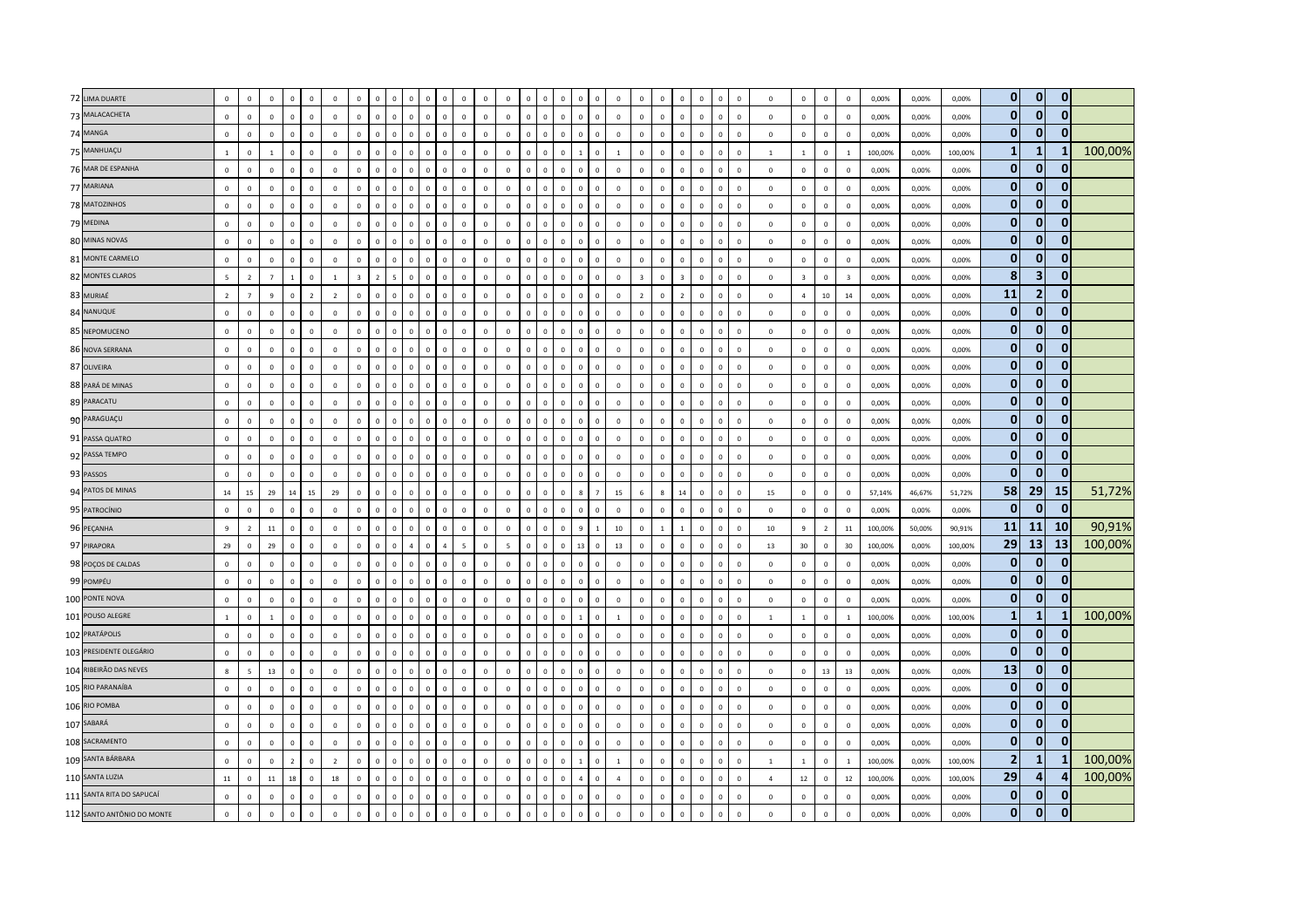| 72 LIMA DUARTE             | $\mathsf 0$    | $\mathsf 0$    | $\mathbf 0$    | $\Omega$       | $\overline{0}$ | $\mathbf 0$    | $\mathbf 0$  |                |              |                |              |                |                |              | $\overline{0}$ |              | $\mathbf 0$  | $\Omega$                 | $\mathbf 0$                   | $\mathbf 0$    | $\mathbf 0$    | $\overline{0}$ |                | $\mathbf 0$  | $\Omega$     | $\mathbf 0$    | $\mathbf 0$    | $\mathbb O$             | $\mathbf 0$    | $\overline{0}$          | 0,00%   | 0,00%  | 0,00%   | $\overline{0}$ | $\overline{0}$          | $\overline{0}$ |         |
|----------------------------|----------------|----------------|----------------|----------------|----------------|----------------|--------------|----------------|--------------|----------------|--------------|----------------|----------------|--------------|----------------|--------------|--------------|--------------------------|-------------------------------|----------------|----------------|----------------|----------------|--------------|--------------|----------------|----------------|-------------------------|----------------|-------------------------|---------|--------|---------|----------------|-------------------------|----------------|---------|
| 73 MALACACHETA             | $\mathbf 0$    | $\mathsf 0$    | $\mathbf 0$    | $\mathbf 0$    | $\mathbf 0$    | $\mathsf 0$    | $\mathbf 0$  | $\mathbf{0}$   | $\mathbf 0$  | $\overline{0}$ | $\Omega$     | $\Omega$       | $\mathbb O$    | $\mathbf 0$  | $\mathbf 0$    | $\mathbf{0}$ | $\mathsf 0$  | $\mathbf{0}$             | $\mathbf{0}$<br>$\mathbf 0$   | $\mathbf 0$    | $\mathbf 0$    | $\circ$        | $\mathsf 0$    | $\mathbf 0$  | $\mathbf{0}$ | $\mathbf 0$    | $\mathbf 0$    | $\mathbb O$             | $\mathbf 0$    | $\mathbf 0$             | 0,00%   | 0,00%  | 0,00%   | $\mathbf{0}$   | $\mathbf{0}$            | $\Omega$       |         |
| 74 MANGA                   | $\mathsf 0$    | $\mathbf 0$    | $\mathbf 0$    | $\Omega$       | $\mathbb O$    | $\mathbf 0$    | $\circ$      | $\Omega$       | $\Omega$     | $\Omega$       | $\Omega$     | n              | $\mathbf 0$    | $\Omega$     | $\mathbb O$    | $\Omega$     | $\mathsf 0$  | $\Omega$                 | $\mathbf 0$<br>$\Omega$       | $\mathbf 0$    | $\mathbf{0}$   | $\mathsf 0$    | $\Omega$       | $\Omega$     | $\Omega$     | $\Omega$       | $\mathbf 0$    | $\mathbb O$             | $\overline{0}$ | $\Omega$                | 0,00%   | 0,00%  | 0,00%   | $\mathbf{0}$   | $\mathbf{0}$            |                |         |
| 75 MANHUAÇU                | $\overline{1}$ | $\mathbf 0$    | $\overline{1}$ | $\Omega$       | $\mathbf 0$    | $\mathbf 0$    | $\circ$      | $\mathbf{0}$   | $\mathbf{0}$ | $\overline{0}$ | $\Omega$     | $\mathbf{0}$   | $\circ$        | $\mathbf{0}$ | $\mathbf 0$    | $\Omega$     | $\mathsf 0$  | $\Omega$                 | $\mathbf{1}$<br>$\Omega$      | $\overline{1}$ | $\Omega$       | $\overline{0}$ | $\mathbf 0$    | $\mathbf 0$  | $\mathbf{0}$ | $\mathbf 0$    | $\mathbf{1}$   | $\mathbf{1}$            | $\mathbf 0$    | $\overline{1}$          | 100,00% | 0,00%  | 100,00% | $\mathbf{1}$   | $\mathbf{1}$            |                | 100,00% |
| 76 MAR DE ESPANHA          | $\mathbf 0$    | $\mathsf 0$    | $\mathbf 0$    | $\mathbf 0$    | $\mathbb O$    | $\mathbf 0$    | $\mathbf 0$  | $\circ$        | $\mathbf 0$  | $\mathbb O$    | $\mathbf 0$  | $\mathbf 0$    | $\mathbf 0$    | $\mathbf 0$  | $\mathbf 0$    | $\mathbf{0}$ | $\mathsf 0$  | $\mathbf{0}$             | $\mathbf{0}$<br>$\mathbf 0$   | $\mathbf 0$    | $\mathbf 0$    | $\circ$        | $\mathsf 0$    | $\mathbf 0$  | $\mathbf{0}$ | $\mathbf 0$    | $\mathbf 0$    | $\mathbf 0$             | $\mathbf 0$    | $\mathbb O$             | 0,00%   | 0,00%  | 0,00%   | $\overline{0}$ | $\mathbf{0}$            | 0              |         |
| 77 MARIANA                 | $\mathbf{0}$   | $\mathsf 0$    | $\mathbf 0$    | $\mathbf 0$    | $\mathbb O$    | $\mathbf 0$    | $\mathbf 0$  | $\overline{0}$ | $\mathbf 0$  | $\overline{0}$ |              | $\overline{0}$ | $\mathbf 0$    | $\mathbf 0$  | $\mathbb O$    |              | $\mathbf 0$  | $\overline{0}$           | $\mathbf 0$<br>$\mathbf 0$    | $\mathbf 0$    | $\mathbf 0$    | $\mathbf{0}$   | $\mathbf 0$    | $\mathbf 0$  | $\mathbf 0$  | $\mathbf 0$    | $\mathbf 0$    | $\mathbf 0$             | $\mathbb O$    | $\mathbf 0$             | 0,00%   | 0,00%  | 0,00%   | $\mathbf{0}$   | $\mathbf{0}$            | $\Omega$       |         |
| 78 MATOZINHOS              | $\overline{0}$ | $\mathbf{0}$   | $\mathbf{0}$   | $\mathbf{0}$   | $\mathbf 0$    | $\mathbf{0}$   | $\mathbf{0}$ | $\mathbf{0}$   | $\mathbf{0}$ | $\Omega$       | $\Omega$     | $\Omega$       | $\mathbf 0$    | $\Omega$     | $\mathbf 0$    | $\Omega$     | $\mathbf{0}$ | $\circ$                  | $\mathbf{0}$<br>$\mathbf{0}$  | $\mathbf{0}$   | $\mathbf{0}$   | $\overline{0}$ | $\Omega$       | $\Omega$     | $\mathbf{0}$ | $\Omega$       | $\Omega$       | $\mathbf 0$             | $\mathbf 0$    | $\Omega$                | 0,00%   | 0,00%  | 0,00%   | $\mathbf{0}$   | $\mathbf{0}$            | $\mathbf{0}$   |         |
| 79 MEDINA                  | $\mathsf 0$    | $\mathbf 0$    | $\Omega$       | $\Omega$       | $\mathbf 0$    | $\mathbf 0$    | $\circ$      | $\Omega$       | $\mathbf{0}$ | $\overline{0}$ | $\Omega$     | $\Omega$       | $\Omega$       | $\mathbf 0$  | $\,0\,$        | $\mathbf{0}$ | $\mathsf 0$  | $\mathbf{0}$             | $\mathbf 0$<br>$\mathbf 0$    | $\mathbf 0$    | $\Omega$       | $\mathbf 0$    | $\mathsf 0$    | $\mathbf 0$  | $\mathbf{0}$ | $\mathbf 0$    | $\mathbf{0}$   | $\mathbf 0$             | $\circ$        | $\,0\,$                 | 0,00%   | 0,00%  | 0,00%   | $\mathbf{0}$   | $\mathbf{0}$            | $\mathbf{0}$   |         |
| 80 MINAS NOVAS             | $\mathbf{0}$   | $\mathsf 0$    | $\mathbf 0$    | $\mathbf 0$    | $\mathbb O$    | $\mathbf 0$    | $\mathbf 0$  | $\overline{0}$ | $\mathbf 0$  | $\overline{0}$ |              |                | $\mathbf 0$    | $\mathbf 0$  | $\mathbb O$    |              | $\mathbf 0$  | $\mathbf 0$              | $\mathbf 0$<br>$\mathbf 0$    | $\mathbf 0$    | $\mathbf 0$    | $\mathbf{0}$   | $\overline{0}$ | $\mathbf 0$  | $\mathbf 0$  | $\overline{0}$ | $\mathbf 0$    | $\mathbb O$             | $\mathbf 0$    | $\,0\,$                 | 0,00%   | 0,00%  | 0,00%   | $\overline{0}$ | $\mathbf{0}$            | $\overline{0}$ |         |
| 81 MONTE CARMELO           | $\Omega$       | $\mathbf{0}$   | $\mathbf{0}$   | $\mathbf{0}$   | $\mathbb O$    | $\mathbf 0$    | $\mathbf{0}$ | $\mathbf{0}$   | $\mathbf{0}$ | $\mathbf 0$    | $\Omega$     | $\Omega$       | $\circ$        | $\mathbf{0}$ | $\mathbb O$    | $\Omega$     | $\mathbf 0$  | $\mathbf{0}$             | $\mathbf 0$<br>$\mathbf{0}$   | $\mathbf 0$    | $\mathbf 0$    | $\overline{0}$ | $\mathbf 0$    | $\mathbf 0$  | $\mathbf{0}$ | $\mathbf 0$    | $\mathbf 0$    | $\mathbb O$             | $\overline{0}$ | $\overline{0}$          | 0,00%   | 0,00%  | 0,00%   | $\overline{0}$ | $\mathbf{0}$            | $\Omega$       |         |
| 82 MONTES CLAROS           | $\overline{5}$ | $\overline{z}$ | $\overline{7}$ | $\overline{1}$ | $\mathbb O$    | $\mathbf{1}$   | $\mathbf{R}$ | $\overline{z}$ | 5            | $\Omega$       | $\Omega$     | O              | $\Omega$       | $\Omega$     | $\mathbf 0$    |              | $\Omega$     | $\Omega$                 | $\mathbf 0$<br>$\Omega$       | $\mathbf 0$    | $\overline{3}$ | $\Omega$       | $\mathbf{R}$   | $\Omega$     | $\Omega$     | $\Omega$       | $\Omega$       | $\overline{\mathbf{3}}$ | $\mathbf 0$    | $\overline{\mathbf{3}}$ | 0,00%   | 0,00%  | 0,00%   | 8              | $\overline{\mathbf{3}}$ | 0              |         |
| 83 MURIAÉ                  | $\overline{2}$ | $\overline{7}$ | $\mathbf{q}$   | $\Omega$       | $\overline{2}$ | $\overline{2}$ | $\mathbb O$  | $\Omega$       | $\Omega$     | $\Omega$       | $\Omega$     | $\Omega$       | $\mathbb O$    | $\Omega$     | $\mathbf 0$    |              | $\mathsf 0$  | $\mathbf 0$              | $\mathbf 0$<br>$\Omega$       | $\mathbf 0$    | $\overline{z}$ | $\,0\,$        | $\overline{z}$ | $\mathbf 0$  | $\Omega$     | $\overline{0}$ | $\mathbf 0$    | $\overline{4}$          | $10\,$         | 14                      | 0,00%   | 0,00%  | 0,00%   | 11             | $\overline{2}$          | $\mathbf{0}$   |         |
| 84 NANUQUE                 | $\mathsf 0$    | $\mathsf 0$    | $\mathbf{0}$   | $\Omega$       | $\mathbb O$    | $\mathbf 0$    | $\Omega$     | $\Omega$       | $\Omega$     | $\Omega$       | $\Omega$     | $\Omega$       | $\Omega$       | $\Omega$     | $\mathbf 0$    | $\Omega$     | $\mathsf 0$  | $\mathbf{0}$             | $\mathbf 0$<br>$\Omega$       | $\mathbf 0$    | $\circ$        | $\mathbf 0$    | $\Omega$       | $\Omega$     | $\Omega$     | $\mathbf 0$    | $\mathbf 0$    | $\mathbb O$             | $\circ$        | $\mathbf 0$             | 0,00%   | 0,00%  | 0,00%   | $\mathbf{0}$   | $\mathbf{0}$            | $\mathbf{0}$   |         |
| 85 NEPOMUCENO              | $\mathbf 0$    | $\mathsf 0$    | $\mathbf{0}$   | $\Omega$       | $\mathbb O$    | $\mathbf 0$    | $\mathbf 0$  | $\Omega$       | $\mathbf 0$  | $\Omega$       | $\Omega$     | $\Omega$       | $\mathbf 0$    | $\mathbf{0}$ | $\mathbf 0$    | $\Omega$     | $\mathbf 0$  | $\circ$                  | $\mathbf 0$<br>$\Omega$       | $\,$ 0 $\,$    | $\circ$        | $\mathbf 0$    | $\Omega$       | $\mathbf 0$  | $\Omega$     | $\overline{0}$ | $\mathbf 0$    | $\mathbb O$             | $\mathbf 0$    | $\mathbf 0$             | 0,00%   | 0,00%  | 0,00%   | $\overline{0}$ | $\overline{0}$          | $\mathbf{0}$   |         |
| 86 NOVA SERRANA            | $\mathsf 0$    | $\Omega$       | $\Omega$       | $\Omega$       | $\mathbf 0$    | $\overline{0}$ | $\mathbf 0$  | $\mathbf{0}$   | $\mathbf{0}$ | $\mathbf{0}$   | $\Omega$     | $\Omega$       | $\Omega$       | $\Omega$     | $\mathbf 0$    | $\Omega$     | $\mathbf{0}$ | $\Omega$                 | $\mathbf{0}$<br>$\Omega$      | $\,$ 0 $\,$    | $\Omega$       | $\Omega$       | $\Omega$       | $\mathbf{0}$ | $\mathbf{0}$ | $\mathbf 0$    | $\mathbf 0$    | $\mathbb O$             | $\mathbf 0$    | $\mathbf 0$             | 0,00%   | 0,00%  | 0,00%   | $\mathbf{0}$   | $\mathbf{0}$            | $\overline{0}$ |         |
| 87 OLIVEIRA                | $\mathsf 0$    | $\mathsf 0$    | $\mathbf 0$    | $\circ$        | $\mathbf 0$    | $\mathbf 0$    | $\circ$      | $\mathbf 0$    | $\mathbf 0$  | $\mathbb O$    | $\mathbf 0$  | $\mathbf 0$    | $\mathbf 0$    | $\mathbf 0$  | $\mathbf 0$    | $\Omega$     | $\mathbf 0$  | $\mathbf{0}$             | $\mathbf 0$<br>$\mathbf 0$    | $\mathbb O$    | $\mathbf 0$    | $\overline{0}$ | $\mathsf 0$    | $\mathbf 0$  | $\mathbf 0$  | $\mathbf 0$    | $\mathbf 0$    | $\mathbf 0$             | $\circ$        | $\mathbf 0$             | 0,00%   | 0,00%  | 0,00%   | $\mathbf{0}$   | $\mathbf{0}$            | $\mathbf{0}$   |         |
| 88 PARÁ DE MINAS           | $\mathbf 0$    | $\mathbf 0$    | $\mathbf{0}$   | $\Omega$       | $\mathbb O$    | $\mathbf 0$    | $\mathbb O$  | $\Omega$       | $\Omega$     | $\Omega$       | $\Omega$     | $\Omega$       | $\mathbf 0$    | $\Omega$     | $\mathbf 0$    |              | $\mathsf 0$  | $\overline{0}$           | $\mathbf 0$<br>$\Omega$       | $\mathbf 0$    | $\mathbf 0$    | $\mathbf 0$    | $\overline{0}$ | $\mathbf 0$  | $\Omega$     | $\mathsf 0$    | $\mathbf 0$    | $\mathbb O$             | $\mathbf 0$    | $\mathbf 0$             | 0,00%   | 0,00%  | 0,00%   | $\mathbf{0}$   | $\mathbf{0}$            | $\mathbf{0}$   |         |
| 89 PARACATU                | $\mathbf 0$    | $\mathbf 0$    | $\Omega$       | $\mathbf 0$    | $\mathbb O$    | $\mathbf 0$    | $\mathbf 0$  | $\mathbf 0$    | $\mathbf{0}$ | $\Omega$       | $\Omega$     | $\Omega$       | $\mathbf 0$    | $\circ$      | $\mathbf 0$    | $\Omega$     | $\mathbf 0$  | $\mathbf{0}$             | $\mathbf{0}$<br>$\mathbf 0$   | $\mathbf 0$    | $\mathbf 0$    | $\mathsf 0$    | $\mathsf 0$    | $\mathbf 0$  | $\mathbf{0}$ | $\mathbf 0$    | $\mathbf 0$    | $\mathbb O$             | $\mathbf 0$    | $\overline{0}$          | 0,00%   | 0,00%  | 0,00%   | $\mathbf{0}$   | $\mathbf{0}$            | $\mathbf{0}$   |         |
| 90 PARAGUAÇU               | $\mathbf 0$    | $\mathsf 0$    | $\Omega$       | $\Omega$       | $\mathbb O$    | $\mathbf{0}$   | $\circ$      | $\Omega$       | $\mathbf 0$  | $\mathbb O$    | $\Omega$     | $\Omega$       | $\mathbf{0}$   | $\mathbf 0$  | $\mathbf 0$    | $\Omega$     | $\mathsf 0$  | $\mathbf{0}$             | $\mathbf 0$<br>$\overline{0}$ | $\mathbf 0$    | $\Omega$       | $\mathbf{0}$   | $\mathbf 0$    | $\mathbf 0$  | $\mathbf{0}$ | $\mathbf 0$    | $\mathbf{0}$   | $\mathbb O$             | $\circ$        | $\circ$                 | 0,00%   | 0,00%  | 0,00%   | $\mathbf{0}$   | $\mathbf{0}$            | $\mathbf{0}$   |         |
| 91 PASSA QUATRO            | $\mathbf 0$    | $\mathbf 0$    | $\mathbf 0$    | $\Omega$       | $\mathbb O$    | $\overline{0}$ | $\mathbb O$  | $\mathbf{0}$   | $\mathbf 0$  | $\Omega$       | $\Omega$     | $\Omega$       | $\mathbb O$    | $\mathbf 0$  | $\mathbf 0$    |              | $\mathsf 0$  | $\mathbf 0$              | $\mathbf 0$<br>$\Omega$       | $\mathbf 0$    | $\mathbf 0$    | $\mathbf 0$    | $\overline{0}$ | $\mathbf 0$  | $\Omega$     | $\overline{0}$ | $\mathbf 0$    | $\mathbb O$             | $\mathbf 0$    | $\overline{0}$          | 0,00%   | 0,00%  | 0,00%   | $\mathbf{0}$   | $\mathbf{0}$            | $\Omega$       |         |
| 92 PASSA TEMPO             | $\mathbf 0$    | $\mathsf 0$    | $\mathsf 0$    | $\mathbf{0}$   | $\mathbf 0$    | $\mathbf 0$    | $\mathbf 0$  | $\overline{0}$ | $\mathsf 0$  | $\mathbf 0$    | $\mathbf{0}$ | $\mathbf 0$    | $\mathbf 0$    | $\mathbf 0$  | $\mathbf 0$    | $\mathbf 0$  | $\mathsf 0$  | $\mathbf{0}$             | $\mathbf{0}$<br>$\mathbf 0$   | $\mathbf 0$    | $\mathbf 0$    | $\circ$        | $\mathsf 0$    | $\mathbf 0$  | $\mathbf{0}$ | $\mathbf 0$    | $\mathbf 0$    | $\mathbb O$             | $\mathbf 0$    | $\mathbf 0$             | 0,00%   | 0,00%  | 0,00%   | $\overline{0}$ | $\mathbf{0}$            | $\mathbf{0}$   |         |
| 93 PASSOS                  | $\mathbf 0$    | $\mathbf 0$    | $\mathbf 0$    | $\mathbf 0$    | $\mathbb O$    | $\mathbf 0$    | $\circ$      | $\overline{0}$ | $\mathbf 0$  | $\Omega$       | $\Omega$     | $\Omega$       | $\mathbf 0$    | $\mathbf 0$  | $\mathbb O$    |              | $\mathsf 0$  | $\mathbf 0$              | $\mathbf 0$<br>$\overline{0}$ | $\mathbf 0$    | $\mathbf 0$    | $\mathsf 0$    | $\overline{0}$ | $\mathbf 0$  | $\mathbf 0$  | $\mathbf 0$    | $\mathbf 0$    | $\mathbf 0$             | $\mathbf 0$    | $\mathbf 0$             | 0,00%   | 0,00%  | 0,00%   | $\mathbf{0}$   | $\mathbf{0}$            | $\mathbf{0}$   |         |
| 94 PATOS DE MINAS          | 14             | 15             | 29             | 14             | $15\,$         | 29             | $\mathbf 0$  | $\Omega$       | $\Omega$     | $\Omega$       | $\Omega$     |                | $\Omega$       | $\Omega$     | $\mathbb O$    |              | $\Omega$     | $\mathbf{g}$<br>$\Omega$ |                               | 15             | 6              | $\mathbf{8}$   | 14             | $\Omega$     | $\Omega$     | $\Omega$       | 15             | $\mathbb O$             | $\mathbf 0$    | $\mathbf 0$             | 57,14%  | 46,67% | 51,72%  | 58             | 29                      | <b>15</b>      | 51,72%  |
| 95 PATROCÍNIO              | $\mathbf 0$    | $\mathbf 0$    | $\Omega$       | $\Omega$       | $\mathbf 0$    | $\overline{0}$ | $\circ$      | $\Omega$       | $^{\circ}$   | $\mathbb O$    | $\Omega$     | $\Omega$       | $\Omega$       | $\Omega$     | $\mathbf 0$    | $\mathbf{0}$ | $\mathbf 0$  | $\mathbf{0}$             | $\mathbf 0$<br>$\overline{0}$ | $\mathbf 0$    | $\mathbf 0$    | $\overline{0}$ | $\mathsf 0$    | $\mathbf 0$  | $^{\circ}$   | $\mathbf 0$    | $^{\circ}$     | $\mathbf 0$             | $\,0\,$        | $\,0\,$                 | 0,00%   | 0,00%  | 0,00%   | $\mathbf{0}$   | $\mathbf{0}$            | $\mathbf{0}$   |         |
| 96 PEÇANHA                 | $\overline{9}$ | $\overline{2}$ | $11\,$         | $\mathbf 0$    | $\mathbb O$    | $\mathbf 0$    | $\mathbf 0$  | $\mathbf 0$    | $\mathbf 0$  | $\Omega$       | $\mathbf 0$  |                | $\mathbf 0$    | $\mathbf 0$  | $\mathbb O$    |              | $\mathbf 0$  | $\overline{0}$           | 9                             | $10\,$         | $\mathbf 0$    |                |                | $\mathbf 0$  | $\mathbf 0$  | $\overline{0}$ | 10             | $\,$ 9                  | $\overline{2}$ | 11                      | 100,00% | 50,00% | 90,91%  | 11             | <b>11</b>               | <b>10</b>      | 90,91%  |
| 97 PIRAPORA                | 29             | $\mathbf{0}$   | 29             | $\mathbf{0}$   | $\mathbf{0}$   | $\overline{0}$ | $\mathbf{0}$ | $\mathbf{0}$   | $\mathbf{0}$ | $\overline{A}$ | $\mathbf{0}$ | $\overline{a}$ | $\overline{5}$ | $\mathbf{0}$ | $\overline{5}$ | $\Omega$     | $\mathbf{0}$ | 13<br>$\mathbf{0}$       | $\mathbf{0}$                  | 13             | $\mathbf{0}$   | $\overline{0}$ | $\mathbf 0$    | $\Omega$     | $\circ$      | $\mathbf{0}$   | 13             | 30                      | $\overline{0}$ | 30                      | 100.00% | 0.00%  | 100.00% | 29             | 13                      | 13             | 100,00% |
| 98 POÇOS DE CALDAS         | $\mathbf{0}$   | $\Omega$       | $\Omega$       | $\Omega$       | $\mathbb O$    | $\Omega$       | $\mathbf 0$  | $\Omega$       | $\Omega$     | $\Omega$       | $\Omega$     | $\Omega$       | $\Omega$       | $\Omega$     | $\mathbb O$    | $\Omega$     | $\mathsf 0$  | $\Omega$                 | $\mathbf 0$<br>$\Omega$       | $\mathbf 0$    | $\Omega$       | $\mathbf{0}$   | $\Omega$       | $\Omega$     | $\mathbf 0$  | $\Omega$       | $\Omega$       | $\mathbb O$             | $\mathbb O$    | $\mathbf 0$             | 0,00%   | 0.00%  | 0.00%   | $\mathbf{0}$   | $\mathbf{0}$            | 0              |         |
| 99 POMPÉU                  | $\mathsf 0$    | $\mathbf 0$    | $\mathbf 0$    | $\Omega$       | $\mathbf 0$    | $\mathbf 0$    | $\mathbb O$  | $\Omega$       | $\Omega$     | $\Omega$       | $\Omega$     | $\Omega$       | $\mathbb O$    | $\Omega$     | $\mathbf 0$    |              | $\mathsf 0$  | $\overline{0}$           | $\mathbf 0$<br>$\Omega$       | $\mathbf 0$    | $\Omega$       | $\mathsf 0$    | $\overline{0}$ | $\mathbf 0$  | $\Omega$     | $\mathsf 0$    | $\mathbf 0$    | $\mathbb O$             | $\mathbb O$    | $\mathbf 0$             | 0,00%   | 0,00%  | 0,00%   | $\overline{0}$ | $\mathbf{0}$            | $\Omega$       |         |
| 100 PONTE NOVA             | $\mathbf 0$    | $\mathbf 0$    | $\mathbf 0$    | $\mathbf 0$    | $\mathbf 0$    | $\mathbf 0$    | $\circ$      | $\mathbf{0}$   | $\mathbf 0$  | $\overline{0}$ | $\mathbf 0$  | $\mathbf 0$    | $\mathbf 0$    | $\mathbf 0$  | $\mathbb O$    | $\mathbf{0}$ | $\mathbf 0$  | $\mathbf 0$              | $\mathbf 0$<br>$\mathbf 0$    | $\mathbf 0$    | $\mathbf 0$    | $\mathbf 0$    | $\mathbf 0$    | $\mathbf 0$  | $\mathbf{0}$ | $\mathbf 0$    | $\mathbf 0$    | $\mathbb O$             | $\mathbb O$    | $\,0\,$                 | 0,00%   | 0,00%  | 0,00%   | $\mathbf{0}$   | $\mathbf{0}$            | $\Omega$       |         |
| 101 POUSO ALEGRE           | $\overline{1}$ | $\Omega$       | $\overline{1}$ | $\Omega$       | $\mathbf 0$    | $\Omega$       | $\Omega$     | $\Omega$       | $\Omega$     | $\Omega$       | $\Omega$     | n              | $\Omega$       | $\Omega$     | $\mathbf 0$    | $\Omega$     | $\Omega$     | $\Omega$                 | $\Omega$<br>$\mathbf{1}$      | $\overline{1}$ | $\Omega$       | $\Omega$       | $\Omega$       | $\Omega$     | $\Omega$     | $\Omega$       | $\overline{1}$ | $\overline{1}$          | $\overline{0}$ | $\overline{1}$          | 100,00% | 0,00%  | 100.00% | $\mathbf{1}$   | $\mathbf{1}$            |                | 100,00% |
| 102 PRATÁPOLIS             | $\mathbf 0$    | $\mathsf 0$    | $\Omega$       | $\Omega$       | $\mathbf 0$    | $\mathbf 0$    | $\mathbb O$  | $\Omega$       | $\mathbf 0$  | $\Omega$       | $\Omega$     | $\Omega$       | $\Omega$       | $\Omega$     | $\mathbf 0$    |              | $\mathsf 0$  | $\mathbf 0$              | $\mathbf 0$<br>$\Omega$       | $\mathbf 0$    | $\mathbf 0$    | $\,0\,$        | $\overline{0}$ | $\mathbf 0$  | $\Omega$     | $\mathbf 0$    | $\mathsf 0$    | $\mathbf 0$             | $\,0\,$        | $\mathbf 0$             | 0,00%   | 0,00%  | 0,00%   | $\mathbf{0}$   | $\mathbf{0}$            | $\mathbf{0}$   |         |
| 103 PRESIDENTE OLEGÁRIO    | $\mathbf 0$    | $\mathbf 0$    | $\mathbf 0$    | $\circ$        | $\mathbf 0$    | $\mathbf 0$    | $\mathbf 0$  | $\circ$        | $\mathbf{0}$ | $\mathbf 0$    | $\mathbf{0}$ | $\mathbf 0$    | $\mathbf 0$    | $\mathbf 0$  | $\mathbf 0$    | $\mathbf{0}$ | $\mathbf 0$  | $\mathbf{0}$             | $\mathbf 0$<br>$\mathbf 0$    | $\mathbb O$    | $\mathbf 0$    | $\overline{0}$ | $\mathbf 0$    | $\mathbf 0$  | $\mathbf{0}$ | $\mathbf 0$    | $\mathbf 0$    | $\mathbf 0$             | $\mathbf 0$    | $\mathbf 0$             | 0,00%   | 0,00%  | 0,00%   | $\bf{0}$       | $\mathbf{0}$            | 0              |         |
| 104 RIBEIRÃO DAS NEVES     | 8              | 5              | 13             | $\Omega$       | $\mathbb O$    | $\mathbf 0$    | $\mathbf 0$  | $\Omega$       | $\Omega$     |                |              |                | $\Omega$       | $\Omega$     | $\mathbb O$    |              | $\mathsf 0$  | $\Omega$                 | $\mathbf 0$<br>$\Omega$       | $\mathbf 0$    | $\Omega$       | $\mathbf{0}$   | $\Omega$       | $\mathbf 0$  | $\Omega$     | $\Omega$       | $\mathbf 0$    | $\mathbb O$             | 13             | 13                      | 0,00%   | 0,00%  | 0,00%   | 13             | $\mathbf{0}$            | 0              |         |
| 105 RIO PARANAÍBA          | $\mathsf 0$    | $\Omega$       | $\Omega$       | $\Omega$       | $\mathbf 0$    | $\Omega$       | $\mathbf{0}$ | $\mathbf{0}$   | $\Omega$     | $\Omega$       | $\Omega$     | $\Omega$       | $\Omega$       | $\Omega$     | $\mathbf 0$    | $\Omega$     | $\mathbf{0}$ | $\Omega$                 | $\mathbf{0}$<br>$\Omega$      | $\mathbf 0$    | $\Omega$       | $\Omega$       | $\Omega$       | $\Omega$     | $\mathbf{0}$ | $\mathbf{0}$   | $\Omega$       | $\mathbb O$             | $\mathbf 0$    | $\mathbf 0$             | 0,00%   | 0,00%  | 0,00%   | $\overline{0}$ | $\mathbf{0}$            | $\Omega$       |         |
| 106 RIO POMBA              | $\mathsf 0$    | $\mathbf 0$    | $\mathbf 0$    | $\Omega$       | $\mathbb O$    | $\mathbf{0}$   | $\circ$      | $\Omega$       | $\mathbf{0}$ | $\mathbb O$    | $\Omega$     | $\Omega$       | $\mathbf{0}$   | $\mathbf 0$  | $\overline{0}$ | $\Omega$     | $\mathbf 0$  | $\mathbf{0}$             | $\mathbf 0$<br>$\overline{0}$ | $\mathbf 0$    | $\mathbf 0$    | $\overline{0}$ | $^{\circ}$     | $\mathbf 0$  | $\mathbf{0}$ | $\mathbf 0$    | $\mathbf{0}$   | $\mathbb O$             | $\,0\,$        | $\overline{0}$          | 0,00%   | 0,00%  | 0,00%   | $\mathbf{0}$   | $\mathbf{0}$            | $\mathbf{0}$   |         |
| 107 SABARÁ                 | $\mathbf 0$    | $\mathbf 0$    | $\mathbf{0}$   | $\Omega$       | $\mathbb O$    | $\overline{0}$ | $\mathbb O$  | $\mathbf{0}$   | $\mathbf 0$  | $\Omega$       | $\Omega$     | $\Omega$       | $\mathbf 0$    | $\mathbf 0$  | $\mathbf 0$    |              | $\mathsf 0$  | $\Omega$                 | $\mathbf 0$<br>$\Omega$       | $\mathbf 0$    | $\mathbf{0}$   | $\mathbf 0$    | $\Omega$       | $\mathbf 0$  | $\Omega$     | $\overline{0}$ | $\mathbf 0$    | $\mathbb O$             | $\mathbf 0$    | $\mathbf 0$             | 0,00%   | 0,00%  | 0,00%   | $\mathbf{0}$   | $\mathbf{0}$            | $\Omega$       |         |
| 108 SACRAMENTO             | $\mathbf 0$    | $\mathsf 0$    | $\mathbf 0$    | $\mathbf 0$    | $\mathbf 0$    | $\mathbf 0$    | $\mathbf 0$  | $\circ$        | $\mathsf 0$  | $\mathbf{0}$   | $\Omega$     | $\mathbf{0}$   | $\mathbf 0$    | $\mathbb O$  | $\mathbf 0$    | $\Omega$     | $\mathsf 0$  | $\mathbf{0}$             | $\mathbf{0}$<br>$\mathbf 0$   | $\mathbf 0$    | $\mathbf 0$    | $\circ$        | $\mathsf 0$    | $\mathbf 0$  | $\mathbf{0}$ | $\mathbf 0$    | $\mathbf 0$    | $\mathbb O$             | $\mathbf 0$    | $\mathbf 0$             | 0,00%   | 0,00%  | 0,00%   | $\overline{0}$ | $\mathbf{0}$            | $\Omega$       |         |
| 109 SANTA BÁRBARA          | $\Omega$       | $\Omega$       | $\Omega$       | $\overline{z}$ | $\mathbb O$    | $\overline{2}$ | $\mathbf 0$  | $\Omega$       | $\Omega$     | $\Omega$       | $\Omega$     | $\Omega$       | $\mathbf 0$    | $\Omega$     | $\mathbb O$    |              | $\Omega$     | $\Omega$                 | $\Omega$<br>$\mathbf{1}$      | $\mathbf{1}$   | $\Omega$       | $\Omega$       | $\mathsf 0$    | $\Omega$     | $\circ$      | $\mathbf 0$    | $\overline{1}$ | 1                       | $\mathbf 0$    | $\mathbf{1}$            | 100,00% | 0.00%  | 100,00% | $\overline{2}$ | $\mathbf{1}$            |                | 100,00% |
| 110 SANTA LUZIA            | $11\,$         | $\Omega$       | 11             | 18             | $\mathbb O$    | $18\,$         | $\mathbb O$  | $\Omega$       | $\Omega$     | $\Omega$       | $\Omega$     | $\Omega$       | $\Omega$       | $\Omega$     | $\,0\,$        |              | $\Omega$     | $\Delta$<br>$\Omega$     | $\Omega$                      | $\overline{a}$ | $\Omega$       | $\Omega$       | $\Omega$       | $\Omega$     | $\Omega$     | $\Omega$       | $\overline{a}$ | 12                      | $\mathbf 0$    | 12                      | 100,00% | 0,00%  | 100,00% | 29             | 4                       | 4              | 100,00% |
| 111 SANTA RITA DO SAPUCAÍ  | $\mathbf 0$    | $\mathbf{0}$   | $\mathbf 0$    | $\mathbf 0$    | $\mathbb O$    | $\mathbf 0$    | $\mathbf 0$  | $\mathbf{0}$   | $\mathbf{0}$ | $\overline{0}$ | $\circ$      | $\Omega$       | $\mathbf 0$    | $\Omega$     | $\mathbf 0$    | $\Omega$     | $\mathsf 0$  | $\mathbf{0}$             | $\mathbf 0$<br>$\mathbf 0$    | $\mathbf 0$    | $\circ$        | $\mathbf 0$    | $\mathsf 0$    | $\mathbf 0$  | $\mathbf 0$  | $\mathbf 0$    | $\mathbf 0$    | $\mathbb O$             | $\mathbf 0$    | $\mathbf 0$             | 0,00%   | 0,00%  | 0,00%   | $\mathbf 0$    | $\mathbf{0}$            | $\bf{0}$       |         |
| 112 SANTO ANTÔNIO DO MONTE | $\mathbf 0$    | $\mathsf 0$    | $\mathsf 0$    | $\Omega$       | $\Omega$       | $\mathbf 0$    | $\mathbf 0$  |                | $\mathbf 0$  |                |              |                | $\mathbf 0$    | $\Omega$     | $\mathbf 0$    |              | $\mathbf 0$  | $\mathbf 0$<br>$\Omega$  |                               | $\mathbf{0}$   |                | $\Omega$       |                | $\Omega$     |              |                | $\Omega$       | $\mathbf{0}$            | $\mathbb O$    | $\mathbf 0$             | 0,00%   | 0,00%  | 0,00%   | $\mathbf{0}$   | $\mathbf{0}$            | 0              |         |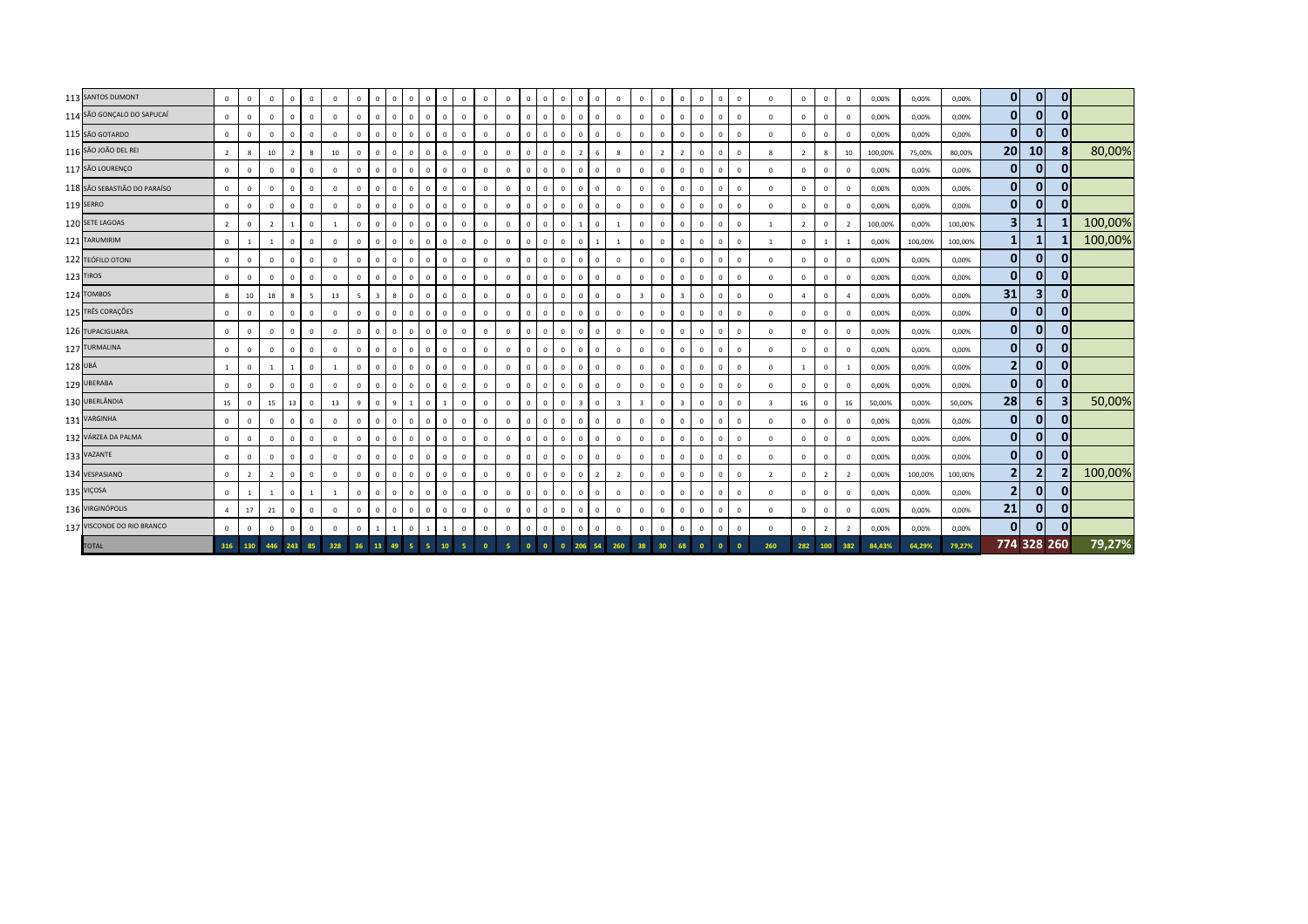| 113 SANTOS DUMONT            | $\mathbf{0}$   | $\mathbf 0$    | $\mathbf 0$    | $\mathbf{0}$   | $^{\circ}$   | $^{\circ}$   | $\mathbf 0$    | $^{\circ}$     | $\mathbf{0}$   | $\mathbf{0}$ | $\mathbf{0}$<br>$\mathbf{0}$ | $\mathbf{0}$   | $\mathbf{0}$   | $\mathbf{0}$ | $\overline{0}$ | $\mathbf{0}$   | $\mathbf{0}$   | $\overline{0}$          | $\mathbf{0}$   | $\mathbf{0}$            | $\mathbf{0}$            | $\mathbf{0}$   | $\overline{0}$          | $\mathbf{0}$ | $\mathbf{0}$   | $\circ$        | $^{\circ}$              | $\mathbf{0}$   | $\circ$        | $\Omega$       | 0,00%   | 0,00%   | 0,00%   | $\mathbf{0}$   | $\mathbf{0}$            | $\mathbf{0}$ |         |
|------------------------------|----------------|----------------|----------------|----------------|--------------|--------------|----------------|----------------|----------------|--------------|------------------------------|----------------|----------------|--------------|----------------|----------------|----------------|-------------------------|----------------|-------------------------|-------------------------|----------------|-------------------------|--------------|----------------|----------------|-------------------------|----------------|----------------|----------------|---------|---------|---------|----------------|-------------------------|--------------|---------|
| 114 SÃO GONÇALO DO SAPUCAÍ   | $\mathbf{0}$   | $\mathbf 0$    | $\mathbf{0}$   | $\mathbf{0}$   | $^{\circ}$   | $\mathbf{0}$ | $\mathbf{0}$   | $\mathbf{0}$   | $\mathbf{0}$   | $\mathbf{0}$ | $\mathbf{0}$<br>$\Omega$     | $\mathbf{0}$   | $\overline{0}$ | $\Omega$     | $\overline{0}$ | $\mathbf{0}$   | $\mathbf{0}$   | $\overline{0}$          | $^{\circ}$     | $\mathbf{0}$            | $\circ$                 | $\mathbf{0}$   | $\overline{0}$          | $\mathbf{0}$ | $\mathbf{0}$   | $\circ$        | $\mathbf{0}$            | $^{\circ}$     | $\mathbf{0}$   | $^{\circ}$     | 0,00%   | 0,00%   | 0,00%   | $\mathbf{0}$   | $\overline{0}$          | 0            |         |
| 115 SÃO GOTARDO              | $\mathbf{0}$   | $\Omega$       | $^{\circ}$     | $\Omega$       | $\Omega$     | $\Omega$     | $\mathbf 0$    | $\Omega$       | $\Omega$       | $\Omega$     | $\mathbf{0}$<br>$\Omega$     | $\Omega$       | $\Omega$       | $\mathbf{0}$ | $\mathbf 0$    | $\overline{0}$ | $\mathbf{0}$   | $\overline{0}$          | $\Omega$       | $\Omega$                | $\mathbf{0}$            | $\Omega$       | $\Omega$                | $\Omega$     | $\Omega$       | $\mathbf 0$    | $\mathbf{0}$            | $\Omega$       | $\mathbf{0}$   |                | 0,00%   | 0,00%   | 0,00%   | $\bf{0}$       | 0                       | 0            |         |
| 116 SÃO JOÃO DEL REI         | $\overline{2}$ | 8              | 10             | $\overline{2}$ | 8            | 10           | $\mathbf 0$    | $\mathbf{0}$   | $\overline{0}$ | $\mathbf{0}$ | $\mathbf{0}$<br>$\mathbf 0$  | $\mathbf 0$    | $\mathbf{0}$   | $\mathbf{0}$ | $\mathbf 0$    | $\mathbf 0$    | $\mathbf{0}$   | $\overline{z}$          | 6              | 8                       | $\circ$                 | $\overline{2}$ | $\overline{2}$          | $\mathbf{0}$ | $\overline{0}$ | $\mathbf 0$    | 8                       | $\overline{2}$ | $8^{\circ}$    | 10             | 100,00% | 75,00%  | 80,00%  | 20             | 10 <sup>1</sup>         |              | 80,00%  |
| 117 SÃO LOURENÇO             | $\mathbf{0}$   | $\mathbf 0$    | $\Omega$       | $\Omega$       | $\mathbf{0}$ | $\Omega$     | $\mathbf 0$    | $^{\circ}$     | $\mathbf{0}$   | $\mathbf{0}$ | $\mathbf 0$<br>$\mathbf 0$   | $\mathbf 0$    | $\Omega$       | $\Omega$     | $\mathbf 0$    | $\mathbf 0$    | $\mathbf{0}$   | $\mathbf 0$             | $\mathbf{0}$   | $\mathbf{0}$            | $\mathbf 0$             | $\mathbf{0}$   | $\mathbf{0}$            | $\mathbf 0$  | $\mathbf{0}$   | $\mathbf 0$    | $\mathbf{0}$            | $\mathbf{0}$   | $\mathbf{0}$   | $\Omega$       | 0,00%   | 0,00%   | 0,00%   | $\mathbf{0}$   | $\overline{0}$          | 0            |         |
| 118 SÃO SEBASTIÃO DO PARAÍSO | $\mathbf 0$    | $\mathbf 0$    | $\mathbf{0}$   | $\mathbf 0$    | $^{\circ}$   | $\mathbf{0}$ | $\mathbf 0$    | $\Omega$       | $\mathbf{0}$   | $\mathbf{0}$ | $\mathbf{0}$<br>$\mathbf{0}$ | $\mathbf 0$    | $\overline{0}$ | $\Omega$     | $\mathbf 0$    | $\mathbf 0$    | $\mathbf{0}$   | $\overline{0}$          | $\mathbf{0}$   | $\mathbf{0}$            | $\mathbf 0$             | $^{\circ}$     | $\overline{0}$          | $\mathbf{0}$ | $\mathbf{0}$   | $\circ$        | $\mathbf 0$             | $\mathbf{0}$   | $\mathbf{0}$   | $\mathbf{0}$   | 0,00%   | 0,00%   | 0,00%   | $\overline{0}$ | 0                       | 0            |         |
| <b>119 SERRO</b>             | $\mathbf 0$    | $^{\circ}$     | $\mathbf 0$    | $\mathbf{0}$   | $^{\circ}$   | $\mathbf 0$  | $\mathbf 0$    | $\mathbf{0}$   | $^{\circ}$     | $\mathbf{0}$ | $\circ$<br>$\mathbf{0}$      | $\mathbf 0$    | $\mathbf 0$    | $\mathbf 0$  | $\mathbf{0}$   | $\mathbf 0$    | $\mathbf 0$    | $\circ$                 | $\mathbf{0}$   | $\mathbf 0$             | $\mathbf{0}$            | $\mathbf{0}$   | $\Omega$                | $\mathbf 0$  | $\mathbf{0}$   | $\mathbf 0$    | $\mathbf 0$             | $\Omega$       | $\mathbf 0$    | $\mathbf 0$    | 0,00%   | 0,00%   | 0,00%   | $\mathbf{0}$   | $\overline{0}$          | $\mathbf{0}$ |         |
| 120 SETE LAGOAS              | $\overline{2}$ | $\mathbf 0$    | $\overline{2}$ |                | $\mathbf{0}$ |              | $\mathbf 0$    | $\mathbf{0}$   | $\mathbf{0}$   | $\mathbf{0}$ | $\mathbf 0$<br>$\mathbf{0}$  | $\mathbf 0$    | $\overline{0}$ | $\Omega$     | $\mathbf 0$    | $\mathbf 0$    | $\mathbf{0}$   |                         | $\mathbf{0}$   | $\overline{1}$          | $\circ$                 | $\mathbf{0}$   | $\mathbf{0}$            | $\mathbf 0$  | $\mathbf{0}$   | $\circ$        | $\overline{1}$          | $\overline{2}$ | $\overline{0}$ | $\overline{2}$ | 100,00% | 0,00%   | 100,00% | 3              | $\mathbf{1}$            |              | 100,00% |
| 121 TARUMIRIM                | $\mathbf 0$    |                | 1              | $\Omega$       | $\mathbf{0}$ | $\Omega$     | $\mathbf 0$    | $\mathbf{0}$   | $\mathbf{0}$   | $\mathbf{0}$ | $\Omega$<br>$\mathbf{0}$     | $\overline{0}$ | $\overline{0}$ | $\mathbf 0$  | $\mathbf 0$    | $\mathbf 0$    | $\mathbf 0$    | $\circ$                 |                | <sup>1</sup>            | $\mathbf 0$             | $\mathbf{0}$   | $\overline{0}$          | $\mathbf 0$  | $\mathbf{0}$   | $\circ$        | 1                       | $\mathbf 0$    | $\mathbf{1}$   | <sup>1</sup>   | 0,00%   | 100,00% | 100,00% |                | $\mathbf{1}$            |              | 100,00% |
| 122 TEÓFILO OTONI            | $\mathbf 0$    | $\Omega$       | $^{\circ}$     | $\Omega$       | $\Omega$     | $\Omega$     | $\mathbf 0$    | $\Omega$       | $\Omega$       | $\mathbf{0}$ | $\mathbf{0}$<br>$\Omega$     | $\mathbf 0$    | $\Omega$       | $\Omega$     | $\mathbf 0$    | $\mathbf 0$    | $\mathbf{0}$   | $\overline{0}$          | $\Omega$       | $\Omega$                | $\mathbf{0}$            | $\Omega$       | $\Omega$                | $\mathbf{0}$ | $\Omega$       | $\mathbf 0$    | $\mathbf 0$             | $\Omega$       | $\mathbf 0$    | $\Omega$       | 0,00%   | 0,00%   | 0,00%   | $\bf{0}$       | 0                       |              |         |
| 123 TIROS                    | $\mathbf 0$    | $\mathbf 0$    | $\mathbf 0$    | $\mathbf{0}$   | $\mathbf{0}$ | $\mathbf 0$  | $\mathbf 0$    | $^{\circ}$     | $\overline{0}$ | $\mathbf{0}$ | $\mathbf{0}$<br>$\mathbf 0$  | $\mathbf 0$    | $\mathbf 0$    | $\mathbf{0}$ | $\mathbf 0$    | $\mathbf{0}$   | $\mathbf{0}$   | $\overline{0}$          | $\mathbf{0}$   | $\circ$                 | $\circ$                 | $\mathbf{0}$   | $\mathbf{0}$            | $\mathbf{0}$ | $\overline{0}$ | $\mathbf 0$    | $\mathbf 0$             | $\Omega$       | $\mathbf{0}$   | $\Omega$       | 0,00%   | 0,00%   | 0,00%   | $\mathbf{0}$   | 0                       | 0            |         |
| 124 TOMBOS                   | 8              | 10             | 18             | 8              | -5           | 13           | $\overline{5}$ | $\overline{3}$ | 8              | $\mathbf{0}$ | $\mathbf 0$<br>$\mathbf 0$   | $\mathbf 0$    | $\overline{0}$ | $\Omega$     | $\mathbf 0$    | $\mathbf 0$    | $\mathbf{0}$   | $\circ$                 | $\mathbf{0}$   | $\circ$                 | $\overline{\mathbf{3}}$ | $\mathbf{0}$   | $\overline{\mathbf{3}}$ | $\mathbf 0$  | $\mathbf{0}$   | $\mathbf 0$    | $\Omega$                | $\overline{a}$ | $\overline{0}$ | $\overline{a}$ | 0,00%   | 0,00%   | 0,00%   | 31             | $\overline{\mathbf{3}}$ | 0            |         |
| 125 TRÊS CORAÇÕES            | $\mathbf 0$    | $\mathbf 0$    | $\mathbf{0}$   | $\Omega$       | $^{\circ}$   | $\mathbf{0}$ | $\mathbf 0$    | $\Omega$       | $\Omega$       | $\mathbf{0}$ | $\mathbf 0$<br>$\mathbf{0}$  | $\mathbf 0$    | $\Omega$       | $\Omega$     | $\mathbf 0$    | $\mathbf 0$    | $\mathbf{0}$   | $\overline{0}$          | $\mathbf{0}$   | $\mathbf{0}$            | $\mathbf 0$             | $^{\circ}$     | $\overline{0}$          | $\mathbf{0}$ | $\mathbf{0}$   | $\circ$        | $\mathbf 0$             | $\mathbf{0}$   | $\mathbf{0}$   | $\mathbf{0}$   | 0,00%   | 0,00%   | 0,00%   | $\overline{0}$ | 0                       | 0            |         |
| 126 TUPACIGUARA              | $\mathbf 0$    | $^{\circ}$     | $\mathbf 0$    | $\mathbf{0}$   | $\Omega$     | $\mathbf 0$  | $\mathbf 0$    | $\mathbf{0}$   | $^{\circ}$     | $\mathbf{0}$ | $\circ$<br>$\mathbf{0}$      | $\overline{0}$ | $\mathbf 0$    | $\mathbf 0$  | $\mathbf{0}$   | $\mathbf 0$    | $\mathbf 0$    | $\mathbf 0$             | $\mathbf{0}$   | $\mathbf 0$             | $\mathbf{0}$            | $\mathbf{0}$   | $\Omega$                | $\mathbf 0$  | $\mathbf{0}$   | $\overline{0}$ | $\mathbf 0$             | $\Omega$       | $\mathbf 0$    | $\mathbf 0$    | 0,00%   | 0,00%   | 0,00%   | $\mathbf{0}$   | $\mathbf{0}$            | 0            |         |
| 127 TURMALINA                | $\mathbf{0}$   | $\mathbf 0$    | $\mathbf 0$    | $\mathbf{0}$   | $\mathbf{0}$ | $\mathbf{0}$ | $\mathbf 0$    | $^{\circ}$     | $\mathbf{0}$   | $\mathbf{0}$ | $\mathbf 0$<br>$\mathbf{0}$  | $\mathbf 0$    | $\overline{0}$ | $\Omega$     | $\mathbf 0$    | $\mathbf 0$    | $\mathbf{0}$   | $\circ$                 | $\mathbf{0}$   | $\circ$                 | $\circ$                 | $\mathbf{0}$   | $\mathbf{0}$            | $\mathbf 0$  | $\mathbf{0}$   | $\circ$        | $\mathbf 0$             | $\mathbf 0$    | $\mathbf{0}$   | $\mathbf 0$    | 0,00%   | 0,00%   | 0,00%   | $\mathbf{0}$   | 0                       | 0            |         |
| 128 UBÁ                      | $\mathbf{1}$   | $\mathbf 0$    | 1              | $\overline{1}$ | $\mathbf{0}$ | -1           | $\mathbf 0$    | $\mathbf{0}$   | $\mathbf{0}$   | $\mathbf{0}$ | $\mathbf 0$<br>$\mathbf{0}$  | $\overline{0}$ | $\overline{0}$ | $\mathbf 0$  | $\overline{0}$ | $\mathbf{0}$   | $\overline{0}$ | $\overline{0}$          | $^{\circ}$     | $\mathbf{0}$            | $\mathbf 0$             | $\mathbf{0}$   | $\overline{0}$          | $\mathbf{0}$ | $\mathbf{0}$   | $\circ$        | $\mathbf{0}$            | $\overline{1}$ | $\circ$        | <sup>1</sup>   | 0,00%   | 0,00%   | 0,00%   | $\mathbf{2}$   | 0                       | 0            |         |
| 129 UBERABA                  | $\mathbf 0$    | $^{\circ}$     | $^{\circ}$     | $\Omega$       | $\Omega$     | $\Omega$     | $\mathbf 0$    | $\Omega$       | $\Omega$       | $\mathbf{0}$ | $\mathbf{0}$<br>$\mathbf 0$  | $\mathbf 0$    | $\mathbf{0}$   | $\Omega$     | $\mathbf 0$    | $\mathbf 0$    | $\mathbf{0}$   | $\overline{0}$          | $\Omega$       | $\Omega$                | $\mathbf{0}$            | $\Omega$       | $\Omega$                | $\mathbf{0}$ | $\mathbf{0}$   | $\mathbf 0$    | $\mathbf 0$             | $\Omega$       | $\mathbf 0$    | $\Omega$       | 0,00%   | 0,00%   | 0,00%   | $\bf{0}$       | 0                       |              |         |
| 130 UBERLÂNDIA               | 15             | $\mathbf 0$    | 15             | 13             | $^{\circ}$   | 13           | 9              | $^{\circ}$     | 9              |              | $\mathbf 0$                  | $\circ$        | $\mathbf 0$    | $\mathbf{0}$ | $\mathbf 0$    | $\mathbf 0$    | $\mathbf{0}$   | $\overline{\mathbf{3}}$ | $\mathbf{0}$   | $\overline{\mathbf{3}}$ | $\overline{\mathbf{3}}$ | $\mathbf{0}$   | $\overline{\mathbf{3}}$ | $\mathbf 0$  | $\circ$        | $\mathbf 0$    | $\overline{\mathbf{3}}$ | 16             | $\mathbf{0}$   | 16             | 50,00%  | 0,00%   | 50,00%  | 28             | 6 <sup>1</sup>          |              | 50,00%  |
| 131 VARGINHA                 | $\circ$        | $\mathbf 0$    | $\Omega$       | $\Omega$       | $^{\circ}$   | $\mathbf{0}$ | $\mathbf{0}$   | $\mathbf{0}$   | $\mathbf{0}$   | $\mathbf{0}$ | $\mathbf{0}$<br>$^{\circ}$   | $\mathbf{0}$   | $\overline{0}$ | $\Omega$     | $\circ$        | $\circ$        | $\mathbf{0}$   | $\mathbf{0}$            | $^{\circ}$     | $\mathbf{0}$            | $\circ$                 | $^{\circ}$     | $\mathbf{0}$            | $\mathbf{0}$ | $\mathbf{0}$   | $\mathbf{0}$   | $\mathbf{0}$            | $\mathbf{0}$   | $\mathbf{0}$   | $\Omega$       | 0,00%   | 0,00%   | 0,00%   | $\overline{0}$ | $\mathbf{0}$            | 0            |         |
| 132 VÁRZEA DA PALMA          | $\mathbf 0$    | $\mathbf 0$    | $\mathbf{0}$   | $\Omega$       | $\mathbf{0}$ | $\mathbf{0}$ | $\mathbf{0}$   | $\Omega$       | $\Omega$       | $\mathbf{0}$ | $\mathbf 0$<br>$\mathbf{0}$  | $\overline{0}$ | $\overline{0}$ | $\Omega$     | $\mathbf{0}$   | $\mathbf{0}$   | $\mathbf{0}$   | $\overline{0}$          | $\mathbf{0}$   | $\mathbf{0}$            | $\mathbf{0}$            | $\mathbf{0}$   | $\mathbf{0}$            | $\mathbf{0}$ | $\mathbf{0}$   | $\mathbf 0$    | $\mathbf{0}$            | $\mathbf{0}$   | $\overline{0}$ | $\mathbf{0}$   | 0,00%   | 0,00%   | 0,00%   | $\mathbf{0}$   | 0                       | 0            |         |
| 133 VAZANTE                  | $\mathbf 0$    | $^{\circ}$     | $\mathbf 0$    | $\mathbf{0}$   | $^{\circ}$   | $\mathbf 0$  | $\mathbf 0$    | $\mathbf{0}$   | $^{\circ}$     | $\mathbf{0}$ | $\circ$<br>$^{\circ}$        | $\mathbf 0$    | $\mathbf 0$    | $\mathbf 0$  | $\mathbf 0$    | $\mathbf 0$    | $\mathbf 0$    | $\mathbf 0$             | $\mathbf{0}$   | $\mathbf 0$             | $\mathbf{0}$            | $\mathbf{0}$   | $\Omega$                | $\mathbf 0$  | $\mathbf{0}$   | $\mathbf 0$    | $\mathbf 0$             | $^{\circ}$     | $\mathbf 0$    | $\mathbf 0$    | 0,00%   | 0,00%   | 0,00%   | $\mathbf{0}$   | $\overline{0}$          | $\mathbf{0}$ |         |
| 134 VESPASIANO               | $\mathbf{0}$   | $\overline{2}$ | $\overline{2}$ | $\mathbf 0$    | $\mathbf{0}$ | $\mathbf{0}$ | $\mathbb O$    | $\mathbf{0}$   | $\mathbf{0}$   | $\mathbf{0}$ | $\mathbf 0$<br>$\mathbf{0}$  | $\mathbf 0$    | $\overline{0}$ | $\Omega$     | $\mathbf 0$    | $\mathbf 0$    | $\mathbf{0}$   | $\overline{0}$          | $\overline{2}$ | $\overline{2}$          | $\mathbf 0$             | $\mathbf{0}$   | $\mathbf{0}$            | $\mathbf 0$  | $\mathbf{0}$   | $\circ$        | $\overline{2}$          | $\circ$        | $\overline{2}$ | $\overline{2}$ | 0,00%   | 100,00% | 100,00% | $\overline{2}$ | $\overline{2}$          |              | 100,00% |
| 135 VIÇOSA                   | $\mathbf{0}$   |                | $\overline{1}$ | $\Omega$       | 1            | -1           | $\mathbf 0$    | $\mathbf{0}$   | $\Omega$       | $\mathbf{0}$ | $\mathbf{0}$<br>$\mathbf{0}$ | $\overline{0}$ | $\overline{0}$ | $\Omega$     | $\overline{0}$ | $\mathbf{0}$   | $\mathbf{0}$   | $\overline{0}$          | $^{\circ}$     | $\mathbf{0}$            | $\overline{0}$          | $\mathbf{0}$   | $\overline{0}$          | $\mathbf{0}$ | $\mathbf{0}$   | $\circ$        | $\mathbf{0}$            | $^{\circ}$     | $\circ$        | $\mathbf 0$    | 0,00%   | 0,00%   | 0,00%   | $\overline{2}$ | 0                       |              |         |
| 136 VIRGINÓPOLIS             | $\overline{4}$ | 17             | 21             | $\Omega$       | $\Omega$     | $\Omega$     | $\mathbf{0}$   | $\Omega$       | $\Omega$       | $\mathbf{0}$ | $\mathbf{0}$<br>$\mathbf{0}$ | $\mathbf 0$    | $\mathbf 0$    | $\mathbf{0}$ | $\mathbf 0$    | $\mathbf 0$    | $\mathbf{0}$   | $\circ$                 | $\mathbf{0}$   | $\mathbf{0}$            | $\mathbf{0}$            | $\Omega$       | $\Omega$                | $^{\circ}$   | $\mathbf{0}$   | $\mathbf 0$    | $\mathbf 0$             | $\Omega$       | $\mathbf 0$    | $\Omega$       | 0,00%   | 0,00%   | 0,00%   | 21             | $\mathbf{0}$            |              |         |
| 137 VISCONDE DO RIO BRANCO   | $\mathbf{0}$   | $\mathbf 0$    | $\mathbf 0$    | $\mathbf{0}$   | $\mathbf{0}$ | $\mathbf 0$  | $\mathbf{0}$   |                |                | $\mathbf{0}$ | $\overline{1}$               | $\mathbf 0$    | $\Omega$       | $\mathbf 0$  | $\mathsf 0$    | $\mathbf 0$    | $\mathbf{0}$   | $\overline{0}$          | $\mathbf 0$    | $\circ$                 | $\circ$                 | $\mathbf{0}$   | $\Omega$                | $\mathbf 0$  | $\mathbf{0}$   | $\mathbf 0$    | $\mathbf 0$             | $\Omega$       | $2^{\circ}$    | $\overline{2}$ | 0,00%   | 0,00%   | 0,00%   | $\mathbf{0}$   | 0                       | $\mathbf{0}$ |         |
| <b>TOTAL</b>                 | 316 130        |                | 446            | 243            | 85           | 328          | 36             | 13             | 49             |              |                              |                |                |              |                |                |                |                         |                | 260                     | 38                      |                |                         |              |                |                | 260                     | 282            | 100            | 382            | 84.43%  | 64,29%  | 79,27%  |                | 774 328 260             |              | 79,27%  |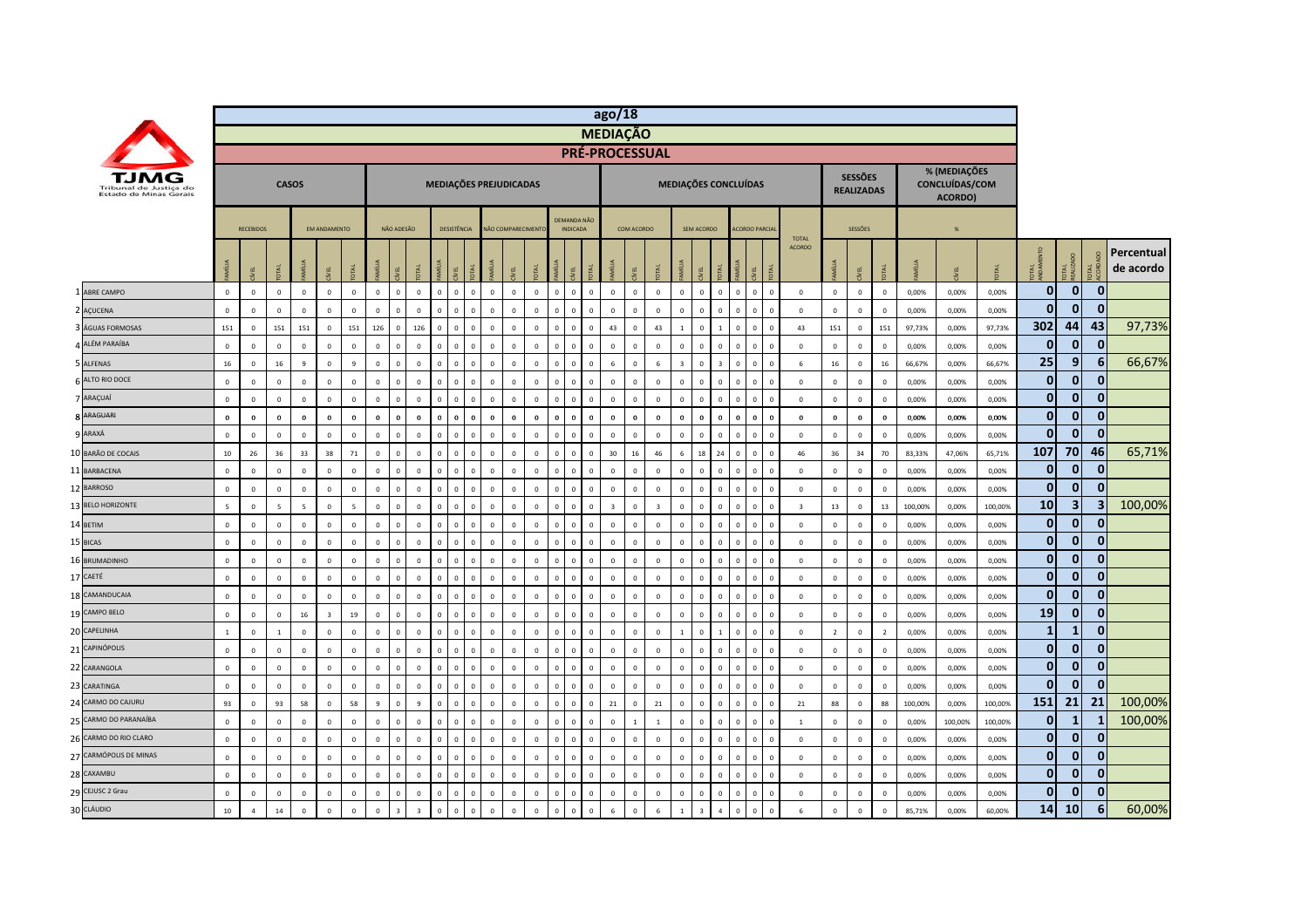|                                                  |                |                  |                         |                |                         |              |                |              |                |              |                                  |                                  |                   |                |                |                                       |          | ago/18         |                         |                         |                         |                      |                |                         |                              |                               |                |                                     |                         |         |                                           |         |                |                         |                         |                         |
|--------------------------------------------------|----------------|------------------|-------------------------|----------------|-------------------------|--------------|----------------|--------------|----------------|--------------|----------------------------------|----------------------------------|-------------------|----------------|----------------|---------------------------------------|----------|----------------|-------------------------|-------------------------|-------------------------|----------------------|----------------|-------------------------|------------------------------|-------------------------------|----------------|-------------------------------------|-------------------------|---------|-------------------------------------------|---------|----------------|-------------------------|-------------------------|-------------------------|
|                                                  |                |                  |                         |                |                         |              |                |              |                |              |                                  |                                  |                   |                |                |                                       |          |                | <b>MEDIAÇÃO</b>         |                         |                         |                      |                |                         |                              |                               |                |                                     |                         |         |                                           |         |                |                         |                         |                         |
|                                                  |                |                  |                         |                |                         |              |                |              |                |              |                                  |                                  |                   |                |                |                                       |          |                |                         | <b>PRÉ-PROCESSUAL</b>   |                         |                      |                |                         |                              |                               |                |                                     |                         |         |                                           |         |                |                         |                         |                         |
| Tribunal de Justica do<br>Estado de Minas Gerais |                |                  |                         | <b>CASOS</b>   |                         |              |                |              |                |              |                                  | MEDIAÇÕES PREJUDICADAS           |                   |                |                |                                       |          |                |                         |                         |                         | MEDIAÇÕES CONCLUÍDAS |                |                         |                              |                               |                | <b>SESSÕES</b><br><b>REALIZADAS</b> |                         |         | % (MEDIAÇÕES<br>CONCLUÍDAS/COM<br>ACORDO) |         |                |                         |                         |                         |
|                                                  |                | <b>RECEBIDOS</b> |                         |                | <b>EM ANDAMENTO</b>     |              |                | NÃO ADESÃO   |                |              | <b>DESISTÊNCIA</b>               |                                  | NÃO COMPARECIMENT |                |                | <b>DEMANDA NÃO</b><br><b>INDICADA</b> |          |                | COM ACORDO              |                         |                         | SEM ACORDO           |                |                         | <b>ACORDO PARCIA</b>         |                               |                | SESSÕES                             |                         |         | %                                         |         |                |                         |                         |                         |
|                                                  |                |                  |                         |                | EL                      |              |                |              |                |              |                                  |                                  |                   |                |                |                                       |          |                | EL                      |                         |                         |                      |                |                         |                              | <b>TOTAL</b><br><b>ACORDO</b> |                |                                     |                         |         |                                           |         | 론              | <b>DTAL</b><br>EALIZADO |                         | Percentual<br>de acordo |
| ABRE CAMPO                                       | $\mathbf 0$    | $\,0\,$          | $\mathbf 0$             | $\mathbf{0}$   | $\mathbf{0}$            | $\mathbf{0}$ | $\mathbf{0}$   | $\mathbf{0}$ | $\mathbf{0}$   | $\mathbf{0}$ | $\overline{0}$                   | $\mathbf 0$<br>$\Omega$          | $\mathbf{0}$      | $\mathbf{0}$   | $\mathbf{0}$   | $\,$ 0                                | $\circ$  | $\mathbf 0$    | $\mathbf 0$             | $\Omega$                | $\mathbb O$             | $\mathbf{0}$         | $\mathbf{0}$   | $\,0\,$                 | $\Omega$<br>$\mathbf{0}$     | $\mathbf 0$                   | $\mathbf 0$    | $\mathbf 0$                         | $\,$ 0                  | 0,00%   | 0,00%                                     | 0,00%   | $\mathbf{0}$   | $\overline{0}$          | $\overline{0}$          |                         |
| AÇUCENA                                          | $\Omega$       | $\Omega$         | $\Omega$                | $\mathbf{0}$   | $\Omega$                | $\Omega$     | $\Omega$       | $\Omega$     | $\Omega$       | - C          | $\Omega$                         | $\Omega$                         | $\Omega$          | $\Omega$       |                | $\Omega$                              |          | $\Omega$       | $\Omega$                | $\Omega$                | $\Omega$                | $\Omega$             | $\Omega$       | £                       | $\Omega$                     | $\mathbf{0}$                  | $\mathbf 0$    | $\mathbf{0}$                        | $\Omega$                | 0,00%   | 0,00%                                     | 0,00%   | $\mathbf{0}$   | $\Omega$                | $\mathbf{0}$            |                         |
| ÁGUAS FORMOSAS                                   | 151            | $\,0\,$          | 151                     | 151            | $\mathbf 0$             | 151          | 126            | $\Omega$     | 126            | $\sqrt{2}$   | $\sqrt{2}$<br>$\sqrt{ }$         | $\overline{0}$                   | $\mathbf{0}$      | $\Omega$       | $\sqrt{2}$     | $\Omega$                              |          | 43             | $\sqrt{2}$              | 43                      |                         | $\Omega$             |                | $\Omega$                | $\Omega$                     | 43                            | 151            | $\,0\,$                             | 151                     | 97,73%  | 0,00%                                     | 97,73%  | 302            | 44                      | 43                      | 97,73%                  |
| <b>4 ALÉM PARAÍBA</b>                            | $\mathbf 0$    | $\mathbf 0$      | $\mathbf 0$             | $\mathbf 0$    | $\mathbf 0$             | $\mathsf 0$  | $\mathbf 0$    | $\Omega$     | $\mathbf 0$    | $\Omega$     | $\mathbf 0$                      | $\Omega$<br>$\Omega$             | $\mathbf 0$       | $\mathbf 0$    | $\Omega$       | $\Omega$                              | $\Omega$ | $\Omega$       | $\mathbf 0$             | $\mathsf 0$             | $\mathbf 0$             | $\Omega$             | $\mathbf 0$    | $\Omega$                | $\Omega$                     | $\mathbf 0$                   | $\mathbb O$    | $\mathbf 0$                         | $\mathbf 0$             | 0,00%   | 0,00%                                     | 0,00%   | $\Omega$       | $\mathbf{0}$            | $\overline{0}$          |                         |
| 5 ALFENAS                                        | 16             | $\,0\,$          | $16\,$                  | $\,9$          | $\mathbf 0$             | $\Omega$     | $\mathbf 0$    | $\Omega$     | $\mathbf 0$    | $\Omega$     | $\,$ 0                           | $\Omega$<br>$\mathbf 0$          | $\Omega$          | $\mathbf 0$    | $\Omega$       | $\Omega$                              |          | $\,6\,$        | $\overline{\mathbf{0}}$ | $\,$ 6                  | $\overline{\mathbf{a}}$ | $\Omega$             | $\overline{3}$ | $\mathbf 0$             | $\Omega$                     | $\,$ 6 $\,$                   | $16\,$         | $\mathbf 0$                         | 16                      | 66,67%  | 0,00%                                     | 66,67%  | 25             | 9                       | 6                       | 66,67%                  |
| ALTO RIO DOCE                                    | $\mathbf{0}$   | $\mathbf 0$      | $\mathbf 0$             | $\mathbf 0$    | $\mathsf 0$             | $\Omega$     | $\mathbf 0$    | $\mathbf{0}$ | $\mathbf 0$    | $\Omega$     | $\mathbf{0}$<br>$\sqrt{ }$       | $\overline{0}$                   | $\Omega$          | $\mathsf 0$    |                | $\Omega$                              |          | $\mathbf{0}$   | $\overline{0}$          | $\mathbf{0}$            | $\overline{0}$          | $\mathbf 0$          | $\sqrt{2}$     | $\overline{0}$          | $\mathbf 0$<br>$\Omega$      | $\mathbf 0$                   | $\mathbf 0$    | $\mathbf 0$                         | $\mathbf 0$             | 0,00%   | 0,00%                                     | 0,00%   | $\overline{0}$ | $\Omega$                | $\mathbf{0}$            |                         |
| 7 ARAÇUAÍ                                        | $\mathbf 0$    | $\mathbf 0$      | $\mathbf 0$             | $\mathbf 0$    | $\mathbf 0$             | $\mathbf 0$  | $\mathbf 0$    | $\mathbf{0}$ | $\mathbf 0$    | $\Omega$     | $\mathbf 0$                      | $\mathbf 0$<br>$\Omega$          | $\mathbf 0$       | $\mathbf{0}$   | $\Omega$       | $\overline{0}$                        | $\Omega$ | $\,0\,$        | $\mathbf 0$             | $\mathsf 0$             | $\mathbf 0$             | $\mathbf 0$          | $\mathbf 0$    | $\overline{0}$          | $\mathbf 0$<br>$\Omega$      | $\mathbf 0$                   | $\mathbf 0$    | $\,0\,$                             | $\,$ 0                  | 0,00%   | 0,00%                                     | 0,00%   | $\mathbf{0}$   | $\overline{0}$          | $\overline{0}$          |                         |
| 8 ARAGUARI                                       | $\bf{0}$       | $\mathbf 0$      | $\mathbf 0$             | $\bf{0}$       | $\mathbf 0$             | $\mathbf{0}$ | $\mathbf 0$    | $\bf{0}$     | $\mathbf 0$    | $\bf{0}$     | $\bf{0}$                         | $\mathbf{0}$<br>$\pmb{0}$        | $\bf{0}$          | $\bf{0}$       | $\bf{0}$       | $\bf{0}$                              | $\Omega$ | $\mathbf 0$    | $\mathbf 0$             | $\mathbf{o}$            | $\mathbf 0$             | $\mathbf{0}$         | $\bf{0}$       | $\mathbf{0}$            | $\bf{0}$<br>$\bf{0}$         | $\mathbf 0$                   | $\mathbf 0$    | $\mathbf 0$                         | $\mathbf 0$             | 0,00%   | 0,00%                                     | 0,00%   | $\mathbf{0}$   | $\mathbf{0}$            | $\mathbf{0}$            |                         |
| <b>Q</b> ARAXÁ                                   | $\mathbf 0$    | $\mathbf{0}$     | $\Omega$                | $\mathbf 0$    | $\Omega$                | $\Omega$     | $\mathbf{0}$   | $\Omega$     | $\mathbf{0}$   | $\Omega$     | $\Omega$<br>$\mathfrak{c}$       | $\Omega$                         | $\Omega$          | $\Omega$       | $\Omega$       | $\Omega$                              |          | $\mathbf{0}$   | $\Omega$                | $\mathbf{0}$            | $\Omega$                | $\Omega$             | $\mathbb O$    | $\Omega$                | $\Omega$                     | $\mathbf 0$                   | $\mathbf 0$    | $\mathbf 0$                         | $\mathbf 0$             | 0,00%   | 0,00%                                     | 0,00%   | $\mathbf{0}$   | O                       | $\overline{0}$          |                         |
| 10 BARÃO DE COCAIS                               | $10\,$         | 26               | 36                      | 33             | 38                      | $71\,$       | $\mathbf 0$    | $\mathbf{0}$ | $\mathbf 0$    |              | $\Omega$                         | $\overline{0}$                   | $\mathbf 0$       | $\mathbf 0$    |                | $\overline{0}$                        |          | 30             | 16                      | 46                      |                         | 18                   | 24             |                         | $\mathbf 0$                  | $46\,$                        | 36             | 34                                  | 70                      | 83,33%  | 47,06%                                    | 65,71%  | 107            | 70                      | 46                      | 65,71%                  |
| 11 BARBACENA                                     | $\mathbf 0$    | $\mathbf 0$      | $\mathbf 0$             | $\mathbf 0$    | $\mathbf 0$             | $\mathbf 0$  | $\mathbf 0$    | $\mathbf 0$  | $\mathbf 0$    | $\mathbf 0$  | $\mathbf 0$                      | $\mathbf{0}$<br>$\overline{0}$   | $\mathbf 0$       | $\mathsf 0$    | $\Omega$       | $\overline{0}$                        |          | $\mathbf{0}$   | $\mathbf 0$             | $\mathsf 0$             | $\mathbf 0$             | $\mathbf 0$          | $\mathbb O$    | $\overline{0}$          | $\mathbf 0$                  | $\mathbf 0$                   | $\mathbb O$    | $\mathbf 0$                         | $\overline{\mathbf{0}}$ | 0,00%   | 0,00%                                     | 0,00%   | $\mathbf{0}$   | $\mathbf{0}$            | $\overline{0}$          |                         |
| 12 BARROSO                                       | $\,0\,$        | $\,0\,$          | $\mathbf 0$             | $\,0\,$        | $\mathbf 0$             | $\mathbf 0$  | $\mathbf 0$    | $\mathbf 0$  | $\mathbf 0$    | $\mathbf 0$  | $\,$ 0                           | $\overline{0}$<br>$\mathbf 0$    | $\mathbf 0$       | $\mathbf 0$    | $\overline{0}$ | $\overline{0}$                        | $\Omega$ | $\mathbf 0$    | $\mathbf 0$             | $\mathsf 0$             | $\mathbb O$             | $\mathbf 0$          | $\mathbf 0$    | $\mathbf 0$             | $\mathbf 0$<br>$\Omega$      | $\mathbf 0$                   | $\mathbf 0$    | $\mathbf 0$                         | $\mathbf 0$             | 0,00%   | 0,00%                                     | 0,00%   | $\overline{0}$ | $\mathbf{0}$            | $\overline{0}$          |                         |
| 13 BELO HORIZONTE                                | $\overline{5}$ | $\mathbf{0}$     | $\overline{\mathbf{S}}$ | $\overline{5}$ | $\mathsf 0$             |              | $\mathbf 0$    | $\mathbf 0$  | $\mathbf 0$    | $\Omega$     | $\Omega$                         | $\overline{0}$<br>$\Omega$       | $\mathbf 0$       | $\mathsf 0$    |                | $\Omega$                              |          | $\overline{3}$ | $\overline{0}$          | $\overline{\mathbf{3}}$ | $\Omega$                | $\mathbf 0$          | $\Omega$       | $\Omega$                | $\mathbf 0$                  | $\overline{\mathbf{3}}$       | 13             | $\mathbf 0$                         | 13                      | 100,00% | 0,00%                                     | 100,00% | 10             | $\overline{\mathbf{3}}$ | $\overline{\mathbf{3}}$ | 100,00%                 |
| 14 BETIM                                         | $\,0\,$        | $\mathbf 0$      | $\mathbf 0$             | $\,0\,$        | $\mathbf 0$             | $\Omega$     | $\mathbf 0$    | $\mathbf 0$  | $\mathbf{0}$   | $\Omega$     | $\overline{0}$                   | $\mathbf{0}$<br>$\Omega$         | $\Omega$          | $\overline{0}$ | $\Omega$       | $\Omega$                              |          | $\overline{0}$ | $\mathbf 0$             | $\mathsf 0$             | $\overline{0}$          | $\circ$              | $\Omega$       | $\Omega$                | $\mathbf{0}$<br>$\Omega$     | $\mathbf 0$                   | $\mathbf 0$    | $\mathbf 0$                         | $\mathbf 0$             | 0,00%   | 0,00%                                     | 0,00%   | $\mathbf{0}$   | $\mathbf{0}$            | $\overline{0}$          |                         |
| 15 BICAS                                         | $\mathbf 0$    | $\mathbf 0$      | $\mathbf 0$             | $\mathbf{0}$   | $\mathbf 0$             | $\mathbf 0$  | $\mathbf 0$    | $\mathbf 0$  | $\mathsf 0$    | $\mathbf 0$  | $\mathbf 0$                      | $\mathbf{0}$<br>$\overline{0}$   | $\mathbf 0$       | $\mathbf 0$    | $\overline{0}$ | $\overline{0}$                        | $\Omega$ | $\mathbf 0$    | $\mathbf 0$             | $\mathbf{0}$            | $\mathbf 0$             | $\Omega$             | $\mathbb O$    | $\mathbf 0$             | $\mathbf{0}$<br>$\mathbf{0}$ | $\mathbf 0$                   | $\mathbf 0$    | $\mathbf 0$                         | $\,$ 0                  | 0,00%   | 0,00%                                     | 0,00%   | $\mathbf{0}$   | $\mathbf{0}$            | $\overline{0}$          |                         |
| 16 BRUMADINHO                                    | $\,0\,$        | $\mathbf{0}$     | $\mathbf 0$             | $\,0\,$        | $\mathsf 0$             | $\Omega$     | $\mathbf 0$    | $\mathbf 0$  | $\mathbf 0$    | $\Omega$     | $\overline{0}$<br>$\mathfrak{c}$ | $\overline{0}$                   | $\mathbf 0$       | $\Omega$       | $\Omega$       | $\mathbf 0$                           |          | $\mathbf{0}$   | $\Omega$                | $\mathbf{0}$            | $\Omega$                | $\Omega$             | $\Omega$       | $\Omega$                | $\mathbf 0$                  | $\mathbf 0$                   | $\overline{0}$ | $\mathbf 0$                         | $\,$ 0                  | 0,00%   | 0,00%                                     | 0,00%   | $\mathbf{0}$   | $\Omega$                | $\mathbf{0}$            |                         |
| 17 CAETÉ                                         | $\mathbf 0$    | $\mathbf 0$      | $\mathbf 0$             | $\mathbf 0$    | $\mathbf{0}$            | $\mathbf 0$  | $\mathbf 0$    | $\mathbf{0}$ | $\mathbf{0}$   |              | $\Omega$                         | $\overline{0}$                   | $\overline{0}$    | $\Omega$       |                | $\overline{0}$                        |          | $\mathbf 0$    | $\overline{0}$          | $\mathbf{0}$            | $\overline{0}$          | $\Omega$             | $\Omega$       |                         | $\mathbf 0$                  | $\mathbf 0$                   | $\mathbf 0$    | $\mathbf 0$                         | $\mathbf 0$             | 0,00%   | 0,00%                                     | 0,00%   | $\overline{0}$ | $\Omega$                | $\overline{0}$          |                         |
| 18 CAMANDUCAIA                                   | $\mathbf 0$    | $\mathbf 0$      | $\mathbf 0$             | $\mathbf 0$    | $\mathbf 0$             | $\mathbf 0$  | $\mathbf 0$    | $\mathbf 0$  | $\mathbf 0$    | $\Omega$     | $\mathbf 0$                      | $\mathbf{0}$<br>$\Omega$         | $\Omega$          | $\mathbf 0$    | $\Omega$       | $\overline{0}$                        |          | $\mathbf{0}$   | $\mathbf 0$             | $\mathsf 0$             | $\mathbf 0$             | $\mathbf{0}$         | $\mathbb O$    | $\overline{0}$          | $\mathbf 0$                  | $\mathbf 0$                   | $\mathbb O$    | $\mathbf 0$                         | $\mathbf 0$             | 0,00%   | 0,00%                                     | 0,00%   | $\overline{0}$ | $\mathbf{0}$            | $\overline{0}$          |                         |
| 19 CAMPO BELO                                    | $\mathbf 0$    | $\,0\,$          | $\mathbf 0$             | $16\,$         | $\overline{\mathbf{3}}$ | 19           | $\mathbf 0$    | 0            | $\mathsf 0$    | $\mathbf 0$  | $\overline{0}$                   | $\mathbf 0$<br>$\overline{0}$    | $\mathbf{0}$      | $\mathsf 0$    | $\overline{0}$ | $\overline{0}$                        |          | $\mathbf 0$    | $\mathbf 0$             | $\,0\,$                 | $\mathbb O$             | $\mathbf 0$          | $\mathbf 0$    | $\mathbf 0$             | $\mathbf 0$                  | $\mathbf 0$                   | $\mathbf 0$    | $\mathbf 0$                         | $\mathbf 0$             | 0,00%   | 0,00%                                     | 0,00%   | 19             | $\mathbf{0}$            | $\overline{0}$          |                         |
| 20 CAPELINHA                                     | $\mathbf{1}$   | $\mathbf{0}$     | $\mathbf{1}$            | $\mathbf 0$    | $\mathsf 0$             | $\Omega$     | $\mathbf 0$    | $\mathbf 0$  | $\mathbf{0}$   |              | $\Omega$                         | $\overline{0}$<br>$\Omega$       | $\Omega$          | $\mathsf 0$    |                | $\Omega$                              |          | $\mathbf{0}$   | $\overline{0}$          | $\mathbf{0}$            |                         | $\mathbf 0$          |                | $\overline{0}$          | $\mathbf 0$                  | $\mathbf 0$                   | $\overline{2}$ | $\mathbf 0$                         | $\overline{2}$          | 0,00%   | 0,00%                                     | 0,00%   | $\mathbf{1}$   |                         | $\mathbf{0}$            |                         |
| CAPINÓPOLIS<br>21                                | $\mathbf 0$    | $\,0\,$          | $\mathbf 0$             | $\mathbf 0$    | $\mathbf 0$             | $\mathbf 0$  | $\mathbf 0$    | $\mathbf{0}$ | $\overline{0}$ | $\Omega$     | $\Omega$<br>$\mathfrak{c}$       | $\mathbf 0$                      | $\overline{0}$    | $\Omega$       | $\Omega$       | $\Omega$                              |          | $\mathbf{0}$   | $\Omega$                | $\,0\,$                 | $\overline{0}$          | $\Omega$             | $\Omega$       | $\Omega$                | $\mathbf{0}$                 | $\mathbf 0$                   | $\mathbf 0$    | $\mathbf 0$                         | $\mathbf 0$             | 0,00%   | 0,00%                                     | 0,00%   | $\mathbf{0}$   | $\mathbf{0}$            | $\overline{0}$          |                         |
| 22 CARANGOLA                                     | $\mathbf 0$    | $\,0\,$          | $\mathbf 0$             | $\mathbf 0$    | $\mathbf 0$             | $\mathbf{0}$ | $\mathbf 0$    | $\mathbf 0$  | $\mathbf 0$    | $\mathbf 0$  | $\overline{0}$                   | $\mathbf{0}$<br>$\overline{0}$   | $\mathbf{0}$      | $\mathsf 0$    | $\overline{0}$ | $\overline{0}$                        |          | $\mathbf 0$    | $\mathbf 0$             | $\mathbf{0}$            | $\mathbf 0$             | $\mathbf{0}$         | $\mathbb O$    | $\overline{0}$          | $\mathbf{0}$<br>$\mathbf{0}$ | $\mathbf 0$                   | $\mathbf 0$    | $\mathbf 0$                         | $\,$ 0                  | 0,00%   | 0,00%                                     | 0,00%   | $\mathbf{0}$   | $\mathbf{0}$            | $\mathbf{0}$            |                         |
| 23 CARATINGA                                     | $\mathbf 0$    | $\mathbf 0$      | $\Omega$                | $\mathbf 0$    | $\Omega$                | $\Omega$     | $\mathbf{0}$   | $\mathbf 0$  | $\mathbf{0}$   | $\Omega$     | $\overline{0}$<br>$\mathfrak{c}$ | $\Omega$                         | $\Omega$          | $\Omega$       | $\Omega$       | $\Omega$                              |          | $\mathbf{0}$   | $\Omega$                | $\mathsf 0$             | $\Omega$                | $\Omega$             | $\mathbf{0}$   | $\Omega$                | $\Omega$<br>$\Omega$         | $\mathsf 0$                   | $\overline{0}$ | $\mathbf 0$                         | $\mathbf 0$             | 0,00%   | 0,00%                                     | 0,00%   | $\mathbf{0}$   | $\mathbf{0}$            | $\overline{0}$          |                         |
| CARMO DO CAJURU<br>24                            | 93             | $\mathbf 0$      | 93                      | 58             | $\mathsf 0$             | 58           | $\overline{9}$ | $\mathbf{0}$ | $\overline{9}$ |              | $\Omega$                         | $\overline{0}$                   | $\mathbf 0$       | $\mathbf{0}$   |                | $\overline{0}$                        |          | 21             | $\overline{0}$          | 21                      | $\overline{0}$          | $\mathbf 0$          | $\Omega$       |                         | $\mathbf 0$                  | 21                            | 88             | $\mathbf 0$                         | 88                      | 100,00% | 0,00%                                     | 100,00% | 151            | 21                      | 21                      | 100,00%                 |
| 25 CARMO DO PARANAÍBA                            | $\mathbf 0$    | $\mathbf 0$      | $\mathbf 0$             | $\mathbf 0$    | $\mathbf 0$             | $\mathbf 0$  | $\mathbf 0$    | $\mathbf 0$  | $\mathbf 0$    | $\Omega$     | $\mathbf 0$                      | $\mathbf 0$<br>$\overline{0}$    | $\mathbf 0$       | $\mathbf 0$    | $\Omega$       | $\overline{0}$                        |          | $\mathbf{0}$   |                         | $1\,$                   | $\mathbf 0$             | $\mathbf{0}$         | $\mathbb O$    | $\overline{0}$          | $\mathbf 0$                  | $\mathbf{1}$                  | $\mathbb O$    | $\mathbf 0$                         | $\mathbf 0$             | 0,00%   | 100,00%                                   | 100,00% | $\mathbf{0}$   | $\mathbf{1}$            | $\mathbf{1}$            | 100,00%                 |
| 26 CARMO DO RIO CLARO                            | $\,0\,$        | $\mathbf 0$      | $\mathbf 0$             | $\,0\,$        | $\mathbf 0$             | $\mathsf 0$  | $\mathbf 0$    | $\mathbf 0$  | $\mathbf 0$    | $\mathbf{0}$ | $\,$ 0<br>$\overline{0}$         | $\mathbf 0$                      | $\mathbf 0$       | $\mathbf 0$    | $\overline{0}$ | $\overline{0}$                        | $\Omega$ | $\mathbf 0$    | $\mathbf 0$             | $\mathsf 0$             | $\mathbf 0$             | $\mathbf 0$          | $\mathbb O$    | $\overline{\mathbf{0}}$ | $\mathbf 0$<br>$\Omega$      | $\mathbf 0$                   | $\mathbf 0$    | $\mathbf 0$                         | $\mathbf 0$             | 0,00%   | 0,00%                                     | 0,00%   | $\bf{0}$       | $\mathbf{0}$            | $\overline{0}$          |                         |
| 27 CARMÓPOLIS DE MINAS                           | $\mathbf 0$    | $\mathbf{0}$     | $\circ$                 | $\mathbf 0$    | $\circ$                 | $\Omega$     | $\mathbf 0$    | $\mathbf 0$  | $\mathbf 0$    | $\Omega$     | $\overline{0}$                   | $\overline{0}$<br>$\overline{0}$ | $\mathbf{0}$      | $\circ$        |                | $\Omega$                              |          | $\mathbf{0}$   | $\overline{0}$          | $\mathbf{0}$            | $\overline{0}$          | $\mathbf 0$          | $\overline{0}$ | $\overline{0}$          | $\mathbf 0$<br>$\Omega$      | $\mathbf 0$                   | $\mathbf{0}$   | $\mathbf 0$                         | $\mathbf 0$             | 0,00%   | 0,00%                                     | 0,00%   | $\overline{0}$ | $\mathbf{0}$            | $\mathbf{0}$            |                         |
| 28 CAXAMBU                                       | $\,0\,$        | $\mathbf 0$      | $\Omega$                | $\,0\,$        | $\mathbf 0$             | $\Omega$     | $\mathbf 0$    | $\mathbf{0}$ | $\mathbf 0$    | $\Omega$     | $\Omega$                         | $\mathbf 0$<br>$\Omega$          | $\mathsf 0$       | $\mathbf{0}$   | $\Omega$       | $\overline{0}$                        | $\Omega$ | $\,0\,$        | $\mathbf 0$             | $\mathsf 0$             | $\mathbf 0$             | $\Omega$             | $\circ$        | $\overline{0}$          | $\mathbf{0}$<br>$\Omega$     | $\mathbf 0$                   | $\mathbf 0$    | $\mathbf 0$                         | $\mathbf 0$             | 0,00%   | 0,00%                                     | 0,00%   | $\mathbf{0}$   | $\mathbf{0}$            | $\overline{0}$          |                         |
| 29 CEJUSC 2 Grau                                 | $\mathbf 0$    | $\mathbf 0$      | $\mathbf 0$             | $\mathbf 0$    | $\mathbf 0$             | $\Omega$     | $\mathbf 0$    | $\mathbf 0$  | $\mathsf 0$    | $\Omega$     | $\mathbf 0$                      | $\mathbf{0}$<br>$\overline{0}$   | $\mathbf 0$       | $\mathbf 0$    | $\Omega$       | $\overline{0}$                        | $\Omega$ | $\mathbf 0$    | $\mathbf 0$             | $\mathsf 0$             | $\mathbf 0$             | $\mathbb O$          | $\mathbf 0$    | $\overline{0}$          | $\mathbf{0}$<br>$\mathbf 0$  | $\mathbf 0$                   | $\mathbf 0$    | $\mathbf 0$                         | $\mathbf 0$             | 0,00%   | 0,00%                                     | 0,00%   | $\mathbf{0}$   | $\mathbf{0}$            | $\overline{0}$          |                         |
| 30 CLÁUDIO                                       | 10             | $\overline{a}$   | 14                      | $\mathbf 0$    | $\Omega$                | $\Omega$     | $\Omega$       |              | $\overline{3}$ |              | $\Omega$                         | $\Omega$                         | $\Omega$          | $\Omega$       |                |                                       |          |                |                         |                         |                         |                      |                | £                       |                              |                               | $\mathbf 0$    | $\Omega$                            | $\mathbf 0$             | 85,71%  | 0,00%                                     | 60,00%  | 14             | 10                      | 6                       | 60,00%                  |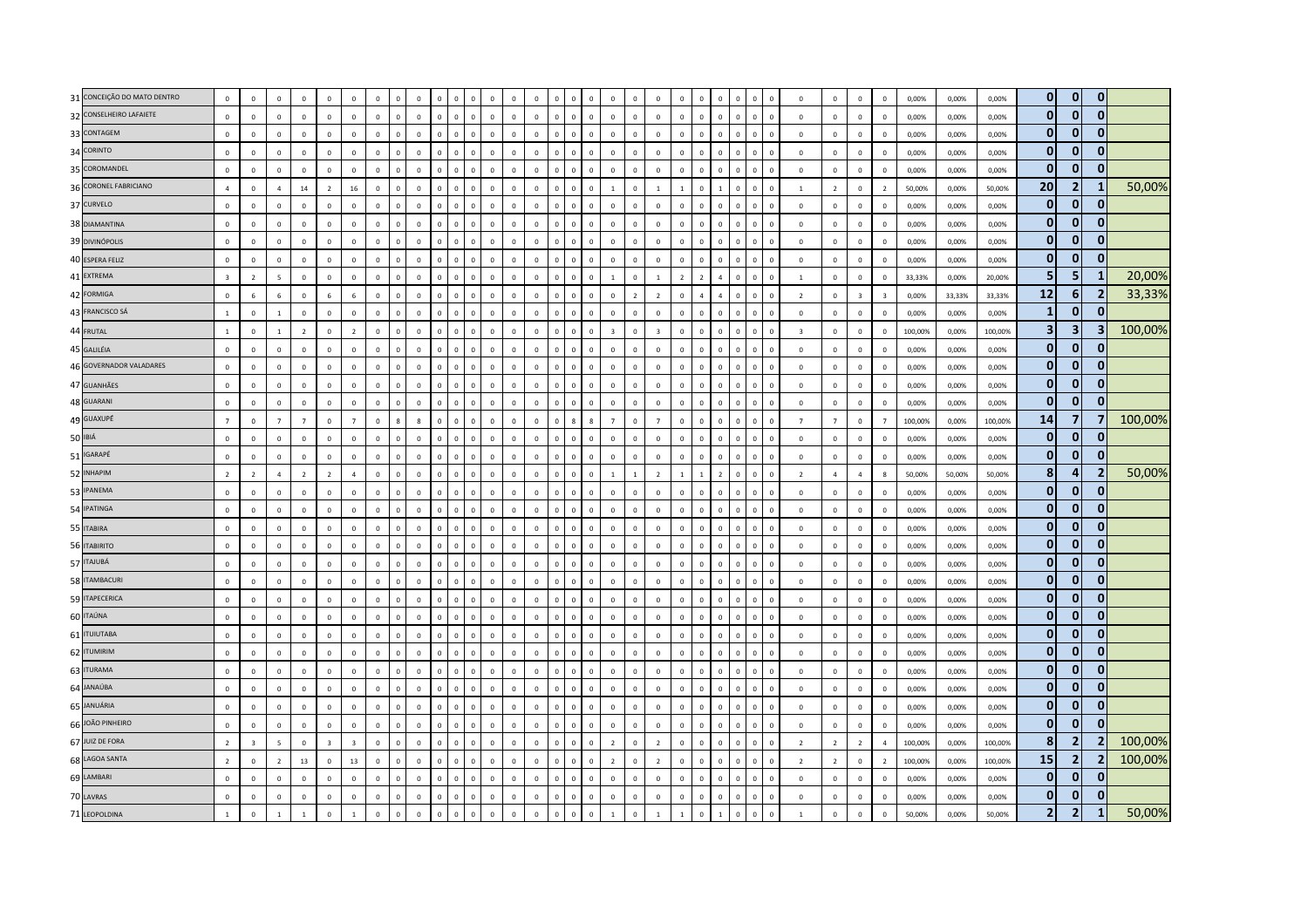| 31 CONCEIÇÃO DO MATO DENTRO | $\mathbf 0$             | $\mathbf 0$             | $\mathbf 0$    | $\mathbf 0$    | $\mathbf{0}$            | $\mathbf 0$             | $\mathbf 0$  | $\Omega$       | $\Omega$     | $\mathbf{0}$ | $\Omega$                       | $\mathsf 0$  | $\mathsf 0$    | $\mathsf 0$  | $\Omega$       | $\Omega$<br>$\Omega$          | $\mathsf 0$    | $\Omega$       | $\mathbf 0$    | $\mathbf 0$    | $\Omega$       | $\mathbf 0$<br>$\Omega$       | $\overline{0}$ | $\Omega$                | $\mathbf 0$             | $\mathbf 0$    | $\mathbf 0$             | $\,$ 0                  | 0,00%   | 0,00%  | 0,00%   | $\mathbf{0}$            | $\mathbf{0}$                 | $\mathbf 0$                |         |
|-----------------------------|-------------------------|-------------------------|----------------|----------------|-------------------------|-------------------------|--------------|----------------|--------------|--------------|--------------------------------|--------------|----------------|--------------|----------------|-------------------------------|----------------|----------------|----------------|----------------|----------------|-------------------------------|----------------|-------------------------|-------------------------|----------------|-------------------------|-------------------------|---------|--------|---------|-------------------------|------------------------------|----------------------------|---------|
| 32 CONSELHEIRO LAFAIETE     | $\mathbf 0$             | $\mathbf 0$             | $\mathbf 0$    | $\mathbf 0$    | $\mathbf{0}$            | $\mathbf 0$             | $\mathbf 0$  | $\mathbf 0$    | $\mathbf{0}$ | $\mathbf 0$  | $\mathbf{0}$<br>$\Omega$       | $\mathbf 0$  | $\Omega$       | $\mathbf{0}$ | $\mathbf 0$    | $\Omega$<br>$\mathbf 0$       | $\mathbf 0$    | $\Omega$       | $\Omega$       | $\mathbf 0$    | $\mathbf 0$    | $\Omega$<br>$\Omega$          | $\mathbf 0$    | $\Omega$                | $\,0\,$                 | $\mathbb O$    | $\mathbf 0$             | $\,$ 0                  | 0,00%   | 0,00%  | 0,00%   | $\bf{0}$                | $\mathbf{0}$                 | $\mathbf{0}$               |         |
| 33 CONTAGEM                 | $\Omega$                | $\Omega$                | $\Omega$       | $\Omega$       | $\Omega$                | $\Omega$                | $\Omega$     | $\Omega$       | $\Omega$     | $\Omega$     | $\Omega$<br>$\Omega$           | $\Omega$     | $\Omega$       | $\Omega$     | $\Omega$       | $\mathbf 0$<br>$\Omega$       | $\Omega$       | $\Omega$       | $\Omega$       | $\Omega$       | $\overline{0}$ | $\Omega$<br>$\Omega$          | $\overline{0}$ | $\sqrt{2}$              | $\mathbf 0$             | $\Omega$       | $\mathbf 0$             | $\Omega$                | 0.00%   | 0.00%  | 0.00%   | 0                       | 0                            | 0                          |         |
| 34 CORINTO                  | $\mathbf 0$             | $\mathbf 0$             | $\mathbf 0$    | $\circ$        | $\mathbf{0}$            | $\mathbf 0$             | $\mathbf 0$  | $\Omega$       | $\Omega$     | $\Omega$     | $\Omega$<br>$\sqrt{2}$         | $\mathbf 0$  | $\Omega$       | $\Omega$     | $\mathbf{0}$   | $\Omega$<br>$\Omega$          | $\mathbf 0$    | $\Omega$       | $\mathbf 0$    | $\mathbf{0}$   | $\overline{0}$ | $\Omega$<br>$\Omega$          | $\mathbf 0$    |                         | $\overline{\mathbf{0}}$ | $\,0\,$        | $\mathbf 0$             | $\,$ 0                  | 0,00%   | 0,00%  | 0,00%   | $\mathbf{0}$            | $\Omega$                     | $\mathbf{0}$               |         |
| 35 COROMANDEL               | $\mathbf 0$             | $\mathbf 0$             | $\mathbf 0$    | $\mathbf 0$    | $\mathbf{0}$            | $\mathbf 0$             | $\mathbf 0$  | $\mathbf{0}$   | $\Omega$     | $\Omega$     | $\Omega$<br>$\mathbf 0$        | $\mathbf 0$  | $\Omega$       | $\mathsf 0$  | $\mathbf 0$    | $\mathbf 0$<br>$\mathbf 0$    | $\mathsf 0$    | $\Omega$       | $\mathsf 0$    | $\mathbf 0$    | $\mathbf 0$    | $\Omega$<br>$\Omega$          | $\mathbf 0$    | $\Omega$                | $\mathbf 0$             | $\mathbf 0$    | $\mathbf 0$             | $\,$ 0                  | 0,00%   | 0,00%  | 0,00%   | $\mathbf{0}$            | $\Omega$                     | $\mathbf{0}$               |         |
| 36 CORONEL FABRICIANO       | $\overline{4}$          | $\mathbf 0$             | $\overline{4}$ | 14             | $\overline{2}$          | 16                      | $\mathbf 0$  | $\overline{0}$ | $\mathbf{0}$ | $\mathbf{0}$ | $\Omega$<br>$\Omega$           | $\mathbf 0$  | $\Omega$       | $\mathsf 0$  | $\overline{0}$ | $\mathbf 0$<br>$\mathbf 0$    | $\mathbf{1}$   | $\mathbf 0$    | $\mathbf{1}$   | $\mathbf{1}$   | $\mathbf 0$    | $\Omega$                      | $\overline{0}$ |                         | $\mathbf{1}$            | $\overline{2}$ | $\mathbf 0$             | $\overline{2}$          | 50,00%  | 0,00%  | 50,00%  | 20                      | $\overline{2}$               | $\mathbf{1}$               | 50,00%  |
| 37 CURVELO                  | $\mathbf 0$             | $\mathbf 0$             | $\mathbf 0$    | $\mathbf 0$    | $\mathbf{0}$            | $\mathbf 0$             | $\mathbf 0$  | $\mathbf 0$    | $\Omega$     | $\mathbf{0}$ | $\mathbf 0$<br>$\overline{0}$  | $\mathbf 0$  | $\mathbf 0$    | $\Omega$     | $\mathbf 0$    | $\mathbf 0$<br>$\mathbf 0$    | $\mathbf 0$    | $\mathbf{0}$   | $\Omega$       | $\mathbf 0$    | $\mathbf 0$    | $\Omega$<br>$\Omega$          | $\mathbf 0$    | $\Omega$                | $\overline{0}$          | $\mathbb O$    | $\mathbf 0$             | $\,$ 0                  | 0,00%   | 0,00%  | 0,00%   | $\mathbf{0}$            | $\mathbf{0}$                 | $\mathbf{0}$               |         |
| 38 DIAMANTINA               | $\mathbf{0}$            | $\Omega$                | $\Omega$       | $\Omega$       | $\mathbf{0}$            | $\Omega$                | $\Omega$     | $\Omega$       | $\Omega$     | $\Omega$     | $\Omega$<br>$\Omega$           | $\circ$      | $\Omega$       | $\Omega$     | $\mathbf{0}$   | $\Omega$<br>$\Omega$          | $\Omega$       | $\Omega$       | $\Omega$       | $\Omega$       | $\overline{0}$ | $\Omega$<br>$\Omega$          | $\mathbf 0$    | $\Omega$                | $\Omega$                | $\Omega$       | $\mathbf 0$             | $\Omega$                | 0,00%   | 0.00%  | 0.00%   | $\mathbf{0}$            | $\bf{0}$                     | 0                          |         |
| 39 DIVINÓPOLIS              | $\mathbf 0$             | $\mathbf 0$             | $\mathbf 0$    | $\mathbf{0}$   | $\overline{0}$          | $\mathbf 0$             | $\mathbf 0$  | $\Omega$       | $\Omega$     | $\Omega$     | $\Omega$<br>$\Omega$           | $\,0\,$      | $\Omega$       | $\Omega$     | $\Omega$       | $\Omega$<br>$\Omega$          | $\Omega$       | $\Omega$       | $\Omega$       | $\Omega$       | $\sqrt{2}$     | $\Omega$                      | $\Omega$       |                         | $\mathbf 0$             | $\mathbf 0$    | $\mathbf 0$             | $\overline{\mathbf{0}}$ | 0,00%   | 0,00%  | 0,00%   | $\mathbf{0}$            | $\mathbf{0}$                 | $\mathbf{0}$               |         |
| 40 ESPERA FELIZ             | $\mathbf 0$             | $\mathbf 0$             | $\mathbf 0$    | $\mathbf 0$    | $\mathbf{0}$            | $\mathbf 0$             | $\mathbf 0$  | $\mathbf 0$    | $\Omega$     | $\Omega$     | $\Omega$<br>$\Omega$           | $\,0\,$      | $\Omega$       | $\mathsf 0$  | $\mathbf 0$    | $\mathbf 0$<br>$\Omega$       | $\mathbf 0$    | $\Omega$       | $\mathbf 0$    | $\mathbf 0$    | $\mathbf 0$    | $\mathbf{0}$<br>$\mathbf 0$   | $\mathbf 0$    | $\overline{\mathbf{0}}$ | $\overline{0}$          | $\mathbf 0$    | $\mathbf 0$             | $\mathbf 0$             | 0,00%   | 0,00%  | 0,00%   | $\mathbf{0}$            | $\mathbf{0}$                 | $\mathbf{0}$               |         |
| 41 EXTREMA                  | $\overline{\mathbf{3}}$ | $\overline{2}$          | 5              | $\mathbf 0$    | $\overline{0}$          | $\mathbf 0$             | $\mathbf 0$  | $\mathbf 0$    | $\mathbf 0$  | $\mathbf{0}$ | $\Omega$<br>$\Omega$           | $\,0\,$      | $\mathbf 0$    | $\mathsf 0$  | $\overline{0}$ | $\overline{0}$<br>$\Omega$    | $\mathbf{1}$   | $\Omega$       | $\mathbf{1}$   | $\overline{2}$ | $\overline{z}$ | $\Omega$<br>$\overline{a}$    | $\overline{0}$ | $\Omega$                | $\mathbf{1}$            | $\mathbf 0$    | $\mathbf 0$             | $\,$ 0                  | 33,33%  | 0,00%  | 20,00%  | 5                       | 5                            | $\mathbf{1}$               | 20,00%  |
| 42 FORMIGA                  | $\mathbf{0}$            | $6\overline{6}$         | 6              | $\mathbf 0$    | 6                       | 6                       | $\mathbf 0$  | $\Omega$       | $\Omega$     | $\Omega$     | $\Omega$<br>$\Omega$           | $\mathbf{0}$ | $\Omega$       | $\Omega$     | $\mathbf{0}$   | $\Omega$<br>$\Omega$          | $\mathbf{0}$   | $\overline{z}$ | $\overline{2}$ | $\Omega$       | $\overline{4}$ | $\Omega$                      | $\mathbf 0$    | $\Omega$                | $\overline{2}$          | $\mathbf{0}$   | $\overline{\mathbf{3}}$ | $\overline{\mathbf{3}}$ | 0,00%   | 33,33% | 33,33%  | 12                      | 6                            | $\overline{2}$             | 33,33%  |
| 43 FRANCISCO SÁ             | $\mathbf{1}$            | $\mathbf 0$             | <sup>1</sup>   | $\mathbf 0$    | $\mathbf 0$             | $\mathbf{0}$            | $\mathbf 0$  | $\overline{0}$ | $\Omega$     | $\Omega$     | $\Omega$<br>$\Omega$           | $\mathbf{0}$ | $\Omega$       | $\mathsf 0$  | $\Omega$       | $\Omega$<br>$\Omega$          | $\mathsf 0$    | $\mathbf{0}$   | $\mathbf 0$    | $\mathbf 0$    | $\mathbf 0$    | $\Omega$<br>$\Omega$          | $\overline{0}$ |                         | $\mathbf{0}$            | $\mathbf 0$    | $\mathbf 0$             | $\,$ 0                  | 0,00%   | 0,00%  | 0,00%   | $\mathbf{1}$            | $\mathbf{0}$                 | $\mathbf{0}$               |         |
| 44 FRUTAL                   | $\mathbf{1}$            | $\Omega$                | $\overline{1}$ | $\overline{z}$ | $\Omega$                | $\overline{z}$          | $\mathbf 0$  | $\Omega$       | $\Omega$     | $\Omega$     | $\Omega$<br>$\Omega$           | $\mathbf 0$  | $\Omega$       | $\Omega$     | $\Omega$       | $\Omega$<br>$\Omega$          | $\overline{3}$ | $\Omega$       | $\overline{3}$ | $\Omega$       | $\overline{0}$ | $\Omega$<br>$\Omega$          | $\overline{0}$ |                         | $\overline{\mathbf{3}}$ | $\mathbf 0$    | $\mathbf 0$             | $\Omega$                | 100.00% | 0.00%  | 100.00% | $\overline{\mathbf{3}}$ | 3                            | 3                          | 100,00% |
| 45 GALILÉIA                 | $\mathbf 0$             | $\overline{0}$          | $\mathbf 0$    | $\mathbf{0}$   | $\overline{\mathbf{0}}$ | $\mathbf 0$             | $\mathbf 0$  | $\mathbf 0$    | $\Omega$     | $\Omega$     | $\mathbf 0$<br>$\mathbf 0$     | $\mathbf 0$  | $\Omega$       | $\mathbf{0}$ | $\mathbf 0$    | $\mathbf 0$<br>$\mathbf 0$    | $\mathbf 0$    | $\Omega$       | $\mathbf 0$    | $\circ$        | $\mathbf 0$    | $\mathbf{0}$<br>$\mathbf 0$   | $\,$ 0         | $\Omega$                | $\,0\,$                 | $\mathbf 0$    | $\mathbf 0$             | $\,$ 0                  | 0,00%   | 0,00%  | 0,00%   | $\bf{0}$                | $\mathbf{0}$                 | $\bf{0}$                   |         |
| 46 GOVERNADOR VALADARES     | $\overline{0}$          | $\overline{0}$          | $\mathbf 0$    | $\mathbf 0$    | $\overline{0}$          | $\mathbf 0$             | $\mathbf 0$  | $\overline{0}$ | $\mathbf{0}$ | $\mathbf{0}$ | $\mathbf{0}$<br>$\overline{0}$ | $\mathbf 0$  | $^{\circ}$     | $\mathsf 0$  | $\mathbf 0$    | $\mathbf 0$<br>$\mathbf 0$    | $\mathsf 0$    | $\mathbf{0}$   | $\mathbf{0}$   | $\mathbf 0$    | $\mathbf 0$    | $\mathbf 0$<br>$\Omega$       | $\overline{0}$ |                         | $\mathbf 0$             | $\mathbf 0$    | $\mathbf 0$             | $\,$ 0                  | 0,00%   | 0,00%  | 0,00%   | $\bf{0}$                | $\mathbf{0}$                 | $\bf{0}$                   |         |
| 47 GUANHÃES                 | $\mathbf 0$             | $\mathbf 0$             | $\mathbf 0$    | $\mathbf 0$    | $\overline{0}$          | $\mathbf{0}$            | $\mathbf 0$  | $\mathbf 0$    | $\mathsf 0$  | $\mathbf 0$  | $\mathbf 0$<br>$\mathbf 0$     | $\mathbf 0$  | $\mathsf 0$    | $\mathsf 0$  | $\mathbf 0$    | $\mathbf 0$<br>$\mathbf 0$    | $\mathsf 0$    | $\mathbf 0$    | $\mathsf 0$    | $\mathbf 0$    | $\mathbf 0$    | $\mathbf 0$<br>$\mathbf{0}$   | $\mathbf 0$    | $\mathbf 0$             | $\mathbf 0$             | $\mathbf 0$    | $\mathbf 0$             | $\overline{0}$          | 0,00%   | 0,00%  | 0,00%   | $\bf{0}$                | $\mathbf{0}$                 | $\mathbf{0}$               |         |
| 48 GUARANI                  | $\mathbf 0$             | $\mathbf 0$             | $\mathbf 0$    | $\mathbf 0$    | $\mathbf 0$             | $\mathbf{0}$            | $\mathbf 0$  | $\Omega$       | $\Omega$     | $\Omega$     | $\mathbf{0}$<br>$\Omega$       | $\,0\,$      | $\Omega$       | $\mathsf 0$  | $\mathbf 0$    | $\Omega$<br>$\Omega$          | $\mathsf 0$    | $\mathbf{0}$   | $\mathbf 0$    | $\mathbf 0$    | $\mathbf 0$    | $\Omega$<br>$\mathbf 0$       | $\overline{0}$ | $\sqrt{2}$              | $\mathbf 0$             | $\mathbf 0$    | $\mathbf 0$             | $\mathbf 0$             | 0,00%   | 0,00%  | 0,00%   | $\mathbf{0}$            | $\mathbf{0}$                 | 0                          |         |
| 49 GUAXUPÉ                  | $\overline{7}$          | $\Omega$                | $\overline{7}$ | $\overline{7}$ | $\overline{0}$          | $\overline{7}$          | $\mathbf 0$  | $\mathbf{R}$   | $\mathbf{R}$ | $\Omega$     | $\Omega$<br>$\Omega$           | $\circ$      | $\Omega$       | $\Omega$     | $\mathbf{0}$   | $\mathbf{R}$<br>$\mathbf{R}$  | $\overline{7}$ | $\Omega$       | $\overline{7}$ | $\Omega$       | $\overline{0}$ | $\Omega$<br>$\Omega$          | $\overline{0}$ | $\Omega$                | $\overline{7}$          | $\overline{7}$ | $\mathbf 0$             | $\overline{7}$          | 100,00% | 0.00%  | 100.00% | 14                      | $\overline{7}$               | 7                          | 100,00% |
| 50 IBIÁ                     | $\mathbf 0$             | $\Omega$                | $\Omega$       | $\Omega$       | $\Omega$                | $\Omega$                | $\mathbf 0$  | $\overline{0}$ | $\Omega$     | $\Omega$     | $\Omega$<br>$\Omega$           | $\mathbf 0$  | $\Omega$       | $\Omega$     | $\mathbf 0$    | $\Omega$<br>$\Omega$          | $\Omega$       | $\Omega$       | $\Omega$       | $\Omega$       | $\Omega$       | $\Omega$<br>$\Omega$          | $\mathbf 0$    | $\Omega$                | $\mathbf 0$             | $\mathbf 0$    | $\mathbf 0$             | $\,$ 0                  | 0,00%   | 0,00%  | 0,00%   | $\mathbf{0}$            | $\mathbf{0}$                 | $\mathbf{0}$               |         |
| 51 IGARAPÉ                  | $\,0\,$                 | $\mathbf 0$             | $\mathbf 0$    | $\mathbf 0$    | $\mathbf{0}$            | $\mathbf 0$             | $\mathbf 0$  | $\overline{0}$ | $\mathbf 0$  | $\Omega$     | $\Omega$<br>$\Omega$           | $\,0\,$      | $\mathbf 0$    | $\mathsf 0$  | $\Omega$       | $\mathbf 0$<br>$\Omega$       | $\mathbf 0$    | $\mathbf{0}$   | $\mathbf 0$    | $\mathbf 0$    | $\mathbf 0$    | $\Omega$<br>$\mathbf 0$       | $\mathbf 0$    | $\Omega$                | $\,$ 0                  | $\,0\,$        | $\mathbf 0$             | $\,$ 0                  | 0,00%   | 0,00%  | 0,00%   | $\bf{0}$                | $\mathbf{0}$                 | $\Omega$                   |         |
| 52 INHAPIM                  | $\overline{2}$          | $\overline{2}$          | $\overline{4}$ | $\overline{2}$ | $\overline{2}$          | $\overline{4}$          | $\mathbf 0$  | $\mathbf{0}$   | $\mathsf 0$  | $\mathbf 0$  | $\mathbf{0}$<br>$\mathbf 0$    | $\mathsf 0$  | $\mathsf 0$    | $\mathsf 0$  | $\mathbf 0$    | $\mathbf 0$<br>$\mathbf 0$    | $\mathbf{1}$   |                | $\overline{2}$ | $\mathbf{1}$   | $\overline{1}$ | $\mathbf 0$<br>$\overline{2}$ | $\mathbf 0$    | $\mathbf 0$             | $\overline{2}$          | $\overline{4}$ | $\overline{4}$          | 8                       | 50,00%  | 50,00% | 50,00%  | 8                       | 4                            | $\overline{2}$             | 50,00%  |
| 53 IPANEMA                  | $\mathbf 0$             | $\mathbf 0$             | $\mathbf 0$    | $\mathbf 0$    | $\mathbf{0}$            | $\mathbf 0$             | $\mathbf 0$  | $\Omega$       | $\Omega$     | $\Omega$     | $\Omega$                       | $\mathbf{0}$ |                | $\Omega$     | $\Omega$       | $\Omega$<br>$\Omega$          | $\mathsf 0$    | $\Omega$       | $\mathsf 0$    | $\mathbf 0$    | $\Omega$       | $\Omega$                      | $\Omega$       |                         | $\mathbf{0}$            | $\mathbf 0$    | $\mathbf 0$             | $\,$ 0                  | 0,00%   | 0,00%  | 0,00%   | $\mathbf{0}$            | $\mathbf{0}$                 | $\mathbf{0}$               |         |
| 54 IPATINGA                 | $\mathbf 0$             | $\mathbf 0$             | $\mathbf 0$    | $\mathbf 0$    | $\mathbf 0$             | $\mathbf 0$             | $\mathbf 0$  | $\mathbf 0$    | $\mathbf 0$  | $\mathbf 0$  | $\mathbf 0$<br>$\mathbf 0$     | $\mathbf 0$  | $\mathbf 0$    | $\mathbf 0$  | $\mathbf 0$    | $\mathbf 0$<br>$\Omega$       | $\mathbf 0$    | $\mathbf{0}$   | $\mathbf 0$    | $\mathbf 0$    | $\mathbf 0$    | $\mathbf 0$<br>$\mathbf 0$    | $\mathbf 0$    | $\Omega$                | $\overline{0}$          | $\mathbf 0$    | $\mathbf 0$             | $\overline{\mathbf{0}}$ | 0,00%   | 0,00%  | 0,00%   | $\bf{0}$                | $\mathbf{0}$                 | $\mathbf{0}$               |         |
| 55 ITABIRA                  | $\Omega$                | $\Omega$                | $\Omega$       | $\Omega$       | $\Omega$                | $\Omega$                | $\mathbf 0$  | $\Omega$       | $\Omega$     | $\Omega$     | $\Omega$<br>$\Omega$           | $\mathbf 0$  | $\Omega$       | $\mathsf 0$  | $\mathbf 0$    | $\Omega$<br>$\Omega$          | $\mathbf 0$    | $\Omega$       | $\Omega$       | $\circ$        | $\Omega$       | $\Omega$<br>$\Omega$          | $\mathbf 0$    | $\Omega$                | $\Omega$                | $\Omega$       | $\mathbf 0$             | $\overline{0}$          | 0,00%   | 0.00%  | 0.00%   | $\mathbf{0}$            | $\mathbf{0}$                 | 0                          |         |
| 56 ITABIRITO                | $\,0\,$                 | $\mathbf 0$             | $\mathbf 0$    | $\mathbf 0$    | $\overline{\mathbf{0}}$ | $\mathbf 0$             | $\mathbf 0$  | $\mathbf 0$    | $\mathbf 0$  | $\circ$      | $\mathbf 0$<br>$\mathbf 0$     | $\,0\,$      | $\mathbf 0$    | $\mathbf 0$  | $\mathbf 0$    | $\mathsf 0$<br>$\mathbf 0$    | $\mathbf 0$    | $\mathbf{0}$   | $\mathbf 0$    | $\mathbf 0$    | $\mathbf 0$    | $\mathbf 0$<br>$\mathbf 0$    | $\,$ 0         | $\mathbf 0$             | $\overline{0}$          | $\mathbf 0$    | $\,0\,$                 | $\overline{0}$          | 0,00%   | 0,00%  | 0,00%   | $\bf{0}$                | $\mathbf{0}$                 | $\mathbf{0}$               |         |
| 57 ITAJUBÁ                  | $\mathbf 0$             | $\mathbf 0$             | $\mathbf 0$    | $\mathbf 0$    | $\overline{0}$          | $\mathbf{0}$            | $\mathbf 0$  | $\mathbf 0$    | $\mathsf 0$  | $\mathbf 0$  | $\mathbf 0$<br>$\mathbf 0$     | $\mathsf 0$  | $\mathsf 0$    | $\mathsf 0$  | $\mathbf 0$    | $\mathbf 0$<br>$\mathbf 0$    | $\mathsf 0$    | $\mathbf 0$    | $\mathsf 0$    | $\mathbf{0}$   | $\mathbf 0$    | $\mathbf 0$<br>$\mathsf 0$    | $\mathbf 0$    | $\mathbf 0$             | $\mathbf 0$             | $\mathbf 0$    | $\mathbf 0$             | $\overline{0}$          | 0,00%   | 0,00%  | 0,00%   | $\bf{0}$                | $\mathbf{0}$                 | $\mathbf{0}$               |         |
| 58 ITAMBACURI               | $\mathbf 0$             | $\mathbf 0$             | $\mathbf 0$    | $\mathbf 0$    | $\mathbf 0$             | $\mathbf 0$             | $\mathbf 0$  | $\mathbf 0$    | $\mathbf{0}$ | $\mathbf 0$  | $\mathbf{0}$<br>$\overline{0}$ | $\mathbf{0}$ |                | $\mathsf 0$  | $\overline{0}$ | $\overline{0}$<br>$\mathbf 0$ | $\mathsf 0$    |                | $\mathbf 0$    | $\mathbf 0$    | $\mathbf 0$    | $\Omega$<br>$\mathbf 0$       | $\overline{0}$ |                         | $\mathbf{0}$            | $\pmb{0}$      | $\mathbf 0$             | $\,$ 0                  | 0,00%   | 0,00%  | 0,00%   | $\bf{0}$                | $\mathbf{0}$                 | $\bf{0}$                   |         |
| 59 ITAPECERICA              | $\mathbf{0}$            | $\mathbf 0$             | $\mathbf 0$    | $\mathbf 0$    | $\mathbf{0}$            | $\mathbf 0$             | $\mathbf 0$  | $\overline{0}$ | $\Omega$     | $\Omega$     | $\Omega$<br>$\Omega$           | $\mathbf 0$  | $\Omega$       | $\Omega$     | $\mathbf 0$    | $\Omega$<br>$\Omega$          | $\mathsf 0$    | $\Omega$       | $\mathbf 0$    | $\Omega$       | $\mathbf 0$    | $\Omega$<br>$\Omega$          | $\mathbf 0$    | $\sqrt{2}$              | $\,0\,$                 | $\mathbf 0$    | $\mathbf 0$             | $\overline{\mathbf{0}}$ | 0,00%   | 0,00%  | 0,00%   | $\bf{0}$                | $\mathbf{0}$                 | $\mathbf{0}$               |         |
| 60 ITAÚNA                   | $\mathbf 0$             | $\mathbf 0$             | $\mathbf{0}$   | $\Omega$       | $\Omega$                | $\Omega$                | $\mathbf{0}$ | $\Omega$       | $\Omega$     | $\Omega$     | $\Omega$<br>$\Omega$           | $\mathbf 0$  | $\Omega$       | $\Omega$     | $\mathbf 0$    | $\Omega$<br>$\Omega$          | $\Omega$       | $\Omega$       | $\overline{0}$ | $\mathbf 0$    | $\Omega$       | $\Omega$<br>$\Omega$          | $\,$ 0         | $\Omega$                | $\mathbf 0$             | $\overline{0}$ | $\mathbf 0$             | $\mathbf 0$             | 0,00%   | 0,00%  | 0,00%   | $\bf{0}$                | $\mathbf{0}$                 | $\mathbf{0}$               |         |
| 61 <b>ITUIUTABA</b>         | $\mathbf 0$             | $\mathbf 0$             | $\mathbf 0$    | $\mathbf 0$    | $\mathbf{0}$            | $\mathbf 0$             | $\mathbf 0$  | $\overline{0}$ | $\mathbf 0$  | $\Omega$     | $\Omega$<br>$\Omega$           | $\mathbf 0$  | $\Omega$       | $\mathbf 0$  | $\Omega$       | $\Omega$<br>$\Omega$          | $\mathbf{0}$   | $\mathbf{0}$   | $\mathbf 0$    | $\mathbf 0$    | $\overline{0}$ | $\Omega$<br>$\mathbf 0$       | $\overline{0}$ | $\Omega$                | $\,0\,$                 | $\,0\,$        | $\mathbf 0$             | $\mathbf 0$             | 0,00%   | 0,00%  | 0,00%   | $\bf{0}$                | $\mathbf{0}$                 | $\mathbf{0}$               |         |
| 62 ITUMIRIM                 | $\circ$                 | $\mathbf 0$             | $\mathbf 0$    | $\mathbf{0}$   | $\mathbf 0$             | $\mathsf 0$             | $\,0\,$      | $\mathbf 0$    | $\mathsf 0$  | $\mathbf 0$  | $\mathbf 0$<br>$\mathbf 0$     | $\mathbf 0$  | $\overline{0}$ | $\mathbf 0$  | $\mathbf 0$    | $\mathbf 0$<br>$\overline{0}$ | $\mathbf 0$    | $\overline{0}$ | $\mathbf 0$    | $\mathbf 0$    | $\mathbf 0$    | $\mathbf 0$<br>$\mathbf 0$    | $\,$ 0         | $\mathbf 0$             | $\mathbf 0$             | $\mathbf 0$    | $\mathbf 0$             | $\,$ 0 $\,$             | 0,00%   | 0,00%  | 0,00%   | 0                       | 0                            | $\bf{0}$                   |         |
| 63 ITURAMA                  | $\mathbf 0$             | $\mathbf 0$             | $\mathbf 0$    | $\mathbf 0$    | $\mathbf 0$             | $\mathbf 0$             | $\,0\,$      | $\mathbf 0$    | $\mathbf 0$  | $\mathbf 0$  | $\Omega$<br>$\Omega$           | $\mathbf{0}$ |                | $\mathsf 0$  | $\overline{0}$ | $\mathbf 0$<br>$\theta$       | $\mathsf 0$    | $\mathbf{0}$   | $\mathsf 0$    | $\mathbf 0$    | $\mathbf 0$    | $\Omega$<br>$\mathbf 0$       | $\overline{0}$ |                         | $\mathbf{0}$            | $\mathbf 0$    | $\mathbf 0$             | $\,$ 0                  | 0,00%   | 0,00%  | 0,00%   | $\mathbf 0$             | $\mathbf{0}$                 | $\bf{0}$                   |         |
| 64 JANAÚBA                  | $\circ$                 | $\mathbf 0$             | $\overline{0}$ | $\mathbf 0$    | $\mathbf 0$             | $\mathbf 0$             | $\mathbf 0$  | $\mathbf 0$    | $\mathbf 0$  | $\Omega$     | $\mathbf 0$<br>$\Omega$        | $\mathbf 0$  | $\mathbf 0$    | $\mathbf 0$  | $\mathbf 0$    | $\mathbf 0$<br>$\Omega$       | $\mathbf 0$    | $\Omega$       | $\mathbf 0$    | $\mathbf 0$    | $\mathbf 0$    | $\mathbf{0}$<br>$\mathbf 0$   | $\mathbf 0$    | $\Omega$                | $\overline{0}$          | $\mathbf 0$    | $\mathbf 0$             | $\overline{\mathbf{0}}$ | 0,00%   | 0,00%  | 0,00%   | $\mathbf 0$             | $\mathbf{0}$<br>$\mathbf{0}$ | $\mathbf 0$                |         |
| 65 JANUÁRIA                 | $\mathbf 0$             | $\mathbf 0$             | $\mathbf 0$    | $\mathbf{0}$   | $\mathbf 0$             | $\mathbf 0$             | $\mathbf 0$  | $\Omega$       | $\Omega$     | $\Omega$     | $\Omega$<br>$\Omega$           | $\mathbf 0$  | $\Omega$       | $\mathsf 0$  | $\mathbf 0$    | $\overline{0}$<br>$\mathbf 0$ | $\mathsf 0$    | $\Omega$       | $\mathbf 0$    | $\mathbf 0$    | $\mathbf 0$    | $\Omega$<br>$\mathbf 0$       | $\overline{0}$ | $\Omega$                | $\mathbf 0$             | $\mathbf 0$    | $\mathbf 0$             | $\,$ 0                  | 0,00%   | 0,00%  | 0,00%   | $\mathbf 0$             |                              | $\mathbf 0$                |         |
| 66 JOÃO PINHEIRO            | $\mathbf 0$             | $\mathbf 0$             | $\mathbf 0$    | $\mathbf 0$    | $\overline{0}$          | $\mathbf 0$             | $\mathbf 0$  | $\Omega$       | $\Omega$     | $\mathbf{0}$ | $\mathbf{0}$<br>$\Omega$       | $\mathbf 0$  | $\Omega$       | $\Omega$     | $\mathbf{0}$   | $\Omega$<br>$\Omega$          | $\mathbf 0$    | $\Omega$       | $\Omega$       | $\mathbf 0$    | $\overline{0}$ | $\mathbf{0}$<br>$\Omega$      | $\mathbf 0$    | $\Omega$                | $\,$ 0                  | $\mathbf 0$    | $\mathbf 0$             | $\overline{\mathbf{0}}$ | 0,00%   | 0,00%  | 0,00%   | $\bf{0}$                | $\mathbf{0}$                 | $\Omega$<br>$\overline{2}$ |         |
| 67 JUIZ DE FORA             | $\overline{2}$          | $\overline{\mathbf{3}}$ | $\overline{5}$ | $\mathbf 0$    | $\overline{3}$          | $\overline{\mathbf{3}}$ | $\mathbf 0$  | $\mathbf 0$    | $\Omega$     | $\Omega$     | $\mathbf 0$<br>$\mathbf 0$     | $\mathbf 0$  | $\Omega$       | $\mathsf 0$  | $\mathbf 0$    | $\mathbf 0$<br>$\mathbf 0$    | $\overline{2}$ | $\mathbf{0}$   | $\overline{2}$ | $\mathbf 0$    | $\mathbf 0$    | $\mathbf 0$<br>$\mathbf{0}$   | $\,$ 0         | $\mathbf 0$             | $\overline{2}$          | $\overline{2}$ | $\overline{2}$          | $\overline{4}$          | 100,00% | 0,00%  | 100,00% | 8                       | $\overline{2}$               |                            | 100,00% |
| 68 LAGOA SANTA              | $\overline{2}$          | $\mathbf 0$             | $\overline{2}$ | $13\,$         | $\mathbf 0$             | 13                      | $\mathbf 0$  | $\mathbf 0$    | $\mathbf 0$  | $\mathbf 0$  | $\Omega$<br>$\Omega$           | $\mathbf{0}$ |                | $\mathbf 0$  | $\Omega$       | $\mathbf 0$                   | $\overline{2}$ |                | $\overline{2}$ | $\mathbf{0}$   | $\overline{0}$ | $\Omega$<br>$\mathbf 0$       | $\mathbf 0$    |                         | $\overline{2}$          | $\overline{2}$ | $\mathbf 0$             | $\overline{2}$          | 100,00% | 0,00%  | 100,00% | 15                      | $\overline{2}$               | $\overline{2}$             | 100,00% |
| 69 LAMBARI                  | $\mathbf 0$             | $\mathbf 0$             | $\mathbf 0$    | $\mathbf 0$    | $\overline{0}$          | $\mathbf 0$             | $\mathbf 0$  | $\mathbf 0$    | $\mathsf 0$  | $\mathbf 0$  | $\mathbf 0$<br>$\mathbf 0$     | $\mathsf 0$  | $\mathsf 0$    | $\mathsf 0$  | $\mathbf 0$    | $\mathbf 0$<br>$\mathbf 0$    | $\mathsf 0$    | $\mathbf{0}$   | $\mathbf{0}$   | $\mathbf 0$    | $\mathbf 0$    | $\mathbf 0$<br>$\mathsf 0$    | $\,$ 0         | $\mathbf 0$             | $\,0\,$                 | $\mathbf 0$    | $\mathbf 0$             | $\,$ 0                  | 0,00%   | 0,00%  | 0,00%   | $\bf{0}$                | $\mathbf{0}$                 | 0                          |         |
| 70 LAVRAS                   | $\mathbf 0$             | $\mathbf 0$             | $\mathbf{0}$   | $\mathbf{0}$   | $\mathbf 0$             | $\mathbf{0}$            | $\mathbf 0$  | $\overline{0}$ | $\mathbf 0$  | $\mathbf{0}$ | $\mathbf 0$<br>$\mathbf 0$     | $\mathbf 0$  | $\overline{0}$ | $\mathbf{0}$ | $\mathbf 0$    | $\mathbf 0$<br>$\mathbf 0$    | $\mathbf 0$    | $\overline{0}$ | $\mathbf 0$    | $\circ$        | $\mathbf 0$    | $\mathbf 0$<br>$\mathbf 0$    | $\mathbf 0$    | $\mathbf{0}$            | $\overline{0}$          | $\mathbf 0$    | $\mathbf 0$             | $\,$ 0                  | 0,00%   | 0.00%  | 0,00%   | $\bf{0}$                | $\mathbf{0}$                 | $\mathbf{0}$               |         |
| 71 LEOPOLDINA               | $\mathbf{1}$            | $\overline{0}$          | $\overline{1}$ | $\mathbf{1}$   | $\mathbf{0}$            | $\blacksquare$          | $\mathbf 0$  | $\overline{0}$ | $\mathbf 0$  | $\mathbf 0$  | $\Omega$<br>$\sqrt{2}$         | $\mathbf 0$  | $\Omega$       | $\mathsf 0$  | $\Omega$       | $\mathsf 0$<br>$\Omega$       | $\overline{1}$ | $\Omega$       | $\overline{1}$ |                | $\sqrt{2}$     | $\Omega$                      | $\,$ 0         |                         | $\mathbf{1}$            | $\mathbf{0}$   | $\mathbf 0$             | $\,$ 0                  | 50,00%  | 0,00%  | 50,00%  | $\mathbf{2}$            | $\overline{\mathbf{2}}$      | $\mathbf{1}$               | 50,00%  |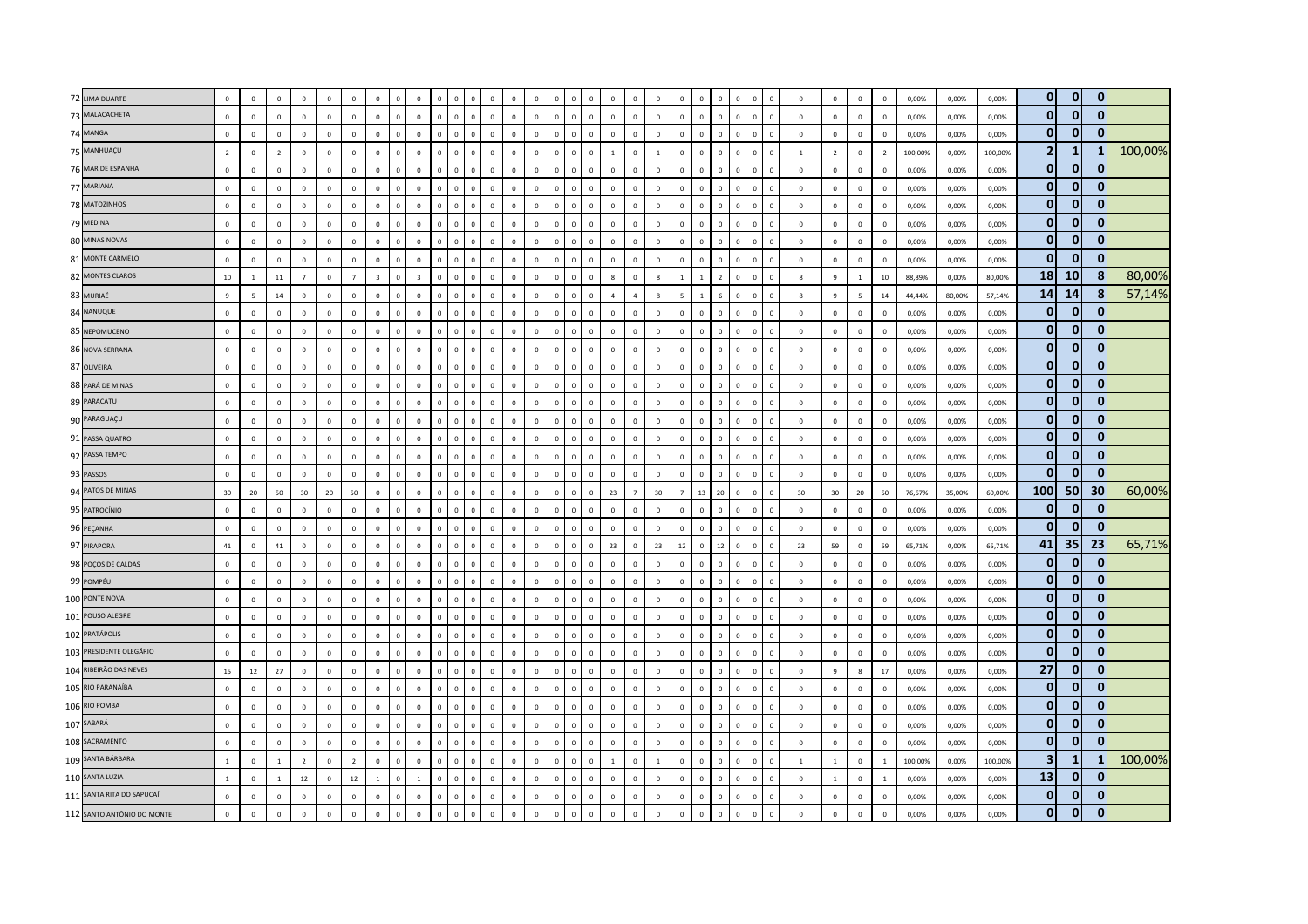| 72 LIMA DUARTE             | $\mathbf 0$    | $\mathbf 0$     | $\mathbf 0$    | $\mathbf 0$    | $\Omega$       | $\mathsf 0$    | $\mathbf 0$             |                | $\mathbf 0$    | $\mathbf{0}$ | $\mathbf 0$<br>$\mathbf 0$             | $\mathsf 0$  | $\Omega$       | $\mathsf 0$    | $\,$ 0                     | $\mathsf 0$<br>$\Omega$      | $\mathbf 0$      | $\mathbf{0}$   | $\mathbf 0$    | $\mathbf 0$    | $\Omega$                | $\mathbf{0}$<br>$\Omega$       | $\Omega$       |              | $\circ$          | $\mathbf 0$    | $\mathbf 0$              | $\,$ 0                  | 0,00%   | 0,00%  | 0,00%   | $\mathbf{0}$    | $\mathbf{0}$    | $\bf{0}$     |         |
|----------------------------|----------------|-----------------|----------------|----------------|----------------|----------------|-------------------------|----------------|----------------|--------------|----------------------------------------|--------------|----------------|----------------|----------------------------|------------------------------|------------------|----------------|----------------|----------------|-------------------------|--------------------------------|----------------|--------------|------------------|----------------|--------------------------|-------------------------|---------|--------|---------|-----------------|-----------------|--------------|---------|
| 73 MALACACHETA             | $\mathbf 0$    | $\mathbf 0$     | $\mathbf{0}$   | $\mathbf 0$    | $\mathbf 0$    | $\mathbf{0}$   | $\mathbf 0$             | $\Omega$       | $\mathsf 0$    | $\mathbf{0}$ | $\mathbf 0$<br>$\overline{\mathbf{0}}$ | $\mathsf 0$  | $\mathbf{0}$   | $\mathbf 0$    | $\mathbf 0$                | $\mathbf 0$<br>$\mathbf{0}$  | $\mathsf 0$      | $\Omega$       | $\overline{0}$ | $\mathbb O$    | $\mathbf 0$             | $\mathbf{0}$<br>$\mathbf 0$    | $\overline{0}$ | $\Omega$     | $\mathsf 0$      | $\mathbf 0$    | $\mathbf 0$              | $\,$ 0                  | 0,00%   | 0,00%  | 0,00%   | $\bf{0}$        | $\mathbf{0}$    | $\mathbf{0}$ |         |
| 74 MANGA                   | $\Omega$       | $\Omega$        | $\Omega$       | $\Omega$       | $\Omega$       | $\Omega$       | $\mathbf 0$             | $\sqrt{2}$     | $\Omega$       | $\Omega$     | $\mathbf 0$<br>$\Omega$                | $\Omega$     | $\Omega$       | $\Omega$       | $\overline{0}$<br>$\Omega$ | $\Omega$                     | $\Omega$         | $\Omega$       | $\Omega$       | $\Omega$       | $\Omega$                | $\Omega$<br>$\Omega$           | $\Omega$       |              | $\mathbf 0$      | $\Omega$       | $\mathbf{0}$             | $\,$ 0                  | 0,00%   | 0.00%  | 0.00%   | 0               | $\bf{0}$        | 0            |         |
| 75 MANHUAÇU                | $\overline{2}$ | $\mathbf 0$     | $\overline{2}$ | $\mathbf{0}$   | $\Omega$       | $\mathbf 0$    | $\mathbf 0$             | $\sqrt{ }$     | $\mathsf 0$    | $\Omega$     | $\mathbf{0}$<br>$\mathbf 0$            | $\mathsf 0$  | $\Omega$       | $\mathbf 0$    | $\mathbf 0$<br>$\Omega$    | $\Omega$                     | $\mathbf{1}$     | $\mathbb O$    | $\overline{1}$ | $\mathbf 0$    | $\overline{0}$          | $\mathbf 0$<br>$\mathbf 0$     | $\Omega$       | $\Omega$     | $\mathbf{1}$     | $\overline{2}$ | $\,0\,$                  | $\overline{2}$          | 100,00% | 0,00%  | 100,00% | $\overline{2}$  | $\mathbf{1}$    | -1           | 100,00% |
| 76 MAR DE ESPANHA          | $\mathbf{0}$   | $\mathbf 0$     | $\mathbf{0}$   | $\mathbf 0$    | $\Omega$       | $\Omega$       | $\mathbf 0$             | $\Omega$       | $\mathsf 0$    | $\mathbf 0$  | $\mathbf 0$<br>$\overline{\mathbf{0}}$ | $\mathsf 0$  | $\mathbf 0$    | $\mathbf 0$    | $\mathbf 0$                | $\mathbf{0}$<br>$\mathbf{0}$ | $\mathbf 0$      | $\mathbf{0}$   | $\mathbf 0$    | $\mathbf 0$    | $\mathbf 0$             | $\mathbf 0$<br>$\mathbf{0}$    | $\Omega$       |              | $\mathsf 0$      | $\overline{0}$ | $\mathbf 0$              | $\overline{0}$          | 0,00%   | 0,00%  | 0,00%   | $\mathbf 0$     | $\mathbf{0}$    | $\bf{0}$     |         |
| 77 MARIANA                 | $\mathbf 0$    | $\mathbf 0$     | $\mathbf 0$    | $\mathbf 0$    | $\mathbf 0$    | $\mathsf 0$    | $\mathbf 0$             |                | $\mathsf 0$    | $\mathbf 0$  | $\mathbf 0$<br>$\Omega$                | $\mathsf 0$  | $\mathbf 0$    | $\mathsf 0$    | $\mathbf 0$<br>$\mathbf 0$ | $\mathbf{0}$                 | $\mathbf 0$      | $\mathbf 0$    | $\mathbf 0$    | $\mathbf 0$    | $\overline{0}$          | $\mathbf 0$                    | $\Omega$       |              | $\overline{0}$   | $\mathbf 0$    | $\mathbf 0$              | $\mathbf 0$             | 0,00%   | 0,00%  | 0,00%   | $\mathbf 0$     | $\mathbf{0}$    | $\Omega$     |         |
| 78 MATOZINHOS              | $\mathbf 0$    | $\mathbf 0$     | $\mathbf 0$    | $\mathbf 0$    | $\mathbf 0$    | $\Omega$       | $\mathbf 0$             | $\Omega$       | $\mathbf{0}$   | $\mathbf 0$  | $\mathbf 0$<br>$\overline{\mathbf{0}}$ | $\mathsf 0$  | $\Omega$       | $\mathbf 0$    | $\mathbf 0$                | $\mathbf 0$<br>$\mathbf{0}$  | $\mathsf 0$      | $\mathbf{0}$   | $\mathbf 0$    | $\mathbb O$    | $\overline{\mathbf{0}}$ | $\mathbf 0$<br>$\mathbf{0}$    | $\Omega$       | $\Omega$     | $\overline{0}$   | $\mathbf 0$    | $\mathbf 0$              | $\,$ 0                  | 0,00%   | 0,00%  | 0,00%   | $\mathbf 0$     | $\mathbf{0}$    | 0            |         |
| 79 MEDINA                  | $\Omega$       | $\Omega$        | $\Omega$       | $\Omega$       | $\Omega$       | $\Omega$       | $\mathbf 0$             | $\Omega$       | $\Omega$       | $\Omega$     | $\mathbf 0$<br>$\mathbf 0$             | $\Omega$     | $\Omega$       | $\mathbf{0}$   | $\overline{0}$<br>$\Omega$ | $\Omega$                     | $\Omega$         | $\Omega$       | $\Omega$       | $\Omega$       | $\Omega$                | $\Omega$<br>$\mathbf{0}$       | $\Omega$       | $\Omega$     | $\mathbf 0$      | $\Omega$       | $\mathbf 0$              | $\overline{0}$          | 0.00%   | 0.00%  | 0.00%   | 0               | 0               | 0            |         |
| 80 MINAS NOVAS             | $\mathbf{0}$   | $\Omega$        | $\mathbf 0$    | $\mathbf{0}$   | $\Omega$       | $\Omega$       | $\mathbf 0$             |                | $\Omega$       | $\Omega$     | $\Omega$<br>$\sqrt{2}$                 | $\Omega$     | $\Omega$       | $\Omega$       | $\overline{0}$             | $\Omega$                     | $\mathbf 0$      | $\Omega$       | $\mathbf 0$    | $\Omega$       | $\Omega$                | $\Omega$                       | $\Omega$       |              | $\mathbf 0$      | $\mathbf 0$    | $\,0\,$                  | $\,$ 0                  | 0,00%   | 0,00%  | 0,00%   | $\mathbf{0}$    | $\mathbf{0}$    | $\mathbf{0}$ |         |
| 81 MONTE CARMELO           | $\mathbf{0}$   | $\overline{0}$  | $\mathbf 0$    | $\mathbf{0}$   | $\overline{0}$ | $\Omega$       | $\mathbf 0$             | $\Omega$       | $\mathsf 0$    | $\mathbf 0$  | $\circ$<br>$\mathbf 0$                 | $\mathbf{0}$ | $\overline{0}$ | $\mathbf 0$    | $\,0\,$                    | $\mathbf{0}$<br>$\mathbf{0}$ | $\mathbf 0$      | $\mathbf{0}$   | $\mathbf 0$    | $\mathbf 0$    | $\overline{0}$          | $\mathbf{0}$<br>$\mathbf 0$    | $\mathbf 0$    | $\Omega$     | $\overline{0}$   | $\overline{0}$ | $\mathbf 0$              | $\overline{0}$          | 0,00%   | 0,00%  | 0,00%   | $\mathbf{0}$    | $\mathbf{0}$    | $\mathbf{0}$ |         |
| 82 MONTES CLAROS           | 10             | 1               | 11             | $\overline{7}$ | $\mathbf 0$    | $\overline{7}$ | $\overline{\mathbf{3}}$ | $\Omega$       | $\overline{3}$ | $\mathbf 0$  | $\Omega$<br>$\mathbf 0$                | $\mathsf 0$  | $\mathbf 0$    | $\mathsf 0$    | $\mathbf 0$<br>$\mathbf 0$ | $\mathbf 0$                  | $\boldsymbol{8}$ | $\mathbf 0$    | 8              | $\mathbf{1}$   |                         | $\overline{2}$<br>$\mathbf{0}$ | $\mathbf 0$    | $\Omega$     | 8                | 9              | $\mathbf{1}$             | 10                      | 88,89%  | 0,00%  | 80,00%  | 18 <sup>1</sup> | <b>10</b>       | 8            | 80,00%  |
| 83 MURIAÉ                  | 9              | $5\overline{5}$ | 14             | $\mathbf 0$    | $\mathbf 0$    | $\Omega$       | $\mathbf 0$             | $\Omega$       | $\mathbf{0}$   | $\mathbf 0$  | $\mathbf 0$<br>$\overline{\mathbf{0}}$ | $\mathsf 0$  | $\Omega$       | $\mathbf 0$    | $\mathbf 0$                | $\mathbf 0$<br>$\mathbf{0}$  | $\overline{4}$   | $\overline{a}$ | $\mathbf{g}$   | 5              | $\overline{1}$          | $\mathbf 0$<br>$6\phantom{.}$  | $\overline{0}$ | $\Omega$     | $\boldsymbol{8}$ | 9              | $\overline{\phantom{a}}$ | 14                      | 44,44%  | 80,00% | 57,14%  | 14              | 14              | 8            | 57,14%  |
| 84 NANUQUE                 | $\circ$        | $\mathbf 0$     | $\mathbf 0$    | $\mathbf 0$    | $\mathbf 0$    | $\mathsf 0$    | $\mathbf 0$             | $\Omega$       | $\mathbf 0$    | $\mathbf 0$  | $\Omega$<br>$\mathbf 0$                | $\mathbf{0}$ | $\Omega$       | $\mathbf 0$    | $\mathbf 0$<br>$\Omega$    | $\mathbf 0$                  | $\mathbf 0$      | $\circ$        | $\mathbf 0$    | $\mathbf 0$    | $\Omega$                | $\mathbf 0$<br>$\Omega$        | $\Omega$       |              | $\mathbf 0$      | $\mathbf 0$    | $\mathbf 0$              | $\,$ 0                  | 0,00%   | 0,00%  | 0,00%   | $\bf{0}$        | $\mathbf{0}$    | 0            |         |
| 85 NEPOMUCENO              | $\mathbf{0}$   | $\Omega$        | $\mathbf 0$    | $\Omega$       | $\Omega$       | $\Omega$       | $\mathbf 0$             |                | $\Omega$       | $\Omega$     | $\mathbf{0}$<br>$\overline{0}$         | $\mathsf 0$  | $\Omega$       | $\Omega$       | $\overline{0}$<br>$\Omega$ | $\Omega$                     | $\mathbf 0$      | $\Omega$       | $\Omega$       | $\Omega$       | $\Omega$                | $\Omega$<br>$\Omega$           | $\Omega$       | $\Omega$     | $\mathbf 0$      | $\Omega$       | $\mathbf 0$              | $\overline{0}$          | 0,00%   | 0,00%  | 0.00%   | $\mathbf{0}$    | $\Omega$        | $\bf{0}$     |         |
| 86 NOVA SERRANA            | $\mathbf{0}$   | $\overline{0}$  | $\mathbf 0$    | $\mathbf{0}$   | $\Omega$       | $\Omega$       | $\mathbf 0$             | $\Omega$       | $\mathsf 0$    | $\mathbf 0$  | $\mathbf 0$<br>$\mathbf 0$             | $\mathbf{0}$ | $\overline{0}$ | $\mathbf 0$    | $\,0\,$                    | $\mathbf{0}$<br>$\mathbf{0}$ | $\mathbf 0$      | $\mathbf 0$    | $\overline{0}$ | $\mathbf 0$    | $\mathbf 0$             | $\mathbf{0}$<br>$\,0\,$        | $\Omega$       | $\Omega$     | $\mathbf 0$      | $\overline{0}$ | $\,0\,$                  | $\mathbf 0$             | 0,00%   | 0,00%  | 0,00%   | $\bf{0}$        | $\mathbf{0}$    | $\mathbf{0}$ |         |
| 87 OLIVEIRA                | $\mathbf 0$    | $\mathbf 0$     | $\mathbf 0$    | $\mathbf 0$    | $\mathbf{0}$   | $\mathsf 0$    | $\mathbf 0$             |                | $\mathbf 0$    | $\mathbf 0$  | $\Omega$<br>$\mathbf 0$                | $\mathsf 0$  | $\mathbf 0$    | $\mathsf 0$    | $\mathbf 0$<br>$\mathbf 0$ | $\mathbf 0$                  | $\mathbf 0$      | $\mathbf 0$    | $\mathbf 0$    | $\mathbf 0$    | $\overline{0}$          | $\mathbf 0$                    | $\Omega$       |              | $\mathbf 0$      | $\mathbf 0$    | $\mathbf 0$              | $\,$ 0                  | 0,00%   | 0,00%  | 0,00%   | $\bf{0}$        | $\mathbf{0}$    | $\mathbf{0}$ |         |
| 88 PARÁ DE MINAS           | $\circ$        | $\mathbf 0$     | $\mathbf 0$    | $\mathbf 0$    | $\mathbf 0$    | $\mathsf 0$    | $\mathbf 0$             | $\Omega$       | $\mathsf 0$    | $\mathbf 0$  | $\mathbf 0$<br>$\overline{\mathbf{0}}$ | $\mathbf 0$  | $\mathbf 0$    | $\mathsf 0$    | $\mathbf 0$                | $\mathbf{0}$<br>$\mathbf{0}$ | $\mathbf 0$      | $\mathbf 0$    | $\mathbf 0$    | $\mathbf 0$    | $\mathbf 0$             | $\mathbf 0$<br>$\mathsf 0$     | $\mathbf 0$    | $\mathbf 0$  | $\mathbf 0$      | $\mathbf 0$    | $\mathbf 0$              | $\overline{0}$          | 0,00%   | 0,00%  | 0,00%   | $\bf{0}$        | $\mathbf{0}$    | $\mathbf{0}$ |         |
| 89 PARACATU                | $\circ$        | $\mathbf 0$     | $\mathbf 0$    | $\circ$        | $\mathbf 0$    | $\mathsf 0$    | $\mathbf 0$             | $\Omega$       | $\mathbf 0$    | $\Omega$     | $\mathbf 0$<br>$\mathbf 0$             | $\mathbf 0$  | $\mathbf 0$    | $\mathbf 0$    | $\mathbf 0$<br>$\mathbf 0$ | $\mathbf 0$                  | $\mathbf 0$      | $\circ$        | $\mathbf 0$    | $\mathbf 0$    | $\Omega$                | $\mathbf 0$<br>$\mathbf{0}$    | $\Omega$       |              | $\mathbf 0$      | $\mathbf 0$    | $\mathbf 0$              | $\mathbf 0$             | 0,00%   | 0,00%  | 0,00%   | $\bf{0}$        | $\mathbf{0}$    | 0            |         |
| 90 PARAGUAÇU               | $\circ$        | $\Omega$        | $\mathbf{0}$   | $\Omega$       | $\Omega$       | $\Omega$       | $\mathbf 0$             |                | $\Omega$       | $\Omega$     | $\mathbf{0}$<br>$\Omega$               | $\mathbf 0$  | $\Omega$       | $\Omega$       | $\overline{0}$<br>$\Omega$ | $\Omega$                     | $\mathbf{0}$     | $\Omega$       | $\Omega$       | $\Omega$       | $\Omega$                | $\Omega$<br>$\Omega$           | $\Omega$       | $\Omega$     | $\overline{0}$   | $\Omega$       | $\mathbf 0$              | $\overline{0}$          | 0,00%   | 0,00%  | 0.00%   | $\mathbf{0}$    | $\mathbf{0}$    | $\mathbf{0}$ |         |
| 91 PASSA QUATRO            | $\mathbf 0$    | $\Omega$        | $\mathbf 0$    | $\Omega$       | $\Omega$       | $\Omega$       | $\mathbf 0$             | $\sqrt{2}$     | $\Omega$       | $\mathbf 0$  | $\Omega$<br>$\overline{0}$             | $\mathbf 0$  | $\Omega$       | $\Omega$       | $\,$ 0<br>$\Omega$         | $\Omega$                     | $\Omega$         | $\Omega$       | $\Omega$       | $\mathbf 0$    | $\Omega$                | $\Omega$<br>$\mathbf{0}$       | $\Omega$       |              | $\,0\,$          | $\mathbf 0$    | $\mathbf 0$              | $\overline{0}$          | 0,00%   | 0,00%  | 0,00%   | $\mathbf{0}$    | $\mathbf{0}$    | $\mathbf{0}$ |         |
| 92 PASSA TEMPO             | $\overline{0}$ | $\overline{0}$  | $\,0\,$        | $\mathbf 0$    | $\overline{0}$ | $\mathbf 0$    | $\,$ 0                  | $\Omega$       | $\mathbf 0$    | $\circ$      | $\mathbf 0$<br>$\mathbf 0$             | $\mathbf 0$  | $\mathbf 0$    | $\mathbf 0$    | $\mathbf 0$                | $\mathbf 0$<br>$\mathbf{0}$  | $\,0\,$          | $\mathbf{0}$   | $\,0\,$        | $\mathbb O$    | $\mathbf 0$             | $\,0\,$<br>$\mathbf{0}$        | $\mathbf 0$    | $\Omega$     | $\overline{0}$   | $\overline{0}$ | $\,0\,$                  | $\overline{0}$          | 0,00%   | 0,00%  | 0,00%   | $\bf{0}$        | $\mathbf{0}$    | $\mathbf{0}$ |         |
| 93 PASSOS                  | $\circ$        | $\mathbf 0$     | $\mathbf 0$    | $\mathbf 0$    | $\mathbf 0$    | $\mathsf 0$    | $\mathbf 0$             | $\overline{0}$ | $\mathbf 0$    | $\mathbf 0$  | $\mathbf 0$<br>$\overline{\mathbf{0}}$ | $\mathbf 0$  | $\mathbf 0$    | $\mathsf 0$    | $\mathbf 0$                | $\mathbf{0}$<br>$\mathbf{0}$ | $\mathbf 0$      | $\mathbf{0}$   | $\mathbf 0$    | $\mathbf 0$    | $\mathbf 0$             | $\mathbf{0}$<br>$\mathbf 0$    | $\overline{0}$ | $\mathbf{0}$ | $\mathbf 0$      | $\mathbf 0$    | $\mathbf 0$              | $\overline{0}$          | 0,00%   | 0,00%  | 0,00%   | $\mathbf{0}$    | $\mathbf{0}$    | $\bf{0}$     |         |
| 94 PATOS DE MINAS          | 30             | 20              | 50             | 30             | 20             | 50             | $\mathbf 0$             | $\mathfrak{g}$ | $\Omega$       | $\mathbf 0$  | $\,0\,$<br>$\mathbf 0$                 | $\mathbf{0}$ | $\Omega$       | $\mathbf 0$    | $\mathbf 0$<br>$\Omega$    | $\mathbf 0$                  | 23               | $\overline{7}$ | 30             | $\overline{7}$ | 13                      | 20<br>$\mathbf{0}$             | $\Omega$       |              | 30               | 30             | 20                       | 50                      | 76,67%  | 35,00% | 60,00%  | 100             | 50              | 30           | 60,00%  |
| 95 PATROCÍNIO              | $\circ$        | $\mathbf 0$     | $\mathbf 0$    | $\mathbf 0$    | $\mathbf 0$    | $\Omega$       | $\mathbf 0$             | $\Omega$       | $\mathbf 0$    | $\Omega$     | $\mathbf 0$<br>$\overline{\mathbf{0}}$ | $\mathsf 0$  | $\Omega$       | $\mathbf 0$    | $\mathbf 0$                | $\Omega$<br>$\mathbf 0$      | $\mathbf 0$      | $\mathbf{0}$   | $\mathbf 0$    | $\mathbf 0$    | $\overline{\mathbf{0}}$ | $\mathbf 0$<br>$\mathbf{0}$    | $\Omega$       |              | $\mathbf 0$      | $\mathbf 0$    | $\mathbf 0$              | $\overline{0}$          | 0,00%   | 0,00%  | 0,00%   | $\bf{0}$        | $\mathbf{0}$    | $\bf{0}$     |         |
| 96 PEÇANHA                 | $\mathbf 0$    | $\Omega$        | $\overline{0}$ | $\Omega$       | $\Omega$       | $\Omega$       | $\mathbf 0$             | $\Omega$       | $\Omega$       | $\Omega$     | $\Omega$<br>$\mathbf 0$                | $\mathbf{0}$ | $\Omega$       | $\overline{0}$ | $\mathbf 0$                | $\Omega$<br>$\mathbf 0$      | $\mathbf{0}$     | $\Omega$       | $\Omega$       | $\mathbf 0$    | $\Omega$                | $\mathbf{0}$<br>$\mathbf{0}$   | $\Omega$       | $\Omega$     | $\mathbf{0}$     | $\overline{0}$ | $\mathbf 0$              | $\mathbf{0}$            | 0,00%   | 0,00%  | 0,00%   | $\mathbf{0}$    | $\mathbf{0}$    | 0            |         |
| 97 PIRAPORA                | 41             | $\,0\,$         | 41             | $\mathbf 0$    | $\mathbf 0$    | $\mathbf 0$    | $\,$ 0                  | $\Omega$       | $\mathbf 0$    | $\mathbf 0$  | $\mathbf{0}$<br>$\,0\,$                | $\mathsf 0$  | $\mathbf 0$    | $\,0\,$        | $\mathbf 0$                | $\mathbf 0$<br>$\mathbf{0}$  | 23               | $\mathbf{0}$   | 23             | 12             | $\,$ 0 $\,$             | $12\,$<br>$\mathbf 0$          | $\Omega$       | $\Omega$     | 23               | 59             | $\mathbf 0$              | 59                      | 65,71%  | 0,00%  | 65,71%  | 41              | 35 <sub>1</sub> | 23           | 65,71%  |
| 98 POÇOS DE CALDAS         | $\circ$        | $\mathbf 0$     | $\mathbf{0}$   | $\mathbf 0$    | $\mathbf 0$    | $\mathsf 0$    | $\mathbf 0$             | $\overline{0}$ | $\mathbf 0$    | $\mathbf 0$  | $\circ$<br>$\overline{\mathbf{0}}$     | $\mathbf 0$  | $\mathbf 0$    | $\mathsf 0$    | $\mathbf 0$                | $\mathbf{0}$<br>$\mathbf 0$  | $\mathbf 0$      | $\mathbf{0}$   | $\mathbf 0$    | $\mathbf 0$    | $\mathbf 0$             | $\mathbf 0$<br>$\mathbf{0}$    | $\mathbf 0$    | $\mathbf 0$  | $\,0\,$          | $\overline{0}$ | $\mathbf 0$              | $\overline{0}$          | 0,00%   | 0,00%  | 0,00%   | $\bf{0}$        | $\mathbf{0}$    | $\mathbf{0}$ |         |
| 99 POMPÉU                  | $\mathbf 0$    | $\mathbf 0$     | $\,0\,$        | $\mathbf 0$    | $\mathbf 0$    | $\mathsf 0$    | $\mathbf 0$             |                | $\mathbf 0$    | $\mathbf 0$  | $\mathbf 0$<br>$\mathbf 0$             | $\mathbf 0$  | $\mathbf 0$    | $\mathsf 0$    | $\mathbf 0$<br>$\mathbf 0$ | $\mathbf 0$                  | $\mathbf 0$      | $\circ$        | $\mathbf 0$    | $\mathbf 0$    | $\overline{0}$          | $\mathbf 0$<br>$\mathbf{0}$    | $\mathbf 0$    |              | $\mathbf 0$      | $\mathbf 0$    | $\mathbf 0$              | $\mathbf 0$             | 0,00%   | 0,00%  | 0,00%   | $\bf{0}$        | $\mathbf{0}$    | $\bf{0}$     |         |
| 100 PONTE NOVA             | $\mathbf{0}$   | $\overline{0}$  | $\mathbf 0$    | $\circ$        | $\overline{0}$ | $\Omega$       | $\mathbf 0$             | $\Omega$       | $\mathsf 0$    | $\Omega$     | $\mathbf 0$<br>$\mathbf 0$             | $\mathsf 0$  | $\Omega$       | $\mathbf 0$    | $\mathbf 0$                | $\Omega$<br>$\mathbf{0}$     | $\mathbf 0$      | $\mathbf{0}$   | $\mathbf 0$    | $\mathbf 0$    | $\overline{\mathbf{0}}$ | $\mathbf{0}$<br>$\mathbf 0$    | $\Omega$       | $\Omega$     | $\overline{0}$   | $\mathbf 0$    | $\mathbf 0$              | $\overline{\mathbf{0}}$ | 0,00%   | 0,00%  | 0,00%   | $\bf{0}$        | $\mathbf{0}$    | 0            |         |
| 101 POUSO ALEGRE           | $\mathbf{0}$   | $\Omega$        | $\overline{0}$ | $\Omega$       | $\Omega$       | $\Omega$       | $\mathbf 0$             | $\Omega$       | $\Omega$       | $\Omega$     | $\Omega$<br>$\overline{0}$             | $\mathbf 0$  | $\Omega$       | $\overline{0}$ | $\mathbf 0$                | $\Omega$<br>$\Omega$         | $\mathbf{0}$     | $\mathbf{0}$   | $\Omega$       | $\mathbf 0$    | $\Omega$                | $\Omega$<br>$\mathbf{0}$       | $\Omega$       | $\Omega$     | $\overline{0}$   | $\overline{0}$ | $\mathbf 0$              | $\overline{0}$          | 0,00%   | 0,00%  | 0.00%   | $\bf{0}$        | $\mathbf{0}$    | 0            |         |
| 102 PRATÁPOLIS             | $\mathbf 0$    | $\mathbf{0}$    | $\,0\,$        | $\mathbf{0}$   | $\mathbf 0$    | $\mathbf 0$    | $\mathbf 0$             | $\sqrt{2}$     | $\mathbf 0$    | $\mathbf 0$  | $\Omega$<br>$\mathbf 0$                | $\mathbf 0$  | $\mathbf{0}$   | $\mathbf 0$    | $\,$ 0<br>$\Omega$         | $\mathbf 0$                  | $\mathbf 0$      | $\mathbf 0$    | $\,0\,$        | $\,0\,$        | $\overline{\mathbf{0}}$ | $\mathbf 0$<br>$\Omega$        | $\mathbf 0$    | $\Omega$     | $\,0\,$          | $\mathbf 0$    | $\,0\,$                  | $\,$ 0                  | 0,00%   | 0,00%  | 0,00%   | $\bf{0}$        | $\mathbf{0}$    | $\mathbf{0}$ |         |
| 103 PRESIDENTE OLEGÁRIO    | $\mathbf{0}$   | $\mathbf 0$     | $\mathbf 0$    | $\mathbf{0}$   | $\overline{0}$ | $\mathbf{0}$   | $\mathbf 0$             | $\overline{0}$ | $\mathbf 0$    | $\mathbf 0$  | $\mathbf 0$<br>$\,$ 0                  | $\mathbf{0}$ | $\mathbf 0$    | $\mathbf 0$    | $\,0\,$                    | $\mathbf 0$<br>$\mathbf{0}$  | $\mathbf 0$      | $\mathbf 0$    | $\mathbf 0$    | $\mathbb O$    | $\mathbf 0$             | $\mathbf{0}$<br>$\mathbf 0$    | $\,0\,$        | $\mathbf{0}$ | $\,0\,$          | $\overline{0}$ | $\mathbf 0$              | $\,$ 0 $\,$             | 0,00%   | 0,00%  | 0,00%   | 0               | $\mathbf{0}$    | $\mathbf{0}$ |         |
| 104 RIBEIRÃO DAS NEVES     | 15             | 12              | 27             | $\mathbf 0$    | $\mathbf 0$    | $\mathbf{0}$   | $\,0\,$                 |                | $\mathbf 0$    | $\mathbf 0$  | $\mathbf 0$<br>$\mathbf 0$             | $\mathbf 0$  | $\mathbf 0$    | $\mathsf 0$    | $\mathbf 0$                | $\mathbf 0$                  | $\mathbf 0$      | $\mathbf 0$    | $\mathbf 0$    | $\mathbf 0$    | $\overline{0}$          | $\mathbf 0$                    | $\Omega$       |              | $\mathbf 0$      | $\overline{9}$ | 8                        | 17                      | 0,00%   | 0,00%  | 0,00%   | 27              | $\mathbf{0}$    | 0            |         |
| 105 RIO PARANAÍBA          | $\mathbf{0}$   | $\mathbf 0$     | $\mathbf 0$    | $\mathbf 0$    | $\mathbf 0$    | $\Omega$       | $\mathbf 0$             | $\Omega$       | $\mathbf{0}$   | $\Omega$     | $\mathbf 0$<br>$\overline{0}$          | $\mathsf 0$  | $\Omega$       | $\mathbf 0$    | $\mathbf 0$                | $\mathbf{0}$<br>$\mathbf{0}$ | $\mathbf 0$      | $\mathbf{0}$   | $\mathbf 0$    | $\mathbb O$    | $\mathbf 0$             | $\mathbf 0$<br>$\mathbf{0}$    | $\Omega$       | $\Omega$     | $\mathbf 0$      | $\mathbf 0$    | $\mathbf 0$              | $\overline{\mathbf{0}}$ | 0,00%   | 0,00%  | 0,00%   | $\bf{0}$        | $\mathbf{0}$    | 0            |         |
| 106 RIO POMBA              | $\mathbf 0$    | $\mathbf 0$     | $\mathbf 0$    | $\mathbf{0}$   | $\Omega$       | $\mathsf 0$    | $\mathbf 0$             | $\sqrt{2}$     | $\mathbf 0$    | $\Omega$     | $\mathbf 0$<br>$\mathbf 0$             | $\mathbf 0$  | $\mathbf{0}$   | $\mathbf 0$    | $\,$ 0                     | $\mathbf 0$<br>$\mathbf{0}$  | $\mathbf 0$      | $\mathbf{0}$   | $\mathbf 0$    | $\mathbf 0$    | $\overline{0}$          | $\mathbf 0$<br>$\Omega$        | $\Omega$       |              | $\mathbf 0$      | $\mathbf 0$    | $\mathbf 0$              | $\overline{0}$          | 0,00%   | 0,00%  | 0,00%   | $\bf{0}$        | $\mathbf{0}$    | 0            |         |
| 107 SABARÁ                 | $\mathbf{0}$   | $\overline{0}$  | $\mathbf 0$    | $\mathbf{0}$   | $\Omega$       | $\Omega$       | $\,0\,$                 |                | $\mathbf 0$    | $\Omega$     | $\Omega$<br>$\mathbf 0$                | $\mathbf{0}$ | $\Omega$       | $\mathbf 0$    | $\,$ 0                     | $\mathsf 0$<br>$\Omega$      | $\overline{0}$   | $\mathbf{0}$   | $\overline{0}$ | $\mathbf 0$    | $\Omega$                | $\Omega$<br>$\Omega$           | $\Omega$       | $\Omega$     | $\overline{0}$   | $\mathbf 0$    | $\mathbf 0$              | $\overline{0}$          | 0,00%   | 0,00%  | 0,00%   | $\bf{0}$        | $\mathbf{0}$    | $\bf{0}$     |         |
| 108 SACRAMENTO             | $\mathbf{0}$   | $\mathbf 0$     | $\mathbf{0}$   | $\mathbf{0}$   | $\mathbf 0$    | $\mathbf{0}$   | $\mathbf 0$             | $\Omega$       | $\mathbf 0$    | $\mathbf 0$  | $\mathbf 0$<br>$\,$ 0                  | $\mathbf 0$  | $\mathbf{0}$   | $\mathbf 0$    | $\,0\,$                    | $\mathbf{0}$<br>$\mathbf{0}$ | $\mathbf 0$      | $\mathbf 0$    | $\mathbf 0$    | $\mathbf 0$    | $\mathbf 0$             | $\mathbf 0$<br>$\mathbf{0}$    | $\mathbf 0$    | $\mathbf 0$  | $\,0\,$          | $\overline{0}$ | $\mathbf 0$              | $\,0\,$                 | 0,00%   | 0,00%  | 0,00%   | 0               | $\mathbf{0}$    | $\bf{0}$     |         |
| 109 SANTA BÁRBARA          | $\mathbf{1}$   | $\mathbf 0$     | $1\,$          | $\overline{2}$ | $\mathbf 0$    | $\overline{2}$ | $\mathbf 0$             |                | $\mathbf 0$    | $\mathbf 0$  | $\overline{0}$                         | $\mathbf 0$  | $\mathbf 0$    | $\mathsf 0$    | $\mathbf 0$                | $\overline{0}$               | $\mathbf{1}$     | $\mathbf 0$    |                | $\mathbf 0$    | $\Omega$                | $\mathbf 0$                    |                |              | $\mathbf{1}$     | $\mathbf{1}$   | $\mathbf 0$              | $\mathbf{1}$            | 100,00% | 0,00%  | 100,00% | 3               | -1              | -1           | 100,00% |
| 110 SANTA LUZIA            | $\mathbf{1}$   | $\mathbf 0$     | 1              | 12             | $\mathbf 0$    | 12             | $\mathbf{1}$            | $\overline{0}$ | $\mathbf{1}$   | $\mathbf 0$  | $\mathbf 0$<br>$\mathbf 0$             | $\mathbf 0$  | $\mathbf 0$    | $\mathsf 0$    | $\,0\,$                    | $\mathbf{0}$<br>$\mathbf 0$  | $\mathbf 0$      | $\mathbf{0}$   | $\mathbf 0$    | $\mathbf 0$    | $\overline{0}$          | $\mathbf{0}$<br>$\mathbf 0$    | $\overline{0}$ | $\mathbf 0$  | $\,0\,$          | $\overline{1}$ | $\,0\,$                  | $\overline{1}$          | 0,00%   | 0,00%  | 0,00%   | 13              | $\mathbf{0}$    | 0            |         |
| 111 SANTA RITA DO SAPUCAÍ  | $\circ$        | $\mathbf 0$     | $\mathbf 0$    | $\mathbf 0$    | $\mathbf 0$    | $\mathsf 0$    | $\mathbf 0$             | $\sqrt{ }$     | $\mathbf 0$    | $\mathbf 0$  | $\mathbf 0$<br>$\mathbf 0$             | $\mathbf{0}$ | $\mathbf 0$    | $\mathbf 0$    | $\mathbf 0$                | $\mathsf 0$<br>$\mathbf{0}$  | $\mathbf 0$      | $\mathbf{0}$   | $\mathbf 0$    | $\mathbf 0$    | $\overline{\mathbf{0}}$ | $\mathbf{0}$<br>$\mathbf 0$    | $\mathbf 0$    | $\mathbf 0$  | $\mathbf{0}$     | $\mathbf 0$    | $\mathbf 0$              | $\overline{0}$          | 0,00%   | 0.00%  | 0,00%   | $\bf{0}$        | $\mathbf{0}$    | 0            |         |
| 112 SANTO ANTÔNIO DO MONTE | $\mathbf 0$    | $\overline{0}$  | $\mathbb O$    | $\mathbf 0$    | $\overline{0}$ | $\mathbf 0$    | $\mathbf 0$             |                | $\mathbf 0$    | $\mathbf 0$  | $\,0\,$<br>$\mathbf 0$                 | $\mathbf 0$  | $\mathbf 0$    | $\,0\,$        | $\mathbf 0$                | $\mathbf 0$<br>$\Omega$      | $\mathbf 0$      | $\mathbf 0$    | $\,0\,$        | $\mathbf 0$    | $\Omega$                | $\mathbf{0}$<br>$\Omega$       | $\Omega$       | $\Omega$     | $\overline{0}$   | $\mathbf 0$    | $\,0\,$                  | $\,$ 0                  | 0,00%   | 0,00%  | 0,00%   | $\mathbf{0}$    | $\mathbf{0}$    | $\mathbf{0}$ |         |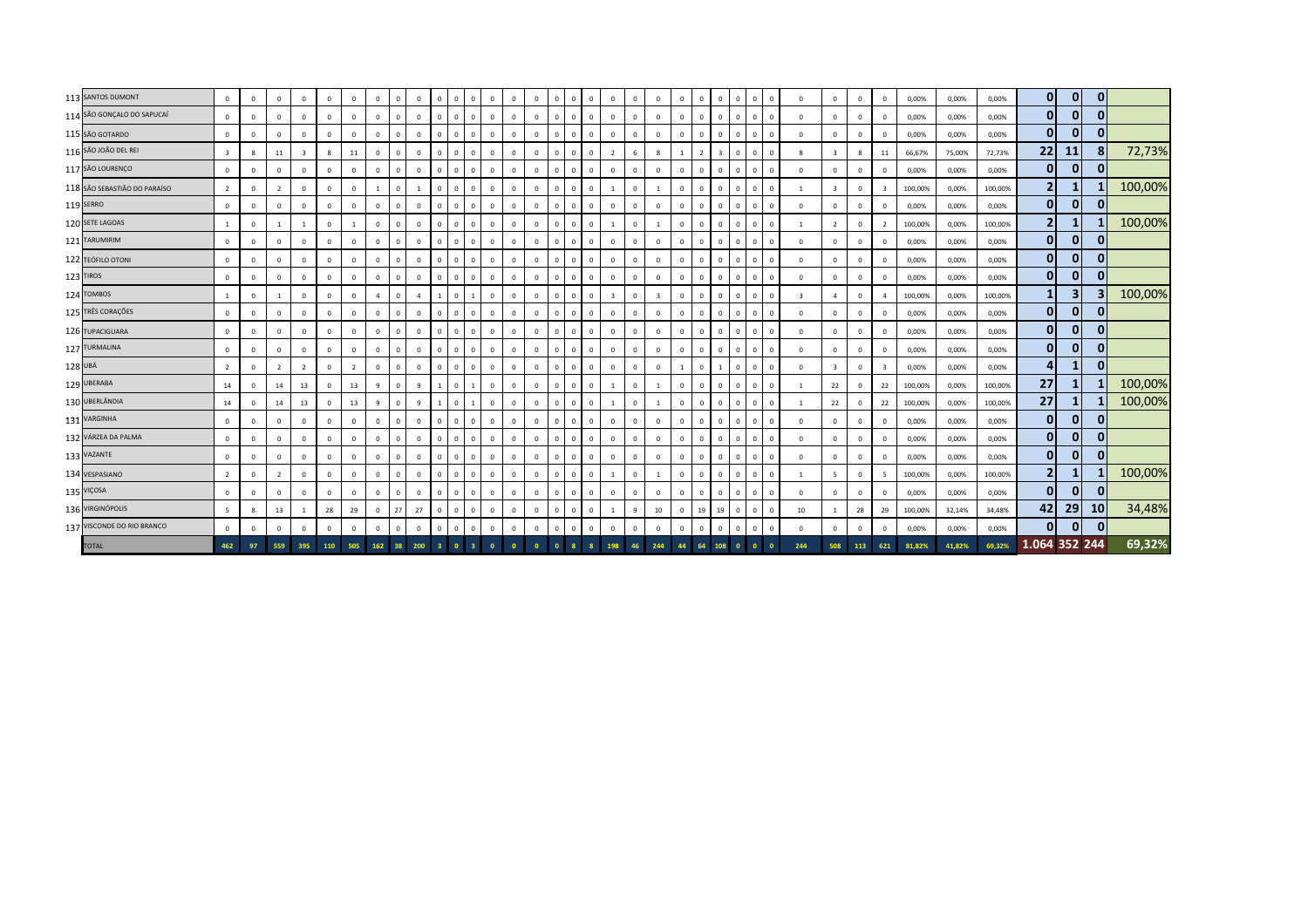| 113 SANTOS DUMONT            | $\mathbf{0}$    | $\circ$     | $\mathbf{0}$   | $\overline{0}$ | $\mathbf{0}$ | $\Omega$ | $\overline{0}$ | $\mathbf 0$  | $\mathbf{0}$   | $\Omega$       | $\overline{0}$                        | $\Omega$<br>$^{\circ}$    | $\mathbf{0}$            | $\mathbf{0}$ | $\overline{0}$          | $\Omega$       | $\mathbf{0}$               | $\mathbf{0}$            | $\overline{0}$ | $\mathbf{0}$            | $\Omega$       | $\mathbf{0}$<br>$\overline{0}$ | $\Omega$     | $\mathbf{0}$ | $\mathbf 0$  | $\Omega$                | $\Omega$                | $\mathbf{0}$            | $\mathbf{0}$            | 0,00%   | 0,00%  | 0,00%   | $\overline{0}$ | $\mathbf{0}$   | $\mathbf{0}$   |         |
|------------------------------|-----------------|-------------|----------------|----------------|--------------|----------|----------------|--------------|----------------|----------------|---------------------------------------|---------------------------|-------------------------|--------------|-------------------------|----------------|----------------------------|-------------------------|----------------|-------------------------|----------------|--------------------------------|--------------|--------------|--------------|-------------------------|-------------------------|-------------------------|-------------------------|---------|--------|---------|----------------|----------------|----------------|---------|
| 114 SÃO GONÇALO DO SAPUCAÍ   | $\mathbf 0$     | $\circ$     | $\mathbf{0}$   | $\circ$        | $\mathbf{0}$ | $\Omega$ | $\overline{0}$ | $\mathbf{0}$ | $\mathbf{0}$   | $\Omega$       | $\overline{\mathbf{0}}$<br>$^{\circ}$ | $\mathbf{0}$              | $\mathbf{0}$            | $\mathbf{0}$ | $\overline{0}$          | $\overline{0}$ | $\mathbf{0}$               | $\circ$                 | $\overline{0}$ | $\mathbf 0$             | $\overline{0}$ | $\circ$<br>$\overline{0}$      | $\mathbf{0}$ | $\mathbf{0}$ | $\mathbf 0$  | $\overline{0}$          | $\Omega$                | $\overline{0}$          | $\mathbf{0}$            | 0,00%   | 0,00%  | 0,00%   | $\mathbf{0}$   | $\mathbf{0}$   | $\mathbf{0}$   |         |
| 115 SÃO GOTARDO              | $\mathbf 0$     | $\mathbf 0$ | $\mathbf{0}$   | $\Omega$       | $\circ$      | $\Omega$ | $\overline{0}$ | $\mathbf 0$  | $\mathbf{0}$   | $\Omega$       | $\overline{\mathbf{0}}$<br>$\Omega$   | $\mathbf{0}$              | $\overline{0}$          | $\Omega$     | $\mathbf 0$             | $\Omega$       | $\circ$                    | $\mathsf 0$             | $\overline{0}$ | $\Omega$                | $\Omega$       | $\circ$<br>$\overline{0}$      | $\Omega$     | $\mathbf{0}$ | $\Omega$     | $\overline{0}$          | $\Omega$                | $\overline{0}$          | $\Omega$                | 0,00%   | 0,00%  | 0,00%   | $\mathbf{0}$   | $\mathbf{0}$   | $\mathbf{0}$   |         |
| 116 SÃO JOÃO DEL REI         | $\overline{3}$  | 8           | 11             | $\mathbf{R}$   | 8            | 11       | $\overline{0}$ | $\mathbf 0$  | $\mathbf{0}$   | $\Omega$       | $\overline{0}$<br>$\Omega$            | $\Omega$                  | $\overline{0}$          | $\Omega$     | $\overline{0}$          | $\Omega$       | $\Omega$                   | $\overline{2}$          | 6              | $\mathbf{g}$            |                | $\overline{2}$                 | $\Omega$     | $\mathbf{0}$ | $\Omega$     | -8                      |                         | 8                       | 11                      | 66,67%  | 75,00% | 72,73%  | 22             | 11             | 8              | 72,73%  |
| 117 SÃO LOURENÇO             | $\circ$         | $\mathbf 0$ | $\circ$        | $\mathbf 0$    | $\circ$      | $\Omega$ | $\overline{0}$ | $\mathbf 0$  | $\mathbf{0}$   | $\overline{0}$ | $\overline{0}$                        | $\Omega$<br>$^{\circ}$    | $\overline{0}$          | $\mathbf 0$  | $\mathbf 0$             | $\Omega$       | $\overline{0}$             | $\mathbf{0}$            | $\overline{0}$ | $\overline{0}$          | $\Omega$       | $\mathbf 0$<br>$\overline{0}$  | $\mathbf{0}$ | $\mathbf{0}$ | $\mathbf 0$  | $\overline{0}$          | $\Omega$                | $\circ$                 | $\mathbf{0}$            | 0,00%   | 0,00%  | 0,00%   | $\overline{0}$ | $\mathbf{0}$   | $\mathbf{0}$   |         |
| 118 SÃO SEBASTIÃO DO PARAÍSO | $\overline{2}$  | $\mathbf 0$ | $\overline{2}$ | $\mathbf 0$    | $^{\circ}$   | $\Omega$ | $\overline{1}$ | $\mathbf 0$  | $\overline{1}$ | $\overline{0}$ | $\overline{\mathbf{0}}$<br>$^{\circ}$ | $\mathbf 0$               | $\overline{0}$          | $^{\circ}$   | $\overline{0}$          | $\overline{0}$ | $\mathbf{0}$               | $\mathbf{1}$            | $\overline{0}$ | 1                       | $\overline{0}$ | $\mathbf{0}$<br>$\overline{0}$ |              | $\mathbf{0}$ | $\mathbf 0$  | $\mathbf{1}$            | $\overline{\mathbf{3}}$ | $\overline{\mathbf{0}}$ | $\overline{\mathbf{3}}$ | 100,00% | 0,00%  | 100,00% | 2 <sub>l</sub> | $\mathbf{1}$   |                | 100,00% |
| 119 SERRO                    | $\mathbf 0$     | $\mathbf 0$ | $\mathbf 0$    | $\mathbf 0$    | $^{\circ}$   | $\Omega$ | $\overline{0}$ | $\mathbf 0$  | $\mathbf 0$    | $\Omega$       | $\overline{\mathbf{0}}$<br>$\Omega$   | $^{\circ}$                | $\mathbf 0$             | $\Omega$     | $\overline{0}$          | $\Omega$       | $\Omega$                   | $\circ$                 | $\Omega$       | $\mathbf 0$             | $\Omega$       | $\circ$<br>$\Omega$            |              | $\Omega$     | $\Omega$     | $\mathbf 0$             | $\Omega$                | $\mathbf 0$             | $^{\circ}$              | 0,00%   | 0,00%  | 0,00%   | $\mathbf{0}$   | 0              | $\mathbf{0}$   |         |
| 120 SETE LAGOAS              | $\mathbf{1}$    | $\mathbf 0$ | $\overline{1}$ | $\overline{1}$ | $\mathbf{0}$ |          | $\overline{0}$ | $\mathbf 0$  | $\mathbf{0}$   | $\Omega$       | $\overline{0}$                        | $\Omega$<br>$^{\circ}$    | $\mathbf{0}$            | $\mathbf{0}$ | $\overline{0}$          | $\Omega$       | $\mathbf{0}$               | $\overline{1}$          | $\Omega$       | $\mathbf{1}$            | $\Omega$       | $\circ$<br>$\overline{0}$      | $\Omega$     | $\mathbf{0}$ | $^{\circ}$   | $\overline{1}$          | $\overline{2}$          | $\overline{0}$          | $\overline{2}$          | 100,00% | 0,00%  | 100,00% | 2 <sub>l</sub> | 1              |                | 100,00% |
| 121 TARUMIRIM                | $\mathbf 0$     | $\mathbf 0$ | $\circ$        | $\mathbf 0$    | $\mathbf 0$  | $\Omega$ | $\overline{0}$ | $\mathbf{0}$ | $\mathbf{0}$   | $\overline{0}$ | $\overline{0}$<br>$\Omega$            | $\mathbf 0$               | $\mathbf 0$             | $\mathbf 0$  | $\mathbf 0$             | $\overline{0}$ | $\circ$                    | $\circ$                 | $\overline{0}$ | $\mathbf 0$             | $\Omega$       | $\circ$<br>$\overline{0}$      | $\mathbf{0}$ | $\mathbf{0}$ | $^{\circ}$   | $\mathbf 0$             | $\mathbf{0}$            | $\mathbf 0$             | $\mathbf{0}$            | 0,00%   | 0,00%  | 0,00%   | $\mathbf{0}$   | 0              | $\mathbf{0}$   |         |
| 122 TEÓFILO OTONI            | $\Omega$        | $\mathbf 0$ | $\mathbf{0}$   | $\mathbf 0$    | $\circ$      | $\Omega$ | $\overline{0}$ | $\mathbf 0$  | $\mathbf{0}$   | $\Omega$       | $\overline{\mathbf{0}}$<br>$\Omega$   | $\Omega$                  | $\overline{0}$          | $\Omega$     | $\mathbf 0$             | $\Omega$       | $\Omega$                   | $\mathsf 0$             | $\Omega$       | $\mathbf{0}$            | $\Omega$       | $\mathbf{0}$<br>$\overline{0}$ | $\Omega$     | $\Omega$     | $\Omega$     | $\overline{0}$          | $\Omega$                | $\overline{0}$          | $\Omega$                | 0,00%   | 0,00%  | 0,00%   | $\mathbf{0}$   | $\mathbf{0}$   | $\mathbf{0}$   |         |
| 123 TIROS                    | $\mathbf 0$     | $\mathbf 0$ | $\mathbf{0}$   | $\mathbf 0$    | $\circ$      | $\Omega$ | $\overline{0}$ | $\mathbf 0$  | $\mathbf{0}$   | $\Omega$       | $\overline{0}$<br>$\Omega$            | $\circ$                   | $\overline{0}$          | $\mathbf{0}$ | $\mathbf 0$             | $\Omega$       | $\mathbf{0}$               | $\mathsf 0$             | $\Omega$       | $\Omega$                | $\Omega$       | $\mathbf{0}$<br>$\overline{0}$ | $\Omega$     | $\mathbf{0}$ | $\mathbf 0$  | $\overline{0}$          |                         | $\mathbf 0$             | $\circ$                 | 0,00%   | 0,00%  | 0,00%   | $\mathbf{0}$   | 0              | $\mathbf{0}$   |         |
| 124 TOMBOS                   | $\mathbf{1}$    | $\mathbf 0$ | $\overline{1}$ | $\circ$        | $\circ$      | $\Omega$ | $\overline{4}$ | $\mathbf 0$  | $\overline{4}$ |                | $\overline{0}$                        | $\Omega$                  | $\overline{0}$          | $\mathbf 0$  | $\mathbf 0$             | $\Omega$       | $\mathbf{0}$               | $\overline{\mathbf{3}}$ | $\overline{0}$ | $\overline{\mathbf{3}}$ | $\Omega$       | $\mathbf 0$<br>$\overline{0}$  | $\mathbf{0}$ | $\mathbf{0}$ | $\mathbf 0$  | $\overline{\mathbf{3}}$ |                         | $\mathbf 0$             | $\overline{4}$          | 100,00% | 0,00%  | 100,00% |                | 3 <sup>1</sup> |                | 100,00% |
| 125 TRÊS CORAÇÕES            | $\mathbf 0$     | $\mathbf 0$ | $\mathbf{0}$   | $\mathbf 0$    | $\mathbf{0}$ | $\Omega$ | $\overline{0}$ | $\mathbf 0$  | $\mathbf{0}$   | $\Omega$       | $\overline{0}$<br>$\Omega$            | $\Omega$                  | $\mathbf{0}$            | $\Omega$     | $\overline{0}$          | $\Omega$       | $\mathbf{0}$               | $\circ$                 | $\Omega$       | $\overline{0}$          | $\Omega$       | $\mathbf{0}$<br>$\overline{0}$ |              | $\Omega$     | $\Omega$     | $\mathbf 0$             | $\Omega$                | $\overline{\mathbf{0}}$ | $^{\circ}$              | 0,00%   | 0,00%  | 0,00%   | $\mathbf{0}$   | 0              | $\mathbf{0}$   |         |
| 126 TUPACIGUARA              | $\mathbf 0$     | $\mathbf 0$ | $\mathbf{0}$   | $\mathbf 0$    | $^{\circ}$   | $\Omega$ | $\overline{0}$ | $\mathbf{0}$ | $\mathbf 0$    | $\Omega$       | $\overline{\mathbf{0}}$<br>$\Omega$   | $^{\circ}$                | $\mathbf{0}$            | $\Omega$     | $\overline{0}$          | $\Omega$       | $\Omega$                   | $\circ$                 | $\Omega$       | $\mathbf 0$             | $\Omega$       | $\circ$<br>$^{\circ}$          |              | $\Omega$     | $\Omega$     | 0                       | $\Omega$                | $\overline{0}$          | $^{\circ}$              | 0,00%   | 0,00%  | 0,00%   | 0              | 0              | $\mathbf{0}$   |         |
| 127 TURMALINA                | $\circ$         | $\circ$     | $\mathbf 0$    | $\circ$        | $\mathbf{0}$ | $\Omega$ | $\overline{0}$ | $\mathbf{0}$ | $^{\circ}$     | $\Omega$       | $\overline{0}$                        | $\mathbf 0$<br>$^{\circ}$ | $\mathbf{0}$            | $\mathbf{0}$ | $\overline{0}$          | $\Omega$       | $\mathbf{0}$               | $\mathbf{0}$            | $\Omega$       | $\mathbf{0}$            | $\Omega$       | $\mathbf 0$<br>$\overline{0}$  | $\Omega$     | $\mathbf{0}$ | $^{\circ}$   | $\mathbf 0$             | $\Omega$                | $\overline{0}$          | $\mathbf{0}$            | 0,00%   | 0,00%  | 0,00%   | $\mathbf{0}$   | 0              | $\overline{0}$ |         |
| 128 UBÁ                      | $\overline{2}$  | $\mathbf 0$ | $\overline{2}$ | $\overline{2}$ | $\mathbf 0$  |          | $\overline{0}$ | $\mathbf 0$  | $\mathbf{0}$   | $\Omega$       | $\overline{\mathbf{0}}$<br>$\Omega$   | $\mathbf 0$               | $\mathbf{0}$            | $\mathbf 0$  | $\overline{0}$          | $\Omega$       | $\mathbf 0$                | $\mathbf{0}$            | $\overline{0}$ | $\mathbf 0$             |                | $\mathbf{0}$                   |              | $\mathbf{0}$ | $^{\circ}$   | $\overline{0}$          |                         | $\mathbf 0$             | 3                       | 0,00%   | 0,00%  | 0,00%   | $\overline{4}$ | 1              | $\mathbf{0}$   |         |
| 129 UBERABA                  | 14              | $\mathbf 0$ | 14             | 13             | $\mathbf 0$  | 13       | 9              | $\mathbf 0$  | 9              |                | $\overline{0}$                        | $\mathbf 0$               | $\overline{0}$          | $\Omega$     | $\mathbf 0$             | $\Omega$       | $\Omega$<br>$\overline{1}$ |                         | $\Omega$       |                         | $\Omega$       | $\circ$<br>$\Omega$            |              | $\Omega$     | $\mathbf 0$  |                         | 22                      | $\overline{0}$          | 22                      | 100,00% | 0,00%  | 100,00% | 27             | 1              |                | 100,00% |
| 130 UBERLÂNDIA               | 14              | $\circ$     | 14             | 13             | $\mathbf 0$  | 13       | 9              | $\mathbf{0}$ | 9              |                | $\overline{0}$                        | $\mathbf 0$               | $\overline{0}$          | $\mathbf{0}$ | $\mathbf 0$             | $\Omega$       | $\mathbf{0}$               | $\overline{1}$          | $\overline{0}$ | $\mathbf{1}$            | $\Omega$       | $\mathbf{0}$<br>$\overline{0}$ | $\Omega$     | $\mathbf{0}$ | $\mathbf 0$  | $\mathbf{1}$            | 22                      | $\overline{0}$          | 22                      | 100,00% | 0,00%  | 100,00% | 27             | 1              |                | 100,00% |
| 131 VARGINHA                 | $\mathbf 0$     | $\mathbf 0$ | $\mathbf{0}$   | $\mathbf{0}$   | $\mathbf{0}$ |          | $\overline{0}$ | $\mathbf{0}$ | $^{\circ}$     | $\Omega$       | $\overline{0}$<br>$\Omega$            | $\Omega$                  | $\mathbf{0}$            | $\mathbf{0}$ | $\overline{0}$          | $\Omega$       | $\mathbf{0}$               | $\circ$                 | $\overline{0}$ | $\circ$                 | $\Omega$       | $\mathbf{0}$<br>$\overline{0}$ | $\Omega$     | $\mathbf{0}$ | $^{\circ}$   | $\mathbf 0$             |                         | $\mathbf{0}$            | $\mathbf{0}$            | 0,00%   | 0,00%  | 0,00%   | $\overline{0}$ | $\mathbf{0}$   | $\Omega$       |         |
| 132 VÁRZEA DA PALMA          | $\mathbf 0$     | $\mathbf 0$ | $\mathbf{0}$   | $\mathbf 0$    | $\mathbf{0}$ | $\Omega$ | $\overline{0}$ | $\mathbf 0$  | $\mathbf{0}$   | $\Omega$       | $\overline{0}$<br>$\Omega$            | $\mathbf 0$               | $\overline{0}$          | $\mathbf{0}$ | $\overline{0}$          | $\Omega$       | $\mathbf{0}$               | $\mathbf{0}$            | $\Omega$       | $\mathbf 0$             | $\Omega$       | $\mathbf{0}$<br>$\overline{0}$ |              | $\mathbf 0$  | $\Omega$     | $\overline{0}$          | $\Omega$                | $\overline{0}$          | $\mathbf{0}$            | 0,00%   | 0,00%  | 0,00%   | $\overline{0}$ | $\mathbf{0}$   | $\mathbf{0}$   |         |
| 133 VAZANTE                  | $\mathbf 0$     | $\mathbf 0$ | $\mathbf 0$    | $\circ$        | $^{\circ}$   | $\Omega$ | $\overline{0}$ | $\mathbf{0}$ | $\mathbf 0$    | $\Omega$       | $\overline{0}$<br>$\Omega$            | $^{\circ}$                | $\mathbf 0$             | $\mathbf{0}$ | $\overline{0}$          | $\Omega$       | $\mathbf{0}$               | $\circ$                 | $\Omega$       | $\mathbf 0$             | $\Omega$       | $\circ$<br>$\Omega$            |              | $\mathbf{0}$ | $\Omega$     | $\mathbf 0$             | $\Omega$                | $\overline{0}$          | $^{\circ}$              | 0,00%   | 0,00%  | 0,00%   | 0              | $\mathbf{0}$   | 0              |         |
| 134 VESPASIANO               | $\overline{2}$  | $\circ$     | $\overline{2}$ | $\mathbf 0$    | $\circ$      | $\Omega$ | $\overline{0}$ | $\mathbf{0}$ | $\mathbf 0$    | $\Omega$       | $\overline{0}$                        | $\mathbf 0$<br>$^{\circ}$ | $\mathbf{0}$            | $\mathbf 0$  | $\overline{0}$          | $\Omega$       | $\mathbf{0}$               | $\mathbf{1}$            | $\Omega$       | $\overline{1}$          | $\Omega$       | $\mathbf 0$<br>$\overline{0}$  | $\Omega$     | $\mathbf{0}$ | $\mathbf 0$  | $\overline{1}$          | -5                      | $\mathbf 0$             | 5                       | 100,00% | 0,00%  | 100,00% | $\overline{2}$ | 1              |                | 100,00% |
| 135 VIÇOSA                   | $\mathbf 0$     | $\circ$     | $\mathbf{0}$   | $\circ$        | $\mathbf 0$  | $\Omega$ | $\overline{0}$ | $\mathbf 0$  | $\mathbf{0}$   | $\Omega$       | $\overline{0}$<br>$\Omega$            | $\mathbf 0$               | $\mathbf 0$             | $\mathbf{0}$ | $\overline{0}$          | $\Omega$       | $\mathbf{0}$               | $\mathbf{0}$            | $\overline{0}$ | $\mathbf{0}$            | $\Omega$       | $\mathbf{0}$<br>$\overline{0}$ | $\Omega$     | $\mathbf{0}$ | $^{\circ}$   | $\mathbf 0$             | $\Omega$                | $\mathbf 0$             | $\mathbf{0}$            | 0,00%   | 0,00%  | 0,00%   | $\mathbf{0}$   | $\mathbf{0}$   | $\mathbf{0}$   |         |
| 136 VIRGINÓPOLIS             | $5\overline{5}$ | 8           | 13             |                | 28           | 29       | $\overline{0}$ | 27           | 27             | $\Omega$       | $\overline{0}$<br>$\Omega$            | $\mathbf 0$               | $\overline{0}$          | $\Omega$     | $\mathbf 0$             | $\Omega$       | $\mathbf{0}$               | $\overline{1}$          | $\overline{q}$ | 10                      | $\Omega$       | 19<br>19                       | $\Omega$     | $\mathbf 0$  | $\mathbf 0$  | $10\,$                  |                         | 28                      | 29                      | 100,00% | 32,14% | 34,48%  | 42             | 29             | 10             | 34,48%  |
| 137 VISCONDE DO RIO BRANCO   | $\circ$         | $\mathbf 0$ | $\circ$        | $\mathbf 0$    | $\circ$      |          | $\overline{0}$ | $\mathbf{0}$ | $\mathbf 0$    | $\Omega$       | $\overline{\mathbf{0}}$<br>$\Omega$   | $^{\circ}$                | $\mathbf 0$             | $\mathbf 0$  | $\overline{0}$          | $\Omega$       | $\mathbf{0}$               | $\circ$                 | $\Omega$       | $^{\circ}$              | $\Omega$       | $\mathbf{0}$<br>$\overline{0}$ | $\mathbf{0}$ | $\mathbf{0}$ | $\mathbf 0$  | $\overline{0}$          | $\Omega$                | $\overline{0}$          | $\mathbf 0$             | 0,00%   | 0,00%  | 0,00%   | $\mathbf{0}$   | $\mathbf{0}$   | $\mathbf{0}$   |         |
| <b>TOTAL</b>                 | 462             | 97          | 559            | 395            | 110          | 505      |                | 162 38       | 200            | 3 <sup>1</sup> | $\bullet$                             | $\mathbf{0}$              | $\overline{\mathbf{0}}$ | $\bullet$    | $\overline{\mathbf{0}}$ |                | 8 <sup>1</sup>             | 198                     | 46             | 244                     | 44             | 64<br>108                      | $\bullet$    | $\bullet$    | $\mathbf{0}$ | 244                     | 508                     | 113                     | 621                     | 81,82%  | 41,82% | 69,32%  | 1.064 352 244  |                |                | 69,32%  |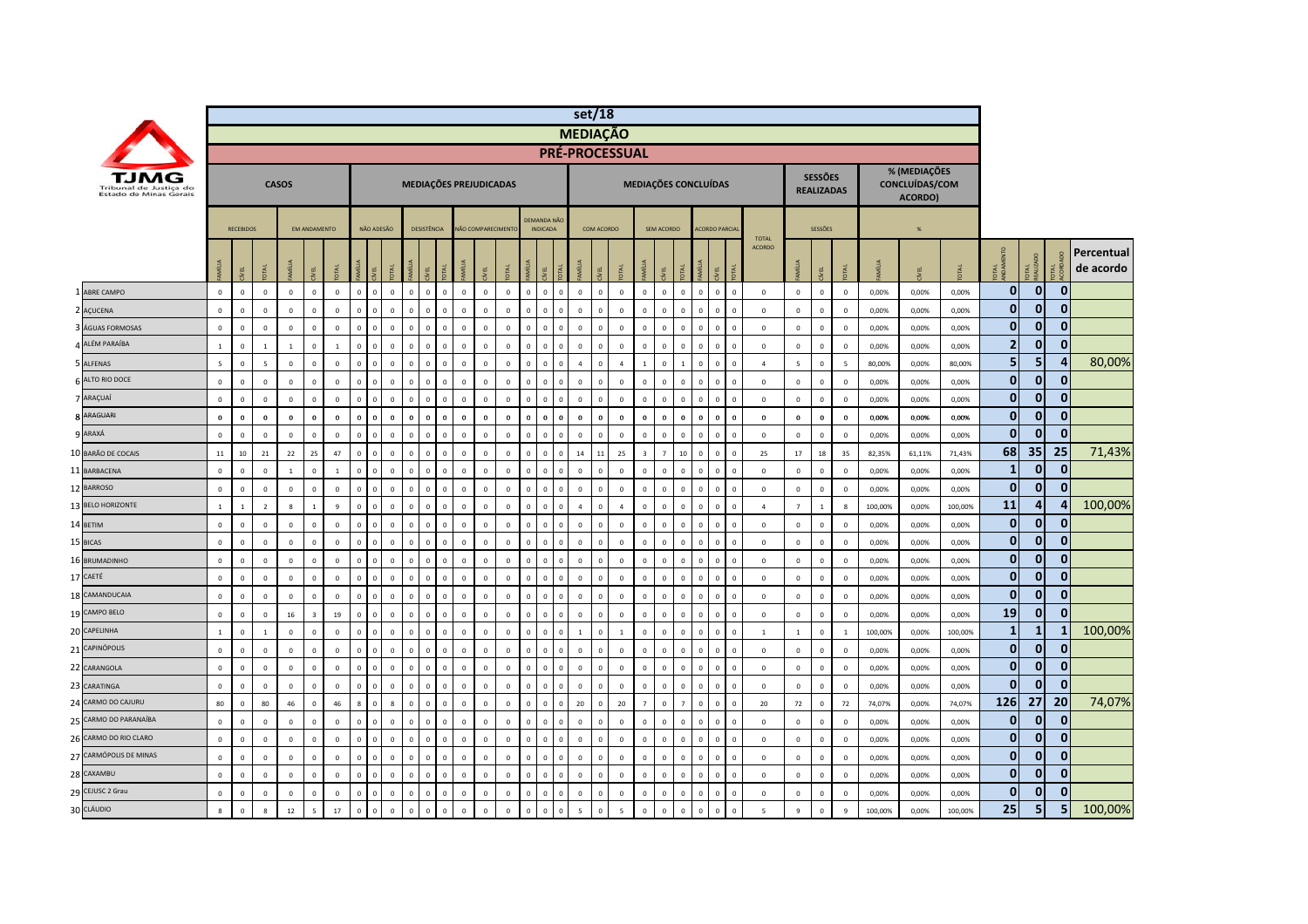|                                                  |                |                  |                          |                |                     |                |                |                |              |                          |                |             |                   |              |              |                                |            | set/18                |              |                 |                |                |                |                                |             |                |                |                                     |                |         |                                           |         |                 |                  |                |                         |
|--------------------------------------------------|----------------|------------------|--------------------------|----------------|---------------------|----------------|----------------|----------------|--------------|--------------------------|----------------|-------------|-------------------|--------------|--------------|--------------------------------|------------|-----------------------|--------------|-----------------|----------------|----------------|----------------|--------------------------------|-------------|----------------|----------------|-------------------------------------|----------------|---------|-------------------------------------------|---------|-----------------|------------------|----------------|-------------------------|
|                                                  |                |                  |                          |                |                     |                |                |                |              |                          |                |             |                   |              |              |                                |            | <b>MEDIAÇÃO</b>       |              |                 |                |                |                |                                |             |                |                |                                     |                |         |                                           |         |                 |                  |                |                         |
|                                                  |                |                  |                          |                |                     |                |                |                |              |                          |                |             |                   |              |              |                                |            | <b>PRÉ-PROCESSUAL</b> |              |                 |                |                |                |                                |             |                |                |                                     |                |         |                                           |         |                 |                  |                |                         |
| Tribunal de Justica do<br>Estado de Minas Gerais |                |                  |                          | <b>CASOS</b>   |                     |                |                |                |              | MEDIAÇÕES PREJUDICADAS   |                |             |                   |              |              |                                |            |                       |              |                 |                |                |                | MEDIAÇÕES CONCLUÍDAS           |             |                |                | <b>SESSÕES</b><br><b>REALIZADAS</b> |                |         | % (MEDIAÇÕES<br>CONCLUÍDAS/COM<br>ACORDO) |         |                 |                  |                |                         |
|                                                  |                | <b>RECEBIDOS</b> |                          |                | <b>EM ANDAMENTO</b> |                |                | NÃO ADESÃO     |              | <b>DESISTÊNCIA</b>       |                |             | NÃO COMPARECIMENT |              |              | DEMANDA NÃO<br><b>INDICADA</b> |            |                       | COM ACORDO   |                 |                | SEM ACORDO     |                | <b>ACORDO PARCIA</b>           |             | <b>TOTAL</b>   |                | <b>SESSÕES</b>                      |                |         | $\frac{96}{25}$                           |         |                 |                  |                |                         |
|                                                  |                | 맂                |                          |                | g                   |                | Ī              |                | DTAL         | g                        |                |             |                   |              | Μĺ           | g                              |            | $\overline{z}$        | 寒            |                 | <b>E</b>       | <b>SEL</b>     |                | ξĒ<br><b>İ</b>                 |             | <b>ACORDO</b>  | 卮              |                                     |                |         |                                           |         | <b>ANDK</b>     | OTAL<br>EALIZADO | <b>DE</b>      | Percentual<br>de acordo |
| ABRE CAMPO                                       | $\circ$        | $\mathsf 0$      | $\mathsf 0$              | $\mathsf 0$    | $\mathsf 0$         | $\overline{0}$ | $\overline{0}$ | $\mathbf{0}$   | $\mathbf 0$  | $\mathbf 0$<br>$\Omega$  | $\mathbf 0$    | $\mathbb O$ | $\mathbb O$       | $\mathbb O$  | $\mathbf 0$  | $\overline{\mathbf{0}}$        | $\Omega$   | $\mathbf 0$           | $\mathbb O$  | $\mathbf 0$     | $\,$ 0         | $\mathbf 0$    | $\circ$        | $\circ$<br>$\mathbf 0$         | $\mathbb O$ | $\mathbf 0$    | $\mathbf 0$    | $\mathbf 0$                         | $\,$ 0         | 0,00%   | 0,00%                                     | 0,00%   | $\overline{0}$  | $\mathbf 0$      | $\mathbf{0}$   |                         |
| 2 AÇUCENA                                        | $\mathbf{0}$   | $^{\circ}$       | $\mathsf 0$              | $\mathsf 0$    | $\mathbf 0$         | $\overline{0}$ | $\mathbf 0$    | $\Omega$       | $\Omega$     | $\mathbf 0$              | $\overline{0}$ | $\mathbf 0$ | $\mathbf 0$       | $\mathbb O$  | $\mathbf 0$  | $\,$ 0                         | $\sqrt{2}$ | $\mathbf 0$           | $\mathbf 0$  | $\mathbf 0$     | $\mathbb O$    | $\mathbf 0$    | $\mathbf{0}$   | $\mathbf 0$<br>$\mathbf{0}$    | $\mathbf 0$ | $\overline{0}$ | $\mathbf 0$    | $\mathbf 0$                         | $\,$ 0         | 0,00%   | 0,00%                                     | 0,00%   | $\mathbf{0}$    | $\mathbf 0$      | $\mathbf 0$    |                         |
| ÁGUAS FORMOSAS                                   | $\mathbf 0$    | $\mathsf 0$      | $\mathsf 0$              | $\mathbf 0$    | $\mathsf 0$         | $\overline{0}$ | $\Omega$       |                | $\mathbf 0$  | $\mathbf 0$              | $\overline{0}$ | $\mathbb O$ | $\mathbb O$       | $\mathbb O$  | $\mathbf 0$  | $\overline{0}$                 |            | $\mathbf{0}$          | $\mathbf 0$  | $\mathbf 0$     | $\,$ 0         | $\mathbf 0$    | $\mathbf 0$    | $\mathbf{0}$<br>$\overline{0}$ |             | $\mathbf 0$    | $\,0\,$        | $\mathbf 0$                         | $\,$ 0         | 0,00%   | 0,00%                                     | 0,00%   | $\overline{0}$  | $\mathbf{0}$     | $\mathbf{0}$   |                         |
| ALÉM PARAÍBA                                     | $\overline{1}$ | $\mathbf 0$      | $\mathbf{1}$             | $\overline{1}$ | $\mathbf{0}$        | $\overline{1}$ | $\Omega$       | $\sqrt{2}$     | $\Omega$     | $\mathbf{0}$<br>$\Omega$ | $\Omega$       | $\mathbf 0$ | $\mathbf{0}$      | $\mathbf{0}$ | $\mathbf{0}$ | $\overline{0}$                 | $\Omega$   | $\mathbf{0}$          | $\Omega$     | $\mathbf{0}$    | $\mathbf 0$    | $\mathbf{0}$   | $\Omega$       | $\mathbf{0}$<br>$\Omega$       | $\Omega$    | $\mathbf 0$    | $\mathbf 0$    | $\mathbf{0}$                        | $\,$ 0         | 0,00%   | 0,00%                                     | 0,00%   | 2               | $\mathbf{0}$     | $\mathbf{0}$   |                         |
| 5 ALFENAS                                        | 5              | $\mathsf 0$      | $\overline{\phantom{a}}$ | $\mathsf 0$    | $\mathsf 0$         | $\overline{0}$ | $\Omega$       | $\mathbf{0}$   | $\mathbf 0$  | $\mathbf 0$<br>$\Omega$  | $\overline{0}$ | $\mathbb O$ | $\mathbb O$       | $\mathbb O$  | $\mathsf 0$  | $\overline{\mathbf{0}}$        | $\Omega$   | $\overline{4}$        | $\Omega$     | $\overline{4}$  | $\mathbf{1}$   | $\mathbf 0$    | $\mathbf{1}$   | $\mathbf 0$<br>$\circ$         | $\Omega$    | $\overline{4}$ | $\overline{5}$ | $\mathbf 0$                         | 5              | 80,00%  | 0,00%                                     | 80,00%  | $5\overline{)}$ | 5                | 4              | 80,00%                  |
| ALTO RIO DOCE                                    | $\mathbf 0$    | $\mathsf 0$      | $\mathsf 0$              | $\overline{0}$ | $\Omega$            | $\overline{0}$ | $\Omega$       | $\Omega$       | $\Omega$     | $\mathbf 0$              | $\overline{0}$ | $\Omega$    | $^{\circ}$        | $\mathbf 0$  | $\mathbf 0$  | $\overline{0}$                 | $\sqrt{2}$ | $\mathbf 0$           | $\mathbf 0$  | $\mathbf 0$     | $\mathbf 0$    | $^{\circ}$     | $\Omega$       | $\mathbf{0}$<br>$\mathbf 0$    | $\Omega$    | $\mathbf 0$    | $\mathbf 0$    | $^{\circ}$                          | $\mathbf 0$    | 0,00%   | 0,00%                                     | 0,00%   | $\overline{0}$  | $\mathbf{0}$     | $\bf{0}$       |                         |
| 7 ARAÇUAÍ                                        | $\mathbf 0$    | $\mathsf 0$      | $\mathsf 0$              | $\mathbf 0$    | $\mathsf 0$         | $\overline{0}$ | $\Omega$       |                | $\mathbf 0$  | $\mathbf 0$              | $\mathbf 0$    | $\mathbb O$ | $\mathbb O$       | $\mathbb O$  | $\mathbf 0$  | $\overline{0}$                 |            | $\mathbf 0$           | $\mathbf 0$  | $\mathbf 0$     | $\mathbf 0$    | $\mathbf 0$    | $\mathbf 0$    | $\mathbf{0}$<br>$\mathbf 0$    | $\mathbf 0$ | $\mathsf 0$    | $\,0\,$        | $\mathbf 0$                         | $\,$ 0         | 0,00%   | 0,00%                                     | 0,00%   | $\overline{0}$  | $\mathbf{0}$     | $\mathbf{0}$   |                         |
| <b>8 ARAGUARI</b>                                | $\mathbf 0$    | $\mathbf 0$      | $\mathbf 0$              | $\mathbf 0$    | $\mathbf 0$         | $\mathbf{0}$   | $\Omega$       | $\Omega$       | $\Omega$     | $\mathbf 0$<br>$\Omega$  | $\mathbf{0}$   | $\mathbf 0$ | $\mathbf 0$       | $\mathbf 0$  | $\mathbf 0$  | $\bf{0}$                       | $\Omega$   | $\mathbf 0$           | $\bf{0}$     | $\mathbf 0$     | $\mathbf 0$    | $\bf{0}$       | $\mathbf{0}$   | $\bf{0}$<br>$\Omega$           | $\Omega$    | $\mathbf 0$    | $\mathbf 0$    | $\mathbf 0$                         | $\mathbf 0$    | 0,00%   | 0,00%                                     | 0,00%   | $\overline{0}$  | $\mathbf 0$      | $\mathbf{0}$   |                         |
| g ARAXÁ                                          | $\mathbf 0$    | $\Omega$         | $\mathbf{0}$             | $\Omega$       | $\mathbf{0}$        | $\Omega$       | $\Omega$       | $\Omega$       | $\Omega$     | $\mathbf 0$              | $\Omega$       | $\Omega$    | $\mathbb O$       | $\mathbf{0}$ | $\mathbf 0$  | $\,$ 0                         |            | $\mathbf{0}$          | $\Omega$     | $\mathbf 0$     | $\mathbf 0$    | $\Omega$       | $\mathbf{0}$   | $\Omega$<br>$\Omega$           | $\Omega$    | $\mathsf 0$    | $\mathbf 0$    | $\mathbf 0$                         | $\overline{0}$ | 0,00%   | 0,00%                                     | 0,00%   | $\overline{0}$  | $\mathbf 0$      | $\mathbf{0}$   |                         |
| 10 BARÃO DE COCAIS                               | $11\,$         | 10               | 21                       | 22             | 25                  | 47             | $\Omega$       |                | $\Omega$     | $\mathbf 0$              | $\Omega$       | $\Omega$    | $\Omega$          | $\mathbf 0$  | $\mathbf 0$  | $\Omega$                       |            | $14\,$                | 11           | 25              | $\overline{3}$ | $\overline{z}$ | $10\,$         | $\Omega$<br>$\Omega$           | $\Omega$    | 25             | 17             | $18\,$                              | 35             | 82,35%  | 61,11%                                    | 71,43%  | 68              | 35               | 25             | 71,43%                  |
| 11 BARBACENA                                     | $\mathbf{0}$   | $\mathsf 0$      | $\mathsf 0$              | $\mathbf{1}$   | $\mathsf 0$         | $\mathbf{1}$   |                |                | $\mathbf 0$  | $\mathbf 0$              | $\overline{0}$ | $\mathbb O$ | $\mathbb O$       | $\mathbb O$  | $\mathbf 0$  | $\mathbf 0$                    |            | $\mathbf 0$           | $\Omega$     | $\mathbf 0$     | $\mathbf 0$    | $\mathbf 0$    | $\mathbf{0}$   | $\Omega$<br>$\theta$           | $\Omega$    | $\mathsf 0$    | $\mathbf 0$    | $\mathbf 0$                         | $\,$ 0         | 0,00%   | 0,00%                                     | 0,00%   | $\mathbf{1}$    | $\mathbf 0$      | $\overline{0}$ |                         |
| 12 BARROSO                                       | $\mathbf 0$    | $\Omega$         | $\mathsf 0$              | $\mathbf 0$    | $\mathbf{0}$        | $\mathbf 0$    | $\Omega$       | $\Omega$       | $\mathbf{0}$ | $\mathbf 0$<br>$\Omega$  | $\,$ 0         | $\mathbb O$ | $\mathbb O$       | $\mathbb O$  | $\mathbf 0$  | $\overline{\mathbf{0}}$        | $\Omega$   | $\mathbf 0$           | $\Omega$     | $\mathbf 0$     | $\mathbf 0$    | $\mathbf 0$    | $\mathbf{0}$   | $\mathbf{0}$<br>$\mathbf 0$    | $\Omega$    | $\mathbf 0$    | $\mathbf 0$    | $\mathbf 0$                         | $\,$ 0         | 0,00%   | 0,00%                                     | 0,00%   | $\mathbf{0}$    | $\mathbf 0$      | $\mathbf{0}$   |                         |
| 13 BELO HORIZONTE                                | $\mathbf{1}$   | $\mathbf{1}$     | $\overline{2}$           | 8              |                     | $\overline{9}$ | $\mathbf 0$    |                | $\mathbf 0$  | $\mathbf 0$              | $\overline{0}$ | $\mathbf 0$ | $\mathbb O$       | $\mathbb O$  | $\mathbf 0$  | $\overline{0}$                 |            | $\overline{4}$        | $\mathbf 0$  | $\overline{4}$  | $\mathbb O$    | $\mathbf 0$    | $\mathbf 0$    | $\mathbf{0}$<br>$\mathbf 0$    | $\mathbf 0$ | $\overline{4}$ | $\overline{7}$ | $\mathbf{1}$                        | 8              | 100,00% | 0,00%                                     | 100,00% | 11              | $\overline{4}$   | 4              | 100,00%                 |
| 14 BETIM                                         | $\Omega$       | $\mathbf 0$      | $\mathbf{0}$             | $\mathbf 0$    | $\mathbf{0}$        | $\mathbf{0}$   | $\Omega$       |                | $\mathbf{0}$ | $\mathbf{0}$             | $\Omega$       | $\mathbf 0$ | $\mathbf 0$       | $\mathbf 0$  | $\mathbf{0}$ | $\Omega$                       | $\Omega$   | $\mathbf{0}$          | $\Omega$     | $\mathbf{0}$    | $\mathbf{0}$   | $\Omega$       | $\mathbf{0}$   | $\Omega$<br>$\Omega$           | $\Omega$    | $\mathbf{0}$   | $\mathbf 0$    | $\mathbf{0}$                        | $\Omega$       | 0.00%   | 0.00%                                     | 0.00%   | $\mathbf{0}$    | $\mathbf{0}$     | $\mathbf{0}$   |                         |
| 15 BICAS                                         | $\mathbf 0$    | $\mathsf 0$      | $\mathsf 0$              | $\mathbf 0$    | $\mathsf 0$         | $\mathbf 0$    | $\Omega$       |                | $\mathbf 0$  | $\mathbf 0$              | $\overline{0}$ | $\mathbb O$ | $\mathbb O$       | $\mathbb O$  | $\mathbf 0$  | $\overline{0}$                 |            | $\mathbf 0$           | $\Omega$     | $\mathbf 0$     | $\mathbf 0$    | $\mathbf 0$    | $\mathbf{0}$   | $\Omega$<br>$\Omega$           | $\Omega$    | $\mathsf 0$    | $\mathbf 0$    | $\mathbf 0$                         | $\,$ 0         | 0,00%   | 0,00%                                     | 0,00%   | $\overline{0}$  | $\mathbf 0$      | $\mathbf{0}$   |                         |
| 16 BRUMADINHO                                    | $\mathbf{0}$   | $\mathbf 0$      | $\mathsf 0$              | $\mathbf 0$    | $\mathbf{0}$        | $\mathbf 0$    | $\Omega$       | $\Omega$       | $\mathbf{0}$ | $\mathbf 0$<br>$\Omega$  | $\,$ 0         | $\mathbb O$ | $\mathbb O$       | $\mathbb O$  | $\mathbf 0$  | $\overline{\mathbf{0}}$        | $\Omega$   | $\mathbf 0$           | $\Omega$     | $\mathbf 0$     | $\,$ 0 $\,$    | $\mathbf 0$    | $\mathbf{0}$   | $\Omega$<br>$\Omega$           | $\Omega$    | $\mathbf 0$    | $\mathbf 0$    | $\circ$                             | $\,$ 0         | 0,00%   | 0,00%                                     | 0,00%   | $\overline{0}$  | $\mathbf 0$      | $\mathbf{0}$   |                         |
| 17 CAETÉ                                         | $\mathbf{0}$   | $\mathsf 0$      | $\mathsf 0$              | $\mathsf 0$    | $\mathbf 0$         | $\overline{0}$ | $\mathbf 0$    | $\overline{0}$ | $\mathbf 0$  | $\mathbf 0$              | $\,$ 0         | $\mathbf 0$ | $\mathbf 0$       | $\mathbb O$  | $\mathbf 0$  | $\,$ 0                         |            | $\mathbf 0$           | $\mathbf 0$  | $\mathbf 0$     | $\mathbb O$    | $\mathbf 0$    | $\mathbf 0$    | $\mathbf{0}$<br>$\circ$        | $\mathbf 0$ | 0              | $\mathbf 0$    | $\circ$                             | $\,$ 0         | 0,00%   | 0,00%                                     | 0,00%   | $\overline{0}$  | $\mathbf 0$      | $\mathbf{0}$   |                         |
| 18 CAMANDUCAIA                                   | $\mathbb O$    | $\mathsf 0$      | $\mathsf 0$              | $\mathsf 0$    | $\mathsf 0$         | $\mathbb O$    | $\Omega$       |                | $\mathbf 0$  | $\mathbf 0$              | $\mathbf 0$    | $\mathbb O$ | $\mathbb O$       | $\mathbb O$  | $\mathbf 0$  | $\overline{0}$                 |            | $\mathbf{0}$          | $\mathbf 0$  | $\mathbf 0$     | $\mathbf 0$    | $\mathbf 0$    | $\mathbf 0$    | $\Omega$<br>$\overline{0}$     | $\mathbf 0$ | $\mathbf 0$    | $\mathbf 0$    | $\mathbf 0$                         | $\mathbb O$    | 0,00%   | 0,00%                                     | 0,00%   | $\mathbf{0}$    | $\mathbf{0}$     | $\mathbf{0}$   |                         |
| 19 CAMPO BELO                                    | $\mathbf{0}$   | $\mathsf 0$      | $\mathsf 0$              | 16             | $\overline{3}$      | 19             | $\sqrt{2}$     |                | $\mathbf 0$  | $\mathbf 0$              | $\Omega$       | $\mathbb O$ | $\mathbb O$       | $\mathbb O$  | $\mathsf 0$  | $\Omega$                       |            | $\mathbf 0$           | $\Omega$     | $\mathbf 0$     | $\mathbf 0$    | $\mathbf 0$    | $\Omega$       | $\Omega$<br>$\Omega$           | $\Omega$    | $\mathbf 0$    | $\mathbf 0$    | $\mathbf 0$                         | $\,$ 0         | 0,00%   | 0,00%                                     | 0,00%   | 19              | $\mathbf{0}$     | $\mathbf{0}$   |                         |
| 20 CAPELINHA                                     | $\overline{1}$ | $\mathbf 0$      | $\mathbf{1}$             | $\mathbf 0$    | $\mathbf{0}$        | $\mathbf{0}$   | $\Omega$       | $\Omega$       | $\mathbf{0}$ | $\mathbf{0}$<br>$\Omega$ | $\overline{0}$ | $\mathbf 0$ | $\mathbf 0$       | $\mathbf{0}$ | $\mathbf{0}$ | $\overline{0}$                 | $\Omega$   | $\mathbf{1}$          | $\mathbf 0$  | $\overline{1}$  | $\mathbf 0$    | $\mathbf{0}$   | $\mathbf{0}$   | $\mathbf{0}$<br>$\mathbf{0}$   | $\Omega$    | $\overline{1}$ | $\overline{1}$ | $\mathbf{0}$                        | $\overline{1}$ | 100.00% | 0,00%                                     | 100,00% | $\mathbf{1}$    | $\mathbf{1}$     |                | 100,00%                 |
| 21 CAPINÓPOLIS                                   | $\mathbf{0}$   | $\mathsf 0$      | $\mathsf 0$              | $\mathsf 0$    | $\mathbf 0$         | $\overline{0}$ | $\mathbf 0$    | $\Omega$       | $\mathbf 0$  | $\mathbf 0$              | $\overline{0}$ | $\mathbf 0$ | $\mathbf 0$       | $\mathbb O$  | $\mathbf 0$  | $\overline{\mathbf{0}}$        | $\Omega$   | $\mathbf 0$           | $\mathbf 0$  | $\mathbf 0$     | $\mathbf 0$    | $\mathbf 0$    | $\mathbf{0}$   | $\mathbf{0}$<br>$\circ$        | $\mathbf 0$ | $\mathbf 0$    | $\mathbf 0$    | $\mathbf 0$                         | $\mathbf 0$    | 0,00%   | 0,00%                                     | 0,00%   | $\overline{0}$  | $\mathbf{0}$     | $\mathbf{0}$   |                         |
| 22 CARANGOLA                                     | $\mathbb O$    | $\mathsf 0$      | $\mathsf 0$              | $\mathsf 0$    | $\mathsf 0$         | $\mathbb O$    | $\Omega$       |                | $\mathbf 0$  | $\mathbf 0$              | $\overline{0}$ | $\mathbf 0$ | $\mathbf 0$       | $\mathbb O$  | $\mathbf 0$  | $\overline{0}$                 | - 0        | $\mathbf 0$           | $\mathbf 0$  | $\mathbf 0$     | $\mathbf 0$    | $\mathbf 0$    | $\mathbf{0}$   | $\mathbf{0}$<br>$\mathbf 0$    | $\mathbf 0$ | $\mathbf 0$    | $\mathbf 0$    | $\mathbf 0$                         | $\overline{0}$ | 0,00%   | 0,00%                                     | 0,00%   | $\overline{0}$  | $\mathbf 0$      | $\mathbf{0}$   |                         |
| 23 CARATINGA                                     | $\mathbf 0$    | $\mathbf 0$      | $\mathsf 0$              | $\,0\,$        | $\mathsf 0$         | $\overline{0}$ | $\Omega$       |                | $\mathbf 0$  | $\mathbf 0$<br>$\Omega$  | $\mathbf 0$    | $\mathbb O$ | $\mathbf 0$       | $\mathbb O$  | $\mathbf 0$  | $\,$ 0                         |            | $\mathbf 0$           | $\mathbf 0$  | $\mathbf 0$     | $\,$ 0         | $\mathbf 0$    | $\mathbf 0$    | $\mathbf{0}$<br>$\mathbf 0$    | $\mathbf 0$ | $\mathbf 0$    | $\mathbf 0$    | $\mathbf 0$                         | $\,$ 0         | 0,00%   | 0,00%                                     | 0,00%   | $\overline{0}$  | $\mathbf{0}$     | $\mathbf{0}$   |                         |
| CARMO DO CAJURU<br>24                            | 80             | $\mathbf 0$      | 80                       | 46             | $\mathbf{0}$        | 46             | $\mathbf{R}$   | $\Omega$       | 8            | $\mathbf{0}$<br>$\Omega$ | $\overline{0}$ | $\mathbf 0$ | $\mathbf{0}$      | $\mathbf{0}$ | $\mathbf{0}$ | $\overline{0}$                 | $\Omega$   | $20\,$                | $\mathbf{0}$ | 20              | $\overline{7}$ | $\mathbf{0}$   | $\overline{7}$ | $\Omega$<br>$\mathbf 0$        | $\Omega$    | 20             | 72             | $\circ$                             | 72             | 74,07%  | 0,00%                                     | 74,07%  | 126             | 27               | 20             | 74,07%                  |
| CARMO DO PARANAÍBA<br><b>25</b>                  | $\mathbf{0}$   | $\mathsf 0$      | $\mathsf 0$              | $\mathsf 0$    | $\mathbf{0}$        | $\mathbf 0$    | $\overline{0}$ | $\Omega$       | $\Omega$     | $\mathbf 0$<br>$\Omega$  | $\mathbf 0$    | $\mathbf 0$ | $\mathbb O$       | $\mathbb O$  | $\mathbf 0$  | $\,$ 0                         | $\sqrt{2}$ | $\mathbf 0$           | $\mathbf 0$  | $\mathbf 0$     | $\,$ 0 $\,$    | $\mathbf{0}$   | $\mathbf{0}$   | $\circ$<br>$\Omega$            | $\mathbf 0$ | $\mathsf 0$    | $\mathbf 0$    | $\mathbf 0$                         | $\mathbb O$    | 0,00%   | 0,00%                                     | 0,00%   | $\overline{0}$  | $\mathbf 0$      | $\mathbf{0}$   |                         |
| 26 CARMO DO RIO CLARO                            | $\mathbf 0$    | $\mathsf 0$      | $\mathsf 0$              | $\mathsf 0$    | $\mathbf 0$         | $\overline{0}$ | $\Omega$       |                | $\mathbf 0$  | $\mathbf 0$              | $\overline{0}$ | $\mathbf 0$ | $\mathbb O$       | $\mathbb O$  | $\mathsf 0$  | $\mathbf 0$                    |            | $\mathbf 0$           | $\Omega$     | $\mathbf 0$     | $\mathbf 0$    | $\mathbf 0$    | $\Omega$       | $\Omega$<br>$\theta$           | $\Omega$    | $\mathbf 0$    | $\mathbf 0$    | $\mathbf 0$                         | $\mathbb O$    | 0,00%   | 0,00%                                     | 0,00%   | $\overline{0}$  | $\mathbf{0}$     | $\mathbf{0}$   |                         |
| 27 CARMÓPOLIS DE MINAS                           | $\mathbb O$    | $^{\circ}$       | $\,0\,$                  | $\,0\,$        | $\mathbf 0$         | $\overline{0}$ | $\Omega$       |                | $\mathbf 0$  | $\mathbf 0$              | $\overline{0}$ | $\mathbf 0$ | $\mathbb O$       | $\mathbb O$  | $\mathbf 0$  | $\mathbf 0$                    |            | $\,0\,$               | $\Omega$     | $\mathbf 0$     | $\,$ 0         | $\mathbf 0$    | $\mathbf{0}$   | $\Omega$<br>$\mathbf 0$        | $\Omega$    | $\mathbf 0$    | $\mathbf 0$    | $\mathbf 0$                         | $\,$ 0         | 0,00%   | 0,00%                                     | 0,00%   | $\overline{0}$  | $\mathbf{0}$     | $\mathbf{0}$   |                         |
| 28 CAXAMBU                                       | $\mathbf 0$    | $\mathsf 0$      | $\mathsf 0$              | $\mathsf 0$    | $\mathsf 0$         | $\overline{0}$ | $\overline{0}$ | $\Omega$       | $\mathbf 0$  | $\mathbf 0$<br>$\Omega$  | $\mathbf 0$    | $\mathbb O$ | $\mathbb O$       | $\mathbb O$  | $\mathbf 0$  | $\overline{\mathbf{0}}$        | $\Omega$   | $\mathbf 0$           | $\mathbf 0$  | $\mathbf 0$     | $\,$ 0 $\,$    | $\mathbf 0$    | $\mathbf 0$    | $\mathbf{0}$<br>$\mathbb O$    | $\Omega$    | $\mathbf 0$    | $\mathbf 0$    | $\mathsf 0$                         | $\,$ 0         | 0,00%   | 0,00%                                     | 0,00%   | $\mathbf{0}$    | $\bf{0}$         | $\mathbf{0}$   |                         |
| 29 CEJUSC 2 Grau                                 | $\mathbf{0}$   | $\Omega$         | $\mathbf{0}$             | $\mathsf 0$    | $\Omega$            | $\mathbf 0$    | $\Omega$       | $\Omega$       | $\Omega$     | $\mathbf 0$<br>$\Omega$  | $\,$ 0         | $\Omega$    | $\Omega$          | $\mathbb O$  | $\mathbf 0$  | $\overline{\mathbf{0}}$        | $\Omega$   | $\mathbf 0$           | $\Omega$     | $\mathbf 0$     | $\,$ 0 $\,$    | $\mathbf 0$    | $\circ$        | $\mathbf 0$<br>$\mathbf 0$     | $\mathbf 0$ | $\mathbf 0$    | $\mathbf 0$    | $\Omega$                            | $\,$ 0         | 0,00%   | 0,00%                                     | 0,00%   | $\mathbf{0}$    | $\mathbf 0$      | $\mathbf{0}$   |                         |
| 30 CLÁUDIO                                       | 8              | $\mathbf 0$      | 8                        | 12             | $\overline{5}$      | $17\,$         | $\Omega$       |                | $\mathbf 0$  | $\mathbf 0$              | $\mathbf 0$    | $\mathbb O$ | $\mathbb O$       | $\mathbb O$  | $\mathbf 0$  | $\mathbf 0$                    | $\sqrt{2}$ | $\overline{5}$        | $\mathbf{0}$ | $5\overline{5}$ | $\mathbf 0$    | $\mathbf 0$    | $\mathbf 0$    | $\Omega$<br>$\overline{0}$     | $\Omega$    | 5              | $\,$ 9         | $\Omega$                            | $\overline{9}$ | 100,00% | 0,00%                                     | 100,00% | 25              | 5                | 5              | 100,00%                 |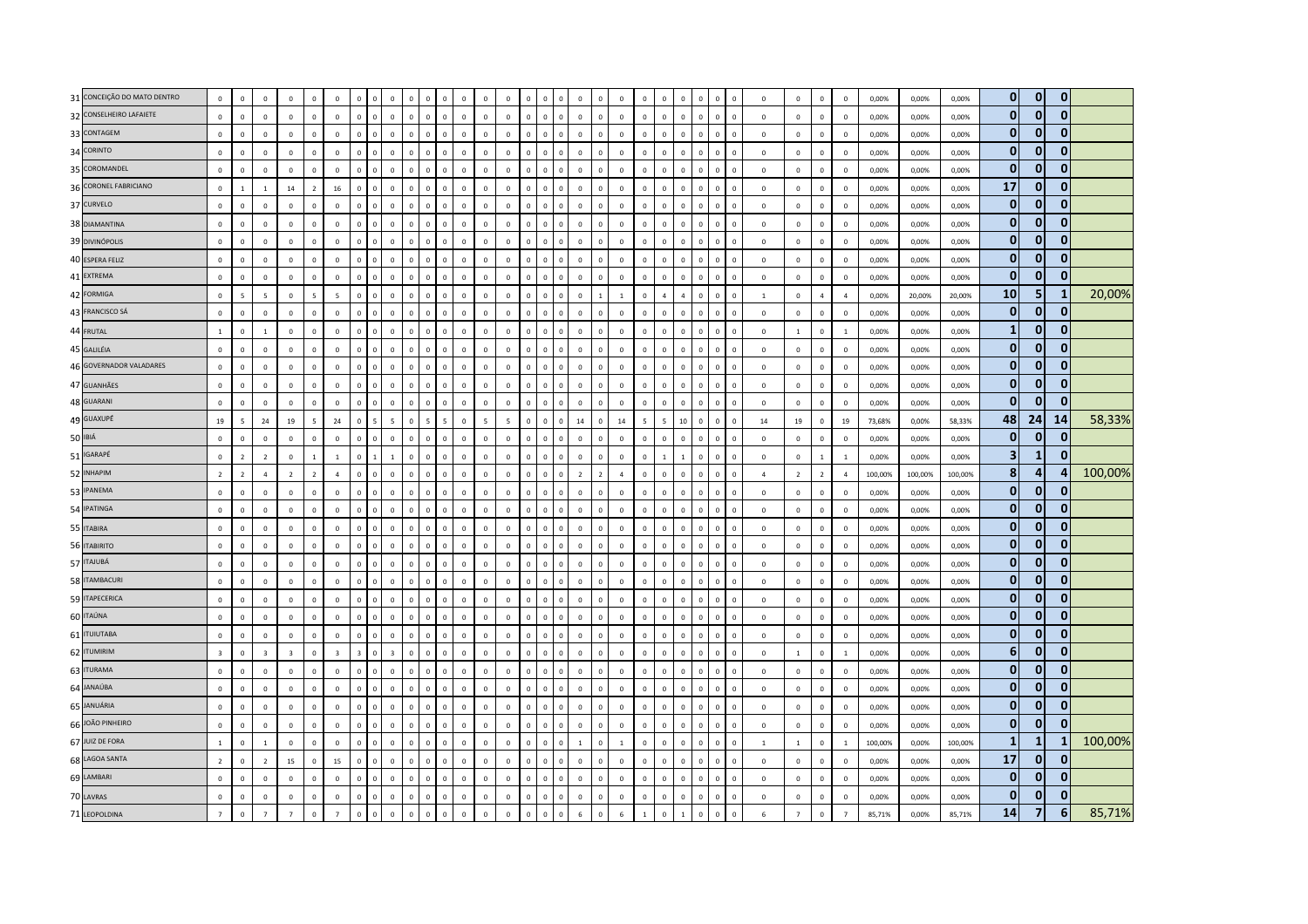| 31 CONCEIÇÃO DO MATO DENTRO | $\mathbb O$    | $\overline{\mathbf{0}}$ | $\mathsf 0$    | $\mathbf{0}$   | $\overline{0}$           | $\mathbf 0$             | $\mathbf 0$    | 0            | $\mathbf 0$              | $\mathbf 0$  |                | $\Omega$<br>$\overline{0}$ |              | $\mathbf 0$  | $\overline{0}$ | $\Omega$     |                             | $\mathbf 0$    |             | $\mathbf 0$    | $\mathbf 0$              | $\Omega$     | $\overline{0}$ | $\Omega$     | $\mathbf 0$  |                | $\mathbf 0$    | $\mathbf 0$    | $\mathbf 0$    | $\mathbf 0$    | 0,00%   | 0,00%   | 0,00%   | $\mathbf{0}$   | $\mathbf{0}$   | $\mathbf{0}$ |         |
|-----------------------------|----------------|-------------------------|----------------|----------------|--------------------------|-------------------------|----------------|--------------|--------------------------|--------------|----------------|----------------------------|--------------|--------------|----------------|--------------|-----------------------------|----------------|-------------|----------------|--------------------------|--------------|----------------|--------------|--------------|----------------|----------------|----------------|----------------|----------------|---------|---------|---------|----------------|----------------|--------------|---------|
| 32 CONSELHEIRO LAFAIETE     | $\mathbb O$    | $\mathsf 0$             | $\mathsf 0$    | $\mathbf 0$    | $\mathsf 0$              | $\mathbb O$             | $\mathbf{0}$   | $\mathsf 0$  | $\mathbf 0$              | $\mathbf 0$  | $\mathbb O$    | $\mathbf 0$                | $\mathbf 0$  | $\mathbf 0$  | $\mathbb O$    | $\mathbf 0$  | $\mathbf{0}$<br>$\mathbf 0$ | $\mathbf 0$    |             | $\mathbb O$    | $\mathbf 0$              | $\circ$      | $\mathbf 0$    | $\mathbf{0}$ | $\mathbf 0$  | $\mathbb O$    | $\mathsf 0$    | $\mathbf 0$    | $\mathsf 0$    | $\mathbb O$    | 0,00%   | 0,00%   | 0,00%   | $\overline{0}$ | $\mathbf{0}$   | $\mathbf{0}$ |         |
| 33 CONTAGEM                 | $\mathbb O$    | $\mathbf 0$             | $\mathsf 0$    | $\mathbf 0$    | $\mathbf 0$              | $\mathbb O$             | $\mathbf{0}$   | $\mathbf 0$  | $\mathbf 0$              | $\mathbf 0$  | $\Omega$       | $\mathbf{0}$               | $\mathbf 0$  | $\mathbf 0$  | $\mathbb O$    | $\mathsf 0$  | $\mathbf 0$<br>$\mathbf 0$  | $\mathbf 0$    |             | $\mathbb O$    | $\mathbf 0$              | $\mathbf{0}$ | $\mathbf 0$    | $\mathbf{0}$ | $\mathbf 0$  | $^{\circ}$     | $\mathsf 0$    | $\mathbf 0$    | $\mathbf 0$    | $\mathbf 0$    | 0,00%   | 0,00%   | 0,00%   | $\overline{0}$ | $\mathbf{0}$   | $\mathbf{0}$ |         |
| 34 CORINTO                  | $\mathbb O$    | $\overline{0}$          | $\Omega$       | $\Omega$       | $\Omega$                 | $\circ$                 | $\Omega$       | $\mathbf 0$  | $\overline{0}$           | $\Omega$     | $\Omega$       | $\circ$<br>$\Omega$        |              | $\mathbf{0}$ | $\overline{0}$ | $\Omega$     | $\mathsf 0$<br>$\mathbb O$  | $\mathbf 0$    | $\Omega$    | $\Omega$       | $\mathbf 0$              | $\mathbf{0}$ | $\mathbf 0$    | $\Omega$     | $\mathbf 0$  | $\Omega$       | $\mathsf 0$    | $\mathbf 0$    | $\mathsf 0$    | $\mathbb O$    | 0,00%   | 0,00%   | 0,00%   | $\overline{0}$ | $\mathbf{0}$   | $\mathbf{0}$ |         |
| 35 COROMANDEL               | $\mathbf 0$    | $\mathsf 0$             | $\mathsf 0$    | $\mathbf 0$    | $\mathsf 0$              | $\mathbb O$             | $\mathbf 0$    | $\mathbf 0$  | $\mathbf 0$              | $\mathbf 0$  | $\overline{0}$ | $\mathbf 0$                | $\mathbf 0$  | $\mathbf 0$  | $\mathbb O$    | $\mathsf 0$  | $\mathsf 0$<br>$\mathbf 0$  | $\mathbf 0$    | $\Omega$    | $\mathbb O$    | $\mathbf 0$              | $\mathbf 0$  | $\mathbf 0$    | $\mathbf 0$  | $\mathbf 0$  | $\mathbb O$    | $\mathbf 0$    | $\mathbf 0$    | $\mathsf 0$    | $\mathbb O$    | 0,00%   | 0,00%   | 0,00%   | $\overline{0}$ | $\mathbf{0}$   | $\mathbf{0}$ |         |
| 36 CORONEL FABRICIANO       | $\mathbb O$    | $\mathbf{1}$            | $1\,$          | 14             | $\overline{2}$           | 16                      | $\mathbf 0$    | $\mathbf 0$  | $\overline{0}$           | $\mathbf 0$  | $\mathbf 0$    | $\mathbf 0$                | $\mathbf 0$  | $\mathbf 0$  | $\mathbb O$    | $\mathbf 0$  | $\mathbf 0$<br>$\mathbf 0$  | $\mathbf 0$    |             | $\mathsf 0$    | $\mathbf 0$              | $\mathbf 0$  | $\mathbf 0$    | $\mathbf 0$  | $\mathbf 0$  | $\theta$       | $\mathbf 0$    | $\mathbf 0$    | $\mathsf 0$    | $\mathbb O$    | 0,00%   | 0,00%   | 0,00%   | 17             | $\mathbf{0}$   | $\Omega$     |         |
| 37 CURVELO                  | $\mathbf 0$    | $\mathbf{0}$            | $\Omega$       | $\Omega$       | $\overline{0}$           | $\mathbf 0$             | $\circ$        | $\mathbf{0}$ | $\overline{0}$           | $\mathbf{0}$ | $\Omega$       | $\circ$                    | $\mathbf{0}$ | $\mathbf{0}$ | $\overline{0}$ | $\circ$      | $\Omega$<br>$\Omega$        | $\mathbf{0}$   |             | $\mathbf 0$    | $\Omega$                 | $\mathbf{0}$ | $\mathbf 0$    | $\Omega$     | $\mathbf{0}$ | $\Omega$       | $\Omega$       | $\mathbf 0$    | $\mathbf{0}$   | $\mathbf 0$    | 0.00%   | 0.00%   | 0.00%   | $\mathbf{0}$   | $\mathbf{0}$   | $\mathbf{0}$ |         |
| 38 DIAMANTINA               | $\mathbf 0$    | $\mathbf{0}$            | $\Omega$       | $\overline{0}$ | $\mathbf{0}$             | $\mathbf 0$             | $\circ$        | $\mathbf 0$  | $\mathbf{0}$             | $\circ$      | $\circ$        | $\Omega$                   | $\mathbf 0$  | $\Omega$     | $\mathbf 0$    | $\Omega$     | $\mathbf 0$<br>$\mathbf 0$  | $\mathbf 0$    | $\Omega$    | $\mathbf 0$    | $\mathbf 0$              | $\mathbf{0}$ | $\mathbf 0$    | $\Omega$     | $\mathbf 0$  | $\mathbf 0$    | $^{\circ}$     | $\mathbf 0$    | $\mathbf 0$    | $\mathbf 0$    | 0,00%   | 0,00%   | 0,00%   | $\mathbf{0}$   | $\mathbf{0}$   | $\mathbf{0}$ |         |
| 39 DIVINÓPOLIS              | $\mathbb O$    | $\mathbf{0}$            | $\mathsf 0$    | $\mathbf{0}$   | $\mathbf 0$              | $\mathbb O$             | $\mathbf 0$    | $\mathbf 0$  | $\overline{0}$           | $\mathbf 0$  | $\mathbf 0$    | $\mathbf 0$                | $\mathbf 0$  | $\mathbf 0$  | $\mathbb O$    | $\mathbf 0$  | $\mathbf 0$<br>$\mathbf 0$  | $\mathbf 0$    |             | $\mathbb O$    | $\mathbf 0$              | $\mathbf 0$  | $\overline{0}$ | $\mathsf 0$  | $\mathbf 0$  | $\overline{0}$ | $\mathsf 0$    | $\mathbf 0$    | $\mathbf 0$    | $\mathbf 0$    | 0,00%   | 0,00%   | 0,00%   | $\mathbf{0}$   | $\mathbf{0}$   | $\mathbf{0}$ |         |
| 40 ESPERA FELIZ             | $\mathbb O$    | $\,0\,$                 | $\mathsf 0$    | $\mathbf 0$    | $\mathbf 0$              | $\mathbb O$             | $\mathbf{0}$   | $\mathsf 0$  | $\circ$                  | $\mathbf 0$  | $\mathbb O$    | $\mathbf{0}$               | $\mathbf 0$  | $\mathbf 0$  | $\mathbb O$    | $\mathsf 0$  | $\mathsf 0$<br>$\mathbf 0$  | $\mathbf 0$    | $\mathbf 0$ | $\mathbb O$    | $\mathbf 0$              | $\circ$      | $\mathbf 0$    | $\mathbf 0$  | $\mathbf 0$  | $\mathbf 0$    | $\mathbf 0$    | $\mathbf 0$    | $\mathbf 0$    | $\mathbb O$    | 0,00%   | 0,00%   | 0,00%   | $\overline{0}$ | $\mathbf 0$    | $\mathbf{0}$ |         |
| 41 EXTREMA                  | $\mathbf 0$    | $\Omega$                | $\Omega$       | $\overline{0}$ | $\Omega$                 | $\mathbf{0}$            | $\Omega$       | $\Omega$     | $\mathbf 0$              | $\Omega$     | $\Omega$       | $\Omega$                   | $\mathbf{0}$ | $\mathbf{0}$ | $\mathbf 0$    | $\Omega$     | $\Omega$<br>$\Omega$        | $\Omega$       |             | $\mathbf 0$    | $\Omega$                 | $\mathbf{0}$ | $\mathbf 0$    | $\Omega$     | $\Omega$     | $\Omega$       | $\Omega$       | $\mathbf{0}$   | $\mathbf{0}$   | $\overline{0}$ | 0.00%   | 0.00%   | 0.00%   | $\mathbf{0}$   | $\mathbf{0}$   | $\mathbf{0}$ |         |
| 42 FORMIGA                  | $\mathbb O$    | 5                       | $\sim$         | $\mathbf 0$    | $\overline{\phantom{a}}$ | $5\overline{5}$         | $\Omega$       | $\Omega$     | $\Omega$                 | $\Omega$     | $\Omega$       | $\Omega$                   | $\mathbf 0$  | $\Omega$     | $\mathbf 0$    | $\Omega$     | $\Omega$<br>$\Omega$        | $\mathbf 0$    |             | $\overline{1}$ | $\mathbf 0$              | $\Delta$     | $\overline{4}$ | $\Omega$     | $\Omega$     | $\Omega$       | $\overline{1}$ | $\mathbb O$    | $\overline{4}$ | $\overline{4}$ | 0,00%   | 20,00%  | 20,00%  | 10             | 5              | 1            | 20,00%  |
| 43 FRANCISCO SÁ             | $\mathbb O$    | $\,0\,$                 | $\mathsf 0$    | $\mathbf 0$    | $\mathbf 0$              | $\mathbb O$             | $\mathbf{0}$   | $\mathbf 0$  | $\mathbf{0}$             | $\mathbf 0$  | $\mathbf{0}$   | $\circ$                    | $\mathbf 0$  | $\mathbf 0$  | $\mathbb O$    | $\mathsf 0$  | $\mathsf 0$<br>$\mathbb O$  | $\mathbf 0$    | $\Omega$    | $\mathbb O$    | $\mathbf 0$              | $\circ$      | $\,0\,$        | $\mathbf{0}$ | $\mathbf 0$  | $\overline{0}$ | $\mathbf 0$    | $\mathbf 0$    | $\mathbf 0$    | $\mathbb O$    | 0,00%   | 0,00%   | 0,00%   | $\overline{0}$ | $\mathbf{0}$   | $\mathbf{0}$ |         |
| 44 FRUTAL                   | $\,$ 1 $\,$    | $\mathbf 0$             | $\overline{1}$ | $\Omega$       | $\Omega$                 | $\mathbf{0}$            | $\mathbf{0}$   | $\mathbf 0$  | $\Omega$                 | $\Omega$     | $\Omega$       | $\circ$                    | $\mathbf 0$  | $\mathbf{0}$ | $\mathbb O$    | $\circ$      | $\Omega$<br>$\Omega$        | $\Omega$       |             | $\mathbf{0}$   | $\Omega$                 | $\Omega$     | $\Omega$       | $\Omega$     | $\Omega$     | $\Omega$       | $\Omega$       | $\mathbf{1}$   | $\mathbf 0$    | $\,$ 1 $\,$    | 0,00%   | 0,00%   | 0,00%   | $\mathbf{1}$   | $\mathbf{0}$   | $\Omega$     |         |
| 45 GALILÉIA                 | $\mathbf 0$    | $\overline{0}$          | $\Omega$       | $\Omega$       | $\Omega$                 | $\Omega$                | $\Omega$       | $\mathbf{0}$ | $\overline{0}$           | $\mathbf{0}$ | $\Omega$       | $\mathbf{0}$               | $\mathbf{0}$ | $\mathbf{0}$ | $\overline{0}$ | $\circ$      | $\mathbf{0}$<br>$\mathbf 0$ | $\mathbf{0}$   | $\Omega$    | $\mathbf 0$    | $\Omega$                 | $\mathbf{0}$ | $\mathbf{0}$   | $\Omega$     | $\mathbf{0}$ | $\Omega$       | $\Omega$       | $\mathbf 0$    | $\mathbf{0}$   | $\mathbf 0$    | 0,00%   | 0,00%   | 0,00%   | $\overline{0}$ | $\mathbf{0}$   | $\mathbf{0}$ |         |
| 46 GOVERNADOR VALADARES     | $\mathbf 0$    | $\mathbf 0$             | $\Omega$       | $\mathbf 0$    | $\mathsf 0$              | $\mathbb O$             | $\mathbf{0}$   | $\mathbf 0$  | $\circ$                  | $\mathbf 0$  | $\Omega$       | $\Omega$                   | $\mathbf 0$  | $\mathbf 0$  | $\mathbb O$    | $\mathbf 0$  | $\mathbf{0}$<br>$\mathbf 0$ | $\mathbf 0$    | $\Omega$    | $\mathbb O$    | $\mathbf 0$              | $\circ$      | $\mathbf 0$    | $\Omega$     | $\mathbb O$  | $\overline{0}$ | $\mathbf 0$    | $\mathbf 0$    | $\mathbf 0$    | $\mathbf 0$    | 0,00%   | 0,00%   | 0,00%   | $\mathbf{0}$   | $\mathbf 0$    | $\bf{0}$     |         |
| 47 GUANHÃES                 | $\mathbf 0$    | $\,0\,$                 | $\mathbf 0$    | $\mathbf 0$    | $\,0\,$                  | $\,0\,$                 | $\Omega$       | $\mathbf 0$  | $\mathbf 0$              | $\mathbf 0$  | $\Omega$       | $\Omega$                   | $\mathbf{0}$ | $\mathbf 0$  | $\,0\,$        | $\mathbf 0$  | $\mathbf 0$<br>$\mathbf 0$  | $\,0\,$        |             | $\mathbf 0$    | $\mathbf 0$              | $\mathbf{0}$ | $\,0\,$        | $\Omega$     | $\mathbf 0$  | $\theta$       | $\mathbf 0$    | $\mathbf 0$    | $\mathbf 0$    | $\,0\,$        | 0,00%   | 0,00%   | 0,00%   | $\overline{0}$ | $\mathbf{0}$   | $\Omega$     |         |
| 48 GUARANI                  | $\mathbb O$    | $\mathsf 0$             | $\mathsf 0$    | $\Omega$       | $\overline{0}$           | $\mathbf 0$             | $\circ$        | $\mathsf 0$  | $\mathbf{0}$             | $\circ$      | $\mathbf{0}$   | $\circ$                    | $\mathbf 0$  | $\mathbf 0$  | $\mathbb O$    | $\circ$      | $\Omega$<br>$\Omega$        | $\mathbf 0$    |             | $\mathbb O$    | $\mathbf 0$              | $\mathbf{0}$ | $\mathbf 0$    | $\mathbf{0}$ | $\mathbf 0$  | $\mathbf 0$    | $\Omega$       | $\mathbb O$    | $\mathbf 0$    | $\mathbb O$    | 0,00%   | 0,00%   | 0,00%   | $\mathbf{0}$   | $\mathbf{0}$   | $\Omega$     |         |
| 49 GUAXUPÉ                  | 19             | $\overline{5}$          | 24             | 19             | 5                        | 24                      | $\Omega$       | 5            | $\overline{\phantom{a}}$ | $\mathbf{0}$ | 5              | 5                          | $\Omega$     | $\mathbf{5}$ | $\overline{5}$ | $\mathbf{0}$ | $\Omega$<br>$\mathbb O$     | 14             | $\Omega$    | 14             | $\overline{\phantom{a}}$ | -5           | 10             | $\Omega$     | $\Omega$     | $\Omega$       | 14             | 19             | $\mathsf 0$    | 19             | 73,68%  | 0,00%   | 58.33%  | 48             | 24             | 14           | 58,33%  |
| 50 IBIÁ                     | $\mathbf 0$    | $\,$ 0                  | $\mathbf 0$    | $\mathbf 0$    | $\mathbf 0$              | $\,0\,$                 | $\mathbf{0}$   | $\mathbf 0$  | $\mathbf 0$              | $\mathbf 0$  | $\overline{0}$ | $\Omega$                   | $\mathbf 0$  | $\mathbf 0$  | $\,0\,$        | $\mathsf 0$  | $\mathbf 0$<br>$\mathbf 0$  | $\,0\,$        |             | $\mathbb O$    | $\mathbf 0$              | $\mathbf 0$  | $\,0\,$        | $\Omega$     | $\mathbf 0$  | $\mathbf 0$    | $\mathbf 0$    | $\mathbf 0$    | $\mathbf 0$    | $\,0\,$        | 0,00%   | 0,00%   | 0,00%   | $\overline{0}$ | $\mathbf 0$    | $\bf{0}$     |         |
| 51 IGARAPÉ                  | $\mathbf{0}$   | $\overline{2}$          | $\overline{2}$ | $\,0\,$        | $\overline{1}$           | $\overline{1}$          | $\Omega$       | $\mathbf{1}$ | $\overline{1}$           | $\mathbf{0}$ | $\Omega$       | $\mathbf{0}$               | $\mathbf 0$  | $\mathbf 0$  | $\mathbb O$    | $\Omega$     | $\mathsf 0$<br>$\mathbb O$  | $\mathbf{0}$   | $\Omega$    | $\mathbb O$    | $\mathbf 0$              | $\mathbf{1}$ | $\mathbf{1}$   | $\Omega$     | $\mathbb O$  | $\mathbb O$    | $\mathbf 0$    | $\mathbf 0$    | $\mathbf{1}$   | $\,$ 1 $\,$    | 0,00%   | 0,00%   | 0,00%   | 3 <sup>1</sup> | 1              | $\mathbf{0}$ |         |
| 52 INHAPIM                  | $\overline{2}$ | $\overline{2}$          | $\overline{a}$ | $\overline{2}$ | $\overline{2}$           | $\overline{4}$          | $\Omega$       | $\Omega$     | $\mathbf 0$              | $\mathbf 0$  | $\sqrt{2}$     | $\Omega$                   | $\mathbf 0$  | $\mathbf 0$  | $\mathbb O$    | $\Omega$     | $\Omega$<br>$\Omega$        | $\overline{2}$ |             | $\overline{4}$ | $\mathbf 0$              | $\Omega$     | $\mathbf 0$    | $\Omega$     | $\Omega$     | $\Omega$       | $\overline{a}$ | $\overline{2}$ | $\overline{2}$ | $\overline{4}$ | 100,00% | 100,00% | 100,00% | 8              | $\overline{4}$ |              | 100,00% |
| 53 IPANEMA                  | $\mathbf{0}$   | $\Omega$                | $\Omega$       | $\Omega$       | $\Omega$                 | $\mathbf 0$             | $\Omega$       | $\Omega$     | $\Omega$                 | $\Omega$     | $\Omega$       | $\Omega$<br>$\Omega$       |              | $\Omega$     | $\overline{0}$ | $\Omega$     | $\Omega$<br>$\Omega$        | $\,$ 0 $\,$    | $\Omega$    | $\Omega$       | $\Omega$                 | $\Omega$     | $\mathbf 0$    | $\Omega$     | $\Omega$     | $\Omega$       | $\Omega$       | $\Omega$       | $\mathsf 0$    | $\Omega$       | 0,00%   | 0,00%   | 0,00%   | $\overline{0}$ | $\mathbf{0}$   | 0            |         |
| 54 IPATINGA                 | $\mathbb O$    | $\mathsf 0$             | $\mathbf 0$    | $\overline{0}$ | $\Omega$                 | $\bf{0}$                | $\overline{0}$ | $\mathbf 0$  | $\circ$                  | $\mathbb O$  | $\Omega$       | $\overline{0}$             | $\mathbf 0$  | $\Omega$     | $\overline{0}$ | $\mathsf 0$  | $\mathbf 0$<br>$\mathbb O$  | $\mathbf 0$    | $\Omega$    | $\mathbb O$    | $\mathbf 0$              | $\mathbf{0}$ | $\mathbf 0$    | $\Omega$     | $\mathbf 0$  | $\mathbf 0$    | $\mathbf 0$    | $\mathbf 0$    | $\mathbf 0$    | $\,0\,$        | 0,00%   | 0,00%   | 0,00%   | $\overline{0}$ | $\mathbf{0}$   | $\bf{0}$     |         |
| 55 ITABIRA                  | $\mathbb O$    | $\mathsf 0$             | $\mathsf 0$    | $\mathbf 0$    | $\,0\,$                  | $\mathbf 0$             | $\mathbf{0}$   | $\mathbf 0$  | $\mathbf 0$              | $\mathbf 0$  | $\Omega$       | $\circ$                    | $\mathbf 0$  | $\mathbf{0}$ | $\overline{0}$ | $\mathsf 0$  | $\mathsf 0$<br>$\mathbf 0$  | $\mathbf 0$    |             | $\mathsf 0$    | $\mathbf 0$              | $\mathbf{0}$ | $\mathbf 0$    | $\Omega$     | $\mathbf 0$  | $\mathbf 0$    | $\mathsf 0$    | $\mathbf 0$    | $\mathbf 0$    | $\mathbb O$    | 0,00%   | 0,00%   | 0,00%   | $\overline{0}$ | $\mathbf{0}$   | $\Omega$     |         |
| 56 ITABIRITO                | $\mathbb O$    | $\,$ 0                  | $\mathsf 0$    | $\mathbf 0$    | $\mathsf 0$              | $\mathbb O$             | $\overline{0}$ | $\mathbf 0$  | $\mathbf{0}$             | $\mathbf 0$  | $\mathbb O$    | $\circ$                    | $\mathbb O$  | $\mathbb O$  | $\mathbb O$    | $\mathbf 0$  | $\mathbf 0$<br>$\mathbf 0$  | $\mathbf 0$    | $\Omega$    | $\mathbb O$    | $\mathbf{0}$             | $\mathbf 0$  | $\mathbf 0$    | $\Omega$     | $\mathbf 0$  | $\mathbf 0$    | $\mathsf 0$    | $\mathbb O$    | $\mathbf 0$    | $\mathbf 0$    | 0,00%   | 0,00%   | 0,00%   | $\overline{0}$ | $\mathbf{0}$   | $\bf{0}$     |         |
| 57 ITAJUBÁ                  | $\mathbb O$    | $\mathbf 0$             | $\Omega$       | $\Omega$       | $\Omega$                 | $\circ$                 | $\Omega$       | $\mathbf 0$  | $\mathbf{0}$             | $\mathbb O$  | $\Omega$       | $\Omega$                   | $\Omega$     | $\Omega$     | $\mathbb O$    | $\Omega$     | $\Omega$<br>$\mathbb O$     | $\Omega$       | $\Omega$    | $\Omega$       | $\mathbf 0$              | $\Omega$     | $\mathbf 0$    | $\Omega$     | $\mathbb O$  | $\Omega$       | $\Omega$       | $\mathbf 0$    | $\mathbf 0$    | $\mathbf 0$    | 0.00%   | 0.00%   | 0,00%   | $\mathbf{0}$   | $\mathbf{0}$   | $\bf{0}$     |         |
| 58 ITAMBACURI               | $\mathbb O$    | $\Omega$                | $\Omega$       | $\Omega$       | $\Omega$                 | $\mathbf 0$             | $\Omega$       | $\Omega$     | $\mathbf{0}$             | $\Omega$     | $\Omega$       | $\Omega$                   | $\Omega$     | $\Omega$     | $\,0\,$        | $\Omega$     | $\Omega$<br>$\Omega$        | $\mathbf 0$    | $\Omega$    | $\Omega$       | $\Omega$                 | $\Omega$     | $\,0\,$        | $\Omega$     | $\mathbf 0$  | $\Omega$       | $\Omega$       | $\mathbb O$    | $\mathbf 0$    | $\mathbb O$    | 0,00%   | 0,00%   | 0,00%   | $\overline{0}$ | $\mathbf{0}$   | $\bf{0}$     |         |
| 59 ITAPECERICA              | $\mathbf 0$    | $\mathbf 0$             | $\mathsf 0$    | $\overline{0}$ | $\mathbf 0$              | $\mathbb O$             | $\overline{0}$ | $\mathbf 0$  | $\circ$                  | $\mathbf 0$  | $\mathbf 0$    | $\mathbf{0}$               | $\mathbf 0$  | $\mathbf 0$  | $\mathbf 0$    | $\circ$      | $\mathbf 0$<br>$\mathbf 0$  | $\mathbf 0$    | $\Omega$    | $\mathbb O$    | $\mathbf 0$              | $\Omega$     | $\mathbf 0$    | $\Omega$     | $\mathbf 0$  | $\mathbf 0$    | $\mathsf 0$    | $\mathbf 0$    | $\mathbf 0$    | $\mathbb O$    | 0,00%   | 0,00%   | 0,00%   | $\overline{0}$ | $\mathbf{0}$   | $\mathbf{0}$ |         |
| 60 ITAÚNA                   | $\mathbb O$    | $\mathsf 0$             | $\mathsf 0$    | $\mathbf 0$    | $\mathbf 0$              | $\circ$                 | $\Omega$       | $\mathbf 0$  | $\mathbb O$              | $\mathbf 0$  | $\Omega$       | $\mathbb O$                | $\mathbf 0$  | $\mathbf 0$  | $\mathbb O$    | $\mathbf 0$  | $\mathbf 0$<br>$\mathbf 0$  | $\mathbf 0$    |             | $\mathbb O$    | $\mathbf 0$              | $\mathbf 0$  | $\mathbf 0$    | $\Omega$     | $\mathbf 0$  | $\overline{0}$ | $\mathsf 0$    | $\mathbf 0$    | $\mathbf 0$    | $\mathbb O$    | 0,00%   | 0,00%   | 0,00%   | $\overline{0}$ | $\mathbf{0}$   | $\mathbf{0}$ |         |
| 61 <b>ITUIUTABA</b>         | $\mathbb O$    | $\mathsf 0$             | $\Omega$       | $\overline{0}$ | $\Omega$                 | $\mathbf{0}$            | $\Omega$       | $\mathbf 0$  | $\Omega$                 | $\Omega$     | $\Omega$       | $\Omega$                   | $\mathbf 0$  | $\mathbf 0$  | $\mathbb O$    | $\Omega$     | $\mathbf 0$<br>$\mathbb O$  | $\mathbf 0$    | $\Omega$    | $\mathbb O$    | $\mathbf 0$              | $\Omega$     | $\mathbf 0$    | $\Omega$     | $\mathbf 0$  | $\Omega$       | $\mathbf 0$    | $\mathbb O$    | $\mathbf 0$    | $\mathbb O$    | 0,00%   | 0,00%   | 0,00%   | $\overline{0}$ | $\mathbf{0}$   | $\mathbf{0}$ |         |
| 62 ITUMIRIM                 | $\overline{3}$ | $\mathbf 0$             | $\overline{3}$ | $\overline{3}$ | $\mathbf{0}$             | $\overline{\mathbf{3}}$ | $\overline{3}$ | $\mathbf 0$  | $\overline{\mathbf{3}}$  | $\mathbf 0$  | $\Omega$       | $\Omega$                   | $\Omega$     | $\Omega$     | $\overline{0}$ | $\Omega$     | $\mathsf 0$<br>$\mathbb O$  | $\mathbf 0$    | $\Omega$    | $\mathbf{0}$   | $\Omega$                 | $\mathbf{0}$ | $\mathbf 0$    | $\Omega$     | $\mathbb O$  | $\mathbf 0$    | $^{\circ}$     | $\overline{1}$ | $\mathbf{0}$   | $\overline{1}$ | 0,00%   | 0.00%   | 0.00%   | 61             | $\mathbf{0}$   | $\bf{0}$     |         |
| 63 ITURAMA                  | $\mathbb O$    | $\mathbf 0$             | $\mathsf 0$    | $\mathbf 0$    | $\overline{0}$           | $\mathbf 0$             | $\Omega$       | $\mathbf 0$  | $\overline{0}$           | $\mathbf 0$  |                | $\Omega$                   | $\mathbf 0$  | $\mathbf 0$  | $\mathbb O$    | $\Omega$     | $\mathbf 0$<br>$\Omega$     | $\mathbf 0$    |             | $\mathbb O$    | $\mathbf 0$              | $\Omega$     | $\overline{0}$ |              | $\mathbf 0$  | $\overline{0}$ | $\mathbf 0$    | $\mathbf 0$    | $\mathbf 0$    | $\mathbb O$    | 0,00%   | 0,00%   | 0,00%   | $\overline{0}$ | $\mathbf{0}$   | $\Omega$     |         |
| 64 JANAÚBA                  | $\mathbb O$    | $\mathsf 0$             | $\mathsf 0$    | $\mathbf 0$    | $\,$ 0                   | $\mathbb O$             | $\Omega$       | $\mathbf 0$  | $\mathbf 0$              | $\mathbf 0$  | $\Omega$       | $\mathbf{0}$               | $\mathbf{0}$ | $\mathbf 0$  | $\overline{0}$ | $\mathbf 0$  | $\mathbf{0}$<br>$\Omega$    | $\mathbf 0$    | $\Omega$    | $\mathbb O$    | $\mathbf 0$              | $\Omega$     | $\mathbf 0$    | $\Omega$     | $\mathbb O$  | $\overline{0}$ | $\mathsf 0$    | $\mathbb O$    | $\mathbf 0$    | $\mathbf 0$    | 0,00%   | 0,00%   | 0,00%   | $\mathbf{0}$   | $\mathbf{0}$   | $\mathbf{0}$ |         |
| 65 JANUÁRIA                 | $\mathbf 0$    | $\mathbf{0}$            | $\Omega$       | $\Omega$       | $\Omega$                 | $\Omega$                | $\Omega$       | $\Omega$     | $\circ$                  | $\Omega$     | $\Omega$       | $\Omega$                   | $\mathbf{0}$ | $\mathbf{0}$ | $\mathbf 0$    | $\circ$      | $\Omega$<br>$\Omega$        | $\mathbf{0}$   |             | $\mathbf{0}$   | $\Omega$                 | $\Omega$     | $\mathbf{0}$   | $\Omega$     | $\Omega$     | $\Omega$       | $\Omega$       | $\mathbf{0}$   | $\mathbf{0}$   | $\mathbf 0$    | 0.00%   | 0.00%   | 0.00%   | $\mathbf{0}$   | $\mathbf{0}$   | $\Omega$     |         |
| 66 JOÃO PINHEIRO            | $\mathbb O$    | $\overline{0}$          | $\Omega$       | $\overline{0}$ | $\Omega$                 | $\circ$                 | $\circ$        | $\mathbf 0$  | $\overline{0}$           | $\Omega$     | $\Omega$       | $\mathbf{0}$               | $\mathbf{0}$ | $\Omega$     | $\overline{0}$ | $\Omega$     | $\mathsf 0$<br>$\mathbb O$  | $\mathbf 0$    | $\Omega$    | $\mathbf 0$    | $\mathbb O$              | $\mathbf{0}$ | $\mathbf 0$    | $\Omega$     | $\mathbb O$  | $\Omega$       | $\mathsf 0$    | $\mathbb O$    | $\mathbf 0$    | $\,0\,$        | 0,00%   | 0,00%   | 0,00%   | $\mathbf{0}$   | $\mathbf{0}$   | $\mathbf{0}$ |         |
| 67 JUIZ DE FORA             | $1\,$          | $\mathsf 0$             | $1\,$          | $\mathbf 0$    | $\mathsf 0$              | $\mathbb O$             | $\overline{0}$ | $\mathsf 0$  | $\mathbf 0$              | $\mathbf 0$  | $\circ$        | $\mathbf 0$                | $\mathbf 0$  | $\mathbf 0$  | $\mathbb O$    | $\mathsf 0$  | $\mathsf 0$<br>$\mathbf 0$  | $\mathbf{1}$   | $\Omega$    | $\mathbf{1}$   | $\mathbf 0$              | $\circ$      | $\mathbf 0$    | $\mathbf 0$  | $\mathbf 0$  | $\mathbf 0$    | $\mathbf{1}$   | $\mathbf{1}$   | $\mathbf 0$    | $\mathbf{1}$   | 100,00% | 0,00%   | 100,00% | $\mathbf{1}$   | $\mathbf{1}$   |              | 100,00% |
| 68 LAGOA SANTA              | $\overline{2}$ | $\mathbf{0}$            | $\overline{2}$ | 15             | $\mathbf 0$              | 15                      | $\Omega$       | $\mathbf 0$  | $\mathbf 0$              | $\mathbf 0$  | $\Omega$       | $\Omega$                   | $\mathbf 0$  | $\mathbf 0$  | $\mathbb O$    | $\mathbf 0$  | $\mathbf 0$<br>$\mathbf 0$  | $\mathbf 0$    |             | $\mathbf 0$    | $\mathbf 0$              | $\mathbf 0$  | $\mathbf 0$    | $\Omega$     | $\mathbf 0$  | $\Omega$       | $\mathbf 0$    | $\mathbf 0$    | $\mathbf 0$    | $\mathbb O$    | 0,00%   | 0,00%   | 0,00%   | 17             | $\mathbf{0}$   | $\bf{0}$     |         |
| 69 LAMBARI                  | $\mathbf 0$    | $\overline{0}$          | $\Omega$       | $\Omega$       | $\overline{0}$           | $\Omega$                | $\circ$        | $\mathbf{0}$ | $\overline{0}$           | $\mathbf{0}$ | $\Omega$       | $\circ$                    | $\mathbf{0}$ | $\mathbf{0}$ | $\overline{0}$ | $\circ$      | $\Omega$<br>$\mathbf 0$     | $\mathbf{0}$   | $\Omega$    | $\mathbf 0$    | $\Omega$                 | $\mathbf{0}$ | $\mathbf{0}$   | $\mathbf{0}$ | $\mathbf 0$  | $\Omega$       | $\Omega$       | $\mathbf 0$    | $\mathbf{0}$   | $\mathbf 0$    | 0.00%   | 0.00%   | 0.00%   | $\overline{0}$ | $\mathbf{0}$   | $\bf{0}$     |         |
| 70 LAVRAS                   | $\mathbb O$    | $\mathbf 0$             | $\mathsf 0$    | $\mathbf 0$    | $\overline{0}$           | $\mathbb O$             | $\overline{0}$ | $\mathbf 0$  | $\mathbf 0$              | $\mathbf 0$  | $\circ$        | $\mathbf{0}$               | $\mathbf 0$  | $\mathbf 0$  | $\mathbb O$    | $\mathsf 0$  | $\mathbf{0}$<br>$\mathbb O$ | $\mathbb O$    | $\Omega$    | $\mathbb O$    | $\mathbf 0$              | $\circ$      | $\mathbf 0$    | $\mathbf{0}$ | $\mathbb O$  | $\mathbb O$    | $^{\circ}$     | $\mathbf 0$    | $\mathbf 0$    | $\mathbb O$    | 0.00%   | 0,00%   | 0,00%   | $\mathbf{0}$   | $\mathbf{0}$   | $\mathbf{0}$ |         |
| 71 LEOPOLDINA               | $\overline{7}$ | $\mathbf 0$             | $\overline{7}$ | $\overline{7}$ |                          | $\overline{7}$          |                |              | $\overline{0}$           | $\mathbf 0$  |                | $\mathbf 0$                | $\mathbf 0$  | $\mathbf 0$  | $\mathbb O$    | $\mathbf 0$  | $\mathbf{0}$                | $6\phantom{a}$ |             |                |                          |              |                |              |              |                |                | $\overline{7}$ | $\mathbf 0$    | $\overline{7}$ | 85,71%  | 0,00%   | 85,71%  | 14             | $\overline{7}$ | 6            | 85,71%  |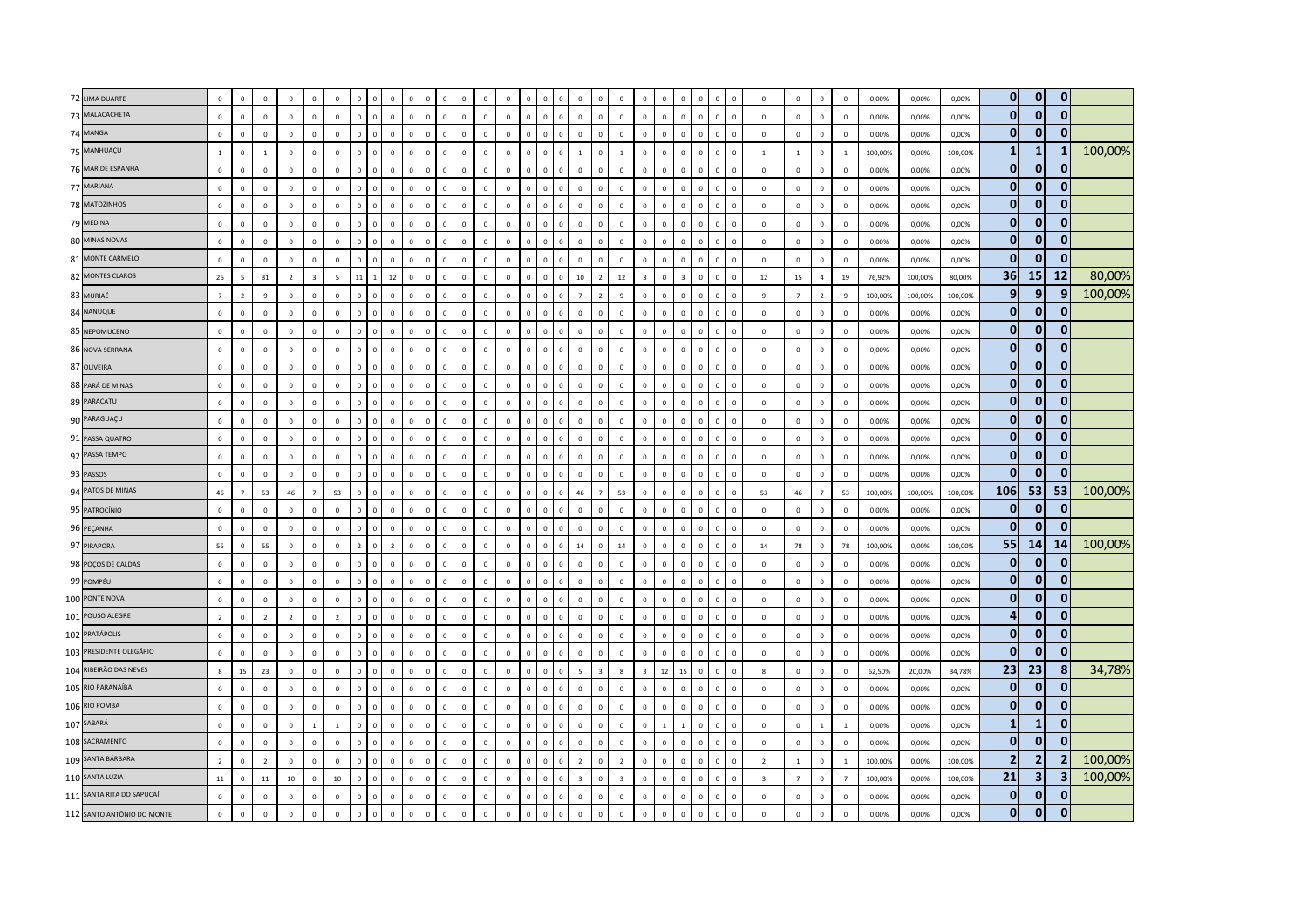| 72 LIMA DUARTE             | $\mathbf 0$    | $\mathbf 0$    | $\mathsf 0$    | $\,$ 0         | $\Omega$       | $\mathbf 0$    |                |              |                |                                |                             |              |              | $\overline{0}$ |              | $\mathbf 0$                   | $\mathbf 0$             | $\circ$        | $^{\circ}$     |                         |                |                         |              |                              |                | $\mathbf 0$    | $\mathbf 0$    | $\mathbb O$    | 0,00%   | 0,00%   | 0,00%   | $\overline{0}$ | $\mathbf{0}$            | $\overline{0}$          |         |
|----------------------------|----------------|----------------|----------------|----------------|----------------|----------------|----------------|--------------|----------------|--------------------------------|-----------------------------|--------------|--------------|----------------|--------------|-------------------------------|-------------------------|----------------|----------------|-------------------------|----------------|-------------------------|--------------|------------------------------|----------------|----------------|----------------|----------------|---------|---------|---------|----------------|-------------------------|-------------------------|---------|
| 73 MALACACHETA             | $\mathbf 0$    | $\mathbf 0$    | $\mathsf 0$    | $\,$ 0         | $\Omega$       | $\mathbf 0$    | $\Omega$       | $\mathbf{0}$ | $\mathbb O$    | $\overline{0}$                 | $\mathbf 0$<br>$\Omega$     | $\mathbb O$  | $\mathbf{0}$ | $\mathbf 0$    | $\mathbf{0}$ | $\mathbf 0$<br>$\mathsf 0$    | $\mathbf 0$             | $\mathbf 0$    | $\mathbf 0$    | $\mathbf 0$             | $\mathbf 0$    | $\mathbf 0$             | $\mathbf 0$  | $\mathbf{0}$<br>$\mathbf 0$  | $\mathbf 0$    | $\mathbf 0$    | $\mathbf 0$    | $\mathbf 0$    | 0,00%   | 0,00%   | 0,00%   | $\mathbf{0}$   | $\mathbf{0}$            | $\mathbf{0}$            |         |
| 74 MANGA                   | $\mathbf 0$    | $\mathbf{0}$   | $\mathsf 0$    | $\mathbf 0$    | $\mathbf{0}$   | $\mathbf 0$    | $\Omega$       | $\mathbf 0$  | $\mathbf 0$    | $\Omega$                       | n                           | $\mathbf 0$  | $\mathbf 0$  | $\mathbb O$    |              | $\mathsf 0$<br>$\Omega$       | $\mathbf 0$             | $\mathbf{0}$   | $\mathbf 0$    | $\mathbf 0$             | $\mathbf 0$    | $\Omega$                | $\mathbf 0$  | $\Omega$<br>$\mathbf 0$      | $\mathbf 0$    | $\mathbf 0$    | $\mathbf 0$    | $\mathbf 0$    | 0,00%   | 0,00%   | 0,00%   | 0              | $\mathbf 0$             | $\Omega$                |         |
| 75 MANHUAÇU                | $\mathbf{1}$   | $\Omega$       | $\overline{1}$ | $\,0\,$        | $\Omega$       | $\mathbf 0$    | $\Omega$       | $\Omega$     | $\Omega$       | $\Omega$<br>$\Omega$           | $\Omega$                    | $\mathbf 0$  | $\mathbf{0}$ | $\mathbf 0$    | $\Omega$     | $\mathbf{0}$<br>$\mathbf{0}$  | <sup>1</sup>            | $\overline{0}$ | $\overline{1}$ | $\mathbf 0$             | $\circ$        | $\Omega$                | $\circ$      | $\mathbf{0}$<br>$\Omega$     | $\mathbf{1}$   | $\mathbf{1}$   | $\mathbf 0$    | <sup>1</sup>   | 100,00% | 0,00%   | 100,00% | 1              | $\mathbf{1}$            | 1                       | 100,00% |
| 76 MAR DE ESPANHA          | $\mathbf 0$    | $\mathsf 0$    | $\mathsf 0$    | $\mathsf 0$    | $\mathsf 0$    | $\mathbf 0$    | $\Omega$       | $\mathbf 0$  | $\mathbf{0}$   | $\overline{0}$                 | $\mathbf 0$<br>$\Omega$     | $\mathbf 0$  | $\mathbf 0$  | $\mathbf 0$    | $\Omega$     | $\mathsf 0$<br>$\mathbf 0$    | $\mathbf 0$             | $\circ$        | $\mathbf 0$    | $\mathbf 0$             | $\mathbf 0$    | $\mathbf 0$             | $\mathsf 0$  | $\mathbf{0}$<br>$\mathbf 0$  | $\mathbf 0$    | $\mathbf 0$    | $\mathsf 0$    | $\mathbf 0$    | 0,00%   | 0,00%   | 0,00%   | 0              | $\bf{0}$                | $\bf{0}$                |         |
| 77 MARIANA                 | $\mathbf 0$    | $\mathbf 0$    | $\mathbf 0$    | $\,0\,$        | $\mathsf 0$    | $\mathbf 0$    |                | $\Omega$     | $\mathbf 0$    | $\Omega$                       | $\overline{0}$              | $\mathbf 0$  | $\mathbf 0$  | $\mathbb O$    |              | $\mathbf 0$<br>$\mathsf 0$    | $\mathbf 0$             | $\mathbf 0$    | $\mathbf 0$    | $\mathbf 0$             | $\mathbb O$    | $\overline{0}$          | $\Omega$     | $\mathbf 0$<br>$\mathbf 0$   | $\mathbf{0}$   | $\mathbf 0$    | $\mathbf 0$    | $\,0\,$        | 0,00%   | 0,00%   | 0,00%   | $\mathbf{0}$   | $\mathbf 0$             | $\mathbf{0}$            |         |
| 78 MATOZINHOS              | $\mathbf 0$    | $\mathbf{0}$   | $\mathbf 0$    | $\overline{0}$ | $\circ$        | $\mathbf{0}$   | $\Omega$       | $\Omega$     | $\circ$        | $\Omega$                       | $\mathbf{0}$<br>$\Omega$    | $\mathbf 0$  | $\Omega$     | $\,0\,$        | $\Omega$     | $\mathbf{0}$<br>$\mathbf{0}$  | $\mathbf{0}$            | $\mathbf{0}$   | $\mathbf 0$    | $\Omega$                | $\circ$        | $\mathbf 0$             | $\Omega$     | $\Omega$<br>$\mathbf{0}$     | $\Omega$       | $\mathbf{0}$   | $\overline{0}$ | $\Omega$       | 0,00%   | 0,00%   | 0,00%   | $\overline{0}$ | $\mathbf{0}$            | $\mathbf{0}$            |         |
| 79 MEDINA                  | $\mathbf 0$    | $\mathbf{0}$   | $\mathsf 0$    | $\overline{0}$ | $\Omega$       | $\circ$        | $\Omega$       | $\Omega$     | $\Omega$       | $\Omega$<br>$\Omega$           | $\Omega$                    | $\Omega$     | $\Omega$     | $\mathbf 0$    | $\Omega$     | $\mathbf 0$<br>$\mathsf 0$    | $\mathbf{0}$            | $\mathbf{0}$   | $\mathbf 0$    | $\Omega$                | $\circ$        | $\Omega$                | $\Omega$     | $\Omega$<br>$\Omega$         | $^{\circ}$     | $\mathbf 0$    | $\mathbf 0$    | $\mathbf 0$    | 0,00%   | 0,00%   | 0,00%   | 0              | $\mathbf{0}$            | $\mathbf{0}$            |         |
| 80 MINAS NOVAS             | $\mathbf 0$    | $\mathbf 0$    | $\mathsf 0$    | $\,0\,$        | $\mathbf 0$    | $\mathbf 0$    | $\mathbf 0$    | $\Omega$     | $\mathbf 0$    | $\Omega$                       |                             | $\mathbf 0$  | $\mathbf 0$  | $\mathbb O$    |              | $\mathbf 0$<br>$\mathsf 0$    | $\mathbf 0$             | $\mathbb O$    | $\mathbf 0$    | $\mathbf 0$             | $\mathbb O$    | $\Omega$                | $\mathbf{0}$ | $\mathbf{0}$<br>$\mathbf 0$  | $\mathbf 0$    | $\mathbf 0$    | $\mathbf 0$    | $\,0\,$        | 0,00%   | 0,00%   | 0,00%   | $\mathbf{0}$   | $\mathbf 0$             | $\overline{0}$          |         |
| 81 MONTE CARMELO           | $\mathbf 0$    | $\mathbf 0$    | $\mathsf 0$    | $\,0\,$        | $\mathsf 0$    | $\mathbf 0$    | $\mathbf 0$    | $\mathbf 0$  | $\mathbf{0}$   | $\overline{0}$                 | $\mathbf{0}$<br>$\mathbf 0$ | $\mathbb O$  | $\mathbf 0$  | $\mathbb O$    | $\mathbf{0}$ | $\mathbf 0$<br>$\mathbf 0$    | $\mathbf 0$             | $\mathbf{0}$   | $\mathbf 0$    | $\mathbf 0$             | $\mathbf 0$    | $\mathbf 0$             | $\mathbf 0$  | $\mathbf 0$<br>$\mathbf 0$   | $\mathbf{0}$   | $\mathbf 0$    | $\mathbf 0$    | $\,0\,$        | 0,00%   | 0,00%   | 0,00%   | $\mathbf{0}$   | $\mathbf 0$             | $\mathbf{0}$            |         |
| 82 MONTES CLAROS           | 26             | -5             | 31             | $\overline{2}$ | $\overline{3}$ | $\overline{5}$ | 11             |              | 12             | $\Omega$<br>$\Omega$           | n                           | $\Omega$     | $\Omega$     | $\mathbf 0$    |              | $\Omega$<br>$\Omega$          | 10                      | $\overline{z}$ | 12             | $\mathbf{a}$            | $\Omega$       | $\overline{\mathbf{z}}$ | $\Omega$     | $\Omega$<br>$\Omega$         | 12             | 15             | $\overline{a}$ | 19             | 76,92%  | 100,00% | 80.00%  | 36             | 15                      | 12                      | 80,00%  |
| 83 MURIAÉ                  | $\overline{7}$ | $\overline{2}$ | 9              | $\mathsf 0$    | $\Omega$       | $\mathbf 0$    |                | $\Omega$     | $\Omega$       | $\Omega$<br>$\Omega$           | $\Omega$                    | $\mathbf{0}$ | $\Omega$     | $\mathbf 0$    |              | $\mathbf{0}$<br>$\mathbf{0}$  | $\overline{7}$          | $\overline{z}$ | $\overline{9}$ | $\Omega$                | $\Omega$       | $\mathbf{0}$            | $\sqrt{2}$   | $\Omega$<br>$\Omega$         | $\mathsf{q}$   | $\overline{7}$ | $\overline{2}$ | $\,9$          | 100,00% | 100,00% | 100,00% | 9 <sub>l</sub> | 9                       | 9                       | 100,00% |
| 84 NANUQUE                 | $\mathbf 0$    | $\mathbf 0$    | $\mathbf 0$    | $\,$ 0         | $\mathbf 0$    | $\mathbf 0$    | $\Omega$       | $\mathbf 0$  | $\mathbf{0}$   | $\overline{0}$<br>$\mathbf{0}$ | $\Omega$                    | $\mathbb O$  | $\mathbf 0$  | $\mathbf 0$    | $\mathbf{0}$ | $\mathbf 0$<br>$\mathbf 0$    | $\mathbf 0$             | $\mathbf{0}$   | $\mathbf 0$    | $\mathbf 0$             | $\mathbf 0$    | $\mathbf 0$             | $\mathbf{0}$ | $\mathbf 0$<br>$\mathbf 0$   | $\mathbf{0}$   | $\mathbf 0$    | $\mathbf 0$    | $\,0\,$        | 0,00%   | 0,00%   | 0,00%   | 0              | $\mathbf{0}$            | $\bf{0}$                |         |
| 85 NEPOMUCENO              | $\mathbf 0$    | $\mathbf 0$    | $\mathbf 0$    | $\,0\,$        | $\mathbf{0}$   | $\,0\,$        | $\Omega$       | $\Omega$     | $\Omega$       | $\Omega$<br>$\Omega$           | $\Omega$                    | $\mathbf{0}$ | $\mathbf{0}$ | $\mathbb O$    |              | $\mathbf{0}$<br>$\mathbf 0$   | $\mathbf 0$             | $\mathbf{0}$   | $\mathbf 0$    | $\mathbf 0$             | $\circ$        | $\mathbf 0$             | $\Omega$     | $\Omega$<br>$\Omega$         | $\Omega$       | $\mathbf 0$    | $\mathbf 0$    | $\,0\,$        | 0,00%   | 0,00%   | 0,00%   | $\mathbf{0}$   | $\mathbf{0}$            | $\Omega$                |         |
| 86 NOVA SERRANA            | $\mathbf 0$    | $\mathbf{0}$   | $\Omega$       | $\overline{0}$ | $\Omega$       | $\mathbf 0$    | $\Omega$       | $\mathbf{0}$ | $\Omega$       | $\Omega$                       | $\mathbf{0}$<br>$\Omega$    | $\circ$      | $\mathbf{0}$ | $\mathbf 0$    | $\Omega$     | $\mathbf{0}$<br>$\mathbf{0}$  | $\overline{0}$          | $\overline{0}$ | $\Omega$       | $\mathbf 0$             | $\mathbf{0}$   | $\mathbf 0$             | $\circ$      | $\mathbf{0}$<br>$\Omega$     | $\Omega$       | $\mathbf{0}$   | $\overline{0}$ | $\mathbf 0$    | 0,00%   | 0,00%   | 0,00%   | 0              | $\mathbf 0$             | $\mathbf{0}$            |         |
| 87 OLIVEIRA                | $\mathbf 0$    | $\mathbf 0$    | $\mathsf 0$    | $\mathsf 0$    | $\Omega$       | $\mathbf 0$    | $\Omega$       | $\mathbf 0$  | $\Omega$       | $\Omega$<br>$\mathbf 0$        | $\Omega$                    | $\mathbb O$  | $\Omega$     | $\mathbf 0$    |              | $\mathbf 0$<br>$\mathbf 0$    | $\mathbf 0$             | $\mathbf 0$    | $\mathbf 0$    | $\mathbf 0$             | $\mathbf 0$    | $\Omega$                | $\Omega$     | $\mathbf 0$<br>$\mathbf 0$   | $\mathbf{0}$   | $\mathbf 0$    | $\mathbf 0$    | $\mathbf 0$    | 0,00%   | 0,00%   | 0,00%   | $\mathbf{0}$   | $\mathbf 0$             | $\mathbf{0}$            |         |
| 88 PARÁ DE MINAS           | $\mathbf 0$    | $\mathbf 0$    | $\,0\,$        | $\,0\,$        | $\mathbf{0}$   | $\,0\,$        |                | $\Omega$     | $\mathbf{0}$   | $\Omega$<br>$\Omega$           | $\mathbf 0$                 | $\mathbb O$  | $\mathbf 0$  | $\mathbf 0$    |              | $\Omega$<br>$\mathbf 0$       | $\,0\,$                 | $\mathbf 0$    | $\mathbf 0$    | $\mathbf 0$             | $\mathbb O$    | $\mathbf 0$             | $\Omega$     | $\mathbf{0}$<br>$\mathbf 0$  | $\mathbf{0}$   | $\mathbf 0$    | $\,0\,$        | $\,0\,$        | 0,00%   | 0,00%   | 0,00%   | $\mathbf{0}$   | $\mathbf 0$             | $\mathbf{0}$            |         |
| 89 PARACATU                | $\mathbf 0$    | $\mathbf 0$    | $\mathsf 0$    | $\,0\,$        | $\circ$        | $\mathbf 0$    | $\Omega$       | $\Omega$     | $\Omega$       | $\Omega$                       | $\Omega$<br>$\Omega$        | $\mathbf 0$  | $\mathbf{0}$ | $\mathbb O$    | $\Omega$     | $\mathbf 0$<br>$\mathbf{0}$   | $\mathbf 0$             | $\mathbf{0}$   | $\mathbf 0$    | $\Omega$                | $\circ$        | $\mathbf 0$             | $\mathbf{0}$ | $\mathbf{0}$<br>$\mathbf{0}$ | $\Omega$       | $\mathbf 0$    | $\mathbf 0$    | $\mathbf 0$    | 0,00%   | 0,00%   | 0,00%   | $\overline{0}$ | $\mathbf{0}$            | $\mathbf{0}$            |         |
| 90 PARAGUAÇU               | $\mathbf 0$    | $\Omega$       | $\Omega$       | $\Omega$       | $\Omega$       | $\mathbf 0$    | $\Omega$       | $\Omega$     | $\Omega$       | $\Omega$<br>$\Omega$           |                             | $\Omega$     | $\Omega$     | $\mathbb O$    | $\Omega$     | $\mathbf{0}$<br>$\Omega$      | $\Omega$                | $\Omega$       | $\Omega$       | $\Omega$                | $\Omega$       | $\Omega$                | $\Omega$     | $\Omega$<br>$\Omega$         | $\Omega$       | $\Omega$       | $\mathbf 0$    | $\mathbf{0}$   | 0,00%   | 0,00%   | 0,00%   | $\mathbf{0}$   | $\mathbf{0}$            | $\mathbf{0}$            |         |
| 91 PASSA QUATRO            | $\mathbf 0$    | $\mathbf 0$    | $\,0\,$        | $\,0\,$        | $\mathsf 0$    | $\,0\,$        | $\mathbf 0$    | $\Omega$     | $\mathbf{0}$   | $\Omega$<br>$\Omega$           | $\Omega$                    | $\mathbb O$  | $\mathbf 0$  | $\mathbf 0$    | $\Omega$     | $\mathbf 0$<br>$\mathsf 0$    | $\mathbf 0$             | $\mathbf{0}$   | $\mathbf 0$    | $\mathbf 0$             | $\mathbf 0$    | $\mathbf 0$             | $\Omega$     | $\mathbf 0$<br>$\mathbf 0$   | $\mathbf 0$    | $\mathbf 0$    | $\,0\,$        | $\,0\,$        | 0,00%   | 0,00%   | 0,00%   | $\overline{0}$ | $\bf{0}$                | $\overline{0}$          |         |
| 92 PASSA TEMPO             | $\mathbb O$    | $\mathsf 0$    | $\mathbf 0$    | $\,0\,$        | $\Omega$       | $\,0\,$        | $\Omega$       | $\mathbf 0$  | $\Omega$       | $\Omega$<br>$\Omega$           | $\Omega$                    | $\circ$      | $\Omega$     | $\mathbf 0$    | $\Omega$     | $\mathbf 0$<br>$\mathbf 0$    | $\mathbf{0}$            | $\mathbf{0}$   | $\,0\,$        | $\mathbf 0$             | $\circ$        | $\mathbf 0$             | $\mathbf{0}$ | $\mathbf 0$<br>$\mathbf 0$   | $\mathbf 0$    | $\mathbf 0$    | $\mathbf 0$    | $\mathbf 0$    | 0,00%   | 0,00%   | 0,00%   | $\mathbf{0}$   | $\mathbf 0$             | $\mathbf{0}$            |         |
| 93 PASSOS                  | $\mathbf 0$    | $\mathbf 0$    | $\mathsf 0$    | $\mathbf 0$    | $\Omega$       | $\mathbf 0$    | $\Omega$       |              | $\Omega$       | $\Omega$                       | $\Omega$                    | $\mathbf 0$  | $\Omega$     | $\mathbb O$    |              | $\mathsf 0$<br>$\Omega$       | $\mathbf 0$             | $\mathbf{0}$   | $\mathbf 0$    | $\mathbf 0$             | $\mathbf 0$    | $\Omega$                | $\Omega$     | $\Omega$<br>$\Omega$         | $\Omega$       | $\mathbf 0$    | $\mathbf 0$    | $\circ$        | 0,00%   | 0,00%   | 0,00%   | $\mathbf{0}$   | $\mathbf{0}$            | $\Omega$                |         |
| 94 PATOS DE MINAS          | 46             | $\overline{7}$ | 53             | 46             | $\overline{7}$ | 53             | $\Omega$       | $\Omega$     | $\Omega$       | $\Omega$<br>$\Omega$           | $\Omega$                    | $\Omega$     | $\Omega$     | $\mathbf 0$    | $\Omega$     | $\mathbf{0}$<br>$\mathbf{0}$  | 46                      | $\overline{7}$ | 53             | $\Omega$                | $\Omega$       | $\mathbf{0}$            | $\Omega$     | $\Omega$<br>$\Omega$         | 53             | 46             | $\overline{7}$ | 53             | 100,00% | 100,00% | 100,00% | 106            | 53                      | 53                      | 100,00% |
| 95 PATROCÍNIO              | $\mathbf 0$    | $\mathbf{0}$   | $\mathbf 0$    | $\overline{0}$ | $\mathbf{0}$   | $\,0\,$        | $\Omega$       | $\mathbf 0$  | $\mathbf{0}$   | $\overline{0}$<br>$\Omega$     | $\Omega$                    | $\mathbf{0}$ | $\mathbf 0$  | $\mathbf 0$    | $^{\circ}$   | $\mathsf 0$<br>$\mathbf 0$    | $\mathbf{0}$            | $\mathbf{0}$   | $\mathbf 0$    | $\mathbf 0$             | $\mathbf{0}$   | $\Omega$                | $\Omega$     | $\Omega$<br>$\Omega$         | $\mathbf{0}$   | $\mathbf 0$    | $\mathbf 0$    | $\,0\,$        | 0,00%   | 0,00%   | 0,00%   | $\mathbf{0}$   | $\mathbf 0$             | 0                       |         |
| 96 PEÇANHA                 | $\mathbf 0$    | $\mathbf 0$    | $\overline{0}$ | $\mathbf 0$    | $\circ$        | $\mathbf 0$    | $\Omega$       | $\Omega$     | $\Omega$       | $\Omega$<br>$\Omega$           | $\Omega$                    | $\mathbf 0$  | $\mathbf 0$  | $\mathbf 0$    |              | $\mathbf{0}$<br>$\mathsf 0$   | $\circ$                 | $\circ$        | $\overline{0}$ | $\mathbb O$             | $\mathbf 0$    | $\mathbf{0}$            | $\circ$      | $\Omega$<br>$\mathbf 0$      | $\mathbf 0$    | $\mathbf 0$    | $\mathbf 0$    | $\mathbf 0$    | 0,00%   | 0,00%   | 0,00%   | $\mathbf{0}$   | $\mathbf{0}$            | $\Omega$                |         |
| 97 PIRAPORA                | 55             | $\mathbf{0}$   | 55             | $\,$ 0         | $\mathbf 0$    | $\mathbf 0$    | $\overline{2}$ | $\mathbf{0}$ | $\overline{2}$ | $\mathbf{0}$                   | $\Omega$<br>$\Omega$        | $\mathbf 0$  | $\circ$      | $\mathbf 0$    | $\Omega$     | $\mathbf 0$<br>$\mathsf 0$    | $14\,$                  | $\circ$        | $14\,$         | $\mathbf 0$             | $\circ$        | $\mathbf 0$             | $\mathbf 0$  | $\mathbb O$<br>$\mathbf 0$   | 14             | 78             | $\mathsf 0$    | 78             | 100,00% | 0,00%   | 100,00% | 55             | 14                      | 14                      | 100,00% |
| 98 POÇOS DE CALDAS         | $\mathbf 0$    | $\Omega$       | $\mathsf 0$    | $\mathbf 0$    | $\Omega$       | $\mathbf 0$    | $\Omega$       | $\mathbf 0$  | $\Omega$       | $\Omega$<br>$\Omega$           | $\Omega$                    | $\mathbf 0$  | $\Omega$     | $\mathbb O$    |              | $\mathbf{0}$<br>$\mathbf 0$   | $\Omega$                | $\Omega$       | $\mathbf 0$    | $\Omega$                | $\circ$        | $\Omega$                | $\Omega$     | $\Omega$<br>$\Omega$         | $\Omega$       | $\Omega$       | $\mathbf 0$    | $\mathbf 0$    | 0,00%   | 0,00%   | 0.00%   | $\mathbf{0}$   | $\mathbf 0$             | $\bf{0}$                |         |
| 99 POMPÉU                  | $\mathbf 0$    | $\Omega$       | $\,0\,$        | $\overline{0}$ | $\Omega$       | $\,0\,$        |                | $\Omega$     | $\Omega$       | $\Omega$<br>$\Omega$           | $\Omega$                    | $\Omega$     | $\Omega$     | $\,0\,$        |              | $\Omega$<br>$\Omega$          | $\mathbf 0$             | $\Omega$       | $\mathbf 0$    | $\Omega$                | $\circ$        | $\Omega$                | $\Omega$     | $\Omega$<br>$\Omega$         | $\Omega$       | $\mathbf{0}$   | $\,0\,$        | $\,0\,$        | 0,00%   | 0,00%   | 0,00%   | $\mathbf{0}$   | $\mathbf{0}$            | 0                       |         |
| 100 PONTE NOVA             | $\mathbf 0$    | $\mathbf 0$    | $\mathsf 0$    | $\,0\,$        | $\Omega$       | $\mathbf 0$    | $\Omega$       | $\Omega$     | $\Omega$       | $\overline{0}$<br>$\Omega$     | $\Omega$                    | $\mathbf 0$  | $\Omega$     | $\mathbf 0$    | $\Omega$     | $\mathsf 0$<br>$\mathbf 0$    | $\circ$                 | $\mathbf{0}$   | $\mathbf 0$    | $\mathbf 0$             | $\mathbf 0$    | $\mathbf 0$             | $\circ$      | $\mathbf 0$<br>$\mathbf 0$   | $\mathbf 0$    | $\mathbf 0$    | $\mathbf 0$    | $\mathbf 0$    | 0,00%   | 0,00%   | 0,00%   | $\overline{0}$ | $\mathbf{0}$            | $\mathbf{0}$            |         |
| 101 POUSO ALEGRE           | $\overline{2}$ | $\mathbf 0$    | $\overline{2}$ | $\overline{2}$ | $\mathsf 0$    | $\overline{2}$ | $\Omega$       | $\mathbf 0$  | $\mathbf{0}$   | $\Omega$                       | $\Omega$                    | $\mathbf 0$  | $\mathbf 0$  | $\mathbb O$    |              | $\Omega$<br>$\mathsf 0$       | $\mathbf 0$             | $\mathbb O$    | $\mathbf 0$    | $\mathbf 0$             | $\mathbf 0$    | $\Omega$                | $\Omega$     | $\Omega$<br>$\Omega$         | $\mathbf 0$    | $\mathbf 0$    | $\mathbf 0$    | $\mathbf 0$    | 0,00%   | 0,00%   | 0,00%   | 4 <sup>1</sup> | $\mathbf{0}$            | $\overline{0}$          |         |
| 102 PRATÁPOLIS             | $\mathbf 0$    | $\Omega$       | $\mathbf 0$    | $\,0\,$        | $\Omega$       | $\,0\,$        | $\Omega$       | $\Omega$     | $\Omega$       | $\Omega$                       | $\Omega$<br>$\Omega$        | $\Omega$     | $\Omega$     | $\,0\,$        | $\Omega$     | $\Omega$<br>$\Omega$          | $\mathbf 0$             | $\mathbf{0}$   | $\mathbf 0$    | $\mathbf 0$             | $\Omega$       | $\Omega$                | $\Omega$     | $\Omega$<br>$\Omega$         | $\mathbf 0$    | $\mathbf 0$    | $\mathbf 0$    | $\mathbf 0$    | 0,00%   | 0,00%   | 0,00%   | 0              | $\bf{0}$                | $\mathbf{0}$            |         |
| 103 PRESIDENTE OLEGÁRIO    | $\mathbf 0$    | $\mathbf{0}$   | $\mathsf 0$    | $\mathbf 0$    | $\Omega$       | $\mathbf 0$    | $\Omega$       | $\mathbf 0$  | $\Omega$       | $\Omega$<br>$\Omega$           | $\Omega$                    | $\Omega$     | $\Omega$     | $\circ$        | $\Omega$     | $\mathbf 0$<br>$\mathbf 0$    | $\Omega$                | $\mathbf{0}$   | $\circ$        | $\Omega$                | $\circ$        | $\mathbf 0$             | $\Omega$     | $\Omega$<br>$\Omega$         | $\mathbf{0}$   | $\mathbf 0$    | $\mathbf{0}$   | $\mathbf 0$    | 0,00%   | 0,00%   | 0,00%   | $\mathbf{0}$   | $\mathbf{0}$            | 0                       |         |
| 104 RIBEIRÃO DAS NEVES     | 8              | 15             | 23             | $\mathsf 0$    | $\Omega$       | $\mathbf 0$    |                |              |                |                                |                             | $\mathbf 0$  |              | $\mathbf 0$    |              | $\Omega$<br>$\mathbf 0$       | $\overline{5}$          |                | 8              | $\overline{\mathbf{3}}$ | 12             | 15                      | $\Omega$     | $\Omega$<br>$\mathbf 0$      |                | $\mathbf 0$    | $\mathbf 0$    | $\mathbf 0$    | 62,50%  | 20,00%  | 34,78%  | 23             | 23                      | 8                       | 34,78%  |
| 105 RIO PARANAÍBA          | $\mathbf 0$    | $\mathbf 0$    | $\mathsf 0$    | $\,0\,$        | $\Omega$       | $\mathbf 0$    | $\Omega$       | $\Omega$     | $\Omega$       | $\Omega$<br>$\Omega$           | $\Omega$                    | $\Omega$     | $\Omega$     | $\mathbf 0$    | $\Omega$     | $\mathsf 0$<br>$\mathbf{0}$   | $\mathbf 0$             | $\mathbf{0}$   | $\Omega$       | $\mathbf 0$             | $\mathbf{0}$   | $\mathbf 0$             | $\Omega$     | $\Omega$<br>$\Omega$         | $\mathsf 0$    | $\mathbf 0$    | $\mathbf 0$    | $\mathbf 0$    | 0,00%   | 0,00%   | 0,00%   | 0              | $\mathbf{0}$            | $\mathbf{0}$            |         |
| 106 RIO POMBA              | $\circ$        | $\Omega$       | $\mathbf 0$    | $\overline{0}$ | $\Omega$       | $\overline{0}$ | $\Omega$       | $\Omega$     | $\Omega$       | $\Omega$<br>$\Omega$           |                             | $\circ$      | $\Omega$     | $\mathbf{0}$   | $\Omega$     | $\mathbf{0}$<br>$\Omega$      | $\Omega$                | $\mathbf{0}$   | $\Omega$       | $\Omega$                | $\Omega$       | $\Omega$                | $\Omega$     | $\Omega$<br>$\Omega$         | $\mathbf{0}$   | $\mathbf{0}$   | $\Omega$       | $\Omega$       | 0.00%   | 0,00%   | 0.00%   | $\mathbf{0}$   | $\mathbf{0}$            | $\mathbf{0}$            |         |
| 107 SABARÁ                 | $\mathbf 0$    | $\Omega$       | $\,$ 0         | $\mathbf 0$    | $\overline{1}$ | <sup>1</sup>   | $\Omega$       | $\Omega$     | $\Omega$       | $\Omega$<br>$\Omega$           | $\Omega$                    | $\mathbf 0$  | $\mathbf{0}$ | $\,0\,$        | $\Omega$     | $\mathsf 0$<br>$\overline{0}$ | $\overline{0}$          | $\overline{0}$ | $\circ$        | $\mathbf 0$             | $\overline{1}$ | $\overline{1}$          | $\circ$      | $\mathbf{0}$<br>$\Omega$     | $\mathbf 0$    | $\mathbf 0$    | $\mathbf{1}$   | <sup>1</sup>   | 0,00%   | 0,00%   | 0,00%   | $\mathbf{1}$   | $\mathbf{1}$            | $\mathbf{0}$            |         |
| 108 SACRAMENTO             | $\mathbf 0$    | $\mathsf 0$    | $\mathsf 0$    | $\mathsf 0$    | $\mathsf 0$    | $\mathbf 0$    | $\Omega$       | $\mathbf 0$  | $\circ$        | $\mathbb O$                    | $\mathbf 0$<br>$\mathbf 0$  | $\mathbf 0$  | $\mathbf 0$  | $\mathbf 0$    | $\Omega$     | $\mathbf 0$<br>$\mathsf 0$    | $\mathbf 0$             | $\mathbb O$    | $\mathbf 0$    | $\mathbf 0$             | $\mathbf{0}$   | $\mathbf 0$             | $\mathsf 0$  | $\mathbf{0}$<br>$\mathbf 0$  | $\mathbf 0$    | $\mathbf 0$    | $\mathsf 0$    | $\mathbf 0$    | 0,00%   | 0,00%   | 0,00%   | $\mathbf{0}$   | $\mathbf 0$             | $\mathbf{0}$            |         |
| 109 SANTA BÁRBARA          | $\overline{2}$ | $\mathbf{0}$   | $\overline{2}$ | $\mathbf 0$    | $\Omega$       | $\mathbf 0$    | $\Omega$       |              | $\Omega$       | $\Omega$                       | $\Omega$                    | $\mathbf 0$  | $\mathbf 0$  | $\mathbb O$    |              | $\mathsf 0$<br>$\Omega$       | $\overline{2}$          | $\mathbf 0$    | $\overline{2}$ | $\mathbf 0$             | $\mathbf 0$    | $\Omega$                | $\Omega$     | $\Omega$<br>$\Omega$         | $\overline{2}$ | $1\,$          | $\mathbf 0$    | $\mathbf 1$    | 100,00% | 0,00%   | 100,00% | 2 <sub>l</sub> | $\overline{2}$          | $\overline{2}$          | 100,00% |
| 110 SANTA LUZIA            | 11             | $\Omega$       | $11\,$         | 10             | $\Omega$       | 10             | $\Omega$       | $\Omega$     | $\Omega$       | $\Omega$                       | $\Omega$<br>$\Omega$        | $\mathbf 0$  | $\Omega$     | $\mathbf 0$    | $\Omega$     | $\mathbf{0}$<br>$\mathbf{0}$  | $\overline{\mathbf{3}}$ | $\mathbf{0}$   | $\overline{3}$ | $\Omega$                | $\circ$        | $\mathbf 0$             | $\mathbf{0}$ | $\Omega$<br>$\mathbf{0}$     | $\overline{3}$ | $\overline{7}$ | $\mathbf{0}$   | $\overline{7}$ | 100,00% | 0,00%   | 100,00% | 21             | $\overline{\mathbf{3}}$ | $\overline{\mathbf{3}}$ | 100,00% |
| 111 SANTA RITA DO SAPUCAÍ  | $\mathbf 0$    | $\Omega$       | $\mathsf 0$    | $\,0\,$        | $\Omega$       | $\mathbf 0$    | $\Omega$       | $\mathbf 0$  | $\Omega$       | $\Omega$                       | $\Omega$<br>$\Omega$        | $\Omega$     | $\Omega$     | $\,0\,$        | $^{\circ}$   | $\,0\,$<br>$\mathbf 0$        | $\mathbf 0$             | $\circ$        | $\mathbf 0$    | $\Omega$                | $\mathbf 0$    | $\mathbf 0$             | $\mathbf 0$  | $\mathbf 0$<br>$\mathbf 0$   | $\mathbf 0$    | $\mathbf 0$    | $\mathbf 0$    | $\mathbf 0$    | 0,00%   | 0,00%   | 0,00%   | 0              | $\mathbf{0}$            | $\bf{0}$                |         |
| 112 SANTO ANTÔNIO DO MONTE | $\mathbf 0$    | $\mathbf{0}$   | $\mathbf 0$    | $\mathbf{0}$   |                | $\overline{0}$ |                |              |                |                                |                             |              |              | $\mathbf 0$    |              | $\mathbf 0$                   | $\mathbf 0$             | $\mathbf 0$    | $\mathbf 0$    |                         | $\mathbf 0$    | $\Omega$                | $\mathbf{0}$ |                              |                | $\mathbf 0$    | $\mathbf 0$    | $\mathbf 0$    | 0,00%   | 0,00%   | 0,00%   | $\mathbf{0}$   | $\mathbf 0$             | $\Omega$                |         |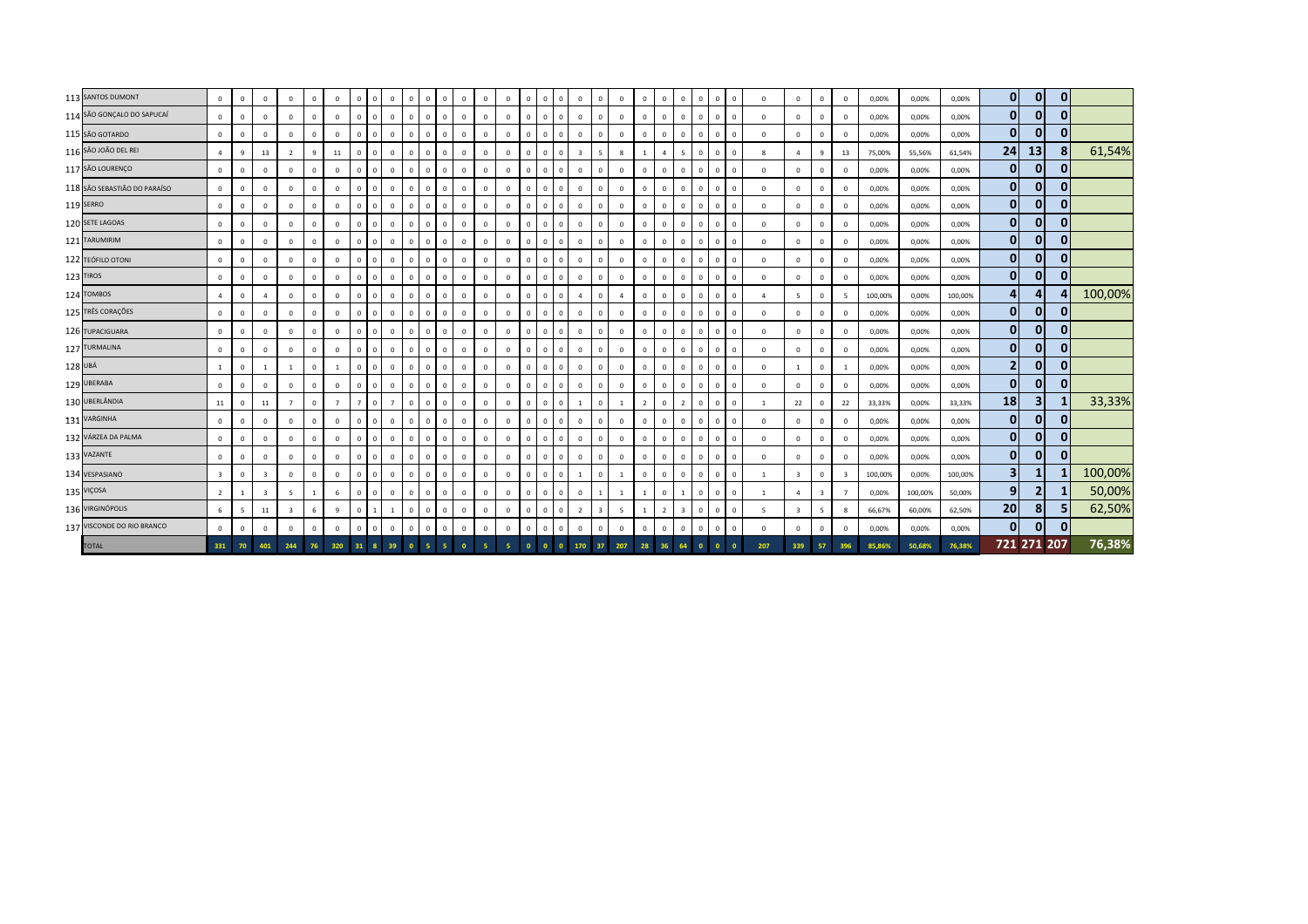|         | 113 SANTOS DUMONT            | $\circ$                 | $\mathbf{0}$ | $\Omega$                | $\mathbf{0}$   | $\Omega$    | $^{\circ}$     | $\mathbf{0}$   | $\Omega$     | $\Omega$       | $\mathbf{0}$             | $\mathbf{0}$<br>$\mathbf{0}$   | $\Omega$       | $\Omega$       | $\Omega$     | $\overline{0}$ | $\mathbf{0}$ |                | $\mathbf{0}$<br>$\Omega$                  | $\Omega$       | $\Omega$                       | $\mathbf{0}$<br>$\Omega$         | $\mathbf{0}$ | $\overline{0}$ | $\Omega$     | $\Omega$       | $\mathbf{0}$            | $\mathbf{0}$            | $^{\circ}$              | 0,00%   | 0,00%   | 0,00%   | $\overline{0}$  | $\mathbf{0}$            | $\mathbf{0}$ |         |
|---------|------------------------------|-------------------------|--------------|-------------------------|----------------|-------------|----------------|----------------|--------------|----------------|--------------------------|--------------------------------|----------------|----------------|--------------|----------------|--------------|----------------|-------------------------------------------|----------------|--------------------------------|----------------------------------|--------------|----------------|--------------|----------------|-------------------------|-------------------------|-------------------------|---------|---------|---------|-----------------|-------------------------|--------------|---------|
|         | 114 SÃO GONÇALO DO SAPUCAÍ   | $\circ$                 | $\mathbf 0$  | $\Omega$                | $\Omega$       | $\Omega$    | $^{\circ}$     | $\mathbf{0}$   | $\Omega$     | $\Omega$       | $\Omega$<br>$\mathbf{0}$ | $\Omega$                       | $\Omega$       | $\Omega$       | $\Omega$     | $\mathbf{0}$   | $\mathsf 0$  | $\Omega$       | $\mathbf{0}$<br>$\Omega$                  | $\Omega$       | $\Omega$                       | $\mathbf{0}$<br>$\Omega$         | $\mathbf{0}$ | $\overline{0}$ | $\Omega$     | $\mathbf{0}$   | $\overline{0}$          | $\mathbf 0$             | $\mathbf 0$             | 0,00%   | 0,00%   | 0,00%   | $\mathbf{0}$    | $\mathbf{0}$            | $\Omega$     |         |
|         | 115 SÃO GOTARDO              | $\circ$                 | $\mathbf 0$  | $\Omega$                | $\Omega$       | $\Omega$    | $\mathbf 0$    | $\mathbf{0}$   | $\Omega$     | $\Omega$       | $\mathbf{0}$             | $\mathbf{0}$<br>$\mathbf 0$    | $\overline{0}$ | $\Omega$       | $\mathbf{0}$ | $\mathbf 0$    | $\mathbf 0$  | $\overline{0}$ | $\mathbf 0$<br>$\Omega$                   | $\mathbf 0$    | $\Omega$                       | $\mathbf{0}$<br>$\Omega$         | $\mathbf{0}$ | $\overline{0}$ |              | $\Omega$       | $\overline{0}$          | $\mathbf 0$             | $\Omega$                | 0,00%   | 0,00%   | 0,00%   | $\mathbf{0}$    | $\mathbf 0$             | $\Omega$     |         |
|         | 116 SÃO JOÃO DEL REI         | $\overline{a}$          | 9            | 13                      | $\overline{2}$ | 9           | 11             | $\mathbf{0}$   | $\Omega$     | $\mathbf 0$    | $\mathbf{0}$             | $\mathbf{0}$<br>$\Omega$       | $\overline{0}$ | $\mathbf 0$    | $\Omega$     | $\mathsf 0$    | $\mathbf 0$  | $\Omega$       | 5<br>$\overline{3}$                       | 8              | $\overline{1}$                 | $\overline{4}$<br>-5             | $\mathbf{0}$ | $\overline{0}$ | $\Omega$     | 8              | $\overline{a}$          | 9                       | 13                      | 75,00%  | 55,56%  | 61,54%  | 24              | 13                      |              | 61,54%  |
|         | 117 SÃO LOURENÇO             | $\mathbf 0$             | $\mathbf 0$  | $\Omega$                | $\Omega$       | $\Omega$    | $^{\circ}$     | $\mathbf{0}$   | $\Omega$     | $\Omega$       | $\mathbf{0}$             | $\mathbf{0}$<br>$\Omega$       | $\mathbf 0$    | $\Omega$       | $\Omega$     | $\mathbf 0$    | $\mathbf{0}$ | $^{\circ}$     | $\mathbf 0$<br>$\Omega$                   | $\mathbf{0}$   | $\Omega$                       | $\mathbf{0}$<br>$\mathbf{0}$     | $\mathsf 0$  | $\overline{0}$ | $^{\circ}$   | $\mathbf{0}$   | $\mathbf{0}$            | $\Omega$                | $^{\circ}$              | 0,00%   | 0,00%   | 0,00%   | $\mathbf{0}$    | $\mathbf{0}$            | $\mathbf{0}$ |         |
|         | 118 SÃO SEBASTIÃO DO PARAÍSO | $\mathbf 0$             | $\mathbf{0}$ | $\mathbf{0}$            | $\mathbf 0$    | $\mathbf 0$ | $\mathbf{0}$   | $\mathbf{0}$   | $\Omega$     | $\mathbf 0$    | $\mathbf{0}$             | $\mathbf{0}$<br>$\overline{0}$ | $\mathbf{0}$   | $\overline{0}$ | $\Omega$     | $\mathbf{0}$   | $\mathbf{0}$ | $\overline{0}$ | $\mathbf{0}$<br>$\Omega$                  | $\mathbf 0$    | $\Omega$                       | $\mathbf{0}$<br>$\overline{0}$   | $\mathbf{0}$ | $\overline{0}$ |              | $\mathbf{0}$   | $\mathbf{0}$            | $\mathbf{0}$            | $\mathbf{0}$            | 0,00%   | 0,00%   | 0,00%   | $\mathbf{0}$    | $\mathbf{0}$            | $\mathbf{0}$ |         |
|         | 119 SERRO                    | $\circ$                 | $\mathbf 0$  | $\Omega$                | $^{\circ}$     | $^{\circ}$  | $^{\circ}$     | $\mathbf{0}$   | $\Omega$     | $\mathbf 0$    | $\mathbf{0}$             | $\mathbf{0}$<br>$\mathbf{0}$   | $\overline{0}$ | $\mathbf 0$    | $\Omega$     | $\overline{0}$ | $\mathbf{0}$ | $\Omega$       | $\mathbf{0}$<br>$\mathbf 0$               | $\mathbf 0$    | $\Omega$                       | $\overline{0}$<br>$\Omega$       | $\mathbf{0}$ | $\Omega$       | $\Omega$     | $\mathbf{0}$   | $\overline{0}$          | $\mathbf 0$             | $\mathbf 0$             | 0,00%   | 0,00%   | 0,00%   | $\mathbf{0}$    | $\mathbf{0}$            | $\Omega$     |         |
|         | 120 SETE LAGOAS              | $\mathbf 0$             | $\mathbf 0$  | $^{\circ}$              | $\mathbf 0$    | $^{\circ}$  | $^{\circ}$     | $\mathbf{0}$   | $\Omega$     | $\mathbf 0$    | $\mathbf{0}$             | $\mathbf{0}$<br>$\mathbf{0}$   | $\mathbf 0$    | $\overline{0}$ | $\Omega$     | $\mathbf{0}$   | $\mathbf{0}$ | $\Omega$       | $\mathbf{0}$<br>$\Omega$                  | $\mathbf 0$    | $\Omega$                       | $\mathbf{0}$<br>$\mathbf 0$      | $\mathsf 0$  | $\overline{0}$ | $\mathbf{0}$ | $^{\circ}$     | $\mathbf{0}$            | $\mathbf 0$             | $\mathbf 0$             | 0,00%   | 0,00%   | 0,00%   | $\mathbf{0}$    | $\mathbf{0}$            | $\Omega$     |         |
|         | 121 TARUMIRIM                | $\mathbf 0$             | $\mathbf 0$  | $\Omega$                | $^{\circ}$     | $\Omega$    | $^{\circ}$     | $\mathbf{0}$   | $\Omega$     | $\mathbf 0$    | $\mathbf{0}$             | $\mathbf 0$<br>$\mathbf{0}$    | $\mathbf 0$    | $\mathbf 0$    | $\Omega$     | $\mathbf{0}$   | $\mathbf{0}$ | $\Omega$       | $\mathbf{0}$<br>$\Omega$                  | $\mathbf 0$    | $\Omega$                       | $\mathbf{0}$<br>$\overline{0}$   | $\mathbf{0}$ | $\overline{0}$ | $\Omega$     | $\mathbf{0}$   | $\overline{0}$          | $\mathbf 0$             | $\mathbf 0$             | 0,00%   | 0,00%   | 0,00%   | $\mathbf{0}$    | $\mathbf{0}$            | 0            |         |
|         | 122 TEÓFILO OTONI            | $\mathbf 0$             | $\mathbf 0$  | $\Omega$                | $\mathbf 0$    | $\Omega$    | $\mathbf 0$    | $\mathsf 0$    | $\Omega$     | $\Omega$       | $\mathbf{0}$             | $\mathbf{0}$<br>$\mathbf 0$    | $\overline{0}$ | $\overline{0}$ | $\mathbf{0}$ | $\mathbf 0$    | $\mathbf 0$  | $\Omega$       | $\mathbf 0$<br>$\Omega$                   | $\mathbf 0$    | $\Omega$                       | $\overline{0}$<br>$\Omega$       | $\mathsf 0$  | $\overline{0}$ | $\Omega$     | $\mathbf{0}$   | $\mathbf 0$             | $\mathbf{0}$            | $\Omega$                | 0,00%   | 0,00%   | 0,00%   | $\mathbf{0}$    | $\mathbf 0$             |              |         |
|         | 123 TIROS                    | $\mathbf 0$             | $\mathbf{0}$ | $\Omega$                | $\mathbf 0$    | $\Omega$    | $\mathbf{0}$   | $\mathbf{0}$   | $\Omega$     | $\mathbf 0$    | $\mathbf{0}$             | $\mathbf{0}$<br>$\mathbf{0}$   | $\mathbf{0}$   | $\overline{0}$ | $\Omega$     | $\mathbf{0}$   | $\mathbf{0}$ | $\Omega$       | $\Omega$<br>$\mathbf{0}$                  | $\mathbf{0}$   | $\Omega$                       | $\overline{0}$<br>$\Omega$       | $\mathbf{0}$ | $\overline{0}$ | $\mathbf{0}$ | $\mathbf{0}$   | $\overline{0}$          | $\mathbf{0}$            | $\mathbf{0}$            | 0,00%   | 0,00%   | 0,00%   | $\mathbf{0}$    | $\mathbf{0}$            | $\Omega$     |         |
|         | 124 TOMBOS                   | $\overline{a}$          | $\mathbf 0$  | $\overline{4}$          | $\Omega$       | $\Omega$    | $\mathbf{0}$   | $\mathbf{0}$   | $\Omega$     | $\Omega$       | $\mathbf{0}$             | $\mathbf{0}$<br>$\mathbf{0}$   | $\mathbf{0}$   | $\Omega$       | $\Omega$     | $\overline{0}$ | $\mathbf{0}$ | $\Omega$       | $\mathbf{0}$<br>$\Delta$                  | $\overline{4}$ | $\Omega$                       | $\mathbf{0}$<br>$\mathbf{0}$     | $\mathbf{0}$ | $\overline{0}$ | $^{\circ}$   | $\overline{a}$ | -5                      | $\mathbf 0$             | -5                      | 100,00% | 0,00%   | 100,00% | $\vert$         | 4                       |              | 100,00% |
|         | 125 TRÊS CORAÇÕES            | $\mathbf 0$             | $\mathbf 0$  | $\mathbf{0}$            | $\mathbf 0$    | $\Omega$    | $\mathbf 0$    | $\mathbf{0}$   | $\mathsf{C}$ | $\Omega$       | $\mathbf{0}$             | $\Omega$<br>$\mathbf{0}$       | $\mathbf 0$    | $\Omega$       | $\Omega$     | $\mathbf{0}$   | $\mathbf{0}$ | $\Omega$       | $\mathbf{0}$<br>$\Omega$                  | $\mathbf 0$    | $\Omega$                       | $\mathbf{0}$<br>$\Omega$         | $\mathbf{0}$ | $\Omega$       | $\Omega$     | $\mathbf 0$    | $\overline{0}$          | $\mathbf 0$             | $\mathbf 0$             | 0,00%   | 0,00%   | 0,00%   | $\mathbf{0}$    | $\mathbf{0}$            | 0            |         |
|         | 126 TUPACIGUARA              | 0                       | $\mathbf 0$  | $\Omega$                | $^{\circ}$     | $\Omega$    | $\mathbf 0$    | $^{\circ}$     | -C           | $\Omega$       | $\mathbf{0}$             | $\mathbf{0}$<br>$\mathbf{0}$   | $\mathbf 0$    | $\Omega$       | $\Omega$     | $\mathbf{0}$   | $\mathsf 0$  | $\Omega$       | $\mathbf{0}$<br>$\mathbf 0$               | $^{\circ}$     | $\Omega$                       | $^{\circ}$<br>$\Omega$           | $^{\circ}$   | $\Omega$       | $\Omega$     | $\mathbf 0$    | $\overline{0}$          | $\mathbf 0$             | $\mathbf 0$             | 0,00%   | 0,00%   | 0,00%   | $\mathbf{0}$    | $\mathbf{0}$            | $\Omega$     |         |
|         | 127 TURMALINA                | $\mathbf 0$             | $\mathsf 0$  | $\Omega$                | $\mathbf 0$    | $\Omega$    | $^{\circ}$     | $\mathbf{0}$   | $\Omega$     | $\Omega$       | $\mathbf{0}$             | $\mathbf{0}$<br>$\mathbf{0}$   | $\mathbf 0$    | $\Omega$       | $\Omega$     | $\mathbf{0}$   | $\mathbf{0}$ | $\Omega$       | $\mathbf 0$<br>$\Omega$                   | $\mathbf 0$    | $\Omega$                       | $\mathbf{0}$<br>$\mathbf{0}$     | $\mathsf 0$  | $\overline{0}$ | $\mathbf{0}$ | $\mathbf{0}$   | $\mathbf{0}$            | $\mathbf 0$             | $\mathbf 0$             | 0,00%   | 0,00%   | 0,00%   | $\mathbf{0}$    | $\mathbf{0}$            | $\Omega$     |         |
| 128 UBÁ |                              | $\mathbf{1}$            | $\mathsf 0$  |                         | 1              | $\Omega$    |                | $\mathbf{0}$   | $\Omega$     | $\Omega$       | $\Omega$<br>$\mathbf{0}$ | $\Omega$                       | $\overline{0}$ | $\Omega$       | $\Omega$     | $\mathbf 0$    | $\mathbf 0$  | $\Omega$       | $\mathbf{0}$<br>$\Omega$                  | $\mathbf 0$    | $\Omega$                       | $\mathbf 0$<br>$\Omega$          | $^{\circ}$   | $\overline{0}$ | $\Omega$     | $\mathbf{0}$   | $\overline{1}$          | $\mathbf 0$             |                         | 0,00%   | 0,00%   | 0,00%   | $\overline{2}$  | $\mathbf 0$             | $\mathbf{0}$ |         |
|         | 129 UBERABA                  | $\mathbf 0$             | $\mathbf 0$  | $\Omega$                | $\mathbf 0$    | $\Omega$    | $\mathbf{0}$   | $\overline{0}$ | $\Omega$     | $\mathbf 0$    | $\mathbf{0}$             | $\mathbf{0}$<br>$\mathbf 0$    | $\overline{0}$ | $\overline{0}$ | $\mathbf 0$  | $\mathbf{0}$   | $\mathbf{0}$ | $\Omega$       | $\mathbf{0}$<br>$\Omega$                  | $\mathbf{0}$   | $\Omega$                       | $\mathbf{0}$<br>$\Omega$         | $\mathbf{0}$ | $\overline{0}$ | $\mathbf{0}$ | $\mathbf{0}$   | $\mathbf{0}$            | $\mathbf{0}$            | $^{\circ}$              | 0,00%   | 0,00%   | 0,00%   | $\mathbf{0}$    | $\mathbf{0}$            |              |         |
|         | 130 UBERLÂNDIA               | $11\,$                  | $\mathbf{0}$ | 11                      | $\overline{7}$ | $\mathbf 0$ | $\overline{7}$ | $\overline{7}$ | $\Omega$     | $\overline{7}$ | $\mathbf{0}$             | $\mathbf{0}$<br>$\mathbf{0}$   | $\mathbf{0}$   | $\overline{0}$ | $\Omega$     | 0              | $\mathbf{0}$ | $\Omega$       | $\mathbf{0}$<br>$\overline{1}$            |                | $\overline{2}$<br>$\mathbf{1}$ | $\overline{0}$<br>$\overline{2}$ | $\mathbf{0}$ | $\overline{0}$ | $\mathbf{0}$ | -1             | 22                      | $\mathbf{0}$            | 22                      | 33,33%  | 0,00%   | 33,33%  | 18              | $\overline{\mathbf{3}}$ |              | 33,33%  |
|         | 131 VARGINHA                 | $\circ$                 | $\mathbf 0$  | $\Omega$                | $\mathbf 0$    | $\Omega$    | $\mathbf{0}$   | $\mathbf{0}$   | $\Omega$     | $\Omega$       | $\mathbf{0}$             | $\mathbf{0}$<br>$\mathbf 0$    | $\mathbf{0}$   | $\mathbf 0$    | $\Omega$     | $\mathbf{0}$   | $\mathbf{0}$ | $\Omega$       | $\mathbf{0}$<br>$\Omega$                  | $\mathbf{0}$   | $\Omega$                       | $\mathbf{0}$<br>$\mathbf{0}$     | $\mathbf{0}$ | $\mathbf{0}$   | $^{\circ}$   | $\mathbf{0}$   | $\mathbf{0}$            | $\mathbf 0$             | $^{\circ}$              | 0,00%   | 0,00%   | 0,00%   | $\mathbf{0}$    | $\mathbf{0}$            | $\Omega$     |         |
|         | 132 VÁRZEA DA PALMA          | $\circ$                 | $\mathbf{0}$ | $\mathbf{0}$            | $\mathbf{0}$   | $\Omega$    | $\mathbf{0}$   | $\mathbf{0}$   | $\mathsf{C}$ | $\Omega$       | $\mathbf{0}$             | $\mathbf{0}$<br>$\Omega$       | $\overline{0}$ | $\mathbf 0$    | $\Omega$     | $\mathbf{0}$   | $\mathbf{0}$ | $\overline{0}$ | $\mathbf{0}$<br>$\Omega$                  | $\mathbf{0}$   | $\Omega$                       | $\mathbf{0}$<br>$\overline{0}$   | $\mathbf{0}$ | $\Omega$       |              | $\mathbf{0}$   | $\overline{0}$          | $\mathbf 0$             | $\mathbf{0}$            | 0,00%   | 0,00%   | 0,00%   | $\mathbf{0}$    | $\mathbf{0}$            | $\mathbf{0}$ |         |
|         | 133 VAZANTE                  | $\mathbf 0$             | $\mathbf 0$  | $\Omega$                | $\mathbf 0$    | $\Omega$    | $\mathbf 0$    | $\mathbf 0$    |              | $\Omega$       | $\mathbf{0}$             | $\mathbf{0}$<br>$\mathbf{0}$   | $\overline{0}$ | $\Omega$       | $\Omega$     | $\mathbf 0$    | $\mathbf 0$  |                | $\mathbf 0$<br>$\mathbf 0$                | $\mathbf 0$    | $\Omega$                       | $\mathbf{0}$<br>$\Omega$         | $\mathsf 0$  | $\Omega$       | $\Omega$     | $\mathbf{0}$   | $\mathbf 0$             | $\mathbf 0$             | $\mathbf 0$             | 0,00%   | 0,00%   | 0,00%   | $\mathbf{0}$    | $\mathbf 0$             | $\mathbf{0}$ |         |
|         | 134 VESPASIANO               | $\overline{\mathbf{3}}$ | $\mathbf 0$  | $\overline{\mathbf{3}}$ | $\mathbf{0}$   | $\Omega$    | $\mathbf 0$    | $\mathbf{0}$   | $\Omega$     | $\Omega$       | $\mathbf{0}$             | $\mathbf{0}$<br>$\mathbf{0}$   | $\overline{0}$ | $\Omega$       | $\Omega$     | $\mathbf 0$    | $\mathsf 0$  | $\Omega$       | $\mathbf 0$<br>$\overline{1}$             | $\overline{1}$ | $\Omega$                       | $\overline{0}$<br>$\overline{0}$ | $\mathbf{0}$ | $\overline{0}$ | $^{\circ}$   | $\overline{1}$ | $\overline{\mathbf{3}}$ | $\mathbf{0}$            | $\overline{\mathbf{3}}$ | 100,00% | 0,00%   | 100,00% | 3 <sup>1</sup>  | 1                       |              | 100,00% |
|         | 135 VIÇOSA                   | $\overline{2}$          | $\mathbf{1}$ |                         | -5             |             | 6              | $\Omega$       |              | $\Omega$       | $\Omega$<br>$\mathbf{0}$ | $\Omega$                       | $\overline{0}$ | $\Omega$       | $\Omega$     | $\mathbf{0}$   | $\mathbf{0}$ |                | $\Omega$                                  |                |                                | $\Omega$                         | $\mathbf{0}$ | $\Omega$       |              |                | $\overline{a}$          | $\overline{\mathbf{3}}$ | $\overline{7}$          | 0,00%   | 100,00% | 50,00%  | 9               | $\overline{2}$          |              | 50,00%  |
|         | 136 VIRGINÓPOLIS             | 6                       | 5            | 11                      | $\overline{3}$ | 6           | 9              | $\mathbf{0}$   |              | $\mathbf{1}$   | $\mathbf{0}$             | $\mathbf{0}$<br>$\mathbf 0$    | $\overline{0}$ | $\mathbf 0$    | $\mathbf{0}$ | $\mathbf 0$    | $\mathbf{0}$ | $\Omega$       | $\overline{\mathbf{3}}$<br>$\overline{2}$ | 5              | $\overline{1}$                 | $\overline{2}$<br>$\overline{3}$ | $\mathbf{0}$ | $\overline{0}$ | $\Omega$     | 5              | $\overline{\mathbf{3}}$ | 5                       | $\mathbf{g}$            | 66,67%  | 60,00%  | 62,50%  | 20 <sub>1</sub> | 8                       |              | 62,50%  |
|         | 137 VISCONDE DO RIO BRANCO   | $\mathbf 0$             | $\mathbf 0$  | $\Omega$                | $\mathbf 0$    | $\Omega$    | $\mathbf 0$    | $\mathbf{0}$   | $\Omega$     | $\mathbf 0$    | $\mathbf{0}$             | $\mathbf 0$<br>$\mathbf{0}$    | $\mathbb O$    | $\overline{0}$ | $\mathbf{0}$ | $\mathbf 0$    | $\mathsf 0$  | $\Omega$       | $\Omega$<br>$\mathbf 0$                   | $\mathbf 0$    | $\Omega$                       | $\circ$<br>$\mathbf{0}$          | $\mathsf 0$  | $\mathbf 0$    | $\mathbf{0}$ | $\mathbf{0}$   | $\mathbf{0}$            | $\mathbf 0$             | $^{\circ}$              | 0,00%   | 0,00%   | 0,00%   | $\mathbf{0}$    | $\mathbf{0}$            | $\mathbf{0}$ |         |
|         | <b>TOTAL</b>                 | 331                     | 70           | 401                     | 244            | 76          | 320            | 31             |              | 39             |                          |                                |                |                |              | $\Omega$       |              |                | 170<br>37                                 |                | 207                            |                                  |              |                |              | 207            | 339                     | 57                      | 396                     | 85.86%  | 50.68%  | 76,38%  |                 | 721 271 207             |              | 76,38%  |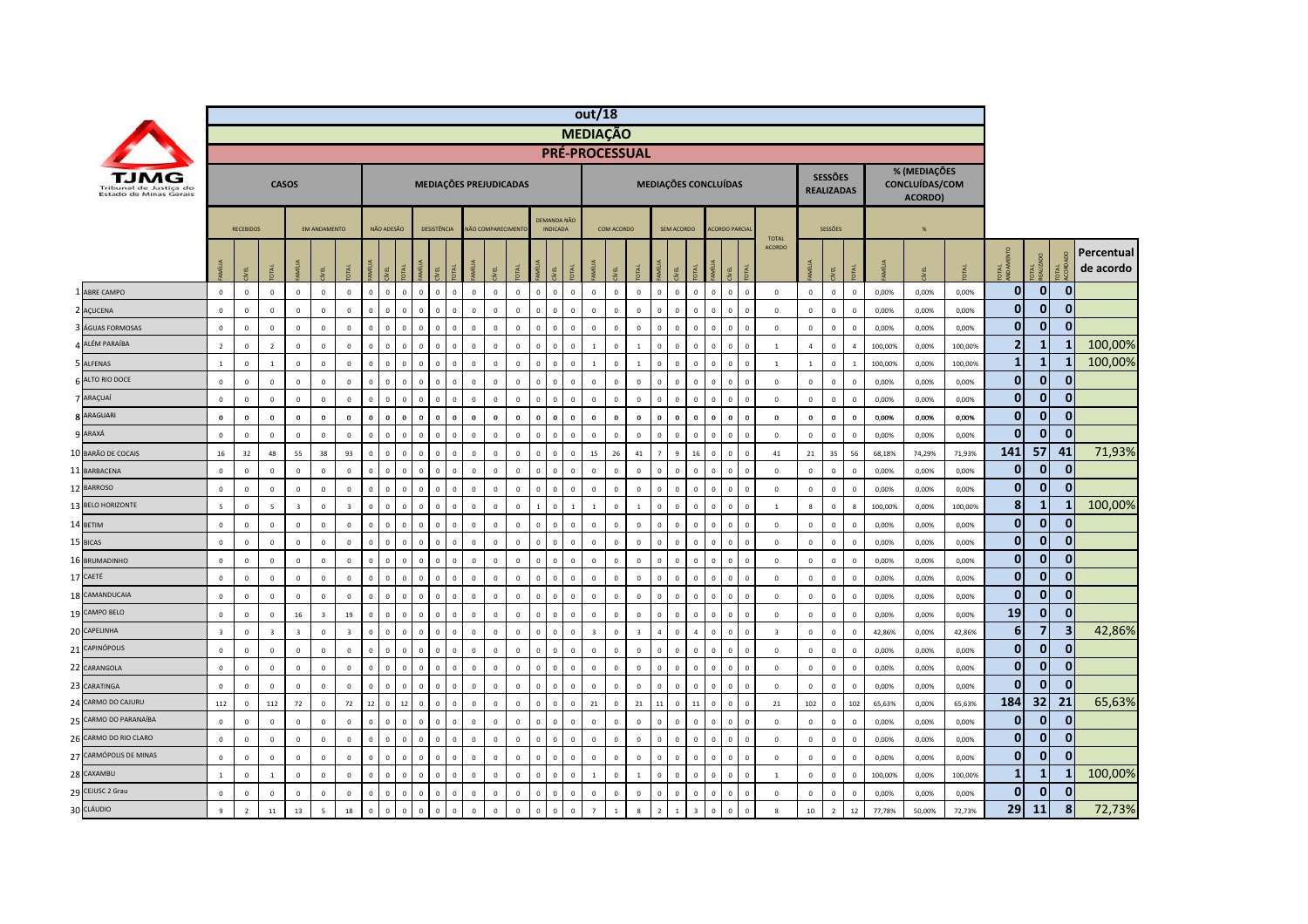|                                                  |                          |                  |                         |                         |                          |                         |              |                               |                             |              |                                        |              |                   |              |                                       |                | out/18                  |              |                |                |                      |                                           |                             |                |                               |                  |                                     |                |         |                                           |         |                |                    |              |                         |
|--------------------------------------------------|--------------------------|------------------|-------------------------|-------------------------|--------------------------|-------------------------|--------------|-------------------------------|-----------------------------|--------------|----------------------------------------|--------------|-------------------|--------------|---------------------------------------|----------------|-------------------------|--------------|----------------|----------------|----------------------|-------------------------------------------|-----------------------------|----------------|-------------------------------|------------------|-------------------------------------|----------------|---------|-------------------------------------------|---------|----------------|--------------------|--------------|-------------------------|
|                                                  |                          |                  |                         |                         |                          |                         |              |                               |                             |              |                                        |              |                   |              |                                       |                | <b>MEDIAÇÃO</b>         |              |                |                |                      |                                           |                             |                |                               |                  |                                     |                |         |                                           |         |                |                    |              |                         |
|                                                  |                          |                  |                         |                         |                          |                         |              |                               |                             |              |                                        |              |                   |              |                                       |                | PRÉ-PROCESSUAL          |              |                |                |                      |                                           |                             |                |                               |                  |                                     |                |         |                                           |         |                |                    |              |                         |
| Tribunal de Justica do<br>Estado de Minas Gerais |                          |                  |                         | <b>CASOS</b>            |                          |                         |              |                               |                             |              | MEDIAÇÕES PREJUDICADAS                 |              |                   |              |                                       |                |                         |              |                |                | MEDIAÇÕES CONCLUÍDAS |                                           |                             |                |                               |                  | <b>SESSÕES</b><br><b>REALIZADAS</b> |                |         | % (MEDIAÇÕES<br>CONCLUÍDAS/COM<br>ACORDO) |         |                |                    |              |                         |
|                                                  |                          | <b>RECEBIDOS</b> |                         |                         | <b>FM ANDAMENTO</b>      |                         |              | NÃO ADESÃO                    |                             | DESISTÊNCIA  |                                        |              | NÃO COMPARECIMENT |              | <b>DEMANDA NÃO</b><br><b>INDICADA</b> |                |                         | COM ACORDO   |                |                | <b>SEM ACORDO</b>    |                                           | <b>ACORDO PARCIA</b>        |                |                               |                  | SESSÕES                             |                |         | %                                         |         |                |                    |              |                         |
|                                                  |                          | EL               |                         | MÍLIA                   |                          | 론                       |              | 론                             |                             |              |                                        |              |                   |              | EL                                    |                |                         |              | Ř              |                | E<br>EL              | MÍLIA                                     | λĒ,                         |                | <b>TOTAL</b><br><b>ACORDO</b> |                  | EL                                  | <b>TAL</b>     |         |                                           |         | <b>TAL</b>     | <b>TAL</b><br>AUZA | ₹ĕ           | Percentual<br>de acordo |
| 1 ABRE CAMPO                                     | $\mathbf{0}$             | $\mathbf{0}$     | $\mathbf{0}$            | $\mathbf 0$             | $\mathbf{0}$             | $\mathbf{0}$            | $\circ$      | $\mathbf{0}$                  | $\mathbf{0}$<br>$\circ$     | $\mathbf{0}$ | $\overline{0}$<br>$\circ$              | $\mathbf{0}$ | $\mathbf{0}$      | $\mathbf{0}$ | $\overline{0}$                        | $\mathbf{0}$   | $\mathbf 0$             | $\mathbf{0}$ | $\mathbf 0$    | $\mathbf{0}$   | $\overline{0}$       | $\mathbf{0}$                              | $\circ$<br>$\circ$          | $\mathbf{0}$   | $\mathbf 0$                   | $\mathbf{0}$     | $\mathbf{0}$                        | $\mathbf{0}$   | 0,00%   | 0.00%                                     | 0.00%   | $\overline{0}$ | $\mathbf{0}$       | $\mathbf{0}$ |                         |
| 2 AÇUCENA                                        | $\mathbf 0$              | $\mathbf{0}$     | $\mathsf 0$             | $\mathbb O$             | $\mathsf 0$              | $\mathbf 0$             | $\Omega$     | $\Omega$<br>$\Omega$          | $\Omega$                    | $\mathbf 0$  | $\overline{0}$<br>$\Omega$             | $\mathbf{0}$ | $\mathbf 0$       | $\mathbf 0$  | $\overline{0}$                        | $\mathbf 0$    | $\overline{0}$          | $\mathbf 0$  | $\Omega$       | $\mathbf 0$    | $\circ$              | $\mathbf 0$                               | $\mathsf 0$<br>$\mathbf 0$  | $\mathbf 0$    | $\mathbf 0$                   | $\mathbf 0$      | $\mathbf 0$                         | $\mathbf 0$    | 0,00%   | 0,00%                                     | 0,00%   | $\overline{0}$ | $\mathbf 0$        | $\mathbf{0}$ |                         |
| ÁGUAS FORMOSAS                                   | $\mathbf 0$              | $\mathbf 0$      | $\mathbf 0$             | $\mathbb O$             | $\mathsf 0$              | $\mathbf 0$             | $\Omega$     | $\Omega$<br>$\Omega$          | $\Omega$                    | $\mathbf 0$  | $^{\circ}$<br>$\Omega$                 | $\Omega$     | $\mathbf{0}$      | $\mathbf 0$  | $\overline{0}$                        | $\mathbf 0$    | $\mathbf 0$             | $\mathbf 0$  | $\mathbf 0$    | $\mathbf 0$    | $\overline{0}$       | $\mathbf 0$<br>$\overline{0}$             | $\Omega$                    | $\mathbf 0$    | $\mathbf 0$                   | $\mathbf 0$      | $\mathbf{0}$                        | $\mathbf 0$    | 0,00%   | 0,00%                                     | 0,00%   | $\overline{0}$ | $\mathbf 0$        | $\mathbf 0$  |                         |
| ALÉM PARAÍBA                                     | $\overline{2}$           | $\mathbf 0$      | $\overline{2}$          | $\,0\,$                 | $\,0\,$                  | $\mathbf 0$             | $\Omega$     | $\Omega$<br>$\Omega$          | $\Omega$                    | $\,$ 0       | $\mathbf 0$<br>$\overline{0}$          | $\mathbf 0$  | $\,0\,$           | $\mathbf 0$  | $\Omega$                              | $\mathbf 0$    | $\mathbf{1}$            | $\mathbf 0$  | $\overline{1}$ | $\mathbf 0$    | $\,$ 0               | $\mathbf 0$<br>$\Omega$                   | $\Omega$                    | $\,$ 0         | $\overline{1}$                | $\overline{4}$   | $\mathbf 0$                         | $\overline{A}$ | 100,00% | 0,00%                                     | 100,00% | $\overline{2}$ | $\mathbf{1}$       |              | 100,00%                 |
| 5 ALFENAS                                        | $1\,$                    | $\mathbf 0$      | $\mathbf{1}$            | $\mathbf 0$             | $\mathsf 0$              | $\mathbf 0$             | $\circ$      | $\mathbf 0$                   | $\mathbf 0$<br>$\mathbf 0$  | $\mathbf 0$  | $\overline{0}$<br>$\mathbf 0$          | $\mathbf 0$  | $\mathsf 0$       | $\mathbf 0$  | $\mathsf 0$                           | $\mathbb O$    | $\mathbf{1}$            | $\mathbf 0$  | $\mathbf{1}$   | $\mathbf 0$    | $\,$ 0 $\,$          | $\mathbf 0$                               | $\mathsf 0$<br>$\mathbf 0$  | $\mathbf 0$    | $\overline{1}$                | $\mathbf{1}$     | $\mathbf 0$                         |                | 100,00% | 0,00%                                     | 100,00% | $\mathbf{1}$   | $\mathbf{1}$       |              | 100,00%                 |
| ALTO RIO DOCE                                    | $\mathbf 0$              | $\mathbf 0$      | $\,0\,$                 | $\,0\,$                 | $\mathbf 0$              | $\mathbb O$             | $\mathbf 0$  | $\mathbf 0$<br>$\,0\,$        | $\mathbf{0}$                | $\,0\,$      | $\,$ 0<br>$\mathbf 0$                  | $\mathbf 0$  | $\mathbf 0$       | $\mathbf 0$  | $\,0\,$                               | $\mathbb O$    | $\mathbb O$             | $\mathbf 0$  | $\mathbb O$    | $\mathbf 0$    | $\overline{0}$       | $\mathbf 0$                               | $\mathbf 0$<br>$\mathbf{0}$ | $\mathbf 0$    | $\,0\,$                       | $\mathbf 0$      | $\mathbf 0$                         | $\mathbf 0$    | 0,00%   | 0,00%                                     | 0,00%   | $\overline{0}$ | $\mathbf{0}$       | $\mathbf{0}$ |                         |
| 7 ARAÇUAÍ                                        | $\mathbf 0$              | $\mathbf 0$      | $\mathsf 0$             | $\circ$                 | $\mathsf 0$              | $\mathbf 0$             | $\mathbf{0}$ | $\Omega$<br>$\Omega$          | $\mathbf{0}$                | $\mathbf{0}$ | $\overline{0}$<br>$\Omega$             | $\Omega$     | $\mathbf 0$       | $\mathbf{0}$ | $\overline{0}$                        | $\mathbf 0$    | $\mathbb O$             | $\mathbf 0$  | $\mathbb O$    | $\mathbf 0$    | $\mathbf 0$          | $\mathbf 0$                               | $\Omega$<br>$\Omega$        | $\Omega$       | $\mathsf 0$                   | $\mathbf 0$      | $\mathbf{0}$                        | $\mathbf 0$    | 0,00%   | 0,00%                                     | 0,00%   | $\overline{0}$ | $\mathbf{0}$       | $\bf{0}$     |                         |
| <b>8 ARAGUARI</b>                                | $\mathbf 0$              | $\bf{0}$         | $\pmb{0}$               | $\mathbf 0$             | $\pmb{0}$                | $\bf{0}$                | $\mathbf{0}$ | $\Omega$<br>$\Omega$          | $\Omega$                    | $\mathbf 0$  | $\Omega$<br>$\bf{0}$                   | $\Omega$     | $\mathbf 0$       | $\mathbf 0$  | $\Omega$                              | $\bf{0}$       | $\mathbf 0$             | $\bf{0}$     | $\mathbf 0$    | $\mathbf 0$    | $\bf{0}$             | $\mathbf{0}$<br>$\Omega$                  | $\bf{0}$                    | $\mathbf 0$    | $\pmb{0}$                     | $\boldsymbol{0}$ | $\mathbf 0$                         | $\bf{0}$       | 0,00%   | 0,00%                                     | 0,00%   | $\overline{0}$ | $\mathbf{0}$       | $\mathbf{0}$ |                         |
| g ARAXÁ                                          | $\mathbf 0$              | $\mathbf 0$      | $\mathsf 0$             | $\mathbb O$             | $\mathsf 0$              | $\mathbb O$             | $\mathbf{0}$ | $\Omega$<br>$\Omega$          | $\Omega$                    | $\mathbf 0$  | $\overline{0}$<br>$\Omega$             | $\mathbf{0}$ | $\mathbf 0$       | $\mathbf 0$  | $\Omega$                              | $\mathbf 0$    | $\mathbf 0$             | $\mathbf 0$  | $\Omega$       | $\mathbf 0$    | $\mathbf 0$          | $\mathbf 0$                               | $\Omega$<br>$\Omega$        | $\Omega$       | $\overline{0}$                | $\mathbf 0$      | $\mathbf 0$                         | $\mathbf 0$    | 0,00%   | 0,00%                                     | 0,00%   | $\overline{0}$ | $\mathbf{0}$       | $\mathbf 0$  |                         |
| 10 BARÃO DE COCAIS                               | 16                       | 32               | 48                      | 55                      | 38                       | 93                      | $\mathbf{0}$ | $\mathbf 0$<br>$\overline{0}$ | $\Omega$                    | $\mathbf 0$  | $\overline{0}$<br>$\mathbf 0$          | $\mathbf 0$  | $\mathbf 0$       | $\mathbf{0}$ | $\overline{0}$                        | $\mathbf 0$    | 15                      | 26           | 41             | $\overline{7}$ | $\,$ 9               | 16                                        | $\mathbf 0$<br>$\mathbf 0$  | $\mathbf 0$    | 41                            | 21               | 35                                  | 56             | 68,18%  | 74,29%                                    | 71,93%  | 141            | 57                 | 41           | 71,93%                  |
| 11 BARBACENA                                     | $\mathsf 0$              | $\mathbf 0$      | $\,0\,$                 | $\mathbb O$             | $\mathbf 0$              | $\mathbf 0$             | $\mathbf 0$  | $\mathbf 0$<br>$\mathbf 0$    | $\mathbf 0$                 | $\mathbf 0$  | $\overline{0}$<br>$\mathbf 0$          | $\mathbf 0$  | $\mathbf 0$       | $\mathbf{0}$ | $\overline{0}$                        | $\mathbf 0$    | $\pmb{0}$               | $\pmb{0}$    | $\mathbf 0$    | $\mathbf{0}$   | $\mathbf 0$          | $\mathbf 0$<br>$\overline{0}$             | $\overline{0}$              | $\mathbf 0$    | $\mathbf 0$                   | $\mathbf 0$      | $\mathbf 0$                         | $\mathbf 0$    | 0,00%   | 0,00%                                     | 0,00%   | $\overline{0}$ | $\mathbf 0$        | $\mathbf{0}$ |                         |
| 12 BARROSO                                       | $\mathsf 0$              | $\mathbf 0$      | $\mathsf 0$             | $\,0\,$                 | $\mathsf 0$              | $\mathbf 0$             | $\Omega$     | $\mathbf{0}$<br>$\Omega$      | $\Omega$                    | $\mathbf{0}$ | $\Omega$<br>$\Omega$                   | $\Omega$     | $\mathbf 0$       | $\mathbf 0$  | $\Omega$                              | $\Omega$       | $\mathbf 0$             | $\Omega$     | $\mathbf 0$    | $\mathbf{0}$   | $\overline{0}$       | $\mathbf 0$                               | $\Omega$<br>$\Omega$        | $\mathbf{0}$   | $\mathbf{0}$                  | $\mathbf 0$      | $\mathbf{0}$                        | $\Omega$       | 0,00%   | 0,00%                                     | 0,00%   | $\overline{0}$ | $\mathbf{0}$       | $\mathbf{0}$ |                         |
| 13 BELO HORIZONTE                                | $\overline{\phantom{a}}$ | $\mathbf 0$      | $\overline{5}$          | $\overline{\mathbf{3}}$ | $\mathsf 0$              | $\overline{\mathbf{3}}$ | $\mathbf{0}$ | $\Omega$<br>$\Omega$          | $\Omega$                    | $\mathbf 0$  | $\overline{0}$<br>$\Omega$             | $\mathbf{0}$ | $\mathbf 0$       | $1\,$        | $\Omega$                              | $\overline{1}$ | $\mathbf{1}$            | $\mathbf 0$  | $\mathbf{1}$   | $\mathbf 0$    | $\mathbf 0$          | $\mathbf 0$                               | $\Omega$<br>$\Omega$        | $\Omega$       | $\overline{1}$                | $\mathbf{g}$     | $\mathbf 0$                         | $\mathbf{g}$   | 100,00% | 0,00%                                     | 100,00% | 8              | $\mathbf{1}$       |              | 100,00%                 |
| 14 BETIM                                         | $\mathbf 0$              | $\mathbf 0$      | $\mathsf 0$             | $\mathbf 0$             | $\mathsf 0$              | $\mathbb O$             | $\Omega$     | $\Omega$<br>$\Omega$          | $\Omega$                    | $\mathbf{0}$ | $\overline{0}$<br>$\Omega$             | $\Omega$     | $\mathsf 0$       | $\mathbf{0}$ | $\Omega$                              | $\Omega$       | $\overline{0}$          | $\Omega$     | $\Omega$       | $\mathbf 0$    | $\mathbf{0}$         | $\mathbf{0}$                              | $\Omega$<br>$\Omega$        | $\Omega$       | $\mathbf{0}$                  | $\mathbf 0$      | $\Omega$                            | $\Omega$       | 0,00%   | 0,00%                                     | 0,00%   | $\overline{0}$ | $\mathbf{0}$       | $\bf{0}$     |                         |
| 15 BICAS                                         | $\mathsf 0$              | $\mathbf 0$      | $\mathbf 0$             | $\mathbb O$             | $\mathsf 0$              | $\mathbf 0$             | $\mathbf{0}$ | $\mathbf 0$<br>$\overline{0}$ | $\mathbf 0$                 | $\mathbf 0$  | $\mathbf 0$<br>$^{\circ}$              | $\mathbf 0$  | $\mathsf 0$       | $\mathbf{0}$ | $\overline{0}$                        | $\mathbf 0$    | $\overline{0}$          | $\mathbf 0$  | $\mathbf 0$    | $\mathbf 0$    | $\overline{0}$       | $\mathbf 0$<br>$\overline{0}$             | $\mathbf 0$                 | $\mathbf 0$    | $\mathbf 0$                   | $\mathbf 0$      | $\mathbf 0$                         | $\mathbf 0$    | 0,00%   | 0,00%                                     | 0,00%   | $\overline{0}$ | $\mathbf{0}$       | $\mathbf{0}$ |                         |
| 16 BRUMADINHO                                    | $\mathsf 0$              | $\mathbf 0$      | $\,0\,$                 | $\mathbf 0$             | $\mathbf 0$              | $\mathbf 0$             | $\Omega$     | $\Omega$<br>$\Omega$          | $\mathbf{0}$                | $\mathbf 0$  | $\Omega$<br>$\overline{0}$             | $\Omega$     | $\mathbf 0$       | $\mathbf 0$  | $\Omega$                              | $\mathbf 0$    | $\mathbf 0$             | $\mathbf 0$  | $\mathbb O$    | $\mathsf 0$    | $\,$ 0               | $\mathbf 0$                               | $\mathbf{0}$<br>$\Omega$    | $\mathbf 0$    | $\,0\,$                       | $\mathbf 0$      | $\mathbf 0$                         | $\mathbf 0$    | 0,00%   | 0,00%                                     | 0,00%   | $\overline{0}$ | $\mathbf{0}$       | $\mathbf 0$  |                         |
| 17 CAETÉ                                         | $\mathbf 0$              | $\mathbf 0$      | $\,0\,$                 | $\mathbf 0$             | $\mathsf 0$              | $\mathbf 0$             | $\mathbf 0$  | $\mathbf 0$<br>$\mathbf 0$    | $\mathbf 0$                 | $\mathbf 0$  | $\overline{0}$<br>$\mathbf 0$          | $\mathbf 0$  | $\mathbf 0$       | $\mathbf 0$  | $\overline{0}$                        | $\mathbf 0$    | $\mathbf 0$             | $\mathbf 0$  | $\mathbf 0$    | $\mathsf 0$    | $\mathbf 0$          | $\mathbf 0$                               | $\mathbf 0$<br>$\mathbf 0$  | $\overline{0}$ | $\mathsf 0$                   | $\mathbf 0$      | $\mathbf 0$                         | $\mathbf 0$    | 0,00%   | 0,00%                                     | 0,00%   | $\mathbf{0}$   | $\mathbf 0$        | $\mathbf 0$  |                         |
| 18 CAMANDUCAIA                                   | $\mathbf{0}$             | $\mathbf{0}$     | $\mathbf{0}$            | $\mathbb O$             | $\mathbf{0}$             | $\mathbf 0$             | $\Omega$     | $\Omega$<br>$\Omega$          | $\Omega$                    | $\Omega$     | $\Omega$<br>$\Omega$                   | $\Omega$     | $\Omega$          | $\Omega$     | $\Omega$                              | $\Omega$       | $\Omega$                | $\Omega$     | $\Omega$       | $\Omega$       | $\Omega$             | $\Omega$<br>$\Omega$                      | $\Omega$                    | $\Omega$       | $\mathbf{0}$                  | $\mathbf{0}$     | $\Omega$                            | $\Omega$       | 0.00%   | 0.00%                                     | 0.00%   | $\mathbf{0}$   | $\mathbf{0}$       | $\bf{0}$     |                         |
| 19 CAMPO BELO                                    | $\mathbf 0$              | $\mathbf 0$      | $\mathbf 0$             | 16                      | $\overline{\mathbf{3}}$  | 19                      | $\Omega$     | $\Omega$<br>$\Omega$          | $\Omega$                    | $\mathbf 0$  | $\Omega$<br>$^{\circ}$                 | $\Omega$     | $\mathbf 0$       | $\mathbf 0$  | $\Omega$                              | $\mathbf 0$    | $\overline{0}$          | $\mathbf 0$  | $\mathbf 0$    | $\mathbf 0$    | $\,$ 0               | $\mathbf 0$<br>$\Omega$                   | $\Omega$                    | $\mathbf 0$    | $\mathbf 0$                   | $\mathbf 0$      | $\mathbf 0$                         | $\mathbf 0$    | 0,00%   | 0,00%                                     | 0,00%   | 19             | $\mathbf{0}$       | $\mathbf{0}$ |                         |
| 20 CAPELINHA                                     | $\overline{3}$           | $\mathbf{0}$     | $\overline{\mathbf{3}}$ | $\overline{\mathbf{3}}$ | $\mathsf 0$              | $\overline{\mathbf{3}}$ | $\circ$      | $\mathbf{0}$<br>$\Omega$      | $\mathbf{0}$                | $\mathbf{0}$ | $\Omega$<br>$\Omega$                   | $\Omega$     | $\mathbf 0$       | $\mathbf{0}$ | $\Omega$                              | $\mathbf 0$    | $\overline{\mathbf{3}}$ | $\Omega$     | $\overline{3}$ | $\overline{a}$ | $\mathbf{0}$         | $\overline{4}$                            | $\Omega$<br>$\Omega$        | $\Omega$       | $\overline{3}$                | $\mathbf{0}$     | $\mathbf{0}$                        | $\Omega$       | 42,86%  | 0,00%                                     | 42,86%  | $6\phantom{a}$ | $\overline{7}$     | 3            | 42,86%                  |
| 21 CAPINÓPOLIS                                   | $\mathbf 0$              | $\mathbf 0$      | $\mathbf 0$             | $\mathbf 0$             | $\mathsf 0$              | $\circ$                 | $\mathbf{0}$ | $\mathbf 0$                   | $\mathbf{0}$<br>$\mathbf 0$ | $\mathbf 0$  | $\overline{0}$<br>$\mathbf 0$          | $\mathbf 0$  | $\mathbf 0$       | $\mathbf 0$  | $\overline{0}$                        | $\mathbf 0$    | $\mathbf 0$             | $\mathbf 0$  | $\mathbf 0$    | $\mathbf 0$    | $\circ$              | $\mathbf 0$                               | $\mathbf{0}$<br>$\mathbf 0$ | $\mathbf 0$    | $\mathbf 0$                   | $\mathbf 0$      | $\mathbf 0$                         | $\mathbf 0$    | 0,00%   | 0,00%                                     | 0,00%   | $\mathbf{0}$   | $\mathbf{0}$       | $\bf{0}$     |                         |
| 22 CARANGOLA                                     | $\mathsf 0$              | $\mathbf 0$      | $\mathsf 0$             | $\circ$                 | $\mathsf 0$              | $\mathbf 0$             | $\mathbf 0$  | $\mathbf 0$<br>$\overline{0}$ | $\mathbf 0$                 | $\mathbf{0}$ | $\overline{0}$<br>$\mathbf 0$          | $\mathbf 0$  | $\mathbf 0$       | $\mathbf{0}$ | $\overline{0}$                        | $\mathbf 0$    | $\mathbb O$             | $\mathbf 0$  | $\mathbb O$    | $\mathbf{0}$   | $\,$ 0 $\,$          | $\mathbf 0$                               | $\mathbf 0$<br>$\mathbf 0$  | $\overline{0}$ | $\mathbf 0$                   | $\mathbf 0$      | $\mathbf{0}$                        | $\mathbf 0$    | 0,00%   | 0,00%                                     | 0,00%   | $\overline{0}$ | $\mathbf{0}$       | $\mathbf 0$  |                         |
| 23 CARATINGA                                     | $\mathbf 0$              | $\mathbf 0$      | $\mathsf 0$             | $\mathbf 0$             | $\mathsf 0$              | $\mathbf 0$             | $\mathbf{0}$ | $\Omega$<br>$\Omega$          | $\mathbf{0}$                | $\mathbf{0}$ | $\Omega$<br>$\Omega$                   | $\mathbf{0}$ | $\mathbf 0$       | $\Omega$     | $\Omega$                              | $\mathbb O$    | $\mathbf 0$             | $\mathbf 0$  | $\mathbf 0$    | $\mathsf 0$    | $\overline{0}$       | $\mathbf 0$                               | $\mathbf{0}$<br>$\Omega$    | $\mathbf{0}$   | $\mathbf 0$                   | $\mathbf 0$      | $\mathbf 0$                         | $\mathbf 0$    | 0,00%   | 0,00%                                     | 0,00%   | $\overline{0}$ | $\mathbf{0}$       | $\Omega$     |                         |
| CARMO DO CAJURU<br>24                            | 112                      | $\mathbf{0}$     | 112                     | 72                      | $\mathbf{0}$             | 72                      | 12           | $\mathbf{0}$<br>12            | $\mathbf{0}$                | $\mathbf{0}$ | $\Omega$<br>$\Omega$                   | $\mathbf{0}$ | $\mathbf 0$       | $\mathbf{0}$ | $\Omega$                              | $\mathbf{0}$   | 21                      | $\mathbf{0}$ | 21             | 11             | $\overline{0}$       | 11<br>$\Omega$                            | $\mathbf{0}$                | $\mathbf{0}$   | 21                            | 102              | $\mathbf{0}$                        | 102            | 65,63%  | 0,00%                                     | 65,63%  | 184            | 32                 | 21           | 65,63%                  |
| CARMO DO PARANAÍBA<br>25                         | $\mathbf 0$              | $\mathbf 0$      | $\,0\,$                 | $\mathbb O$             | $\,0\,$                  | $\mathbf 0$             | $\mathbf{0}$ | $\mathbf 0$<br>$\overline{0}$ | $\Omega$                    | $\mathbf 0$  | $\overline{\mathbf{0}}$<br>$\mathbf 0$ | $\mathbf 0$  | $\,0\,$           | $\mathbf 0$  | $\,$ 0                                | $\mathbf 0$    | $\,0\,$                 | $\mathbf 0$  | $\mathbf 0$    | $\mathbf 0$    | $\overline{0}$       | $\mathbf 0$                               | $\mathbf 0$<br>$\mathbf 0$  | $\,$ 0         | $\mathbf 0$                   | $\mathbf 0$      | $\mathbf 0$                         | $^{\circ}$     | 0,00%   | 0,00%                                     | 0,00%   | $\mathbf{0}$   | $\mathbf 0$        | 0            |                         |
| 26 CARMO DO RIO CLARO                            | $\mathbf 0$              | $\mathbf 0$      | $\mathbf 0$             | $\circ$                 | $\mathsf 0$              | $\mathbf 0$             | 0            | $\Omega$<br>$\Omega$          | $\Omega$                    | $\mathbf 0$  | $\overline{0}$<br>$\mathbf 0$          | $\mathbf 0$  | $\overline{0}$    | $\mathbf 0$  | $\Omega$                              | $\mathbf 0$    | $\mathbf 0$             | $\mathbf 0$  | $\mathbf 0$    | $\mathbf 0$    | $\overline{0}$       | $\mathbf 0$<br>$\overline{0}$             | $\Omega$                    | $\mathbf 0$    | $\mathbf 0$                   | $\mathbf 0$      | $\mathbf{0}$                        | $\mathbf 0$    | 0,00%   | 0,00%                                     | 0,00%   | $\overline{0}$ | $\mathbf{0}$       | $\mathbf 0$  |                         |
| 27 CARMÓPOLIS DE MINAS                           | $\mathsf 0$              | $\mathbf 0$      | $\,0\,$                 | $\mathbf 0$             | $\,0\,$                  | $\mathbb O$             | $\mathbf 0$  | $\Omega$<br>$\Omega$          | $\Omega$                    | $\mathbf 0$  | $\overline{0}$<br>$\mathbf 0$          | $\mathbf 0$  | $\mathbf 0$       | $\mathbf{0}$ | $\Omega$                              | $\mathbf 0$    | $\mathbf 0$             | $\mathbf 0$  | $\mathbf 0$    | $\mathbf 0$    | $\mathbf 0$          | $\mathbf 0$<br>$\Omega$                   | $\Omega$                    | $\mathbf 0$    | $\mathsf 0$                   | $\mathbf 0$      | $\mathbf 0$                         | $\mathbf 0$    | 0,00%   | 0,00%                                     | 0,00%   | $\overline{0}$ | $\mathbf{0}$       | $\mathbf{0}$ |                         |
| 28 CAXAMBU                                       | $\mathbf{1}$             | $\mathbf 0$      | $\mathbf{1}$            | $\mathbb O$             | $\mathsf 0$              | $\mathbb O$             | $\mathbf{0}$ | $\mathbf 0$<br>$\overline{0}$ | $\mathbf 0$                 | $\mathbf 0$  | $\overline{0}$<br>$\mathbf 0$          | $\mathbf 0$  | $\mathbf 0$       | $\mathbf 0$  | $\mathbf{0}$                          | $\mathbb O$    | $\mathbf{1}$            | $\mathbf 0$  | $\mathbf{1}$   | $\mathbf 0$    | $\,$ 0 $\,$          | $\mathbf 0$                               | $\mathbf 0$<br>$\mathbf 0$  | $\mathbf 0$    | $\overline{1}$                | $\mathbf 0$      | $\mathbf 0$                         | $\mathbf 0$    | 100,00% | 0,00%                                     | 100,00% | $\mathbf{1}$   | $\mathbf{1}$       |              | 100,00%                 |
| 29 CEJUSC 2 Grau                                 | $\mathbf 0$              | $\Omega$         | $\mathbf 0$             | $\mathbf 0$             | $\mathsf 0$              | $\mathbf 0$             | $\mathbf{0}$ | $\mathsf 0$<br>$\overline{0}$ | $\mathbf{0}$                | $\mathbf 0$  | $\,$ 0<br>$\Omega$                     | $\Omega$     | $\mathbf 0$       | $\mathbf 0$  | $\,$ 0                                | $\overline{0}$ | $\mathbf 0$             | $\mathbf 0$  | $\mathbf 0$    | $\mathbf 0$    | $\overline{0}$       | $\mathbf 0$                               | $\mathsf 0$<br>$\mathbf 0$  | $\mathbf 0$    | $\mathsf 0$                   | $\mathbf 0$      | $\Omega$                            | $\Omega$       | 0,00%   | 0,00%                                     | 0,00%   | $\overline{0}$ | $\mathbf{0}$       | $\bf{0}$     |                         |
| 30 CLÁUDIO                                       | $\overline{9}$           | $\overline{2}$   | 11                      | 13                      | $\overline{\phantom{a}}$ | 18                      | $\mathbf 0$  | $\mathbf 0$<br>$\overline{0}$ | $\mathbf 0$                 | $\mathbf 0$  | $\mathbf 0$<br>$\overline{0}$          | $\mathbf 0$  | $\mathbf 0$       | $\mathbf{0}$ | $\overline{0}$                        | $\mathbf 0$    | $\overline{7}$          | $\mathbf{1}$ | 8              | $\overline{2}$ | $\overline{1}$       | $\overline{\mathbf{3}}$<br>$\overline{0}$ | $\mathbf 0$                 | $\Omega$       | $\mathbf{g}$                  | 10               | $\overline{2}$                      | 12             | 77,78%  | 50,00%                                    | 72,73%  | 29             | 11                 | 8            | 72,73%                  |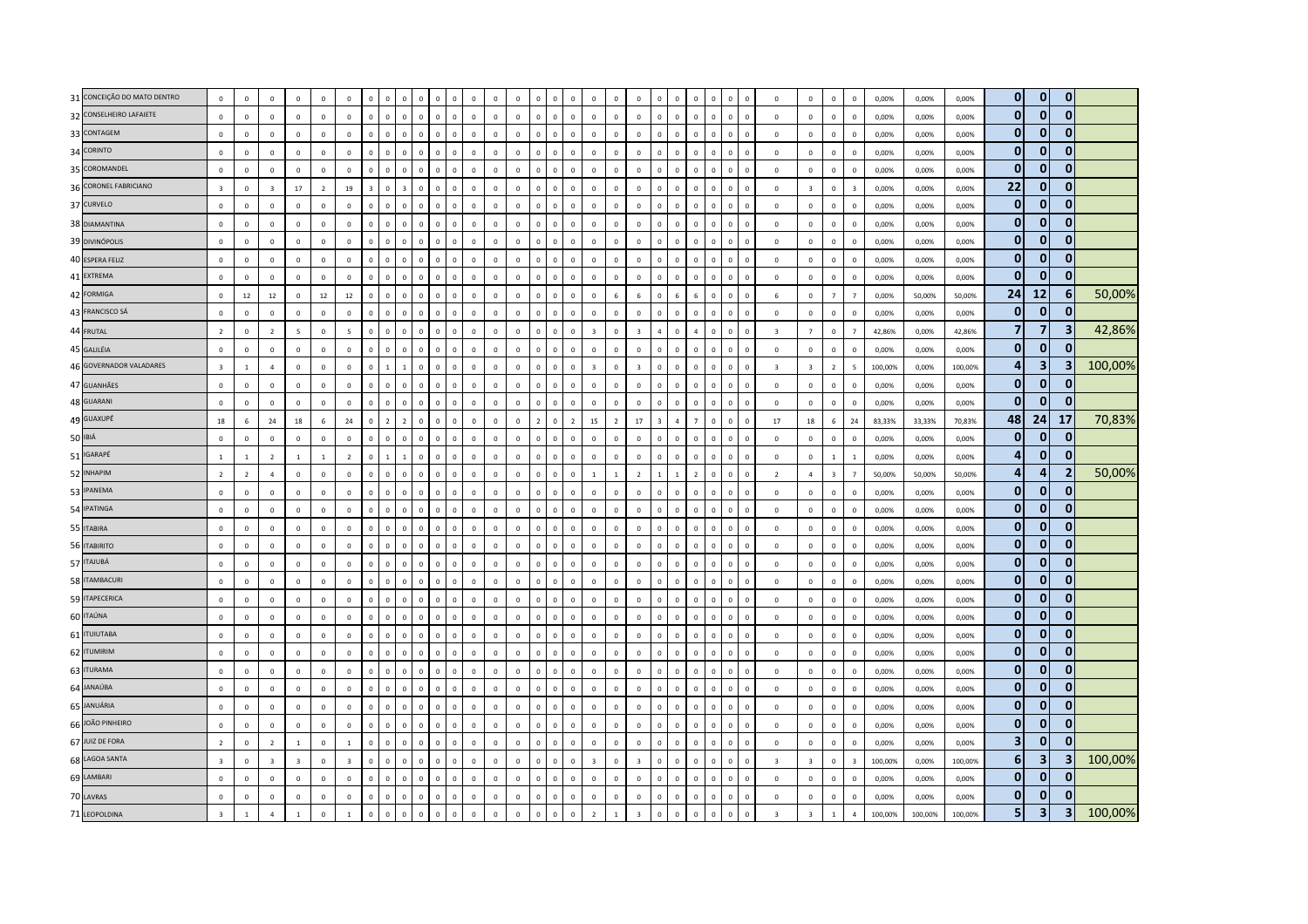| 31 CONCEIÇÃO DO MATO DENTRO | $\mathsf 0$             | $\mathbf 0$    | $\mathsf 0$             | $\mathbf 0$             | $\mathbf 0$    | $\mathbf 0$             | $\Omega$                      | $\Omega$       |              | $\mathbf 0$<br>$\Omega$      | $\mathbf 0$    | $\overline{0}$ | $\mathbf 0$    | $\Omega$       | $\overline{0}$<br>$\mathbf 0$  | $\overline{0}$ |                          | $\mathbf 0$             |                | $\mathbf 0$    |                | $\mathbf 0$  | $\Omega$                       | $\,0\,$                 | $\mathbf 0$             | $\mathbf 0$             | $\mathbf 0$              | 0,00%   | 0,00%   | 0,00%   | $\overline{0}$ | $\overline{0}$ | $\mathbf{0}$            |         |
|-----------------------------|-------------------------|----------------|-------------------------|-------------------------|----------------|-------------------------|-------------------------------|----------------|--------------|------------------------------|----------------|----------------|----------------|----------------|--------------------------------|----------------|--------------------------|-------------------------|----------------|----------------|----------------|--------------|--------------------------------|-------------------------|-------------------------|-------------------------|--------------------------|---------|---------|---------|----------------|----------------|-------------------------|---------|
| 32 CONSELHEIRO LAFAIETE     | $\mathsf 0$             | $\mathbf 0$    | $\mathbf{0}$            | $\mathbf 0$             | $\mathbf 0$    | $\mathbf 0$             | $\mathbf 0$<br>$\mathbf{0}$   | $\mathbf 0$    | $\mathbf 0$  | $\mathbf 0$<br>$\mathbf 0$   | $\mathbb O$    | $\mathbb O$    | $\mathbb O$    | $\mathbf{0}$   | $\mathbf 0$<br>$\mathbf 0$     | $\mathbf 0$    | $\mathbf 0$              | $\mathbb O$             | $\mathbf 0$    | $\mathbf 0$    | $\mathbf 0$    | $\mathbf 0$  | $\mathbf 0$<br>$\mathbf 0$     | $\mathbf 0$             | $\mathbb O$             | $\mathsf 0$             | $\mathbf 0$              | 0,00%   | 0,00%   | 0,00%   | $\mathbf{0}$   | $\mathbf{0}$   | $\mathbf{0}$            |         |
| 33 CONTAGEM                 | $\mathsf 0$             | $\overline{0}$ | $\mathbf 0$             | $\mathbf 0$             | $\mathbf{0}$   | $\circ$                 | $\mathbf 0$<br>$\mathbf 0$    | $\mathbf 0$    | $\Omega$     | $\mathbf 0$<br>$\mathbf 0$   | $\mathbb O$    | $\mathbb O$    | $\mathbb O$    | $\mathbf 0$    | $\mathbf 0$<br>$\overline{0}$  | $\mathbf 0$    | $\overline{0}$           | $\circ$                 | $\Omega$       | $\mathbf 0$    | $\mathbf 0$    | $\mathbf{0}$ | $\overline{0}$<br>$\Omega$     | $\mathbf 0$             | $\mathbb O$             | $\mathsf 0$             | $\mathbf 0$              | 0,00%   | 0,00%   | 0,00%   | $\mathbf 0$    | $\overline{0}$ | $\mathbf{0}$            |         |
| 34 CORINTO                  | $\mathsf 0$             | $\overline{0}$ | $\mathbf 0$             | $\Omega$                | $\Omega$       | $\mathbf 0$             | $\Omega$<br>$\mathbf{0}$      | $\mathbf{0}$   | $\Omega$     | $\mathbf 0$<br>$\Omega$      | $\mathbf 0$    | $\Omega$       | $\mathbb O$    | $\Omega$       | $\mathbf 0$<br>$\mathbf{0}$    | $\mathbf 0$    | $\Omega$                 | $\mathbf 0$             | $\Omega$       | $\mathbb O$    | $\Omega$       | $\mathbf{0}$ | $\mathbf 0$<br>$\Omega$        | $\,0\,$                 | $\mathbf 0$             | $\mathsf 0$             | $\Omega$                 | 0,00%   | 0,00%   | 0,00%   | $\mathbf 0$    | $\mathbf{0}$   | $\mathbf{0}$            |         |
| 35 COROMANDEL               | $\mathsf 0$             | $\mathbf 0$    | $\mathbf 0$             | $\mathbf 0$             | $\mathbf 0$    | $\circ$                 | $\circ$<br>$\mathbf 0$        | $\mathbf 0$    | $\mathbf{0}$ | $\mathbf 0$<br>$\mathbf 0$   | $\mathbb O$    | $\mathbb O$    | $\mathbb O$    | $\mathbf{0}$   | $\mathbf 0$<br>$\mathbf 0$     | $\overline{0}$ | $\mathbf{0}$             | $\mathbf 0$             | $\,$ 0         | $\mathbf 0$    | $\mathbf 0$    | $\mathbf 0$  | $\mathbf 0$<br>$\mathbb O$     | $\mathbf 0$             | $\mathbb O$             | $\mathbf 0$             | $\mathbf 0$              | 0,00%   | 0,00%   | 0,00%   | $\mathbf{0}$   | $\overline{0}$ | $\mathbf{0}$            |         |
| 36 CORONEL FABRICIANO       | $\overline{\mathbf{3}}$ | $\mathbf 0$    | $\overline{\mathbf{3}}$ | $17\,$                  | $\overline{2}$ | $19\,$                  | $\mathbf 0$<br>$\overline{3}$ |                | $\Omega$     | $\mathbf 0$<br>$\mathbf 0$   | $\mathbf 0$    | $\mathbb O$    | $\mathbb O$    | $\mathbf 0$    | $\overline{0}$<br>$\mathbf 0$  | $\overline{0}$ | $\mathbf 0$              | $\mathbb O$             | $\overline{0}$ | $\mathbf 0$    | $\mathbf 0$    | $\mathbf 0$  | $\mathbf 0$                    | $\overline{0}$          | $\overline{\mathbf{3}}$ | $\mathbf 0$             | $\overline{\mathbf{3}}$  | 0,00%   | 0,00%   | 0,00%   | 22             | $\mathbf{0}$   | $\Omega$                |         |
| 37 CURVELO                  | $\mathbf{0}$            | $\overline{0}$ | $\mathbf{0}$            | $\mathbf{0}$            | $\mathbf{0}$   | $\mathbf 0$             | $\Omega$<br>$\mathbf{0}$      | $\Omega$       | $\Omega$     | $\mathbf{0}$<br>$\Omega$     | $\mathbf 0$    | $\mathbf 0$    | $\mathbf 0$    | $\mathbf{0}$   | $\overline{0}$<br>$\Omega$     | $\mathbf 0$    | $\Omega$                 | $\mathbf 0$             | $\Omega$       | $\mathbf 0$    | $\mathbf{0}$   | $\mathbf{0}$ | $\overline{0}$<br>$\Omega$     | $\mathbf{0}$            | $\mathbf{0}$            | $\mathbf{0}$            | $\Omega$                 | 0.00%   | 0.00%   | 0.00%   | $\mathbf{0}$   | $\mathbf{0}$   | $\mathbf{0}$            |         |
| 38 DIAMANTINA               | $\mathsf 0$             | $\overline{0}$ | $\mathbf{0}$            | $\circ$                 | $\mathbf{0}$   | $\mathbf{0}$            | $\mathbf{0}$<br>$\mathbf 0$   | $\mathbf 0$    | $\Omega$     | $\mathbf 0$<br>$\Omega$      | $\Omega$       | $\Omega$       | $\mathbb O$    | $\Omega$       | $\mathbf 0$<br>$\mathbf 0$     | $\mathbf 0$    | $\mathbf{0}$             | $\mathbf 0$             | $\Omega$       | $\,$ 0 $\,$    | $\Omega$       | $\mathbf 0$  | $\,0\,$<br>$\Omega$            | $\mathbf 0$             | $\mathbf 0$             | $\mathsf 0$             | $\Omega$                 | 0,00%   | 0,00%   | 0.00%   | $\mathbf{0}$   | $\overline{0}$ | $\mathbf{0}$            |         |
| 39 DIVINÓPOLIS              | $\mathsf 0$             | $\,0\,$        | $\mathbf{0}$            | $\mathbf 0$             | $\mathbf 0$    | $\mathbf 0$             | $\Omega$<br>$\mathbf 0$       | $\mathbf 0$    | $\mathbf 0$  | $\mathbf 0$<br>$\mathbf 0$   | $\mathbb O$    | $\mathbb O$    | $\mathbf 0$    | $\mathbf 0$    | $\overline{0}$<br>$\mathbf 0$  | $\mathbf 0$    | $\overline{0}$           | $\mathbb O$             | $\Omega$       | $\mathbf 0$    | $\mathbf 0$    | $\mathbf 0$  | $\overline{0}$<br>$\mathbf 0$  | $\mathbf 0$             | $\mathbb O$             | $\mathsf 0$             | $\mathbf 0$              | 0,00%   | 0,00%   | 0,00%   | $\mathbf 0$    | $\overline{0}$ | $\mathbf{0}$            |         |
| 40 ESPERA FELIZ             | $\mathsf 0$             | $\mathbf 0$    | $\mathbf{0}$            | $\mathbf 0$             | $\mathbf 0$    | $\mathbf 0$             | $\mathbf 0$<br>$\overline{0}$ | $\mathbf 0$    | $\mathbf 0$  | $\mathbf 0$<br>$\mathbf 0$   | $\mathbb O$    | $\mathbb O$    | $\mathbf 0$    | $\mathbf{0}$   | $\mathbf 0$<br>$\mathbf 0$     | $\mathbf 0$    | $\overline{0}$           | $\circ$                 | $\,0\,$        | $\mathbf 0$    | $\mathbf 0$    | $\mathbf 0$  | $\mathbf 0$<br>$\mathbf 0$     | $\mathbf 0$             | $\mathbb O$             | $\mathbf 0$             | $\mathbf 0$              | 0,00%   | 0,00%   | 0,00%   | $\mathbf 0$    | $\overline{0}$ | $\mathbf{0}$            |         |
| 41 EXTREMA                  | $\mathbf{0}$            | $\Omega$       | $\mathbf{0}$            | $\Omega$                | $\mathbf{0}$   | $\Omega$                | $\Omega$<br>$\Omega$          | $\Omega$       | $\Omega$     | $\mathbf{0}$<br>$\Omega$     | $\Omega$       | $\mathbf 0$    | $\mathbf 0$    | $\mathbf{0}$   | $\Omega$<br>$\Omega$           | $\Omega$       | $\Omega$                 | $\mathbf{0}$            | $\sqrt{ }$     | $\Omega$       | $\Omega$       | $\Omega$     | $\Omega$<br>$\Omega$           | $\mathbf{0}$            | $\Omega$                | $\mathbf{0}$            | $\Omega$                 | 0.00%   | 0.00%   | 0.00%   | $\mathbf 0$    | $\mathbf{0}$   | 0                       |         |
| 42 FORMIGA                  | $\mathsf 0$             | $12\,$         | 12                      | $\mathbf 0$             | 12             | 12                      | $\Omega$<br>$\Omega$          | $\Omega$       | $\Omega$     | $\Omega$<br>$\Omega$         | $\Omega$       | $\Omega$       | $\mathbb O$    | $\Omega$       | $\Omega$<br>$\mathbf 0$        | $\mathbf 0$    | 6                        | $6 \overline{6}$        | $\Omega$       | $\overline{a}$ | 6              | $\Omega$     | $\Omega$<br>$\Omega$           | 6                       | $\mathbf 0$             | $\overline{7}$          | $\overline{7}$           | 0,00%   | 50,00%  | 50,00%  | 24             | 12             | -61                     | 50,00%  |
| 43 FRANCISCO SÁ             | $\mathbf 0$             | $\,0\,$        | $\mathbf 0$             | $\mathbf 0$             | $\mathbf 0$    | $\mathbf{0}$            | $\mathbf{0}$<br>$\mathbf 0$   | $\mathbf 0$    | $\mathbf 0$  | $\mathbf 0$<br>$\mathbf 0$   | $\mathbb O$    | $\mathbf{0}$   | $\mathbb O$    | $\mathbf{0}$   | $\mathbf 0$<br>$\mathbf 0$     | $\mathbf 0$    | $\mathbf 0$              | $\mathbb O$             | $\overline{0}$ | $\mathbf 0$    | $\mathbf 0$    | $\mathbf 0$  | $\mathbf 0$<br>$\Omega$        | $\mathbf 0$             | $\mathbb O$             | $\mathbf 0$             | $\mathbf 0$              | 0,00%   | 0,00%   | 0,00%   | $\mathbf 0$    | $\overline{0}$ | 0                       |         |
| 44 FRUTAL                   | $\overline{2}$          | $\mathbf 0$    | $\overline{2}$          | $5\overline{ }$         | $\mathbf 0$    | $\overline{5}$          | $\Omega$<br>$\Omega$          | $\Omega$       | $\Omega$     | $\mathbf 0$<br>$\mathbf{0}$  | $\mathbf 0$    | $\mathbf 0$    | $\mathbf 0$    | $\mathbf{0}$   | $\mathbf 0$<br>$\overline{0}$  | $\overline{3}$ | $\Omega$                 | $\overline{\mathbf{3}}$ | $\Delta$       | $\Omega$       |                | $\mathbf 0$  | $\overline{0}$<br>$\Omega$     | $\overline{\mathbf{3}}$ | $\overline{7}$          | $\,0\,$                 | $\overline{7}$           | 42,86%  | 0,00%   | 42,86%  | $\overline{7}$ | $\overline{7}$ | $\overline{\mathbf{3}}$ | 42,86%  |
| 45 GALILÉIA                 | $\mathbf{0}$            | $\mathbf 0$    | $\mathbf{0}$            | $\Omega$                | $\mathbf{0}$   | $\mathbf 0$             | $\mathbf{0}$<br>$\Omega$      | $\mathbf{0}$   | $\Omega$     | $\mathbf{0}$<br>$\mathbf{0}$ | $\mathbf{0}$   | $\overline{0}$ | $\overline{0}$ | $\mathbf{0}$   | $\mathbf{0}$<br>$\overline{0}$ | $\mathbf 0$    | $\Omega$                 | $\mathbf{0}$            | $\Omega$       | $\mathbf 0$    | $\Omega$       | $\mathbf{0}$ | $\overline{0}$<br>$\Omega$     | $\mathbf{0}$            | $\Omega$                | $\mathbf{0}$            | $\Omega$                 | 0,00%   | 0,00%   | 0.00%   | $\mathbf{0}$   | $\overline{0}$ | $\mathbf{0}$            |         |
| 46 GOVERNADOR VALADARES     | $\overline{\mathbf{3}}$ | $\mathbf{1}$   | $\overline{a}$          | $\Omega$                | $\mathbf 0$    | $\Omega$                | $\mathbf{1}$<br>$\Omega$      | $\mathbf{1}$   | $\Omega$     | $\mathbf 0$<br>$\mathbf 0$   | $\mathbb O$    | $\mathbb O$    | $\mathbb O$    | $\mathbf{0}$   | $\mathbf 0$<br>$\mathbf 0$     | $\overline{3}$ | $\Omega$                 | $\overline{3}$          | $\Omega$       | $\Omega$       | $\Omega$       | $\mathbf 0$  | $\mathbf 0$<br>$\Omega$        | $\overline{3}$          | $\overline{3}$          | $\overline{2}$          | $\overline{\phantom{a}}$ | 100,00% | 0,00%   | 100,00% | 4              | 3              | 3                       | 100,00% |
| 47 GUANHÃES                 | $\,0\,$                 | $\,0\,$        | $\mathbf 0$             | $\mathbf 0$             | $\mathbf 0$    | $\mathbf 0$             | $\mathbf 0$<br>$\Omega$       | $\Omega$       | $\Omega$     | $\mathbf{0}$<br>$\mathbf 0$  | $\mathbb O$    | $\mathbb O$    | $\mathbb O$    | $\Omega$       | $\,$ 0<br>$\mathbf 0$          | $\,0\,$        | $\overline{0}$           | $\mathbb O$             | $\Omega$       | $\mathbf 0$    | $\Omega$       | $\mathbf 0$  | $\Omega$<br>$\Omega$           | $\,$ 0                  | $\mathbf 0$             | $\mathbf 0$             | $\mathbf 0$              | 0,00%   | 0,00%   | 0,00%   | $\mathbf{0}$   | $\overline{0}$ | $\mathbf{0}$            |         |
| 48 GUARANI                  | $\mathsf 0$             | $\mathbf 0$    | $\mathsf 0$             | $\mathbf 0$             | $\mathbf 0$    | $\Omega$                | $\mathbf 0$<br>$\mathbf{0}$   | $\mathbf{0}$   | $\Omega$     | $\mathbf{0}$<br>$\Omega$     | $\Omega$       | $\mathbb O$    | $\mathbb O$    | $\mathbf{0}$   | $\Omega$<br>$\mathbf 0$        | $\mathbf 0$    | $\mathbf{0}$             | $\mathbb O$             | $\mathbf 0$    | $\circ$        | $\Omega$       | $\mathbf 0$  | $\mathbf 0$<br>$\Omega$        | $\mathbf 0$             | $\mathbb O$             | $\mathbf 0$             | $\Omega$                 | 0,00%   | 0,00%   | 0,00%   | $\mathbf{0}$   | $\mathbf{0}$   | $\Omega$                |         |
| 49 GUAXUPÉ                  | 18                      | 6              | 24                      | 18                      | 6 <sup>5</sup> | 24                      | $\Omega$<br>$\overline{2}$    | $\overline{z}$ | $\Omega$     | $\Omega$<br>$\Omega$         | $\Omega$       | $\Omega$       | $\Omega$       | $\overline{2}$ | $\overline{2}$<br>$\Omega$     | 15             | $\overline{\phantom{a}}$ | 17                      | -3             | $\overline{4}$ | 7              | $\Omega$     | $\mathbf 0$<br>$\Omega$        | 17                      | 18                      | $\,$ 6 $\,$             | 24                       | 83,33%  | 33,33%  | 70,83%  | 48             | 24             | 17                      | 70,83%  |
| 50 IBIÁ                     | $\mathsf 0$             | $\,0\,$        | $\,0\,$                 | $\mathbf 0$             | $\mathbf 0$    | $\mathbb O$             | $\Omega$<br>$\mathbf 0$       | $\mathbf 0$    | $\mathbf 0$  | $\mathbf 0$<br>$\mathbf 0$   | $\mathbb O$    | $\mathbb O$    | $\mathbf 0$    | $\mathbf{0}$   | $\mathbf 0$<br>$\mathbf 0$     | $\mathbf 0$    | $\overline{0}$           | $\mathbb O$             | $\Omega$       | $\mathbb O$    | $\overline{0}$ | $\mathbf 0$  | $\overline{0}$<br>$\mathbf{0}$ | $\mathbf 0$             | $\mathbf 0$             | $\mathsf 0$             | $\overline{0}$           | 0,00%   | 0,00%   | 0,00%   | $\mathbf 0$    | $\mathbf{0}$   | $\mathbf{0}$            |         |
| 51 IGARAPÉ                  | $\mathbf{1}$            | $\mathbf{1}$   | $\overline{2}$          | $\mathbf{1}$            | $1\,$          | $\overline{z}$          | $\Omega$<br>$\mathbf{1}$      | $\mathbf{1}$   | $\Omega$     | $\mathbf 0$<br>$\mathbf 0$   | $\mathbb O$    | $\mathbf 0$    | $\mathbb O$    | $\mathbf 0$    | $\mathbf 0$<br>$\mathbf 0$     | $\mathbf 0$    | $\mathbf{0}$             | $\mathbf 0$             | $\Omega$       | $\mathbf 0$    | $\mathbf 0$    | $\mathbf 0$  | $\,$ 0<br>$\Omega$             | $\,0\,$                 | $\mathbb O$             | $\,$ 1 $\,$             | $\overline{1}$           | 0,00%   | 0,00%   | 0,00%   | 4              | $\mathbf{0}$   | $\Omega$                |         |
| 52 INHAPIM                  | $\overline{2}$          | $\overline{2}$ | $\overline{a}$          | $\mathbf 0$             | $\mathbf{0}$   | $\mathbf 0$             | $\Omega$<br>$\Omega$          | $\Omega$       | $\Omega$     | $\mathbf{0}$<br>$\mathbf 0$  | $\Omega$       | $\mathbb O$    | $\mathbb O$    | $\mathbf{0}$   | $\mathbf 0$<br>$\overline{0}$  | $\overline{1}$ |                          | $\overline{2}$          |                |                | $\overline{z}$ | $\mathbf 0$  | $\overline{0}$                 | $\overline{2}$          | $\overline{4}$          | $\overline{\mathbf{3}}$ | $\overline{7}$           | 50,00%  | 50,00%  | 50,00%  | $\overline{a}$ | 4              | 2                       | 50,00%  |
| 53 IPANEMA                  | $\Omega$                | $\mathbf 0$    | $\mathbf{0}$            | $\Omega$                | $\Omega$       | $\Omega$                | $\Omega$<br>$\Omega$          | $\Omega$       | $\Omega$     | $\Omega$<br>$\Omega$         | $\Omega$       | $\Omega$       | $\mathbb O$    | $\Omega$       | $\mathbf 0$<br>$\Omega$        | $\mathbf{0}$   | $\Omega$                 | $\mathbf{0}$            | $\Omega$       | $\mathbf{0}$   | $\Omega$       | $\mathbf{0}$ | $\Omega$<br>$\Omega$           | $\Omega$                | $\Omega$                | $\mathsf 0$             | $\Omega$                 | 0,00%   | 0,00%   | 0,00%   | $\mathbf{0}$   | $\overline{0}$ | $\mathbf{0}$            |         |
| 54 IPATINGA                 | $\,0\,$                 | $\overline{0}$ | $\mathbf 0$             | $\mathbf{0}$            | $\mathbf{0}$   | $\mathbf{0}$            | $\mathbf 0$<br>$\mathbf 0$    | $\mathbf{0}$   | $\mathbf 0$  | $\mathbf 0$<br>$\mathbf 0$   | $\Omega$       | $\Omega$       | $\mathbf 0$    | $\mathbf{0}$   | $\mathbf 0$<br>$\mathbf 0$     | $\mathbf 0$    | $\Omega$                 | $\mathbf{0}$            | $\Omega$       | $\mathbf 0$    | $\mathbf 0$    | $\mathbf 0$  | $\,$ 0<br>$\mathbf{0}$         | $\mathbf 0$             | $\mathbf{0}$            | $\,0\,$                 | $\mathbf 0$              | 0,00%   | 0,00%   | 0,00%   | $\mathbf 0$    | $\overline{0}$ | 0                       |         |
| 55 ITABIRA                  | $\mathsf 0$             | $\,$ 0         | $\mathsf 0$             | $\mathbf 0$             | $\mathbf 0$    | $\mathbf 0$             | $\Omega$<br>$\mathsf 0$       | $\mathbf{0}$   | $\Omega$     | $\mathbf 0$<br>$\mathbf 0$   | $\mathbb O$    | $\mathbb O$    | $\overline{0}$ | $\mathbf{0}$   | $\mathbf 0$<br>$\mathbf 0$     | $\mathbf 0$    | $\Omega$                 | $\mathbb O$             | $\Omega$       | $\mathbf 0$    | $\Omega$       | $\mathbf 0$  | $\overline{0}$<br>$\Omega$     | $\mathbf 0$             | $\mathbf 0$             | $\mathsf 0$             | $\Omega$                 | 0,00%   | 0,00%   | 0,00%   | $\mathbf 0$    | $\overline{0}$ | $\Omega$                |         |
| 56 ITABIRITO                | $\mathsf 0$             | $\mathsf 0$    | $\mathsf 0$             | $\mathbf 0$             | $\mathbf 0$    | $\circ$                 | $\mathbf{0}$<br>$\mathbf{0}$  | $\mathbf{0}$   | $\Omega$     | $\mathbf 0$<br>$\mathbf 0$   | $\mathbb O$    | $\mathbb O$    | $\mathsf 0$    | $\mathbf 0$    | $\mathbf 0$<br>$\mathbf 0$     | $\mathbf 0$    | $\overline{0}$           | $\mathbf 0$             | $\Omega$       | $\mathbf 0$    | $\mathbf 0$    | $\mathbf 0$  | $\mathbf 0$<br>$\Omega$        | $\mathbf 0$             | $\mathbb O$             | $\mathbf 0$             | $\Omega$                 | 0,00%   | 0,00%   | 0,00%   | $\mathbf 0$    | $\overline{0}$ | $\mathbf{0}$            |         |
| 57 ITAJUBÁ                  | $\mathsf 0$             | $^{\circ}$     | $\Omega$                | $\Omega$                | $\Omega$       | $\Omega$                | $\Omega$<br>$\Omega$          | $\Omega$       | $\Omega$     | $\mathbf{0}$<br>$\mathbf 0$  | $\Omega$       | $\Omega$       | $\mathbb O$    | $\Omega$       | $\mathbf 0$<br>$\mathbf 0$     | $\mathbf{0}$   | $\Omega$                 | $\Omega$                | $\Omega$       | $\Omega$       | $\Omega$       | $\mathbf 0$  | $\mathbf 0$<br>$\Omega$        | $\Omega$                | $\Omega$                | $\mathbf 0$             | $\Omega$                 | 0,00%   | 0.00%   | 0.00%   | $\mathbf 0$    | 0              | 0                       |         |
| 58 ITAMBACURI               | $\,0\,$                 | $\overline{0}$ | $\mathbf{0}$            | $\Omega$                | $\Omega$       | $\Omega$                | $\Omega$<br>$\Omega$          | $\Omega$       | $\Omega$     | $\mathbf{0}$<br>$\Omega$     | $\Omega$       | $\Omega$       | $\mathbb O$    | $\Omega$       | $\overline{0}$<br>$\Omega$     | $\mathbf 0$    | $\Omega$                 | $\mathbf 0$             | $\Omega$       | $\Omega$       | $\Omega$       | $\mathbf{0}$ | $\Omega$<br>$\Omega$           | $\mathbf{0}$            | $\Omega$                | $\mathbf 0$             | $\Omega$                 | 0,00%   | 0,00%   | 0,00%   | $\mathbf{0}$   | $\mathbf{0}$   | $\Omega$                |         |
| 59 ITAPECERICA              | $\mathsf 0$             | $\overline{0}$ | $\mathbf 0$             | $\mathbf 0$             | $\mathbf 0$    | $\mathbf 0$             | $\mathbf{0}$<br>$\mathbf 0$   | $\mathbf{0}$   | $\Omega$     | $\Omega$<br>$\circ$          | $\Omega$       | $\mathbf 0$    | $\mathbb O$    | $\mathbf{0}$   | $\mathbf 0$<br>$\mathbf 0$     | $\mathbf 0$    | $\mathbf 0$              | $\mathbb O$             | $\mathbf 0$    | $\mathbf 0$    | $\mathbf 0$    | $\mathbf 0$  | $\mathbf 0$<br>$\Omega$        | $\,0\,$                 | $\mathbf 0$             | $\mathsf 0$             | $\Omega$                 | 0,00%   | 0,00%   | 0,00%   | $\mathbf{0}$   | $\mathbf{0}$   | $\mathbf{0}$            |         |
| 60 ITAÚNA                   | $\mathsf 0$             | $\mathbf 0$    | $\mathbf 0$             | $\mathbf 0$             | $\mathbf{0}$   | $\circ$                 | $\Omega$<br>$\mathbf 0$       | $\mathbf 0$    | $\Omega$     | $\mathbf 0$<br>$\mathbf 0$   | $\mathbb O$    | $\mathbb O$    | $\mathbb O$    | $\mathbf 0$    | $\mathbf 0$<br>$\mathbf 0$     | $\mathbf 0$    | $\theta$                 | $\circ$                 | $\Omega$       | $\mathbf 0$    | $\Omega$       | $\mathsf 0$  | $\overline{0}$<br>$\Omega$     | $\mathbf 0$             | $\mathbb O$             | $\mathbf 0$             | $\mathbf 0$              | 0,00%   | 0,00%   | 0,00%   | $\mathbf{0}$   | $\overline{0}$ | $\bf{0}$                |         |
| 61 <b>ITUIUTABA</b>         | $\mathsf 0$             | $\mathbf 0$    | $\mathsf 0$             | $\Omega$                | $\Omega$       | $\Omega$                | $\Omega$<br>$\Omega$          | $\Omega$       | $\Omega$     | $\mathbf 0$<br>$\Omega$      | $\Omega$       | $\Omega$       | $\mathbb O$    | $\Omega$       | $\mathbf 0$<br>$\mathbf 0$     | $\mathbf 0$    | $\Omega$                 | $\Omega$                | $\Omega$       | $\Omega$       | $\Omega$       | $\Omega$     | $\overline{0}$<br>$\Omega$     | $\mathbf 0$             | $\mathbf 0$             | $\mathbf 0$             | $\Omega$                 | 0,00%   | 0,00%   | 0,00%   | $\mathbf 0$    | $\overline{0}$ | $\bf{0}$                |         |
| 62 ITUMIRIM                 | $\mathsf 0$             | $\overline{0}$ | $\mathbf 0$             | $\Omega$                | $\mathbf{0}$   | $\Omega$                | $\Omega$<br>$\Omega$          | $\Omega$       | $\Omega$     | $\mathbf{0}$<br>$\mathbf 0$  | $\Omega$       | $\mathbf 0$    | $\mathbb O$    | $\mathbf{0}$   | $\mathbf 0$<br>$\mathbf 0$     | $\mathbf 0$    | $\Omega$                 | $\mathbf{0}$            | $\Omega$       | $\Omega$       | $\Omega$       | $\mathbf 0$  | $\mathbf 0$<br>$\Omega$        | $\,0\,$                 | $\mathbf 0$             | $\mathbf 0$             | $\mathbf 0$              | 0,00%   | 0,00%   | 0.00%   | $\mathbf 0$    | $\bf{0}$       | 0                       |         |
| 63 ITURAMA                  | $\mathsf 0$             | $\mathbf{0}$   | $\mathbf{0}$            | $\mathbf 0$             | $\mathbf 0$    | $\mathbf 0$             | $\Omega$                      | $\Omega$       |              | $\mathbf 0$<br>$\Omega$      | $\Omega$       | $\mathbb O$    | $\mathbb O$    | $\Omega$       | $\overline{0}$<br>$\mathbf 0$  | $\mathbf 0$    | $\Omega$                 | $\mathbb O$             | $\sqrt{ }$     | $\mathbf 0$    | $\sqrt{2}$     | $\mathbf 0$  | $\Omega$                       | $\mathbf 0$             | $\mathbb O$             | $\mathsf 0$             | $\Omega$                 | 0,00%   | 0,00%   | 0,00%   | $\mathbf{0}$   | $\overline{0}$ | $\mathbf{0}$            |         |
| 64 JANAÚBA                  | $\mathsf 0$             | $\mathbf 0$    | $\mathsf 0$             | $\mathbf 0$             | $\mathbf 0$    | $\mathbb O$             | $\mathbf 0$<br>$\Omega$       | $\Omega$       | $\Omega$     | $\Omega$<br>$\mathbf 0$      | $\overline{0}$ | $\mathbb O$    | $\mathbb O$    | $\mathbf{0}$   | $\mathbf 0$<br>$\mathbf 0$     | $\mathbf 0$    | $\overline{0}$           | $\mathbb O$             | $\Omega$       | $\mathbb O$    | $\Omega$       | $\mathbf 0$  | $\mathbf 0$<br>$\Omega$        | $\mathbf 0$             | $\mathbb O$             | $\mathsf 0$             | $\Omega$                 | 0,00%   | 0,00%   | 0,00%   | 0              | $\overline{0}$ | $\mathbf{0}$            |         |
| 65 JANUÁRIA                 | $\mathbf{0}$            | $\Omega$       | $\mathbf{0}$            | $\Omega$                | $\mathbf{0}$   | $\Omega$                | $\Omega$<br>$\Omega$          | $\Omega$       | $\Omega$     | $\mathbf{0}$<br>$\Omega$     | $\circ$        | $\mathbf 0$    | $\mathbf 0$    | $\mathbf{0}$   | $\Omega$<br>$\overline{0}$     | $\mathbf 0$    | $\Omega$                 | $\mathbf{0}$            | $\Omega$       | $\Omega$       | $\Omega$       | $\Omega$     | $\overline{0}$<br>$\Omega$     | $\mathbf{0}$            | $\Omega$                | $\mathbf{0}$            | $\Omega$                 | 0.00%   | 0.00%   | 0.00%   | $\mathbf{0}$   | $\mathbf{0}$   | $\mathbf{0}$            |         |
| 66 JOÃO PINHEIRO            | $\mathsf 0$             | $\,0\,$        | $\mathbf 0$             | $\Omega$                | $\mathbf{0}$   | $\Omega$                | $\Omega$<br>$\Omega$          | $\mathbf{0}$   | $\Omega$     | $\mathbf 0$<br>$\Omega$      | $\mathbf 0$    | $\Omega$       | $\mathbb O$    | $\Omega$       | $\mathbf 0$<br>$\mathbf{0}$    | $\mathbf 0$    | $\Omega$                 | $\mathbf 0$             | $\Omega$       | $\circ$        | $\Omega$       | $\mathbf{0}$ | $\mathbf 0$<br>$\Omega$        | $\,0\,$                 | $\mathbf 0$             | $\mathsf 0$             | $\Omega$                 | 0,00%   | 0,00%   | 0,00%   | $\mathbf 0$    | $\overline{0}$ | $\mathbf{0}$            |         |
| 67 JUIZ DE FORA             | $\overline{2}$          | $\mathbf 0$    | $\overline{2}$          | $1\,$                   | $\mathbf 0$    | $\mathbf{1}$            | $\mathbf 0$<br>$\mathbf{0}$   | $\Omega$       | $\mathbf{0}$ | $\mathbf{0}$<br>$\mathbf 0$  | $\mathbb O$    | $\mathbb O$    | $\mathbb O$    | $\mathbf 0$    | $\mathbf 0$<br>$\mathbf 0$     | $\overline{0}$ | $\mathbf{0}$             | $\mathbf 0$             | $\,$ 0         | $\mathbf 0$    | $\mathbf 0$    | $\mathbf 0$  | $\mathbf 0$<br>$\mathbf 0$     | $\mathbf 0$             | $\mathbb O$             | $\mathsf 0$             | $\mathbf 0$              | 0,00%   | 0,00%   | 0,00%   | 3              | $\mathbf{0}$   | n                       |         |
| 68 LAGOA SANTA              | $\overline{\mathbf{3}}$ | $\mathbf 0$    | $\overline{\mathbf{3}}$ | $\overline{\mathbf{3}}$ | $\mathbf{0}$   | $\overline{\mathbf{3}}$ | $\Omega$<br>$\Omega$          | $\Omega$       | $\Omega$     | $\mathbf 0$<br>$\mathbf 0$   | $\mathbb O$    | $\mathbb O$    | $\mathbb O$    | $\mathbf 0$    | $\overline{0}$<br>$\mathbf 0$  | $\overline{3}$ | $\Omega$                 | $\overline{\mathbf{3}}$ | $\mathbf{c}$   | $\mathbf 0$    | $\mathbf 0$    | $\mathbf 0$  | $\overline{0}$<br>$\Omega$     | $\overline{\mathbf{3}}$ | $\overline{\mathbf{3}}$ | $\mathsf 0$             | $\overline{3}$           | 100,00% | 0,00%   | 100,00% | 6              | 3 <sup>1</sup> | 3                       | 100,00% |
| 69 LAMBARI                  | $\mathbf{0}$            | $\overline{0}$ | $\mathbf{0}$            | $\mathbf{0}$            | $\mathbf{0}$   | $\mathbf 0$             | $\Omega$<br>$\Omega$          | $\Omega$       | $\Omega$     | $\mathbf{0}$<br>$\Omega$     | $\mathbf 0$    | $\mathbf 0$    | $\mathbf 0$    | $\mathbf{0}$   | $\overline{0}$<br>$\Omega$     | $\mathbf 0$    | $\Omega$                 | $\mathbf 0$             | $\Omega$       | $\Omega$       | $\Omega$       | $\mathbf{0}$ | $\overline{0}$<br>$\Omega$     | $\mathbf{0}$            | $\mathbf{0}$            | $\mathbf{0}$            | $\Omega$                 | 0,00%   | 0.00%   | 0.00%   | $\mathbf{0}$   | $\mathbf{0}$   | $\Omega$                |         |
| 70 LAVRAS                   | $\mathsf 0$             | $\mathbf{0}$   | $\mathbf{0}$            | $^{\circ}$              | $\mathbf 0$    | $^{\circ}$              | $\mathbf 0$<br>$^{\circ}$     | $\mathbf 0$    | $\mathbf 0$  | $\mathbf 0$<br>$\mathbf 0$   | $\mathbb O$    | $\mathbb O$    | $\mathbf 0$    | $\mathbf{0}$   | $\mathbf 0$<br>$\mathbf 0$     | $\mathbf 0$    | $\Omega$                 | $\mathbb O$             | $\mathbf 0$    | $\mathbf 0$    | $^{\circ}$     | $\mathbf 0$  | $\,$ 0<br>$\mathbb O$          | $\mathbf 0$             | $^{\circ}$              | $\mathsf 0$             | $\mathbf 0$              | 0,00%   | 0,00%   | 0,00%   | $\mathbf 0$    | $\mathbf{0}$   |                         |         |
| 71 LEOPOLDINA               | $\overline{\mathbf{3}}$ | $\mathbf{1}$   | $\overline{4}$          |                         | $\mathbf 0$    |                         |                               | $\mathbf 0$    |              | $\mathbf 0$<br>$\mathbf 0$   | $\mathbf 0$    | $\mathbf 0$    | $\mathbf 0$    | $\mathbf 0$    | $\mathbf{0}$<br>$\overline{0}$ | $\overline{2}$ |                          | $\overline{\mathbf{3}}$ |                | $\mathbf 0$    | $\mathbf 0$    | $\mathbf 0$  | $\mathbf 0$                    | $\overline{\mathbf{3}}$ | $\overline{\mathbf{3}}$ |                         | $\overline{4}$           | 100,00% | 100,00% | 100,00% | 5              | 3              | $\overline{\mathbf{3}}$ | 100,00% |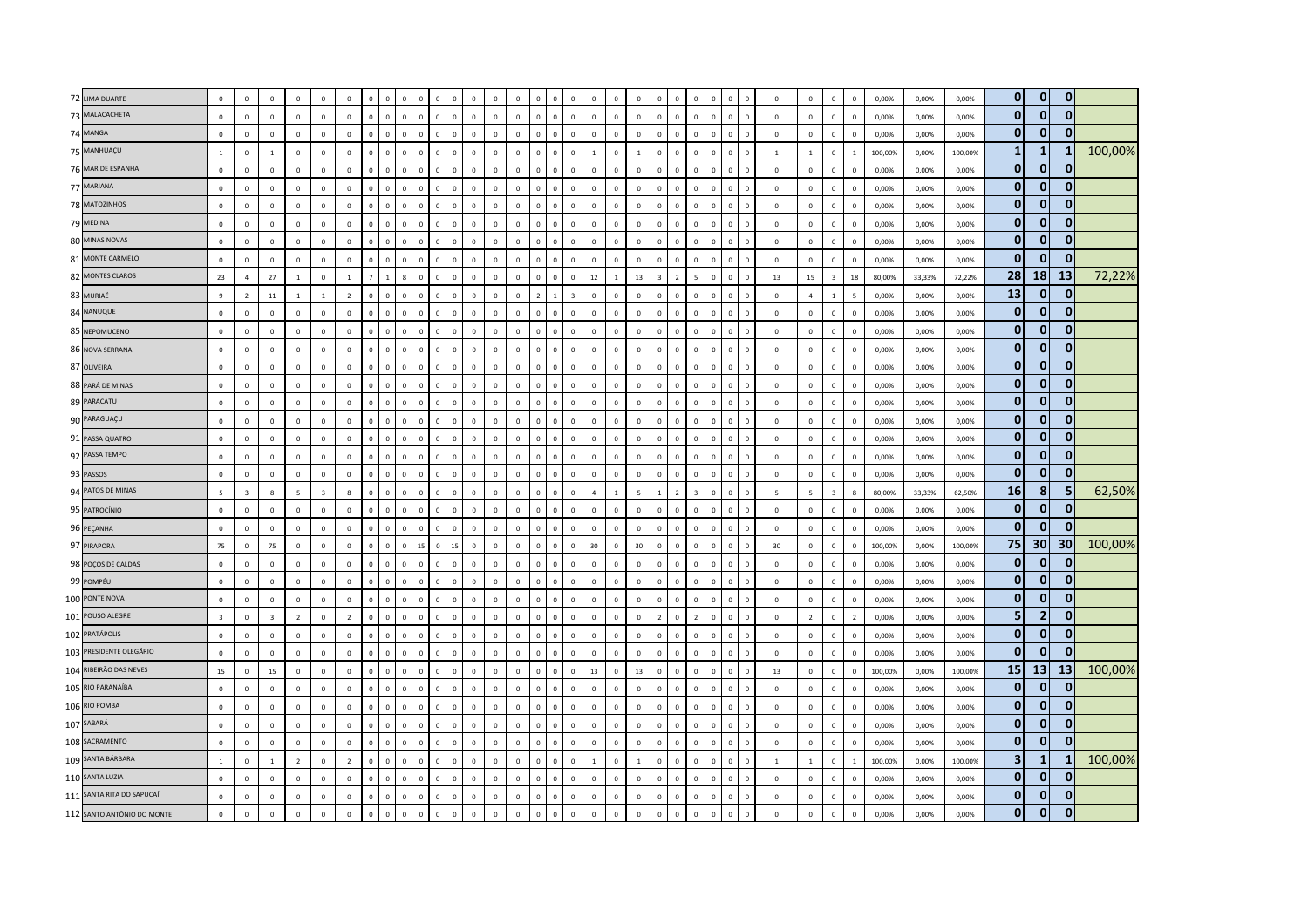| 72 LIMA DUARTE             | $\mathbf 0$             | $\mathbf 0$    | $\mathbf{0}$            | $\mathbf 0$    | $\mathbf 0$    | $\,$ 0         | $\overline{0}$ |                | $\mathbf 0$<br>$\overline{0}$           | $\mathbf 0$    | $\mathbf 0$  | $\mathbf 0$    | $\mathbf 0$  | $\mathbf{0}$ |                | $\mathbf 0$                    | $\mathbf 0$                |                |              | $\mathbf 0$    |          | $\mathbf 0$                    | $\Omega$       | $\Omega$     | $\mathbf 0$  | $\mathbf 0$              | $\mathbf{0}$   | $\mathbf 0$    | $\overline{0}$ | 0,00%   | 0,00%  | 0,00%   | $\overline{0}$          | $\overline{0}$<br>$\mathbf{0}$     |         |
|----------------------------|-------------------------|----------------|-------------------------|----------------|----------------|----------------|----------------|----------------|-----------------------------------------|----------------|--------------|----------------|--------------|--------------|----------------|--------------------------------|----------------------------|----------------|--------------|----------------|----------|--------------------------------|----------------|--------------|--------------|--------------------------|----------------|----------------|----------------|---------|--------|---------|-------------------------|------------------------------------|---------|
| 73 MALACACHETA             | $\mathbf{0}$            | $\mathbf 0$    | $\mathbf 0$             | $\mathbb O$    | $\mathsf 0$    | $\mathbf 0$    | $\mathbf 0$    | $\mathsf 0$    | $\,$ 0<br>$\mathbf 0$                   | $\mathbf{0}$   | $\mathbf 0$  | $\mathbf 0$    | $\mathbb O$  | $\mathbf 0$  | $\mathbf{0}$   | $\mathbf 0$                    | $\Omega$                   | $\mathbb O$    | $\mathbf 0$  | $\mathbf 0$    |          | $\mathbf 0$<br>$\mathbf 0$     | $\mathsf 0$    | $\mathbf{0}$ | $\mathbf 0$  | $\mathbf 0$              | $\mathbb O$    | $\mathbf 0$    | $\mathbf 0$    | 0,00%   | 0,00%  | 0,00%   | $\mathbf{0}$            | $\mathbf{0}$<br>$\mathbf{0}$       |         |
| 74 MANGA                   | $\mathbf 0$             | $\mathbf 0$    | $\mathsf 0$             | $\mathbf{0}$   | $\mathbf 0$    | $\mathbf 0$    | $\overline{0}$ | $\Omega$       | $\mathbf 0$<br>$\,$ 0                   | $\mathbf{0}$   | $\mathbf 0$  | $\mathbf 0$    | $\mathbf 0$  | $\mathbf{0}$ | $\mathbf{0}$   | $\mathbf 0$                    | $\Omega$                   | $\mathbf 0$    | $\mathbf{0}$ | $\mathbf 0$    |          | $\mathbf 0$<br>$\mathbf 0$     | $\Omega$       | $\mathbf{0}$ | $\mathbf 0$  | $\mathbf 0$              | $\mathbf{0}$   | $\mathbf 0$    | $\mathbf 0$    | 0,00%   | 0,00%  | 0,00%   | $\mathbf{0}$            | $\mathbf{0}$                       |         |
| 75 MANHUAÇU                | <sup>1</sup>            | $\mathbf{0}$   | $\overline{1}$          | $\mathbf 0$    | $\overline{0}$ | $\mathbf 0$    | $\overline{0}$ | $\Omega$       | $\mathbf{0}$<br>$\,$ 0                  | $\mathbf{0}$   | $\mathbb O$  | $\mathbf 0$    | $\mathbf 0$  | $\mathbf 0$  | $\circ$        | $\mathbf 0$                    | $\Omega$                   | $\overline{1}$ | $\mathbf 0$  | <sup>1</sup>   | $\Omega$ | $\mathbf 0$<br>$\Omega$        | $\mathbf{0}$   | $\mathbf{0}$ | $\mathbf 0$  | $\mathbf{1}$             | $\mathbf{1}$   | $\mathbf 0$    | 1              | 100,00% | 0,00%  | 100,00% | $\mathbf{1}$            | $\mathbf{1}$<br>1                  | 100,00% |
| 76 MAR DE ESPANHA          | $\mathbf 0$             | $\mathbf 0$    | $\mathbf 0$             | $\mathbb O$    | $\mathsf 0$    | $\mathbb O$    | $\mathbf 0$    | $\mathbf 0$    | $\mathbf 0$<br>$\,$ 0 $\,$              | $\circ$        | $\mathbf{0}$ | $\mathbf 0$    | $\mathbb O$  | $\mathbf 0$  | $\mathbf{0}$   | $\mathbf 0$                    | $\Omega$                   | $\mathbb O$    | $\mathbf 0$  | $\mathbb O$    |          | $\mathbb O$<br>$\Omega$        | $\,0\,$        | $\mathbf{0}$ | $\mathbf 0$  | $\mathbf 0$              | $\mathbf 0$    | $\mathsf 0$    | $\mathbf 0$    | 0,00%   | 0,00%  | 0,00%   | $\mathbf{0}$            | $\overline{0}$                     |         |
| 77 MARIANA                 | $\mathsf 0$             | $\mathsf 0$    | $\mathsf 0$             | $\mathbb O$    | $\,0\,$        | $\mathbf 0$    | $\mathbf 0$    |                | $\mathbf 0$<br>$\overline{0}$           | $\mathbf 0$    | $\mathbf 0$  | $\mathbf 0$    | $\mathbf 0$  | $\mathbf 0$  | $\mathbf 0$    | $\mathbf{0}$                   | $\mathbf 0$                | $\mathbf{0}$   | $\mathbf{0}$ | $\mathbf 0$    |          | $\mathbf 0$<br>$\mathbf 0$     | $\overline{0}$ | $\mathbf 0$  | $\mathbf 0$  | $\mathbf{0}$             | $\mathbf 0$    | $\mathbf 0$    | $\mathbf 0$    | 0,00%   | 0,00%  | 0,00%   | $\mathbf{0}$            | $\mathbf{0}$<br>$\Omega$           |         |
| 78 MATOZINHOS              | $\mathbf{0}$            | $\mathbf{0}$   | $\overline{0}$          | $\mathbf 0$    | $\mathbf{0}$   | $\mathbf{0}$   | $\overline{0}$ | $\Omega$       | $\mathbf{0}$<br>$\overline{0}$          | $\mathbf{0}$   | $\circ$      | $\mathbf 0$    | $\mathbf 0$  | $\circ$      | $\circ$        | $\mathbf{0}$                   | $\Omega$                   | $\mathbf{0}$   | $\mathbf{0}$ | $\mathbf{0}$   |          | $\mathbf{0}$<br>$\mathbf{0}$   | $\mathbf{0}$   | $\mathbf{0}$ | $\Omega$     | $\Omega$                 | $\mathbf{0}$   | $\mathbf{0}$   | $\Omega$       | 0.00%   | 0,00%  | 0,00%   | $\mathbf{0}$            | $\Omega$<br>0                      |         |
| 79 MEDINA                  | $\mathbf 0$             | $\mathbf{0}$   | $\mathbf{0}$            | $\circ$        | $\mathbf{0}$   | $\mathbf 0$    | $\mathbf 0$    | $\Omega$       | $\mathbf{0}$<br>$\,$ 0                  | $\mathbf{0}$   | $\mathbf{0}$ | $\mathbf 0$    | $\mathbf{0}$ | $\mathbf{0}$ | $\circ$        | $\mathbf 0$                    | $\Omega$                   | $\mathbf{0}$   | $\circ$      | $\mathbf 0$    | $\Omega$ | $\mathbf 0$<br>$\mathbf{0}$    | $\mathbf 0$    | $\circ$      | $\mathbf 0$  | $\mathbf 0$              | $\mathbf{0}$   | $\mathbf 0$    | $\mathbf 0$    | 0,00%   | 0,00%  | 0,00%   | $\mathbf{0}$            | $\mathbf{0}$<br>$\Omega$           |         |
| 80 MINAS NOVAS             | $\mathsf 0$             | $\mathbf 0$    | $\mathbf 0$             | $\mathbb O$    | $\mathsf 0$    | $\mathbf 0$    | $\mathbf 0$    |                | $\mathbf 0$<br>$\overline{0}$           | $\mathbf{0}$   | $\mathbf 0$  | $\mathbf 0$    | $\mathbf 0$  | $\mathbb O$  | $\mathbf 0$    | $\mathbf 0$                    | $\Omega$                   | $\mathbb O$    | $\mathbf 0$  | $\,$ 0 $\,$    |          | $\mathbf 0$<br>$\mathbf 0$     | $\overline{0}$ | $\mathbf 0$  | $\mathbf{0}$ | $\mathbf 0$              | $\mathbf 0$    | $\mathbf 0$    | $\mathbf 0$    | 0,00%   | 0,00%  | 0,00%   | $\mathbf{0}$            | $\overline{0}$<br>$\mathbf{0}$     |         |
| 81 MONTE CARMELO           | $\mathsf 0$             | $\mathbf 0$    | $\mathbf 0$             | $\circ$        | $\mathsf 0$    | $\mathbf 0$    | $\mathbf 0$    | $\mathbf 0$    | $\,$ 0<br>$\mathbf 0$                   | $\mathbf{0}$   | $\mathbf 0$  | $\mathbf 0$    | $\mathbf 0$  | $\mathbf{0}$ | $\mathbf{0}$   | $\mathbf 0$                    | $\mathbf 0$                | $\mathbf 0$    | $\mathbf 0$  | $\mathbf 0$    |          | $\mathbb O$<br>$\mathbf{0}$    | $\mathsf 0$    | $\mathbf{0}$ | $\mathbf 0$  | $\mathbf 0$              | $\mathbf 0$    | $\mathbf 0$    | $\overline{0}$ | 0,00%   | 0,00%  | 0,00%   | $\mathbf{0}$            | $\overline{0}$<br>$\mathbf{0}$     |         |
| 82 MONTES CLAROS           | 23                      | $\overline{a}$ | 27                      | $\overline{1}$ | $\mathbf{0}$   | $\overline{1}$ |                |                | 8<br>$\overline{\mathbf{0}}$            | $\Omega$       | $\Omega$     | $\mathbf 0$    | $\mathbf 0$  | $\mathbf 0$  | $\Omega$       | $\mathbf{0}$                   | 12<br>$\Omega$             |                | $\mathbf{1}$ | 13             |          | $\overline{z}$<br>-5           | $\Omega$       | $\Omega$     | $\Omega$     | 13                       | 15             | $\overline{3}$ | 18             | 80.00%  | 33,33% | 72,22%  | 28                      | 18<br><b>13</b>                    | 72,22%  |
| 83 MURIAÉ                  | 9                       | $\overline{2}$ | 11                      | $\overline{1}$ | $\mathbf{1}$   | $\overline{2}$ | $\mathbf 0$    | $\Omega$       | $\mathbf 0$<br>$\,$ 0                   | $\Omega$       | $\mathbb O$  | $\mathbf 0$    | $\mathbf 0$  | $\mathbb O$  | $\overline{2}$ | $\mathbf{1}$<br>$\overline{z}$ |                            | $\mathbb O$    | $\Omega$     | $\mathbf 0$    |          | $\Omega$<br>$\Omega$           | $\Omega$       | $\Omega$     | $\Omega$     | $\mathbb O$              | $\overline{4}$ | $\mathbf{1}$   | 5              | 0,00%   | 0,00%  | 0,00%   | 13                      | $\mathbf 0$<br>$\mathbf{0}$        |         |
| 84 NANUQUE                 | $\mathbf 0$             | $\mathbf 0$    | $\mathbf 0$             | $\circ$        | $\mathbf 0$    | $\,0\,$        | $\mathbf 0$    | $\overline{0}$ | $\mathbf 0$<br>$\,$ 0                   | $\mathbf{0}$   | $\circ$      | $\mathbf 0$    | $\mathbf 0$  | $\mathbf 0$  | $\mathbf{0}$   | $\mathbf 0$                    | $\Omega$                   | $\mathbf 0$    | $\mathbf{0}$ | $\,0\,$        |          | $\overline{0}$<br>$\mathbf{0}$ | $\mathsf 0$    | $\mathbf{0}$ | $\mathbf 0$  | $\mathbf 0$              | $\mathbf 0$    | $\mathbf 0$    | $\overline{0}$ | 0,00%   | 0,00%  | 0,00%   | $\mathbf{0}$            | $\overline{0}$<br>$\bf{0}$         |         |
| 85 NEPOMUCENO              | $\mathbf{0}$            | $\mathbf 0$    | $\mathbf 0$             | $\Omega$       | $\mathbf 0$    | $\mathbf{0}$   | $\overline{0}$ | $\Omega$       | $\mathbf 0$<br>$\,$ 0                   | $\mathbf{0}$   | $\mathbf 0$  | $\mathbf 0$    | $\mathbf 0$  | $\mathbb O$  | $\mathbf{0}$   | $\mathsf 0$                    | $\Omega$                   | $\mathbf{0}$   | $\Omega$     | $\,0\,$        |          | $\Omega$<br>$\Omega$           | $\Omega$       | $\mathbf{0}$ | $\Omega$     | $\mathbb O$              | $\mathbf 0$    | $\mathbf 0$    | $\mathbf 0$    | 0,00%   | 0,00%  | 0,00%   | $\mathbf{0}$            | $\mathbf{0}$<br>$\Omega$           |         |
| 86 NOVA SERRANA            | $\overline{0}$          | $\mathbf{0}$   | $\overline{0}$          | $\mathbf{0}$   | $\overline{0}$ | $\overline{0}$ | $\overline{0}$ | $\Omega$       | $\mathbf{0}$<br>$\overline{0}$          | $\mathbf{0}$   | $\mathbf 0$  | $\overline{0}$ | $\mathbf 0$  | $\mathbf{0}$ | $\circ$        | $\mathbf{0}$                   | $\Omega$                   | $\overline{0}$ | $\mathbf{0}$ | $\mathbf 0$    | $\Omega$ | $\mathbf{0}$<br>$\Omega$       | $\mathbf{0}$   | $\Omega$     | $\Omega$     | $\Omega$                 | $\mathbf{0}$   | $\mathbf{0}$   | $\Omega$       | 0,00%   | 0,00%  | 0,00%   | $\mathbf{0}$            | $\overline{0}$<br>$\mathbf{0}$     |         |
| 87 OLIVEIRA                | $\mathbf 0$             | $\mathbf 0$    | $\mathbf 0$             | $\mathbf 0$    | $\mathsf 0$    | $\mathbb O$    | $\mathbf 0$    | $\Omega$       | $\,$ 0<br>$\mathbf 0$                   | $\mathbf{0}$   | $\mathbf{0}$ | $\mathbf 0$    | $\mathbf 0$  | $\mathbf 0$  | $\Omega$       | $\mathbf 0$                    | $\Omega$                   | $\mathbb O$    | $\Omega$     | $\mathbb O$    |          | $\mathbb O$<br>$\mathbf{0}$    | $\mathsf 0$    | $\mathbf 0$  | $\mathbf{0}$ | $\mathbf 0$              | $\mathbb O$    | $\mathbf 0$    | $\mathbf 0$    | 0,00%   | 0,00%  | 0,00%   | $\mathbf{0}$            | $\mathbf{0}$<br>0                  |         |
| 88 PARÁ DE MINAS           | $\mathbf 0$             | $\mathbf{0}$   | $\mathbf{0}$            | $\mathbf{0}$   | $\,0\,$        | $\,0\,$        | $\mathbf 0$    | $\Omega$       | $\mathbf 0$<br>$\,$ 0                   | $\mathbf{0}$   | $\mathbb O$  | $\mathbf 0$    | $\,0\,$      | $\mathbb O$  | $\Omega$       | $\mathbf 0$                    | $\Omega$                   | $\mathbf 0$    | $\mathbf 0$  | $\,0\,$        |          | $\mathbf 0$<br>$\mathbf 0$     | $\sqrt{2}$     | $\Omega$     | $\mathbf{0}$ | $\mathbb O$              | $\mathbf 0$    | $\mathbf 0$    | $\mathbb O$    | 0,00%   | 0,00%  | 0,00%   | $\mathbf{0}$            | $\mathbf{0}$<br>$\mathbf{0}$       |         |
| 89 PARACATU                | $\mathsf 0$             | $\mathbf 0$    | $\mathbf 0$             | $\mathbf 0$    | $\mathsf 0$    | $\mathbf 0$    | $\overline{0}$ | $\Omega$       | $\mathbf{0}$<br>$\overline{0}$          | $\overline{0}$ | $\mathbf{0}$ | $\mathbf 0$    | $\mathbf 0$  | $\circ$      | $\circ$        | $\mathbf 0$                    | $\Omega$                   | $\mathbf 0$    | $\Omega$     | $\mathbf 0$    |          | $\mathbf 0$<br>$\mathbf{0}$    | $\mathbf{0}$   | $\mathbf{0}$ | $\mathbf{0}$ | $\mathbf 0$              | $\mathbf 0$    | $\mathbf 0$    | $\mathbf 0$    | 0,00%   | 0,00%  | 0,00%   | $\mathbf{0}$            | $\mathbf{0}$<br>$\bullet$          |         |
| 90 PARAGUAÇU               | $\Omega$                | $\Omega$       | $\Omega$                | $\Omega$       | $\Omega$       | $\mathbb O$    | $\overline{0}$ | $\Omega$       | $\mathsf 0$<br>$\Omega$                 | $\Omega$       | $\mathbb O$  | $\Omega$       | $\Omega$     | $\Omega$     | $\Omega$       | $\mathbf 0$                    | $\Omega$<br>$\Omega$       |                | $\Omega$     | $\Omega$       |          | $\Omega$<br>$\Omega$           | $\Omega$       | $\Omega$     | $\Omega$     | $\Omega$                 | $\Omega$       | $\Omega$       | $\Omega$       | 0,00%   | 0,00%  | 0,00%   | $\mathbf{0}$            | $\overline{0}$<br>$\bf{0}$         |         |
| 91 PASSA QUATRO            | $\,$ 0                  | $\mathbf 0$    | $\mathbf 0$             | $\mathbb O$    | $\,0\,$        | $\mathbf 0$    | $\mathbf 0$    | $\Omega$       | $\mathbf 0$<br>$\,$ 0                   | $\mathbf{0}$   | $\mathbb O$  | $\mathbf 0$    | $\mathbf 0$  | $\mathbf 0$  | $\mathbf{0}$   | $\mathbf 0$                    | $\mathbf 0$                | $\mathbf 0$    | $\mathbf 0$  | $\mathbf 0$    |          | $\mathbf 0$<br>$\mathbf 0$     | $\mathsf 0$    | $\mathbf 0$  | $\mathbf 0$  | $\mathbb O$              | $\mathbf 0$    | $\mathbf 0$    | $\mathbf 0$    | 0,00%   | 0,00%  | 0,00%   | $\mathbf{0}$            | $\mathbf{0}$<br>$\mathbf{0}$       |         |
| 92 PASSA TEMPO             | $\,0\,$                 | $\mathbf 0$    | $\mathbf 0$             | $\mathbf{0}$   | $\mathbf 0$    | $\,0\,$        | $\mathbf 0$    | $\Omega$       | $\mathbf 0$<br>$\,$ 0                   | $\overline{0}$ | $\circ$      | $\mathbf 0$    | $\mathbf{0}$ | $\mathbf 0$  | $\circ$        | $\mathbf 0$                    | $\Omega$                   | $\mathbf 0$    | $\Omega$     | $\mathbb O$    |          | $\,0\,$<br>$\mathbf{0}$        | $\,0\,$        | $\mathbf 0$  | $\mathbf 0$  | $\mathbf 0$              | $\mathbf 0$    | $\mathbf 0$    | $\mathbb O$    | 0,00%   | 0,00%  | 0,00%   | $\mathbf{0}$            | $\mathbf{0}$<br>$\Omega$           |         |
| 93 PASSOS                  | $\mathbf 0$             | $\mathbf 0$    | $\circ$                 | $\mathbf 0$    | $\mathbf 0$    | $\circ$        | $\,$ 0         |                | $\mathbf 0$<br>$\,$ 0                   | $\Omega$       | $\mathbf 0$  | $\mathbf 0$    | $\mathbf 0$  | $\mathbf 0$  | $\Omega$       | $\mathbf 0$                    | $\Omega$                   | $\mathbf 0$    | $\mathbf 0$  | $\mathbf 0$    |          | $\mathbf 0$<br>$\mathbf 0$     | $\Omega$       | $\Omega$     | $\mathbf 0$  | $\mathbf{0}$             | $\mathbf 0$    | $\mathbf 0$    | $\overline{0}$ | 0,00%   | 0,00%  | 0,00%   | $\mathbf{0}$            | $\mathbf{0}$<br>$\mathbf{0}$       |         |
| 94 PATOS DE MINAS          | 5                       | $\overline{3}$ | $\mathbf{g}$            | $\overline{5}$ | $\overline{3}$ | $8\phantom{1}$ | $\overline{0}$ | $\Omega$       | $\mathbf{0}$<br>$\,$ 0                  | $\Omega$       | $\mathbf{0}$ | $\mathbf 0$    | $\mathbf 0$  | $\mathbf 0$  | $\Omega$       | $\mathbf 0$                    | $\Omega$<br>$\overline{a}$ |                | $\mathbf{1}$ | $\overline{5}$ |          | $\overline{z}$<br>$\mathbf{3}$ | $\Omega$       | $\Omega$     | $\Omega$     | $\overline{\phantom{a}}$ | 5 <sub>5</sub> | $\overline{3}$ | 8              | 80,00%  | 33,33% | 62,50%  | 16                      | 8<br>5                             | 62,50%  |
| 95 PATROCÍNIO              | $\mathbf 0$             | $\mathbf{0}$   | $\overline{0}$          | $\circ$        | $\mathbf{0}$   | $\mathbf 0$    | $\overline{0}$ | $\overline{0}$ | $\mathbf 0$<br>$\,$ 0                   | $\overline{0}$ | $\circ$      | $\mathbf 0$    | $\mathbf{0}$ | $\mathbf{0}$ | $\mathbf{0}$   | $\mathbf 0$                    | $\Omega$                   | $\mathbf{0}$   | $\mathbf{0}$ | $\,0\,$        | $\Omega$ | $\overline{0}$<br>$^{\circ}$   | $\mathbf{0}$   | $\mathbf 0$  | $\mathbf 0$  | $\mathbf{0}$             | $\mathbf 0$    | $\mathbf 0$    | $\overline{0}$ | 0,00%   | 0,00%  | 0,00%   | $\mathbf{0}$            | $\overline{0}$<br>0                |         |
| 96 PEÇANHA                 | $\mathsf 0$             | $\mathbf{0}$   | $\mathbf 0$             | $\mathbf 0$    | $\mathbf 0$    | $\mathbf 0$    | $\mathbf 0$    | $\Omega$       | $\mathbf{0}$<br>$\,$ 0                  | $\mathbf{0}$   | $\mathbb O$  | $\mathbf 0$    | $\mathbf 0$  | $\mathbb O$  | $\mathbf{0}$   | $\mathbf 0$                    | $\Omega$                   | $\mathbf 0$    | $\Omega$     | $\mathbf 0$    |          | $\mathbf 0$<br>$\mathbf 0$     | $\Omega$       | $\circ$      | $\mathbf{0}$ | $\mathbf 0$              | $\mathbf 0$    | $\mathsf 0$    | $\mathbf 0$    | 0,00%   | 0,00%  | 0,00%   | $\mathbf{0}$            | $\mathbf{0}$<br>$\Omega$           |         |
| 97 PIRAPORA                | 75                      | $\mathbf 0$    | 75                      | $\mathbf{0}$   | $\mathsf 0$    | $\mathsf 0$    | $\circ$        | $\Omega$       | $\mathbf 0$<br>15                       | $\circ$        | 15           | $\mathbf 0$    | $\mathbb O$  | $\mathbf 0$  | $\mathbf{0}$   | $\mathbf 0$                    | 30<br>$\Omega$             |                | $\mathbb O$  | 30             |          | $\mathbb O$<br>$\mathbf{0}$    | $\,0\,$        | $\mathbf{0}$ | $\mathbf 0$  | 30                       | $\mathbb O$    | $\mathbf 0$    | $\mathbb O$    | 100,00% | 0,00%  | 100,00% | 75                      | 30 <sup>1</sup><br>30 <sup>1</sup> | 100,00% |
| 98 POÇOS DE CALDAS         | $\mathbf 0$             | $\mathsf 0$    | $\Omega$                | $\Omega$       | $\mathbf 0$    | $\mathbf 0$    | $\overline{0}$ | $\Omega$       | $\mathbf 0$<br>$\,$ 0                   | $\mathbf{0}$   | $\mathbf{0}$ | $\mathbf 0$    | $\Omega$     | $\mathbf 0$  | $\Omega$       | $\mathbf 0$                    | $\Omega$<br>$\Omega$       |                | $\Omega$     | $\mathbb O$    |          | $\Omega$<br>$\Omega$           | $\Omega$       | $\Omega$     | $\Omega$     | $\Omega$                 | $\circ$        | $\mathsf 0$    | $\mathbf 0$    | 0,00%   | 0,00%  | 0,00%   | $\mathbf{0}$            | $\mathbf{0}$<br>0                  |         |
| 99 POMPÉU                  | $\,$ 0                  | $\mathbf{0}$   | $\Omega$                | $\Omega$       | $\,$ 0         | $\mathbf{0}$   | $\overline{0}$ | $\Omega$       | $\mathbf{0}$<br>$\overline{\mathbf{0}}$ | $\Omega$       | $\mathbf 0$  | $\mathbf 0$    | $\mathbf 0$  | $\mathbf 0$  | $\Omega$       | $\mathbf{0}$                   | $\Omega$                   | $\mathbf{0}$   | $\Omega$     | $\,0\,$        |          | $\Omega$<br>$\Omega$           | $\sqrt{2}$     | $\Omega$     | $\Omega$     | $\Omega$                 | $\mathbf 0$    | $\mathbf{0}$   | $\mathbb O$    | 0,00%   | 0,00%  | 0,00%   | $\mathbf{0}$            | $\mathbf{0}$<br>$\Omega$           |         |
| 100 PONTE NOVA             | $\mathsf 0$             | $\mathbf 0$    | $\mathbf 0$             | $\mathbf 0$    | $\mathbf 0$    | $\mathbf 0$    | $\mathbf 0$    | $\Omega$       | $\mathbf{0}$<br>$\,$ 0                  | $\mathbf{0}$   | $\mathbf{0}$ | $\mathbf 0$    | $\mathbf 0$  | $\mathbf{0}$ | $\mathbf{0}$   | $\mathbf 0$                    | $\Omega$                   | $\mathbf 0$    | $\Omega$     | $\mathbf 0$    |          | $\mathbf 0$<br>$\mathbf 0$     | $\mathsf 0$    | $\mathbf{0}$ | $\mathbf 0$  | $\mathbf 0$              | $\mathbf 0$    | $\mathbf 0$    | $\overline{0}$ | 0,00%   | 0,00%  | 0,00%   | $\mathbf{0}$            | $\overline{0}$<br>$\Omega$         |         |
| 101 POUSO ALEGRE           | $\overline{\mathbf{3}}$ | $\mathsf 0$    | $\overline{\mathbf{3}}$ | $\overline{2}$ | $\mathbf 0$    | $\overline{2}$ | $\mathbf 0$    | $\Omega$       | $\mathbf 0$<br>$\,$ 0                   | $\mathbf{0}$   | $\mathbb O$  | $\mathbf 0$    | $\mathbf 0$  | $\mathbf{0}$ | $\mathbf 0$    | $\mathbf 0$                    | $\Omega$                   | $\mathbf 0$    | $\mathbf 0$  | $\mathbb O$    |          | $\mathbf 0$<br>$\overline{2}$  | $\overline{0}$ | $\mathbf 0$  | $\mathbf 0$  | $\mathbf 0$              | $\overline{2}$ | $\mathbf 0$    | $\overline{2}$ | 0,00%   | 0,00%  | 0,00%   | 5                       | $\overline{2}$<br>$\mathbf{0}$     |         |
| 102 PRATÁPOLIS             | $\overline{0}$          | $\mathbf 0$    | $\mathbf 0$             | $\Omega$       | $\mathsf 0$    | $\mathbf 0$    | $\overline{0}$ | $\Omega$       | $\mathbf 0$<br>$\,$ 0                   | $\Omega$       | $\mathbf 0$  | $\mathbf 0$    | $\mathbf 0$  | $\mathbb O$  | $\Omega$       | $\mathbf 0$                    | $\Omega$                   | $\mathbf 0$    | $\Omega$     | $\,0\,$        |          | $\Omega$<br>$\Omega$           | $\Omega$       | $\Omega$     | $\Omega$     | $\mathbf 0$              | $\mathbf 0$    | $\mathsf 0$    | $\mathbf 0$    | 0,00%   | 0,00%  | 0,00%   | $\mathbf{0}$            | $\mathbf{0}$<br>$\mathbf{0}$       |         |
| 103 PRESIDENTE OLEGÁRIO    | $\overline{0}$          | $\mathbf{0}$   | $\mathbf 0$             | $\Omega$       | $\mathbf{0}$   | $\mathbf{0}$   | $\overline{0}$ | $\Omega$       | $\mathbf{0}$<br>$\mathbf 0$             | $\mathbf{0}$   | $\mathbf{0}$ | $\mathbf 0$    | $\mathbf{0}$ | $\mathbf{0}$ | $\Omega$       | $\mathbf 0$                    | $\Omega$                   | $\mathbf 0$    | $\Omega$     | $\mathbf 0$    | $\Omega$ | $\mathbf 0$<br>$\mathbf{0}$    | $\mathbf 0$    | $\mathbf{0}$ | $\mathbf 0$  | $\mathbf 0$              | $\circ$        | $\mathsf 0$    | $\mathbf 0$    | 0,00%   | 0,00%  | 0.00%   | $\mathbf{0}$            | $\mathbf{0}$                       |         |
| 104 RIBEIRÃO DAS NEVES     | 15                      | $\mathbf 0$    | 15                      | $\mathbb O$    | $\mathbf 0$    | $\,$ 0 $\,$    | $\mathbf 0$    |                | $\mathbf 0$<br>$\overline{0}$           | $\Omega$       | $\mathbf 0$  | $\mathbf 0$    | $\mathbf 0$  | $\mathbf 0$  | $\Omega$       | $\mathbf{0}$                   | 13<br>$\Omega$             |                | $\mathbf 0$  | $13\,$         |          | $\mathbf 0$<br>$\mathbf 0$     | $\Omega$       | $\Omega$     | $\mathbf{0}$ | 13                       | $\mathbb O$    | $\mathbf 0$    | $\overline{0}$ | 100,00% | 0,00%  | 100,00% | 15                      | 13<br><b>13</b>                    | 100,00% |
| 105 RIO PARANAÍBA          | $\mathsf 0$             | $\mathbf 0$    | $\mathbf 0$             | $\Omega$       | $\mathbf 0$    | $\mathbf 0$    | $\mathbf 0$    | $\Omega$       | $\mathbf 0$<br>$\mathbf 0$              | $\Omega$       | $\mathbf 0$  | $\mathbf 0$    | $\mathbf 0$  | $\mathbf 0$  | $\Omega$       | $\mathbf 0$                    | $\Omega$                   | $\mathbb O$    | $\mathbf 0$  | $\,$ 0 $\,$    |          | $\mathbb O$<br>$\Omega$        | $\mathsf 0$    | $\mathbf{0}$ | $\mathbf{0}$ | $\mathbf 0$              | $\mathbb O$    | $\mathbf 0$    | $\overline{0}$ | 0,00%   | 0,00%  | 0,00%   | $\overline{0}$          | $\overline{0}$<br>0                |         |
| 106 RIO POMBA              | $\mathbf{0}$            | $\Omega$       | $\circ$                 | $\Omega$       | $\mathbf{0}$   | $\mathbf{0}$   | $\overline{0}$ | $\Omega$       | $\mathbf{0}$<br>$\overline{\mathbf{0}}$ | $\Omega$       | $\mathbf 0$  | $\mathbf 0$    | $\mathbf 0$  | $\Omega$     | $\Omega$       | $\mathbf{0}$                   | $\Omega$                   | $\mathbf{0}$   | $\Omega$     | $\mathbf{0}$   |          | $\Omega$<br>$\Omega$           | $\Omega$       | $\mathbf{0}$ | $\Omega$     | $\Omega$                 | $\mathbf{0}$   | $\mathbf{0}$   | $\Omega$       | 0.00%   | 0.00%  | 0.00%   | $\mathbf{0}$            | $\mathbf{0}$                       |         |
| 107 SABARÁ                 | $\overline{0}$          | $\mathbf{0}$   | $\overline{0}$          | $\Omega$       | $\overline{0}$ | $\mathbf 0$    | $\overline{0}$ | $\Omega$       | $\mathbf{0}$<br>$\,$ 0                  | $\mathbf{0}$   | $\mathbf 0$  | $\mathbf 0$    | $\mathbf 0$  | $\mathbf 0$  | $\mathbf{0}$   | $\mathbf{0}$                   | $\Omega$                   | $\overline{0}$ | $\mathbf{0}$ | $\mathbf 0$    | $\Omega$ | $\mathbf{0}$<br>$\Omega$       | $\mathbf{0}$   | $\Omega$     | $\Omega$     | $\mathbf 0$              | $\mathbf 0$    | $\mathbf 0$    | $\mathbf 0$    | 0,00%   | 0,00%  | 0,00%   | $\mathbf{0}$            | $\mathbf{0}$<br>$\Omega$           |         |
| 108 SACRAMENTO             | $\mathbf 0$             | $\mathsf 0$    | $\mathbf 0$             | $\mathbf 0$    | $\mathbf 0$    | $\mathbb O$    | $\mathbf 0$    | $\mathsf 0$    | $\mathbf 0$<br>$\,$ 0 $\,$              | $\mathbf{0}$   | $\mathbf{0}$ | $\mathbf 0$    | $\mathbf 0$  | $\mathbf 0$  | $\mathbf{0}$   | $\mathbf 0$                    | $\Omega$                   | $\mathbb O$    | $\mathbf 0$  | $\mathbb O$    |          | $\mathbb O$<br>$\Omega$        | $\mathsf 0$    | $\mathbf 0$  | $\mathbf{0}$ | $\mathbf 0$              | $\mathbf 0$    | $\mathbf 0$    | $\mathbf 0$    | 0,00%   | 0,00%  | 0,00%   | $\mathbf{0}$            | $\mathbf{0}$<br>$\bf{0}$           |         |
| 109 SANTA BÁRBARA          | $\mathbf{1}$            | $\mathsf 0$    | $\mathbf{1}$            | $\overline{2}$ | $\mathsf 0$    | $\overline{2}$ | $\mathbf 0$    |                | $\mathbf 0$<br>$\,$ 0                   | $\mathbf{0}$   | $\mathbf 0$  | $\mathbf 0$    | $\mathbf 0$  | $\mathbb O$  | $\mathsf 0$    | $\mathbf 0$                    | $\Omega$                   | $1\,$          | $\mathbf{0}$ | $\mathbf{1}$   |          | $\mathbf 0$<br>$\mathbf 0$     | $\Omega$       | $\mathbf 0$  | $\mathbf 0$  | $\mathbf{1}$             | $\mathbf{1}$   | $\mathbf 0$    | $\mathbf{1}$   | 100,00% | 0,00%  | 100,00% | $\overline{\mathbf{3}}$ | $\mathbf{1}$<br>1                  | 100,00% |
| 110 SANTA LUZIA            | $\mathbf{0}$            | $\mathbf{0}$   | $\overline{0}$          | $\mathbf 0$    | $\mathbf{0}$   | $\mathbf{0}$   | $\overline{0}$ | $\Omega$       | $\mathbf{0}$<br>$\overline{\mathbf{0}}$ | $\mathbf{0}$   | $\mathbf 0$  | $\mathbf 0$    | $\mathbf 0$  | $\circ$      | $\Omega$       | $\mathbf{0}$                   | $\Omega$                   | $\mathbf{0}$   | $\Omega$     | $\mathbf{0}$   |          | $\Omega$<br>$\Omega$           | $\Omega$       | $\Omega$     | $\Omega$     | $\mathbf{0}$             | $\mathbf{0}$   | $\mathbf{0}$   | $\Omega$       | 0,00%   | 0,00%  | 0,00%   | $\mathbf{0}$            | $\mathbf{0}$<br>$\Omega$           |         |
| 111 SANTA RITA DO SAPUCAÍ  | $\mathbf 0$             | $\mathbf 0$    | $^{\circ}$              | $\mathbf{0}$   | $\,0\,$        | $\mathbf 0$    | $\mathbf 0$    | $\overline{0}$ | $\mathbf 0$<br>$\mathbf 0$              | $\overline{0}$ | $\mathbf 0$  | $\mathbf 0$    | $\mathbf 0$  | $\mathbf 0$  | $\mathbf{0}$   | $\mathbf 0$                    | $\Omega$                   | $\mathbf 0$    | $\Omega$     | $\,0\,$        | $\Omega$ | $\mathbf 0$<br>$^{\circ}$      | $\mathsf 0$    | $\mathbf{0}$ | $\mathbf 0$  | $^{\circ}$               | $\mathbf 0$    | $\mathbf 0$    | $\mathbf 0$    | 0,00%   | 0,00%  | 0,00%   | 0                       | $\mathbf{0}$                       |         |
| 112 SANTO ANTÔNIO DO MONTE | $\mathbf 0$             | $\mathbf{0}$   | $\mathbf 0$             | $\mathbf 0$    | $\mathbf 0$    | $\pmb{0}$      | $\mathbf 0$    |                | $\mathbf 0$<br>$\overline{0}$           | $\mathbf 0$    | $\mathbf 0$  | $\mathbf 0$    | $\mathbf 0$  | $\pmb{0}$    | $\mathbf 0$    | $\mathbf{0}$                   |                            | $\mathbf 0$    |              | $\mathbf 0$    |          | $\mathbf 0$<br>$\mathbf 0$     | $\overline{0}$ | $\mathbf 0$  | $\mathbf{0}$ | $\mathbf 0$              | $\mathbf 0$    | $\mathbf 0$    | $\mathbf 0$    | 0,00%   | 0,00%  | 0,00%   | $\mathbf{0}$            | $\bf{0}$<br>$\mathbf{0}$           |         |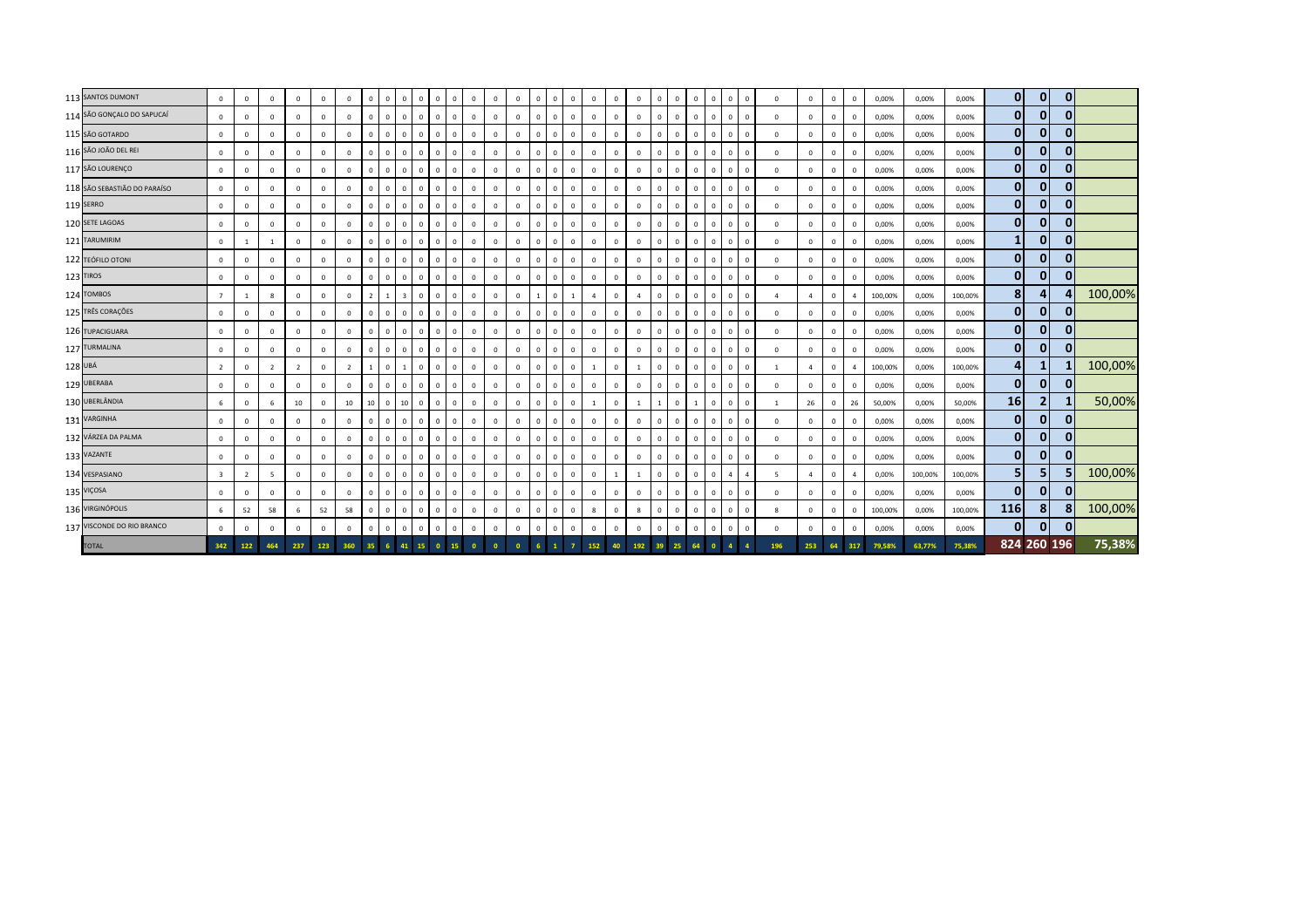|         | 113 SANTOS DUMONT            | $\mathbf 0$             | $\mathbf{0}$   | $\overline{0}$ | $\overline{0}$ | $\mathbf{0}$ | $\mathbf{0}$   | $\mathbf{0}$    | $\Omega$     | $\overline{0}$          | $\mathbf{0}$   | $\mathbf{0}$<br>$\mathbf{0}$     | $\mathbf{0}$   | $\mathbf{0}$ | $\mathbf{0}$ | $\Omega$     | $\Omega$       | $\Omega$     | $\mathbf{0}$   | $\mathbf{0}$   | $\mathbf{0}$   | $^{\circ}$   | $\Omega$       | $\overline{0}$ | $\overline{0}$ | $\Omega$<br>$\mathbf{0}$       |              | $\Omega$       | $\mathbf{0}$   | $\mathbf{0}$   | $\overline{0}$ | 0,00%   | 0,00%   | 0,00%   | 0              | $\overline{0}$ | 0            |         |
|---------|------------------------------|-------------------------|----------------|----------------|----------------|--------------|----------------|-----------------|--------------|-------------------------|----------------|----------------------------------|----------------|--------------|--------------|--------------|----------------|--------------|----------------|----------------|----------------|--------------|----------------|----------------|----------------|--------------------------------|--------------|----------------|----------------|----------------|----------------|---------|---------|---------|----------------|----------------|--------------|---------|
|         | 114 SÃO GONÇALO DO SAPUCAÍ   | $\mathbf 0$             | $\mathbf{0}$   | $\overline{0}$ | $\mathbf 0$    | $^{\circ}$   | $\mathbf 0$    | $^{\circ}$      | $\mathbf 0$  | $\mathbf 0$             | $\mathbf{0}$   | $\mathbf 0$<br>$\mathbf 0$       | $\mathbf 0$    | $\mathbf 0$  | $\mathbf 0$  | $\Omega$     | $\Omega$       | $\mathbf{0}$ | $\mathbf{0}$   | $^{\circ}$     | $\mathbf 0$    |              | $\Omega$       | $\mathbf 0$    | $\mathbf 0$    | $\Omega$<br>$\mathbf{0}$       |              | $\Omega$       | $\Omega$       | $\mathbf 0$    | $\mathbf 0$    | 0,00%   | 0,00%   | 0,00%   | $\mathbf{0}$   | $\mathbf{0}$   | $\bf{0}$     |         |
|         | 115 SÃO GOTARDO              | $\mathbf 0$             | $\mathbf{0}$   | $\overline{0}$ | $\mathbf 0$    | $\mathbf 0$  | $\mathbf 0$    | $^{\circ}$      | $\mathbf 0$  | $\mathbf 0$             | $\mathbf{0}$   | $\mathbf 0$<br>$\mathbb O$       | $\mathbf 0$    | $\mathbf 0$  | $\mathbf 0$  | $\Omega$     | $\Omega$       | $\Omega$     | $\mathbf{0}$   | $^{\circ}$     | $\mathbf 0$    |              | $\mathbf{0}$   | $\mathbf{0}$   | $\overline{0}$ | $\overline{0}$<br>$\mathbf 0$  |              | $^{\circ}$     | $^{\circ}$     | $\mathbf{0}$   | $\overline{0}$ | 0,00%   | 0,00%   | 0,00%   | $\overline{0}$ | $\mathbf{0}$   |              |         |
|         | 116 SÃO JOÃO DEL REI         | $\mathbf 0$             | $\mathbf 0$    | $\overline{0}$ | $\mathbf 0$    | $\mathbf 0$  | $\mathbf 0$    | $^{\circ}$      | $\Omega$     | $\mathbf 0$             | $\circ$        | $\mathbf 0$<br>$\mathbb O$       | $\mathbf 0$    | $\mathbf 0$  | $\mathbf 0$  | $^{\circ}$   | $\mathbf{0}$   | $\mathbf{0}$ | $\mathbf 0$    | $\mathbf 0$    | $\mathbf 0$    | $\Omega$     | $\mathbf 0$    | $\mathbf{0}$   | $\overline{0}$ | $\mathbf{0}$                   | $\mathbf 0$  | $\mathbf 0$    | $\mathbf 0$    | $\mathbf{0}$   | $\,$ 0         | 0,00%   | 0,00%   | 0,00%   | 0              | $\mathbf{0}$   | $\bf{0}$     |         |
|         | 117 SÃO LOURENÇO             | $\Omega$                | $\mathbf{0}$   | $\overline{0}$ | $\mathbf{0}$   | $\mathbf{0}$ | $\mathbf{0}$   | $\mathbf{0}$    | $\mathbf 0$  | $\overline{0}$          | $\mathbf{0}$   | $\mathbf{0}$<br>$\overline{0}$   | $\mathbf{0}$   | $\mathbf{0}$ | $\mathbf{0}$ | $\Omega$     | $\mathbf{0}$   | $\mathbf{0}$ | $\circ$        | $\mathbf{0}$   | $\mathbf{0}$   | $\mathbf{0}$ | $\mathbf 0$    | $\mathbf{0}$   | $\overline{0}$ | $\mathbf{0}$                   | $\mathbf{0}$ | $\Omega$       | $\Omega$       | $\mathbf{0}$   | $\overline{0}$ | 0,00%   | 0,00%   | 0,00%   | $\overline{0}$ | $\mathbf{0}$   | $\Omega$     |         |
|         | 118 SÃO SEBASTIÃO DO PARAÍSO | $\mathbf 0$             | $\mathbf{0}$   | $\overline{0}$ | $\mathbf 0$    | $\mathbf 0$  | $\mathbf{0}$   | $\mathbf{0}$    | $\Omega$     | $\mathbf{0}$            | $\mathbf{0}$   | $\mathbf 0$<br>$\mathbf{0}$      | $\mathbf 0$    | $\mathbf 0$  | $\mathbf 0$  | $\Omega$     | $\Omega$       | $\mathbf{0}$ | $\mathbf{0}$   | $\mathbf{0}$   | $\mathbf 0$    |              | $\Omega$       | $\Omega$       | $\overline{0}$ | $\overline{0}$<br>$\mathbf{0}$ |              | $\Omega$       | $\Omega$       | $\overline{0}$ | $\overline{0}$ | 0,00%   | 0,00%   | 0,00%   | $\overline{0}$ | $\overline{0}$ | $\mathbf{0}$ |         |
|         | 119 SERRO                    | $\mathbf 0$             | $\mathbf{0}$   | $\overline{0}$ | $^{\circ}$     | $\mathbf 0$  | $\mathbf 0$    | $\mathbf{0}$    | $\Omega$     | $\overline{0}$          | $\mathbf{0}$   | $\mathbf 0$<br>$\mathbf 0$       | $\mathbf 0$    | $\mathbf 0$  | $\mathbf 0$  | $\Omega$     | $\Omega$       |              | $\mathbf 0$    | $\Omega$       | $\mathbf 0$    |              | $\Omega$       | $\Omega$       | $\overline{0}$ | $\Omega$<br>$\mathbf{0}$       |              | $\Omega$       | $\mathbf 0$    | $\overline{0}$ | $\overline{0}$ | 0,00%   | 0,00%   | 0,00%   | 0              | $\mathbf{0}$   | $\mathbf{0}$ |         |
|         | 120 SETE LAGOAS              | $\mathbf 0$             | $\mathbf 0$    | $\,$ 0         | $\mathbf 0$    | $\mathbf 0$  | $\mathbf 0$    | $\mathbf{0}$    | $\Omega$     | $\overline{0}$          | $\mathbf{0}$   | $\circ$<br>$\mathbf 0$           | $\mathbf{0}$   | 0            | $\mathbf 0$  | $\Omega$     | $^{\circ}$     | $\mathbf{0}$ | $\circ$        | $\mathbf{0}$   | $\mathbf 0$    | $\Omega$     | $\Omega$       | $\mathbf 0$    | $\overline{0}$ | $\mathbf 0$<br>$\mathbf{0}$    |              | $\Omega$       | 0              | $\mathbf{0}$   | $\mathbf 0$    | 0,00%   | 0,00%   | 0,00%   | $\mathbf{0}$   | $\mathbf{0}$   | $\mathbf{0}$ |         |
|         | 121 TARUMIRIM                | $\mathbf 0$             |                | -1             | $\mathbf 0$    | $\mathbf 0$  | $\mathbf 0$    | $\mathbf{0}$    | $\mathbf 0$  | $\mathbf 0$             | $\overline{0}$ | $\mathbf 0$<br>$\mathbf 0$       | $\mathbf 0$    | $\mathbf 0$  | $\mathbf 0$  | $^{\circ}$   | $\overline{0}$ | $\mathbf{0}$ | $\circ$        | $\mathbf 0$    | $\mathbf 0$    | $^{\circ}$   | $\Omega$       | $\mathbf 0$    | $\overline{0}$ | $\overline{0}$<br>$\mathbf{0}$ |              | $\Omega$       | $\mathbf 0$    | $\mathbf 0$    | $\mathbf 0$    | 0,00%   | 0,00%   | 0,00%   | $\mathbf{1}$   | $\overline{0}$ | $\mathbf{0}$ |         |
|         | 122 TEÓFILO OTONI            | $\Omega$                | $\mathbf{0}$   | $\,$ 0         | $\mathbf{0}$   | $\mathbf 0$  | $\mathbf{0}$   | $^{\circ}$      | $\Omega$     | $\overline{0}$          | $\mathbf{0}$   | $\circ$<br>$\overline{0}$        | $\mathbf{0}$   | $\mathbf{0}$ | $\mathbf 0$  | $\Omega$     | $\mathbf{0}$   | $\Omega$     | $\circ$        | $\mathbf{0}$   | $\mathbf 0$    | $\Omega$     | $\overline{0}$ | $\mathbf{0}$   | $\overline{0}$ | $\mathbf 0$<br>$\mathbf{0}$    |              | $\Omega$       | $\Omega$       | $\Omega$       | $\,$ 0         | 0,00%   | 0,00%   | 0,00%   | $\mathbf{0}$   | $\mathbf{0}$   |              |         |
|         | 123 TIROS                    | $\Omega$                | $\mathbf{0}$   | $\overline{0}$ | $\circ$        | $\mathbf 0$  | $\mathbf{0}$   | $\mathbf{0}$    | $\Omega$     | $\overline{0}$          | $\mathbf{0}$   | $\mathbf 0$<br>$\overline{0}$    | $\mathbf 0$    | $\mathbf 0$  | $\mathbf 0$  | $\mathbf{0}$ | $\mathbf{0}$   | $\mathbf{0}$ | $\circ$        | $\mathbf 0$    | $\overline{0}$ | $\Omega$     | $\mathbf{0}$   | $\mathbf{0}$   | $\overline{0}$ | $\Omega$<br>$\mathbf{0}$       |              | $\Omega$       | $\Omega$       | $\mathbf{0}$   | $\mathbf 0$    | 0,00%   | 0,00%   | 0,00%   | $\mathbf{0}$   | $\mathbf{0}$   | $\bf{0}$     |         |
|         | 124 TOMBOS                   | $\overline{7}$          |                | 8              | $\mathbf{0}$   | $\mathbf 0$  | $\mathbf{0}$   | $\overline{2}$  | $\mathbf{1}$ | $\overline{\mathbf{3}}$ | $\mathbf{0}$   | $\circ$<br>$\overline{0}$        | $\mathbf{0}$   | $\mathbf 0$  | $\mathbf 0$  |              | $\mathbf{0}$   |              | $\overline{a}$ | $\mathbf{0}$   | $\overline{a}$ | $\Omega$     | $\mathbf 0$    | $\overline{0}$ | $\overline{0}$ | $\Omega$<br>$\mathbf{0}$       |              | $\overline{a}$ | $\overline{a}$ | $\Omega$       | $\overline{4}$ | 100,00% | 0,00%   | 100,00% | 8 <sup>1</sup> | $\overline{4}$ |              | 100,00% |
|         | 125 TRÊS CORAÇÕES            | $\mathbf 0$             | $\mathbf{0}$   | $\overline{0}$ | $\mathbf{0}$   | $\mathbf{0}$ | $\mathbf{0}$   | $\mathbf{0}$    | $\mathbf 0$  | $\mathbf{0}$            | $\mathbf{0}$   | $\mathbf 0$<br>$\mathbf{0}$      | $\mathbf 0$    | $\mathbf 0$  | $\mathbf{0}$ | $\Omega$     | $\Omega$       | $\mathbf{0}$ | $\mathbf{0}$   | $\mathbf{0}$   | $\mathbf 0$    |              | $\overline{0}$ | $\mathbf 0$    | $\overline{0}$ | $\mathbf 0$<br>$\mathbf{0}$    |              | $^{\circ}$     | $\mathbf 0$    | $\mathbf{0}$   | $\overline{0}$ | 0,00%   | 0,00%   | 0,00%   | 0              | $\mathbf{0}$   | $\mathbf{0}$ |         |
|         | 126 TUPACIGUARA              | $^{\circ}$              | $\mathbf{0}$   | $\overline{0}$ | $\mathbf{0}$   | $\mathbf 0$  | $^{\circ}$     | $^{\circ}$      | $\mathbf 0$  | $\mathbf{0}$            | $\mathbf{0}$   | $\mathbf 0$<br>$\overline{0}$    | $\mathbf 0$    | $\mathbf 0$  | $\mathbf 0$  | $\Omega$     | $^{\circ}$     | $\Omega$     | $\mathbf 0$    | $\mathbf{0}$   | $\mathbf 0$    | $\Omega$     | $^{\circ}$     | $\mathbf{0}$   | $\overline{0}$ | $\overline{0}$<br>$\mathbf{0}$ |              | $\mathbf 0$    | $\mathbf 0$    | $\mathbf{0}$   | $\overline{0}$ | 0,00%   | 0,00%   | 0,00%   | $\overline{0}$ | $\overline{0}$ | $\mathbf{0}$ |         |
|         | 127 TURMALINA                | $\mathbf 0$             | $\mathbf{0}$   | $\overline{0}$ | $\mathbf{0}$   | $\mathbf{0}$ | $\mathbf{0}$   | $^{\circ}$      | $\Omega$     | $\mathbf{0}$            | $\mathbf{0}$   | $\mathbf 0$<br>$\mathbf{0}$      | $\mathbf 0$    | $\mathbf 0$  | $\mathbf 0$  | $\Omega$     | $\Omega$       | $\Omega$     | $\mathbf{0}$   | $\mathbf{0}$   | $\mathbf 0$    | $\Omega$     | $\Omega$       | $\mathbf{0}$   | $\overline{0}$ | $\Omega$<br>$\mathbf{0}$       |              | $\Omega$       | $\mathbf 0$    | $\mathbf{0}$   | $\,$ 0         | 0,00%   | 0,00%   | 0,00%   | $\mathbf{0}$   | $\mathbf{0}$   | $\mathbf{0}$ |         |
| 128 UBÁ |                              | $\overline{2}$          | $\mathbf{0}$   | $\overline{2}$ | $\overline{2}$ | $\mathbf 0$  | $\overline{2}$ | 1               | $\Omega$     |                         | $\mathbf{0}$   | $\mathbf 0$<br>$\mathbf 0$       | $\mathbf 0$    | $\mathbf 0$  | $\mathbf 0$  | $\Omega$     | $\Omega$       | $\mathbf{0}$ | $\overline{1}$ | $\mathbf{0}$   | -1             | $^{\circ}$   | $\Omega$       | $\mathbf{0}$   | $\overline{0}$ | $\Omega$<br>$\mathbf{0}$       |              | $\overline{1}$ | $\overline{a}$ | $\Omega$       | $\overline{a}$ | 100,00% | 0,00%   | 100,00% | 4              | 1              |              | 100,00% |
|         | 129 UBERABA                  | $^{\circ}$              | $\mathbf{0}$   | $\overline{0}$ | $\mathbf{0}$   | $\mathbf 0$  | $\mathbf{0}$   | $\mathbf{0}$    | $\mathbf 0$  | $\overline{0}$          | $\mathbf{0}$   | $\mathbf 0$<br>$\overline{0}$    | $\mathbf{0}$   | $\mathbf{0}$ | $\mathbf 0$  | $\Omega$     | $\Omega$       | $\mathbf{0}$ | $\mathbf{0}$   | $\mathbf{0}$   | $\mathbf{0}$   |              | $\mathbf{0}$   | $\mathbf{0}$   | $\overline{0}$ | $\mathbf 0$<br>$\mathbf{0}$    |              | $\mathbf 0$    | $^{\circ}$     | $\mathbf 0$    | $\overline{0}$ | 0,00%   | 0,00%   | 0,00%   | $\overline{0}$ | $\mathbf{0}$   |              |         |
|         | 130 UBERLÂNDIA               | 6                       | $\mathbf{0}$   | 6              | 10             | $\mathbf 0$  | 10             | 10 <sup>1</sup> | $^{\circ}$   | 10                      | $\mathbf{0}$   | $\circ$<br>$\overline{0}$        | $\mathbf{0}$   | $\mathbf 0$  | $\mathbf 0$  | $^{\circ}$   | $\mathbf{0}$   | $\mathbf{0}$ |                | $\mathbf{0}$   |                |              | $\mathbf{0}$   |                | $\overline{0}$ | $\mathbf{0}$                   | $\mathbf 0$  | 1              | 26             | $\mathbf 0$    | 26             | 50,00%  | 0,00%   | 50,00%  | 16             | 2              |              | 50,00%  |
|         | 131 VARGINHA                 | $\mathbf 0$             | $\mathbf{0}$   | $\overline{0}$ | $\mathbf{0}$   | $\mathbf{0}$ | $\mathbf{0}$   | $\mathbf{0}$    | $\mathbf 0$  | $\overline{0}$          | $\mathbf{0}$   | $\mathbf 0$<br>$\overline{0}$    | $\mathbf{0}$   | $\mathbf 0$  | $\mathbf 0$  | $^{\circ}$   | $\mathbf{0}$   | $\mathbf{0}$ | $\circ$        | $\mathbf{0}$   | $\mathbf{0}$   | $^{\circ}$   | $\mathbf{0}$   | $\mathbf{0}$   | $\overline{0}$ | $\mathbf 0$<br>$\mathbf{0}$    |              | $\circ$        | $\mathbf{0}$   | $\mathbf{0}$   | $\mathbf 0$    | 0,00%   | 0,00%   | 0,00%   | $\overline{0}$ | $\overline{0}$ | $\Omega$     |         |
|         | 132 VÁRZEA DA PALMA          | $\mathbf 0$             | $\mathbf 0$    | $\overline{0}$ | $\mathbf 0$    | $\mathbf 0$  | $\mathbf{0}$   | $^{\circ}$      | $\mathbf 0$  | $\mathbf{0}$            | $\overline{0}$ | $\mathbf 0$<br>$\mathbf 0$       | $\mathbf 0$    | $\mathbf 0$  | $\mathbf 0$  | $\Omega$     | $\Omega$       | $\mathbf{0}$ | $\circ$        | $\mathbf{0}$   | $\mathbf 0$    |              | $\Omega$       | $\mathbf 0$    | $\mathbf{0}$   | $\Omega$<br>$\mathbf{0}$       |              | $\Omega$       | $\Omega$       | $\mathbf 0$    | $\overline{0}$ | 0,00%   | 0,00%   | 0,00%   | $\overline{0}$ | $\overline{0}$ | $\mathbf{0}$ |         |
|         | 133 VAZANTE                  | $^{\circ}$              | $\mathbf{0}$   | $\overline{0}$ | $\mathbf{0}$   | $\mathbf 0$  | $\mathbf{0}$   | $^{\circ}$      | $\Omega$     | $\mathbf{0}$            | $\mathbf{0}$   | $\overline{0}$<br>$\overline{0}$ | $\overline{0}$ | $\mathbf 0$  | $\mathbf 0$  | $\Omega$     | $^{\circ}$     | $\Omega$     | $\mathbf 0$    | $\mathbf{0}$   | $\mathbf 0$    | $\Omega$     | $\mathbf{0}$   | $\mathbf{0}$   | $\overline{0}$ | $\mathbf 0$<br>$\mathbf{0}$    |              | $\mathbf{0}$   | $\mathbf 0$    | $\mathbf{0}$   | $\overline{0}$ | 0,00%   | 0,00%   | 0,00%   | 0              | $\mathbf{0}$   | $\Omega$     |         |
|         | 134 VESPASIANO               | $\overline{\mathbf{3}}$ | $\overline{2}$ | 5              | $\overline{0}$ | $\mathbf{0}$ | $\mathbf{0}$   | $\mathbf{0}$    | $\mathbf 0$  | $\overline{0}$          | $\mathbf{0}$   | $\mathbf{0}$<br>$\mathbf{0}$     | $\mathbf{0}$   | $\mathbf 0$  | $\mathbf 0$  | $^{\circ}$   | $\mathbf{0}$   | $\mathbf{0}$ | $\mathbf{0}$   | $\overline{1}$ | $\mathbf{1}$   | $^{\circ}$   | $\Omega$       | $\mathbf{0}$   | $\overline{0}$ | $\overline{4}$<br>4            |              | 5              | $\overline{a}$ | $\mathbf{0}$   | -4             | 0,00%   | 100,00% | 100,00% | 5 <sub>1</sub> | 5 <sub>1</sub> |              | 100,00% |
|         | 135 VIÇOSA                   | $\mathbf 0$             | $\mathbf{0}$   | $\overline{0}$ | $\mathbf{0}$   | $\mathbf{0}$ | $\mathbf{0}$   | $\mathbf{0}$    | $\mathbf 0$  | $\mathbf{0}$            | $\mathbf{0}$   | $\mathbf{0}$<br>$\mathbf{0}$     | $\overline{0}$ | $\mathbf 0$  | $\mathbf 0$  | $^{\circ}$   | $^{\circ}$     | $\mathbf{0}$ | $\mathbf{0}$   | $\mathbf{0}$   | $\mathbf 0$    | $^{\circ}$   | $\Omega$       | $\mathbf{0}$   | $\mathbf{0}$   | $\overline{0}$<br>$\mathbf{0}$ |              | $\mathbf{0}$   | $^{\circ}$     | $\mathbf 0$    | $\mathbf 0$    | 0,00%   | 0,00%   | 0,00%   | $\mathbf{0}$   | $\mathbf{0}$   | $\Omega$     |         |
|         | 136 VIRGINÓPOLIS             | 6                       | 52             | 58             | 6              | 52           | 58             | $^{\circ}$      | $\mathbf 0$  | $\mathbf 0$             | $\circ$        | $\mathbf 0$<br>$\overline{0}$    | $\mathbf 0$    | $\mathbf 0$  | $\mathbf 0$  | $\mathbf 0$  | $\mathbf{0}$   | $\mathbf{0}$ | $\mathbf{R}$   | $\mathbf{0}$   | 8              |              | $\mathbf{0}$   | $\mathbf{0}$   | $\overline{0}$ | $\overline{0}$<br>$\mathbf 0$  |              | 8              | $\Omega$       | $\Omega$       | $\overline{0}$ | 100,00% | 0,00%   | 100,00% | 116            | 8 <sup>1</sup> |              | 100,00% |
|         | 137 VISCONDE DO RIO BRANCO   | $\Omega$                | $\mathbf 0$    | $\overline{0}$ | $\overline{0}$ | $\mathbf{0}$ | $\mathbf{0}$   | $^{\circ}$      | $\mathbf 0$  | $\mathbf{0}$            | $\mathbf{0}$   | $\mathbf 0$<br>$\mathbf{0}$      | $\mathbf 0$    | $\mathbf 0$  | $\mathbf 0$  | $\mathbf{0}$ | $\Omega$       | $\mathbf{0}$ | $\mathbf{0}$   | $\mathbf{0}$   | $\mathbf 0$    | $\Omega$     | $\Omega$       | $\mathbf{0}$   | $\overline{0}$ | $\mathbf 0$<br>$\mathbf{0}$    |              | $\mathbf 0$    | $\Omega$       | $\mathbf 0$    | $\overline{0}$ | 0,00%   | 0,00%   | 0,00%   | $\overline{0}$ | $\mathbf{0}$   |              |         |
|         | <b>TOTAL</b>                 | 342                     | 122            | 464            | 237            | 123          | 360            |                 |              | 41                      | 15             | $\mathbf{0}$<br>15               |                |              |              |              |                |              | 152            | 40             | 192            | 39           | 25             |                |                |                                |              | 196            | 253            | 64             | 317            | 79,58%  | 63,77%  | 75,38%  | 824 260 196    |                |              | 75,38%  |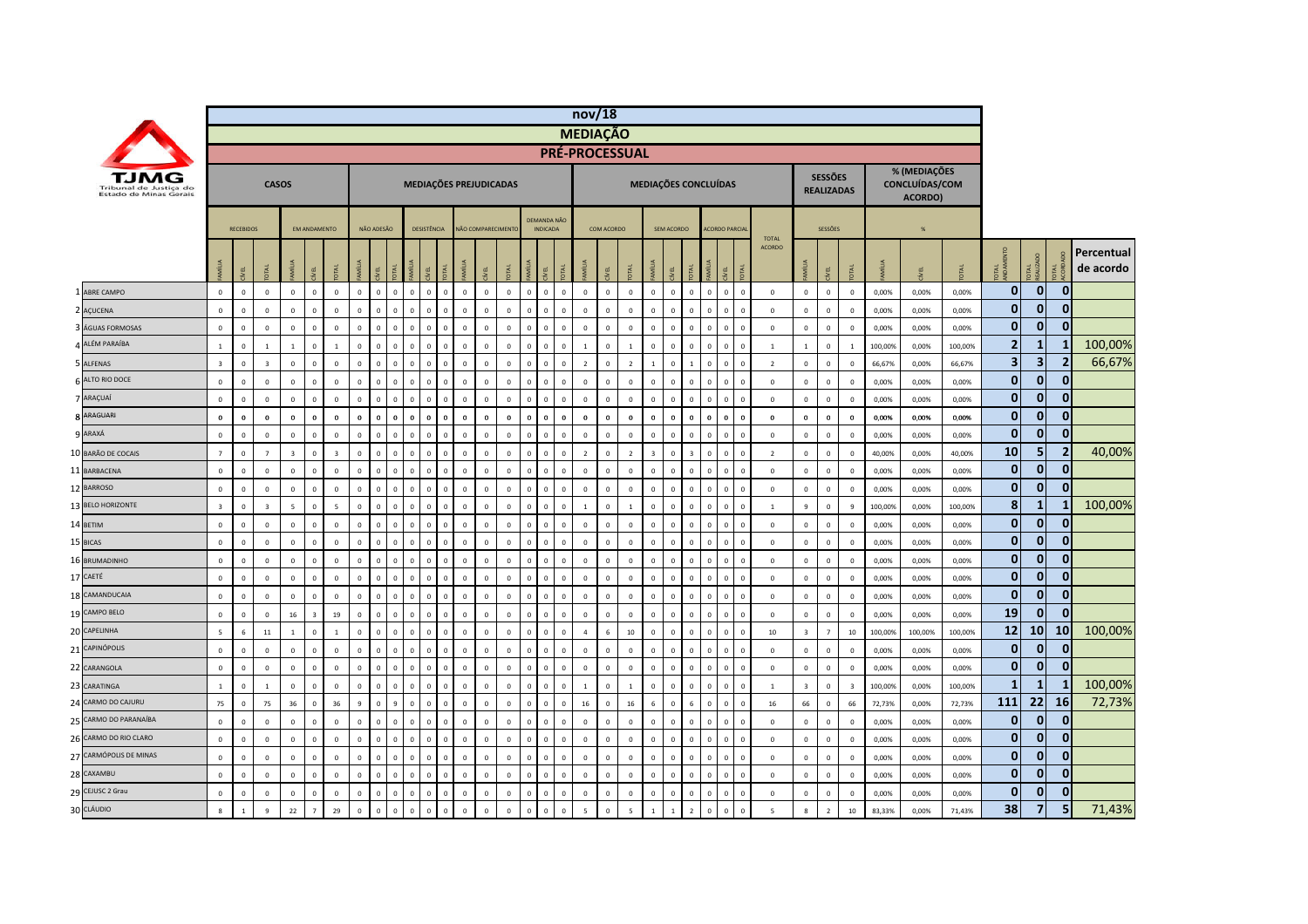|                                                  |                         |                  |                         |                |                     |                |                         |              |                |                        |                                        |              |                   |              |              |                                       |              | nov/18                |              |                |                      |                |                 |                |                      |                |                |                         |                                     |                         |         |                                           |         |                |                         |                |                         |
|--------------------------------------------------|-------------------------|------------------|-------------------------|----------------|---------------------|----------------|-------------------------|--------------|----------------|------------------------|----------------------------------------|--------------|-------------------|--------------|--------------|---------------------------------------|--------------|-----------------------|--------------|----------------|----------------------|----------------|-----------------|----------------|----------------------|----------------|----------------|-------------------------|-------------------------------------|-------------------------|---------|-------------------------------------------|---------|----------------|-------------------------|----------------|-------------------------|
|                                                  |                         |                  |                         |                |                     |                |                         |              |                |                        |                                        |              |                   |              |              |                                       |              | <b>MEDIAÇÃO</b>       |              |                |                      |                |                 |                |                      |                |                |                         |                                     |                         |         |                                           |         |                |                         |                |                         |
|                                                  |                         |                  |                         |                |                     |                |                         |              |                |                        |                                        |              |                   |              |              |                                       |              | <b>PRÉ-PROCESSUAL</b> |              |                |                      |                |                 |                |                      |                |                |                         |                                     |                         |         |                                           |         |                |                         |                |                         |
| Tribunal de Justica do<br>Estado de Minas Gerais |                         |                  | <b>CASOS</b>            |                |                     |                |                         |              |                | MEDIAÇÕES PREJUDICADAS |                                        |              |                   |              |              |                                       |              |                       |              |                | MEDIAÇÕES CONCLUÍDAS |                |                 |                |                      |                |                |                         | <b>SESSÕES</b><br><b>REALIZADAS</b> |                         |         | % (MEDIAÇÕES<br>CONCLUÍDAS/COM<br>ACORDO) |         |                |                         |                |                         |
|                                                  |                         | <b>RECEBIDOS</b> |                         |                | <b>FM ANDAMENTO</b> |                |                         | NÃO ADESÃO   |                | <b>DESISTÊNCIA</b>     |                                        |              | NÃO COMPARECIMENT |              |              | <b>DEMANDA NÃO</b><br><b>INDICADA</b> |              |                       | COM ACORDO   |                |                      | SEM ACORDO     |                 |                | <b>ACORDO PARCIA</b> |                | <b>TOTAL</b>   |                         | <b>SESSÕES</b>                      |                         |         | $\frac{96}{26}$                           |         |                |                         |                |                         |
|                                                  |                         | g                | DTAL                    |                | <b>ALL</b>          |                | MÍLIA                   |              |                |                        |                                        |              |                   |              | <b>İ</b>     | g                                     | <b>DTAL</b>  | AMÍLIA                |              |                |                      |                |                 |                | yEL                  |                | <b>ACORDO</b>  |                         | ξL                                  |                         |         |                                           |         | <b>OTAL</b>    | OTAL<br>EALIZADO        | g              | Percentual<br>de acordo |
| ABRE CAMPO                                       | $\mathbf 0$             | $\mathbb O$      | $\mathbf 0$             | $\mathbb O$    | $\mathbf 0$         | $\mathbf{0}$   | $\mathsf 0$             | $\mathbf 0$  | $\mathbf 0$    | $\Omega$               | $\mathbf 0$<br>$\,$ 0                  | $\mathbf 0$  | $\mathbf 0$       | $\mathbb O$  | $\mathbf 0$  | $\overline{\mathbf{0}}$               | $\mathbf 0$  | $\mathbf 0$           | $\mathbf 0$  | $\mathbb O$    | $\mathbf 0$          | $\mathbf 0$    | $\mathbf{0}$    | $\mathbf 0$    | $\mathbf{0}$         | $\mathbf 0$    | $\mathbb O$    | $\mathbf 0$             | $\mathsf 0$                         | $\circ$                 | 0,00%   | 0,00%                                     | 0,00%   | $\mathbf{0}$   | $\mathbf{0}$            | 0              |                         |
| 2 AÇUCENA                                        | $\mathbf 0$             | $\mathbf 0$      | $\mathbf 0$             | $\mathbf{0}$   | $\mathbb O$         | $\mathbf 0$    | $\mathsf 0$             | $\mathbf 0$  | $\overline{0}$ |                        | $\mathbf 0$<br>$\,$ 0                  | $\mathbf 0$  | $\mathbf 0$       | $\mathbb O$  | $\mathbb O$  | $\overline{0}$                        | $\mathbf 0$  | $\mathbf 0$           | $\Omega$     | $\mathbb O$    | $\mathbb O$          | $\mathbf 0$    | $\mathbf 0$     | $\mathbf 0$    | $\mathbf 0$          | $\overline{0}$ | $\mathbf 0$    | $\mathbf 0$             | $\,0\,$                             | $\mathbf{0}$            | 0,00%   | 0,00%                                     | 0,00%   | $\bf{0}$       | $\bf{0}$                | 0              |                         |
| ÁGUAS FORMOSAS                                   | $\mathbf 0$             | $\overline{0}$   | $\mathbf 0$             | $\mathbb O$    | $\mathbb O$         | $\mathbf 0$    | $\overline{0}$          | $\mathbf 0$  | $\overline{0}$ |                        | $\mathbf 0$<br>$\mathbf 0$             | $\mathbf 0$  | $\mathbf 0$       | $\mathbb O$  | $\mathbf 0$  | $\mathbf 0$                           | $\mathbf 0$  | $\mathbf 0$           | $\mathbf 0$  | $\mathbb O$    | $\mathbf 0$          | $\mathbf 0$    | $\mathbf 0$     | $\mathbf 0$    | $\mathbf 0$          | $\mathbf 0$    | $\mathbf 0$    | $\mathbf 0$             | $\mathbf 0$                         | $\mathbf 0$             | 0,00%   | 0,00%                                     | 0,00%   | $\mathbf 0$    | $\mathbf 0$             | $\mathbf{0}$   |                         |
| ALÉM PARAÍBA                                     | $\mathbf{1}$            | $\mathbf{0}$     | $\overline{1}$          | $\overline{1}$ | $\mathbf{0}$        | $\overline{1}$ | $\overline{\mathbf{0}}$ | $\mathbf{0}$ | $\overline{0}$ | $\Omega$               | $\mathbf{0}$<br>$\,$ 0                 | $\mathbf 0$  | $\mathbf 0$       | $\mathbb O$  | $\mathbf{0}$ | $\Omega$                              | $\mathbf 0$  | $\overline{1}$        | $\mathbf{0}$ | $\overline{1}$ | $\mathbf 0$          | $\mathbf{0}$   | $\mathbf 0$     | $\overline{0}$ | $\mathbf{0}$         | $\mathbf 0$    | $\overline{1}$ | $\overline{1}$          | $\mathsf 0$                         | $\overline{1}$          | 100,00% | 0,00%                                     | 100,00% | $\overline{2}$ | $\mathbf{1}$            | 1              | 100,00%                 |
| 5 ALFENAS                                        | $\overline{\mathbf{3}}$ | $\mathbb O$      | $\overline{\mathbf{3}}$ | $\mathbb O$    | $\mathbb O$         | $\mathbf{0}$   | $\overline{0}$          | $\mathbf 0$  | $\,$ 0         | $\Omega$               | $\mathbf 0$<br>$\,$ 0                  | $\mathbf 0$  | $\mathbf 0$       | $\mathbb O$  | $\mathbf{0}$ | $\overline{\mathbf{0}}$               | $\mathbf 0$  | $\overline{2}$        | $\mathbf 0$  | $\overline{2}$ | $\overline{1}$       | $\mathbf 0$    | $\mathbf{1}$    | $\mathbf 0$    | $\mathbf{0}$         | $\overline{0}$ | $\overline{2}$ | $\mathbf 0$             | $\mathsf 0$                         | $\mathbf 0$             | 66,67%  | 0,00%                                     | 66,67%  | 3              | $\overline{\mathbf{3}}$ | $\overline{2}$ | 66,67%                  |
| ALTO RIO DOCE                                    | $\mathbf 0$             | $\mathbf 0$      | $\mathbf 0$             | $\mathbf 0$    | $\mathbb O$         | $\mathbf 0$    | $\mathsf 0$             | $\mathbf 0$  | $\overline{0}$ | $\Omega$               | $\mathbf 0$<br>$\overline{0}$          | $\mathbf 0$  | $\,0\,$           | $\mathbb O$  | $\mathbb O$  | $\overline{0}$                        | $\mathbf 0$  | $\mathbb O$           | $\Omega$     | $\mathbb O$    | $\mathbb O$          | $\mathbf 0$    | $\circ$         | $\mathbf 0$    | $\mathbf 0$          | $\overline{0}$ | $\mathbb O$    | $\mathbf 0$             | $\,0\,$                             | $\mathbf{0}$            | 0,00%   | 0,00%                                     | 0,00%   | $\mathbf{0}$   | $\mathbf 0$             | 0              |                         |
| 7 ARAÇUAÍ                                        | $\mathbf 0$             | $\mathbf 0$      | $\mathbf 0$             | $\mathbb O$    | $\mathbb O$         | $\mathbf 0$    | $\overline{0}$          | $\mathbf 0$  | $\overline{0}$ | $\Omega$               | $\mathbf 0$<br>$\overline{0}$          | $\mathbf 0$  | $\mathbf 0$       | $\mathbb O$  | $\mathbf 0$  | $\mathbf 0$                           | $\mathbf{0}$ | $\mathbb O$           | $\mathbf 0$  | $\mathbb O$    | $\mathbf 0$          | $\mathbf 0$    | $\mathbf 0$     | $\mathbf 0$    | $\mathbf 0$          | $\overline{0}$ | $\mathbb O$    | $\mathbf 0$             | $\,0\,$                             | $\mathbf 0$             | 0,00%   | 0,00%                                     | 0,00%   | $\overline{0}$ | $\mathbf{0}$            | $\mathbf{0}$   |                         |
| ARAGUARI                                         | $\mathbf 0$             | $\mathbf 0$      | $\mathbf 0$             | $\mathbf 0$    | $\mathbf 0$         | $\bf{0}$       | $\mathbf 0$             | $\mathbf 0$  | $\bf{0}$       | $\Omega$               | $\mathbf 0$<br>$\bf{0}$                | $\mathbf 0$  | $\mathbf 0$       | $\mathbf 0$  | $\mathbf 0$  | $\mathbf{0}$                          | $\mathbf{0}$ | $\mathbf 0$           | $\bf{0}$     | $\bf{0}$       | $\bf{0}$             | $\mathbf 0$    | $\mathbf 0$     | $\mathbf 0$    | $\mathbf 0$          | $\mathbf 0$    | $\mathbf 0$    | $\bf{0}$                | $\mathbf 0$                         | $\boldsymbol{0}$        | 0,00%   | 0,00%                                     | 0,00%   | $\overline{0}$ | $\mathbf 0$             | $\mathbf{0}$   |                         |
| g ARAXÁ                                          | $\mathbf 0$             | $\mathbf{0}$     | $\mathbf 0$             | $\mathbf{0}$   | $\mathbb O$         | $\mathbf{0}$   | $\mathsf 0$             | $\mathbf 0$  | $\Omega$       |                        | $\mathbf 0$<br>$\Omega$                | $\mathbf 0$  | $\mathbf 0$       | $\mathbf{0}$ | $\mathbf 0$  | $\Omega$                              | $\Omega$     | $\mathbf 0$           | $\Omega$     | $\Omega$       | $\overline{0}$       | $\Omega$       | $\Omega$        | $\Omega$       | $\mathbf 0$          | $\Omega$       | $\mathbf 0$    | $\mathbf{0}$            | $\mathsf 0$                         | $\Omega$                | 0,00%   | 0,00%                                     | 0,00%   | $\mathbf{0}$   | $\mathbf{0}$            | $\mathbf{0}$   |                         |
| 10 BARÃO DE COCAIS                               | $\overline{7}$          | $\Omega$         | $\overline{7}$          | $\overline{3}$ | $\mathbf 0$         | $\overline{3}$ | $\Omega$                | $\mathbf 0$  | $\Omega$       |                        | $\mathbf 0$<br>$\overline{0}$          | $\Omega$     | $\mathbf{0}$      | $\mathbb O$  | $\mathbb O$  | $\Omega$                              | $\mathbf 0$  | $\overline{2}$        | $\Omega$     | $\overline{z}$ | $\overline{3}$       | $\mathbf 0$    | $\overline{3}$  | $\Omega$       | $\Omega$             | $\Omega$       | $\overline{2}$ | $\mathbf 0$             | $\mathsf 0$                         | $\mathbf 0$             | 40,00%  | 0,00%                                     | 40,00%  | 10             | 5                       |                | 40,00%                  |
| 11 BARBACENA                                     | $\mathbf 0$             | $\mathbf 0$      | $\mathbf 0$             | $\mathbf 0$    | $\mathbb O$         | $\mathbf 0$    | $\overline{0}$          | $\mathbf 0$  | $\Omega$       |                        | $\mathbf 0$<br>$\overline{0}$          | $\mathbf 0$  | $\mathbf 0$       | $\mathbb O$  | $\mathbb O$  | $\Omega$                              | $\mathbf 0$  | $\mathbf 0$           | $\mathbf 0$  | $\mathbb O$    | $\overline{0}$       | $\mathbf 0$    | $\mathbf 0$     | $\Omega$       | $\mathbf 0$          | $\mathbf 0$    | $\mathbf 0$    | $\mathbf 0$             | $\mathbf 0$                         | $\mathbf 0$             | 0,00%   | 0,00%                                     | 0,00%   | $\mathbf{0}$   | $\mathbf{0}$            | $\mathbf{0}$   |                         |
| 12 BARROSO                                       | $\mathbf 0$             | $\mathbf 0$      | $\mathbf 0$             | $\mathbf 0$    | $\mathbf 0$         | $\Omega$       | $\overline{\mathbf{0}}$ | $\mathbf 0$  | $\,$ 0         | $\Omega$               | $\mathbf 0$<br>$\,$ 0                  | $\mathbf 0$  | $\mathbf 0$       | $\mathbb O$  | $\mathbb O$  | $\Omega$                              | $\mathbf 0$  | $\mathbb O$           | $\Omega$     | $\mathbf 0$    | $\,$ 0               | $\mathbf 0$    | $\mathbf 0$     | $\mathbf 0$    | $\mathbf 0$          | $\mathbf 0$    | $\mathbb O$    | $\mathbf{0}$            | $\,0\,$                             | $\mathbf 0$             | 0,00%   | 0,00%                                     | 0,00%   | $\mathbf{0}$   | $\mathbf{0}$            | $\mathbf{0}$   |                         |
| 13 BELO HORIZONTE                                | $\overline{\mathbf{3}}$ | $\mathbb O$      | $\overline{\mathbf{3}}$ | 5              | $\mathbb O$         | 5              | $\overline{0}$          | $\mathbf 0$  | $\overline{0}$ |                        | $\mathbf 0$<br>$\overline{0}$          | $\mathbf 0$  | $\mathbf 0$       | $\mathbb O$  | $\mathbb O$  | $\overline{0}$                        | $\mathbf{0}$ | $\mathbf{1}$          | $\mathbf 0$  | $\mathbf{1}$   | $\overline{0}$       | $\mathbf 0$    | $\mathbf 0$     | $\mathbf 0$    | $\mathbf 0$          | $\mathbf 0$    | $\overline{1}$ | $\mathbf{q}$            | $\mathsf 0$                         | $\overline{9}$          | 100,00% | 0,00%                                     | 100,00% | 8              | $\mathbf{1}$            |                | 100,00%                 |
| 14 BETIM                                         | $\mathbf 0$             | $\Omega$         | $\mathbf{0}$            | $\mathbf 0$    | $\mathbf 0$         | $\mathbf{0}$   | $\Omega$                | $\mathbf{0}$ | $\Omega$       |                        | $\mathbf{0}$<br>$\Omega$               | $\Omega$     | $\mathbf 0$       | $\mathbf 0$  | $\mathbb O$  | $\Omega$                              | $\mathbf{0}$ | $\mathbb O$           | $\Omega$     | $\mathbf 0$    | $\Omega$             | $\mathbf 0$    | $\Omega$        | $\Omega$       | $\mathbf{0}$         | $\Omega$       | $\Omega$       | $\Omega$                | $\mathsf 0$                         | $\Omega$                | 0,00%   | 0,00%                                     | 0,00%   | $\mathbf{0}$   | $\mathbf{0}$            | $\Omega$       |                         |
| 15 BICAS                                         | $\mathbf 0$             | $\mathbb O$      | $\mathbb O$             | $\mathbb O$    | $\mathbf 0$         | $\mathbf 0$    | $\overline{0}$          | $\mathbf 0$  | $\Omega$       |                        | $\mathbf 0$<br>$\overline{0}$          | $\mathbf 0$  | $\mathbf 0$       | $\mathbb O$  | $\mathbb O$  | $\Omega$                              | $\mathbf{0}$ | $\mathbf 0$           | $\mathbf 0$  | $\mathbb O$    | $\mathbf 0$          | $\mathbf 0$    | $\mathbb O$     | $\Omega$       | $\mathbf 0$          | $\overline{0}$ | $\mathbb O$    | $\mathbf 0$             | $\mathsf 0$                         | $\mathbf 0$             | 0,00%   | 0,00%                                     | 0,00%   | $\mathbf{0}$   | $\mathbf{0}$            | $\Omega$       |                         |
| 16 BRUMADINHO                                    | $\mathsf 0$             | $\mathbb O$      | $\mathbb O$             | $\mathbf{0}$   | $\mathbf{0}$        | $\Omega$       | $\overline{0}$          | $\mathbf 0$  | $\overline{0}$ | $\Omega$               | $\mathbf 0$<br>$\overline{\mathbf{0}}$ | $\mathbf 0$  | $\mathbf 0$       | $\mathbb O$  | $\mathbf 0$  | $\Omega$                              | $\mathbf 0$  | $\mathbf 0$           | $\mathbf{0}$ | $\mathbf 0$    | $\overline{0}$       | $\mathbf{0}$   | $\circ$         | $\mathbf 0$    | $\mathbf{0}$         | $\mathbf 0$    | $\mathbf 0$    | $\mathbf{0}$            | $\mathbf 0$                         | $\Omega$                | 0,00%   | 0,00%                                     | 0,00%   | $\overline{0}$ | $\bf{0}$                | $\mathbf{0}$   |                         |
| 17 CAETÉ                                         | $\mathbf{0}$            | $\mathbf 0$      | $\mathbf 0$             | $\mathbf 0$    | $\mathbb O$         | $\mathbf 0$    | $\mathsf 0$             | $\mathbf 0$  | $\overline{0}$ |                        | $\mathbf 0$<br>$\,$ 0                  | $\mathbf 0$  | $\mathbf 0$       | $\mathbb O$  | $\mathbb O$  | $\overline{0}$                        | $\mathbf 0$  | $\mathbf 0$           | $\mathbf 0$  | $\mathbb O$    | $\mathbb O$          | $\mathbf 0$    | $\mathbf 0$     | $\mathbf 0$    | $\mathbf 0$          | $\overline{0}$ | $\mathbf 0$    | $\mathbf 0$             | $\mathsf 0$                         | $\mathbf 0$             | 0,00%   | 0,00%                                     | 0,00%   | $\mathbf{0}$   | $\mathbf{0}$            | $\mathbf{0}$   |                         |
| 18 CAMANDUCAIA                                   | $\mathsf 0$             | $\mathbf 0$      | $\mathbf 0$             | $\mathbf{0}$   | $\mathbb O$         | $\mathbf 0$    | $\overline{0}$          | $\mathbf 0$  | $\overline{0}$ |                        | $\mathbf 0$<br>$\overline{0}$          | $\mathbf 0$  | $\mathbf 0$       | $\mathbb O$  | $\mathbb O$  | $\mathbf 0$                           | $\mathbf{0}$ | $\mathbf{0}$          | $\mathbf 0$  | $\mathbb O$    | $\overline{0}$       | $\mathbf 0$    | $\mathbf 0$     | $\Omega$       | $\mathbf 0$          | $\mathbf 0$    | $\mathbf 0$    | $\mathbf 0$             | $\mathsf 0$                         | $\mathbf{0}$            | 0,00%   | 0,00%                                     | 0,00%   | $\mathbf{0}$   | $\mathbf 0$             | 0              |                         |
| 19 CAMPO BELO                                    | $\mathbf 0$             | $\Omega$         | $\mathbb O$             | 16             | $\overline{3}$      | 19             | $\overline{0}$          | $\mathbf 0$  | $\Omega$       |                        | $\mathbf 0$<br>$\Omega$                | $\mathbf 0$  | $\mathbf 0$       | $\mathbb O$  | $\mathbb O$  | $\sqrt{2}$                            | $\mathbf{0}$ | $\overline{0}$        | $\mathbf{0}$ | $\mathbb O$    | $\mathbf 0$          | $\mathbf{0}$   | $\mathbf 0$     | $\Omega$       | $\mathbf{0}$         | $\Omega$       | $\mathbf 0$    | $\mathbf 0$             | $\mathsf 0$                         | $\mathbf 0$             | 0,00%   | 0,00%                                     | 0,00%   | 19             | $\mathbf{0}$            | $\Omega$       |                         |
| 20 CAPELINHA                                     | 5 <sup>1</sup>          | 6                | $11\,$                  | $\overline{1}$ | $\mathbf{0}$        | $\overline{1}$ | $\Omega$                | $\mathbf{0}$ | $\overline{0}$ | $\Omega$               | $\mathbf{0}$<br>$\overline{0}$         | $\mathbf{0}$ | $\mathbf 0$       | $\mathbf 0$  | $\mathbf{0}$ | $\Omega$                              | $\mathbf{0}$ | $\overline{a}$        | 6            | 10             | $\overline{0}$       | $\circ$        | $\circ$         | $\overline{0}$ | $\mathbf{0}$         | $\Omega$       | 10             | $\overline{3}$          | $\overline{7}$                      | 10                      | 100,00% | 100,00%                                   | 100,00% | 12             | 10                      | <b>10</b>      | 100,00%                 |
| 21 CAPINÓPOLIS                                   | $\mathsf 0$             | $\mathbf 0$      | $\mathbf 0$             | $\mathbf{0}$   | $\mathbb O$         | $\mathbf 0$    | $\mathsf 0$             | $\mathbf 0$  | $\overline{0}$ |                        | $\mathbf 0$<br>$\,$ 0                  | $\mathbf 0$  | $\,0\,$           | $\mathbb O$  | $\mathbf{0}$ | $\overline{0}$                        | $\mathbf 0$  | $\mathbf 0$           | $\mathbf 0$  | $\mathbf 0$    | $\mathbb O$          | $\mathbf 0$    | $\circ$         | $\mathbf 0$    | $\mathbf 0$          | $\mathbf 0$    | $\mathbf 0$    | $\mathbf 0$             | $\mathsf 0$                         | $\mathbf 0$             | 0,00%   | 0,00%                                     | 0,00%   | $\overline{0}$ | $\mathbf 0$             | 0              |                         |
| 22 CARANGOLA                                     | $\mathbf 0$             | $\mathbf 0$      | $\mathbf 0$             | $\mathbf 0$    | $\mathbb O$         | $\mathbf 0$    | $\mathsf 0$             | $\mathbf 0$  | $\overline{0}$ |                        | $\mathbf 0$<br>$\overline{0}$          | $\mathbf 0$  | $\,0\,$           | $\mathbf 0$  | $\mathbb O$  | $\overline{0}$                        | $\mathbf 0$  | $\mathbf 0$           | $\mathbf 0$  | $\mathbf 0$    | $\mathbb O$          | $\mathbf 0$    | $\mathbf 0$     | $\mathbf 0$    | $\mathbf 0$          | $\mathbf 0$    | $\mathbf 0$    | $\mathbf 0$             | $\mathbf 0$                         | $\mathbf 0$             | 0,00%   | 0,00%                                     | 0,00%   | $\mathbf{0}$   | $\mathbf{0}$            | $\mathbf{0}$   |                         |
| 23 CARATINGA                                     | $\mathbf 1$             | $\mathbb O$      | $\mathbf{1}$            | $\mathbf 0$    | $\mathbb O$         | $\mathbf 0$    | $\,0\,$                 | $\mathbf 0$  | $\overline{0}$ | $\Omega$               | $\mathsf 0$<br>$\overline{0}$          | $\mathbf 0$  | $\mathbf 0$       | $\mathbf 0$  | $\mathbf 0$  | $\mathbf 0$                           | $\mathbf 0$  | $\mathbf{1}$          | $\mathbf 0$  | $\overline{1}$ | $\mathbf 0$          | $\mathbf 0$    | $\mathbf 0$     | $\overline{0}$ | $\mathbf 0$          | $\pmb{0}$      | $\mathbf{1}$   | $\overline{\mathbf{3}}$ | $\mathbf 0$                         | $\overline{\mathbf{3}}$ | 100,00% | 0,00%                                     | 100,00% | $\mathbf{1}$   | $\mathbf{1}$            |                | 100,00%                 |
| CARMO DO CAJURU<br>24                            | 75                      | $\mathbf{0}$     | 75                      | 36             | $\mathbf{0}$        | 36             | $\mathbf{q}$            | $\mathbf{0}$ | $\mathbf{q}$   | $\Omega$               | $\mathbf{0}$<br>$\overline{0}$         | $\mathbf{0}$ | $\mathbf{0}$      | $\mathbf{0}$ | $\mathbf{0}$ | $\Omega$                              | $\mathbf{0}$ | $16\,$                | $\mathbf{0}$ | 16             | $6\overline{6}$      | $\mathbf{0}$   | $6\overline{6}$ | $\Omega$       | $\mathbf{0}$         | $\Omega$       | 16             | 66                      | $\mathbf{0}$                        | 66                      | 72,73%  | 0,00%                                     | 72,73%  | 111            | 22                      | <b>16</b>      | 72,73%                  |
| CARMO DO PARANAÍBA<br><b>25</b>                  | $\mathbf{0}$            | $\mathbf 0$      | $\mathbf 0$             | $\mathbf{0}$   | $\mathbb O$         | $\mathbf 0$    | $\mathsf 0$             | $\mathbf 0$  | $\,$ 0         | $\Omega$               | $\mathbf 0$<br>$\,$ 0                  | $\mathbf 0$  | $\mathbf 0$       | $\mathbb O$  | $\mathbf 0$  | $\overline{\mathbf{0}}$               | $\mathbf 0$  | $\mathbb O$           | $\Omega$     | $\mathbb O$    | $\mathbb O$          | $\mathbf 0$    | $\mathbf 0$     | $\mathbf 0$    | $\mathbf 0$          | $\mathbf 0$    | $\mathbb O$    | $\mathbf{0}$            | $\,0\,$                             | $\mathbf 0$             | 0,00%   | 0,00%                                     | 0,00%   | $\bf{0}$       | $\bf{0}$                | 0              |                         |
| 26 CARMO DO RIO CLARO                            | $\mathsf 0$             | $\mathbf 0$      | $\mathbf 0$             | $\mathbf 0$    | $\mathbf 0$         | $\mathbf 0$    | $\overline{0}$          | $\mathbf 0$  | $\overline{0}$ |                        | $\mathbf 0$<br>$\overline{0}$          | $\mathbf 0$  | $\mathbf 0$       | $\mathbb O$  | $\mathbb O$  | $\mathbf 0$                           | $\mathbf 0$  | $\mathbf 0$           | $\mathbf 0$  | $\mathbb O$    | $\overline{0}$       | $\mathbf 0$    | $\mathbf 0$     | $\Omega$       | $\mathbf 0$          | $\mathbf 0$    | $\mathbf 0$    | $\mathbf 0$             | $\mathsf 0$                         | $\mathbf 0$             | 0,00%   | 0,00%                                     | 0,00%   | $\mathbf 0$    | $\mathbf 0$             | 0              |                         |
| 27 CARMÓPOLIS DE MINAS                           | $\mathbf 0$             | $\mathbf 0$      | $\mathbb O$             | $\mathbf 0$    | $\mathbf 0$         | $\mathbf 0$    | $\,$ 0                  | $\mathbf 0$  | $\Omega$       |                        | $\mathsf 0$<br>$\overline{0}$          | $\mathbf 0$  | $\mathbf 0$       | $\mathbb O$  | $\mathbb O$  | $\Omega$                              | $\mathbf 0$  | $\mathbb O$           | $^{\circ}$   | $\mathbb O$    | $\,$ 0               | $\mathbf 0$    | $\mathbf 0$     | $\Omega$       | $\circ$              | $\mathbf 0$    | $\mathsf 0$    | $\mathbf 0$             | $\,0\,$                             | $^{\circ}$              | 0,00%   | 0,00%                                     | 0,00%   | $\mathbf{0}$   | $\mathbf{0}$            | $\mathbf{0}$   |                         |
| 28 CAXAMBU                                       | $\mathbf 0$             | $\mathbb O$      | $\mathbf 0$             | $\mathbb O$    | $\mathbb O$         | $\mathbf 0$    | $\,0\,$                 | $\mathbf 0$  | $\mathbf 0$    | $\Omega$               | $\mathbf 0$<br>$\,$ 0                  | $\mathbf 0$  | $\mathbf 0$       | $\mathbb O$  | $\mathbf 0$  | $\overline{0}$                        | $\mathbf{0}$ | $\mathbf 0$           | $\mathbf 0$  | $\mathbb O$    | $\mathbf 0$          | $\mathbb O$    | $\mathbf 0$     | $\mathbf 0$    | $\mathbf{0}$         | $\mathbf 0$    | $\mathbb O$    | $\mathbf 0$             | $\mathsf 0$                         | $\mathbb O$             | 0,00%   | 0,00%                                     | 0,00%   | $\overline{0}$ | $\mathbf 0$             | $\mathbf{0}$   |                         |
| 29 CEJUSC 2 Grau                                 | $\mathbf 0$             | $\mathbf{0}$     | $\mathbf{0}$            | $\Omega$       | $\Omega$            | $\mathbf 0$    | $\mathsf 0$             | $\mathbf 0$  | $\mathbf 0$    | $\Omega$               | $\mathbf 0$<br>$\,$ 0                  | $\mathbf 0$  | $\,0\,$           | $\mathbb O$  | $\mathbb O$  | $\overline{0}$                        | $\mathbf{0}$ | $\mathbb O$           | $\Omega$     | $\mathbb O$    | $\mathbf 0$          | $\mathbf 0$    | $\mathbf 0$     | $\mathbf 0$    | $\mathbf 0$          | $\mathbf 0$    | $\mathbb O$    | $\mathbf 0$             | $\mathsf 0$                         | $\mathbf 0$             | 0,00%   | 0,00%                                     | 0,00%   | $\mathbf{0}$   | $\mathbf{0}$            | $\bf{0}$       |                         |
| 30 CLÁUDIO                                       | 8                       | $\overline{1}$   | $\overline{9}$          | $22\,$         | $\overline{7}$      | 29             | $\overline{0}$          | $\mathbf 0$  | $\overline{0}$ | $\Omega$               | $\mathbf 0$<br>$\overline{0}$          | $\mathbf 0$  | $\mathbf 0$       | $\mathbb O$  | $\mathbf 0$  | $\Omega$                              | $\mathbf{0}$ | $\overline{5}$        | $\mathbf 0$  | 5              | $\overline{1}$       | $\overline{1}$ | $\overline{2}$  | $\mathbf 0$    | $\mathbf 0$          | $\mathbf 0$    | $\overline{5}$ | $\mathbf{R}$            | $\overline{2}$                      | 10                      | 83,33%  | 0,00%                                     | 71,43%  | 38             | $\overline{7}$          | 5              | 71,43%                  |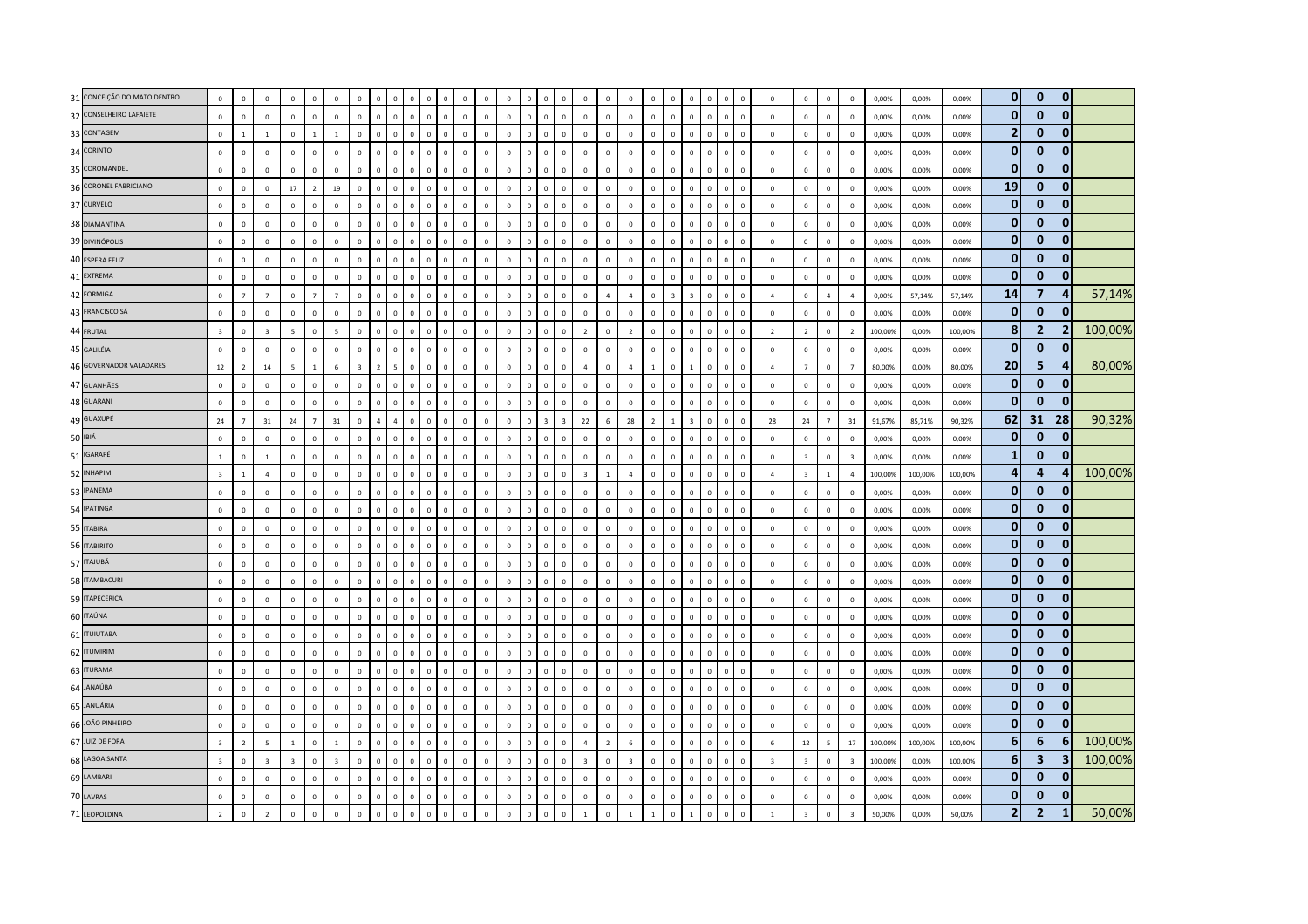| 31 CONCEIÇÃO DO MATO DENTRO | $\mathbf 0$             | $\mathbf 0$    | $\mathbf 0$             | $\mathbf 0$    | $\mathbf 0$    | $\mathbf{0}$             | $\mathsf 0$    | $\sqrt{2}$              |              | $\Omega$     |                |              | $\Omega$       | $\Omega$     |              | $\sqrt{ }$     |                                     | $\Omega$                | $\Omega$                | $\Omega$       | $\mathbf 0$             | $\mathbf 0$    | $\Omega$       | $\Omega$                | $\Omega$     | $\Omega$<br>$\Omega$                   | $\mathbb O$             | $\mathbf 0$             | $\mathbf 0$              | $\mathbb O$             | 0,00%   | 0,00%   | 0,00%   | $\mathbf{0}$   | $\mathbf{0}$            | $\mathbf{0}$   |         |
|-----------------------------|-------------------------|----------------|-------------------------|----------------|----------------|--------------------------|----------------|-------------------------|--------------|--------------|----------------|--------------|----------------|--------------|--------------|----------------|-------------------------------------|-------------------------|-------------------------|----------------|-------------------------|----------------|----------------|-------------------------|--------------|----------------------------------------|-------------------------|-------------------------|--------------------------|-------------------------|---------|---------|---------|----------------|-------------------------|----------------|---------|
| 32 CONSELHEIRO LAFAIETE     | $\mathsf 0$             | $\circ$        | $\mathbf 0$             | $\mathbf 0$    | $\mathbf 0$    | $\mathbf 0$              | $\mathbf 0$    | $\mathbf 0$             | $\Omega$     | $\mathbf 0$  | $\,0\,$        | $\Omega$     | $\mathbf 0$    | $\Omega$     | $\mathbf 0$  | $\mathbb O$    | $\Omega$                            | $\overline{0}$          | $\mathbf 0$             | $\Omega$       | $\mathbb O$             | $\mathbf 0$    | $\mathbf 0$    | $\mathbf 0$             | $\mathbb O$  | $\,$ 0<br>$\mathbb O$                  | $\mathbb O$             | $\mathbf 0$             | $\mathsf 0$              | $\mathbb O$             | 0,00%   | 0,00%   | 0,00%   | $\mathbf{0}$   | $\mathbf{0}$            | $\mathbf{0}$   |         |
| 33 CONTAGEM                 | $\,0\,$                 | $\mathbf{1}$   | $\mathbf{1}$            | $\Omega$       | $\overline{1}$ | $\overline{1}$           | $\Omega$       | $\Omega$                | $\Omega$     | $\Omega$     | $\mathbf{C}$   | $\Omega$     | $\Omega$       | $\Omega$     | $\Omega$     | $\Omega$       | $\Omega$                            | $\Omega$                | $\Omega$                | $\Omega$       | $\mathbb O$             | $\mathbf 0$    | $\mathbf 0$    | $\Omega$                | $\mathbf{0}$ | $\Omega$<br>$\Omega$                   | $\Omega$                | $\mathbf 0$             | $\mathbf 0$              | $\mathbb O$             | 0,00%   | 0,00%   | 0,00%   | $\overline{2}$ | $\overline{0}$          | $\Omega$       |         |
| 34 CORINTO                  | $\mathbf{0}$            | $\mathbf 0$    | $\mathbf 0$             | $\mathbf 0$    | $\mathbf{0}$   | $\overline{0}$           | $\mathbf{0}$   | $\overline{0}$          | $\Omega$     | $\mathbf{0}$ | $\Omega$       | $\Omega$     | $\Omega$       | $\Omega$     | $\Omega$     | $\Omega$       | $\overline{\mathbf{0}}$<br>$\Omega$ |                         | $\Omega$                | $\Omega$       | $\mathbf 0$             | $\Omega$       | $\Omega$       | $\mathbf 0$             | $\Omega$     | $\mathbf 0$<br>$\Omega$                | $\Omega$                | $\mathbf 0$             | $\mathbf 0$              | $\overline{0}$          | 0,00%   | 0,00%   | 0,00%   | $\mathbf{0}$   | $\overline{0}$          | $\mathbf{0}$   |         |
| 35 COROMANDEL               | $\mathsf 0$             | $\mathbf 0$    | $\overline{0}$          | $\mathbf 0$    | $\,$ 0         | $\mathbf 0$              | $\mathsf 0$    | $\overline{0}$          | $\Omega$     | $\mathbf 0$  | $\Omega$       | $\Omega$     | $\mathbf 0$    | $\mathbf 0$  | $\mathbf 0$  | $\overline{0}$ | $\Omega$                            | $\overline{0}$          | $\mathbf{0}$            | $\Omega$       | $\mathbf 0$             | $\mathbf 0$    | $\Omega$       | $\mathbf 0$             | $\mathbf{0}$ | $\mathbb O$<br>$\overline{0}$          | $\mathbf{0}$            | $\mathbf 0$             | $\overline{0}$           | $\mathbb O$             | 0,00%   | 0,00%   | 0,00%   | $\mathbf{0}$   | $\bf{0}$                | $\mathbf{0}$   |         |
| 36 CORONEL FABRICIANO       | $\,0\,$                 | $\mathbb O$    | $\,0\,$                 | 17             | $\overline{2}$ | 19                       | $\mathsf 0$    | $\Omega$                | $\sqrt{2}$   | $\mathsf 0$  | $\Omega$       | $\sqrt{2}$   | $\Omega$       | $\Omega$     | $\Omega$     | $\Omega$       | $\Omega$                            | $\Omega$                | $\Omega$                | $\Omega$       | $\mathbf 0$             | $\mathbf 0$    | $\Omega$       | $\mathbf 0$             | $\mathbf 0$  | $\mathbb O$<br>$\Omega$                | $\mathbb O$             | $\,0\,$                 | $\,0\,$                  | $\overline{0}$          | 0,00%   | 0,00%   | 0,00%   | 19             | $\mathbf{0}$            | $\Omega$       |         |
| 37 CURVELO                  | $\mathsf 0$             | $\mathbb O$    | $\overline{0}$          | $\mathbf 0$    | $\circ$        | $\mathbf 0$              | $\mathbf{0}$   | $\,$ 0                  | $\mathbf{0}$ | $\mathsf 0$  | $\Omega$       | $\Omega$     | $\mathbf 0$    | $\Omega$     | $\mathbf{0}$ | $\mathbf{0}$   | $\Omega$                            | $\overline{0}$          | $\mathbf 0$             | $\mathbf 0$    | $\mathbb O$             | $\mathbf 0$    | $\mathbf 0$    | $\mathbf 0$             | $\mathbf{0}$ | $\mathbb O$<br>$\overline{0}$          | $\mathbf 0$             | $\mathbf 0$             | $\mathbf 0$              | $\mathbb O$             | 0,00%   | 0,00%   | 0,00%   | $\mathbf{0}$   | $\mathbf{0}$            | $\mathbf{0}$   |         |
| 38 DIAMANTINA               | $\mathsf 0$             | $\Omega$       | $\Omega$                | $\Omega$       | $\Omega$       | $\Omega$                 | $\Omega$       | $\Omega$                | $\Omega$     | $\Omega$     | $\Omega$       | $\Omega$     | $\Omega$       | $\Omega$     | $\Omega$     | $\Omega$       | $\Omega$                            | $\Omega$                | $\Omega$                | $\Omega$       | $\mathbb O$             | $\Omega$       | $\Omega$       | $\Omega$                | $\Omega$     | $\Omega$<br>$\Omega$                   | $\Omega$                | $\mathbf 0$             | $\mathbf{0}$             | $\mathbb O$             | 0,00%   | 0.00%   | 0.00%   | $\mathbf{0}$   | $\mathbf{0}$            | $\bf{0}$       |         |
| 39 DIVINÓPOLIS              | $\,0\,$                 | $\,0\,$        | $\,0\,$                 | $\mathbf 0$    | $\,0\,$        | $\mathbf 0$              | $\mathbf 0$    | $\overline{0}$          | $\Omega$     | $\mathsf 0$  | $\Omega$       | $\Omega$     | $\mathbf 0$    | $\mathbf 0$  | $\mathbf 0$  | $\overline{0}$ | $\mathbf 0$                         | $\overline{0}$          | $\mathbf 0$             | $\mathbf 0$    | $\mathbb O$             | $\mathbf 0$    | $\mathbb O$    | $\mathbf 0$             | $\mathbf 0$  | $\mathbb O$<br>$\overline{0}$          | $\mathbb O$             | $\mathbf 0$             | $\,$ 0 $\,$              | $\mathbf 0$             | 0,00%   | 0,00%   | 0,00%   | $\mathbf 0$    | $\overline{0}$          | $\mathbf{0}$   |         |
| 40 ESPERA FELIZ             | $\mathsf 0$             | $\mathbf 0$    | $\mathbf 0$             | $\mathbf 0$    | $\mathbf{0}$   | $\mathbf 0$              | $\mathbf{0}$   | $\mathbf 0$             | $\Omega$     | $\mathsf 0$  | $\Omega$       | $\Omega$     | $\mathbf 0$    | $\mathbf 0$  | $\mathbf{0}$ | $\mathbf 0$    | $\,$ 0<br>$\Omega$                  |                         | $\mathbf 0$             | $\Omega$       | $\mathbb O$             | $\Omega$       | $\Omega$       | $\mathbf 0$             | $\mathbf{0}$ | $\overline{0}$<br>$\mathbf 0$          | $\mathbf 0$             | $\mathbf 0$             | $\circ$                  | $\mathbb O$             | 0,00%   | 0,00%   | 0,00%   | $\mathbf{0}$   | $\mathbf{0}$            | $\Omega$       |         |
| 41 EXTREMA                  | $\mathsf 0$             | $\mathbf 0$    | $\mathbf 0$             | $\mathbf 0$    | $\mathbf 0$    | $\mathbf 0$              | $\mathbf{0}$   | $\Omega$                | $\Omega$     | $\mathbf{0}$ | $\mathbf{c}$   | $\Omega$     | $\mathbf 0$    | $\mathbf 0$  | $\mathbf 0$  | $\mathfrak{g}$ | $\Omega$                            | $\mathbf 0$             | $\mathbf{0}$            | $\mathbf 0$    | $\mathbb O$             | $\mathbf 0$    | $\Omega$       | $\mathbf 0$             | $\mathbf{0}$ | $\mathbf 0$<br>$\overline{0}$          | $\mathbb O$             | $\mathbf 0$             | $\mathbf 0$              | $\mathbb O$             | 0,00%   | 0,00%   | 0,00%   | $\mathbf{0}$   | $\mathbf 0$             | $\mathbf{0}$   |         |
| 42 FORMIGA                  | $\mathsf 0$             | $\overline{7}$ | $\overline{7}$          | $\Omega$       | $\overline{7}$ | $\overline{7}$           | $\Omega$       | $\Omega$                | $\Omega$     | $\Omega$     | $\Omega$       | $\Omega$     | $\Omega$       | $\Omega$     | $\Omega$     | $\Omega$       |                                     | $\Omega$                | $\Omega$                | $\Delta$       | $\overline{4}$          | $\Omega$       |                | $\overline{3}$          | $\Omega$     | $\mathbb O$<br>$\Omega$                | $\overline{a}$          | $\mathbf 0$             | $\overline{4}$           | $\overline{4}$          | 0,00%   | 57,14%  | 57,14%  | 14             | $\overline{7}$          | 4              | 57,14%  |
| 43 FRANCISCO SÁ             | $\mathsf 0$             | $\mathbf{0}$   | $\mathbf 0$             | $\mathbf{0}$   | $\mathbf{0}$   | $\Omega$                 | $\mathbf 0$    | $\mathbf 0$             | $\Omega$     | $\mathsf 0$  | $\Omega$       | $\Omega$     | $\Omega$       | $\Omega$     | $\mathbf 0$  | $\Omega$       | $\Omega$                            | $\Omega$                | $\Omega$                | $\Omega$       | $\mathbb O$             | $\mathbf 0$    | $\Omega$       | $\mathbf 0$             | $\mathbf{0}$ | $\mathbf 0$<br>$\overline{0}$          | $\Omega$                | $\mathbf 0$             | $\mathbf{0}$             | $\mathbf 0$             | 0,00%   | 0,00%   | 0.00%   | $\mathbf{0}$   | $\mathbf{0}$            | $\bf{0}$       |         |
| 44 FRUTAL                   | $\overline{\mathbf{3}}$ | $\mathbb O$    | $\overline{\mathbf{3}}$ | $\overline{5}$ | $\mathbf 0$    | $\overline{\phantom{a}}$ | $\mathsf 0$    | $\overline{0}$          | $\Omega$     | $\mathbf{0}$ | $\Omega$       | $\mathbf{0}$ | $\mathbf 0$    | $\mathbf 0$  | $\mathbf 0$  | $\overline{0}$ | $\Omega$                            | $\overline{0}$          | $\overline{z}$          | $\mathbf 0$    | $\overline{2}$          | $\mathbf 0$    | $\mathbb O$    | $\mathbf 0$             | $\mathbb O$  | $\mathbb O$<br>$\overline{0}$          | $\overline{2}$          | $\overline{2}$          | $\mathbf 0$              | $\overline{2}$          | 100,00% | 0,00%   | 100,00% | 8              | 2                       | $\overline{2}$ | 100,00% |
| 45 GALILÉIA                 | $\mathsf 0$             | $\mathbb O$    | $\mathbf 0$             | $\mathbf 0$    | $\mathbf 0$    | $\mathbf 0$              | $\mathbf 0$    | $\mathbf 0$             | $\Omega$     | $\mathbf 0$  | $\Omega$       | $\mathbf 0$  | $\mathbf 0$    | $\mathbf 0$  | $\mathbf 0$  | $\mathbf 0$    | $\,$ 0<br>$\mathbf 0$               |                         | $\mathbb O$             | $\mathbf 0$    | $\mathbf 0$             | $\mathbf 0$    | $\Omega$       | $\mathbf 0$             | $\mathbf{0}$ | $\mathbf 0$<br>$\overline{0}$          | $\mathbb O$             | $\mathbf 0$             | $\overline{0}$           | $\mathbf 0$             | 0,00%   | 0,00%   | 0,00%   | $\mathbf{0}$   | $\overline{0}$          | $\mathbf{0}$   |         |
| 46 GOVERNADOR VALADARES     | 12                      | $\overline{2}$ | 14                      | $\overline{5}$ | $\overline{1}$ | 6                        | $\overline{3}$ | $\overline{z}$          |              | $\Omega$     | $\Omega$       | $\Omega$     | $\Omega$       | $\Omega$     | $\mathbf 0$  | $\Omega$       | $\Omega$                            | $\Omega$                | $\overline{A}$          | $\Omega$       | $\overline{4}$          | $\overline{1}$ | $\Omega$       | $\overline{1}$          | $\mathbf{0}$ | $\mathbb O$<br>$\Omega$                | $\mathbf{A}$            | $\overline{7}$          | $\mathbf{0}$             | $\overline{7}$          | 80.00%  | 0.00%   | 80.00%  | 20             | 5                       |                | 80,00%  |
| 47 GUANHÃES                 | $\mathsf 0$             | $\mathbf 0$    | $\mathbf 0$             | $\mathbf 0$    | $\mathbf 0$    | $\mathbf 0$              | $\mathsf 0$    | $\overline{0}$          | $\Omega$     | $\mathsf 0$  | $\Omega$       | $\Omega$     | $\Omega$       | $\Omega$     | $\mathbf 0$  | $\Omega$       | $\overline{\mathbf{0}}$<br>$\Omega$ |                         | $\Omega$                | $\Omega$       | $\mathbf 0$             | $\mathbf 0$    | $\mathbf{0}$   | $\mathbf 0$             | $\mathbf{0}$ | $\mathbb O$<br>$\overline{0}$          | $\mathbf 0$             | $\,0\,$                 | $\mathbf 0$              | $\overline{0}$          | 0,00%   | 0,00%   | 0,00%   | $\mathbf{0}$   | $\mathbf{0}$            | $\mathbf{0}$   |         |
| 48 GUARANI                  | $\mathsf 0$             | $\mathbf 0$    | $\overline{0}$          | $\mathbf 0$    | $\mathbf{0}$   | $\mathbb O$              | $\mathbf 0$    | $\mathbf 0$             | $\mathbf 0$  | $\mathbf 0$  | $\,0\,$        | $\mathbf 0$  | $\mathbf 0$    | $\mathbf 0$  | $\mathbf 0$  | $\mathbf 0$    | $\,$ 0<br>$\Omega$                  |                         | $\mathbf{0}$            | $\mathbf 0$    | $\mathbb O$             | $\mathbf 0$    | $\mathbb O$    | $\mathbf 0$             | $\mathbf{0}$ | $\mathbb O$<br>$\overline{0}$          | $\mathbb O$             | $\mathbf 0$             | $\overline{0}$           | $\mathbb O$             | 0,00%   | 0,00%   | 0,00%   | $\mathbf{0}$   | $\mathbf{0}$            | $\bf{0}$       |         |
| 49 GUAXUPÉ                  | 24                      | $\overline{7}$ | 31                      | 24             | $\overline{7}$ | 31                       | $\mathbf 0$    | $\overline{a}$          |              | $\mathbf{0}$ | $\Omega$       | $\mathbf 0$  | $\mathbf 0$    | $\mathbf 0$  | $\mathbf 0$  | $\mathbf 0$    |                                     | $\overline{\mathbf{a}}$ | 22                      | 6              | 28                      | $\overline{2}$ | $\overline{1}$ | $\overline{\mathbf{a}}$ | $\mathbf 0$  | $\mathbb O$<br>$\overline{0}$          | 28                      | 24                      | $7^{\circ}$              | 31                      | 91,67%  | 85,71%  | 90,32%  | 62             | 31                      | 28             | 90,32%  |
| 50 IBIÁ                     | $\mathbf 0$             | $\circ$        | $\mathbf 0$             | $\Omega$       | $\Omega$       | $\Omega$                 | $\mathsf 0$    | $\Omega$                | $\Omega$     | $\Omega$     | $\Omega$       | $\Omega$     | $\Omega$       | $\Omega$     | $\Omega$     | $\Omega$       |                                     | $\Omega$                | $\Omega$                | $\Omega$       | $\mathbb O$             | $\mathbf 0$    | $\Omega$       | $\Omega$                | $\Omega$     | $\mathbf 0$<br>$\Omega$                | $\mathbf 0$             | $\mathbf 0$             | $\mathbf 0$              | $\mathbb O$             | 0,00%   | 0,00%   | 0,00%   | $\mathbf{0}$   | $\bf{0}$                | $\mathbf{0}$   |         |
| 51 IGARAPÉ                  | $\,$ 1 $\,$             | $\mathbf 0$    | $\mathbf{1}$            | $\mathbf 0$    | $\mathbf 0$    | $\mathbb O$              | $\mathsf 0$    | $\mathbf 0$             | $\Omega$     | $\mathbf 0$  | $\Omega$       | $\Omega$     | $\mathbf 0$    | $\Omega$     | $\mathbf 0$  | $\mathbf 0$    | $\Omega$                            | $\overline{0}$          | $\mathbf{0}$            | $\Omega$       | $\mathbb O$             | $\mathbf 0$    | $\Omega$       | $\mathbf 0$             | $\mathbf{0}$ | $\mathbf 0$<br>$\mathbb O$             | $\mathbb O$             | $\overline{\mathbf{3}}$ | $\mathsf 0$              | $\overline{\mathbf{3}}$ | 0,00%   | 0,00%   | 0.00%   | $\mathbf{1}$   | $\mathbf{0}$            | $\bf{0}$       |         |
| 52 INHAPIM                  | $\overline{\mathbf{3}}$ | $\mathbf{1}$   | $\overline{4}$          | $\mathbf 0$    | $\mathbf 0$    | $\mathbf 0$              | $\mathbf 0$    | $\overline{0}$          |              | $\mathbf 0$  |                |              | $\mathbf 0$    | $\mathbf 0$  | $\mathbf 0$  | $\mathbf 0$    |                                     | $\overline{0}$          | $\overline{3}$          |                | $\sqrt{4}$              | $\mathbf 0$    | $\mathbb O$    | $\overline{0}$          | $\mathbf 0$  | $\mathbf 0$<br>$^{\circ}$              | $\overline{4}$          | $\overline{\mathbf{3}}$ | $\mathbf{1}$             | $\sqrt{4}$              | 100,00% | 100,00% | 100,00% | $\overline{a}$ | 4                       |                | 100,00% |
| 53 IPANEMA                  | $\mathbf{0}$            | $\mathbf 0$    | $\mathbf 0$             | $\mathbf 0$    | $\overline{0}$ | $\overline{0}$           | $\mathbf{0}$   | $\Omega$                | $\Omega$     | $\circ$      | $\Omega$       | $\Omega$     | $\Omega$       | $\Omega$     | $\Omega$     | $\Omega$       | $\Omega$                            | $\Omega$                | $\Omega$                | $\Omega$       | $\overline{0}$          | $\Omega$       | $\Omega$       | $\mathbf 0$             | $\mathbf{0}$ | $\mathbf 0$<br>$\Omega$                | $\mathbf 0$             | $\mathbf 0$             | $\overline{0}$           | $\Omega$                | 0,00%   | 0,00%   | 0.00%   | $\mathbf{0}$   | $\mathbf{0}$            | 0              |         |
| 54 IPATINGA                 | $\mathsf 0$             | $\mathbf{0}$   | $\Omega$                | $\Omega$       | $\Omega$       | $\Omega$                 | $\mathbf{0}$   | $\Omega$                | $\Omega$     | $\mathbf{0}$ | $\Omega$       | $\Omega$     | $\Omega$       | $\Omega$     | $\Omega$     | $\Omega$       | $\Omega$                            | $\Omega$                | $\Omega$                | $\Omega$       | $\mathbb O$             | $\Omega$       | $\Omega$       | $\Omega$                | $\Omega$     | $\Omega$<br>$\Omega$                   | $\Omega$                | $\mathbf 0$             | $\mathbf 0$              | $\Omega$                | 0.00%   | 0.00%   | 0.00%   | $\mathbf{0}$   | $\overline{0}$          | $\mathbf{0}$   |         |
| 55 ITABIRA                  | $\,0\,$                 | $\mathbb O$    | $\,0\,$                 | $\,0\,$        | $\mathbf 0$    | $\mathbf 0$              | $\mathbf 0$    | $\overline{0}$          | $\Omega$     | $\mathsf 0$  | $\Omega$       | $\mathbf{0}$ | $\mathbf 0$    | $\mathbf 0$  | $\mathbf 0$  | $\overline{0}$ | $\mathbf 0$                         | $\overline{0}$          | $\overline{0}$          | $\mathbf 0$    | $\mathbb O$             | $\mathbf 0$    | $\mathbb O$    | $\mathbf 0$             | $\mathbf{0}$ | $\mathbb O$<br>$\overline{0}$          | $\mathbb O$             | $\mathbf 0$             | $\,0\,$                  | $\mathbf 0$             | 0,00%   | 0,00%   | 0,00%   | $\mathbf 0$    | $\overline{0}$          | $\mathbf{0}$   |         |
| 56 ITABIRITO                | $\mathbf{0}$            | $\mathbf 0$    | $\overline{0}$          | $\Omega$       | $\mathbf{0}$   | $\mathbf 0$              | $\mathbf{0}$   | $\overline{0}$          | $\mathbf{0}$ | $\mathbf{0}$ | $\Omega$       | $\Omega$     | $\Omega$       | $\mathbf{0}$ | $\mathbf{0}$ | $\mathbf{0}$   | $\Omega$<br>$\,$ 0                  |                         | $\Omega$                | $\mathbf{0}$   | $\mathbb O$             | $\Omega$       | $\mathbf 0$    | $\mathbf 0$             | $\mathbf{0}$ | $\mathbb O$<br>$\overline{0}$          | $\mathbb O$             | $\mathbf 0$             | $\mathbf 0$              | $\mathbb O$             | 0,00%   | 0,00%   | 0,00%   | $\mathbf 0$    | $\bf{0}$                | $\Omega$       |         |
| 57 ITAJUBÁ                  | $\mathbf{0}$            | $\Omega$       | $\mathbf{0}$            | $\mathbf{0}$   | $\mathbf{0}$   | $\circ$                  | $\Omega$       | $\Omega$                | $\Omega$     | $\Omega$     | $\Omega$       | $\Omega$     | $\Omega$       | $\Omega$     | $\Omega$     | $\Omega$       | O                                   | $\Omega$                | $\Omega$                | $\Omega$       | $\mathbf{0}$            | $\Omega$       | $\Omega$       | $\mathbf{0}$            | $\mathbf{0}$ | $\mathbf{0}$<br>$\Omega$               | $\Omega$                | $\mathbf{0}$            | $\mathbf{0}$             | $\Omega$                | 0.00%   | 0.00%   | 0.00%   | $\mathbf{0}$   | $\mathbf{0}$            | $\Omega$       |         |
| 58 ITAMBACURI               | $\mathsf 0$             | $\Omega$       | $\mathbf 0$             | $\Omega$       | $\Omega$       | $\Omega$                 | $\mathsf 0$    | $\Omega$                | $\Omega$     | $\mathbf{0}$ | $\Omega$       | $\Omega$     | $\Omega$       | $\Omega$     | $\Omega$     | $\Omega$       |                                     | $\Omega$                | $\Omega$                | $\Omega$       | $\mathbb O$             | $\mathbf 0$    | $\Omega$       | $\mathbf{0}$            | $\Omega$     | $\Omega$<br>$\Omega$                   | $\Omega$                | $\mathbf 0$             | $\mathbf 0$              | $\mathbb O$             | 0,00%   | 0,00%   | 0,00%   | $\mathbf{0}$   | $\mathbf{0}$            | $\mathbf{0}$   |         |
| 59 ITAPECERICA              | $\,0\,$                 | $\mathbf 0$    | $\,0\,$                 | $\mathbf 0$    | $\mathbf 0$    | $\mathbf 0$              | $\,0\,$        | $\,$ 0                  | $\Omega$     | $\mathbf 0$  | $\Omega$       | $\Omega$     | $\Omega$       | $\Omega$     | $\Omega$     | $\mathbf 0$    | $\Omega$                            | $\mathbf 0$             | $\mathbb O$             | $\Omega$       | $\mathbb O$             | $\pmb{0}$      | $\Omega$       | $\,0\,$                 | $\mathbf{0}$ | $\overline{\mathbf{0}}$<br>$\mathbb O$ | $\Omega$                | $\mathbf 0$             | $\,$ 0 $\,$              | $\mathbb O$             | 0,00%   | 0,00%   | 0,00%   | $\mathbf{0}$   | $\mathbf{0}$            | $\Omega$       |         |
| 60 ITAÚNA                   | $\mathsf 0$             | $\mathbf 0$    | $\mathbf 0$             | $\mathbf 0$    | $\mathbf 0$    | $\mathbf 0$              | $\mathbf 0$    | $\Omega$                | $\Omega$     | $\mathbf 0$  | $\Omega$       | $\Omega$     | $\mathbf 0$    | $\Omega$     | $\mathbf 0$  | $\Omega$       | $\Omega$                            | $\mathbf 0$             | $\mathbf 0$             | $\Omega$       | $\mathbb O$             | $\mathbf 0$    | $\Omega$       | $\Omega$                | $\mathbf{0}$ | $\mathbf 0$<br>$^{\circ}$              | $\mathbb O$             | $\mathbf 0$             | $\mathsf 0$              | $\mathbf 0$             | 0,00%   | 0,00%   | 0,00%   | $\mathbf{0}$   | $\overline{0}$          | $\mathbf{0}$   |         |
| 61 ITUIUTABA                | $\Omega$                | $\Omega$       | $\mathbf 0$             | $\Omega$       | $\Omega$       | $\overline{0}$           | $\mathbf{0}$   | $\overline{0}$          | $\Omega$     | $\mathbf{0}$ | $\Omega$       | $\Omega$     | $\Omega$       | $\Omega$     | $\Omega$     | $\Omega$       | $\overline{0}$<br>$\Omega$          |                         | $\Omega$                | $\Omega$       | $\mathbf 0$             | $\Omega$       | $\Omega$       | $\mathbf{0}$            | $\Omega$     | $\mathbf{0}$<br>$\Omega$               | $\Omega$                | $\mathbf 0$             | $\mathbf 0$              | $\mathbf 0$             | 0,00%   | 0,00%   | 0,00%   | $\mathbf{0}$   | $\overline{0}$          | $\bf{0}$       |         |
| 62 ITUMIRIM                 | $\mathbf 0$             | $\mathbf 0$    | $\mathbf 0$             | $\mathbf 0$    | $\mathbf 0$    | $\mathbf 0$              | $\mathsf 0$    | $\mathbf 0$             | $\Omega$     | $\mathbf 0$  | $\Omega$       | $\Omega$     | $\mathbf{0}$   | $\mathbf{0}$ | $\mathbf 0$  | $\Omega$       | $\mathbf 0$                         | $\overline{0}$          | $\mathbf 0$             | $\mathbf{0}$   | $\mathbb O$             | $\mathbf 0$    | $\Omega$       | $\mathbf 0$             | $\mathbf{0}$ | $\mathbb O$<br>$\overline{0}$          | $\mathbf{0}$            | $\,0\,$                 | $\mathbf{0}$             | $\mathbb O$             | 0,00%   | 0,00%   | 0.00%   | $\mathbf{0}$   | $\mathbf 0$             | $\Omega$       |         |
| 63 ITURAMA                  | $\mathsf 0$             | $\mathbb O$    | $\mathbf 0$             | $\mathbf 0$    | $\mathbf 0$    | $\mathbf 0$              | $\mathsf 0$    | $\Omega$                |              | $\Omega$     | <b>C</b>       |              | $\Omega$       | $\Omega$     | $\Omega$     | $\Omega$       |                                     | $\Omega$                | $\Omega$                | $\Omega$       | $\mathbf 0$             | $\mathbf 0$    | $\Omega$       | $\Omega$                | $\Omega$     | $\mathbf 0$<br>$^{\circ}$              | $\mathbf 0$             | $\mathbf 0$             | $\mathbf 0$              | $\overline{0}$          | 0,00%   | 0,00%   | 0,00%   | $\mathbf{0}$   | $\mathbf{0}$            | $\Omega$       |         |
| 64 JANAÚBA                  | $\mathbf{0}$            | $\mathbf 0$    | $\mathbf 0$             | $\mathbf 0$    | $\mathbf 0$    | $\mathbf 0$              | $\Omega$       | $\Omega$                | $\Omega$     | $\Omega$     | $\Omega$       |              | $\Omega$       | $\Omega$     | $\Omega$     | $\Omega$       |                                     | $\Omega$                | $\Omega$                | $\Omega$       | $\mathbb O$             | $\theta$       | $\Omega$       | $\mathbf{0}$            | $\Omega$     | $\Omega$<br>$\Omega$                   | $\mathbb O$             | $\mathbf 0$             | $\mathbf 0$              | $\mathbb O$             | 0,00%   | 0,00%   | 0,00%   | $\mathbf{0}$   | $\overline{0}$          | $\mathbf{0}$   |         |
| 65 JANUÁRIA                 | $\mathsf 0$             | $\mathbf{0}$   | $\mathbf 0$             | $\mathbf 0$    | $\mathbf 0$    | $\mathbf 0$              | $\mathsf 0$    | $\overline{0}$          | $\Omega$     | $\mathbf{0}$ | $\Omega$       | $\mathbf 0$  | $\mathbf 0$    | $\mathbf 0$  | $\mathbf 0$  | $\mathbf 0$    | $\mathbf 0$                         | $\overline{0}$          | $\mathbb O$             | $\mathbf{0}$   | $\mathbb O$             | $\mathbf 0$    | $\mathbb O$    | $\mathbf 0$             | $\mathbf{0}$ | $\mathbb O$<br>$\overline{0}$          | $\mathbb O$             | $\mathbf 0$             | $\mathbf{0}$             | $\mathbb O$             | 0,00%   | 0,00%   | 0,00%   | $\mathbf{0}$   | $\overline{0}$          | $\mathbf{0}$   |         |
| 66 JOÃO PINHEIRO            | $\mathsf 0$             | $\mathbf 0$    | $\mathbf 0$             | $\mathbf 0$    | $\overline{0}$ | $\overline{0}$           | $\mathbf{0}$   | $\overline{0}$          | $\Omega$     | $\mathbf{0}$ | $\Omega$       | $\Omega$     | $\Omega$       | $\Omega$     | $\Omega$     | $\Omega$       | $\overline{\mathbf{0}}$<br>$\Omega$ |                         | $\Omega$                | $\Omega$       | $\mathbf 0$             | $\mathbf 0$    | $\mathbf{0}$   | $\mathbf 0$             | $\mathbf{0}$ | $\mathbb O$<br>$\,$ 0                  | $\mathbf 0$             | $\mathbf 0$             | $\overline{0}$           | $\overline{0}$          | 0,00%   | 0,00%   | 0,00%   | $\mathbf{0}$   | $\mathbf{0}$            | $\Omega$       |         |
| 67 JUIZ DE FORA             | $\overline{\mathbf{3}}$ | $\overline{2}$ | 5                       | $\mathbf{1}$   | $\mathbf 0$    | $\overline{1}$           | $\mathbf 0$    | $\overline{\mathbf{0}}$ | $\Omega$     | $\mathbf 0$  | $\overline{0}$ | $\mathbf{0}$ | $\mathbf 0$    | $\mathbf 0$  | $\mathbf{0}$ | $\mathbf 0$    | $\,$ 0<br>$\Omega$                  |                         | $\overline{a}$          | $\overline{2}$ | $\,$ 6 $\,$             | $\mathbf 0$    | $\Omega$       | $\mathbf 0$             | $\mathbb O$  | $\mathbb O$<br>$\mathbf 0$             | $6\phantom{1}$          | 12                      | $\overline{\phantom{a}}$ | 17                      | 100,00% | 100,00% | 100,00% | $6\phantom{1}$ | $6 \overline{6}$        | 6              | 100,00% |
| 68 LAGOA SANTA              | $\overline{\mathbf{3}}$ | $\mathbf 0$    | $\overline{\mathbf{3}}$ | $\overline{3}$ | $\overline{0}$ | $\overline{\mathbf{3}}$  | $\mathbf 0$    | $\theta$                |              | $\mathbf 0$  | $\mathbf{C}$   | $\Omega$     | $\Omega$       | $\mathbf 0$  | $\mathbf 0$  | $\Omega$       | $\Omega$                            | $\Omega$                | $\overline{\mathbf{3}}$ | $\Omega$       | $\overline{\mathbf{3}}$ | $\mathbf 0$    | $\Omega$       | $\overline{0}$          | $\mathbf 0$  | $\mathbf 0$<br>$\overline{0}$          | $\overline{\mathbf{3}}$ | $\overline{\mathbf{3}}$ | $\mathbf 0$              | $\overline{\mathbf{3}}$ | 100,00% | 0,00%   | 100,00% | 6              | $\overline{\mathbf{3}}$ | 3              | 100,00% |
| 69 LAMBARI                  | $\mathbf{0}$            | $\mathbf 0$    | $\mathbf{0}$            | $\mathbf 0$    | $\overline{0}$ | $\mathbf{0}$             | $\mathbf{0}$   | $\overline{0}$          | $\mathbf{0}$ | $\mathbf{0}$ | $\Omega$       | $\Omega$     | $\Omega$       | $\Omega$     | $\Omega$     | $\mathbf{0}$   | $\overline{\mathbf{0}}$<br>$\Omega$ |                         | $\mathbf{0}$            | $\mathbf{0}$   | $\mathbf 0$             | $\Omega$       | $\mathbf 0$    | $\mathbf{0}$            | $\mathbf{0}$ | $\mathbf 0$<br>$\Omega$                | $\mathbf 0$             | $\mathbf 0$             | $\overline{0}$           | $\Omega$                | 0.00%   | 0.00%   | 0.00%   | $\mathbf{0}$   | $\mathbf{0}$            | $\mathbf{0}$   |         |
| 70 LAVRAS                   | $\mathsf 0$             | $\circ$        | $\mathbf 0$             | $\mathbf 0$    | $\mathbf 0$    | $\mathbf{0}$             | $\mathbf 0$    | $\overline{0}$          | $\Omega$     | $\mathbf 0$  | $\overline{0}$ | $\Omega$     | $\mathbf 0$    | $\Omega$     | $\mathbf 0$  | $\mathbf 0$    | $\Omega$                            | $\overline{0}$          | $\mathbf 0$             | $\Omega$       | $\mathbf 0$             | $\mathbf 0$    | $\mathbf 0$    | $\mathbf 0$             | $\mathbf{0}$ | $\mathbb O$<br>$\overline{0}$          | $\mathbf 0$             | $\mathbf 0$             | $\overline{0}$           | $\mathbf 0$             | 0,00%   | 0,00%   | 0,00%   | $\mathbf{0}$   | $\mathbf{0}$            | $\Omega$       |         |
| 71 LEOPOLDINA               | $\overline{2}$          | $\mathbf 0$    | $\overline{2}$          | $\overline{0}$ | $\mathbf 0$    | $\mathbf 0$              | $\mathbf{0}$   | $\overline{0}$          |              | $\mathbf{0}$ |                | $\Omega$     | $\overline{0}$ |              |              |                |                                     |                         |                         |                |                         |                |                |                         | $\mathbf 0$  | $\mathbf 0$                            |                         | $\overline{3}$          | $\overline{0}$           | $\overline{\mathbf{3}}$ | 50,00%  | 0,00%   | 50,00%  | $\overline{a}$ | $\overline{2}$          |                | 50,00%  |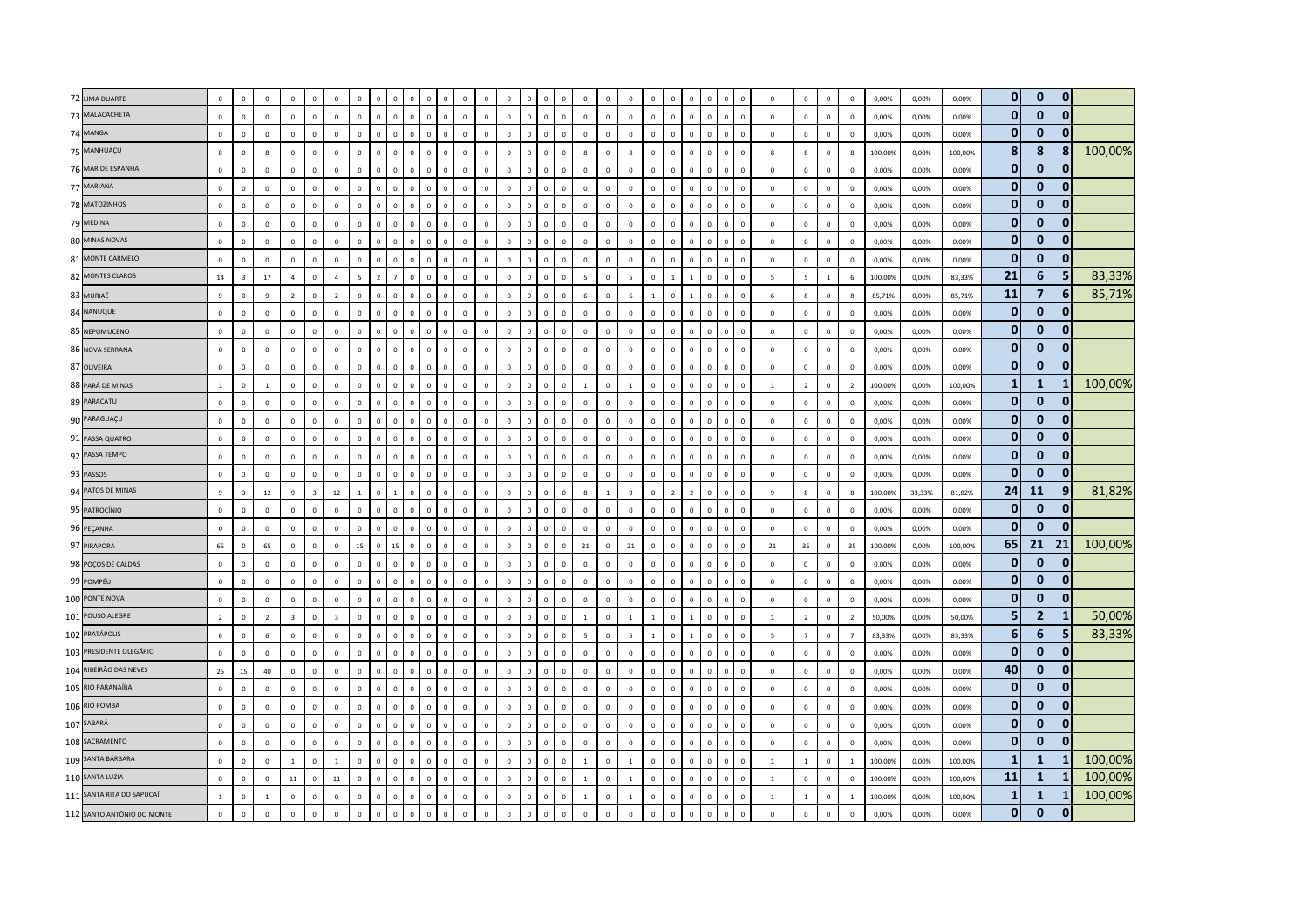| 72 LIMA DUARTE              | $\mathbf 0$                 | $\circ$                | $\mathbf 0$                    | $\mathbf{0}$                | $\mathbf 0$             | $\mathbf 0$                 | $\mathbf 0$                | $\Omega$                    |                             |                          | $\Omega$                                              |                         |                         | $\mathbf 0$                | $\mathbf 0$                            | $\overline{0}$         | $\mathbf 0$             |                         | $\,$ 0            | $\mathbf 0$                | $\mathbf 0$             | $\Omega$                |                         |                                                    | $\mathbf 0$            | $\mathbf 0$                | $\mathbf{0}$                | $\,$ 0            | 0,00%          | 0,00%          | 0,00%          | $\mathbf{0}$                 | $\mathbf{0}$                | $\mathbf{0}$         |         |
|-----------------------------|-----------------------------|------------------------|--------------------------------|-----------------------------|-------------------------|-----------------------------|----------------------------|-----------------------------|-----------------------------|--------------------------|-------------------------------------------------------|-------------------------|-------------------------|----------------------------|----------------------------------------|------------------------|-------------------------|-------------------------|-------------------|----------------------------|-------------------------|-------------------------|-------------------------|----------------------------------------------------|------------------------|----------------------------|-----------------------------|-------------------|----------------|----------------|----------------|------------------------------|-----------------------------|----------------------|---------|
| 73 MALACACHETA              | $\mathsf 0$                 | $\mathbf 0$            | $\mathbb O$                    | $\mathbf 0$                 | $\mathbf 0$             | $\mathbb O$                 | $\mathbf 0$                | $\mathbf 0$                 | $\mathbf 0$                 | $\mathbf 0$              | $\mathbf{0}$<br>$\mathbf 0$                           | $\mathbb O$             | $\mathbf 0$             | $\mathbf 0$                | $\mathbf 0$<br>$\Omega$                | $\mathbf 0$            | $\mathbf 0$             | $\Omega$                | $\mathbf 0$       | $\mathbf 0$                | $\mathbf 0$             | $\mathbf 0$             | $\mathbf 0$             | $\mathbf 0$<br>$\mathbf 0$                         | $\mathbf 0$            | $\mathbf 0$                | $\mathbf 0$                 | $\mathbf 0$       | 0,00%          | 0,00%          | 0,00%          | $\mathbf{0}$                 | $\mathbf{0}$                | $\Omega$             |         |
| 74 MANGA                    | $\mathbf 0$                 | $\mathbf{0}$           | $\mathbb O$                    | $\mathbf 0$                 | $\mathbf{0}$            | $\mathbf 0$                 | $\mathbf 0$                | $\mathbf 0$                 | $\mathbf 0$                 | $\Omega$                 | $\mathsf 0$<br>$\mathbf 0$                            | $\circ$                 | $\mathbf 0$             | $\mathbf 0$                | $\mathbf 0$                            | $\overline{0}$         | $\circ$                 | $\mathbf 0$             | $\mathbf 0$       | $\mathbf 0$                | $\mathbf 0$             | $\overline{0}$          | $\mathbf 0$             | $\Omega$<br>$\overline{0}$                         | $\mathbf 0$            | $\mathbb O$                | $\mathbf{0}$                | $\overline{0}$    | 0,00%          | 0,00%          | 0.00%          | $\mathbf{0}$                 | $\mathbf 0$                 |                      |         |
| 75 MANHUAÇU                 | 8                           | $\circ$                | 8                              | $\Omega$                    | $\Omega$                | $\mathbf 0$                 | $\mathbf 0$                | $\circ$                     | $\mathbf{0}$                | $\overline{0}$           | $\mathbf{0}$<br>$\circ$                               | $\circ$                 | $\mathbf{0}$            | $\mathbf 0$                | $\mathbf 0$<br>$\Omega$                | $\overline{0}$         | $\mathbf{8}$            | $\Omega$                | 8                 | $\mathbf 0$                | $\mathbf 0$             | $\overline{0}$          | $\mathbf{0}$            | $\mathbf 0$<br>$\Omega$                            | 8                      | 8                          | $\mathbf{0}$                | 8                 | 100,00%        | 0,00%          | 100,00%        | 8 <sup>1</sup>               | 8 <sup>1</sup>              | $\bf{8}$             | 100,00% |
| 76 MAR DE ESPANHA           |                             |                        |                                |                             |                         |                             |                            |                             |                             |                          |                                                       |                         |                         |                            |                                        |                        |                         |                         |                   |                            |                         |                         |                         |                                                    |                        |                            |                             |                   |                |                |                | $\mathbf{0}$                 | $\mathbf 0$                 |                      |         |
|                             | $\mathbf 0$                 | $\mathbf 0$            | $\mathbf 0$                    | $\mathbb O$                 | $\mathbf 0$             | $\mathbb O$                 | $\mathbf 0$                | $\circ$                     | $\mathbf 0$                 | $\mathbf{0}$             | $\mathbf 0$<br>$\mathsf 0$                            | $\mathbf 0$             | $\mathbf 0$             | $\mathbf 0$                | $\mathbf 0$<br>$\Omega$                | $\overline{0}$         | $\mathbf 0$             | $\mathbf 0$             | $\mathbf 0$       | $\mathbf 0$                | $\mathbf 0$             | $\mathbf 0$             | $\Omega$                | $\mathbf 0$<br>$\mathbf 0$                         | $\mathbf 0$            | $\mathbf 0$                | $\mathsf 0$                 | $\mathbf 0$       | 0,00%          | 0,00%          | 0,00%          |                              |                             |                      |         |
| 77 MARIANA                  | $\mathbf 0$                 | $\mathbf 0$            | $\pmb{0}$                      | $\mathbf 0$                 | $\mathbf 0$             | $\mathbf 0$                 | $\mathbf 0$                | $\mathbf 0$                 | $\mathbf 0$                 | $\mathbf{0}$             | $\mathbf 0$<br>$\mathbf 0$                            | $\mathbb O$             | $\mathbf 0$             | $\mathbf 0$                | $\mathbf 0$                            | $\mathbf 0$            | $\mathbf 0$             | $\mathbf 0$             | $\,0\,$           | $\mathbf 0$                | $\mathbf 0$             | $\overline{0}$          |                         | $\mathbf 0$                                        | $\mathbf 0$            | $\mathbf 0$                | $\mathbf 0$                 | $\mathbf 0$       | 0,00%          | 0,00%          | 0,00%          | $\mathbf{0}$<br>$\mathbf{0}$ | $\mathbf 0$<br>$\mathbf{0}$ | $\bf{0}$<br>$\Omega$ |         |
| 78 MATOZINHOS               | $\mathbf{0}$                | $\mathbf{0}$           | $\mathbf 0$                    | $\mathbf{0}$                | $\mathbf{0}$            | $\mathbf 0$                 | $\mathbf{0}$               | $\mathbf{0}$                | $\mathbf{0}$                | $\Omega$                 | $\circ$<br>$\Omega$                                   | $\mathbf 0$             | $\mathbf{0}$            | $\mathbf{0}$               | $\mathbf{0}$<br>$\Omega$               | $\overline{0}$         | $\overline{0}$          | $\Omega$                | $\overline{0}$    | $\mathbf{0}$               | $\circ$                 | $\overline{0}$          | $\Omega$                | $\Omega$<br>$\Omega$                               | $\mathbf 0$            | $\mathbf 0$                | $\mathbf{0}$                | $\Omega$          | 0.00%          | 0,00%          | 0,00%          | $\mathbf{0}$                 | $\mathbf{0}$                | $\mathbf{0}$         |         |
| 79 MEDINA<br>80 MINAS NOVAS | $\mathsf 0$<br>$\mathbf{0}$ | $\circ$<br>$\mathbf 0$ | $\mathbf{0}$<br>$\overline{0}$ | $\mathbf{0}$<br>$\mathbf 0$ | $\Omega$<br>$\mathbf 0$ | $\mathbf{0}$<br>$\mathbf 0$ | $\mathbf 0$<br>$\mathbf 0$ | $\mathbf{0}$<br>$\mathbf 0$ | $\mathbf{0}$<br>$\mathbf 0$ | $\Omega$<br>$\mathbf{0}$ | $\Omega$<br>$\mathbf 0$<br>$\mathbf 0$<br>$\mathbf 0$ | $\Omega$<br>$\mathbb O$ | $\Omega$<br>$\mathbf 0$ | $\mathbf 0$<br>$\mathbf 0$ | $\mathbf 0$<br>$\Omega$<br>$\mathbf 0$ | $\circ$<br>$\mathbf 0$ | $\Omega$<br>$\mathbf 0$ | $\Omega$<br>$\mathbf 0$ | $\,$ 0<br>$\,0\,$ | $\mathbf 0$<br>$\mathbf 0$ | $\Omega$<br>$\mathbf 0$ | $\Omega$<br>$\mathbf 0$ | $\Omega$<br>$\mathbf 0$ | $\Omega$<br>$\Omega$<br>$\mathbf 0$<br>$\mathbf 0$ | $\circ$<br>$\mathbb O$ | $\mathbf 0$<br>$\mathbf 0$ | $\mathbf{0}$<br>$\mathbf 0$ | $\,$ 0<br>$\,0\,$ | 0,00%<br>0,00% | 0,00%<br>0,00% | 0,00%<br>0,00% | $\mathbf{0}$                 | $\mathbf{0}$                | $\Omega$             |         |
| 81 MONTE CARMELO            | $\mathbf 0$                 | $\mathbf 0$            | $\mathbf 0$                    | $\mathbf 0$                 | $\mathbf 0$             | $\mathbf 0$                 | $\mathsf 0$                | $\mathbf 0$                 | $\mathbf 0$                 | $\mathbf 0$              | $\mathbf{0}$<br>$\mathbf 0$                           | $\mathbb O$             | $\mathbf 0$             | $\mathbb O$                | $\mathbf 0$<br>$\mathbf{0}$            | $\mathbf 0$            | $\mathbb O$             | $\mathbf 0$             | $\,0\,$           | $\mathbf 0$                | $\mathbf 0$             | $\,$ 0                  | $\mathbf 0$             | $\mathbf 0$<br>$\mathbf 0$                         | $\mathbf 0$            | $\mathbb O$                | $\mathbf 0$                 | $\,0\,$           | 0,00%          | 0,00%          | 0,00%          | $\mathbf{0}$                 | $\mathbf{0}$                | $\mathbf{0}$         |         |
|                             |                             |                        |                                |                             |                         |                             |                            | $\overline{z}$              |                             | $\Omega$                 |                                                       |                         |                         |                            | $\Omega$                               | $\Omega$               |                         |                         |                   |                            |                         |                         |                         |                                                    |                        |                            |                             |                   |                |                |                | 21                           | 6                           |                      | 83,33%  |
| 82 MONTES CLAROS            | 14                          | $\mathbf{3}$           | 17                             | $\overline{4}$              | $\Omega$                | $\overline{4}$              | 5                          |                             |                             |                          | $\Omega$<br>$\Omega$                                  | $\mathbf 0$             | $\Omega$                | $\mathbf 0$                |                                        |                        | $\overline{5}$          | $\Omega$                | $\overline{5}$    | $\Omega$                   |                         |                         |                         | $\Omega$<br>$\Omega$                               | -5.                    | $\overline{\phantom{a}}$   | $\mathbf{1}$                | 6                 | 100,00%        | 0,00%          | 83,33%         | 11                           | $\overline{7}$              |                      |         |
| 83 MURIAÉ                   | $\overline{9}$              | $\Omega$               | $\overline{9}$                 | $\overline{2}$              | $\Omega$                | $\overline{2}$              | $\mathbf 0$                | $\Omega$                    | $\Omega$                    | $\Omega$                 | $\Omega$<br>$\Omega$                                  | $\Omega$                | $\Omega$                | $\mathbf 0$                | $\mathbf{0}$                           | $\mathbf 0$            | 6                       | $\Omega$                | $6\phantom{1}6$   |                            | $\Omega$                |                         |                         | $\Omega$<br>$\sqrt{2}$                             | 6                      | 8                          | $\mathsf 0$                 | $\mathbf{g}$      | 85,71%         | 0,00%          | 85,71%         | $\mathbf{0}$                 | $\mathbf{0}$                | 6<br>$\bf{0}$        | 85,71%  |
| 84 NANUQUE                  | $\mathsf 0$                 | $\mathbf{0}$           | $\circ$                        | $\mathbf 0$                 | $\Omega$                | $\mathbf 0$                 | $\mathsf 0$                | $\mathbf 0$                 | $\mathbf{0}$                | $\mathbf{0}$             | $\mathsf 0$<br>$\mathbf 0$                            | $\mathbb O$             | $\Omega$                | $\mathbf 0$                | $\mathbf 0$<br>$\Omega$                | $\mathbf 0$            | $\circ$                 | $\Omega$                | $\,0\,$           | $\mathbf{0}$               | $\mathbf{0}$            | $\overline{0}$          | $\Omega$                | $\mathbf 0$<br>$\mathbf 0$                         | $\mathbf{0}$           | $\mathbb O$                | $\mathbf 0$                 | $\overline{0}$    | 0,00%          | 0,00%          | 0,00%          | $\mathbf{0}$                 | $\mathbf{0}$                | <sup>0</sup>         |         |
| 85 NEPOMUCENO               | $\mathbf 0$                 | $\mathbf 0$            | $\mathbb O$                    | $\mathbf 0$                 | $\Omega$                | $\mathbf 0$                 | $\mathbf 0$                | $\mathbf{0}$                | $\mathbf{0}$                | $\Omega$                 | $\mathbf 0$<br>$\circ$                                | $\mathbf{0}$            | $\mathbf{0}$            | $\,0\,$                    | $\mathbf 0$                            | $\overline{0}$         | $\mathbf 0$             | $\Omega$                | $\,0\,$           | $\Omega$                   | $\mathbf{0}$            | $\Omega$                | $\Omega$                | $\Omega$<br>$\Omega$                               | $\Omega$               | $\mathbf 0$                | $\mathbf 0$                 | $\,0\,$           | 0,00%          | 0,00%          | 0,00%          |                              |                             |                      |         |
| 86 NOVA SERRANA             | $\mathbf{0}$                | $\Omega$               | $\mathbf 0$                    | $\Omega$                    | $\Omega$                | $\overline{0}$              | $\mathbf 0$                | $\mathbf{0}$                | $\mathbf{0}$                | $\overline{0}$           | $\mathbf{0}$<br>$\mathbf{0}$                          | $\mathbf{0}$            | $\mathbf{0}$            | $\mathbf 0$                | $\mathbf{0}$<br>$\Omega$               | $\overline{0}$         | $\overline{0}$          | $\Omega$                | $\mathbf 0$       | $\Omega$                   | $\circ$                 | $\overline{0}$          | $\Omega$                | $\Omega$<br>$\Omega$                               | $\Omega$               | $\mathbf 0$                | $\Omega$                    | $\,$ 0            | 0,00%          | 0,00%          | 0,00%          | $\mathbf{0}$                 | $\overline{0}$              | $\Omega$             |         |
| 87 OLIVEIRA                 | $\mathbf 0$                 | $\mathbf{0}$           | $\mathbf 0$                    | $\mathbf 0$                 | $\Omega$                | $\mathbb O$                 | $\mathbf 0$                | $\mathbf 0$                 | $\mathbf{0}$                | $\mathbf{0}$             | $\mathbf{0}$<br>$\mathbf 0$                           | $\mathbb O$             | $\Omega$                | $\mathbf 0$                | $\mathbf 0$                            | $\mathbf 0$            | $\mathbb O$             | $\Omega$                | $\mathbb O$       | $\mathbf 0$                | $\mathbf 0$             | $\,$ 0                  | $\Omega$                | $\mathbf 0$<br>$\overline{0}$                      | $\mathbb O$            | $\mathbb O$                | $\mathbf 0$                 | $\mathbf 0$       | 0,00%          | 0,00%          | 0,00%          | $\mathbf{0}$                 | $\bf{0}$                    |                      |         |
| 88 PARÁ DE MINAS            | $\,$ 1 $\,$                 | $\mathbf 0$            | $\mathbf{1}$                   | $\mathbf 0$                 | $\mathbf 0$             | $\mathbf 0$                 | $\,0\,$                    | $\mathbf 0$                 | $\mathbf{0}$                | $\mathbf{0}$             | $\mathbf 0$<br>$\Omega$                               | $\mathbb O$             | $\mathbf 0$             | $\mathbf 0$                | $\mathbf 0$                            | $\,$ 0 $\,$            | $\mathbf{1}$            | $\mathbf 0$             | $\,$ 1            | $\mathbf 0$                | $\mathbf 0$             | $\overline{0}$          |                         | $\Omega$<br>$\overline{0}$                         | $\mathbf{1}$           | $\overline{2}$             | $\mathbf 0$                 | $\overline{2}$    | 100,00%        | 0,00%          | 100,00%        | $\mathbf{1}$                 | $\mathbf{1}$                |                      | 100,00% |
| 89 PARACATU                 | $\mathsf 0$                 | $\Omega$               | $\mathbb O$                    | $\mathbf{0}$                | $\mathbf{0}$            | $\mathbf 0$                 | $\mathbf 0$                | $\mathbf{0}$                | $\mathbf{0}$                | $\Omega$                 | $\circ$<br>$\Omega$                                   | $\mathbf 0$             | $\mathbf{0}$            | $\mathbf 0$                | $\mathbf 0$<br>$\Omega$                | $\circ$                | $\mathbf 0$             | $\Omega$                | $\mathbf 0$       | $\mathbf 0$                | $\mathbf{0}$            | $\,$ 0                  | $\Omega$                | $\mathbf{0}$<br>$\Omega$                           | $\mathbf 0$            | $\mathbb O$                | $\mathbf 0$                 | $\,$ 0            | 0,00%          | 0,00%          | 0,00%          | $\mathbf{0}$                 | $\mathbf{0}$                | $\mathbf{0}$         |         |
| 90 PARAGUAÇU                | $\mathbf{0}$                | $\Omega$               | $\Omega$                       | $\Omega$                    | $\Omega$                | $\Omega$                    | $\Omega$                   | $\mathbf{0}$                | $\Omega$                    | $\Omega$                 | $\Omega$<br>$\Omega$                                  | $\Omega$                | $\Omega$                | $\Omega$                   | $\Omega$                               | $\Omega$               | $\Omega$                | $\Omega$                | $\mathbf 0$       | $\Omega$                   | $\Omega$                | $\Omega$                | $\Omega$                | $\Omega$<br>$\Omega$                               | $\Omega$               | $\Omega$                   | $\Omega$                    | $\Omega$          | 0,00%          | 0,00%          | 0.00%          | $\mathbf{0}$                 | $\mathbf{0}$                | $\bf{0}$             |         |
| 91 PASSA QUATRO             | $\mathbf 0$                 | $\mathbf 0$            | $\mathbf 0$                    | $\mathbf 0$                 | $\mathbf 0$             | $\,0\,$                     | $\mathbf 0$                | $\mathbf 0$                 | $\mathbf 0$                 | $\mathbf{0}$             | $\mathbf 0$<br>$\mathsf 0$                            | $\mathbb O$             | $\mathbb O$             | $\mathbf 0$                | $\mathbf 0$<br>$\Omega$                | $\,$ 0 $\,$            | $\mathbf 0$             | $\Omega$                | $\mathbf 0$       | $\mathbf 0$                | $\mathbf 0$             | $\mathbf 0$             | $\mathbf 0$             | $\Omega$<br>$\overline{0}$                         | $\mathbf 0$            | $\mathbb O$                | $\mathbf 0$                 | $\,0\,$           | 0,00%          | 0,00%          | 0,00%          | $\mathbf{0}$                 | $\overline{0}$              | $\mathbf{0}$         |         |
| 92 PASSA TEMPO              | $\mathbf 0$                 | $\Omega$               | $\mathbf 0$                    | $\mathbf 0$                 | $\Omega$                | $\mathbf 0$                 | $\mathbf 0$                | $\mathbf{0}$                | $\mathbf 0$                 | $\,0\,$                  | $\mathbf 0$<br>$\mathbf 0$                            | $\mathbf 0$             | $\mathbf{0}$            | $\mathbf 0$                | $\mathbf 0$<br>$\Omega$                | $\overline{0}$         | $\mathbf 0$             | $\Omega$                | $\,0\,$           | $\Omega$                   | $\mathbf 0$             | $\mathbf 0$             | $\Omega$                | $\Omega$<br>$\mathbf 0$                            | $\mathbf 0$            | $\mathbf 0$                | $\mathbf{0}$                | $\,0\,$           | 0,00%          | 0,00%          | 0,00%          | $\mathbf{0}$                 | $\mathbf{0}$                | $\Omega$             |         |
| 93 PASSOS                   | $\mathbf 0$                 | $\mathbf 0$            | $\mathbb O$                    | $\mathbf 0$                 | $\mathbf 0$             | $\mathbf 0$                 | $\mathbf 0$                | $\mathbf{0}$                | $\mathbf 0$                 | $\Omega$                 | $\Omega$<br>$\mathbf 0$                               | $\circ$                 | $\circ$                 | $\mathbf 0$                | $\mathbf 0$                            | $\overline{0}$         | $\mathbf 0$             | $\Omega$                | $\mathbf 0$       | $\mathbf 0$                | $\Omega$                | $\Omega$                | $\Omega$                | $\Omega$<br>$\Omega$                               | $\Omega$               | $\mathbf 0$                | $\mathbf{0}$                | $\,$ 0            | 0,00%          | 0,00%          | 0,00%          | $\mathbf{0}$                 | $\mathbf{0}$                | $\Omega$             |         |
| 94 PATOS DE MINAS           | $\mathbf{q}$                | $\overline{3}$         | 12                             | $\mathbf{q}$                | $\overline{3}$          | 12                          | $\overline{1}$             | $\mathbf{0}$                | $\mathbf{1}$                | $\Omega$                 | $\Omega$<br>$\Omega$                                  | $\Omega$                | $\Omega$                | $\mathbf 0$                | $\mathbf{0}$<br>$\Omega$               | $\Omega$               | $\mathbf{g}$            | $\overline{1}$          | $\,$ 9            | $\Omega$                   | $\overline{z}$          | $\overline{z}$          | $\Omega$                | $\Omega$<br>$\Omega$                               | $\mathbf{q}$           | $\mathbf{g}$               | $\mathbf{0}$                | $\mathbf{g}$      | 100,00%        | 33,33%         | 81,82%         | 24                           | 11                          | 9                    | 81,82%  |
| 95 PATROCÍNIO               | $\mathbf 0$                 | $\mathbf{0}$           | $\overline{0}$                 | $\mathbf{0}$                | $\mathbf 0$             | $\mathbf{0}$                | $\mathbf{0}$               | $\mathbf{0}$                | $\mathbf 0$                 | $\mathbf{0}$             | $\mathbf{0}$<br>$\mathbf 0$                           | $\mathbf{0}$            | $\mathbf{0}$            | $\mathbf 0$                | $\mathbf 0$<br>$\Omega$                | $\overline{0}$         | $\overline{0}$          | $^{\circ}$              | $\,0\,$           | $^{\circ}$                 | $\mathbf{0}$            | $\overline{0}$          | $\mathbf{0}$            | $\mathbf 0$<br>$\overline{0}$                      | $\mathbf{0}$           | $\mathbb O$                | $\mathbf 0$                 | $\overline{0}$    | 0,00%          | 0,00%          | 0,00%          | $\mathbf{0}$                 | $\mathbf 0$                 | 0                    |         |
| 96 PEÇANHA                  | $\mathbf 0$                 | $\circ$                | $\mathbf 0$                    | $\mathbf 0$                 | $\Omega$                | $\mathbf 0$                 | $\mathsf 0$                | $\mathbf{0}$                | $\mathbf 0$                 | $\Omega$                 | $\mathbf 0$<br>$\mathbf{0}$                           | $\circ$                 | $\mathbf 0$             | $\mathbf 0$                | $\mathbf 0$<br>$\Omega$                | $\mathbf 0$            | $\mathbf 0$             | $\Omega$                | $\,$ 0 $\,$       | $\mathbf 0$                | $\mathbf 0$             | $\overline{0}$          | $\mathbf{0}$            | $\Omega$<br>$\overline{0}$                         | $\circ$                | $\mathbf 0$                | $\mathbf 0$                 | $\,$ 0            | 0,00%          | 0,00%          | 0,00%          | $\mathbf{0}$                 | $\mathbf{0}$                | $\Omega$             |         |
| 97 PIRAPORA                 | 65                          | $\mathbf 0$            | 65                             | $\mathbb O$                 | $\mathbf 0$             | $\mathbf 0$                 | 15                         | $\circ$                     | 15                          | $\mathsf 0$              | $\mathbf{0}$<br>$\mathbf 0$                           | $\mathbf 0$             | $\mathbf 0$             | $\mathbb O$                | $\mathbf 0$<br>$\Omega$                | $\mathbf 0$            | 21                      | $\Omega$                | 21                | $\mathbf 0$                | $\mathbf 0$             | $\mathbf 0$             | $\mathbf{0}$            | $\mathbf 0$<br>$\mathbf 0$                         | 21                     | 35                         | $\circ$                     | 35                | 100,00%        | 0,00%          | 100,00%        | 65                           | 21                          | 21                   | 100,00% |
| 98 POÇOS DE CALDAS          | $\mathbf 0$                 | $\mathbf{0}$           | $\mathbf{0}$                   | $\Omega$                    | $\Omega$                | $\mathbf 0$                 | $\mathbf 0$                | $\mathbf{0}$                | $\mathbf{0}$                | $\Omega$                 | $\Omega$<br>$\mathbf 0$                               | $\circ$                 | $\mathbf{0}$            | $\mathbb O$                | $\mathbf 0$                            | $\Omega$               | $\Omega$                | $\Omega$                | $\mathbf 0$       | $\Omega$                   | $\mathbf 0$             | $\Omega$                |                         | $\Omega$<br>$\Omega$                               | $\Omega$               | $\mathbf 0$                | $\mathbf 0$                 | $\mathbf 0$       | 0,00%          | 0.00%          | 0,00%          | $\mathbf{0}$                 | $\mathbf 0$                 | $\bf{0}$             |         |
| 99 POMPÉU                   | $\,0\,$                     | $\Omega$               | $\mathbf 0$                    | $\Omega$                    | $\Omega$                | $\mathbf 0$                 | $\,0\,$                    | $\mathbf{0}$                | $\mathbf{0}$                | $\Omega$                 | $\Omega$<br>$\Omega$                                  | $\Omega$                | $\Omega$                | $\,0\,$                    | $\mathbf{0}$                           | $\Omega$               | $\Omega$                | $\Omega$                | $\,0\,$           | $\Omega$                   | $\Omega$                | $\Omega$                |                         | $\Omega$<br>$\Omega$                               | $\Omega$               | $\mathbb O$                | $\Omega$                    | $\,0\,$           | 0,00%          | 0,00%          | 0,00%          | $\mathbf{0}$                 | $\bf{0}$                    | $\mathbf{0}$         |         |
| 100 PONTE NOVA              | $\mathsf 0$                 | $\circ$                | $\mathbf{0}$                   | $\mathbf{0}$                | $\Omega$                | $\mathbf 0$                 | $\mathbf 0$                | $\mathbf{0}$                | $\mathbf{0}$                | $\mathbf 0$              | $\mathsf 0$<br>$\mathbf 0$                            | $\mathbb O$             | $\Omega$                | $\mathbf 0$                | $\mathbf 0$<br>$\Omega$                | $\circ$                | $\circ$                 | $\Omega$                | $\mathbf 0$       | $\mathbf 0$                | $\circ$                 | $\,$ 0                  | $\mathbf 0$             | $\mathbf 0$<br>$\mathbf 0$                         | $\circ$                | $\mathbb O$                | $\mathbf{0}$                | $\,$ 0            | 0,00%          | 0,00%          | 0,00%          | $\mathbf{0}$                 | $\mathbf{0}$                | $\Omega$             |         |
| 101 POUSO ALEGRE            | $\overline{2}$              | $\mathbf 0$            | $\overline{2}$                 | $\overline{\mathbf{3}}$     | $\Omega$                | $\overline{\mathbf{3}}$     | $\mathbf 0$                | $\mathbf 0$                 | $\mathbf 0$                 | $\Omega$                 | $\mathbf 0$<br>$\mathbf 0$                            | $\circ$                 | $\mathbf 0$             | $\mathbf 0$                | $\mathbf 0$                            | $\overline{0}$         | $\mathbf{1}$            | $\Omega$                | $\mathbf{1}$      | $\overline{1}$             | $\mathbf 0$             | $\overline{1}$          | $\Omega$                | $\Omega$<br>$\Omega$                               | $\mathbf{1}$           | $\overline{2}$             | $\mathbf 0$                 | $\overline{2}$    | 50,00%         | 0,00%          | 50,00%         | 5                            | 2 <sup>1</sup>              |                      | 50,00%  |
| 102 PRATÁPOLIS              | 6                           | $\mathbf 0$            | $\,$ 6 $\,$                    | $\overline{0}$              | $\Omega$                | $\mathbf 0$                 | $\mathbf 0$                | $\Omega$                    | $\mathbf 0$                 | $\Omega$                 | $\Omega$<br>$\mathbf 0$                               | $\Omega$                | $\Omega$                | $\,0\,$                    | $\mathbf{0}$<br>$\Omega$               | $\mathbf 0$            | 5                       | $\Omega$                | $\overline{5}$    | $\mathbf{1}$               | $\Omega$                |                         | $\Omega$                | $\Omega$<br>$\Omega$                               | $5\overline{ }$        | $\overline{7}$             | $\mathbf{0}$                | $\overline{7}$    | 83,33%         | 0,00%          | 83,33%         | 6                            | 6 <sup>1</sup>              | 5                    | 83,33%  |
| 103 PRESIDENTE OLEGÁRIO     | $\mathbf 0$                 | $^{\circ}$             | $\mathbf{0}$                   | $\Omega$                    | $\Omega$                | $\mathbf 0$                 | $\mathbf{0}$               | $\mathbf{0}$                | $\mathbf{0}$                | $\Omega$                 | $\mathbf 0$<br>$\Omega$                               | $\circ$                 | $\circ$                 | $\mathbf 0$                | $\mathbf 0$<br>$\Omega$                | $\mathbf 0$            | $\circ$                 | $\Omega$                | $\mathbf 0$       | $\Omega$                   | $\circ$                 | $\,$ 0                  | $\Omega$                | $\mathbf 0$<br>$\Omega$                            | $\circ$                | $\mathbf 0$                | $\mathbf{0}$                | $\,$ 0            | 0,00%          | 0,00%          | 0,00%          | $\mathbf{0}$                 | $\bf{0}$                    | $\mathbf{0}$         |         |
| 104 RIBEIRÃO DAS NEVES      | 25                          | 15                     | 40                             | $\mathbf 0$                 | $\mathbf 0$             | $\mathbb O$                 | $\mathbf 0$                | $\mathbf 0$                 | $\mathbf 0$                 | $\Omega$                 | $\mathbf{0}$<br>$\Omega$                              | $\mathbb O$             | $\mathbb O$             | $\mathbf 0$                | $\mathbf 0$                            | $\mathbf 0$            | $\mathbb O$             | $\Omega$                | $\mathbf 0$       | $\mathbf 0$                | $\mathbf 0$             | $\Omega$                |                         | $\Omega$<br>$\Omega$                               | $\mathbf 0$            | $\overline{0}$             | $\mathsf 0$                 | $\mathbf 0$       | 0,00%          | 0,00%          | 0,00%          | 40                           | $\mathbf{0}$                | $\Omega$             |         |
| 105 RIO PARANAÍBA           | $\mathsf 0$                 | $\Omega$               | $\mathbb O$                    | $\mathbf 0$                 | $\Omega$                | $\mathbf 0$                 | $\mathbf 0$                | $\mathbf 0$                 | $\mathbf 0$                 | $\Omega$                 | $\Omega$<br>$\Omega$                                  | $\Omega$                | $\Omega$                | $\mathbf 0$                | $\mathbf 0$                            | $\mathbf 0$            | $\mathbb O$             | $\Omega$                | $\mathbf 0$       | $\mathbf 0$                | $\Omega$                | $\mathbf 0$             | $\Omega$                | $\Omega$<br>$\Omega$                               | $\mathbf 0$            | $\mathbb O$                | $\mathbf 0$                 | $\mathbf 0$       | 0,00%          | 0,00%          | 0,00%          | 0                            | $\overline{0}$              | $\mathbf{0}$         |         |
| 106 RIO POMBA               | $\mathbf{0}$                | $\Omega$               | $\mathbf 0$                    | $\mathbf{0}$                | $\Omega$                | $\mathbf{0}$                | $\mathbf{0}$               | $\mathbf{0}$                | $\mathbf{0}$                | $\Omega$                 | $\mathbf{0}$<br>$\Omega$                              | $\mathbf{0}$            | $\mathbf{0}$            | $\mathbf{0}$               | $\mathbf{0}$                           | $\Omega$               | $\mathbf{0}$            | $\Omega$                | $\overline{0}$    | $\Omega$                   | $\Omega$                | $\Omega$                | $\Omega$                | $\Omega$<br>$\Omega$                               | $\mathbf{0}$           | $\mathbf 0$                | $\mathbf{0}$                | $\Omega$          | 0.00%          | 0.00%          | 0.00%          | $\mathbf{0}$                 | $\mathbf{0}$                | $\Omega$             |         |
| 107 SABARÁ                  | $\mathbf 0$                 | $\circ$                | $\circ$                        | $\Omega$                    | $\Omega$                | $\mathbf 0$                 | $\mathbf 0$                | $\circ$                     | $\mathbf{0}$                | $\overline{0}$           | $\mathbf 0$<br>$\mathbf{0}$                           | $\mathbf{0}$            | $\mathbf{0}$            | $\mathbf 0$                | $\mathbf{0}$<br>$\Omega$               | $\overline{0}$         | $\mathbf 0$             | $\Omega$                | $\mathbf 0$       | $\mathbf 0$                | $\mathbf 0$             | $\overline{0}$          | $\Omega$                | $\mathbf 0$<br>$\Omega$                            | $\circ$                | $\mathbf 0$                | $\mathbf{0}$                | $\,0\,$           | 0,00%          | 0,00%          | 0,00%          | $\mathbf{0}$                 | $\mathbf{0}$                | $\Omega$             |         |
| 108 SACRAMENTO              | $\mathbf 0$                 | $\mathbf 0$            | $\mathbf 0$                    | $\mathbb O$                 | $\mathbf 0$             | $\mathbb O$                 | $\mathbf 0$                | $\circ$                     | $\mathbf 0$                 | $\mathbf 0$              | $\mathbf 0$<br>$\mathbf{0}$                           | $\mathbf 0$             | $\mathbf 0$             | $\mathbf 0$                | $\mathbf 0$<br>$\Omega$                | $\mathbf 0$            | $\mathbb O$             | $\mathbf 0$             | $\mathbf 0$       | $\mathbf 0$                | $\mathbf 0$             | $\mathbf 0$             | $\Omega$                | $\mathbf 0$<br>$\mathbf 0$                         | $\mathbf 0$            | $\mathbb O$                | $\mathbf 0$                 | $\mathbf 0$       | 0,00%          | 0,00%          | 0,00%          | $\mathbf{0}$                 | $\mathbf{0}$                | $\bf{0}$             |         |
| 109 SANTA BÁRBARA           | $\mathbf 0$                 | $\mathbf 0$            | $\mathbf 0$                    | $1\,$                       | $\mathbf 0$             | $\mathbf{1}$                | $\mathbf 0$                | $\mathbf 0$                 | $\mathbf{0}$                | $\Omega$                 | $\mathbf 0$<br>$\Omega$                               | $\mathbb O$             | $\mathbf 0$             | $\mathbf 0$                | $\mathbf 0$                            | $\overline{0}$         | $\mathbf{1}$            | $\Omega$                | $\mathbf{1}$      | $\mathbf 0$                | $\mathbf 0$             | $\overline{0}$          |                         | $\Omega$                                           | $\mathbf{1}$           | $\mathbf{1}$               | $\mathbf 0$                 | $\mathbf{1}$      | 100,00%        | 0,00%          | 100,00%        | $\mathbf{1}$                 | $\mathbf{1}$                |                      | 100,00% |
| 110 SANTA LUZIA             | $\mathbf{0}$                | $\Omega$               | $\mathbf 0$                    | 11                          | $\Omega$                | 11                          | $\mathbf{0}$               | $\circ$                     | $\Omega$                    | $\Omega$                 | $\circ$<br>$\Omega$                                   | $\mathbf 0$             | $\Omega$                | $\mathbf 0$                | $\mathbf{0}$<br>$\Omega$               | $\overline{0}$         | $\overline{1}$          | $\Omega$                | $\overline{1}$    | $\mathbf{0}$               | $\mathbf{0}$            | $\overline{0}$          | $\Omega$                | $\Omega$<br>$\Omega$                               | $\overline{1}$         | $\mathbf 0$                | $\Omega$                    | $\Omega$          | 100,00%        | 0,00%          | 100,00%        | 11                           | $\mathbf{1}$                |                      | 100,00% |
| 111 SANTA RITA DO SAPUCAÍ   | $\,$ 1 $\,$                 | $^{\circ}$             | $\overline{1}$                 | $\mathbf 0$                 | $\Omega$                | $\mathbf 0$                 | $^{\circ}$                 | $\mathbf 0$                 | $\mathbf 0$                 | $\mathbf{0}$             | $\mathbf 0$<br>$\mathbf{0}$                           | $\mathbb O$             | $\Omega$                | $\mathbf 0$                | $\mathbf 0$<br>$\Omega$                | $\circ$                | $\overline{1}$          | $\Omega$                | 1                 | $\mathbf 0$                | $\mathbf 0$             | $\overline{0}$          | $\mathbf{0}$            | $\mathbf 0$<br>$\mathbf 0$                         | $\mathbf{1}$           | $\mathbf{1}$               | $\mathbf 0$                 | <sup>1</sup>      | 100,00%        | 0,00%          | 100,00%        | $\mathbf{1}$                 | $\mathbf{1}$                | -1                   | 100,00% |
| 112 SANTO ANTÔNIO DO MONTE  | $\mathsf 0$                 | $\mathbf 0$            | $\overline{0}$                 | $\mathbf 0$                 |                         | $\mathbf 0$                 | $\mathbf 0$                | $\mathbf 0$                 | $\mathbf 0$                 |                          | $\mathbf 0$                                           | $\mathbf 0$             |                         | $\mathbf 0$                | $\mathbf{0}$                           | $\overline{0}$         | $\mathbf 0$             |                         | $\overline{0}$    | $\mathbf 0$                | $\mathbf 0$             |                         |                         |                                                    | $\mathbf 0$            | $\mathbf 0$                | $\mathbf 0$                 | $\mathbf 0$       | 0,00%          | 0,00%          | 0,00%          | $\mathbf{0}$                 | $\mathbf{0}$                | $\Omega$             |         |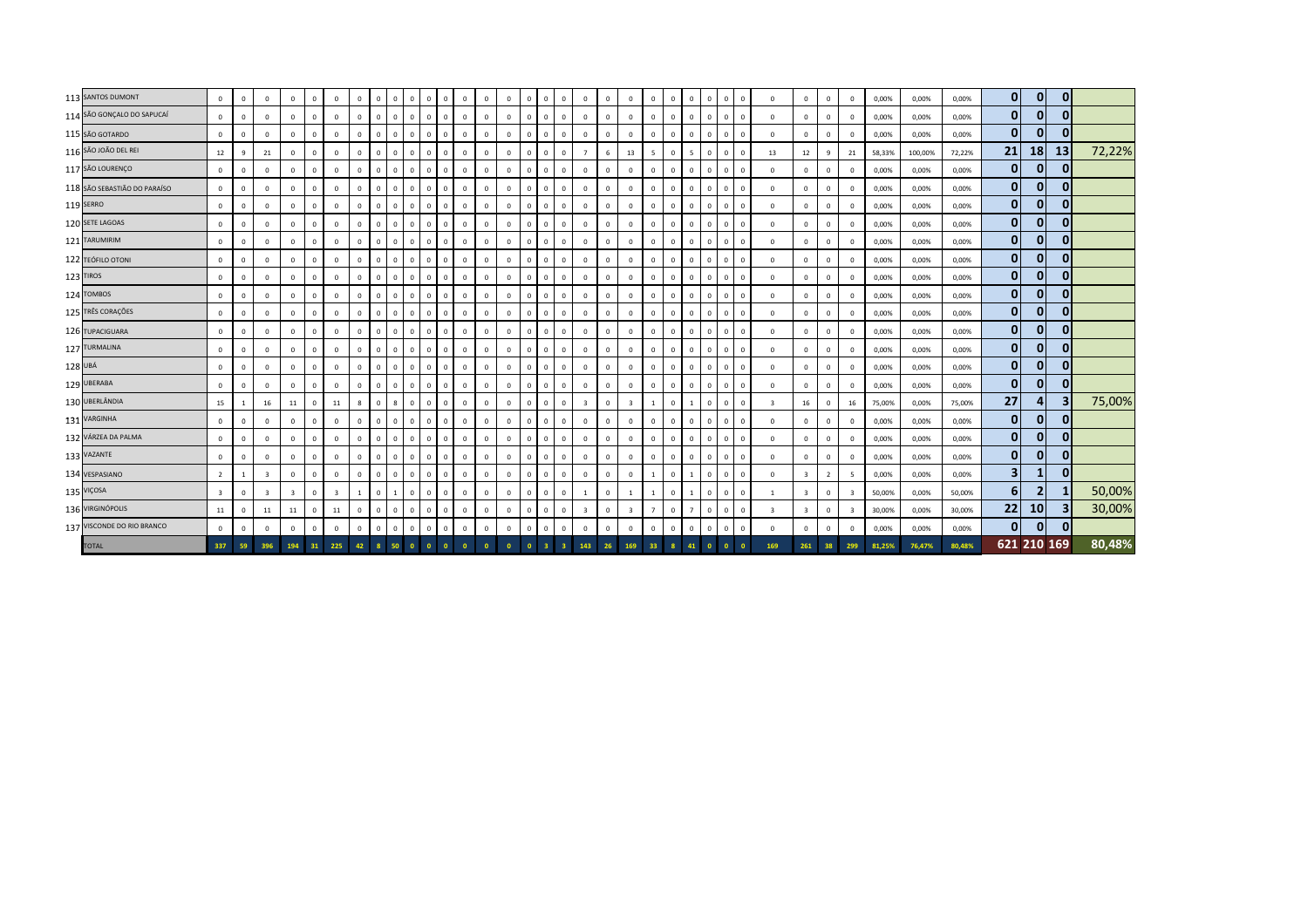|         | 113 SANTOS DUMONT            | $\mathbf{0}$            | $\mathbf{0}$   | $\overline{0}$          | $\mathbf 0$             | $\overline{0}$ | $\mathbf{0}$            | $\mathbf{0}$ | $\mathbf{0}$ | $\overline{0}$ | $^{\circ}$     | $\overline{0}$<br>$\Omega$     | $\mathbf{0}$ | $\mathbf{0}$   | $\mathbf{0}$ | $\mathbf{0}$ | $\mathbf{0}$ | $\mathbf{0}$   | $\mathbf{0}$            | $\mathbf{0}$ | $\mathbf{0}$            | $\Omega$       | $\Omega$     | $\mathbf{0}$   | $\mathbf{0}$ | $\overline{0}$                      | $\overline{0}$          | $\mathbf{0}$            | $\mathbf{0}$   | $\mathbf{0}$            | 0,00%  | 0,00%   | 0,00%  | $\mathbf{0}$   | $\mathbf{0}$   | 0        |        |
|---------|------------------------------|-------------------------|----------------|-------------------------|-------------------------|----------------|-------------------------|--------------|--------------|----------------|----------------|--------------------------------|--------------|----------------|--------------|--------------|--------------|----------------|-------------------------|--------------|-------------------------|----------------|--------------|----------------|--------------|-------------------------------------|-------------------------|-------------------------|----------------|-------------------------|--------|---------|--------|----------------|----------------|----------|--------|
|         | 114 SÃO GONÇALO DO SAPUCAÍ   | $\mathbf 0$             | $\mathbf 0$    | $\mathbf 0$             | $\mathbf 0$             | $\Omega$       | $\mathbf{0}$            | $\mathsf 0$  | $\mathbf{0}$ | $\mathbf 0$    | $\mathbf 0$    | $\mathbf 0$<br>$\mathbf 0$     | $\mathbf 0$  | $\overline{0}$ | $\mathbf 0$  | $\Omega$     | $\Omega$     | $\mathbf 0$    | $\mathbf{0}$            | $\mathbf 0$  | $\mathbf 0$             | $\Omega$       | $\Omega$     | $\mathbf{0}$   | $\mathbf 0$  | $\,$ 0                              | $\mathbf 0$             | $\mathbf 0$             | $\mathbf 0$    | $\mathbf 0$             | 0,00%  | 0,00%   | 0,00%  | $\mathbf{0}$   | $\mathbf{0}$   |          |        |
|         | 115 SÃO GOTARDO              | $\mathbf 0$             | $\mathbf 0$    | $\mathbf 0$             | $\mathbf 0$             | $\mathbf{0}$   | $\mathbf 0$             | $\mathbf{0}$ | $\mathbf{0}$ | $\mathbf 0$    | $\overline{0}$ | $\overline{0}$<br>$\mathsf 0$  | $\circ$      | $\mathbf 0$    | $\mathbf 0$  | $\Omega$     | $\mathbf{0}$ | $\mathbf{0}$   | $\mathbb O$             | $\mathbf 0$  | $\mathbf 0$             | $\Omega$       | $\mathbf{0}$ | $\mathbf{0}$   | $\mathbf 0$  | $\,$ 0                              | $\mathbf 0$             | $\overline{0}$          | $\mathbf 0$    | $\mathbf 0$             | 0,00%  | 0,00%   | 0,00%  | $\mathbf{0}$   | $\mathbf{0}$   |          |        |
|         | 116 SÃO JOÃO DEL REI         | 12                      | 9              | 21                      | $\mathbf 0$             | $\mathbf{0}$   | $\mathbf{0}$            | $\mathsf 0$  | $\mathbf{0}$ | $\mathbf 0$    | $\mathbf{0}$   | $\mathbf 0$<br>$\Omega$        | $\circ$      | $\,$ 0         | $\mathbf 0$  | $\Omega$     | $\mathbf{0}$ | $\circ$        | $\overline{7}$          | 6            | 13                      | -5             | $\mathbf{0}$ | 5              | $\mathbf 0$  | $\overline{0}$                      | 13                      | 12                      | 9              | 21                      | 58,33% | 100,00% | 72,22% | 21             | 18             | 13       | 72,22% |
|         | 117 SÃO LOURENÇO             | $\mathbf 0$             | $\mathbf 0$    | $\mathbf 0$             | $\mathbf 0$             | $\mathbf{0}$   | $\mathbf{0}$            | $\mathbf 0$  | $\circ$      | $\overline{0}$ | $\overline{0}$ | $\mathbf 0$<br>$\mathbf 0$     | $\circ$      | $\mathbf 0$    | $\mathbf{0}$ | $\mathbf{0}$ | $\mathbf 0$  | $\mathbf{0}$   | $\mathbf 0$             | $\Omega$     | $\mathbf{0}$            | $\Omega$       | $\mathbf{0}$ | $\mathbf{0}$   | $\mathbf 0$  | $\,$ 0                              | $\mathbf 0$             | $\mathbf 0$             | $^{\circ}$     | $\mathbf 0$             | 0,00%  | 0,00%   | 0,00%  | $\mathbf{0}$   | $\mathbf{0}$   |          |        |
|         | 118 SÃO SEBASTIÃO DO PARAÍSO | $\mathbf{0}$            | $\mathbf{0}$   | $\mathbf 0$             | $\mathbf 0$             | $\mathbf{0}$   | $\mathbf{0}$            | $\mathbf{0}$ | $\mathbf{0}$ | $\overline{0}$ | $\mathbf{0}$   | $\mathbf{0}$<br>$\overline{0}$ | $\mathbf 0$  | $\,$ 0         | $\mathbf{0}$ | $\mathbf 0$  | $\Omega$     | $\mathbf{0}$   | $\mathbf 0$             | $\mathbf 0$  | $\mathbf{0}$            | $\Omega$       | $\mathbf 0$  | $\mathbf{0}$   | $\circ$      | $\overline{0}$                      | $\,$ 0                  | $\mathbf{0}$            | $\mathbf{0}$   | $\mathbf 0$             | 0,00%  | 0,00%   | 0,00%  | $\mathbf{0}$   | $\mathbf{0}$   |          |        |
|         | 119 SERRO                    | $\mathbf{0}$            | $\mathbf 0$    | $\mathbf 0$             | $\mathbf 0$             | $\mathbf{0}$   | $\mathbf 0$             | $\mathbf{0}$ | $\mathbf{0}$ | $\mathbf 0$    | $^{\circ}$     | $\overline{0}$<br>$\mathbf{0}$ | $\mathbf 0$  | $\,$ 0         | $\mathbf 0$  | $\mathbf 0$  | $\mathbf{0}$ | $\mathbf{0}$   | $\mathbf 0$             | $\mathbf 0$  | $\mathbf 0$             | $\overline{0}$ | $\mathbf{0}$ | $\mathbf{0}$   | $\circ$      | $\overline{\mathbf{0}}$             | $\mathbf 0$             | $\overline{0}$          | $\mathbf{0}$   | $^{\circ}$              | 0,00%  | 0,00%   | 0,00%  | $\mathbf{0}$   | $\mathbf{0}$   |          |        |
|         | 120 SETE LAGOAS              | $\mathbf 0$             | $\mathbf 0$    | $\mathbf 0$             | $\mathbf 0$             | $\mathbf{0}$   | $\mathbf{0}$            | $\mathbf 0$  | $\mathbf{0}$ | $\overline{0}$ | $\mathbf{0}$   | $\overline{0}$<br>$\mathbf{0}$ | $\mathbf 0$  | $\mathbf{0}$   | $\mathbf{0}$ | $\mathbf 0$  | $\mathbf{0}$ | $\mathbf{0}$   | $\mathbb O$             | $\mathbf 0$  | $\mathbf{0}$            | $\Omega$       | $\mathbf 0$  | $\mathbf{0}$   | $\mathbf 0$  | $\overline{0}$                      | $\mathbf 0$             | $\mathbf 0$             | $\mathbf{0}$   | $\mathbf 0$             | 0,00%  | 0,00%   | 0,00%  | $\mathbf{0}$   | $\mathbf{0}$   |          |        |
|         | 121 TARUMIRIM                | $\mathbf 0$             | $\mathbf 0$    | $\mathbf 0$             | $\mathbf{0}$            | $\mathbf{0}$   | $\mathbf{0}$            | $\mathbf{0}$ | $\mathbf{0}$ | $\mathbf 0$    | $^{\circ}$     | $\circ$<br>$^{\circ}$          | $\mathbf 0$  | $\,$ 0         | $\mathbf 0$  | $\mathbf 0$  | $\mathbf{0}$ | $\mathbf{0}$   | $\overline{0}$          | $\mathbf 0$  | $\mathbf{0}$            | $\mathbf{0}$   | $\mathbf{0}$ | $\mathbf{0}$   | $\mathbf 0$  | $\,$ 0                              | $\mathbf 0$             | $\mathbf{0}$            | $\mathbf{0}$   | $^{\circ}$              | 0,00%  | 0,00%   | 0,00%  | $\mathbf{0}$   | $\overline{0}$ |          |        |
|         | 122 TEÓFILO OTONI            | $\mathbf 0$             | $\mathbf 0$    | $\overline{0}$          | $\mathbf 0$             | $\mathbf 0$    | $\mathbf 0$             | $\mathsf 0$  | $\circ$      | $\mathbf 0$    | $\overline{0}$ | $\mathbf 0$<br>$\circ$         | $\circ$      | $\mathbf 0$    | $\mathbf 0$  | $\Omega$     | $\mathbf{0}$ | $\mathbf{0}$   | $\mathbf 0$             | $\mathbf 0$  | $\mathbf 0$             | $\mathbf{0}$   | $\mathbf 0$  | $\mathbf{0}$   | $\mathbf 0$  | $\overline{\mathbf{0}}$             | $\mathbf 0$             | $\overline{0}$          | $\Omega$       | $\mathbf 0$             | 0,00%  | 0,00%   | 0,00%  | 0              | $\mathbf{0}$   |          |        |
|         | 123 TIROS                    | $\mathbf 0$             | $\mathbf 0$    | $\mathbf 0$             | $\mathbf 0$             | $\mathbf{0}$   | $\mathbf{0}$            | $\mathbf{0}$ | $\mathbf{0}$ | $\overline{0}$ | $\mathbf{0}$   | $\overline{0}$<br>$\mathbf{0}$ | $\circ$      | $\mathbf{0}$   | $\mathbf{0}$ | $\mathbf 0$  | $\mathbf{0}$ | $\overline{0}$ | $\circ$                 | $\mathbf{0}$ | $\mathbf{0}$            | $\overline{0}$ | $\mathbf{0}$ | $\mathbf{0}$   | $\mathbf{0}$ | $\overline{0}$                      | $\overline{0}$          | $\mathbf{0}$            | $\mathbf{0}$   | $\mathbf 0$             | 0,00%  | 0,00%   | 0,00%  | $\overline{0}$ | $\mathbf{0}$   |          |        |
|         | 124 TOMBOS                   | $\mathbf{0}$            | $\mathbf 0$    | $\mathbf 0$             | $\mathbf{0}$            | $\mathbf{0}$   | $\mathbf{0}$            | $\mathbf{0}$ | $\mathbf{0}$ | $\overline{0}$ | $\overline{0}$ | $\overline{0}$<br>$\mathbf 0$  | $\mathbf{0}$ | $\overline{0}$ | $\mathbf{0}$ | $\mathbf{0}$ | $\mathbf{0}$ | $\mathbf{0}$   | $\overline{0}$          | $\mathbf 0$  | $\mathbf{0}$            | $\Omega$       | $\mathbf{0}$ | $\mathbf{0}$   | $\mathbf{0}$ | $\overline{0}$                      | $\mathbf 0$             | $\mathbf{0}$            | $\mathbf{0}$   | $\mathbf 0$             | 0,00%  | 0,00%   | 0,00%  | $\mathbf{0}$   | $\mathbf{0}$   |          |        |
|         | 125 TRÊS CORAÇÕES            | $\mathbf 0$             | $\mathbf 0$    | $\mathbf 0$             | $\mathbf 0$             | $\mathbf{0}$   | $\mathbf{0}$            | $\mathbf{0}$ | $\mathbf 0$  | $\overline{0}$ | $\mathbf{0}$   | $\mathbf 0$<br>$\circ$         | $\circ$      | $\mathbf 0$    | $\mathbf 0$  | $\Omega$     | $\mathbf{0}$ | $\circ$        | $\mathbf 0$             | $\mathbf 0$  | $\mathbf 0$             | $\Omega$       | $\mathbf{0}$ | $\mathbf{0}$   | $\circ$      | $\overline{\mathbf{0}}$             | $\mathbf 0$             | $\mathbf 0$             | $\mathbf 0$    | $\mathbf 0$             | 0,00%  | 0,00%   | 0,00%  | $\mathbf{0}$   | $\mathbf{0}$   |          |        |
|         | 126 TUPACIGUARA              | $\mathbf 0$             | $\mathbf 0$    | $\mathbf 0$             | $\mathbf 0$             | $\mathbf 0$    | $\mathbf 0$             | $\mathsf 0$  | $\mathbf{0}$ | $\mathbf 0$    | $\overline{0}$ | $\circ$<br>$\mathbf 0$         | $\mathbf 0$  | $\mathbf 0$    | $\mathbf 0$  | $\mathbf 0$  | $^{\circ}$   | $\mathbf 0$    | $\mathbf 0$             | $\mathbf 0$  | $\mathbf 0$             | $\Omega$       | $\mathbf{0}$ | $\mathbf{0}$   | $\mathbf{0}$ | $\overline{\mathbf{0}}$             | $\mathbf 0$             | $\overline{0}$          | $\mathbf 0$    | $\mathbf 0$             | 0,00%  | 0,00%   | 0,00%  | $\mathbf{0}$   | $\mathbf{0}$   |          |        |
|         | 127 TURMALINA                | $\mathbf 0$             | $\mathbf 0$    | $\mathbf 0$             | $\mathbf 0$             | $\mathbf{0}$   | $\mathbf 0$             | $\mathsf 0$  | $\mathbf{0}$ | $\mathbf 0$    | $\mathbf{0}$   | $\mathbf 0$<br>$\circ$         | $\mathbf 0$  | $\,$ 0         | $\mathbf 0$  | $\mathbf 0$  | $\mathbf{0}$ | $\mathbf 0$    | $\mathbf 0$             | $\mathbf 0$  | $\mathbf 0$             | $\mathbf{0}$   | $\Omega$     | $\mathbf{0}$   | $\mathbf 0$  | $\overline{\mathbf{0}}$<br>$\Omega$ | $\mathbf 0$             | $^{\circ}$              | $\mathbf{0}$   | $^{\circ}$              | 0,00%  | 0,00%   | 0,00%  | $\mathbf{0}$   | $\mathbf{0}$   |          |        |
| 128 UBÁ |                              | $\mathbf 0$             | $\mathbf 0$    | $\mathbf 0$             | $\mathbf 0$             | $\mathbf 0$    | $\mathbf 0$             | $\mathsf 0$  | $\mathbf{0}$ | $\mathbf 0$    | $\mathbf 0$    | $\mathbf 0$<br>$\mathbf 0$     | $\mathbf 0$  | $\,$ 0         | $\mathbf 0$  | $\mathbf 0$  | $\Omega$     | $\mathbf 0$    | $\mathbf 0$             | $\mathbf 0$  | $\mathbf 0$             | $\mathbf 0$    | $\mathbf 0$  | $\mathbf 0$    | $\mathbf 0$  | $\,$ 0                              | $\mathbf 0$             | $\mathbf 0$             | $\mathbf 0$    | $\mathbf 0$             | 0,00%  | 0,00%   | 0,00%  | $\mathbf{0}$   | $\mathbf{0}$   |          |        |
|         | 129 UBERABA                  | $\mathbf{0}$            | $\mathbf 0$    | $\mathbf 0$             | $\mathbf 0$             | $\mathbf{0}$   | $\mathbf{0}$            | $\mathbf{0}$ | $\mathbf{0}$ | $\overline{0}$ | $\overline{0}$ | $\overline{0}$<br>$\Omega$     | $\circ$      | $\mathbf{0}$   | $\mathbf 0$  | $\Omega$     | $\mathbf{0}$ | $\mathbf{0}$   | $\mathbf{0}$            | $\mathbf 0$  | $\mathbf{0}$            | $\overline{0}$ | $\mathbf{0}$ | $\mathbf{0}$   | $\mathbf{0}$ | $\overline{0}$                      | $\mathbf 0$             | $\overline{0}$          | $\mathbf{0}$   | $\mathbf 0$             | 0,00%  | 0,00%   | 0,00%  | $\overline{0}$ | $\overline{0}$ |          |        |
|         | 130 UBERLÂNDIA               | 15                      | -1             | 16                      | 11                      | $\overline{0}$ | 11                      | 8            | $\mathbf{0}$ | 8              | $\overline{0}$ | $\overline{0}$<br>$\mathbf{0}$ | $\mathbf{0}$ | $\mathbf 0$    | $\mathbf{0}$ | $\mathbf{0}$ | $\mathbf{0}$ | $\mathbf{0}$   | $\overline{\mathbf{3}}$ | $\mathbf{0}$ | $\overline{\mathbf{3}}$ | $\overline{1}$ | $\mathbf{0}$ | $\overline{1}$ | $\mathbf{0}$ | $\overline{0}$<br>$\Omega$          | $\overline{\mathbf{3}}$ | 16                      | $^{\circ}$     | 16                      | 75,00% | 0,00%   | 75,00% | 27             | 4 <sup>1</sup> |          | 75,00% |
|         | 131 VARGINHA                 | $\mathbf 0$             | $\mathbf 0$    | $\mathbb O$             | $\mathbf 0$             | $\mathbf{0}$   | $\mathbf{0}$            | $\mathbf{0}$ | $\mathbf{0}$ | $\mathbf{0}$   | $\mathbf{0}$   | $\mathbf 0$<br>$\mathbf 0$     | $\mathbf 0$  | $\mathbf 0$    | $\mathbf 0$  | $\mathbf 0$  | $\mathbf{0}$ | $\circ$        | $\mathbf 0$             | $\mathbf 0$  | $\mathbf{0}$            | $\Omega$       | $\mathbf{0}$ | $\mathbf{0}$   | $\mathbf 0$  | $\mathbf 0$<br>$\Omega$             | $\mathbf 0$             | $\mathbf{0}$            | $\mathbf{0}$   | $\mathbf 0$             | 0,00%  | 0,00%   | 0,00%  | $\mathbf{0}$   | $\mathbf{0}$   |          |        |
|         | 132 VÁRZEA DA PALMA          | $\mathbf 0$             | $\mathbf{0}$   | $\mathbf 0$             | $\mathbf 0$             | $\mathbf{0}$   | $\mathbf{0}$            | $\mathbf{0}$ | $\mathbf 0$  | $\overline{0}$ | $\mathbf{0}$   | $\overline{0}$<br>$\mathbf 0$  | $\mathbf 0$  | $\overline{0}$ | $\mathbf{0}$ | $\mathbf 0$  | $\Omega$     | $\mathbf{0}$   | $\mathbf 0$             | $\mathbf 0$  | $\mathbf{0}$            | $\Omega$       | $\mathbf 0$  | $\mathbf{0}$   | $\mathbf 0$  | $\,$ 0                              | $\overline{0}$          | $\mathbf{0}$            | $\mathbf{0}$   | $\mathbf 0$             | 0,00%  | 0,00%   | 0,00%  | $\overline{0}$ | $\mathbf{0}$   | $\Omega$ |        |
|         | 133 VAZANTE                  | $\mathbf 0$             | $\mathbf 0$    | $\mathbf 0$             | $\mathbf 0$             | $\mathbf 0$    | $\mathbf 0$             | $\mathsf 0$  | $\mathbf{0}$ | $\mathbf 0$    | $\mathbf{0}$   | $\circ$<br>$\mathbf 0$         | $\mathbf 0$  | $\,$ 0         | 0            | $\mathbf 0$  | $\mathbf{0}$ | $\mathbf 0$    | $\mathbf 0$             | $\mathbf 0$  | $\mathbf 0$             | $\Omega$       | $\Omega$     | $\mathbf{0}$   | $\circ$      | $\overline{\mathbf{0}}$             | $\mathbf 0$             | $\mathbf 0$             | $\mathbf{0}$   | 0                       | 0,00%  | 0,00%   | 0,00%  | $\mathbf{0}$   | $\mathbf{0}$   |          |        |
|         | 134 VESPASIANO               | $\overline{2}$          | $\overline{1}$ | $\overline{\mathbf{3}}$ | $\mathbf 0$             | $\mathbf{0}$   | $\mathbf 0$             | $\mathsf 0$  | $\mathbf{0}$ | $\mathbf 0$    | $\overline{0}$ | $\circ$<br>$\mathbf{0}$        | $\circ$      | $\,$ 0         | $\mathbf 0$  | $\mathbf 0$  | $\mathbf{0}$ | $\mathbf{0}$   | $\circ$                 | $\mathbf 0$  | $\mathbf 0$             | $\overline{1}$ | $\Omega$     | $\overline{1}$ | $\mathbf 0$  | $\overline{\mathbf{0}}$<br>$\Omega$ | $\mathbf 0$             | $\overline{\mathbf{3}}$ | $\overline{2}$ | -5                      | 0,00%  | 0,00%   | 0,00%  | 3 <sup>1</sup> | 1 <sup>1</sup> | 0        |        |
|         | 135 VIÇOSA                   | $\overline{\mathbf{3}}$ | $\mathbf 0$    | $\overline{\mathbf{3}}$ | $\overline{\mathbf{3}}$ | $\mathbf{0}$   | $\overline{\mathbf{3}}$ |              | $\mathbf{0}$ |                | $\mathbf{0}$   | $\mathbf{0}$<br>$\mathbf 0$    | $\mathbf 0$  | $\overline{0}$ | $\mathbf{0}$ |              | $\Omega$     | $\mathbf{0}$   |                         | $\mathbf 0$  |                         |                | $\Omega$     |                | $\mathbf{0}$ | $\overline{\mathbf{0}}$             |                         | $\overline{\mathbf{3}}$ | $\mathbf{0}$   | 3                       | 50,00% | 0,00%   | 50,00% | 6 <sup>1</sup> | $\overline{2}$ |          | 50,00% |
|         | 136 VIRGINÓPOLIS             | 11                      | $\mathbf 0$    | 11                      | 11                      | $\mathbf{0}$   | 11                      | $\mathbf{0}$ | $\mathbf{0}$ | $\overline{0}$ | $\overline{0}$ | $\mathbf 0$<br>$\mathbf{0}$    | $\circ$      | $\mathbf 0$    | $\mathbf 0$  | $\mathbf{0}$ | $\mathbf 0$  | $\mathbf{0}$   | $\overline{\mathbf{3}}$ | $\mathbf 0$  | $\overline{\mathbf{3}}$ | $\overline{7}$ | $\mathbf{0}$ | $\overline{7}$ | $\mathbf 0$  | $\overline{0}$                      | $\overline{\mathbf{3}}$ | $\overline{\mathbf{3}}$ | $\Omega$       | $\overline{\mathbf{3}}$ | 30,00% | 0,00%   | 30,00% | 22             | 10             |          | 30,00% |
|         | 137 VISCONDE DO RIO BRANCO   | $\mathbf{0}$            | $\mathbf 0$    | $\mathbf{0}$            | $\circ$                 | $\mathbf 0$    | $\mathbf{0}$            | $\mathbf{0}$ | $\mathbf{0}$ | $\mathbf 0$    | $\mathbf{0}$   | $\mathbf 0$<br>$\mathbf 0$     | $\mathbf 0$  | $\mathbf 0$    | $\mathbf{0}$ | $\mathbf 0$  | $\mathbf 0$  | $\circ$        | $\mathbf 0$             | $\mathbb O$  | $\mathbf 0$             | $\overline{0}$ | $\mathbb O$  | $\mathbf{0}$   | $\mathbf 0$  | $\,$ 0<br>$\Omega$                  | $\,$ 0                  | $\mathbf 0$             | $\mathbf{0}$   | $^{\circ}$              | 0,00%  | 0,00%   | 0,00%  | $\mathbf{0}$   | $\mathbf{0}$   |          |        |
|         | <b>TOTAL</b>                 | 337                     | 59             | 396                     | 194                     | 31             | 225                     | 42           |              | 50             | $\bullet$      | $\mathbf{0}$<br>$\overline{0}$ |              |                |              | $\bullet$    |              |                | 143                     | 26           | 169                     | 33             |              | 41             | $\bullet$    | $\overline{0}$                      | 169                     | 261                     | 38             | 299                     | 81.25% | 76,47%  | 80,48% |                | 621 210 169    |          | 80,48% |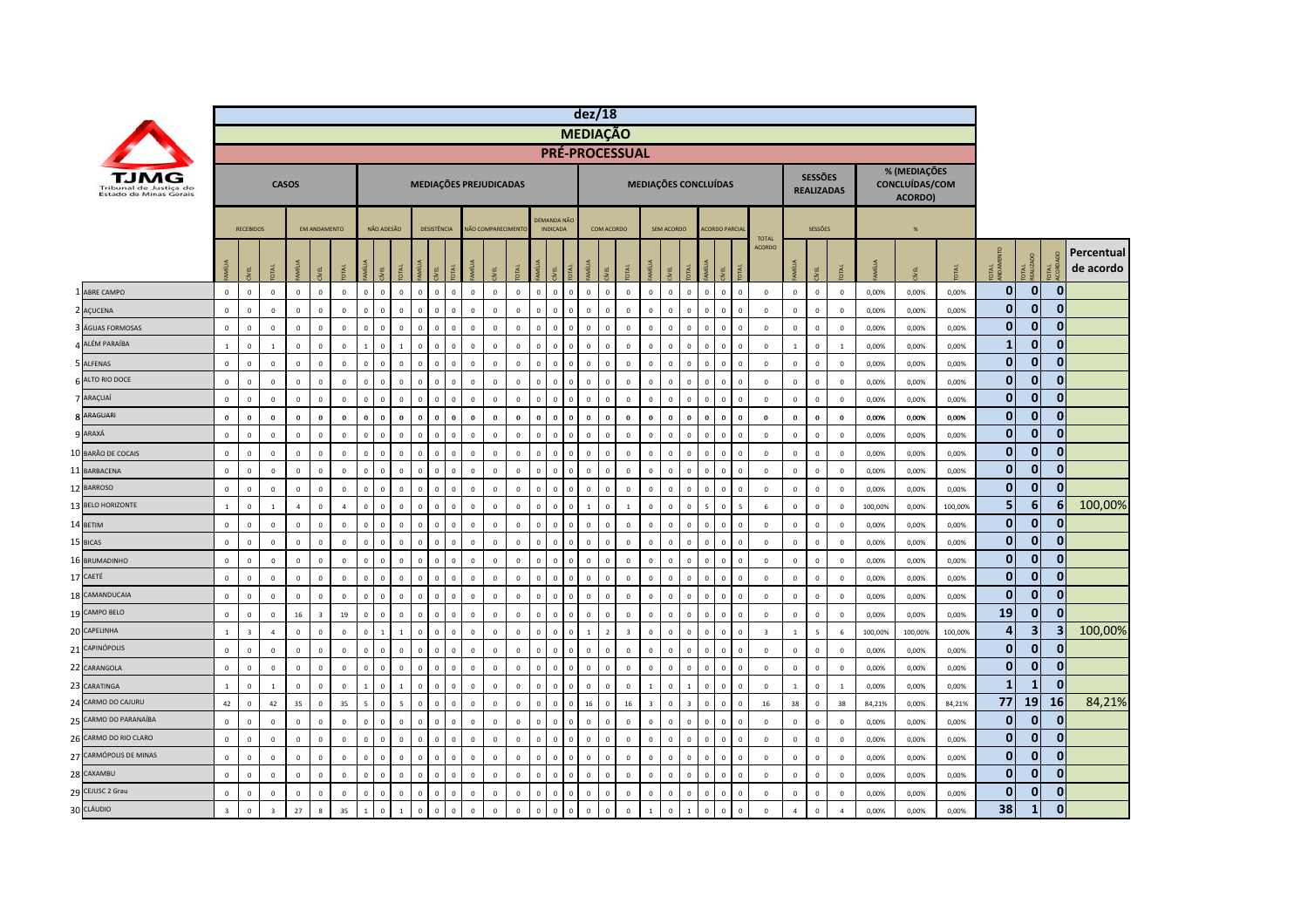|                                                  |                |                  |                         |                |                     |                |                |              |                              |                |             |              |                        |                |              |                                       | dez/18          |                |                         |                      |                |                         |                          |                                        |                         |                |                          |                                     |          |                                           |         |                |                         |              |            |
|--------------------------------------------------|----------------|------------------|-------------------------|----------------|---------------------|----------------|----------------|--------------|------------------------------|----------------|-------------|--------------|------------------------|----------------|--------------|---------------------------------------|-----------------|----------------|-------------------------|----------------------|----------------|-------------------------|--------------------------|----------------------------------------|-------------------------|----------------|--------------------------|-------------------------------------|----------|-------------------------------------------|---------|----------------|-------------------------|--------------|------------|
|                                                  |                |                  |                         |                |                     |                |                |              |                              |                |             |              |                        |                |              |                                       | <b>MEDIAÇÃO</b> |                |                         |                      |                |                         |                          |                                        |                         |                |                          |                                     |          |                                           |         |                |                         |              |            |
|                                                  |                |                  |                         |                |                     |                |                |              |                              |                |             |              |                        |                |              |                                       |                 |                | <b>PRÉ-PROCESSUAL</b>   |                      |                |                         |                          |                                        |                         |                |                          |                                     |          |                                           |         |                |                         |              |            |
| Tribunal de Justica do<br>Estado de Minas Gerais |                |                  |                         | <b>CASOS</b>   |                     |                |                |              |                              |                |             |              | MEDIAÇÕES PREJUDICADAS |                |              |                                       |                 |                |                         | MEDIAÇÕES CONCLUÍDAS |                |                         |                          |                                        |                         |                |                          | <b>SESSÕES</b><br><b>REALIZADAS</b> |          | % (MEDIAÇÕES<br>CONCLUÍDAS/COM<br>ACORDO) |         |                |                         |              |            |
|                                                  |                | <b>RECEBIDOS</b> |                         |                | <b>FM ANDAMENTO</b> |                |                | NÃO ADESÃO   |                              | DESISTÊNCIA    |             |              | NÃO COMPARECIMENTO     |                |              | <b>DEMANDA NÃO</b><br><b>INDICADA</b> |                 | COM ACORDO     |                         |                      | SEM ACORDO     |                         |                          | <b>ACORDO PARCIA</b>                   | <b>TOTAL</b>            |                |                          | <b>SESSÕES</b>                      |          | %                                         |         |                |                         |              |            |
|                                                  |                |                  |                         |                |                     |                |                |              |                              |                |             |              |                        |                |              |                                       |                 |                |                         |                      |                |                         |                          |                                        | <b>ACORDO</b>           |                |                          |                                     |          |                                           |         |                |                         |              | Percentual |
|                                                  |                | EL               | DTAL                    |                |                     |                |                |              | IRI<br>Ī                     | yEL            |             | š            |                        |                |              | g                                     |                 |                |                         | Ī                    | g              |                         | Ĕ                        |                                        |                         | MÍLIA          | ξL,                      |                                     |          |                                           |         | <b>OTAL</b>    | OTAL<br>EALIZADO        | <b>DTAL</b>  | de acordo  |
| <b>ABRE CAMPO</b>                                | $\mathbf 0$    | $\mathbf 0$      | $\mathbb O$             | $\mathbf 0$    | $\mathbf 0$         | $\mathbf 0$    | $\mathbf{0}$   | $\mathbf 0$  | $\mathbb O$<br>$\mathsf 0$   | $\mathbf{0}$   | $\mathbf 0$ | $\mathbf 0$  | $\mathbf 0$            | $\mathbf 0$    | $\mathbf{0}$ | $\mathbf 0$<br>$\mathbf 0$            | $\mathbf 0$     | $\mathbf 0$    | $\mathbf 0$             | $\mathbf 0$          | $\mathsf 0$    | $\mathbf 0$             | $\mathbf 0$              | $\mathbf 0$<br>$\mathbf{0}$            | $\mathbf 0$             | $\mathbf 0$    | $\mathsf 0$              | $\,$ 0                              | 0,00%    | 0,00%                                     | 0,00%   | $\mathbf{0}$   | $\mathbf 0$             | $\mathbf 0$  |            |
| 2 AÇUCENA                                        | $\mathbf 0$    | $\mathbf 0$      | $\mathbf 0$             | $\mathbf 0$    | $\mathbf{0}$        | $\mathbf 0$    | $\mathbf 0$    | $\mathbf 0$  | $\mathbf 0$<br>$\mathbf 0$   | $\mathbf 0$    | $\mathbf 0$ | $\mathbf 0$  | $\circ$                | $\mathbf 0$    | $\Omega$     | $\mathbf 0$<br>$\,0\,$                | $\mathbf 0$     | $\overline{0}$ | $\mathbf 0$             | $\mathbf 0$          | $\mathsf 0$    | $\mathbf 0$             | $\,$ 0                   | $\mathbf 0$<br>$\Omega$                | $\overline{0}$          | $\,0\,$        | $\mathbf 0$              | $\,$ 0                              | 0,00%    | 0,00%                                     | 0,00%   | $\mathbf{0}$   | $\bf{0}$                | 0            |            |
| ÁGUAS FORMOSAS                                   | $\mathbf 0$    | $\mathbf 0$      | $\mathbf 0$             | $\mathbf 0$    | $\mathbf 0$         | $\pmb{0}$      | $\overline{0}$ | $\mathbf 0$  | $\pmb{0}$<br>$\mathbf 0$     | $\overline{0}$ | $\mathbf 0$ | $\mathbf 0$  | $\mathbf 0$            | $\overline{0}$ | $\Omega$     | $\mathbf{0}$<br>$\overline{0}$        | $\mathbf 0$     | $\overline{0}$ | $\mathbf 0$             | $\mathbf 0$          | $\mathsf 0$    | $\mathbf 0$             | $\overline{0}$           | $\mathbf 0$<br>$\Omega$                | $\mathbf 0$             | $\mathbf 0$    | $\mathbf 0$              | $\,$ 0                              | 0,00%    | 0,00%                                     | 0,00%   | $\mathbf{0}$   | $\mathbf 0$             | $\mathbf{0}$ |            |
| ALÉM PARAÍBA                                     | $\mathbf{1}$   | $\mathbf{0}$     | $\overline{1}$          | $\mathbf{0}$   | $\mathbf{0}$        | $\mathbb O$    | $\overline{1}$ | $\Omega$     | $\Omega$<br>$\overline{1}$   | $\Omega$       | $\Omega$    | $\mathbf{0}$ | $\mathbf{0}$           | $\mathbf 0$    | $\Omega$     | $\mathbf{0}$<br>$\Omega$              | $\mathbf 0$     | $\Omega$       | $\mathbf 0$             | $\Omega$             | $\mathbf{0}$   | $\mathbf{0}$            | $\mathbf 0$              | $\mathsf 0$<br>$\Omega$                | $\mathbf 0$             | $\,$ 1         | $\mathbf 0$              | <sup>1</sup>                        | 0,00%    | 0,00%                                     | 0,00%   | $\mathbf{1}$   | $\mathbf{0}$            | $\mathbf{0}$ |            |
| 5 ALFENAS                                        | $\mathsf 0$    | $\mathbf 0$      | $\mathbf 0$             | $\mathbf 0$    | $\mathbf 0$         | $\mathbb O$    | $\mathbf{0}$   | $\mathbf 0$  | $\mathbb O$<br>$\mathsf 0$   | $\mathbf{0}$   | $\Omega$    | $\mathbf 0$  | $\mathbf 0$            | $\mathbf 0$    | $\mathbf{0}$ | $\mathbf 0$<br>$\mathbf 0$            | $\mathbf 0$     | $\,$ 0 $\,$    | $\overline{0}$          | $\mathsf 0$          | $\mathsf 0$    | $\mathbf 0$             | $\mathbf 0$              | $\mathbf 0$<br>$\mathbf{0}$            | $\mathbf 0$             | $\mathsf 0$    | $\mathbf 0$              | $\,$ 0                              | 0,00%    | 0,00%                                     | 0,00%   | $\mathbf{0}$   | $\mathbf 0$             | $\mathbf{0}$ |            |
| 6 ALTO RIO DOCE                                  | $\mathsf 0$    | $\mathbf 0$      | $\mathbf 0$             | $\mathbf 0$    | $\mathbf 0$         | $\mathbb O$    | $\mathbf{0}$   | $\mathbf 0$  | $\mathbf 0$<br>$\mathbf 0$   | $\Omega$       | $\mathbf 0$ | $\mathbf 0$  | $\mathbf 0$            | $\mathbf 0$    | $\Omega$     | $\mathbf 0$<br>$\,0\,$                | $\mathbf 0$     | $\Omega$       | $\overline{0}$          | $\mathbf{0}$         | $\mathsf 0$    | $\mathbf 0$             | $\,$ 0                   | $\mathbf 0$<br>$\Omega$                | $\overline{0}$          | $\,0\,$        | $\mathsf 0$              | $\,$ 0                              | 0,00%    | 0,00%                                     | 0,00%   | $\overline{0}$ | $\mathbf 0$             | $\bf{0}$     |            |
| 7 ARAÇUAÍ                                        | $\mathsf 0$    | $\mathbf 0$      | $\mathbf 0$             | $\mathbf 0$    | $\mathbf 0$         | $\mathbb O$    | $\mathbf 0$    | $\mathbf 0$  | $\mathbf 0$<br>$\mathbf 0$   | $\mathbf 0$    | $\mathbf 0$ | $\mathbf 0$  | $\mathbf 0$            | $\mathbf 0$    | $\mathbf 0$  | $\mathbf 0$<br>$\Omega$               | $\mathbf 0$     | $\overline{0}$ | $\overline{0}$          | $\mathsf 0$          | $\mathsf 0$    | $\mathbf 0$             | $\mathbf 0$              | $\mathbf 0$<br>$\circ$                 | $\mathbf 0$             | $\,0\,$        | $\mathbf 0$              | $\,$ 0                              | 0,00%    | 0,00%                                     | 0,00%   | $\overline{0}$ | $\mathbf 0$             | $\mathbf{0}$ |            |
| 8 ARAGUARI                                       | $\mathbf 0$    | $\mathbf 0$      | $\bf{0}$                | $\mathbf 0$    | $\Omega$            | $\mathbf 0$    | $\mathbf{0}$   | $\mathbf 0$  | $\mathbf 0$<br>$\Omega$      | $\Omega$       | $\Omega$    | $\mathbf{0}$ | $\mathbf{0}$           | $\mathbf 0$    | $\Omega$     | $\mathbf 0$<br>$\mathbf{0}$           | $\mathbf 0$     | $\Omega$       | $\bf{0}$                | $\mathbf 0$          | $\mathbf 0$    | $\mathbf{0}$            | $\mathbf 0$              | $\pmb{0}$<br>$\Omega$                  | $\mathbf 0$             | $\mathbf 0$    | $\mathbf 0$              | $\mathbf 0$                         | 0,00%    | 0,00%                                     | 0,00%   | $\overline{0}$ | $\mathbf 0$             | $\mathbf{0}$ |            |
| 9 ARAXÁ                                          | $\mathbf{0}$   | $\mathbf{0}$     | $\mathbf 0$             | $\mathbf{0}$   | $\mathbf{0}$        | $\Omega$       | $\mathbf{0}$   | $\Omega$     | $\mathbf 0$<br>$\Omega$      | $\mathbf{0}$   | $\Omega$    | $\Omega$     | $\mathbf{0}$           | $\Omega$       | $\Omega$     | $\mathbf{0}$<br>$\mathbf{0}$          | $\Omega$        | $\Omega$       | $\Omega$                | $\Omega$             | $\mathbf{0}$   | $\mathbf{0}$            | $\mathbf 0$              | $\Omega$<br>$\Omega$                   | $\overline{0}$          | $\mathsf 0$    | $\mathbf 0$              | $\mathbf 0$                         | 0,00%    | 0,00%                                     | 0,00%   | $\mathbf{0}$   | $\mathbf 0$             | $\bf{0}$     |            |
| 10 BARÃO DE COCAIS                               | $\mathbf 0$    | $\Omega$         | $\Omega$                | $\Omega$       | $\Omega$            | $\Omega$       | $\Omega$       | $\Omega$     | $\mathbf 0$<br>$\Omega$      | $\Omega$       | $\Omega$    | $\Omega$     | $\mathbf{0}$           | $\Omega$       |              | $\Omega$<br>$\Omega$                  | $\Omega$        | $\Omega$       | $\mathbf 0$             | $\Omega$             | $\Omega$       | $\Omega$                | $\overline{0}$           | $\mathbf 0$<br>$\Omega$                | $\,0\,$                 | $\mathbf 0$    | $\pmb{0}$                | $\,$ 0                              | 0,00%    | 0,00%                                     | 0,00%   | $\mathbf{0}$   | $\mathbf 0$             | 0            |            |
| 11 BARBACENA                                     | $\mathbf 0$    | $\mathbf 0$      | $\mathbf 0$             | $\mathbf 0$    | $\mathbf 0$         | $\mathbf 0$    | $\Omega$       | $\mathbf 0$  | $\mathbb O$<br>$\mathbf 0$   | $\Omega$       | $\Omega$    | $\mathbf 0$  | $\mathbf 0$            | $\mathbf 0$    | $\Omega$     | $\mathbf 0$<br>$\Omega$               | $\mathbf 0$     | $\Omega$       | $\mathbf 0$             | $\mathbf 0$          | $\mathsf 0$    | $\mathbf 0$             | $\overline{0}$           | $\mathsf 0$<br>$\Omega$                | $\mathbf 0$             | $\mathbf 0$    | $\mathbf 0$              | $\,$ 0                              | 0,00%    | 0,00%                                     | 0,00%   | $\mathbf{0}$   | $\mathbf 0$             | $\mathbf{0}$ |            |
| 12 BARROSO                                       | $\mathbf 0$    | $\mathbf 0$      | $\circ$                 | $\mathbf 0$    | $\mathbf{0}$        | $\mathbb O$    | $\mathbf{0}$   | $\Omega$     | $\mathbf 0$<br>$\Omega$      | $\Omega$       | $\Omega$    | $\mathbf 0$  | $\mathbf{0}$           | $\mathbf 0$    | $\Omega$     | $\mathbf{0}$<br>$\mathbf{0}$          | $\mathbf 0$     | $\Omega$       | $\,$ 0                  | $\mathbf{0}$         | $\mathsf 0$    | $\mathbf 0$             | $\mathbf 0$              | $\mathbf 0$<br>$\Omega$                | $\mathbf 0$             | $\,$ 0         | $\mathbf 0$              | $\,$ 0                              | 0,00%    | 0,00%                                     | 0,00%   | $\mathbf{0}$   | $\mathbf 0$             | $\mathbf{0}$ |            |
| 13 BELO HORIZONTE                                | $\mathbf{1}$   | $\mathbf 0$      | $\mathbf{1}$            | $\overline{4}$ | $\mathbf 0$         | $\overline{4}$ | $\mathbf 0$    | $\mathbf 0$  | $\mathbf 0$<br>$\mathbf 0$   | $\mathbf 0$    | $\mathbf 0$ | $\mathbf 0$  | $\mathbf 0$            | $\mathbf 0$    | $\mathbf 0$  | $\mathbf 0$<br>$\overline{0}$         | $\mathbf{1}$    | $\overline{0}$ | $\mathbf{1}$            | $\mathbf 0$          | $\mathsf 0$    | $\mathbf 0$             | $\overline{\phantom{a}}$ | $\overline{\mathbf{5}}$<br>$\mathbf 0$ | 6                       | $\mathbf 0$    | $\mathbf 0$              | $\,$ 0                              | 100,00%  | 0,00%                                     | 100,00% | 5              | $6\phantom{1}6$         | 6            | 100,00%    |
| 14 BETIM                                         | $\mathbf{0}$   | $\Omega$         | $\mathbf{0}$            | $\mathbf{0}$   | $\Omega$            | $\Omega$       | $\mathbf{0}$   | $\Omega$     | $\mathbf{0}$<br>$\Omega$     | $\Omega$       | $\Omega$    | $\mathbf{0}$ | $\mathbf{0}$           | $\Omega$       | $\Omega$     | $\Omega$<br>$\Omega$                  | $\mathbf{0}$    | $\Omega$       | $\Omega$                | $\mathbf{0}$         | $\mathbf{0}$   | $\Omega$                | $\overline{0}$           | $\mathbf{0}$<br>$\Omega$               | $\overline{0}$          | $\mathsf 0$    | $\mathbf 0$              | $\overline{0}$                      | 0.00%    | 0,00%                                     | 0.00%   | $\mathbf{0}$   | $\mathbf{0}$            | $\bf{0}$     |            |
| 15 BICAS                                         | $\mathbf 0$    | $\mathbf 0$      | $\mathbf 0$             | $\mathbf 0$    | $\mathbf{0}$        | $\mathbb O$    | $\mathbf 0$    | $\mathbf 0$  | $\mathbf 0$<br>$\Omega$      | $\mathbf 0$    | $\Omega$    | $\mathbf 0$  | $\mathbf 0$            | $\mathbf 0$    | $\Omega$     | $\mathbf 0$<br>$\Omega$               | $\mathbf 0$     | $\Omega$       | $\mathbf 0$             | $\mathbf 0$          | $\mathsf 0$    | $\overline{0}$          | $\mathbf 0$              | $\mathsf 0$<br>$\Omega$                | $\mathbf 0$             | $\mathsf 0$    | $\mathbf 0$              | $\,$ 0                              | 0,00%    | 0,00%                                     | 0,00%   | $\mathbf{0}$   | $\mathbf 0$             | $\bf{0}$     |            |
| 16 BRUMADINHO                                    | $\mathbf 0$    | $\mathbf{0}$     | $\mathbf{0}$            | $\mathbf{0}$   | $\mathbf{0}$        | $\mathbf{0}$   | $\mathbf{0}$   | $\mathbf{0}$ | $\mathbf{0}$<br>$\Omega$     | $\mathbf{0}$   | $\Omega$    | $\mathbf{0}$ | $\mathbf{0}$           | $\mathbf{0}$   | $\Omega$     | $\mathbf{0}$<br>$\mathbf{0}$          | $\circ$         | $\Omega$       | $\mathbf 0$             | $\mathbf{0}$         | $\mathbf{0}$   | $\mathbf{0}$            | $\overline{0}$           | $\mathsf 0$<br>$\Omega$                | $\overline{0}$          | $\mathsf 0$    | $\mathbf 0$              | $\,$ 0                              | 0,00%    | 0,00%                                     | 0,00%   | $\overline{0}$ | $\mathbf 0$             | $\bf{0}$     |            |
| 17 CAETÉ                                         | $\mathbf 0$    | $\mathbf 0$      | $\mathbf 0$             | $\mathbf 0$    | $\mathbf 0$         | $\mathbf 0$    | $\mathbf 0$    | $\mathbf 0$  | $\mathbb O$<br>$\mathbf 0$   | $\mathbf 0$    | $\mathbf 0$ | $\mathbf 0$  | $\mathbf 0$            | $\mathbf 0$    | $\Omega$     | $\mathbf 0$<br>$\mathbf 0$            | $\mathbf 0$     | $\overline{0}$ | $\mathbf 0$             | $\mathbf 0$          | $\mathsf 0$    | $\mathbf 0$             | $\overline{\mathbf{0}}$  | $\mathsf 0$<br>$\mathbf 0$             | $\mathbf 0$             | $\mathbf 0$    | $\mathbf 0$              | $\,$ 0                              | 0,00%    | 0,00%                                     | 0,00%   | $\mathbf{0}$   | $\bf{0}$                | $\bf{0}$     |            |
| 18 CAMANDUCAIA                                   | $\mathbf 0$    | $\mathbf 0$      | $\mathbf 0$             | $\mathbf 0$    | $\mathbf 0$         | $\mathbf 0$    | $\mathbf 0$    | $\mathbf 0$  | $\mathbf{0}$<br>$\mathbf 0$  | $\mathbf 0$    | $\mathbf 0$ | $\mathbf 0$  | $\mathbf 0$            | $\mathbf 0$    | $\Omega$     | $\mathbf 0$<br>$\mathbf{0}$           | $\mathbf 0$     | $\Omega$       | $\mathbf 0$             | $\mathbf 0$          | $\overline{0}$ | $\mathbf 0$             | $\overline{0}$           | $\mathsf 0$<br>$\Omega$                | $\mathbf 0$             | $\mathsf 0$    | $\mathbf 0$              | $\mathbf 0$                         | 0,00%    | 0,00%                                     | 0,00%   | $\mathbf{0}$   | $\mathbf 0$             | 0            |            |
| 19 CAMPO BELO                                    | $\mathbf 0$    | $\mathbf 0$      | $\overline{0}$          | 16             | $\overline{z}$      | 19             | $\Omega$       | $\Omega$     | $\mathbf 0$<br>$\Omega$      | $\Omega$       | $\Omega$    | $\mathbf 0$  | $\mathbf{0}$           | $\mathbf 0$    | $\sqrt{2}$   | $\mathbf 0$<br>$\Omega$               | $\mathbf 0$     | $\Omega$       | $\mathbf 0$             | $\Omega$             | $\mathbf{0}$   | $\mathbf{0}$            | $\mathbf 0$              | $\mathsf 0$<br>$\Omega$                | $\mathsf 0$             | $\mathsf 0$    | $\mathbf 0$              | $\,$ 0                              | 0,00%    | 0,00%                                     | 0,00%   | 19             | $\mathbf 0$             | $\mathbf{0}$ |            |
| 20 CAPELINHA                                     | $\mathbf{1}$   | $\overline{3}$   | $\overline{a}$          | $\mathbf{0}$   | $\mathbf{0}$        | $\mathbf 0$    | $\mathbf{0}$   | $\mathbf{1}$ | $\mathbf{1}$<br>$\Omega$     | $\mathbf{0}$   | $\Omega$    | $\mathbf{0}$ | $\mathbf{0}$           | $\Omega$       | $\mathbf{0}$ | $\mathbf{0}$<br>$\mathbf{0}$          | $\mathbf{1}$    | $\overline{z}$ | $\overline{\mathbf{3}}$ | $\mathbf{0}$         | $\mathbf{0}$   | $\mathbf{0}$            | $\overline{0}$           | $\mathbf{0}$<br>$\circ$                | $\overline{\mathbf{3}}$ | $\mathbf{1}$   | $\overline{\phantom{a}}$ | 6                                   | 100.00%  | 100,00%                                   | 100,00% | $\overline{4}$ | $\overline{\mathbf{3}}$ | 3            | 100,00%    |
| 21 CAPINÓPOLIS                                   | $\mathsf 0$    | $\mathbf 0$      | $\mathbf 0$             | $\mathbf 0$    | $\mathbf 0$         | $\mathbb O$    | $\mathbf{0}$   | $\mathbf 0$  | $\mathbf{0}$<br>$\mathbf 0$  | $\mathbf{0}$   | $\mathbf 0$ | $\mathbf 0$  | $\mathbf 0$            | $\mathbf 0$    | $\mathbf{0}$ | $\mathbf 0$<br>$\mathbf 0$            | $\mathbf 0$     | $\mathbf 0$    | $\overline{0}$          | $\mathbf 0$          | $\mathsf 0$    | $\mathbf 0$             | $\,$ 0                   | $\mathbf 0$<br>$\circ$                 | $\mathbf 0$             | $\,0\,$        | $\mathbf 0$              | $\overline{\mathbf{0}}$             | 0,00%    | 0,00%                                     | 0,00%   | $\overline{0}$ | $\bf{0}$                | $\mathbf 0$  |            |
| 22 CARANGOLA                                     | $\mathbf 0$    | $\mathbf 0$      | $\mathbf 0$             | $\mathbf 0$    | $\mathbf 0$         | $\mathbf 0$    | $\mathbf 0$    | $\mathbf 0$  | $\mathbf 0$<br>$\mathbf 0$   | $\mathbf 0$    | $\mathbf 0$ | $\mathbf 0$  | $\mathbf 0$            | $\mathbf 0$    | $\Omega$     | $\mathbf 0$<br>$\overline{0}$         | $\mathbf 0$     | $\overline{0}$ | $\overline{0}$          | $\mathbf{0}$         | $\mathsf 0$    | $\mathbf 0$             | $\,$ 0                   | $\mathsf 0$<br>$\mathbf 0$             | $\overline{0}$          | $\mathsf 0$    | $\mathbf 0$              | $\,$ 0                              | 0,00%    | 0,00%                                     | 0,00%   | $\mathbf{0}$   | $\mathbf 0$             | $\mathbf{0}$ |            |
| 23 CARATINGA                                     | $\,$ 1 $\,$    | $\mathbf 0$      | $\mathbf{1}$            | $\mathbf 0$    | $\mathsf 0$         | $\mathbf 0$    | $\overline{1}$ | $\mathbf 0$  | $\mathbf{1}$<br>$\mathbf{0}$ | $\mathbf 0$    | $\mathbf 0$ | $\mathbf 0$  | $\mathbf 0$            | $\mathbf 0$    | $\Omega$     | $\mathbf 0$<br>$\Omega$               | $\mathbf 0$     | $\Omega$       | $\mathbf 0$             | $\mathbf{1}$         | $\mathsf 0$    | $\mathbf{1}$            | $\,$ 0                   | $\mathbf 0$<br>$\mathbf 0$             | $\,0\,$                 | $\,$ 1 $\,$    | $\mathbf 0$              | $\overline{1}$                      | 0,00%    | 0,00%                                     | 0,00%   | $\mathbf{1}$   | $\mathbf{1}$            | $\mathbf{0}$ |            |
| CARMO DO CAJURU<br>24                            | 42             | $\mathbf{0}$     | 42                      | 35             | $\mathbf{0}$        | 35             | $\overline{5}$ | $\mathbf{0}$ | $\overline{5}$<br>$\Omega$   | $\Omega$       | $\Omega$    | $\mathbf{0}$ | $\mathbf{0}$           | $\mathbf{0}$   | $\Omega$     | $\mathbf{0}$<br>$\mathbf{0}$          | $16\,$          | $\Omega$       | 16                      | $\overline{3}$       | $\mathbf{0}$   | $\overline{\mathbf{3}}$ | $\overline{0}$           | $\mathbf{0}$<br>$\circ$                | 16                      | 38             | $\mathbf 0$              | 38                                  | 84.21%   | 0,00%                                     | 84,21%  | 77             | 19                      | <b>16</b>    | 84,21%     |
| CARMO DO PARANAÍBA<br><b>25</b>                  | $\mathbf 0$    | $\mathbf 0$      | $\mathbf 0$             | $\mathbf 0$    | $\mathbf 0$         | $\mathbf 0$    | $\Omega$       | $\mathbf 0$  | $\mathbf{0}$<br>$\Omega$     | $\mathbf 0$    | $\mathbf 0$ | $\mathbf 0$  | $\mathbf 0$            | $\mathbf 0$    | $\Omega$     | $\mathbf 0$<br>$\mathbf 0$            | $\mathbf 0$     | $\overline{0}$ | $\overline{0}$          | $\mathbf 0$          | $\mathsf 0$    | $\mathbf{0}$            | $\,$ 0                   | $\mathbf 0$<br>$\Omega$                | $\overline{0}$          | $\,0\,$        | $\mathbf 0$              | $\,$ 0                              | $0,00\%$ | 0,00%                                     | 0,00%   | $\overline{0}$ | 0                       | 0            |            |
| 26 CARMO DO RIO CLARO                            | $\mathsf 0$    | $\mathbf 0$      | $\mathbf 0$             | $\mathbf 0$    | $\mathbf 0$         | $\mathbf 0$    | $\mathbf{0}$   | $\mathbf 0$  | $\mathbf 0$<br>$\mathbf 0$   | $\mathbf 0$    | $\mathbf 0$ | $\mathbf 0$  | $\mathbf 0$            | $\mathbf 0$    | $\Omega$     | $\mathbf 0$<br>$\Omega$               | $\mathbf 0$     | $\Omega$       | $\overline{0}$          | $\mathbf 0$          | $\overline{0}$ | $\mathbf 0$             | $\mathbf 0$              | $\mathsf 0$<br>$\Omega$                | $\mathbf 0$             | $\mathsf 0$    | $\mathbf 0$              | $\overline{0}$                      | 0,00%    | 0,00%                                     | 0,00%   | $\overline{0}$ | $\mathbf 0$             | 0            |            |
| 27 CARMÓPOLIS DE MINAS                           | $\mathbf 0$    | $\mathbf 0$      | $\mathbf 0$             | $\mathbf 0$    | $\mathbf 0$         | $\mathbb O$    | $\Omega$       | $\mathbf 0$  | $\mathbf 0$<br>$\mathbf 0$   | $\Omega$       | $\Omega$    | $\mathbf 0$  | $\mathbf 0$            | $\,0\,$        | $\Omega$     | $\mathbf 0$<br>$\mathbf{0}$           | $\mathbf 0$     | $\Omega$       | $\overline{0}$          | $\mathbf 0$          | $\mathsf 0$    | $\mathbf 0$             | $\mathbf 0$              | $\mathbf 0$<br>$\Omega$                | $\mathbf 0$             | $\mathsf 0$    | $\mathbf 0$              | $\,$ 0                              | 0,00%    | 0,00%                                     | 0,00%   | $\mathbf{0}$   | $\mathbf 0$             | $\mathbf{0}$ |            |
| 28 CAXAMBU                                       | $\mathsf 0$    | $\mathbf 0$      | $\mathbf 0$             | $\mathbf 0$    | $\mathbf 0$         | $\mathbb O$    | $\mathbf 0$    | $\mathbf 0$  | $\mathbf 0$<br>$\mathbf 0$   | $\mathbf 0$    | $\Omega$    | $\mathbf 0$  | $\mathbf 0$            | $\mathbf 0$    | $\Omega$     | $\mathbf 0$<br>$\mathbf 0$            | $\mathbf 0$     | $\overline{0}$ | $\mathbf 0$             | $\mathbf 0$          | $\mathsf 0$    | $\mathbf 0$             | $\mathbf 0$              | $\mathbf 0$<br>$\mathbf 0$             | $\mathbf 0$             | $\mathsf 0$    | $\mathbf 0$              | $\,$ 0                              | 0,00%    | 0,00%                                     | 0,00%   | $\mathbf{0}$   | $\mathbf 0$             | $\mathbf{0}$ |            |
| 29 CEJUSC 2 Grau                                 | $\mathsf 0$    | $\Omega$         | $\Omega$                | $\Omega$       | $\Omega$            | $\mathbf 0$    | $\mathbf{0}$   | $\mathbf 0$  | $\mathbb O$<br>$\mathbf 0$   | $\mathbf{0}$   | $\mathbf 0$ | $\mathbf{0}$ | $\mathbf 0$            | $\mathbf 0$    | $\Omega$     | $\mathbf 0$<br>$\mathbf 0$            | $\mathbf 0$     | $\Omega$       | $\overline{0}$          | $\mathbf{0}$         | $\mathbf{0}$   | $\mathbf 0$             | $\,$ 0                   | $\mathsf 0$<br>$\Omega$                | $\mathbf 0$             | $\mathsf 0$    | $\pmb{0}$                | $\,$ 0                              | 0,00%    | 0,00%                                     | 0,00%   | $\mathbf{0}$   | $\mathbf 0$             | $\mathbf{0}$ |            |
| 30 CLÁUDIO                                       | $\overline{3}$ | $\mathbf 0$      | $\overline{\mathbf{3}}$ | 27             | $\mathbf{g}$        | 35             | $\overline{1}$ | $\mathbf 0$  | $\mathbf 1$<br>$\mathbf{0}$  | $\mathbf 0$    | $\mathbf 0$ | $\mathbf 0$  | $\mathbf 0$            | $\mathbf 0$    | $\Omega$     | $\mathbf 0$<br>$\mathbf 0$            | $\mathbf 0$     | $\overline{0}$ | $\mathbf 0$             | $\mathbf{1}$         | $\mathsf 0$    | $\mathbf{1}$            | $\mathbf 0$              | $\mathbf{0}$<br>$\Omega$               | $\mathbf{0}$            | $\overline{4}$ | $\mathbf 0$              | $\overline{a}$                      | 0,00%    | 0,00%                                     | 0,00%   | 38             | $\mathbf{1}$            | $\mathbf{0}$ |            |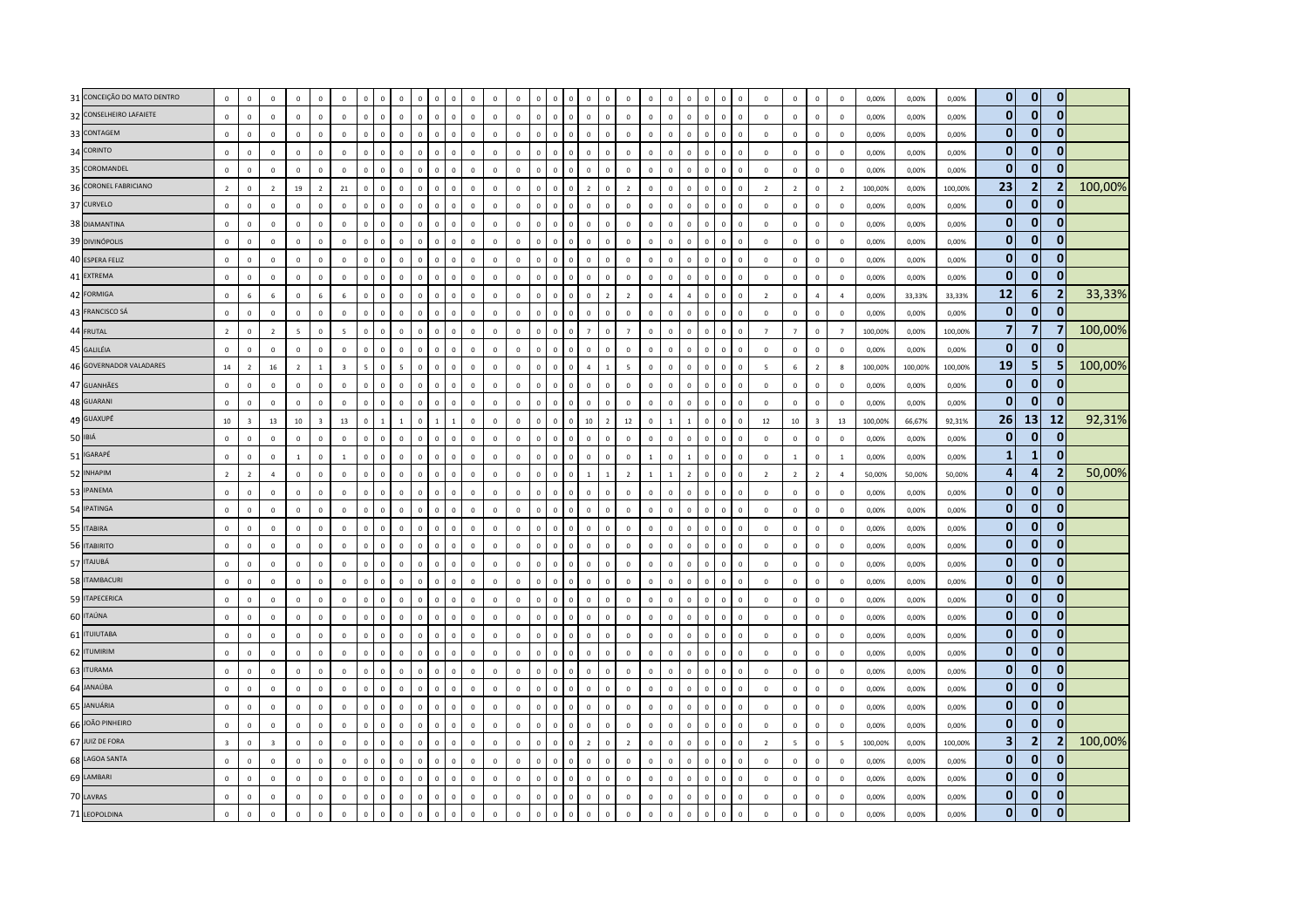| 31 CONCEIÇÃO DO MATO DENTRO | $\mathbf 0$             | $\mathbf 0$             | $\mathbf 0$             | $\mathbb O$      | $\Omega$                | $\mathbf 0$              | $\Omega$     | $\Omega$       | $\mathbf 0$              |              | $\Omega$<br>$\Omega$           | $\Omega$                   | $\Omega$     | $\Omega$       |                |                |              | $\Omega$<br>$\Omega$             | $\overline{0}$ |              | $\Omega$     |                | $\Omega$     | $\Omega$                    | $\mathbf{0}$   | $\mathbf{0}$             | $\Omega$                | $\mathbf 0$              | 0,00%   | 0,00%   | 0,00%   | $\overline{0}$ | $\mathbf{0}$   | $\mathbf{0}$            |         |
|-----------------------------|-------------------------|-------------------------|-------------------------|------------------|-------------------------|--------------------------|--------------|----------------|--------------------------|--------------|--------------------------------|----------------------------|--------------|----------------|----------------|----------------|--------------|----------------------------------|----------------|--------------|--------------|----------------|--------------|-----------------------------|----------------|--------------------------|-------------------------|--------------------------|---------|---------|---------|----------------|----------------|-------------------------|---------|
| 32 CONSELHEIRO LAFAIETE     | $\mathbf 0$             | $\mathsf 0$             | $\mathbf 0$             | $\mathbb O$      | $\Omega$                | $\mathbf 0$              | $\mathbf 0$  | $\mathbf 0$    | $\mathbf 0$              | $\mathbf{0}$ | $\mathbf 0$                    | $\mathbf 0$<br>$\Omega$    | $\Omega$     | $\mathbb O$    | $\overline{0}$ | $\Omega$       |              | $\mathbf 0$<br>$\mathbf 0$       | $\mathbf 0$    | $\mathbf 0$  | $\mathbf 0$  | $\mathsf 0$    | $\mathbf 0$  | $\mathbf 0$<br>$\Omega$     | $\mathbf 0$    | $\mathsf 0$              | $\mathbf 0$             | $\mathbf 0$              | 0,00%   | 0,00%   | 0,00%   | $\mathbf{0}$   | $\mathbf{0}$   | $\mathbf{0}$            |         |
| 33 CONTAGEM                 | $\Omega$                | $\mathbf 0$             | $\,0\,$                 | $\Omega$         | $\Omega$                | $\,0\,$                  | $\mathbf 0$  | $\mathbb O$    | $\mathbf 0$              | $\Omega$     | $\mathbf 0$                    | $\,0\,$<br>$\mathbf 0$     | $\Omega$     | $\mathbb O$    | $\Omega$       | $\Omega$       | $\Omega$     | $\Omega$<br>$\Omega$             | $\mathbf 0$    | $\mathbf 0$  | $\mathbf 0$  | $\Omega$       | $\mathbf 0$  | $\Omega$                    | $\mathbf{0}$   | $\mathbf 0$              | $\mathbf 0$             | $\mathbf 0$              | 0,00%   | 0,00%   | 0,00%   | $\mathbf{0}$   | $\mathbf 0$    | $\Omega$                |         |
| 34 CORINTO                  | $\Omega$                | $\mathbf 0$             | $\overline{0}$          | $\mathbf{0}$     | $\mathbf{0}$            | $\mathbf 0$              | $\mathbf{0}$ | $\overline{0}$ | $\mathbf 0$              | $\mathbf{0}$ | $\Omega$                       | $\overline{0}$<br>$\Omega$ | $\Omega$     | $\overline{0}$ | $\overline{0}$ | $\mathbf{0}$   | $\Omega$     | $\mathbf{0}$<br>$\mathbf 0$      | $\mathbf 0$    | $\Omega$     | $\circ$      | $\Omega$       | $\mathbf{0}$ | $\mathbf 0$<br>$\Omega$     | $\mathbf{0}$   | $\Omega$                 | $\Omega$                | $\mathbf 0$              | 0,00%   | 0.00%   | 0,00%   | $\overline{0}$ | $\mathbf{0}$   | $\mathbf{0}$            |         |
| 35 COROMANDEL               | $\mathbf 0$             | $\mathbf 0$             | $\,$ 0 $\,$             | $\mathbf 0$      | $\Omega$                | $\mathbf 0$              | $\mathbf 0$  | $\mathbb O$    | $\mathbf 0$              | $\mathbf 0$  | $\mathbf 0$                    | $\mathbf 0$<br>$\mathbf 0$ | $\Omega$     | $\mathbb O$    | $\mathbb O$    | $\mathbb O$    | $\Omega$     | $\mathbf 0$<br>$\mathbf 0$       | $\mathbf 0$    | $\mathbf 0$  | $\mathbf 0$  | $\Omega$       | $\mathbf 0$  | $\mathbf 0$                 | $\mathbf 0$    | $\mathbf{0}$             | $\mathbf{0}$            | $\mathbb O$              | 0,00%   | 0,00%   | 0.00%   | $\mathbf{0}$   | $\mathbf 0$    |                         |         |
| 36 CORONEL FABRICIANO       | $\overline{2}$          | $\mathbf 0$             | $\overline{2}$          | 19               | $\overline{2}$          | 21                       | $\Omega$     | $\mathbf 0$    | $\mathbf 0$              | $\Omega$     | $\Omega$                       | $\mathbf 0$<br>$\mathbf 0$ | $\Omega$     | $\,$ 0         | $\Omega$       | $\Omega$       | $\Omega$     | $\overline{2}$<br>$\Omega$       | $\overline{2}$ | $\mathbf 0$  | $\mathbf 0$  | $\Omega$       | $\mathbf 0$  | $\Omega$                    | $\overline{2}$ | $\overline{\phantom{a}}$ | $\mathbf 0$             | $\overline{2}$           | 100,00% | 0,00%   | 100,00% | 23             | $\overline{2}$ | $\overline{2}$          | 100,00% |
| 37 CURVELO                  | $\Omega$                | $\mathbf 0$             | $\mathbf 0$             | $\mathbb O$      | $\mathsf 0$             | $\mathbf 0$              | $\mathbf 0$  | $\mathbf 0$    | $\mathbf 0$              | $\mathbf{0}$ | $\mathbf 0$                    | $\mathbf 0$<br>$\mathbf 0$ | $\mathbb O$  | $\,$ 0         | $\mathbb O$    | $\mathbf{0}$   | $\Omega$     | $\mathbf 0$<br>$\mathbf 0$       | $\mathbf 0$    | $\mathbf 0$  | $\mathsf 0$  | $\Omega$       | $\mathbf 0$  | $\mathbf 0$                 | $\mathbf 0$    | $\mathbf 0$              | $\mathbf 0$             | $\mathbf 0$              | 0,00%   | 0,00%   | 0,00%   | $\overline{0}$ | $\mathbf{0}$   | $\bf{0}$                |         |
| 38 DIAMANTINA               | $\overline{0}$          | $\Omega$                | $\mathbf 0$             | $\Omega$         | $\Omega$                | $\mathbf 0$              | $\Omega$     | $\Omega$       | $\mathbf 0$              | $\Omega$     | $\Omega$                       | $\Omega$<br>$\Omega$       | $\Omega$     | $\Omega$       | $\Omega$       | $\Omega$       | $\Omega$     | $\mathbf{0}$<br>$\Omega$         | $\Omega$       | $\Omega$     | $\mathbf 0$  | $\Omega$       | $\mathbf 0$  | $\Omega$                    | $\mathbf 0$    | $\Omega$                 | $\Omega$                | $\mathbf 0$              | 0,00%   | 0.00%   | 0.00%   | $\overline{0}$ | $\mathbf{0}$   |                         |         |
| 39 DIVINÓPOLIS              | $\,0\,$                 | $\mathbf 0$             | $\,0\,$                 | $\mathbb O$      | $\mathbf 0$             | $\mathbf 0$              | $\mathbf 0$  | $\mathbf 0$    | $\mathbf 0$              | $\mathbf{0}$ | $\mathbf 0$                    | $\,$ 0<br>$\mathbf 0$      | $\mathbb O$  | $\mathbf 0$    | $\mathbf 0$    | $\mathbf 0$    | $\mathbf 0$  | $\mathbf 0$<br>$\mathbf 0$       | $\mathbf 0$    | $\mathbf 0$  | $\mathbf 0$  | $\overline{0}$ | $\mathbf 0$  | $\mathbf 0$<br>$\mathbf{0}$ | $\,0\,$        | $\mathbf 0$              | $\mathbf 0$             | $\mathbf 0$              | 0,00%   | 0,00%   | 0,00%   | $\overline{0}$ | $\mathbf{0}$   | $\bf{0}$                |         |
| 40 ESPERA FELIZ             | $\mathsf 0$             | $\mathsf 0$             | $\,$ 0 $\,$             | $\mathbf 0$      | $\circ$                 | $\mathbf 0$              | $\mathbf 0$  | $\mathbf 0$    | $\mathbf 0$              | $\mathbf{0}$ | $\mathbf 0$                    | $\mathbf 0$<br>$\mathbf 0$ | $\mathbf 0$  | $\mathbf 0$    | $\mathbf 0$    | $\circ$        | $\mathbf{0}$ | $\mathbf 0$<br>$\mathbf 0$       | $\mathbf 0$    | $\mathbf 0$  | $\mathbf 0$  | $\mathbf 0$    | $\mathbf 0$  | $\mathbf 0$<br>$\Omega$     | $\mathbf 0$    | $\mathbf{0}$             | $\mathbf{0}$            | $\mathbf 0$              | 0,00%   | 0,00%   | 0,00%   | $\mathbf{0}$   | $\mathbf{0}$   | $\mathbf{0}$            |         |
| 41 EXTREMA                  | $\mathsf 0$             | $\mathbf 0$             | $\mathbf 0$             | $\mathbf 0$      | $\mathbf 0$             | $\mathbf 0$              | $\mathbf 0$  | $\mathbb O$    | $\mathbf{0}$             | $\mathbf{0}$ | $\mathbf 0$                    | $\mathbf 0$<br>$\mathbf 0$ | $\Omega$     | $\mathbb O$    | $\mathbf 0$    | $\Omega$       | $\Omega$     | $\mathbf 0$<br>$\mathbf 0$       | $\mathbf 0$    | $\mathbf 0$  | $\mathbf{0}$ | $\Omega$       | $\mathbf 0$  | $\mathbf 0$                 | $\mathbf 0$    | $\mathbf 0$              | $\mathbf 0$             | $\mathbf 0$              | 0,00%   | 0,00%   | 0,00%   | $\overline{0}$ | $\mathbf 0$    | $\bf{0}$                |         |
| 42 FORMIGA                  | $\mathsf 0$             | 6                       | 6                       | $\Omega$         | 6                       | $6\phantom{1}$           | $\Omega$     | $\overline{0}$ | $\mathbf 0$              | $\Omega$     | $\Omega$                       | $\Omega$<br>$\mathbf 0$    | $\Omega$     | $\overline{0}$ | $\Omega$       | $\Omega$       | $\Omega$     | $\mathbf 0$<br>$\overline{z}$    | $\overline{2}$ | $\Omega$     | $\Delta$     | $\Delta$       | $\Omega$     | $\Omega$                    | $\overline{2}$ | $\Omega$                 | $\overline{a}$          | $\overline{a}$           | 0,00%   | 33,33%  | 33.33%  | 12             | 6              | 2                       | 33,33%  |
| 43 FRANCISCO SÁ             | $\mathsf 0$             | $\mathsf 0$             | $\mathbf 0$             | $\mathbf{0}$     | $\mathbf{0}$            | $\mathbf 0$              | $\mathbf 0$  | $\mathbf{0}$   | $\mathbf 0$              | $\Omega$     | $\mathbf 0$                    | $\mathbf 0$<br>$\Omega$    | $\mathbf{0}$ | $\overline{0}$ | $\overline{0}$ | $\mathbf{0}$   | $\Omega$     | $\mathbf 0$<br>$\mathbf 0$       | $\mathbf 0$    | $\Omega$     | $\mathsf 0$  | $\Omega$       | $\mathbf 0$  | $\mathbf 0$<br>$\Omega$     | $\mathbf 0$    | $\mathbf{0}$             | $\mathbf{0}$            | $\mathbf 0$              | 0,00%   | 0,00%   | 0,00%   | $\overline{0}$ | $\mathbf{0}$   | 0                       |         |
| 44 FRUTAL                   | $\overline{2}$          | $\mathsf 0$             | $\overline{2}$          | $\overline{5}$   | $\mathsf 0$             | $\overline{\phantom{a}}$ | $\mathbf 0$  | $\mathbb O$    | $\mathbf 0$              | $\mathbf{0}$ | $\mathbf 0$                    | $\mathbf 0$<br>$\mathbf 0$ | $\mathbb O$  | $\mathbb O$    | $\overline{0}$ | $\Omega$       | $\Omega$     | $\mathbf{0}$<br>$\overline{7}$   | $\overline{7}$ | $\mathbf 0$  | $\mathsf 0$  | $\Omega$       | $\mathbf 0$  | $\mathbf 0$                 | $\overline{7}$ | $\overline{7}$           | $\mathbf{0}$            | $\overline{7}$           | 100,00% | 0,00%   | 100,00% | $\overline{7}$ | $\overline{7}$ | $\overline{\mathbf{z}}$ | 100,00% |
| 45 GALILÉIA                 | $\mathbf 0$             | $\mathsf 0$             | $\mathbf 0$             | $\mathbf 0$      | $\mathbf 0$             | $\mathbf 0$              | $\mathbf 0$  | $\mathbf 0$    | $\mathbb O$              | $\mathsf 0$  | $\mathbf 0$                    | $\mathbf 0$<br>$\mathbf 0$ | $\mathbb O$  | $\mathbf 0$    | $\mathbf 0$    | $\mathbf{0}$   | $\mathsf 0$  | $\mathbf 0$<br>$\mathbf 0$       | $\mathbf 0$    | $\mathbf 0$  | $\mathbf 0$  | $\mathsf 0$    | $\mathbf{0}$ | $\mathbf 0$<br>$\Omega$     | $\mathbf 0$    | $\mathbf 0$              | $\mathbf{0}$            | $\mathbf 0$              | 0,00%   | 0,00%   | 0,00%   | $\overline{0}$ | $\mathbf{0}$   | $\mathbf{0}$            |         |
| 46 GOVERNADOR VALADARES     | 14                      | $\overline{2}$          | 16                      | $\overline{z}$   | $\mathbf{1}$            | $\overline{\mathbf{3}}$  | $5^{\circ}$  | $\mathbb O$    | $\overline{\phantom{a}}$ | $\Omega$     | $\mathbf 0$                    | $\mathbf 0$<br>$\Omega$    | $\Omega$     | $\mathbf 0$    | $\Omega$       | $\Omega$       | $\Omega$     | $\overline{4}$<br>$\overline{1}$ | 5              | $\Omega$     | $\mathbf 0$  | $\Omega$       | $\Omega$     | $\mathbf 0$<br>$\Omega$     | $\overline{5}$ | 6                        | $\overline{2}$          | $\bf 8$                  | 100.00% | 100.00% | 100,00% | 19             | 5              |                         | 100,00% |
| 47 GUANHÃES                 | $\mathsf 0$             | $\mathsf 0$             | $\,0\,$                 | $\mathbb O$      | $\Omega$                | $\,0\,$                  | $\Omega$     | $\mathbf{0}$   | $\mathbb O$              | $\Omega$     | $\mathbf{0}$                   | $\mathbf 0$<br>$\mathbf 0$ | $\mathbf 0$  | $\overline{0}$ | $\overline{0}$ | $\Omega$       | $\Omega$     | $\mathbf 0$<br>$\mathbf{0}$      | $\mathbf 0$    | $\mathbf 0$  | $\mathsf 0$  | $\Omega$       | $\mathbf 0$  | $\mathbf 0$<br>$\Omega$     | $\mathbf 0$    | $\mathbf 0$              | $\mathbf 0$             | $\overline{0}$           | 0,00%   | 0.00%   | 0,00%   | 0              | $\mathbf{0}$   | $\mathbf{0}$            |         |
| 48 GUARANI                  | $\mathsf 0$             | $\mathbf 0$             | $\mathbf 0$             | $\mathbb O$      | $\mathbf 0$             | $\mathbf 0$              | $\mathbf 0$  | $\mathbf 0$    | $\mathbf 0$              | $\mathbf{0}$ | $\mathbf 0$                    | $\mathbf 0$<br>$\mathbf 0$ | $\circ$      | $\mathbf 0$    | $\mathbf 0$    | $\circ$        | $\mathbf 0$  | $\mathbf 0$<br>$\mathbf 0$       | $\mathbf 0$    | $\mathbf 0$  | $\mathbf 0$  | $\mathsf 0$    | $\mathbf 0$  | $\mathbf 0$                 | $\mathbf 0$    | $\mathsf 0$              | $\mathbf 0$             | $\mathbf 0$              | 0,00%   | 0,00%   | 0,00%   | $\mathbf{0}$   | $\mathbf{0}$   | $\mathbf{0}$            |         |
| 49 GUAXUPÉ                  | 10                      | $\overline{\mathbf{3}}$ | 13                      | 10 <sup>10</sup> | $\overline{\mathbf{3}}$ | 13                       | $\mathbf 0$  | $\overline{1}$ | $\mathbf{1}$             | $\mathbf{0}$ | $\mathbf{1}$<br>$\overline{1}$ | $\mathbf 0$                | $\mathbf 0$  | $\mathbb O$    | $\mathbf{0}$   | $\mathbf 0$    | $\Omega$     | 10<br>$\overline{2}$             | $12\,$         | $\mathbf 0$  | $\mathbf{1}$ |                | $\mathbf 0$  | $\mathbf 0$                 | 12             | 10                       | $\overline{\mathbf{3}}$ | 13                       | 100,00% | 66,67%  | 92,31%  | 26             | 13             | 12                      | 92,31%  |
| 50 IBIÁ                     | $\mathbf 0$             | $\mathsf 0$             | $\mathbf 0$             | $\mathbf 0$      | $\Omega$                | $\mathbf 0$              | $\Omega$     | $\Omega$       | $\mathbf 0$              | $\Omega$     | $\Omega$                       | $\mathbf 0$<br>$\mathbf 0$ | $\Omega$     | $\overline{0}$ | $\Omega$       | $\Omega$       | $\Omega$     | $\mathbf 0$<br>$\Omega$          | $\mathbf 0$    | $\Omega$     | $\mathsf 0$  | $\Omega$       | $\Omega$     | $\Omega$<br>$\Omega$        | $\mathbf 0$    | $\Omega$                 | $\Omega$                | $\circ$                  | 0,00%   | 0,00%   | 0,00%   | $\mathbf{0}$   | $\mathbf{0}$   | $\mathbf{0}$            |         |
| 51 IGARAPÉ                  | $\mathbf 0$             | $\mathbf 0$             | $\mathbf 0$             | $\mathbf{1}$     | $\mathsf 0$             | $\mathbf{1}$             | $\mathbf 0$  | $\mathbf 0$    | $\mathbf 0$              | $\mathbf{0}$ | $\mathbf 0$                    | $\mathbf 0$<br>$\mathbf 0$ | $\Omega$     | $\mathbf 0$    | $\mathbf 0$    | $\mathbf 0$    | $\mathbf 0$  | $\mathbf 0$<br>$\mathbf 0$       | $\mathbf 0$    | $\mathbf{1}$ | $\mathbf 0$  | $\overline{1}$ | $\mathbf 0$  | $\mathbf 0$<br>$\Omega$     | $\mathbf 0$    | $1\,$                    | $\mathbf 0$             | $\mathbf 1$              | 0,00%   | 0,00%   | 0.00%   | $\mathbf{1}$   | $\mathbf{1}$   | $\bf{0}$                |         |
| 52 INHAPIM                  | $\overline{2}$          | $\overline{2}$          | $\overline{4}$          | $\mathbf 0$      | $\mathsf 0$             | $\mathbf 0$              | $\mathbf 0$  | $\mathbb O$    | $\mathbf 0$              | $\mathbf{0}$ | $\mathbf 0$                    | $\mathbf 0$<br>$\pmb{0}$   | $\mathbf 0$  | $\overline{0}$ | $\overline{0}$ | $\overline{0}$ | $\mathbf{0}$ | $\overline{1}$                   | $\overline{2}$ | $\mathbf{1}$ | $\mathbf{1}$ |                | $\mathbf 0$  | $\overline{0}$              | $\overline{2}$ | $\overline{2}$           | $\overline{2}$          | $\sqrt{4}$               | 50,00%  | 50,00%  | 50,00%  | $\overline{4}$ | 4              | 2                       | 50,00%  |
| 53 IPANEMA                  | $\mathbf{0}$            | $\Omega$                | $\mathbf{0}$            | $\mathbf 0$      | $\mathbf{0}$            | $\mathbf 0$              | $\mathbf{0}$ | $\overline{0}$ | $\mathbf 0$              | $\mathbf{0}$ | $\Omega$                       | $\overline{0}$<br>$\Omega$ | $\mathbf 0$  | $\overline{0}$ | $\overline{0}$ | $\mathbf{0}$   | $\Omega$     | $\mathbf{0}$<br>$\Omega$         | $\mathbf 0$    | $\mathbf{0}$ | $\mathbf 0$  | $\Omega$       | $\mathbf{0}$ | $\mathbf 0$                 | $\mathbf{0}$   | $\mathbf{0}$             | $\mathbf{0}$            | $\overline{0}$           | 0,00%   | 0.00%   | 0.00%   | $\overline{0}$ | $\mathbf{0}$   | 0                       |         |
| 54 IPATINGA                 | $\mathsf 0$             | $\Omega$                | $\mathbf{0}$            | $\mathbf{0}$     | $\Omega$                | $\mathbf{0}$             | $\Omega$     | $\mathbf{0}$   | $\Omega$                 | $\Omega$     | $\Omega$                       | $\mathbf{0}$<br>$\Omega$   | $\Omega$     | $\mathbf{0}$   | $\Omega$       | $\Omega$       | $\Omega$     | $\mathbf{0}$<br>$\Omega$         | $\Omega$       | $\Omega$     | $\Omega$     | $\Omega$       | $\Omega$     | $\mathbf{0}$<br>$\Omega$    | $\mathbf{0}$   | $\Omega$                 | $\Omega$                | $\mathbf 0$              | 0,00%   | 0,00%   | 0,00%   | $\overline{0}$ | $\mathbf{0}$   | $\mathbf{0}$            |         |
| 55 ITABIRA                  | $\,0\,$                 | $\mathbf 0$             | $\mathbf 0$             | $\mathbb O$      | $\mathbf 0$             | $\mathbf 0$              | $\mathbf 0$  | $\mathbf 0$    | $\mathbf 0$              | $\mathbf 0$  | $\mathbf 0$                    | $\mathbf 0$<br>$\pmb{0}$   | $\mathbb O$  | $\mathbf 0$    | $\mathbb O$    | $\mathbf 0$    | $\Omega$     | $\mathbf 0$<br>$\mathbf 0$       | $\mathbf 0$    | $\mathbf 0$  | $\mathbf 0$  | $\overline{0}$ | $\mathbf 0$  | $\mathbf 0$<br>$\mathbf{0}$ | $\,0\,$        | $\mathbf 0$              | $\mathbf 0$             | $\mathbf 0$              | 0,00%   | 0,00%   | 0,00%   | $\mathbf{0}$   | $\mathbf{0}$   | $\mathbf{0}$            |         |
| 56 ITABIRITO                | $\Omega$                | $\mathsf 0$             | $\mathbf 0$             | $\mathbf 0$      | $\mathbf 0$             | $\mathbf 0$              | $\mathbf{0}$ | $\mathbf 0$    | $\mathbf 0$              | $\mathbf{0}$ | $\mathbf{0}$                   | $\mathbf 0$<br>$\mathbf 0$ | $\Omega$     | $\mathbf 0$    | $\overline{0}$ | $\mathbf{0}$   | $\mathbf{0}$ | $\mathbf 0$<br>$\mathbf 0$       | $\mathbf 0$    | $\mathbf{0}$ | $\circ$      | $\circ$        | $\mathbf 0$  | $\mathbf 0$<br>$\Omega$     | $\mathbf 0$    | $\mathbf{0}$             | $\mathbf 0$             | $\mathbf 0$              | 0,00%   | 0,00%   | 0,00%   | $\mathbf{0}$   | $\bf{0}$       | $\mathbf{0}$            |         |
| 57 ITAJUBÁ                  | $\mathbf{0}$            | $\Omega$                | $\mathbf{0}$            | $\Omega$         | $\Omega$                | $\mathbf{0}$             | $\Omega$     | $\mathbf{0}$   | $\Omega$                 | $\Omega$     | $\Omega$                       | $\mathbf{0}$<br>$\Omega$   | $\Omega$     | $\mathbf{0}$   | $\mathbf{0}$   | $\Omega$       | $\Omega$     | $\mathbf{0}$<br>$\Omega$         | $\Omega$       | $\Omega$     | $\mathbf{0}$ | $\Omega$       | $\Omega$     | $\Omega$                    | $\mathbf{0}$   | $\Omega$                 | $\Omega$                | $\Omega$                 | 0.00%   | 0.00%   | 0.00%   | $\mathbf{0}$   | $\mathbf{0}$   | $\mathbf{0}$            |         |
| 58 ITAMBACURI               | $\mathsf 0$             | $\Omega$                | $\mathbf 0$             | $\Omega$         | $\Omega$                | $\mathbf 0$              | $\Omega$     | $\overline{0}$ | $\mathbf 0$              | $\Omega$     | $\Omega$                       | $\mathbf{0}$<br>$\Omega$   | $\Omega$     | $\mathbf 0$    | $\Omega$       | $\Omega$       | $\Omega$     | $\mathbf 0$<br>$\Omega$          | $\mathbf 0$    | $\Omega$     | $\mathbf{0}$ | $\Omega$       | $\Omega$     | $\mathbf{0}$                | $\mathbf 0$    | $\Omega$                 | $\Omega$                | $\mathbf 0$              | 0,00%   | 0.00%   | 0.00%   | $\overline{0}$ | $\mathbf{0}$   | $\mathbf{0}$            |         |
| 59 ITAPECERICA              | $\mathbf 0$             | $\mathsf 0$             | $\,0\,$                 | $\mathbf 0$      | $\mathbf 0$             | $\,0\,$                  | $\mathbf 0$  | $\mathbf 0$    | $\mathbf 0$              | $\Omega$     | $\mathbf 0$                    | $\,0\,$<br>$\Omega$        | $\Omega$     | $\mathbf 0$    | $\mathbb O$    | $\Omega$       | $\Omega$     | $\mathbf 0$<br>$\mathbf 0$       | $\mathbf 0$    | $\mathbf 0$  | $\mathbf 0$  | $\Omega$       | $\mathbf 0$  | $\mathbf 0$                 | $\,$ 0         | $\mathbf{0}$             | $\mathbf 0$             | $\mathbf 0$              | 0,00%   | 0,00%   | 0,00%   | $\mathbf{0}$   | $\mathbf{0}$   | $\Omega$                |         |
| 60 ITAÚNA                   | $\mathbf{0}$            | $\mathbf 0$             | $\mathbf 0$             | $\mathbb O$      | $\mathbf 0$             | $\mathbf 0$              | $\mathbf 0$  | $\mathbb O$    | $\mathbf 0$              | $\Omega$     | $\mathbf 0$                    | $\mathbf 0$<br>$\mathbf 0$ | $\Omega$     | $\mathbb O$    | $\Omega$       | $\Omega$       | $\Omega$     | $\mathbf{0}$<br>$\mathbf 0$      | $\mathbf 0$    | $\mathbf 0$  | $\mathbf 0$  | $\Omega$       | $\mathbf 0$  | $\overline{0}$              | $\mathbf 0$    | $\mathbf 0$              | $\mathbf 0$             | $\circ$                  | 0,00%   | 0,00%   | 0,00%   | $\overline{0}$ | $\mathbf{0}$   | $\Omega$                |         |
| 61 <b>ITUIUTABA</b>         | $\mathsf 0$             | $\mathsf 0$             | $\mathbf 0$             | $\mathbf{0}$     | $\Omega$                | $\mathbf 0$              | $\Omega$     | $\Omega$       | $\mathbb O$              | $\Omega$     | $\Omega$                       | $\mathbf 0$<br>$\mathbf 0$ | $\Omega$     | $\mathbf 0$    | $\overline{0}$ | $\Omega$       | $\Omega$     | $\mathbf 0$<br>$\mathbf{0}$      | $\mathbf 0$    | $\mathbf 0$  | $\mathbf 0$  | $\Omega$       | $\mathbf{0}$ | $\mathbf 0$<br>$\Omega$     | $\mathbf 0$    | $\mathbf 0$              | $\Omega$                | $\mathbf 0$              | 0,00%   | 0,00%   | 0,00%   | $\overline{0}$ | $\mathbf 0$    | $\mathbf{0}$            |         |
| 62 ITUMIRIM                 | $\mathbf 0$             | $\mathbf 0$             | $\mathbf 0$             | $\circ$          | $\mathbf 0$             | $\mathbf 0$              | $\mathbf 0$  | $\mathbb O$    | $\mathbf 0$              | $\Omega$     | $\mathbf 0$                    | $\mathbf 0$<br>$\mathbf 0$ | $\Omega$     | $\overline{0}$ | $\overline{0}$ | $\mathbf{0}$   | $\Omega$     | $\mathbf 0$<br>$\mathbf 0$       | $\mathbf 0$    | $^{\circ}$   | $\mathsf 0$  | $^{\circ}$     | $\mathbf 0$  | $\mathbf 0$<br>$\Omega$     | $\mathbf 0$    | $\mathbf{0}$             | $\mathbf{0}$            | $\mathbf 0$              | 0,00%   | 0,00%   | 0.00%   | $\mathbf{0}$   | $\bf{0}$       | 0                       |         |
| 63 ITURAMA                  | $\mathsf 0$             | $\overline{0}$          | $\mathbf 0$             | $\overline{0}$   | $\mathbf{0}$            | $\mathbf 0$              | $\Omega$     | $\mathbf 0$    | $\mathbf 0$              | $\Omega$     | $\Omega$                       | $\mathbf 0$<br>$\mathbf 0$ | $\Omega$     | $\,$ 0         | $\Omega$       | $\Omega$       | $\Omega$     | $\mathbf 0$<br>$\mathbf 0$       | $\overline{0}$ | $\mathbf 0$  | $\mathbf 0$  | $\Omega$       | $\mathbf 0$  | $\Omega$                    | $\mathbf 0$    | $\mathbf 0$              | $\mathbf 0$             | $\mathbf 0$              | 0,00%   | 0,00%   | 0,00%   | $\mathbf{0}$   | $\mathbf{0}$   | $\mathbf{0}$            |         |
| 64 JANAÚBA                  | $\mathbf{0}$            | $\mathbf 0$             | $\mathbf 0$             | $\mathbb O$      | $\mathbf 0$             | $\mathbf 0$              | $\mathbf{0}$ | $\mathbf 0$    | $\overline{0}$           | $\Omega$     | $\Omega$                       | $\mathbf 0$<br>$\mathbf 0$ | $\Omega$     | $\mathbf 0$    | $\Omega$       | $\Omega$       | $\Omega$     | $\mathbf 0$<br>$\mathbf 0$       | $\mathbf 0$    | $\Omega$     | $\Omega$     | $\Omega$       | $\mathbf 0$  | $\mathbf{0}$                | $\mathbf 0$    | $\mathbf{0}$             | $\mathbf 0$             | $\mathbf 0$              | 0,00%   | 0,00%   | 0,00%   | $\overline{0}$ | $\mathbf{0}$   | $\mathbf{0}$            |         |
| 65 JANUÁRIA                 | $\mathbf 0$             | $\mathbf 0$             | $\mathbf 0$             | $\circ$          | $\mathbf 0$             | $\mathbf 0$              | $\mathbf 0$  | $\mathbb O$    | $\mathbf 0$              | $\mathbf 0$  | $\mathbf 0$                    | $\mathbf 0$<br>$\mathbf 0$ | $\mathbb O$  | $\mathbb O$    | $\overline{0}$ | $\mathbf 0$    | $\Omega$     | $\mathbf 0$<br>$\mathbf 0$       | $\mathbf 0$    | $^{\circ}$   | $\mathbf 0$  | $\Omega$       | $\mathbf 0$  | $\mathbf 0$                 | $\mathbf 0$    | $\mathbf{0}$             | $\mathbf{0}$            | $\mathbf 0$              | 0,00%   | 0,00%   | 0,00%   | $\overline{0}$ | $\mathbf{0}$   | $\mathbf{0}$            |         |
| 66 JOÃO PINHEIRO            | $\mathsf 0$             | $\mathsf 0$             | $\mathbf 0$             | $\mathbb O$      | $\mathbf{0}$            | $\mathbf 0$              | $\mathbf{0}$ | $\overline{0}$ | $\mathbb O$              | $\mathbf{0}$ | $\mathbf{0}$                   | $\,$ 0<br>$\mathbf 0$      | $\mathbf 0$  | $\overline{0}$ | $\overline{0}$ | $\Omega$       | $\Omega$     | $\mathbf 0$<br>$\mathbf{0}$      | $\mathbf 0$    | $\Omega$     | $\mathbf 0$  | $\Omega$       | $\mathbf{0}$ | $\mathbf 0$<br>$\Omega$     | $\mathbf 0$    | $\Omega$                 | $\Omega$                | $\mathbf 0$              | 0,00%   | 0,00%   | 0,00%   | $\mathbf{0}$   | $\mathbf{0}$   | $\mathbf{0}$            |         |
| 67 JUIZ DE FORA             | $\overline{\mathbf{3}}$ | $\mathsf 0$             | $\overline{\mathbf{3}}$ | $\mathbf 0$      | $\mathbf 0$             | $\mathbf 0$              | $\mathbf 0$  | $\mathbf 0$    | $\mathbf 0$              | $\mathbf 0$  | $\mathbf 0$                    | $\mathbf 0$<br>$\mathbf 0$ | $\mathbb O$  | $\mathbf 0$    | $\mathbf 0$    | $\mathbf 0$    | $\mathbf 0$  | $\overline{2}$<br>$\mathbf 0$    | $\overline{2}$ | $\mathbf 0$  | $\mathbf 0$  | $\mathbf 0$    | $\mathbf 0$  | $\mathbf 0$                 | $\overline{2}$ | $\overline{\mathbf{5}}$  | $\mathsf 0$             | $\overline{\phantom{a}}$ | 100,00% | 0,00%   | 100,00% | 3 <sup>1</sup> | $\overline{2}$ |                         | 100,00% |
| 68 LAGOA SANTA              | $\mathbf 0$             | $\mathbf 0$             | $\mathbf 0$             | $\mathbf 0$      | $\mathbf 0$             | $\mathbf 0$              | $\mathbf 0$  | $\mathbb O$    | $\mathbf 0$              | $\mathbf 0$  | $\mathbf 0$                    | $\mathbf 0$<br>$\mathbf 0$ | $\Omega$     | $\mathbb O$    | $\mathbf 0$    | $\Omega$       | $\Omega$     | $\mathbf 0$<br>$\mathbf 0$       | $\mathbf 0$    | $\mathbf 0$  | $\mathbf 0$  | $\Omega$       | $\mathbf 0$  | $\mathbf 0$                 | $\mathbf 0$    | $\mathbf{0}$             | $\mathbf{0}$            | $\mathbf 0$              | 0,00%   | 0,00%   | 0,00%   | $\overline{0}$ | $\mathbf{0}$   | 0                       |         |
| 69 LAMBARI                  | $\mathbf{0}$            | $\Omega$                | $\overline{0}$          | $\mathbf 0$      | $\mathbf{0}$            | $\mathbf 0$              | $\mathbf{0}$ | $\overline{0}$ | $\Omega$                 | $\mathbf{0}$ | $\Omega$                       | $\overline{0}$<br>$\Omega$ | $\mathbf 0$  | $\overline{0}$ | $\overline{0}$ | $\mathbf{0}$   | $\Omega$     | $\mathbf{0}$<br>$\Omega$         | $\mathbf 0$    | $\mathbf{0}$ | $\mathbf{0}$ | $\Omega$       | $\mathbf{0}$ | $\mathbf{0}$                | $\mathbf{0}$   | $\mathbf{0}$             | $\mathbf{0}$            | $\circ$                  | 0.00%   | 0.00%   | 0.00%   | $\mathbf{0}$   | $\mathbf{0}$   | 0                       |         |
| 70 LAVRAS                   | $\mathbf 0$             | $\mathbf 0$             | $\,$ 0                  | $\mathbb O$      | $\mathbf{0}$            | $\mathbf 0$              | $\mathbf 0$  | $\mathbb O$    | $\mathbf 0$              | $\mathbf{0}$ | $\mathbf 0$                    | $\,$ 0<br>$\mathbf 0$      | $\Omega$     | $\mathbf 0$    | $\mathbf 0$    | $\Omega$       | $\Omega$     | $\mathbf 0$<br>$\mathbf 0$       | $\mathbf 0$    | $^{\circ}$   | $\mathbf 0$  | $\circ$        | $\mathbf 0$  | $\mathbf 0$<br>$\Omega$     | $\mathbf 0$    | $\mathsf 0$              | $\mathbf{0}$            | $\mathbf 0$              | 0,00%   | 0,00%   | 0,00%   | $\overline{0}$ | $\bf{0}$       | $\bf{0}$                |         |
| 71 LEOPOLDINA               | $\mathbf 0$             | $\mathbf 0$             | $\mathbf 0$             | $\mathbf 0$      | $\mathbf 0$             | $\mathbf 0$              | $\mathbf 0$  | $\mathbf 0$    | $\mathbf 0$              | $\mathbf 0$  | $\mathsf 0$                    | $\mathbf 0$<br>$\pmb{0}$   | $\mathbf 0$  | $\mathbf 0$    | $\mathbf 0$    | $\mathbf 0$    | $\mathbf{0}$ | $\mathbf{0}$<br>$\mathbf{0}$     | $\mathbf 0$    | $\mathbf 0$  | $\pmb{0}$    | $\overline{0}$ | $\pmb{0}$    | $\mathbf 0$                 | $\mathbf{0}$   | $\mathbf 0$              | $\mathbf{0}$            | $\pmb{0}$                | 0,00%   | 0,00%   | 0,00%   | $\mathbf{0}$   | $\bf{0}$       | $\mathbf{0}$            |         |
|                             |                         |                         |                         |                  |                         |                          |              |                |                          |              |                                |                            |              |                |                |                |              |                                  |                |              |              |                |              |                             |                |                          |                         |                          |         |         |         |                |                |                         |         |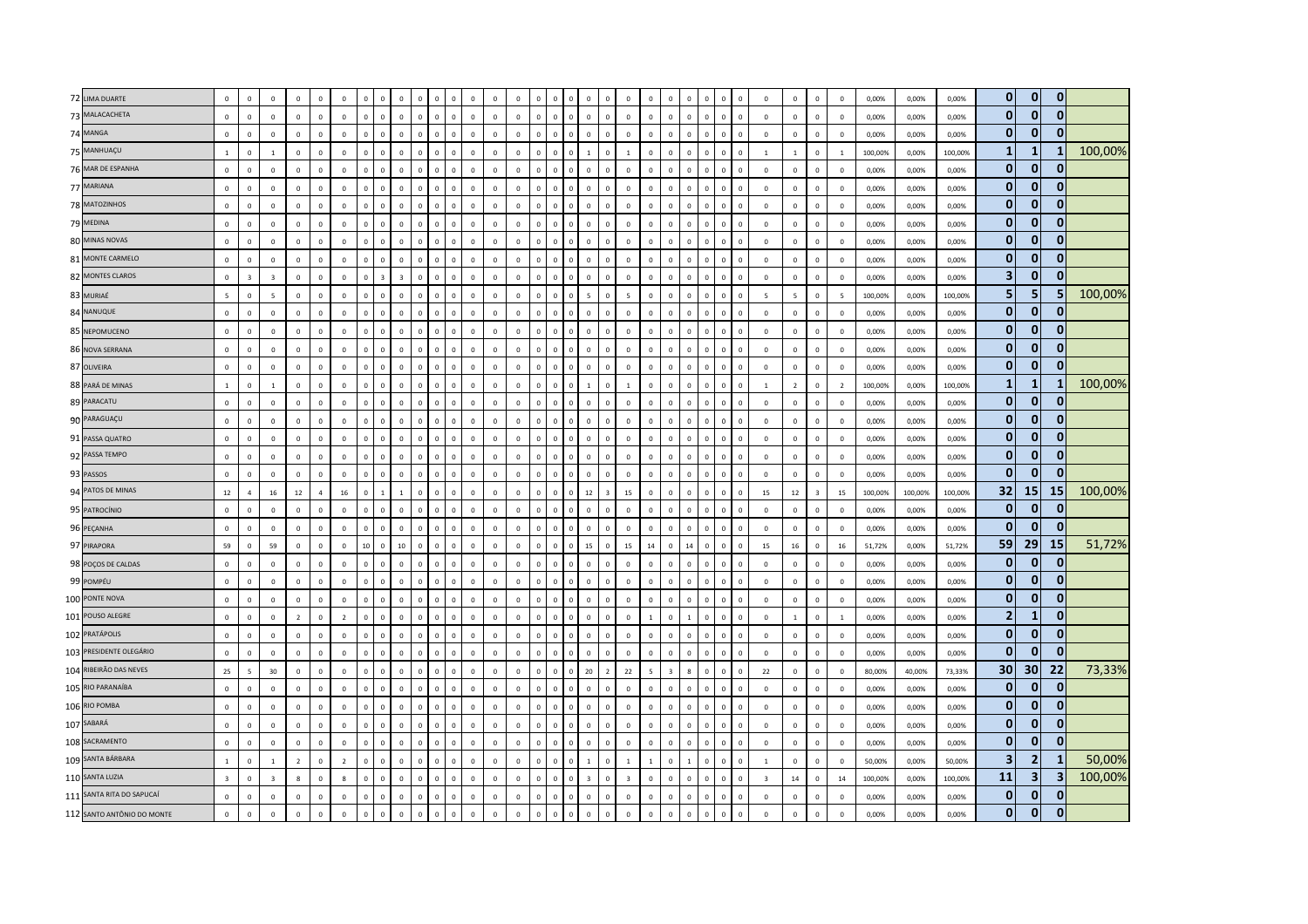| 72 LIMA DUARTE             | $\mathbf 0$             | $\Omega$       | $\mathbf 0$             | $\mathbf 0$    | $\Omega$     | $\mathbf 0$    | $\Omega$<br>$\Omega$                    | $\mathbf 0$                  | $\Omega$     | $\Omega$                | $\Omega$     | $\Omega$       | $\mathbf 0$    | $\Omega$       |                | $\Omega$<br>$\Omega$                    | $\Omega$       | $\overline{0}$          |              | $\Omega$                |                | $\Omega$       |                                | $\overline{0}$          | $\,0\,$                  | $\Omega$       | $\mathbf 0$    | 0,00%   | 0,00%   | 0,00%   | $\overline{0}$  | $\mathbf{0}$            | $\overline{0}$  |         |
|----------------------------|-------------------------|----------------|-------------------------|----------------|--------------|----------------|-----------------------------------------|------------------------------|--------------|-------------------------|--------------|----------------|----------------|----------------|----------------|-----------------------------------------|----------------|-------------------------|--------------|-------------------------|----------------|----------------|--------------------------------|-------------------------|--------------------------|----------------|----------------|---------|---------|---------|-----------------|-------------------------|-----------------|---------|
| 73 MALACACHETA             | $\mathsf 0$             | $\Omega$       | $\mathbf 0$             | $\mathbf 0$    | $\Omega$     | $\mathbf 0$    | $\mathbf 0$<br>$\mathbf 0$              | $\mathbf 0$<br>$\mathbf{0}$  | $\mathbf 0$  | $\mathbf 0$             | $\mathbb O$  | $\mathbf{0}$   | $\mathbb O$    | $\circ$        | $\Omega$       | $\mathbf{0}$<br>$\overline{0}$          | $\mathbf 0$    | $\mathbf 0$             | $\Omega$     | $\mathsf 0$             | $\Omega$       | $\mathbf 0$    | $\mathbf 0$<br>$\Omega$        | $\mathbf 0$             | $\circ$                  | $\Omega$       | $\overline{0}$ | 0,00%   | 0,00%   | 0,00%   | $\mathbf{0}$    | $\mathbf{0}$            | $\overline{0}$  |         |
| 74 MANGA                   | $\mathbf 0$             | $\Omega$       | $\mathbf 0$             | $\mathbf{0}$   | $\Omega$     | $\mathbb O$    | $\mathbf 0$<br>$\overline{0}$           | $\mathbf 0$<br>$\Omega$      | $\mathbf 0$  | $\Omega$                | $\mathbf 0$  | $\mathbf{0}$   | $\mathbf 0$    | $\mathbf 0$    | $\Omega$       | $\mathbf 0$<br>$\overline{0}$           | $\mathbf 0$    | $\overline{0}$          | $\Omega$     | $\mathbf 0$             | $\Omega$       | $\mathbf 0$    | $\mathfrak{g}$<br>$\mathbf{0}$ | $\,0\,$                 | $\Omega$                 | $\Omega$       | $\mathbf 0$    | 0,00%   | 0,00%   | 0,00%   | $\mathbf{0}$    | $\mathbf{0}$            | $\Omega$        |         |
| 75 MANHUAÇU                | $\overline{1}$          | $\Omega$       | $\overline{1}$          | $\mathbf{0}$   | $\Omega$     | $\mathbf{0}$   | $\mathbf{0}$<br>$\overline{\mathbf{0}}$ | $\mathbf{0}$<br>$\Omega$     | $\mathbf{0}$ | $\overline{\mathbf{0}}$ | $\mathbf 0$  | $\overline{0}$ | $\overline{0}$ | $\mathbf{0}$   | $\Omega$       | $\mathbf{0}$<br>$\overline{1}$          | $\mathbf{0}$   | $\overline{1}$          | $\Omega$     | $\mathbf{0}$            | $\mathbf{0}$   | $\mathbf{0}$   | $\overline{0}$<br>$\Omega$     | $\overline{1}$          | $\overline{1}$           | $\Omega$       | $\overline{1}$ | 100,00% | 0,00%   | 100,00% | 1 <sup>1</sup>  | $\mathbf{1}$            |                 | 100,00% |
| 76 MAR DE ESPANHA          | $\mathbf 0$             | $\Omega$       | $\mathbf 0$             | $\circ$        | $\Omega$     | $\mathbb O$    | $\,$ 0<br>$\mathbf 0$                   | $\mathbf 0$<br>$\Omega$      | $\mathsf 0$  | $\,$ 0                  | $\mathbb O$  | $\mathbf 0$    | $\circ$        | $\mathbf 0$    | $\Omega$       | $\mathsf 0$<br>$\mathbf 0$              | $\mathbf 0$    | $\mathbb O$             | $\Omega$     | $\mathbf{0}$            | $\Omega$       | $\mathbf 0$    | $\overline{0}$<br>$\mathbf 0$  | $\mathsf 0$             | $\Omega$                 | $\Omega$       | $\,$ 0         | 0,00%   | 0,00%   | 0,00%   | $\mathbf{0}$    | $\mathbf{0}$            | 0               |         |
| 77 MARIANA                 | $\,0\,$                 | $\Omega$       | $\mathbf 0$             | $\mathbb O$    | $\Omega$     | $\,0\,$        | $\mathbf 0$<br>$\Omega$                 | $\mathbf 0$                  | $\mathbf 0$  | $\Omega$                | $\mathbb O$  | $\Omega$       | $\mathbf 0$    | $\mathbf 0$    |                | $\mathbf 0$<br>$\,$ 0                   | $\mathbf 0$    | $\,0\,$                 | $\Omega$     | $\mathbf 0$             | $\Omega$       | $\mathbf 0$    | $\Omega$<br>$\Omega$           | $\,0\,$                 | $\Omega$                 | $\Omega$       | $\overline{0}$ | 0,00%   | 0,00%   | 0,00%   | $\mathbf{0}$    | $\bf{0}$                | $\Omega$        |         |
| 78 MATOZINHOS              | $\mathbf 0$             | $\Omega$       | $\mathbf 0$             | $\circ$        | $\Omega$     | $\mathbf 0$    | $\mathbf 0$<br>$\mathbf 0$              | $\mathbf 0$<br>$\Omega$      | $\mathbf 0$  | $\,$ 0                  | $\mathbb O$  | $\mathbf{0}$   | $\overline{0}$ | $\circ$        | $\Omega$       | $\mathbf 0$<br>$\,$ 0                   | $\mathbf 0$    | $\mathbf{0}$            | $\Omega$     | $\mathbf{0}$            | $\mathbf{0}$   | $\mathbf 0$    | $\,$ 0<br>$\mathbf{0}$         | $\mathsf 0$             | $\overline{0}$           | $\Omega$       | $\mathbf 0$    | 0,00%   | 0,00%   | 0,00%   | $\mathbf{0}$    | $\mathbf{0}$            | $\mathbf{0}$    |         |
| 79 MEDINA                  | $\Omega$                | $\mathbf 0$    | $\mathbf 0$             | $\Omega$       | $\Omega$     | $\Omega$       | $\Omega$<br>$\mathbf 0$                 | $\Omega$<br>$\Omega$         | $\mathsf 0$  | $\,$ 0                  | $\Omega$     | $\Omega$       | $\mathbf 0$    | $\Omega$       | $\Omega$       | $\mathbf 0$<br>$\Omega$                 | $\mathbf 0$    | $\Omega$                | $\Omega$     | $\Omega$                | $\Omega$       | $\mathbf 0$    | $\Omega$<br>$\Omega$           | $\Omega$                | $\Omega$                 | $\Omega$       | $\mathbf{0}$   | 0,00%   | 0,00%   | 0,00%   | $\mathbf{0}$    | $\mathbf{0}$            | $\mathbf{0}$    |         |
| 80 MINAS NOVAS             | $\mathbf 0$             | $\mathbf{0}$   | $\,0\,$                 | $\mathbf 0$    | $\mathbf 0$  | $\,0\,$        | $\mathsf 0$<br>$\overline{0}$           | $\mathbf 0$                  | $\mathbf 0$  | $\overline{0}$          | $\mathbb O$  | $\mathbf 0$    | $\mathbf{0}$   | $\mathbf 0$    | $\mathbf 0$    | $\mathbf 0$<br>$\,$ 0                   | $\mathbf 0$    | $\,0\,$                 | $\mathbf 0$  | $\mathbf 0$             | $\Omega$       | $\mathbf 0$    | $\overline{0}$<br>$\mathbf 0$  | $\,0\,$                 | $\mathbf 0$              | $\mathbf 0$    | $\,$ 0         | 0,00%   | 0,00%   | 0,00%   | $\mathbf{0}$    | $\mathbf{0}$            | $\mathbf{0}$    |         |
| 81 MONTE CARMELO           | $\mathbf{0}$            | $\Omega$       | $\circ$                 | $\circ$        | $\Omega$     | $\mathbf 0$    | $\mathbf 0$<br>$\,$ 0                   | $\mathbf 0$<br>$\Omega$      | $\mathbf 0$  | $\,$ 0                  | $\mathbb O$  | $\mathbf{0}$   | $\,$ 0 $\,$    | $\circ$        | $\Omega$       | $\mathsf 0$<br>$\mathbf 0$              | $\mathbf 0$    | $\mathbb O$             | $\Omega$     | $\mathbf{0}$            | $\mathbf{0}$   | $\mathbf 0$    | $\,$ 0<br>$\mathbf{0}$         | $\mathsf 0$             | $\mathbf 0$              | $\Omega$       | $\overline{0}$ | 0,00%   | 0,00%   | 0,00%   | $\mathbf{0}$    | $\mathbf{0}$            | $\mathbf{0}$    |         |
| 82 MONTES CLAROS           | $\mathbf 0$             | $\overline{3}$ | $\overline{\mathbf{3}}$ | $\circ$        | $\mathbf 0$  | $\mathbf 0$    | $\mathbf 0$<br>$\overline{3}$           | $\overline{3}$<br>$\Omega$   | $\mathbf 0$  | $\overline{0}$          | $\mathbb O$  | $\mathbf 0$    | $\mathbb O$    | $\mathbf 0$    | $\Omega$       | $\mathbf{0}$<br>$\mathbf 0$             | $\mathbf 0$    | $\mathbb O$             | $\Omega$     | $\mathbf 0$             | $\Omega$       | $\mathbf 0$    | $\overline{0}$<br>$\Omega$     | $\mathsf 0$             | $\mathsf 0$              | $\mathsf 0$    | $\mathbf 0$    | 0,00%   | 0,00%   | 0,00%   | 3 <sup>1</sup>  | $\mathbf{0}$            | $\mathbf{0}$    |         |
| 83 MURIAÉ                  | $\overline{5}$          | $\Omega$       | $5\overline{5}$         | $\mathbb O$    | $\Omega$     | $\circ$        | $\mathbf{0}$<br>$\,$ 0                  | $\mathbf 0$<br>$\Omega$      | $\mathbf{0}$ | $\Omega$                | $\mathbb O$  | $\Omega$       | $\overline{0}$ | $\mathbf 0$    | $\Omega$       | $\mathsf 0$<br>5                        | $\mathbf 0$    | 5                       | $\Omega$     | $\Omega$                | $\Omega$       | $\mathbf{0}$   | $\Omega$<br>$\Omega$           | $\overline{5}$          | 5                        | $\Omega$       | $\overline{5}$ | 100,00% | 0,00%   | 100,00% | 5 <sub>1</sub>  | 5                       |                 | 100,00% |
| 84 NANUQUE                 | $\mathbf{0}$            | $^{\circ}$     | $\mathbf 0$             | $\circ$        | $^{\circ}$   | $\mathbf 0$    | $\mathbf{0}$<br>$\overline{0}$          | $\mathbf 0$<br>$^{\circ}$    | $\mathbf{0}$ | $\overline{0}$          | $\mathbf 0$  | $\mathbf 0$    | $\mathbf{0}$   | $\mathbf{0}$   | $\mathbf{0}$   | $\mathbf{0}$<br>$\mathbf 0$             | $\mathbf 0$    | $\mathbf 0$             | $\Omega$     | $\Omega$                | $\Omega$       | $\mathbf 0$    | $\,$ 0<br>$\Omega$             | $\mathbf 0$             | $\mathbf{0}$             | $\Omega$       | $\mathbf 0$    | 0,00%   | 0,00%   | 0,00%   | $\mathbf{0}$    | $\mathbf{0}$            | $\Omega$        |         |
| 85 NEPOMUCENO              | $\mathbf 0$             | $\mathbf 0$    | $\mathbf 0$             | $\mathbf 0$    | $\mathbf 0$  | $\mathbb O$    | $\mathbf 0$<br>$\overline{0}$           | $\mathbf 0$                  | $\mathbf 0$  | $\,$ 0                  | $\mathbb O$  | $\mathbf 0$    | $\mathbb O$    | $\mathbf 0$    | $\Omega$       | $\mathbf{0}$<br>$\overline{0}$          | $\mathbf 0$    | $\mathbf 0$             | $\Omega$     | $\mathbf 0$             | $\Omega$       | $\mathbf 0$    | $\Omega$<br>$\mathbf 0$        | $\mathsf 0$             | $\mathbf 0$              | $\mathbf 0$    | $\overline{0}$ | 0,00%   | 0,00%   | 0,00%   | $\mathbf{0}$    | $\mathbf{0}$            | $\mathbf{0}$    |         |
| 86 NOVA SERRANA            | $\mathbf 0$             | $\mathbf 0$    | $\mathbf 0$             | $\mathbf 0$    | $\Omega$     | $\mathbf 0$    | $\mathsf 0$<br>$\,$ 0                   | $\mathbf 0$<br>$\Omega$      | $\mathsf 0$  | $\,$ 0                  | $\mathbb O$  | $\mathbf 0$    | $\overline{0}$ | $\mathbf 0$    | $\mathbf{0}$   | $\mathsf 0$<br>$\mathbf 0$              | $\mathbf 0$    | $\mathbf 0$             | $\Omega$     | $\mathsf 0$             | $\mathbf 0$    | $\mathbf 0$    | $\mathbf 0$<br>$\mathbf 0$     | $\mathsf 0$             | $\mathbf 0$              | $\mathbf 0$    | $\overline{0}$ | 0,00%   | 0,00%   | 0,00%   | $\mathbf{0}$    | $\mathbf{0}$            | $\mathbf{0}$    |         |
| 87 OLIVEIRA                | $\mathbf 0$             | $\Omega$       | $\Omega$                | $\Omega$       | $\Omega$     | $\mathbb O$    | $\,$ 0<br>$\Omega$                      | $\mathbf 0$<br>$\Omega$      | $\Omega$     | $\,$ 0                  | $\Omega$     | $\mathbf 0$    | $\mathbf{0}$   | $\mathbf 0$    | $\Omega$       | $\mathbf 0$<br>$\mathbf 0$              | $\mathbf 0$    | $\Omega$                | $\Omega$     | $\Omega$                | $\Omega$       | $\mathbf 0$    | $\Omega$<br>$\Omega$           | $\Omega$                | $\Omega$                 | $\Omega$       | $\,0\,$        | 0,00%   | 0,00%   | 0,00%   | $\mathbf{0}$    | $\mathbf{0}$            |                 |         |
| 88 PARÁ DE MINAS           | $\overline{1}$          | $\Omega$       | <sup>1</sup>            | $\mathbf 0$    | $\Omega$     | $\circ$        | $\mathbf{0}$<br>$\overline{\mathbf{0}}$ | $\mathbf 0$<br>$\Omega$      | $\mathbf{0}$ | $\Omega$                | $\Omega$     | $\mathbf 0$    | $\overline{0}$ | $\mathbf 0$    | $\Omega$       | $\mathbf{0}$<br>$\overline{1}$          | $\mathbf{0}$   | $\overline{1}$          | $\Omega$     | $\mathbf{0}$            | $\Omega$       | $\mathbf{0}$   | $\Omega$<br>$\Omega$           | $\overline{1}$          | $\overline{\phantom{a}}$ | $\Omega$       | $\overline{2}$ | 100,00% | 0,00%   | 100,00% | 1               | $\mathbf{1}$            | -1              | 100,00% |
| 89 PARACATU                | $\mathbf 0$             | $\mathbf 0$    | $\mathbf 0$             | $\mathbf 0$    | $\mathsf 0$  | $\mathbb O$    | $\mathbf 0$<br>$\,$ 0                   | $\mathbf 0$<br>$\mathbf 0$   | $\mathbf 0$  | $\,$ 0                  | $\mathbb O$  | $\mathbf 0$    | $\mathbb O$    | $\mathbf 0$    | $\mathbf 0$    | $\mathbf 0$<br>$\overline{0}$           | $\mathbf 0$    | $\mathbb O$             | $\mathbf 0$  | $\mathbf 0$             | $\mathbf 0$    | $\mathbf 0$    | $\mathbf 0$<br>$\mathbf 0$     | $\mathsf 0$             | $\mathbf 0$              | $\mathbf 0$    | $\,0\,$        | 0,00%   | 0,00%   | 0,00%   | $\mathbf{0}$    | $\mathbf 0$             | $\mathbf{0}$    |         |
| 90 PARAGUAÇU               | $\mathbf{0}$            | $\mathbf 0$    | $\mathbf 0$             | $\circ$        | $\mathbf 0$  | $\mathbb O$    | $\mathsf 0$<br>$\mathbf 0$              | $\mathbf 0$<br>$^{\circ}$    | $\mathsf 0$  | $\mathbf 0$             | $\mathbb O$  | $\mathbf 0$    | $\mathbf{0}$   | $\mathbf 0$    | $\Omega$       | $\mathbf{0}$<br>$\mathbf 0$             | $\mathbf 0$    | $\mathbb O$             | $\Omega$     | $\mathbf 0$             | $\mathbf{0}$   | $\mathbf 0$    | $\overline{0}$<br>$\mathbf 0$  | $\mathbf 0$             | $\mathsf 0$              | $\mathbf{0}$   | $\overline{0}$ | 0,00%   | 0,00%   | 0,00%   | $\mathbf{0}$    | $\mathbf{0}$            | $\Omega$        |         |
| 91 PASSA QUATRO            | $\mathbf 0$             | $\Omega$       | $\mathbf 0$             | $\circ$        | $\Omega$     | $\mathbf 0$    | $\Omega$<br>$\Omega$                    | $\mathbf 0$<br>$\Omega$      | $\mathbf{0}$ | $\Omega$                | $\mathbb O$  | $\mathbf 0$    | $\mathbf 0$    | $\mathbf 0$    | $\Omega$       | $\mathbf 0$<br>$\Omega$                 | $\mathbf{0}$   | $\overline{0}$          | $\Omega$     | $\mathbf{0}$            | $\Omega$       | $\mathbf{0}$   | $\sqrt{ }$<br>$\Omega$         | $\mathsf 0$             | $\Omega$                 | $\Omega$       | $\mathbf 0$    | 0,00%   | 0,00%   | 0,00%   | $\mathbf{0}$    | $\mathbf{0}$            | $\mathbf{0}$    |         |
| 92 PASSA TEMPO             | $\mathsf 0$             | $\mathbf 0$    | $\mathbf 0$             | $\circ$        | $\Omega$     | $\mathbf 0$    | $\,$ 0<br>$\mathbf 0$                   | $\mathbf 0$<br>$\mathbf{0}$  | $\mathbf 0$  | $\,$ 0                  | $\mathbb O$  | $\mathbf 0$    | $\circ$        | $\mathbf 0$    | $\mathbf{0}$   | $\mathsf 0$<br>$\mathbf 0$              | $\mathbf 0$    | $\mathbb O$             | $\Omega$     | $\mathbf 0$             | $\Omega$       | $\mathbf 0$    | $\mathbf 0$<br>$\mathbf 0$     | $\mathsf 0$             | $\mathbf 0$              | $\mathsf 0$    | $\,$ 0         | 0,00%   | 0,00%   | 0,00%   | $\mathbf{0}$    | $\mathbf{0}$            | $\mathbf{0}$    |         |
| 93 PASSOS                  | $\mathbf 0$             | $\mathbf 0$    | $\mathbf 0$             | $\mathbf 0$    | $\mathbf 0$  | $\mathbf 0$    | $\mathbf 0$<br>$\mathbf 0$              | $\pmb{0}$                    | $\mathsf 0$  | $\mathbf 0$             | $\mathbf 0$  | $\mathbf 0$    | $\mathbf 0$    | $\overline{0}$ |                | $\mathbf 0$<br>$\overline{0}$           | $\mathbf 0$    | $\mathbf 0$             |              | $\mathbf 0$             | $\mathbf 0$    | $\mathbf 0$    | $\mathbf 0$<br>$\mathbf 0$     | $\mathsf 0$             | $\mathbf 0$              | $\mathbf 0$    | $\,0\,$        | 0,00%   | 0,00%   | 0,00%   | $\mathbf{0}$    | $\mathbf 0$             | <sup>0</sup>    |         |
| 94 PATOS DE MINAS          | 12                      |                | 16                      | 12             |              | 16             | $\mathbf{0}$<br>$\overline{1}$          | $\mathbf{1}$<br>$\Omega$     | $\mathbf{0}$ | $\overline{\mathbf{0}}$ | $\mathbf 0$  | $\mathbf{0}$   | $\overline{0}$ | $\mathbf{0}$   | $\Omega$       | $\mathbf{0}$<br>12                      | $\overline{3}$ | 15                      | $\Omega$     | $\mathbf{0}$            | $\mathbf{0}$   | $\mathbf{0}$   | $\Omega$<br>$\Omega$           | 15                      | 12                       | $\overline{z}$ | 15             | 100,00% | 100,00% | 100,00% | 32              | 15                      | 15 <sup>1</sup> | 100,00% |
| 95 PATROCÍNIO              | $\mathbf 0$             | $\Omega$       | $\mathbf 0$             | $\Omega$       | $\Omega$     | $\mathbf{0}$   | $\Omega$<br>$\mathbf 0$                 | $\mathbf 0$<br>$\Omega$      | $\mathbf 0$  | $\Omega$                | $\Omega$     | $\Omega$       | $\mathbf{0}$   | $\Omega$       | $\Omega$       | $\mathsf 0$<br>$\mathbf 0$              | $\mathbf 0$    | $\Omega$                | $\Omega$     | $\Omega$                | $\Omega$       | $\mathbf 0$    | $\Omega$<br>$\Omega$           | $\Omega$                | $\Omega$                 | $\Omega$       | $\mathbf{0}$   | 0,00%   | 0,00%   | 0,00%   | $\mathbf{0}$    | $\mathbf{0}$            | $\Omega$        |         |
| 96 PEÇANHA                 | $\mathbf 0$             | $\mathbf{0}$   | $\,0\,$                 | $\mathbf 0$    | $\mathbf{0}$ | $\,0\,$        | $\mathbf 0$<br>$\,$ 0                   | $\mathbf 0$<br>$\Omega$      | $\mathbf 0$  | $\,$ 0                  | $\mathbb O$  | $\mathbf 0$    | $\,0\,$        | $\mathbf 0$    | $\overline{0}$ | $\mathbf 0$<br>$\mathbf 0$              | $\mathbf 0$    | $\,0\,$                 | $\mathbf 0$  | $\mathsf 0$             | $\Omega$       | $\mathbf 0$    | $\overline{0}$<br>$\mathbf 0$  | $\,0\,$                 | $\mathbf 0$              | $\mathbf 0$    | $\,$ 0         | 0,00%   | 0,00%   | 0,00%   | $\mathbf{0}$    | $\mathbf{0}$            | 0               |         |
| 97 PIRAPORA                | 59                      | $\Omega$       | 59                      | $\circ$        | $\mathbf{0}$ | $\circ$        | 10<br>$\,$ 0                            | 10<br>$\mathbf{0}$           | $\mathbf 0$  | $\,$ 0                  | $\mathbb O$  | $\mathbf 0$    | $\circ$        | $\mathbf{0}$   | $\mathbf{0}$   | $\mathbf 0$<br>15                       | $\mathsf 0$    | 15                      | 14           | $\mathbf{0}$            | 14             | $\mathbf 0$    | $\overline{0}$<br>$\mathbf{0}$ | 15                      | 16                       | $\Omega$       | 16             | 51,72%  | 0,00%   | 51,72%  | 59              | 29 <sup>1</sup>         | <b>15</b>       | 51,72%  |
| 98 POÇOS DE CALDAS         | $\Omega$                | $\Omega$       | $\Omega$                | $\Omega$       | $\Omega$     | $\Omega$       | $\Omega$<br>$\Omega$                    | $\Omega$<br>$\Omega$         | $\mathbf{0}$ | $\Omega$                | $\Omega$     | $\Omega$       | $\circ$        | $\mathbf{0}$   | $\Omega$       | $\mathbf{0}$<br>$\mathbf 0$             | $\mathbf{0}$   | $\Omega$                | $\Omega$     | $\Omega$                | $\Omega$       | $\mathbf{0}$   | $\Omega$<br>$\Omega$           | $\Omega$                | $\Omega$                 | $\Omega$       | $\Omega$       | 0.00%   | 0,00%   | 0,00%   | $\mathbf{0}$    | $\mathbf{0}$            | $\bf{0}$        |         |
| 99 POMPÉU                  | $\mathbf 0$             | $\Omega$       | $\circ$                 | $\circ$        | $\Omega$     | $\circ$        | $\mathbf{0}$<br>$\Omega$                | $\mathbf 0$<br>$\Omega$      | $\mathbf{0}$ | $\Omega$                | $\Omega$     | $\Omega$       | $\overline{0}$ | $\Omega$       | $\Omega$       | $\mathbf{0}$<br>$\,$ 0                  | $\mathbf 0$    | $\mathbf 0$             | $\Omega$     | $\Omega$                | $\Omega$       | $\mathbf 0$    | $\Omega$<br>$\Omega$           | $\mathbf 0$             | $\Omega$                 | $\Omega$       | $\,$ 0         | 0,00%   | 0,00%   | 0,00%   | $\overline{0}$  | $\mathbf{0}$            | $\mathbf{0}$    |         |
| 100 PONTE NOVA             | $\mathsf 0$             | $\Omega$       | $\mathbf 0$             | $\mathbf 0$    | $\Omega$     | $\,0\,$        | $\mathbf 0$<br>$\,$ 0                   | $\mathbf 0$<br>$\Omega$      | $\mathbf 0$  | $\,$ 0                  | $\mathbb O$  | $\mathbf 0$    | $\mathbf 0$    | $\mathbf 0$    | $\Omega$       | $\mathbf 0$<br>$\mathbf 0$              | $\mathbf 0$    | $\mathbf 0$             | $\Omega$     | $\mathsf 0$             | $\Omega$       | $\mathbf 0$    | $\,$ 0<br>$\Omega$             | $\,0\,$                 | $\mathbf 0$              | $\Omega$       | $\overline{0}$ | 0,00%   | 0,00%   | 0,00%   | $\mathbf{0}$    | $\mathbf{0}$            | $\mathbf{0}$    |         |
| 101 POUSO ALEGRE           | $\mathbf 0$             | $\mathbf 0$    | $\,0\,$                 | $\overline{2}$ | $\mathbf 0$  | $\overline{2}$ | $\mathsf 0$<br>$\overline{0}$           | $\mathbf 0$<br>$\Omega$      | $\mathsf 0$  | $\overline{0}$          | $\mathbf 0$  | $\mathbf{0}$   | $\mathbf 0$    | $\mathbf 0$    | $\Omega$       | $\mathbf{0}$<br>$\overline{0}$          | $\mathbf 0$    | $\overline{0}$          | $\mathbf{1}$ | $\mathbf 0$             | $\overline{1}$ | $\mathbf 0$    | $\Omega$<br>$\mathbf{0}$       | $\mathbf 0$             | $\overline{1}$           | $\circ$        | 1              | 0,00%   | 0,00%   | 0,00%   | 2 <sub>l</sub>  | $\mathbf{1}$            | $\mathbf{0}$    |         |
| 102 PRATÁPOLIS             | $\Omega$                | $\Omega$       | $\mathbf 0$             | $\Omega$       | $\Omega$     | $\mathbf 0$    | $\mathbf{0}$<br>$\Omega$                | $\mathbf 0$<br>$\Omega$      | $\mathbf{0}$ | $\overline{0}$          | $\mathbb O$  | $\mathbf{0}$   | $\mathbf 0$    | $\mathbf{0}$   | $\Omega$       | $\mathbf{0}$<br>$\mathbf 0$             | $\mathbf{0}$   | $\mathbf 0$             | $\Omega$     | $\mathbf{0}$            | $\Omega$       | $\mathbf{0}$   | $\Omega$<br>$\Omega$           | $\mathsf 0$             | $\Omega$                 | $\Omega$       | $\mathbf 0$    | 0,00%   | 0,00%   | 0,00%   | $\mathbf{0}$    | $\mathbf{0}$            | $\mathbf{0}$    |         |
| 103 PRESIDENTE OLEGÁRIO    | $\mathbf 0$             | $\mathbf 0$    | $\mathbf 0$             | $\mathbf{0}$   | $\mathbf 0$  | $\circ$        | $\,$ 0<br>$\mathbf{0}$                  | $\mathbf 0$<br>$^{\circ}$    | $\mathbf 0$  | $\,$ 0                  | $\mathbf{0}$ | $\mathbf 0$    | $\mathbf{0}$   | $\mathbf 0$    | $\mathbf{0}$   | $\mathbf 0$<br>$\mathbf 0$              | $\mathbf 0$    | $\overline{0}$          | $\Omega$     | $\mathbf 0$             | $\Omega$       | $\mathbf 0$    | $\mathbf 0$<br>$\mathbf{0}$    | $\mathsf 0$             | $\mathbf 0$              | $\mathbf{0}$   | $\,$ 0         | 0,00%   | 0,00%   | 0,00%   | $\mathbf{0}$    | $\mathbf{0}$            | $\Omega$        |         |
| 104 RIBEIRÃO DAS NEVES     | 25                      |                | 30                      | $\mathbf 0$    | $\Omega$     | $\mathbf 0$    | $\mathsf 0$<br>$\Omega$                 | $\mathbf 0$                  | $\mathsf 0$  | $\Omega$                | $\mathbf 0$  | $\mathbf 0$    | $\mathbf 0$    | $\mathbf 0$    |                | $\mathbf 0$<br>20                       | $\overline{2}$ | 22                      |              | $\overline{\mathbf{3}}$ |                | $\mathbf 0$    | $\mathfrak{g}$<br>$\Omega$     | 22                      | $\mathbf 0$              | $\mathbf 0$    | $\overline{0}$ | 80,00%  | 40,00%  | 73,33%  | 30 <sup>1</sup> | 30 <sup>1</sup>         | 22              | 73,33%  |
| 105 RIO PARANAÍBA          | $\mathbf 0$             | $\Omega$       | $\mathbf 0$             | $\mathbb O$    | $\Omega$     | $\mathbb O$    | $\mathsf 0$<br>$\,$ 0                   | $\mathbf 0$<br>$\Omega$      | $\mathsf 0$  | $\,$ 0                  | $\mathbb O$  | $\mathbf{0}$   | $\overline{0}$ | $\mathbf 0$    | $\Omega$       | $\mathbf 0$<br>$\mathbf 0$              | $\mathbf 0$    | $\mathbb O$             | $\Omega$     | $\mathbf 0$             | $\Omega$       | $\mathbf 0$    | $\Omega$                       | $\mathsf 0$             | $\mathbf{0}$             | $\Omega$       | $\mathbf 0$    | 0,00%   | 0,00%   | 0,00%   | $\mathbf{0}$    | $\mathbf{0}$            | $\bf{0}$        |         |
| 106 RIO POMBA              | $\mathbf{0}$            | $\mathbf 0$    | $\mathbf 0$             | $\circ$        | $\mathbf 0$  | $\mathbb O$    | $\mathsf 0$<br>$\,$ 0                   | $\mathbf 0$<br>$^{\circ}$    | $\mathbf 0$  | $\,$ 0                  | $\mathbb O$  | $\mathbf 0$    | $\mathbf 0$    | $\mathbf 0$    | $\Omega$       | $\mathsf 0$<br>$\mathbf 0$              | $\mathbf 0$    | $\mathbb O$             | $\Omega$     | $\mathbf 0$             | $\Omega$       | $\mathbf 0$    | $\overline{0}$<br>$\mathbf 0$  | $\mathsf 0$             | $\mathsf 0$              | $\mathbf 0$    | $\mathbf 0$    | 0,00%   | 0,00%   | 0,00%   | $\mathbf{0}$    | $\mathbf{0}$            | $\mathbf{0}$    |         |
| 107 SABARÁ                 | $\Omega$                | $\Omega$       | $\circ$                 | $\mathbf 0$    | $\Omega$     | $\mathbf 0$    | $\mathbf{0}$<br>$\overline{\mathbf{0}}$ | $\mathbf 0$<br>$\Omega$      | $\mathbf{0}$ | $\,$ 0                  | $\mathbb O$  | $\overline{0}$ | $\overline{0}$ | $\overline{0}$ | $\Omega$       | $\circ$<br>$\mathbf 0$                  | $\mathbf{0}$   | $\mathbf 0$             | $\Omega$     | $\mathbf{0}$            | $\Omega$       | $\mathbf{0}$   | $\Omega$<br>$\mathbf{0}$       | $\mathsf 0$             | $\Omega$                 | $\Omega$       | $\overline{0}$ | 0,00%   | 0,00%   | 0,00%   | $\mathbf{0}$    | $\mathbf{0}$            | $\Omega$        |         |
| 108 SACRAMENTO             | $\mathbf 0$             | $\mathbf 0$    | $\mathbf 0$             | $\mathbf 0$    | $\Omega$     | $\mathbb O$    | $\mathsf 0$<br>$\,$ 0                   | $\mathbf 0$<br>$\mathbf 0$   | $\mathsf 0$  | $\,$ 0                  | $\mathbb O$  | $\mathbf 0$    | $\mathbf 0$    | $\mathbf 0$    | $\mathbb O$    | $\mathbf 0$<br>$\mathbf 0$              | $\mathbf 0$    | $\mathbf 0$             | $\mathbf 0$  | $\mathbf 0$             | $\mathsf 0$    | $\mathbf 0$    | $\mathbf 0$<br>$\mathbf 0$     | $\mathsf 0$             | $\mathbf 0$              | $\mathbf 0$    | $\mathbf 0$    | 0,00%   | 0,00%   | 0,00%   | $\mathbf{0}$    | $\mathbf{0}$            | $\bf{0}$        |         |
| 109 SANTA BÁRBARA          | $\mathbf{1}$            | $\Omega$       | $\mathbf{1}$            | $\overline{2}$ | $\Omega$     | $\overline{2}$ | $\mathbf 0$<br>$\overline{0}$           | $\mathbf 0$                  | $\mathbf 0$  | $\overline{0}$          | $\mathbb O$  | $\Omega$       | $\mathbf 0$    | $\Omega$       |                | $\mathbf 0$<br>$\ddot{\phantom{a}}$     | $\mathbf 0$    | $\overline{1}$          |              | $\mathbf 0$             | $\overline{1}$ | $\mathbf 0$    | $\Omega$<br>$\Omega$           | $\mathbf{1}$            | $\mathbf 0$              | $\Omega$       | $\overline{0}$ | 50,00%  | 0,00%   | 50,00%  | 3 <sup>1</sup>  | $\overline{2}$          |                 | 50,00%  |
| 110 SANTA LUZIA            | $\overline{\mathbf{3}}$ | $\Omega$       | $\overline{\mathbf{3}}$ | $\mathbf{8}$   | $\Omega$     | 8              | $\mathbf{0}$<br>$\overline{\mathbf{0}}$ | $\mathbf{0}$<br>$\mathbf{0}$ | $\mathbf{0}$ | $\overline{\mathbf{0}}$ | $\mathbf 0$  | $\mathbf{0}$   | $\overline{0}$ | $\mathbf{0}$   | $\Omega$       | $\mathbf{0}$<br>$\overline{\mathbf{3}}$ | $\mathbf{0}$   | $\overline{\mathbf{3}}$ | $\Omega$     | $\mathbf{0}$            | $\mathbf{0}$   | $\mathbf{0}$   | $\overline{0}$<br>$\mathbf{0}$ | $\overline{\mathbf{3}}$ | 14                       | $\Omega$       | 14             | 100,00% | 0,00%   | 100,00% | 11              | $\overline{\mathbf{3}}$ | 3               | 100,00% |
| 111 SANTA RITA DO SAPUCAÍ  | $\mathsf 0$             | $^{\circ}$     | $\circ$                 | $\mathbf 0$    | $\Omega$     | $\mathbf 0$    | $\mathbf{0}$<br>$\overline{\mathbf{0}}$ | $\mathbf 0$<br>$\mathbf{0}$  | $\mathbf 0$  | $\mathbb O$             | $\mathbf 0$  | $\,0\,$        | $\mathbb O$    | $\circ$        | $\mathbf{0}$   | $\mathsf 0$<br>$\mathbb O$              | $\mathbf 0$    | $\mathbf{0}$            | $\Omega$     | $\mathbf 0$             | $\Omega$       | $\mathbf 0$    | $\mathbf 0$<br>$\Omega$        | $\mathsf 0$             | $\Omega$                 | $\Omega$       | $\mathbf 0$    | 0,00%   | 0,00%   | 0,00%   | $\mathbf{0}$    | $\mathbf 0$             | $\bf{0}$        |         |
| 112 SANTO ANTÔNIO DO MONTE | $\mathbf 0$             | $\mathbf 0$    | $\mathbf 0$             | $\mathbf 0$    | $\mathbf 0$  | $\mathbf 0$    | $\mathsf 0$<br>$\mathbf 0$              | $\pmb{0}$                    | $\mathbf 0$  | $\overline{0}$          | $\mathbf 0$  |                | $\overline{0}$ | $\mathbf 0$    |                | $\mathfrak o$<br>$\overline{0}$         | $\mathbf 0$    | $\mathbf 0$             |              | $\mathbf{0}$            | $\overline{0}$ | $\overline{0}$ |                                | $\mathbf 0$             |                          | $\mathbf 0$    | $\mathbf{0}$   | 0,00%   | 0,00%   | 0,00%   | $\mathbf{0}$    | $\bf{0}$                | $\Omega$        |         |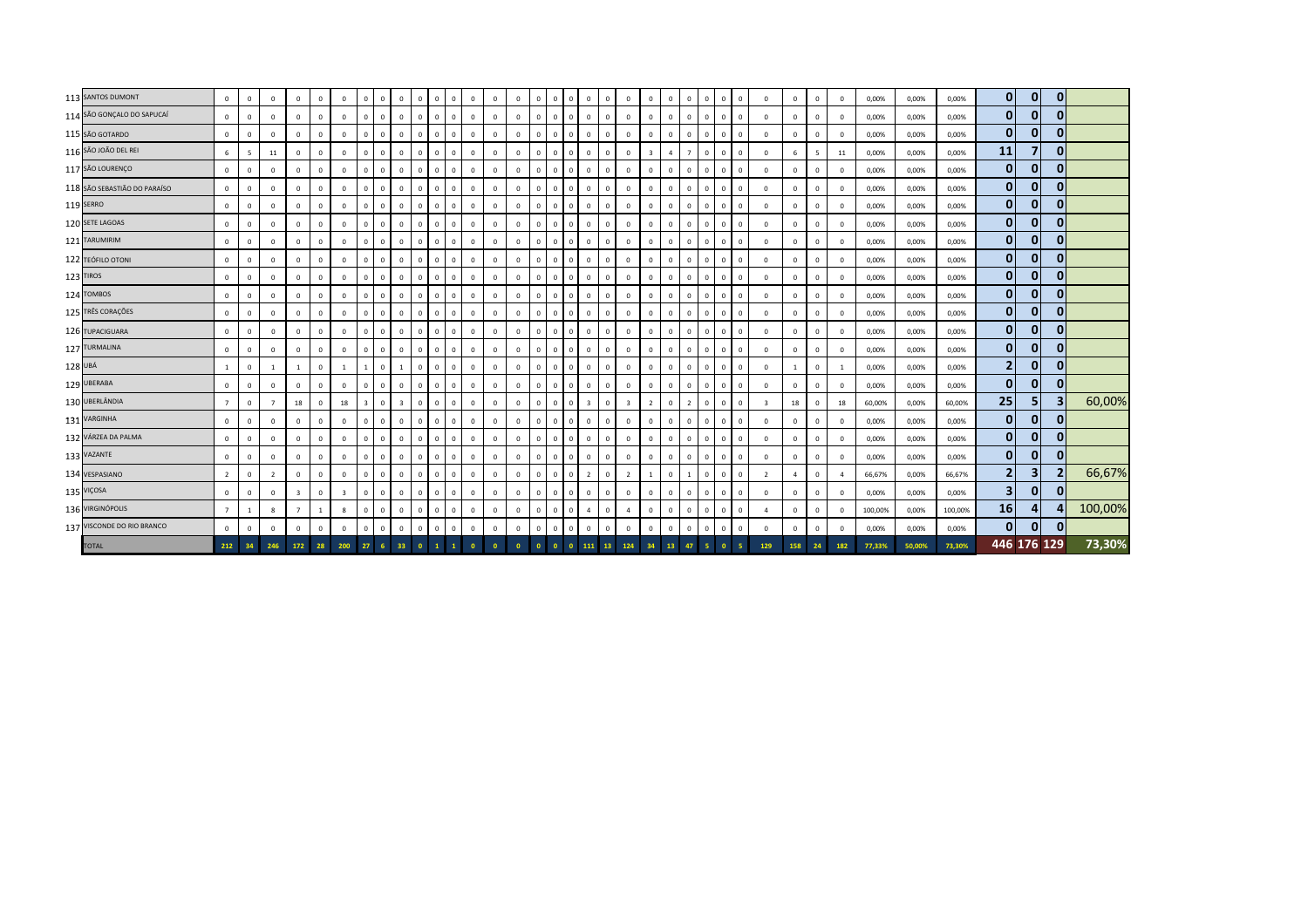|         | 113 SANTOS DUMONT            | $\mathbf 0$    | $\mathbf 0$ | $\overline{0}$ | $\mathbf 0$             | $\mathbf{0}$ | $^{\circ}$              | $\overline{0}$          |              | $\mathbf 0$             | $\mathbf 0$<br>$\mathbf{0}$      |              | $\mathbf 0$  | $\overline{0}$ | $\Omega$     | $\mathbf{0}$   | $\Omega$    | $^{\circ}$<br>$^{\circ}$      |                | $^{\circ}$              | $\mathbf{0}$            | $\Omega$       | $\Omega$       | $^{\circ}$   | $\overline{0}$<br>$\mathbf{0}$            | $^{\circ}$              | $\mathbf{0}$   | $^{\circ}$   | $\mathbf 0$    | 0,00%   | 0,00%  | 0,00%   | $\mathbf{0}$   | $\mathbf{0}$   | $\mathbf{0}$ |         |
|---------|------------------------------|----------------|-------------|----------------|-------------------------|--------------|-------------------------|-------------------------|--------------|-------------------------|----------------------------------|--------------|--------------|----------------|--------------|----------------|-------------|-------------------------------|----------------|-------------------------|-------------------------|----------------|----------------|--------------|-------------------------------------------|-------------------------|----------------|--------------|----------------|---------|--------|---------|----------------|----------------|--------------|---------|
|         | 114 SÃO GONÇALO DO SAPUCAÍ   | $\mathbf{0}$   | $\mathbf 0$ | $\overline{0}$ | $\mathbf 0$             | $\mathbf{0}$ | $\mathbf 0$             | $\overline{0}$          |              | $\mathbb O$             | $\mathbf{0}$<br>$\overline{0}$   | $\Omega$     | $\,$ 0       | $\mathbf 0$    | $^{\circ}$   | $\mathbf 0$    | $\Omega$    | $\mathbf 0$<br>$^{\circ}$     | $\Omega$       | $\mathbf{0}$            | $\mathbf{0}$            | $\mathbf{0}$   | $\mathbf{0}$   | $\mathbf{0}$ | $\overline{0}$<br>$\overline{0}$          | $\mathbf{0}$            | $\mathbf{0}$   | $^{\circ}$   | $\mathbf 0$    | 0,00%   | 0,00%  | 0,00%   | $\bf{0}$       | $\overline{0}$ | 0            |         |
|         | 115 SÃO GOTARDO              | $\mathbf 0$    | $^{\circ}$  | $\Omega$       | $\,0\,$                 | $\Omega$     | $^{\circ}$              | $\overline{0}$          |              | $\mathbf 0$             | $\overline{0}$<br>$\mathbf{0}$   | $\Omega$     | $\mathbf 0$  | $\,$ 0         | $\Omega$     | $\mathbf{0}$   | $\Omega$    | $\mathbf{0}$<br>$^{\circ}$    | $\Omega$       | $\mathbf{0}$            | $\mathbf{0}$            | $\mathbf{0}$   | $\Omega$       | $\mathbf 0$  | $\overline{0}$<br>$\mathbf 0$             | $\Omega$                | $^{\circ}$     | $\Omega$     | $\mathbf 0$    | 0,00%   | 0,00%  | 0,00%   | $\bf{0}$       | $\mathbf{0}$   |              |         |
|         | 116 SÃO JOÃO DEL REI         | $\,$ 6 $\,$    | 5           | 11             | $\,0\,$                 | $\mathbf{0}$ | $\mathbf{0}$            | $\overline{0}$          |              | $\mathbf 0$             | $\mathbf{0}$<br>$\overline{0}$   | $\Omega$     | $\mathbf 0$  | $\mathbf 0$    | $\mathbf{0}$ | $\mathbf{0}$   | $\Omega$    | $\mathsf 0$<br>$^{\circ}$     | $\Omega$       | $\mathbf 0$             | $\overline{\mathbf{3}}$ | $\overline{4}$ | $\overline{7}$ | $\circ$      | $\overline{0}$<br>$\mathbf{0}$            | $\mathbf{0}$            | 6              | -5           | 11             | 0,00%   | 0,00%  | 0,00%   | 11             | 7              | 0            |         |
|         | 117 SÃO LOURENÇO             | $\mathbf 0$    | $\mathbf 0$ | $\mathbf{0}$   | $\mathbf 0$             | $\Omega$     | $\mathbf{0}$            | $\overline{0}$          | $\Omega$     | $\mathbf 0$             | $\mathbf 0$<br>$\mathbf 0$       | $\Omega$     | $\mathbf 0$  | $\circ$        | $\mathbf{0}$ | $\overline{0}$ | $\Omega$    | $\mathbf 0$<br>$^{\circ}$     | $\Omega$       | $\mathbf{0}$            | $\mathbf{0}$            | $\Omega$       | $\mathbf{0}$   | $\mathbf 0$  | $\mathbf{0}$<br>$\overline{0}$            | $\Omega$                | $\mathbf 0$    | $^{\circ}$   | $\mathbf 0$    | 0,00%   | 0,00%  | 0,00%   | $\mathbf{0}$   | $\mathbf{0}$   | $\Omega$     |         |
|         | 118 SÃO SEBASTIÃO DO PARAÍSO | $\mathbf 0$    | $\mathbf 0$ | $\overline{0}$ | $\mathbf 0$             | $\mathbf 0$  | $^{\circ}$              | $\overline{0}$          |              | $\mathbf 0$             | $\overline{0}$<br>$\mathbf 0$    | $\Omega$     | $\mathbf 0$  | $\,$ 0         | $\Omega$     | $\mathbf 0$    |             | $\mathbf 0$<br>$^{\circ}$     | $\Omega$       | $\mathbf{0}$            | $\mathbf 0$             | $\mathbf{0}$   | $^{\circ}$     | $\mathbf{0}$ | $\overline{\mathbf{0}}$<br>$\mathbf{0}$   | $\mathbf{0}$            | $\mathbf 0$    | $^{\circ}$   | $\mathbf 0$    | 0,00%   | 0,00%  | 0,00%   | $\mathbf{0}$   | $\mathbf{0}$   | $\mathbf{0}$ |         |
|         | 119 SERRO                    | $\mathbf 0$    | $^{\circ}$  | $\mathbf 0$    | $\mathbf 0$             | $^{\circ}$   | $\mathbf 0$             | $\overline{0}$          | $\Omega$     | $\mathbf 0$             | $\mathbf 0$<br>$\mathbf 0$       | $\Omega$     | $\mathbf 0$  | $\mathbf 0$    | $\Omega$     | $\mathbf{0}$   | $\Omega$    | $\Omega$<br>$^{\circ}$        | $\Omega$       | $\mathbf 0$             | $\Omega$                | $\mathbf 0$    | $^{\circ}$     | $\circ$      | $\Omega$<br>$\Omega$                      | $\mathbf{0}$            | $^{\circ}$     | $\Omega$     | $\mathbf 0$    | 0,00%   | 0,00%  | 0,00%   | 0              | $\mathbf{0}$   | $\mathbf{0}$ |         |
|         | 120 SETE LAGOAS              | $\mathbf 0$    | $\mathbf 0$ | $\,$ 0         | $\circ$                 | $\mathbf 0$  | $\mathbf 0$             | $\overline{0}$          | $\Omega$     | $\mathbf 0$             | $\mathbf 0$<br>$\mathbf 0$       | $\Omega$     | $\mathbf 0$  | $\mathbf 0$    | $^{\circ}$   | $\mathbf{0}$   | $\Omega$    | $\mathbf 0$<br>$^{\circ}$     | $\Omega$       | $\mathbf 0$             | $\mathbf{0}$            | $\mathbf 0$    | $^{\circ}$     | $\mathbf 0$  | $\mathbf{0}$<br>$\overline{0}$            | $\mathbf{0}$            | $\mathbf 0$    | $\Omega$     | $\mathbf 0$    | 0,00%   | 0,00%  | 0,00%   | $\mathbf{0}$   | $\mathbf{0}$   | $\mathbf{0}$ |         |
|         | 121 TARUMIRIM                | $\mathbf 0$    | $\mathbf 0$ | $\,$ 0         | $\,0\,$                 | $\mathbf 0$  | $\mathbf 0$             | $\overline{0}$          | $\mathbf{0}$ | $\mathbf 0$             | $\mathbf 0$<br>$\mathbf 0$       | $^{\circ}$   | $\mathbf 0$  | $\mathbf 0$    | $\mathbf 0$  | $\mathbf{0}$   | $\mathbf 0$ | $\mathbf 0$<br>$\mathbf{0}$   | $\Omega$       | $\mathbf 0$             | $\mathbf 0$             | $\mathbf{0}$   | $\mathbf{0}$   | $\mathbf 0$  | $\overline{0}$<br>$\overline{\mathbf{0}}$ | $\mathbf{0}$            | $\mathbf{0}$   | $\mathbf 0$  | $\mathbf 0$    | 0,00%   | 0,00%  | 0,00%   | $\mathbf{0}$   | $\mathbf{0}$   | $\mathbf{0}$ |         |
|         | 122 TEÓFILO OTONI            | $\mathbf 0$    | $^{\circ}$  | $\Omega$       | $\,0\,$                 | $\mathbf{0}$ | $^{\circ}$              | $\overline{0}$          |              | $\mathbf 0$             | $\overline{0}$<br>$\mathbf{0}$   | $\Omega$     | $\mathbf 0$  | $\mathbf 0$    | $\Omega$     | $\mathbf{0}$   | $\Omega$    | $\mathbf{0}$<br>$\Omega$      | $\Omega$       | $\mathbf{0}$            | $\mathbf{0}$            | $\mathbf{0}$   | $\Omega$       | $\circ$      | $\overline{0}$<br>$\mathbf{0}$            | $\Omega$                | $\mathbf 0$    | $\Omega$     | $\mathbf{0}$   | 0,00%   | 0,00%  | 0,00%   | $\mathbf{0}$   | $\mathbf{0}$   |              |         |
|         | 123 TIROS                    | $\mathbf 0$    | $\mathbf 0$ | $\circ$        | $\,0\,$                 | $\circ$      | $^{\circ}$              | $\overline{0}$          |              | $\mathbf 0$             | $\overline{0}$<br>$\mathbf{0}$   | $\Omega$     | $\mathbf 0$  | $\mathbf 0$    | $\mathbf 0$  | $\overline{0}$ | $\Omega$    | $\circ$<br>$^{\circ}$         | $\Omega$       | $\circ$                 | $\mathbf{0}$            | $\mathbf 0$    | $\mathbf{0}$   | $\mathbf{0}$ | $\overline{0}$<br>$\overline{0}$          | $\mathbf{0}$            | $\mathbf 0$    | $\Omega$     | $\mathbf 0$    | 0,00%   | 0,00%  | 0,00%   | $\mathbf{0}$   | $\overline{0}$ | 0            |         |
|         | 124 TOMBOS                   | $\mathbf 0$    | $\mathbf 0$ | $\,0\,$        | $\,0\,$                 | $\mathbf 0$  | $\mathbf 0$             | $\,0\,$                 |              | $\mathbf 0$             | $\mathbf 0$<br>$\mathbf 0$       | $\mathbf{0}$ | $\,$ 0 $\,$  | $\circ$        | $\mathbf{0}$ | $\mathbf{0}$   | $\Omega$    | $\mathbf 0$<br>$\mathbf{0}$   | $\Omega$       | $\mathbf 0$             | $\mathbf 0$             | $\Omega$       | $\mathbf{0}$   | $\mathbf 0$  | $\mathbf 0$<br>$\overline{\mathbf{0}}$    | $\Omega$                | $\mathbf 0$    | $\mathbf{0}$ | $\mathbf 0$    | 0,00%   | 0,00%  | 0,00%   | $\mathbf{0}$   | $\mathbf{0}$   | $\Omega$     |         |
|         | 125 TRÊS CORAÇÕES            | $\mathbf 0$    | $\mathbf 0$ | $\overline{0}$ | $\,0\,$                 | $\Omega$     | $\mathbf 0$             | $\overline{0}$          |              | $\mathbf 0$             | $\overline{0}$<br>$\mathbf 0$    | $\Omega$     | $\mathbf 0$  | $\,$ 0         | $^{\circ}$   | $\Omega$       | $\Omega$    | $\Omega$<br>$^{\circ}$        | $\Omega$       | $\mathbf{0}$            | $\mathbf 0$             | $\mathbf{0}$   | $\Omega$       | $\mathbf{0}$ | $\overline{\mathbf{0}}$<br>$\overline{0}$ | $\mathbf 0$             | $\mathbf{0}$   | $\Omega$     | $\mathbf 0$    | 0,00%   | 0,00%  | 0,00%   | 0              | $\mathbf{0}$   | $\mathbf{0}$ |         |
|         | 126 TUPACIGUARA              | $\mathbf 0$    | $^{\circ}$  | $\mathbf 0$    | $\,0\,$                 | $^{\circ}$   | $\mathbf 0$             | $\,$ 0                  |              | $\mathbb O$             | $\mathbf 0$<br>$\overline{0}$    | $^{\circ}$   | $\mathbf 0$  | $\mathbf 0$    | $\mathbf 0$  | $\mathbf{0}$   | $\Omega$    | $\Omega$<br>$\mathbf{0}$      | $^{\circ}$     | $\mathbf 0$             | $^{\circ}$              | $\mathbf{0}$   | $^{\circ}$     | $\circ$      | $\overline{0}$<br>$\mathbf{0}$            | $\mathbf{0}$            | $^{\circ}$     | $^{\circ}$   | $\mathbf 0$    | 0,00%   | 0,00%  | 0,00%   | 0              | $\mathbf{0}$   | $\mathbf{0}$ |         |
|         | 127 TURMALINA                | $\mathbf 0$    | $\mathbf 0$ | $\,$ 0         | $\mathbf 0$             | $\Omega$     | $\mathbf 0$             | $\overline{0}$          | $\Omega$     | $\mathbf 0$             | $\mathbf 0$<br>$\mathbf 0$       | $\Omega$     | $\mathbf 0$  | $\mathbf 0$    | $^{\circ}$   | $\mathbf{0}$   | $\Omega$    | $\mathbf 0$<br>$^{\circ}$     | $\Omega$       | $\mathbf 0$             | $\Omega$                | $\mathbf{0}$   | $\mathbf{0}$   | $\mathbf 0$  | $\mathbf 0$<br>$\overline{0}$             | $\mathbf{0}$            | $\mathbf 0$    | $\Omega$     | $\mathbf 0$    | 0,00%   | 0,00%  | 0,00%   | $\mathbf{0}$   | $\mathbf{0}$   | $\mathbf{0}$ |         |
| 128 UBÁ |                              | $\mathbf{1}$   | $\mathbf 0$ | $\overline{1}$ | <sup>1</sup>            | $\mathbf 0$  | 1                       | $\overline{1}$          | $\mathbf{0}$ | <sup>1</sup>            | $\mathbf{0}$<br>$\mathbf 0$      | $^{\circ}$   | $\mathbf 0$  | $\mathbf{0}$   | $^{\circ}$   | $\mathbf{0}$   | $\Omega$    | $\mathbf 0$<br>$^{\circ}$     | $\Omega$       | $\mathbf{0}$            | $\mathbf{0}$            | $\mathbf{0}$   | $\mathbf{0}$   | $\mathbf{0}$ | $\mathbf{0}$<br>$\overline{0}$            | $\Omega$                | $\mathbf{1}$   | $^{\circ}$   | <sup>1</sup>   | 0,00%   | 0,00%  | 0,00%   | $\overline{2}$ | $\mathbf{0}$   | $\mathbf{0}$ |         |
|         | 129 UBERABA                  | $\mathbf 0$    | $^{\circ}$  | $\mathbf 0$    | $\mathbf 0$             | $\Omega$     | $\mathbf{0}$            | $\overline{0}$          |              | $\mathbf 0$             | $\overline{0}$<br>$\mathbf{0}$   |              | $\mathbf 0$  | $\,$ 0         | $\Omega$     | $\mathbf{0}$   | $\Omega$    | $\mathbf{0}$<br>$^{\circ}$    | $\Omega$       | $\mathbf 0$             | $\mathbf{0}$            | $\mathbf{0}$   | $\Omega$       | $\mathbf 0$  | $\overline{\mathbf{0}}$<br>$\mathbf 0$    | $\mathbf{0}$            | $\mathbf 0$    | $\Omega$     | $\mathbf{0}$   | 0,00%   | 0,00%  | 0,00%   | $\bf{0}$       | $\mathbf{0}$   |              |         |
|         | 130 UBERLÂNDIA               | $\overline{7}$ | $\mathbf 0$ | $\overline{7}$ | 18                      | $\mathbf 0$  | 18                      | $\overline{\mathbf{3}}$ | $\Omega$     | $\overline{\mathbf{3}}$ | $\mathbf{0}$<br>$\overline{0}$   | $\Omega$     | $\mathbf 0$  | $\mathbf 0$    | $\mathbf 0$  | $\mathbf{0}$   | $\Omega$    | $\mathsf 0$<br>$\overline{3}$ | $\overline{0}$ | $\overline{\mathbf{3}}$ | $\overline{2}$          | $\mathbf 0$    | 2              | $\mathbf 0$  | $\overline{0}$<br>$\mathbf{0}$            | $\overline{\mathbf{3}}$ | 18             | $^{\circ}$   | 18             | 60,00%  | 0,00%  | 60,00%  | 25             | 5              |              | 60,00%  |
|         | 131 VARGINHA                 | $\circ$        | $\mathbf 0$ | $\Omega$       | $\mathbf{0}$            | $\mathbf 0$  | $\mathbf{0}$            | $\overline{0}$          | $\Omega$     | $\mathbf{0}$            | $\mathbf{0}$<br>$\circ$          | $\Omega$     | $\mathbf{0}$ | $\mathbf{0}$   | $\mathbf{0}$ | $\mathbf{0}$   | $\Omega$    | $\mathbf{0}$<br>$\mathbf{0}$  | $\Omega$       | $\mathbf{0}$            | $\mathbf{0}$            | $\Omega$       | $\mathbf{0}$   | $^{\circ}$   | $\circ$<br>$\overline{0}$                 | $\Omega$                | $\mathbf{0}$   | $\Omega$     | $\mathbf{0}$   | 0,00%   | 0,00%  | 0,00%   | $\mathbf{0}$   | $\mathbf{0}$   | $\Omega$     |         |
|         | 132 VÁRZEA DA PALMA          | $\mathbf 0$    | $\mathbf 0$ | $\overline{0}$ | $\,0\,$                 | $\mathbf 0$  | $\mathbf{0}$            | $\overline{0}$          |              | $\mathbf 0$             | $\overline{0}$<br>$\mathbf 0$    | $^{\circ}$   | $\mathbf 0$  | $\,$ 0         | $\Omega$     | $\mathbf 0$    |             | $\mathbf 0$<br>$^{\circ}$     | $\Omega$       | $\mathbf{0}$            | $\mathbf{0}$            | $\mathbf{0}$   | $\mathbf{0}$   | $\mathbf{0}$ | $\overline{0}$<br>$\overline{0}$          | $\mathbf{0}$            | $\mathbf{0}$   | $^{\circ}$   | $\mathbf 0$    | 0,00%   | 0,00%  | 0,00%   | $\mathbf{0}$   | $\mathbf{0}$   | $\mathbf{0}$ |         |
|         | 133 VAZANTE                  | $\mathbf 0$    | $^{\circ}$  | $\mathbf 0$    | $\mathbf 0$             | $^{\circ}$   | $\mathbf 0$             | $\overline{0}$          | $\Omega$     | $\mathbf 0$             | $\overline{0}$<br>$\overline{0}$ | $\Omega$     | $\mathbf 0$  | $\mathbf 0$    | $\Omega$     | $\mathbf{0}$   | $\Omega$    | $\Omega$<br>$^{\circ}$        | $\Omega$       | $\mathbf 0$             | $\mathbf{0}$            | $\mathbf 0$    | $^{\circ}$     | $\circ$      | $\mathbf 0$<br>$\overline{0}$             | $\mathbf{0}$            | $^{\circ}$     | $\Omega$     | $\mathbf 0$    | 0,00%   | 0,00%  | 0,00%   | $\mathbf{0}$   | $\mathbf{0}$   | $\mathbf{0}$ |         |
|         | 134 VESPASIANO               | $\overline{2}$ | $\mathbf 0$ | $\overline{2}$ | $\circ$                 | $\mathbf 0$  | $\mathbf 0$             | $\mathbf 0$             | $\Omega$     | $\mathbf 0$             | $\overline{0}$<br>$\mathbf 0$    | $\Omega$     | $\mathbf 0$  | $\mathbf 0$    | $\mathbf 0$  | $\mathbf{0}$   | $\Omega$    | $\mathbf 0$<br>$\overline{2}$ | $\Omega$       | $\overline{2}$          |                         | $\mathbf 0$    |                | $\mathbf 0$  | $\mathbf{0}$<br>$\overline{0}$            | $\overline{2}$          | $\overline{4}$ | $\Omega$     | $\overline{a}$ | 66,67%  | 0,00%  | 66,67%  | $\mathbf{2}$   | 3 <sup>1</sup> |              | 66,67%  |
|         | 135 VIÇOSA                   | $\mathbf{0}$   | $\mathbf 0$ | $\overline{0}$ | $\overline{\mathbf{3}}$ | $\mathbf 0$  | $\overline{\mathbf{3}}$ | $\overline{0}$          | $\mathbf{0}$ | $\mathbf 0$             | $\mathbf 0$<br>$\mathbf 0$       | $^{\circ}$   | $\mathbf 0$  | $\mathbf{0}$   | $^{\circ}$   | $\mathbf{0}$   | $^{\circ}$  | $^{\circ}$<br>$^{\circ}$      | $\Omega$       | $\mathbf 0$             | $\mathbf{0}$            | $\mathbf{0}$   | $\mathbf{0}$   | $\mathbf 0$  | $\overline{\mathbf{0}}$<br>$\overline{0}$ | $\mathbf{0}$            | $\mathbf{0}$   | $^{\circ}$   | $\mathbf 0$    | 0,00%   | 0,00%  | 0,00%   | 3              | $\mathbf{0}$   | $\mathbf{0}$ |         |
|         | 136 VIRGINÓPOLIS             | $\overline{7}$ |             | 8              | $\overline{7}$          |              | 8                       | $\overline{0}$          |              | $\mathbf 0$             | $\mathbf 0$<br>$\overline{0}$    | $\Omega$     | $\mathbf 0$  | $\,$ 0         | $\Omega$     | $\mathbf{0}$   | $\Omega$    | $\mathbf{0}$<br>4             | $\Omega$       | $\overline{4}$          | $\mathbf{0}$            | $\mathbf{0}$   | $\Omega$       | $\circ$      | $\overline{\mathbf{0}}$<br>$\mathbf{0}$   | $\overline{4}$          | $^{\circ}$     | $\Omega$     | $\mathbf{0}$   | 100,00% | 0,00%  | 100,00% | 16             | 4              |              | 100,00% |
|         | 137 VISCONDE DO RIO BRANCO   | $\mathbf 0$    | $\mathbf 0$ | $\Omega$       | $\mathbf 0$             | $\mathbf 0$  | $\Omega$                | $\overline{0}$          |              | $\mathbf 0$             | $\mathsf 0$<br>$\mathbf 0$       | $\Omega$     | $\mathbf 0$  | $\overline{0}$ | $\mathbf 0$  | $\mathbf{0}$   | $\Omega$    | $\mathbf 0$<br>$^{\circ}$     | $\Omega$       | $\mathbf 0$             | $\Omega$                | $\mathbf 0$    | $\mathbf{0}$   | $\mathbf 0$  | $\overline{0}$<br>$\mathbf 0$             | $\mathbf 0$             | $\mathbf 0$    | $\Omega$     | $\mathbf 0$    | 0,00%   | 0,00%  | 0,00%   | $\mathbf{0}$   | $\mathbf{0}$   |              |         |
|         | <b>TOTAL</b>                 | 212            | 34          | 246            | 172                     | 28           | 200                     | 27                      |              | 33                      | $\mathbf{0}$                     |              |              |                |              |                |             | $\Omega$<br>111               | 13             | 124                     |                         | 13             | 47             |              |                                           | 129                     | 158            | 24           | 182            | 77,33%  | 50,00% | 73,30%  |                |                | 446 176 129  | 73,30%  |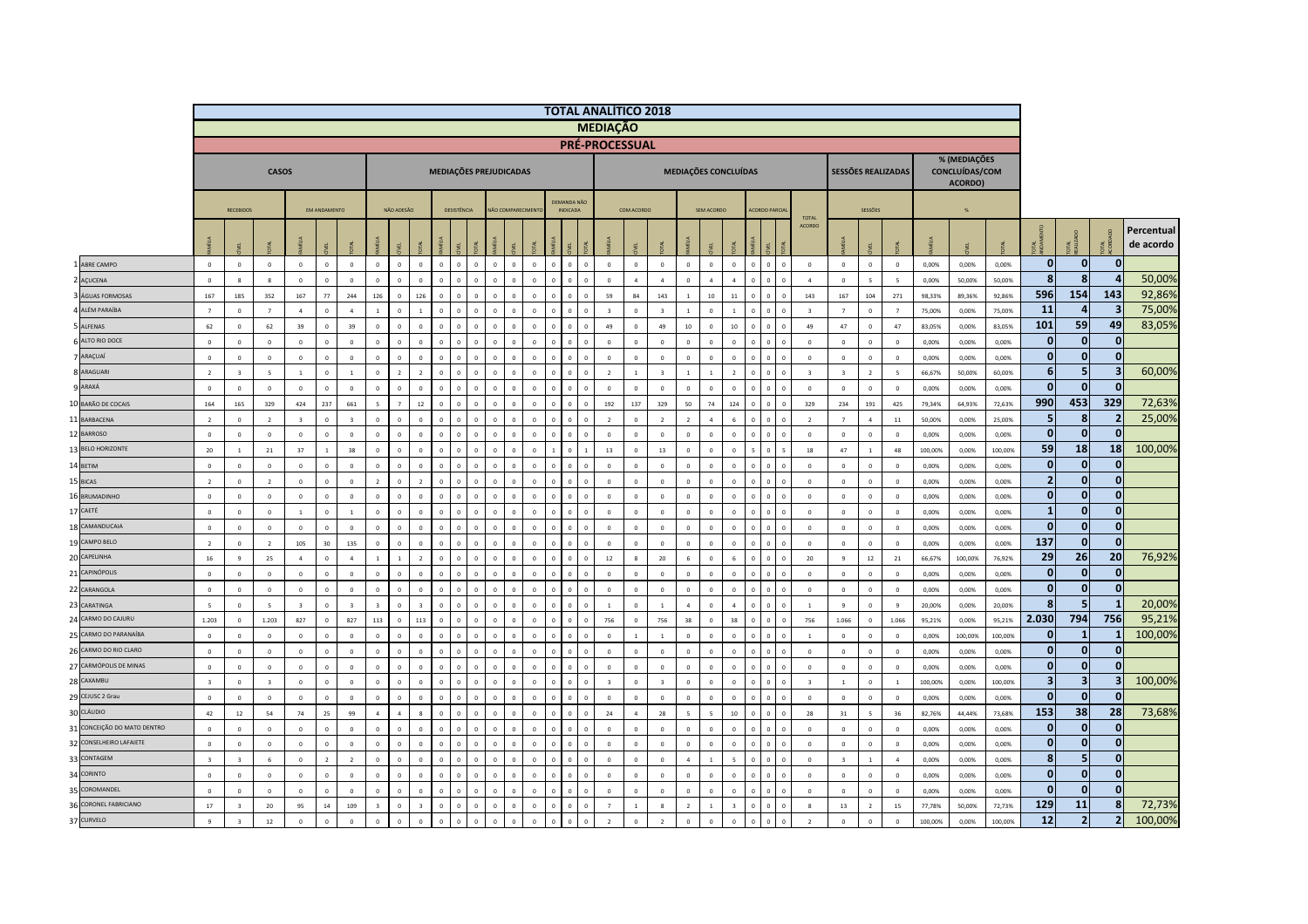|                                |                      |                               |                          |                         |                     |                         |                                  |                          |                          |                         |                |                          |                 |                      |              |                                | <b>TOTAL ANALÍTICO 2018</b> |                             |                         |                            |                           |                          |                               |                |                         |                           |                          |                         |                  |                                                  |                  |                         |                         |                         |                         |
|--------------------------------|----------------------|-------------------------------|--------------------------|-------------------------|---------------------|-------------------------|----------------------------------|--------------------------|--------------------------|-------------------------|----------------|--------------------------|-----------------|----------------------|--------------|--------------------------------|-----------------------------|-----------------------------|-------------------------|----------------------------|---------------------------|--------------------------|-------------------------------|----------------|-------------------------|---------------------------|--------------------------|-------------------------|------------------|--------------------------------------------------|------------------|-------------------------|-------------------------|-------------------------|-------------------------|
|                                |                      |                               |                          |                         |                     |                         |                                  |                          |                          |                         |                |                          |                 |                      |              |                                | <b>MEDIAÇÃO</b>             |                             |                         |                            |                           |                          |                               |                |                         |                           |                          |                         |                  |                                                  |                  |                         |                         |                         |                         |
|                                |                      |                               |                          |                         |                     |                         |                                  |                          |                          |                         |                |                          |                 |                      |              |                                | <b>PRÉ-PROCESSUAL</b>       |                             |                         |                            |                           |                          |                               |                |                         |                           |                          |                         |                  |                                                  |                  |                         |                         |                         |                         |
|                                |                      |                               | <b>CASOS</b>             |                         |                     |                         |                                  |                          |                          |                         |                | MEDIAÇÕES PREJUDICADAS   |                 |                      |              |                                |                             |                             |                         |                            | MEDIAÇÕES CONCLUÍDAS      |                          |                               |                |                         | <b>SESSÕES REALIZADAS</b> |                          |                         |                  | % (MEDIAÇÕES<br><b>CONCLUÍDAS/COM</b><br>ACORDO) |                  |                         |                         |                         |                         |
|                                |                      | <b>RECEBIDOS</b>              |                          |                         | <b>EM ANDAMENTO</b> |                         |                                  | NÃO ADESÃO               |                          |                         | DESISTÊNCIA    |                          | ÃO COMPARECIMEN |                      |              | DEMANDA NÃO<br><b>INDICADA</b> |                             | COM ACORDO                  |                         |                            | SEM ACORDO                |                          | <b>CORDO PARCIA</b>           |                |                         |                           | <b>SESSÕES</b>           |                         |                  | 96                                               |                  |                         |                         |                         |                         |
|                                |                      | E.                            |                          |                         | ÆL.                 |                         |                                  |                          |                          |                         |                |                          |                 |                      |              |                                |                             |                             |                         |                            |                           |                          |                               |                | TOTAL<br>ACORDO         |                           |                          |                         |                  |                                                  |                  |                         | TAL<br>AUZADO           | $\vec{\epsilon}$        | Percentual<br>de acordo |
| ABRE CAMPO                     | $\overline{0}$       | $\overline{0}$                | $\mathbf 0$              | $\circ$                 | $\mathbf 0$         | $\overline{0}$          | $\overline{0}$                   | $\,$ 0 $\,$              | $\Omega$                 | $\mathbf 0$             | $\overline{0}$ | $\Omega$<br>$\Omega$     | $\mathbf 0$     | $\mathbf 0$          | $\mathbf{0}$ | $\overline{0}$<br>$\Omega$     | $\mathbf{0}$                | $\mathbf 0$                 | $\circ$                 | $\overline{0}$             | $\mathbf 0$               | $\overline{0}$           | $\overline{0}$<br>$\mathbf 0$ | $\overline{0}$ | $\mathbb O$             | $\mathbf 0$               | $\mathbf 0$              | $\overline{\mathbf{0}}$ | 0,00%            | 0,00%                                            | 0,00%            | $\mathbf{0}$            | $\mathbf{0}$            | $\bf{0}$                |                         |
| AÇUCENA                        | $\overline{0}$       | $\mathbf{8}$                  | $\mathbf{8}$             | $\Omega$                | $\circ$             | $\Omega$                | $\Omega$                         | $\theta$                 | $\Omega$                 | $\Omega$                |                |                          |                 | $\sqrt{2}$           | $\sqrt{2}$   | $\sqrt{2}$                     | $\circ$                     | $\overline{4}$              | $\overline{a}$          | $\Omega$                   | $\overline{4}$            | $\overline{a}$           |                               | $\sqrt{2}$     | $\overline{a}$          | $\Omega$                  | $\mathbf{S}$             | $\leq$                  | 0.00%            | 50.00%                                           | 50.00%           | $\mathbf{8}$            | 8                       | $\Delta$                | 50,00%                  |
| 3 ÁGUAS FORMOSAS               | 167                  | 185                           | 352                      | 167                     | 77                  | 244                     | 126                              | $\,$ 0                   | 126                      | $\sqrt{2}$              | $\sqrt{2}$     | $\sqrt{2}$<br>$\sqrt{2}$ |                 | $\sqrt{2}$           | $\Omega$     | $\sqrt{2}$<br>$\Omega$         | 59                          | 84                          | 143                     | $\overline{1}$             | $10\,$                    | $11\,$                   | $\Omega$                      | $\sqrt{2}$     | 143                     | 167                       | 104                      | 271                     | 98,33%           | 89,36%                                           | 92,86%           | 596                     | 154                     | 143                     | 92,86%                  |
| 4 ALÉM PARAÍBA                 | $\overline{7}$       | $\mathbb O$                   | $\overline{7}$           | $\overline{4}$          | $\,$ 0 $\,$         | $\overline{4}$          | $\overline{1}$                   | $\mathbf{0}$             |                          | $\mathbf{0}$            | $\overline{0}$ | $\mathbf{0}$             |                 | $\mathbf 0$          | $\mathbf 0$  | $\overline{0}$<br>$\Omega$     | $\overline{\mathbf{3}}$     | $\mathbf 0$                 | $\overline{\mathbf{3}}$ | $\overline{1}$             | $\,$ 0 $\,$               | $\mathbf{1}$             |                               |                | $\overline{\mathbf{3}}$ | 7 <sup>1</sup>            | $\mathbf 0$              | $\overline{7}$          | 75,00%           | 0,00%                                            | 75,00%           | 11                      | 4                       | $\overline{\mathbf{3}}$ | 75,00%                  |
| 5 ALFENAS                      | 62                   | $\Omega$                      | 62                       | 39                      | $\Omega$            | 39                      | $\Omega$                         | $\overline{0}$           | $\Omega$                 | $\sqrt{2}$              |                |                          |                 | $\sqrt{2}$           | $\sqrt{2}$   | $\Omega$                       | 49                          | $\Omega$                    | 49                      | 10                         | $\mathbf{0}$              | 10                       |                               |                | 49                      | 47                        | $\Omega$                 | 47                      | 83,05%           | 0,00%                                            | 83,05%           | 101                     | 59                      | 49                      | 83,05%                  |
| 6 ALTO RIO DOCE                | $\overline{0}$       | $\overline{0}$                | $\,$ 0                   | $\circ$                 | $\circ$             | $\mathbf{0}$            | $\Omega$                         | $\overline{0}$           | $\Omega$                 | $\Omega$                |                | $\sqrt{2}$<br>$\sqrt{2}$ |                 | $\Omega$             | $\sqrt{2}$   | $\Omega$                       | $\mathbf 0$                 | $\circ$                     | $\overline{0}$          | $\Omega$                   | $\circ$                   | $\Omega$                 |                               |                | $\mathbb O$             | $\circ$                   | $\circ$                  | $\overline{\mathbf{0}}$ | 0,00%            | 0,00%                                            | 0,00%            | $\mathbf{0}$            | $\mathbf{0}$            | $\mathbf{0}$            |                         |
| 7 ARAÇUAÍ                      | $\circ$              | $\overline{0}$                | $\mathbf 0$              | $\mathsf{O}$            | $\mathbf{0}$        | $\mathbf{0}$            | $\overline{0}$                   | $\Omega$                 |                          | $\Omega$                |                |                          |                 | $\theta$             |              | $\Omega$                       | $\mathbf 0$                 | $\mathbf 0$                 | $\overline{0}$          | $\Omega$                   | $\mathbf 0$               | $\overline{0}$           |                               |                | $\mathbb O$             | $\mathbf 0$               | $\mathbf 0$              | $\,$ 0 $\,$             | 0,00%            | 0,00%                                            | 0,00%            | $\mathbf{0}$            | $\mathbf{0}$            | $\bf{0}$                |                         |
| ARAGUARI                       | $\overline{2}$       | $\mathbf{R}$                  | $\overline{5}$           | $\mathbf{1}$            | $\mathbf{0}$        | $\overline{1}$          | $\circ$                          | $\overline{2}$           | $\overline{z}$           | $\Omega$                | $\Omega$       | $\mathbf{r}$<br>$\Omega$ |                 | $\Omega$             | $\Omega$     | $\sqrt{2}$<br>$\Omega$         | $\overline{2}$              | $\mathbf{1}$                | $\mathbf{R}$            | $\overline{1}$             | $\overline{1}$            | $\overline{z}$           | $\Omega$                      | $\Omega$       | $\mathbf{R}$            | $\mathbf{R}$              | $\overline{z}$           | $\overline{5}$          | 66.67%           | 50,00%                                           | 60.00%           | $6 \overline{6}$        | 5                       | $\overline{\mathbf{3}}$ | 60,00%                  |
| <b>Q</b> ARAXÁ                 | $\mathbb O$          | $\mathbb O$                   | $\mathbf 0$              | $\mathbf 0$             | $\mathbf 0$         | $\mathbf 0$             | $\mathbf 0$                      | $\,$ 0                   | $\Omega$                 | $\Omega$                | $\sqrt{2}$     | $\Omega$                 |                 | $\Omega$             | $\Omega$     | $\Omega$                       | $\mathbf 0$                 | $\mathbf 0$                 | $\Omega$                | $\Omega$                   | $\,$ 0 $\,$               | $\mathbf 0$              |                               | $\Omega$       | $\mathbf 0$             | $\Omega$                  | $\Omega$                 | $\,$ 0                  | 0,00%            | 0,00%                                            | 0,00%            | $\Omega$                | $\mathbf{0}$            | $\mathbf{0}$            |                         |
| 10 BARÃO DE COCAIS             | 164                  | 165                           | 329                      | 424                     | 237                 | 661                     | $\overline{\phantom{a}}$         | $\overline{7}$           | $12\,$                   | $\mathbf{0}$            | $\overline{0}$ | $\mathbf 0$              |                 | $\mathbf 0$          |              | $\circ$<br>$\overline{0}$      | 192                         | 137                         | 329                     | 50                         | $74\,$                    | 124                      |                               |                | 329                     | 234                       | 191                      | 425                     | 79,34%           | 64,93%                                           | 72,63%           | 990<br>$5\phantom{.0}$  | 453<br>8                | 329<br>$\overline{2}$   | 72,63%                  |
| 11 BARBACENA<br>12 BARROSO     | $\overline{2}$       | $\mathbb O$                   | $\overline{2}$           | $\overline{\mathbf{3}}$ | $\mathbf 0$         | $\overline{3}$          | $\overline{0}$                   | $\mathbf{0}$             | $\Omega$                 | $\Omega$                |                | $\Omega$<br>$\Omega$     |                 | $\Omega$             | $\Omega$     | $\sqrt{2}$<br>$\Omega$         | $\overline{2}$              | $\Omega$                    | $\overline{2}$          | $\overline{z}$             | $\overline{4}$            | 6                        | $\Omega$                      |                | $\overline{z}$          | $\overline{7}$            | $\overline{a}$           | $11\,$                  | 50,00%           | 0,00%                                            | 25,00%           | $\mathbf{0}$            | $\mathbf{0}$            | $\mathbf 0$             | 25,00%                  |
| 13 BELO HORIZONTE              | $\overline{0}$       | $\mathbf 0$                   | $\,$ 0 $\,$              | $\circ$                 | $\circ$             | $\mathbf 0$             | $\overline{0}$<br>$\overline{0}$ | $\mathbf{0}$<br>$\Omega$ | $\Omega$<br>$\Omega$     | $\mathbf 0$<br>$\Omega$ | $\sqrt{2}$     | $\sqrt{2}$<br>$\Omega$   | $\Omega$        | $\Omega$<br>$\Omega$ |              |                                | $\circ$                     | $\mathbf 0$                 | $\circ$                 | $\overline{0}$<br>$\Omega$ | $\circ$<br>$\overline{0}$ | $\circ$<br>$\theta$      |                               |                | $\mathbb O$             | $\circ$                   | $\mathbf 0$              | $\overline{\mathbf{0}}$ | 0,00%            | 0,00%                                            | 0,00%            | 59                      | 18                      | 18                      | 100,00%                 |
| 14 BETIM                       | 20<br>$\overline{0}$ | $\overline{1}$<br>$\mathbb O$ | 21<br>$\mathbf 0$        | 37<br>$\Omega$          | $1$ $\,$<br>$\circ$ | 38<br>$\Omega$          | $\Omega$                         | $\theta$                 | $\Omega$                 | $\sqrt{2}$              | $\sqrt{2}$     | $\sqrt{2}$               |                 | $\sqrt{2}$           | $\sqrt{2}$   | $\sqrt{2}$<br>$\sqrt{2}$       | 13<br>$\circ$               | $\mathbf 0$<br>$\mathbf{0}$ | 13<br>$\circ$           | $\Omega$                   | $\overline{0}$            | $\Omega$                 | $\Omega$                      | $\Omega$       | 18<br>$\Omega$          | 47<br>$\Omega$            | $\mathbf{1}$<br>$\Omega$ | 48<br>$\Omega$          | 100,00%<br>0.00% | 0,00%<br>0.00%                                   | 100,00%<br>0.00% | $\Omega$                | $\mathbf{0}$            | $\mathbf{0}$            |                         |
| 15 BICAS                       | $\overline{2}$       | $\overline{0}$                | $\overline{2}$           | $\mathbf 0$             | $\circ$             | $\overline{0}$          | $\overline{2}$                   | $\mathbb O$              | $\overline{z}$           | $\Omega$                | $\overline{0}$ | $\Omega$<br>$\Omega$     |                 | $\mathbf 0$          | $\mathbf 0$  | $\Omega$<br>$\overline{0}$     | $\mathbf 0$                 | $\mathbf 0$                 | $\,$ 0 $\,$             | $\mathbb O$                | $\,$ 0 $\,$               | $\circ$                  | $\Omega$                      |                | $\mathbf 0$             | $\mathbf 0$               | $\mathbf 0$              | $\,$ 0 $\,$             | 0,00%            | 0,00%                                            | 0,00%            | $\overline{2}$          | $\mathbf{0}$            | $\mathbf{0}$            |                         |
| 16 BRUMADINHO                  | $\mathbf 0$          | $\circ$                       | $\mathbf 0$              | $\circ$                 | $\mathbf{0}$        | $\mathbf{0}$            | $\,$ 0 $\,$                      | $\,$ 0 $\,$              | $\Omega$                 | $\Omega$                |                | $\Omega$                 |                 | $\overline{0}$       | $\Omega$     | $\Omega$                       | $\mathbb O$                 | $\mathbf 0$                 | $\overline{0}$          | $\overline{0}$             | $\,$ 0 $\,$               | $\mathbf 0$              |                               | $\mathbf{0}$   | $\mathbf 0$             | $\circ$                   | $\mathbf{0}$             | $\overline{\mathbf{0}}$ | 0,00%            | 0,00%                                            | 0,00%            | $\mathbf{0}$            | $\mathbf{0}$            | $\mathbf{0}$            |                         |
| 17 CAETÉ                       | $\mathbf 0$          | $\circ$                       | $\mathbf 0$              | $1$ $\,$                | $\mathbf 0$         | $\overline{1}$          | $\,$ 0 $\,$                      | $\,$ 0 $\,$              | $\Omega$                 | $\Omega$                | $\Omega$       | $\Omega$<br>$\sqrt{2}$   | $\Omega$        | $\Omega$             | $\Omega$     | $\sqrt{2}$<br>$\Omega$         | $\,$ 0 $\,$                 | $\mathbf 0$                 | $\Omega$                | $\Omega$                   | $\overline{0}$            | $\Omega$                 | $\Omega$                      | $\mathbf{0}$   | $\Omega$                | $\Omega$                  | $\Omega$                 | $\overline{\mathbf{0}}$ | 0,00%            | 0.00%                                            | 0,00%            | $\mathbf{1}$            | $\mathbf{0}$            | $\mathbf{0}$            |                         |
| 18 CAMANDUCAIA                 | $\circ$              | $\mathbb O$                   | $\mathbf 0$              | $\mathsf{O}$            | $\mathbf 0$         | $\mathbf{0}$            | $\overline{0}$                   | $\mathbf{0}$             |                          | $\mathbf{0}$            |                |                          |                 | $\mathbf 0$          | $\Omega$     | $\overline{0}$                 | $\mathbf 0$                 | $\mathbf 0$                 | $\mathbf 0$             | $\Omega$                   | $\mathbf 0$               | $\mathbf{0}$             | $\mathbf{0}$                  | $\Omega$       | $\mathbf 0$             | $\circ$                   | $\mathbf 0$              | $\overline{0}$          | 0,00%            | 0,00%                                            | 0,00%            | $\mathbf{0}$            | $\mathbf{0}$            | $\mathbf{0}$            |                         |
| 19 CAMPO BELO                  | $\overline{2}$       | $\circ$                       | $\overline{2}$           | 105                     | 30                  | 135                     | $\overline{0}$                   | $\mathbf{0}$             | $\Omega$                 | $\Omega$                |                |                          |                 | $\Omega$             | $\Omega$     | $\Omega$                       | $\mathbf 0$                 | $\mathbf 0$                 | $\overline{0}$          | $\Omega$                   | $\mathbf 0$               | $\overline{0}$           |                               | $\Omega$       | $\mathbf 0$             | $\mathbf 0$               | $\mathbf 0$              | $\,$ 0 $\,$             | 0,00%            | 0,00%                                            | 0,00%            | 137                     | $\mathbf{0}$            | $\mathbf{0}$            |                         |
| 20 CAPELINHA                   | $16\,$               | $\mathbf{q}$                  | 25                       | $\mathbf{A}$            | $\Omega$            | $\overline{a}$          | $\overline{1}$                   | $\overline{1}$           | $\overline{\phantom{a}}$ | $\Omega$                | $\sqrt{2}$     | $\sqrt{2}$<br>$\sqrt{2}$ |                 | $\sqrt{2}$           | $\Omega$     | $\sqrt{2}$<br>$\Omega$         | $12\,$                      | $\mathbf{R}$                | 20                      |                            | $\overline{0}$            | 6                        |                               | $\sqrt{ }$     | 20                      | $\alpha$                  | 12                       | 21                      | 66,67%           | 100,00%                                          | 76,92%           | 29                      | 26                      | 20                      | 76,92%                  |
| 21 CAPINÓPOLIS                 | $\mathbf{0}$         | $\,$ 0                        | $\,$ 0 $\,$              | $\mathbf 0$             | $\,$ 0 $\,$         | $\theta$                | $\overline{0}$                   | $\Omega$                 | $\Omega$                 | $\Omega$                |                | $\Omega$                 |                 | $\Omega$             |              | $\Omega$                       | $\,0\,$                     | $\mathbf{0}$                | $\circ$                 | $\Omega$                   | $\overline{0}$            | $\Omega$                 | $\Omega$                      |                | $\circ$                 | $\circ$                   | $\Omega$                 | $\,$ 0                  | 0,00%            | 0,00%                                            | 0,00%            | $\mathbf{0}$            | $\mathbf{0}$            | $\mathbf 0$             |                         |
| 22 CARANGOLA                   | $\circ$              | $\circ$                       | $\mathbf 0$              | $\mathbf 0$             | $\circ$             | $\mathbf{0}$            | $\,$ 0 $\,$                      | $\,$ 0 $\,$              | $\Omega$                 | $\mathbf{0}$            | $\Omega$       | $\Omega$<br>$\Omega$     |                 | $\overline{0}$       | $\Omega$     | $\Omega$<br>$\Omega$           | $\,$ 0 $\,$                 | $\mathbf 0$                 | $\overline{0}$          | $\overline{0}$             | $\,$ 0 $\,$               | $\overline{0}$           | $\Omega$                      | $\mathbf{0}$   | $\mathbf 0$             | $\mathbf{0}$              | $\mathbf{0}$             | $\overline{\mathbf{0}}$ | 0,00%            | 0,00%                                            | 0,00%            | $\mathbf{0}$            | $\mathbf{0}$            | $\mathbf{0}$            |                         |
| 23 CARATINGA                   | $\mathbf{r}$         | $\circ$                       | $\overline{\phantom{a}}$ | $\overline{3}$          | $\mathbf 0$         | $\overline{\mathbf{z}}$ | $\overline{\mathbf{3}}$          | $\Omega$                 |                          | $\sqrt{2}$              |                |                          |                 | $\Omega$             | $\sqrt{2}$   |                                | $\overline{1}$              | $\Omega$                    | $\overline{1}$          | $\overline{a}$             | $\mathbf 0$               | $\overline{a}$           |                               |                | $\mathbf{1}$            | $\alpha$                  | $\mathbf 0$              | $\ddot{q}$              | 20,00%           | 0,00%                                            | 20,00%           | $\mathbf{8}$            | 5 <sub>5</sub>          | $\mathbf{1}$            | 20,00%                  |
| 24 CARMO DO CAJURU             | 1.203                | $\,$ 0                        | 1.203                    | 827                     | $\mathbf 0$         | 827                     | $113\,$                          | $\,$ 0 $\,$              | 113                      | $\mathbf 0$             | $\Omega$       | $\Omega$<br>$\Omega$     | $\Omega$        | $\mathbf 0$          | $\mathbf{0}$ | $\overline{0}$<br>$\Omega$     | 756                         | $\mathbf 0$                 | 756                     | 38                         | $\mathbf 0$               | 38                       | $\mathbf{0}$                  | $\Omega$       | 756                     | 1.066                     | $\mathbf 0$              | 1.066                   | 95,21%           | 0,00%                                            | 95,21%           | 2.030                   | 794                     | 756                     | 95,21%                  |
| CARMO DO PARANAÍBA<br>25       | $\Omega$             | $\Omega$                      | $\Omega$                 | $\Omega$                | $\Omega$            | $\Omega$                | $\Omega$                         | $\Omega$                 | $\Omega$                 | $\Omega$                | $\sqrt{2}$     | $\sqrt{2}$<br>$\sqrt{2}$ |                 | $\Omega$             | $\Omega$     | $\Omega$                       | $\circ$                     | $\overline{1}$              | $\overline{1}$          | $\Omega$                   | $\overline{0}$            | $\Omega$                 | $\Omega$                      | $\Omega$       | $\overline{1}$          | $\Omega$                  | $\Omega$                 | $\Omega$                | 0,00%            | 100.00%                                          | 100,00%          | $\bf{0}$                | 1                       | $\mathbf{1}$            | 100,00%                 |
| 26 CARMO DO RIO CLARO          | $\circ$              | $\mathbf 0$                   | $\mathbf 0$              | $\circ$                 | $\circ$             | $\mathbf{0}$            | $\overline{0}$                   | $\mathbf{0}$             | $\Omega$                 | $\Omega$                | $\sqrt{2}$     | $\sqrt{2}$<br>$\sqrt{2}$ |                 | $\Omega$             | $\Omega$     | $\sqrt{2}$<br>$\Omega$         | $\mathbf 0$                 | $\mathbf 0$                 | $\circ$                 | $\Omega$                   | $\overline{0}$            | $\overline{0}$           | $\Omega$                      | $\Omega$       | $\circ$                 | $\Omega$                  | $\Omega$                 | $\mathbf{0}$            | 0,00%            | 0.00%                                            | 0,00%            | $\mathbf{0}$            | $\mathbf{0}$            | $\mathbf 0$             |                         |
| 27 CARMÓPOLIS DE MINAS         | $\circ$              | $\circ$                       | $\mathbf 0$              | $\mathbf 0$             | $\circ$             | $\Omega$                | $\,$ 0                           | $\,$ 0                   | $\Omega$                 | $\Omega$                | $\Omega$       | $\Omega$                 |                 | $\Omega$             | $\Omega$     | $\Omega$<br>$\Omega$           | $\mathbf 0$                 | $\mathbf{0}$                | $\circ$                 | $\Omega$                   | $\overline{0}$            | $\overline{0}$           |                               |                | $\mathbf 0$             | $\Omega$                  | $\Omega$                 | $\overline{0}$          | 0,00%            | 0,00%                                            | 0,00%            | $\mathbf{0}$            | $\mathbf{0}$            | $\mathbf{0}$            |                         |
| 28 CAXAMBU                     | $\overline{3}$       | $\circ$                       | $\overline{\mathbf{3}}$  | $\mathbf 0$             | $\circ$             | $\mathbf{0}$            | $\Omega$                         | $\,$ 0 $\,$              | $\Omega$                 | $\Omega$                | $\sqrt{2}$     | $\Omega$<br>$\Omega$     |                 | $\Omega$             | $\Omega$     | $\theta$<br>$\sqrt{2}$         | $\overline{\mathbf{3}}$     | $\Omega$                    | $\overline{\mathbf{3}}$ | $\Omega$                   | $\overline{0}$            | $\Omega$                 | $\Omega$                      | $\Omega$       | $\mathbf{R}$            | $\overline{1}$            | $\Omega$                 | $\overline{1}$          | 100,00%          | 0.00%                                            | 100,00%          | $\overline{\mathbf{3}}$ | $\overline{\mathbf{3}}$ | $\overline{\mathbf{3}}$ | 100,00%                 |
| 29 CEJUSC 2 Grau               | $\,$ 0 $\,$          | $\overline{0}$                | $\mathbf 0$              | $\mathbf 0$             | $\mathbf 0$         | $\mathbf 0$             | $\overline{0}$                   | $\,$ 0 $\,$              | $\Omega$                 | $\mathbf{0}$            | $\Omega$       | $\Omega$<br>$\Omega$     | $\Omega$        | $\mathbf 0$          | $\Omega$     | $\theta$<br>$\sqrt{2}$         | $\,0\,$                     | $\mathbf 0$                 | $\overline{0}$          | $\overline{0}$             | $\mathbf 0$               | $\overline{0}$           | $\Omega$                      | $\mathbf{0}$   | $\mathbf 0$             | $\mathbf 0$               | $\,$ 0 $\,$              | $\,$ 0                  | 0,00%            | 0,00%                                            | 0,00%            | $\mathbf{0}$            | $\mathbf{0}$            | $\Omega$                |                         |
| 30 CLÁUDIO                     | 42                   | $12\,$                        | 54                       | 74                      | 25                  | 99                      | $\overline{a}$                   | $\overline{a}$           |                          | $\Omega$                |                |                          |                 | $\theta$             |              |                                | 24                          | $\overline{4}$              | 28                      |                            | $\tilde{\mathbf{S}}$      | $10\,$                   |                               |                | 28                      | 31                        | $\overline{\phantom{a}}$ | 36                      | 82,76%           | 44,44%                                           | 73,68%           | 153                     | 38                      | 28                      | 73,68%                  |
| CONCEIÇÃO DO MATO DENTRO<br>31 | $\mathbb O$          | $\mathbf 0$                   | $\mathbf 0$              | $\circ$                 | $\mathbf 0$         | $\theta$                | $\circ$                          | $\,$ 0                   | $\Omega$                 | $\Omega$                | $\Omega$       | $\Omega$<br>$\sqrt{2}$   |                 | $\Omega$             | $\Omega$     | $\Omega$<br>$\Omega$           | $\mathbf 0$                 | $\mathbf{0}$                | $\circ$                 | $\Omega$                   | $\overline{0}$            | $\Omega$                 | $\Omega$                      | $\Omega$       | $\Omega$                | $\Omega$                  | $\Omega$                 | $\overline{0}$          | 0.00%            | 0.00%                                            | 0.00%            | $\bf{0}$                | $\mathbf{0}$            | $\mathbf{0}$            |                         |
| 32 CONSELHEIRO LAFAIETE        | $\overline{0}$       | $\mathbf 0$                   | $\,$ 0 $\,$              | $\mathbf 0$             | $\mathbf 0$         | $\mathbf 0$             | $\circ$                          | $\overline{0}$           |                          | $\Omega$                | $\Omega$       |                          |                 | $\Omega$             |              |                                | $\circ$                     | $\Omega$                    | $\Omega$                | $\Omega$                   | $\mathbf 0$               | $\mathbf 0$              |                               |                | $\overline{0}$          | $\Omega$                  | $\Omega$                 | $\overline{0}$          | 0,00%            | 0,00%                                            | 0,00%            | $\Omega$                | $\Omega$                | $\Omega$                |                         |
| 33 CONTAGEM                    | $\overline{3}$       | $\overline{\mathbf{3}}$       | $_{\rm 6}$               | $\mathbf 0$             | $\overline{2}$      | $\overline{2}$          | $\,$ 0 $\,$                      | $\,$ 0                   | $\Omega$                 | $\Omega$                | $\Omega$       | $\Omega$<br>$\Omega$     |                 | $\mathbf 0$          | $\Omega$     | $\Omega$<br>$\Omega$           | $\mathbf 0$                 | $\mathbf{0}$                | $\overline{0}$          | $\overline{4}$             | $\overline{1}$            | $\overline{\phantom{a}}$ | $\Omega$                      | $\Omega$       | $\mathbf 0$             | $\overline{3}$            |                          | $\overline{4}$          | 0,00%            | 0,00%                                            | 0,00%            | 8                       | 5                       | $\mathbf{0}$            |                         |
| 34 CORINTO                     | $\mathbf 0$          | $\overline{0}$                | $\mathbf 0$              | $\mathsf{O}$            | $\mathbf{0}$        | $\mathbf{0}$            | $\,$ 0 $\,$                      | $\,$ 0 $\,$              | $\Omega$                 | $\Omega$                | $\Omega$       | $\sqrt{2}$<br>$\sqrt{2}$ |                 | $\Omega$             | $\Omega$     | $\Omega$                       | $\mathbf 0$                 | $\mathbf 0$                 | $\overline{0}$          | $\circ$                    | $\,$ 0 $\,$               | $\overline{0}$           |                               |                | $\circ$                 | $\circ$                   | $\Omega$                 | $\overline{0}$          | 0,00%            | 0.00%                                            | 0,00%            | $\mathbf{0}$            | $\mathbf{0}$            | $\mathbf{0}$            |                         |
| 35 COROMANDEL                  | $\overline{0}$       | $\mathbb O$                   | $\,$ 0 $\,$              | $\mathbf 0$             | $\mathbf 0$         | $\mathbf{0}$            | $\mathbf{0}$                     | $\mathbf{0}$             |                          | $\mathbf{0}$            |                |                          |                 | $\mathbf 0$          | $\mathbf{0}$ |                                | $\,0\,$                     | $\mathbf 0$                 | $\mathbf 0$             | $\mathbf 0$                | $\mathbf{0}$              | $\mathbf{0}$             |                               |                | $\,0\,$                 | $\mathbf 0$               | $\overline{0}$           | $\,$ 0                  | 0,00%            | 0,00%                                            | 0,00%            | $\Omega$                | $\mathbf{0}$            | $\mathbf{0}$            |                         |
| 36 CORONEL FABRICIANO          | 17                   | $\overline{\mathbf{3}}$       | 20                       | 95                      | $14\,$              | 109                     | $\overline{\mathbf{3}}$          | $\,$ 0 $\,$              | $\overline{3}$           | $\mathbf{0}$            | $\Omega$       | $\Omega$<br>$\Omega$     | $\Omega$        | $\mathbf{0}$         | $\mathbf{0}$ | $\Omega$                       | $7\overline{ }$             | $\,$ 1 $\,$                 | $\mathbf{R}$            | $\overline{2}$             | $\,$ 1 $\,$               | $\overline{\mathbf{3}}$  | $\Omega$                      | $\overline{0}$ | $\bf 8$                 | $13\,$                    | $\overline{2}$           | 15                      | 77,78%           | 50,00%                                           | 72,73%           | 129                     | 11                      | 8                       | 72,73%                  |
| 37 CURVELO                     | $\mathbf{q}$         | $\overline{3}$                | $12\,$                   | $\circ$                 | $\mathbf 0$         | $\mathbf 0$             | $\mathbf 0$                      | $\mathbf 0$              | $\overline{0}$           | $\mathbf{0}$            | $\Omega$       |                          |                 | $\Omega$             |              |                                | $\overline{2}$              | $\mathbf 0$                 | $\overline{2}$          | $\overline{0}$             | $\,$ 0 $\,$               | $\mathbf 0$              |                               |                | $\overline{2}$          | $\circ$                   | $\Omega$                 | $\,$ 0                  | 100,00%          | 0,00%                                            | 100,00%          | 12                      | $\overline{2}$          | $\overline{2}$          | 100,00%                 |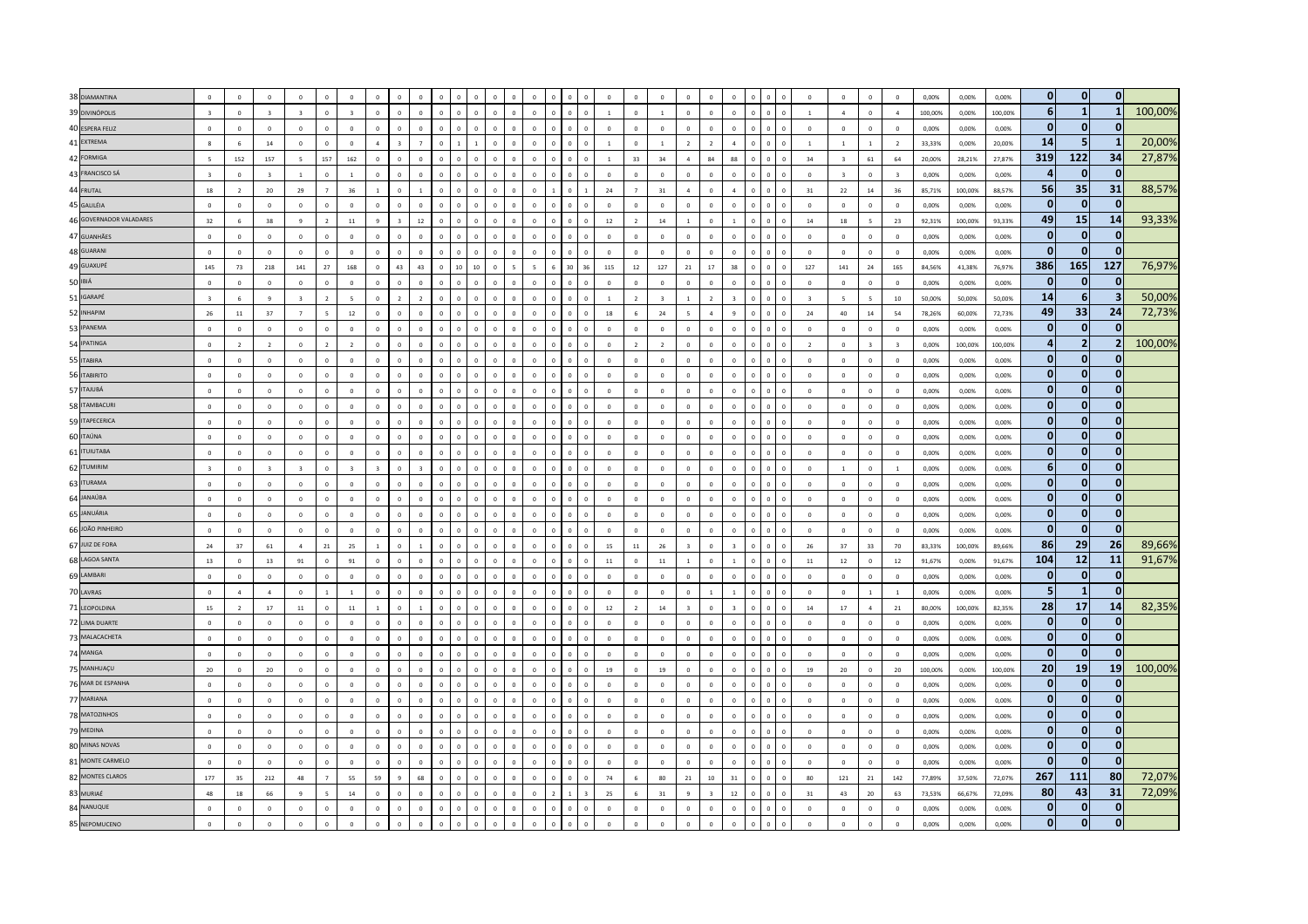| 38 DIAMANTINA           | $\mathbf{0}$             | $\Omega$       | $\Omega$                |                         |                          |                |                         |                | $\Omega$                 |              |                |                                |                |              |            |                     | $\Omega$       | $\sqrt{2}$     | $\Omega$                | $\mathbf{0}$            | $\Omega$       |                |                           |                | $\Omega$                | $\Omega$       | $\Omega$       | $\overline{0}$           | 0,00%   | 0.00%   | 0.00%   | $\mathbf{0}$   | $\mathbf{0}$   | $\mathbf{0}$            |         |
|-------------------------|--------------------------|----------------|-------------------------|-------------------------|--------------------------|----------------|-------------------------|----------------|--------------------------|--------------|----------------|--------------------------------|----------------|--------------|------------|---------------------|----------------|----------------|-------------------------|-------------------------|----------------|----------------|---------------------------|----------------|-------------------------|----------------|----------------|--------------------------|---------|---------|---------|----------------|----------------|-------------------------|---------|
| 39 DIVINÓPOLIS          | $\overline{3}$           | $\Omega$       | $\mathbf{R}$            | $\overline{3}$          | $\Omega$                 | $\overline{z}$ | $\Omega$                | $\Omega$       | $\overline{0}$           | $\Omega$     | $\sqrt{2}$     | $\mathbf{0}$<br>$\overline{0}$ | $\Omega$       | $\Omega$     | $\sqrt{2}$ | $\Omega$            | $\overline{1}$ | $\overline{0}$ | $\overline{1}$          | $\mathbf{0}$            | $\mathbf{0}$   | $\Omega$       | $\mathbf{0}$<br>$\Omega$  | $\Omega$       | $\overline{1}$          | $\overline{a}$ | $\Omega$       | $\overline{a}$           | 100,00% | 0.00%   | 100.00% | 6 <sup>1</sup> | $\mathbf{1}$   | $\mathbf{1}$            | 100,00% |
| 40 ESPERA FELIZ         | $\mathbf 0$              | $\overline{0}$ | $\circ$                 | $\Omega$                | $\Omega$                 | $\Omega$       | $\Omega$                |                | $\Omega$                 | $\Omega$     |                | $\Omega$<br>$\sqrt{2}$         | $\overline{a}$ |              |            |                     | $\overline{0}$ | $\mathbf 0$    | $\mathbf{0}$            | $\overline{0}$          | $\Omega$       | $\sqrt{2}$     | $\Omega$                  |                | $\Omega$                | $\Omega$       | $\mathbf 0$    | $\overline{0}$           | 0,00%   | 0,00%   | 0,00%   | $\mathbf{0}$   | $\Omega$       | $\Omega$                |         |
| 41 EXTREMA              | 8                        | 6              | $14\,$                  | $\,$ 0                  | $\mathbb O$              | $\mathbf 0$    | $\overline{A}$          |                | $\overline{7}$           | $\mathbf 0$  |                | $\sqrt{2}$<br>$\mathbf{1}$     | $\Omega$       | $\mathbf 0$  |            |                     | $\,$ 1 $\,$    | $\,$ 0         | $\,$ 1                  | $\overline{2}$          | $\overline{2}$ | $\overline{a}$ | $\sqrt{2}$<br>$\mathbf 0$ | $\Omega$       | $\overline{1}$          | $\mathbf{1}$   | $1\,$          | $\overline{\mathbf{2}}$  | 33,33%  | 0,00%   | 20,00%  | 14             | 5              | $\mathbf{1}$            | 20,00%  |
| 42 FORMIGA              | $\overline{\phantom{a}}$ | 152            | 157                     | $\overline{5}$          | 157                      | 162            | $\Omega$                |                | $\Omega$                 | $\Omega$     |                | $\Omega$                       |                |              |            |                     | $\overline{1}$ | 33             | 34                      | $\overline{4}$          | 84             | 88             | $\Omega$                  |                | 34                      | $\mathbf{R}$   | $61\,$         | 64                       | 20,00%  | 28,21%  | 27,87%  | 319            | 122            | 34                      | 27,87%  |
| 43 FRANCISCO SÁ         | $\overline{3}$           | $\overline{0}$ | $\overline{3}$          | $\overline{1}$          | $\mathbb O$              | $\overline{1}$ | $\Omega$                | $\Omega$       | $\Omega$                 | $\Omega$     | $\Omega$       | $\theta$                       | $\overline{0}$ | $\Omega$     |            |                     | $\mathbf{0}$   | $\mathbf{0}$   | $\mathbf{0}$            | $\,$ 0 $\,$             | $\overline{0}$ | $\Omega$       | $\theta$                  | $\Omega$       | $\overline{0}$          | $\mathbf{R}$   | $\mathbf{0}$   | $\overline{\mathbf{3}}$  | 0,00%   | 0.00%   | 0,00%   | Δ              | $\Omega$       | $\mathbf{0}$            |         |
| 44 FRUTAL               | 18                       | $\overline{2}$ | 20                      | 29                      | $\overline{7}$           | 36             | $\mathbf{1}$            | $\Omega$       | $\overline{1}$           | $\Omega$     | $\sqrt{2}$     | $\Omega$<br>$\Omega$           | $\Omega$       | $\Omega$     |            | $\Omega$            | 24             | $\overline{7}$ | 31                      | $\overline{a}$          | $\Omega$       | $\Lambda$      | $\Omega$                  | $\sqrt{2}$     | 31                      | 22             | 14             | 36                       | 85,71%  | 100,00% | 88.57%  | 56             | 35             | 31                      | 88,57%  |
| 45 GALILÉIA             | $\overline{0}$           | $\overline{0}$ | $\mathbf 0$             | $\Omega$                | $\mathbf{0}$             | $\Omega$       | $\Omega$                | $\Omega$       | $\mathbf 0$              | $\Omega$     |                | $\mathbf 0$<br>$\Omega$        |                | $\Omega$     |            | $\Omega$            | $\circ$        | $\mathbf 0$    | $\overline{0}$          | $\mathbb O$             | $\overline{0}$ | $\Omega$       |                           |                | $\Omega$                | $\Omega$       | $\mathbf 0$    | $\,$ 0                   | 0,00%   | 0,00%   | 0,00%   | $\mathbf{0}$   | $\Omega$       | $\Omega$                |         |
| 46 GOVERNADOR VALADARES | 32                       | 6              | 38                      | $\mathbf{q}$            | $\overline{2}$           | $11\,$         | $\mathbf{q}$            |                | $12\,$                   | $\mathbf 0$  | $\Omega$       | $\pmb{0}$<br>$\Omega$          | $\Omega$       | $\Omega$     |            | $\bf 0$<br>$\Omega$ | $12\,$         | $\overline{2}$ | $14\,$                  | $\,$ 1 $\,$             | $\,0\,$        |                | $\mathbf 0$<br>$\Omega$   | $\,0\,$        | $14\,$                  | 18             | 5              | 23                       | 92,31%  | 100,00% | 93,33%  | 49             | <b>15</b>      | 14                      | 93,33%  |
| 47 GUANHÃES             | $\overline{\mathbf{0}}$  | $\overline{0}$ | $\circ$                 | $\Omega$                | $\mathbf{0}$             | $\Omega$       | $\Omega$                | $\Omega$       | $\overline{0}$           | $\Omega$     |                |                                |                |              |            |                     | $\,$ 0 $\,$    | $\theta$       | $\,$ 0                  | $\mathbf 0$             | $\overline{0}$ | $\Omega$       | $\Omega$                  |                | $\Omega$                | $\Omega$       | $\mathbf 0$    | $\overline{\phantom{0}}$ | 0,00%   | 0,00%   | 0,00%   | $\bf{0}$       | $\mathbf{0}$   | $\mathbf{0}$            |         |
| 48 GUARANI              | $\overline{0}$           | $\overline{0}$ | $\mathbf{0}$            | $\Omega$                | $\mathbf{0}$             | $\mathbf 0$    | $\,$ 0 $\,$             | $\sqrt{2}$     | $\,$ 0 $\,$              | $\Omega$     | $\Omega$       | $\theta$<br>$\Omega$           | $\overline{0}$ |              |            | $\Omega$            | $\,$ 0         | $\overline{0}$ | $\,$ 0 $\,$             | $\,$ 0 $\,$             | $\mathbb O$    | $\overline{0}$ | $\Omega$                  | $\Omega$       | $\Omega$                | $\circ$        | $\Omega$       | $\overline{0}$           | 0,00%   | 0,00%   | 0,00%   | $\Omega$       | $\mathbf{0}$   | $\mathbf{0}$            |         |
| 49 GUAXUPÉ              | 145                      | 73             | 218                     | 141                     | 27                       | 168            | $\Omega$                | 43             | 43                       | $\Omega$     | 10             | 10<br>$\sqrt{2}$               | $\leq$         |              |            | 30                  | 115            | $12\,$         | 127                     | 21                      | 17             | 38             | $\theta$                  | $\Omega$       | 127                     | 141            | 24             | 165                      | 84.56%  | 41.38%  | 76,97%  | 386            | 165            | 127                     | 76,97%  |
| 50 IBIÁ                 | $\circ$                  | $\circ$        | $\Omega$                | $\Omega$                | $\Omega$                 | $\overline{0}$ | $\Omega$                | $\Omega$       | $\Omega$                 | $\Omega$     | $\Omega$       | $\overline{0}$<br>$\Omega$     | $\Omega$       | $\Omega$     | $\sqrt{2}$ | $\Omega$            | $\overline{0}$ | $\overline{0}$ | $\overline{0}$          | $\overline{0}$          | $\overline{0}$ | $\Omega$       | $\Omega$<br>$\sqrt{2}$    | $\Omega$       | $\overline{0}$          | $\Omega$       | $\overline{0}$ | $\overline{0}$           | 0,00%   | 0.00%   | 0.00%   | $\bf{0}$       | $\mathbf{0}$   | $\mathbf{0}$            |         |
| 51 IGARAPÉ              | $\overline{\mathbf{3}}$  | 6              | $\mathbf{q}$            |                         | $\overline{z}$           |                | $\Omega$                |                | $\overline{\phantom{a}}$ | $\sqrt{2}$   |                | $\Omega$<br>$\sqrt{2}$         |                |              |            |                     | $\overline{1}$ | $\overline{z}$ | $\overline{\mathbf{3}}$ | $\overline{1}$          | $\overline{z}$ |                |                           |                | $\overline{\mathbf{3}}$ | $\sim$         | ×.             | 10                       | 50,00%  | 50,00%  | 50,00%  | 14             | 6              | $\overline{\mathbf{3}}$ | 50,00%  |
| 52 INHAPIM              | 26                       | $11\,$         | 37                      | $\overline{7}$          | $\overline{\phantom{a}}$ | $12\,$         | $\circ$                 | $\Omega$       | $\circ$                  | $\Omega$     |                | $\mathbf{0}$<br>$\Omega$       | $\Omega$       | $\mathbf 0$  |            |                     | $18\,$         | $6\phantom{1}$ | $\bf{24}$               | 5                       | $\overline{a}$ |                | $\mathbf{0}$              |                | ${\bf 24}$              | 40             | $14\,$         | 54                       | 78,26%  | 60,00%  | 72,73%  | 49             | 33             | 24                      | 72,73%  |
| 53 IPANEMA              | $\overline{0}$           | $\mathbf{0}$   | $\mathbf 0$             | $\mathbf 0$             | $\mathbf{0}$             | $\overline{0}$ | $\Omega$                |                | $\overline{0}$           | $\mathbf{0}$ | $\Omega$       | $\mathbf{0}$<br>$\Omega$       | $\Omega$       | $\Omega$     |            |                     | $\mathbf{0}$   | $\mathbf{0}$   | $\,$ 0 $\,$             | $\,$ 0 $\,$             | $\mathbb O$    | $\Omega$       | $\Omega$                  | $\Omega$       | $\Omega$                | $\mathsf{O}$   | $\mathbf{0}$   | $\,$ 0 $\,$              | 0.00%   | 0.00%   | 0.00%   | $\Omega$       | $\mathbf{0}$   | $\mathbf{0}$            |         |
| 54 IPATINGA             | $\Omega$                 | $\overline{z}$ | $\overline{z}$          | $\Omega$                | $\overline{z}$           | $\overline{z}$ | $\Omega$                | $\Omega$       | $\Omega$                 | $\Omega$     | $\sqrt{2}$     | $\theta$<br>$\Omega$           | $\Omega$       | $\Omega$     |            |                     | $\Omega$       | $\overline{z}$ | $\overline{z}$          | $\Omega$                | $\Omega$       | $\Omega$       |                           |                | $\overline{z}$          | $\Omega$       | $\mathbf{R}$   | $\overline{z}$           | 0.00%   | 100.00% | 100.00% | $\overline{a}$ | $\overline{2}$ | $\overline{2}$          | 100,00% |
| 55 ITABIRA              | $\Omega$                 | $\,0\,$        | $\circ$                 | $\Omega$                | $\Omega$                 | $\Omega$       | $\Omega$                | $\sqrt{2}$     | $\Omega$                 | $\Omega$     | $\sqrt{2}$     | $\Omega$<br>$\sqrt{2}$         | $\Omega$       | $\Omega$     |            | $\Omega$            | $\Omega$       | $\Omega$       | $\overline{0}$          | $\mathbf 0$             | $\Omega$       | $\sqrt{2}$     | $\mathbf 0$               | $\sqrt{2}$     | $\Omega$                | $\Omega$       | $\Omega$       | $\overline{0}$           | 0,00%   | 0.00%   | 0.00%   | $\Omega$       | $\bf{0}$       | $\mathbf{0}$            |         |
| 56 ITABIRITO            | $\overline{0}$           | $\overline{0}$ | $\circ$                 | $\Omega$                | $\Omega$                 | $\sqrt{2}$     | $\Omega$                |                | $\Omega$                 |              |                |                                |                |              |            |                     | $\Omega$       | $\Omega$       | $\Omega$                | $\mathbf 0$             | $\Omega$       |                |                           |                |                         | $\Omega$       | $\Omega$       | $\overline{0}$           | 0,00%   | 0.00%   | 0,00%   | $\Omega$       | $\Omega$       | $\Omega$                |         |
| 57 ITAJUBÁ              | $\mathbf 0$              | $\mathbf 0$    | $\mathbf 0$             | $\mathbf 0$             | $\mathbb O$              | $\circ$        | $\circ$                 | $\overline{0}$ | $\overline{0}$           | $\mathbf 0$  |                | $\mathbf{0}$<br>$\overline{0}$ | $\Omega$       | $\mathbf 0$  |            | $\mathbf 0$         | $\mathbf 0$    | $\mathbf{0}$   | $\,$ 0                  | $\mathbf 0$             | $\overline{0}$ | $\circ$        | $\mathbf 0$               | $\mathbf 0$    | $\mathbf 0$             | $\circ$        | $\mathbf{0}$   | $\,$ 0                   | 0,00%   | 0,00%   | 0,00%   | $\bf{0}$       | $\mathbf{0}$   | $\mathbf{0}$            |         |
| 58 ITAMBACURI           | $\mathbf 0$              | $\mathbb O$    | $\mathbf 0$             | $\mathbf 0$             | $\Omega$                 | $\Omega$       | $\mathbf 0$             | $\Omega$       | $\overline{0}$           | $\Omega$     | $\Omega$       | $\theta$<br>$\Omega$           | $\overline{0}$ |              |            | $\Omega$            | $\mathbf{0}$   | $\mathbf{0}$   | $\,$ 0                  | $\mathbf 0$             | $\mathbb O$    | $\overline{0}$ | $\Omega$                  | $\Omega$       | $\mathbf 0$             | $\Omega$       | $\,$ 0 $\,$    | $\overline{\mathbf{0}}$  | 0.00%   | 0.00%   | 0.00%   | $\mathbf{0}$   | $\mathbf{0}$   | $\mathbf{0}$            |         |
| 59 ITAPECERICA          | $\overline{0}$           | $\overline{0}$ | $\circ$                 | $\overline{0}$          | $\mathbb O$              | $\mathbf 0$    | $\mathbf 0$             | $\sqrt{2}$     | $\overline{0}$           | $\mathbf 0$  | $\sqrt{2}$     | $\mathbf{0}$<br>$\sqrt{2}$     | $\sqrt{2}$     | $\Omega$     |            | $\Omega$            | $\,$ 0         | $\mathbf{0}$   | $\,$ 0                  | $\mathbf 0$             | $\mathbb O$    | $\overline{0}$ | $\mathbf 0$<br>$\Omega$   | $\Omega$       | $\overline{0}$          | $\mathbf 0$    | $\mathbf 0$    | $\,$ 0 $\,$              | 0.00%   | 0.00%   | 0.00%   | $\mathbf{0}$   | $\Omega$       | $\mathbf{0}$            |         |
| 60 ITAÚNA               | $\Omega$                 | $\Omega$       | $\Omega$                | $\Omega$                | $\Omega$                 | $\Omega$       | $\Omega$                | $\Omega$       | $\Omega$                 | $\sqrt{2}$   | $\sqrt{2}$     | $\sqrt{2}$<br>$\sqrt{2}$       | $\Omega$       | $\sqrt{2}$   |            |                     | $\Omega$       | $\Omega$       | $\Omega$                | $\Omega$                | $\Omega$       | $\Omega$       | $\Omega$                  | $\sqrt{2}$     | $\Omega$                | $\Omega$       | $\Omega$       | $\overline{0}$           | 0.00%   | 0.00%   | 0.00%   | $\Omega$       | $\Omega$       | $\mathbf{0}$            |         |
| 61 ITUIUTABA            | $\overline{0}$           | $\overline{0}$ | $\circ$                 | $\overline{0}$          | $\circ$                  | $\circ$        |                         |                | $\Omega$                 |              |                | $\mathbf{0}$                   |                |              |            |                     | $\mathbf 0$    | $\mathbf{0}$   | $\mathbf{0}$            | $\mathbf{0}$            | $\overline{0}$ |                | $\theta$                  |                | $\circ$                 | $\mathbf 0$    | $\mathbf 0$    | $\overline{0}$           | 0,00%   | 0.00%   | 0,00%   | $\Omega$       | $\mathbf{0}$   | $\mathbf{0}$            |         |
| 62 ITUMIRIM             | $\overline{\mathbf{3}}$  | $\mathbb O$    | $\overline{\mathbf{3}}$ | $\overline{\mathbf{3}}$ | $\mathbb O$              | $\overline{3}$ | $\overline{\mathbf{3}}$ | $\theta$       | $\overline{\mathbf{3}}$  | $\mathbf{0}$ | $\theta$       | $\mathbf{0}$<br>$\Omega$       | $\circ$        | $\mathbf 0$  |            | $\Omega$            | $\mathbf{0}$   | $\mathbf{0}$   | $\overline{0}$          | $\,$ 0 $\,$             | $\mathbb O$    | $\overline{0}$ | $\mathbf{0}$<br>$\Omega$  | $\overline{0}$ | $\,$ 0 $\,$             | $1$ $\,$       | $\mathbf 0$    | $\,$ 1 $\,$              | 0,00%   | 0,00%   | 0,00%   | 6 <sup>1</sup> | $\mathbf{0}$   | $\mathbf{0}$            |         |
| 63 ITURAMA              | $\overline{0}$           | $\overline{0}$ | $\overline{0}$          | $\Omega$                | $\mathbf{0}$             | $\overline{0}$ | $\Omega$                | $\Omega$       | $\circ$                  | $\mathbf 0$  | $\Omega$       | $\mathbf{0}$                   | $\Omega$       | $\Omega$     |            |                     | $\overline{0}$ | $\mathbf{0}$   | $\mathbf{0}$            | $\mathbf 0$             | $\mathbf{0}$   | $\Omega$       | $\mathbf{0}$              | $\Omega$       | $\circ$                 | $\circ$        | $\mathbf 0$    | $\overline{0}$           | 0.00%   | 0.00%   | 0.00%   | $\mathbf{0}$   | $\Omega$       | $\mathbf{0}$            |         |
| 64 JANAÚBA              | $\Omega$                 | $\Omega$       | $\Omega$                | $\Omega$                | $\circ$                  | $\Omega$       | $\circ$                 | $\Omega$       | $\Omega$                 | $\Omega$     | $\sqrt{2}$     | $\Omega$<br>$\sqrt{2}$         | $\Omega$       | $\mathbf{r}$ |            | $\Omega$            | $\Omega$       | $\mathbf 0$    | $\overline{0}$          | $\,$ 0 $\,$             | $\mathbb O$    | $\Omega$       | $\Omega$<br>$\Omega$      | $\Omega$       | $\Omega$                | $\Omega$       | $\Omega$       | $\Omega$                 | 0.00%   | 0.00%   | 0.00%   | $\mathbf{0}$   | $\mathbf{0}$   | $\mathbf{0}$            |         |
| 65 JANUÁRIA             | $\Omega$                 | $\Omega$       | $\sqrt{2}$              | $\sqrt{2}$              | $\Omega$                 | $\sqrt{2}$     | $\Omega$                | $\sqrt{2}$     | $\Omega$                 | $\sqrt{2}$   | $\sqrt{2}$     | $\Omega$<br>$\sqrt{2}$         | n.             | $\Omega$     |            |                     | $\Omega$       | $\Omega$       | $\Omega$                | $\Omega$                | $\Omega$       | $\Omega$       |                           |                | $\Omega$                | $\Omega$       | $\Omega$       | $\Omega$                 | 0.00%   | 0.00%   | 0.00%   | $\Omega$       | $\Omega$       | $\mathbf{0}$            |         |
| 66 JOÃO PINHEIRO        | $\mathbf 0$              | $\mathbf{0}$   | $\circ$                 | $\Omega$                | $\mathbb O$              | $\mathbf 0$    | $\Omega$                | $\Omega$       | $\overline{0}$           | $\mathbf 0$  | $\Omega$       | $\mathbf 0$<br>$\Omega$        | $\Omega$       | $\Omega$     |            | $\circ$             | $\circ$        | $\mathbf{0}$   | $\overline{0}$          | $\mathbf{0}$            | $\mathbf{0}$   | $\Omega$       | $\mathbf 0$               |                | $\Omega$                | $\circ$        | $\mathbf 0$    | $\,$ 0                   | 0,00%   | 0,00%   | 0,00%   | $\bf{0}$       | $\mathbf{0}$   | $\mathbf{0}$            |         |
| 67 JUIZ DE FORA         | 24                       | 37             | 61                      | $\overline{4}$          | $21\,$                   | 25             | $\mathbf{1}$            | $\mathbf 0$    | $\overline{1}$           | $\mathbf 0$  | $\overline{0}$ | $\mathbf{0}$<br>$\overline{0}$ | $\Omega$       | $\Omega$     |            | $\mathbf 0$         | $15\,$         | $11\,$         | 26                      | $\overline{\mathbf{3}}$ | $\mathbb O$    | $\overline{3}$ | $\mathbf 0$               |                | 26                      | 37             | 33             | 70                       | 83,33%  | 100,00% | 89,66%  | 86             | 29             | 26                      | 89,66%  |
| 68 LAGOA SANTA          | 13                       | $\overline{0}$ | 13                      | 91                      | $\Omega$                 | 91             | $\overline{0}$          | $\Omega$       | $\overline{0}$           | $\Omega$     |                | $\Omega$                       |                |              |            |                     | $11\,$         | $\mathbf{0}$   | $11\,$                  | $\overline{1}$          | $\mathbb O$    |                | $\mathbf{0}$              | $\Omega$       | $11\,$                  | $12\,$         | $\mathbf 0$    | 12                       | 91,67%  | 0.00%   | 91,67%  | 104            | 12             | 11                      | 91,67%  |
| 69 LAMBARI              | $\mathbf{0}$             | $\Omega$       | $\Omega$                | $\Omega$                | $\Omega$                 | $\Omega$       | $\Omega$                | $\Omega$       | $\overline{0}$           | $\Omega$     | $\sqrt{2}$     | $\sqrt{2}$<br>$\sqrt{2}$       | $\Omega$       |              |            | $\Omega$            | $\Omega$       | $\overline{0}$ | $\overline{0}$          | $\mathbf{0}$            | $\mathbf{0}$   | $\Omega$       | $\Omega$                  | $\sqrt{2}$     | $\Omega$                | $\Omega$       | $\Omega$       | $\Omega$                 | 0.00%   | 0.00%   | 0.00%   | $\bf{0}$       | $\mathbf{0}$   | $\mathbf{0}$            |         |
| 70 LAVRAS               | $\Omega$                 | $\Lambda$      | $\Lambda$               | $\sqrt{2}$              |                          | $\overline{1}$ | $\Omega$                | $\Omega$       | $\Omega$                 | $\sqrt{2}$   |                | $\sqrt{2}$<br>$\sqrt{2}$       |                |              |            |                     | $\Omega$       | $\Omega$       | $\Omega$                | $\Omega$                | $\overline{1}$ |                | $\Omega$                  |                | $\Omega$                | $\Omega$       |                | $\overline{1}$           | 0.00%   | 0.00%   | 0.00%   | 5 <sub>5</sub> | $\mathbf{1}$   | $\mathbf{0}$            |         |
| 71 LEOPOLDINA           | 15                       | $\overline{2}$ | $17\,$                  | $11\,$                  | $\mathbf{0}$             | $11\,$         |                         |                | $\overline{1}$           | $\Omega$     | $\sqrt{2}$     | $\Omega$<br>$\sqrt{2}$         | $\Omega$       | $\Omega$     |            |                     | $12\,$         | $\overline{z}$ | 14                      | $\overline{3}$          | $\Omega$       |                | $\Omega$                  | $\Omega$       | $14\,$                  | $17\,$         | $\overline{4}$ | 21                       | 80,00%  | 100,00% | 82,35%  | 28             | 17             | 14                      | 82,35%  |
| 72 LIMA DUARTE          | $\overline{0}$           | $\overline{0}$ | $\mathbf 0$             | $\overline{0}$          | $\mathbf{0}$             | $\mathbf 0$    |                         |                | $\mathbf{0}$             |              |                | $\mathbf{0}$                   |                |              |            |                     | $\mathbf{0}$   | $\mathbf{0}$   | $\mathbf{0}$            | $\mathbf{0}$            | $\overline{0}$ |                |                           |                | $\mathbf 0$             | $\mathsf{O}$   | $\mathbf 0$    | $\overline{0}$           | 0,00%   | 0,00%   | 0,00%   | $\Omega$       | $\mathbf 0$    | $\mathbf{0}$            |         |
| 73 MALACACHETA          | $\mathbb O$              | $\mathbb O$    | $\mathbf 0$             | $\,$ 0 $\,$             | $\mathbf{0}$             | $\mathbf 0$    | $\Omega$                |                | $\Omega$                 | $\Omega$     |                | $\Omega$                       | $\overline{0}$ |              |            |                     | $\mathbb O$    | $\mathbf{0}$   | $\,$ 0 $\,$             | $\,$ 0 $\,$             | $\Omega$       | $\Omega$       | $\Omega$                  | $\Omega$       | $\Omega$                | $\mathbf 0$    | $\mathbf 0$    | $\,$ 0 $\,$              | 0,00%   | 0,00%   | 0,00%   | $\mathbf{0}$   | $\bf{0}$       | $\mathbf{0}$            |         |
| 74 MANGA                | $\Omega$                 | $\Omega$       | $\Omega$                | $\Omega$                | $\Omega$                 | $\Omega$       | $\Omega$                | $\Omega$       | $\Omega$                 | $\Omega$     | $\Omega$       | $\Omega$                       | n.             | $\Omega$     |            |                     | $\Omega$       | $\Omega$       | $\Omega$                | $\Omega$                | $\Omega$       | $\Omega$       | $\Omega$                  | $\sqrt{2}$     | $\Omega$                | $\Omega$       | $\Omega$       | $\Omega$                 | 0.00%   | 0.00%   | 0.00%   | $\Omega$       | $\mathbf{0}$   | $\Omega$                |         |
| 75 MANHUAÇU             | 20                       | $\Omega$       | 20                      | $\Omega$                | $\mathbf 0$              | $\Omega$       | $\Omega$                | $\Omega$       | $\Omega$                 | $\Omega$     | $\sqrt{2}$     | $\Omega$<br>$\Omega$           | $\Omega$       | $\Omega$     |            | $\Omega$            | 19             | $\Omega$       | 19                      | $\mathbf{0}$            | $\Omega$       | $\Omega$       | $\mathbf 0$               | $\Omega$       | 19                      | 20             | $\Omega$       | 20                       | 100,00% | 0.00%   | 100.00% | <b>20</b>      | 19             | 19                      | 100,00% |
| 76 MAR DE ESPANHA       | $\mathbb O$              | $\mathbb O$    | $\circ$                 | $\overline{0}$          | $\mathbf{0}$             | $\mathbf 0$    | $\circ$                 | $\sqrt{2}$     | $\mathbf 0$              | $\mathbf 0$  | $\overline{0}$ | $\mathbf 0$<br>$\Omega$        | $\Omega$       | $\Omega$     |            | $\mathbf 0$         | $\overline{0}$ | $\mathbf 0$    | $\overline{0}$          | $\mathbf 0$             | $\mathbf{0}$   | $\overline{0}$ | $\mathbf 0$               |                | $\circ$                 | $\circ$        | $\mathbf 0$    | $\,$ 0 $\,$              | 0,00%   | 0,00%   | 0,00%   | $\Omega$       | $\Omega$       | $\Omega$                |         |
| 77 MARIANA              | $\mathbf 0$              | $\,$ 0         | $\mathbf 0$             | $\overline{0}$          | $\mathbb O$              | $\mathbf{0}$   | $\mathbf 0$             | $\overline{0}$ | $\,$ 0                   | $\mathbf 0$  | $\overline{0}$ | $\mathbf 0$<br>$\overline{0}$  |                |              |            | $\mathbf 0$         | $\,$ 0         | $\mathbf 0$    | $\,$ 0                  | $\,$ 0 $\,$             | $\mathbb O$    | $\overline{0}$ | $\mathbf 0$<br>$\circ$    | $\mathbf 0$    | $\mathbf 0$             | $\mathsf{O}$   | $\mathbf 0$    | $\,$ 0                   | 0,00%   | 0,00%   | 0,00%   | 0              | $\bf{0}$       | $\mathbf 0$             |         |
| 78 MATOZINHOS           | $\overline{0}$           | $\overline{0}$ | $\mathbf 0$             | $\Omega$                | $\mathbf{0}$             | $\Omega$       | $\mathbf 0$             | $\Omega$       | $\,$ 0                   | $\Omega$     | $\Omega$       | $\Omega$<br>$\Omega$           | $\overline{0}$ |              |            | $\Omega$            | $\mathbf{0}$   | $\mathbf 0$    | $\,$ 0                  | $\mathbf 0$             | $\overline{0}$ | $\Omega$       | $\Omega$                  | $\Omega$       | $\Omega$                | $\circ$        | $\mathbf 0$    | $\overline{0}$           | 0,00%   | 0.00%   | 0,00%   | $\Omega$       | $\mathbf{0}$   | $\mathbf{0}$            |         |
| 79 MEDINA               | $\Omega$                 | $\Omega$       | $\Omega$                | $\Omega$                | $\Omega$                 | $\Omega$       | $\Omega$                | $\Omega$       | $\Omega$                 | $\sqrt{2}$   |                | $\theta$<br>$\sqrt{2}$         | $\Omega$       |              |            |                     | $\Omega$       | $\theta$       | $\overline{0}$          | $\mathbf{0}$            | $\mathbf{0}$   | $\Omega$       | $\theta$                  | $\sqrt{2}$     | $\Omega$                | $\Omega$       | $\Omega$       | $\Omega$                 | 0.00%   | 0.00%   | 0.00%   | $\mathbf{0}$   | $\mathbf{0}$   | $\mathbf{0}$            |         |
| 80 MINAS NOVAS          | $\Omega$                 | $\Omega$       | $\Omega$                | $\Omega$                | $\Omega$                 | $\Omega$       | $\Omega$                | $\Omega$       | $\Omega$                 | $\Omega$     | $\Omega$       | $\circ$<br>$\sqrt{2}$          | $\Omega$       | $\Omega$     | $\sqrt{2}$ | $\Omega$            | $\Omega$       | $\Omega$       | $\overline{0}$          | $\mathbf 0$             | $\Omega$       | $\Omega$       | $\mathbf{0}$              | $\Omega$       | $\Omega$                | $\Omega$       | $\overline{0}$ | $\overline{0}$           | 0.00%   | 0.00%   | 0.00%   | 0              | $\mathbf{0}$   | $\mathbf{0}$            |         |
| 81 MONTE CARMELO        | $\overline{0}$           | $\overline{0}$ | $\circ$                 | $\overline{0}$          | $\mathbf{0}$             | $\circ$        | $\mathbf 0$             |                | $\Omega$                 | $\Omega$     |                | $\mathbf 0$                    |                |              |            |                     | $\bf{0}$       | $\mathbf 0$    | $\,$ 0                  | $\overline{0}$          | $\overline{0}$ |                | $\Omega$                  |                | $\,0\,$                 | $\circ$        | $\,$ 0 $\,$    | $\overline{\mathbf{0}}$  | 0,00%   | 0,00%   | 0,00%   | $\Omega$       | $\mathbf 0$    | $\mathbf{0}$            |         |
| 82 MONTES CLAROS        | 177                      | 35             | 212                     | 48                      |                          | 55             | 59                      |                | 68                       | $\Omega$     | $\Omega$       | $\mathbf 0$<br>$\sqrt{2}$      | $\Omega$       |              |            |                     | 74             | 6              | 80                      | ${\bf 21}$              | $10\,$         | $31\,$         | $\Omega$                  | $\Omega$       | 80                      | 121            | ${\bf 21}$     | 142                      | 77,89%  | 37,50%  | 72,07%  | 267            | 111            | 80                      | 72,07%  |
| 83 MURIAÉ               | 48                       | 18             | 66                      |                         |                          | $14\,$         |                         |                | $\Omega$                 | $\Omega$     |                | $\theta$                       | $\Omega$       |              |            |                     | 25             | $\overline{6}$ | 31                      | $\mathbf{q}$            | $\overline{a}$ | 12             |                           |                | 31                      | 43             | 20             | 63                       | 73,53%  | 66,67%  | 72,09%  | 80             | 43             | 31                      | 72,09%  |
| 84 NANUQUE              | $\Omega$                 | $\Omega$       | $\Omega$                | $\Omega$                | $\Omega$                 | $\Omega$       | $\Omega$                |                | $\Omega$                 | $\Omega$     |                | $\Omega$<br>$\sqrt{2}$         | $\Omega$       | $\mathbf{r}$ |            |                     | $\Omega$       | $\Omega$       | $\mathbf{0}$            | $\mathbf{0}$            | $\theta$       | $\Omega$       |                           |                | $\Omega$                | $\Omega$       | $\Omega$       | $\Omega$                 | 0.00%   | 0.00%   | 0.00%   | $\Omega$       | $\mathbf 0$    | $\mathbf{0}$            |         |
| 85 NEPOMUCENO           | $\mathbf{0}$             | $\mathbb O$    | $\mathbf 0$             | $\overline{0}$          | $\Omega$                 | $\Omega$       |                         |                | $\Omega$                 |              |                |                                |                |              |            |                     | $\Omega$       | $\Omega$       | $\mathbf 0$             | $\mathbf{0}$            | $\Omega$       |                |                           |                |                         | $\Omega$       | $\mathbf 0$    | $\,$ 0 $\,$              | 0.00%   | 0,00%   | 0,00%   | $\Omega$       | $\mathbf 0$    | $\mathbf{0}$            |         |
|                         |                          |                |                         |                         |                          |                |                         |                |                          |              |                |                                |                |              |            |                     |                |                |                         |                         |                |                |                           |                |                         |                |                |                          |         |         |         |                |                |                         |         |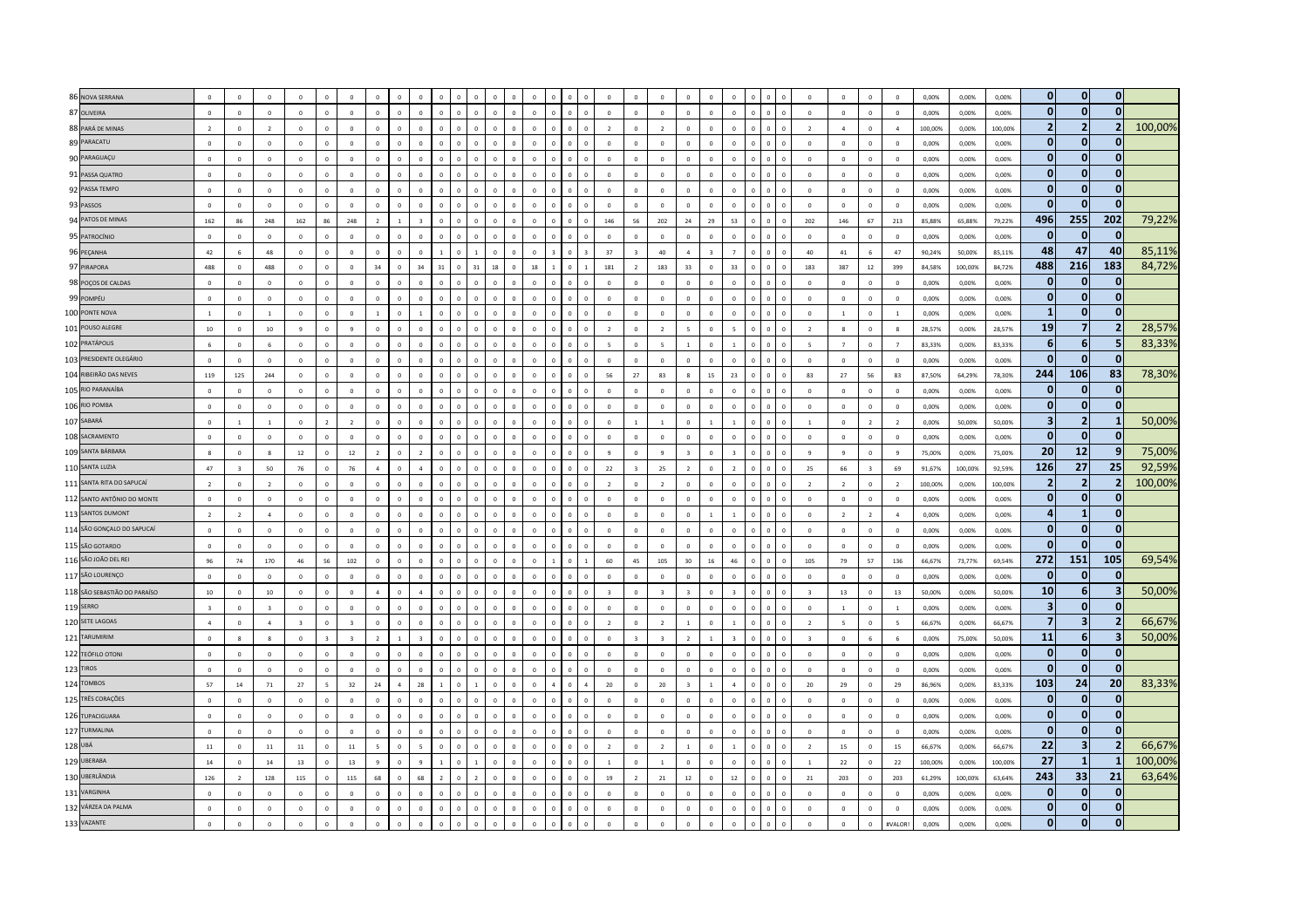| 86 NOVA SERRANA              | $\overline{0}$          | $\Omega$                |                          | $\Omega$                |                |                         |                |                |                |                |                |                        |                |            |              | $\sqrt{2}$               | $\Omega$       |                          |                 |                |                |                     |                | $\Omega$                 | $\Omega$                 | $\sqrt{2}$               | $\Omega$       | 0.00%   | 0.00%   | 0.00%   | $\mathbf{0}$            | $\mathbf{0}$            | $\mathbf 0$             |         |
|------------------------------|-------------------------|-------------------------|--------------------------|-------------------------|----------------|-------------------------|----------------|----------------|----------------|----------------|----------------|------------------------|----------------|------------|--------------|--------------------------|----------------|--------------------------|-----------------|----------------|----------------|---------------------|----------------|--------------------------|--------------------------|--------------------------|----------------|---------|---------|---------|-------------------------|-------------------------|-------------------------|---------|
| 87 OLIVEIRA                  | $\overline{0}$          | $\sqrt{2}$              | $\Omega$                 | $\Omega$                | $\Omega$       | $\overline{0}$          | $\Omega$       | $\mathbf{0}$   | $\Omega$       | $\Omega$       | $\Omega$       | $\Omega$<br>$\sqrt{2}$ | $\Omega$       | $\sqrt{2}$ | $\Omega$     | $\overline{0}$           | $\circ$        | $\Omega$                 | $\Omega$        | $\Omega$       | $\Omega$       |                     | $\Omega$       | $\overline{0}$           | $\overline{0}$           | $\Omega$                 | $\Omega$       | 0.00%   | 0.00%   | 0.00%   | $\mathbf{0}$            | $\mathbf{0}$            | $\Omega$                |         |
| 88 PARÁ DE MINAS             | $\overline{2}$          | $\Omega$                | $\overline{\phantom{a}}$ | $\mathbf 0$             | $\Omega$       | $\Omega$                | $\Omega$       | $\sqrt{2}$     |                |                |                |                        | $\Omega$       |            |              | $\overline{z}$           | $\Omega$       | $\overline{\phantom{a}}$ | $\Omega$        | $\Omega$       | $\Omega$       |                     |                | $\overline{\phantom{a}}$ | $\overline{a}$           | $\mathbf 0$              | $\overline{a}$ | 100,00% | 0,00%   | 100,00% | $\overline{2}$          | $\overline{2}$          |                         | 100,00% |
| 89 PARACATU                  | $\,$ 0 $\,$             | $\mathbf 0$             | $\mathbf 0$              | $\mathbf 0$             | $\circ$        | $\mathbf 0$             | $\circ$        | $\mathbf 0$    |                |                | $\overline{0}$ |                        | $\mathbf 0$    |            | $\theta$     | $\overline{0}$           | $\overline{0}$ | $\mathbf 0$              | $\mathbf 0$     | $\circ$        | $\mathbf{0}$   |                     |                | $\,$ 0 $\,$              | $\,$ 0                   | $\,$ 0 $\,$              | $\,$ 0 $\,$    | 0,00%   | 0,00%   | 0,00%   | $\bf{0}$                | $\mathbf{0}$            | $\bf{0}$                |         |
| 90 PARAGUAÇU                 | $\,$ 0 $\,$             | $\Omega$                | $\Omega$                 | $\,0\,$                 | $\Omega$       | $\Omega$                | $\Omega$       | $\Omega$       |                |                | $\Omega$       |                        | $\Omega$       |            | $\Omega$     | $\overline{0}$           | $\Omega$       | $\Omega$                 |                 |                |                |                     |                | $\Omega$                 | $\Omega$                 | $\Omega$                 | $\,$ 0 $\,$    | 0,00%   | 0,00%   | 0,00%   | $\bf{0}$                | $\mathbf{0}$            | $\mathbf{0}$            |         |
| 91 PASSA QUATRO              | $\overline{0}$          | $\theta$                | $\Omega$                 | $\mathbf 0$             | $\Omega$       | $\Omega$                | $\Omega$       | $\Omega$       |                |                | $\Omega$       |                        | $\theta$       |            | $\Omega$     | $\overline{0}$           | $\Omega$       | $\Omega$                 |                 | $\Omega$       | $\Omega$       |                     |                | $\Omega$                 | $\Omega$                 | $\mathbf{0}$             | $\mathbf 0$    | 0,00%   | 0,00%   | 0,00%   | $\bf{0}$                | $\mathbf{0}$            | $\mathbf 0$             |         |
| 92 PASSA TEMPO               | $\mathbf 0$             | $\Omega$                | $\Omega$                 | $\circ$                 | $\circ$        | $\Omega$                | $\Omega$       | $\Omega$       | $\Omega$       | $\Omega$       | $\Omega$       | $\Omega$               | $\Omega$       | $\Omega$   | $\Omega$     | $\Omega$                 | $\Omega$       | $\Omega$                 | $\Omega$        | $\Omega$       | $\Omega$       |                     |                | $\Omega$                 | $\Omega$                 | $\Omega$                 | $\Omega$       | 0.00%   | 0.00%   | 0.00%   | $\bf{0}$                | $\mathbf{0}$            | $\mathbf 0$             |         |
| 93 PASSOS                    | $\,$ 0 $\,$             | $\Omega$                | $\overline{\mathbf{0}}$  | $\circ$                 | $\mathbf 0$    | $\Omega$                | $\Omega$       | $\mathbf{0}$   |                | $\Omega$       | $\Omega$       |                        | $\Omega$       |            |              | $\overline{0}$           | $\Omega$       | $\Omega$                 | $\Omega$        | $\Omega$       | $\Omega$       |                     |                | $\overline{0}$           | $\Omega$                 | $\Omega$                 | $\Omega$       | 0,00%   | 0,00%   | 0,00%   | $\Omega$                | $\Omega$                | $\Omega$                |         |
| 94 PATOS DE MINAS            | 162                     | 86                      | 248                      | 162                     | 86             | 248                     | $\overline{2}$ | $\mathbf{1}$   |                | $\Omega$       | $\mathbf 0$    | $\Omega$               | $\pmb{0}$      | $\Omega$   | $\,$ 0       | 146                      | 56             | 202                      | 24              | 29             | 53             | $\Omega$<br>$\bf 0$ | $\,$ 0         | 202                      | 146                      | 67                       | 213            | 85,88%  | 65,88%  | 79,22%  | 496                     | 255                     | 202                     | 79,22%  |
| 95 PATROCÍNIO                | $\overline{0}$          | $\Omega$                | $\Omega$                 | $\mathbb O$             | $\Omega$       | $\Omega$                | $\Omega$       | $\Omega$       |                |                | $\Omega$       |                        | $\Omega$       |            |              | $\overline{0}$           | $\Omega$       | $\Omega$                 | $\Omega$        | $\Omega$       |                |                     |                | $\Omega$                 | $\Omega$                 | $\Omega$                 | $\Omega$       | 0,00%   | 0,00%   | 0,00%   | $\Omega$                | $\mathbf{0}$            | $\mathbf{0}$            |         |
| 96 PEÇANHA                   | 42                      | $\overline{6}$          | 48                       | $\mathbf 0$             | $\mathbf{0}$   | $\Omega$                | $\Omega$       | $\theta$       |                |                |                |                        | $\theta$       |            |              | 37                       |                | 40                       | $\overline{a}$  |                |                |                     |                | 40                       | 41                       | $\mathbf{6}$             | 47             | 90,24%  | 50,00%  | 85,11%  | 48                      | 47                      | 40                      | 85,11%  |
| 97 PIRAPORA                  | 488                     | $\sqrt{2}$              | 488                      | $\Omega$                | $\Omega$       | $\Omega$                | 34             | $\Omega$       | 34             | 31             | 31             | 18                     | 18             |            |              | 181                      | $\overline{z}$ | 183                      | 33              | $\Omega$       | २२             |                     |                | 183                      | 387                      | $12\,$                   | 399            | 84,58%  | 100,00% | 84,72%  | 488                     | 216                     | 183                     | 84,72%  |
| 98 POÇOS DE CALDAS           | $\,$ 0 $\,$             | $\overline{0}$          | $\overline{0}$           | $\mathbf 0$             | $\Omega$       | $\mathbf 0$             | $\Omega$       | $\Omega$       | $\Omega$       | $\Omega$       | $\Omega$       |                        | $\Omega$       |            | $\Omega$     | $\mathbf 0$              | $\Omega$       | $\circ$                  | $\Omega$        | $\Omega$       | $\Omega$       |                     |                | $\,$ 0 $\,$              | $\overline{0}$           | $\circ$                  | $\mathbf 0$    | 0,00%   | 0,00%   | 0,00%   | $\bf{0}$                | $\mathbf{0}$            | $\bf{0}$                |         |
| 99 POMPÉU                    | $\,$ 0 $\,$             | $\mathbf 0$             | $\mathbf 0$              | $\mathbf 0$             | $\mathbf{0}$   | $\mathbf{0}$            | $\Omega$       | $\mathbf 0$    |                |                |                |                        | $\Omega$       |            |              | $\overline{0}$           | $\mathbf 0$    | $\mathbf 0$              | $\Omega$        | $\Omega$       | $\Omega$       |                     |                | $\overline{0}$           | $\mathbf 0$              | $\mathbf 0$              | $\mathbf 0$    | 0,00%   | 0,00%   | 0,00%   | $\Omega$                | $\mathbf{0}$            | $\mathbf{0}$            |         |
| 100 PONTE NOVA               | $\overline{1}$          | $\overline{0}$          | $\mathbf{1}$             | $\,0\,$                 | $\mathbf{0}$   | $\overline{0}$          |                | $\mathbf{0}$   |                |                |                |                        | $\mathbf 0$    |            | $\mathbf{0}$ | $\overline{0}$           | $\mathbf{0}$   | $\mathbf{0}$             | $\mathbf 0$     | $\circ$        | $\mathbf 0$    |                     |                | $\,$ 0 $\,$              | $\mathbf{1}$             | $\mathbf{0}$             | $\mathbf{1}$   | 0,00%   | 0,00%   | 0,00%   | $\mathbf{1}$            | $\mathbf{0}$            | $\bf{0}$                |         |
| 101 POUSO ALEGRE             | $10\,$                  | $\overline{0}$          | $10\,$                   | $\overline{9}$          | $\mathbf{0}$   | $\mathbf{q}$            | $\circ$        | $\Omega$       |                |                | $\mathbf 0$    | $\Omega$               | $\mathbf{0}$   |            | $\Omega$     | $\overline{2}$           | $\Omega$       | $\overline{2}$           |                 | $\Omega$       |                |                     |                | $\overline{2}$           | $\mathbf{8}$             | $\mathbf{0}$             | $\mathbf{R}$   | 28,57%  | 0,00%   | 28,57%  | 19                      | $\overline{7}$          | $\overline{\mathbf{z}}$ | 28,57%  |
| 102 PRATÁPOLIS               | $\overline{6}$          | $\Omega$                | $\overline{6}$           | $\Omega$                | $\Omega$       | $\Omega$                | $\Omega$       | $\Omega$       | $\Omega$       | $\sqrt{2}$     | $\Omega$       | $\Omega$               | $\Omega$       | $\Omega$   | $\Omega$     | $\overline{\phantom{a}}$ | $\Omega$       | $\sim$                   |                 | $\Omega$       |                |                     |                | $\overline{\phantom{a}}$ | $\overline{7}$           | $\Omega$                 | $\overline{7}$ | 83,33%  | 0,00%   | 83,33%  | $6\phantom{1}$          | 6 <sup>1</sup>          | 5                       | 83,33%  |
| 103 PRESIDENTE OLEGÁRIO      | $\,$ 0 $\,$             | $\Omega$                | $\Omega$                 | $\circ$                 | $\Omega$       | $\Omega$                | $\Omega$       | $\Omega$       | $\Omega$       | $\sqrt{2}$     | $\Omega$       | $\Omega$               | $\Omega$       | $\Omega$   | $\Omega$     | $\,$ 0                   | $\Omega$       | $\Omega$                 | $\Omega$        | $\Omega$       | $\Omega$       |                     | $\sqrt{2}$     | $\Omega$                 | $\Omega$                 | $\Omega$                 | $\Omega$       | 0,00%   | 0,00%   | 0,00%   | $\Omega$                | $\mathbf{0}$            | $\mathbf{0}$            |         |
| 104 RIBEIRÃO DAS NEVES       | 119                     | 125                     | 244                      | $\mathbb O$             | $\Omega$       | $\Omega$                | $\Omega$       | $\mathbf 0$    |                |                |                |                        | $\mathbf 0$    |            |              | 56                       | 27             | 83                       |                 | 15             | 23             |                     |                | 83                       | 27                       | 56                       | 83             | 87,50%  | 64,29%  | 78,30%  | 244                     | 106                     | 83                      | 78,30%  |
| 105 RIO PARANAÍBA            | $\mathbf 0$             | $\overline{0}$          | $\mathbf 0$              | $\mathbf 0$             | $\mathbf 0$    | $\mathbf{0}$            | $\mathbf{0}$   | $\mathbf{0}$   | $\Omega$       | $\mathbf 0$    | $\mathbf 0$    | $\mathbf 0$            | $\mathbf{0}$   |            | $\mathbf 0$  | $\overline{0}$           | $\mathbf{0}$   | $\circ$                  | $\mathbf 0$     | $\circ$        | $\mathbf{0}$   | $\mathbf 0$         | $\overline{0}$ | $\,$ 0 $\,$              | $\mathbf 0$              | $\mathbf{0}$             | $\mathbf 0$    | 0,00%   | 0,00%   | 0,00%   | $\bf{0}$                | $\mathbf{0}$            | $\bf{0}$                |         |
| 106 RIO POMBA                | $\,$ 0 $\,$             | $\overline{0}$          | $\overline{0}$           | $\overline{0}$          | $\mathbf 0$    | $\mathbf{0}$            | $\overline{0}$ | $\Omega$       |                | $\Omega$       | $\Omega$       | $\Omega$               | $\mathbf{0}$   |            |              | $\overline{0}$           | $\mathbf 0$    | $\mathbf 0$              | $\circ$         | $\mathbf 0$    | $\Omega$       |                     |                | $\,$ 0 $\,$              | $\overline{0}$           | $\mathbf{0}$             | $\overline{0}$ | 0.00%   | 0.00%   | 0.00%   | $\bf{0}$                | $\mathbf{0}$            | $\mathbf{0}$            |         |
| 107 SABARÁ                   | $\mathbf 0$             | $\overline{1}$          | $\overline{1}$           | $\mathbf 0$             | $\overline{2}$ | $\overline{2}$          | $\circ$        | $\mathbf{0}$   |                | $\sqrt{2}$     | $\mathbf 0$    | $\Omega$               | $\mathbf 0$    |            | $\sqrt{2}$   | $\mathbf{0}$             | $\overline{1}$ | $\mathbf{1}$             | $\circ$         | $\overline{1}$ |                |                     | $\sqrt{2}$     | $\overline{1}$           | $\overline{0}$           | $\overline{2}$           | $\overline{2}$ | 0,00%   | 50,00%  | 50,00%  | $\overline{\mathbf{3}}$ | $\overline{2}$          | $\mathbf{1}$            | 50,00%  |
| 108 SACRAMENTO               | $\overline{\mathbf{0}}$ | $\Omega$                | $\Omega$                 | $\circ$                 | $\Omega$       | $\Omega$                | $\Omega$       | $\Omega$       |                | $\sqrt{2}$     | $\sqrt{2}$     | $\sqrt{2}$             | $\Omega$       |            |              | $\Omega$                 | $\Omega$       | $\Omega$                 | $\sqrt{2}$      | $\sqrt{2}$     | $\Omega$       |                     |                | $\Omega$                 | $\Omega$                 | $\Omega$                 | $\Omega$       | 0.00%   | 0.00%   | 0.00%   | $\bf{0}$                | $\mathbf{0}$            | n                       |         |
| 109 SANTA BÁRBARA            | 8                       | $\Omega$                | $\mathbf{R}$             | $12\,$                  | $\mathbf{0}$   | 12                      |                | $\mathbf{0}$   |                |                |                |                        |                |            |              | 9                        | $\mathbf{0}$   | $\mathbf{q}$             |                 |                |                |                     |                | $\overline{9}$           | $\mathbf{q}$             | $\mathbf 0$              | $\mathbf{q}$   | 75,00%  | 0,00%   | 75,00%  | 20                      | 12                      | -9                      | 75,00%  |
| 110 SANTA LUZIA              | 47                      | $\overline{\mathbf{3}}$ | $50\,$                   | 76                      | $\mathbf 0$    | 76                      | $\overline{a}$ | $\mathbf{0}$   | $\overline{a}$ | $\Omega$       | $\mathbf 0$    |                        | $\mathbf{0}$   |            | $\mathbf{0}$ | 22                       |                | 25                       | $\overline{2}$  | $\mathbf 0$    | $\overline{2}$ |                     |                | 25                       | 66                       | $\overline{\mathbf{3}}$  | 69             | 91,67%  | 100,00% | 92,59%  | 126                     | 27                      | 25                      | 92,59%  |
| 111 SANTA RITA DO SAPUCAÍ    | $\overline{2}$          | $\Omega$                | $\overline{2}$           | $\mathbf 0$             | $\circ$        | $\mathbf{0}$            | $\mathbf 0$    | $\mathbf{0}$   | $\Omega$       | $\Omega$       | $\mathbf 0$    |                        | $\mathbf 0$    |            | $\Omega$     | $\overline{2}$           | $\Omega$       | $\overline{2}$           | $\Omega$        | $\Omega$       | $\Omega$       |                     |                | $\overline{2}$           | $\overline{2}$           | $\mathbf{0}$             | $\overline{2}$ | 100.00% | 0.00%   | 100.00% | $\overline{2}$          | $\overline{2}$          | $\overline{\mathbf{z}}$ | 100,00% |
| 112 SANTO ANTÔNIO DO MONTE   | $\mathbf 0$             | $\Omega$                | $\Omega$                 | $\circ$                 | $\Omega$       | $\mathbf 0$             | $\Omega$       | $\Omega$       | $\Omega$       | $\sqrt{2}$     | $\Omega$       | $\Omega$               | $\Omega$       |            | $\Omega$     | $\theta$                 | $\Omega$       | $\Omega$                 | $\Omega$        | $\Omega$       | $\Omega$       |                     |                | $\Omega$                 | $\mathbf 0$              | $\Omega$                 | $\Omega$       | 0.00%   | 0.00%   | 0.00%   | $\bf{0}$                | $\mathbf{0}$            | $\bf{0}$                |         |
| 113 SANTOS DUMONT            | $\overline{2}$          | $\overline{z}$          | $\Lambda$                | $\Omega$                | $\Omega$       | $\Omega$                | $\Omega$       | $\Omega$       | $\Omega$       | $\Omega$       | $\sqrt{2}$     | $\sqrt{2}$             | $\Omega$       |            |              | $\Omega$                 | $\sqrt{2}$     | $\Omega$                 | $\Omega$        |                |                |                     |                | $\Omega$                 | $\overline{z}$           | $\overline{\phantom{a}}$ | $\Lambda$      | 0,00%   | 0,00%   | 0,00%   |                         | $\mathbf{1}$            | $\mathbf{0}$            |         |
| 114 SÃO GONÇALO DO SAPUCAÍ   | $\,$ 0 $\,$             | $\Omega$                | $\mathbf 0$              | $\circ$                 | $\mathbf 0$    | $\mathbf 0$             | $\mathbf 0$    | $\mathbf 0$    | $\Omega$       | $\Omega$       | $\mathbf 0$    | $\Omega$               | $\mathbf 0$    |            | $\Omega$     | $\overline{0}$           | $\mathbf 0$    | $\circ$                  | $\Omega$        | $\Omega$       | $\Omega$       |                     |                | $\mathbf{0}$             | $\mathbf 0$              | $\circ$                  | $\Omega$       | 0,00%   | 0,00%   | 0,00%   | $\bf{0}$                | $\mathbf{0}$            | $\mathbf{0}$            |         |
| 115 SÃO GOTARDO              | $\,$ 0 $\,$             | $\overline{0}$          | $\overline{0}$           | $\,0\,$                 | $\circ$        | $\mathbf{0}$            | $\circ$        | $\mathbf{0}$   | $\Omega$       | $\overline{0}$ | $\mathbf 0$    | $\mathbf 0$            | $\mathbf{0}$   |            | $\mathbf 0$  | $\overline{0}$           | $\mathbf 0$    | $\mathbf 0$              | $\circ$         | $\mathbf 0$    | $\mathbf 0$    |                     |                | $\,$ 0 $\,$              | $\overline{0}$           | $\mathbf{0}$             | $\,0\,$        | 0,00%   | 0,00%   | 0,00%   | 0                       | $\mathbf{0}$            | $\Omega$                |         |
| 116 SÃO JOÃO DEL REI         | 96                      | 74                      | 170                      | 46                      | 56             | 102                     | $\Omega$       | $\Omega$       |                |                | $\Omega$       |                        | $\Omega$       |            |              | 60                       | 45             | 105                      | 30 <sub>o</sub> | 16             | 46             |                     |                | 105                      | 79                       | 57                       | 136            | 66.67%  | 73.77%  | 69,54%  | 272                     | 151                     | 105                     | 69,54%  |
| 117 SÃO LOURENÇO             | $\overline{0}$          | $\Omega$                | $\Omega$                 | $\circ$                 | $\Omega$       | $\theta$                | $\Omega$       | $\Omega$       | $\Omega$       | $\sqrt{2}$     | $\Omega$       | $\Omega$               | $\Omega$       |            | $\Omega$     | $\theta$                 | $\Omega$       | $\Omega$                 | $\Omega$        | $\Omega$       | $\Omega$       |                     |                | $\Omega$                 | $\Omega$                 | $\Omega$                 | $\Omega$       | 0,00%   | 0.00%   | 0.00%   | $\Omega$                | $\mathbf{0}$            | $\mathbf{0}$            |         |
| 118 SÃO SEBASTIÃO DO PARAÍSO | $10\,$                  | $\Omega$                | 10                       | $\circ$                 | $\Omega$       | $\Omega$                | $\Lambda$      | $\Omega$       |                |                |                |                        | $\sqrt{2}$     |            |              | $\overline{\mathbf{z}}$  | $\sqrt{2}$     | $\overline{z}$           |                 | $\Omega$       |                |                     |                | $\overline{\mathbf{3}}$  | 13                       | $\Omega$                 | 13             | 50,00%  | 0,00%   | 50,00%  | 10                      | 6 <sup>1</sup>          | $\overline{\mathbf{3}}$ | 50,00%  |
| <b>119 SERRO</b>             | $\overline{\mathbf{3}}$ | $\Omega$                | $\overline{3}$           | $\mathbf 0$             | $\Omega$       | $\mathbf 0$             | $\Omega$       | $\Omega$       |                | $\sqrt{2}$     | $\Omega$       |                        | $\Omega$       |            |              | $\overline{0}$           | $\Omega$       | $\mathbf 0$              | $\Omega$        | $\Omega$       | $\Omega$       |                     |                | $\mathbf{0}$             | $\mathbf{1}$             | $\mathbf 0$              | $\overline{1}$ | 0,00%   | 0,00%   | 0,00%   | $\mathbf{3}$            | $\mathbf{0}$            | $\mathbf{0}$            |         |
| 120 SETE LAGOAS              | $\overline{4}$          | $\overline{0}$          | $\overline{4}$           | $\overline{\mathbf{3}}$ | $\mathbf 0$    | $\overline{\mathbf{3}}$ | $\mathbf 0$    | $\mathbf{0}$   |                |                | $\overline{0}$ |                        | $\overline{0}$ |            |              | $\overline{2}$           | $\mathbf 0$    | $\overline{2}$           |                 | $\mathbf 0$    |                |                     |                | $\overline{2}$           | $\overline{\phantom{a}}$ | $\circ$                  | 5              | 66,67%  | 0,00%   | 66,67%  | $\overline{7}$          | $\overline{\mathbf{3}}$ | $\overline{2}$          | 66,67%  |
| 121 TARUMIRIM                | $\,$ 0 $\,$             | $\mathbf{R}$            | $\mathbf{R}$             | $\mathbf 0$             | $\overline{3}$ | $\overline{\mathbf{3}}$ | $\overline{z}$ |                |                |                | $\Omega$       |                        | $\Omega$       |            | $\Omega$     | $\mathbf{0}$             |                | $\overline{3}$           | $\overline{ }$  |                |                |                     |                | $\overline{3}$           | $\Omega$                 | 6                        | 6              | 0,00%   | 75,00%  | 50,00%  | 11                      | -61                     | $\overline{\mathbf{3}}$ | 50,00%  |
| 122 TEÓFILO OTONI            | $\overline{0}$          | $\Omega$                | $\Omega$                 | $\Omega$                | $\Omega$       | $\Omega$                | $\Omega$       | $\Omega$       | $\Omega$       |                | $\Omega$       | $\sqrt{2}$             | $\Omega$       |            | $\Omega$     | $\Omega$                 | $\Omega$       | $\Omega$                 | $\Omega$        | $\sqrt{2}$     |                |                     |                | $\Omega$                 | $\Omega$                 | $\Omega$                 | $\Omega$       | 0.00%   | 0,00%   | 0.00%   | $\Omega$                | $\mathbf{0}$            | $\Omega$                |         |
| 123 TIROS                    | $\,$ 0 $\,$             | $\Omega$                | $\Omega$                 | $\circ$                 | $\Omega$       | $\Omega$                | $\Omega$       | $\Omega$       | $\Omega$       | $\Omega$       | $\Omega$       | $\Omega$               | $\theta$       | $\Omega$   | $\Omega$     | $\theta$                 | $\Omega$       | $\Omega$                 | $\Omega$        | $\Omega$       | $\Omega$       |                     |                | $\Omega$                 | $\Omega$                 | $\Omega$                 | $\Omega$       | 0.00%   | 0.00%   | 0.00%   | $\bf{0}$                | $\mathbf{0}$            | O                       |         |
| 124 TOMBOS                   | 57                      | $14\,$                  | 71                       | 27                      | $\sim$         | 32                      | 24             | $\overline{a}$ | 28             |                |                | $\Omega$               | $\mathbf 0$    |            |              | 20                       | $\Omega$       | 20                       |                 | $\overline{1}$ | $\Lambda$      |                     | $\Omega$       | 20                       | 29                       | $\mathbf 0$              | 29             | 86,96%  | 0,00%   | 83,33%  | 103                     | 24                      | 20                      | 83,33%  |
| 125 TRÊS CORAÇÕES            | $\overline{0}$          | $\overline{0}$          | $\mathbf 0$              | $\,0\,$                 | $\mathbf 0$    | $\overline{0}$          | $\mathbf 0$    | $\mathbf 0$    |                |                | $\mathbf 0$    |                        | $\mathbf 0$    |            |              | $\overline{0}$           | $\mathbf{0}$   | $\circ$                  | $\mathbf 0$     | $\mathbf{0}$   |                | $\mathbf 0$         |                | $\overline{0}$           | $\overline{0}$           | $\circ$                  | $\overline{0}$ | 0,00%   | 0,00%   | 0,00%   | $\bf{0}$                | $\mathbf{0}$            | $\bf{0}$                |         |
| 126 TUPACIGUARA              | $\,$ 0 $\,$             | $\Omega$                | $\mathbf 0$              | $\mathbf 0$             | $\Omega$       | $\Omega$                | $\Omega$       | $\theta$       |                |                | $\Omega$       |                        | $\Omega$       |            |              | $\Omega$                 | $\Omega$       | $\Omega$                 | $\Omega$        | $\Omega$       |                |                     |                | $\Omega$                 | $\Omega$                 | $\Omega$                 | $\Omega$       | 0,00%   | 0,00%   | 0,00%   | $\bf{0}$                | $\mathbf{0}$            | $\mathbf{0}$            |         |
| 127 TURMALINA                | $\overline{0}$          | $\Omega$                | $\Omega$                 | $\mathbf{0}$            | $\Omega$       | $\mathbf 0$             | $\Omega$       | $\sqrt{2}$     |                |                | $\sqrt{2}$     |                        | $\Omega$       |            |              | $\Omega$                 | $\Omega$       | $\Omega$                 | $\Omega$        | $\Omega$       |                |                     |                | $\overline{0}$           | $\Omega$                 | $\Omega$                 | $\Omega$       | 0,00%   | 0,00%   | 0,00%   | $\bf{0}$                | $\mathbf{0}$            | $\mathbf{0}$            |         |
| 128 UBÁ                      | $11\,$                  | $\Omega$                | $11\,$                   | 11                      | $\Omega$       | $11\,$                  | 5              | $\Omega$       |                | $\Omega$       | $\Omega$       | $\Omega$               | $\Omega$       | $\Omega$   | $\Omega$     | $\overline{z}$           | $\Omega$       | $\overline{z}$           | $\overline{1}$  | $\Omega$       |                |                     |                | $\overline{z}$           | 15                       | $\Omega$                 | 15             | 66.67%  | 0.00%   | 66,67%  | 22                      | $\overline{\mathbf{3}}$ | $\overline{2}$          | 66,67%  |
| 129 UBERABA                  | $14\,$                  | $\mathbf{0}$            | $14\,$                   | 13                      | $\mathbf{0}$   | 13                      |                | $\mathbf{0}$   |                |                |                |                        | $\Omega$       |            |              | $\overline{1}$           | $\Omega$       | $\overline{1}$           | $\Omega$        | $\Omega$       |                |                     |                | $\overline{1}$           | 22                       | $\mathbf 0$              | 22             | 100,00% | 0,00%   | 100,00% | 27                      | $\mathbf{1}$            | -1                      | 100,00% |
| 130 UBERLÂNDIA               | $126\,$                 | $\overline{2}$          | $128\,$                  | 115                     | $\circ$        | 115                     | 68             | $\mathbf 0$    | 68             |                | $\overline{z}$ |                        | $\Omega$       |            | $\Omega$     | $19\,$                   | $\overline{z}$ | ${\bf 21}$               | $12\,$          | $\Omega$       | $12\,$         |                     |                | 21                       | 203                      | $\mathbf 0$              | 203            | 61,29%  | 100,00% | 63,64%  | 243                     | 33                      | 21                      | 63,64%  |
| 131 VARGINHA                 | $\Omega$                | $\Omega$                | $\Omega$                 | $\,$ 0 $\,$             | $\Omega$       | $\Omega$                | $\Omega$       | $\Omega$       |                |                | $\Omega$       |                        | $\Omega$       |            |              | $\overline{0}$           |                | $\Omega$                 |                 |                |                |                     |                | $\Omega$                 | $\Omega$                 | $\mathbf 0$              | $\overline{0}$ | 0,00%   | 0,00%   | 0,00%   | $\Omega$                | $\mathbf{0}$            | $\Omega$                |         |
| 132 VÁRZEA DA PALMA          | $\mathbf{0}$            | $\Omega$                | $\Omega$                 | $\Omega$                | $\Omega$       | $\Omega$                | $\Omega$       | $\Omega$       | $\Omega$       |                | $\Omega$       |                        | $\theta$       |            | $\Omega$     | $\Omega$                 | $\Omega$       | $\Omega$                 | $\Omega$        | $\Omega$       | $\Omega$       |                     |                | $\Omega$                 | $\Omega$                 | $\Omega$                 | $\Omega$       | 0.00%   | 0.00%   | 0,00%   | $\bf{0}$                | $\bf{0}$                | $\mathbf 0$             |         |
| 133 VAZANTE                  | $\,$ 0 $\,$             | $\overline{0}$          | $\mathbf 0$              | $\,0\,$                 | $\mathbf 0$    | $\Omega$                | $\Omega$       | $\Omega$       |                |                |                |                        | $\Omega$       |            |              | $\Omega$                 |                | $\circ$                  | $\Omega$        | $\Omega$       | $\Omega$       |                     |                | $\Omega$                 | $\Omega$                 | $\mathbf{0}$             | #VALOR!        | 0,00%   | 0,00%   | 0,00%   | $\Omega$                | $\Omega$                | $\mathbf{0}$            |         |
|                              |                         |                         |                          |                         |                |                         |                |                |                |                |                |                        |                |            |              |                          |                |                          |                 |                |                |                     |                |                          |                          |                          |                |         |         |         |                         |                         |                         |         |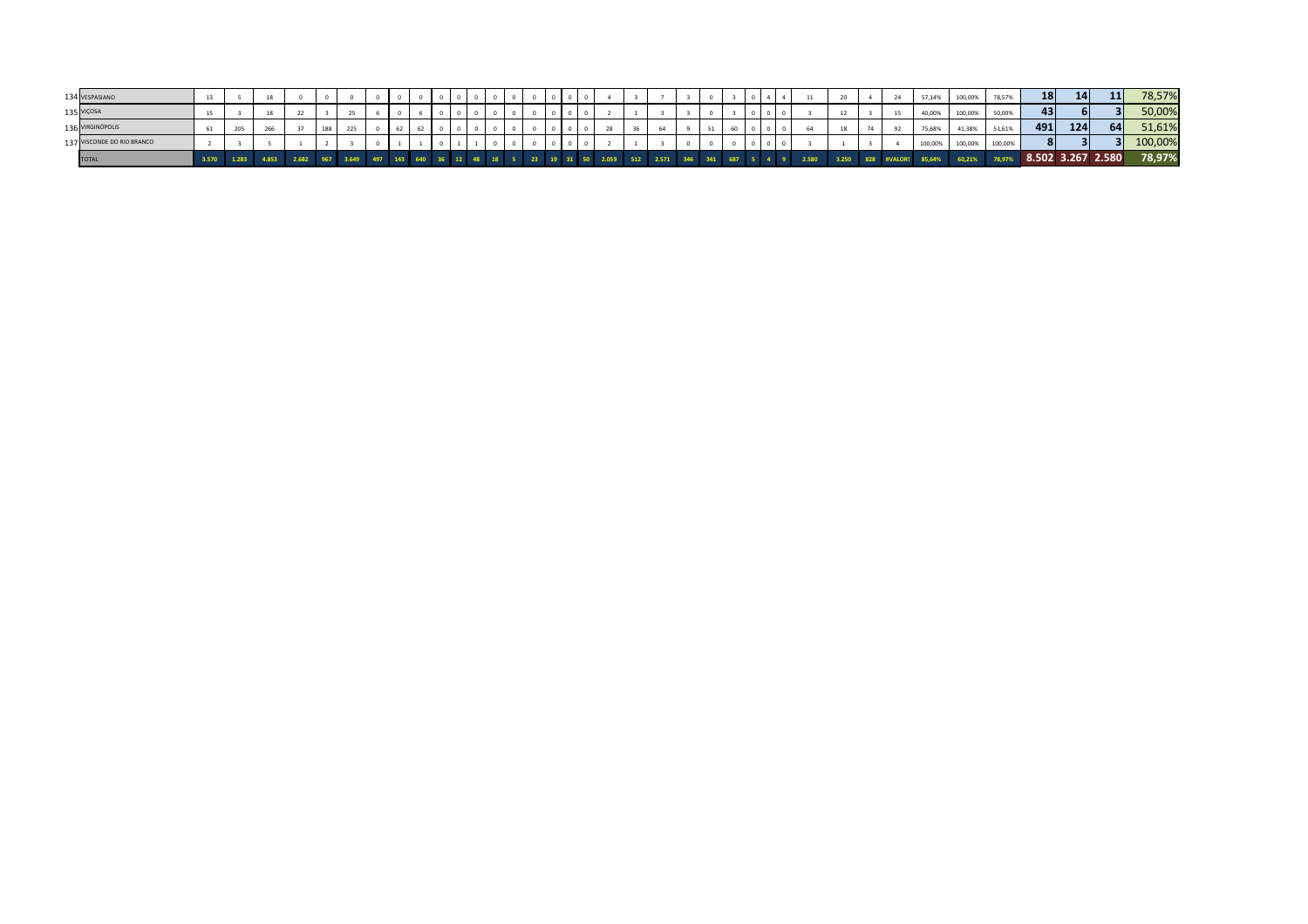| 134 VESPASIANO             | 13 |     |  |  |  |  |  |  |  |  |  |  |    |  |  | 20    | 24 | 57,14%  | 100,00% | 78,57%  | 18  | 14                | 11 | 78,57%  |
|----------------------------|----|-----|--|--|--|--|--|--|--|--|--|--|----|--|--|-------|----|---------|---------|---------|-----|-------------------|----|---------|
| 135 VIÇOSA                 | 15 |     |  |  |  |  |  |  |  |  |  |  |    |  |  |       | 15 | 40,00%  | 100,00% | 50,00%  | 431 |                   |    | 50,00%  |
| 136 VIRGINÓPOLIS           |    | 205 |  |  |  |  |  |  |  |  |  |  | ou |  |  |       |    | 75,68%  | 41,38%  | 51,61%  | 491 | 124               | 64 | 51,61%  |
| 137 VISCONDE DO RIO BRANCO |    |     |  |  |  |  |  |  |  |  |  |  |    |  |  |       |    | 100,00% | 100,00% | 100,00% |     |                   |    | 100,00% |
|                            |    |     |  |  |  |  |  |  |  |  |  |  |    |  |  | 3.250 |    | 85,64%  | 60,21%  | 78,97%  |     | 8.502 3.267 2.580 |    | 78,97%  |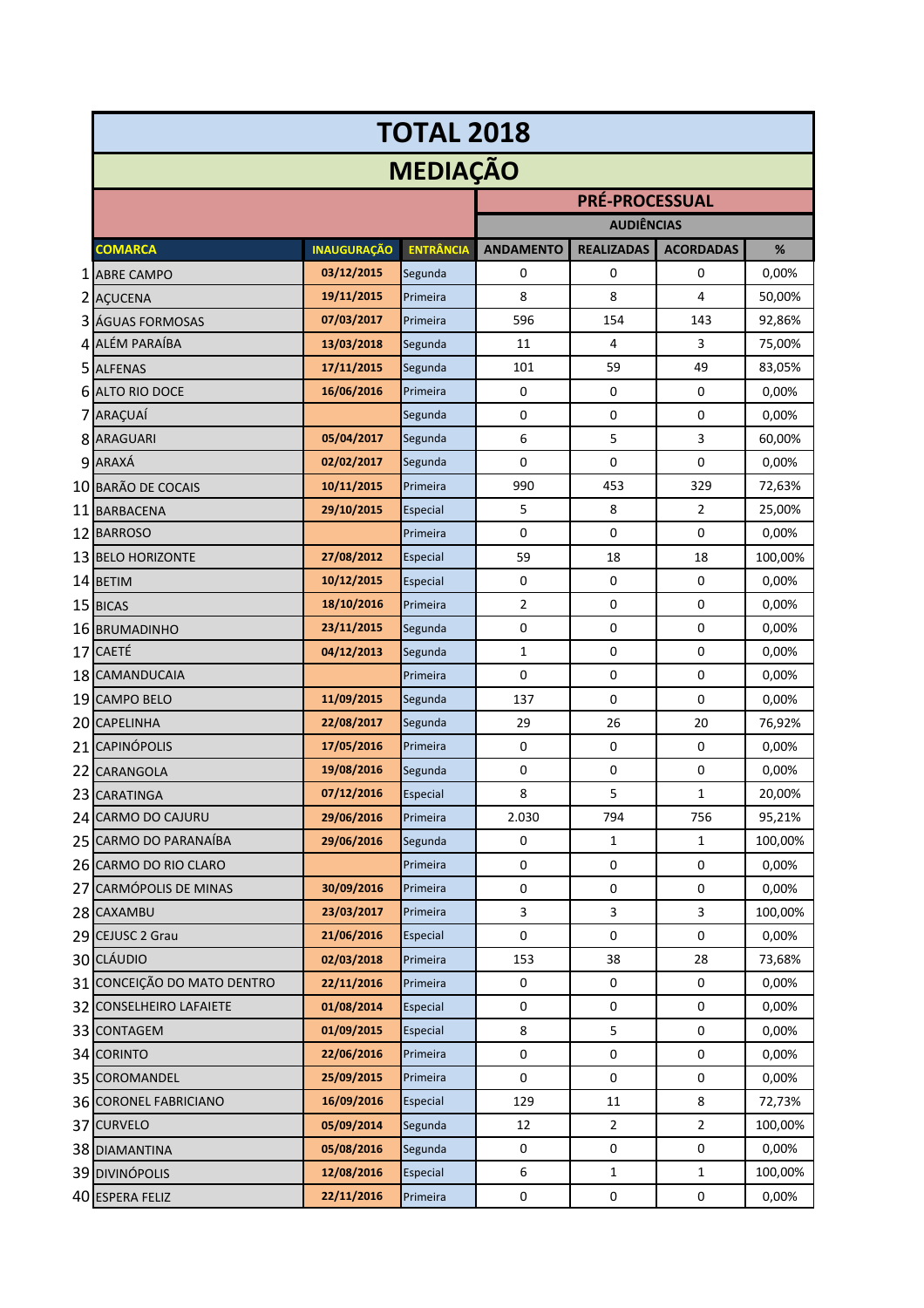|                             |                    | <b>TOTAL 2018</b> |                  |                       |                  |         |
|-----------------------------|--------------------|-------------------|------------------|-----------------------|------------------|---------|
|                             |                    | <b>MEDIAÇÃO</b>   |                  |                       |                  |         |
|                             |                    |                   |                  | <b>PRÉ-PROCESSUAL</b> |                  |         |
|                             |                    |                   |                  | <b>AUDIÊNCIAS</b>     |                  |         |
| <b>COMARCA</b>              | <b>INAUGURAÇÃO</b> | <b>ENTRÂNCIA</b>  | <b>ANDAMENTO</b> | <b>REALIZADAS</b>     | <b>ACORDADAS</b> | %       |
| 1 ABRE CAMPO                | 03/12/2015         | Segunda           | 0                | 0                     | $\mathbf 0$      | 0,00%   |
| 2 AÇUCENA                   | 19/11/2015         | Primeira          | 8                | 8                     | 4                | 50,00%  |
| 3 ÁGUAS FORMOSAS            | 07/03/2017         | Primeira          | 596              | 154                   | 143              | 92,86%  |
| 4 ALÉM PARAÍBA              | 13/03/2018         | Segunda           | 11               | 4                     | 3                | 75,00%  |
| 5 ALFENAS                   | 17/11/2015         | Segunda           | 101              | 59                    | 49               | 83,05%  |
| <b>6 ALTO RIO DOCE</b>      | 16/06/2016         | Primeira          | 0                | 0                     | 0                | 0,00%   |
| 7 ARAÇUAÍ                   |                    | Segunda           | 0                | 0                     | 0                | 0,00%   |
| 8 ARAGUARI                  | 05/04/2017         | Segunda           | 6                | 5                     | 3                | 60,00%  |
| 9 ARAXÁ                     | 02/02/2017         | Segunda           | 0                | 0                     | $\mathbf 0$      | 0,00%   |
| 10 BARÃO DE COCAIS          | 10/11/2015         | Primeira          | 990              | 453                   | 329              | 72,63%  |
| 11 BARBACENA                | 29/10/2015         | Especial          | 5                | 8                     | 2                | 25,00%  |
| 12 BARROSO                  |                    | Primeira          | 0                | $\mathbf 0$           | $\mathbf 0$      | 0,00%   |
| 13 BELO HORIZONTE           | 27/08/2012         | Especial          | 59               | 18                    | 18               | 100,00% |
| 14 BETIM                    | 10/12/2015         | Especial          | $\pmb{0}$        | $\mathbf 0$           | $\pmb{0}$        | 0,00%   |
| 15 BICAS                    | 18/10/2016         | Primeira          | 2                | 0                     | 0                | 0,00%   |
| 16 BRUMADINHO               | 23/11/2015         | Segunda           | $\mathbf 0$      | 0                     | 0                | 0,00%   |
| 17 CAETÉ                    | 04/12/2013         | Segunda           | $\mathbf{1}$     | 0                     | $\pmb{0}$        | 0,00%   |
| 18 CAMANDUCAIA              |                    | Primeira          | 0                | 0                     | 0                | 0,00%   |
| 19 CAMPO BELO               | 11/09/2015         | Segunda           | 137              | 0                     | 0                | 0,00%   |
| 20 CAPELINHA                | 22/08/2017         | Segunda           | 29               | 26                    | 20               | 76,92%  |
| 21 CAPINÓPOLIS              | 17/05/2016         | Primeira          | 0                | 0                     | $\pmb{0}$        | 0,00%   |
| 22 CARANGOLA                | 19/08/2016         | Segunda           | 0                | 0                     | 0                | 0,00%   |
| 23 CARATINGA                | 07/12/2016         | Especial          | 8                | 5                     | 1                | 20,00%  |
| 24 CARMO DO CAJURU          | 29/06/2016         | Primeira          | 2.030            | 794                   | 756              | 95,21%  |
| 25 CARMO DO PARANAÍBA       | 29/06/2016         | Segunda           | 0                | 1                     | $\mathbf{1}$     | 100,00% |
| 26 CARMO DO RIO CLARO       |                    | Primeira          | $\mathbf 0$      | 0                     | $\pmb{0}$        | 0,00%   |
| 27 CARMÓPOLIS DE MINAS      | 30/09/2016         | Primeira          | $\pmb{0}$        | 0                     | $\pmb{0}$        | 0,00%   |
| 28 CAXAMBU                  | 23/03/2017         | Primeira          | 3                | 3                     | 3                | 100,00% |
| 29 CEJUSC 2 Grau            | 21/06/2016         | Especial          | $\mathbf 0$      | $\pmb{0}$             | $\pmb{0}$        | 0,00%   |
| 30 CLÁUDIO                  | 02/03/2018         | Primeira          | 153              | 38                    | 28               | 73,68%  |
| 31 CONCEIÇÃO DO MATO DENTRO | 22/11/2016         | Primeira          | 0                | 0                     | 0                | 0,00%   |
| 32 CONSELHEIRO LAFAIETE     | 01/08/2014         | Especial          | 0                | 0                     | 0                | 0,00%   |
| 33 CONTAGEM                 | 01/09/2015         | Especial          | 8                | 5                     | 0                | 0,00%   |
| 34 CORINTO                  | 22/06/2016         | Primeira          | 0                | 0                     | 0                | 0,00%   |
| 35 COROMANDEL               | 25/09/2015         | Primeira          | 0                | $\mathbf 0$           | 0                | 0,00%   |
| 36 CORONEL FABRICIANO       | 16/09/2016         | Especial          | 129              | 11                    | 8                | 72,73%  |
| 37 CURVELO                  | 05/09/2014         | Segunda           | 12               | $\overline{2}$        | 2                | 100,00% |
| 38 DIAMANTINA               | 05/08/2016         | Segunda           | $\pmb{0}$        | $\pmb{0}$             | $\pmb{0}$        | 0,00%   |
| 39 DIVINÓPOLIS              | 12/08/2016         | Especial          | 6                | $\mathbf{1}$          | 1                | 100,00% |
| 40 ESPERA FELIZ             | 22/11/2016         | Primeira          | $\pmb{0}$        | 0                     | $\pmb{0}$        | 0,00%   |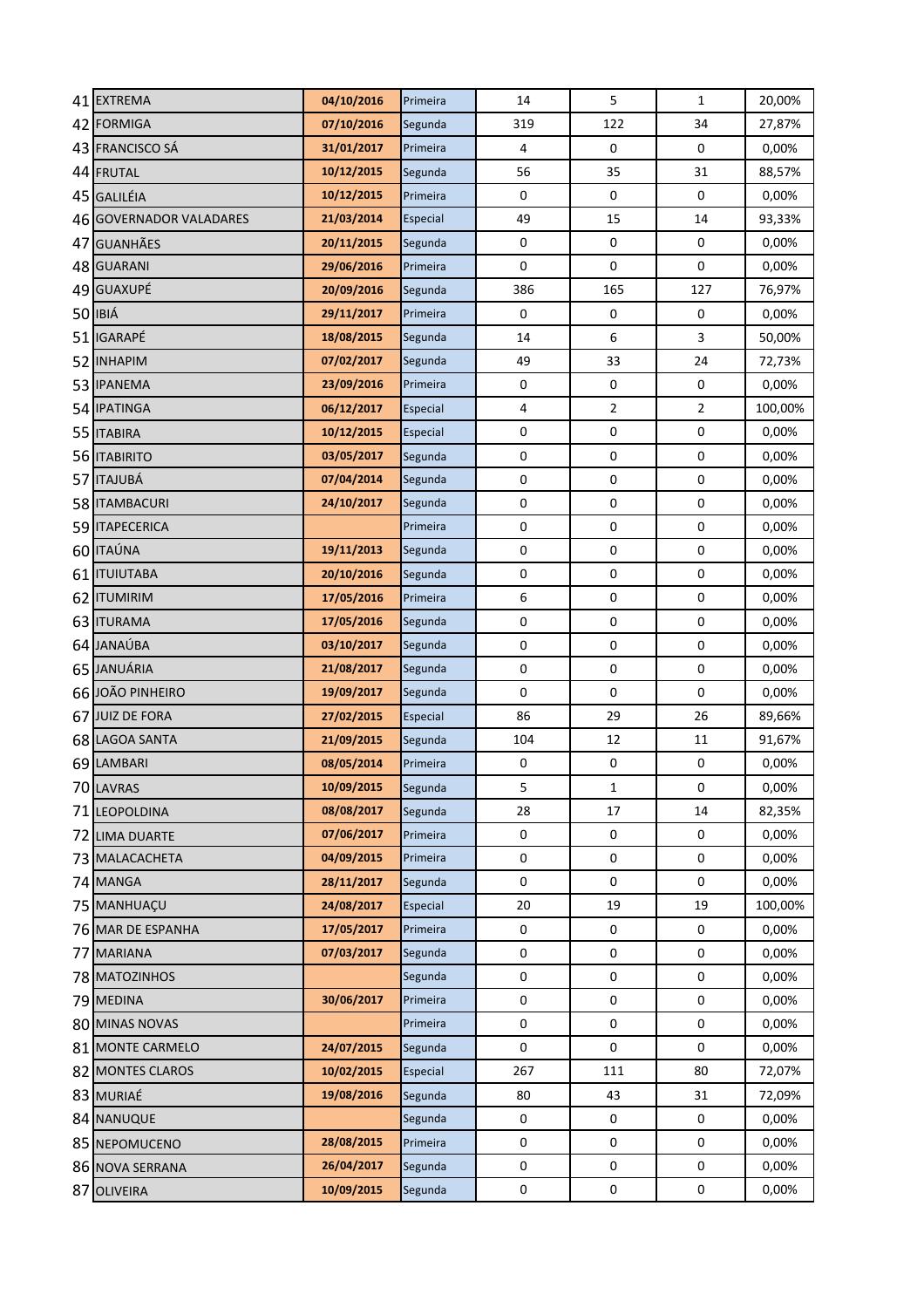| 41 EXTREMA                             | 04/10/2016               | Primeira             | 14                      | 5                        | $\mathbf{1}$            | 20,00%         |
|----------------------------------------|--------------------------|----------------------|-------------------------|--------------------------|-------------------------|----------------|
| 42 FORMIGA                             | 07/10/2016               | Segunda              | 319                     | 122                      | 34                      | 27,87%         |
| 43 FRANCISCO SÁ                        | 31/01/2017               | Primeira             | $\overline{\mathbf{4}}$ | $\pmb{0}$                | $\mathbf 0$             | 0,00%          |
| 44 FRUTAL                              | 10/12/2015               | Segunda              | 56                      | 35                       | 31                      | 88,57%         |
| 45 GALILÉIA                            | 10/12/2015               | Primeira             | $\pmb{0}$               | $\mathbf 0$              | $\pmb{0}$               | 0,00%          |
| 46 GOVERNADOR VALADARES                | 21/03/2014               | Especial             | 49                      | 15                       | 14                      | 93,33%         |
| 47 GUANHÃES                            | 20/11/2015               | Segunda              | $\pmb{0}$               | $\mathbf 0$              | $\mathbf 0$             | 0,00%          |
| 48 GUARANI                             | 29/06/2016               | Primeira             | $\mathbf 0$             | $\mathbf 0$              | 0                       | 0,00%          |
| 49 GUAXUPÉ                             | 20/09/2016               | Segunda              | 386                     | 165                      | 127                     | 76,97%         |
| 50 IBIÁ                                | 29/11/2017               | Primeira             | $\mathbf 0$             | $\pmb{0}$                | $\boldsymbol{0}$        | 0,00%          |
| 51 IGARAPÉ                             | 18/08/2015               | Segunda              | 14                      | 6                        | 3                       | 50,00%         |
| 52 INHAPIM                             | 07/02/2017               | Segunda              | 49                      | 33                       | 24                      | 72,73%         |
| 53 IPANEMA                             | 23/09/2016               | Primeira             | $\pmb{0}$               | $\pmb{0}$                | $\pmb{0}$               | 0,00%          |
| 54 IPATINGA                            | 06/12/2017               | Especial             | $\overline{\mathbf{4}}$ | $\overline{2}$           | $\overline{\mathbf{c}}$ | 100,00%        |
| 55 ITABIRA                             | 10/12/2015               | Especial             | $\pmb{0}$               | $\pmb{0}$                | $\pmb{0}$               | 0,00%          |
| 56 <b>ITABIRITO</b>                    | 03/05/2017               | Segunda              | $\pmb{0}$               | $\pmb{0}$                | $\pmb{0}$               | 0,00%          |
| 57 ITAJUBÁ                             | 07/04/2014               | Segunda              | $\pmb{0}$               | $\pmb{0}$                | $\boldsymbol{0}$        | 0,00%          |
| 58   ITAMBACURI                        | 24/10/2017               | Segunda              | $\pmb{0}$               | $\pmb{0}$                | $\pmb{0}$               | 0,00%          |
| 59 ITAPECERICA                         |                          | Primeira             | $\mathbf 0$             | $\pmb{0}$                | $\mathbf 0$             | 0,00%          |
| 60 ITAÚNA                              | 19/11/2013               | Segunda              | $\mathbf 0$             | $\pmb{0}$                | $\mathbf 0$             | 0,00%          |
| 61 ITUIUTABA                           | 20/10/2016               | Segunda              | $\pmb{0}$               | $\pmb{0}$                | 0                       | 0,00%          |
| 62 ITUMIRIM                            | 17/05/2016               | Primeira             | $\boldsymbol{6}$        | $\pmb{0}$                | $\pmb{0}$               | 0,00%          |
| 63 ITURAMA                             | 17/05/2016               | Segunda              | $\pmb{0}$               | $\pmb{0}$                | 0                       | 0,00%          |
| 64 JANAÚBA                             | 03/10/2017               | Segunda              | $\pmb{0}$               | $\boldsymbol{0}$         | $\pmb{0}$               | 0,00%          |
| 65 JANUÁRIA                            | 21/08/2017               | Segunda              | $\pmb{0}$               | $\pmb{0}$                | $\pmb{0}$               | 0,00%          |
| 66 JOÃO PINHEIRO                       | 19/09/2017               | Segunda              | $\pmb{0}$               | $\mathbf 0$              | $\pmb{0}$               | 0,00%          |
| 67 JUIZ DE FORA                        | 27/02/2015               | Especial             | 86                      | 29                       | 26                      | 89,66%         |
| 68 LAGOA SANTA                         | 21/09/2015               | Segunda              | 104                     | 12                       | 11                      | 91,67%         |
| 69 LAMBARI                             | 08/05/2014               | Primeira             | $\pmb{0}$               | $\pmb{0}$                | 0                       | 0,00%          |
| 70 LAVRAS                              | 10/09/2015               | Segunda              | 5                       | 1                        | 0                       | 0,00%          |
| 71 LEOPOLDINA                          | 08/08/2017               | Segunda              | 28                      | 17                       | 14                      | 82,35%         |
| 72 LIMA DUARTE                         | 07/06/2017               | Primeira             | 0                       | 0                        | 0                       | 0,00%          |
| 73 MALACACHETA                         | 04/09/2015               | Primeira             | $\mathbf 0$             | $\mathbf 0$              | 0                       | 0,00%          |
| 74 MANGA                               | 28/11/2017               | Segunda              | $\mathbf 0$             | 0                        | 0                       | 0,00%          |
| 75 MANHUACU                            | 24/08/2017<br>17/05/2017 | Especial<br>Primeira | 20<br>0                 | 19                       | 19<br>$\mathbf 0$       | 100,00%        |
| 76 MAR DE ESPANHA<br><b>77 MARIANA</b> | 07/03/2017               | Segunda              | $\pmb{0}$               | $\pmb{0}$<br>$\mathbf 0$ | $\pmb{0}$               | 0,00%<br>0,00% |
| 78 MATOZINHOS                          |                          | Segunda              | $\mathbf 0$             | $\pmb{0}$                | 0                       | 0,00%          |
| 79 MEDINA                              | 30/06/2017               | Primeira             | $\mathbf 0$             | $\pmb{0}$                | 0                       | 0,00%          |
| 80 MINAS NOVAS                         |                          | Primeira             | $\mathbf 0$             | $\pmb{0}$                | 0                       | 0,00%          |
| 81 MONTE CARMELO                       | 24/07/2015               | Segunda              | $\pmb{0}$               | 0                        | $\pmb{0}$               | 0,00%          |
| 82 MONTES CLAROS                       | 10/02/2015               | Especial             | 267                     | 111                      | 80                      | 72,07%         |
| 83 MURIAÉ                              | 19/08/2016               | Segunda              | 80                      | 43                       | 31                      | 72,09%         |
| 84 NANUQUE                             |                          | Segunda              | $\mathbf 0$             | 0                        | 0                       | 0,00%          |
| 85 NEPOMUCENO                          | 28/08/2015               | Primeira             | $\pmb{0}$               | $\pmb{0}$                | 0                       | 0,00%          |
| 86 NOVA SERRANA                        | 26/04/2017               | Segunda              | $\pmb{0}$               | $\pmb{0}$                | 0                       | 0,00%          |
| 87 OLIVEIRA                            | 10/09/2015               | Segunda              | 0                       | $\pmb{0}$                | $\pmb{0}$               | 0,00%          |
|                                        |                          |                      |                         |                          |                         |                |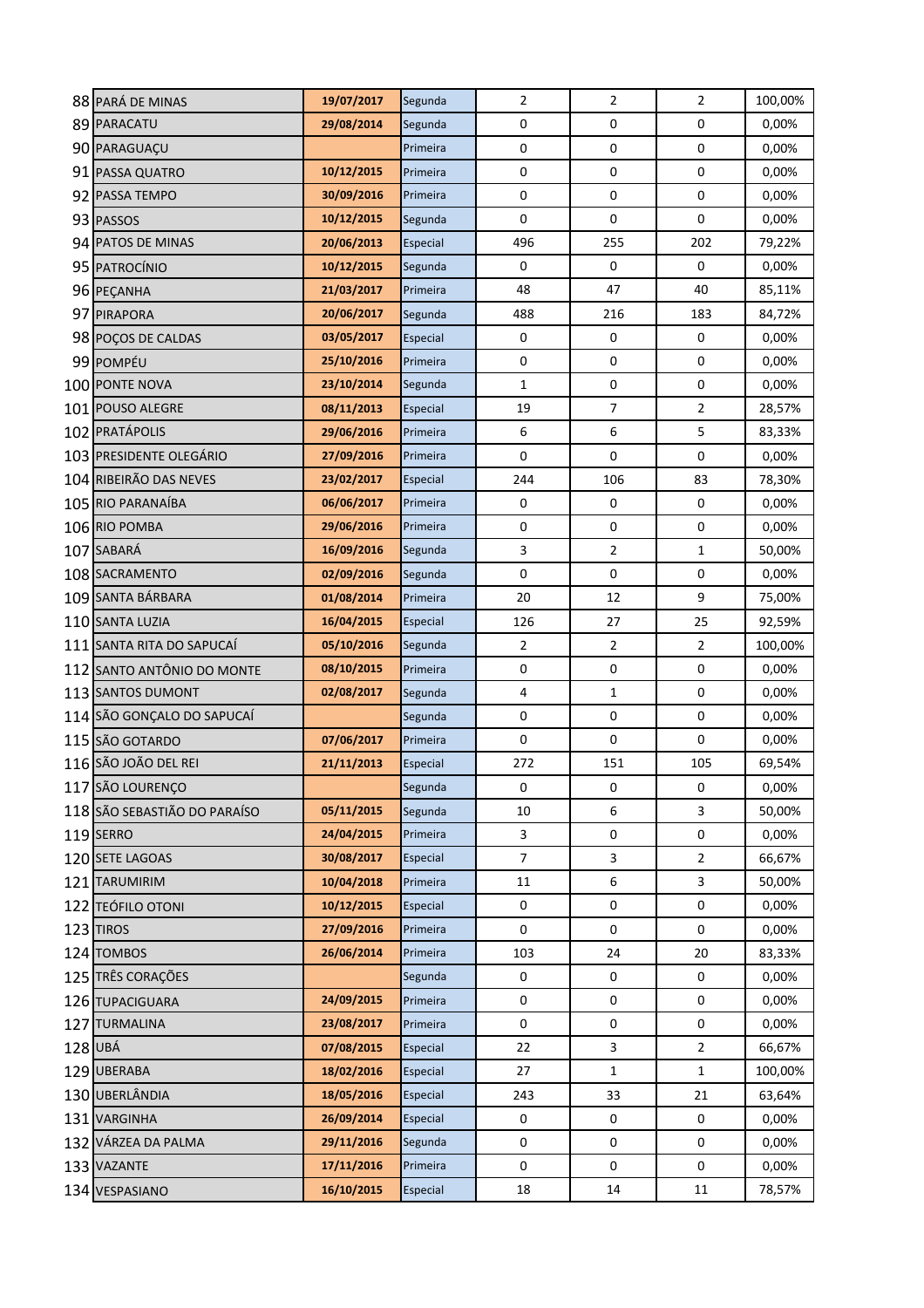|     | 88 PARÁ DE MINAS             | 19/07/2017 | Segunda  | $\mathbf 2$             | $\mathbf 2$      | $\overline{2}$ | 100,00% |
|-----|------------------------------|------------|----------|-------------------------|------------------|----------------|---------|
|     | 89 PARACATU                  | 29/08/2014 | Segunda  | 0                       | $\boldsymbol{0}$ | 0              | 0,00%   |
|     | 90 PARAGUAÇU                 |            | Primeira | 0                       | $\boldsymbol{0}$ | $\pmb{0}$      | 0,00%   |
|     | 91 PASSA QUATRO              | 10/12/2015 | Primeira | 0                       | $\pmb{0}$        | 0              | 0,00%   |
|     | 92 PASSA TEMPO               | 30/09/2016 | Primeira | 0                       | $\boldsymbol{0}$ | 0              | 0,00%   |
|     | 93 PASSOS                    | 10/12/2015 | Segunda  | 0                       | $\pmb{0}$        | 0              | 0,00%   |
|     | 94 PATOS DE MINAS            | 20/06/2013 | Especial | 496                     | 255              | 202            | 79,22%  |
|     | 95 PATROCÍNIO                | 10/12/2015 | Segunda  | 0                       | 0                | 0              | 0,00%   |
|     | 96 PEÇANHA                   | 21/03/2017 | Primeira | 48                      | 47               | 40             | 85,11%  |
|     | 97 PIRAPORA                  | 20/06/2017 | Segunda  | 488                     | 216              | 183            | 84,72%  |
|     | 98 POÇOS DE CALDAS           | 03/05/2017 | Especial | 0                       | $\mathbf 0$      | 0              | 0,00%   |
|     | 99 POMPÉU                    | 25/10/2016 | Primeira | 0                       | $\pmb{0}$        | 0              | 0,00%   |
|     | 100 PONTE NOVA               | 23/10/2014 | Segunda  | $\mathbf{1}$            | $\boldsymbol{0}$ | 0              | 0,00%   |
| 101 | <b>POUSO ALEGRE</b>          | 08/11/2013 | Especial | 19                      | $\boldsymbol{7}$ | $\mathbf 2$    | 28,57%  |
|     | 102 PRATÁPOLIS               | 29/06/2016 | Primeira | 6                       | 6                | 5              | 83,33%  |
|     | 103 PRESIDENTE OLEGÁRIO      | 27/09/2016 | Primeira | $\pmb{0}$               | $\pmb{0}$        | $\pmb{0}$      | 0,00%   |
|     | 104 RIBEIRÃO DAS NEVES       | 23/02/2017 | Especial | 244                     | 106              | 83             | 78,30%  |
|     | 105 RIO PARANAÍBA            | 06/06/2017 | Primeira | 0                       | $\boldsymbol{0}$ | 0              | 0,00%   |
|     | 106 RIO POMBA                | 29/06/2016 | Primeira | 0                       | $\pmb{0}$        | 0              | 0,00%   |
|     | 107 SABARÁ                   | 16/09/2016 | Segunda  | $\overline{\mathbf{3}}$ | $\mathbf 2$      | $\mathbf{1}$   | 50,00%  |
|     | 108 SACRAMENTO               | 02/09/2016 | Segunda  | 0                       | $\mathbf 0$      | 0              | 0,00%   |
|     | 109 SANTA BÁRBARA            | 01/08/2014 | Primeira | 20                      | 12               | 9              | 75,00%  |
|     | 110 SANTA LUZIA              | 16/04/2015 | Especial | 126                     | 27               | 25             | 92,59%  |
|     | 111 SANTA RITA DO SAPUCAÍ    | 05/10/2016 | Segunda  | $\overline{2}$          | $\overline{2}$   | $\overline{2}$ | 100,00% |
|     | 112 SANTO ANTÔNIO DO MONTE   | 08/10/2015 | Primeira | 0                       | $\boldsymbol{0}$ | 0              | 0,00%   |
|     | 113 SANTOS DUMONT            | 02/08/2017 | Segunda  | 4                       | $\mathbf{1}$     | 0              | 0,00%   |
|     | 114 SÃO GONÇALO DO SAPUCAÍ   |            | Segunda  | 0                       | $\boldsymbol{0}$ | $\pmb{0}$      | 0,00%   |
|     | 115 SÃO GOTARDO              | 07/06/2017 | Primeira | $\pmb{0}$               | $\pmb{0}$        | 0              | 0,00%   |
|     | 116 SÃO JOÃO DEL REI         | 21/11/2013 | Especial | 272                     | 151              | 105            | 69,54%  |
|     | 117 SÃO LOURENÇO             |            | Segunda  | 0                       | 0                | 0              | 0,00%   |
|     | 118 SÃO SEBASTIÃO DO PARAÍSO | 05/11/2015 | Segunda  | 10                      | 6                | 3              | 50,00%  |
|     | 119 SERRO                    | 24/04/2015 | Primeira | 3                       | 0                | 0              | 0,00%   |
|     | 120 SETE LAGOAS              | 30/08/2017 | Especial | $\overline{7}$          | $\overline{3}$   | $\overline{2}$ | 66,67%  |
|     | 121 TARUMIRIM                | 10/04/2018 | Primeira | 11                      | 6                | 3              | 50,00%  |
|     | 122 TEÓFILO OTONI            | 10/12/2015 | Especial | 0                       | 0                | 0              | 0,00%   |
|     | 123 TIROS                    | 27/09/2016 | Primeira | 0                       | 0                | 0              | 0,00%   |
|     | 124 TOMBOS                   | 26/06/2014 | Primeira | 103                     | 24               | 20             | 83,33%  |
|     | 125 TRÊS CORAÇÕES            |            | Segunda  | $\pmb{0}$               | $\pmb{0}$        | $\pmb{0}$      | 0,00%   |
|     | 126 TUPACIGUARA              | 24/09/2015 | Primeira | $\pmb{0}$               | $\pmb{0}$        | 0              | 0,00%   |
|     | 127 TURMALINA                | 23/08/2017 | Primeira | $\pmb{0}$               | $\pmb{0}$        | 0              | 0,00%   |
|     | 128 UBÁ                      | 07/08/2015 | Especial | 22                      | $\overline{3}$   | $\overline{2}$ | 66,67%  |
|     | 129 UBERABA                  | 18/02/2016 | Especial | 27                      | $\mathbf{1}$     | $\mathbf{1}$   | 100,00% |
|     | 130 UBERLÂNDIA               | 18/05/2016 | Especial | 243                     | 33               | 21             | 63,64%  |
|     | 131 VARGINHA                 | 26/09/2014 | Especial | 0                       | 0                | 0              | 0,00%   |
|     | 132 VÁRZEA DA PALMA          | 29/11/2016 | Segunda  | 0                       | 0                | 0              | 0,00%   |
|     | 133 VAZANTE                  | 17/11/2016 | Primeira | $\mathbf 0$             | 0                | 0              | 0,00%   |
|     | 134 VESPASIANO               | 16/10/2015 | Especial | 18                      | 14               | 11             | 78,57%  |